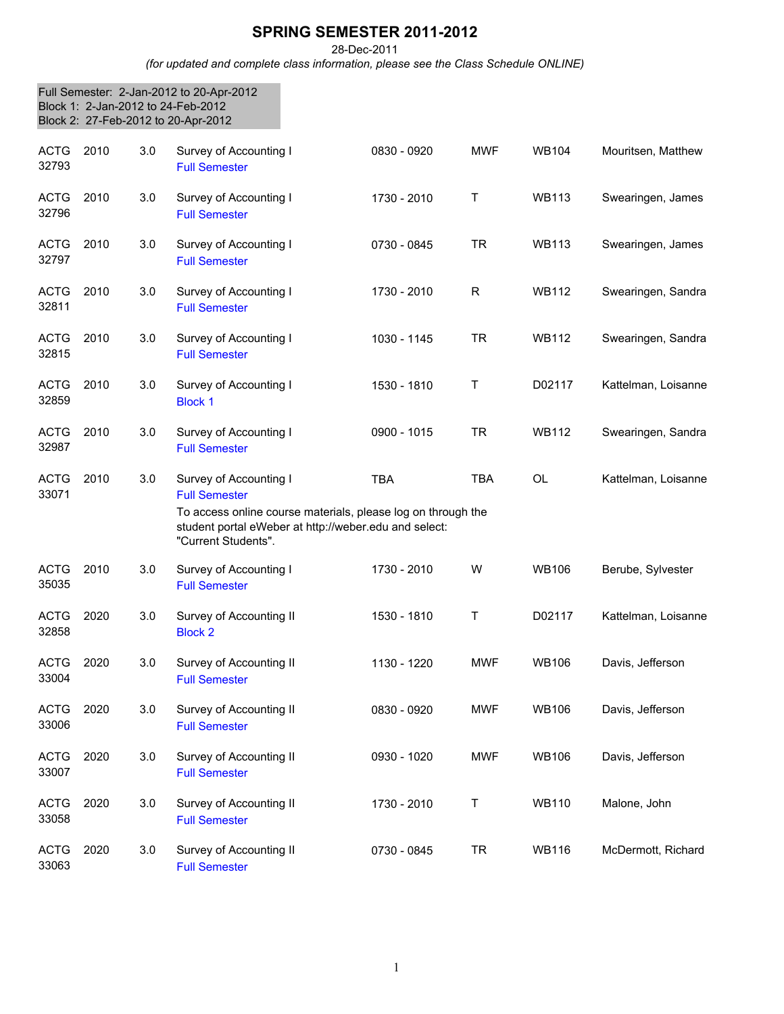## **SPRING SEMESTER 2011-2012**

28-Dec-2011

*(for updated and complete class information, please see the Class Schedule ONLINE)*

|                      |      |     | Full Semester: 2-Jan-2012 to 20-Apr-2012<br>Block 1: 2-Jan-2012 to 24-Feb-2012<br>Block 2: 27-Feb-2012 to 20-Apr-2012                                                                          |             |            |              |                     |
|----------------------|------|-----|------------------------------------------------------------------------------------------------------------------------------------------------------------------------------------------------|-------------|------------|--------------|---------------------|
| <b>ACTG</b><br>32793 | 2010 | 3.0 | Survey of Accounting I<br><b>Full Semester</b>                                                                                                                                                 | 0830 - 0920 | <b>MWF</b> | <b>WB104</b> | Mouritsen, Matthew  |
| <b>ACTG</b><br>32796 | 2010 | 3.0 | Survey of Accounting I<br><b>Full Semester</b>                                                                                                                                                 | 1730 - 2010 | Τ          | <b>WB113</b> | Swearingen, James   |
| <b>ACTG</b><br>32797 | 2010 | 3.0 | Survey of Accounting I<br><b>Full Semester</b>                                                                                                                                                 | 0730 - 0845 | <b>TR</b>  | <b>WB113</b> | Swearingen, James   |
| <b>ACTG</b><br>32811 | 2010 | 3.0 | Survey of Accounting I<br><b>Full Semester</b>                                                                                                                                                 | 1730 - 2010 | R          | WB112        | Swearingen, Sandra  |
| <b>ACTG</b><br>32815 | 2010 | 3.0 | Survey of Accounting I<br><b>Full Semester</b>                                                                                                                                                 | 1030 - 1145 | <b>TR</b>  | <b>WB112</b> | Swearingen, Sandra  |
| <b>ACTG</b><br>32859 | 2010 | 3.0 | Survey of Accounting I<br><b>Block 1</b>                                                                                                                                                       | 1530 - 1810 | T          | D02117       | Kattelman, Loisanne |
| <b>ACTG</b><br>32987 | 2010 | 3.0 | Survey of Accounting I<br><b>Full Semester</b>                                                                                                                                                 | 0900 - 1015 | <b>TR</b>  | <b>WB112</b> | Swearingen, Sandra  |
| <b>ACTG</b><br>33071 | 2010 | 3.0 | Survey of Accounting I<br><b>Full Semester</b><br>To access online course materials, please log on through the<br>student portal eWeber at http://weber.edu and select:<br>"Current Students". | <b>TBA</b>  | <b>TBA</b> | <b>OL</b>    | Kattelman, Loisanne |
| <b>ACTG</b><br>35035 | 2010 | 3.0 | Survey of Accounting I<br><b>Full Semester</b>                                                                                                                                                 | 1730 - 2010 | W          | <b>WB106</b> | Berube, Sylvester   |
| <b>ACTG</b><br>32858 | 2020 | 3.0 | Survey of Accounting II<br><b>Block 2</b>                                                                                                                                                      | 1530 - 1810 | Τ          | D02117       | Kattelman, Loisanne |
| ACTG<br>33004        | 2020 | 3.0 | Survey of Accounting II<br><b>Full Semester</b>                                                                                                                                                | 1130 - 1220 | <b>MWF</b> | <b>WB106</b> | Davis, Jefferson    |
| <b>ACTG</b><br>33006 | 2020 | 3.0 | Survey of Accounting II<br><b>Full Semester</b>                                                                                                                                                | 0830 - 0920 | <b>MWF</b> | <b>WB106</b> | Davis, Jefferson    |
| <b>ACTG</b><br>33007 | 2020 | 3.0 | Survey of Accounting II<br><b>Full Semester</b>                                                                                                                                                | 0930 - 1020 | <b>MWF</b> | <b>WB106</b> | Davis, Jefferson    |
| <b>ACTG</b><br>33058 | 2020 | 3.0 | Survey of Accounting II<br><b>Full Semester</b>                                                                                                                                                | 1730 - 2010 | Τ          | <b>WB110</b> | Malone, John        |
| <b>ACTG</b><br>33063 | 2020 | 3.0 | Survey of Accounting II<br><b>Full Semester</b>                                                                                                                                                | 0730 - 0845 | <b>TR</b>  | <b>WB116</b> | McDermott, Richard  |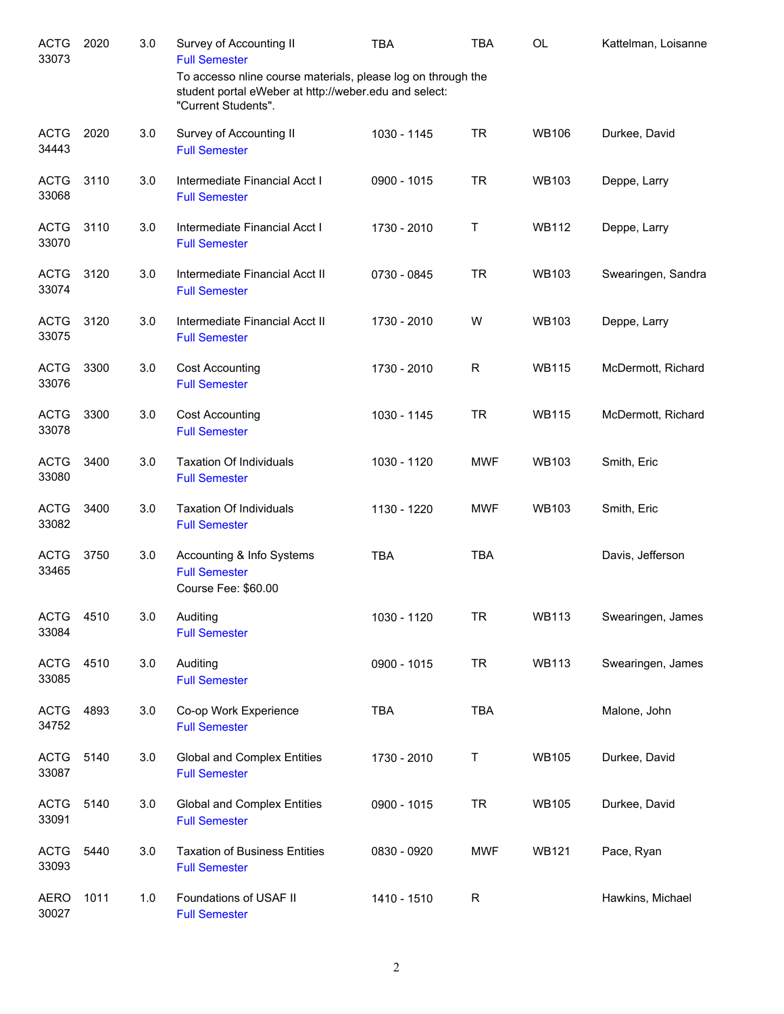| <b>ACTG</b><br>33073 | 2020 | 3.0 | Survey of Accounting II<br><b>Full Semester</b>                                                                                              | <b>TBA</b>  | <b>TBA</b>  | OL           | Kattelman, Loisanne |
|----------------------|------|-----|----------------------------------------------------------------------------------------------------------------------------------------------|-------------|-------------|--------------|---------------------|
|                      |      |     | To accesso nline course materials, please log on through the<br>student portal eWeber at http://weber.edu and select:<br>"Current Students". |             |             |              |                     |
| <b>ACTG</b><br>34443 | 2020 | 3.0 | Survey of Accounting II<br><b>Full Semester</b>                                                                                              | 1030 - 1145 | <b>TR</b>   | <b>WB106</b> | Durkee, David       |
| <b>ACTG</b><br>33068 | 3110 | 3.0 | Intermediate Financial Acct I<br><b>Full Semester</b>                                                                                        | 0900 - 1015 | <b>TR</b>   | <b>WB103</b> | Deppe, Larry        |
| <b>ACTG</b><br>33070 | 3110 | 3.0 | Intermediate Financial Acct I<br><b>Full Semester</b>                                                                                        | 1730 - 2010 | Τ           | <b>WB112</b> | Deppe, Larry        |
| <b>ACTG</b><br>33074 | 3120 | 3.0 | Intermediate Financial Acct II<br><b>Full Semester</b>                                                                                       | 0730 - 0845 | <b>TR</b>   | <b>WB103</b> | Swearingen, Sandra  |
| <b>ACTG</b><br>33075 | 3120 | 3.0 | Intermediate Financial Acct II<br><b>Full Semester</b>                                                                                       | 1730 - 2010 | W           | <b>WB103</b> | Deppe, Larry        |
| <b>ACTG</b><br>33076 | 3300 | 3.0 | <b>Cost Accounting</b><br><b>Full Semester</b>                                                                                               | 1730 - 2010 | R           | <b>WB115</b> | McDermott, Richard  |
| <b>ACTG</b><br>33078 | 3300 | 3.0 | <b>Cost Accounting</b><br><b>Full Semester</b>                                                                                               | 1030 - 1145 | <b>TR</b>   | <b>WB115</b> | McDermott, Richard  |
| <b>ACTG</b><br>33080 | 3400 | 3.0 | <b>Taxation Of Individuals</b><br><b>Full Semester</b>                                                                                       | 1030 - 1120 | <b>MWF</b>  | <b>WB103</b> | Smith, Eric         |
| <b>ACTG</b><br>33082 | 3400 | 3.0 | <b>Taxation Of Individuals</b><br><b>Full Semester</b>                                                                                       | 1130 - 1220 | <b>MWF</b>  | <b>WB103</b> | Smith, Eric         |
| <b>ACTG</b><br>33465 | 3750 | 3.0 | Accounting & Info Systems<br><b>Full Semester</b><br>Course Fee: \$60.00                                                                     | <b>TBA</b>  | <b>TBA</b>  |              | Davis, Jefferson    |
| <b>ACTG</b><br>33084 | 4510 | 3.0 | Auditing<br><b>Full Semester</b>                                                                                                             | 1030 - 1120 | TR          | <b>WB113</b> | Swearingen, James   |
| <b>ACTG</b><br>33085 | 4510 | 3.0 | Auditing<br><b>Full Semester</b>                                                                                                             | 0900 - 1015 | <b>TR</b>   | <b>WB113</b> | Swearingen, James   |
| <b>ACTG</b><br>34752 | 4893 | 3.0 | Co-op Work Experience<br><b>Full Semester</b>                                                                                                | <b>TBA</b>  | <b>TBA</b>  |              | Malone, John        |
| <b>ACTG</b><br>33087 | 5140 | 3.0 | <b>Global and Complex Entities</b><br><b>Full Semester</b>                                                                                   | 1730 - 2010 | Т           | <b>WB105</b> | Durkee, David       |
| <b>ACTG</b><br>33091 | 5140 | 3.0 | <b>Global and Complex Entities</b><br><b>Full Semester</b>                                                                                   | 0900 - 1015 | <b>TR</b>   | <b>WB105</b> | Durkee, David       |
| <b>ACTG</b><br>33093 | 5440 | 3.0 | <b>Taxation of Business Entities</b><br><b>Full Semester</b>                                                                                 | 0830 - 0920 | <b>MWF</b>  | <b>WB121</b> | Pace, Ryan          |
| <b>AERO</b><br>30027 | 1011 | 1.0 | Foundations of USAF II<br><b>Full Semester</b>                                                                                               | 1410 - 1510 | $\mathsf R$ |              | Hawkins, Michael    |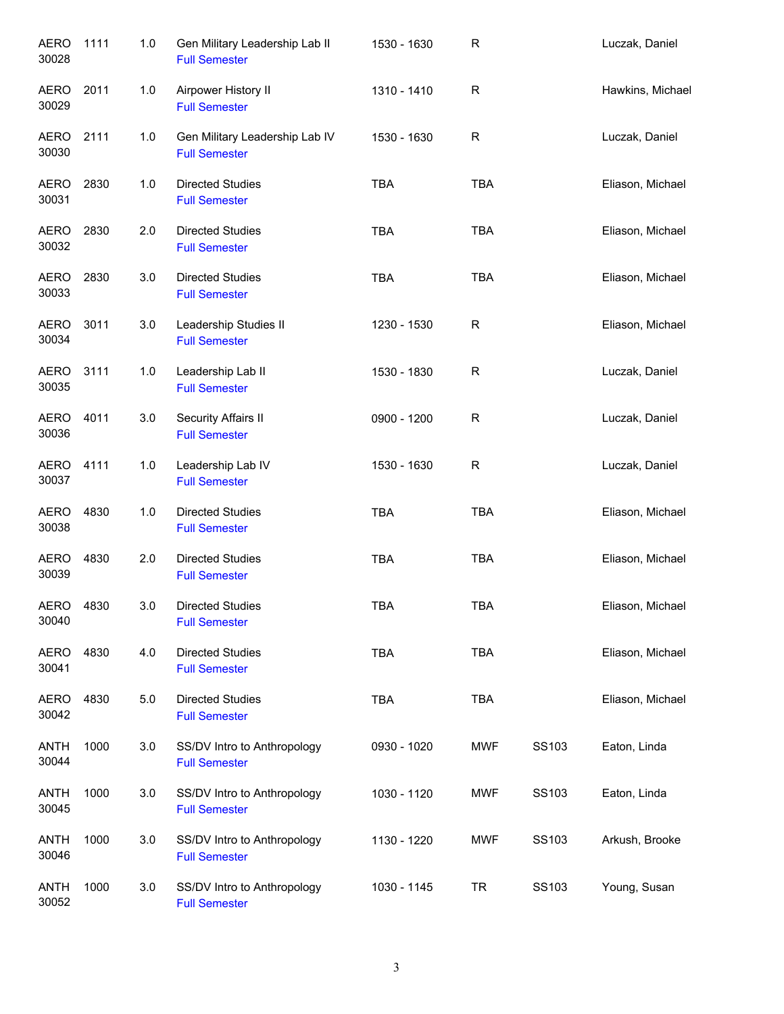| <b>AERO</b><br>30028 | 1111 | 1.0 | Gen Military Leadership Lab II<br><b>Full Semester</b> | 1530 - 1630 | $\mathsf R$ |       | Luczak, Daniel   |
|----------------------|------|-----|--------------------------------------------------------|-------------|-------------|-------|------------------|
| <b>AERO</b><br>30029 | 2011 | 1.0 | Airpower History II<br><b>Full Semester</b>            | 1310 - 1410 | $\mathsf R$ |       | Hawkins, Michael |
| <b>AERO</b><br>30030 | 2111 | 1.0 | Gen Military Leadership Lab IV<br><b>Full Semester</b> | 1530 - 1630 | R           |       | Luczak, Daniel   |
| <b>AERO</b><br>30031 | 2830 | 1.0 | <b>Directed Studies</b><br><b>Full Semester</b>        | <b>TBA</b>  | <b>TBA</b>  |       | Eliason, Michael |
| AERO<br>30032        | 2830 | 2.0 | <b>Directed Studies</b><br><b>Full Semester</b>        | <b>TBA</b>  | <b>TBA</b>  |       | Eliason, Michael |
| <b>AERO</b><br>30033 | 2830 | 3.0 | <b>Directed Studies</b><br><b>Full Semester</b>        | <b>TBA</b>  | <b>TBA</b>  |       | Eliason, Michael |
| <b>AERO</b><br>30034 | 3011 | 3.0 | Leadership Studies II<br><b>Full Semester</b>          | 1230 - 1530 | R           |       | Eliason, Michael |
| <b>AERO</b><br>30035 | 3111 | 1.0 | Leadership Lab II<br><b>Full Semester</b>              | 1530 - 1830 | $\mathsf R$ |       | Luczak, Daniel   |
| <b>AERO</b><br>30036 | 4011 | 3.0 | Security Affairs II<br><b>Full Semester</b>            | 0900 - 1200 | $\mathsf R$ |       | Luczak, Daniel   |
| <b>AERO</b><br>30037 | 4111 | 1.0 | Leadership Lab IV<br><b>Full Semester</b>              | 1530 - 1630 | $\mathsf R$ |       | Luczak, Daniel   |
| <b>AERO</b><br>30038 | 4830 | 1.0 | <b>Directed Studies</b><br><b>Full Semester</b>        | <b>TBA</b>  | <b>TBA</b>  |       | Eliason, Michael |
| <b>AERO</b><br>30039 | 4830 | 2.0 | <b>Directed Studies</b><br><b>Full Semester</b>        | <b>TBA</b>  | <b>TBA</b>  |       | Eliason, Michael |
| AERO<br>30040        | 4830 | 3.0 | <b>Directed Studies</b><br><b>Full Semester</b>        | <b>TBA</b>  | <b>TBA</b>  |       | Eliason, Michael |
| <b>AERO</b><br>30041 | 4830 | 4.0 | <b>Directed Studies</b><br><b>Full Semester</b>        | <b>TBA</b>  | <b>TBA</b>  |       | Eliason, Michael |
| <b>AERO</b><br>30042 | 4830 | 5.0 | <b>Directed Studies</b><br><b>Full Semester</b>        | <b>TBA</b>  | <b>TBA</b>  |       | Eliason, Michael |
| <b>ANTH</b><br>30044 | 1000 | 3.0 | SS/DV Intro to Anthropology<br><b>Full Semester</b>    | 0930 - 1020 | <b>MWF</b>  | SS103 | Eaton, Linda     |
| <b>ANTH</b><br>30045 | 1000 | 3.0 | SS/DV Intro to Anthropology<br><b>Full Semester</b>    | 1030 - 1120 | <b>MWF</b>  | SS103 | Eaton, Linda     |
| <b>ANTH</b><br>30046 | 1000 | 3.0 | SS/DV Intro to Anthropology<br><b>Full Semester</b>    | 1130 - 1220 | <b>MWF</b>  | SS103 | Arkush, Brooke   |
| <b>ANTH</b><br>30052 | 1000 | 3.0 | SS/DV Intro to Anthropology<br><b>Full Semester</b>    | 1030 - 1145 | <b>TR</b>   | SS103 | Young, Susan     |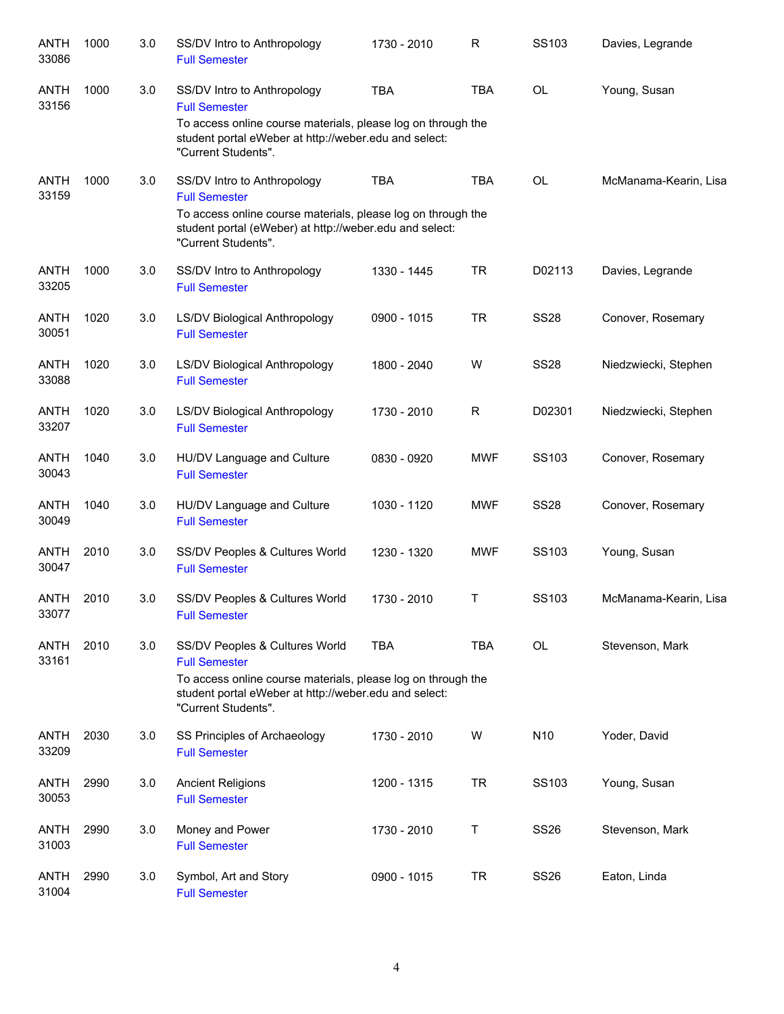| <b>ANTH</b><br>33086 | 1000 | 3.0 | SS/DV Intro to Anthropology<br><b>Full Semester</b>                                                                                            | 1730 - 2010 | R            | SS103           | Davies, Legrande      |
|----------------------|------|-----|------------------------------------------------------------------------------------------------------------------------------------------------|-------------|--------------|-----------------|-----------------------|
| ANTH<br>33156        | 1000 | 3.0 | SS/DV Intro to Anthropology<br><b>Full Semester</b>                                                                                            | <b>TBA</b>  | <b>TBA</b>   | <b>OL</b>       | Young, Susan          |
|                      |      |     | To access online course materials, please log on through the<br>student portal eWeber at http://weber.edu and select:<br>"Current Students".   |             |              |                 |                       |
| <b>ANTH</b><br>33159 | 1000 | 3.0 | SS/DV Intro to Anthropology<br><b>Full Semester</b>                                                                                            | <b>TBA</b>  | <b>TBA</b>   | <b>OL</b>       | McManama-Kearin, Lisa |
|                      |      |     | To access online course materials, please log on through the<br>student portal (eWeber) at http://weber.edu and select:<br>"Current Students". |             |              |                 |                       |
| <b>ANTH</b><br>33205 | 1000 | 3.0 | SS/DV Intro to Anthropology<br><b>Full Semester</b>                                                                                            | 1330 - 1445 | <b>TR</b>    | D02113          | Davies, Legrande      |
| <b>ANTH</b><br>30051 | 1020 | 3.0 | LS/DV Biological Anthropology<br><b>Full Semester</b>                                                                                          | 0900 - 1015 | <b>TR</b>    | <b>SS28</b>     | Conover, Rosemary     |
| <b>ANTH</b><br>33088 | 1020 | 3.0 | LS/DV Biological Anthropology<br><b>Full Semester</b>                                                                                          | 1800 - 2040 | W            | <b>SS28</b>     | Niedzwiecki, Stephen  |
| <b>ANTH</b><br>33207 | 1020 | 3.0 | <b>LS/DV Biological Anthropology</b><br><b>Full Semester</b>                                                                                   | 1730 - 2010 | $\mathsf{R}$ | D02301          | Niedzwiecki, Stephen  |
| <b>ANTH</b><br>30043 | 1040 | 3.0 | HU/DV Language and Culture<br><b>Full Semester</b>                                                                                             | 0830 - 0920 | <b>MWF</b>   | SS103           | Conover, Rosemary     |
| <b>ANTH</b><br>30049 | 1040 | 3.0 | HU/DV Language and Culture<br><b>Full Semester</b>                                                                                             | 1030 - 1120 | <b>MWF</b>   | <b>SS28</b>     | Conover, Rosemary     |
| ANTH<br>30047        | 2010 | 3.0 | SS/DV Peoples & Cultures World<br><b>Full Semester</b>                                                                                         | 1230 - 1320 | <b>MWF</b>   | SS103           | Young, Susan          |
| ANTH<br>33077        | 2010 | 3.0 | SS/DV Peoples & Cultures World<br><b>Full Semester</b>                                                                                         | 1730 - 2010 | т            | SS103           | McManama-Kearin, Lisa |
| <b>ANTH</b><br>33161 | 2010 | 3.0 | SS/DV Peoples & Cultures World<br><b>Full Semester</b>                                                                                         | <b>TBA</b>  | <b>TBA</b>   | OL              | Stevenson, Mark       |
|                      |      |     | To access online course materials, please log on through the<br>student portal eWeber at http://weber.edu and select:<br>"Current Students".   |             |              |                 |                       |
| <b>ANTH</b><br>33209 | 2030 | 3.0 | SS Principles of Archaeology<br><b>Full Semester</b>                                                                                           | 1730 - 2010 | W            | N <sub>10</sub> | Yoder, David          |
| <b>ANTH</b><br>30053 | 2990 | 3.0 | <b>Ancient Religions</b><br><b>Full Semester</b>                                                                                               | 1200 - 1315 | <b>TR</b>    | SS103           | Young, Susan          |
| <b>ANTH</b><br>31003 | 2990 | 3.0 | Money and Power<br><b>Full Semester</b>                                                                                                        | 1730 - 2010 | T            | <b>SS26</b>     | Stevenson, Mark       |
| <b>ANTH</b><br>31004 | 2990 | 3.0 | Symbol, Art and Story<br><b>Full Semester</b>                                                                                                  | 0900 - 1015 | <b>TR</b>    | <b>SS26</b>     | Eaton, Linda          |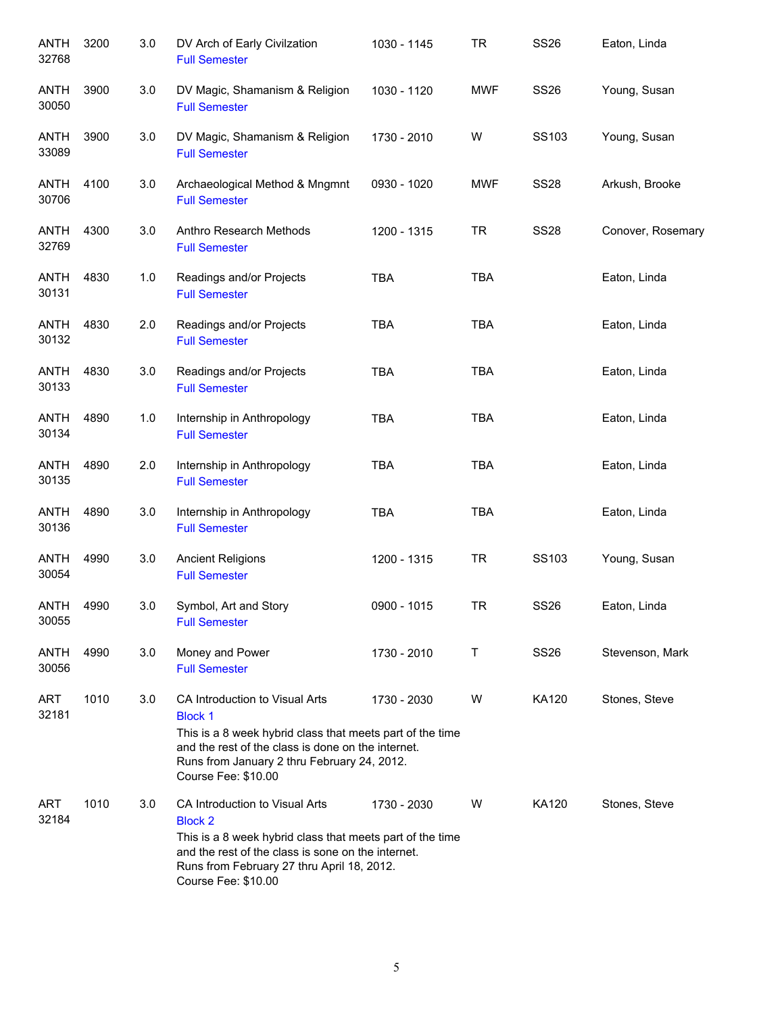| <b>ANTH</b><br>32768 | 3200 | 3.0 | DV Arch of Early Civilzation<br><b>Full Semester</b>                                                                                                                                                                                      | 1030 - 1145 | <b>TR</b>  | <b>SS26</b> | Eaton, Linda      |
|----------------------|------|-----|-------------------------------------------------------------------------------------------------------------------------------------------------------------------------------------------------------------------------------------------|-------------|------------|-------------|-------------------|
| ANTH<br>30050        | 3900 | 3.0 | DV Magic, Shamanism & Religion<br><b>Full Semester</b>                                                                                                                                                                                    | 1030 - 1120 | <b>MWF</b> | <b>SS26</b> | Young, Susan      |
| <b>ANTH</b><br>33089 | 3900 | 3.0 | DV Magic, Shamanism & Religion<br><b>Full Semester</b>                                                                                                                                                                                    | 1730 - 2010 | W          | SS103       | Young, Susan      |
| ANTH<br>30706        | 4100 | 3.0 | Archaeological Method & Mngmnt<br><b>Full Semester</b>                                                                                                                                                                                    | 0930 - 1020 | <b>MWF</b> | <b>SS28</b> | Arkush, Brooke    |
| ANTH<br>32769        | 4300 | 3.0 | Anthro Research Methods<br><b>Full Semester</b>                                                                                                                                                                                           | 1200 - 1315 | <b>TR</b>  | <b>SS28</b> | Conover, Rosemary |
| <b>ANTH</b><br>30131 | 4830 | 1.0 | Readings and/or Projects<br><b>Full Semester</b>                                                                                                                                                                                          | <b>TBA</b>  | <b>TBA</b> |             | Eaton, Linda      |
| <b>ANTH</b><br>30132 | 4830 | 2.0 | Readings and/or Projects<br><b>Full Semester</b>                                                                                                                                                                                          | <b>TBA</b>  | <b>TBA</b> |             | Eaton, Linda      |
| <b>ANTH</b><br>30133 | 4830 | 3.0 | Readings and/or Projects<br><b>Full Semester</b>                                                                                                                                                                                          | <b>TBA</b>  | <b>TBA</b> |             | Eaton, Linda      |
| <b>ANTH</b><br>30134 | 4890 | 1.0 | Internship in Anthropology<br><b>Full Semester</b>                                                                                                                                                                                        | <b>TBA</b>  | <b>TBA</b> |             | Eaton, Linda      |
| <b>ANTH</b><br>30135 | 4890 | 2.0 | Internship in Anthropology<br><b>Full Semester</b>                                                                                                                                                                                        | <b>TBA</b>  | <b>TBA</b> |             | Eaton, Linda      |
| <b>ANTH</b><br>30136 | 4890 | 3.0 | Internship in Anthropology<br><b>Full Semester</b>                                                                                                                                                                                        | <b>TBA</b>  | <b>TBA</b> |             | Eaton, Linda      |
| <b>ANTH</b><br>30054 | 4990 | 3.0 | <b>Ancient Religions</b><br><b>Full Semester</b>                                                                                                                                                                                          | 1200 - 1315 | <b>TR</b>  | SS103       | Young, Susan      |
| <b>ANTH</b><br>30055 | 4990 | 3.0 | Symbol, Art and Story<br><b>Full Semester</b>                                                                                                                                                                                             | 0900 - 1015 | TR         | <b>SS26</b> | Eaton, Linda      |
| ANTH<br>30056        | 4990 | 3.0 | Money and Power<br><b>Full Semester</b>                                                                                                                                                                                                   | 1730 - 2010 | т          | <b>SS26</b> | Stevenson, Mark   |
| ART<br>32181         | 1010 | 3.0 | CA Introduction to Visual Arts<br><b>Block 1</b><br>This is a 8 week hybrid class that meets part of the time<br>and the rest of the class is done on the internet.<br>Runs from January 2 thru February 24, 2012.<br>Course Fee: \$10.00 | 1730 - 2030 | W          | KA120       | Stones, Steve     |
| <b>ART</b><br>32184  | 1010 | 3.0 | CA Introduction to Visual Arts<br><b>Block 2</b><br>This is a 8 week hybrid class that meets part of the time<br>and the rest of the class is sone on the internet.<br>Runs from February 27 thru April 18, 2012.<br>Course Fee: \$10.00  | 1730 - 2030 | W          | KA120       | Stones, Steve     |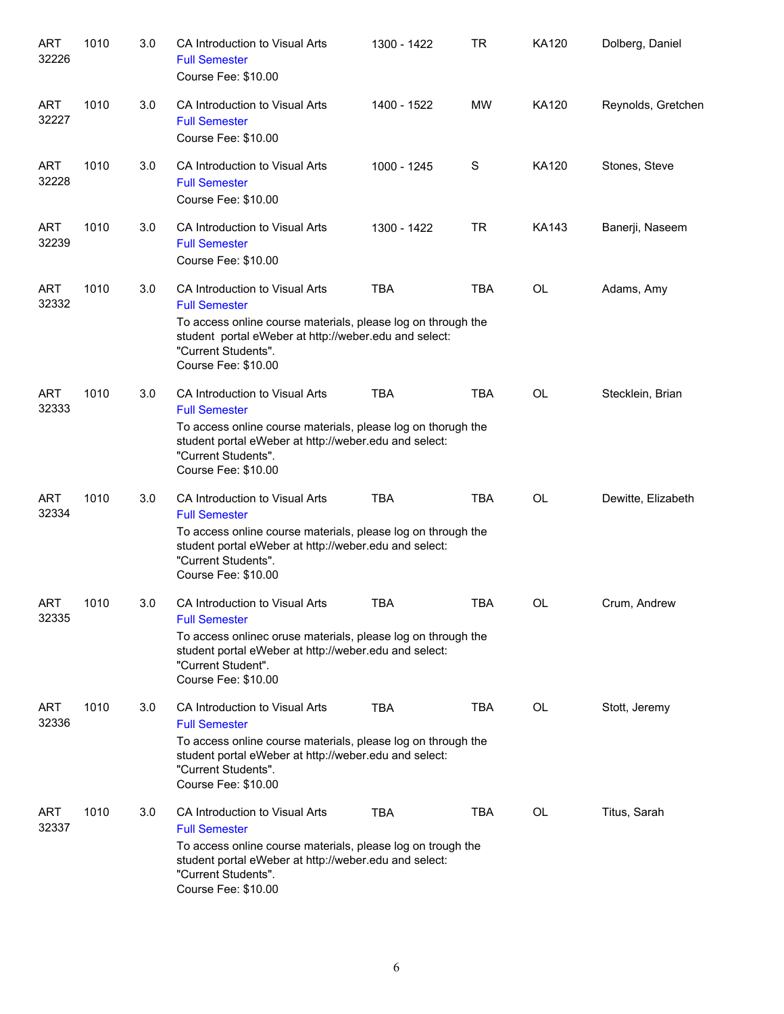| <b>ART</b><br>32226 | 1010 | 3.0 | CA Introduction to Visual Arts<br><b>Full Semester</b><br>Course Fee: \$10.00                                                                                                                                                 | 1300 - 1422 | <b>TR</b>  | <b>KA120</b> | Dolberg, Daniel    |
|---------------------|------|-----|-------------------------------------------------------------------------------------------------------------------------------------------------------------------------------------------------------------------------------|-------------|------------|--------------|--------------------|
| <b>ART</b><br>32227 | 1010 | 3.0 | CA Introduction to Visual Arts<br><b>Full Semester</b><br>Course Fee: \$10.00                                                                                                                                                 | 1400 - 1522 | <b>MW</b>  | KA120        | Reynolds, Gretchen |
| <b>ART</b><br>32228 | 1010 | 3.0 | CA Introduction to Visual Arts<br><b>Full Semester</b><br>Course Fee: \$10.00                                                                                                                                                 | 1000 - 1245 | S          | KA120        | Stones, Steve      |
| <b>ART</b><br>32239 | 1010 | 3.0 | CA Introduction to Visual Arts<br><b>Full Semester</b><br>Course Fee: \$10.00                                                                                                                                                 | 1300 - 1422 | <b>TR</b>  | <b>KA143</b> | Banerji, Naseem    |
| <b>ART</b><br>32332 | 1010 | 3.0 | CA Introduction to Visual Arts<br><b>Full Semester</b><br>To access online course materials, please log on through the<br>student portal eWeber at http://weber.edu and select:<br>"Current Students".<br>Course Fee: \$10.00 | <b>TBA</b>  | <b>TBA</b> | <b>OL</b>    | Adams, Amy         |
| <b>ART</b><br>32333 | 1010 | 3.0 | CA Introduction to Visual Arts<br><b>Full Semester</b><br>To access online course materials, please log on thorugh the<br>student portal eWeber at http://weber.edu and select:<br>"Current Students".<br>Course Fee: \$10.00 | <b>TBA</b>  | <b>TBA</b> | <b>OL</b>    | Stecklein, Brian   |
| <b>ART</b><br>32334 | 1010 | 3.0 | CA Introduction to Visual Arts<br><b>Full Semester</b><br>To access online course materials, please log on through the<br>student portal eWeber at http://weber.edu and select:<br>"Current Students".<br>Course Fee: \$10.00 | <b>TBA</b>  | <b>TBA</b> | <b>OL</b>    | Dewitte, Elizabeth |
| <b>ART</b><br>32335 | 1010 | 3.0 | CA Introduction to Visual Arts<br><b>Full Semester</b><br>To access onlinec oruse materials, please log on through the<br>student portal eWeber at http://weber.edu and select:<br>"Current Student".<br>Course Fee: \$10.00  | <b>TBA</b>  | <b>TBA</b> | <b>OL</b>    | Crum, Andrew       |
| ART<br>32336        | 1010 | 3.0 | CA Introduction to Visual Arts<br><b>Full Semester</b><br>To access online course materials, please log on through the<br>student portal eWeber at http://weber.edu and select:<br>"Current Students".<br>Course Fee: \$10.00 | <b>TBA</b>  | <b>TBA</b> | OL           | Stott, Jeremy      |
| ART<br>32337        | 1010 | 3.0 | CA Introduction to Visual Arts<br><b>Full Semester</b><br>To access online course materials, please log on trough the<br>student portal eWeber at http://weber.edu and select:<br>"Current Students".<br>Course Fee: \$10.00  | <b>TBA</b>  | TBA        | OL           | Titus, Sarah       |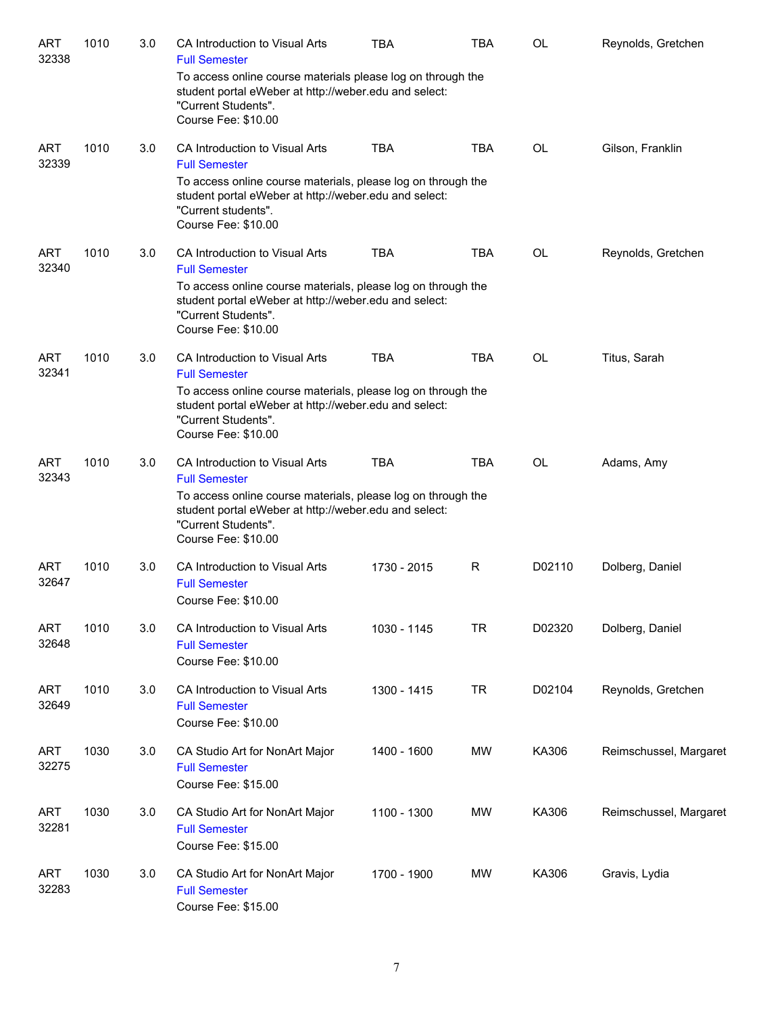| <b>ART</b><br>32338 | 1010 | 3.0 | CA Introduction to Visual Arts<br><b>Full Semester</b>                                                                                                              | <b>TBA</b>  | <b>TBA</b> | OL        | Reynolds, Gretchen     |
|---------------------|------|-----|---------------------------------------------------------------------------------------------------------------------------------------------------------------------|-------------|------------|-----------|------------------------|
|                     |      |     | To access online course materials please log on through the<br>student portal eWeber at http://weber.edu and select:<br>"Current Students".<br>Course Fee: \$10.00  |             |            |           |                        |
| <b>ART</b><br>32339 | 1010 | 3.0 | CA Introduction to Visual Arts<br><b>Full Semester</b>                                                                                                              | <b>TBA</b>  | <b>TBA</b> | OL        | Gilson, Franklin       |
|                     |      |     | To access online course materials, please log on through the<br>student portal eWeber at http://weber.edu and select:<br>"Current students".<br>Course Fee: \$10.00 |             |            |           |                        |
| <b>ART</b><br>32340 | 1010 | 3.0 | CA Introduction to Visual Arts<br><b>Full Semester</b>                                                                                                              | <b>TBA</b>  | <b>TBA</b> | OL        | Reynolds, Gretchen     |
|                     |      |     | To access online course materials, please log on through the<br>student portal eWeber at http://weber.edu and select:<br>"Current Students".<br>Course Fee: \$10.00 |             |            |           |                        |
| <b>ART</b><br>32341 | 1010 | 3.0 | CA Introduction to Visual Arts<br><b>Full Semester</b>                                                                                                              | <b>TBA</b>  | <b>TBA</b> | <b>OL</b> | Titus, Sarah           |
|                     |      |     | To access online course materials, please log on through the<br>student portal eWeber at http://weber.edu and select:<br>"Current Students".<br>Course Fee: \$10.00 |             |            |           |                        |
| ART<br>32343        | 1010 | 3.0 | CA Introduction to Visual Arts<br><b>Full Semester</b>                                                                                                              | <b>TBA</b>  | TBA        | OL        | Adams, Amy             |
|                     |      |     | To access online course materials, please log on through the<br>student portal eWeber at http://weber.edu and select:<br>"Current Students".<br>Course Fee: \$10.00 |             |            |           |                        |
| <b>ART</b><br>32647 | 1010 | 3.0 | CA Introduction to Visual Arts<br><b>Full Semester</b><br>Course Fee: \$10.00                                                                                       | 1730 - 2015 | R          | D02110    | Dolberg, Daniel        |
| <b>ART</b><br>32648 | 1010 | 3.0 | CA Introduction to Visual Arts<br><b>Full Semester</b><br>Course Fee: \$10.00                                                                                       | 1030 - 1145 | <b>TR</b>  | D02320    | Dolberg, Daniel        |
| <b>ART</b><br>32649 | 1010 | 3.0 | CA Introduction to Visual Arts<br><b>Full Semester</b><br>Course Fee: \$10.00                                                                                       | 1300 - 1415 | <b>TR</b>  | D02104    | Reynolds, Gretchen     |
| ART<br>32275        | 1030 | 3.0 | CA Studio Art for NonArt Major<br><b>Full Semester</b><br>Course Fee: \$15.00                                                                                       | 1400 - 1600 | <b>MW</b>  | KA306     | Reimschussel, Margaret |
| <b>ART</b><br>32281 | 1030 | 3.0 | CA Studio Art for NonArt Major<br><b>Full Semester</b><br>Course Fee: \$15.00                                                                                       | 1100 - 1300 | <b>MW</b>  | KA306     | Reimschussel, Margaret |
| <b>ART</b><br>32283 | 1030 | 3.0 | CA Studio Art for NonArt Major<br><b>Full Semester</b><br>Course Fee: \$15.00                                                                                       | 1700 - 1900 | <b>MW</b>  | KA306     | Gravis, Lydia          |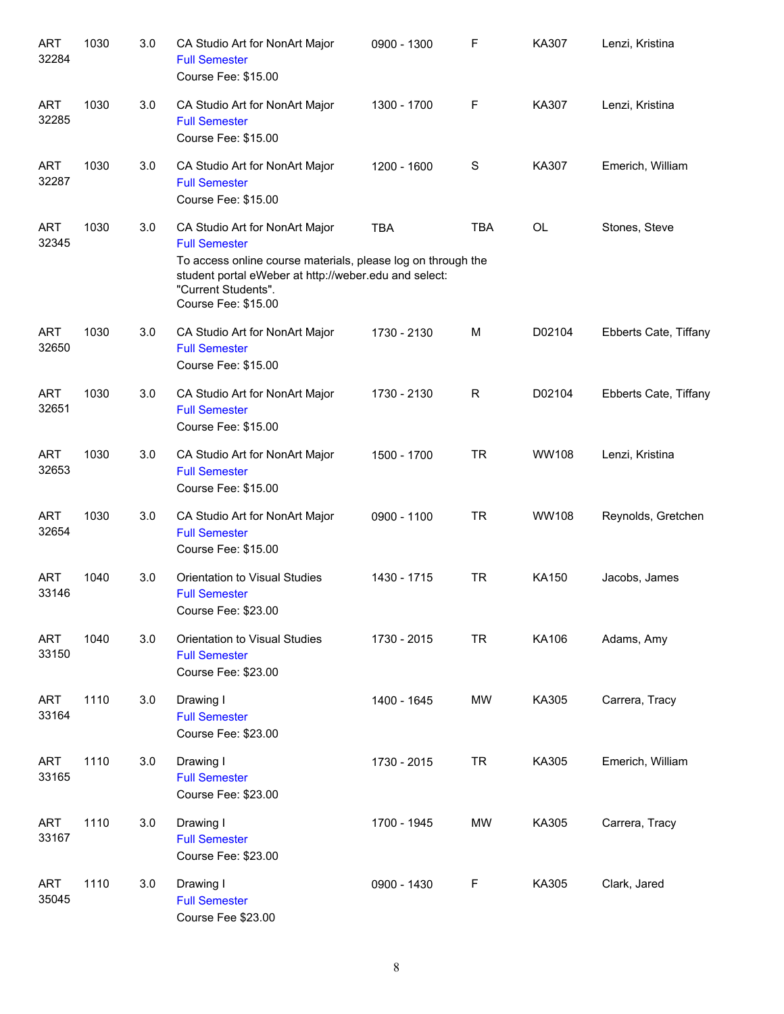| <b>ART</b><br>32284 | 1030 | 3.0 | CA Studio Art for NonArt Major<br><b>Full Semester</b><br>Course Fee: \$15.00                                                                                                                                                 | 0900 - 1300 | F          | KA307        | Lenzi, Kristina       |
|---------------------|------|-----|-------------------------------------------------------------------------------------------------------------------------------------------------------------------------------------------------------------------------------|-------------|------------|--------------|-----------------------|
| <b>ART</b><br>32285 | 1030 | 3.0 | CA Studio Art for NonArt Major<br><b>Full Semester</b><br>Course Fee: \$15.00                                                                                                                                                 | 1300 - 1700 | F          | KA307        | Lenzi, Kristina       |
| <b>ART</b><br>32287 | 1030 | 3.0 | CA Studio Art for NonArt Major<br><b>Full Semester</b><br>Course Fee: \$15.00                                                                                                                                                 | 1200 - 1600 | S          | KA307        | Emerich, William      |
| <b>ART</b><br>32345 | 1030 | 3.0 | CA Studio Art for NonArt Major<br><b>Full Semester</b><br>To access online course materials, please log on through the<br>student portal eWeber at http://weber.edu and select:<br>"Current Students".<br>Course Fee: \$15.00 | <b>TBA</b>  | <b>TBA</b> | <b>OL</b>    | Stones, Steve         |
| <b>ART</b><br>32650 | 1030 | 3.0 | CA Studio Art for NonArt Major<br><b>Full Semester</b><br>Course Fee: \$15.00                                                                                                                                                 | 1730 - 2130 | M          | D02104       | Ebberts Cate, Tiffany |
| <b>ART</b><br>32651 | 1030 | 3.0 | CA Studio Art for NonArt Major<br><b>Full Semester</b><br>Course Fee: \$15.00                                                                                                                                                 | 1730 - 2130 | R          | D02104       | Ebberts Cate, Tiffany |
| <b>ART</b><br>32653 | 1030 | 3.0 | CA Studio Art for NonArt Major<br><b>Full Semester</b><br>Course Fee: \$15.00                                                                                                                                                 | 1500 - 1700 | <b>TR</b>  | <b>WW108</b> | Lenzi, Kristina       |
| <b>ART</b><br>32654 | 1030 | 3.0 | CA Studio Art for NonArt Major<br><b>Full Semester</b><br>Course Fee: \$15.00                                                                                                                                                 | 0900 - 1100 | <b>TR</b>  | <b>WW108</b> | Reynolds, Gretchen    |
| <b>ART</b><br>33146 | 1040 | 3.0 | Orientation to Visual Studies<br><b>Full Semester</b><br>Course Fee: \$23.00                                                                                                                                                  | 1430 - 1715 | <b>TR</b>  | KA150        | Jacobs, James         |
| <b>ART</b><br>33150 | 1040 | 3.0 | Orientation to Visual Studies<br><b>Full Semester</b><br>Course Fee: \$23.00                                                                                                                                                  | 1730 - 2015 | <b>TR</b>  | KA106        | Adams, Amy            |
| <b>ART</b><br>33164 | 1110 | 3.0 | Drawing I<br><b>Full Semester</b><br>Course Fee: \$23.00                                                                                                                                                                      | 1400 - 1645 | <b>MW</b>  | KA305        | Carrera, Tracy        |
| <b>ART</b><br>33165 | 1110 | 3.0 | Drawing I<br><b>Full Semester</b><br>Course Fee: \$23.00                                                                                                                                                                      | 1730 - 2015 | <b>TR</b>  | KA305        | Emerich, William      |
| <b>ART</b><br>33167 | 1110 | 3.0 | Drawing I<br><b>Full Semester</b><br>Course Fee: \$23.00                                                                                                                                                                      | 1700 - 1945 | <b>MW</b>  | KA305        | Carrera, Tracy        |
| <b>ART</b><br>35045 | 1110 | 3.0 | Drawing I<br><b>Full Semester</b><br>Course Fee \$23.00                                                                                                                                                                       | 0900 - 1430 | F          | KA305        | Clark, Jared          |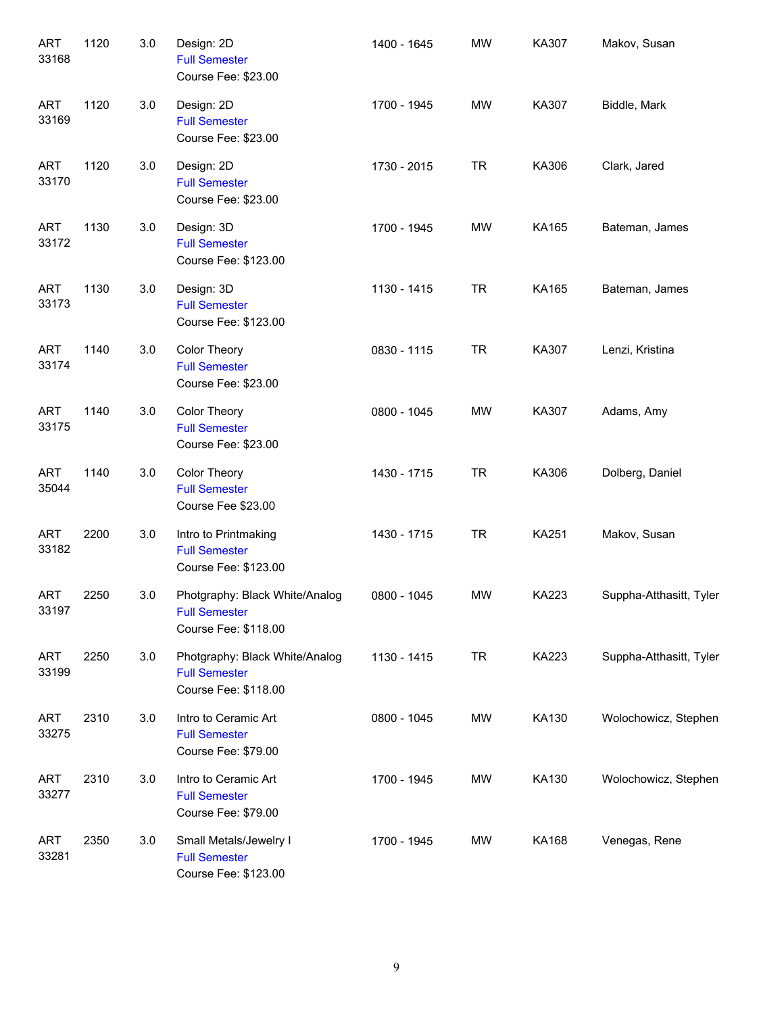| <b>ART</b><br>33168 | 1120 | 3.0 | Design: 2D<br><b>Full Semester</b><br>Course Fee: \$23.00                      | 1400 - 1645 | <b>MW</b> | KA307        | Makov, Susan            |
|---------------------|------|-----|--------------------------------------------------------------------------------|-------------|-----------|--------------|-------------------------|
| <b>ART</b><br>33169 | 1120 | 3.0 | Design: 2D<br><b>Full Semester</b><br>Course Fee: \$23.00                      | 1700 - 1945 | <b>MW</b> | KA307        | Biddle, Mark            |
| <b>ART</b><br>33170 | 1120 | 3.0 | Design: 2D<br><b>Full Semester</b><br>Course Fee: \$23.00                      | 1730 - 2015 | <b>TR</b> | KA306        | Clark, Jared            |
| <b>ART</b><br>33172 | 1130 | 3.0 | Design: 3D<br><b>Full Semester</b><br>Course Fee: \$123.00                     | 1700 - 1945 | <b>MW</b> | KA165        | Bateman, James          |
| <b>ART</b><br>33173 | 1130 | 3.0 | Design: 3D<br><b>Full Semester</b><br>Course Fee: \$123.00                     | 1130 - 1415 | <b>TR</b> | KA165        | Bateman, James          |
| <b>ART</b><br>33174 | 1140 | 3.0 | Color Theory<br><b>Full Semester</b><br>Course Fee: \$23.00                    | 0830 - 1115 | <b>TR</b> | KA307        | Lenzi, Kristina         |
| <b>ART</b><br>33175 | 1140 | 3.0 | Color Theory<br><b>Full Semester</b><br>Course Fee: \$23.00                    | 0800 - 1045 | <b>MW</b> | KA307        | Adams, Amy              |
| <b>ART</b><br>35044 | 1140 | 3.0 | Color Theory<br><b>Full Semester</b><br>Course Fee \$23.00                     | 1430 - 1715 | <b>TR</b> | KA306        | Dolberg, Daniel         |
| <b>ART</b><br>33182 | 2200 | 3.0 | Intro to Printmaking<br><b>Full Semester</b><br>Course Fee: \$123.00           | 1430 - 1715 | <b>TR</b> | <b>KA251</b> | Makov, Susan            |
| <b>ART</b><br>33197 | 2250 | 3.0 | Photgraphy: Black White/Analog<br><b>Full Semester</b><br>Course Fee: \$118.00 | 0800 - 1045 | <b>MW</b> | KA223        | Suppha-Atthasitt, Tyler |
| <b>ART</b><br>33199 | 2250 | 3.0 | Photgraphy: Black White/Analog<br><b>Full Semester</b><br>Course Fee: \$118.00 | 1130 - 1415 | <b>TR</b> | KA223        | Suppha-Atthasitt, Tyler |
| ART<br>33275        | 2310 | 3.0 | Intro to Ceramic Art<br><b>Full Semester</b><br>Course Fee: \$79.00            | 0800 - 1045 | MW        | KA130        | Wolochowicz, Stephen    |
| ART<br>33277        | 2310 | 3.0 | Intro to Ceramic Art<br><b>Full Semester</b><br>Course Fee: \$79.00            | 1700 - 1945 | MW        | KA130        | Wolochowicz, Stephen    |
| <b>ART</b><br>33281 | 2350 | 3.0 | Small Metals/Jewelry I<br><b>Full Semester</b><br>Course Fee: \$123.00         | 1700 - 1945 | MW        | KA168        | Venegas, Rene           |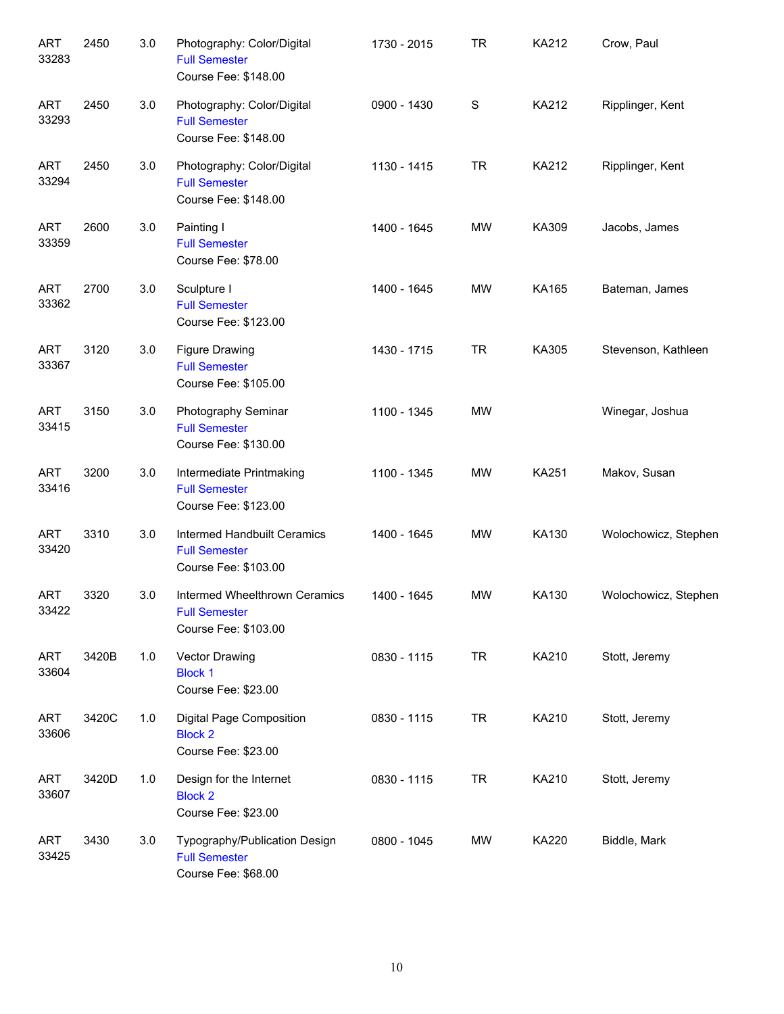| <b>ART</b><br>33283 | 2450  | 3.0 | Photography: Color/Digital<br><b>Full Semester</b><br>Course Fee: \$148.00    | 1730 - 2015 | <b>TR</b> | KA212 | Crow, Paul           |
|---------------------|-------|-----|-------------------------------------------------------------------------------|-------------|-----------|-------|----------------------|
| <b>ART</b><br>33293 | 2450  | 3.0 | Photography: Color/Digital<br><b>Full Semester</b><br>Course Fee: \$148.00    | 0900 - 1430 | S         | KA212 | Ripplinger, Kent     |
| <b>ART</b><br>33294 | 2450  | 3.0 | Photography: Color/Digital<br><b>Full Semester</b><br>Course Fee: \$148.00    | 1130 - 1415 | <b>TR</b> | KA212 | Ripplinger, Kent     |
| <b>ART</b><br>33359 | 2600  | 3.0 | Painting I<br><b>Full Semester</b><br>Course Fee: \$78.00                     | 1400 - 1645 | <b>MW</b> | KA309 | Jacobs, James        |
| <b>ART</b><br>33362 | 2700  | 3.0 | Sculpture I<br><b>Full Semester</b><br>Course Fee: \$123.00                   | 1400 - 1645 | <b>MW</b> | KA165 | Bateman, James       |
| <b>ART</b><br>33367 | 3120  | 3.0 | <b>Figure Drawing</b><br><b>Full Semester</b><br>Course Fee: \$105.00         | 1430 - 1715 | <b>TR</b> | KA305 | Stevenson, Kathleen  |
| <b>ART</b><br>33415 | 3150  | 3.0 | Photography Seminar<br><b>Full Semester</b><br>Course Fee: \$130.00           | 1100 - 1345 | <b>MW</b> |       | Winegar, Joshua      |
| <b>ART</b><br>33416 | 3200  | 3.0 | Intermediate Printmaking<br><b>Full Semester</b><br>Course Fee: \$123.00      | 1100 - 1345 | MW        | KA251 | Makov, Susan         |
| <b>ART</b><br>33420 | 3310  | 3.0 | Intermed Handbuilt Ceramics<br><b>Full Semester</b><br>Course Fee: \$103.00   | 1400 - 1645 | <b>MW</b> | KA130 | Wolochowicz, Stephen |
| ART<br>33422        | 3320  | 3.0 | Intermed Wheelthrown Ceramics<br><b>Full Semester</b><br>Course Fee: \$103.00 | 1400 - 1645 | <b>MW</b> | KA130 | Wolochowicz, Stephen |
| <b>ART</b><br>33604 | 3420B | 1.0 | Vector Drawing<br><b>Block 1</b><br>Course Fee: \$23.00                       | 0830 - 1115 | <b>TR</b> | KA210 | Stott, Jeremy        |
| <b>ART</b><br>33606 | 3420C | 1.0 | <b>Digital Page Composition</b><br><b>Block 2</b><br>Course Fee: \$23.00      | 0830 - 1115 | <b>TR</b> | KA210 | Stott, Jeremy        |
| ART<br>33607        | 3420D | 1.0 | Design for the Internet<br><b>Block 2</b><br>Course Fee: \$23.00              | 0830 - 1115 | <b>TR</b> | KA210 | Stott, Jeremy        |
| ART<br>33425        | 3430  | 3.0 | Typography/Publication Design<br><b>Full Semester</b><br>Course Fee: \$68.00  | 0800 - 1045 | MW        | KA220 | Biddle, Mark         |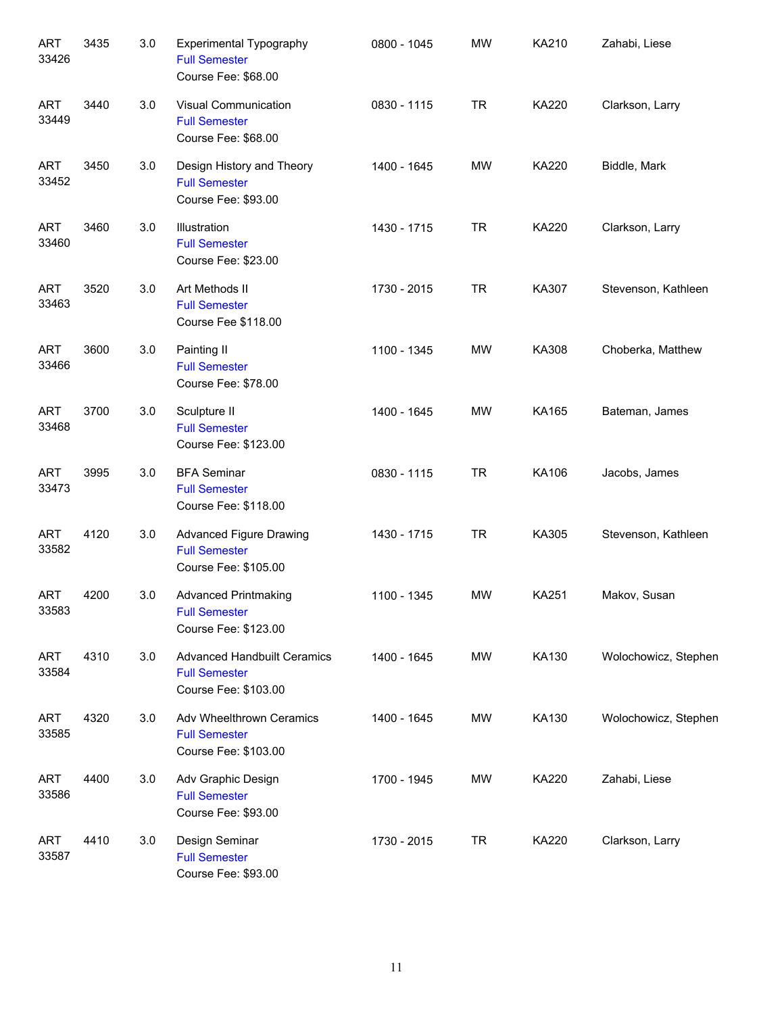| <b>ART</b><br>33426 | 3435 | 3.0 | Experimental Typography<br><b>Full Semester</b><br>Course Fee: \$68.00             | 0800 - 1045 | <b>MW</b> | KA210        | Zahabi, Liese        |
|---------------------|------|-----|------------------------------------------------------------------------------------|-------------|-----------|--------------|----------------------|
| <b>ART</b><br>33449 | 3440 | 3.0 | <b>Visual Communication</b><br><b>Full Semester</b><br>Course Fee: \$68.00         | 0830 - 1115 | <b>TR</b> | KA220        | Clarkson, Larry      |
| <b>ART</b><br>33452 | 3450 | 3.0 | Design History and Theory<br><b>Full Semester</b><br>Course Fee: \$93.00           | 1400 - 1645 | MW        | <b>KA220</b> | Biddle, Mark         |
| <b>ART</b><br>33460 | 3460 | 3.0 | Illustration<br><b>Full Semester</b><br>Course Fee: \$23.00                        | 1430 - 1715 | <b>TR</b> | KA220        | Clarkson, Larry      |
| <b>ART</b><br>33463 | 3520 | 3.0 | Art Methods II<br><b>Full Semester</b><br>Course Fee \$118.00                      | 1730 - 2015 | <b>TR</b> | KA307        | Stevenson, Kathleen  |
| <b>ART</b><br>33466 | 3600 | 3.0 | Painting II<br><b>Full Semester</b><br>Course Fee: \$78.00                         | 1100 - 1345 | <b>MW</b> | KA308        | Choberka, Matthew    |
| <b>ART</b><br>33468 | 3700 | 3.0 | Sculpture II<br><b>Full Semester</b><br>Course Fee: \$123.00                       | 1400 - 1645 | MW        | KA165        | Bateman, James       |
| <b>ART</b><br>33473 | 3995 | 3.0 | <b>BFA Seminar</b><br><b>Full Semester</b><br>Course Fee: \$118.00                 | 0830 - 1115 | <b>TR</b> | KA106        | Jacobs, James        |
| <b>ART</b><br>33582 | 4120 | 3.0 | <b>Advanced Figure Drawing</b><br><b>Full Semester</b><br>Course Fee: \$105.00     | 1430 - 1715 | <b>TR</b> | KA305        | Stevenson, Kathleen  |
| ART<br>33583        | 4200 | 3.0 | <b>Advanced Printmaking</b><br><b>Full Semester</b><br>Course Fee: \$123.00        | 1100 - 1345 | <b>MW</b> | <b>KA251</b> | Makov, Susan         |
| ART<br>33584        | 4310 | 3.0 | <b>Advanced Handbuilt Ceramics</b><br><b>Full Semester</b><br>Course Fee: \$103.00 | 1400 - 1645 | MW        | KA130        | Wolochowicz, Stephen |
| ART<br>33585        | 4320 | 3.0 | Adv Wheelthrown Ceramics<br><b>Full Semester</b><br>Course Fee: \$103.00           | 1400 - 1645 | MW        | KA130        | Wolochowicz, Stephen |
| ART<br>33586        | 4400 | 3.0 | Adv Graphic Design<br><b>Full Semester</b><br>Course Fee: \$93.00                  | 1700 - 1945 | MW        | KA220        | Zahabi, Liese        |
| ART<br>33587        | 4410 | 3.0 | Design Seminar<br><b>Full Semester</b><br>Course Fee: \$93.00                      | 1730 - 2015 | <b>TR</b> | KA220        | Clarkson, Larry      |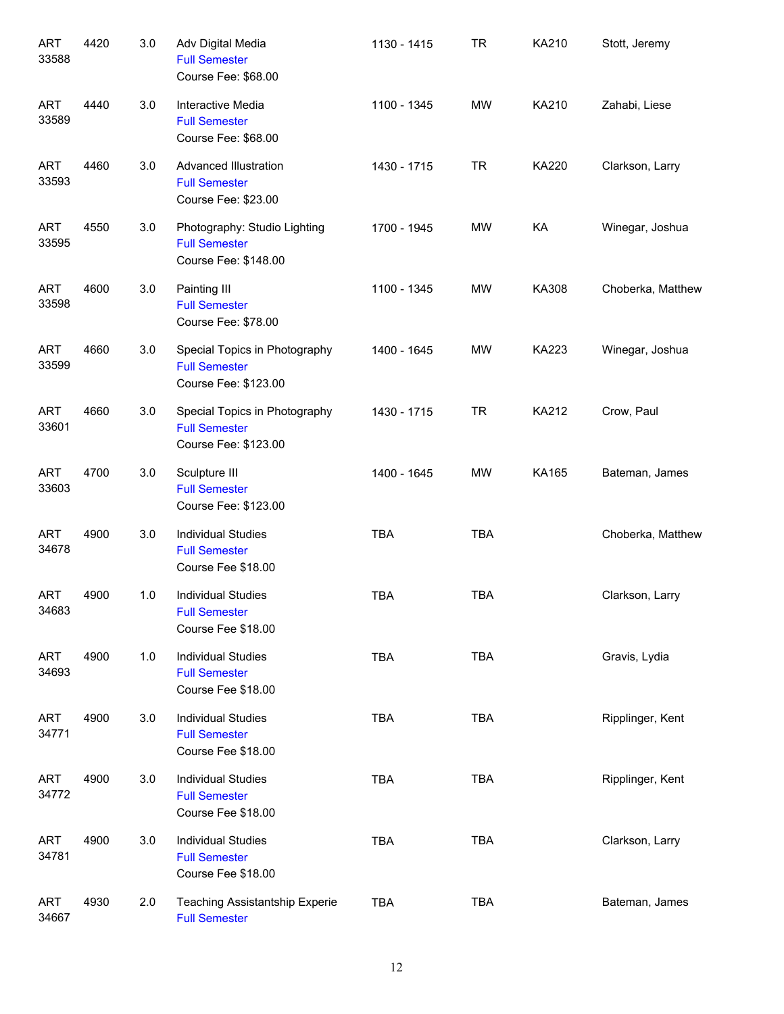| <b>ART</b><br>33588 | 4420 | 3.0 | Adv Digital Media<br><b>Full Semester</b><br>Course Fee: \$68.00              | 1130 - 1415 | <b>TR</b>  | KA210        | Stott, Jeremy     |
|---------------------|------|-----|-------------------------------------------------------------------------------|-------------|------------|--------------|-------------------|
| <b>ART</b><br>33589 | 4440 | 3.0 | Interactive Media<br><b>Full Semester</b><br>Course Fee: \$68.00              | 1100 - 1345 | <b>MW</b>  | KA210        | Zahabi, Liese     |
| <b>ART</b><br>33593 | 4460 | 3.0 | <b>Advanced Illustration</b><br><b>Full Semester</b><br>Course Fee: \$23.00   | 1430 - 1715 | <b>TR</b>  | KA220        | Clarkson, Larry   |
| <b>ART</b><br>33595 | 4550 | 3.0 | Photography: Studio Lighting<br><b>Full Semester</b><br>Course Fee: \$148.00  | 1700 - 1945 | MW         | KA           | Winegar, Joshua   |
| <b>ART</b><br>33598 | 4600 | 3.0 | Painting III<br><b>Full Semester</b><br>Course Fee: \$78.00                   | 1100 - 1345 | <b>MW</b>  | KA308        | Choberka, Matthew |
| <b>ART</b><br>33599 | 4660 | 3.0 | Special Topics in Photography<br><b>Full Semester</b><br>Course Fee: \$123.00 | 1400 - 1645 | <b>MW</b>  | <b>KA223</b> | Winegar, Joshua   |
| <b>ART</b><br>33601 | 4660 | 3.0 | Special Topics in Photography<br><b>Full Semester</b><br>Course Fee: \$123.00 | 1430 - 1715 | <b>TR</b>  | KA212        | Crow, Paul        |
| <b>ART</b><br>33603 | 4700 | 3.0 | Sculpture III<br><b>Full Semester</b><br>Course Fee: \$123.00                 | 1400 - 1645 | <b>MW</b>  | KA165        | Bateman, James    |
| <b>ART</b><br>34678 | 4900 | 3.0 | <b>Individual Studies</b><br><b>Full Semester</b><br>Course Fee \$18.00       | <b>TBA</b>  | <b>TBA</b> |              | Choberka, Matthew |
| <b>ART</b><br>34683 | 4900 | 1.0 | <b>Individual Studies</b><br><b>Full Semester</b><br>Course Fee \$18.00       | <b>TBA</b>  | <b>TBA</b> |              | Clarkson, Larry   |
| <b>ART</b><br>34693 | 4900 | 1.0 | <b>Individual Studies</b><br><b>Full Semester</b><br>Course Fee \$18.00       | <b>TBA</b>  | <b>TBA</b> |              | Gravis, Lydia     |
| <b>ART</b><br>34771 | 4900 | 3.0 | <b>Individual Studies</b><br><b>Full Semester</b><br>Course Fee \$18.00       | <b>TBA</b>  | <b>TBA</b> |              | Ripplinger, Kent  |
| <b>ART</b><br>34772 | 4900 | 3.0 | <b>Individual Studies</b><br><b>Full Semester</b><br>Course Fee \$18.00       | <b>TBA</b>  | <b>TBA</b> |              | Ripplinger, Kent  |
| <b>ART</b><br>34781 | 4900 | 3.0 | <b>Individual Studies</b><br><b>Full Semester</b><br>Course Fee \$18.00       | <b>TBA</b>  | <b>TBA</b> |              | Clarkson, Larry   |
| <b>ART</b><br>34667 | 4930 | 2.0 | Teaching Assistantship Experie<br><b>Full Semester</b>                        | <b>TBA</b>  | <b>TBA</b> |              | Bateman, James    |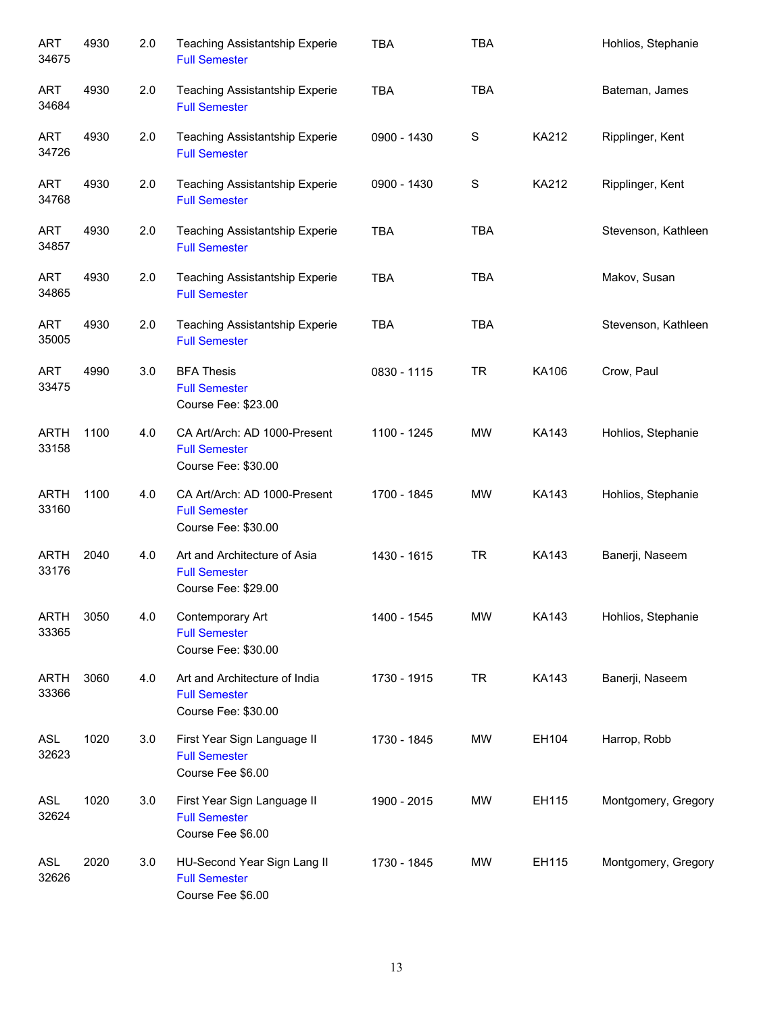| <b>ART</b><br>34675  | 4930 | 2.0 | <b>Teaching Assistantship Experie</b><br><b>Full Semester</b>                | <b>TBA</b>  | <b>TBA</b> |              | Hohlios, Stephanie  |
|----------------------|------|-----|------------------------------------------------------------------------------|-------------|------------|--------------|---------------------|
| <b>ART</b><br>34684  | 4930 | 2.0 | <b>Teaching Assistantship Experie</b><br><b>Full Semester</b>                | <b>TBA</b>  | <b>TBA</b> |              | Bateman, James      |
| <b>ART</b><br>34726  | 4930 | 2.0 | Teaching Assistantship Experie<br><b>Full Semester</b>                       | 0900 - 1430 | S          | KA212        | Ripplinger, Kent    |
| <b>ART</b><br>34768  | 4930 | 2.0 | <b>Teaching Assistantship Experie</b><br><b>Full Semester</b>                | 0900 - 1430 | S          | KA212        | Ripplinger, Kent    |
| <b>ART</b><br>34857  | 4930 | 2.0 | <b>Teaching Assistantship Experie</b><br><b>Full Semester</b>                | <b>TBA</b>  | <b>TBA</b> |              | Stevenson, Kathleen |
| <b>ART</b><br>34865  | 4930 | 2.0 | <b>Teaching Assistantship Experie</b><br><b>Full Semester</b>                | <b>TBA</b>  | <b>TBA</b> |              | Makov, Susan        |
| <b>ART</b><br>35005  | 4930 | 2.0 | Teaching Assistantship Experie<br><b>Full Semester</b>                       | <b>TBA</b>  | <b>TBA</b> |              | Stevenson, Kathleen |
| <b>ART</b><br>33475  | 4990 | 3.0 | <b>BFA Thesis</b><br><b>Full Semester</b><br>Course Fee: \$23.00             | 0830 - 1115 | <b>TR</b>  | KA106        | Crow, Paul          |
| <b>ARTH</b><br>33158 | 1100 | 4.0 | CA Art/Arch: AD 1000-Present<br><b>Full Semester</b><br>Course Fee: \$30.00  | 1100 - 1245 | <b>MW</b>  | KA143        | Hohlios, Stephanie  |
| <b>ARTH</b><br>33160 | 1100 | 4.0 | CA Art/Arch: AD 1000-Present<br><b>Full Semester</b><br>Course Fee: \$30.00  | 1700 - 1845 | <b>MW</b>  | KA143        | Hohlios, Stephanie  |
| <b>ARTH</b><br>33176 | 2040 | 4.0 | Art and Architecture of Asia<br><b>Full Semester</b><br>Course Fee: \$29.00  | 1430 - 1615 | <b>TR</b>  | <b>KA143</b> | Banerji, Naseem     |
| <b>ARTH</b><br>33365 | 3050 | 4.0 | Contemporary Art<br><b>Full Semester</b><br>Course Fee: \$30.00              | 1400 - 1545 | <b>MW</b>  | <b>KA143</b> | Hohlios, Stephanie  |
| <b>ARTH</b><br>33366 | 3060 | 4.0 | Art and Architecture of India<br><b>Full Semester</b><br>Course Fee: \$30.00 | 1730 - 1915 | <b>TR</b>  | KA143        | Banerji, Naseem     |
| ASL<br>32623         | 1020 | 3.0 | First Year Sign Language II<br><b>Full Semester</b><br>Course Fee \$6.00     | 1730 - 1845 | <b>MW</b>  | EH104        | Harrop, Robb        |
| ASL<br>32624         | 1020 | 3.0 | First Year Sign Language II<br><b>Full Semester</b><br>Course Fee \$6.00     | 1900 - 2015 | <b>MW</b>  | EH115        | Montgomery, Gregory |
| ASL<br>32626         | 2020 | 3.0 | HU-Second Year Sign Lang II<br><b>Full Semester</b><br>Course Fee \$6.00     | 1730 - 1845 | <b>MW</b>  | EH115        | Montgomery, Gregory |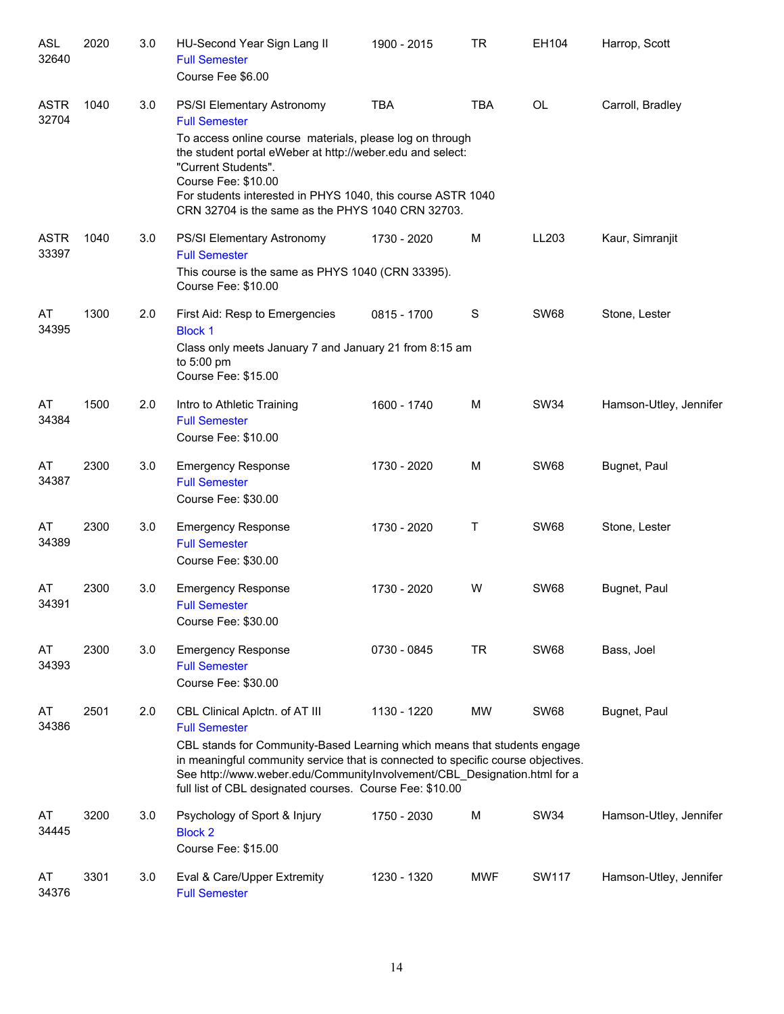| <b>ASL</b><br>32640  | 2020 | 3.0 | HU-Second Year Sign Lang II<br><b>Full Semester</b><br>Course Fee \$6.00                                                                                                                                               | 1900 - 2015 | <b>TR</b>  | EH104        | Harrop, Scott          |
|----------------------|------|-----|------------------------------------------------------------------------------------------------------------------------------------------------------------------------------------------------------------------------|-------------|------------|--------------|------------------------|
| <b>ASTR</b><br>32704 | 1040 | 3.0 | <b>PS/SI Elementary Astronomy</b><br><b>Full Semester</b><br>To access online course materials, please log on through<br>the student portal eWeber at http://weber.edu and select:                                     | <b>TBA</b>  | <b>TBA</b> | <b>OL</b>    | Carroll, Bradley       |
|                      |      |     | "Current Students".<br>Course Fee: \$10.00<br>For students interested in PHYS 1040, this course ASTR 1040<br>CRN 32704 is the same as the PHYS 1040 CRN 32703.                                                         |             |            |              |                        |
| <b>ASTR</b><br>33397 | 1040 | 3.0 | PS/SI Elementary Astronomy<br><b>Full Semester</b>                                                                                                                                                                     | 1730 - 2020 | м          | LL203        | Kaur, Simranjit        |
|                      |      |     | This course is the same as PHYS 1040 (CRN 33395).<br>Course Fee: \$10.00                                                                                                                                               |             |            |              |                        |
| AT<br>34395          | 1300 | 2.0 | First Aid: Resp to Emergencies<br><b>Block 1</b>                                                                                                                                                                       | 0815 - 1700 | S          | <b>SW68</b>  | Stone, Lester          |
|                      |      |     | Class only meets January 7 and January 21 from 8:15 am<br>to 5:00 pm<br>Course Fee: \$15.00                                                                                                                            |             |            |              |                        |
| AT<br>34384          | 1500 | 2.0 | Intro to Athletic Training<br><b>Full Semester</b><br>Course Fee: \$10.00                                                                                                                                              | 1600 - 1740 | M          | <b>SW34</b>  | Hamson-Utley, Jennifer |
| AT<br>34387          | 2300 | 3.0 | <b>Emergency Response</b><br><b>Full Semester</b><br>Course Fee: \$30.00                                                                                                                                               | 1730 - 2020 | M          | <b>SW68</b>  | Bugnet, Paul           |
| AT<br>34389          | 2300 | 3.0 | <b>Emergency Response</b><br><b>Full Semester</b><br>Course Fee: \$30.00                                                                                                                                               | 1730 - 2020 | Τ          | <b>SW68</b>  | Stone, Lester          |
| AT<br>34391          | 2300 | 3.0 | <b>Emergency Response</b><br><b>Full Semester</b><br>Course Fee: \$30.00                                                                                                                                               | 1730 - 2020 | W          | <b>SW68</b>  | Bugnet, Paul           |
| AT<br>34393          | 2300 | 3.0 | <b>Emergency Response</b><br><b>Full Semester</b><br>Course Fee: \$30.00                                                                                                                                               | 0730 - 0845 | <b>TR</b>  | <b>SW68</b>  | Bass, Joel             |
| AT<br>34386          | 2501 | 2.0 | CBL Clinical Aplctn. of AT III<br><b>Full Semester</b><br>CBL stands for Community-Based Learning which means that students engage<br>in meaningful community service that is connected to specific course objectives. | 1130 - 1220 | MW         | <b>SW68</b>  | Bugnet, Paul           |
|                      |      |     | See http://www.weber.edu/CommunityInvolvement/CBL_Designation.html for a<br>full list of CBL designated courses. Course Fee: \$10.00                                                                                   |             |            |              |                        |
| AT<br>34445          | 3200 | 3.0 | Psychology of Sport & Injury<br><b>Block 2</b><br>Course Fee: \$15.00                                                                                                                                                  | 1750 - 2030 | M          | <b>SW34</b>  | Hamson-Utley, Jennifer |
| AT<br>34376          | 3301 | 3.0 | Eval & Care/Upper Extremity<br><b>Full Semester</b>                                                                                                                                                                    | 1230 - 1320 | MWF        | <b>SW117</b> | Hamson-Utley, Jennifer |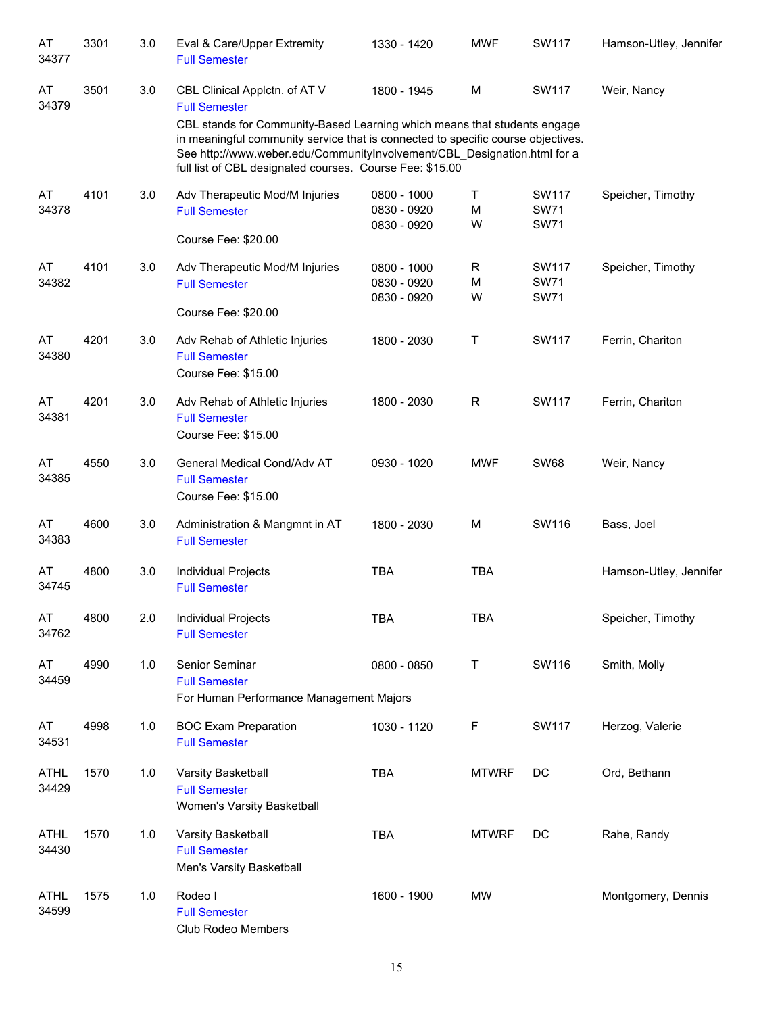| AT<br>34377          | 3301 | 3.0     | Eval & Care/Upper Extremity<br><b>Full Semester</b>                                                                                                                                                                                                                                                  | 1330 - 1420                               | <b>MWF</b>   | <b>SW117</b>                        | Hamson-Utley, Jennifer |
|----------------------|------|---------|------------------------------------------------------------------------------------------------------------------------------------------------------------------------------------------------------------------------------------------------------------------------------------------------------|-------------------------------------------|--------------|-------------------------------------|------------------------|
| AT<br>34379          | 3501 | 3.0     | CBL Clinical Applctn. of AT V<br><b>Full Semester</b>                                                                                                                                                                                                                                                | 1800 - 1945                               | M            | SW117                               | Weir, Nancy            |
|                      |      |         | CBL stands for Community-Based Learning which means that students engage<br>in meaningful community service that is connected to specific course objectives.<br>See http://www.weber.edu/CommunityInvolvement/CBL_Designation.html for a<br>full list of CBL designated courses. Course Fee: \$15.00 |                                           |              |                                     |                        |
| AT<br>34378          | 4101 | 3.0     | Adv Therapeutic Mod/M Injuries<br><b>Full Semester</b>                                                                                                                                                                                                                                               | 0800 - 1000<br>0830 - 0920<br>0830 - 0920 | Τ<br>M<br>W  | SW117<br><b>SW71</b><br><b>SW71</b> | Speicher, Timothy      |
|                      |      |         | Course Fee: \$20.00                                                                                                                                                                                                                                                                                  |                                           |              |                                     |                        |
| AT<br>34382          | 4101 | 3.0     | Adv Therapeutic Mod/M Injuries<br><b>Full Semester</b>                                                                                                                                                                                                                                               | 0800 - 1000<br>0830 - 0920<br>0830 - 0920 | R<br>М<br>W  | SW117<br><b>SW71</b><br><b>SW71</b> | Speicher, Timothy      |
|                      |      |         | Course Fee: \$20.00                                                                                                                                                                                                                                                                                  |                                           |              |                                     |                        |
| AT<br>34380          | 4201 | $3.0\,$ | Adv Rehab of Athletic Injuries<br><b>Full Semester</b><br>Course Fee: \$15.00                                                                                                                                                                                                                        | 1800 - 2030                               | Τ            | <b>SW117</b>                        | Ferrin, Chariton       |
| AT<br>34381          | 4201 | $3.0\,$ | Adv Rehab of Athletic Injuries<br><b>Full Semester</b><br>Course Fee: \$15.00                                                                                                                                                                                                                        | 1800 - 2030                               | R            | <b>SW117</b>                        | Ferrin, Chariton       |
| AT<br>34385          | 4550 | 3.0     | General Medical Cond/Adv AT<br><b>Full Semester</b><br>Course Fee: \$15.00                                                                                                                                                                                                                           | 0930 - 1020                               | <b>MWF</b>   | <b>SW68</b>                         | Weir, Nancy            |
| AT<br>34383          | 4600 | 3.0     | Administration & Mangmnt in AT<br><b>Full Semester</b>                                                                                                                                                                                                                                               | 1800 - 2030                               | M            | SW116                               | Bass, Joel             |
| AT<br>34745          | 4800 | 3.0     | Individual Projects<br><b>Full Semester</b>                                                                                                                                                                                                                                                          | <b>TBA</b>                                | <b>TBA</b>   |                                     | Hamson-Utley, Jennifer |
| AT<br>34762          | 4800 | 2.0     | <b>Individual Projects</b><br><b>Full Semester</b>                                                                                                                                                                                                                                                   | <b>TBA</b>                                | <b>TBA</b>   |                                     | Speicher, Timothy      |
| AT<br>34459          | 4990 | 1.0     | Senior Seminar<br><b>Full Semester</b>                                                                                                                                                                                                                                                               | 0800 - 0850                               | T            | SW116                               | Smith, Molly           |
|                      |      |         | For Human Performance Management Majors                                                                                                                                                                                                                                                              |                                           |              |                                     |                        |
| AT<br>34531          | 4998 | 1.0     | <b>BOC Exam Preparation</b><br><b>Full Semester</b>                                                                                                                                                                                                                                                  | 1030 - 1120                               | $\mathsf F$  | <b>SW117</b>                        | Herzog, Valerie        |
| <b>ATHL</b><br>34429 | 1570 | 1.0     | Varsity Basketball<br><b>Full Semester</b><br>Women's Varsity Basketball                                                                                                                                                                                                                             | <b>TBA</b>                                | <b>MTWRF</b> | DC                                  | Ord, Bethann           |
| <b>ATHL</b><br>34430 | 1570 | 1.0     | Varsity Basketball<br><b>Full Semester</b><br>Men's Varsity Basketball                                                                                                                                                                                                                               | <b>TBA</b>                                | <b>MTWRF</b> | DC                                  | Rahe, Randy            |
| <b>ATHL</b><br>34599 | 1575 | 1.0     | Rodeo I<br><b>Full Semester</b><br>Club Rodeo Members                                                                                                                                                                                                                                                | 1600 - 1900                               | <b>MW</b>    |                                     | Montgomery, Dennis     |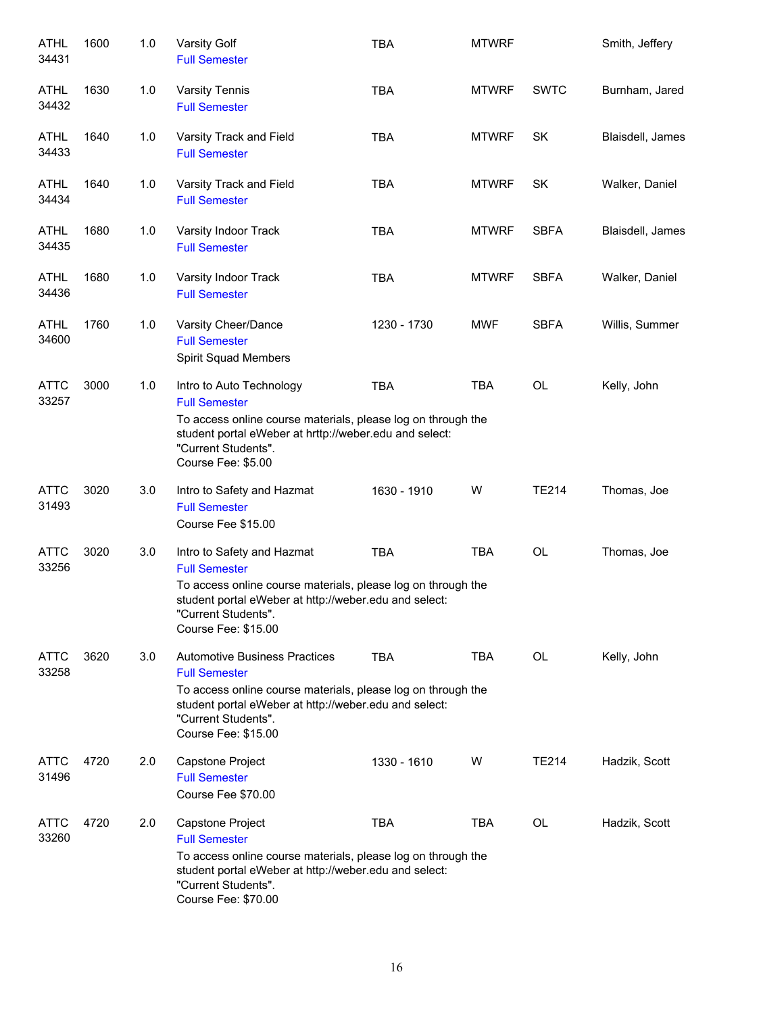| <b>ATHL</b><br>34431 | 1600 | 1.0 | Varsity Golf<br><b>Full Semester</b>                                                                                                                                                                                                | <b>TBA</b>  | <b>MTWRF</b> |              | Smith, Jeffery   |
|----------------------|------|-----|-------------------------------------------------------------------------------------------------------------------------------------------------------------------------------------------------------------------------------------|-------------|--------------|--------------|------------------|
| ATHL<br>34432        | 1630 | 1.0 | <b>Varsity Tennis</b><br><b>Full Semester</b>                                                                                                                                                                                       | <b>TBA</b>  | <b>MTWRF</b> | <b>SWTC</b>  | Burnham, Jared   |
| ATHL<br>34433        | 1640 | 1.0 | Varsity Track and Field<br><b>Full Semester</b>                                                                                                                                                                                     | <b>TBA</b>  | <b>MTWRF</b> | <b>SK</b>    | Blaisdell, James |
| <b>ATHL</b><br>34434 | 1640 | 1.0 | Varsity Track and Field<br><b>Full Semester</b>                                                                                                                                                                                     | <b>TBA</b>  | <b>MTWRF</b> | SK           | Walker, Daniel   |
| <b>ATHL</b><br>34435 | 1680 | 1.0 | Varsity Indoor Track<br><b>Full Semester</b>                                                                                                                                                                                        | <b>TBA</b>  | <b>MTWRF</b> | <b>SBFA</b>  | Blaisdell, James |
| ATHL<br>34436        | 1680 | 1.0 | Varsity Indoor Track<br><b>Full Semester</b>                                                                                                                                                                                        | <b>TBA</b>  | <b>MTWRF</b> | <b>SBFA</b>  | Walker, Daniel   |
| <b>ATHL</b><br>34600 | 1760 | 1.0 | Varsity Cheer/Dance<br><b>Full Semester</b><br>Spirit Squad Members                                                                                                                                                                 | 1230 - 1730 | <b>MWF</b>   | <b>SBFA</b>  | Willis, Summer   |
| <b>ATTC</b><br>33257 | 3000 | 1.0 | Intro to Auto Technology<br><b>Full Semester</b><br>To access online course materials, please log on through the<br>student portal eWeber at hrttp://weber.edu and select:<br>"Current Students".<br>Course Fee: \$5.00             | <b>TBA</b>  | <b>TBA</b>   | <b>OL</b>    | Kelly, John      |
| <b>ATTC</b><br>31493 | 3020 | 3.0 | Intro to Safety and Hazmat<br><b>Full Semester</b><br>Course Fee \$15.00                                                                                                                                                            | 1630 - 1910 | W            | <b>TE214</b> | Thomas, Joe      |
| <b>ATTC</b><br>33256 | 3020 | 3.0 | Intro to Safety and Hazmat<br><b>Full Semester</b><br>To access online course materials, please log on through the<br>student portal eWeber at http://weber.edu and select:<br>"Current Students".<br>Course Fee: \$15.00           | <b>TBA</b>  | <b>TBA</b>   | <b>OL</b>    | Thomas, Joe      |
| ATTC<br>33258        | 3620 | 3.0 | <b>Automotive Business Practices</b><br><b>Full Semester</b><br>To access online course materials, please log on through the<br>student portal eWeber at http://weber.edu and select:<br>"Current Students".<br>Course Fee: \$15.00 | <b>TBA</b>  | TBA          | OL           | Kelly, John      |
| <b>ATTC</b><br>31496 | 4720 | 2.0 | Capstone Project<br><b>Full Semester</b><br>Course Fee \$70.00                                                                                                                                                                      | 1330 - 1610 | W            | TE214        | Hadzik, Scott    |
| <b>ATTC</b><br>33260 | 4720 | 2.0 | Capstone Project<br><b>Full Semester</b><br>To access online course materials, please log on through the<br>student portal eWeber at http://weber.edu and select:<br>"Current Students".<br>Course Fee: \$70.00                     | <b>TBA</b>  | <b>TBA</b>   | OL           | Hadzik, Scott    |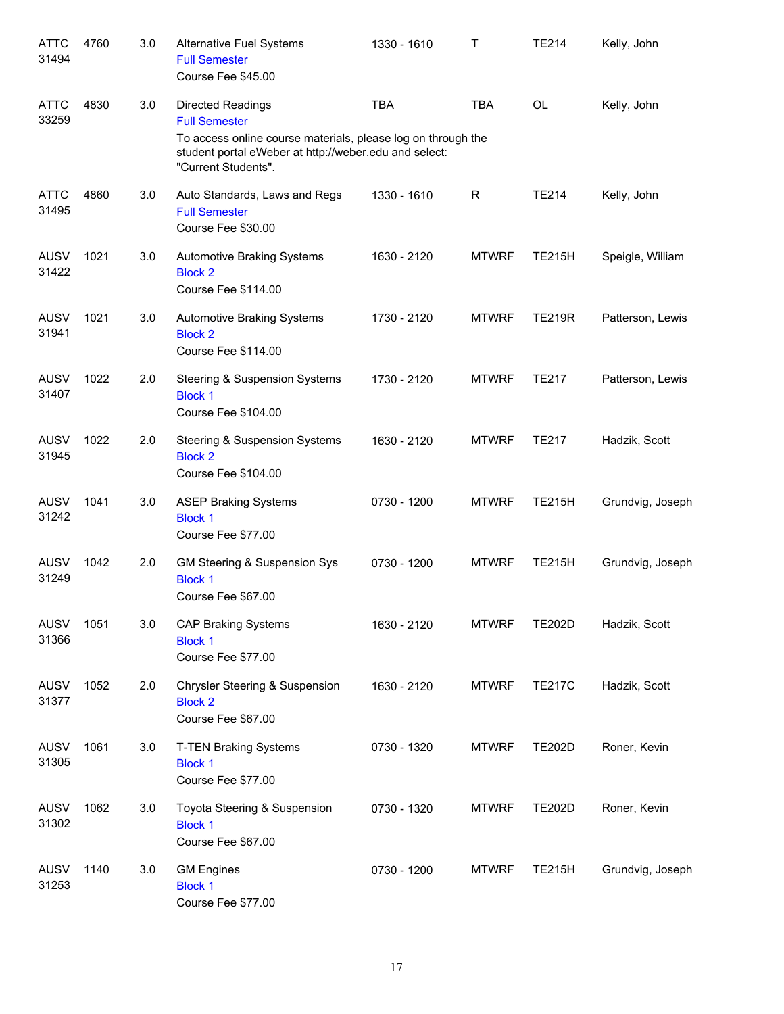| <b>ATTC</b><br>31494 | 4760 | 3.0 | <b>Alternative Fuel Systems</b><br><b>Full Semester</b><br>Course Fee \$45.00                                                                                                                    | 1330 - 1610 | T            | <b>TE214</b>  | Kelly, John      |
|----------------------|------|-----|--------------------------------------------------------------------------------------------------------------------------------------------------------------------------------------------------|-------------|--------------|---------------|------------------|
| <b>ATTC</b><br>33259 | 4830 | 3.0 | <b>Directed Readings</b><br><b>Full Semester</b><br>To access online course materials, please log on through the<br>student portal eWeber at http://weber.edu and select:<br>"Current Students". | <b>TBA</b>  | <b>TBA</b>   | <b>OL</b>     | Kelly, John      |
| <b>ATTC</b><br>31495 | 4860 | 3.0 | Auto Standards, Laws and Regs<br><b>Full Semester</b><br>Course Fee \$30.00                                                                                                                      | 1330 - 1610 | R            | <b>TE214</b>  | Kelly, John      |
| <b>AUSV</b><br>31422 | 1021 | 3.0 | <b>Automotive Braking Systems</b><br><b>Block 2</b><br>Course Fee \$114.00                                                                                                                       | 1630 - 2120 | <b>MTWRF</b> | <b>TE215H</b> | Speigle, William |
| <b>AUSV</b><br>31941 | 1021 | 3.0 | <b>Automotive Braking Systems</b><br><b>Block 2</b><br>Course Fee \$114.00                                                                                                                       | 1730 - 2120 | <b>MTWRF</b> | <b>TE219R</b> | Patterson, Lewis |
| <b>AUSV</b><br>31407 | 1022 | 2.0 | <b>Steering &amp; Suspension Systems</b><br><b>Block 1</b><br>Course Fee \$104.00                                                                                                                | 1730 - 2120 | <b>MTWRF</b> | <b>TE217</b>  | Patterson, Lewis |
| <b>AUSV</b><br>31945 | 1022 | 2.0 | <b>Steering &amp; Suspension Systems</b><br><b>Block 2</b><br>Course Fee \$104.00                                                                                                                | 1630 - 2120 | <b>MTWRF</b> | <b>TE217</b>  | Hadzik, Scott    |
| <b>AUSV</b><br>31242 | 1041 | 3.0 | <b>ASEP Braking Systems</b><br><b>Block 1</b><br>Course Fee \$77.00                                                                                                                              | 0730 - 1200 | <b>MTWRF</b> | <b>TE215H</b> | Grundvig, Joseph |
| <b>AUSV</b><br>31249 | 1042 | 2.0 | GM Steering & Suspension Sys<br><b>Block 1</b><br>Course Fee \$67.00                                                                                                                             | 0730 - 1200 | <b>MTWRF</b> | <b>TE215H</b> | Grundvig, Joseph |
| <b>AUSV</b><br>31366 | 1051 | 3.0 | <b>CAP Braking Systems</b><br><b>Block 1</b><br>Course Fee \$77.00                                                                                                                               | 1630 - 2120 | <b>MTWRF</b> | <b>TE202D</b> | Hadzik, Scott    |
| AUSV<br>31377        | 1052 | 2.0 | Chrysler Steering & Suspension<br><b>Block 2</b><br>Course Fee \$67.00                                                                                                                           | 1630 - 2120 | <b>MTWRF</b> | <b>TE217C</b> | Hadzik, Scott    |
| <b>AUSV</b><br>31305 | 1061 | 3.0 | T-TEN Braking Systems<br><b>Block 1</b><br>Course Fee \$77.00                                                                                                                                    | 0730 - 1320 | <b>MTWRF</b> | <b>TE202D</b> | Roner, Kevin     |
| AUSV<br>31302        | 1062 | 3.0 | Toyota Steering & Suspension<br><b>Block 1</b><br>Course Fee \$67.00                                                                                                                             | 0730 - 1320 | <b>MTWRF</b> | <b>TE202D</b> | Roner, Kevin     |
| AUSV<br>31253        | 1140 | 3.0 | <b>GM Engines</b><br><b>Block 1</b><br>Course Fee \$77.00                                                                                                                                        | 0730 - 1200 | <b>MTWRF</b> | <b>TE215H</b> | Grundvig, Joseph |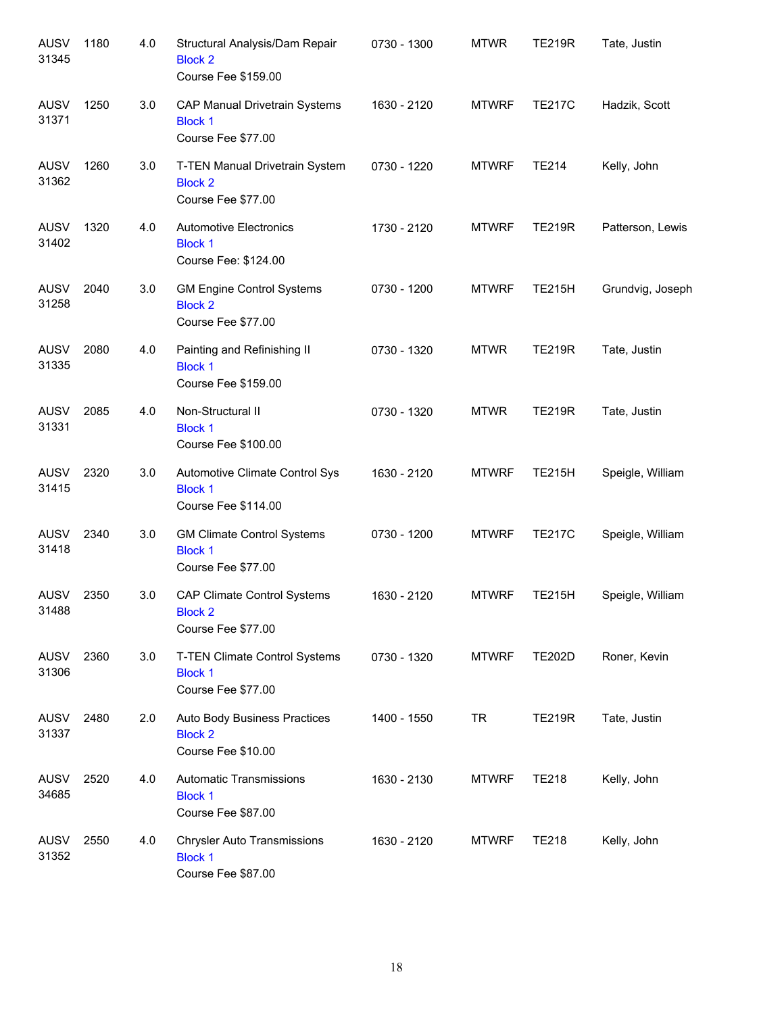| <b>AUSV</b><br>31345 | 1180 | 4.0 | Structural Analysis/Dam Repair<br><b>Block 2</b><br>Course Fee \$159.00    | 0730 - 1300 | <b>MTWR</b>  | <b>TE219R</b> | Tate, Justin     |
|----------------------|------|-----|----------------------------------------------------------------------------|-------------|--------------|---------------|------------------|
| <b>AUSV</b><br>31371 | 1250 | 3.0 | CAP Manual Drivetrain Systems<br><b>Block 1</b><br>Course Fee \$77.00      | 1630 - 2120 | <b>MTWRF</b> | <b>TE217C</b> | Hadzik, Scott    |
| <b>AUSV</b><br>31362 | 1260 | 3.0 | T-TEN Manual Drivetrain System<br><b>Block 2</b><br>Course Fee \$77.00     | 0730 - 1220 | <b>MTWRF</b> | <b>TE214</b>  | Kelly, John      |
| <b>AUSV</b><br>31402 | 1320 | 4.0 | <b>Automotive Electronics</b><br><b>Block 1</b><br>Course Fee: \$124.00    | 1730 - 2120 | <b>MTWRF</b> | <b>TE219R</b> | Patterson, Lewis |
| <b>AUSV</b><br>31258 | 2040 | 3.0 | <b>GM Engine Control Systems</b><br><b>Block 2</b><br>Course Fee \$77.00   | 0730 - 1200 | <b>MTWRF</b> | <b>TE215H</b> | Grundvig, Joseph |
| <b>AUSV</b><br>31335 | 2080 | 4.0 | Painting and Refinishing II<br><b>Block 1</b><br>Course Fee \$159.00       | 0730 - 1320 | <b>MTWR</b>  | <b>TE219R</b> | Tate, Justin     |
| <b>AUSV</b><br>31331 | 2085 | 4.0 | Non-Structural II<br><b>Block 1</b><br>Course Fee \$100.00                 | 0730 - 1320 | <b>MTWR</b>  | <b>TE219R</b> | Tate, Justin     |
| <b>AUSV</b><br>31415 | 2320 | 3.0 | Automotive Climate Control Sys<br><b>Block 1</b><br>Course Fee \$114.00    | 1630 - 2120 | <b>MTWRF</b> | <b>TE215H</b> | Speigle, William |
| <b>AUSV</b><br>31418 | 2340 | 3.0 | <b>GM Climate Control Systems</b><br><b>Block 1</b><br>Course Fee \$77.00  | 0730 - 1200 | <b>MTWRF</b> | <b>TE217C</b> | Speigle, William |
| <b>AUSV</b><br>31488 | 2350 | 3.0 | <b>CAP Climate Control Systems</b><br><b>Block 2</b><br>Course Fee \$77.00 | 1630 - 2120 | <b>MTWRF</b> | <b>TE215H</b> | Speigle, William |
| AUSV<br>31306        | 2360 | 3.0 | T-TEN Climate Control Systems<br><b>Block 1</b><br>Course Fee \$77.00      | 0730 - 1320 | <b>MTWRF</b> | <b>TE202D</b> | Roner, Kevin     |
| AUSV<br>31337        | 2480 | 2.0 | Auto Body Business Practices<br><b>Block 2</b><br>Course Fee \$10.00       | 1400 - 1550 | <b>TR</b>    | <b>TE219R</b> | Tate, Justin     |
| AUSV<br>34685        | 2520 | 4.0 | Automatic Transmissions<br><b>Block 1</b><br>Course Fee \$87.00            | 1630 - 2130 | <b>MTWRF</b> | <b>TE218</b>  | Kelly, John      |
| AUSV<br>31352        | 2550 | 4.0 | <b>Chrysler Auto Transmissions</b><br><b>Block 1</b><br>Course Fee \$87.00 | 1630 - 2120 | <b>MTWRF</b> | <b>TE218</b>  | Kelly, John      |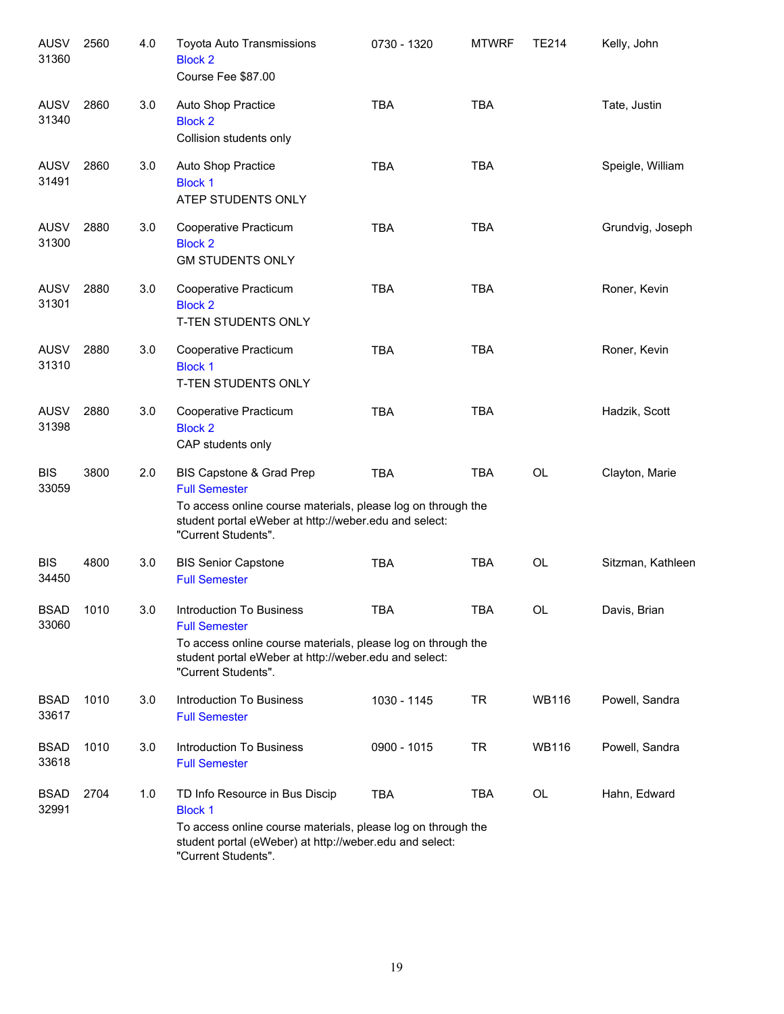| <b>AUSV</b><br>31360 | 2560 | 4.0 | Toyota Auto Transmissions<br><b>Block 2</b><br>Course Fee \$87.00                                                                                                                                  | 0730 - 1320 | <b>MTWRF</b> | <b>TE214</b> | Kelly, John       |
|----------------------|------|-----|----------------------------------------------------------------------------------------------------------------------------------------------------------------------------------------------------|-------------|--------------|--------------|-------------------|
| AUSV<br>31340        | 2860 | 3.0 | Auto Shop Practice<br><b>Block 2</b><br>Collision students only                                                                                                                                    | <b>TBA</b>  | <b>TBA</b>   |              | Tate, Justin      |
| AUSV<br>31491        | 2860 | 3.0 | Auto Shop Practice<br><b>Block 1</b><br>ATEP STUDENTS ONLY                                                                                                                                         | <b>TBA</b>  | <b>TBA</b>   |              | Speigle, William  |
| <b>AUSV</b><br>31300 | 2880 | 3.0 | Cooperative Practicum<br><b>Block 2</b><br><b>GM STUDENTS ONLY</b>                                                                                                                                 | <b>TBA</b>  | <b>TBA</b>   |              | Grundvig, Joseph  |
| <b>AUSV</b><br>31301 | 2880 | 3.0 | Cooperative Practicum<br><b>Block 2</b><br>T-TEN STUDENTS ONLY                                                                                                                                     | <b>TBA</b>  | <b>TBA</b>   |              | Roner, Kevin      |
| <b>AUSV</b><br>31310 | 2880 | 3.0 | Cooperative Practicum<br><b>Block 1</b><br>T-TEN STUDENTS ONLY                                                                                                                                     | <b>TBA</b>  | <b>TBA</b>   |              | Roner, Kevin      |
| <b>AUSV</b><br>31398 | 2880 | 3.0 | Cooperative Practicum<br><b>Block 2</b><br>CAP students only                                                                                                                                       | <b>TBA</b>  | <b>TBA</b>   |              | Hadzik, Scott     |
| <b>BIS</b><br>33059  | 3800 | 2.0 | BIS Capstone & Grad Prep<br><b>Full Semester</b><br>To access online course materials, please log on through the<br>student portal eWeber at http://weber.edu and select:<br>"Current Students".   | <b>TBA</b>  | <b>TBA</b>   | OL           | Clayton, Marie    |
| <b>BIS</b><br>34450  | 4800 | 3.0 | <b>BIS Senior Capstone</b><br><b>Full Semester</b>                                                                                                                                                 | <b>TBA</b>  | <b>TBA</b>   | <b>OL</b>    | Sitzman, Kathleen |
| <b>BSAD</b><br>33060 | 1010 | 3.0 | Introduction To Business<br><b>Full Semester</b><br>To access online course materials, please log on through the<br>student portal eWeber at http://weber.edu and select:<br>"Current Students".   | <b>TBA</b>  | <b>TBA</b>   | OL           | Davis, Brian      |
| <b>BSAD</b><br>33617 | 1010 | 3.0 | <b>Introduction To Business</b><br><b>Full Semester</b>                                                                                                                                            | 1030 - 1145 | TR           | <b>WB116</b> | Powell, Sandra    |
| <b>BSAD</b><br>33618 | 1010 | 3.0 | Introduction To Business<br><b>Full Semester</b>                                                                                                                                                   | 0900 - 1015 | TR           | WB116        | Powell, Sandra    |
| <b>BSAD</b><br>32991 | 2704 | 1.0 | TD Info Resource in Bus Discip<br><b>Block 1</b><br>To access online course materials, please log on through the<br>student portal (eWeber) at http://weber.edu and select:<br>"Current Students". | TBA         | TBA          | OL           | Hahn, Edward      |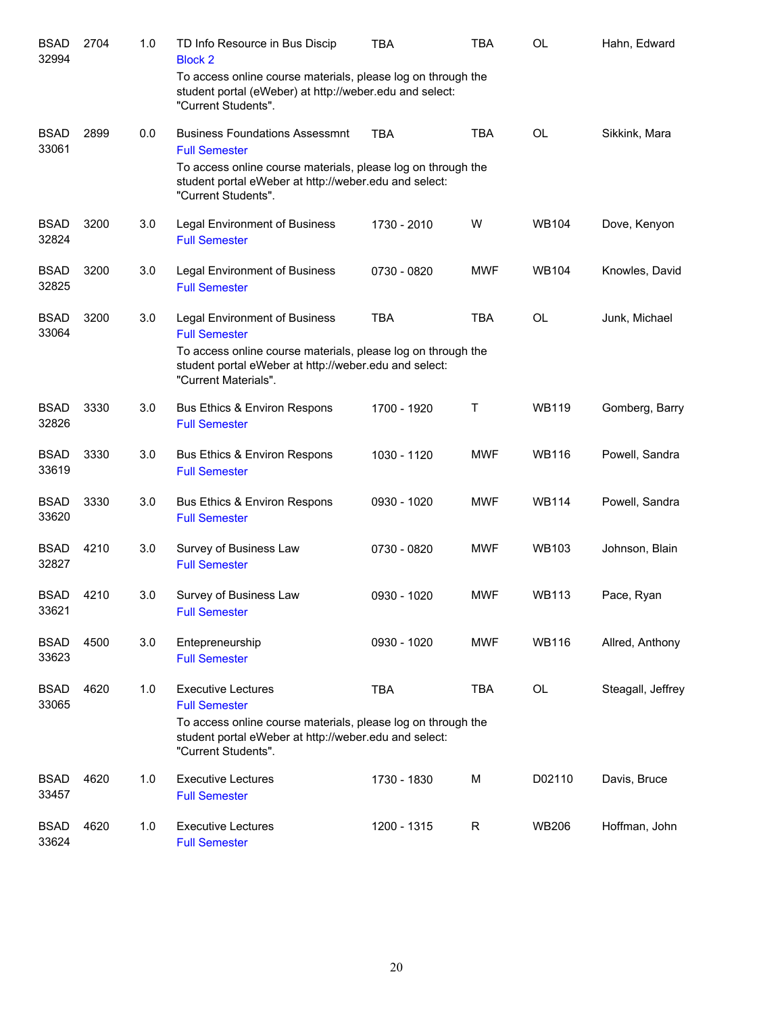| <b>BSAD</b><br>32994 | 2704 | 1.0 | TD Info Resource in Bus Discip<br><b>Block 2</b>                                                                                               | <b>TBA</b>  | TBA        | OL           | Hahn, Edward      |
|----------------------|------|-----|------------------------------------------------------------------------------------------------------------------------------------------------|-------------|------------|--------------|-------------------|
|                      |      |     | To access online course materials, please log on through the<br>student portal (eWeber) at http://weber.edu and select:<br>"Current Students". |             |            |              |                   |
| <b>BSAD</b><br>33061 | 2899 | 0.0 | <b>Business Foundations Assessmnt</b><br><b>Full Semester</b>                                                                                  | <b>TBA</b>  | <b>TBA</b> | OL           | Sikkink, Mara     |
|                      |      |     | To access online course materials, please log on through the<br>student portal eWeber at http://weber.edu and select:<br>"Current Students".   |             |            |              |                   |
| <b>BSAD</b><br>32824 | 3200 | 3.0 | <b>Legal Environment of Business</b><br><b>Full Semester</b>                                                                                   | 1730 - 2010 | W          | <b>WB104</b> | Dove, Kenyon      |
| <b>BSAD</b><br>32825 | 3200 | 3.0 | Legal Environment of Business<br><b>Full Semester</b>                                                                                          | 0730 - 0820 | <b>MWF</b> | WB104        | Knowles, David    |
| <b>BSAD</b><br>33064 | 3200 | 3.0 | <b>Legal Environment of Business</b><br><b>Full Semester</b>                                                                                   | <b>TBA</b>  | <b>TBA</b> | <b>OL</b>    | Junk, Michael     |
|                      |      |     | To access online course materials, please log on through the<br>student portal eWeber at http://weber.edu and select:<br>"Current Materials".  |             |            |              |                   |
| <b>BSAD</b><br>32826 | 3330 | 3.0 | Bus Ethics & Environ Respons<br><b>Full Semester</b>                                                                                           | 1700 - 1920 | Τ          | <b>WB119</b> | Gomberg, Barry    |
| <b>BSAD</b><br>33619 | 3330 | 3.0 | Bus Ethics & Environ Respons<br><b>Full Semester</b>                                                                                           | 1030 - 1120 | <b>MWF</b> | <b>WB116</b> | Powell, Sandra    |
| <b>BSAD</b><br>33620 | 3330 | 3.0 | Bus Ethics & Environ Respons<br><b>Full Semester</b>                                                                                           | 0930 - 1020 | <b>MWF</b> | <b>WB114</b> | Powell, Sandra    |
| <b>BSAD</b><br>32827 | 4210 | 3.0 | Survey of Business Law<br><b>Full Semester</b>                                                                                                 | 0730 - 0820 | <b>MWF</b> | <b>WB103</b> | Johnson, Blain    |
| <b>BSAD</b><br>33621 | 4210 | 3.0 | Survey of Business Law<br><b>Full Semester</b>                                                                                                 | 0930 - 1020 | <b>MWF</b> | <b>WB113</b> | Pace, Ryan        |
| <b>BSAD</b><br>33623 | 4500 | 3.0 | Entepreneurship<br><b>Full Semester</b>                                                                                                        | 0930 - 1020 | <b>MWF</b> | WB116        | Allred, Anthony   |
| <b>BSAD</b><br>33065 | 4620 | 1.0 | <b>Executive Lectures</b><br><b>Full Semester</b>                                                                                              | <b>TBA</b>  | <b>TBA</b> | OL           | Steagall, Jeffrey |
|                      |      |     | To access online course materials, please log on through the<br>student portal eWeber at http://weber.edu and select:<br>"Current Students".   |             |            |              |                   |
| <b>BSAD</b><br>33457 | 4620 | 1.0 | <b>Executive Lectures</b><br><b>Full Semester</b>                                                                                              | 1730 - 1830 | M          | D02110       | Davis, Bruce      |
| <b>BSAD</b><br>33624 | 4620 | 1.0 | <b>Executive Lectures</b><br><b>Full Semester</b>                                                                                              | 1200 - 1315 | R          | WB206        | Hoffman, John     |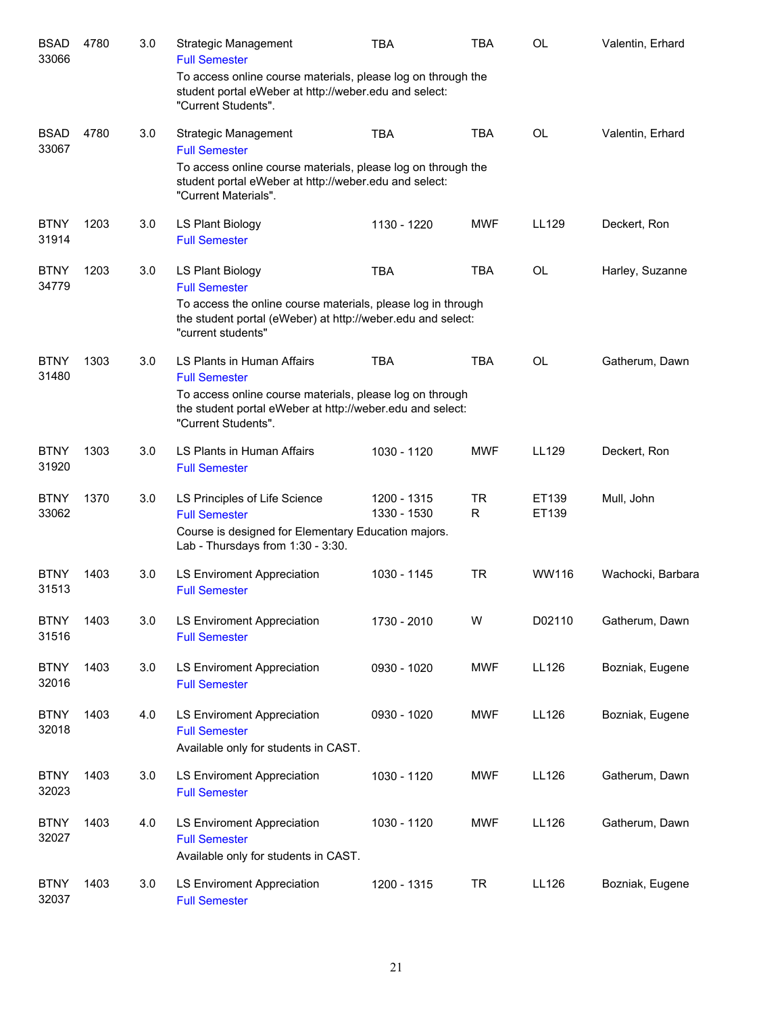| <b>BSAD</b><br>33066 | 4780 | 3.0 | <b>Strategic Management</b><br><b>Full Semester</b>                                                                                               | <b>TBA</b>                 | <b>TBA</b>     | <b>OL</b>      | Valentin, Erhard  |
|----------------------|------|-----|---------------------------------------------------------------------------------------------------------------------------------------------------|----------------------------|----------------|----------------|-------------------|
|                      |      |     | To access online course materials, please log on through the<br>student portal eWeber at http://weber.edu and select:<br>"Current Students".      |                            |                |                |                   |
| <b>BSAD</b><br>33067 | 4780 | 3.0 | <b>Strategic Management</b><br><b>Full Semester</b>                                                                                               | <b>TBA</b>                 | <b>TBA</b>     | <b>OL</b>      | Valentin, Erhard  |
|                      |      |     | To access online course materials, please log on through the<br>student portal eWeber at http://weber.edu and select:<br>"Current Materials".     |                            |                |                |                   |
| <b>BTNY</b><br>31914 | 1203 | 3.0 | LS Plant Biology<br><b>Full Semester</b>                                                                                                          | 1130 - 1220                | <b>MWF</b>     | LL129          | Deckert, Ron      |
| <b>BTNY</b><br>34779 | 1203 | 3.0 | LS Plant Biology<br><b>Full Semester</b>                                                                                                          | <b>TBA</b>                 | <b>TBA</b>     | <b>OL</b>      | Harley, Suzanne   |
|                      |      |     | To access the online course materials, please log in through<br>the student portal (eWeber) at http://weber.edu and select:<br>"current students" |                            |                |                |                   |
| <b>BTNY</b><br>31480 | 1303 | 3.0 | LS Plants in Human Affairs<br><b>Full Semester</b>                                                                                                | <b>TBA</b>                 | <b>TBA</b>     | <b>OL</b>      | Gatherum, Dawn    |
|                      |      |     | To access online course materials, please log on through<br>the student portal eWeber at http://weber.edu and select:<br>"Current Students".      |                            |                |                |                   |
| <b>BTNY</b><br>31920 | 1303 | 3.0 | LS Plants in Human Affairs<br><b>Full Semester</b>                                                                                                | 1030 - 1120                | <b>MWF</b>     | LL129          | Deckert, Ron      |
| <b>BTNY</b><br>33062 | 1370 | 3.0 | LS Principles of Life Science<br><b>Full Semester</b>                                                                                             | 1200 - 1315<br>1330 - 1530 | <b>TR</b><br>R | ET139<br>ET139 | Mull, John        |
|                      |      |     | Course is designed for Elementary Education majors.<br>Lab - Thursdays from 1:30 - 3:30.                                                          |                            |                |                |                   |
| <b>BTNY</b><br>31513 | 1403 | 3.0 | <b>LS Enviroment Appreciation</b><br><b>Full Semester</b>                                                                                         | 1030 - 1145                | <b>TR</b>      | WW116          | Wachocki, Barbara |
| <b>BTNY</b><br>31516 | 1403 | 3.0 | <b>LS Enviroment Appreciation</b><br><b>Full Semester</b>                                                                                         | 1730 - 2010                | W              | D02110         | Gatherum, Dawn    |
| <b>BTNY</b><br>32016 | 1403 | 3.0 | LS Enviroment Appreciation<br><b>Full Semester</b>                                                                                                | 0930 - 1020                | MWF            | LL126          | Bozniak, Eugene   |
| <b>BTNY</b><br>32018 | 1403 | 4.0 | LS Enviroment Appreciation<br><b>Full Semester</b><br>Available only for students in CAST.                                                        | 0930 - 1020                | <b>MWF</b>     | LL126          | Bozniak, Eugene   |
| <b>BTNY</b><br>32023 | 1403 | 3.0 | LS Enviroment Appreciation<br><b>Full Semester</b>                                                                                                | 1030 - 1120                | <b>MWF</b>     | <b>LL126</b>   | Gatherum, Dawn    |
| <b>BTNY</b><br>32027 | 1403 | 4.0 | LS Enviroment Appreciation<br><b>Full Semester</b><br>Available only for students in CAST.                                                        | 1030 - 1120                | <b>MWF</b>     | LL126          | Gatherum, Dawn    |
| <b>BTNY</b><br>32037 | 1403 | 3.0 | LS Enviroment Appreciation<br><b>Full Semester</b>                                                                                                | 1200 - 1315                | <b>TR</b>      | LL126          | Bozniak, Eugene   |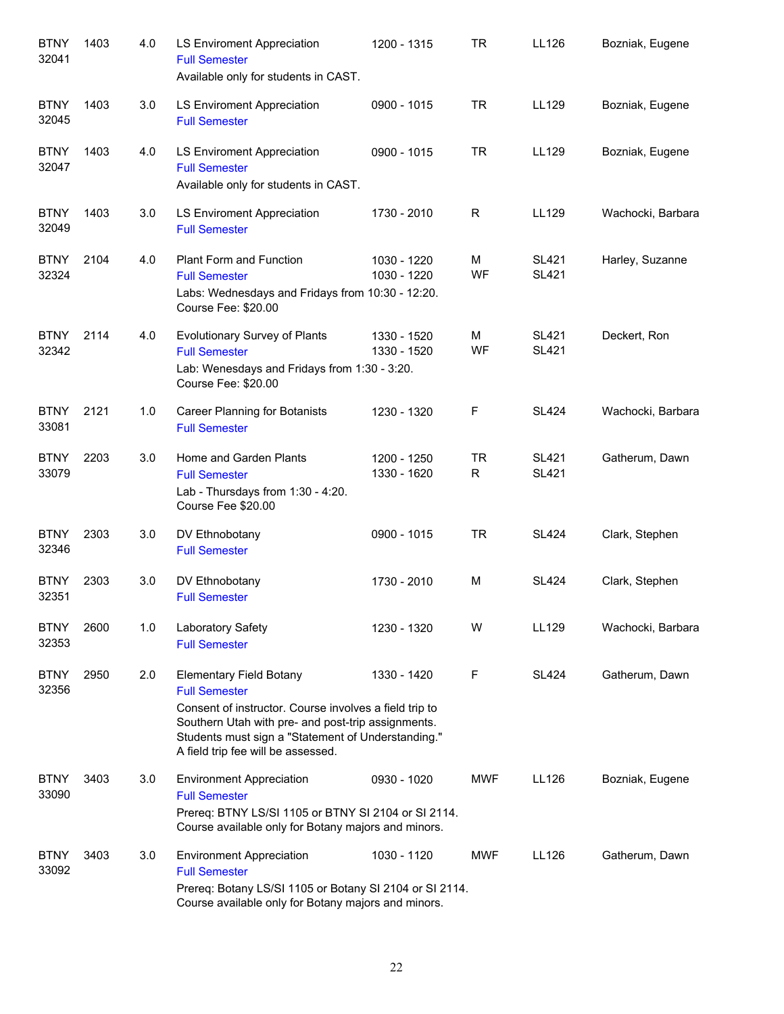| <b>BTNY</b><br>32041 | 1403 | 4.0 | LS Enviroment Appreciation<br><b>Full Semester</b><br>Available only for students in CAST.                                                                                                                                                                         | 1200 - 1315                | <b>TR</b>      | LL126                        | Bozniak, Eugene   |
|----------------------|------|-----|--------------------------------------------------------------------------------------------------------------------------------------------------------------------------------------------------------------------------------------------------------------------|----------------------------|----------------|------------------------------|-------------------|
| <b>BTNY</b><br>32045 | 1403 | 3.0 | LS Enviroment Appreciation<br><b>Full Semester</b>                                                                                                                                                                                                                 | 0900 - 1015                | <b>TR</b>      | LL129                        | Bozniak, Eugene   |
| <b>BTNY</b><br>32047 | 1403 | 4.0 | LS Enviroment Appreciation<br><b>Full Semester</b><br>Available only for students in CAST.                                                                                                                                                                         | 0900 - 1015                | <b>TR</b>      | LL129                        | Bozniak, Eugene   |
| <b>BTNY</b><br>32049 | 1403 | 3.0 | LS Enviroment Appreciation<br><b>Full Semester</b>                                                                                                                                                                                                                 | 1730 - 2010                | R              | LL129                        | Wachocki, Barbara |
| <b>BTNY</b><br>32324 | 2104 | 4.0 | <b>Plant Form and Function</b><br><b>Full Semester</b><br>Labs: Wednesdays and Fridays from 10:30 - 12:20.<br>Course Fee: \$20.00                                                                                                                                  | 1030 - 1220<br>1030 - 1220 | M<br>WF        | <b>SL421</b><br><b>SL421</b> | Harley, Suzanne   |
| <b>BTNY</b><br>32342 | 2114 | 4.0 | <b>Evolutionary Survey of Plants</b><br><b>Full Semester</b><br>Lab: Wenesdays and Fridays from 1:30 - 3:20.<br>Course Fee: \$20.00                                                                                                                                | 1330 - 1520<br>1330 - 1520 | M<br>WF        | <b>SL421</b><br><b>SL421</b> | Deckert, Ron      |
| <b>BTNY</b><br>33081 | 2121 | 1.0 | Career Planning for Botanists<br><b>Full Semester</b>                                                                                                                                                                                                              | 1230 - 1320                | F              | <b>SL424</b>                 | Wachocki, Barbara |
| <b>BTNY</b><br>33079 | 2203 | 3.0 | Home and Garden Plants<br><b>Full Semester</b><br>Lab - Thursdays from 1:30 - 4:20.<br>Course Fee \$20.00                                                                                                                                                          | 1200 - 1250<br>1330 - 1620 | <b>TR</b><br>R | <b>SL421</b><br><b>SL421</b> | Gatherum, Dawn    |
| <b>BTNY</b><br>32346 | 2303 | 3.0 | DV Ethnobotany<br><b>Full Semester</b>                                                                                                                                                                                                                             | 0900 - 1015                | <b>TR</b>      | <b>SL424</b>                 | Clark, Stephen    |
| <b>BTNY</b><br>32351 | 2303 | 3.0 | DV Ethnobotany<br><b>Full Semester</b>                                                                                                                                                                                                                             | 1730 - 2010                | M              | <b>SL424</b>                 | Clark, Stephen    |
| <b>BTNY</b><br>32353 | 2600 | 1.0 | Laboratory Safety<br><b>Full Semester</b>                                                                                                                                                                                                                          | 1230 - 1320                | W              | LL129                        | Wachocki, Barbara |
| <b>BTNY</b><br>32356 | 2950 | 2.0 | <b>Elementary Field Botany</b><br><b>Full Semester</b><br>Consent of instructor. Course involves a field trip to<br>Southern Utah with pre- and post-trip assignments.<br>Students must sign a "Statement of Understanding."<br>A field trip fee will be assessed. | 1330 - 1420                | F              | <b>SL424</b>                 | Gatherum, Dawn    |
| <b>BTNY</b><br>33090 | 3403 | 3.0 | <b>Environment Appreciation</b><br><b>Full Semester</b><br>Prereq: BTNY LS/SI 1105 or BTNY SI 2104 or SI 2114.<br>Course available only for Botany majors and minors.                                                                                              | 0930 - 1020                | <b>MWF</b>     | LL126                        | Bozniak, Eugene   |
| <b>BTNY</b><br>33092 | 3403 | 3.0 | <b>Environment Appreciation</b><br><b>Full Semester</b><br>Prereq: Botany LS/SI 1105 or Botany SI 2104 or SI 2114.<br>Course available only for Botany majors and minors.                                                                                          | 1030 - 1120                | <b>MWF</b>     | LL126                        | Gatherum, Dawn    |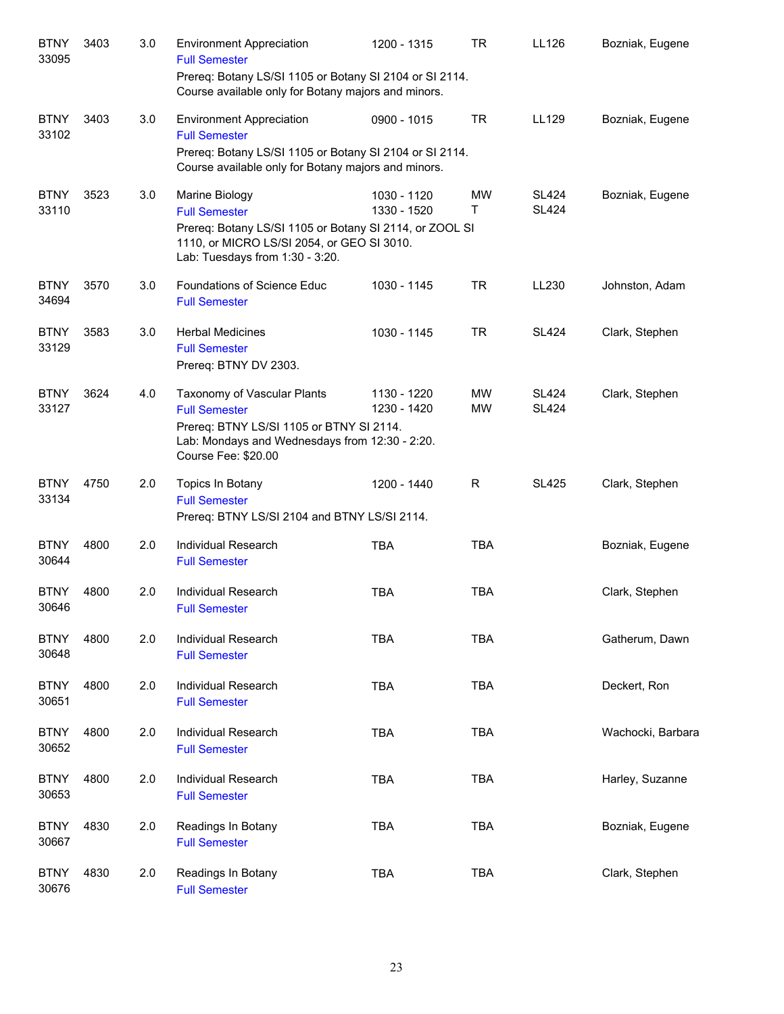| <b>BTNY</b><br>33095 | 3403 | 3.0 | <b>Environment Appreciation</b><br><b>Full Semester</b><br>Prereq: Botany LS/SI 1105 or Botany SI 2104 or SI 2114.                                                                 | 1200 - 1315                | <b>TR</b>              | LL126                        | Bozniak, Eugene   |
|----------------------|------|-----|------------------------------------------------------------------------------------------------------------------------------------------------------------------------------------|----------------------------|------------------------|------------------------------|-------------------|
|                      |      |     | Course available only for Botany majors and minors.                                                                                                                                |                            |                        |                              |                   |
| <b>BTNY</b><br>33102 | 3403 | 3.0 | <b>Environment Appreciation</b><br><b>Full Semester</b><br>Prereq: Botany LS/SI 1105 or Botany SI 2104 or SI 2114.<br>Course available only for Botany majors and minors.          | 0900 - 1015                | <b>TR</b>              | LL129                        | Bozniak, Eugene   |
| <b>BTNY</b><br>33110 | 3523 | 3.0 | Marine Biology<br><b>Full Semester</b><br>Prereq: Botany LS/SI 1105 or Botany SI 2114, or ZOOL SI<br>1110, or MICRO LS/SI 2054, or GEO SI 3010.<br>Lab: Tuesdays from 1:30 - 3:20. | 1030 - 1120<br>1330 - 1520 | MW<br>Т                | <b>SL424</b><br><b>SL424</b> | Bozniak, Eugene   |
| <b>BTNY</b><br>34694 | 3570 | 3.0 | Foundations of Science Educ<br><b>Full Semester</b>                                                                                                                                | 1030 - 1145                | <b>TR</b>              | LL230                        | Johnston, Adam    |
| <b>BTNY</b><br>33129 | 3583 | 3.0 | <b>Herbal Medicines</b><br><b>Full Semester</b><br>Prereq: BTNY DV 2303.                                                                                                           | 1030 - 1145                | <b>TR</b>              | <b>SL424</b>                 | Clark, Stephen    |
| <b>BTNY</b><br>33127 | 3624 | 4.0 | Taxonomy of Vascular Plants<br><b>Full Semester</b><br>Prereq: BTNY LS/SI 1105 or BTNY SI 2114.<br>Lab: Mondays and Wednesdays from 12:30 - 2:20.<br>Course Fee: \$20.00           | 1130 - 1220<br>1230 - 1420 | <b>MW</b><br><b>MW</b> | <b>SL424</b><br><b>SL424</b> | Clark, Stephen    |
| <b>BTNY</b><br>33134 | 4750 | 2.0 | Topics In Botany<br><b>Full Semester</b><br>Prereq: BTNY LS/SI 2104 and BTNY LS/SI 2114.                                                                                           | 1200 - 1440                | R                      | <b>SL425</b>                 | Clark, Stephen    |
| <b>BTNY</b><br>30644 | 4800 | 2.0 | Individual Research<br><b>Full Semester</b>                                                                                                                                        | <b>TBA</b>                 | <b>TBA</b>             |                              | Bozniak, Eugene   |
| <b>BTNY</b><br>30646 | 4800 | 2.0 | Individual Research<br><b>Full Semester</b>                                                                                                                                        | <b>TBA</b>                 | <b>TBA</b>             |                              | Clark, Stephen    |
| <b>BTNY</b><br>30648 | 4800 | 2.0 | Individual Research<br><b>Full Semester</b>                                                                                                                                        | <b>TBA</b>                 | <b>TBA</b>             |                              | Gatherum, Dawn    |
| <b>BTNY</b><br>30651 | 4800 | 2.0 | Individual Research<br><b>Full Semester</b>                                                                                                                                        | <b>TBA</b>                 | <b>TBA</b>             |                              | Deckert, Ron      |
| <b>BTNY</b><br>30652 | 4800 | 2.0 | Individual Research<br><b>Full Semester</b>                                                                                                                                        | <b>TBA</b>                 | <b>TBA</b>             |                              | Wachocki, Barbara |
| <b>BTNY</b><br>30653 | 4800 | 2.0 | Individual Research<br><b>Full Semester</b>                                                                                                                                        | <b>TBA</b>                 | <b>TBA</b>             |                              | Harley, Suzanne   |
| <b>BTNY</b><br>30667 | 4830 | 2.0 | Readings In Botany<br><b>Full Semester</b>                                                                                                                                         | <b>TBA</b>                 | <b>TBA</b>             |                              | Bozniak, Eugene   |
| <b>BTNY</b><br>30676 | 4830 | 2.0 | Readings In Botany<br><b>Full Semester</b>                                                                                                                                         | <b>TBA</b>                 | <b>TBA</b>             |                              | Clark, Stephen    |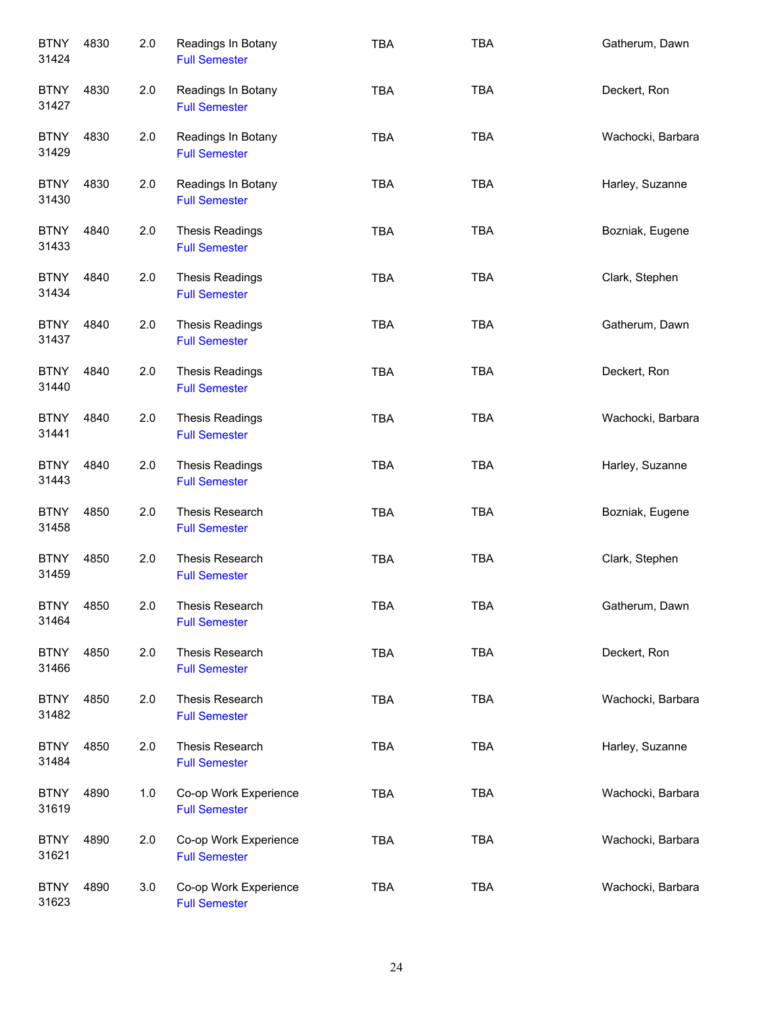| <b>BTNY</b><br>31424 | 4830 | 2.0 | Readings In Botany<br><b>Full Semester</b>     | <b>TBA</b> | <b>TBA</b> | Gatherum, Dawn    |
|----------------------|------|-----|------------------------------------------------|------------|------------|-------------------|
| <b>BTNY</b><br>31427 | 4830 | 2.0 | Readings In Botany<br><b>Full Semester</b>     | <b>TBA</b> | <b>TBA</b> | Deckert, Ron      |
| <b>BTNY</b><br>31429 | 4830 | 2.0 | Readings In Botany<br><b>Full Semester</b>     | <b>TBA</b> | <b>TBA</b> | Wachocki, Barbara |
| <b>BTNY</b><br>31430 | 4830 | 2.0 | Readings In Botany<br><b>Full Semester</b>     | <b>TBA</b> | <b>TBA</b> | Harley, Suzanne   |
| <b>BTNY</b><br>31433 | 4840 | 2.0 | <b>Thesis Readings</b><br><b>Full Semester</b> | <b>TBA</b> | <b>TBA</b> | Bozniak, Eugene   |
| <b>BTNY</b><br>31434 | 4840 | 2.0 | <b>Thesis Readings</b><br><b>Full Semester</b> | <b>TBA</b> | <b>TBA</b> | Clark, Stephen    |
| <b>BTNY</b><br>31437 | 4840 | 2.0 | <b>Thesis Readings</b><br><b>Full Semester</b> | <b>TBA</b> | <b>TBA</b> | Gatherum, Dawn    |
| <b>BTNY</b><br>31440 | 4840 | 2.0 | <b>Thesis Readings</b><br><b>Full Semester</b> | <b>TBA</b> | TBA        | Deckert, Ron      |
| <b>BTNY</b><br>31441 | 4840 | 2.0 | <b>Thesis Readings</b><br><b>Full Semester</b> | <b>TBA</b> | <b>TBA</b> | Wachocki, Barbara |
| <b>BTNY</b><br>31443 | 4840 | 2.0 | <b>Thesis Readings</b><br><b>Full Semester</b> | <b>TBA</b> | <b>TBA</b> | Harley, Suzanne   |
| <b>BTNY</b><br>31458 | 4850 | 2.0 | Thesis Research<br><b>Full Semester</b>        | <b>TBA</b> | <b>TBA</b> | Bozniak, Eugene   |
| <b>BTNY</b><br>31459 | 4850 | 2.0 | Thesis Research<br><b>Full Semester</b>        | <b>TBA</b> | TBA        | Clark, Stephen    |
| <b>BTNY</b><br>31464 | 4850 | 2.0 | <b>Thesis Research</b><br><b>Full Semester</b> | <b>TBA</b> | <b>TBA</b> | Gatherum, Dawn    |
| <b>BTNY</b><br>31466 | 4850 | 2.0 | Thesis Research<br><b>Full Semester</b>        | <b>TBA</b> | TBA        | Deckert, Ron      |
| <b>BTNY</b><br>31482 | 4850 | 2.0 | Thesis Research<br><b>Full Semester</b>        | <b>TBA</b> | <b>TBA</b> | Wachocki, Barbara |
| <b>BTNY</b><br>31484 | 4850 | 2.0 | Thesis Research<br><b>Full Semester</b>        | <b>TBA</b> | TBA        | Harley, Suzanne   |
| <b>BTNY</b><br>31619 | 4890 | 1.0 | Co-op Work Experience<br><b>Full Semester</b>  | <b>TBA</b> | <b>TBA</b> | Wachocki, Barbara |
| <b>BTNY</b><br>31621 | 4890 | 2.0 | Co-op Work Experience<br><b>Full Semester</b>  | <b>TBA</b> | <b>TBA</b> | Wachocki, Barbara |
| <b>BTNY</b><br>31623 | 4890 | 3.0 | Co-op Work Experience<br><b>Full Semester</b>  | <b>TBA</b> | <b>TBA</b> | Wachocki, Barbara |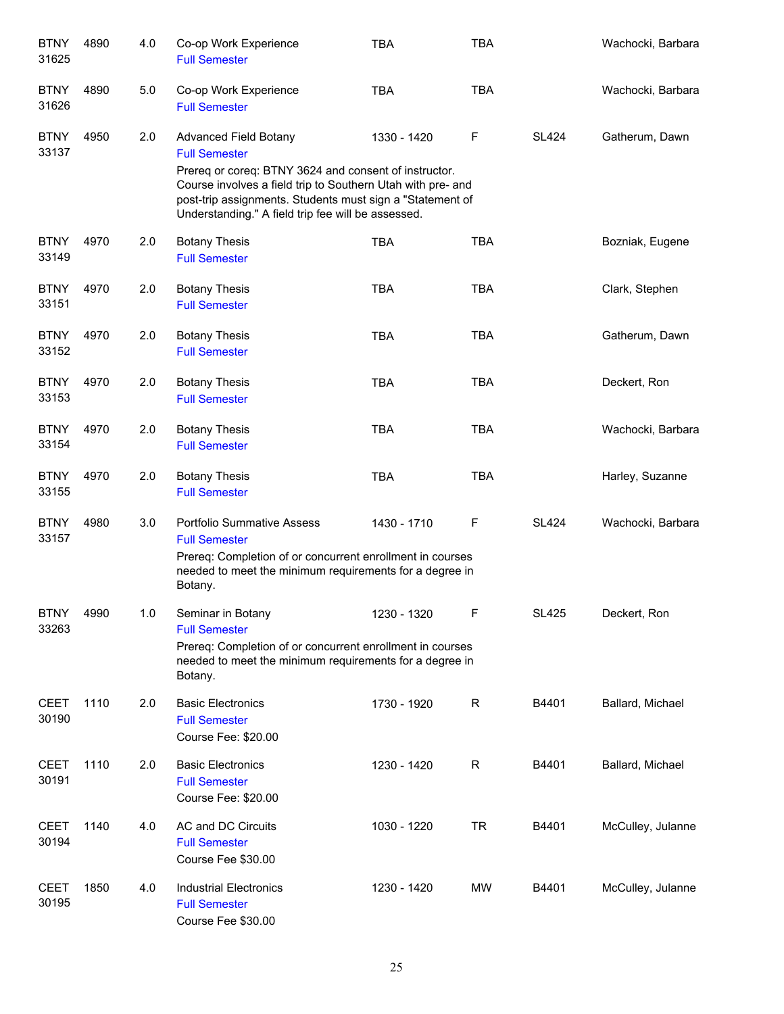| <b>BTNY</b><br>31625 | 4890 | 4.0 | Co-op Work Experience<br><b>Full Semester</b>                                                                                                                                                                                                                                                   | <b>TBA</b>  | <b>TBA</b>   |              | Wachocki, Barbara |
|----------------------|------|-----|-------------------------------------------------------------------------------------------------------------------------------------------------------------------------------------------------------------------------------------------------------------------------------------------------|-------------|--------------|--------------|-------------------|
| <b>BTNY</b><br>31626 | 4890 | 5.0 | Co-op Work Experience<br><b>Full Semester</b>                                                                                                                                                                                                                                                   | <b>TBA</b>  | <b>TBA</b>   |              | Wachocki, Barbara |
| <b>BTNY</b><br>33137 | 4950 | 2.0 | <b>Advanced Field Botany</b><br><b>Full Semester</b><br>Prereq or coreq: BTNY 3624 and consent of instructor.<br>Course involves a field trip to Southern Utah with pre- and<br>post-trip assignments. Students must sign a "Statement of<br>Understanding." A field trip fee will be assessed. | 1330 - 1420 | $\mathsf F$  | <b>SL424</b> | Gatherum, Dawn    |
| <b>BTNY</b><br>33149 | 4970 | 2.0 | <b>Botany Thesis</b><br><b>Full Semester</b>                                                                                                                                                                                                                                                    | <b>TBA</b>  | <b>TBA</b>   |              | Bozniak, Eugene   |
| <b>BTNY</b><br>33151 | 4970 | 2.0 | <b>Botany Thesis</b><br><b>Full Semester</b>                                                                                                                                                                                                                                                    | <b>TBA</b>  | <b>TBA</b>   |              | Clark, Stephen    |
| <b>BTNY</b><br>33152 | 4970 | 2.0 | <b>Botany Thesis</b><br><b>Full Semester</b>                                                                                                                                                                                                                                                    | <b>TBA</b>  | <b>TBA</b>   |              | Gatherum, Dawn    |
| <b>BTNY</b><br>33153 | 4970 | 2.0 | <b>Botany Thesis</b><br><b>Full Semester</b>                                                                                                                                                                                                                                                    | <b>TBA</b>  | <b>TBA</b>   |              | Deckert, Ron      |
| <b>BTNY</b><br>33154 | 4970 | 2.0 | <b>Botany Thesis</b><br><b>Full Semester</b>                                                                                                                                                                                                                                                    | <b>TBA</b>  | <b>TBA</b>   |              | Wachocki, Barbara |
| <b>BTNY</b><br>33155 | 4970 | 2.0 | <b>Botany Thesis</b><br><b>Full Semester</b>                                                                                                                                                                                                                                                    | <b>TBA</b>  | <b>TBA</b>   |              | Harley, Suzanne   |
| <b>BTNY</b><br>33157 | 4980 | 3.0 | <b>Portfolio Summative Assess</b><br><b>Full Semester</b><br>Prereq: Completion of or concurrent enrollment in courses<br>needed to meet the minimum requirements for a degree in<br>Botany.                                                                                                    | 1430 - 1710 | F            | <b>SL424</b> | Wachocki, Barbara |
| <b>BTNY</b><br>33263 | 4990 | 1.0 | Seminar in Botany<br><b>Full Semester</b><br>Prereq: Completion of or concurrent enrollment in courses<br>needed to meet the minimum requirements for a degree in<br>Botany.                                                                                                                    | 1230 - 1320 | ۲            | <b>SL425</b> | Deckert, Ron      |
| <b>CEET</b><br>30190 | 1110 | 2.0 | <b>Basic Electronics</b><br><b>Full Semester</b><br>Course Fee: \$20.00                                                                                                                                                                                                                         | 1730 - 1920 | $\mathsf{R}$ | B4401        | Ballard, Michael  |
| <b>CEET</b><br>30191 | 1110 | 2.0 | <b>Basic Electronics</b><br><b>Full Semester</b><br>Course Fee: \$20.00                                                                                                                                                                                                                         | 1230 - 1420 | $\mathsf{R}$ | B4401        | Ballard, Michael  |
| <b>CEET</b><br>30194 | 1140 | 4.0 | AC and DC Circuits<br><b>Full Semester</b><br>Course Fee \$30.00                                                                                                                                                                                                                                | 1030 - 1220 | <b>TR</b>    | B4401        | McCulley, Julanne |
| <b>CEET</b><br>30195 | 1850 | 4.0 | <b>Industrial Electronics</b><br><b>Full Semester</b><br>Course Fee \$30.00                                                                                                                                                                                                                     | 1230 - 1420 | MW           | B4401        | McCulley, Julanne |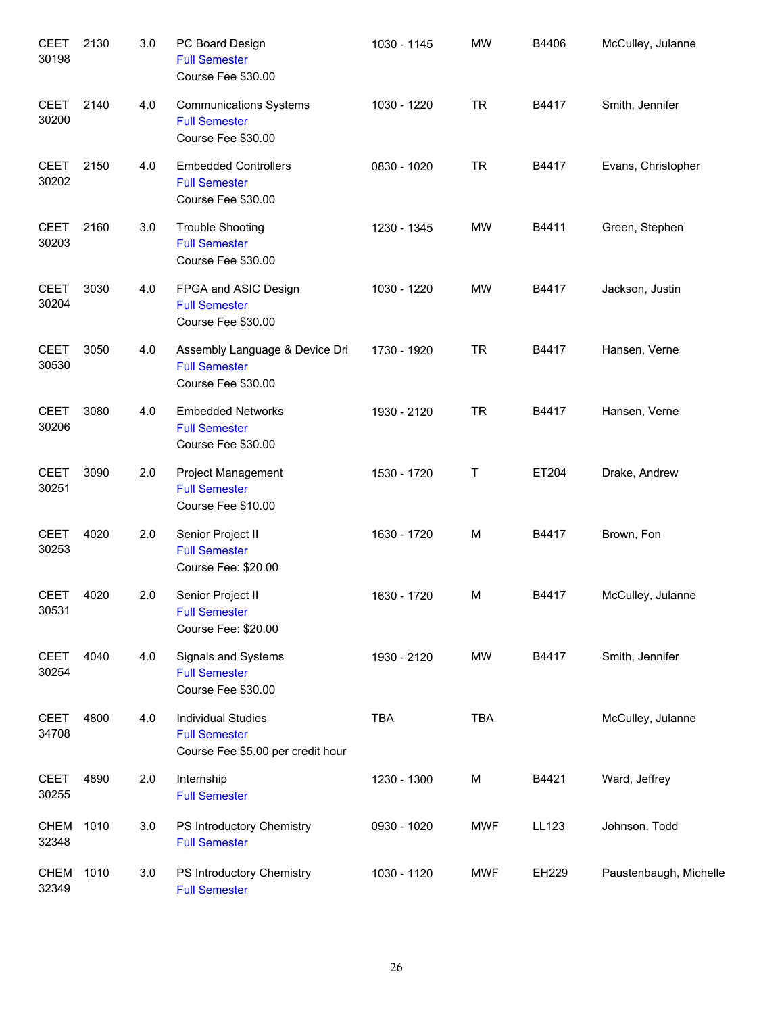| <b>CEET</b><br>30198 | 2130 | 3.0 | PC Board Design<br><b>Full Semester</b><br>Course Fee \$30.00                          | 1030 - 1145 | <b>MW</b>  | B4406 | McCulley, Julanne      |
|----------------------|------|-----|----------------------------------------------------------------------------------------|-------------|------------|-------|------------------------|
| <b>CEET</b><br>30200 | 2140 | 4.0 | <b>Communications Systems</b><br><b>Full Semester</b><br>Course Fee \$30.00            | 1030 - 1220 | <b>TR</b>  | B4417 | Smith, Jennifer        |
| <b>CEET</b><br>30202 | 2150 | 4.0 | <b>Embedded Controllers</b><br><b>Full Semester</b><br>Course Fee \$30.00              | 0830 - 1020 | <b>TR</b>  | B4417 | Evans, Christopher     |
| <b>CEET</b><br>30203 | 2160 | 3.0 | <b>Trouble Shooting</b><br><b>Full Semester</b><br>Course Fee \$30.00                  | 1230 - 1345 | <b>MW</b>  | B4411 | Green, Stephen         |
| <b>CEET</b><br>30204 | 3030 | 4.0 | FPGA and ASIC Design<br><b>Full Semester</b><br>Course Fee \$30.00                     | 1030 - 1220 | <b>MW</b>  | B4417 | Jackson, Justin        |
| <b>CEET</b><br>30530 | 3050 | 4.0 | Assembly Language & Device Dri<br><b>Full Semester</b><br>Course Fee \$30.00           | 1730 - 1920 | <b>TR</b>  | B4417 | Hansen, Verne          |
| <b>CEET</b><br>30206 | 3080 | 4.0 | <b>Embedded Networks</b><br><b>Full Semester</b><br>Course Fee \$30.00                 | 1930 - 2120 | <b>TR</b>  | B4417 | Hansen, Verne          |
| <b>CEET</b><br>30251 | 3090 | 2.0 | <b>Project Management</b><br><b>Full Semester</b><br>Course Fee \$10.00                | 1530 - 1720 | T          | ET204 | Drake, Andrew          |
| <b>CEET</b><br>30253 | 4020 | 2.0 | Senior Project II<br><b>Full Semester</b><br>Course Fee: \$20.00                       | 1630 - 1720 | M          | B4417 | Brown, Fon             |
| <b>CEET</b><br>30531 | 4020 | 2.0 | Senior Project II<br><b>Full Semester</b><br>Course Fee: \$20.00                       | 1630 - 1720 | M          | B4417 | McCulley, Julanne      |
| <b>CEET</b><br>30254 | 4040 | 4.0 | <b>Signals and Systems</b><br><b>Full Semester</b><br>Course Fee \$30.00               | 1930 - 2120 | MW         | B4417 | Smith, Jennifer        |
| <b>CEET</b><br>34708 | 4800 | 4.0 | <b>Individual Studies</b><br><b>Full Semester</b><br>Course Fee \$5.00 per credit hour | <b>TBA</b>  | <b>TBA</b> |       | McCulley, Julanne      |
| <b>CEET</b><br>30255 | 4890 | 2.0 | Internship<br><b>Full Semester</b>                                                     | 1230 - 1300 | M          | B4421 | Ward, Jeffrey          |
| <b>CHEM</b><br>32348 | 1010 | 3.0 | PS Introductory Chemistry<br><b>Full Semester</b>                                      | 0930 - 1020 | <b>MWF</b> | LL123 | Johnson, Todd          |
| <b>CHEM</b><br>32349 | 1010 | 3.0 | PS Introductory Chemistry<br><b>Full Semester</b>                                      | 1030 - 1120 | <b>MWF</b> | EH229 | Paustenbaugh, Michelle |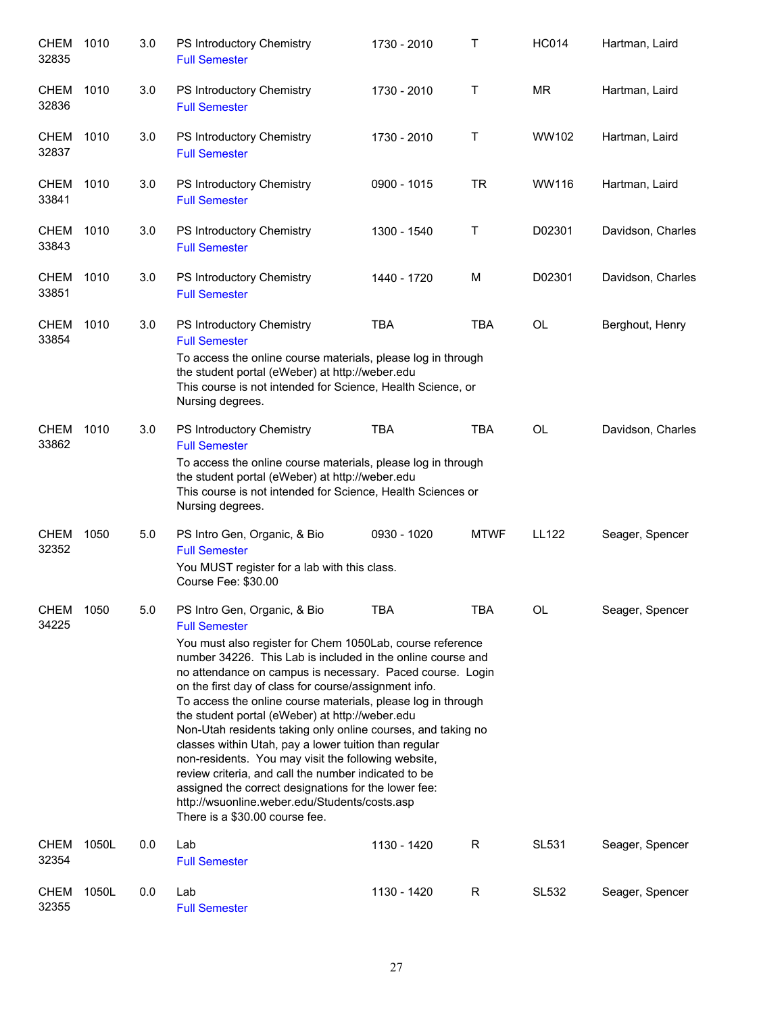| <b>CHEM</b><br>32835 | 1010  | 3.0 | PS Introductory Chemistry<br><b>Full Semester</b>                                                                                                                                                                                                                                                                                                                                                                                                                                                                                                                                                                                                                                                                                                                                                            | 1730 - 2010   | т           | <b>HC014</b> | Hartman, Laird    |
|----------------------|-------|-----|--------------------------------------------------------------------------------------------------------------------------------------------------------------------------------------------------------------------------------------------------------------------------------------------------------------------------------------------------------------------------------------------------------------------------------------------------------------------------------------------------------------------------------------------------------------------------------------------------------------------------------------------------------------------------------------------------------------------------------------------------------------------------------------------------------------|---------------|-------------|--------------|-------------------|
| CHEM<br>32836        | 1010  | 3.0 | PS Introductory Chemistry<br><b>Full Semester</b>                                                                                                                                                                                                                                                                                                                                                                                                                                                                                                                                                                                                                                                                                                                                                            | 1730 - 2010   | т           | <b>MR</b>    | Hartman, Laird    |
| CHEM<br>32837        | 1010  | 3.0 | PS Introductory Chemistry<br><b>Full Semester</b>                                                                                                                                                                                                                                                                                                                                                                                                                                                                                                                                                                                                                                                                                                                                                            | 1730 - 2010   | т           | WW102        | Hartman, Laird    |
| <b>CHEM</b><br>33841 | 1010  | 3.0 | PS Introductory Chemistry<br><b>Full Semester</b>                                                                                                                                                                                                                                                                                                                                                                                                                                                                                                                                                                                                                                                                                                                                                            | $0900 - 1015$ | <b>TR</b>   | WW116        | Hartman, Laird    |
| CHEM<br>33843        | 1010  | 3.0 | PS Introductory Chemistry<br><b>Full Semester</b>                                                                                                                                                                                                                                                                                                                                                                                                                                                                                                                                                                                                                                                                                                                                                            | 1300 - 1540   | Т           | D02301       | Davidson, Charles |
| <b>CHEM</b><br>33851 | 1010  | 3.0 | PS Introductory Chemistry<br><b>Full Semester</b>                                                                                                                                                                                                                                                                                                                                                                                                                                                                                                                                                                                                                                                                                                                                                            | 1440 - 1720   | M           | D02301       | Davidson, Charles |
| CHEM<br>33854        | 1010  | 3.0 | PS Introductory Chemistry<br><b>Full Semester</b><br>To access the online course materials, please log in through<br>the student portal (eWeber) at http://weber.edu<br>This course is not intended for Science, Health Science, or<br>Nursing degrees.                                                                                                                                                                                                                                                                                                                                                                                                                                                                                                                                                      | <b>TBA</b>    | <b>TBA</b>  | OL           | Berghout, Henry   |
| <b>CHEM</b><br>33862 | 1010  | 3.0 | PS Introductory Chemistry<br><b>Full Semester</b><br>To access the online course materials, please log in through<br>the student portal (eWeber) at http://weber.edu<br>This course is not intended for Science, Health Sciences or<br>Nursing degrees.                                                                                                                                                                                                                                                                                                                                                                                                                                                                                                                                                      | <b>TBA</b>    | <b>TBA</b>  | OL           | Davidson, Charles |
| CHEM<br>32352        | 1050  | 5.0 | PS Intro Gen, Organic, & Bio<br><b>Full Semester</b><br>You MUST register for a lab with this class.<br>Course Fee: \$30.00                                                                                                                                                                                                                                                                                                                                                                                                                                                                                                                                                                                                                                                                                  | 0930 - 1020   | <b>MTWF</b> | <b>LL122</b> | Seager, Spencer   |
| <b>CHEM</b><br>34225 | 1050  | 5.0 | PS Intro Gen, Organic, & Bio<br><b>Full Semester</b><br>You must also register for Chem 1050Lab, course reference<br>number 34226. This Lab is included in the online course and<br>no attendance on campus is necessary. Paced course. Login<br>on the first day of class for course/assignment info.<br>To access the online course materials, please log in through<br>the student portal (eWeber) at http://weber.edu<br>Non-Utah residents taking only online courses, and taking no<br>classes within Utah, pay a lower tuition than regular<br>non-residents. You may visit the following website,<br>review criteria, and call the number indicated to be<br>assigned the correct designations for the lower fee:<br>http://wsuonline.weber.edu/Students/costs.asp<br>There is a \$30.00 course fee. | <b>TBA</b>    | <b>TBA</b>  | OL           | Seager, Spencer   |
| <b>CHEM</b><br>32354 | 1050L | 0.0 | Lab<br><b>Full Semester</b>                                                                                                                                                                                                                                                                                                                                                                                                                                                                                                                                                                                                                                                                                                                                                                                  | 1130 - 1420   | R           | <b>SL531</b> | Seager, Spencer   |
| <b>CHEM</b><br>32355 | 1050L | 0.0 | Lab<br><b>Full Semester</b>                                                                                                                                                                                                                                                                                                                                                                                                                                                                                                                                                                                                                                                                                                                                                                                  | 1130 - 1420   | R           | SL532        | Seager, Spencer   |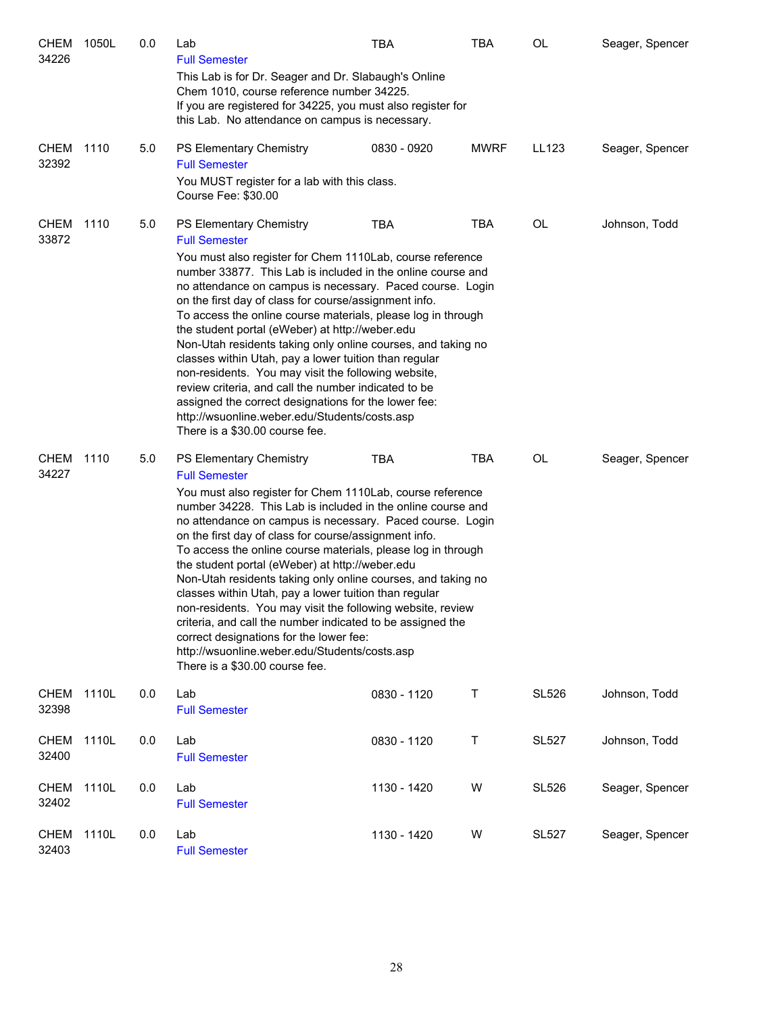| CHEM<br>34226        | 1050L | 0.0 | Lab<br><b>Full Semester</b><br>This Lab is for Dr. Seager and Dr. Slabaugh's Online<br>Chem 1010, course reference number 34225.<br>If you are registered for 34225, you must also register for<br>this Lab. No attendance on campus is necessary.                                                                                                                                                                                                                                                                                                                                                                                                                                                                                                                                                                                                                  | <b>TBA</b>  | <b>TBA</b>  | <b>OL</b>    | Seager, Spencer |  |
|----------------------|-------|-----|---------------------------------------------------------------------------------------------------------------------------------------------------------------------------------------------------------------------------------------------------------------------------------------------------------------------------------------------------------------------------------------------------------------------------------------------------------------------------------------------------------------------------------------------------------------------------------------------------------------------------------------------------------------------------------------------------------------------------------------------------------------------------------------------------------------------------------------------------------------------|-------------|-------------|--------------|-----------------|--|
| CHEM 1110<br>32392   |       | 5.0 | PS Elementary Chemistry<br><b>Full Semester</b><br>You MUST register for a lab with this class.<br>Course Fee: \$30.00                                                                                                                                                                                                                                                                                                                                                                                                                                                                                                                                                                                                                                                                                                                                              | 0830 - 0920 | <b>MWRF</b> | LL123        | Seager, Spencer |  |
| <b>CHEM</b><br>33872 | 1110  | 5.0 | PS Elementary Chemistry<br><b>Full Semester</b><br>You must also register for Chem 1110Lab, course reference<br>number 33877. This Lab is included in the online course and<br>no attendance on campus is necessary. Paced course. Login<br>on the first day of class for course/assignment info.<br>To access the online course materials, please log in through<br>the student portal (eWeber) at http://weber.edu<br>Non-Utah residents taking only online courses, and taking no<br>classes within Utah, pay a lower tuition than regular<br>non-residents. You may visit the following website,<br>review criteria, and call the number indicated to be<br>assigned the correct designations for the lower fee:<br>http://wsuonline.weber.edu/Students/costs.asp<br>There is a \$30.00 course fee.                                                             | <b>TBA</b>  | <b>TBA</b>  | OL           | Johnson, Todd   |  |
| CHEM<br>34227        | 1110  | 5.0 | <b>TBA</b><br><b>TBA</b><br>OL<br>Seager, Spencer<br><b>PS Elementary Chemistry</b><br><b>Full Semester</b><br>You must also register for Chem 1110Lab, course reference<br>number 34228. This Lab is included in the online course and<br>no attendance on campus is necessary. Paced course. Login<br>on the first day of class for course/assignment info.<br>To access the online course materials, please log in through<br>the student portal (eWeber) at http://weber.edu<br>Non-Utah residents taking only online courses, and taking no<br>classes within Utah, pay a lower tuition than regular<br>non-residents. You may visit the following website, review<br>criteria, and call the number indicated to be assigned the<br>correct designations for the lower fee:<br>http://wsuonline.weber.edu/Students/costs.asp<br>There is a \$30.00 course fee. |             |             |              |                 |  |
| <b>CHEM</b><br>32398 | 1110L | 0.0 | Lab<br><b>Full Semester</b>                                                                                                                                                                                                                                                                                                                                                                                                                                                                                                                                                                                                                                                                                                                                                                                                                                         | 0830 - 1120 | Τ           | <b>SL526</b> | Johnson, Todd   |  |
| CHEM<br>32400        | 1110L | 0.0 | Lab<br><b>Full Semester</b>                                                                                                                                                                                                                                                                                                                                                                                                                                                                                                                                                                                                                                                                                                                                                                                                                                         | 0830 - 1120 | Τ           | <b>SL527</b> | Johnson, Todd   |  |
| <b>CHEM</b><br>32402 | 1110L | 0.0 | Lab<br><b>Full Semester</b>                                                                                                                                                                                                                                                                                                                                                                                                                                                                                                                                                                                                                                                                                                                                                                                                                                         | 1130 - 1420 | W           | <b>SL526</b> | Seager, Spencer |  |
| <b>CHEM</b><br>32403 | 1110L | 0.0 | Lab<br><b>Full Semester</b>                                                                                                                                                                                                                                                                                                                                                                                                                                                                                                                                                                                                                                                                                                                                                                                                                                         | 1130 - 1420 | W           | <b>SL527</b> | Seager, Spencer |  |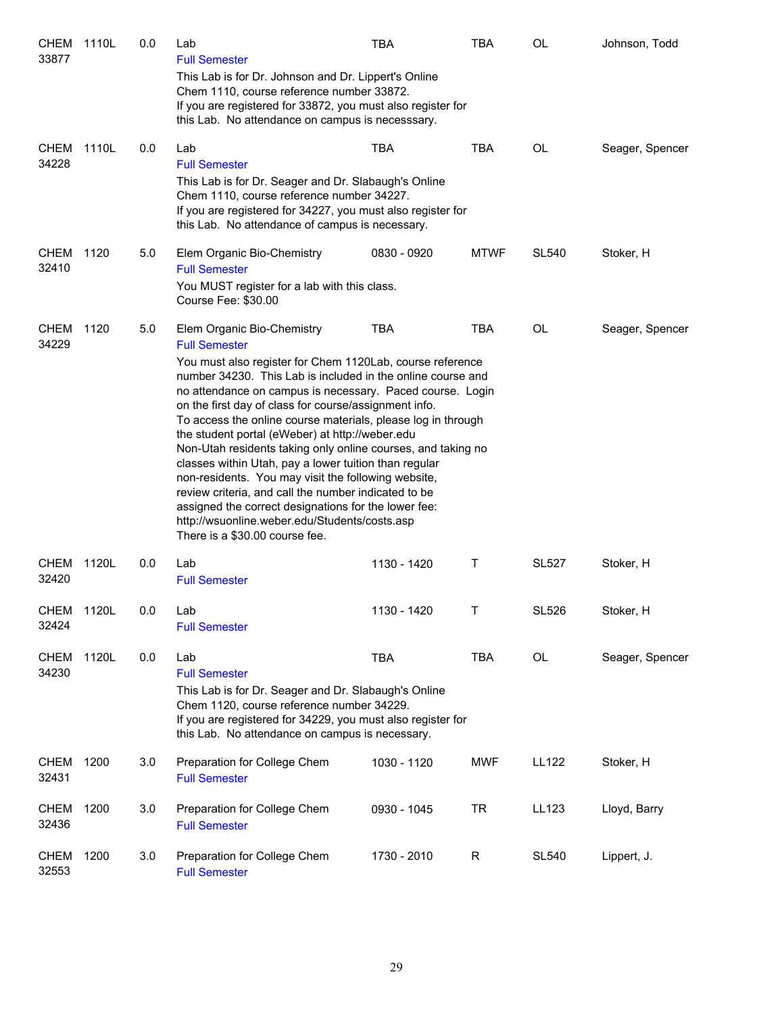| CHEM<br>33877        | 1110L | 0.0 | Lab<br><b>Full Semester</b>                                                                                                                                                                                                                                                                                                                                                                                                                                                                                                                                                                                                                                                                                                                                                                                | TBA         | <b>TBA</b>  | OL           | Johnson, Todd   |
|----------------------|-------|-----|------------------------------------------------------------------------------------------------------------------------------------------------------------------------------------------------------------------------------------------------------------------------------------------------------------------------------------------------------------------------------------------------------------------------------------------------------------------------------------------------------------------------------------------------------------------------------------------------------------------------------------------------------------------------------------------------------------------------------------------------------------------------------------------------------------|-------------|-------------|--------------|-----------------|
|                      |       |     | This Lab is for Dr. Johnson and Dr. Lippert's Online<br>Chem 1110, course reference number 33872.<br>If you are registered for 33872, you must also register for<br>this Lab. No attendance on campus is necesssary.                                                                                                                                                                                                                                                                                                                                                                                                                                                                                                                                                                                       |             |             |              |                 |
| CHEM<br>34228        | 1110L | 0.0 | Lab<br><b>Full Semester</b><br>This Lab is for Dr. Seager and Dr. Slabaugh's Online<br>Chem 1110, course reference number 34227.<br>If you are registered for 34227, you must also register for<br>this Lab. No attendance of campus is necessary.                                                                                                                                                                                                                                                                                                                                                                                                                                                                                                                                                         | <b>TBA</b>  | <b>TBA</b>  | OL           | Seager, Spencer |
| <b>CHEM</b><br>32410 | 1120  | 5.0 | Elem Organic Bio-Chemistry<br><b>Full Semester</b><br>You MUST register for a lab with this class.<br>Course Fee: \$30.00                                                                                                                                                                                                                                                                                                                                                                                                                                                                                                                                                                                                                                                                                  | 0830 - 0920 | <b>MTWF</b> | <b>SL540</b> | Stoker, H       |
| CHEM<br>34229        | 1120  | 5.0 | Elem Organic Bio-Chemistry<br><b>Full Semester</b><br>You must also register for Chem 1120Lab, course reference<br>number 34230. This Lab is included in the online course and<br>no attendance on campus is necessary. Paced course. Login<br>on the first day of class for course/assignment info.<br>To access the online course materials, please log in through<br>the student portal (eWeber) at http://weber.edu<br>Non-Utah residents taking only online courses, and taking no<br>classes within Utah, pay a lower tuition than regular<br>non-residents. You may visit the following website,<br>review criteria, and call the number indicated to be<br>assigned the correct designations for the lower fee:<br>http://wsuonline.weber.edu/Students/costs.asp<br>There is a \$30.00 course fee. | <b>TBA</b>  | <b>TBA</b>  | OL           | Seager, Spencer |
| <b>CHEM</b><br>32420 | 1120L | 0.0 | Lab<br><b>Full Semester</b>                                                                                                                                                                                                                                                                                                                                                                                                                                                                                                                                                                                                                                                                                                                                                                                | 1130 - 1420 | Τ           | <b>SL527</b> | Stoker, H       |
| CHEM<br>32424        | 1120L | 0.0 | Lab<br><b>Full Semester</b>                                                                                                                                                                                                                                                                                                                                                                                                                                                                                                                                                                                                                                                                                                                                                                                | 1130 - 1420 | T.          | <b>SL526</b> | Stoker, H       |
| CHEM<br>34230        | 1120L | 0.0 | Lab<br><b>Full Semester</b><br>This Lab is for Dr. Seager and Dr. Slabaugh's Online<br>Chem 1120, course reference number 34229.<br>If you are registered for 34229, you must also register for<br>this Lab. No attendance on campus is necessary.                                                                                                                                                                                                                                                                                                                                                                                                                                                                                                                                                         | <b>TBA</b>  | <b>TBA</b>  | OL           | Seager, Spencer |
| CHEM<br>32431        | 1200  | 3.0 | Preparation for College Chem<br><b>Full Semester</b>                                                                                                                                                                                                                                                                                                                                                                                                                                                                                                                                                                                                                                                                                                                                                       | 1030 - 1120 | <b>MWF</b>  | LL122        | Stoker, H       |
| CHEM<br>32436        | 1200  | 3.0 | Preparation for College Chem<br><b>Full Semester</b>                                                                                                                                                                                                                                                                                                                                                                                                                                                                                                                                                                                                                                                                                                                                                       | 0930 - 1045 | <b>TR</b>   | LL123        | Lloyd, Barry    |
| <b>CHEM</b><br>32553 | 1200  | 3.0 | Preparation for College Chem<br><b>Full Semester</b>                                                                                                                                                                                                                                                                                                                                                                                                                                                                                                                                                                                                                                                                                                                                                       | 1730 - 2010 | R           | <b>SL540</b> | Lippert, J.     |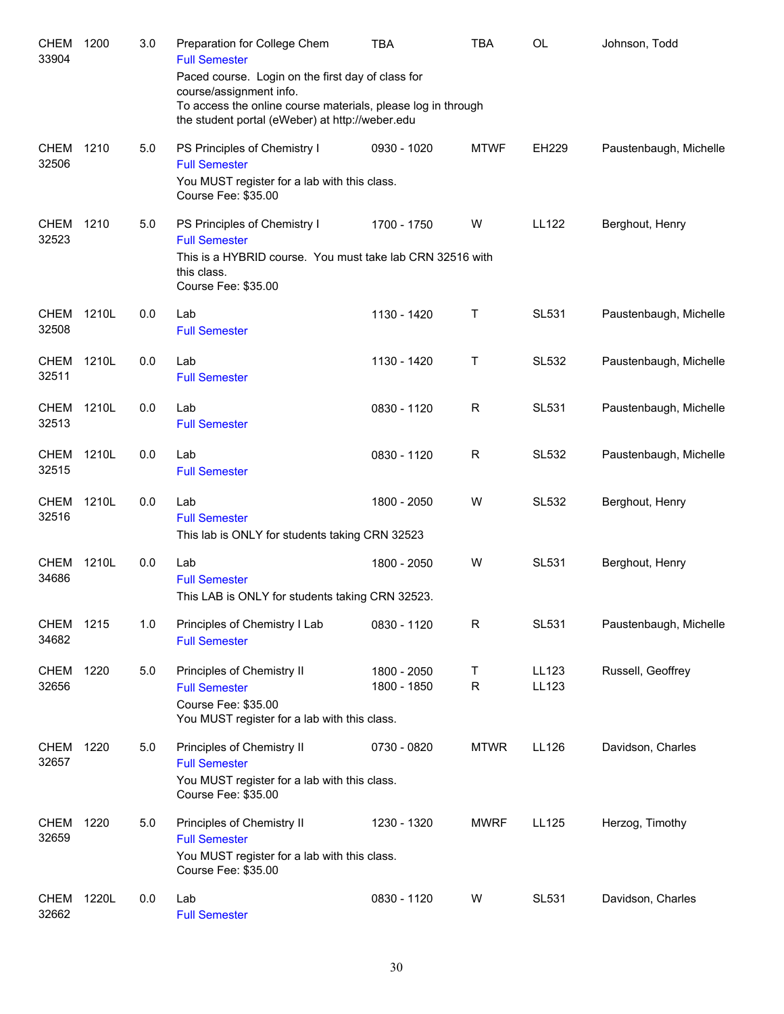| <b>CHEM</b><br>33904 | 1200  | 3.0 | Preparation for College Chem<br><b>Full Semester</b><br>Paced course. Login on the first day of class for<br>course/assignment info.<br>To access the online course materials, please log in through<br>the student portal (eWeber) at http://weber.edu | TBA                        | <b>TBA</b>        | <b>OL</b>      | Johnson, Todd          |
|----------------------|-------|-----|---------------------------------------------------------------------------------------------------------------------------------------------------------------------------------------------------------------------------------------------------------|----------------------------|-------------------|----------------|------------------------|
| <b>CHEM</b><br>32506 | 1210  | 5.0 | PS Principles of Chemistry I<br><b>Full Semester</b><br>You MUST register for a lab with this class.<br>Course Fee: \$35.00                                                                                                                             | 0930 - 1020                | <b>MTWF</b>       | EH229          | Paustenbaugh, Michelle |
| <b>CHEM</b><br>32523 | 1210  | 5.0 | PS Principles of Chemistry I<br><b>Full Semester</b><br>This is a HYBRID course. You must take lab CRN 32516 with<br>this class.<br>Course Fee: \$35.00                                                                                                 | 1700 - 1750                | W                 | <b>LL122</b>   | Berghout, Henry        |
| <b>CHEM</b><br>32508 | 1210L | 0.0 | Lab<br><b>Full Semester</b>                                                                                                                                                                                                                             | 1130 - 1420                | Τ                 | <b>SL531</b>   | Paustenbaugh, Michelle |
| <b>CHEM</b><br>32511 | 1210L | 0.0 | Lab<br><b>Full Semester</b>                                                                                                                                                                                                                             | 1130 - 1420                | Τ                 | <b>SL532</b>   | Paustenbaugh, Michelle |
| <b>CHEM</b><br>32513 | 1210L | 0.0 | Lab<br><b>Full Semester</b>                                                                                                                                                                                                                             | 0830 - 1120                | R                 | <b>SL531</b>   | Paustenbaugh, Michelle |
| <b>CHEM</b><br>32515 | 1210L | 0.0 | Lab<br><b>Full Semester</b>                                                                                                                                                                                                                             | 0830 - 1120                | $\mathsf R$       | <b>SL532</b>   | Paustenbaugh, Michelle |
| <b>CHEM</b><br>32516 | 1210L | 0.0 | Lab<br><b>Full Semester</b><br>This lab is ONLY for students taking CRN 32523                                                                                                                                                                           | 1800 - 2050                | W                 | <b>SL532</b>   | Berghout, Henry        |
| <b>CHEM</b><br>34686 | 1210L | 0.0 | Lab<br><b>Full Semester</b><br>This LAB is ONLY for students taking CRN 32523.                                                                                                                                                                          | 1800 - 2050                | W                 | <b>SL531</b>   | Berghout, Henry        |
| CHEM<br>34682        | 1215  | 1.0 | Principles of Chemistry I Lab<br><b>Full Semester</b>                                                                                                                                                                                                   | 0830 - 1120                | R                 | <b>SL531</b>   | Paustenbaugh, Michelle |
| <b>CHEM</b><br>32656 | 1220  | 5.0 | Principles of Chemistry II<br><b>Full Semester</b><br>Course Fee: \$35.00<br>You MUST register for a lab with this class.                                                                                                                               | 1800 - 2050<br>1800 - 1850 | Τ<br>$\mathsf{R}$ | LL123<br>LL123 | Russell, Geoffrey      |
| <b>CHEM</b><br>32657 | 1220  | 5.0 | Principles of Chemistry II<br><b>Full Semester</b><br>You MUST register for a lab with this class.<br>Course Fee: \$35.00                                                                                                                               | 0730 - 0820                | <b>MTWR</b>       | LL126          | Davidson, Charles      |
| <b>CHEM</b><br>32659 | 1220  | 5.0 | Principles of Chemistry II<br><b>Full Semester</b><br>You MUST register for a lab with this class.<br>Course Fee: \$35.00                                                                                                                               | 1230 - 1320                | <b>MWRF</b>       | LL125          | Herzog, Timothy        |
| <b>CHEM</b><br>32662 | 1220L | 0.0 | Lab<br><b>Full Semester</b>                                                                                                                                                                                                                             | 0830 - 1120                | W                 | <b>SL531</b>   | Davidson, Charles      |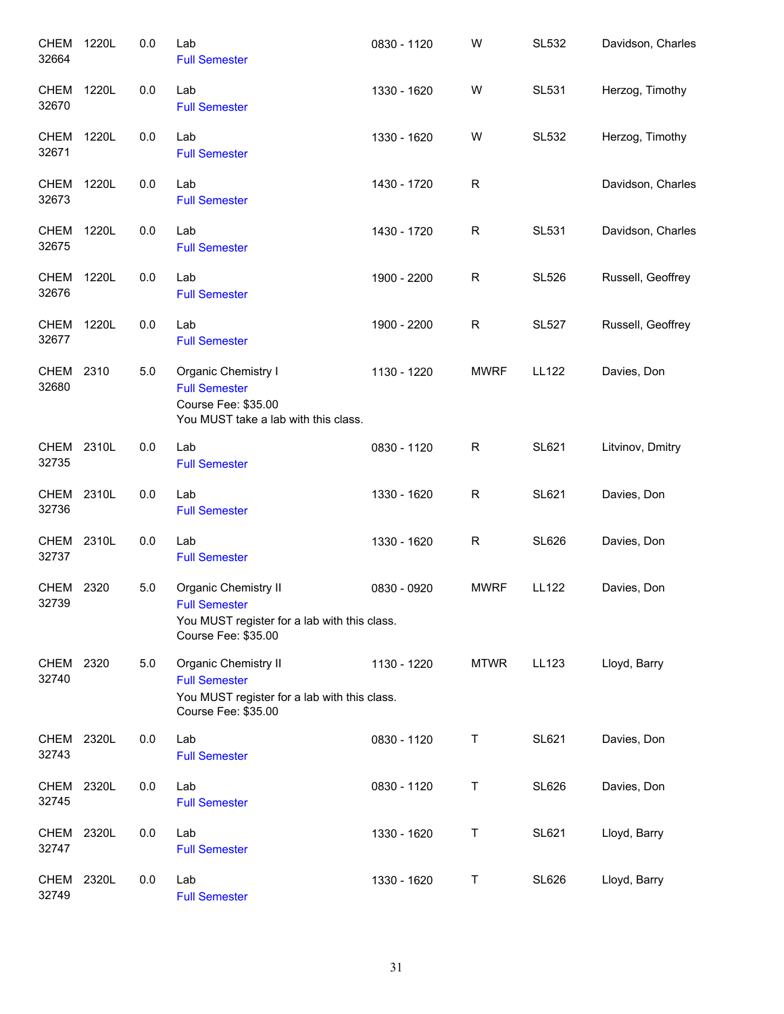| CHEM<br>32664              | 1220L | 0.0 | Lab<br><b>Full Semester</b>                                                                                         | 0830 - 1120 | W           | <b>SL532</b> | Davidson, Charles |
|----------------------------|-------|-----|---------------------------------------------------------------------------------------------------------------------|-------------|-------------|--------------|-------------------|
| CHEM<br>32670              | 1220L | 0.0 | Lab<br><b>Full Semester</b>                                                                                         | 1330 - 1620 | W           | <b>SL531</b> | Herzog, Timothy   |
| CHEM<br>32671              | 1220L | 0.0 | Lab<br><b>Full Semester</b>                                                                                         | 1330 - 1620 | W           | <b>SL532</b> | Herzog, Timothy   |
| <b>CHEM 1220L</b><br>32673 |       | 0.0 | Lab<br><b>Full Semester</b>                                                                                         | 1430 - 1720 | $\mathsf R$ |              | Davidson, Charles |
| CHEM 1220L<br>32675        |       | 0.0 | Lab<br><b>Full Semester</b>                                                                                         | 1430 - 1720 | $\mathsf R$ | <b>SL531</b> | Davidson, Charles |
| <b>CHEM 1220L</b><br>32676 |       | 0.0 | Lab<br><b>Full Semester</b>                                                                                         | 1900 - 2200 | R           | <b>SL526</b> | Russell, Geoffrey |
| CHEM<br>32677              | 1220L | 0.0 | Lab<br><b>Full Semester</b>                                                                                         | 1900 - 2200 | $\mathsf R$ | <b>SL527</b> | Russell, Geoffrey |
| <b>CHEM</b><br>32680       | 2310  | 5.0 | Organic Chemistry I<br><b>Full Semester</b><br>Course Fee: \$35.00<br>You MUST take a lab with this class.          | 1130 - 1220 | <b>MWRF</b> | <b>LL122</b> | Davies, Don       |
| CHEM 2310L<br>32735        |       | 0.0 | Lab<br><b>Full Semester</b>                                                                                         | 0830 - 1120 | $\mathsf R$ | <b>SL621</b> | Litvinov, Dmitry  |
| CHEM<br>32736              | 2310L | 0.0 | Lab<br><b>Full Semester</b>                                                                                         | 1330 - 1620 | $\mathsf R$ | SL621        | Davies, Don       |
| CHEM 2310L<br>32737        |       | 0.0 | Lab<br><b>Full Semester</b>                                                                                         | 1330 - 1620 | $\mathsf R$ | <b>SL626</b> | Davies, Don       |
| <b>CHEM</b><br>32739       | 2320  | 5.0 | Organic Chemistry II<br><b>Full Semester</b><br>You MUST register for a lab with this class.<br>Course Fee: \$35.00 | 0830 - 0920 | <b>MWRF</b> | <b>LL122</b> | Davies, Don       |
| <b>CHEM</b><br>32740       | 2320  | 5.0 | Organic Chemistry II<br><b>Full Semester</b><br>You MUST register for a lab with this class.<br>Course Fee: \$35.00 | 1130 - 1220 | <b>MTWR</b> | LL123        | Lloyd, Barry      |
| CHEM<br>32743              | 2320L | 0.0 | Lab<br><b>Full Semester</b>                                                                                         | 0830 - 1120 | Τ           | <b>SL621</b> | Davies, Don       |
| <b>CHEM</b><br>32745       | 2320L | 0.0 | Lab<br><b>Full Semester</b>                                                                                         | 0830 - 1120 | Τ           | <b>SL626</b> | Davies, Don       |
| CHEM<br>32747              | 2320L | 0.0 | Lab<br><b>Full Semester</b>                                                                                         | 1330 - 1620 | Τ           | <b>SL621</b> | Lloyd, Barry      |
| CHEM<br>32749              | 2320L | 0.0 | Lab<br><b>Full Semester</b>                                                                                         | 1330 - 1620 | Τ           | <b>SL626</b> | Lloyd, Barry      |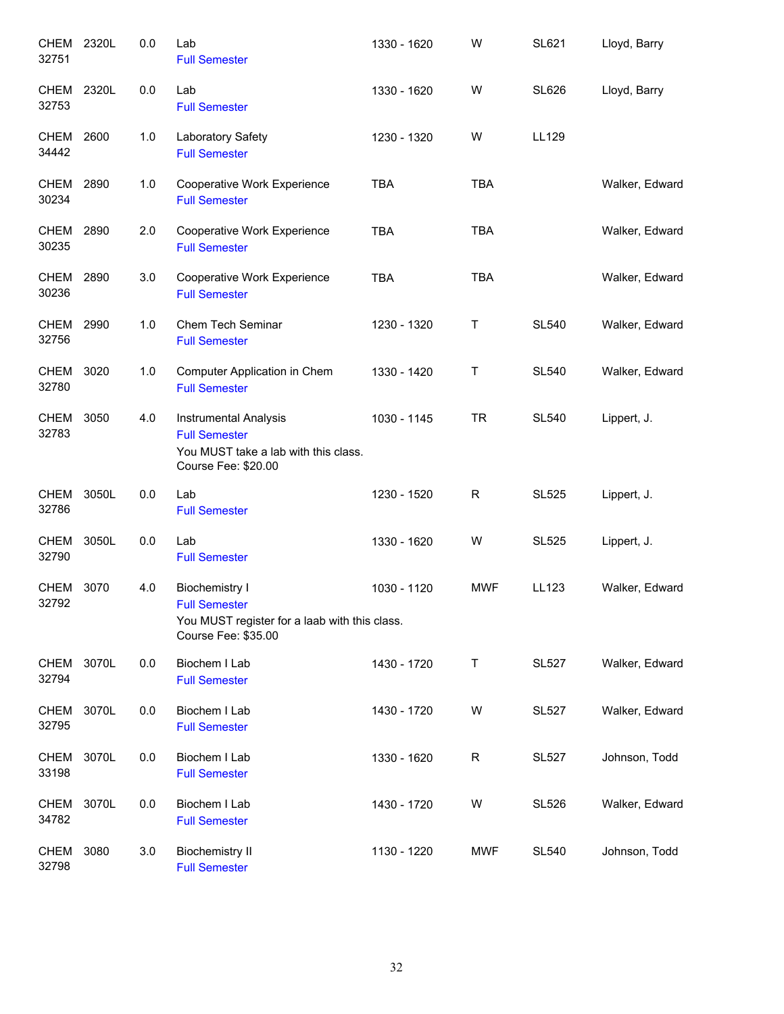| <b>CHEM</b><br>32751 | 2320L | 0.0 | Lab<br><b>Full Semester</b>                                                                                           | 1330 - 1620 | W           | <b>SL621</b> | Lloyd, Barry   |
|----------------------|-------|-----|-----------------------------------------------------------------------------------------------------------------------|-------------|-------------|--------------|----------------|
| CHEM 2320L<br>32753  |       | 0.0 | Lab<br><b>Full Semester</b>                                                                                           | 1330 - 1620 | W           | <b>SL626</b> | Lloyd, Barry   |
| CHEM 2600<br>34442   |       | 1.0 | Laboratory Safety<br><b>Full Semester</b>                                                                             | 1230 - 1320 | W           | LL129        |                |
| CHEM 2890<br>30234   |       | 1.0 | Cooperative Work Experience<br><b>Full Semester</b>                                                                   | <b>TBA</b>  | <b>TBA</b>  |              | Walker, Edward |
| CHEM<br>30235        | 2890  | 2.0 | Cooperative Work Experience<br><b>Full Semester</b>                                                                   | <b>TBA</b>  | <b>TBA</b>  |              | Walker, Edward |
| <b>CHEM</b><br>30236 | 2890  | 3.0 | Cooperative Work Experience<br><b>Full Semester</b>                                                                   | <b>TBA</b>  | <b>TBA</b>  |              | Walker, Edward |
| <b>CHEM</b><br>32756 | 2990  | 1.0 | Chem Tech Seminar<br><b>Full Semester</b>                                                                             | 1230 - 1320 | Τ           | <b>SL540</b> | Walker, Edward |
| <b>CHEM</b><br>32780 | 3020  | 1.0 | Computer Application in Chem<br><b>Full Semester</b>                                                                  | 1330 - 1420 | Τ           | <b>SL540</b> | Walker, Edward |
| CHEM<br>32783        | 3050  | 4.0 | Instrumental Analysis<br><b>Full Semester</b><br>You MUST take a lab with this class.<br>Course Fee: \$20.00          | 1030 - 1145 | <b>TR</b>   | <b>SL540</b> | Lippert, J.    |
| <b>CHEM</b><br>32786 | 3050L | 0.0 | Lab<br><b>Full Semester</b>                                                                                           | 1230 - 1520 | $\mathsf R$ | <b>SL525</b> | Lippert, J.    |
| <b>CHEM</b><br>32790 | 3050L | 0.0 | Lab<br><b>Full Semester</b>                                                                                           | 1330 - 1620 | W           | <b>SL525</b> | Lippert, J.    |
| <b>CHEM</b><br>32792 | 3070  | 4.0 | <b>Biochemistry I</b><br><b>Full Semester</b><br>You MUST register for a laab with this class.<br>Course Fee: \$35.00 | 1030 - 1120 | <b>MWF</b>  | LL123        | Walker, Edward |
| CHEM<br>32794        | 3070L | 0.0 | Biochem I Lab<br><b>Full Semester</b>                                                                                 | 1430 - 1720 | T           | <b>SL527</b> | Walker, Edward |
| CHEM<br>32795        | 3070L | 0.0 | Biochem I Lab<br><b>Full Semester</b>                                                                                 | 1430 - 1720 | W           | <b>SL527</b> | Walker, Edward |
| <b>CHEM</b><br>33198 | 3070L | 0.0 | Biochem I Lab<br><b>Full Semester</b>                                                                                 | 1330 - 1620 | $\mathsf R$ | <b>SL527</b> | Johnson, Todd  |
| CHEM<br>34782        | 3070L | 0.0 | Biochem I Lab<br><b>Full Semester</b>                                                                                 | 1430 - 1720 | W           | <b>SL526</b> | Walker, Edward |
| CHEM<br>32798        | 3080  | 3.0 | <b>Biochemistry II</b><br><b>Full Semester</b>                                                                        | 1130 - 1220 | <b>MWF</b>  | <b>SL540</b> | Johnson, Todd  |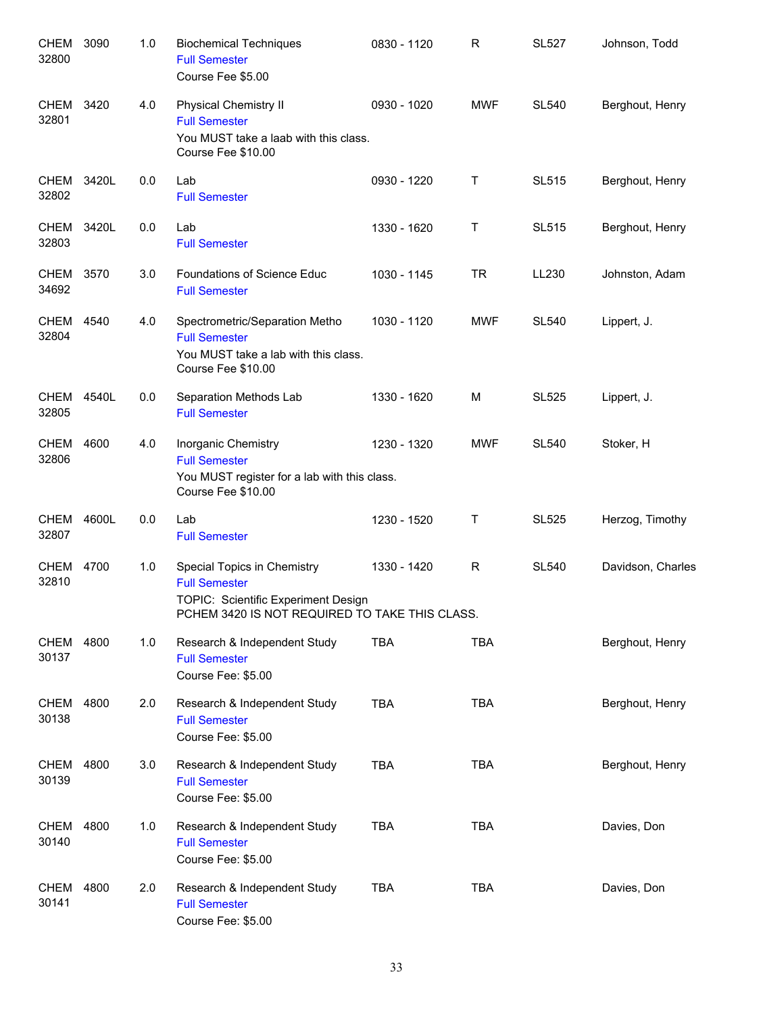| <b>CHEM</b><br>32800 | 3090  | 1.0 | <b>Biochemical Techniques</b><br><b>Full Semester</b><br>Course Fee \$5.00                                                                   | 0830 - 1120 | R          | <b>SL527</b> | Johnson, Todd     |
|----------------------|-------|-----|----------------------------------------------------------------------------------------------------------------------------------------------|-------------|------------|--------------|-------------------|
| CHEM<br>32801        | 3420  | 4.0 | <b>Physical Chemistry II</b><br><b>Full Semester</b><br>You MUST take a laab with this class.<br>Course Fee \$10.00                          | 0930 - 1020 | <b>MWF</b> | <b>SL540</b> | Berghout, Henry   |
| <b>CHEM</b><br>32802 | 3420L | 0.0 | Lab<br><b>Full Semester</b>                                                                                                                  | 0930 - 1220 | T          | <b>SL515</b> | Berghout, Henry   |
| <b>CHEM</b><br>32803 | 3420L | 0.0 | Lab<br><b>Full Semester</b>                                                                                                                  | 1330 - 1620 | Τ          | <b>SL515</b> | Berghout, Henry   |
| <b>CHEM</b><br>34692 | 3570  | 3.0 | Foundations of Science Educ<br><b>Full Semester</b>                                                                                          | 1030 - 1145 | <b>TR</b>  | LL230        | Johnston, Adam    |
| CHEM<br>32804        | 4540  | 4.0 | Spectrometric/Separation Metho<br><b>Full Semester</b><br>You MUST take a lab with this class.<br>Course Fee \$10.00                         | 1030 - 1120 | <b>MWF</b> | <b>SL540</b> | Lippert, J.       |
| CHEM<br>32805        | 4540L | 0.0 | Separation Methods Lab<br><b>Full Semester</b>                                                                                               | 1330 - 1620 | M          | <b>SL525</b> | Lippert, J.       |
| <b>CHEM</b><br>32806 | 4600  | 4.0 | Inorganic Chemistry<br><b>Full Semester</b><br>You MUST register for a lab with this class.<br>Course Fee \$10.00                            | 1230 - 1320 | <b>MWF</b> | <b>SL540</b> | Stoker, H         |
| CHEM<br>32807        | 4600L | 0.0 | Lab<br><b>Full Semester</b>                                                                                                                  | 1230 - 1520 | Τ          | <b>SL525</b> | Herzog, Timothy   |
| CHEM<br>32810        | 4700  | 1.0 | Special Topics in Chemistry<br><b>Full Semester</b><br>TOPIC: Scientific Experiment Design<br>PCHEM 3420 IS NOT REQUIRED TO TAKE THIS CLASS. | 1330 - 1420 | R          | <b>SL540</b> | Davidson, Charles |
| CHEM 4800<br>30137   |       | 1.0 | Research & Independent Study<br><b>Full Semester</b><br>Course Fee: \$5.00                                                                   | <b>TBA</b>  | <b>TBA</b> |              | Berghout, Henry   |
| <b>CHEM</b><br>30138 | 4800  | 2.0 | Research & Independent Study<br><b>Full Semester</b><br>Course Fee: \$5.00                                                                   | <b>TBA</b>  | <b>TBA</b> |              | Berghout, Henry   |
| <b>CHEM</b><br>30139 | 4800  | 3.0 | Research & Independent Study<br><b>Full Semester</b><br>Course Fee: \$5.00                                                                   | <b>TBA</b>  | <b>TBA</b> |              | Berghout, Henry   |
| <b>CHEM</b><br>30140 | 4800  | 1.0 | Research & Independent Study<br><b>Full Semester</b><br>Course Fee: \$5.00                                                                   | <b>TBA</b>  | <b>TBA</b> |              | Davies, Don       |
| <b>CHEM</b><br>30141 | 4800  | 2.0 | Research & Independent Study<br><b>Full Semester</b><br>Course Fee: \$5.00                                                                   | <b>TBA</b>  | <b>TBA</b> |              | Davies, Don       |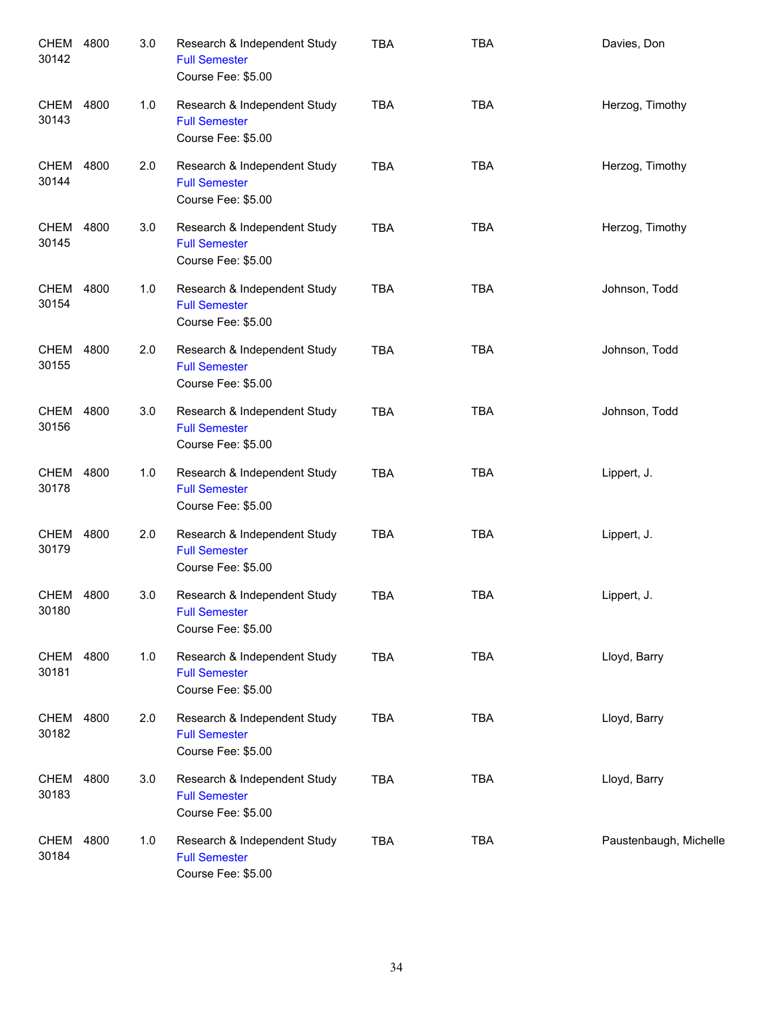| CHEM<br>30142        | 4800 | 3.0 | Research & Independent Study<br><b>Full Semester</b><br>Course Fee: \$5.00 | <b>TBA</b> | <b>TBA</b> | Davies, Don            |
|----------------------|------|-----|----------------------------------------------------------------------------|------------|------------|------------------------|
| <b>CHEM</b><br>30143 | 4800 | 1.0 | Research & Independent Study<br><b>Full Semester</b><br>Course Fee: \$5.00 | <b>TBA</b> | <b>TBA</b> | Herzog, Timothy        |
| <b>CHEM</b><br>30144 | 4800 | 2.0 | Research & Independent Study<br><b>Full Semester</b><br>Course Fee: \$5.00 | <b>TBA</b> | <b>TBA</b> | Herzog, Timothy        |
| <b>CHEM</b><br>30145 | 4800 | 3.0 | Research & Independent Study<br><b>Full Semester</b><br>Course Fee: \$5.00 | <b>TBA</b> | <b>TBA</b> | Herzog, Timothy        |
| <b>CHEM</b><br>30154 | 4800 | 1.0 | Research & Independent Study<br><b>Full Semester</b><br>Course Fee: \$5.00 | <b>TBA</b> | <b>TBA</b> | Johnson, Todd          |
| <b>CHEM</b><br>30155 | 4800 | 2.0 | Research & Independent Study<br><b>Full Semester</b><br>Course Fee: \$5.00 | <b>TBA</b> | <b>TBA</b> | Johnson, Todd          |
| CHEM<br>30156        | 4800 | 3.0 | Research & Independent Study<br><b>Full Semester</b><br>Course Fee: \$5.00 | <b>TBA</b> | <b>TBA</b> | Johnson, Todd          |
| CHEM<br>30178        | 4800 | 1.0 | Research & Independent Study<br><b>Full Semester</b><br>Course Fee: \$5.00 | <b>TBA</b> | <b>TBA</b> | Lippert, J.            |
| <b>CHEM</b><br>30179 | 4800 | 2.0 | Research & Independent Study<br><b>Full Semester</b><br>Course Fee: \$5.00 | <b>TBA</b> | <b>TBA</b> | Lippert, J.            |
| CHEM<br>30180        | 4800 | 3.0 | Research & Independent Study<br><b>Full Semester</b><br>Course Fee: \$5.00 | <b>TBA</b> | <b>TBA</b> | Lippert, J.            |
| <b>CHEM</b><br>30181 | 4800 | 1.0 | Research & Independent Study<br><b>Full Semester</b><br>Course Fee: \$5.00 | <b>TBA</b> | <b>TBA</b> | Lloyd, Barry           |
| CHEM<br>30182        | 4800 | 2.0 | Research & Independent Study<br><b>Full Semester</b><br>Course Fee: \$5.00 | <b>TBA</b> | <b>TBA</b> | Lloyd, Barry           |
| CHEM<br>30183        | 4800 | 3.0 | Research & Independent Study<br><b>Full Semester</b><br>Course Fee: \$5.00 | <b>TBA</b> | <b>TBA</b> | Lloyd, Barry           |
| CHEM<br>30184        | 4800 | 1.0 | Research & Independent Study<br><b>Full Semester</b><br>Course Fee: \$5.00 | <b>TBA</b> | <b>TBA</b> | Paustenbaugh, Michelle |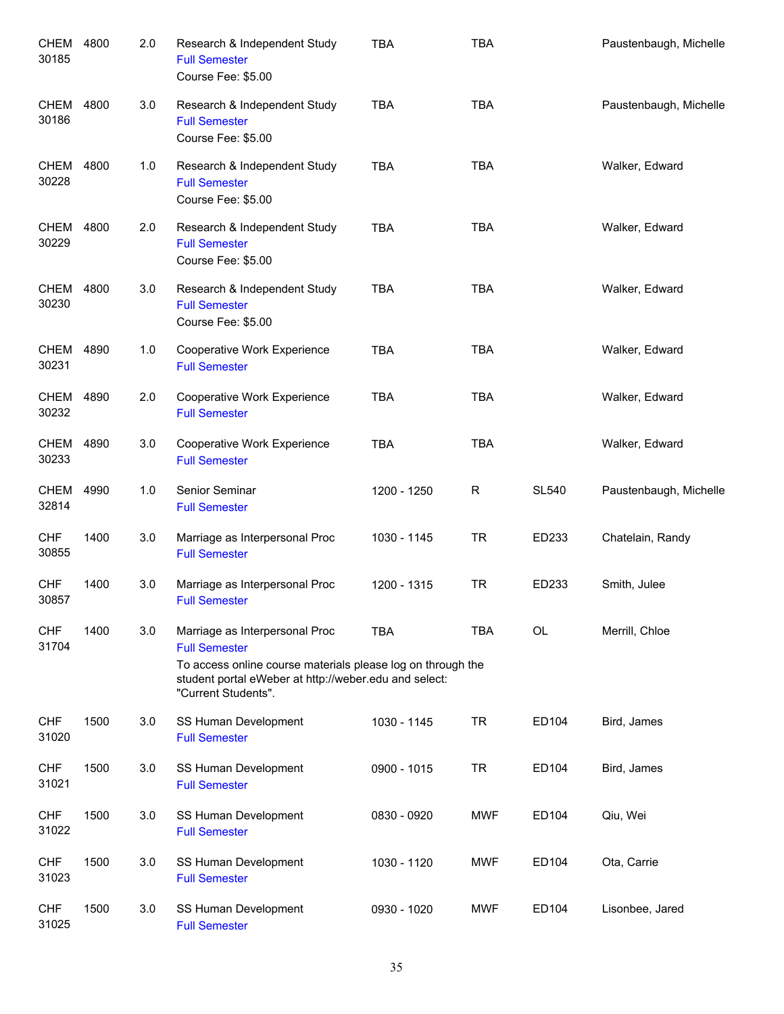| <b>CHEM</b><br>30185 | 4800 | 2.0 | Research & Independent Study<br><b>Full Semester</b><br>Course Fee: \$5.00                                                                                                                            | <b>TBA</b>  | <b>TBA</b> |              | Paustenbaugh, Michelle |
|----------------------|------|-----|-------------------------------------------------------------------------------------------------------------------------------------------------------------------------------------------------------|-------------|------------|--------------|------------------------|
| <b>CHEM</b><br>30186 | 4800 | 3.0 | Research & Independent Study<br><b>Full Semester</b><br>Course Fee: \$5.00                                                                                                                            | <b>TBA</b>  | <b>TBA</b> |              | Paustenbaugh, Michelle |
| CHEM<br>30228        | 4800 | 1.0 | Research & Independent Study<br><b>Full Semester</b><br>Course Fee: \$5.00                                                                                                                            | <b>TBA</b>  | <b>TBA</b> |              | Walker, Edward         |
| <b>CHEM</b><br>30229 | 4800 | 2.0 | Research & Independent Study<br><b>Full Semester</b><br>Course Fee: \$5.00                                                                                                                            | <b>TBA</b>  | <b>TBA</b> |              | Walker, Edward         |
| <b>CHEM</b><br>30230 | 4800 | 3.0 | Research & Independent Study<br><b>Full Semester</b><br>Course Fee: \$5.00                                                                                                                            | <b>TBA</b>  | <b>TBA</b> |              | Walker, Edward         |
| <b>CHEM</b><br>30231 | 4890 | 1.0 | Cooperative Work Experience<br><b>Full Semester</b>                                                                                                                                                   | <b>TBA</b>  | <b>TBA</b> |              | Walker, Edward         |
| CHEM<br>30232        | 4890 | 2.0 | Cooperative Work Experience<br><b>Full Semester</b>                                                                                                                                                   | <b>TBA</b>  | <b>TBA</b> |              | Walker, Edward         |
| <b>CHEM</b><br>30233 | 4890 | 3.0 | Cooperative Work Experience<br><b>Full Semester</b>                                                                                                                                                   | <b>TBA</b>  | <b>TBA</b> |              | Walker, Edward         |
| <b>CHEM</b><br>32814 | 4990 | 1.0 | Senior Seminar<br><b>Full Semester</b>                                                                                                                                                                | 1200 - 1250 | R          | <b>SL540</b> | Paustenbaugh, Michelle |
| <b>CHF</b><br>30855  | 1400 | 3.0 | Marriage as Interpersonal Proc<br><b>Full Semester</b>                                                                                                                                                | 1030 - 1145 | <b>TR</b>  | ED233        | Chatelain, Randy       |
| <b>CHF</b><br>30857  | 1400 | 3.0 | Marriage as Interpersonal Proc<br><b>Full Semester</b>                                                                                                                                                | 1200 - 1315 | <b>TR</b>  | ED233        | Smith, Julee           |
| <b>CHF</b><br>31704  | 1400 | 3.0 | Marriage as Interpersonal Proc<br><b>Full Semester</b><br>To access online course materials please log on through the<br>student portal eWeber at http://weber.edu and select:<br>"Current Students". | <b>TBA</b>  | <b>TBA</b> | <b>OL</b>    | Merrill, Chloe         |
| <b>CHF</b><br>31020  | 1500 | 3.0 | SS Human Development<br><b>Full Semester</b>                                                                                                                                                          | 1030 - 1145 | <b>TR</b>  | ED104        | Bird, James            |
| <b>CHF</b><br>31021  | 1500 | 3.0 | SS Human Development<br><b>Full Semester</b>                                                                                                                                                          | 0900 - 1015 | <b>TR</b>  | ED104        | Bird, James            |
| <b>CHF</b><br>31022  | 1500 | 3.0 | SS Human Development<br><b>Full Semester</b>                                                                                                                                                          | 0830 - 0920 | <b>MWF</b> | ED104        | Qiu, Wei               |
| <b>CHF</b><br>31023  | 1500 | 3.0 | SS Human Development<br><b>Full Semester</b>                                                                                                                                                          | 1030 - 1120 | <b>MWF</b> | ED104        | Ota, Carrie            |
| <b>CHF</b><br>31025  | 1500 | 3.0 | SS Human Development<br><b>Full Semester</b>                                                                                                                                                          | 0930 - 1020 | <b>MWF</b> | ED104        | Lisonbee, Jared        |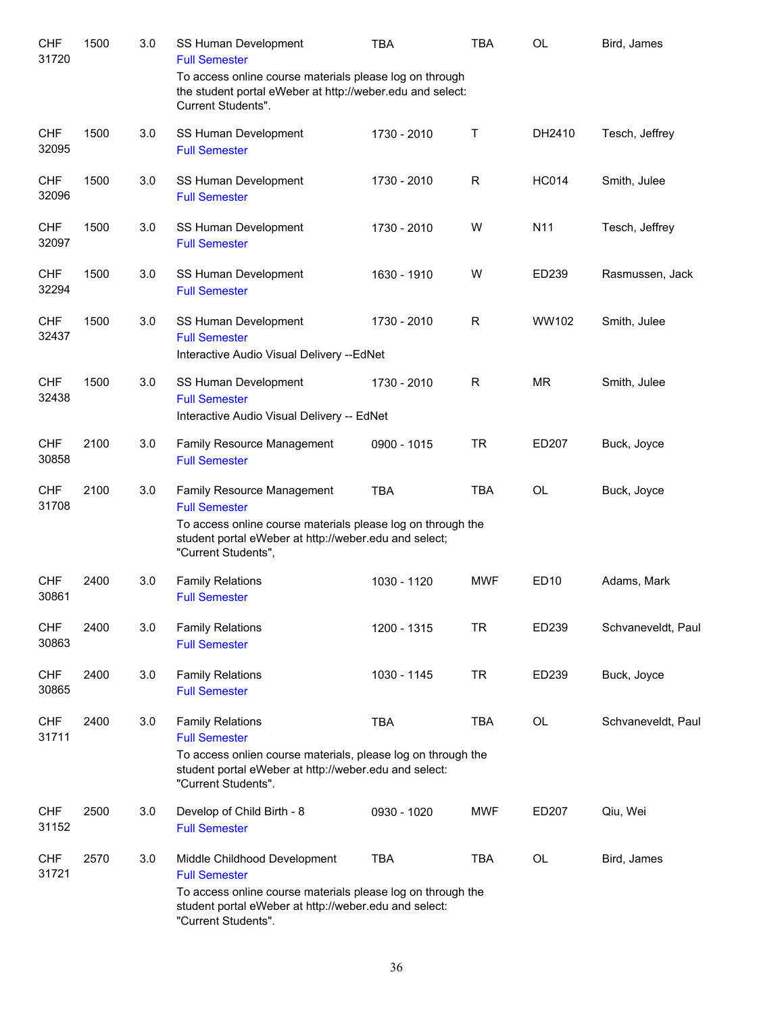| <b>CHF</b><br>31720 | 1500 | 3.0 | SS Human Development<br><b>Full Semester</b>                                                                                                                                                      | <b>TBA</b>  | <b>TBA</b> | <b>OL</b>       | Bird, James        |
|---------------------|------|-----|---------------------------------------------------------------------------------------------------------------------------------------------------------------------------------------------------|-------------|------------|-----------------|--------------------|
|                     |      |     | To access online course materials please log on through<br>the student portal eWeber at http://weber.edu and select:<br>Current Students".                                                        |             |            |                 |                    |
| <b>CHF</b><br>32095 | 1500 | 3.0 | SS Human Development<br><b>Full Semester</b>                                                                                                                                                      | 1730 - 2010 | $\sf T$    | DH2410          | Tesch, Jeffrey     |
| <b>CHF</b><br>32096 | 1500 | 3.0 | SS Human Development<br><b>Full Semester</b>                                                                                                                                                      | 1730 - 2010 | R          | <b>HC014</b>    | Smith, Julee       |
| <b>CHF</b><br>32097 | 1500 | 3.0 | SS Human Development<br><b>Full Semester</b>                                                                                                                                                      | 1730 - 2010 | W          | N <sub>11</sub> | Tesch, Jeffrey     |
| <b>CHF</b><br>32294 | 1500 | 3.0 | SS Human Development<br><b>Full Semester</b>                                                                                                                                                      | 1630 - 1910 | W          | ED239           | Rasmussen, Jack    |
| <b>CHF</b><br>32437 | 1500 | 3.0 | SS Human Development<br><b>Full Semester</b><br>Interactive Audio Visual Delivery -- EdNet                                                                                                        | 1730 - 2010 | R          | WW102           | Smith, Julee       |
| <b>CHF</b><br>32438 | 1500 | 3.0 | SS Human Development<br><b>Full Semester</b><br>Interactive Audio Visual Delivery -- EdNet                                                                                                        | 1730 - 2010 | R          | <b>MR</b>       | Smith, Julee       |
| <b>CHF</b><br>30858 | 2100 | 3.0 | Family Resource Management<br><b>Full Semester</b>                                                                                                                                                | 0900 - 1015 | <b>TR</b>  | ED207           | Buck, Joyce        |
| <b>CHF</b><br>31708 | 2100 | 3.0 | Family Resource Management<br><b>Full Semester</b><br>To access online course materials please log on through the<br>student portal eWeber at http://weber.edu and select;<br>"Current Students", | <b>TBA</b>  | <b>TBA</b> | OL              | Buck, Joyce        |
| <b>CHF</b><br>30861 | 2400 | 3.0 | <b>Family Relations</b><br><b>Full Semester</b>                                                                                                                                                   | 1030 - 1120 | <b>MWF</b> | <b>ED10</b>     | Adams, Mark        |
| <b>CHF</b><br>30863 | 2400 | 3.0 | <b>Family Relations</b><br><b>Full Semester</b>                                                                                                                                                   | 1200 - 1315 | <b>TR</b>  | ED239           | Schvaneveldt, Paul |
| <b>CHF</b><br>30865 | 2400 | 3.0 | <b>Family Relations</b><br><b>Full Semester</b>                                                                                                                                                   | 1030 - 1145 | <b>TR</b>  | ED239           | Buck, Joyce        |
| <b>CHF</b><br>31711 | 2400 | 3.0 | <b>Family Relations</b><br><b>Full Semester</b><br>To access onlien course materials, please log on through the<br>student portal eWeber at http://weber.edu and select:<br>"Current Students".   | <b>TBA</b>  | <b>TBA</b> | OL              | Schvaneveldt, Paul |
| <b>CHF</b><br>31152 | 2500 | 3.0 | Develop of Child Birth - 8<br><b>Full Semester</b>                                                                                                                                                | 0930 - 1020 | <b>MWF</b> | ED207           | Qiu, Wei           |
| <b>CHF</b><br>31721 | 2570 | 3.0 | Middle Childhood Development<br><b>Full Semester</b><br>To access online course materials please log on through the                                                                               | <b>TBA</b>  | <b>TBA</b> | OL              | Bird, James        |
|                     |      |     | student portal eWeber at http://weber.edu and select:<br>"Current Students".                                                                                                                      |             |            |                 |                    |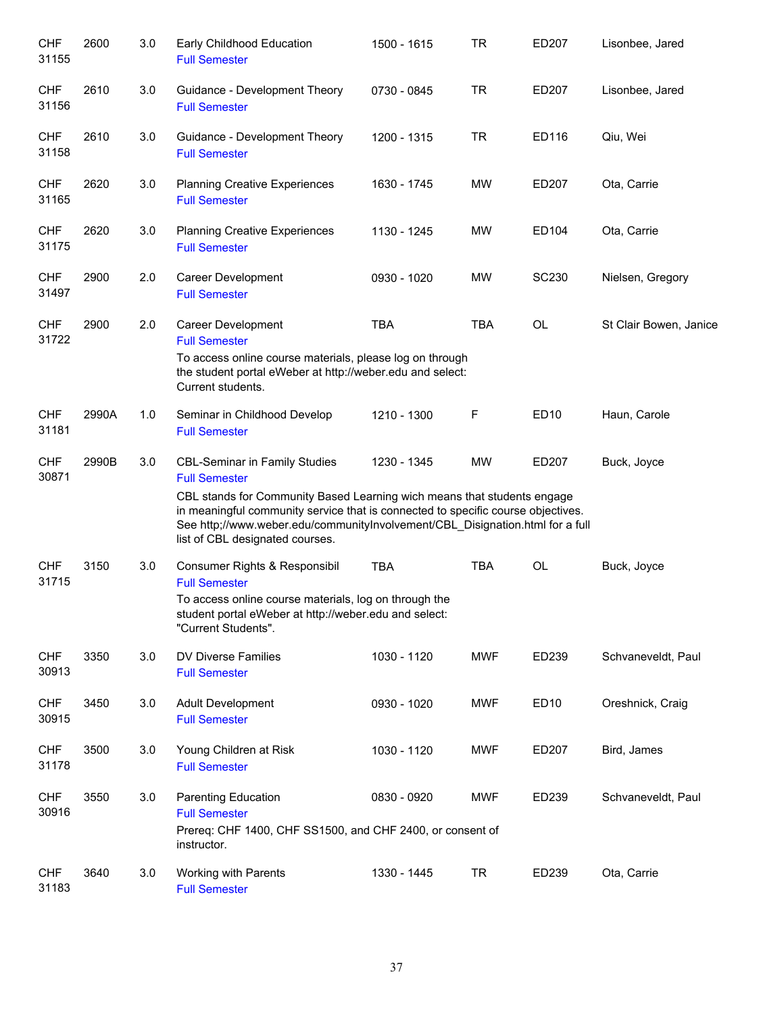| <b>CHF</b><br>31155 | 2600  | 3.0 | Early Childhood Education<br><b>Full Semester</b>                                                                                                                                                                                                                                                                                               | 1500 - 1615 | <b>TR</b>  | ED207        | Lisonbee, Jared        |
|---------------------|-------|-----|-------------------------------------------------------------------------------------------------------------------------------------------------------------------------------------------------------------------------------------------------------------------------------------------------------------------------------------------------|-------------|------------|--------------|------------------------|
| <b>CHF</b><br>31156 | 2610  | 3.0 | Guidance - Development Theory<br><b>Full Semester</b>                                                                                                                                                                                                                                                                                           | 0730 - 0845 | <b>TR</b>  | ED207        | Lisonbee, Jared        |
| <b>CHF</b><br>31158 | 2610  | 3.0 | Guidance - Development Theory<br><b>Full Semester</b>                                                                                                                                                                                                                                                                                           | 1200 - 1315 | <b>TR</b>  | ED116        | Qiu, Wei               |
| <b>CHF</b><br>31165 | 2620  | 3.0 | <b>Planning Creative Experiences</b><br><b>Full Semester</b>                                                                                                                                                                                                                                                                                    | 1630 - 1745 | <b>MW</b>  | ED207        | Ota, Carrie            |
| <b>CHF</b><br>31175 | 2620  | 3.0 | <b>Planning Creative Experiences</b><br><b>Full Semester</b>                                                                                                                                                                                                                                                                                    | 1130 - 1245 | <b>MW</b>  | ED104        | Ota, Carrie            |
| <b>CHF</b><br>31497 | 2900  | 2.0 | Career Development<br><b>Full Semester</b>                                                                                                                                                                                                                                                                                                      | 0930 - 1020 | <b>MW</b>  | <b>SC230</b> | Nielsen, Gregory       |
| <b>CHF</b><br>31722 | 2900  | 2.0 | Career Development<br><b>Full Semester</b><br>To access online course materials, please log on through<br>the student portal eWeber at http://weber.edu and select:<br>Current students.                                                                                                                                                        | <b>TBA</b>  | <b>TBA</b> | OL           | St Clair Bowen, Janice |
| <b>CHF</b><br>31181 | 2990A | 1.0 | Seminar in Childhood Develop<br><b>Full Semester</b>                                                                                                                                                                                                                                                                                            | 1210 - 1300 | F          | <b>ED10</b>  | Haun, Carole           |
| <b>CHF</b><br>30871 | 2990B | 3.0 | <b>CBL-Seminar in Family Studies</b><br><b>Full Semester</b><br>CBL stands for Community Based Learning wich means that students engage<br>in meaningful community service that is connected to specific course objectives.<br>See http;//www.weber.edu/communityInvolvement/CBL_Disignation.html for a full<br>list of CBL designated courses. | 1230 - 1345 | <b>MW</b>  | ED207        | Buck, Joyce            |
| <b>CHF</b><br>31715 | 3150  | 3.0 | Consumer Rights & Responsibil<br><b>Full Semester</b><br>To access online course materials, log on through the<br>student portal eWeber at http://weber.edu and select:<br>"Current Students".                                                                                                                                                  | <b>TBA</b>  | <b>TBA</b> | OL           | Buck, Joyce            |
| <b>CHF</b><br>30913 | 3350  | 3.0 | DV Diverse Families<br><b>Full Semester</b>                                                                                                                                                                                                                                                                                                     | 1030 - 1120 | <b>MWF</b> | ED239        | Schvaneveldt, Paul     |
| <b>CHF</b><br>30915 | 3450  | 3.0 | Adult Development<br><b>Full Semester</b>                                                                                                                                                                                                                                                                                                       | 0930 - 1020 | <b>MWF</b> | ED10         | Oreshnick, Craig       |
| <b>CHF</b><br>31178 | 3500  | 3.0 | Young Children at Risk<br><b>Full Semester</b>                                                                                                                                                                                                                                                                                                  | 1030 - 1120 | <b>MWF</b> | ED207        | Bird, James            |
| <b>CHF</b><br>30916 | 3550  | 3.0 | <b>Parenting Education</b><br><b>Full Semester</b><br>Prereq: CHF 1400, CHF SS1500, and CHF 2400, or consent of<br>instructor.                                                                                                                                                                                                                  | 0830 - 0920 | <b>MWF</b> | ED239        | Schvaneveldt, Paul     |
| <b>CHF</b><br>31183 | 3640  | 3.0 | Working with Parents<br><b>Full Semester</b>                                                                                                                                                                                                                                                                                                    | 1330 - 1445 | <b>TR</b>  | ED239        | Ota, Carrie            |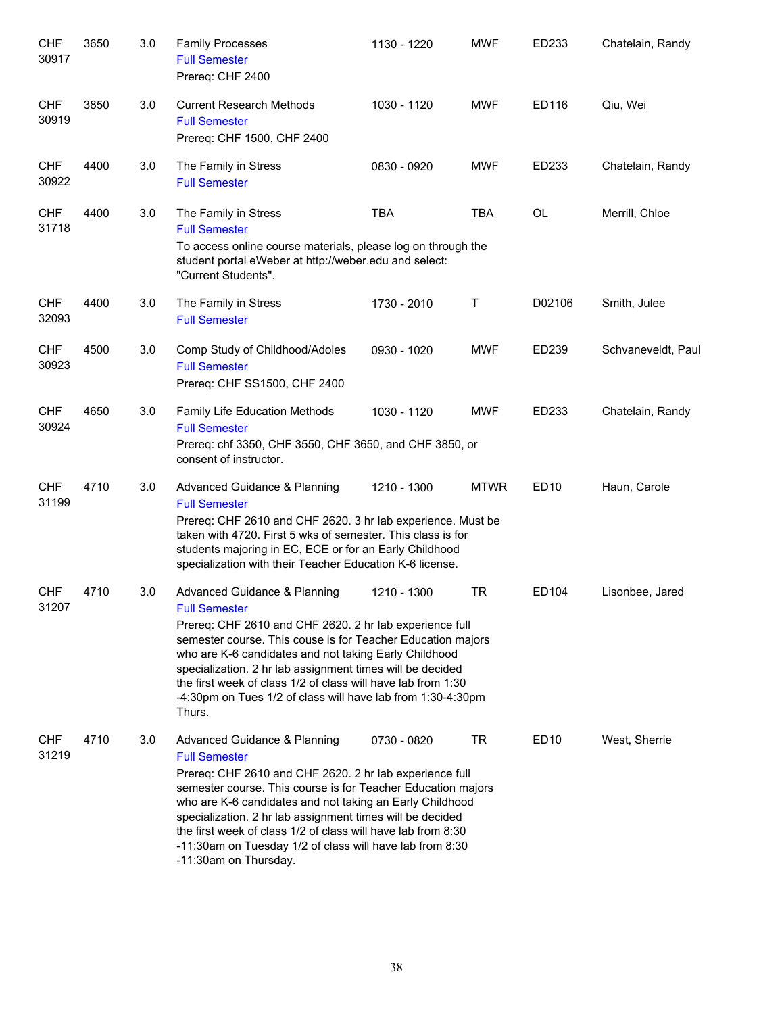| <b>CHF</b><br>30917 | 3650 | 3.0 | <b>Family Processes</b><br><b>Full Semester</b><br>Prereq: CHF 2400                                                                                                                                                                                                                                                                                                                                                                                           | 1130 - 1220 | <b>MWF</b>  | ED233            | Chatelain, Randy   |
|---------------------|------|-----|---------------------------------------------------------------------------------------------------------------------------------------------------------------------------------------------------------------------------------------------------------------------------------------------------------------------------------------------------------------------------------------------------------------------------------------------------------------|-------------|-------------|------------------|--------------------|
| <b>CHF</b><br>30919 | 3850 | 3.0 | <b>Current Research Methods</b><br><b>Full Semester</b><br>Prereq: CHF 1500, CHF 2400                                                                                                                                                                                                                                                                                                                                                                         | 1030 - 1120 | <b>MWF</b>  | ED116            | Qiu, Wei           |
| <b>CHF</b><br>30922 | 4400 | 3.0 | The Family in Stress<br><b>Full Semester</b>                                                                                                                                                                                                                                                                                                                                                                                                                  | 0830 - 0920 | <b>MWF</b>  | ED233            | Chatelain, Randy   |
| <b>CHF</b><br>31718 | 4400 | 3.0 | The Family in Stress<br><b>Full Semester</b><br>To access online course materials, please log on through the<br>student portal eWeber at http://weber.edu and select:<br>"Current Students".                                                                                                                                                                                                                                                                  | <b>TBA</b>  | <b>TBA</b>  | <b>OL</b>        | Merrill, Chloe     |
| <b>CHF</b><br>32093 | 4400 | 3.0 | The Family in Stress<br><b>Full Semester</b>                                                                                                                                                                                                                                                                                                                                                                                                                  | 1730 - 2010 | $\sf T$     | D02106           | Smith, Julee       |
| <b>CHF</b><br>30923 | 4500 | 3.0 | Comp Study of Childhood/Adoles<br><b>Full Semester</b><br>Prereq: CHF SS1500, CHF 2400                                                                                                                                                                                                                                                                                                                                                                        | 0930 - 1020 | <b>MWF</b>  | ED239            | Schvaneveldt, Paul |
| <b>CHF</b><br>30924 | 4650 | 3.0 | Family Life Education Methods<br><b>Full Semester</b><br>Prereq: chf 3350, CHF 3550, CHF 3650, and CHF 3850, or<br>consent of instructor.                                                                                                                                                                                                                                                                                                                     | 1030 - 1120 | <b>MWF</b>  | ED233            | Chatelain, Randy   |
| <b>CHF</b><br>31199 | 4710 | 3.0 | Advanced Guidance & Planning<br><b>Full Semester</b><br>Prereq: CHF 2610 and CHF 2620. 3 hr lab experience. Must be<br>taken with 4720. First 5 wks of semester. This class is for<br>students majoring in EC, ECE or for an Early Childhood<br>specialization with their Teacher Education K-6 license.                                                                                                                                                      | 1210 - 1300 | <b>MTWR</b> | ED10             | Haun, Carole       |
| <b>CHF</b><br>31207 | 4710 | 3.0 | Advanced Guidance & Planning<br><b>Full Semester</b><br>Prereq: CHF 2610 and CHF 2620. 2 hr lab experience full<br>semester course. This couse is for Teacher Education majors<br>who are K-6 candidates and not taking Early Childhood<br>specialization. 2 hr lab assignment times will be decided<br>the first week of class 1/2 of class will have lab from 1:30<br>-4:30pm on Tues 1/2 of class will have lab from 1:30-4:30pm<br>Thurs.                 | 1210 - 1300 | <b>TR</b>   | ED104            | Lisonbee, Jared    |
| <b>CHF</b><br>31219 | 4710 | 3.0 | Advanced Guidance & Planning<br><b>Full Semester</b><br>Prereq: CHF 2610 and CHF 2620. 2 hr lab experience full<br>semester course. This course is for Teacher Education majors<br>who are K-6 candidates and not taking an Early Childhood<br>specialization. 2 hr lab assignment times will be decided<br>the first week of class 1/2 of class will have lab from 8:30<br>-11:30am on Tuesday 1/2 of class will have lab from 8:30<br>-11:30am on Thursday. | 0730 - 0820 | <b>TR</b>   | ED <sub>10</sub> | West, Sherrie      |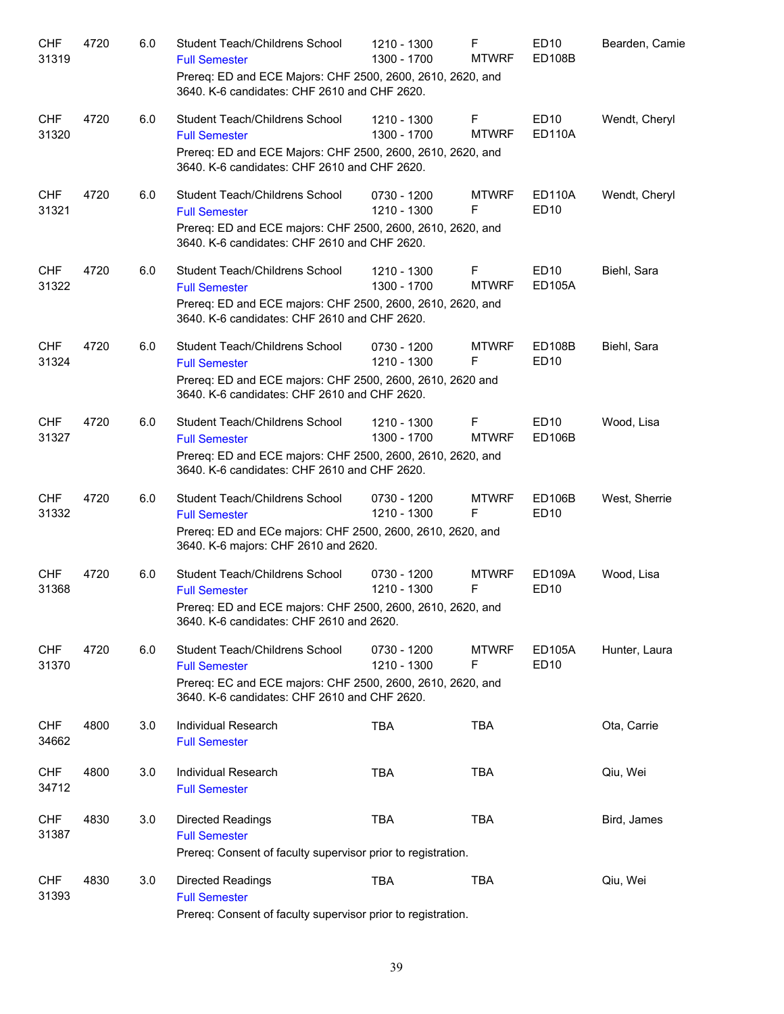| <b>CHF</b><br>31319 | 4720 | 6.0 | Student Teach/Childrens School<br><b>Full Semester</b><br>Prereq: ED and ECE Majors: CHF 2500, 2600, 2610, 2620, and                                                 | 1210 - 1300<br>1300 - 1700 | F<br><b>MTWRF</b> | <b>ED10</b><br><b>ED108B</b> | Bearden, Camie |
|---------------------|------|-----|----------------------------------------------------------------------------------------------------------------------------------------------------------------------|----------------------------|-------------------|------------------------------|----------------|
|                     |      |     | 3640. K-6 candidates: CHF 2610 and CHF 2620.                                                                                                                         |                            |                   |                              |                |
| <b>CHF</b><br>31320 | 4720 | 6.0 | Student Teach/Childrens School<br><b>Full Semester</b><br>Prereq: ED and ECE Majors: CHF 2500, 2600, 2610, 2620, and<br>3640. K-6 candidates: CHF 2610 and CHF 2620. | 1210 - 1300<br>1300 - 1700 | F<br><b>MTWRF</b> | <b>ED10</b><br><b>ED110A</b> | Wendt, Cheryl  |
| <b>CHF</b><br>31321 | 4720 | 6.0 | Student Teach/Childrens School<br><b>Full Semester</b><br>Prereq: ED and ECE majors: CHF 2500, 2600, 2610, 2620, and<br>3640. K-6 candidates: CHF 2610 and CHF 2620. | 0730 - 1200<br>1210 - 1300 | <b>MTWRF</b><br>F | ED110A<br><b>ED10</b>        | Wendt, Cheryl  |
| <b>CHF</b><br>31322 | 4720 | 6.0 | Student Teach/Childrens School<br><b>Full Semester</b><br>Prereq: ED and ECE majors: CHF 2500, 2600, 2610, 2620, and<br>3640. K-6 candidates: CHF 2610 and CHF 2620. | 1210 - 1300<br>1300 - 1700 | F<br><b>MTWRF</b> | ED <sub>10</sub><br>ED105A   | Biehl, Sara    |
| <b>CHF</b><br>31324 | 4720 | 6.0 | Student Teach/Childrens School<br><b>Full Semester</b><br>Prereq: ED and ECE majors: CHF 2500, 2600, 2610, 2620 and<br>3640. K-6 candidates: CHF 2610 and CHF 2620.  | 0730 - 1200<br>1210 - 1300 | <b>MTWRF</b><br>F | ED108B<br><b>ED10</b>        | Biehl, Sara    |
| <b>CHF</b><br>31327 | 4720 | 6.0 | Student Teach/Childrens School<br><b>Full Semester</b><br>Prereq: ED and ECE majors: CHF 2500, 2600, 2610, 2620, and<br>3640. K-6 candidates: CHF 2610 and CHF 2620. | 1210 - 1300<br>1300 - 1700 | F<br><b>MTWRF</b> | ED <sub>10</sub><br>ED106B   | Wood, Lisa     |
| <b>CHF</b><br>31332 | 4720 | 6.0 | Student Teach/Childrens School<br><b>Full Semester</b><br>Prereq: ED and ECe majors: CHF 2500, 2600, 2610, 2620, and<br>3640. K-6 majors: CHF 2610 and 2620.         | 0730 - 1200<br>1210 - 1300 | <b>MTWRF</b><br>F | ED106B<br><b>ED10</b>        | West, Sherrie  |
| <b>CHF</b><br>31368 | 4720 | 6.0 | Student Teach/Childrens School<br><b>Full Semester</b><br>Prereq: ED and ECE majors: CHF 2500, 2600, 2610, 2620, and<br>3640. K-6 candidates: CHF 2610 and 2620.     | 0730 - 1200<br>1210 - 1300 | <b>MTWRF</b><br>F | ED109A<br><b>ED10</b>        | Wood, Lisa     |
| <b>CHF</b><br>31370 | 4720 | 6.0 | Student Teach/Childrens School<br><b>Full Semester</b><br>Prereq: EC and ECE majors: CHF 2500, 2600, 2610, 2620, and<br>3640. K-6 candidates: CHF 2610 and CHF 2620. | 0730 - 1200<br>1210 - 1300 | <b>MTWRF</b><br>F | <b>ED105A</b><br>ED10        | Hunter, Laura  |
| <b>CHF</b><br>34662 | 4800 | 3.0 | Individual Research<br><b>Full Semester</b>                                                                                                                          | <b>TBA</b>                 | <b>TBA</b>        |                              | Ota, Carrie    |
| <b>CHF</b><br>34712 | 4800 | 3.0 | Individual Research<br><b>Full Semester</b>                                                                                                                          | <b>TBA</b>                 | <b>TBA</b>        |                              | Qiu, Wei       |
| <b>CHF</b><br>31387 | 4830 | 3.0 | <b>Directed Readings</b><br><b>Full Semester</b><br>Prereq: Consent of faculty supervisor prior to registration.                                                     | <b>TBA</b>                 | <b>TBA</b>        |                              | Bird, James    |
| <b>CHF</b><br>31393 | 4830 | 3.0 | <b>Directed Readings</b><br><b>Full Semester</b><br>Prereq: Consent of faculty supervisor prior to registration.                                                     | <b>TBA</b>                 | <b>TBA</b>        |                              | Qiu, Wei       |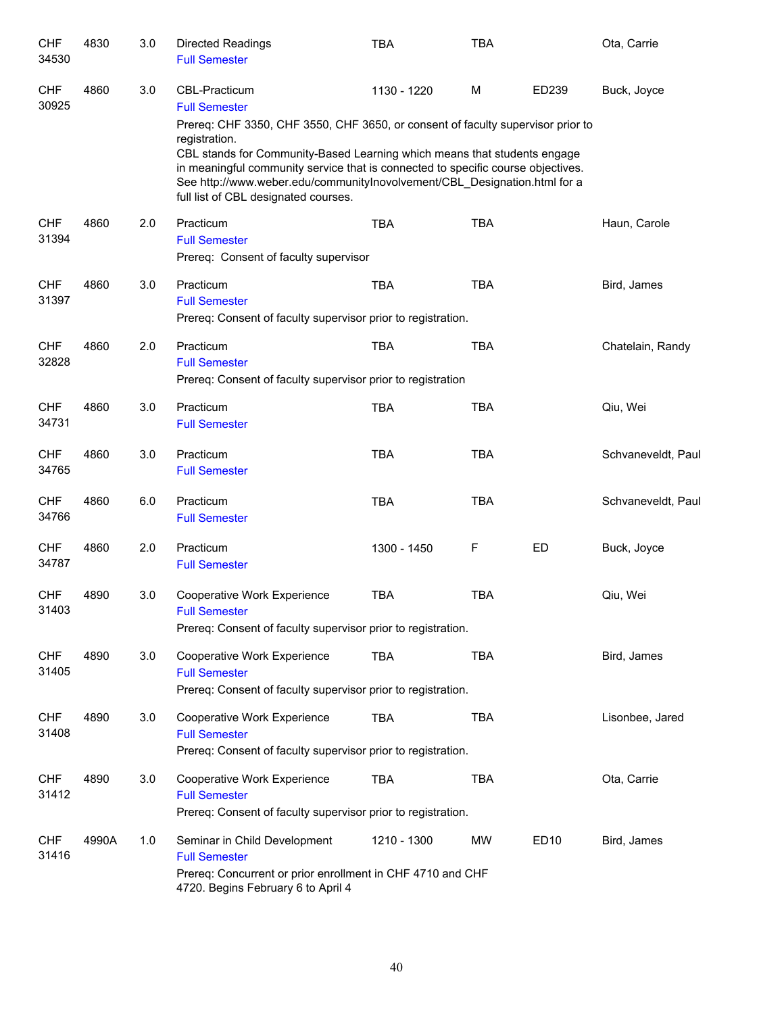| <b>CHF</b><br>34530 | 4830  | 3.0 | Directed Readings<br><b>Full Semester</b>                                                                                                                                                                                                                                                                                                                                             | <b>TBA</b>  | <b>TBA</b> |           | Ota, Carrie        |
|---------------------|-------|-----|---------------------------------------------------------------------------------------------------------------------------------------------------------------------------------------------------------------------------------------------------------------------------------------------------------------------------------------------------------------------------------------|-------------|------------|-----------|--------------------|
| <b>CHF</b><br>30925 | 4860  | 3.0 | <b>CBL-Practicum</b><br><b>Full Semester</b>                                                                                                                                                                                                                                                                                                                                          | 1130 - 1220 | M          | ED239     | Buck, Joyce        |
|                     |       |     | Prereq: CHF 3350, CHF 3550, CHF 3650, or consent of faculty supervisor prior to<br>registration.<br>CBL stands for Community-Based Learning which means that students engage<br>in meaningful community service that is connected to specific course objectives.<br>See http://www.weber.edu/communitylnovolvement/CBL Designation.html for a<br>full list of CBL designated courses. |             |            |           |                    |
| <b>CHF</b><br>31394 | 4860  | 2.0 | Practicum<br><b>Full Semester</b><br>Prereq: Consent of faculty supervisor                                                                                                                                                                                                                                                                                                            | <b>TBA</b>  | <b>TBA</b> |           | Haun, Carole       |
| <b>CHF</b><br>31397 | 4860  | 3.0 | Practicum<br><b>Full Semester</b><br>Prereq: Consent of faculty supervisor prior to registration.                                                                                                                                                                                                                                                                                     | <b>TBA</b>  | <b>TBA</b> |           | Bird, James        |
| <b>CHF</b><br>32828 | 4860  | 2.0 | Practicum<br><b>Full Semester</b><br>Prereq: Consent of faculty supervisor prior to registration                                                                                                                                                                                                                                                                                      | <b>TBA</b>  | <b>TBA</b> |           | Chatelain, Randy   |
| <b>CHF</b><br>34731 | 4860  | 3.0 | Practicum<br><b>Full Semester</b>                                                                                                                                                                                                                                                                                                                                                     | <b>TBA</b>  | <b>TBA</b> |           | Qiu, Wei           |
| <b>CHF</b><br>34765 | 4860  | 3.0 | Practicum<br><b>Full Semester</b>                                                                                                                                                                                                                                                                                                                                                     | <b>TBA</b>  | <b>TBA</b> |           | Schvaneveldt, Paul |
| <b>CHF</b><br>34766 | 4860  | 6.0 | Practicum<br><b>Full Semester</b>                                                                                                                                                                                                                                                                                                                                                     | <b>TBA</b>  | <b>TBA</b> |           | Schvaneveldt, Paul |
| <b>CHF</b><br>34787 | 4860  | 2.0 | Practicum<br><b>Full Semester</b>                                                                                                                                                                                                                                                                                                                                                     | 1300 - 1450 | F          | <b>ED</b> | Buck, Joyce        |
| <b>CHF</b><br>31403 | 4890  | 3.0 | Cooperative Work Experience<br><b>Full Semester</b><br>Prereq: Consent of faculty supervisor prior to registration.                                                                                                                                                                                                                                                                   | <b>TBA</b>  | <b>TBA</b> |           | Qiu, Wei           |
| <b>CHF</b><br>31405 | 4890  | 3.0 | Cooperative Work Experience<br><b>Full Semester</b><br>Prereq: Consent of faculty supervisor prior to registration.                                                                                                                                                                                                                                                                   | <b>TBA</b>  | <b>TBA</b> |           | Bird, James        |
| <b>CHF</b><br>31408 | 4890  | 3.0 | Cooperative Work Experience<br><b>Full Semester</b><br>Prereq: Consent of faculty supervisor prior to registration.                                                                                                                                                                                                                                                                   | <b>TBA</b>  | <b>TBA</b> |           | Lisonbee, Jared    |
| <b>CHF</b><br>31412 | 4890  | 3.0 | Cooperative Work Experience<br><b>Full Semester</b><br>Prereq: Consent of faculty supervisor prior to registration.                                                                                                                                                                                                                                                                   | <b>TBA</b>  | <b>TBA</b> |           | Ota, Carrie        |
| <b>CHF</b><br>31416 | 4990A | 1.0 | Seminar in Child Development<br><b>Full Semester</b><br>Prereq: Concurrent or prior enrollment in CHF 4710 and CHF<br>4720. Begins February 6 to April 4                                                                                                                                                                                                                              | 1210 - 1300 | <b>MW</b>  | ED10      | Bird, James        |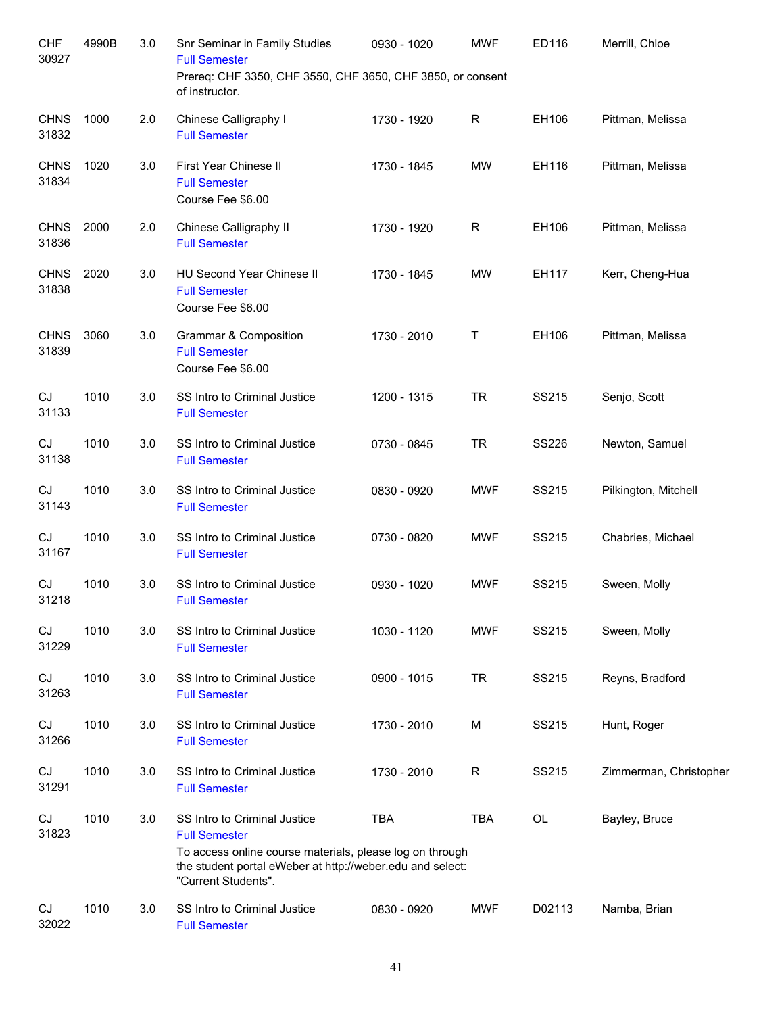| <b>CHF</b><br>30927  | 4990B | 3.0 | Snr Seminar in Family Studies<br><b>Full Semester</b><br>Prereq: CHF 3350, CHF 3550, CHF 3650, CHF 3850, or consent<br>of instructor.                                                                | 0930 - 1020 | <b>MWF</b>  | ED116        | Merrill, Chloe         |
|----------------------|-------|-----|------------------------------------------------------------------------------------------------------------------------------------------------------------------------------------------------------|-------------|-------------|--------------|------------------------|
| <b>CHNS</b><br>31832 | 1000  | 2.0 | Chinese Calligraphy I<br><b>Full Semester</b>                                                                                                                                                        | 1730 - 1920 | R           | EH106        | Pittman, Melissa       |
| <b>CHNS</b><br>31834 | 1020  | 3.0 | First Year Chinese II<br><b>Full Semester</b><br>Course Fee \$6.00                                                                                                                                   | 1730 - 1845 | <b>MW</b>   | EH116        | Pittman, Melissa       |
| <b>CHNS</b><br>31836 | 2000  | 2.0 | Chinese Calligraphy II<br><b>Full Semester</b>                                                                                                                                                       | 1730 - 1920 | R           | EH106        | Pittman, Melissa       |
| <b>CHNS</b><br>31838 | 2020  | 3.0 | <b>HU Second Year Chinese II</b><br><b>Full Semester</b><br>Course Fee \$6.00                                                                                                                        | 1730 - 1845 | <b>MW</b>   | EH117        | Kerr, Cheng-Hua        |
| <b>CHNS</b><br>31839 | 3060  | 3.0 | Grammar & Composition<br><b>Full Semester</b><br>Course Fee \$6.00                                                                                                                                   | 1730 - 2010 | Τ           | EH106        | Pittman, Melissa       |
| CJ<br>31133          | 1010  | 3.0 | SS Intro to Criminal Justice<br><b>Full Semester</b>                                                                                                                                                 | 1200 - 1315 | <b>TR</b>   | SS215        | Senjo, Scott           |
| CJ<br>31138          | 1010  | 3.0 | SS Intro to Criminal Justice<br><b>Full Semester</b>                                                                                                                                                 | 0730 - 0845 | <b>TR</b>   | <b>SS226</b> | Newton, Samuel         |
| CJ<br>31143          | 1010  | 3.0 | SS Intro to Criminal Justice<br><b>Full Semester</b>                                                                                                                                                 | 0830 - 0920 | <b>MWF</b>  | SS215        | Pilkington, Mitchell   |
| CJ<br>31167          | 1010  | 3.0 | SS Intro to Criminal Justice<br><b>Full Semester</b>                                                                                                                                                 | 0730 - 0820 | <b>MWF</b>  | SS215        | Chabries, Michael      |
| CJ<br>31218          | 1010  | 3.0 | SS Intro to Criminal Justice<br><b>Full Semester</b>                                                                                                                                                 | 0930 - 1020 | <b>MWF</b>  | SS215        | Sween, Molly           |
| CJ<br>31229          | 1010  | 3.0 | SS Intro to Criminal Justice<br><b>Full Semester</b>                                                                                                                                                 | 1030 - 1120 | <b>MWF</b>  | SS215        | Sween, Molly           |
| CJ<br>31263          | 1010  | 3.0 | SS Intro to Criminal Justice<br><b>Full Semester</b>                                                                                                                                                 | 0900 - 1015 | <b>TR</b>   | SS215        | Reyns, Bradford        |
| CJ<br>31266          | 1010  | 3.0 | SS Intro to Criminal Justice<br><b>Full Semester</b>                                                                                                                                                 | 1730 - 2010 | M           | SS215        | Hunt, Roger            |
| CJ<br>31291          | 1010  | 3.0 | SS Intro to Criminal Justice<br><b>Full Semester</b>                                                                                                                                                 | 1730 - 2010 | $\mathsf R$ | SS215        | Zimmerman, Christopher |
| CJ<br>31823          | 1010  | 3.0 | SS Intro to Criminal Justice<br><b>Full Semester</b><br>To access online course materials, please log on through<br>the student portal eWeber at http://weber.edu and select:<br>"Current Students". | <b>TBA</b>  | <b>TBA</b>  | OL           | Bayley, Bruce          |
| CJ<br>32022          | 1010  | 3.0 | SS Intro to Criminal Justice<br><b>Full Semester</b>                                                                                                                                                 | 0830 - 0920 | <b>MWF</b>  | D02113       | Namba, Brian           |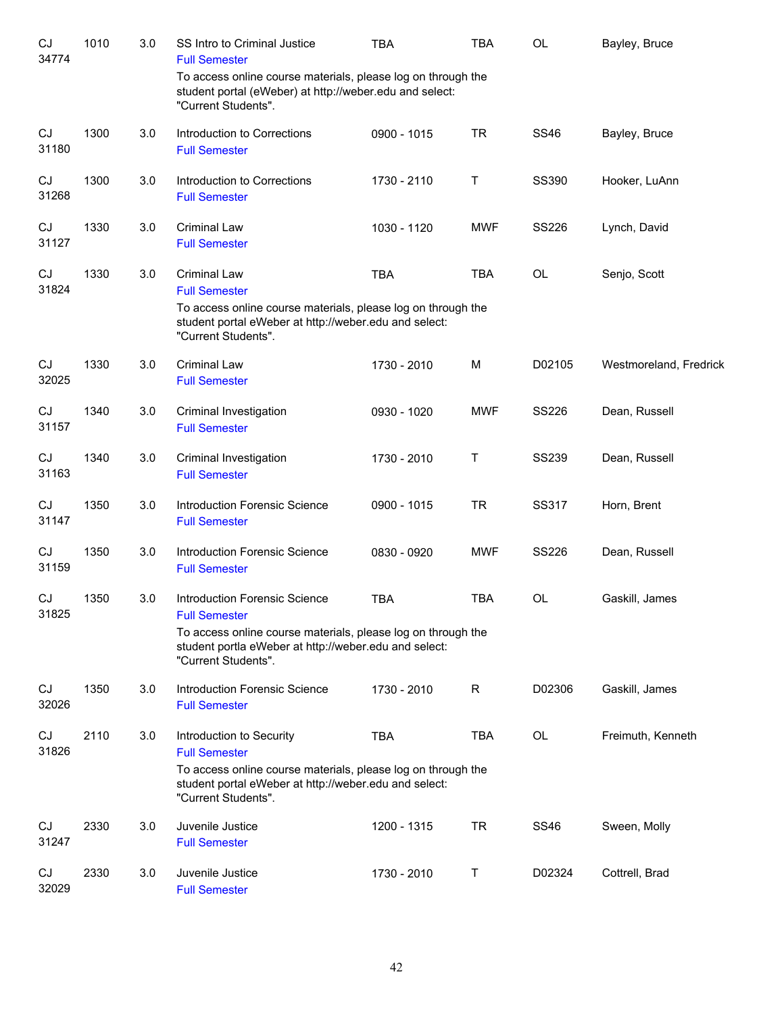| CJ<br>34774 | 1010 | 3.0 | SS Intro to Criminal Justice<br><b>Full Semester</b>                                                                                                                                             | <b>TBA</b>  | <b>TBA</b> | OL           | Bayley, Bruce          |
|-------------|------|-----|--------------------------------------------------------------------------------------------------------------------------------------------------------------------------------------------------|-------------|------------|--------------|------------------------|
|             |      |     | To access online course materials, please log on through the<br>student portal (eWeber) at http://weber.edu and select:<br>"Current Students".                                                   |             |            |              |                        |
| CJ<br>31180 | 1300 | 3.0 | Introduction to Corrections<br><b>Full Semester</b>                                                                                                                                              | 0900 - 1015 | <b>TR</b>  | <b>SS46</b>  | Bayley, Bruce          |
| CJ<br>31268 | 1300 | 3.0 | Introduction to Corrections<br><b>Full Semester</b>                                                                                                                                              | 1730 - 2110 | Τ          | SS390        | Hooker, LuAnn          |
| CJ<br>31127 | 1330 | 3.0 | <b>Criminal Law</b><br><b>Full Semester</b>                                                                                                                                                      | 1030 - 1120 | <b>MWF</b> | <b>SS226</b> | Lynch, David           |
| CJ<br>31824 | 1330 | 3.0 | <b>Criminal Law</b><br><b>Full Semester</b>                                                                                                                                                      | <b>TBA</b>  | <b>TBA</b> | OL           | Senjo, Scott           |
|             |      |     | To access online course materials, please log on through the<br>student portal eWeber at http://weber.edu and select:<br>"Current Students".                                                     |             |            |              |                        |
| CJ<br>32025 | 1330 | 3.0 | <b>Criminal Law</b><br><b>Full Semester</b>                                                                                                                                                      | 1730 - 2010 | M          | D02105       | Westmoreland, Fredrick |
| CJ<br>31157 | 1340 | 3.0 | Criminal Investigation<br><b>Full Semester</b>                                                                                                                                                   | 0930 - 1020 | <b>MWF</b> | <b>SS226</b> | Dean, Russell          |
| CJ<br>31163 | 1340 | 3.0 | Criminal Investigation<br><b>Full Semester</b>                                                                                                                                                   | 1730 - 2010 | Τ          | <b>SS239</b> | Dean, Russell          |
| CJ<br>31147 | 1350 | 3.0 | <b>Introduction Forensic Science</b><br><b>Full Semester</b>                                                                                                                                     | 0900 - 1015 | <b>TR</b>  | SS317        | Horn, Brent            |
| CJ<br>31159 | 1350 | 3.0 | Introduction Forensic Science<br><b>Full Semester</b>                                                                                                                                            | 0830 - 0920 | <b>MWF</b> | <b>SS226</b> | Dean, Russell          |
| CJ<br>31825 | 1350 | 3.0 | Introduction Forensic Science<br><b>Full Semester</b>                                                                                                                                            | <b>TBA</b>  | <b>TBA</b> | <b>OL</b>    | Gaskill, James         |
|             |      |     | To access online course materials, please log on through the<br>student portla eWeber at http://weber.edu and select:<br>"Current Students".                                                     |             |            |              |                        |
| CJ<br>32026 | 1350 | 3.0 | <b>Introduction Forensic Science</b><br><b>Full Semester</b>                                                                                                                                     | 1730 - 2010 | R          | D02306       | Gaskill, James         |
| CJ<br>31826 | 2110 | 3.0 | Introduction to Security<br><b>Full Semester</b><br>To access online course materials, please log on through the<br>student portal eWeber at http://weber.edu and select:<br>"Current Students". | <b>TBA</b>  | <b>TBA</b> | OL           | Freimuth, Kenneth      |
| CJ<br>31247 | 2330 | 3.0 | Juvenile Justice<br><b>Full Semester</b>                                                                                                                                                         | 1200 - 1315 | <b>TR</b>  | <b>SS46</b>  | Sween, Molly           |
| CJ<br>32029 | 2330 | 3.0 | Juvenile Justice<br><b>Full Semester</b>                                                                                                                                                         | 1730 - 2010 | Т          | D02324       | Cottrell, Brad         |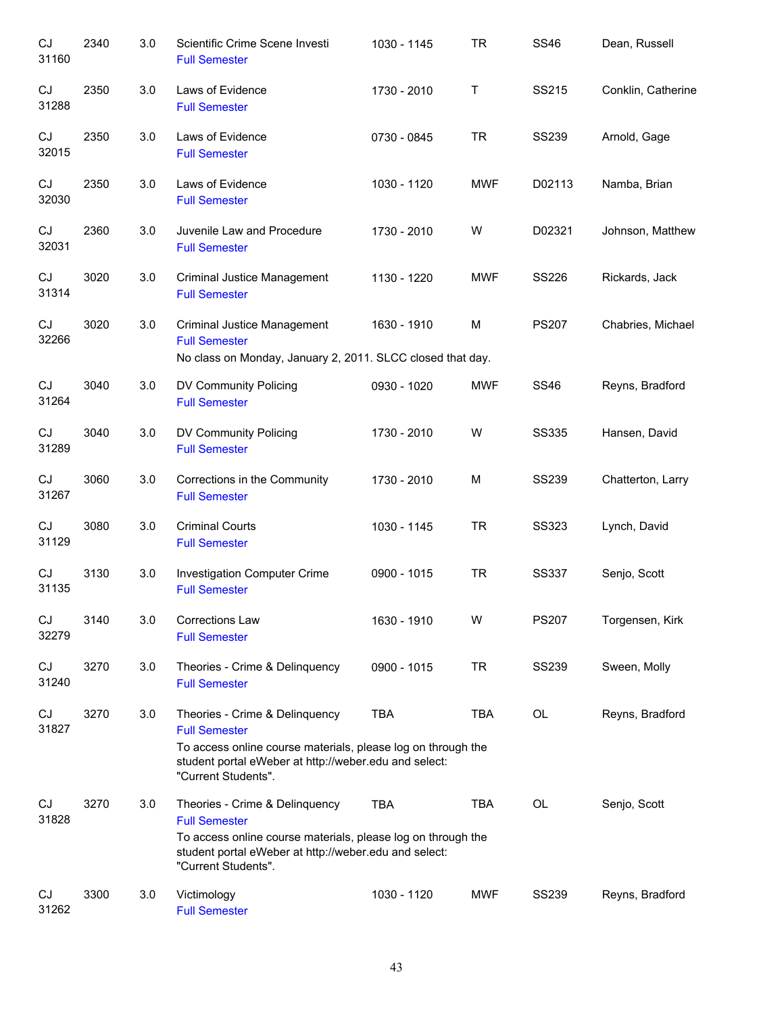| CJ<br>31160 | 2340 | 3.0 | Scientific Crime Scene Investi<br><b>Full Semester</b>                                                                                                                                                 | 1030 - 1145 | <b>TR</b>  | <b>SS46</b>  | Dean, Russell      |
|-------------|------|-----|--------------------------------------------------------------------------------------------------------------------------------------------------------------------------------------------------------|-------------|------------|--------------|--------------------|
| CJ<br>31288 | 2350 | 3.0 | Laws of Evidence<br><b>Full Semester</b>                                                                                                                                                               | 1730 - 2010 | Τ          | SS215        | Conklin, Catherine |
| CJ<br>32015 | 2350 | 3.0 | Laws of Evidence<br><b>Full Semester</b>                                                                                                                                                               | 0730 - 0845 | <b>TR</b>  | <b>SS239</b> | Arnold, Gage       |
| CJ<br>32030 | 2350 | 3.0 | Laws of Evidence<br><b>Full Semester</b>                                                                                                                                                               | 1030 - 1120 | <b>MWF</b> | D02113       | Namba, Brian       |
| CJ<br>32031 | 2360 | 3.0 | Juvenile Law and Procedure<br><b>Full Semester</b>                                                                                                                                                     | 1730 - 2010 | W          | D02321       | Johnson, Matthew   |
| CJ<br>31314 | 3020 | 3.0 | Criminal Justice Management<br><b>Full Semester</b>                                                                                                                                                    | 1130 - 1220 | <b>MWF</b> | <b>SS226</b> | Rickards, Jack     |
| CJ<br>32266 | 3020 | 3.0 | <b>Criminal Justice Management</b><br><b>Full Semester</b><br>No class on Monday, January 2, 2011. SLCC closed that day.                                                                               | 1630 - 1910 | M          | <b>PS207</b> | Chabries, Michael  |
| CJ<br>31264 | 3040 | 3.0 | DV Community Policing<br><b>Full Semester</b>                                                                                                                                                          | 0930 - 1020 | <b>MWF</b> | <b>SS46</b>  | Reyns, Bradford    |
| CJ<br>31289 | 3040 | 3.0 | DV Community Policing<br><b>Full Semester</b>                                                                                                                                                          | 1730 - 2010 | W          | <b>SS335</b> | Hansen, David      |
| CJ<br>31267 | 3060 | 3.0 | Corrections in the Community<br><b>Full Semester</b>                                                                                                                                                   | 1730 - 2010 | M          | <b>SS239</b> | Chatterton, Larry  |
| CJ<br>31129 | 3080 | 3.0 | <b>Criminal Courts</b><br><b>Full Semester</b>                                                                                                                                                         | 1030 - 1145 | <b>TR</b>  | <b>SS323</b> | Lynch, David       |
| CJ<br>31135 | 3130 | 3.0 | Investigation Computer Crime<br><b>Full Semester</b>                                                                                                                                                   | 0900 - 1015 | <b>TR</b>  | <b>SS337</b> | Senjo, Scott       |
| CJ<br>32279 | 3140 | 3.0 | <b>Corrections Law</b><br><b>Full Semester</b>                                                                                                                                                         | 1630 - 1910 | W          | <b>PS207</b> | Torgensen, Kirk    |
| CJ<br>31240 | 3270 | 3.0 | Theories - Crime & Delinquency<br><b>Full Semester</b>                                                                                                                                                 | 0900 - 1015 | <b>TR</b>  | <b>SS239</b> | Sween, Molly       |
| CJ<br>31827 | 3270 | 3.0 | Theories - Crime & Delinquency<br><b>Full Semester</b><br>To access online course materials, please log on through the<br>student portal eWeber at http://weber.edu and select:<br>"Current Students". | <b>TBA</b>  | <b>TBA</b> | OL           | Reyns, Bradford    |
| CJ<br>31828 | 3270 | 3.0 | Theories - Crime & Delinquency<br><b>Full Semester</b><br>To access online course materials, please log on through the<br>student portal eWeber at http://weber.edu and select:<br>"Current Students". | <b>TBA</b>  | <b>TBA</b> | OL           | Senjo, Scott       |
| CJ<br>31262 | 3300 | 3.0 | Victimology<br><b>Full Semester</b>                                                                                                                                                                    | 1030 - 1120 | <b>MWF</b> | <b>SS239</b> | Reyns, Bradford    |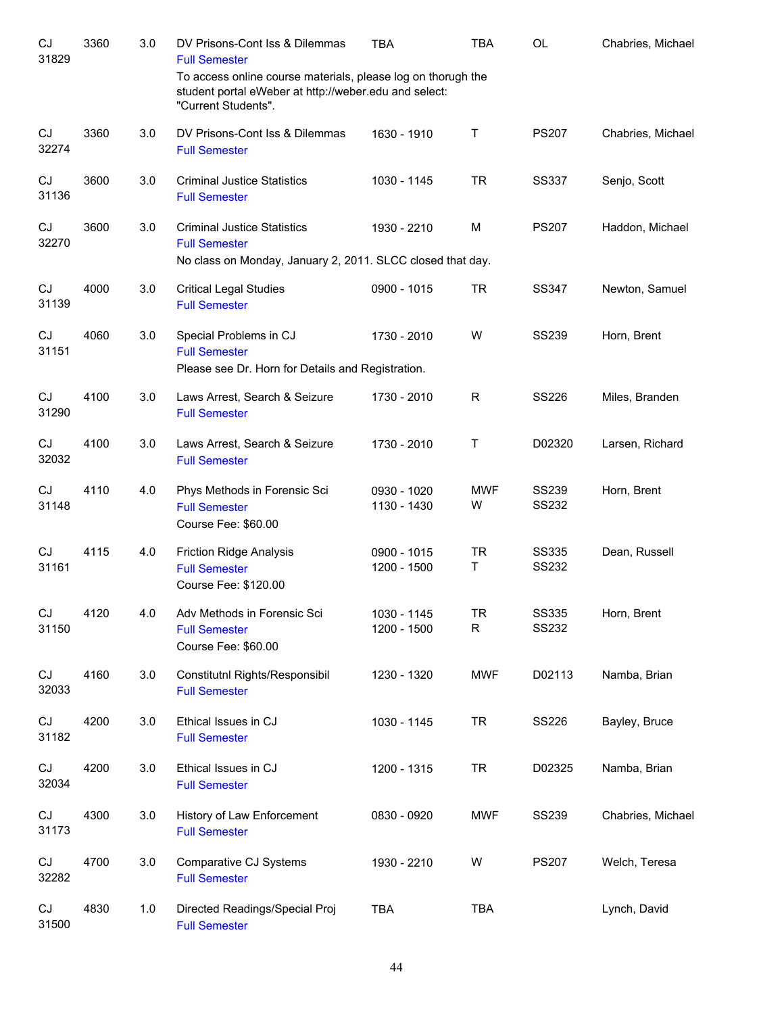| CJ<br>31829                | 3360 | 3.0 | DV Prisons-Cont Iss & Dilemmas<br><b>Full Semester</b>                                                                                       | <b>TBA</b>                 | TBA             | OL                           | Chabries, Michael |
|----------------------------|------|-----|----------------------------------------------------------------------------------------------------------------------------------------------|----------------------------|-----------------|------------------------------|-------------------|
|                            |      |     | To access online course materials, please log on thorugh the<br>student portal eWeber at http://weber.edu and select:<br>"Current Students". |                            |                 |                              |                   |
| CJ<br>32274                | 3360 | 3.0 | DV Prisons-Cont Iss & Dilemmas<br><b>Full Semester</b>                                                                                       | 1630 - 1910                | $\mathsf{T}$    | <b>PS207</b>                 | Chabries, Michael |
| CJ<br>31136                | 3600 | 3.0 | <b>Criminal Justice Statistics</b><br><b>Full Semester</b>                                                                                   | 1030 - 1145                | <b>TR</b>       | <b>SS337</b>                 | Senjo, Scott      |
| CJ<br>32270                | 3600 | 3.0 | <b>Criminal Justice Statistics</b><br><b>Full Semester</b><br>No class on Monday, January 2, 2011. SLCC closed that day.                     | 1930 - 2210                | M               | <b>PS207</b>                 | Haddon, Michael   |
| CJ<br>31139                | 4000 | 3.0 | <b>Critical Legal Studies</b><br><b>Full Semester</b>                                                                                        | 0900 - 1015                | <b>TR</b>       | <b>SS347</b>                 | Newton, Samuel    |
| CJ<br>31151                | 4060 | 3.0 | Special Problems in CJ<br><b>Full Semester</b><br>Please see Dr. Horn for Details and Registration.                                          | 1730 - 2010                | W               | <b>SS239</b>                 | Horn, Brent       |
| CJ<br>31290                | 4100 | 3.0 | Laws Arrest, Search & Seizure<br><b>Full Semester</b>                                                                                        | 1730 - 2010                | R               | <b>SS226</b>                 | Miles, Branden    |
| CJ<br>32032                | 4100 | 3.0 | Laws Arrest, Search & Seizure<br><b>Full Semester</b>                                                                                        | 1730 - 2010                | Τ               | D02320                       | Larsen, Richard   |
| CJ<br>31148                | 4110 | 4.0 | Phys Methods in Forensic Sci<br><b>Full Semester</b><br>Course Fee: \$60.00                                                                  | 0930 - 1020<br>1130 - 1430 | <b>MWF</b><br>W | <b>SS239</b><br><b>SS232</b> | Horn, Brent       |
| CJ<br>31161                | 4115 | 4.0 | <b>Friction Ridge Analysis</b><br><b>Full Semester</b><br>Course Fee: \$120.00                                                               | 0900 - 1015<br>1200 - 1500 | <b>TR</b><br>T. | <b>SS335</b><br><b>SS232</b> | Dean, Russell     |
| $\mathop{\rm CJ}$<br>31150 | 4120 | 4.0 | Adv Methods in Forensic Sci<br><b>Full Semester</b><br>Course Fee: \$60.00                                                                   | 1030 - 1145<br>1200 - 1500 | TR<br>R         | <b>SS335</b><br><b>SS232</b> | Horn, Brent       |
| CJ<br>32033                | 4160 | 3.0 | Constitutnl Rights/Responsibil<br><b>Full Semester</b>                                                                                       | 1230 - 1320                | <b>MWF</b>      | D02113                       | Namba, Brian      |
| CJ<br>31182                | 4200 | 3.0 | Ethical Issues in CJ<br><b>Full Semester</b>                                                                                                 | 1030 - 1145                | <b>TR</b>       | SS226                        | Bayley, Bruce     |
| CJ<br>32034                | 4200 | 3.0 | Ethical Issues in CJ<br><b>Full Semester</b>                                                                                                 | 1200 - 1315                | <b>TR</b>       | D02325                       | Namba, Brian      |
| CJ<br>31173                | 4300 | 3.0 | History of Law Enforcement<br><b>Full Semester</b>                                                                                           | 0830 - 0920                | <b>MWF</b>      | <b>SS239</b>                 | Chabries, Michael |
| CJ<br>32282                | 4700 | 3.0 | Comparative CJ Systems<br><b>Full Semester</b>                                                                                               | 1930 - 2210                | W               | <b>PS207</b>                 | Welch, Teresa     |
| CJ<br>31500                | 4830 | 1.0 | Directed Readings/Special Proj<br><b>Full Semester</b>                                                                                       | <b>TBA</b>                 | <b>TBA</b>      |                              | Lynch, David      |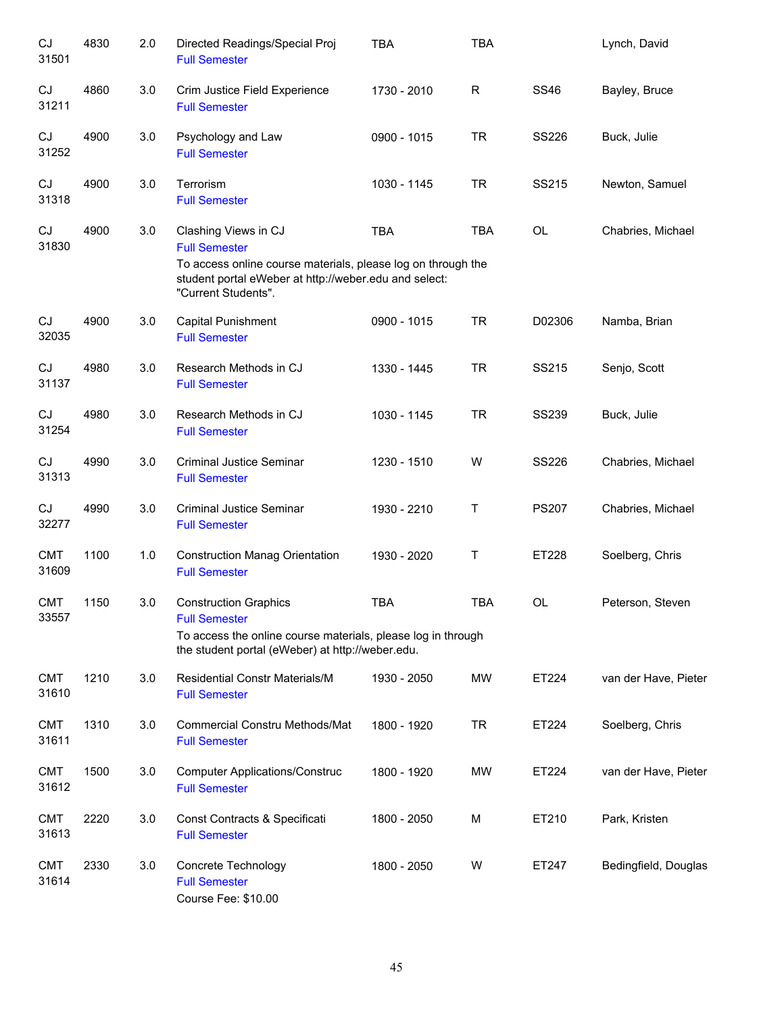| CJ<br>31501         | 4830 | 2.0 | Directed Readings/Special Proj<br><b>Full Semester</b>                                                                                       | <b>TBA</b>  | <b>TBA</b> |              | Lynch, David         |
|---------------------|------|-----|----------------------------------------------------------------------------------------------------------------------------------------------|-------------|------------|--------------|----------------------|
| CJ<br>31211         | 4860 | 3.0 | Crim Justice Field Experience<br><b>Full Semester</b>                                                                                        | 1730 - 2010 | R          | <b>SS46</b>  | Bayley, Bruce        |
| CJ<br>31252         | 4900 | 3.0 | Psychology and Law<br><b>Full Semester</b>                                                                                                   | 0900 - 1015 | <b>TR</b>  | <b>SS226</b> | Buck, Julie          |
| CJ<br>31318         | 4900 | 3.0 | Terrorism<br><b>Full Semester</b>                                                                                                            | 1030 - 1145 | <b>TR</b>  | SS215        | Newton, Samuel       |
| CJ<br>31830         | 4900 | 3.0 | Clashing Views in CJ<br><b>Full Semester</b>                                                                                                 | <b>TBA</b>  | <b>TBA</b> | OL           | Chabries, Michael    |
|                     |      |     | To access online course materials, please log on through the<br>student portal eWeber at http://weber.edu and select:<br>"Current Students". |             |            |              |                      |
| CJ<br>32035         | 4900 | 3.0 | Capital Punishment<br><b>Full Semester</b>                                                                                                   | 0900 - 1015 | <b>TR</b>  | D02306       | Namba, Brian         |
| CJ<br>31137         | 4980 | 3.0 | Research Methods in CJ<br><b>Full Semester</b>                                                                                               | 1330 - 1445 | <b>TR</b>  | SS215        | Senjo, Scott         |
| CJ<br>31254         | 4980 | 3.0 | Research Methods in CJ<br><b>Full Semester</b>                                                                                               | 1030 - 1145 | <b>TR</b>  | <b>SS239</b> | Buck, Julie          |
| CJ<br>31313         | 4990 | 3.0 | <b>Criminal Justice Seminar</b><br><b>Full Semester</b>                                                                                      | 1230 - 1510 | W          | <b>SS226</b> | Chabries, Michael    |
| CJ<br>32277         | 4990 | 3.0 | <b>Criminal Justice Seminar</b><br><b>Full Semester</b>                                                                                      | 1930 - 2210 | Τ          | <b>PS207</b> | Chabries, Michael    |
| <b>CMT</b><br>31609 | 1100 | 1.0 | <b>Construction Manag Orientation</b><br><b>Full Semester</b>                                                                                | 1930 - 2020 | Τ          | ET228        | Soelberg, Chris      |
| <b>CMT</b><br>33557 | 1150 | 3.0 | <b>Construction Graphics</b><br><b>Full Semester</b>                                                                                         | <b>TBA</b>  | <b>TBA</b> | <b>OL</b>    | Peterson, Steven     |
|                     |      |     | To access the online course materials, please log in through<br>the student portal (eWeber) at http://weber.edu.                             |             |            |              |                      |
| <b>CMT</b><br>31610 | 1210 | 3.0 | <b>Residential Constr Materials/M</b><br><b>Full Semester</b>                                                                                | 1930 - 2050 | <b>MW</b>  | ET224        | van der Have, Pieter |
| <b>CMT</b><br>31611 | 1310 | 3.0 | <b>Commercial Constru Methods/Mat</b><br><b>Full Semester</b>                                                                                | 1800 - 1920 | <b>TR</b>  | ET224        | Soelberg, Chris      |
| <b>CMT</b><br>31612 | 1500 | 3.0 | <b>Computer Applications/Construc</b><br><b>Full Semester</b>                                                                                | 1800 - 1920 | MW         | ET224        | van der Have, Pieter |
| <b>CMT</b><br>31613 | 2220 | 3.0 | Const Contracts & Specificati<br><b>Full Semester</b>                                                                                        | 1800 - 2050 | M          | ET210        | Park, Kristen        |
| <b>CMT</b><br>31614 | 2330 | 3.0 | Concrete Technology<br><b>Full Semester</b><br>Course Fee: \$10.00                                                                           | 1800 - 2050 | W          | ET247        | Bedingfield, Douglas |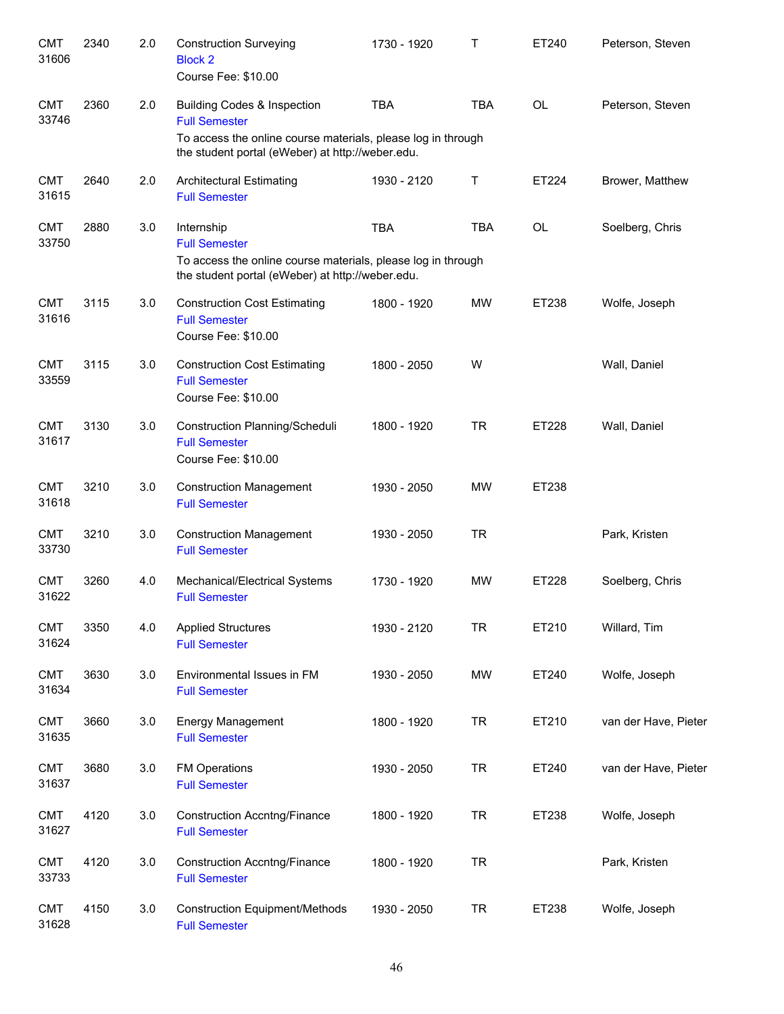| <b>CMT</b><br>31606 | 2340 | 2.0 | <b>Construction Surveying</b><br><b>Block 2</b><br>Course Fee: \$10.00                                                                                                             | 1730 - 1920 | Τ          | ET240     | Peterson, Steven     |
|---------------------|------|-----|------------------------------------------------------------------------------------------------------------------------------------------------------------------------------------|-------------|------------|-----------|----------------------|
| <b>CMT</b><br>33746 | 2360 | 2.0 | <b>Building Codes &amp; Inspection</b><br><b>Full Semester</b><br>To access the online course materials, please log in through<br>the student portal (eWeber) at http://weber.edu. | <b>TBA</b>  | <b>TBA</b> | <b>OL</b> | Peterson, Steven     |
| <b>CMT</b><br>31615 | 2640 | 2.0 | <b>Architectural Estimating</b><br><b>Full Semester</b>                                                                                                                            | 1930 - 2120 | Т          | ET224     | Brower, Matthew      |
| <b>CMT</b><br>33750 | 2880 | 3.0 | Internship<br><b>Full Semester</b><br>To access the online course materials, please log in through<br>the student portal (eWeber) at http://weber.edu.                             | <b>TBA</b>  | <b>TBA</b> | <b>OL</b> | Soelberg, Chris      |
| <b>CMT</b><br>31616 | 3115 | 3.0 | <b>Construction Cost Estimating</b><br><b>Full Semester</b><br>Course Fee: \$10.00                                                                                                 | 1800 - 1920 | <b>MW</b>  | ET238     | Wolfe, Joseph        |
| <b>CMT</b><br>33559 | 3115 | 3.0 | <b>Construction Cost Estimating</b><br><b>Full Semester</b><br>Course Fee: \$10.00                                                                                                 | 1800 - 2050 | W          |           | Wall, Daniel         |
| <b>CMT</b><br>31617 | 3130 | 3.0 | Construction Planning/Scheduli<br><b>Full Semester</b><br>Course Fee: \$10.00                                                                                                      | 1800 - 1920 | <b>TR</b>  | ET228     | Wall, Daniel         |
| <b>CMT</b><br>31618 | 3210 | 3.0 | <b>Construction Management</b><br><b>Full Semester</b>                                                                                                                             | 1930 - 2050 | <b>MW</b>  | ET238     |                      |
| <b>CMT</b><br>33730 | 3210 | 3.0 | <b>Construction Management</b><br><b>Full Semester</b>                                                                                                                             | 1930 - 2050 | <b>TR</b>  |           | Park, Kristen        |
| <b>CMT</b><br>31622 | 3260 | 4.0 | Mechanical/Electrical Systems<br><b>Full Semester</b>                                                                                                                              | 1730 - 1920 | <b>MW</b>  | ET228     | Soelberg, Chris      |
| <b>CMT</b><br>31624 | 3350 | 4.0 | <b>Applied Structures</b><br><b>Full Semester</b>                                                                                                                                  | 1930 - 2120 | <b>TR</b>  | ET210     | Willard, Tim         |
| <b>CMT</b><br>31634 | 3630 | 3.0 | Environmental Issues in FM<br><b>Full Semester</b>                                                                                                                                 | 1930 - 2050 | <b>MW</b>  | ET240     | Wolfe, Joseph        |
| <b>CMT</b><br>31635 | 3660 | 3.0 | Energy Management<br><b>Full Semester</b>                                                                                                                                          | 1800 - 1920 | <b>TR</b>  | ET210     | van der Have, Pieter |
| <b>CMT</b><br>31637 | 3680 | 3.0 | <b>FM Operations</b><br><b>Full Semester</b>                                                                                                                                       | 1930 - 2050 | <b>TR</b>  | ET240     | van der Have, Pieter |
| <b>CMT</b><br>31627 | 4120 | 3.0 | <b>Construction Accntng/Finance</b><br><b>Full Semester</b>                                                                                                                        | 1800 - 1920 | <b>TR</b>  | ET238     | Wolfe, Joseph        |
| <b>CMT</b><br>33733 | 4120 | 3.0 | <b>Construction Accntng/Finance</b><br><b>Full Semester</b>                                                                                                                        | 1800 - 1920 | <b>TR</b>  |           | Park, Kristen        |
| <b>CMT</b><br>31628 | 4150 | 3.0 | <b>Construction Equipment/Methods</b><br><b>Full Semester</b>                                                                                                                      | 1930 - 2050 | <b>TR</b>  | ET238     | Wolfe, Joseph        |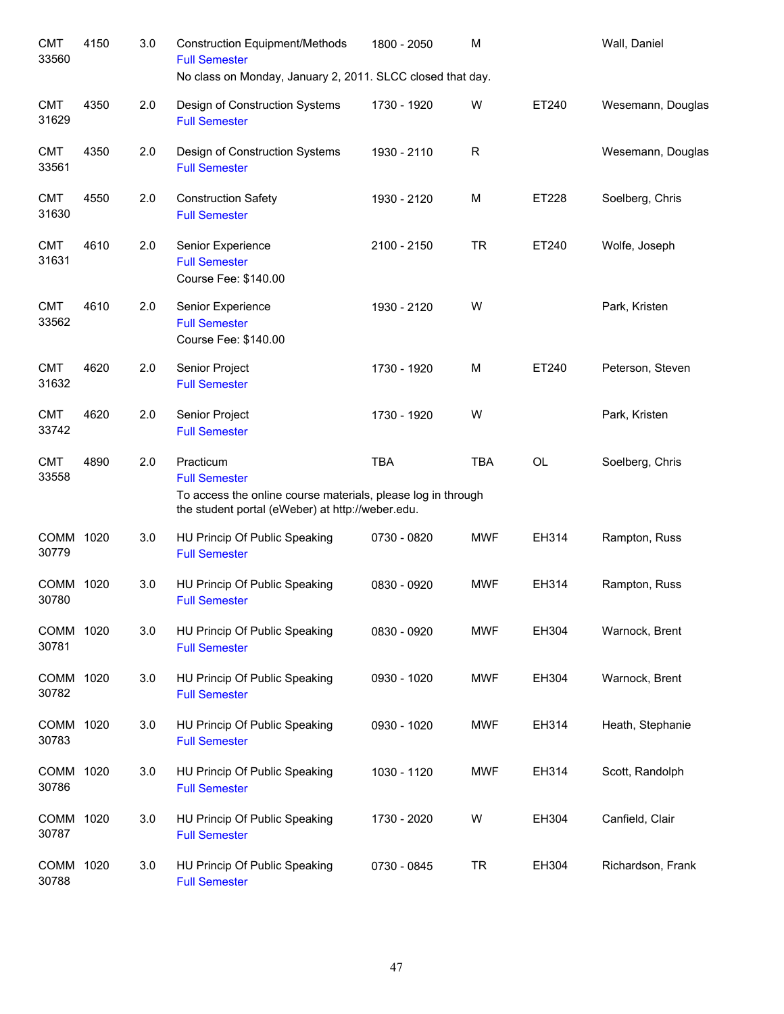| <b>CMT</b><br>33560  | 4150 | 3.0 | <b>Construction Equipment/Methods</b><br><b>Full Semester</b><br>No class on Monday, January 2, 2011. SLCC closed that day.                           | 1800 - 2050 | M           |       | Wall, Daniel      |
|----------------------|------|-----|-------------------------------------------------------------------------------------------------------------------------------------------------------|-------------|-------------|-------|-------------------|
| <b>CMT</b><br>31629  | 4350 | 2.0 | Design of Construction Systems<br><b>Full Semester</b>                                                                                                | 1730 - 1920 | W           | ET240 | Wesemann, Douglas |
| <b>CMT</b><br>33561  | 4350 | 2.0 | Design of Construction Systems<br><b>Full Semester</b>                                                                                                | 1930 - 2110 | $\mathsf R$ |       | Wesemann, Douglas |
| <b>CMT</b><br>31630  | 4550 | 2.0 | <b>Construction Safety</b><br><b>Full Semester</b>                                                                                                    | 1930 - 2120 | M           | ET228 | Soelberg, Chris   |
| <b>CMT</b><br>31631  | 4610 | 2.0 | Senior Experience<br><b>Full Semester</b><br>Course Fee: \$140.00                                                                                     | 2100 - 2150 | <b>TR</b>   | ET240 | Wolfe, Joseph     |
| <b>CMT</b><br>33562  | 4610 | 2.0 | Senior Experience<br><b>Full Semester</b><br>Course Fee: \$140.00                                                                                     | 1930 - 2120 | W           |       | Park, Kristen     |
| <b>CMT</b><br>31632  | 4620 | 2.0 | Senior Project<br><b>Full Semester</b>                                                                                                                | 1730 - 1920 | M           | ET240 | Peterson, Steven  |
| <b>CMT</b><br>33742  | 4620 | 2.0 | Senior Project<br><b>Full Semester</b>                                                                                                                | 1730 - 1920 | W           |       | Park, Kristen     |
| <b>CMT</b><br>33558  | 4890 | 2.0 | Practicum<br><b>Full Semester</b><br>To access the online course materials, please log in through<br>the student portal (eWeber) at http://weber.edu. | <b>TBA</b>  | <b>TBA</b>  | OL    | Soelberg, Chris   |
| COMM 1020<br>30779   |      | 3.0 | HU Princip Of Public Speaking<br><b>Full Semester</b>                                                                                                 | 0730 - 0820 | <b>MWF</b>  | EH314 | Rampton, Russ     |
| <b>COMM</b><br>30780 | 1020 | 3.0 | HU Princip Of Public Speaking<br><b>Full Semester</b>                                                                                                 | 0830 - 0920 | <b>MWF</b>  | EH314 | Rampton, Russ     |
| COMM 1020<br>30781   |      | 3.0 | HU Princip Of Public Speaking<br><b>Full Semester</b>                                                                                                 | 0830 - 0920 | <b>MWF</b>  | EH304 | Warnock, Brent    |
| COMM 1020<br>30782   |      | 3.0 | HU Princip Of Public Speaking<br><b>Full Semester</b>                                                                                                 | 0930 - 1020 | <b>MWF</b>  | EH304 | Warnock, Brent    |
| COMM 1020<br>30783   |      | 3.0 | HU Princip Of Public Speaking<br><b>Full Semester</b>                                                                                                 | 0930 - 1020 | <b>MWF</b>  | EH314 | Heath, Stephanie  |
| COMM 1020<br>30786   |      | 3.0 | HU Princip Of Public Speaking<br><b>Full Semester</b>                                                                                                 | 1030 - 1120 | <b>MWF</b>  | EH314 | Scott, Randolph   |
| COMM 1020<br>30787   |      | 3.0 | HU Princip Of Public Speaking<br><b>Full Semester</b>                                                                                                 | 1730 - 2020 | W           | EH304 | Canfield, Clair   |
| COMM 1020<br>30788   |      | 3.0 | HU Princip Of Public Speaking<br><b>Full Semester</b>                                                                                                 | 0730 - 0845 | <b>TR</b>   | EH304 | Richardson, Frank |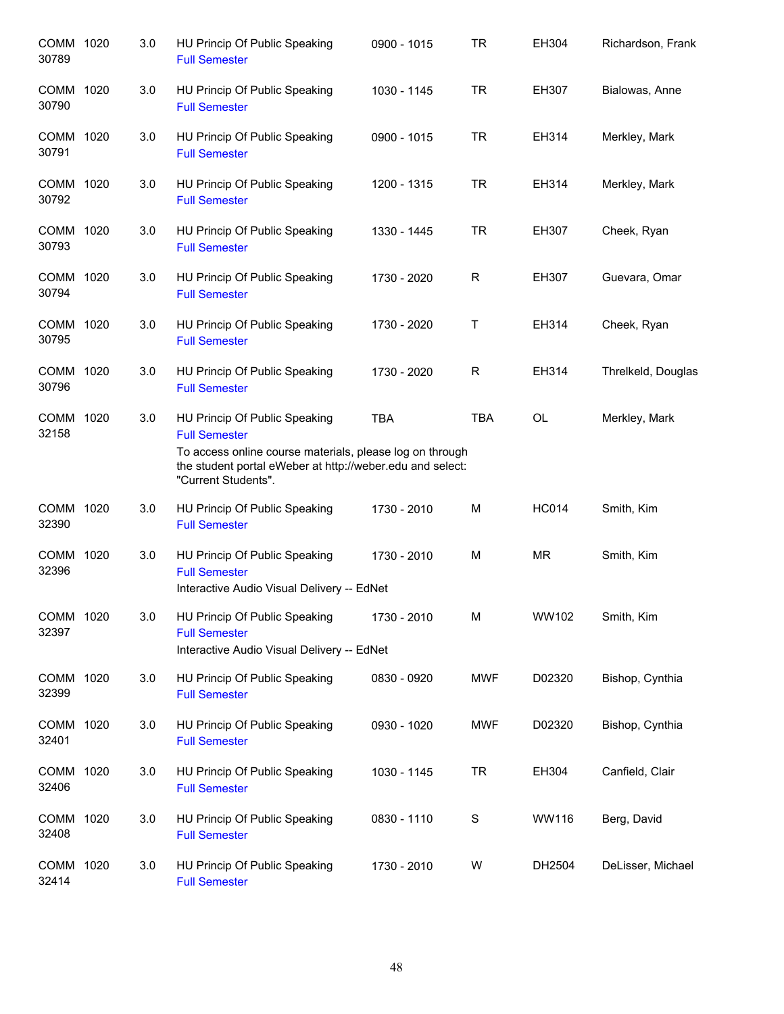| COMM 1020<br>30789 | 3.0 | HU Princip Of Public Speaking<br><b>Full Semester</b>                                                                                                                                                 | 0900 - 1015 | <b>TR</b>    | EH304        | Richardson, Frank  |
|--------------------|-----|-------------------------------------------------------------------------------------------------------------------------------------------------------------------------------------------------------|-------------|--------------|--------------|--------------------|
| COMM 1020<br>30790 | 3.0 | HU Princip Of Public Speaking<br><b>Full Semester</b>                                                                                                                                                 | 1030 - 1145 | <b>TR</b>    | EH307        | Bialowas, Anne     |
| COMM 1020<br>30791 | 3.0 | HU Princip Of Public Speaking<br><b>Full Semester</b>                                                                                                                                                 | 0900 - 1015 | <b>TR</b>    | EH314        | Merkley, Mark      |
| COMM 1020<br>30792 | 3.0 | HU Princip Of Public Speaking<br><b>Full Semester</b>                                                                                                                                                 | 1200 - 1315 | <b>TR</b>    | EH314        | Merkley, Mark      |
| COMM 1020<br>30793 | 3.0 | HU Princip Of Public Speaking<br><b>Full Semester</b>                                                                                                                                                 | 1330 - 1445 | <b>TR</b>    | EH307        | Cheek, Ryan        |
| COMM 1020<br>30794 | 3.0 | HU Princip Of Public Speaking<br><b>Full Semester</b>                                                                                                                                                 | 1730 - 2020 | R            | EH307        | Guevara, Omar      |
| COMM 1020<br>30795 | 3.0 | HU Princip Of Public Speaking<br><b>Full Semester</b>                                                                                                                                                 | 1730 - 2020 | Τ            | EH314        | Cheek, Ryan        |
| COMM 1020<br>30796 | 3.0 | HU Princip Of Public Speaking<br><b>Full Semester</b>                                                                                                                                                 | 1730 - 2020 | $\mathsf{R}$ | EH314        | Threlkeld, Douglas |
| COMM 1020<br>32158 | 3.0 | HU Princip Of Public Speaking<br><b>Full Semester</b><br>To access online course materials, please log on through<br>the student portal eWeber at http://weber.edu and select:<br>"Current Students". | <b>TBA</b>  | <b>TBA</b>   | OL           | Merkley, Mark      |
| COMM 1020<br>32390 | 3.0 | HU Princip Of Public Speaking<br><b>Full Semester</b>                                                                                                                                                 | 1730 - 2010 | M            | <b>HC014</b> | Smith, Kim         |
| COMM 1020<br>32396 | 3.0 | HU Princip Of Public Speaking<br><b>Full Semester</b><br>Interactive Audio Visual Delivery -- EdNet                                                                                                   | 1730 - 2010 | M            | <b>MR</b>    | Smith, Kim         |
| COMM 1020<br>32397 | 3.0 | HU Princip Of Public Speaking<br><b>Full Semester</b><br>Interactive Audio Visual Delivery -- EdNet                                                                                                   | 1730 - 2010 | м            | WW102        | Smith, Kim         |
| COMM 1020<br>32399 | 3.0 | HU Princip Of Public Speaking<br><b>Full Semester</b>                                                                                                                                                 | 0830 - 0920 | <b>MWF</b>   | D02320       | Bishop, Cynthia    |
| COMM 1020<br>32401 | 3.0 | HU Princip Of Public Speaking<br><b>Full Semester</b>                                                                                                                                                 | 0930 - 1020 | <b>MWF</b>   | D02320       | Bishop, Cynthia    |
| COMM 1020<br>32406 | 3.0 | HU Princip Of Public Speaking<br><b>Full Semester</b>                                                                                                                                                 | 1030 - 1145 | <b>TR</b>    | EH304        | Canfield, Clair    |
| COMM 1020<br>32408 | 3.0 | HU Princip Of Public Speaking<br><b>Full Semester</b>                                                                                                                                                 | 0830 - 1110 | S            | <b>WW116</b> | Berg, David        |
| COMM 1020<br>32414 | 3.0 | HU Princip Of Public Speaking<br><b>Full Semester</b>                                                                                                                                                 | 1730 - 2010 | W            | DH2504       | DeLisser, Michael  |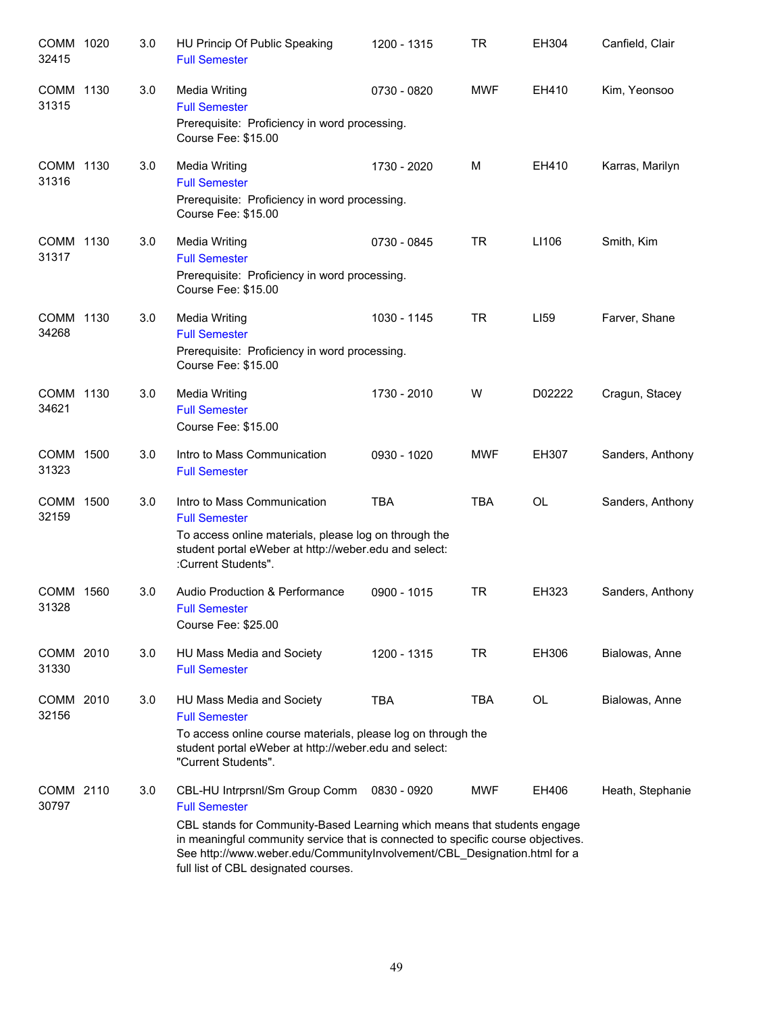| COMM 1020<br>32415   |      | 3.0 | HU Princip Of Public Speaking<br><b>Full Semester</b>                                                                                                                                                                                                                                                                                      | 1200 - 1315 | TR         | EH304     | Canfield, Clair  |
|----------------------|------|-----|--------------------------------------------------------------------------------------------------------------------------------------------------------------------------------------------------------------------------------------------------------------------------------------------------------------------------------------------|-------------|------------|-----------|------------------|
| COMM 1130<br>31315   |      | 3.0 | Media Writing<br><b>Full Semester</b><br>Prerequisite: Proficiency in word processing.<br>Course Fee: \$15.00                                                                                                                                                                                                                              | 0730 - 0820 | <b>MWF</b> | EH410     | Kim, Yeonsoo     |
| COMM 1130<br>31316   |      | 3.0 | <b>Media Writing</b><br><b>Full Semester</b><br>Prerequisite: Proficiency in word processing.<br>Course Fee: \$15.00                                                                                                                                                                                                                       | 1730 - 2020 | м          | EH410     | Karras, Marilyn  |
| COMM 1130<br>31317   |      | 3.0 | <b>Media Writing</b><br><b>Full Semester</b><br>Prerequisite: Proficiency in word processing.<br>Course Fee: \$15.00                                                                                                                                                                                                                       | 0730 - 0845 | <b>TR</b>  | LI106     | Smith, Kim       |
| COMM 1130<br>34268   |      | 3.0 | Media Writing<br><b>Full Semester</b><br>Prerequisite: Proficiency in word processing.<br>Course Fee: \$15.00                                                                                                                                                                                                                              | 1030 - 1145 | <b>TR</b>  | LI59      | Farver, Shane    |
| COMM 1130<br>34621   |      | 3.0 | <b>Media Writing</b><br><b>Full Semester</b><br>Course Fee: \$15.00                                                                                                                                                                                                                                                                        | 1730 - 2010 | W          | D02222    | Cragun, Stacey   |
| COMM 1500<br>31323   |      | 3.0 | Intro to Mass Communication<br><b>Full Semester</b>                                                                                                                                                                                                                                                                                        | 0930 - 1020 | <b>MWF</b> | EH307     | Sanders, Anthony |
| <b>COMM</b><br>32159 | 1500 | 3.0 | Intro to Mass Communication<br><b>Full Semester</b><br>To access online materials, please log on through the<br>student portal eWeber at http://weber.edu and select:<br>:Current Students".                                                                                                                                               | <b>TBA</b>  | <b>TBA</b> | <b>OL</b> | Sanders, Anthony |
| COMM 1560<br>31328   |      | 3.0 | Audio Production & Performance<br><b>Full Semester</b><br>Course Fee: \$25.00                                                                                                                                                                                                                                                              | 0900 - 1015 | <b>TR</b>  | EH323     | Sanders, Anthony |
| COMM 2010<br>31330   |      | 3.0 | HU Mass Media and Society<br><b>Full Semester</b>                                                                                                                                                                                                                                                                                          | 1200 - 1315 | TR         | EH306     | Bialowas, Anne   |
| COMM 2010<br>32156   |      | 3.0 | HU Mass Media and Society<br><b>Full Semester</b><br>To access online course materials, please log on through the<br>student portal eWeber at http://weber.edu and select:<br>"Current Students".                                                                                                                                          | <b>TBA</b>  | TBA        | OL        | Bialowas, Anne   |
| COMM 2110<br>30797   |      | 3.0 | CBL-HU Intrprsnl/Sm Group Comm<br><b>Full Semester</b><br>CBL stands for Community-Based Learning which means that students engage<br>in meaningful community service that is connected to specific course objectives.<br>See http://www.weber.edu/CommunityInvolvement/CBL_Designation.html for a<br>full list of CBL designated courses. | 0830 - 0920 | <b>MWF</b> | EH406     | Heath, Stephanie |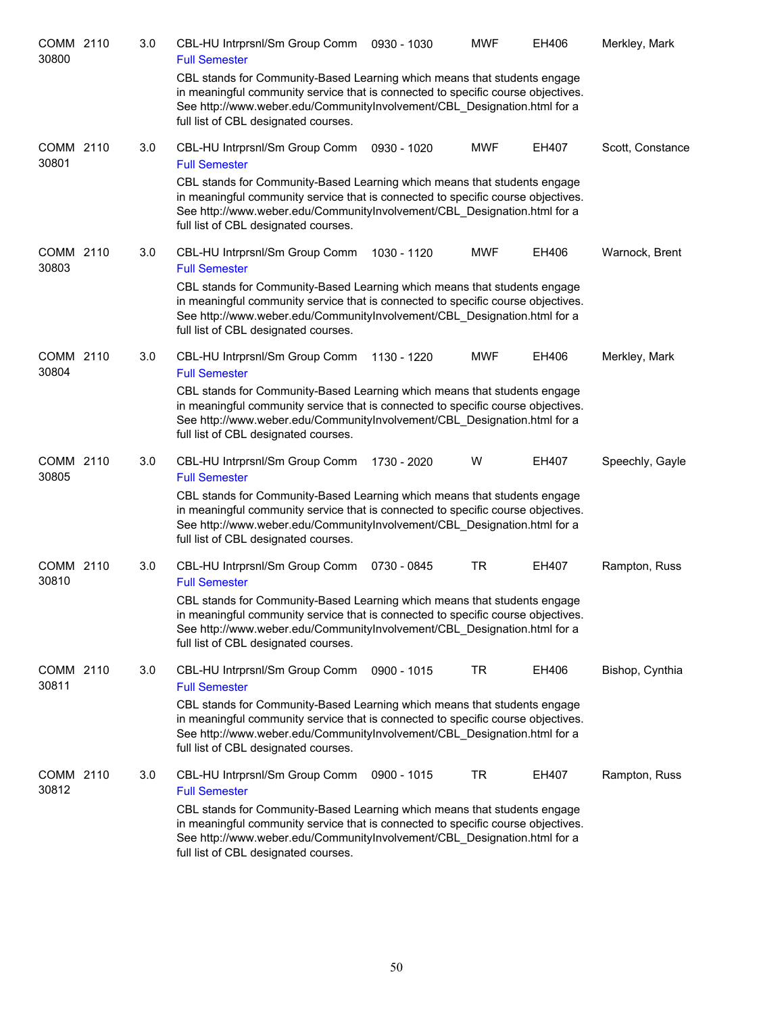| COMM 2110<br>30800 | 3.0 | CBL-HU Intrprsnl/Sm Group Comm<br><b>Full Semester</b>                                                                                                                                                                                                                           | 0930 - 1030 | <b>MWF</b> | EH406 | Merkley, Mark    |
|--------------------|-----|----------------------------------------------------------------------------------------------------------------------------------------------------------------------------------------------------------------------------------------------------------------------------------|-------------|------------|-------|------------------|
|                    |     | CBL stands for Community-Based Learning which means that students engage<br>in meaningful community service that is connected to specific course objectives.<br>See http://www.weber.edu/CommunityInvolvement/CBL Designation.html for a<br>full list of CBL designated courses. |             |            |       |                  |
| COMM 2110<br>30801 | 3.0 | CBL-HU Intrprsnl/Sm Group Comm<br><b>Full Semester</b>                                                                                                                                                                                                                           | 0930 - 1020 | <b>MWF</b> | EH407 | Scott, Constance |
|                    |     | CBL stands for Community-Based Learning which means that students engage<br>in meaningful community service that is connected to specific course objectives.<br>See http://www.weber.edu/CommunityInvolvement/CBL_Designation.html for a<br>full list of CBL designated courses. |             |            |       |                  |
| COMM 2110<br>30803 | 3.0 | CBL-HU Intrprsnl/Sm Group Comm<br><b>Full Semester</b>                                                                                                                                                                                                                           | 1030 - 1120 | <b>MWF</b> | EH406 | Warnock, Brent   |
|                    |     | CBL stands for Community-Based Learning which means that students engage<br>in meaningful community service that is connected to specific course objectives.<br>See http://www.weber.edu/CommunityInvolvement/CBL_Designation.html for a<br>full list of CBL designated courses. |             |            |       |                  |
| COMM 2110<br>30804 | 3.0 | CBL-HU Intrprsnl/Sm Group Comm<br><b>Full Semester</b>                                                                                                                                                                                                                           | 1130 - 1220 | <b>MWF</b> | EH406 | Merkley, Mark    |
|                    |     | CBL stands for Community-Based Learning which means that students engage<br>in meaningful community service that is connected to specific course objectives.<br>See http://www.weber.edu/CommunityInvolvement/CBL_Designation.html for a<br>full list of CBL designated courses. |             |            |       |                  |
| COMM 2110<br>30805 | 3.0 | CBL-HU Intrprsnl/Sm Group Comm<br><b>Full Semester</b>                                                                                                                                                                                                                           | 1730 - 2020 | W          | EH407 | Speechly, Gayle  |
|                    |     | CBL stands for Community-Based Learning which means that students engage<br>in meaningful community service that is connected to specific course objectives.<br>See http://www.weber.edu/CommunityInvolvement/CBL_Designation.html for a<br>full list of CBL designated courses. |             |            |       |                  |
| COMM 2110<br>30810 | 3.0 | CBL-HU Intrprsnl/Sm Group Comm<br><b>Full Semester</b>                                                                                                                                                                                                                           | 0730 - 0845 | <b>TR</b>  | EH407 | Rampton, Russ    |
|                    |     | CBL stands for Community-Based Learning which means that students engage<br>in meaningful community service that is connected to specific course objectives.<br>See http://www.weber.edu/CommunityInvolvement/CBL_Designation.html for a<br>full list of CBL designated courses. |             |            |       |                  |
| COMM 2110<br>30811 | 3.0 | CBL-HU Intrprsnl/Sm Group Comm<br><b>Full Semester</b>                                                                                                                                                                                                                           | 0900 - 1015 | TR         | EH406 | Bishop, Cynthia  |
|                    |     | CBL stands for Community-Based Learning which means that students engage<br>in meaningful community service that is connected to specific course objectives.<br>See http://www.weber.edu/CommunityInvolvement/CBL Designation.html for a<br>full list of CBL designated courses. |             |            |       |                  |
| COMM 2110<br>30812 | 3.0 | CBL-HU Intrprsnl/Sm Group Comm<br><b>Full Semester</b>                                                                                                                                                                                                                           | 0900 - 1015 | TR         | EH407 | Rampton, Russ    |
|                    |     | CBL stands for Community-Based Learning which means that students engage<br>in meaningful community service that is connected to specific course objectives.<br>See http://www.weber.edu/CommunityInvolvement/CBL_Designation.html for a<br>full list of CBL designated courses. |             |            |       |                  |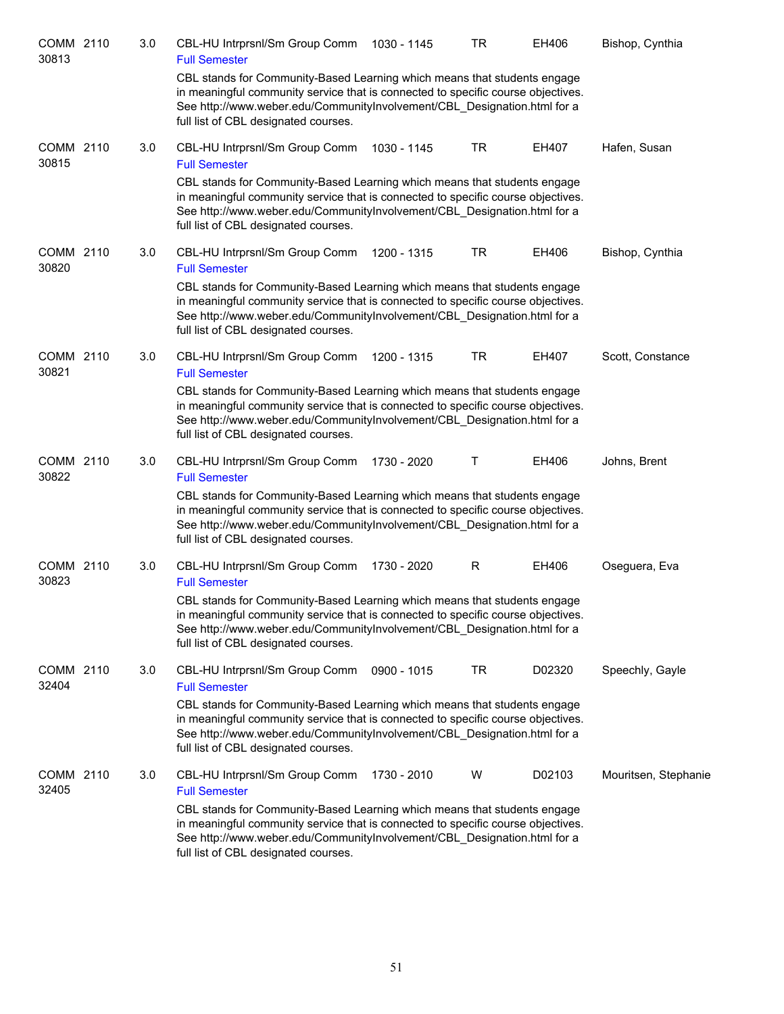| COMM 2110<br>30813 | 3.0 | CBL-HU Intrprsnl/Sm Group Comm<br><b>Full Semester</b>                                                                                                                                                                                                                           | 1030 - 1145 | <b>TR</b>    | EH406  | Bishop, Cynthia      |
|--------------------|-----|----------------------------------------------------------------------------------------------------------------------------------------------------------------------------------------------------------------------------------------------------------------------------------|-------------|--------------|--------|----------------------|
|                    |     | CBL stands for Community-Based Learning which means that students engage<br>in meaningful community service that is connected to specific course objectives.<br>See http://www.weber.edu/CommunityInvolvement/CBL Designation.html for a<br>full list of CBL designated courses. |             |              |        |                      |
| COMM 2110<br>30815 | 3.0 | CBL-HU Intrprsnl/Sm Group Comm<br><b>Full Semester</b>                                                                                                                                                                                                                           | 1030 - 1145 | TR           | EH407  | Hafen, Susan         |
|                    |     | CBL stands for Community-Based Learning which means that students engage<br>in meaningful community service that is connected to specific course objectives.<br>See http://www.weber.edu/CommunityInvolvement/CBL_Designation.html for a<br>full list of CBL designated courses. |             |              |        |                      |
| COMM 2110<br>30820 | 3.0 | CBL-HU Intrprsnl/Sm Group Comm<br><b>Full Semester</b>                                                                                                                                                                                                                           | 1200 - 1315 | TR           | EH406  | Bishop, Cynthia      |
|                    |     | CBL stands for Community-Based Learning which means that students engage<br>in meaningful community service that is connected to specific course objectives.<br>See http://www.weber.edu/CommunityInvolvement/CBL_Designation.html for a<br>full list of CBL designated courses. |             |              |        |                      |
| COMM 2110<br>30821 | 3.0 | CBL-HU Intrprsnl/Sm Group Comm<br><b>Full Semester</b>                                                                                                                                                                                                                           | 1200 - 1315 | TR           | EH407  | Scott, Constance     |
|                    |     | CBL stands for Community-Based Learning which means that students engage<br>in meaningful community service that is connected to specific course objectives.<br>See http://www.weber.edu/CommunityInvolvement/CBL_Designation.html for a<br>full list of CBL designated courses. |             |              |        |                      |
| COMM 2110<br>30822 | 3.0 | CBL-HU Intrprsnl/Sm Group Comm<br><b>Full Semester</b>                                                                                                                                                                                                                           | 1730 - 2020 | Τ            | EH406  | Johns, Brent         |
|                    |     | CBL stands for Community-Based Learning which means that students engage<br>in meaningful community service that is connected to specific course objectives.<br>See http://www.weber.edu/CommunityInvolvement/CBL_Designation.html for a<br>full list of CBL designated courses. |             |              |        |                      |
| COMM 2110<br>30823 | 3.0 | CBL-HU Intrprsnl/Sm Group Comm<br><b>Full Semester</b>                                                                                                                                                                                                                           | 1730 - 2020 | $\mathsf{R}$ | EH406  | Oseguera, Eva        |
|                    |     | CBL stands for Community-Based Learning which means that students engage<br>in meaningful community service that is connected to specific course objectives.<br>See http://www.weber.edu/CommunityInvolvement/CBL_Designation.html for a<br>full list of CBL designated courses. |             |              |        |                      |
| COMM 2110<br>32404 | 3.0 | CBL-HU Intrprsnl/Sm Group Comm<br><b>Full Semester</b>                                                                                                                                                                                                                           | 0900 - 1015 | TR           | D02320 | Speechly, Gayle      |
|                    |     | CBL stands for Community-Based Learning which means that students engage<br>in meaningful community service that is connected to specific course objectives.<br>See http://www.weber.edu/CommunityInvolvement/CBL_Designation.html for a<br>full list of CBL designated courses. |             |              |        |                      |
| COMM 2110<br>32405 | 3.0 | CBL-HU Intrprsnl/Sm Group Comm<br><b>Full Semester</b>                                                                                                                                                                                                                           | 1730 - 2010 | W            | D02103 | Mouritsen, Stephanie |
|                    |     | CBL stands for Community-Based Learning which means that students engage<br>in meaningful community service that is connected to specific course objectives.<br>See http://www.weber.edu/CommunityInvolvement/CBL_Designation.html for a<br>full list of CBL designated courses. |             |              |        |                      |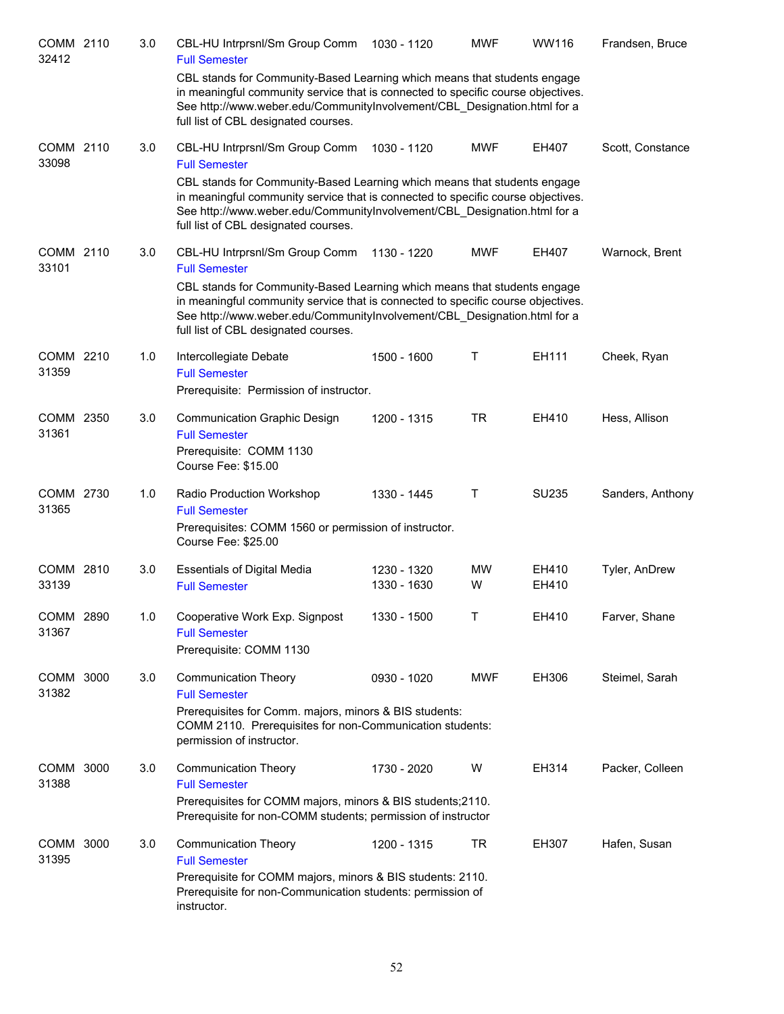| COMM 2110<br>32412 | 3.0 | CBL-HU Intrprsnl/Sm Group Comm<br><b>Full Semester</b>                                                                                                                                                                                                                           | 1030 - 1120                | <b>MWF</b>     | WW116          | Frandsen, Bruce  |
|--------------------|-----|----------------------------------------------------------------------------------------------------------------------------------------------------------------------------------------------------------------------------------------------------------------------------------|----------------------------|----------------|----------------|------------------|
|                    |     | CBL stands for Community-Based Learning which means that students engage<br>in meaningful community service that is connected to specific course objectives.<br>See http://www.weber.edu/CommunityInvolvement/CBL_Designation.html for a<br>full list of CBL designated courses. |                            |                |                |                  |
| COMM 2110<br>33098 | 3.0 | CBL-HU Intrprsnl/Sm Group Comm<br><b>Full Semester</b>                                                                                                                                                                                                                           | 1030 - 1120                | <b>MWF</b>     | EH407          | Scott, Constance |
|                    |     | CBL stands for Community-Based Learning which means that students engage<br>in meaningful community service that is connected to specific course objectives.<br>See http://www.weber.edu/CommunityInvolvement/CBL Designation.html for a<br>full list of CBL designated courses. |                            |                |                |                  |
| COMM 2110<br>33101 | 3.0 | CBL-HU Intrprsnl/Sm Group Comm<br><b>Full Semester</b>                                                                                                                                                                                                                           | 1130 - 1220                | <b>MWF</b>     | EH407          | Warnock, Brent   |
|                    |     | CBL stands for Community-Based Learning which means that students engage<br>in meaningful community service that is connected to specific course objectives.<br>See http://www.weber.edu/CommunityInvolvement/CBL Designation.html for a<br>full list of CBL designated courses. |                            |                |                |                  |
| COMM 2210<br>31359 | 1.0 | Intercollegiate Debate<br><b>Full Semester</b><br>Prerequisite: Permission of instructor.                                                                                                                                                                                        | 1500 - 1600                | Τ              | EH111          | Cheek, Ryan      |
| COMM 2350<br>31361 | 3.0 | <b>Communication Graphic Design</b><br><b>Full Semester</b>                                                                                                                                                                                                                      | 1200 - 1315                | <b>TR</b>      | EH410          | Hess, Allison    |
|                    |     | Prerequisite: COMM 1130<br>Course Fee: \$15.00                                                                                                                                                                                                                                   |                            |                |                |                  |
| COMM 2730<br>31365 | 1.0 | Radio Production Workshop<br><b>Full Semester</b><br>Prerequisites: COMM 1560 or permission of instructor.<br>Course Fee: \$25.00                                                                                                                                                | 1330 - 1445                | Τ              | SU235          | Sanders, Anthony |
| COMM 2810<br>33139 | 3.0 | <b>Essentials of Digital Media</b><br><b>Full Semester</b>                                                                                                                                                                                                                       | 1230 - 1320<br>1330 - 1630 | <b>MW</b><br>W | EH410<br>EH410 | Tyler, AnDrew    |
| COMM 2890<br>31367 | 1.0 | Cooperative Work Exp. Signpost<br><b>Full Semester</b><br>Prerequisite: COMM 1130                                                                                                                                                                                                | 1330 - 1500                | т              | EH410          | Farver, Shane    |
| COMM 3000<br>31382 | 3.0 | <b>Communication Theory</b><br><b>Full Semester</b>                                                                                                                                                                                                                              | 0930 - 1020                | <b>MWF</b>     | EH306          | Steimel, Sarah   |
|                    |     | Prerequisites for Comm. majors, minors & BIS students:<br>COMM 2110. Prerequisites for non-Communication students:<br>permission of instructor.                                                                                                                                  |                            |                |                |                  |
| COMM 3000<br>31388 | 3.0 | <b>Communication Theory</b><br><b>Full Semester</b>                                                                                                                                                                                                                              | 1730 - 2020                | W              | EH314          | Packer, Colleen  |
|                    |     | Prerequisites for COMM majors, minors & BIS students; 2110.<br>Prerequisite for non-COMM students; permission of instructor                                                                                                                                                      |                            |                |                |                  |
| COMM 3000<br>31395 | 3.0 | <b>Communication Theory</b><br><b>Full Semester</b>                                                                                                                                                                                                                              | 1200 - 1315                | <b>TR</b>      | EH307          | Hafen, Susan     |
|                    |     | Prerequisite for COMM majors, minors & BIS students: 2110.<br>Prerequisite for non-Communication students: permission of<br>instructor.                                                                                                                                          |                            |                |                |                  |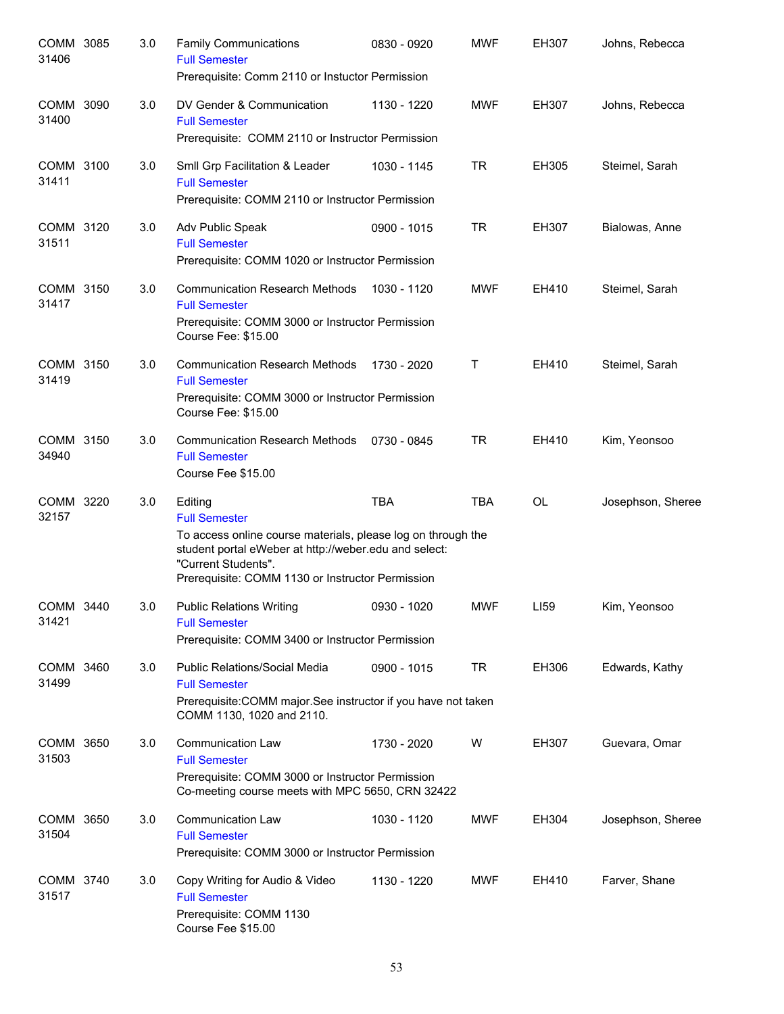| COMM 3085<br>31406 | 3.0 | <b>Family Communications</b><br><b>Full Semester</b><br>Prerequisite: Comm 2110 or Instuctor Permission                                                                                                                             | 0830 - 0920 | <b>MWF</b> | <b>EH307</b> | Johns, Rebecca    |
|--------------------|-----|-------------------------------------------------------------------------------------------------------------------------------------------------------------------------------------------------------------------------------------|-------------|------------|--------------|-------------------|
| COMM 3090<br>31400 | 3.0 | DV Gender & Communication<br><b>Full Semester</b><br>Prerequisite: COMM 2110 or Instructor Permission                                                                                                                               | 1130 - 1220 | <b>MWF</b> | EH307        | Johns, Rebecca    |
| COMM 3100<br>31411 | 3.0 | Smil Grp Facilitation & Leader<br><b>Full Semester</b><br>Prerequisite: COMM 2110 or Instructor Permission                                                                                                                          | 1030 - 1145 | <b>TR</b>  | EH305        | Steimel, Sarah    |
| COMM 3120<br>31511 | 3.0 | Adv Public Speak<br><b>Full Semester</b><br>Prerequisite: COMM 1020 or Instructor Permission                                                                                                                                        | 0900 - 1015 | <b>TR</b>  | EH307        | Bialowas, Anne    |
| COMM 3150<br>31417 | 3.0 | <b>Communication Research Methods</b><br><b>Full Semester</b><br>Prerequisite: COMM 3000 or Instructor Permission<br>Course Fee: \$15.00                                                                                            | 1030 - 1120 | <b>MWF</b> | EH410        | Steimel, Sarah    |
| COMM 3150<br>31419 | 3.0 | <b>Communication Research Methods</b><br><b>Full Semester</b><br>Prerequisite: COMM 3000 or Instructor Permission<br>Course Fee: \$15.00                                                                                            | 1730 - 2020 | Т          | EH410        | Steimel, Sarah    |
| COMM 3150<br>34940 | 3.0 | <b>Communication Research Methods</b><br><b>Full Semester</b><br>Course Fee \$15.00                                                                                                                                                 | 0730 - 0845 | <b>TR</b>  | EH410        | Kim, Yeonsoo      |
| COMM 3220<br>32157 | 3.0 | Editing<br><b>Full Semester</b><br>To access online course materials, please log on through the<br>student portal eWeber at http://weber.edu and select:<br>"Current Students".<br>Prerequisite: COMM 1130 or Instructor Permission | <b>TBA</b>  | <b>TBA</b> | <b>OL</b>    | Josephson, Sheree |
| COMM 3440<br>31421 | 3.0 | <b>Public Relations Writing</b><br><b>Full Semester</b><br>Prerequisite: COMM 3400 or Instructor Permission                                                                                                                         | 0930 - 1020 | <b>MWF</b> | LI59         | Kim, Yeonsoo      |
| COMM 3460<br>31499 | 3.0 | <b>Public Relations/Social Media</b><br><b>Full Semester</b><br>Prerequisite: COMM major. See instructor if you have not taken<br>COMM 1130, 1020 and 2110.                                                                         | 0900 - 1015 | <b>TR</b>  | EH306        | Edwards, Kathy    |
| COMM 3650<br>31503 | 3.0 | <b>Communication Law</b><br><b>Full Semester</b><br>Prerequisite: COMM 3000 or Instructor Permission<br>Co-meeting course meets with MPC 5650, CRN 32422                                                                            | 1730 - 2020 | W          | EH307        | Guevara, Omar     |
| COMM 3650<br>31504 | 3.0 | <b>Communication Law</b><br><b>Full Semester</b><br>Prerequisite: COMM 3000 or Instructor Permission                                                                                                                                | 1030 - 1120 | <b>MWF</b> | EH304        | Josephson, Sheree |
| COMM 3740<br>31517 | 3.0 | Copy Writing for Audio & Video<br><b>Full Semester</b><br>Prerequisite: COMM 1130<br>Course Fee \$15.00                                                                                                                             | 1130 - 1220 | <b>MWF</b> | EH410        | Farver, Shane     |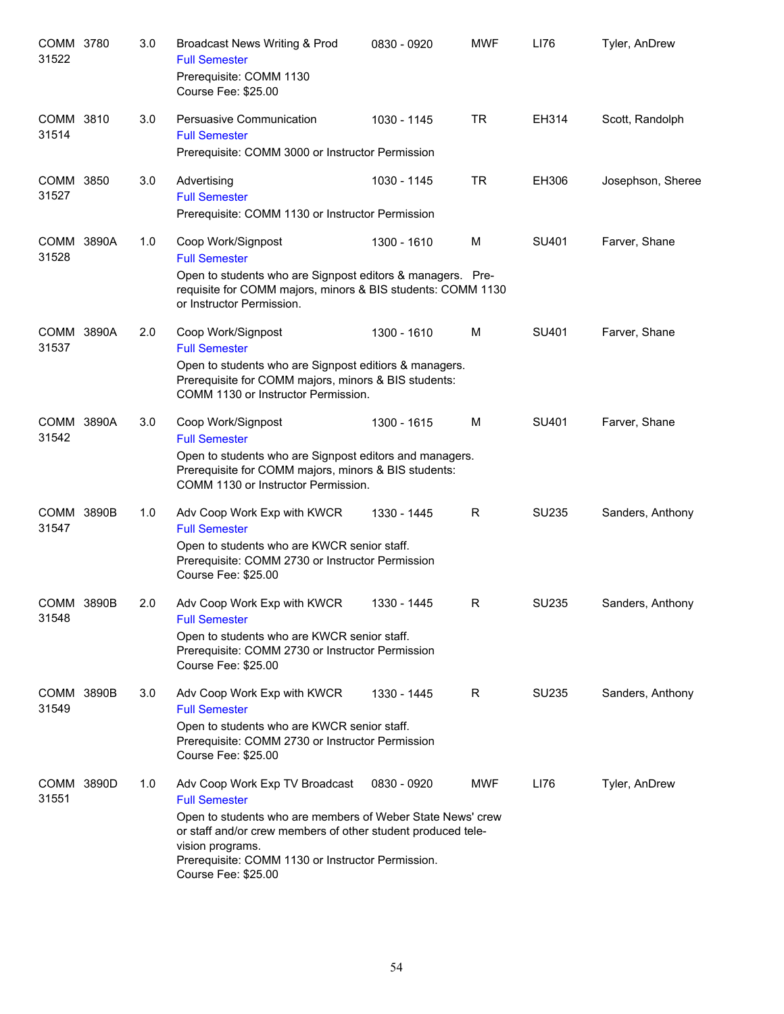| COMM 3780<br>31522         | 3.0 | Broadcast News Writing & Prod<br><b>Full Semester</b><br>Prerequisite: COMM 1130<br>Course Fee: \$25.00                                                                                                                                                                              | 0830 - 0920 | <b>MWF</b> | LI76  | Tyler, AnDrew     |
|----------------------------|-----|--------------------------------------------------------------------------------------------------------------------------------------------------------------------------------------------------------------------------------------------------------------------------------------|-------------|------------|-------|-------------------|
| COMM 3810<br>31514         | 3.0 | Persuasive Communication<br><b>Full Semester</b><br>Prerequisite: COMM 3000 or Instructor Permission                                                                                                                                                                                 | 1030 - 1145 | <b>TR</b>  | EH314 | Scott, Randolph   |
| COMM 3850<br>31527         | 3.0 | Advertising<br><b>Full Semester</b><br>Prerequisite: COMM 1130 or Instructor Permission                                                                                                                                                                                              | 1030 - 1145 | <b>TR</b>  | EH306 | Josephson, Sheree |
| COMM 3890A<br>31528        | 1.0 | Coop Work/Signpost<br><b>Full Semester</b><br>Open to students who are Signpost editors & managers. Pre-<br>requisite for COMM majors, minors & BIS students: COMM 1130<br>or Instructor Permission.                                                                                 | 1300 - 1610 | M          | SU401 | Farver, Shane     |
| COMM 3890A<br>31537        | 2.0 | Coop Work/Signpost<br><b>Full Semester</b><br>Open to students who are Signpost editiors & managers.<br>Prerequisite for COMM majors, minors & BIS students:<br>COMM 1130 or Instructor Permission.                                                                                  | 1300 - 1610 | M          | SU401 | Farver, Shane     |
| COMM 3890A<br>31542        | 3.0 | Coop Work/Signpost<br><b>Full Semester</b><br>Open to students who are Signpost editors and managers.<br>Prerequisite for COMM majors, minors & BIS students:<br>COMM 1130 or Instructor Permission.                                                                                 | 1300 - 1615 | M          | SU401 | Farver, Shane     |
| COMM 3890B<br>31547        | 1.0 | Adv Coop Work Exp with KWCR<br><b>Full Semester</b><br>Open to students who are KWCR senior staff.<br>Prerequisite: COMM 2730 or Instructor Permission<br>Course Fee: \$25.00                                                                                                        | 1330 - 1445 | R          | SU235 | Sanders, Anthony  |
| <b>COMM 3890B</b><br>31548 | 2.0 | Adv Coop Work Exp with KWCR<br><b>Full Semester</b><br>Open to students who are KWCR senior staff.<br>Prerequisite: COMM 2730 or Instructor Permission<br>Course Fee: \$25.00                                                                                                        | 1330 - 1445 | R          | SU235 | Sanders, Anthony  |
| <b>COMM 3890B</b><br>31549 | 3.0 | Adv Coop Work Exp with KWCR<br><b>Full Semester</b><br>Open to students who are KWCR senior staff.<br>Prerequisite: COMM 2730 or Instructor Permission<br>Course Fee: \$25.00                                                                                                        | 1330 - 1445 | R          | SU235 | Sanders, Anthony  |
| COMM 3890D<br>31551        | 1.0 | Adv Coop Work Exp TV Broadcast<br><b>Full Semester</b><br>Open to students who are members of Weber State News' crew<br>or staff and/or crew members of other student produced tele-<br>vision programs.<br>Prerequisite: COMM 1130 or Instructor Permission.<br>Course Fee: \$25.00 | 0830 - 0920 | <b>MWF</b> | LI76  | Tyler, AnDrew     |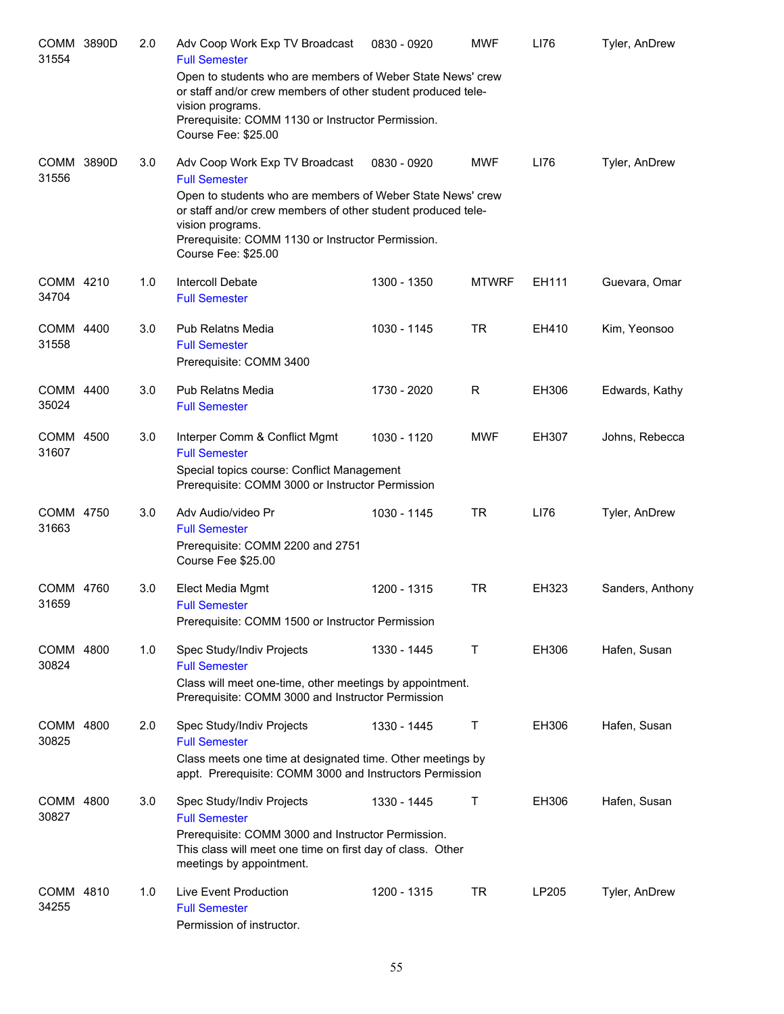| COMM 3890D<br>31554 | 2.0 | Adv Coop Work Exp TV Broadcast<br><b>Full Semester</b>                                                                                                                                                                     | 0830 - 0920 | <b>MWF</b>   | LI76  | Tyler, AnDrew    |
|---------------------|-----|----------------------------------------------------------------------------------------------------------------------------------------------------------------------------------------------------------------------------|-------------|--------------|-------|------------------|
|                     |     | Open to students who are members of Weber State News' crew<br>or staff and/or crew members of other student produced tele-<br>vision programs.<br>Prerequisite: COMM 1130 or Instructor Permission.<br>Course Fee: \$25.00 |             |              |       |                  |
| COMM 3890D<br>31556 | 3.0 | Adv Coop Work Exp TV Broadcast<br><b>Full Semester</b><br>Open to students who are members of Weber State News' crew<br>or staff and/or crew members of other student produced tele-<br>vision programs.                   | 0830 - 0920 | <b>MWF</b>   | LI76  | Tyler, AnDrew    |
|                     |     | Prerequisite: COMM 1130 or Instructor Permission.<br>Course Fee: \$25.00                                                                                                                                                   |             |              |       |                  |
| COMM 4210<br>34704  | 1.0 | Intercoll Debate<br><b>Full Semester</b>                                                                                                                                                                                   | 1300 - 1350 | <b>MTWRF</b> | EH111 | Guevara, Omar    |
| COMM 4400<br>31558  | 3.0 | <b>Pub Relatns Media</b><br><b>Full Semester</b><br>Prerequisite: COMM 3400                                                                                                                                                | 1030 - 1145 | <b>TR</b>    | EH410 | Kim, Yeonsoo     |
| COMM 4400<br>35024  | 3.0 | <b>Pub Relatns Media</b><br><b>Full Semester</b>                                                                                                                                                                           | 1730 - 2020 | R            | EH306 | Edwards, Kathy   |
| COMM 4500<br>31607  | 3.0 | Interper Comm & Conflict Mgmt<br><b>Full Semester</b><br>Special topics course: Conflict Management<br>Prerequisite: COMM 3000 or Instructor Permission                                                                    | 1030 - 1120 | <b>MWF</b>   | EH307 | Johns, Rebecca   |
| COMM 4750<br>31663  | 3.0 | Adv Audio/video Pr<br><b>Full Semester</b><br>Prerequisite: COMM 2200 and 2751<br>Course Fee \$25.00                                                                                                                       | 1030 - 1145 | <b>TR</b>    | LI76  | Tyler, AnDrew    |
| COMM 4760<br>31659  | 3.0 | Elect Media Mgmt<br><b>Full Semester</b><br>Prerequisite: COMM 1500 or Instructor Permission                                                                                                                               | 1200 - 1315 | <b>TR</b>    | EH323 | Sanders, Anthony |
| COMM 4800<br>30824  | 1.0 | Spec Study/Indiv Projects<br><b>Full Semester</b><br>Class will meet one-time, other meetings by appointment.<br>Prerequisite: COMM 3000 and Instructor Permission                                                         | 1330 - 1445 | Τ            | EH306 | Hafen, Susan     |
| COMM 4800<br>30825  | 2.0 | Spec Study/Indiv Projects<br><b>Full Semester</b><br>Class meets one time at designated time. Other meetings by<br>appt. Prerequisite: COMM 3000 and Instructors Permission                                                | 1330 - 1445 | Т            | EH306 | Hafen, Susan     |
| COMM 4800<br>30827  | 3.0 | Spec Study/Indiv Projects<br><b>Full Semester</b><br>Prerequisite: COMM 3000 and Instructor Permission.<br>This class will meet one time on first day of class. Other<br>meetings by appointment.                          | 1330 - 1445 | Т            | EH306 | Hafen, Susan     |
| COMM 4810<br>34255  | 1.0 | Live Event Production<br><b>Full Semester</b><br>Permission of instructor.                                                                                                                                                 | 1200 - 1315 | <b>TR</b>    | LP205 | Tyler, AnDrew    |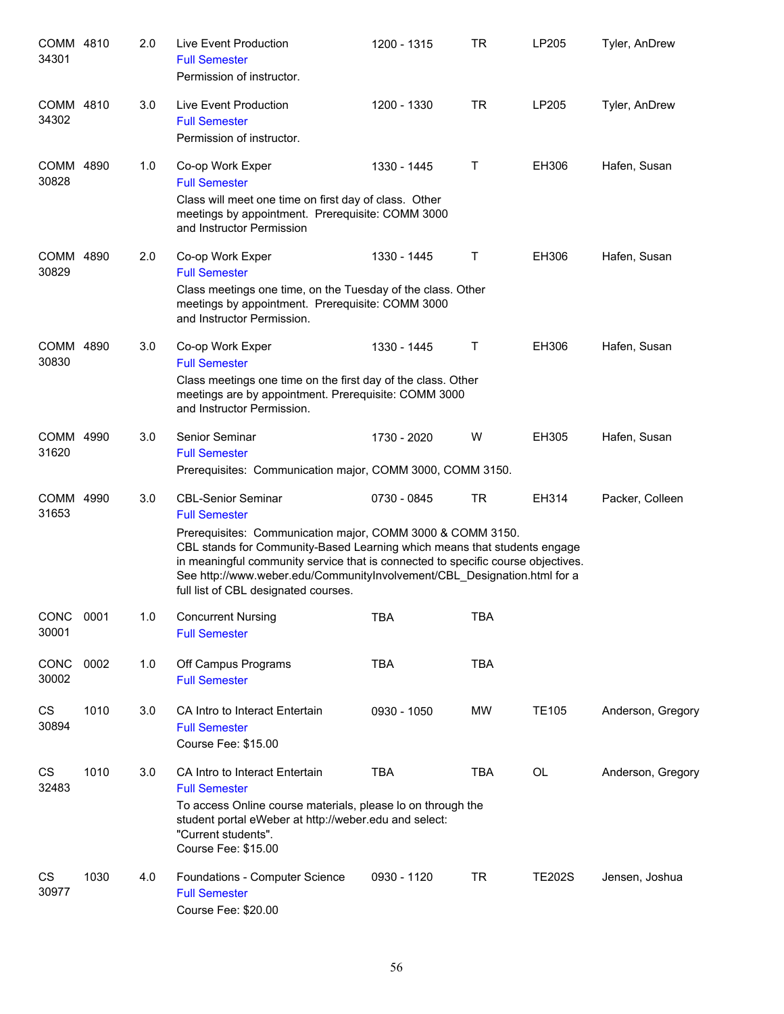| COMM 4810<br>34301 |      | 2.0 | Live Event Production<br><b>Full Semester</b><br>Permission of instructor.                                                                                                                                                                                                                                                                                                                          | 1200 - 1315 | <b>TR</b>  | LP205         | Tyler, AnDrew     |
|--------------------|------|-----|-----------------------------------------------------------------------------------------------------------------------------------------------------------------------------------------------------------------------------------------------------------------------------------------------------------------------------------------------------------------------------------------------------|-------------|------------|---------------|-------------------|
| COMM 4810<br>34302 |      | 3.0 | Live Event Production<br><b>Full Semester</b><br>Permission of instructor.                                                                                                                                                                                                                                                                                                                          | 1200 - 1330 | <b>TR</b>  | LP205         | Tyler, AnDrew     |
| COMM 4890<br>30828 |      | 1.0 | Co-op Work Exper<br><b>Full Semester</b><br>Class will meet one time on first day of class. Other<br>meetings by appointment. Prerequisite: COMM 3000<br>and Instructor Permission                                                                                                                                                                                                                  | 1330 - 1445 | Τ          | EH306         | Hafen, Susan      |
| COMM 4890<br>30829 |      | 2.0 | Co-op Work Exper<br><b>Full Semester</b><br>Class meetings one time, on the Tuesday of the class. Other<br>meetings by appointment. Prerequisite: COMM 3000<br>and Instructor Permission.                                                                                                                                                                                                           | 1330 - 1445 | Τ          | EH306         | Hafen, Susan      |
| COMM 4890<br>30830 |      | 3.0 | Co-op Work Exper<br><b>Full Semester</b><br>Class meetings one time on the first day of the class. Other<br>meetings are by appointment. Prerequisite: COMM 3000<br>and Instructor Permission.                                                                                                                                                                                                      | 1330 - 1445 | Τ          | EH306         | Hafen, Susan      |
| COMM 4990<br>31620 |      | 3.0 | Senior Seminar<br><b>Full Semester</b><br>Prerequisites: Communication major, COMM 3000, COMM 3150.                                                                                                                                                                                                                                                                                                 | 1730 - 2020 | W          | EH305         | Hafen, Susan      |
| COMM 4990<br>31653 |      | 3.0 | <b>CBL-Senior Seminar</b><br><b>Full Semester</b><br>Prerequisites: Communication major, COMM 3000 & COMM 3150.<br>CBL stands for Community-Based Learning which means that students engage<br>in meaningful community service that is connected to specific course objectives.<br>See http://www.weber.edu/CommunityInvolvement/CBL_Designation.html for a<br>full list of CBL designated courses. | 0730 - 0845 | <b>TR</b>  | EH314         | Packer, Colleen   |
| CONC<br>30001      | 0001 | 1.0 | <b>Concurrent Nursing</b><br><b>Full Semester</b>                                                                                                                                                                                                                                                                                                                                                   | TBA         | <b>TBA</b> |               |                   |
| CONC<br>30002      | 0002 | 1.0 | Off Campus Programs<br><b>Full Semester</b>                                                                                                                                                                                                                                                                                                                                                         | <b>TBA</b>  | <b>TBA</b> |               |                   |
| CS<br>30894        | 1010 | 3.0 | CA Intro to Interact Entertain<br><b>Full Semester</b><br>Course Fee: \$15.00                                                                                                                                                                                                                                                                                                                       | 0930 - 1050 | MW         | <b>TE105</b>  | Anderson, Gregory |
| CS<br>32483        | 1010 | 3.0 | CA Intro to Interact Entertain<br><b>Full Semester</b><br>To access Online course materials, please Io on through the<br>student portal eWeber at http://weber.edu and select:<br>"Current students".<br>Course Fee: \$15.00                                                                                                                                                                        | <b>TBA</b>  | <b>TBA</b> | OL            | Anderson, Gregory |
| CS<br>30977        | 1030 | 4.0 | Foundations - Computer Science<br><b>Full Semester</b><br>Course Fee: \$20.00                                                                                                                                                                                                                                                                                                                       | 0930 - 1120 | <b>TR</b>  | <b>TE202S</b> | Jensen, Joshua    |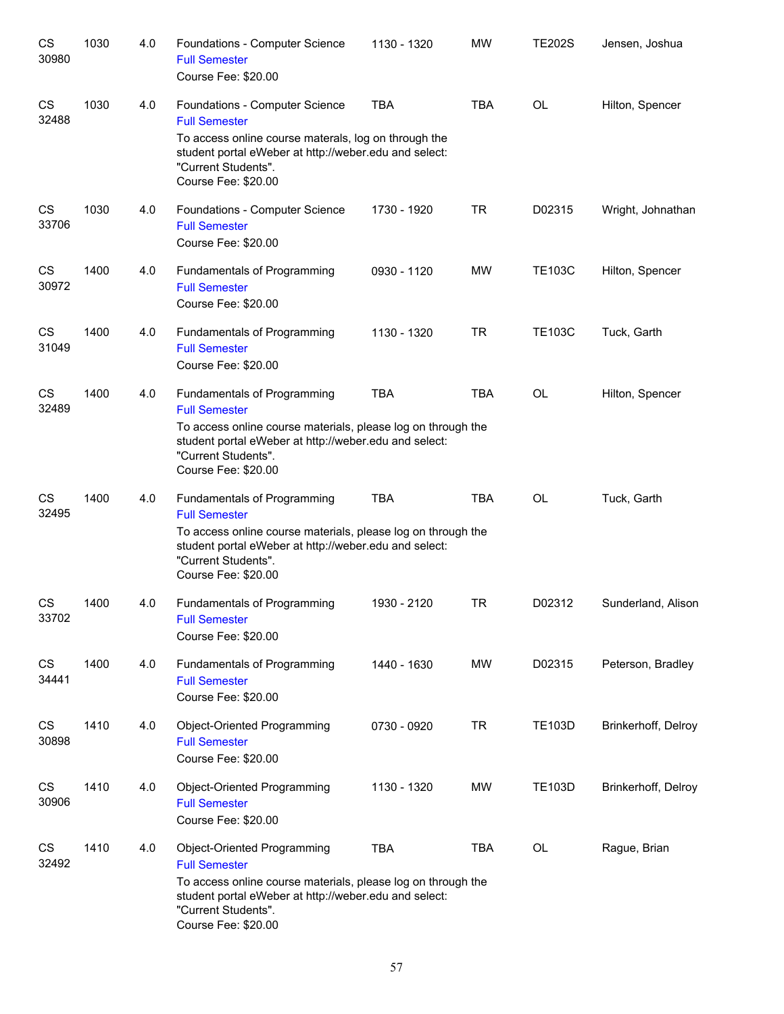| CS<br>30980 | 1030 | 4.0 | Foundations - Computer Science<br><b>Full Semester</b><br>Course Fee: \$20.00                                                                                                                                              | 1130 - 1320 | <b>MW</b>  | <b>TE202S</b> | Jensen, Joshua      |
|-------------|------|-----|----------------------------------------------------------------------------------------------------------------------------------------------------------------------------------------------------------------------------|-------------|------------|---------------|---------------------|
| CS<br>32488 | 1030 | 4.0 | Foundations - Computer Science<br><b>Full Semester</b><br>To access online course materals, log on through the<br>student portal eWeber at http://weber.edu and select:<br>"Current Students".<br>Course Fee: \$20.00      | <b>TBA</b>  | <b>TBA</b> | <b>OL</b>     | Hilton, Spencer     |
| CS<br>33706 | 1030 | 4.0 | Foundations - Computer Science<br><b>Full Semester</b><br>Course Fee: \$20.00                                                                                                                                              | 1730 - 1920 | <b>TR</b>  | D02315        | Wright, Johnathan   |
| CS<br>30972 | 1400 | 4.0 | Fundamentals of Programming<br><b>Full Semester</b><br>Course Fee: \$20.00                                                                                                                                                 | 0930 - 1120 | <b>MW</b>  | <b>TE103C</b> | Hilton, Spencer     |
| CS<br>31049 | 1400 | 4.0 | Fundamentals of Programming<br><b>Full Semester</b><br>Course Fee: \$20.00                                                                                                                                                 | 1130 - 1320 | <b>TR</b>  | <b>TE103C</b> | Tuck, Garth         |
| CS<br>32489 | 1400 | 4.0 | Fundamentals of Programming<br><b>Full Semester</b><br>To access online course materials, please log on through the<br>student portal eWeber at http://weber.edu and select:<br>"Current Students".<br>Course Fee: \$20.00 | <b>TBA</b>  | <b>TBA</b> | <b>OL</b>     | Hilton, Spencer     |
| CS<br>32495 | 1400 | 4.0 | Fundamentals of Programming<br><b>Full Semester</b><br>To access online course materials, please log on through the<br>student portal eWeber at http://weber.edu and select:<br>"Current Students".<br>Course Fee: \$20.00 | <b>TBA</b>  | <b>TBA</b> | <b>OL</b>     | Tuck, Garth         |
| CS<br>33702 | 1400 | 4.0 | <b>Fundamentals of Programming</b><br><b>Full Semester</b><br>Course Fee: \$20.00                                                                                                                                          | 1930 - 2120 | <b>TR</b>  | D02312        | Sunderland, Alison  |
| CS<br>34441 | 1400 | 4.0 | Fundamentals of Programming<br><b>Full Semester</b><br>Course Fee: \$20.00                                                                                                                                                 | 1440 - 1630 | <b>MW</b>  | D02315        | Peterson, Bradley   |
| CS<br>30898 | 1410 | 4.0 | Object-Oriented Programming<br><b>Full Semester</b><br>Course Fee: \$20.00                                                                                                                                                 | 0730 - 0920 | <b>TR</b>  | <b>TE103D</b> | Brinkerhoff, Delroy |
| CS<br>30906 | 1410 | 4.0 | Object-Oriented Programming<br><b>Full Semester</b><br>Course Fee: \$20.00                                                                                                                                                 | 1130 - 1320 | MW         | <b>TE103D</b> | Brinkerhoff, Delroy |
| CS<br>32492 | 1410 | 4.0 | Object-Oriented Programming<br><b>Full Semester</b><br>To access online course materials, please log on through the<br>student portal eWeber at http://weber.edu and select:<br>"Current Students".<br>Course Fee: \$20.00 | <b>TBA</b>  | <b>TBA</b> | OL            | Rague, Brian        |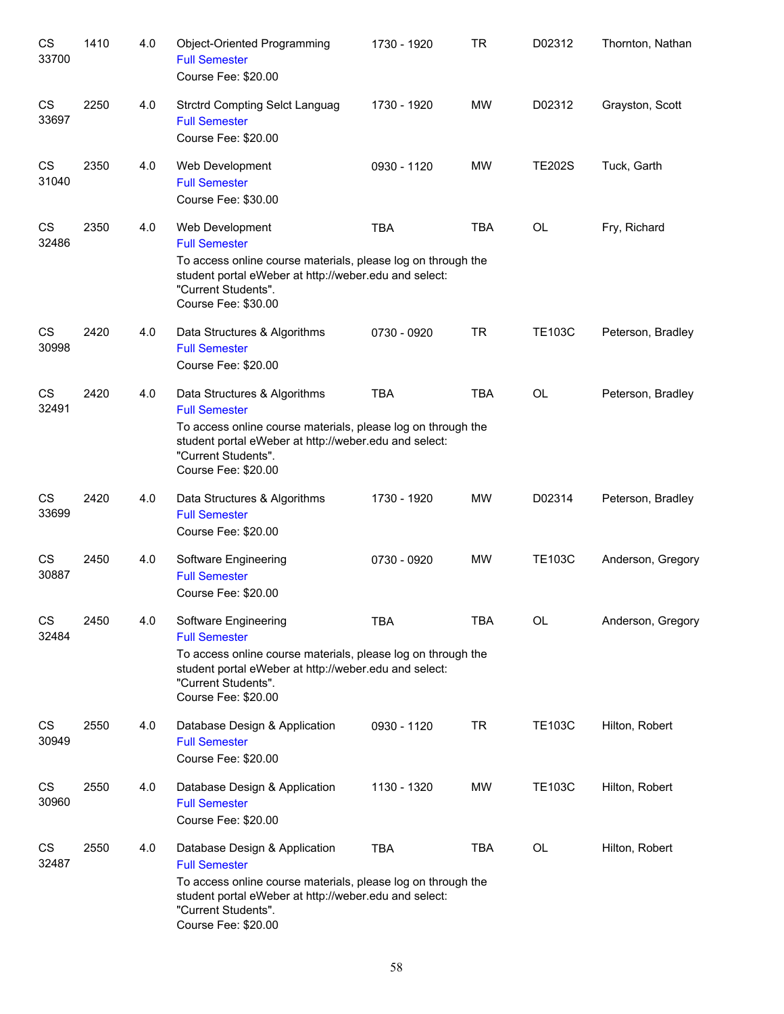| CS<br>33700 | 1410 | 4.0 | Object-Oriented Programming<br><b>Full Semester</b><br>Course Fee: \$20.00                                                                                                                                                   | 1730 - 1920 | <b>TR</b>  | D02312        | Thornton, Nathan  |
|-------------|------|-----|------------------------------------------------------------------------------------------------------------------------------------------------------------------------------------------------------------------------------|-------------|------------|---------------|-------------------|
| CS<br>33697 | 2250 | 4.0 | <b>Strctrd Compting Selct Languag</b><br><b>Full Semester</b><br>Course Fee: \$20.00                                                                                                                                         | 1730 - 1920 | <b>MW</b>  | D02312        | Grayston, Scott   |
| CS<br>31040 | 2350 | 4.0 | Web Development<br><b>Full Semester</b><br>Course Fee: \$30.00                                                                                                                                                               | 0930 - 1120 | <b>MW</b>  | <b>TE202S</b> | Tuck, Garth       |
| CS<br>32486 | 2350 | 4.0 | Web Development<br><b>Full Semester</b><br>To access online course materials, please log on through the<br>student portal eWeber at http://weber.edu and select:<br>"Current Students".<br>Course Fee: \$30.00               | <b>TBA</b>  | <b>TBA</b> | OL            | Fry, Richard      |
| CS<br>30998 | 2420 | 4.0 | Data Structures & Algorithms<br><b>Full Semester</b><br>Course Fee: \$20.00                                                                                                                                                  | 0730 - 0920 | <b>TR</b>  | <b>TE103C</b> | Peterson, Bradley |
| CS<br>32491 | 2420 | 4.0 | Data Structures & Algorithms<br><b>Full Semester</b><br>To access online course materials, please log on through the<br>student portal eWeber at http://weber.edu and select:<br>"Current Students".<br>Course Fee: \$20.00  | <b>TBA</b>  | <b>TBA</b> | <b>OL</b>     | Peterson, Bradley |
| CS<br>33699 | 2420 | 4.0 | Data Structures & Algorithms<br><b>Full Semester</b><br>Course Fee: \$20.00                                                                                                                                                  | 1730 - 1920 | <b>MW</b>  | D02314        | Peterson, Bradley |
| CS<br>30887 | 2450 | 4.0 | Software Engineering<br><b>Full Semester</b><br>Course Fee: \$20.00                                                                                                                                                          | 0730 - 0920 | <b>MW</b>  | <b>TE103C</b> | Anderson, Gregory |
| CS<br>32484 | 2450 | 4.0 | Software Engineering<br><b>Full Semester</b><br>To access online course materials, please log on through the<br>student portal eWeber at http://weber.edu and select:<br>"Current Students".<br>Course Fee: \$20.00          | <b>TBA</b>  | <b>TBA</b> | <b>OL</b>     | Anderson, Gregory |
| CS<br>30949 | 2550 | 4.0 | Database Design & Application<br><b>Full Semester</b><br>Course Fee: \$20.00                                                                                                                                                 | 0930 - 1120 | <b>TR</b>  | <b>TE103C</b> | Hilton, Robert    |
| CS<br>30960 | 2550 | 4.0 | Database Design & Application<br><b>Full Semester</b><br>Course Fee: \$20.00                                                                                                                                                 | 1130 - 1320 | MW         | <b>TE103C</b> | Hilton, Robert    |
| CS<br>32487 | 2550 | 4.0 | Database Design & Application<br><b>Full Semester</b><br>To access online course materials, please log on through the<br>student portal eWeber at http://weber.edu and select:<br>"Current Students".<br>Course Fee: \$20.00 | <b>TBA</b>  | <b>TBA</b> | <b>OL</b>     | Hilton, Robert    |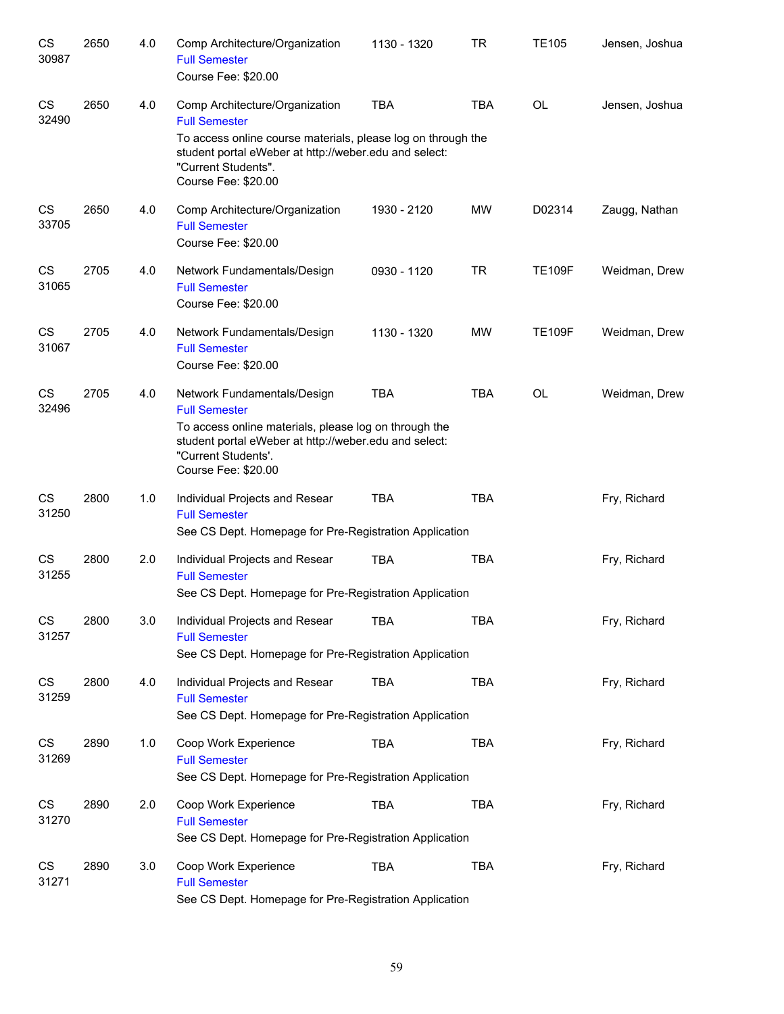| CS<br>30987        | 2650 | 4.0 | Comp Architecture/Organization<br><b>Full Semester</b><br>Course Fee: \$20.00                                                                                                                                                 | 1130 - 1320 | TR         | <b>TE105</b>  | Jensen, Joshua |
|--------------------|------|-----|-------------------------------------------------------------------------------------------------------------------------------------------------------------------------------------------------------------------------------|-------------|------------|---------------|----------------|
| <b>CS</b><br>32490 | 2650 | 4.0 | Comp Architecture/Organization<br><b>Full Semester</b><br>To access online course materials, please log on through the<br>student portal eWeber at http://weber.edu and select:<br>"Current Students".<br>Course Fee: \$20.00 | <b>TBA</b>  | <b>TBA</b> | <b>OL</b>     | Jensen, Joshua |
| CS<br>33705        | 2650 | 4.0 | Comp Architecture/Organization<br><b>Full Semester</b><br>Course Fee: \$20.00                                                                                                                                                 | 1930 - 2120 | <b>MW</b>  | D02314        | Zaugg, Nathan  |
| CS<br>31065        | 2705 | 4.0 | Network Fundamentals/Design<br><b>Full Semester</b><br>Course Fee: \$20.00                                                                                                                                                    | 0930 - 1120 | <b>TR</b>  | <b>TE109F</b> | Weidman, Drew  |
| CS<br>31067        | 2705 | 4.0 | Network Fundamentals/Design<br><b>Full Semester</b><br>Course Fee: \$20.00                                                                                                                                                    | 1130 - 1320 | MW         | <b>TE109F</b> | Weidman, Drew  |
| CS<br>32496        | 2705 | 4.0 | Network Fundamentals/Design<br><b>Full Semester</b><br>To access online materials, please log on through the<br>student portal eWeber at http://weber.edu and select:<br>"Current Students'.<br>Course Fee: \$20.00           | <b>TBA</b>  | <b>TBA</b> | OL            | Weidman, Drew  |
| CS<br>31250        | 2800 | 1.0 | Individual Projects and Resear<br><b>Full Semester</b><br>See CS Dept. Homepage for Pre-Registration Application                                                                                                              | <b>TBA</b>  | <b>TBA</b> |               | Fry, Richard   |
| CS<br>31255        | 2800 | 2.0 | Individual Projects and Resear<br><b>Full Semester</b><br>See CS Dept. Homepage for Pre-Registration Application                                                                                                              | <b>TBA</b>  | <b>TBA</b> |               | Fry, Richard   |
| CS<br>31257        | 2800 | 3.0 | Individual Projects and Resear<br><b>Full Semester</b><br>See CS Dept. Homepage for Pre-Registration Application                                                                                                              | <b>TBA</b>  | TBA        |               | Fry, Richard   |
| CS<br>31259        | 2800 | 4.0 | Individual Projects and Resear<br><b>Full Semester</b><br>See CS Dept. Homepage for Pre-Registration Application                                                                                                              | <b>TBA</b>  | <b>TBA</b> |               | Fry, Richard   |
| CS<br>31269        | 2890 | 1.0 | Coop Work Experience<br><b>Full Semester</b><br>See CS Dept. Homepage for Pre-Registration Application                                                                                                                        | <b>TBA</b>  | <b>TBA</b> |               | Fry, Richard   |
| CS<br>31270        | 2890 | 2.0 | Coop Work Experience<br><b>Full Semester</b><br>See CS Dept. Homepage for Pre-Registration Application                                                                                                                        | <b>TBA</b>  | <b>TBA</b> |               | Fry, Richard   |
| CS<br>31271        | 2890 | 3.0 | Coop Work Experience<br><b>Full Semester</b><br>See CS Dept. Homepage for Pre-Registration Application                                                                                                                        | <b>TBA</b>  | <b>TBA</b> |               | Fry, Richard   |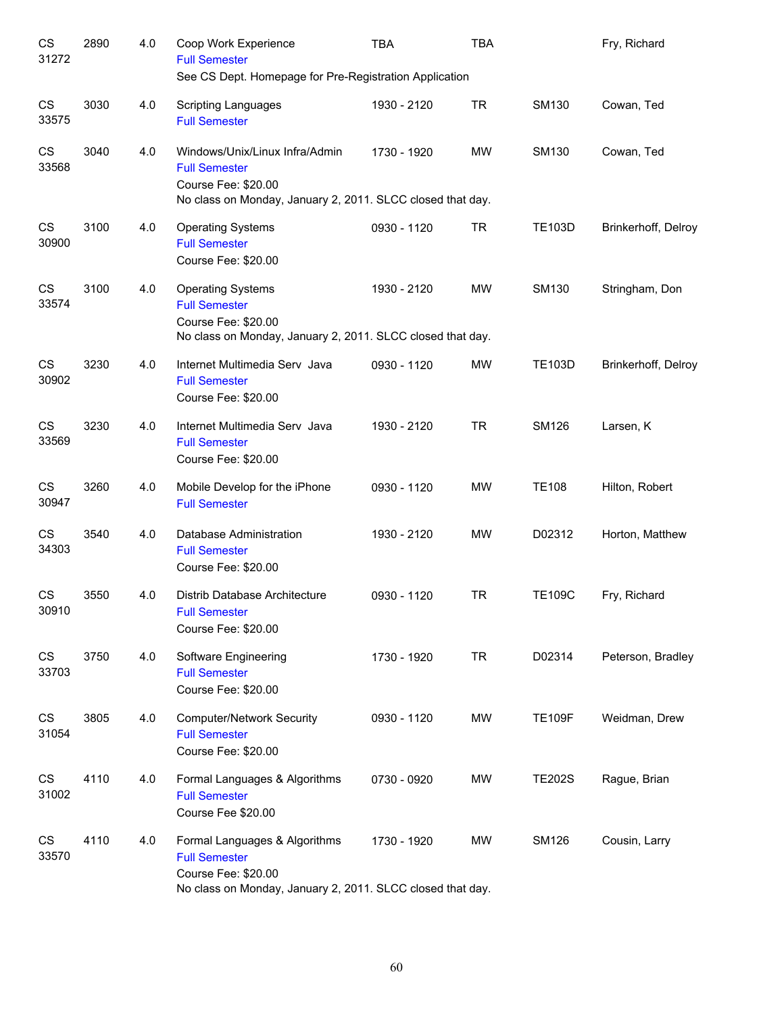| CS<br>31272 | 2890 | 4.0 | Coop Work Experience<br><b>Full Semester</b><br>See CS Dept. Homepage for Pre-Registration Application                                      | <b>TBA</b>  | <b>TBA</b> |               | Fry, Richard        |
|-------------|------|-----|---------------------------------------------------------------------------------------------------------------------------------------------|-------------|------------|---------------|---------------------|
| CS<br>33575 | 3030 | 4.0 | <b>Scripting Languages</b><br><b>Full Semester</b>                                                                                          | 1930 - 2120 | <b>TR</b>  | SM130         | Cowan, Ted          |
| CS<br>33568 | 3040 | 4.0 | Windows/Unix/Linux Infra/Admin<br><b>Full Semester</b><br>Course Fee: \$20.00<br>No class on Monday, January 2, 2011. SLCC closed that day. | 1730 - 1920 | <b>MW</b>  | SM130         | Cowan, Ted          |
| CS<br>30900 | 3100 | 4.0 | <b>Operating Systems</b><br><b>Full Semester</b><br>Course Fee: \$20.00                                                                     | 0930 - 1120 | <b>TR</b>  | <b>TE103D</b> | Brinkerhoff, Delroy |
| CS<br>33574 | 3100 | 4.0 | <b>Operating Systems</b><br><b>Full Semester</b><br>Course Fee: \$20.00<br>No class on Monday, January 2, 2011. SLCC closed that day.       | 1930 - 2120 | <b>MW</b>  | SM130         | Stringham, Don      |
| CS<br>30902 | 3230 | 4.0 | Internet Multimedia Serv Java<br><b>Full Semester</b><br>Course Fee: \$20.00                                                                | 0930 - 1120 | <b>MW</b>  | <b>TE103D</b> | Brinkerhoff, Delroy |
| CS<br>33569 | 3230 | 4.0 | Internet Multimedia Serv Java<br><b>Full Semester</b><br>Course Fee: \$20.00                                                                | 1930 - 2120 | <b>TR</b>  | <b>SM126</b>  | Larsen, K           |
| CS<br>30947 | 3260 | 4.0 | Mobile Develop for the iPhone<br><b>Full Semester</b>                                                                                       | 0930 - 1120 | <b>MW</b>  | <b>TE108</b>  | Hilton, Robert      |
| CS<br>34303 | 3540 | 4.0 | Database Administration<br><b>Full Semester</b><br>Course Fee: \$20.00                                                                      | 1930 - 2120 | <b>MW</b>  | D02312        | Horton, Matthew     |
| CS<br>30910 | 3550 | 4.0 | Distrib Database Architecture<br><b>Full Semester</b><br>Course Fee: \$20.00                                                                | 0930 - 1120 | <b>TR</b>  | <b>TE109C</b> | Fry, Richard        |
| CS<br>33703 | 3750 | 4.0 | Software Engineering<br><b>Full Semester</b><br>Course Fee: \$20.00                                                                         | 1730 - 1920 | <b>TR</b>  | D02314        | Peterson, Bradley   |
| CS<br>31054 | 3805 | 4.0 | <b>Computer/Network Security</b><br><b>Full Semester</b><br>Course Fee: \$20.00                                                             | 0930 - 1120 | <b>MW</b>  | <b>TE109F</b> | Weidman, Drew       |
| CS<br>31002 | 4110 | 4.0 | Formal Languages & Algorithms<br><b>Full Semester</b><br>Course Fee \$20.00                                                                 | 0730 - 0920 | <b>MW</b>  | <b>TE202S</b> | Rague, Brian        |
| CS<br>33570 | 4110 | 4.0 | Formal Languages & Algorithms<br><b>Full Semester</b><br>Course Fee: \$20.00<br>No class on Monday, January 2, 2011. SLCC closed that day.  | 1730 - 1920 | MW         | <b>SM126</b>  | Cousin, Larry       |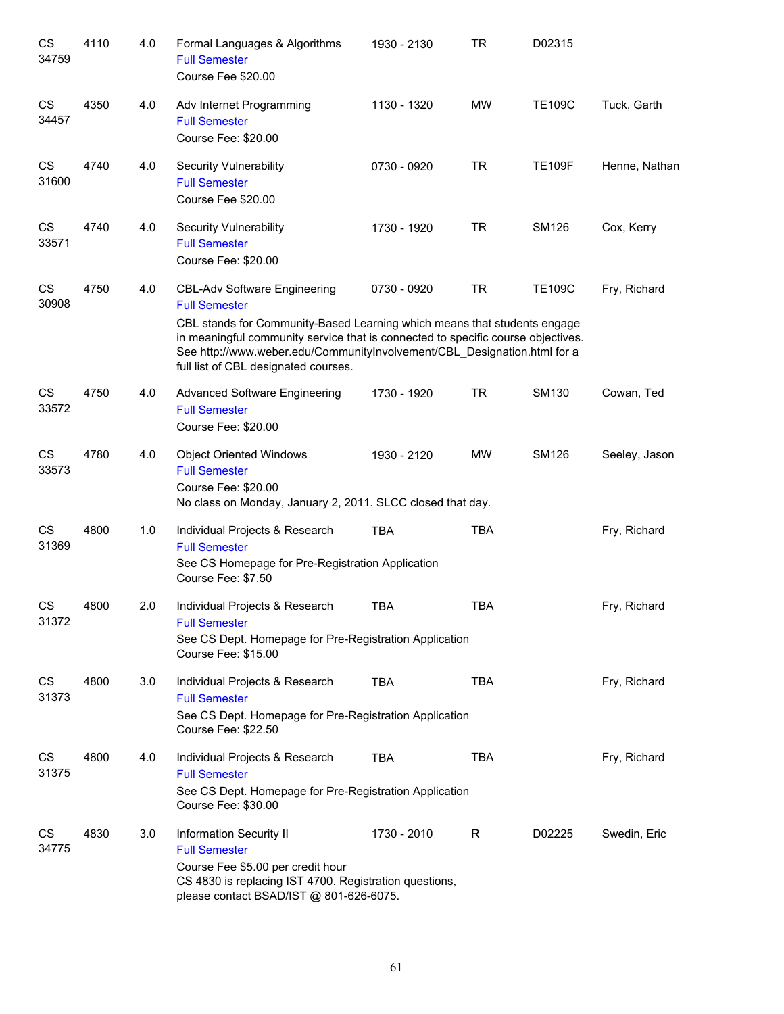| CS<br>34759        | 4110 | 4.0 | Formal Languages & Algorithms<br><b>Full Semester</b><br>Course Fee \$20.00                                                                                                                                                                                                                                                                     | 1930 - 2130 | TR         | D02315        |               |
|--------------------|------|-----|-------------------------------------------------------------------------------------------------------------------------------------------------------------------------------------------------------------------------------------------------------------------------------------------------------------------------------------------------|-------------|------------|---------------|---------------|
| <b>CS</b><br>34457 | 4350 | 4.0 | Adv Internet Programming<br><b>Full Semester</b><br>Course Fee: \$20.00                                                                                                                                                                                                                                                                         | 1130 - 1320 | <b>MW</b>  | <b>TE109C</b> | Tuck, Garth   |
| <b>CS</b><br>31600 | 4740 | 4.0 | Security Vulnerability<br><b>Full Semester</b><br>Course Fee \$20.00                                                                                                                                                                                                                                                                            | 0730 - 0920 | <b>TR</b>  | <b>TE109F</b> | Henne, Nathan |
| <b>CS</b><br>33571 | 4740 | 4.0 | Security Vulnerability<br><b>Full Semester</b><br>Course Fee: \$20.00                                                                                                                                                                                                                                                                           | 1730 - 1920 | <b>TR</b>  | <b>SM126</b>  | Cox, Kerry    |
| <b>CS</b><br>30908 | 4750 | 4.0 | <b>CBL-Adv Software Engineering</b><br><b>Full Semester</b><br>CBL stands for Community-Based Learning which means that students engage<br>in meaningful community service that is connected to specific course objectives.<br>See http://www.weber.edu/CommunityInvolvement/CBL_Designation.html for a<br>full list of CBL designated courses. | 0730 - 0920 | <b>TR</b>  | <b>TE109C</b> | Fry, Richard  |
| CS<br>33572        | 4750 | 4.0 | <b>Advanced Software Engineering</b><br><b>Full Semester</b><br>Course Fee: \$20.00                                                                                                                                                                                                                                                             | 1730 - 1920 | <b>TR</b>  | SM130         | Cowan, Ted    |
| CS<br>33573        | 4780 | 4.0 | <b>Object Oriented Windows</b><br><b>Full Semester</b><br>Course Fee: \$20.00<br>No class on Monday, January 2, 2011. SLCC closed that day.                                                                                                                                                                                                     | 1930 - 2120 | <b>MW</b>  | <b>SM126</b>  | Seeley, Jason |
| CS<br>31369        | 4800 | 1.0 | Individual Projects & Research<br><b>Full Semester</b><br>See CS Homepage for Pre-Registration Application<br>Course Fee: \$7.50                                                                                                                                                                                                                | <b>TBA</b>  | <b>TBA</b> |               | Fry, Richard  |
| CS<br>31372        | 4800 | 2.0 | Individual Projects & Research<br><b>Full Semester</b><br>See CS Dept. Homepage for Pre-Registration Application<br>Course Fee: \$15.00                                                                                                                                                                                                         | <b>TBA</b>  | <b>TBA</b> |               | Fry, Richard  |
| CS<br>31373        | 4800 | 3.0 | Individual Projects & Research<br><b>Full Semester</b><br>See CS Dept. Homepage for Pre-Registration Application<br>Course Fee: \$22.50                                                                                                                                                                                                         | <b>TBA</b>  | <b>TBA</b> |               | Fry, Richard  |
| CS<br>31375        | 4800 | 4.0 | Individual Projects & Research<br><b>Full Semester</b><br>See CS Dept. Homepage for Pre-Registration Application<br>Course Fee: \$30.00                                                                                                                                                                                                         | <b>TBA</b>  | <b>TBA</b> |               | Fry, Richard  |
| CS<br>34775        | 4830 | 3.0 | Information Security II<br><b>Full Semester</b><br>Course Fee \$5.00 per credit hour<br>CS 4830 is replacing IST 4700. Registration questions,<br>please contact BSAD/IST @ 801-626-6075.                                                                                                                                                       | 1730 - 2010 | R          | D02225        | Swedin, Eric  |
|                    |      |     |                                                                                                                                                                                                                                                                                                                                                 |             |            |               |               |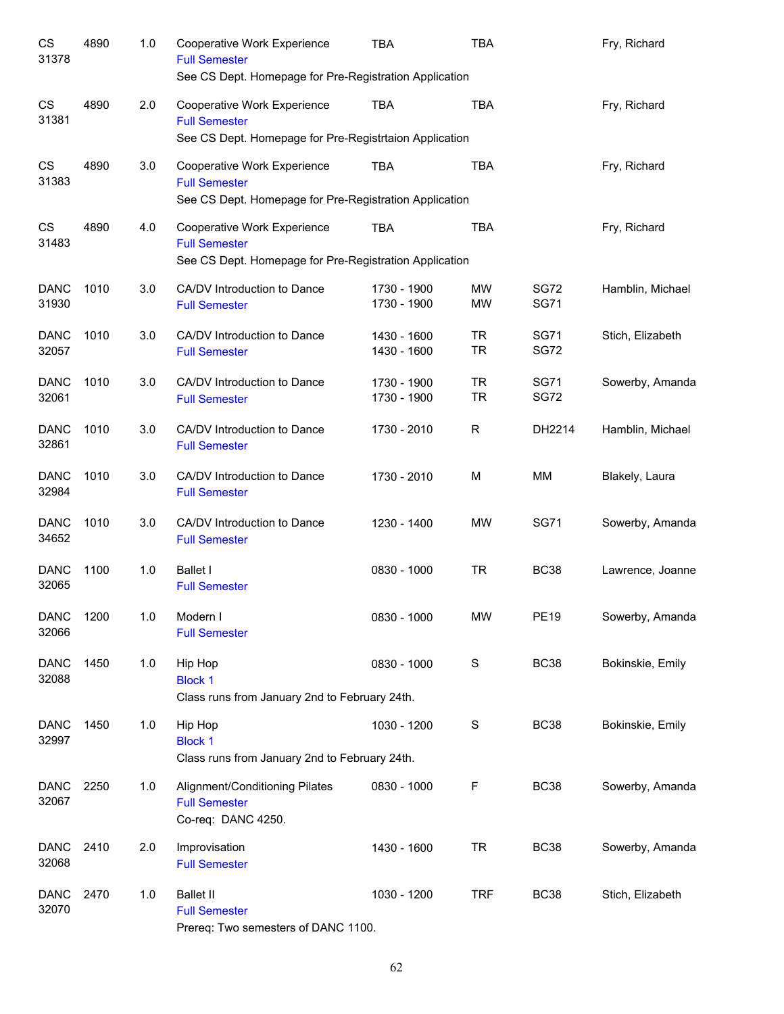| CS<br>31378          | 4890 | 1.0 | Cooperative Work Experience<br><b>Full Semester</b>                             | <b>TBA</b>                 | <b>TBA</b>             |                            | Fry, Richard     |
|----------------------|------|-----|---------------------------------------------------------------------------------|----------------------------|------------------------|----------------------------|------------------|
|                      |      |     | See CS Dept. Homepage for Pre-Registration Application                          |                            |                        |                            |                  |
| CS<br>31381          | 4890 | 2.0 | Cooperative Work Experience<br><b>Full Semester</b>                             | <b>TBA</b>                 | <b>TBA</b>             |                            | Fry, Richard     |
|                      |      |     | See CS Dept. Homepage for Pre-Registrtaion Application                          |                            |                        |                            |                  |
| CS<br>31383          | 4890 | 3.0 | Cooperative Work Experience<br><b>Full Semester</b>                             | <b>TBA</b>                 | <b>TBA</b>             |                            | Fry, Richard     |
|                      |      |     | See CS Dept. Homepage for Pre-Registration Application                          |                            |                        |                            |                  |
| CS<br>31483          | 4890 | 4.0 | Cooperative Work Experience<br><b>Full Semester</b>                             | <b>TBA</b>                 | <b>TBA</b>             |                            | Fry, Richard     |
|                      |      |     | See CS Dept. Homepage for Pre-Registration Application                          |                            |                        |                            |                  |
| <b>DANC</b><br>31930 | 1010 | 3.0 | CA/DV Introduction to Dance<br><b>Full Semester</b>                             | 1730 - 1900<br>1730 - 1900 | <b>MW</b><br><b>MW</b> | <b>SG72</b><br><b>SG71</b> | Hamblin, Michael |
| <b>DANC</b><br>32057 | 1010 | 3.0 | CA/DV Introduction to Dance<br><b>Full Semester</b>                             | 1430 - 1600<br>1430 - 1600 | <b>TR</b><br><b>TR</b> | <b>SG71</b><br><b>SG72</b> | Stich, Elizabeth |
| <b>DANC</b><br>32061 | 1010 | 3.0 | CA/DV Introduction to Dance<br><b>Full Semester</b>                             | 1730 - 1900<br>1730 - 1900 | <b>TR</b><br><b>TR</b> | <b>SG71</b><br><b>SG72</b> | Sowerby, Amanda  |
| <b>DANC</b><br>32861 | 1010 | 3.0 | CA/DV Introduction to Dance<br><b>Full Semester</b>                             | 1730 - 2010                | $\mathsf{R}$           | DH2214                     | Hamblin, Michael |
| <b>DANC</b><br>32984 | 1010 | 3.0 | CA/DV Introduction to Dance<br><b>Full Semester</b>                             | 1730 - 2010                | M                      | MM                         | Blakely, Laura   |
| <b>DANC</b><br>34652 | 1010 | 3.0 | CA/DV Introduction to Dance<br><b>Full Semester</b>                             | 1230 - 1400                | <b>MW</b>              | <b>SG71</b>                | Sowerby, Amanda  |
| <b>DANC</b><br>32065 | 1100 | 1.0 | <b>Ballet I</b><br><b>Full Semester</b>                                         | 0830 - 1000                | <b>TR</b>              | <b>BC38</b>                | Lawrence, Joanne |
| <b>DANC</b><br>32066 | 1200 | 1.0 | Modern I<br><b>Full Semester</b>                                                | 0830 - 1000                | <b>MW</b>              | <b>PE19</b>                | Sowerby, Amanda  |
| <b>DANC</b><br>32088 | 1450 | 1.0 | Hip Hop<br><b>Block 1</b>                                                       | 0830 - 1000                | S                      | <b>BC38</b>                | Bokinskie, Emily |
|                      |      |     | Class runs from January 2nd to February 24th.                                   |                            |                        |                            |                  |
| <b>DANC</b><br>32997 | 1450 | 1.0 | Hip Hop<br><b>Block 1</b><br>Class runs from January 2nd to February 24th.      | 1030 - 1200                | ${\mathsf S}$          | <b>BC38</b>                | Bokinskie, Emily |
|                      |      |     |                                                                                 |                            |                        |                            |                  |
| <b>DANC</b><br>32067 | 2250 | 1.0 | Alignment/Conditioning Pilates<br><b>Full Semester</b><br>Co-req: DANC 4250.    | 0830 - 1000                | F                      | <b>BC38</b>                | Sowerby, Amanda  |
| <b>DANC</b><br>32068 | 2410 | 2.0 | Improvisation<br><b>Full Semester</b>                                           | 1430 - 1600                | <b>TR</b>              | <b>BC38</b>                | Sowerby, Amanda  |
| <b>DANC</b><br>32070 | 2470 | 1.0 | <b>Ballet II</b><br><b>Full Semester</b><br>Prereq: Two semesters of DANC 1100. | 1030 - 1200                | <b>TRF</b>             | <b>BC38</b>                | Stich, Elizabeth |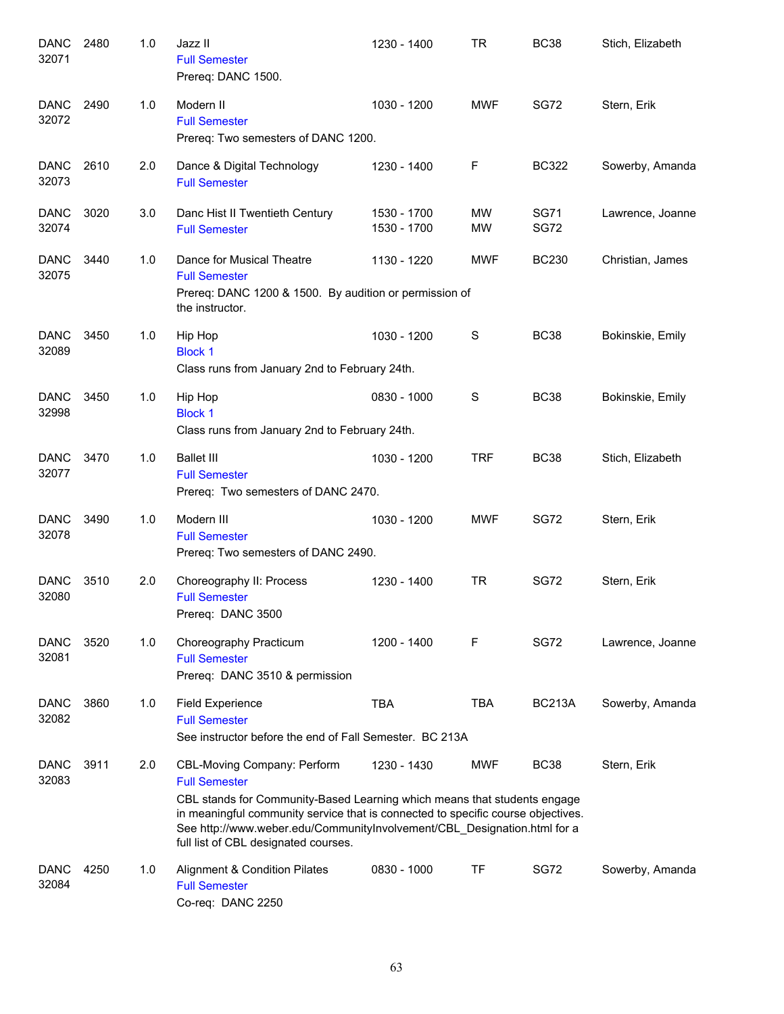| <b>DANC</b><br>32071 | 2480 | 1.0 | Jazz II<br><b>Full Semester</b><br>Prereq: DANC 1500.                                                                                                                                                                                                                                                                                   | 1230 - 1400                | TR              | <b>BC38</b>                | Stich, Elizabeth |
|----------------------|------|-----|-----------------------------------------------------------------------------------------------------------------------------------------------------------------------------------------------------------------------------------------------------------------------------------------------------------------------------------------|----------------------------|-----------------|----------------------------|------------------|
| <b>DANC</b><br>32072 | 2490 | 1.0 | Modern II<br><b>Full Semester</b><br>Prereq: Two semesters of DANC 1200.                                                                                                                                                                                                                                                                | 1030 - 1200                | <b>MWF</b>      | <b>SG72</b>                | Stern, Erik      |
| <b>DANC</b><br>32073 | 2610 | 2.0 | Dance & Digital Technology<br><b>Full Semester</b>                                                                                                                                                                                                                                                                                      | 1230 - 1400                | F               | <b>BC322</b>               | Sowerby, Amanda  |
| <b>DANC</b><br>32074 | 3020 | 3.0 | Danc Hist II Twentieth Century<br><b>Full Semester</b>                                                                                                                                                                                                                                                                                  | 1530 - 1700<br>1530 - 1700 | MW<br><b>MW</b> | <b>SG71</b><br><b>SG72</b> | Lawrence, Joanne |
| <b>DANC</b><br>32075 | 3440 | 1.0 | Dance for Musical Theatre<br><b>Full Semester</b><br>Prereq: DANC 1200 & 1500. By audition or permission of<br>the instructor.                                                                                                                                                                                                          | 1130 - 1220                | <b>MWF</b>      | <b>BC230</b>               | Christian, James |
| <b>DANC</b><br>32089 | 3450 | 1.0 | Hip Hop<br><b>Block 1</b><br>Class runs from January 2nd to February 24th.                                                                                                                                                                                                                                                              | 1030 - 1200                | S               | <b>BC38</b>                | Bokinskie, Emily |
| <b>DANC</b><br>32998 | 3450 | 1.0 | Hip Hop<br><b>Block 1</b><br>Class runs from January 2nd to February 24th.                                                                                                                                                                                                                                                              | 0830 - 1000                | S               | <b>BC38</b>                | Bokinskie, Emily |
| <b>DANC</b><br>32077 | 3470 | 1.0 | <b>Ballet III</b><br><b>Full Semester</b><br>Prereq: Two semesters of DANC 2470.                                                                                                                                                                                                                                                        | 1030 - 1200                | <b>TRF</b>      | <b>BC38</b>                | Stich, Elizabeth |
| <b>DANC</b><br>32078 | 3490 | 1.0 | Modern III<br><b>Full Semester</b><br>Prereq: Two semesters of DANC 2490.                                                                                                                                                                                                                                                               | 1030 - 1200                | <b>MWF</b>      | <b>SG72</b>                | Stern, Erik      |
| <b>DANC</b><br>32080 | 3510 | 2.0 | Choreography II: Process<br><b>Full Semester</b><br>Prereq: DANC 3500                                                                                                                                                                                                                                                                   | 1230 - 1400                | <b>TR</b>       | <b>SG72</b>                | Stern, Erik      |
| <b>DANC</b><br>32081 | 3520 | 1.0 | Choreography Practicum<br><b>Full Semester</b><br>Prereq: DANC 3510 & permission                                                                                                                                                                                                                                                        | 1200 - 1400                | F               | SG72                       | Lawrence, Joanne |
| <b>DANC</b><br>32082 | 3860 | 1.0 | <b>Field Experience</b><br><b>Full Semester</b><br>See instructor before the end of Fall Semester. BC 213A                                                                                                                                                                                                                              | <b>TBA</b>                 | <b>TBA</b>      | <b>BC213A</b>              | Sowerby, Amanda  |
| <b>DANC</b><br>32083 | 3911 | 2.0 | CBL-Moving Company: Perform<br><b>Full Semester</b><br>CBL stands for Community-Based Learning which means that students engage<br>in meaningful community service that is connected to specific course objectives.<br>See http://www.weber.edu/CommunityInvolvement/CBL_Designation.html for a<br>full list of CBL designated courses. | 1230 - 1430                | <b>MWF</b>      | <b>BC38</b>                | Stern, Erik      |
| <b>DANC</b><br>32084 | 4250 | 1.0 | Alignment & Condition Pilates<br><b>Full Semester</b><br>Co-req: DANC 2250                                                                                                                                                                                                                                                              | 0830 - 1000                | TF              | <b>SG72</b>                | Sowerby, Amanda  |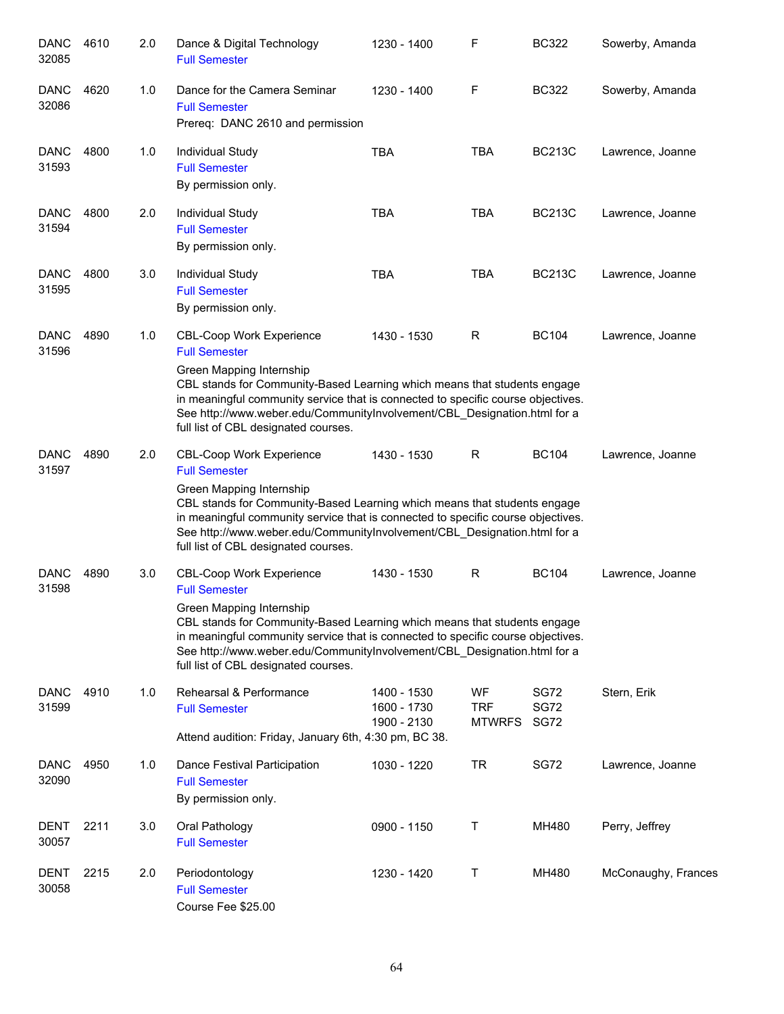| <b>DANC</b><br>32085 | 4610 | 2.0 | Dance & Digital Technology<br><b>Full Semester</b>                                                                                                                                                                                                                                                                                                                      | 1230 - 1400                               | F                                 | <b>BC322</b>                | Sowerby, Amanda     |
|----------------------|------|-----|-------------------------------------------------------------------------------------------------------------------------------------------------------------------------------------------------------------------------------------------------------------------------------------------------------------------------------------------------------------------------|-------------------------------------------|-----------------------------------|-----------------------------|---------------------|
| DANC<br>32086        | 4620 | 1.0 | Dance for the Camera Seminar<br><b>Full Semester</b><br>Prereq: DANC 2610 and permission                                                                                                                                                                                                                                                                                | 1230 - 1400                               | F                                 | <b>BC322</b>                | Sowerby, Amanda     |
| <b>DANC</b><br>31593 | 4800 | 1.0 | Individual Study<br><b>Full Semester</b><br>By permission only.                                                                                                                                                                                                                                                                                                         | <b>TBA</b>                                | <b>TBA</b>                        | <b>BC213C</b>               | Lawrence, Joanne    |
| <b>DANC</b><br>31594 | 4800 | 2.0 | Individual Study<br><b>Full Semester</b><br>By permission only.                                                                                                                                                                                                                                                                                                         | <b>TBA</b>                                | <b>TBA</b>                        | <b>BC213C</b>               | Lawrence, Joanne    |
| <b>DANC</b><br>31595 | 4800 | 3.0 | Individual Study<br><b>Full Semester</b><br>By permission only.                                                                                                                                                                                                                                                                                                         | <b>TBA</b>                                | <b>TBA</b>                        | <b>BC213C</b>               | Lawrence, Joanne    |
| <b>DANC</b><br>31596 | 4890 | 1.0 | <b>CBL-Coop Work Experience</b><br><b>Full Semester</b><br>Green Mapping Internship<br>CBL stands for Community-Based Learning which means that students engage<br>in meaningful community service that is connected to specific course objectives.<br>See http://www.weber.edu/CommunityInvolvement/CBL_Designation.html for a<br>full list of CBL designated courses. | 1430 - 1530                               | R                                 | <b>BC104</b>                | Lawrence, Joanne    |
| <b>DANC</b><br>31597 | 4890 | 2.0 | <b>CBL-Coop Work Experience</b><br><b>Full Semester</b><br>Green Mapping Internship<br>CBL stands for Community-Based Learning which means that students engage<br>in meaningful community service that is connected to specific course objectives.<br>See http://www.weber.edu/CommunityInvolvement/CBL_Designation.html for a<br>full list of CBL designated courses. | 1430 - 1530                               | R                                 | <b>BC104</b>                | Lawrence, Joanne    |
| <b>DANC</b><br>31598 | 4890 | 3.0 | <b>CBL-Coop Work Experience</b><br><b>Full Semester</b><br>Green Mapping Internship<br>CBL stands for Community-Based Learning which means that students engage<br>in meaningful community service that is connected to specific course objectives.<br>See http://www.weber.edu/CommunityInvolvement/CBL_Designation.html for a<br>full list of CBL designated courses. | 1430 - 1530                               | $\mathsf R$                       | <b>BC104</b>                | Lawrence, Joanne    |
| DANC<br>31599        | 4910 | 1.0 | Rehearsal & Performance<br><b>Full Semester</b><br>Attend audition: Friday, January 6th, 4:30 pm, BC 38.                                                                                                                                                                                                                                                                | 1400 - 1530<br>1600 - 1730<br>1900 - 2130 | WF<br><b>TRF</b><br><b>MTWRFS</b> | SG72<br><b>SG72</b><br>SG72 | Stern, Erik         |
| DANC<br>32090        | 4950 | 1.0 | Dance Festival Participation<br><b>Full Semester</b><br>By permission only.                                                                                                                                                                                                                                                                                             | 1030 - 1220                               | TR                                | SG72                        | Lawrence, Joanne    |
| <b>DENT</b><br>30057 | 2211 | 3.0 | Oral Pathology<br><b>Full Semester</b>                                                                                                                                                                                                                                                                                                                                  | 0900 - 1150                               | Т                                 | MH480                       | Perry, Jeffrey      |
| DENT<br>30058        | 2215 | 2.0 | Periodontology<br><b>Full Semester</b><br>Course Fee \$25.00                                                                                                                                                                                                                                                                                                            | 1230 - 1420                               | Т                                 | MH480                       | McConaughy, Frances |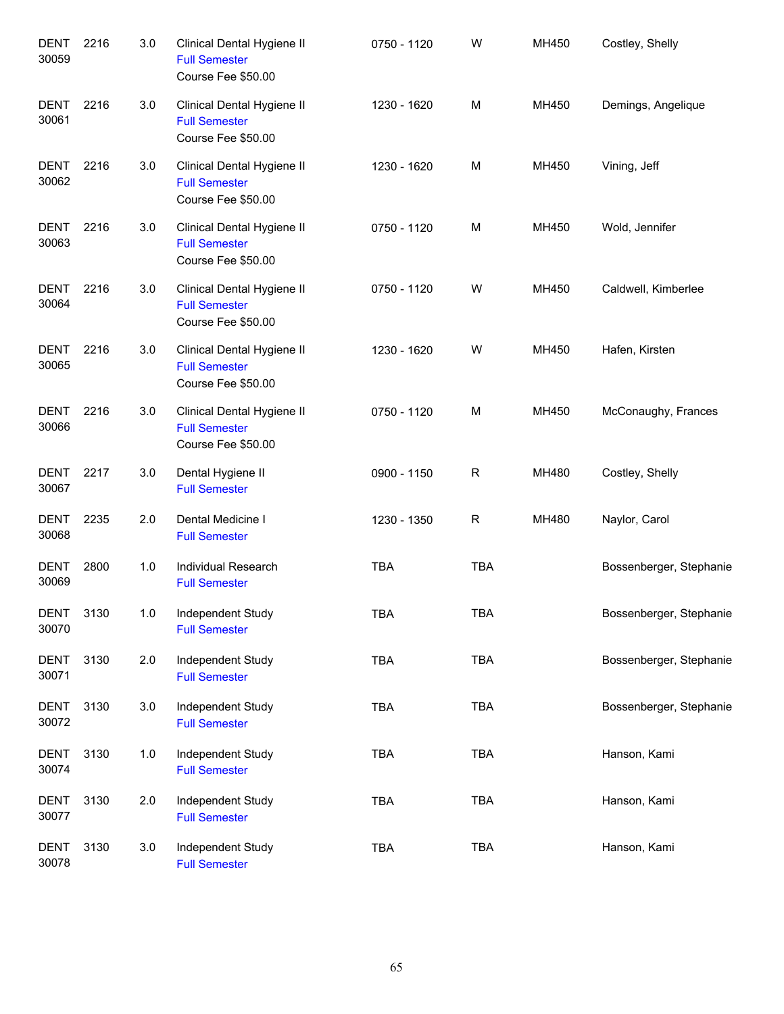| <b>DENT</b><br>30059 | 2216 | 3.0 | Clinical Dental Hygiene II<br><b>Full Semester</b><br>Course Fee \$50.00 | 0750 - 1120 | W          | MH450 | Costley, Shelly         |
|----------------------|------|-----|--------------------------------------------------------------------------|-------------|------------|-------|-------------------------|
| <b>DENT</b><br>30061 | 2216 | 3.0 | Clinical Dental Hygiene II<br><b>Full Semester</b><br>Course Fee \$50.00 | 1230 - 1620 | M          | MH450 | Demings, Angelique      |
| <b>DENT</b><br>30062 | 2216 | 3.0 | Clinical Dental Hygiene II<br><b>Full Semester</b><br>Course Fee \$50.00 | 1230 - 1620 | M          | MH450 | Vining, Jeff            |
| DENT<br>30063        | 2216 | 3.0 | Clinical Dental Hygiene II<br><b>Full Semester</b><br>Course Fee \$50.00 | 0750 - 1120 | M          | MH450 | Wold, Jennifer          |
| <b>DENT</b><br>30064 | 2216 | 3.0 | Clinical Dental Hygiene II<br><b>Full Semester</b><br>Course Fee \$50.00 | 0750 - 1120 | W          | MH450 | Caldwell, Kimberlee     |
| <b>DENT</b><br>30065 | 2216 | 3.0 | Clinical Dental Hygiene II<br><b>Full Semester</b><br>Course Fee \$50.00 | 1230 - 1620 | W          | MH450 | Hafen, Kirsten          |
| <b>DENT</b><br>30066 | 2216 | 3.0 | Clinical Dental Hygiene II<br><b>Full Semester</b><br>Course Fee \$50.00 | 0750 - 1120 | M          | MH450 | McConaughy, Frances     |
| DENT<br>30067        | 2217 | 3.0 | Dental Hygiene II<br><b>Full Semester</b>                                | 0900 - 1150 | R          | MH480 | Costley, Shelly         |
| <b>DENT</b><br>30068 | 2235 | 2.0 | Dental Medicine I<br><b>Full Semester</b>                                | 1230 - 1350 | R          | MH480 | Naylor, Carol           |
| <b>DENT</b><br>30069 | 2800 | 1.0 | Individual Research<br><b>Full Semester</b>                              | <b>TBA</b>  | <b>TBA</b> |       | Bossenberger, Stephanie |
| <b>DENT</b><br>30070 | 3130 | 1.0 | Independent Study<br><b>Full Semester</b>                                | TBA         | TBA        |       | Bossenberger, Stephanie |
| <b>DENT</b><br>30071 | 3130 | 2.0 | Independent Study<br><b>Full Semester</b>                                | TBA         | <b>TBA</b> |       | Bossenberger, Stephanie |
| <b>DENT</b><br>30072 | 3130 | 3.0 | Independent Study<br><b>Full Semester</b>                                | <b>TBA</b>  | <b>TBA</b> |       | Bossenberger, Stephanie |
| <b>DENT</b><br>30074 | 3130 | 1.0 | Independent Study<br><b>Full Semester</b>                                | <b>TBA</b>  | <b>TBA</b> |       | Hanson, Kami            |
| <b>DENT</b><br>30077 | 3130 | 2.0 | Independent Study<br><b>Full Semester</b>                                | <b>TBA</b>  | <b>TBA</b> |       | Hanson, Kami            |
| <b>DENT</b><br>30078 | 3130 | 3.0 | Independent Study<br><b>Full Semester</b>                                | TBA         | <b>TBA</b> |       | Hanson, Kami            |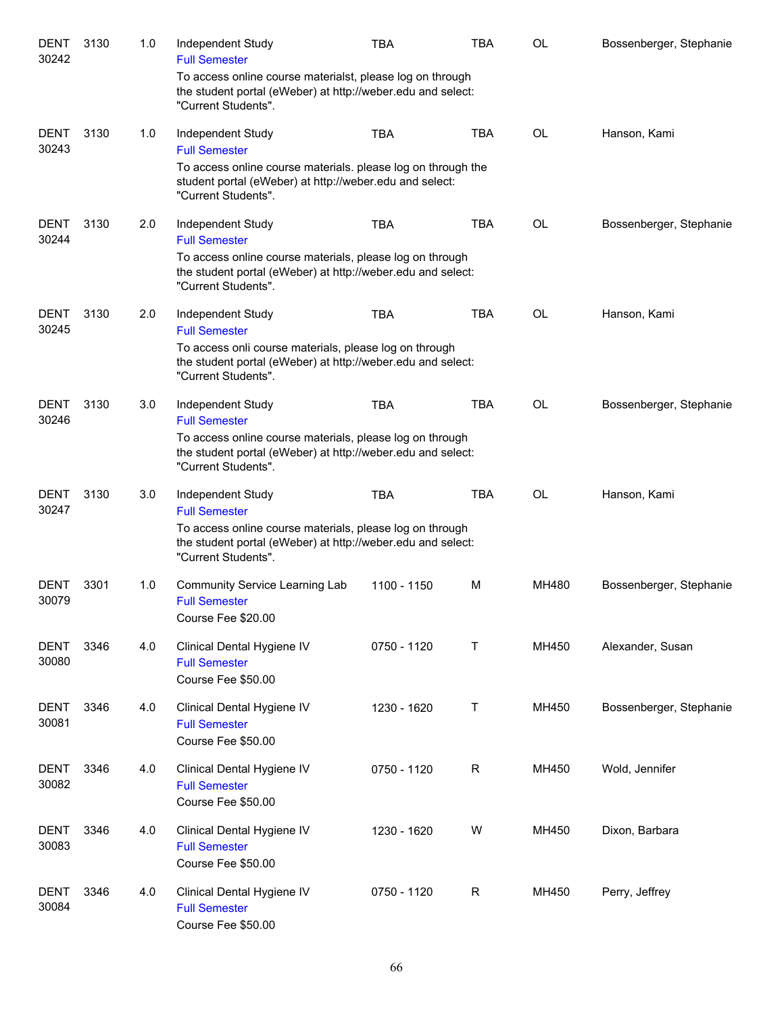| <b>DENT</b><br>30242 | 3130 | 1.0 | Independent Study<br><b>Full Semester</b>                                                                                                       | <b>TBA</b>  | TBA        | OL        | Bossenberger, Stephanie |
|----------------------|------|-----|-------------------------------------------------------------------------------------------------------------------------------------------------|-------------|------------|-----------|-------------------------|
|                      |      |     | To access online course materialst, please log on through<br>the student portal (eWeber) at http://weber.edu and select:<br>"Current Students". |             |            |           |                         |
| <b>DENT</b><br>30243 | 3130 | 1.0 | Independent Study<br><b>Full Semester</b>                                                                                                       | <b>TBA</b>  | <b>TBA</b> | <b>OL</b> | Hanson, Kami            |
|                      |      |     | To access online course materials. please log on through the<br>student portal (eWeber) at http://weber.edu and select:<br>"Current Students".  |             |            |           |                         |
| <b>DENT</b><br>30244 | 3130 | 2.0 | Independent Study<br><b>Full Semester</b>                                                                                                       | <b>TBA</b>  | <b>TBA</b> | <b>OL</b> | Bossenberger, Stephanie |
|                      |      |     | To access online course materials, please log on through<br>the student portal (eWeber) at http://weber.edu and select:<br>"Current Students".  |             |            |           |                         |
| <b>DENT</b><br>30245 | 3130 | 2.0 | Independent Study<br><b>Full Semester</b>                                                                                                       | <b>TBA</b>  | <b>TBA</b> | <b>OL</b> | Hanson, Kami            |
|                      |      |     | To access onli course materials, please log on through<br>the student portal (eWeber) at http://weber.edu and select:<br>"Current Students".    |             |            |           |                         |
| <b>DENT</b><br>30246 | 3130 | 3.0 | Independent Study<br><b>Full Semester</b>                                                                                                       | <b>TBA</b>  | <b>TBA</b> | OL        | Bossenberger, Stephanie |
|                      |      |     | To access online course materials, please log on through<br>the student portal (eWeber) at http://weber.edu and select:<br>"Current Students".  |             |            |           |                         |
| <b>DENT</b><br>30247 | 3130 | 3.0 | Independent Study<br><b>Full Semester</b>                                                                                                       | <b>TBA</b>  | <b>TBA</b> | OL        | Hanson, Kami            |
|                      |      |     | To access online course materials, please log on through<br>the student portal (eWeber) at http://weber.edu and select:<br>"Current Students".  |             |            |           |                         |
| DENT<br>30079        | 3301 | 1.0 | Community Service Learning Lab<br><b>Full Semester</b><br>Course Fee \$20.00                                                                    | 1100 - 1150 | М          | MH480     | Bossenberger, Stephanie |
| <b>DENT</b><br>30080 | 3346 | 4.0 | Clinical Dental Hygiene IV<br><b>Full Semester</b><br>Course Fee \$50.00                                                                        | 0750 - 1120 | Т          | MH450     | Alexander, Susan        |
| <b>DENT</b><br>30081 | 3346 | 4.0 | Clinical Dental Hygiene IV<br><b>Full Semester</b><br>Course Fee \$50.00                                                                        | 1230 - 1620 | Т          | MH450     | Bossenberger, Stephanie |
| <b>DENT</b><br>30082 | 3346 | 4.0 | Clinical Dental Hygiene IV<br><b>Full Semester</b><br>Course Fee \$50.00                                                                        | 0750 - 1120 | R          | MH450     | Wold, Jennifer          |
| <b>DENT</b><br>30083 | 3346 | 4.0 | Clinical Dental Hygiene IV<br><b>Full Semester</b><br>Course Fee \$50.00                                                                        | 1230 - 1620 | W          | MH450     | Dixon, Barbara          |
| <b>DENT</b><br>30084 | 3346 | 4.0 | Clinical Dental Hygiene IV<br><b>Full Semester</b><br>Course Fee \$50.00                                                                        | 0750 - 1120 | R          | MH450     | Perry, Jeffrey          |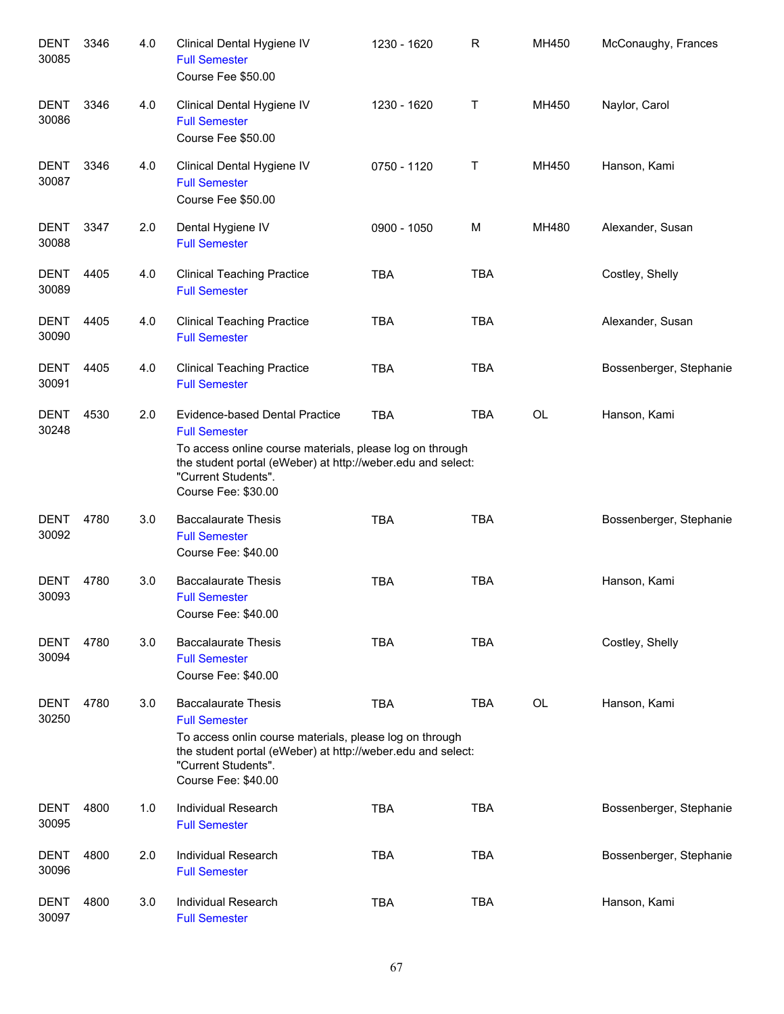| <b>DENT</b><br>30085 | 3346 | 4.0 | Clinical Dental Hygiene IV<br><b>Full Semester</b><br>Course Fee \$50.00                                                                                                                                                        | 1230 - 1620 | R          | MH450     | McConaughy, Frances     |
|----------------------|------|-----|---------------------------------------------------------------------------------------------------------------------------------------------------------------------------------------------------------------------------------|-------------|------------|-----------|-------------------------|
| <b>DENT</b><br>30086 | 3346 | 4.0 | Clinical Dental Hygiene IV<br><b>Full Semester</b><br>Course Fee \$50.00                                                                                                                                                        | 1230 - 1620 | т          | MH450     | Naylor, Carol           |
| <b>DENT</b><br>30087 | 3346 | 4.0 | Clinical Dental Hygiene IV<br><b>Full Semester</b><br>Course Fee \$50.00                                                                                                                                                        | 0750 - 1120 | т          | MH450     | Hanson, Kami            |
| <b>DENT</b><br>30088 | 3347 | 2.0 | Dental Hygiene IV<br><b>Full Semester</b>                                                                                                                                                                                       | 0900 - 1050 | M          | MH480     | Alexander, Susan        |
| <b>DENT</b><br>30089 | 4405 | 4.0 | <b>Clinical Teaching Practice</b><br><b>Full Semester</b>                                                                                                                                                                       | <b>TBA</b>  | <b>TBA</b> |           | Costley, Shelly         |
| <b>DENT</b><br>30090 | 4405 | 4.0 | <b>Clinical Teaching Practice</b><br><b>Full Semester</b>                                                                                                                                                                       | <b>TBA</b>  | <b>TBA</b> |           | Alexander, Susan        |
| <b>DENT</b><br>30091 | 4405 | 4.0 | <b>Clinical Teaching Practice</b><br><b>Full Semester</b>                                                                                                                                                                       | <b>TBA</b>  | <b>TBA</b> |           | Bossenberger, Stephanie |
| <b>DENT</b><br>30248 | 4530 | 2.0 | Evidence-based Dental Practice<br><b>Full Semester</b><br>To access online course materials, please log on through<br>the student portal (eWeber) at http://weber.edu and select:<br>"Current Students".<br>Course Fee: \$30.00 | <b>TBA</b>  | <b>TBA</b> | <b>OL</b> | Hanson, Kami            |
| <b>DENT</b><br>30092 | 4780 | 3.0 | <b>Baccalaurate Thesis</b><br><b>Full Semester</b><br>Course Fee: \$40.00                                                                                                                                                       | <b>TBA</b>  | <b>TBA</b> |           | Bossenberger, Stephanie |
| <b>DENT</b><br>30093 | 4780 | 3.0 | <b>Baccalaurate Thesis</b><br><b>Full Semester</b><br>Course Fee: \$40.00                                                                                                                                                       | <b>TBA</b>  | <b>TBA</b> |           | Hanson, Kami            |
| DENT<br>30094        | 4780 | 3.0 | <b>Baccalaurate Thesis</b><br><b>Full Semester</b><br>Course Fee: \$40.00                                                                                                                                                       | <b>TBA</b>  | <b>TBA</b> |           | Costley, Shelly         |
| DENT<br>30250        | 4780 | 3.0 | <b>Baccalaurate Thesis</b><br><b>Full Semester</b><br>To access onlin course materials, please log on through<br>the student portal (eWeber) at http://weber.edu and select:<br>"Current Students".<br>Course Fee: \$40.00      | <b>TBA</b>  | <b>TBA</b> | OL        | Hanson, Kami            |
| DENT<br>30095        | 4800 | 1.0 | Individual Research<br><b>Full Semester</b>                                                                                                                                                                                     | <b>TBA</b>  | <b>TBA</b> |           | Bossenberger, Stephanie |
| <b>DENT</b><br>30096 | 4800 | 2.0 | Individual Research<br><b>Full Semester</b>                                                                                                                                                                                     | <b>TBA</b>  | <b>TBA</b> |           | Bossenberger, Stephanie |
| DENT<br>30097        | 4800 | 3.0 | Individual Research<br><b>Full Semester</b>                                                                                                                                                                                     | <b>TBA</b>  | <b>TBA</b> |           | Hanson, Kami            |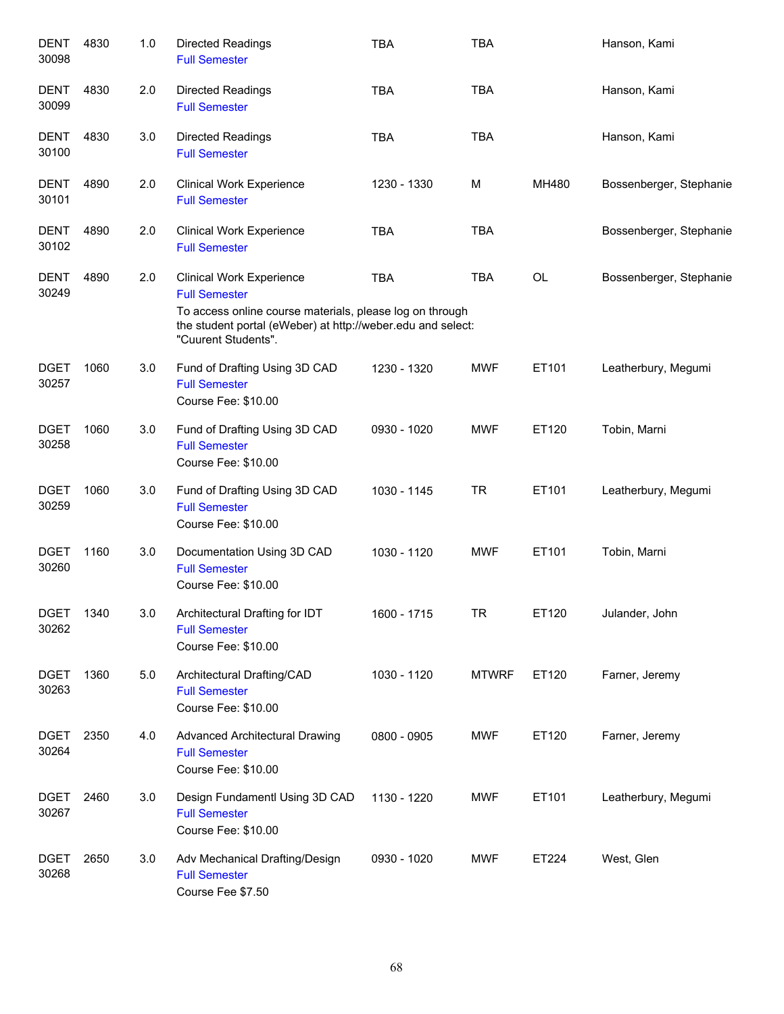| <b>DENT</b><br>30098 | 4830 | 1.0 | <b>Directed Readings</b><br><b>Full Semester</b>                                                                                                                                   | <b>TBA</b>  | <b>TBA</b>   |           | Hanson, Kami            |
|----------------------|------|-----|------------------------------------------------------------------------------------------------------------------------------------------------------------------------------------|-------------|--------------|-----------|-------------------------|
| <b>DENT</b><br>30099 | 4830 | 2.0 | <b>Directed Readings</b><br><b>Full Semester</b>                                                                                                                                   | <b>TBA</b>  | <b>TBA</b>   |           | Hanson, Kami            |
| <b>DENT</b><br>30100 | 4830 | 3.0 | <b>Directed Readings</b><br><b>Full Semester</b>                                                                                                                                   | <b>TBA</b>  | <b>TBA</b>   |           | Hanson, Kami            |
| <b>DENT</b><br>30101 | 4890 | 2.0 | <b>Clinical Work Experience</b><br><b>Full Semester</b>                                                                                                                            | 1230 - 1330 | м            | MH480     | Bossenberger, Stephanie |
| <b>DENT</b><br>30102 | 4890 | 2.0 | <b>Clinical Work Experience</b><br><b>Full Semester</b>                                                                                                                            | <b>TBA</b>  | <b>TBA</b>   |           | Bossenberger, Stephanie |
| <b>DENT</b><br>30249 | 4890 | 2.0 | <b>Clinical Work Experience</b><br><b>Full Semester</b><br>To access online course materials, please log on through<br>the student portal (eWeber) at http://weber.edu and select: | <b>TBA</b>  | <b>TBA</b>   | <b>OL</b> | Bossenberger, Stephanie |
|                      |      |     | "Cuurent Students".                                                                                                                                                                |             |              |           |                         |
| <b>DGET</b><br>30257 | 1060 | 3.0 | Fund of Drafting Using 3D CAD<br><b>Full Semester</b><br>Course Fee: \$10.00                                                                                                       | 1230 - 1320 | <b>MWF</b>   | ET101     | Leatherbury, Megumi     |
| <b>DGET</b><br>30258 | 1060 | 3.0 | Fund of Drafting Using 3D CAD<br><b>Full Semester</b><br>Course Fee: \$10.00                                                                                                       | 0930 - 1020 | <b>MWF</b>   | ET120     | Tobin, Marni            |
| <b>DGET</b><br>30259 | 1060 | 3.0 | Fund of Drafting Using 3D CAD<br><b>Full Semester</b><br>Course Fee: \$10.00                                                                                                       | 1030 - 1145 | TR           | ET101     | Leatherbury, Megumi     |
| <b>DGET</b><br>30260 | 1160 | 3.0 | Documentation Using 3D CAD<br><b>Full Semester</b><br>Course Fee: \$10.00                                                                                                          | 1030 - 1120 | <b>MWF</b>   | ET101     | Tobin, Marni            |
| <b>DGET</b><br>30262 | 1340 | 3.0 | Architectural Drafting for IDT<br><b>Full Semester</b><br>Course Fee: \$10.00                                                                                                      | 1600 - 1715 | TR           | ET120     | Julander, John          |
| <b>DGET</b><br>30263 | 1360 | 5.0 | Architectural Drafting/CAD<br><b>Full Semester</b><br>Course Fee: \$10.00                                                                                                          | 1030 - 1120 | <b>MTWRF</b> | ET120     | Farner, Jeremy          |
| <b>DGET</b><br>30264 | 2350 | 4.0 | <b>Advanced Architectural Drawing</b><br><b>Full Semester</b><br>Course Fee: \$10.00                                                                                               | 0800 - 0905 | MWF          | ET120     | Farner, Jeremy          |
| <b>DGET</b><br>30267 | 2460 | 3.0 | Design Fundamentl Using 3D CAD<br><b>Full Semester</b><br>Course Fee: \$10.00                                                                                                      | 1130 - 1220 | MWF          | ET101     | Leatherbury, Megumi     |
| <b>DGET</b><br>30268 | 2650 | 3.0 | Adv Mechanical Drafting/Design<br><b>Full Semester</b><br>Course Fee \$7.50                                                                                                        | 0930 - 1020 | MWF          | ET224     | West, Glen              |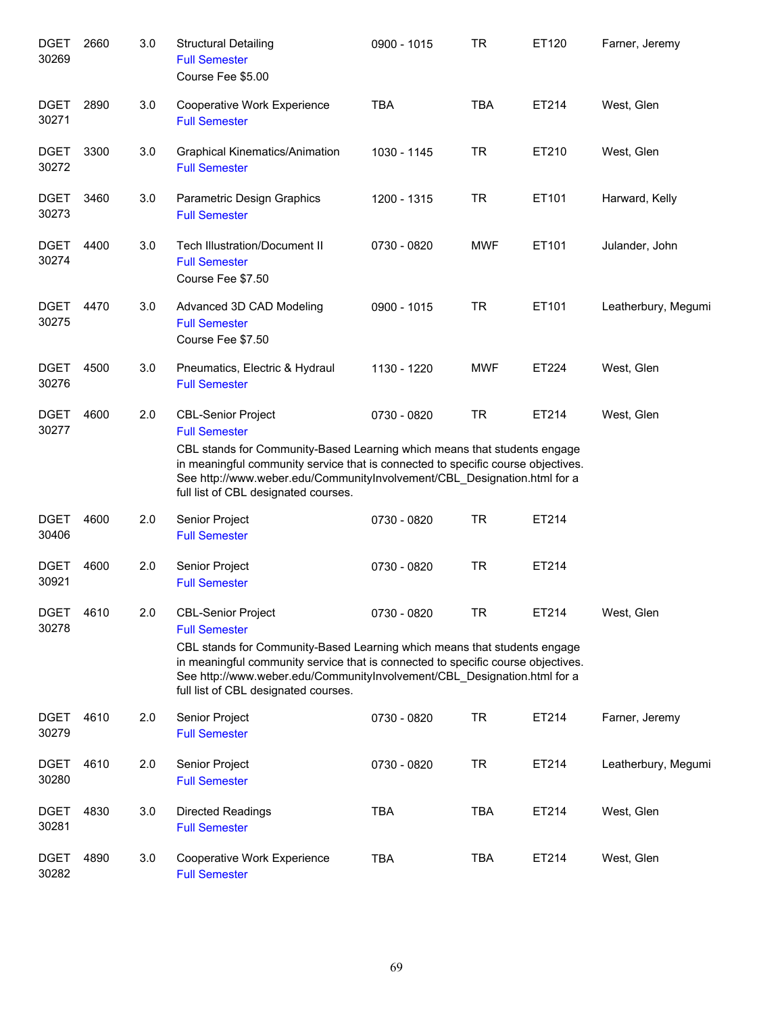| <b>DGET</b><br>30269 | 2660 | 3.0 | <b>Structural Detailing</b><br><b>Full Semester</b><br>Course Fee \$5.00                                                                                                                                                                                                                                                              | 0900 - 1015 | <b>TR</b>  | ET120 | Farner, Jeremy      |
|----------------------|------|-----|---------------------------------------------------------------------------------------------------------------------------------------------------------------------------------------------------------------------------------------------------------------------------------------------------------------------------------------|-------------|------------|-------|---------------------|
| <b>DGET</b><br>30271 | 2890 | 3.0 | Cooperative Work Experience<br><b>Full Semester</b>                                                                                                                                                                                                                                                                                   | <b>TBA</b>  | <b>TBA</b> | ET214 | West, Glen          |
| <b>DGET</b><br>30272 | 3300 | 3.0 | <b>Graphical Kinematics/Animation</b><br><b>Full Semester</b>                                                                                                                                                                                                                                                                         | 1030 - 1145 | <b>TR</b>  | ET210 | West, Glen          |
| <b>DGET</b><br>30273 | 3460 | 3.0 | Parametric Design Graphics<br><b>Full Semester</b>                                                                                                                                                                                                                                                                                    | 1200 - 1315 | <b>TR</b>  | ET101 | Harward, Kelly      |
| <b>DGET</b><br>30274 | 4400 | 3.0 | Tech Illustration/Document II<br><b>Full Semester</b><br>Course Fee \$7.50                                                                                                                                                                                                                                                            | 0730 - 0820 | <b>MWF</b> | ET101 | Julander, John      |
| <b>DGET</b><br>30275 | 4470 | 3.0 | Advanced 3D CAD Modeling<br><b>Full Semester</b><br>Course Fee \$7.50                                                                                                                                                                                                                                                                 | 0900 - 1015 | <b>TR</b>  | ET101 | Leatherbury, Megumi |
| <b>DGET</b><br>30276 | 4500 | 3.0 | Pneumatics, Electric & Hydraul<br><b>Full Semester</b>                                                                                                                                                                                                                                                                                | 1130 - 1220 | <b>MWF</b> | ET224 | West, Glen          |
| <b>DGET</b><br>30277 | 4600 | 2.0 | <b>CBL-Senior Project</b><br><b>Full Semester</b><br>CBL stands for Community-Based Learning which means that students engage<br>in meaningful community service that is connected to specific course objectives.<br>See http://www.weber.edu/CommunityInvolvement/CBL_Designation.html for a<br>full list of CBL designated courses. | 0730 - 0820 | <b>TR</b>  | ET214 | West, Glen          |
| <b>DGET</b><br>30406 | 4600 | 2.0 | Senior Project<br><b>Full Semester</b>                                                                                                                                                                                                                                                                                                | 0730 - 0820 | <b>TR</b>  | ET214 |                     |
| <b>DGET</b><br>30921 | 4600 | 2.0 | Senior Project<br><b>Full Semester</b>                                                                                                                                                                                                                                                                                                | 0730 - 0820 | <b>TR</b>  | ET214 |                     |
| <b>DGET</b><br>30278 | 4610 | 2.0 | <b>CBL-Senior Project</b><br><b>Full Semester</b><br>CBL stands for Community-Based Learning which means that students engage<br>in meaningful community service that is connected to specific course objectives.<br>See http://www.weber.edu/CommunityInvolvement/CBL Designation.html for a<br>full list of CBL designated courses. | 0730 - 0820 | TR         | ET214 | West, Glen          |
| <b>DGET</b><br>30279 | 4610 | 2.0 | Senior Project<br><b>Full Semester</b>                                                                                                                                                                                                                                                                                                | 0730 - 0820 | TR         | ET214 | Farner, Jeremy      |
| <b>DGET</b><br>30280 | 4610 | 2.0 | Senior Project<br><b>Full Semester</b>                                                                                                                                                                                                                                                                                                | 0730 - 0820 | <b>TR</b>  | ET214 | Leatherbury, Megumi |
| <b>DGET</b><br>30281 | 4830 | 3.0 | <b>Directed Readings</b><br><b>Full Semester</b>                                                                                                                                                                                                                                                                                      | <b>TBA</b>  | <b>TBA</b> | ET214 | West, Glen          |
| <b>DGET</b><br>30282 | 4890 | 3.0 | Cooperative Work Experience<br><b>Full Semester</b>                                                                                                                                                                                                                                                                                   | <b>TBA</b>  | <b>TBA</b> | ET214 | West, Glen          |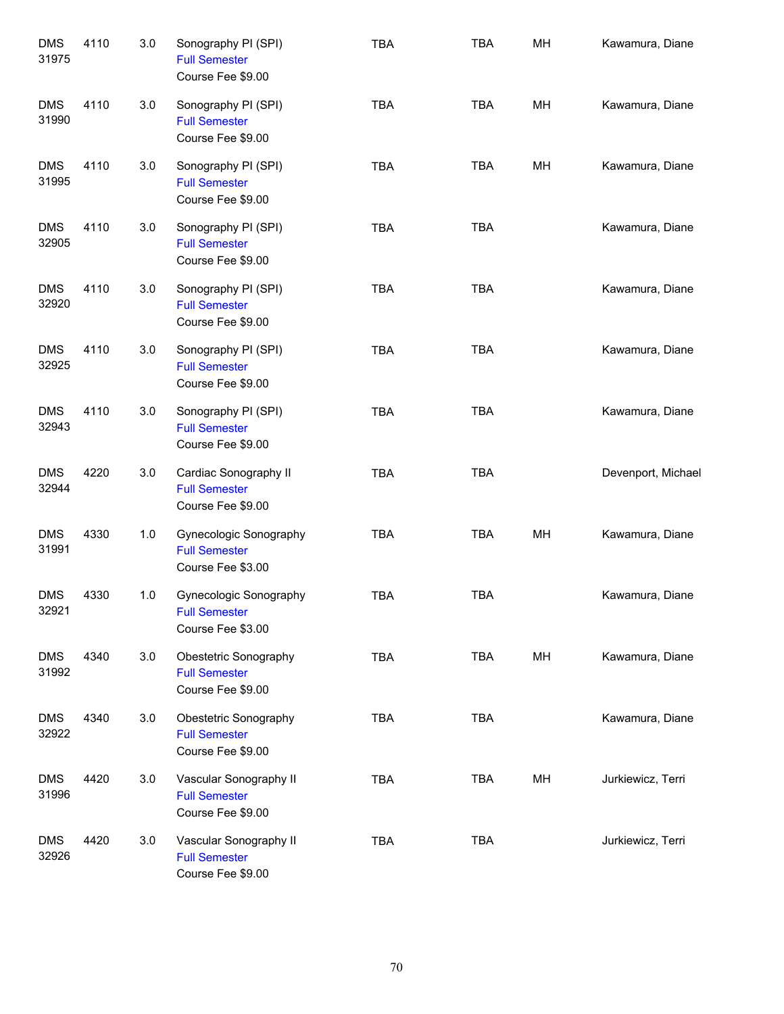| <b>DMS</b><br>31975 | 4110 | 3.0 | Sonography PI (SPI)<br><b>Full Semester</b><br>Course Fee \$9.00    | <b>TBA</b> | <b>TBA</b> | MH | Kawamura, Diane    |
|---------------------|------|-----|---------------------------------------------------------------------|------------|------------|----|--------------------|
| <b>DMS</b><br>31990 | 4110 | 3.0 | Sonography PI (SPI)<br><b>Full Semester</b><br>Course Fee \$9.00    | <b>TBA</b> | <b>TBA</b> | MH | Kawamura, Diane    |
| <b>DMS</b><br>31995 | 4110 | 3.0 | Sonography PI (SPI)<br><b>Full Semester</b><br>Course Fee \$9.00    | <b>TBA</b> | <b>TBA</b> | MH | Kawamura, Diane    |
| <b>DMS</b><br>32905 | 4110 | 3.0 | Sonography PI (SPI)<br><b>Full Semester</b><br>Course Fee \$9.00    | <b>TBA</b> | <b>TBA</b> |    | Kawamura, Diane    |
| <b>DMS</b><br>32920 | 4110 | 3.0 | Sonography PI (SPI)<br><b>Full Semester</b><br>Course Fee \$9.00    | <b>TBA</b> | <b>TBA</b> |    | Kawamura, Diane    |
| <b>DMS</b><br>32925 | 4110 | 3.0 | Sonography PI (SPI)<br><b>Full Semester</b><br>Course Fee \$9.00    | <b>TBA</b> | <b>TBA</b> |    | Kawamura, Diane    |
| <b>DMS</b><br>32943 | 4110 | 3.0 | Sonography PI (SPI)<br><b>Full Semester</b><br>Course Fee \$9.00    | <b>TBA</b> | <b>TBA</b> |    | Kawamura, Diane    |
| <b>DMS</b><br>32944 | 4220 | 3.0 | Cardiac Sonography II<br><b>Full Semester</b><br>Course Fee \$9.00  | <b>TBA</b> | <b>TBA</b> |    | Devenport, Michael |
| <b>DMS</b><br>31991 | 4330 | 1.0 | Gynecologic Sonography<br><b>Full Semester</b><br>Course Fee \$3.00 | <b>TBA</b> | <b>TBA</b> | MH | Kawamura, Diane    |
| <b>DMS</b><br>32921 | 4330 | 1.0 | Gynecologic Sonography<br><b>Full Semester</b><br>Course Fee \$3.00 | <b>TBA</b> | <b>TBA</b> |    | Kawamura, Diane    |
| <b>DMS</b><br>31992 | 4340 | 3.0 | Obestetric Sonography<br><b>Full Semester</b><br>Course Fee \$9.00  | <b>TBA</b> | <b>TBA</b> | MH | Kawamura, Diane    |
| <b>DMS</b><br>32922 | 4340 | 3.0 | Obestetric Sonography<br><b>Full Semester</b><br>Course Fee \$9.00  | <b>TBA</b> | <b>TBA</b> |    | Kawamura, Diane    |
| <b>DMS</b><br>31996 | 4420 | 3.0 | Vascular Sonography II<br><b>Full Semester</b><br>Course Fee \$9.00 | <b>TBA</b> | <b>TBA</b> | MH | Jurkiewicz, Terri  |
| <b>DMS</b><br>32926 | 4420 | 3.0 | Vascular Sonography II<br><b>Full Semester</b><br>Course Fee \$9.00 | <b>TBA</b> | <b>TBA</b> |    | Jurkiewicz, Terri  |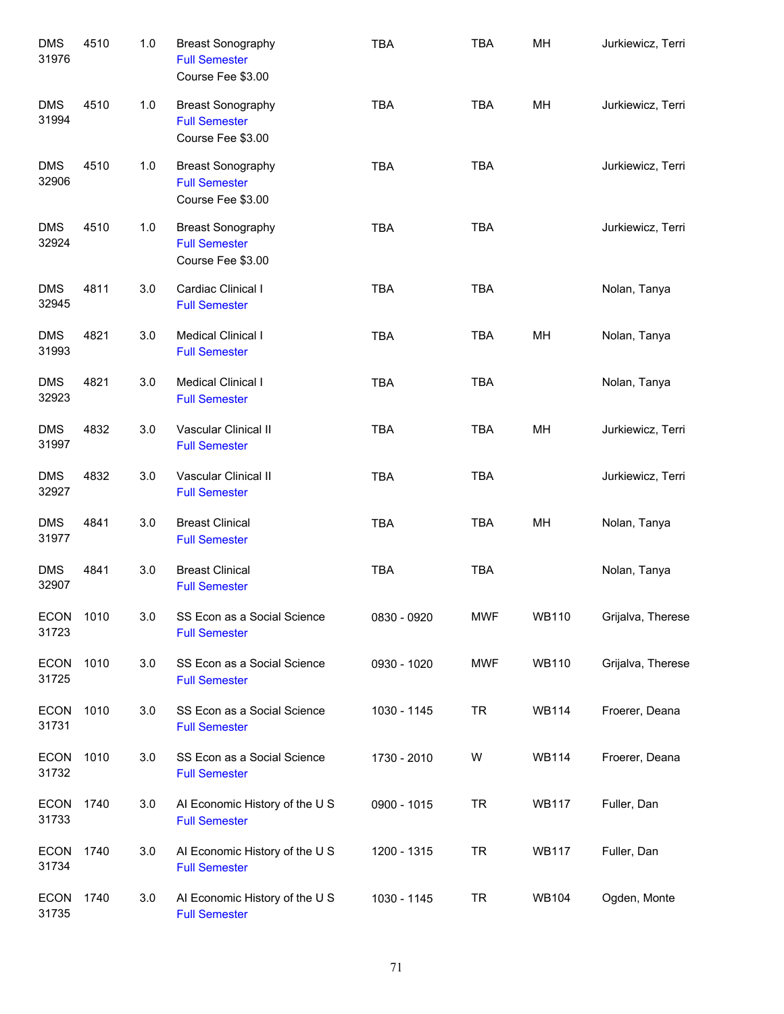| <b>DMS</b><br>31976  | 4510 | 1.0 | <b>Breast Sonography</b><br><b>Full Semester</b><br>Course Fee \$3.00 | <b>TBA</b>  | <b>TBA</b> | MH           | Jurkiewicz, Terri |
|----------------------|------|-----|-----------------------------------------------------------------------|-------------|------------|--------------|-------------------|
| <b>DMS</b><br>31994  | 4510 | 1.0 | <b>Breast Sonography</b><br><b>Full Semester</b><br>Course Fee \$3.00 | <b>TBA</b>  | <b>TBA</b> | MH           | Jurkiewicz, Terri |
| <b>DMS</b><br>32906  | 4510 | 1.0 | <b>Breast Sonography</b><br><b>Full Semester</b><br>Course Fee \$3.00 | <b>TBA</b>  | <b>TBA</b> |              | Jurkiewicz, Terri |
| <b>DMS</b><br>32924  | 4510 | 1.0 | <b>Breast Sonography</b><br><b>Full Semester</b><br>Course Fee \$3.00 | <b>TBA</b>  | <b>TBA</b> |              | Jurkiewicz, Terri |
| <b>DMS</b><br>32945  | 4811 | 3.0 | Cardiac Clinical I<br><b>Full Semester</b>                            | <b>TBA</b>  | <b>TBA</b> |              | Nolan, Tanya      |
| <b>DMS</b><br>31993  | 4821 | 3.0 | Medical Clinical I<br><b>Full Semester</b>                            | <b>TBA</b>  | <b>TBA</b> | MH           | Nolan, Tanya      |
| <b>DMS</b><br>32923  | 4821 | 3.0 | Medical Clinical I<br><b>Full Semester</b>                            | <b>TBA</b>  | <b>TBA</b> |              | Nolan, Tanya      |
| <b>DMS</b><br>31997  | 4832 | 3.0 | Vascular Clinical II<br><b>Full Semester</b>                          | <b>TBA</b>  | <b>TBA</b> | MH           | Jurkiewicz, Terri |
| <b>DMS</b><br>32927  | 4832 | 3.0 | Vascular Clinical II<br><b>Full Semester</b>                          | <b>TBA</b>  | <b>TBA</b> |              | Jurkiewicz, Terri |
| <b>DMS</b><br>31977  | 4841 | 3.0 | <b>Breast Clinical</b><br><b>Full Semester</b>                        | <b>TBA</b>  | <b>TBA</b> | MH           | Nolan, Tanya      |
| <b>DMS</b><br>32907  | 4841 | 3.0 | <b>Breast Clinical</b><br><b>Full Semester</b>                        | <b>TBA</b>  | <b>TBA</b> |              | Nolan, Tanya      |
| <b>ECON</b><br>31723 | 1010 | 3.0 | SS Econ as a Social Science<br><b>Full Semester</b>                   | 0830 - 0920 | <b>MWF</b> | <b>WB110</b> | Grijalva, Therese |
| <b>ECON</b><br>31725 | 1010 | 3.0 | SS Econ as a Social Science<br><b>Full Semester</b>                   | 0930 - 1020 | <b>MWF</b> | <b>WB110</b> | Grijalva, Therese |
| <b>ECON</b><br>31731 | 1010 | 3.0 | SS Econ as a Social Science<br><b>Full Semester</b>                   | 1030 - 1145 | <b>TR</b>  | WB114        | Froerer, Deana    |
| <b>ECON</b><br>31732 | 1010 | 3.0 | SS Econ as a Social Science<br><b>Full Semester</b>                   | 1730 - 2010 | W          | <b>WB114</b> | Froerer, Deana    |
| <b>ECON</b><br>31733 | 1740 | 3.0 | AI Economic History of the U S<br><b>Full Semester</b>                | 0900 - 1015 | <b>TR</b>  | <b>WB117</b> | Fuller, Dan       |
| <b>ECON</b><br>31734 | 1740 | 3.0 | AI Economic History of the U S<br><b>Full Semester</b>                | 1200 - 1315 | <b>TR</b>  | <b>WB117</b> | Fuller, Dan       |
| <b>ECON</b><br>31735 | 1740 | 3.0 | AI Economic History of the U S<br><b>Full Semester</b>                | 1030 - 1145 | <b>TR</b>  | <b>WB104</b> | Ogden, Monte      |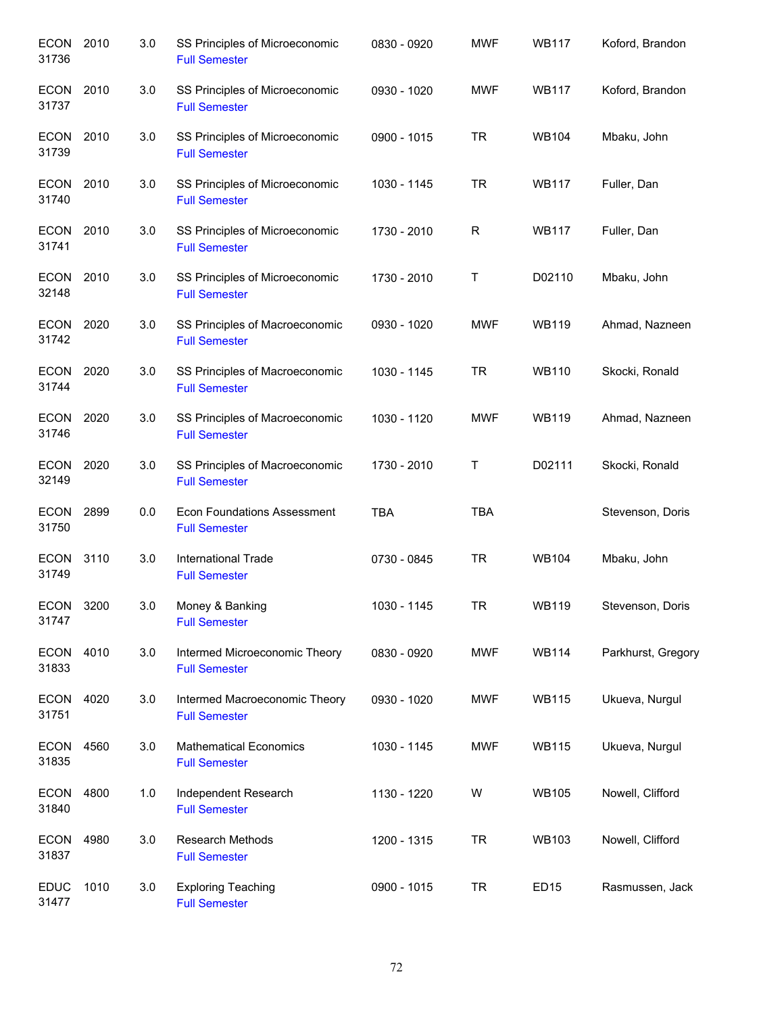| <b>ECON</b><br>31736 | 2010 | 3.0 | SS Principles of Microeconomic<br><b>Full Semester</b>     | 0830 - 0920 | <b>MWF</b>  | <b>WB117</b>     | Koford, Brandon    |
|----------------------|------|-----|------------------------------------------------------------|-------------|-------------|------------------|--------------------|
| <b>ECON</b><br>31737 | 2010 | 3.0 | SS Principles of Microeconomic<br><b>Full Semester</b>     | 0930 - 1020 | <b>MWF</b>  | <b>WB117</b>     | Koford, Brandon    |
| <b>ECON</b><br>31739 | 2010 | 3.0 | SS Principles of Microeconomic<br><b>Full Semester</b>     | 0900 - 1015 | <b>TR</b>   | <b>WB104</b>     | Mbaku, John        |
| <b>ECON</b><br>31740 | 2010 | 3.0 | SS Principles of Microeconomic<br><b>Full Semester</b>     | 1030 - 1145 | <b>TR</b>   | <b>WB117</b>     | Fuller, Dan        |
| <b>ECON</b><br>31741 | 2010 | 3.0 | SS Principles of Microeconomic<br><b>Full Semester</b>     | 1730 - 2010 | $\mathsf R$ | <b>WB117</b>     | Fuller, Dan        |
| <b>ECON</b><br>32148 | 2010 | 3.0 | SS Principles of Microeconomic<br><b>Full Semester</b>     | 1730 - 2010 | Τ           | D02110           | Mbaku, John        |
| <b>ECON</b><br>31742 | 2020 | 3.0 | SS Principles of Macroeconomic<br><b>Full Semester</b>     | 0930 - 1020 | <b>MWF</b>  | <b>WB119</b>     | Ahmad, Nazneen     |
| <b>ECON</b><br>31744 | 2020 | 3.0 | SS Principles of Macroeconomic<br><b>Full Semester</b>     | 1030 - 1145 | <b>TR</b>   | <b>WB110</b>     | Skocki, Ronald     |
| <b>ECON</b><br>31746 | 2020 | 3.0 | SS Principles of Macroeconomic<br><b>Full Semester</b>     | 1030 - 1120 | <b>MWF</b>  | <b>WB119</b>     | Ahmad, Nazneen     |
| <b>ECON</b><br>32149 | 2020 | 3.0 | SS Principles of Macroeconomic<br><b>Full Semester</b>     | 1730 - 2010 | Τ           | D02111           | Skocki, Ronald     |
| <b>ECON</b><br>31750 | 2899 | 0.0 | <b>Econ Foundations Assessment</b><br><b>Full Semester</b> | <b>TBA</b>  | <b>TBA</b>  |                  | Stevenson, Doris   |
| <b>ECON</b><br>31749 | 3110 | 3.0 | International Trade<br><b>Full Semester</b>                | 0730 - 0845 | <b>TR</b>   | <b>WB104</b>     | Mbaku, John        |
| <b>ECON</b><br>31747 | 3200 | 3.0 | Money & Banking<br><b>Full Semester</b>                    | 1030 - 1145 | <b>TR</b>   | <b>WB119</b>     | Stevenson, Doris   |
| <b>ECON</b><br>31833 | 4010 | 3.0 | Intermed Microeconomic Theory<br><b>Full Semester</b>      | 0830 - 0920 | <b>MWF</b>  | <b>WB114</b>     | Parkhurst, Gregory |
| <b>ECON</b><br>31751 | 4020 | 3.0 | Intermed Macroeconomic Theory<br><b>Full Semester</b>      | 0930 - 1020 | <b>MWF</b>  | <b>WB115</b>     | Ukueva, Nurgul     |
| <b>ECON</b><br>31835 | 4560 | 3.0 | <b>Mathematical Economics</b><br><b>Full Semester</b>      | 1030 - 1145 | <b>MWF</b>  | <b>WB115</b>     | Ukueva, Nurgul     |
| <b>ECON</b><br>31840 | 4800 | 1.0 | Independent Research<br><b>Full Semester</b>               | 1130 - 1220 | W           | <b>WB105</b>     | Nowell, Clifford   |
| <b>ECON</b><br>31837 | 4980 | 3.0 | <b>Research Methods</b><br><b>Full Semester</b>            | 1200 - 1315 | <b>TR</b>   | <b>WB103</b>     | Nowell, Clifford   |
| <b>EDUC</b><br>31477 | 1010 | 3.0 | <b>Exploring Teaching</b><br><b>Full Semester</b>          | 0900 - 1015 | <b>TR</b>   | ED <sub>15</sub> | Rasmussen, Jack    |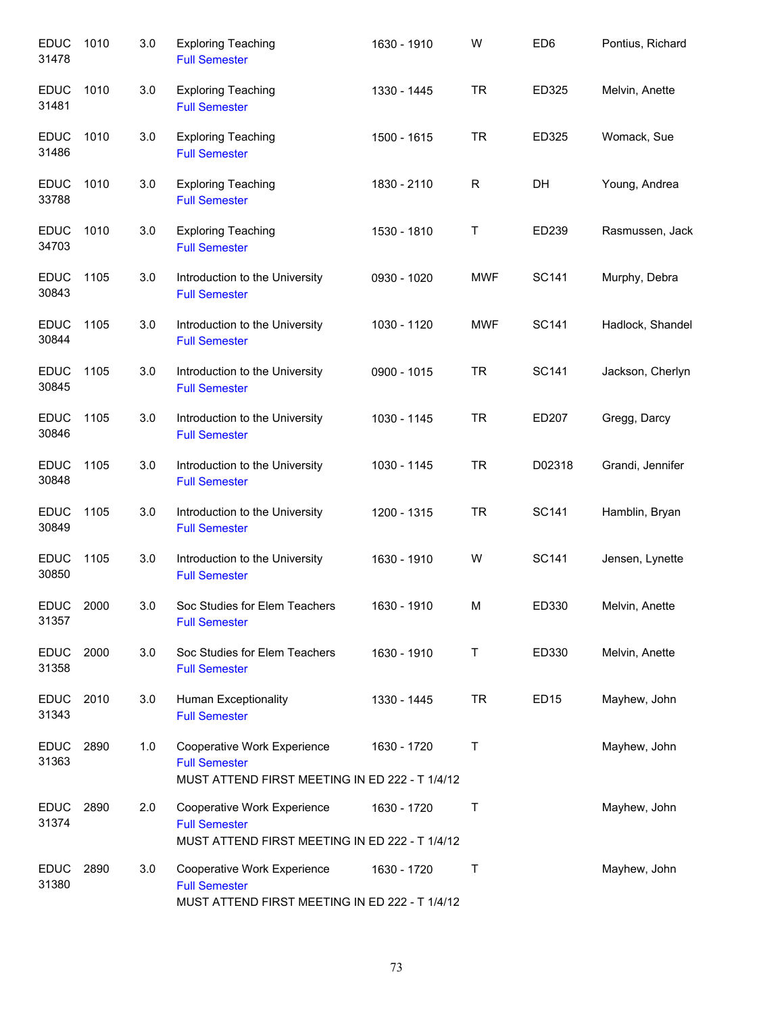| <b>EDUC</b><br>31478 | 1010 | 3.0 | <b>Exploring Teaching</b><br><b>Full Semester</b>                                                     | 1630 - 1910 | W          | ED <sub>6</sub>  | Pontius, Richard |
|----------------------|------|-----|-------------------------------------------------------------------------------------------------------|-------------|------------|------------------|------------------|
| <b>EDUC</b><br>31481 | 1010 | 3.0 | <b>Exploring Teaching</b><br><b>Full Semester</b>                                                     | 1330 - 1445 | <b>TR</b>  | ED325            | Melvin, Anette   |
| <b>EDUC</b><br>31486 | 1010 | 3.0 | <b>Exploring Teaching</b><br><b>Full Semester</b>                                                     | 1500 - 1615 | <b>TR</b>  | ED325            | Womack, Sue      |
| <b>EDUC</b><br>33788 | 1010 | 3.0 | <b>Exploring Teaching</b><br><b>Full Semester</b>                                                     | 1830 - 2110 | R          | DH               | Young, Andrea    |
| <b>EDUC</b><br>34703 | 1010 | 3.0 | <b>Exploring Teaching</b><br><b>Full Semester</b>                                                     | 1530 - 1810 | Τ          | ED239            | Rasmussen, Jack  |
| <b>EDUC</b><br>30843 | 1105 | 3.0 | Introduction to the University<br><b>Full Semester</b>                                                | 0930 - 1020 | <b>MWF</b> | SC141            | Murphy, Debra    |
| <b>EDUC</b><br>30844 | 1105 | 3.0 | Introduction to the University<br><b>Full Semester</b>                                                | 1030 - 1120 | <b>MWF</b> | SC141            | Hadlock, Shandel |
| <b>EDUC</b><br>30845 | 1105 | 3.0 | Introduction to the University<br><b>Full Semester</b>                                                | 0900 - 1015 | <b>TR</b>  | <b>SC141</b>     | Jackson, Cherlyn |
| <b>EDUC</b><br>30846 | 1105 | 3.0 | Introduction to the University<br><b>Full Semester</b>                                                | 1030 - 1145 | <b>TR</b>  | ED207            | Gregg, Darcy     |
| <b>EDUC</b><br>30848 | 1105 | 3.0 | Introduction to the University<br><b>Full Semester</b>                                                | 1030 - 1145 | <b>TR</b>  | D02318           | Grandi, Jennifer |
| <b>EDUC</b><br>30849 | 1105 | 3.0 | Introduction to the University<br><b>Full Semester</b>                                                | 1200 - 1315 | <b>TR</b>  | <b>SC141</b>     | Hamblin, Bryan   |
| <b>EDUC</b><br>30850 | 1105 | 3.0 | Introduction to the University<br><b>Full Semester</b>                                                | 1630 - 1910 | W          | <b>SC141</b>     | Jensen, Lynette  |
| <b>EDUC</b><br>31357 | 2000 | 3.0 | Soc Studies for Elem Teachers<br><b>Full Semester</b>                                                 | 1630 - 1910 | М          | ED330            | Melvin, Anette   |
| <b>EDUC</b><br>31358 | 2000 | 3.0 | Soc Studies for Elem Teachers<br><b>Full Semester</b>                                                 | 1630 - 1910 | Τ          | ED330            | Melvin, Anette   |
| <b>EDUC</b><br>31343 | 2010 | 3.0 | Human Exceptionality<br><b>Full Semester</b>                                                          | 1330 - 1445 | <b>TR</b>  | ED <sub>15</sub> | Mayhew, John     |
| <b>EDUC</b><br>31363 | 2890 | 1.0 | Cooperative Work Experience<br><b>Full Semester</b><br>MUST ATTEND FIRST MEETING IN ED 222 - T 1/4/12 | 1630 - 1720 | Τ          |                  | Mayhew, John     |
| <b>EDUC</b><br>31374 | 2890 | 2.0 | Cooperative Work Experience<br><b>Full Semester</b><br>MUST ATTEND FIRST MEETING IN ED 222 - T 1/4/12 | 1630 - 1720 | т          |                  | Mayhew, John     |
| <b>EDUC</b><br>31380 | 2890 | 3.0 | Cooperative Work Experience<br><b>Full Semester</b><br>MUST ATTEND FIRST MEETING IN ED 222 - T 1/4/12 | 1630 - 1720 | Τ          |                  | Mayhew, John     |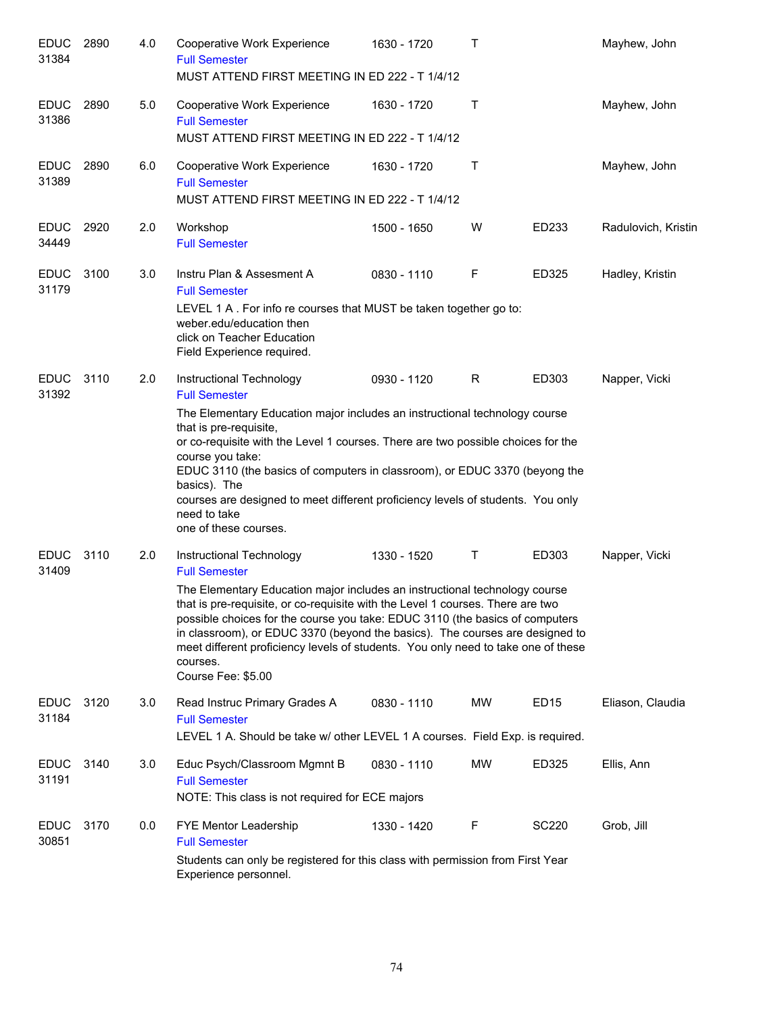| <b>EDUC</b><br>31384 | 2890 | 4.0 | Cooperative Work Experience<br><b>Full Semester</b><br>MUST ATTEND FIRST MEETING IN ED 222 - T 1/4/12                                                                                                                                                                                                                                                                                                                                                                                                   | 1630 - 1720 | т         |                  | Mayhew, John        |
|----------------------|------|-----|---------------------------------------------------------------------------------------------------------------------------------------------------------------------------------------------------------------------------------------------------------------------------------------------------------------------------------------------------------------------------------------------------------------------------------------------------------------------------------------------------------|-------------|-----------|------------------|---------------------|
| <b>EDUC</b><br>31386 | 2890 | 5.0 | Cooperative Work Experience<br><b>Full Semester</b><br>MUST ATTEND FIRST MEETING IN ED 222 - T 1/4/12                                                                                                                                                                                                                                                                                                                                                                                                   | 1630 - 1720 | T         |                  | Mayhew, John        |
| <b>EDUC</b><br>31389 | 2890 | 6.0 | Cooperative Work Experience<br><b>Full Semester</b><br>MUST ATTEND FIRST MEETING IN ED 222 - T 1/4/12                                                                                                                                                                                                                                                                                                                                                                                                   | 1630 - 1720 | T         |                  | Mayhew, John        |
| <b>EDUC</b><br>34449 | 2920 | 2.0 | Workshop<br><b>Full Semester</b>                                                                                                                                                                                                                                                                                                                                                                                                                                                                        | 1500 - 1650 | W         | ED233            | Radulovich, Kristin |
| <b>EDUC</b><br>31179 | 3100 | 3.0 | Instru Plan & Assesment A<br><b>Full Semester</b><br>LEVEL 1 A. For info re courses that MUST be taken together go to:<br>weber.edu/education then<br>click on Teacher Education<br>Field Experience required.                                                                                                                                                                                                                                                                                          | 0830 - 1110 | F         | ED325            | Hadley, Kristin     |
| <b>EDUC</b><br>31392 | 3110 | 2.0 | Instructional Technology<br><b>Full Semester</b><br>The Elementary Education major includes an instructional technology course<br>that is pre-requisite,<br>or co-requisite with the Level 1 courses. There are two possible choices for the<br>course you take:<br>EDUC 3110 (the basics of computers in classroom), or EDUC 3370 (beyong the<br>basics). The<br>courses are designed to meet different proficiency levels of students. You only<br>need to take<br>one of these courses.              | 0930 - 1120 | R         | ED303            | Napper, Vicki       |
| <b>EDUC</b><br>31409 | 3110 | 2.0 | Instructional Technology<br><b>Full Semester</b><br>The Elementary Education major includes an instructional technology course<br>that is pre-requisite, or co-requisite with the Level 1 courses. There are two<br>possible choices for the course you take: EDUC 3110 (the basics of computers<br>in classroom), or EDUC 3370 (beyond the basics). The courses are designed to<br>meet different proficiency levels of students. You only need to take one of these<br>courses.<br>Course Fee: \$5.00 | 1330 - 1520 | T         | ED303            | Napper, Vicki       |
| <b>EDUC</b><br>31184 | 3120 | 3.0 | Read Instruc Primary Grades A<br><b>Full Semester</b><br>LEVEL 1 A. Should be take w/ other LEVEL 1 A courses. Field Exp. is required.                                                                                                                                                                                                                                                                                                                                                                  | 0830 - 1110 | MW        | ED <sub>15</sub> | Eliason, Claudia    |
| <b>EDUC</b><br>31191 | 3140 | 3.0 | Educ Psych/Classroom Mgmnt B<br><b>Full Semester</b><br>NOTE: This class is not required for ECE majors                                                                                                                                                                                                                                                                                                                                                                                                 | 0830 - 1110 | <b>MW</b> | ED325            | Ellis, Ann          |
| EDUC<br>30851        | 3170 | 0.0 | FYE Mentor Leadership<br><b>Full Semester</b><br>Students can only be registered for this class with permission from First Year<br>Experience personnel.                                                                                                                                                                                                                                                                                                                                                | 1330 - 1420 | F         | <b>SC220</b>     | Grob, Jill          |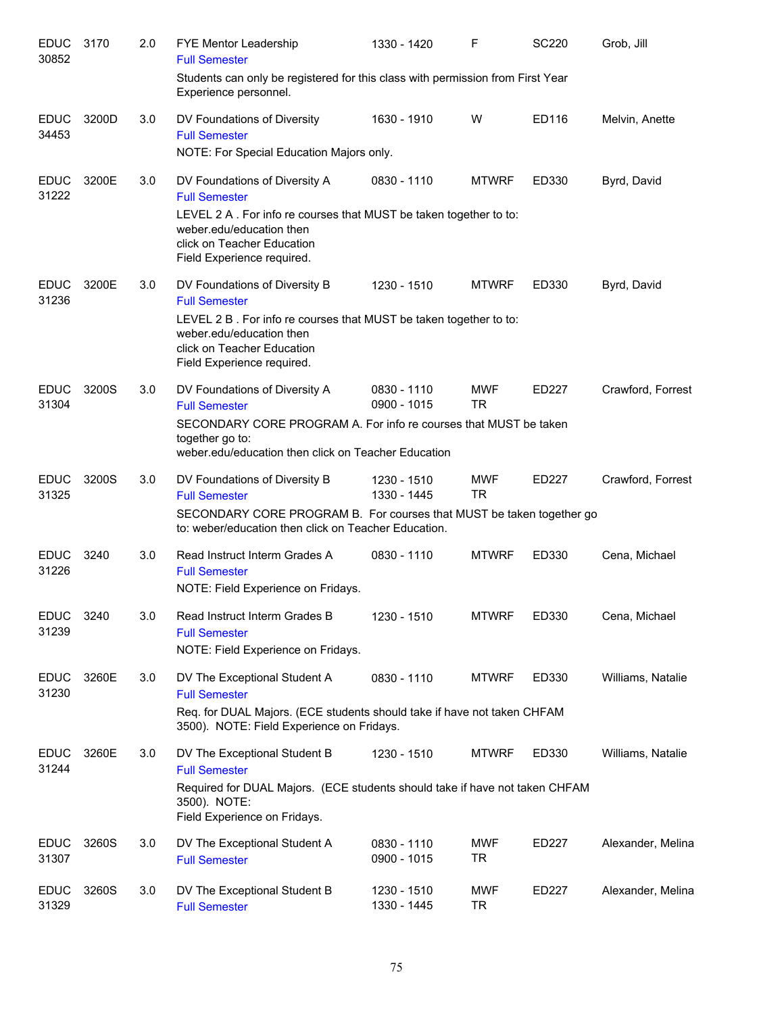| <b>EDUC</b><br>30852 | 3170  | 2.0 | FYE Mentor Leadership<br><b>Full Semester</b>                                                                                                             | 1330 - 1420                  | F                       | <b>SC220</b> | Grob, Jill        |
|----------------------|-------|-----|-----------------------------------------------------------------------------------------------------------------------------------------------------------|------------------------------|-------------------------|--------------|-------------------|
|                      |       |     | Students can only be registered for this class with permission from First Year<br>Experience personnel.                                                   |                              |                         |              |                   |
| <b>EDUC</b><br>34453 | 3200D | 3.0 | DV Foundations of Diversity<br><b>Full Semester</b><br>NOTE: For Special Education Majors only.                                                           | 1630 - 1910                  | W                       | ED116        | Melvin, Anette    |
| <b>EDUC</b><br>31222 | 3200E | 3.0 | DV Foundations of Diversity A<br><b>Full Semester</b><br>LEVEL 2 A. For info re courses that MUST be taken together to to:<br>weber.edu/education then    | 0830 - 1110                  | <b>MTWRF</b>            | ED330        | Byrd, David       |
|                      |       |     | click on Teacher Education<br>Field Experience required.                                                                                                  |                              |                         |              |                   |
| <b>EDUC</b><br>31236 | 3200E | 3.0 | DV Foundations of Diversity B<br><b>Full Semester</b>                                                                                                     | 1230 - 1510                  | <b>MTWRF</b>            | ED330        | Byrd, David       |
|                      |       |     | LEVEL 2 B. For info re courses that MUST be taken together to to:<br>weber.edu/education then<br>click on Teacher Education<br>Field Experience required. |                              |                         |              |                   |
| <b>EDUC</b><br>31304 | 3200S | 3.0 | DV Foundations of Diversity A<br><b>Full Semester</b>                                                                                                     | 0830 - 1110<br>$0900 - 1015$ | <b>MWF</b><br><b>TR</b> | ED227        | Crawford, Forrest |
|                      |       |     | SECONDARY CORE PROGRAM A. For info re courses that MUST be taken<br>together go to:<br>weber.edu/education then click on Teacher Education                |                              |                         |              |                   |
| <b>EDUC</b><br>31325 | 3200S | 3.0 | DV Foundations of Diversity B<br><b>Full Semester</b>                                                                                                     | 1230 - 1510<br>1330 - 1445   | <b>MWF</b><br><b>TR</b> | ED227        | Crawford, Forrest |
|                      |       |     | SECONDARY CORE PROGRAM B. For courses that MUST be taken together go<br>to: weber/education then click on Teacher Education.                              |                              |                         |              |                   |
| <b>EDUC</b><br>31226 | 3240  | 3.0 | Read Instruct Interm Grades A<br><b>Full Semester</b><br>NOTE: Field Experience on Fridays.                                                               | 0830 - 1110                  | <b>MTWRF</b>            | ED330        | Cena, Michael     |
| <b>EDUC</b><br>31239 | 3240  | 3.0 | Read Instruct Interm Grades B<br><b>Full Semester</b><br>NOTE: Field Experience on Fridays.                                                               | 1230 - 1510                  | <b>MTWRF</b>            | ED330        | Cena, Michael     |
| <b>EDUC</b><br>31230 | 3260E | 3.0 | DV The Exceptional Student A<br><b>Full Semester</b>                                                                                                      | 0830 - 1110                  | <b>MTWRF</b>            | ED330        | Williams, Natalie |
|                      |       |     | Req. for DUAL Majors. (ECE students should take if have not taken CHFAM<br>3500). NOTE: Field Experience on Fridays.                                      |                              |                         |              |                   |
| <b>EDUC</b><br>31244 | 3260E | 3.0 | DV The Exceptional Student B<br><b>Full Semester</b>                                                                                                      | 1230 - 1510                  | <b>MTWRF</b>            | ED330        | Williams, Natalie |
|                      |       |     | Required for DUAL Majors. (ECE students should take if have not taken CHFAM<br>3500). NOTE:<br>Field Experience on Fridays.                               |                              |                         |              |                   |
| <b>EDUC</b><br>31307 | 3260S | 3.0 | DV The Exceptional Student A<br><b>Full Semester</b>                                                                                                      | 0830 - 1110<br>0900 - 1015   | MWF<br>TR               | ED227        | Alexander, Melina |
| <b>EDUC</b><br>31329 | 3260S | 3.0 | DV The Exceptional Student B<br><b>Full Semester</b>                                                                                                      | 1230 - 1510<br>1330 - 1445   | MWF<br>TR               | ED227        | Alexander, Melina |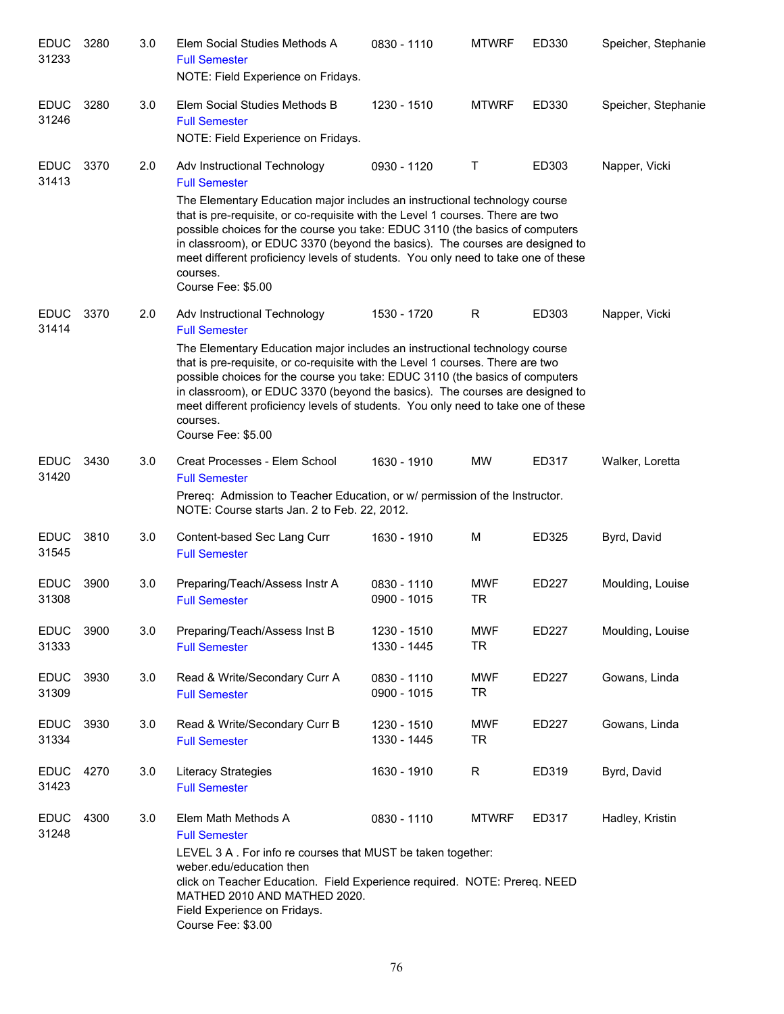| <b>EDUC</b><br>31233 | 3280 | 3.0 | Elem Social Studies Methods A<br><b>Full Semester</b><br>NOTE: Field Experience on Fridays.                                                                                                                                                                                                                                                                                                                                                                               | 0830 - 1110                | <b>MTWRF</b>            | ED330 | Speicher, Stephanie |
|----------------------|------|-----|---------------------------------------------------------------------------------------------------------------------------------------------------------------------------------------------------------------------------------------------------------------------------------------------------------------------------------------------------------------------------------------------------------------------------------------------------------------------------|----------------------------|-------------------------|-------|---------------------|
| <b>EDUC</b><br>31246 | 3280 | 3.0 | Elem Social Studies Methods B<br><b>Full Semester</b><br>NOTE: Field Experience on Fridays.                                                                                                                                                                                                                                                                                                                                                                               | 1230 - 1510                | <b>MTWRF</b>            | ED330 | Speicher, Stephanie |
| <b>EDUC</b><br>31413 | 3370 | 2.0 | Adv Instructional Technology<br><b>Full Semester</b><br>The Elementary Education major includes an instructional technology course<br>that is pre-requisite, or co-requisite with the Level 1 courses. There are two<br>possible choices for the course you take: EDUC 3110 (the basics of computers<br>in classroom), or EDUC 3370 (beyond the basics). The courses are designed to<br>meet different proficiency levels of students. You only need to take one of these | 0930 - 1120                | Τ                       | ED303 | Napper, Vicki       |
| <b>EDUC</b><br>31414 | 3370 | 2.0 | courses.<br>Course Fee: \$5.00<br>Adv Instructional Technology<br><b>Full Semester</b>                                                                                                                                                                                                                                                                                                                                                                                    | 1530 - 1720                | $\mathsf R$             | ED303 | Napper, Vicki       |
|                      |      |     | The Elementary Education major includes an instructional technology course<br>that is pre-requisite, or co-requisite with the Level 1 courses. There are two<br>possible choices for the course you take: EDUC 3110 (the basics of computers<br>in classroom), or EDUC 3370 (beyond the basics). The courses are designed to<br>meet different proficiency levels of students. You only need to take one of these<br>courses.<br>Course Fee: \$5.00                       |                            |                         |       |                     |
| <b>EDUC</b><br>31420 | 3430 | 3.0 | Creat Processes - Elem School<br><b>Full Semester</b><br>Prereq: Admission to Teacher Education, or w/ permission of the Instructor.<br>NOTE: Course starts Jan. 2 to Feb. 22, 2012.                                                                                                                                                                                                                                                                                      | 1630 - 1910                | MW                      | ED317 | Walker, Loretta     |
| <b>EDUC</b><br>31545 | 3810 | 3.0 | Content-based Sec Lang Curr<br><b>Full Semester</b>                                                                                                                                                                                                                                                                                                                                                                                                                       | 1630 - 1910                | M                       | ED325 | Byrd, David         |
| <b>EDUC</b><br>31308 | 3900 | 3.0 | Preparing/Teach/Assess Instr A<br><b>Full Semester</b>                                                                                                                                                                                                                                                                                                                                                                                                                    | 0830 - 1110<br>0900 - 1015 | <b>MWF</b><br><b>TR</b> | ED227 | Moulding, Louise    |
| <b>EDUC</b><br>31333 | 3900 | 3.0 | Preparing/Teach/Assess Inst B<br><b>Full Semester</b>                                                                                                                                                                                                                                                                                                                                                                                                                     | 1230 - 1510<br>1330 - 1445 | <b>MWF</b><br><b>TR</b> | ED227 | Moulding, Louise    |
| <b>EDUC</b><br>31309 | 3930 | 3.0 | Read & Write/Secondary Curr A<br><b>Full Semester</b>                                                                                                                                                                                                                                                                                                                                                                                                                     | 0830 - 1110<br>0900 - 1015 | <b>MWF</b><br><b>TR</b> | ED227 | Gowans, Linda       |
| <b>EDUC</b><br>31334 | 3930 | 3.0 | Read & Write/Secondary Curr B<br><b>Full Semester</b>                                                                                                                                                                                                                                                                                                                                                                                                                     | 1230 - 1510<br>1330 - 1445 | <b>MWF</b><br><b>TR</b> | ED227 | Gowans, Linda       |
| <b>EDUC</b><br>31423 | 4270 | 3.0 | Literacy Strategies<br><b>Full Semester</b>                                                                                                                                                                                                                                                                                                                                                                                                                               | 1630 - 1910                | R                       | ED319 | Byrd, David         |
| <b>EDUC</b><br>31248 | 4300 | 3.0 | Elem Math Methods A<br><b>Full Semester</b><br>LEVEL 3 A. For info re courses that MUST be taken together:<br>weber.edu/education then<br>click on Teacher Education. Field Experience required. NOTE: Prereq. NEED<br>MATHED 2010 AND MATHED 2020.<br>Field Experience on Fridays.<br>Course Fee: \$3.00                                                                                                                                                                 | 0830 - 1110                | <b>MTWRF</b>            | ED317 | Hadley, Kristin     |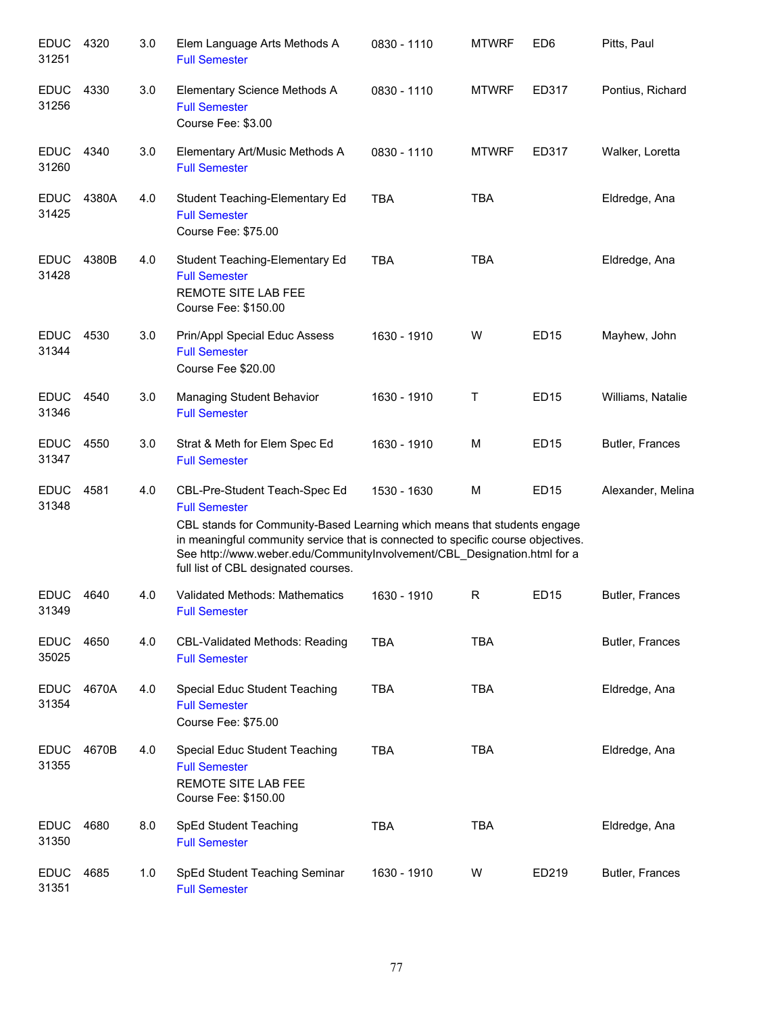| <b>EDUC</b><br>31251 | 4320  | 3.0 | Elem Language Arts Methods A<br><b>Full Semester</b>                                                                                                                                                                                                                                                                                      | 0830 - 1110 | <b>MTWRF</b> | ED <sub>6</sub> | Pitts, Paul       |
|----------------------|-------|-----|-------------------------------------------------------------------------------------------------------------------------------------------------------------------------------------------------------------------------------------------------------------------------------------------------------------------------------------------|-------------|--------------|-----------------|-------------------|
| <b>EDUC</b><br>31256 | 4330  | 3.0 | Elementary Science Methods A<br><b>Full Semester</b><br>Course Fee: \$3.00                                                                                                                                                                                                                                                                | 0830 - 1110 | <b>MTWRF</b> | ED317           | Pontius, Richard  |
| <b>EDUC</b><br>31260 | 4340  | 3.0 | Elementary Art/Music Methods A<br><b>Full Semester</b>                                                                                                                                                                                                                                                                                    | 0830 - 1110 | <b>MTWRF</b> | ED317           | Walker, Loretta   |
| <b>EDUC</b><br>31425 | 4380A | 4.0 | Student Teaching-Elementary Ed<br><b>Full Semester</b><br>Course Fee: \$75.00                                                                                                                                                                                                                                                             | <b>TBA</b>  | <b>TBA</b>   |                 | Eldredge, Ana     |
| <b>EDUC</b><br>31428 | 4380B | 4.0 | Student Teaching-Elementary Ed<br><b>Full Semester</b><br><b>REMOTE SITE LAB FEE</b><br>Course Fee: \$150.00                                                                                                                                                                                                                              | <b>TBA</b>  | <b>TBA</b>   |                 | Eldredge, Ana     |
| <b>EDUC</b><br>31344 | 4530  | 3.0 | Prin/Appl Special Educ Assess<br><b>Full Semester</b><br>Course Fee \$20.00                                                                                                                                                                                                                                                               | 1630 - 1910 | W            | <b>ED15</b>     | Mayhew, John      |
| <b>EDUC</b><br>31346 | 4540  | 3.0 | Managing Student Behavior<br><b>Full Semester</b>                                                                                                                                                                                                                                                                                         | 1630 - 1910 | Τ            | <b>ED15</b>     | Williams, Natalie |
| <b>EDUC</b><br>31347 | 4550  | 3.0 | Strat & Meth for Elem Spec Ed<br><b>Full Semester</b>                                                                                                                                                                                                                                                                                     | 1630 - 1910 | М            | <b>ED15</b>     | Butler, Frances   |
| <b>EDUC</b><br>31348 | 4581  | 4.0 | CBL-Pre-Student Teach-Spec Ed<br><b>Full Semester</b><br>CBL stands for Community-Based Learning which means that students engage<br>in meaningful community service that is connected to specific course objectives.<br>See http://www.weber.edu/CommunityInvolvement/CBL_Designation.html for a<br>full list of CBL designated courses. | 1530 - 1630 | M            | <b>ED15</b>     | Alexander, Melina |
| <b>EDUC</b><br>31349 | 4640  | 4.0 | Validated Methods: Mathematics<br><b>Full Semester</b>                                                                                                                                                                                                                                                                                    | 1630 - 1910 | R            | <b>ED15</b>     | Butler, Frances   |
| <b>EDUC</b><br>35025 | 4650  | 4.0 | <b>CBL-Validated Methods: Reading</b><br><b>Full Semester</b>                                                                                                                                                                                                                                                                             | <b>TBA</b>  | <b>TBA</b>   |                 | Butler, Frances   |
| <b>EDUC</b><br>31354 | 4670A | 4.0 | Special Educ Student Teaching<br><b>Full Semester</b><br>Course Fee: \$75.00                                                                                                                                                                                                                                                              | <b>TBA</b>  | <b>TBA</b>   |                 | Eldredge, Ana     |
| <b>EDUC</b><br>31355 | 4670B | 4.0 | Special Educ Student Teaching<br><b>Full Semester</b><br>REMOTE SITE LAB FEE<br>Course Fee: \$150.00                                                                                                                                                                                                                                      | <b>TBA</b>  | <b>TBA</b>   |                 | Eldredge, Ana     |
| <b>EDUC</b><br>31350 | 4680  | 8.0 | SpEd Student Teaching<br><b>Full Semester</b>                                                                                                                                                                                                                                                                                             | <b>TBA</b>  | <b>TBA</b>   |                 | Eldredge, Ana     |
| <b>EDUC</b><br>31351 | 4685  | 1.0 | SpEd Student Teaching Seminar<br><b>Full Semester</b>                                                                                                                                                                                                                                                                                     | 1630 - 1910 | W            | ED219           | Butler, Frances   |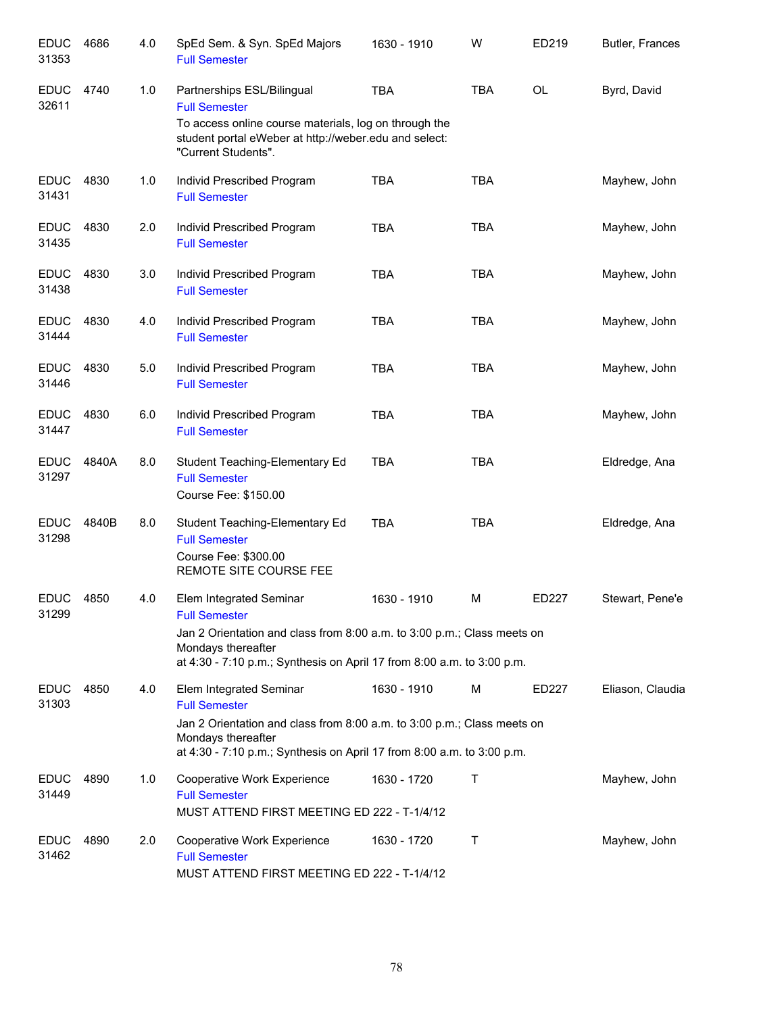| <b>EDUC</b><br>31353 | 4686  | 4.0 | SpEd Sem. & Syn. SpEd Majors<br><b>Full Semester</b>                                                                                                                                        | 1630 - 1910 | W          | ED219        | Butler, Frances  |
|----------------------|-------|-----|---------------------------------------------------------------------------------------------------------------------------------------------------------------------------------------------|-------------|------------|--------------|------------------|
| <b>EDUC</b><br>32611 | 4740  | 1.0 | Partnerships ESL/Bilingual<br><b>Full Semester</b><br>To access online course materials, log on through the<br>student portal eWeber at http://weber.edu and select:<br>"Current Students". | <b>TBA</b>  | <b>TBA</b> | OL           | Byrd, David      |
| <b>EDUC</b><br>31431 | 4830  | 1.0 | Individ Prescribed Program<br><b>Full Semester</b>                                                                                                                                          | <b>TBA</b>  | <b>TBA</b> |              | Mayhew, John     |
| <b>EDUC</b><br>31435 | 4830  | 2.0 | Individ Prescribed Program<br><b>Full Semester</b>                                                                                                                                          | <b>TBA</b>  | <b>TBA</b> |              | Mayhew, John     |
| <b>EDUC</b><br>31438 | 4830  | 3.0 | Individ Prescribed Program<br><b>Full Semester</b>                                                                                                                                          | <b>TBA</b>  | <b>TBA</b> |              | Mayhew, John     |
| <b>EDUC</b><br>31444 | 4830  | 4.0 | Individ Prescribed Program<br><b>Full Semester</b>                                                                                                                                          | <b>TBA</b>  | <b>TBA</b> |              | Mayhew, John     |
| <b>EDUC</b><br>31446 | 4830  | 5.0 | Individ Prescribed Program<br><b>Full Semester</b>                                                                                                                                          | <b>TBA</b>  | <b>TBA</b> |              | Mayhew, John     |
| <b>EDUC</b><br>31447 | 4830  | 6.0 | Individ Prescribed Program<br><b>Full Semester</b>                                                                                                                                          | <b>TBA</b>  | <b>TBA</b> |              | Mayhew, John     |
| <b>EDUC</b><br>31297 | 4840A | 8.0 | Student Teaching-Elementary Ed<br><b>Full Semester</b><br>Course Fee: \$150.00                                                                                                              | <b>TBA</b>  | <b>TBA</b> |              | Eldredge, Ana    |
| <b>EDUC</b><br>31298 | 4840B | 8.0 | Student Teaching-Elementary Ed<br><b>Full Semester</b><br>Course Fee: \$300.00<br>REMOTE SITE COURSE FEE                                                                                    | <b>TBA</b>  | <b>TBA</b> |              | Eldredge, Ana    |
| <b>EDUC</b><br>31299 | 4850  | 4.0 | Elem Integrated Seminar<br><b>Full Semester</b>                                                                                                                                             | 1630 - 1910 | м          | <b>ED227</b> | Stewart, Pene'e  |
|                      |       |     | Jan 2 Orientation and class from 8:00 a.m. to 3:00 p.m.; Class meets on<br>Mondays thereafter<br>at 4:30 - 7:10 p.m.; Synthesis on April 17 from 8:00 a.m. to 3:00 p.m.                     |             |            |              |                  |
| <b>EDUC</b><br>31303 | 4850  | 4.0 | Elem Integrated Seminar<br><b>Full Semester</b>                                                                                                                                             | 1630 - 1910 | M          | ED227        | Eliason, Claudia |
|                      |       |     | Jan 2 Orientation and class from 8:00 a.m. to 3:00 p.m.; Class meets on<br>Mondays thereafter<br>at 4:30 - 7:10 p.m.; Synthesis on April 17 from 8:00 a.m. to 3:00 p.m.                     |             |            |              |                  |
| <b>EDUC</b><br>31449 | 4890  | 1.0 | Cooperative Work Experience<br><b>Full Semester</b><br>MUST ATTEND FIRST MEETING ED 222 - T-1/4/12                                                                                          | 1630 - 1720 | Τ          |              | Mayhew, John     |
| <b>EDUC</b><br>31462 | 4890  | 2.0 | Cooperative Work Experience<br><b>Full Semester</b><br>MUST ATTEND FIRST MEETING ED 222 - T-1/4/12                                                                                          | 1630 - 1720 | Τ          |              | Mayhew, John     |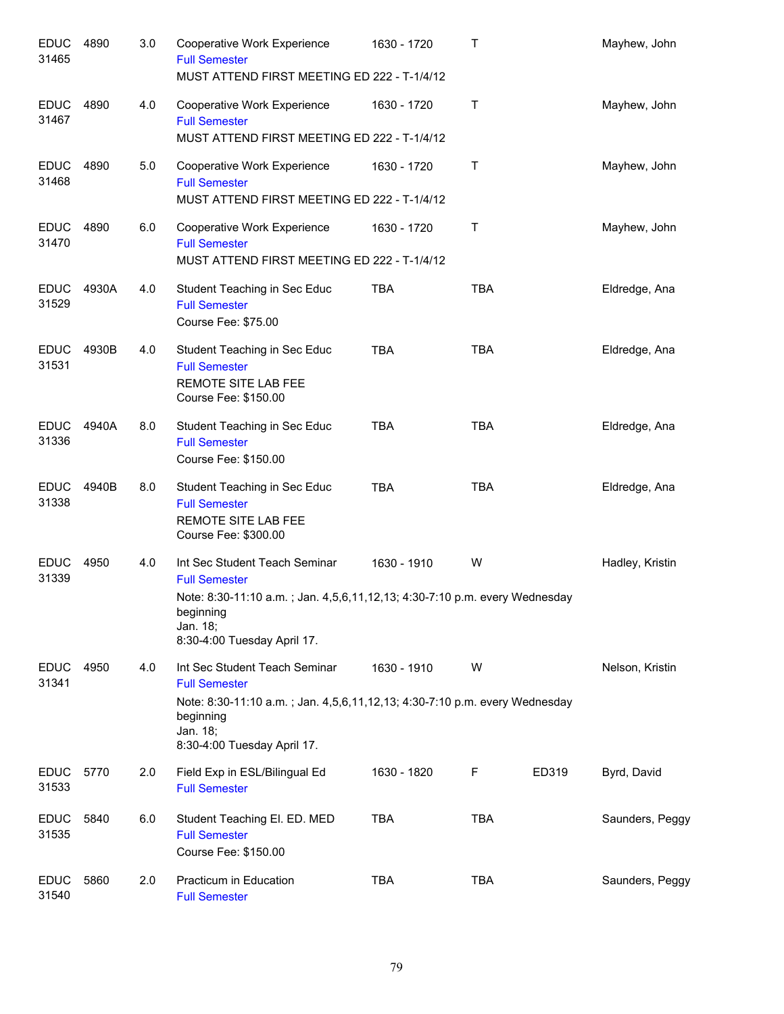| <b>EDUC</b><br>31465 | 4890  | 3.0 | Cooperative Work Experience<br><b>Full Semester</b><br>MUST ATTEND FIRST MEETING ED 222 - T-1/4/12                                                                                          | 1630 - 1720 | $\mathsf{T}$ |       | Mayhew, John    |
|----------------------|-------|-----|---------------------------------------------------------------------------------------------------------------------------------------------------------------------------------------------|-------------|--------------|-------|-----------------|
| <b>EDUC</b><br>31467 | 4890  | 4.0 | Cooperative Work Experience<br><b>Full Semester</b><br>MUST ATTEND FIRST MEETING ED 222 - T-1/4/12                                                                                          | 1630 - 1720 | Τ            |       | Mayhew, John    |
| <b>EDUC</b><br>31468 | 4890  | 5.0 | <b>Cooperative Work Experience</b><br><b>Full Semester</b><br>MUST ATTEND FIRST MEETING ED 222 - T-1/4/12                                                                                   | 1630 - 1720 | Τ            |       | Mayhew, John    |
| <b>EDUC</b><br>31470 | 4890  | 6.0 | Cooperative Work Experience<br><b>Full Semester</b><br>MUST ATTEND FIRST MEETING ED 222 - T-1/4/12                                                                                          | 1630 - 1720 | Τ            |       | Mayhew, John    |
| <b>EDUC</b><br>31529 | 4930A | 4.0 | Student Teaching in Sec Educ<br><b>Full Semester</b><br>Course Fee: \$75.00                                                                                                                 | <b>TBA</b>  | <b>TBA</b>   |       | Eldredge, Ana   |
| <b>EDUC</b><br>31531 | 4930B | 4.0 | Student Teaching in Sec Educ<br><b>Full Semester</b><br>REMOTE SITE LAB FEE<br>Course Fee: \$150.00                                                                                         | <b>TBA</b>  | <b>TBA</b>   |       | Eldredge, Ana   |
| <b>EDUC</b><br>31336 | 4940A | 8.0 | Student Teaching in Sec Educ<br><b>Full Semester</b><br>Course Fee: \$150.00                                                                                                                | <b>TBA</b>  | <b>TBA</b>   |       | Eldredge, Ana   |
| <b>EDUC</b><br>31338 | 4940B | 8.0 | Student Teaching in Sec Educ<br><b>Full Semester</b><br>REMOTE SITE LAB FEE<br>Course Fee: \$300.00                                                                                         | <b>TBA</b>  | <b>TBA</b>   |       | Eldredge, Ana   |
| <b>EDUC</b><br>31339 | 4950  | 4.0 | Int Sec Student Teach Seminar<br><b>Full Semester</b><br>Note: 8:30-11:10 a.m.; Jan. 4,5,6,11,12,13; 4:30-7:10 p.m. every Wednesday<br>beginning<br>Jan. 18;<br>8:30-4:00 Tuesday April 17. | 1630 - 1910 | W            |       | Hadley, Kristin |
| <b>EDUC</b><br>31341 | 4950  | 4.0 | Int Sec Student Teach Seminar<br><b>Full Semester</b><br>Note: 8:30-11:10 a.m.; Jan. 4,5,6,11,12,13; 4:30-7:10 p.m. every Wednesday<br>beginning<br>Jan. 18;<br>8:30-4:00 Tuesday April 17. | 1630 - 1910 | W            |       | Nelson, Kristin |
| <b>EDUC</b><br>31533 | 5770  | 2.0 | Field Exp in ESL/Bilingual Ed<br><b>Full Semester</b>                                                                                                                                       | 1630 - 1820 | F            | ED319 | Byrd, David     |
| <b>EDUC</b><br>31535 | 5840  | 6.0 | Student Teaching El. ED. MED<br><b>Full Semester</b><br>Course Fee: \$150.00                                                                                                                | <b>TBA</b>  | <b>TBA</b>   |       | Saunders, Peggy |
| <b>EDUC</b><br>31540 | 5860  | 2.0 | Practicum in Education<br><b>Full Semester</b>                                                                                                                                              | <b>TBA</b>  | <b>TBA</b>   |       | Saunders, Peggy |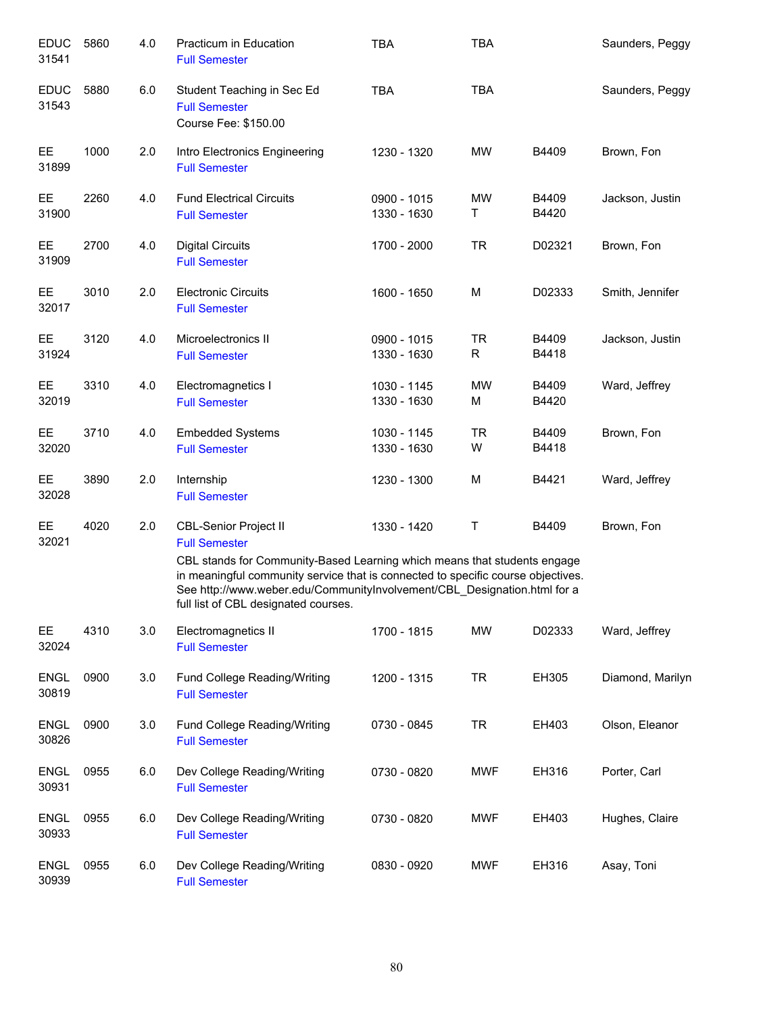| <b>EDUC</b><br>31541 | 5860 | 4.0 | Practicum in Education<br><b>Full Semester</b>                                                                                                                                                                                                                                                                                           | <b>TBA</b>                 | <b>TBA</b>     |                | Saunders, Peggy  |
|----------------------|------|-----|------------------------------------------------------------------------------------------------------------------------------------------------------------------------------------------------------------------------------------------------------------------------------------------------------------------------------------------|----------------------------|----------------|----------------|------------------|
| <b>EDUC</b><br>31543 | 5880 | 6.0 | Student Teaching in Sec Ed<br><b>Full Semester</b><br>Course Fee: \$150.00                                                                                                                                                                                                                                                               | <b>TBA</b>                 | <b>TBA</b>     |                | Saunders, Peggy  |
| EE<br>31899          | 1000 | 2.0 | Intro Electronics Engineering<br><b>Full Semester</b>                                                                                                                                                                                                                                                                                    | 1230 - 1320                | <b>MW</b>      | B4409          | Brown, Fon       |
| <b>EE</b><br>31900   | 2260 | 4.0 | <b>Fund Electrical Circuits</b><br><b>Full Semester</b>                                                                                                                                                                                                                                                                                  | 0900 - 1015<br>1330 - 1630 | MW<br>Τ        | B4409<br>B4420 | Jackson, Justin  |
| EE<br>31909          | 2700 | 4.0 | <b>Digital Circuits</b><br><b>Full Semester</b>                                                                                                                                                                                                                                                                                          | 1700 - 2000                | <b>TR</b>      | D02321         | Brown, Fon       |
| EE<br>32017          | 3010 | 2.0 | <b>Electronic Circuits</b><br><b>Full Semester</b>                                                                                                                                                                                                                                                                                       | 1600 - 1650                | M              | D02333         | Smith, Jennifer  |
| EE.<br>31924         | 3120 | 4.0 | Microelectronics II<br><b>Full Semester</b>                                                                                                                                                                                                                                                                                              | 0900 - 1015<br>1330 - 1630 | <b>TR</b><br>R | B4409<br>B4418 | Jackson, Justin  |
| EE.<br>32019         | 3310 | 4.0 | Electromagnetics I<br><b>Full Semester</b>                                                                                                                                                                                                                                                                                               | 1030 - 1145<br>1330 - 1630 | <b>MW</b><br>M | B4409<br>B4420 | Ward, Jeffrey    |
| EE.<br>32020         | 3710 | 4.0 | <b>Embedded Systems</b><br><b>Full Semester</b>                                                                                                                                                                                                                                                                                          | 1030 - 1145<br>1330 - 1630 | <b>TR</b><br>W | B4409<br>B4418 | Brown, Fon       |
| <b>EE</b><br>32028   | 3890 | 2.0 | Internship<br><b>Full Semester</b>                                                                                                                                                                                                                                                                                                       | 1230 - 1300                | M              | B4421          | Ward, Jeffrey    |
| <b>EE</b><br>32021   | 4020 | 2.0 | <b>CBL-Senior Project II</b><br><b>Full Semester</b><br>CBL stands for Community-Based Learning which means that students engage<br>in meaningful community service that is connected to specific course objectives.<br>See http://www.weber.edu/CommunityInvolvement/CBL_Designation.html for a<br>full list of CBL designated courses. | 1330 - 1420                | $\sf T$        | B4409          | Brown, Fon       |
| EE.<br>32024         | 4310 | 3.0 | Electromagnetics II<br><b>Full Semester</b>                                                                                                                                                                                                                                                                                              | 1700 - 1815                | <b>MW</b>      | D02333         | Ward, Jeffrey    |
| <b>ENGL</b><br>30819 | 0900 | 3.0 | Fund College Reading/Writing<br><b>Full Semester</b>                                                                                                                                                                                                                                                                                     | 1200 - 1315                | <b>TR</b>      | EH305          | Diamond, Marilyn |
| <b>ENGL</b><br>30826 | 0900 | 3.0 | Fund College Reading/Writing<br><b>Full Semester</b>                                                                                                                                                                                                                                                                                     | 0730 - 0845                | <b>TR</b>      | EH403          | Olson, Eleanor   |
| <b>ENGL</b><br>30931 | 0955 | 6.0 | Dev College Reading/Writing<br><b>Full Semester</b>                                                                                                                                                                                                                                                                                      | 0730 - 0820                | <b>MWF</b>     | EH316          | Porter, Carl     |
| <b>ENGL</b><br>30933 | 0955 | 6.0 | Dev College Reading/Writing<br><b>Full Semester</b>                                                                                                                                                                                                                                                                                      | 0730 - 0820                | <b>MWF</b>     | EH403          | Hughes, Claire   |
| <b>ENGL</b><br>30939 | 0955 | 6.0 | Dev College Reading/Writing<br><b>Full Semester</b>                                                                                                                                                                                                                                                                                      | 0830 - 0920                | <b>MWF</b>     | EH316          | Asay, Toni       |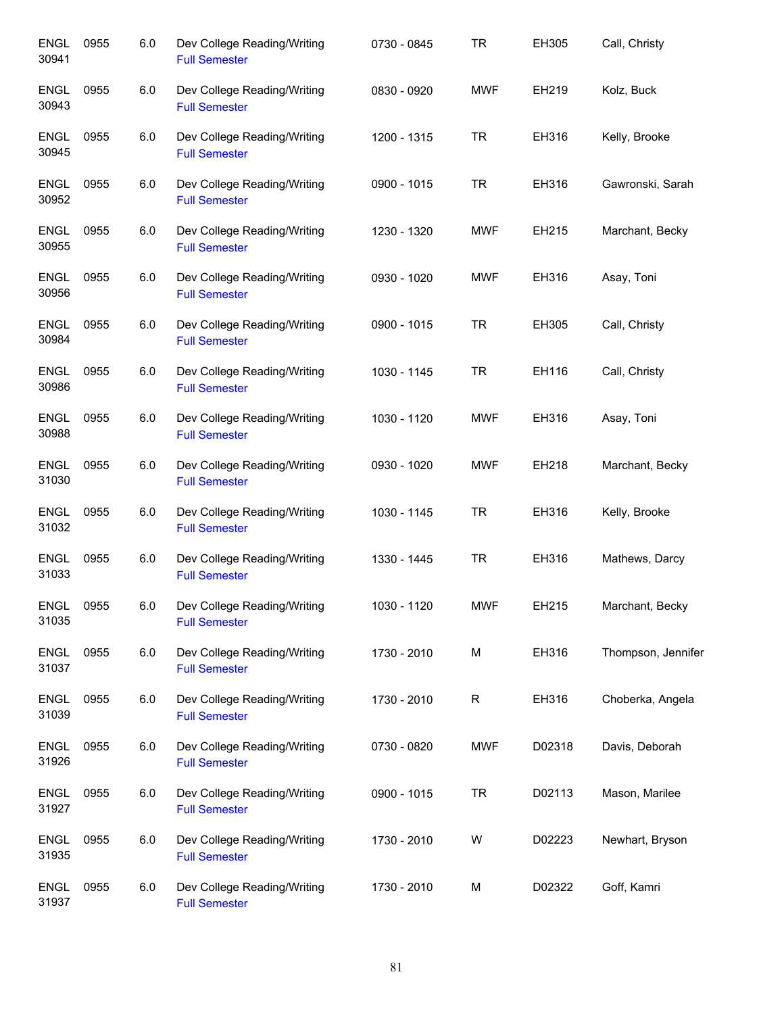| <b>ENGL</b><br>30941 | 0955 | 6.0 | Dev College Reading/Writing<br><b>Full Semester</b> | 0730 - 0845 | <b>TR</b>  | EH305  | Call, Christy      |
|----------------------|------|-----|-----------------------------------------------------|-------------|------------|--------|--------------------|
| <b>ENGL</b><br>30943 | 0955 | 6.0 | Dev College Reading/Writing<br><b>Full Semester</b> | 0830 - 0920 | <b>MWF</b> | EH219  | Kolz, Buck         |
| <b>ENGL</b><br>30945 | 0955 | 6.0 | Dev College Reading/Writing<br><b>Full Semester</b> | 1200 - 1315 | <b>TR</b>  | EH316  | Kelly, Brooke      |
| <b>ENGL</b><br>30952 | 0955 | 6.0 | Dev College Reading/Writing<br><b>Full Semester</b> | 0900 - 1015 | <b>TR</b>  | EH316  | Gawronski, Sarah   |
| <b>ENGL</b><br>30955 | 0955 | 6.0 | Dev College Reading/Writing<br><b>Full Semester</b> | 1230 - 1320 | <b>MWF</b> | EH215  | Marchant, Becky    |
| <b>ENGL</b><br>30956 | 0955 | 6.0 | Dev College Reading/Writing<br><b>Full Semester</b> | 0930 - 1020 | <b>MWF</b> | EH316  | Asay, Toni         |
| <b>ENGL</b><br>30984 | 0955 | 6.0 | Dev College Reading/Writing<br><b>Full Semester</b> | 0900 - 1015 | <b>TR</b>  | EH305  | Call, Christy      |
| <b>ENGL</b><br>30986 | 0955 | 6.0 | Dev College Reading/Writing<br><b>Full Semester</b> | 1030 - 1145 | <b>TR</b>  | EH116  | Call, Christy      |
| <b>ENGL</b><br>30988 | 0955 | 6.0 | Dev College Reading/Writing<br><b>Full Semester</b> | 1030 - 1120 | <b>MWF</b> | EH316  | Asay, Toni         |
| <b>ENGL</b><br>31030 | 0955 | 6.0 | Dev College Reading/Writing<br><b>Full Semester</b> | 0930 - 1020 | <b>MWF</b> | EH218  | Marchant, Becky    |
| <b>ENGL</b><br>31032 | 0955 | 6.0 | Dev College Reading/Writing<br><b>Full Semester</b> | 1030 - 1145 | <b>TR</b>  | EH316  | Kelly, Brooke      |
| <b>ENGL</b><br>31033 | 0955 | 6.0 | Dev College Reading/Writing<br><b>Full Semester</b> | 1330 - 1445 | <b>TR</b>  | EH316  | Mathews, Darcy     |
| <b>ENGL</b><br>31035 | 0955 | 6.0 | Dev College Reading/Writing<br><b>Full Semester</b> | 1030 - 1120 | MWF        | EH215  | Marchant, Becky    |
| <b>ENGL</b><br>31037 | 0955 | 6.0 | Dev College Reading/Writing<br><b>Full Semester</b> | 1730 - 2010 | M          | EH316  | Thompson, Jennifer |
| <b>ENGL</b><br>31039 | 0955 | 6.0 | Dev College Reading/Writing<br><b>Full Semester</b> | 1730 - 2010 | R          | EH316  | Choberka, Angela   |
| <b>ENGL</b><br>31926 | 0955 | 6.0 | Dev College Reading/Writing<br><b>Full Semester</b> | 0730 - 0820 | <b>MWF</b> | D02318 | Davis, Deborah     |
| <b>ENGL</b><br>31927 | 0955 | 6.0 | Dev College Reading/Writing<br><b>Full Semester</b> | 0900 - 1015 | <b>TR</b>  | D02113 | Mason, Marilee     |
| <b>ENGL</b><br>31935 | 0955 | 6.0 | Dev College Reading/Writing<br><b>Full Semester</b> | 1730 - 2010 | W          | D02223 | Newhart, Bryson    |
| <b>ENGL</b><br>31937 | 0955 | 6.0 | Dev College Reading/Writing<br><b>Full Semester</b> | 1730 - 2010 | М          | D02322 | Goff, Kamri        |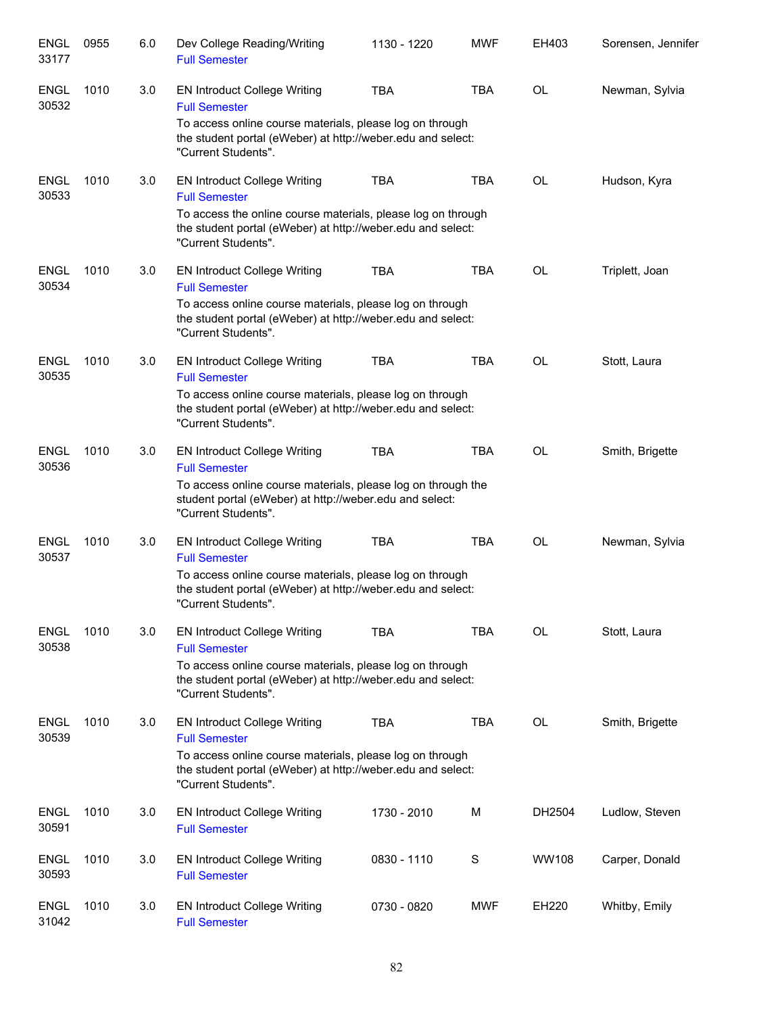| <b>ENGL</b><br>33177 | 0955 | 6.0 | Dev College Reading/Writing<br><b>Full Semester</b>                                                                                                                                        | 1130 - 1220 | <b>MWF</b>  | EH403     | Sorensen, Jennifer |
|----------------------|------|-----|--------------------------------------------------------------------------------------------------------------------------------------------------------------------------------------------|-------------|-------------|-----------|--------------------|
| <b>ENGL</b><br>30532 | 1010 | 3.0 | <b>EN Introduct College Writing</b><br><b>Full Semester</b>                                                                                                                                | <b>TBA</b>  | <b>TBA</b>  | OL        | Newman, Sylvia     |
|                      |      |     | To access online course materials, please log on through<br>the student portal (eWeber) at http://weber.edu and select:<br>"Current Students".                                             |             |             |           |                    |
| <b>ENGL</b><br>30533 | 1010 | 3.0 | <b>EN Introduct College Writing</b><br><b>Full Semester</b><br>To access the online course materials, please log on through<br>the student portal (eWeber) at http://weber.edu and select: | <b>TBA</b>  | <b>TBA</b>  | <b>OL</b> | Hudson, Kyra       |
|                      |      |     | "Current Students".                                                                                                                                                                        |             |             |           |                    |
| <b>ENGL</b><br>30534 | 1010 | 3.0 | <b>EN Introduct College Writing</b><br><b>Full Semester</b>                                                                                                                                | <b>TBA</b>  | <b>TBA</b>  | OL        | Triplett, Joan     |
|                      |      |     | To access online course materials, please log on through<br>the student portal (eWeber) at http://weber.edu and select:<br>"Current Students".                                             |             |             |           |                    |
| <b>ENGL</b><br>30535 | 1010 | 3.0 | <b>EN Introduct College Writing</b><br><b>Full Semester</b>                                                                                                                                | <b>TBA</b>  | <b>TBA</b>  | <b>OL</b> | Stott, Laura       |
|                      |      |     | To access online course materials, please log on through<br>the student portal (eWeber) at http://weber.edu and select:<br>"Current Students".                                             |             |             |           |                    |
| <b>ENGL</b><br>30536 | 1010 | 3.0 | <b>EN Introduct College Writing</b><br><b>Full Semester</b>                                                                                                                                | <b>TBA</b>  | <b>TBA</b>  | OL        | Smith, Brigette    |
|                      |      |     | To access online course materials, please log on through the<br>student portal (eWeber) at http://weber.edu and select:<br>"Current Students".                                             |             |             |           |                    |
| <b>ENGL</b><br>30537 | 1010 | 3.0 | <b>EN Introduct College Writing</b><br><b>Full Semester</b>                                                                                                                                | <b>TBA</b>  | <b>TBA</b>  | <b>OL</b> | Newman, Sylvia     |
|                      |      |     | To access online course materials, please log on through<br>the student portal (eWeber) at http://weber.edu and select:<br>"Current Students".                                             |             |             |           |                    |
| <b>ENGL</b><br>30538 | 1010 | 3.0 | <b>EN Introduct College Writing</b><br><b>Full Semester</b>                                                                                                                                | <b>TBA</b>  | <b>TBA</b>  | OL        | Stott, Laura       |
|                      |      |     | To access online course materials, please log on through<br>the student portal (eWeber) at http://weber.edu and select:<br>"Current Students".                                             |             |             |           |                    |
| <b>ENGL</b><br>30539 | 1010 | 3.0 | <b>EN Introduct College Writing</b><br><b>Full Semester</b>                                                                                                                                | <b>TBA</b>  | <b>TBA</b>  | <b>OL</b> | Smith, Brigette    |
|                      |      |     | To access online course materials, please log on through<br>the student portal (eWeber) at http://weber.edu and select:<br>"Current Students".                                             |             |             |           |                    |
| <b>ENGL</b><br>30591 | 1010 | 3.0 | EN Introduct College Writing<br><b>Full Semester</b>                                                                                                                                       | 1730 - 2010 | M           | DH2504    | Ludlow, Steven     |
| <b>ENGL</b><br>30593 | 1010 | 3.0 | <b>EN Introduct College Writing</b><br><b>Full Semester</b>                                                                                                                                | 0830 - 1110 | $\mathbf S$ | WW108     | Carper, Donald     |
| <b>ENGL</b><br>31042 | 1010 | 3.0 | <b>EN Introduct College Writing</b><br><b>Full Semester</b>                                                                                                                                | 0730 - 0820 | <b>MWF</b>  | EH220     | Whitby, Emily      |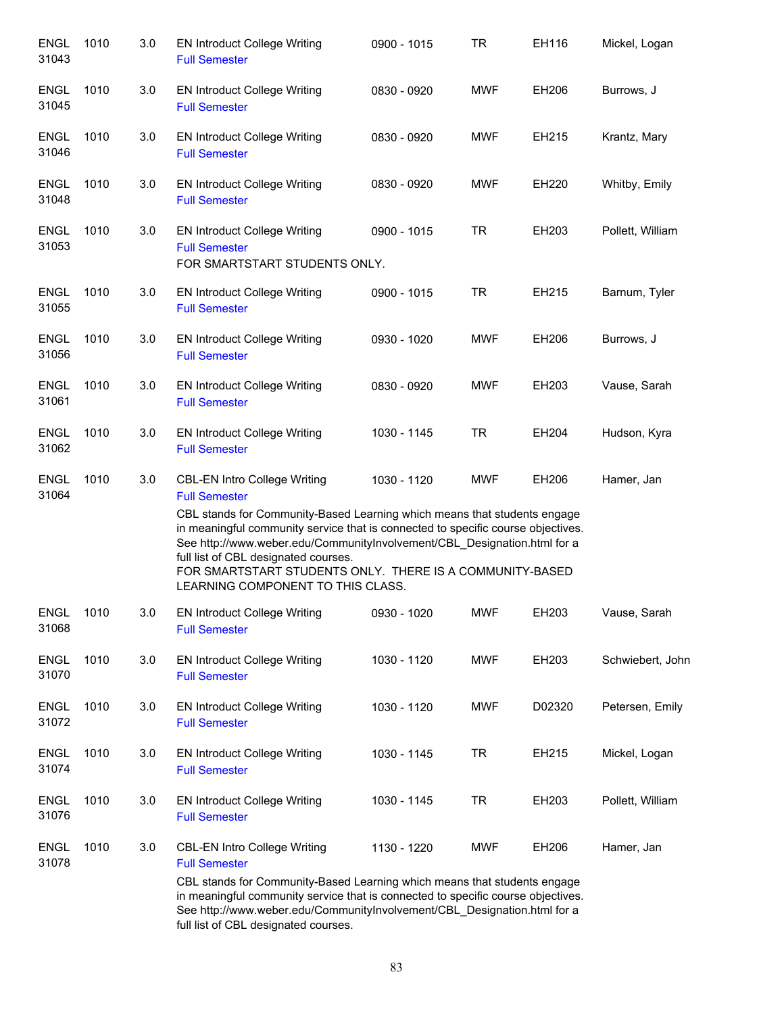| <b>ENGL</b><br>31043 | 1010 | 3.0 | <b>EN Introduct College Writing</b><br><b>Full Semester</b>                                                                                                                                                                                                                                                                                                                                                                                      | 0900 - 1015 | TR         | EH116  | Mickel, Logan    |
|----------------------|------|-----|--------------------------------------------------------------------------------------------------------------------------------------------------------------------------------------------------------------------------------------------------------------------------------------------------------------------------------------------------------------------------------------------------------------------------------------------------|-------------|------------|--------|------------------|
| <b>ENGL</b><br>31045 | 1010 | 3.0 | <b>EN Introduct College Writing</b><br><b>Full Semester</b>                                                                                                                                                                                                                                                                                                                                                                                      | 0830 - 0920 | <b>MWF</b> | EH206  | Burrows, J       |
| <b>ENGL</b><br>31046 | 1010 | 3.0 | <b>EN Introduct College Writing</b><br><b>Full Semester</b>                                                                                                                                                                                                                                                                                                                                                                                      | 0830 - 0920 | <b>MWF</b> | EH215  | Krantz, Mary     |
| <b>ENGL</b><br>31048 | 1010 | 3.0 | <b>EN Introduct College Writing</b><br><b>Full Semester</b>                                                                                                                                                                                                                                                                                                                                                                                      | 0830 - 0920 | <b>MWF</b> | EH220  | Whitby, Emily    |
| <b>ENGL</b><br>31053 | 1010 | 3.0 | <b>EN Introduct College Writing</b><br><b>Full Semester</b><br>FOR SMARTSTART STUDENTS ONLY.                                                                                                                                                                                                                                                                                                                                                     | 0900 - 1015 | <b>TR</b>  | EH203  | Pollett, William |
| <b>ENGL</b><br>31055 | 1010 | 3.0 | <b>EN Introduct College Writing</b><br><b>Full Semester</b>                                                                                                                                                                                                                                                                                                                                                                                      | 0900 - 1015 | <b>TR</b>  | EH215  | Barnum, Tyler    |
| <b>ENGL</b><br>31056 | 1010 | 3.0 | <b>EN Introduct College Writing</b><br><b>Full Semester</b>                                                                                                                                                                                                                                                                                                                                                                                      | 0930 - 1020 | <b>MWF</b> | EH206  | Burrows, J       |
| <b>ENGL</b><br>31061 | 1010 | 3.0 | <b>EN Introduct College Writing</b><br><b>Full Semester</b>                                                                                                                                                                                                                                                                                                                                                                                      | 0830 - 0920 | <b>MWF</b> | EH203  | Vause, Sarah     |
| <b>ENGL</b><br>31062 | 1010 | 3.0 | <b>EN Introduct College Writing</b><br><b>Full Semester</b>                                                                                                                                                                                                                                                                                                                                                                                      | 1030 - 1145 | <b>TR</b>  | EH204  | Hudson, Kyra     |
| <b>ENGL</b><br>31064 | 1010 | 3.0 | <b>CBL-EN Intro College Writing</b><br><b>Full Semester</b><br>CBL stands for Community-Based Learning which means that students engage<br>in meaningful community service that is connected to specific course objectives.<br>See http://www.weber.edu/CommunityInvolvement/CBL_Designation.html for a<br>full list of CBL designated courses.<br>FOR SMARTSTART STUDENTS ONLY. THERE IS A COMMUNITY-BASED<br>LEARNING COMPONENT TO THIS CLASS. | 1030 - 1120 | <b>MWF</b> | EH206  | Hamer, Jan       |
| <b>ENGL</b><br>31068 | 1010 | 3.0 | <b>EN Introduct College Writing</b><br><b>Full Semester</b>                                                                                                                                                                                                                                                                                                                                                                                      | 0930 - 1020 | <b>MWF</b> | EH203  | Vause, Sarah     |
| <b>ENGL</b><br>31070 | 1010 | 3.0 | <b>EN Introduct College Writing</b><br><b>Full Semester</b>                                                                                                                                                                                                                                                                                                                                                                                      | 1030 - 1120 | <b>MWF</b> | EH203  | Schwiebert, John |
| <b>ENGL</b><br>31072 | 1010 | 3.0 | <b>EN Introduct College Writing</b><br><b>Full Semester</b>                                                                                                                                                                                                                                                                                                                                                                                      | 1030 - 1120 | <b>MWF</b> | D02320 | Petersen, Emily  |
| <b>ENGL</b><br>31074 | 1010 | 3.0 | <b>EN Introduct College Writing</b><br><b>Full Semester</b>                                                                                                                                                                                                                                                                                                                                                                                      | 1030 - 1145 | <b>TR</b>  | EH215  | Mickel, Logan    |
| <b>ENGL</b><br>31076 | 1010 | 3.0 | <b>EN Introduct College Writing</b><br><b>Full Semester</b>                                                                                                                                                                                                                                                                                                                                                                                      | 1030 - 1145 | <b>TR</b>  | EH203  | Pollett, William |
| <b>ENGL</b><br>31078 | 1010 | 3.0 | <b>CBL-EN Intro College Writing</b><br><b>Full Semester</b><br>CBL stands for Community-Based Learning which means that students engage<br>in meaningful community service that is connected to specific course objectives.<br>See http://www.weber.edu/CommunityInvolvement/CBL_Designation.html for a<br>full list of CBL designated courses.                                                                                                  | 1130 - 1220 | <b>MWF</b> | EH206  | Hamer, Jan       |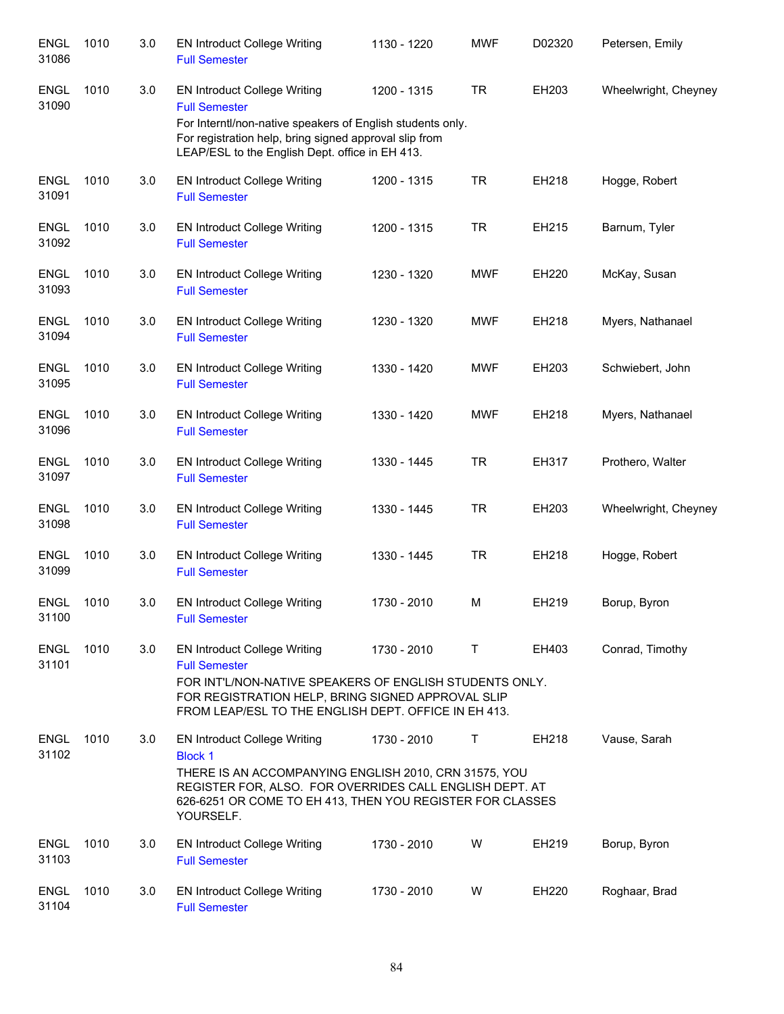| <b>ENGL</b><br>31086 | 1010 | 3.0 | <b>EN Introduct College Writing</b><br><b>Full Semester</b>                                                                                                                                                                                         | 1130 - 1220 | <b>MWF</b> | D02320 | Petersen, Emily      |
|----------------------|------|-----|-----------------------------------------------------------------------------------------------------------------------------------------------------------------------------------------------------------------------------------------------------|-------------|------------|--------|----------------------|
| <b>ENGL</b><br>31090 | 1010 | 3.0 | <b>EN Introduct College Writing</b><br><b>Full Semester</b><br>For Interntl/non-native speakers of English students only.<br>For registration help, bring signed approval slip from<br>LEAP/ESL to the English Dept. office in EH 413.              | 1200 - 1315 | <b>TR</b>  | EH203  | Wheelwright, Cheyney |
| <b>ENGL</b><br>31091 | 1010 | 3.0 | <b>EN Introduct College Writing</b><br><b>Full Semester</b>                                                                                                                                                                                         | 1200 - 1315 | <b>TR</b>  | EH218  | Hogge, Robert        |
| <b>ENGL</b><br>31092 | 1010 | 3.0 | <b>EN Introduct College Writing</b><br><b>Full Semester</b>                                                                                                                                                                                         | 1200 - 1315 | <b>TR</b>  | EH215  | Barnum, Tyler        |
| <b>ENGL</b><br>31093 | 1010 | 3.0 | <b>EN Introduct College Writing</b><br><b>Full Semester</b>                                                                                                                                                                                         | 1230 - 1320 | <b>MWF</b> | EH220  | McKay, Susan         |
| <b>ENGL</b><br>31094 | 1010 | 3.0 | <b>EN Introduct College Writing</b><br><b>Full Semester</b>                                                                                                                                                                                         | 1230 - 1320 | <b>MWF</b> | EH218  | Myers, Nathanael     |
| <b>ENGL</b><br>31095 | 1010 | 3.0 | <b>EN Introduct College Writing</b><br><b>Full Semester</b>                                                                                                                                                                                         | 1330 - 1420 | <b>MWF</b> | EH203  | Schwiebert, John     |
| <b>ENGL</b><br>31096 | 1010 | 3.0 | <b>EN Introduct College Writing</b><br><b>Full Semester</b>                                                                                                                                                                                         | 1330 - 1420 | <b>MWF</b> | EH218  | Myers, Nathanael     |
| <b>ENGL</b><br>31097 | 1010 | 3.0 | <b>EN Introduct College Writing</b><br><b>Full Semester</b>                                                                                                                                                                                         | 1330 - 1445 | <b>TR</b>  | EH317  | Prothero, Walter     |
| <b>ENGL</b><br>31098 | 1010 | 3.0 | <b>EN Introduct College Writing</b><br><b>Full Semester</b>                                                                                                                                                                                         | 1330 - 1445 | <b>TR</b>  | EH203  | Wheelwright, Cheyney |
| <b>ENGL</b><br>31099 | 1010 | 3.0 | <b>EN Introduct College Writing</b><br><b>Full Semester</b>                                                                                                                                                                                         | 1330 - 1445 | <b>TR</b>  | EH218  | Hogge, Robert        |
| <b>ENGL</b><br>31100 | 1010 | 3.0 | <b>EN Introduct College Writing</b><br><b>Full Semester</b>                                                                                                                                                                                         | 1730 - 2010 | M          | EH219  | Borup, Byron         |
| <b>ENGL</b><br>31101 | 1010 | 3.0 | <b>EN Introduct College Writing</b><br><b>Full Semester</b><br>FOR INT'L/NON-NATIVE SPEAKERS OF ENGLISH STUDENTS ONLY.<br>FOR REGISTRATION HELP, BRING SIGNED APPROVAL SLIP<br>FROM LEAP/ESL TO THE ENGLISH DEPT. OFFICE IN EH 413.                 | 1730 - 2010 | T          | EH403  | Conrad, Timothy      |
| <b>ENGL</b><br>31102 | 1010 | 3.0 | <b>EN Introduct College Writing</b><br><b>Block 1</b><br>THERE IS AN ACCOMPANYING ENGLISH 2010, CRN 31575, YOU<br>REGISTER FOR, ALSO. FOR OVERRIDES CALL ENGLISH DEPT. AT<br>626-6251 OR COME TO EH 413, THEN YOU REGISTER FOR CLASSES<br>YOURSELF. | 1730 - 2010 | Τ          | EH218  | Vause, Sarah         |
| <b>ENGL</b><br>31103 | 1010 | 3.0 | <b>EN Introduct College Writing</b><br><b>Full Semester</b>                                                                                                                                                                                         | 1730 - 2010 | W          | EH219  | Borup, Byron         |
| <b>ENGL</b><br>31104 | 1010 | 3.0 | <b>EN Introduct College Writing</b><br><b>Full Semester</b>                                                                                                                                                                                         | 1730 - 2010 | W          | EH220  | Roghaar, Brad        |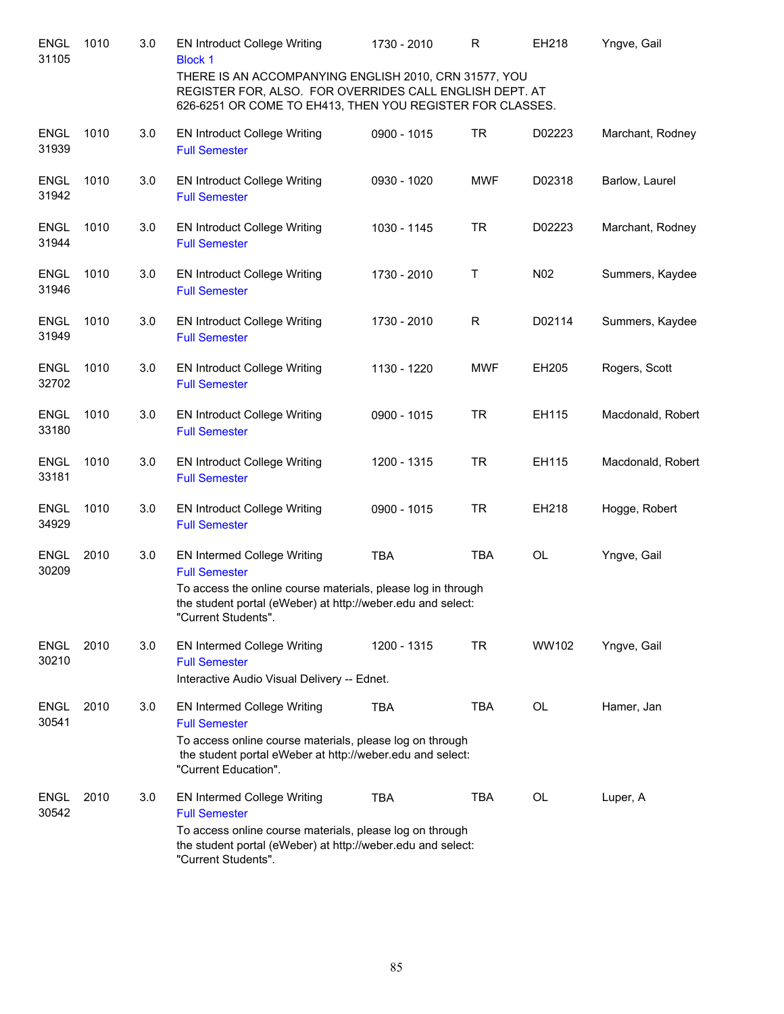| <b>ENGL</b><br>31105 | 1010 | 3.0 | <b>EN Introduct College Writing</b><br><b>Block 1</b><br>THERE IS AN ACCOMPANYING ENGLISH 2010, CRN 31577, YOU<br>REGISTER FOR, ALSO. FOR OVERRIDES CALL ENGLISH DEPT. AT<br>626-6251 OR COME TO EH413, THEN YOU REGISTER FOR CLASSES. | 1730 - 2010 | R          | EH218           | Yngve, Gail       |
|----------------------|------|-----|----------------------------------------------------------------------------------------------------------------------------------------------------------------------------------------------------------------------------------------|-------------|------------|-----------------|-------------------|
| <b>ENGL</b><br>31939 | 1010 | 3.0 | <b>EN Introduct College Writing</b><br><b>Full Semester</b>                                                                                                                                                                            | 0900 - 1015 | <b>TR</b>  | D02223          | Marchant, Rodney  |
| <b>ENGL</b><br>31942 | 1010 | 3.0 | <b>EN Introduct College Writing</b><br><b>Full Semester</b>                                                                                                                                                                            | 0930 - 1020 | <b>MWF</b> | D02318          | Barlow, Laurel    |
| <b>ENGL</b><br>31944 | 1010 | 3.0 | <b>EN Introduct College Writing</b><br><b>Full Semester</b>                                                                                                                                                                            | 1030 - 1145 | <b>TR</b>  | D02223          | Marchant, Rodney  |
| <b>ENGL</b><br>31946 | 1010 | 3.0 | <b>EN Introduct College Writing</b><br><b>Full Semester</b>                                                                                                                                                                            | 1730 - 2010 | Τ          | N <sub>02</sub> | Summers, Kaydee   |
| <b>ENGL</b><br>31949 | 1010 | 3.0 | <b>EN Introduct College Writing</b><br><b>Full Semester</b>                                                                                                                                                                            | 1730 - 2010 | R          | D02114          | Summers, Kaydee   |
| <b>ENGL</b><br>32702 | 1010 | 3.0 | <b>EN Introduct College Writing</b><br><b>Full Semester</b>                                                                                                                                                                            | 1130 - 1220 | <b>MWF</b> | EH205           | Rogers, Scott     |
| <b>ENGL</b><br>33180 | 1010 | 3.0 | <b>EN Introduct College Writing</b><br><b>Full Semester</b>                                                                                                                                                                            | 0900 - 1015 | <b>TR</b>  | EH115           | Macdonald, Robert |
| <b>ENGL</b><br>33181 | 1010 | 3.0 | <b>EN Introduct College Writing</b><br><b>Full Semester</b>                                                                                                                                                                            | 1200 - 1315 | <b>TR</b>  | EH115           | Macdonald, Robert |
| <b>ENGL</b><br>34929 | 1010 | 3.0 | <b>EN Introduct College Writing</b><br><b>Full Semester</b>                                                                                                                                                                            | 0900 - 1015 | <b>TR</b>  | EH218           | Hogge, Robert     |
| <b>ENGL</b><br>30209 | 2010 | 3.0 | EN Intermed College Writing<br><b>Full Semester</b><br>To access the online course materials, please log in through<br>the student portal (eWeber) at http://weber.edu and select:<br>"Current Students".                              | <b>TBA</b>  | <b>TBA</b> | OL              | Yngve, Gail       |
| <b>ENGL</b><br>30210 | 2010 | 3.0 | EN Intermed College Writing<br><b>Full Semester</b><br>Interactive Audio Visual Delivery -- Ednet.                                                                                                                                     | 1200 - 1315 | <b>TR</b>  | WW102           | Yngve, Gail       |
| <b>ENGL</b><br>30541 | 2010 | 3.0 | EN Intermed College Writing<br><b>Full Semester</b><br>To access online course materials, please log on through<br>the student portal eWeber at http://weber.edu and select:<br>"Current Education".                                   | <b>TBA</b>  | <b>TBA</b> | <b>OL</b>       | Hamer, Jan        |
| <b>ENGL</b><br>30542 | 2010 | 3.0 | EN Intermed College Writing<br><b>Full Semester</b><br>To access online course materials, please log on through<br>the student portal (eWeber) at http://weber.edu and select:<br>"Current Students".                                  | <b>TBA</b>  | <b>TBA</b> | OL              | Luper, A          |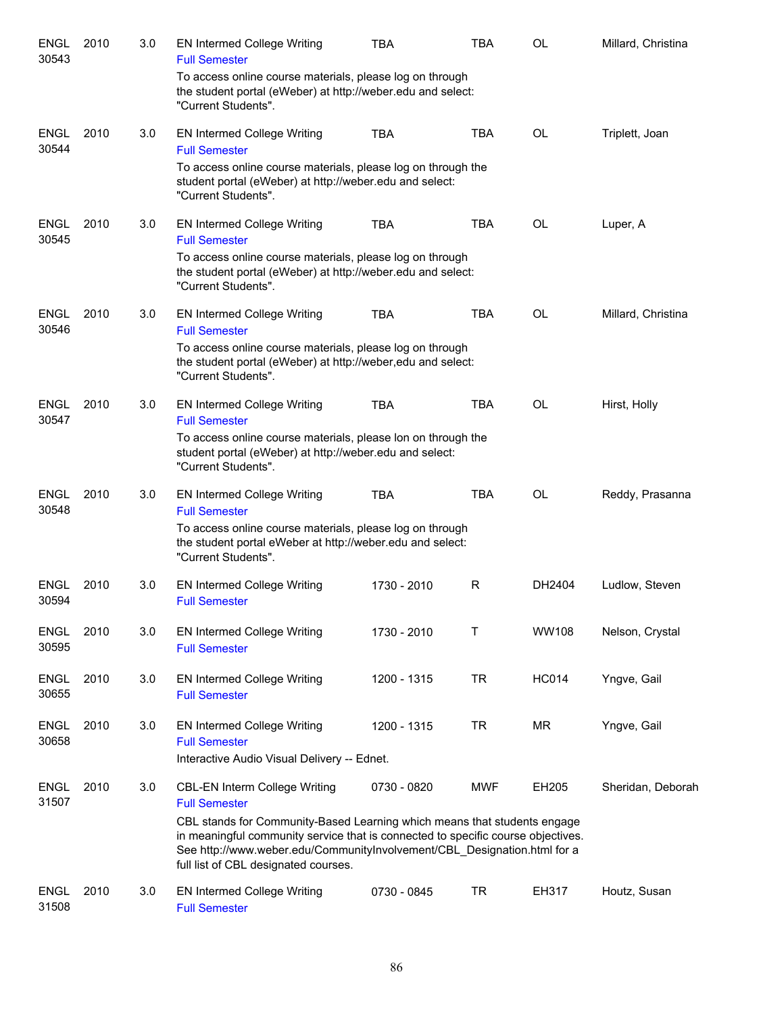| <b>ENGL</b><br>30543 | 2010 | 3.0 | <b>EN Intermed College Writing</b><br><b>Full Semester</b>                                                                                                                                                                                                                       | <b>TBA</b>  | TBA        | OL           | Millard, Christina |
|----------------------|------|-----|----------------------------------------------------------------------------------------------------------------------------------------------------------------------------------------------------------------------------------------------------------------------------------|-------------|------------|--------------|--------------------|
|                      |      |     | To access online course materials, please log on through<br>the student portal (eWeber) at http://weber.edu and select:<br>"Current Students".                                                                                                                                   |             |            |              |                    |
| <b>ENGL</b><br>30544 | 2010 | 3.0 | EN Intermed College Writing<br><b>Full Semester</b>                                                                                                                                                                                                                              | <b>TBA</b>  | <b>TBA</b> | <b>OL</b>    | Triplett, Joan     |
|                      |      |     | To access online course materials, please log on through the<br>student portal (eWeber) at http://weber.edu and select:<br>"Current Students".                                                                                                                                   |             |            |              |                    |
| <b>ENGL</b><br>30545 | 2010 | 3.0 | <b>EN Intermed College Writing</b><br><b>Full Semester</b>                                                                                                                                                                                                                       | <b>TBA</b>  | TBA        | OL           | Luper, A           |
|                      |      |     | To access online course materials, please log on through<br>the student portal (eWeber) at http://weber.edu and select:<br>"Current Students".                                                                                                                                   |             |            |              |                    |
| <b>ENGL</b><br>30546 | 2010 | 3.0 | EN Intermed College Writing<br><b>Full Semester</b>                                                                                                                                                                                                                              | <b>TBA</b>  | <b>TBA</b> | OL           | Millard, Christina |
|                      |      |     | To access online course materials, please log on through<br>the student portal (eWeber) at http://weber,edu and select:<br>"Current Students".                                                                                                                                   |             |            |              |                    |
| <b>ENGL</b><br>30547 | 2010 | 3.0 | EN Intermed College Writing<br><b>Full Semester</b>                                                                                                                                                                                                                              | <b>TBA</b>  | <b>TBA</b> | OL           | Hirst, Holly       |
|                      |      |     | To access online course materials, please lon on through the<br>student portal (eWeber) at http://weber.edu and select:<br>"Current Students".                                                                                                                                   |             |            |              |                    |
| <b>ENGL</b><br>30548 | 2010 | 3.0 | EN Intermed College Writing<br><b>Full Semester</b>                                                                                                                                                                                                                              | <b>TBA</b>  | <b>TBA</b> | <b>OL</b>    | Reddy, Prasanna    |
|                      |      |     | To access online course materials, please log on through<br>the student portal eWeber at http://weber.edu and select:<br>"Current Students".                                                                                                                                     |             |            |              |                    |
| ENGL<br>30594        | 2010 | 3.0 | EN Intermed College Writing<br><b>Full Semester</b>                                                                                                                                                                                                                              | 1730 - 2010 | R          | DH2404       | Ludlow, Steven     |
| <b>ENGL</b><br>30595 | 2010 | 3.0 | <b>EN Intermed College Writing</b><br><b>Full Semester</b>                                                                                                                                                                                                                       | 1730 - 2010 | Т          | WW108        | Nelson, Crystal    |
| <b>ENGL</b><br>30655 | 2010 | 3.0 | <b>EN Intermed College Writing</b><br><b>Full Semester</b>                                                                                                                                                                                                                       | 1200 - 1315 | <b>TR</b>  | <b>HC014</b> | Yngve, Gail        |
| <b>ENGL</b><br>30658 | 2010 | 3.0 | <b>EN Intermed College Writing</b><br><b>Full Semester</b><br>Interactive Audio Visual Delivery -- Ednet.                                                                                                                                                                        | 1200 - 1315 | <b>TR</b>  | <b>MR</b>    | Yngve, Gail        |
| <b>ENGL</b><br>31507 | 2010 | 3.0 | <b>CBL-EN Interm College Writing</b><br><b>Full Semester</b>                                                                                                                                                                                                                     | 0730 - 0820 | <b>MWF</b> | EH205        | Sheridan, Deborah  |
|                      |      |     | CBL stands for Community-Based Learning which means that students engage<br>in meaningful community service that is connected to specific course objectives.<br>See http://www.weber.edu/CommunityInvolvement/CBL_Designation.html for a<br>full list of CBL designated courses. |             |            |              |                    |
| <b>ENGL</b><br>31508 | 2010 | 3.0 | <b>EN Intermed College Writing</b><br><b>Full Semester</b>                                                                                                                                                                                                                       | 0730 - 0845 | <b>TR</b>  | EH317        | Houtz, Susan       |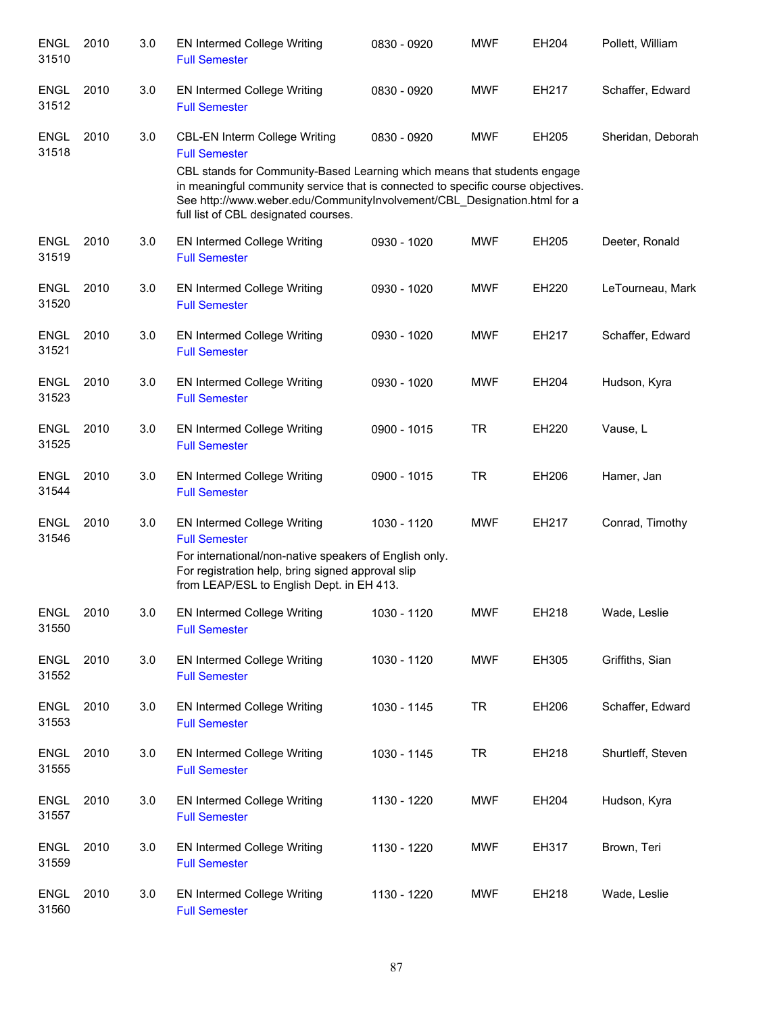| <b>ENGL</b><br>31510 | 2010 | 3.0 | <b>EN Intermed College Writing</b><br><b>Full Semester</b>                                                                                                                                                                                                                       | 0830 - 0920 | <b>MWF</b> | EH204 | Pollett, William  |
|----------------------|------|-----|----------------------------------------------------------------------------------------------------------------------------------------------------------------------------------------------------------------------------------------------------------------------------------|-------------|------------|-------|-------------------|
| <b>ENGL</b><br>31512 | 2010 | 3.0 | <b>EN Intermed College Writing</b><br><b>Full Semester</b>                                                                                                                                                                                                                       | 0830 - 0920 | <b>MWF</b> | EH217 | Schaffer, Edward  |
| <b>ENGL</b><br>31518 | 2010 | 3.0 | CBL-EN Interm College Writing<br><b>Full Semester</b>                                                                                                                                                                                                                            | 0830 - 0920 | <b>MWF</b> | EH205 | Sheridan, Deborah |
|                      |      |     | CBL stands for Community-Based Learning which means that students engage<br>in meaningful community service that is connected to specific course objectives.<br>See http://www.weber.edu/CommunityInvolvement/CBL_Designation.html for a<br>full list of CBL designated courses. |             |            |       |                   |
| <b>ENGL</b><br>31519 | 2010 | 3.0 | EN Intermed College Writing<br><b>Full Semester</b>                                                                                                                                                                                                                              | 0930 - 1020 | <b>MWF</b> | EH205 | Deeter, Ronald    |
| ENGL<br>31520        | 2010 | 3.0 | <b>EN Intermed College Writing</b><br><b>Full Semester</b>                                                                                                                                                                                                                       | 0930 - 1020 | <b>MWF</b> | EH220 | LeTourneau, Mark  |
| <b>ENGL</b><br>31521 | 2010 | 3.0 | <b>EN Intermed College Writing</b><br><b>Full Semester</b>                                                                                                                                                                                                                       | 0930 - 1020 | <b>MWF</b> | EH217 | Schaffer, Edward  |
| <b>ENGL</b><br>31523 | 2010 | 3.0 | <b>EN Intermed College Writing</b><br><b>Full Semester</b>                                                                                                                                                                                                                       | 0930 - 1020 | <b>MWF</b> | EH204 | Hudson, Kyra      |
| <b>ENGL</b><br>31525 | 2010 | 3.0 | <b>EN Intermed College Writing</b><br><b>Full Semester</b>                                                                                                                                                                                                                       | 0900 - 1015 | <b>TR</b>  | EH220 | Vause, L          |
| <b>ENGL</b><br>31544 | 2010 | 3.0 | EN Intermed College Writing<br><b>Full Semester</b>                                                                                                                                                                                                                              | 0900 - 1015 | <b>TR</b>  | EH206 | Hamer, Jan        |
| <b>ENGL</b><br>31546 | 2010 | 3.0 | EN Intermed College Writing<br><b>Full Semester</b>                                                                                                                                                                                                                              | 1030 - 1120 | <b>MWF</b> | EH217 | Conrad, Timothy   |
|                      |      |     | For international/non-native speakers of English only.<br>For registration help, bring signed approval slip<br>from LEAP/ESL to English Dept. in EH 413.                                                                                                                         |             |            |       |                   |
| <b>ENGL</b><br>31550 | 2010 | 3.0 | <b>EN Intermed College Writing</b><br><b>Full Semester</b>                                                                                                                                                                                                                       | 1030 - 1120 | <b>MWF</b> | EH218 | Wade, Leslie      |
| <b>ENGL</b><br>31552 | 2010 | 3.0 | <b>EN Intermed College Writing</b><br><b>Full Semester</b>                                                                                                                                                                                                                       | 1030 - 1120 | <b>MWF</b> | EH305 | Griffiths, Sian   |
| <b>ENGL</b><br>31553 | 2010 | 3.0 | <b>EN Intermed College Writing</b><br><b>Full Semester</b>                                                                                                                                                                                                                       | 1030 - 1145 | <b>TR</b>  | EH206 | Schaffer, Edward  |
| <b>ENGL</b><br>31555 | 2010 | 3.0 | <b>EN Intermed College Writing</b><br><b>Full Semester</b>                                                                                                                                                                                                                       | 1030 - 1145 | <b>TR</b>  | EH218 | Shurtleff, Steven |
| <b>ENGL</b><br>31557 | 2010 | 3.0 | EN Intermed College Writing<br><b>Full Semester</b>                                                                                                                                                                                                                              | 1130 - 1220 | <b>MWF</b> | EH204 | Hudson, Kyra      |
| <b>ENGL</b><br>31559 | 2010 | 3.0 | EN Intermed College Writing<br><b>Full Semester</b>                                                                                                                                                                                                                              | 1130 - 1220 | <b>MWF</b> | EH317 | Brown, Teri       |
| <b>ENGL</b><br>31560 | 2010 | 3.0 | <b>EN Intermed College Writing</b><br><b>Full Semester</b>                                                                                                                                                                                                                       | 1130 - 1220 | <b>MWF</b> | EH218 | Wade, Leslie      |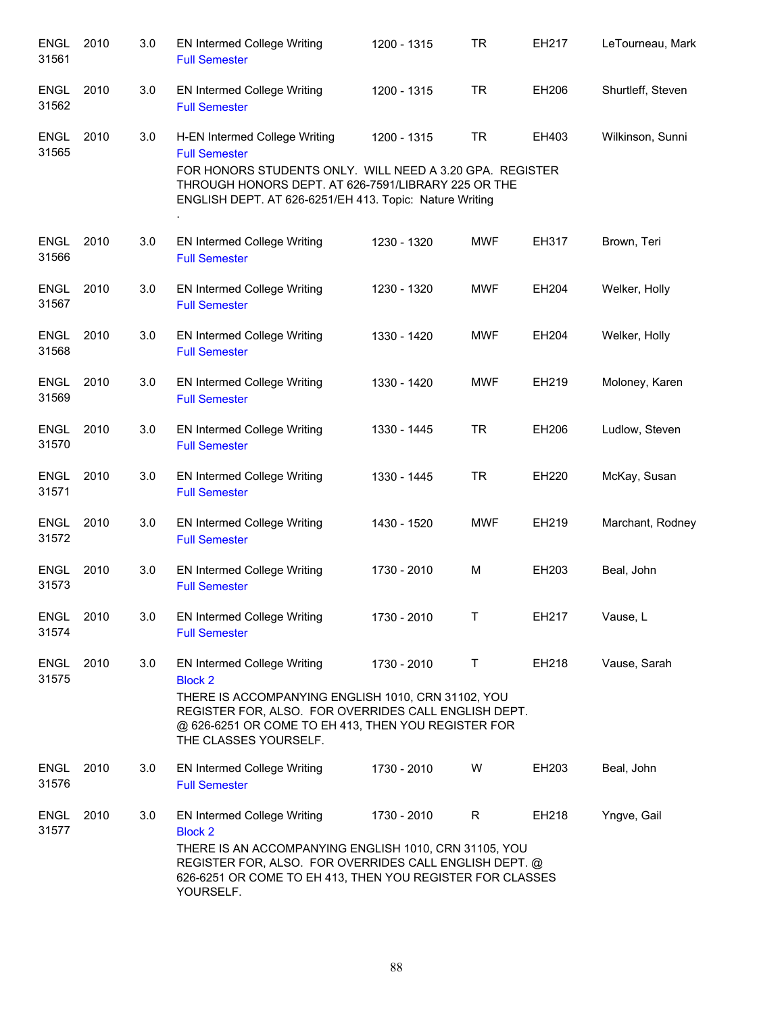| <b>ENGL</b><br>31561 | 2010 | 3.0 | EN Intermed College Writing<br><b>Full Semester</b>                                                                                                                                                                                               | 1200 - 1315 | <b>TR</b>  | EH217 | LeTourneau, Mark  |
|----------------------|------|-----|---------------------------------------------------------------------------------------------------------------------------------------------------------------------------------------------------------------------------------------------------|-------------|------------|-------|-------------------|
| <b>ENGL</b><br>31562 | 2010 | 3.0 | EN Intermed College Writing<br><b>Full Semester</b>                                                                                                                                                                                               | 1200 - 1315 | <b>TR</b>  | EH206 | Shurtleff, Steven |
| <b>ENGL</b><br>31565 | 2010 | 3.0 | H-EN Intermed College Writing<br><b>Full Semester</b><br>FOR HONORS STUDENTS ONLY. WILL NEED A 3.20 GPA. REGISTER<br>THROUGH HONORS DEPT. AT 626-7591/LIBRARY 225 OR THE<br>ENGLISH DEPT. AT 626-6251/EH 413. Topic: Nature Writing               | 1200 - 1315 | <b>TR</b>  | EH403 | Wilkinson, Sunni  |
| <b>ENGL</b><br>31566 | 2010 | 3.0 | EN Intermed College Writing<br><b>Full Semester</b>                                                                                                                                                                                               | 1230 - 1320 | <b>MWF</b> | EH317 | Brown, Teri       |
| <b>ENGL</b><br>31567 | 2010 | 3.0 | <b>EN Intermed College Writing</b><br><b>Full Semester</b>                                                                                                                                                                                        | 1230 - 1320 | <b>MWF</b> | EH204 | Welker, Holly     |
| ENGL<br>31568        | 2010 | 3.0 | EN Intermed College Writing<br><b>Full Semester</b>                                                                                                                                                                                               | 1330 - 1420 | <b>MWF</b> | EH204 | Welker, Holly     |
| <b>ENGL</b><br>31569 | 2010 | 3.0 | EN Intermed College Writing<br><b>Full Semester</b>                                                                                                                                                                                               | 1330 - 1420 | <b>MWF</b> | EH219 | Moloney, Karen    |
| <b>ENGL</b><br>31570 | 2010 | 3.0 | EN Intermed College Writing<br><b>Full Semester</b>                                                                                                                                                                                               | 1330 - 1445 | <b>TR</b>  | EH206 | Ludlow, Steven    |
| <b>ENGL</b><br>31571 | 2010 | 3.0 | EN Intermed College Writing<br><b>Full Semester</b>                                                                                                                                                                                               | 1330 - 1445 | <b>TR</b>  | EH220 | McKay, Susan      |
| ENGL<br>31572        | 2010 | 3.0 | EN Intermed College Writing<br><b>Full Semester</b>                                                                                                                                                                                               | 1430 - 1520 | <b>MWF</b> | EH219 | Marchant, Rodney  |
| <b>ENGL</b><br>31573 | 2010 | 3.0 | EN Intermed College Writing<br><b>Full Semester</b>                                                                                                                                                                                               | 1730 - 2010 | M          | EH203 | Beal, John        |
| <b>ENGL</b><br>31574 | 2010 | 3.0 | EN Intermed College Writing<br><b>Full Semester</b>                                                                                                                                                                                               | 1730 - 2010 | T          | EH217 | Vause, L          |
| <b>ENGL</b><br>31575 | 2010 | 3.0 | EN Intermed College Writing<br><b>Block 2</b><br>THERE IS ACCOMPANYING ENGLISH 1010, CRN 31102, YOU<br>REGISTER FOR, ALSO. FOR OVERRIDES CALL ENGLISH DEPT.<br>@ 626-6251 OR COME TO EH 413, THEN YOU REGISTER FOR<br>THE CLASSES YOURSELF.       | 1730 - 2010 | Τ          | EH218 | Vause, Sarah      |
| <b>ENGL</b><br>31576 | 2010 | 3.0 | <b>EN Intermed College Writing</b><br><b>Full Semester</b>                                                                                                                                                                                        | 1730 - 2010 | W          | EH203 | Beal, John        |
| <b>ENGL</b><br>31577 | 2010 | 3.0 | <b>EN Intermed College Writing</b><br><b>Block 2</b><br>THERE IS AN ACCOMPANYING ENGLISH 1010, CRN 31105, YOU<br>REGISTER FOR, ALSO. FOR OVERRIDES CALL ENGLISH DEPT. @<br>626-6251 OR COME TO EH 413, THEN YOU REGISTER FOR CLASSES<br>YOURSELF. | 1730 - 2010 | R          | EH218 | Yngve, Gail       |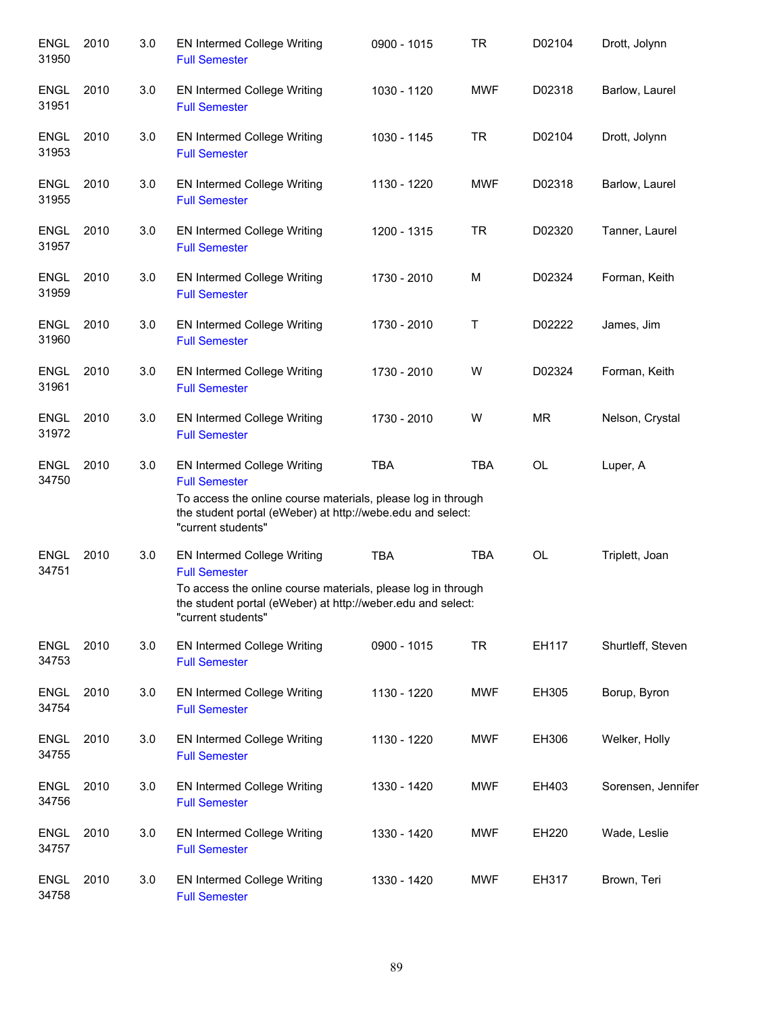| <b>ENGL</b><br>31950 | 2010 | 3.0 | <b>EN Intermed College Writing</b><br><b>Full Semester</b>                                                                                                                                                      | 0900 - 1015 | <b>TR</b>  | D02104    | Drott, Jolynn      |
|----------------------|------|-----|-----------------------------------------------------------------------------------------------------------------------------------------------------------------------------------------------------------------|-------------|------------|-----------|--------------------|
| <b>ENGL</b><br>31951 | 2010 | 3.0 | EN Intermed College Writing<br><b>Full Semester</b>                                                                                                                                                             | 1030 - 1120 | <b>MWF</b> | D02318    | Barlow, Laurel     |
| ENGL<br>31953        | 2010 | 3.0 | EN Intermed College Writing<br><b>Full Semester</b>                                                                                                                                                             | 1030 - 1145 | <b>TR</b>  | D02104    | Drott, Jolynn      |
| ENGL<br>31955        | 2010 | 3.0 | EN Intermed College Writing<br><b>Full Semester</b>                                                                                                                                                             | 1130 - 1220 | <b>MWF</b> | D02318    | Barlow, Laurel     |
| <b>ENGL</b><br>31957 | 2010 | 3.0 | <b>EN Intermed College Writing</b><br><b>Full Semester</b>                                                                                                                                                      | 1200 - 1315 | <b>TR</b>  | D02320    | Tanner, Laurel     |
| <b>ENGL</b><br>31959 | 2010 | 3.0 | <b>EN Intermed College Writing</b><br><b>Full Semester</b>                                                                                                                                                      | 1730 - 2010 | M          | D02324    | Forman, Keith      |
| <b>ENGL</b><br>31960 | 2010 | 3.0 | <b>EN Intermed College Writing</b><br><b>Full Semester</b>                                                                                                                                                      | 1730 - 2010 | Τ          | D02222    | James, Jim         |
| <b>ENGL</b><br>31961 | 2010 | 3.0 | <b>EN Intermed College Writing</b><br><b>Full Semester</b>                                                                                                                                                      | 1730 - 2010 | W          | D02324    | Forman, Keith      |
| <b>ENGL</b><br>31972 | 2010 | 3.0 | <b>EN Intermed College Writing</b><br><b>Full Semester</b>                                                                                                                                                      | 1730 - 2010 | W          | <b>MR</b> | Nelson, Crystal    |
| <b>ENGL</b><br>34750 | 2010 | 3.0 | <b>EN Intermed College Writing</b><br><b>Full Semester</b><br>To access the online course materials, please log in through<br>the student portal (eWeber) at http://webe.edu and select:<br>"current students"  | <b>TBA</b>  | <b>TBA</b> | OL        | Luper, A           |
| <b>ENGL</b><br>34751 | 2010 | 3.0 | <b>EN Intermed College Writing</b><br><b>Full Semester</b><br>To access the online course materials, please log in through<br>the student portal (eWeber) at http://weber.edu and select:<br>"current students" | <b>TBA</b>  | <b>TBA</b> | OL        | Triplett, Joan     |
| <b>ENGL</b><br>34753 | 2010 | 3.0 | EN Intermed College Writing<br><b>Full Semester</b>                                                                                                                                                             | 0900 - 1015 | <b>TR</b>  | EH117     | Shurtleff, Steven  |
| <b>ENGL</b><br>34754 | 2010 | 3.0 | <b>EN Intermed College Writing</b><br><b>Full Semester</b>                                                                                                                                                      | 1130 - 1220 | <b>MWF</b> | EH305     | Borup, Byron       |
| <b>ENGL</b><br>34755 | 2010 | 3.0 | <b>EN Intermed College Writing</b><br><b>Full Semester</b>                                                                                                                                                      | 1130 - 1220 | <b>MWF</b> | EH306     | Welker, Holly      |
| <b>ENGL</b><br>34756 | 2010 | 3.0 | <b>EN Intermed College Writing</b><br><b>Full Semester</b>                                                                                                                                                      | 1330 - 1420 | <b>MWF</b> | EH403     | Sorensen, Jennifer |
| <b>ENGL</b><br>34757 | 2010 | 3.0 | <b>EN Intermed College Writing</b><br><b>Full Semester</b>                                                                                                                                                      | 1330 - 1420 | <b>MWF</b> | EH220     | Wade, Leslie       |
| <b>ENGL</b><br>34758 | 2010 | 3.0 | <b>EN Intermed College Writing</b><br><b>Full Semester</b>                                                                                                                                                      | 1330 - 1420 | MWF        | EH317     | Brown, Teri        |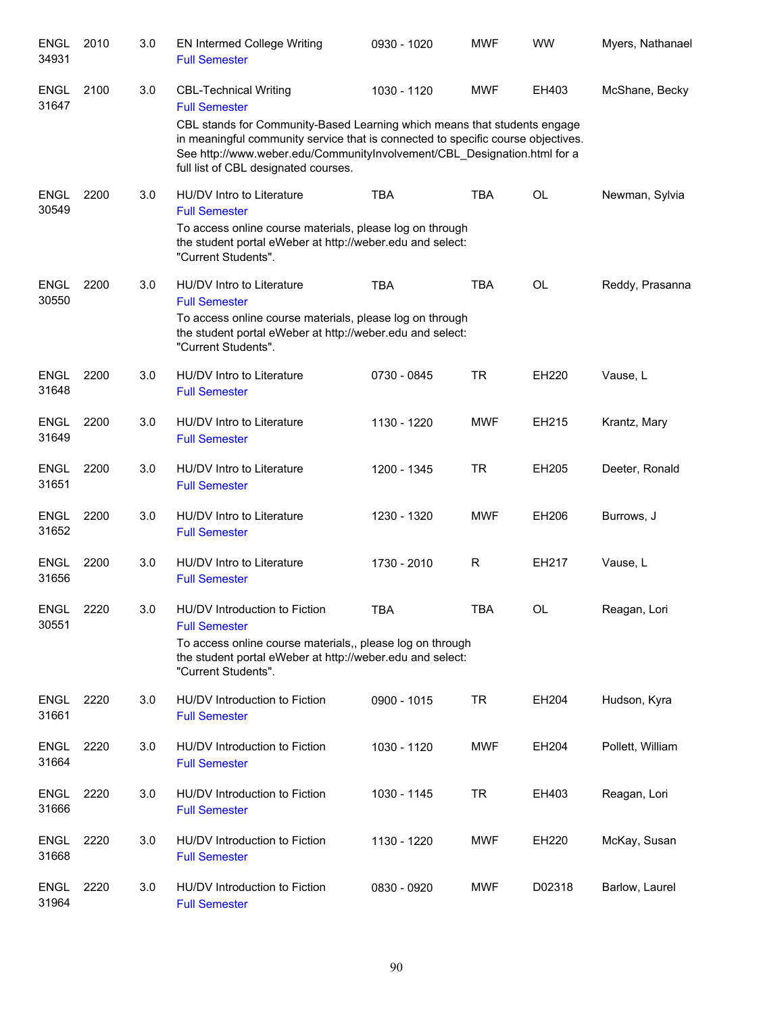| <b>ENGL</b><br>34931 | 2010 | 3.0 | <b>EN Intermed College Writing</b><br><b>Full Semester</b>                                                                                                                                                                                                                                                                               | 0930 - 1020 | <b>MWF</b> | <b>WW</b>    | Myers, Nathanael |
|----------------------|------|-----|------------------------------------------------------------------------------------------------------------------------------------------------------------------------------------------------------------------------------------------------------------------------------------------------------------------------------------------|-------------|------------|--------------|------------------|
| <b>ENGL</b><br>31647 | 2100 | 3.0 | <b>CBL-Technical Writing</b><br><b>Full Semester</b><br>CBL stands for Community-Based Learning which means that students engage<br>in meaningful community service that is connected to specific course objectives.<br>See http://www.weber.edu/CommunityInvolvement/CBL_Designation.html for a<br>full list of CBL designated courses. | 1030 - 1120 | <b>MWF</b> | EH403        | McShane, Becky   |
| <b>ENGL</b><br>30549 | 2200 | 3.0 | HU/DV Intro to Literature<br><b>Full Semester</b><br>To access online course materials, please log on through<br>the student portal eWeber at http://weber.edu and select:<br>"Current Students".                                                                                                                                        | <b>TBA</b>  | <b>TBA</b> | <b>OL</b>    | Newman, Sylvia   |
| <b>ENGL</b><br>30550 | 2200 | 3.0 | HU/DV Intro to Literature<br><b>Full Semester</b><br>To access online course materials, please log on through<br>the student portal eWeber at http://weber.edu and select:<br>"Current Students".                                                                                                                                        | <b>TBA</b>  | <b>TBA</b> | <b>OL</b>    | Reddy, Prasanna  |
| <b>ENGL</b><br>31648 | 2200 | 3.0 | HU/DV Intro to Literature<br><b>Full Semester</b>                                                                                                                                                                                                                                                                                        | 0730 - 0845 | <b>TR</b>  | <b>EH220</b> | Vause, L         |
| <b>ENGL</b><br>31649 | 2200 | 3.0 | HU/DV Intro to Literature<br><b>Full Semester</b>                                                                                                                                                                                                                                                                                        | 1130 - 1220 | <b>MWF</b> | EH215        | Krantz, Mary     |
| <b>ENGL</b><br>31651 | 2200 | 3.0 | HU/DV Intro to Literature<br><b>Full Semester</b>                                                                                                                                                                                                                                                                                        | 1200 - 1345 | <b>TR</b>  | EH205        | Deeter, Ronald   |
| <b>ENGL</b><br>31652 | 2200 | 3.0 | HU/DV Intro to Literature<br><b>Full Semester</b>                                                                                                                                                                                                                                                                                        | 1230 - 1320 | <b>MWF</b> | EH206        | Burrows, J       |
| <b>ENGL</b><br>31656 | 2200 | 3.0 | HU/DV Intro to Literature<br><b>Full Semester</b>                                                                                                                                                                                                                                                                                        | 1730 - 2010 | R          | EH217        | Vause, L         |
| <b>ENGL</b><br>30551 | 2220 | 3.0 | HU/DV Introduction to Fiction<br><b>Full Semester</b><br>To access online course materials,, please log on through<br>the student portal eWeber at http://weber.edu and select:<br>"Current Students".                                                                                                                                   | <b>TBA</b>  | <b>TBA</b> | OL           | Reagan, Lori     |
| <b>ENGL</b><br>31661 | 2220 | 3.0 | HU/DV Introduction to Fiction<br><b>Full Semester</b>                                                                                                                                                                                                                                                                                    | 0900 - 1015 | <b>TR</b>  | EH204        | Hudson, Kyra     |
| <b>ENGL</b><br>31664 | 2220 | 3.0 | HU/DV Introduction to Fiction<br><b>Full Semester</b>                                                                                                                                                                                                                                                                                    | 1030 - 1120 | MWF        | EH204        | Pollett, William |
| <b>ENGL</b><br>31666 | 2220 | 3.0 | HU/DV Introduction to Fiction<br><b>Full Semester</b>                                                                                                                                                                                                                                                                                    | 1030 - 1145 | TR         | EH403        | Reagan, Lori     |
| <b>ENGL</b><br>31668 | 2220 | 3.0 | HU/DV Introduction to Fiction<br><b>Full Semester</b>                                                                                                                                                                                                                                                                                    | 1130 - 1220 | MWF        | EH220        | McKay, Susan     |
| <b>ENGL</b><br>31964 | 2220 | 3.0 | HU/DV Introduction to Fiction<br><b>Full Semester</b>                                                                                                                                                                                                                                                                                    | 0830 - 0920 | MWF        | D02318       | Barlow, Laurel   |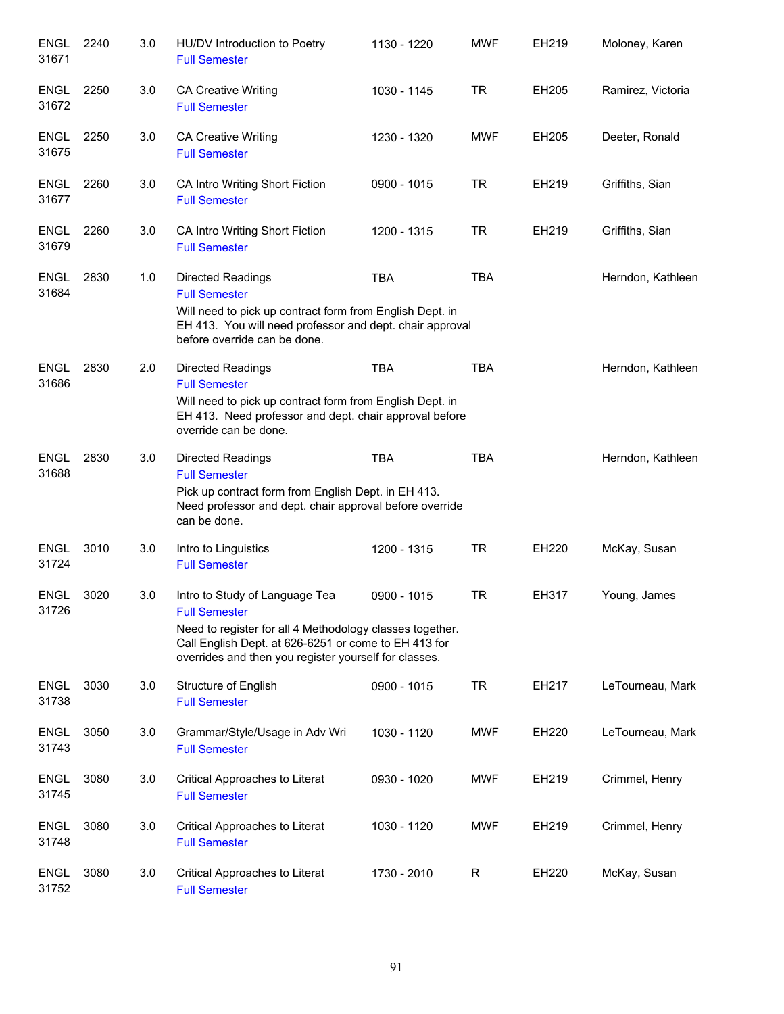| <b>ENGL</b><br>31671 | 2240 | 3.0 | HU/DV Introduction to Poetry<br><b>Full Semester</b>                                                                                                                                                                                | 1130 - 1220 | <b>MWF</b>   | EH219 | Moloney, Karen    |
|----------------------|------|-----|-------------------------------------------------------------------------------------------------------------------------------------------------------------------------------------------------------------------------------------|-------------|--------------|-------|-------------------|
| <b>ENGL</b><br>31672 | 2250 | 3.0 | <b>CA Creative Writing</b><br><b>Full Semester</b>                                                                                                                                                                                  | 1030 - 1145 | TR           | EH205 | Ramirez, Victoria |
| <b>ENGL</b><br>31675 | 2250 | 3.0 | CA Creative Writing<br><b>Full Semester</b>                                                                                                                                                                                         | 1230 - 1320 | <b>MWF</b>   | EH205 | Deeter, Ronald    |
| ENGL<br>31677        | 2260 | 3.0 | CA Intro Writing Short Fiction<br><b>Full Semester</b>                                                                                                                                                                              | 0900 - 1015 | <b>TR</b>    | EH219 | Griffiths, Sian   |
| <b>ENGL</b><br>31679 | 2260 | 3.0 | CA Intro Writing Short Fiction<br><b>Full Semester</b>                                                                                                                                                                              | 1200 - 1315 | <b>TR</b>    | EH219 | Griffiths, Sian   |
| <b>ENGL</b><br>31684 | 2830 | 1.0 | Directed Readings<br><b>Full Semester</b><br>Will need to pick up contract form from English Dept. in<br>EH 413. You will need professor and dept. chair approval<br>before override can be done.                                   | <b>TBA</b>  | <b>TBA</b>   |       | Herndon, Kathleen |
| <b>ENGL</b><br>31686 | 2830 | 2.0 | Directed Readings<br><b>Full Semester</b><br>Will need to pick up contract form from English Dept. in<br>EH 413. Need professor and dept. chair approval before<br>override can be done.                                            | <b>TBA</b>  | <b>TBA</b>   |       | Herndon, Kathleen |
| <b>ENGL</b><br>31688 | 2830 | 3.0 | <b>Directed Readings</b><br><b>Full Semester</b><br>Pick up contract form from English Dept. in EH 413.<br>Need professor and dept. chair approval before override<br>can be done.                                                  | <b>TBA</b>  | <b>TBA</b>   |       | Herndon, Kathleen |
| <b>ENGL</b><br>31724 | 3010 | 3.0 | Intro to Linguistics<br><b>Full Semester</b>                                                                                                                                                                                        | 1200 - 1315 | <b>TR</b>    | EH220 | McKay, Susan      |
| <b>ENGL</b><br>31726 | 3020 | 3.0 | Intro to Study of Language Tea<br><b>Full Semester</b><br>Need to register for all 4 Methodology classes together.<br>Call English Dept. at 626-6251 or come to EH 413 for<br>overrides and then you register yourself for classes. | 0900 - 1015 | <b>TR</b>    | EH317 | Young, James      |
| <b>ENGL</b><br>31738 | 3030 | 3.0 | Structure of English<br><b>Full Semester</b>                                                                                                                                                                                        | 0900 - 1015 | <b>TR</b>    | EH217 | LeTourneau, Mark  |
| <b>ENGL</b><br>31743 | 3050 | 3.0 | Grammar/Style/Usage in Adv Wri<br><b>Full Semester</b>                                                                                                                                                                              | 1030 - 1120 | <b>MWF</b>   | EH220 | LeTourneau, Mark  |
| <b>ENGL</b><br>31745 | 3080 | 3.0 | Critical Approaches to Literat<br><b>Full Semester</b>                                                                                                                                                                              | 0930 - 1020 | <b>MWF</b>   | EH219 | Crimmel, Henry    |
| <b>ENGL</b><br>31748 | 3080 | 3.0 | Critical Approaches to Literat<br><b>Full Semester</b>                                                                                                                                                                              | 1030 - 1120 | <b>MWF</b>   | EH219 | Crimmel, Henry    |
| <b>ENGL</b><br>31752 | 3080 | 3.0 | Critical Approaches to Literat<br><b>Full Semester</b>                                                                                                                                                                              | 1730 - 2010 | $\mathsf{R}$ | EH220 | McKay, Susan      |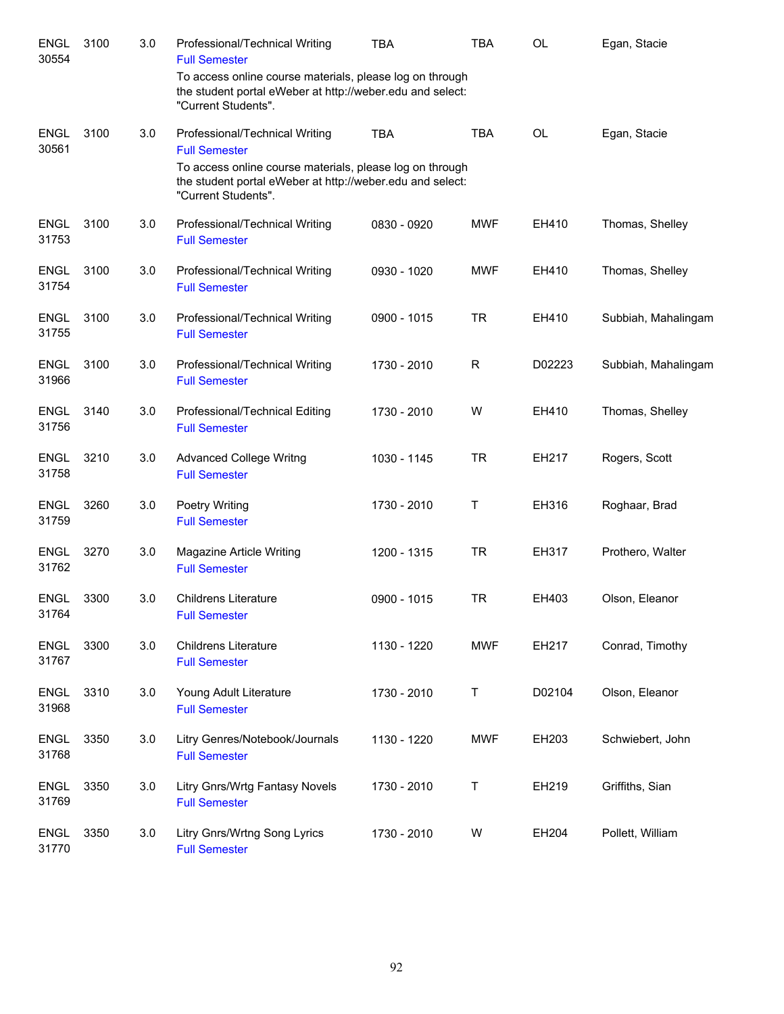| <b>ENGL</b><br>30554 | 3100 | 3.0 | Professional/Technical Writing<br><b>Full Semester</b>                                                                                       | <b>TBA</b>  | <b>TBA</b>  | <b>OL</b> | Egan, Stacie        |
|----------------------|------|-----|----------------------------------------------------------------------------------------------------------------------------------------------|-------------|-------------|-----------|---------------------|
|                      |      |     | To access online course materials, please log on through<br>the student portal eWeber at http://weber.edu and select:<br>"Current Students". |             |             |           |                     |
| <b>ENGL</b><br>30561 | 3100 | 3.0 | Professional/Technical Writing<br><b>Full Semester</b>                                                                                       | <b>TBA</b>  | <b>TBA</b>  | <b>OL</b> | Egan, Stacie        |
|                      |      |     | To access online course materials, please log on through<br>the student portal eWeber at http://weber.edu and select:<br>"Current Students". |             |             |           |                     |
| <b>ENGL</b><br>31753 | 3100 | 3.0 | Professional/Technical Writing<br><b>Full Semester</b>                                                                                       | 0830 - 0920 | <b>MWF</b>  | EH410     | Thomas, Shelley     |
| <b>ENGL</b><br>31754 | 3100 | 3.0 | Professional/Technical Writing<br><b>Full Semester</b>                                                                                       | 0930 - 1020 | <b>MWF</b>  | EH410     | Thomas, Shelley     |
| <b>ENGL</b><br>31755 | 3100 | 3.0 | Professional/Technical Writing<br><b>Full Semester</b>                                                                                       | 0900 - 1015 | <b>TR</b>   | EH410     | Subbiah, Mahalingam |
| <b>ENGL</b><br>31966 | 3100 | 3.0 | Professional/Technical Writing<br><b>Full Semester</b>                                                                                       | 1730 - 2010 | R           | D02223    | Subbiah, Mahalingam |
| <b>ENGL</b><br>31756 | 3140 | 3.0 | Professional/Technical Editing<br><b>Full Semester</b>                                                                                       | 1730 - 2010 | W           | EH410     | Thomas, Shelley     |
| <b>ENGL</b><br>31758 | 3210 | 3.0 | <b>Advanced College Writng</b><br><b>Full Semester</b>                                                                                       | 1030 - 1145 | <b>TR</b>   | EH217     | Rogers, Scott       |
| <b>ENGL</b><br>31759 | 3260 | 3.0 | Poetry Writing<br><b>Full Semester</b>                                                                                                       | 1730 - 2010 | Τ           | EH316     | Roghaar, Brad       |
| <b>ENGL</b><br>31762 | 3270 | 3.0 | Magazine Article Writing<br><b>Full Semester</b>                                                                                             | 1200 - 1315 | <b>TR</b>   | EH317     | Prothero, Walter    |
| <b>ENGL</b><br>31764 | 3300 | 3.0 | <b>Childrens Literature</b><br><b>Full Semester</b>                                                                                          | 0900 - 1015 | <b>TR</b>   | EH403     | Olson, Eleanor      |
| <b>ENGL</b><br>31767 | 3300 | 3.0 | <b>Childrens Literature</b><br><b>Full Semester</b>                                                                                          | 1130 - 1220 | <b>MWF</b>  | EH217     | Conrad, Timothy     |
| <b>ENGL</b><br>31968 | 3310 | 3.0 | Young Adult Literature<br><b>Full Semester</b>                                                                                               | 1730 - 2010 | Τ           | D02104    | Olson, Eleanor      |
| <b>ENGL</b><br>31768 | 3350 | 3.0 | Litry Genres/Notebook/Journals<br><b>Full Semester</b>                                                                                       | 1130 - 1220 | <b>MWF</b>  | EH203     | Schwiebert, John    |
| <b>ENGL</b><br>31769 | 3350 | 3.0 | Litry Gnrs/Wrtg Fantasy Novels<br><b>Full Semester</b>                                                                                       | 1730 - 2010 | $\mathsf T$ | EH219     | Griffiths, Sian     |
| <b>ENGL</b><br>31770 | 3350 | 3.0 | Litry Gnrs/Wrtng Song Lyrics<br><b>Full Semester</b>                                                                                         | 1730 - 2010 | W           | EH204     | Pollett, William    |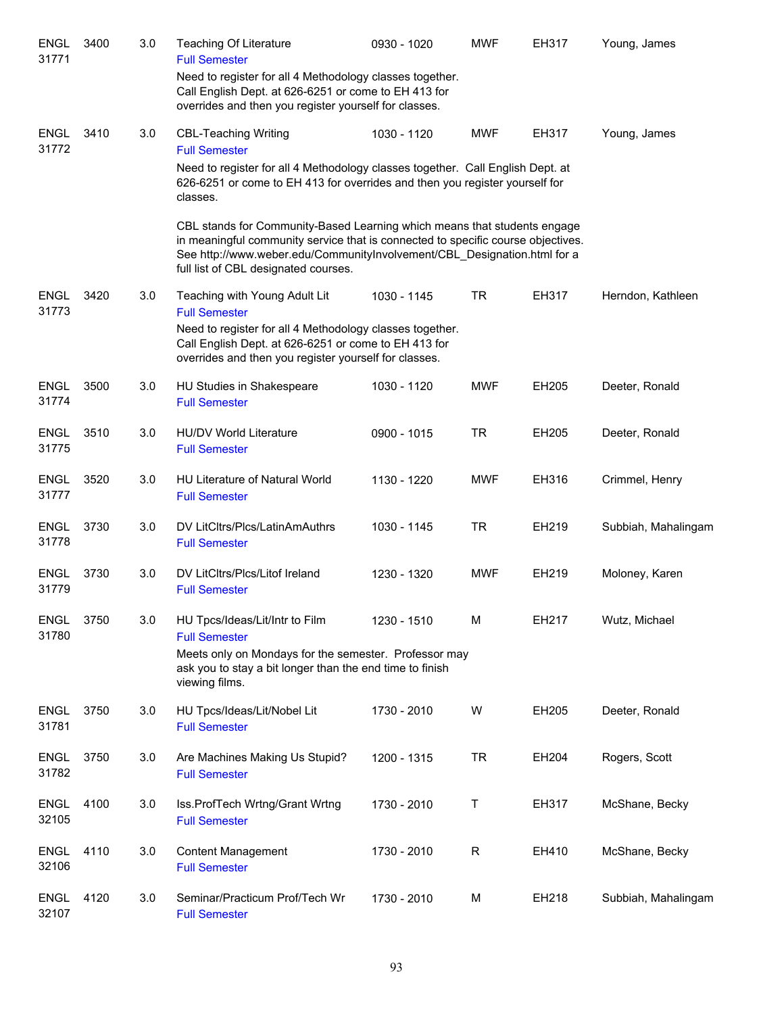| <b>ENGL</b><br>31771 | 3400 | 3.0 | <b>Teaching Of Literature</b><br><b>Full Semester</b>                                                                                                                                                                                                                            | 0930 - 1020 | <b>MWF</b>  | EH317 | Young, James        |
|----------------------|------|-----|----------------------------------------------------------------------------------------------------------------------------------------------------------------------------------------------------------------------------------------------------------------------------------|-------------|-------------|-------|---------------------|
|                      |      |     | Need to register for all 4 Methodology classes together.<br>Call English Dept. at 626-6251 or come to EH 413 for<br>overrides and then you register yourself for classes.                                                                                                        |             |             |       |                     |
| <b>ENGL</b><br>31772 | 3410 | 3.0 | <b>CBL-Teaching Writing</b><br><b>Full Semester</b>                                                                                                                                                                                                                              | 1030 - 1120 | <b>MWF</b>  | EH317 | Young, James        |
|                      |      |     | Need to register for all 4 Methodology classes together. Call English Dept. at<br>626-6251 or come to EH 413 for overrides and then you register yourself for<br>classes.                                                                                                        |             |             |       |                     |
|                      |      |     | CBL stands for Community-Based Learning which means that students engage<br>in meaningful community service that is connected to specific course objectives.<br>See http://www.weber.edu/CommunityInvolvement/CBL_Designation.html for a<br>full list of CBL designated courses. |             |             |       |                     |
| <b>ENGL</b><br>31773 | 3420 | 3.0 | Teaching with Young Adult Lit<br><b>Full Semester</b>                                                                                                                                                                                                                            | 1030 - 1145 | <b>TR</b>   | EH317 | Herndon, Kathleen   |
|                      |      |     | Need to register for all 4 Methodology classes together.<br>Call English Dept. at 626-6251 or come to EH 413 for<br>overrides and then you register yourself for classes.                                                                                                        |             |             |       |                     |
| <b>ENGL</b><br>31774 | 3500 | 3.0 | HU Studies in Shakespeare<br><b>Full Semester</b>                                                                                                                                                                                                                                | 1030 - 1120 | <b>MWF</b>  | EH205 | Deeter, Ronald      |
| <b>ENGL</b><br>31775 | 3510 | 3.0 | <b>HU/DV World Literature</b><br><b>Full Semester</b>                                                                                                                                                                                                                            | 0900 - 1015 | <b>TR</b>   | EH205 | Deeter, Ronald      |
| <b>ENGL</b><br>31777 | 3520 | 3.0 | <b>HU Literature of Natural World</b><br><b>Full Semester</b>                                                                                                                                                                                                                    | 1130 - 1220 | <b>MWF</b>  | EH316 | Crimmel, Henry      |
| <b>ENGL</b><br>31778 | 3730 | 3.0 | DV LitCltrs/Plcs/LatinAmAuthrs<br><b>Full Semester</b>                                                                                                                                                                                                                           | 1030 - 1145 | <b>TR</b>   | EH219 | Subbiah, Mahalingam |
| ENGL<br>31779        | 3730 | 3.0 | DV LitCltrs/Plcs/Litof Ireland<br><b>Full Semester</b>                                                                                                                                                                                                                           | 1230 - 1320 | <b>MWF</b>  | EH219 | Moloney, Karen      |
| <b>ENGL</b><br>31780 | 3750 | 3.0 | HU Tpcs/Ideas/Lit/Intr to Film<br><b>Full Semester</b>                                                                                                                                                                                                                           | 1230 - 1510 | M           | EH217 | Wutz, Michael       |
|                      |      |     | Meets only on Mondays for the semester. Professor may<br>ask you to stay a bit longer than the end time to finish<br>viewing films.                                                                                                                                              |             |             |       |                     |
| <b>ENGL</b><br>31781 | 3750 | 3.0 | HU Tpcs/Ideas/Lit/Nobel Lit<br><b>Full Semester</b>                                                                                                                                                                                                                              | 1730 - 2010 | W           | EH205 | Deeter, Ronald      |
| <b>ENGL</b><br>31782 | 3750 | 3.0 | Are Machines Making Us Stupid?<br><b>Full Semester</b>                                                                                                                                                                                                                           | 1200 - 1315 | <b>TR</b>   | EH204 | Rogers, Scott       |
| <b>ENGL</b><br>32105 | 4100 | 3.0 | Iss.ProfTech Wrtng/Grant Wrtng<br><b>Full Semester</b>                                                                                                                                                                                                                           | 1730 - 2010 | Τ           | EH317 | McShane, Becky      |
| <b>ENGL</b><br>32106 | 4110 | 3.0 | <b>Content Management</b><br><b>Full Semester</b>                                                                                                                                                                                                                                | 1730 - 2010 | $\mathsf R$ | EH410 | McShane, Becky      |
| <b>ENGL</b><br>32107 | 4120 | 3.0 | Seminar/Practicum Prof/Tech Wr<br><b>Full Semester</b>                                                                                                                                                                                                                           | 1730 - 2010 | M           | EH218 | Subbiah, Mahalingam |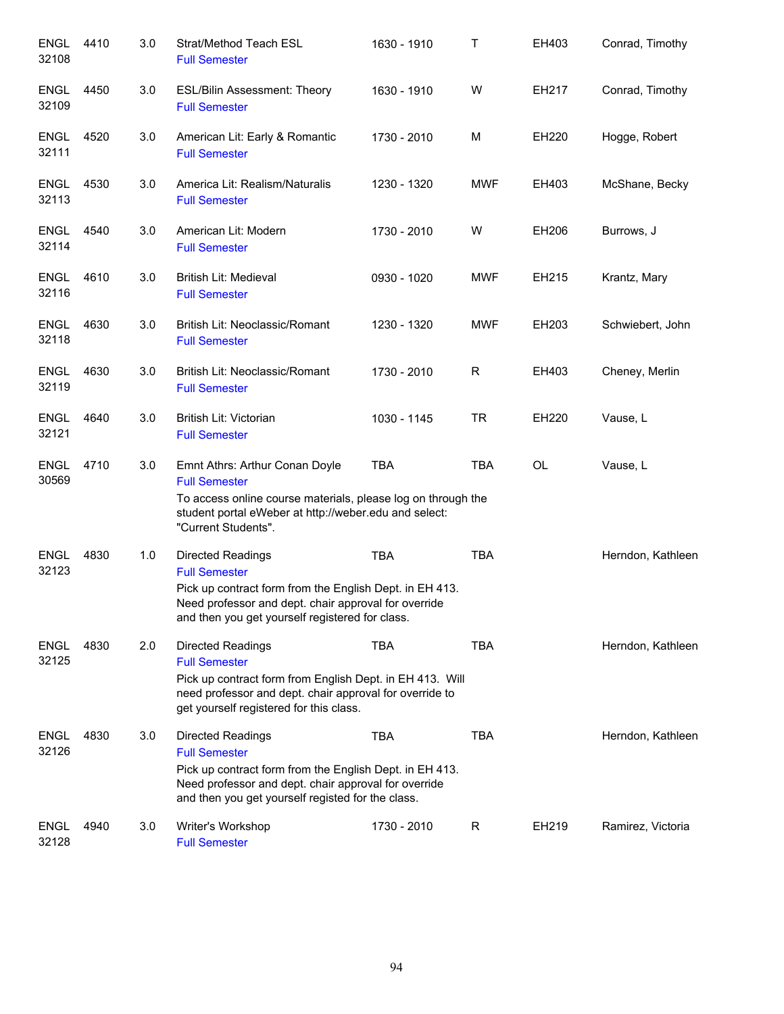| <b>ENGL</b><br>32108 | 4410 | 3.0 | Strat/Method Teach ESL<br><b>Full Semester</b>                                                                                                                                                                           | 1630 - 1910 | Τ          | EH403     | Conrad, Timothy   |
|----------------------|------|-----|--------------------------------------------------------------------------------------------------------------------------------------------------------------------------------------------------------------------------|-------------|------------|-----------|-------------------|
| ENGL<br>32109        | 4450 | 3.0 | <b>ESL/Bilin Assessment: Theory</b><br><b>Full Semester</b>                                                                                                                                                              | 1630 - 1910 | W          | EH217     | Conrad, Timothy   |
| <b>ENGL</b><br>32111 | 4520 | 3.0 | American Lit: Early & Romantic<br><b>Full Semester</b>                                                                                                                                                                   | 1730 - 2010 | M          | EH220     | Hogge, Robert     |
| <b>ENGL</b><br>32113 | 4530 | 3.0 | America Lit: Realism/Naturalis<br><b>Full Semester</b>                                                                                                                                                                   | 1230 - 1320 | <b>MWF</b> | EH403     | McShane, Becky    |
| <b>ENGL</b><br>32114 | 4540 | 3.0 | American Lit: Modern<br><b>Full Semester</b>                                                                                                                                                                             | 1730 - 2010 | W          | EH206     | Burrows, J        |
| <b>ENGL</b><br>32116 | 4610 | 3.0 | British Lit: Medieval<br><b>Full Semester</b>                                                                                                                                                                            | 0930 - 1020 | <b>MWF</b> | EH215     | Krantz, Mary      |
| <b>ENGL</b><br>32118 | 4630 | 3.0 | British Lit: Neoclassic/Romant<br><b>Full Semester</b>                                                                                                                                                                   | 1230 - 1320 | <b>MWF</b> | EH203     | Schwiebert, John  |
| ENGL<br>32119        | 4630 | 3.0 | British Lit: Neoclassic/Romant<br><b>Full Semester</b>                                                                                                                                                                   | 1730 - 2010 | R          | EH403     | Cheney, Merlin    |
| <b>ENGL</b><br>32121 | 4640 | 3.0 | British Lit: Victorian<br><b>Full Semester</b>                                                                                                                                                                           | 1030 - 1145 | <b>TR</b>  | EH220     | Vause, L          |
| <b>ENGL</b><br>30569 | 4710 | 3.0 | Emnt Athrs: Arthur Conan Doyle<br><b>Full Semester</b><br>To access online course materials, please log on through the<br>student portal eWeber at http://weber.edu and select:<br>"Current Students".                   | <b>TBA</b>  | <b>TBA</b> | <b>OL</b> | Vause, L          |
| <b>ENGL</b><br>32123 | 4830 | 1.0 | Directed Readings<br><b>Full Semester</b><br>Pick up contract form from the English Dept. in EH 413.<br>Need professor and dept. chair approval for override<br>and then you get yourself registered for class.          | <b>TBA</b>  | <b>TBA</b> |           | Herndon, Kathleen |
| <b>ENGL</b><br>32125 | 4830 | 2.0 | <b>Directed Readings</b><br><b>Full Semester</b><br>Pick up contract form from English Dept. in EH 413. Will<br>need professor and dept. chair approval for override to<br>get yourself registered for this class.       | <b>TBA</b>  | <b>TBA</b> |           | Herndon, Kathleen |
| <b>ENGL</b><br>32126 | 4830 | 3.0 | <b>Directed Readings</b><br><b>Full Semester</b><br>Pick up contract form from the English Dept. in EH 413.<br>Need professor and dept. chair approval for override<br>and then you get yourself registed for the class. | <b>TBA</b>  | <b>TBA</b> |           | Herndon, Kathleen |
| <b>ENGL</b><br>32128 | 4940 | 3.0 | Writer's Workshop<br><b>Full Semester</b>                                                                                                                                                                                | 1730 - 2010 | R          | EH219     | Ramirez, Victoria |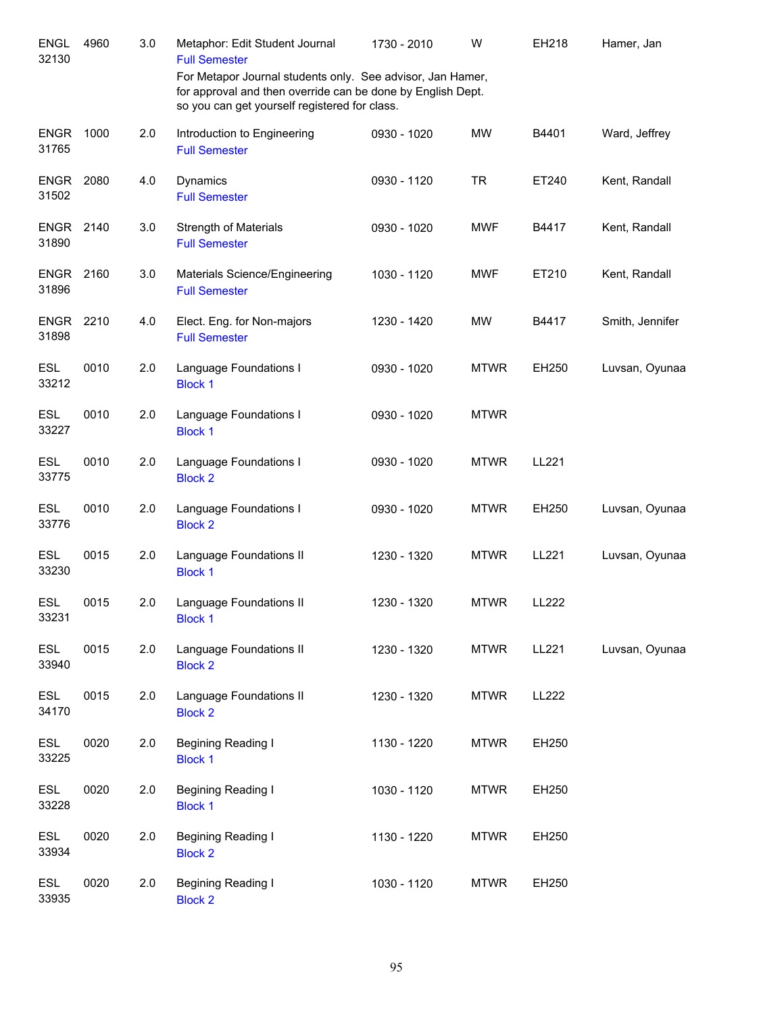| <b>ENGL</b><br>32130      | 4960 | 3.0 | Metaphor: Edit Student Journal<br><b>Full Semester</b><br>For Metapor Journal students only. See advisor, Jan Hamer, | 1730 - 2010 | W           | EH218        | Hamer, Jan      |
|---------------------------|------|-----|----------------------------------------------------------------------------------------------------------------------|-------------|-------------|--------------|-----------------|
|                           |      |     | for approval and then override can be done by English Dept.<br>so you can get yourself registered for class.         |             |             |              |                 |
| <b>ENGR</b><br>31765      | 1000 | 2.0 | Introduction to Engineering<br><b>Full Semester</b>                                                                  | 0930 - 1020 | <b>MW</b>   | B4401        | Ward, Jeffrey   |
| <b>ENGR</b><br>31502      | 2080 | 4.0 | Dynamics<br><b>Full Semester</b>                                                                                     | 0930 - 1120 | <b>TR</b>   | ET240        | Kent, Randall   |
| ENGR<br>31890             | 2140 | 3.0 | <b>Strength of Materials</b><br><b>Full Semester</b>                                                                 | 0930 - 1020 | <b>MWF</b>  | B4417        | Kent, Randall   |
| <b>ENGR 2160</b><br>31896 |      | 3.0 | Materials Science/Engineering<br><b>Full Semester</b>                                                                | 1030 - 1120 | <b>MWF</b>  | ET210        | Kent, Randall   |
| <b>ENGR</b><br>31898      | 2210 | 4.0 | Elect. Eng. for Non-majors<br><b>Full Semester</b>                                                                   | 1230 - 1420 | MW          | B4417        | Smith, Jennifer |
| <b>ESL</b><br>33212       | 0010 | 2.0 | Language Foundations I<br><b>Block 1</b>                                                                             | 0930 - 1020 | <b>MTWR</b> | EH250        | Luvsan, Oyunaa  |
| <b>ESL</b><br>33227       | 0010 | 2.0 | Language Foundations I<br><b>Block 1</b>                                                                             | 0930 - 1020 | <b>MTWR</b> |              |                 |
| <b>ESL</b><br>33775       | 0010 | 2.0 | Language Foundations I<br><b>Block 2</b>                                                                             | 0930 - 1020 | <b>MTWR</b> | LL221        |                 |
| <b>ESL</b><br>33776       | 0010 | 2.0 | Language Foundations I<br><b>Block 2</b>                                                                             | 0930 - 1020 | <b>MTWR</b> | EH250        | Luvsan, Oyunaa  |
| <b>ESL</b><br>33230       | 0015 | 2.0 | Language Foundations II<br><b>Block 1</b>                                                                            | 1230 - 1320 | <b>MTWR</b> | LL221        | Luvsan, Oyunaa  |
| <b>ESL</b><br>33231       | 0015 | 2.0 | Language Foundations II<br><b>Block 1</b>                                                                            | 1230 - 1320 | <b>MTWR</b> | LL222        |                 |
| ESL<br>33940              | 0015 | 2.0 | Language Foundations II<br><b>Block 2</b>                                                                            | 1230 - 1320 | <b>MTWR</b> | LL221        | Luvsan, Oyunaa  |
| ESL<br>34170              | 0015 | 2.0 | Language Foundations II<br><b>Block 2</b>                                                                            | 1230 - 1320 | <b>MTWR</b> | <b>LL222</b> |                 |
| ESL<br>33225              | 0020 | 2.0 | Begining Reading I<br><b>Block 1</b>                                                                                 | 1130 - 1220 | <b>MTWR</b> | EH250        |                 |
| ESL<br>33228              | 0020 | 2.0 | Begining Reading I<br><b>Block 1</b>                                                                                 | 1030 - 1120 | <b>MTWR</b> | EH250        |                 |
| ESL<br>33934              | 0020 | 2.0 | Begining Reading I<br><b>Block 2</b>                                                                                 | 1130 - 1220 | <b>MTWR</b> | EH250        |                 |
| ESL<br>33935              | 0020 | 2.0 | Begining Reading I<br><b>Block 2</b>                                                                                 | 1030 - 1120 | <b>MTWR</b> | EH250        |                 |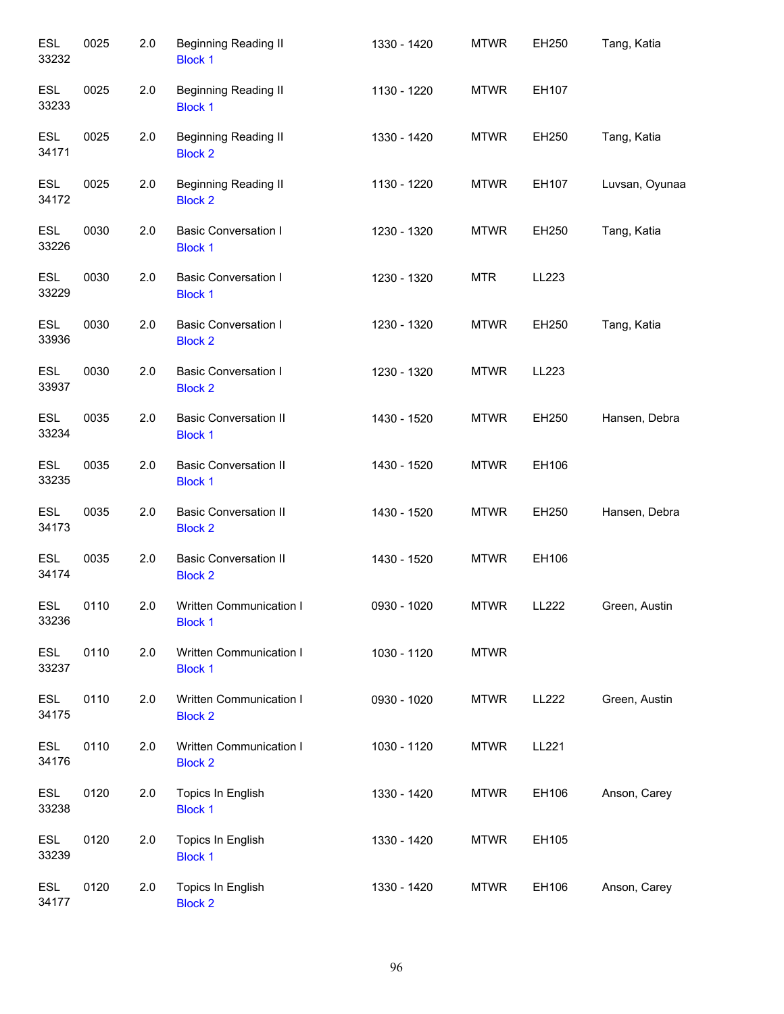| <b>ESL</b><br>33232 | 0025 | 2.0 | <b>Beginning Reading II</b><br><b>Block 1</b>  | 1330 - 1420 | <b>MTWR</b> | EH250        | Tang, Katia    |
|---------------------|------|-----|------------------------------------------------|-------------|-------------|--------------|----------------|
| <b>ESL</b><br>33233 | 0025 | 2.0 | <b>Beginning Reading II</b><br><b>Block 1</b>  | 1130 - 1220 | <b>MTWR</b> | EH107        |                |
| <b>ESL</b><br>34171 | 0025 | 2.0 | <b>Beginning Reading II</b><br><b>Block 2</b>  | 1330 - 1420 | <b>MTWR</b> | EH250        | Tang, Katia    |
| <b>ESL</b><br>34172 | 0025 | 2.0 | <b>Beginning Reading II</b><br><b>Block 2</b>  | 1130 - 1220 | <b>MTWR</b> | EH107        | Luvsan, Oyunaa |
| ESL<br>33226        | 0030 | 2.0 | <b>Basic Conversation I</b><br><b>Block 1</b>  | 1230 - 1320 | <b>MTWR</b> | EH250        | Tang, Katia    |
| ESL<br>33229        | 0030 | 2.0 | <b>Basic Conversation I</b><br><b>Block 1</b>  | 1230 - 1320 | <b>MTR</b>  | LL223        |                |
| <b>ESL</b><br>33936 | 0030 | 2.0 | <b>Basic Conversation I</b><br><b>Block 2</b>  | 1230 - 1320 | <b>MTWR</b> | EH250        | Tang, Katia    |
| <b>ESL</b><br>33937 | 0030 | 2.0 | <b>Basic Conversation I</b><br><b>Block 2</b>  | 1230 - 1320 | <b>MTWR</b> | LL223        |                |
| <b>ESL</b><br>33234 | 0035 | 2.0 | <b>Basic Conversation II</b><br><b>Block 1</b> | 1430 - 1520 | <b>MTWR</b> | EH250        | Hansen, Debra  |
| <b>ESL</b><br>33235 | 0035 | 2.0 | <b>Basic Conversation II</b><br><b>Block 1</b> | 1430 - 1520 | <b>MTWR</b> | EH106        |                |
| <b>ESL</b><br>34173 | 0035 | 2.0 | <b>Basic Conversation II</b><br><b>Block 2</b> | 1430 - 1520 | <b>MTWR</b> | EH250        | Hansen, Debra  |
| <b>ESL</b><br>34174 | 0035 | 2.0 | <b>Basic Conversation II</b><br><b>Block 2</b> | 1430 - 1520 | <b>MTWR</b> | EH106        |                |
| <b>ESL</b><br>33236 | 0110 | 2.0 | Written Communication I<br><b>Block 1</b>      | 0930 - 1020 | <b>MTWR</b> | LL222        | Green, Austin  |
| ESL<br>33237        | 0110 | 2.0 | Written Communication I<br><b>Block 1</b>      | 1030 - 1120 | <b>MTWR</b> |              |                |
| ESL<br>34175        | 0110 | 2.0 | Written Communication I<br><b>Block 2</b>      | 0930 - 1020 | <b>MTWR</b> | <b>LL222</b> | Green, Austin  |
| ESL<br>34176        | 0110 | 2.0 | Written Communication I<br><b>Block 2</b>      | 1030 - 1120 | <b>MTWR</b> | LL221        |                |
| ESL<br>33238        | 0120 | 2.0 | Topics In English<br><b>Block 1</b>            | 1330 - 1420 | <b>MTWR</b> | EH106        | Anson, Carey   |
| ESL<br>33239        | 0120 | 2.0 | Topics In English<br><b>Block 1</b>            | 1330 - 1420 | <b>MTWR</b> | EH105        |                |
| ESL<br>34177        | 0120 | 2.0 | Topics In English<br><b>Block 2</b>            | 1330 - 1420 | <b>MTWR</b> | EH106        | Anson, Carey   |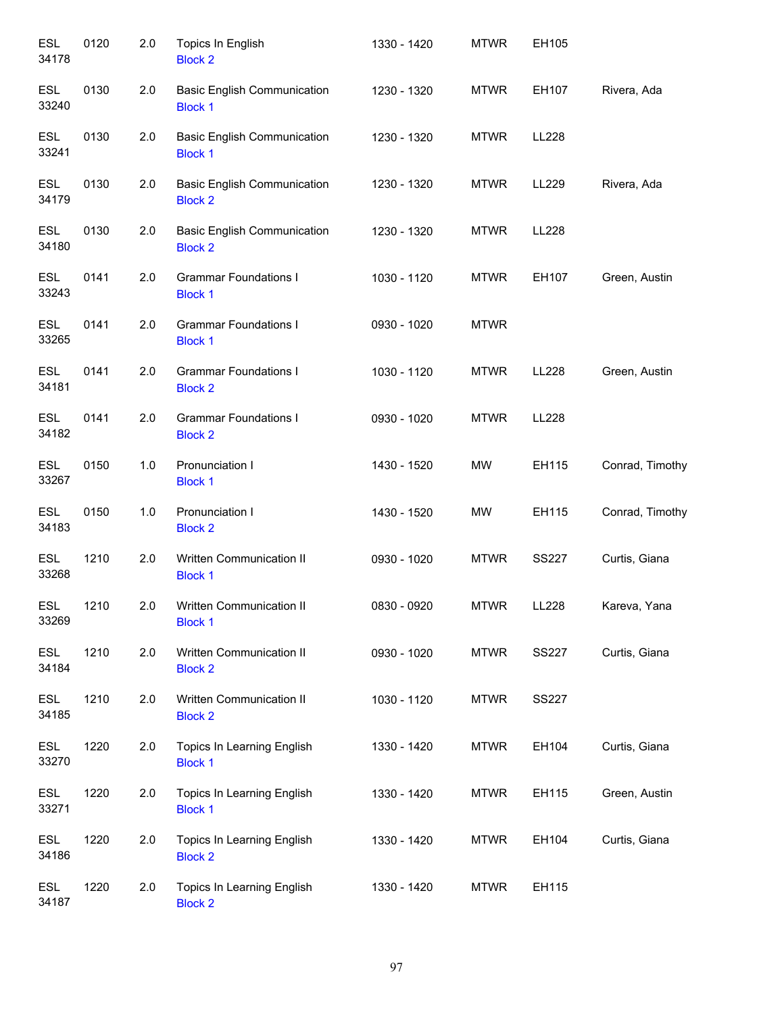| <b>ESL</b><br>34178 | 0120 | 2.0 | Topics In English<br><b>Block 2</b>                  | 1330 - 1420 | <b>MTWR</b> | EH105        |                 |
|---------------------|------|-----|------------------------------------------------------|-------------|-------------|--------------|-----------------|
| <b>ESL</b><br>33240 | 0130 | 2.0 | <b>Basic English Communication</b><br><b>Block 1</b> | 1230 - 1320 | <b>MTWR</b> | EH107        | Rivera, Ada     |
| <b>ESL</b><br>33241 | 0130 | 2.0 | <b>Basic English Communication</b><br><b>Block 1</b> | 1230 - 1320 | <b>MTWR</b> | LL228        |                 |
| <b>ESL</b><br>34179 | 0130 | 2.0 | <b>Basic English Communication</b><br><b>Block 2</b> | 1230 - 1320 | <b>MTWR</b> | LL229        | Rivera, Ada     |
| <b>ESL</b><br>34180 | 0130 | 2.0 | <b>Basic English Communication</b><br><b>Block 2</b> | 1230 - 1320 | <b>MTWR</b> | <b>LL228</b> |                 |
| <b>ESL</b><br>33243 | 0141 | 2.0 | <b>Grammar Foundations I</b><br><b>Block 1</b>       | 1030 - 1120 | <b>MTWR</b> | EH107        | Green, Austin   |
| <b>ESL</b><br>33265 | 0141 | 2.0 | <b>Grammar Foundations I</b><br><b>Block 1</b>       | 0930 - 1020 | <b>MTWR</b> |              |                 |
| <b>ESL</b><br>34181 | 0141 | 2.0 | <b>Grammar Foundations I</b><br><b>Block 2</b>       | 1030 - 1120 | <b>MTWR</b> | LL228        | Green, Austin   |
| <b>ESL</b><br>34182 | 0141 | 2.0 | <b>Grammar Foundations I</b><br><b>Block 2</b>       | 0930 - 1020 | <b>MTWR</b> | LL228        |                 |
| <b>ESL</b><br>33267 | 0150 | 1.0 | Pronunciation I<br><b>Block 1</b>                    | 1430 - 1520 | MW          | EH115        | Conrad, Timothy |
| <b>ESL</b><br>34183 | 0150 | 1.0 | Pronunciation I<br><b>Block 2</b>                    | 1430 - 1520 | <b>MW</b>   | EH115        | Conrad, Timothy |
| <b>ESL</b><br>33268 | 1210 | 2.0 | Written Communication II<br><b>Block 1</b>           | 0930 - 1020 | <b>MTWR</b> | <b>SS227</b> | Curtis, Giana   |
| <b>ESL</b><br>33269 | 1210 | 2.0 | <b>Written Communication II</b><br><b>Block 1</b>    | 0830 - 0920 | <b>MTWR</b> | LL228        | Kareva, Yana    |
| ESL<br>34184        | 1210 | 2.0 | Written Communication II<br><b>Block 2</b>           | 0930 - 1020 | <b>MTWR</b> | <b>SS227</b> | Curtis, Giana   |
| ESL<br>34185        | 1210 | 2.0 | Written Communication II<br><b>Block 2</b>           | 1030 - 1120 | <b>MTWR</b> | <b>SS227</b> |                 |
| ESL<br>33270        | 1220 | 2.0 | Topics In Learning English<br><b>Block 1</b>         | 1330 - 1420 | <b>MTWR</b> | EH104        | Curtis, Giana   |
| ESL<br>33271        | 1220 | 2.0 | Topics In Learning English<br><b>Block 1</b>         | 1330 - 1420 | <b>MTWR</b> | EH115        | Green, Austin   |
| ESL<br>34186        | 1220 | 2.0 | Topics In Learning English<br><b>Block 2</b>         | 1330 - 1420 | <b>MTWR</b> | EH104        | Curtis, Giana   |
| ESL<br>34187        | 1220 | 2.0 | Topics In Learning English<br><b>Block 2</b>         | 1330 - 1420 | <b>MTWR</b> | EH115        |                 |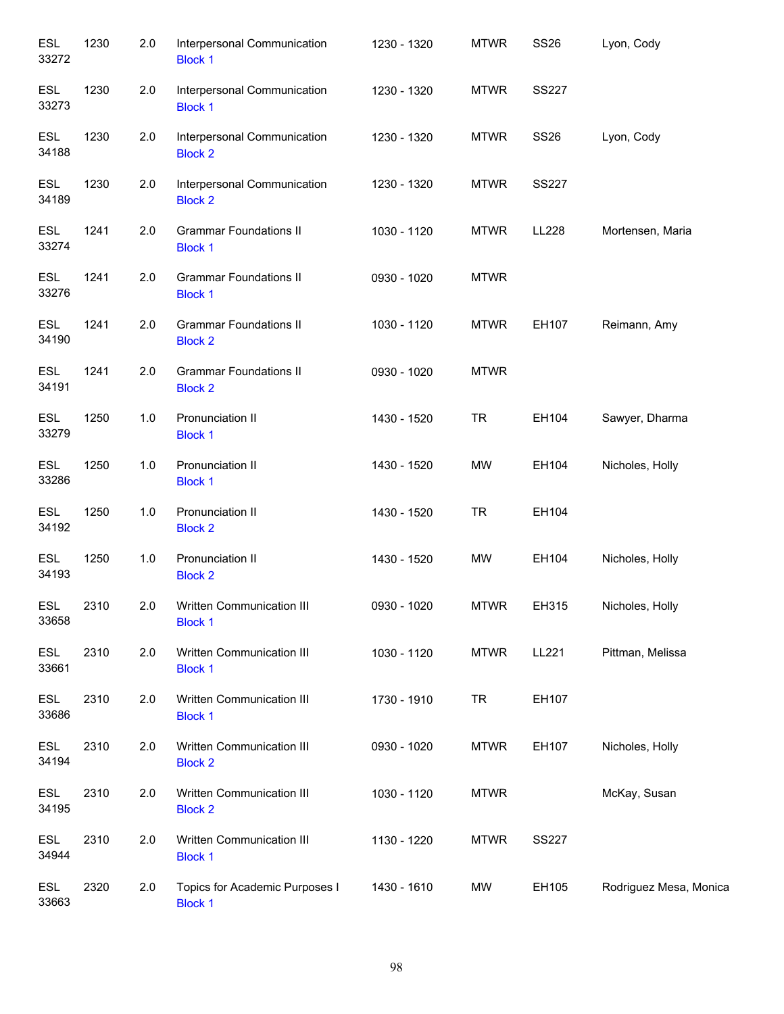| <b>ESL</b><br>33272 | 1230 | 2.0 | Interpersonal Communication<br><b>Block 1</b>    | 1230 - 1320 | <b>MTWR</b> | <b>SS26</b>  | Lyon, Cody             |
|---------------------|------|-----|--------------------------------------------------|-------------|-------------|--------------|------------------------|
| <b>ESL</b><br>33273 | 1230 | 2.0 | Interpersonal Communication<br><b>Block 1</b>    | 1230 - 1320 | <b>MTWR</b> | <b>SS227</b> |                        |
| <b>ESL</b><br>34188 | 1230 | 2.0 | Interpersonal Communication<br><b>Block 2</b>    | 1230 - 1320 | <b>MTWR</b> | <b>SS26</b>  | Lyon, Cody             |
| <b>ESL</b><br>34189 | 1230 | 2.0 | Interpersonal Communication<br><b>Block 2</b>    | 1230 - 1320 | <b>MTWR</b> | <b>SS227</b> |                        |
| <b>ESL</b><br>33274 | 1241 | 2.0 | <b>Grammar Foundations II</b><br><b>Block 1</b>  | 1030 - 1120 | <b>MTWR</b> | LL228        | Mortensen, Maria       |
| ESL<br>33276        | 1241 | 2.0 | <b>Grammar Foundations II</b><br><b>Block 1</b>  | 0930 - 1020 | <b>MTWR</b> |              |                        |
| <b>ESL</b><br>34190 | 1241 | 2.0 | <b>Grammar Foundations II</b><br><b>Block 2</b>  | 1030 - 1120 | <b>MTWR</b> | EH107        | Reimann, Amy           |
| <b>ESL</b><br>34191 | 1241 | 2.0 | <b>Grammar Foundations II</b><br><b>Block 2</b>  | 0930 - 1020 | <b>MTWR</b> |              |                        |
| <b>ESL</b><br>33279 | 1250 | 1.0 | Pronunciation II<br><b>Block 1</b>               | 1430 - 1520 | <b>TR</b>   | EH104        | Sawyer, Dharma         |
| <b>ESL</b><br>33286 | 1250 | 1.0 | Pronunciation II<br><b>Block 1</b>               | 1430 - 1520 | <b>MW</b>   | EH104        | Nicholes, Holly        |
| ESL<br>34192        | 1250 | 1.0 | Pronunciation II<br><b>Block 2</b>               | 1430 - 1520 | <b>TR</b>   | EH104        |                        |
| <b>ESL</b><br>34193 | 1250 | 1.0 | Pronunciation II<br><b>Block 2</b>               | 1430 - 1520 | MW          | EH104        | Nicholes, Holly        |
| <b>ESL</b><br>33658 | 2310 | 2.0 | Written Communication III<br><b>Block 1</b>      | 0930 - 1020 | <b>MTWR</b> | EH315        | Nicholes, Holly        |
| <b>ESL</b><br>33661 | 2310 | 2.0 | Written Communication III<br><b>Block 1</b>      | 1030 - 1120 | <b>MTWR</b> | LL221        | Pittman, Melissa       |
| ESL<br>33686        | 2310 | 2.0 | Written Communication III<br><b>Block 1</b>      | 1730 - 1910 | <b>TR</b>   | EH107        |                        |
| ESL<br>34194        | 2310 | 2.0 | Written Communication III<br><b>Block 2</b>      | 0930 - 1020 | <b>MTWR</b> | EH107        | Nicholes, Holly        |
| ESL<br>34195        | 2310 | 2.0 | Written Communication III<br><b>Block 2</b>      | 1030 - 1120 | <b>MTWR</b> |              | McKay, Susan           |
| ESL<br>34944        | 2310 | 2.0 | Written Communication III<br><b>Block 1</b>      | 1130 - 1220 | <b>MTWR</b> | <b>SS227</b> |                        |
| ESL<br>33663        | 2320 | 2.0 | Topics for Academic Purposes I<br><b>Block 1</b> | 1430 - 1610 | <b>MW</b>   | EH105        | Rodriguez Mesa, Monica |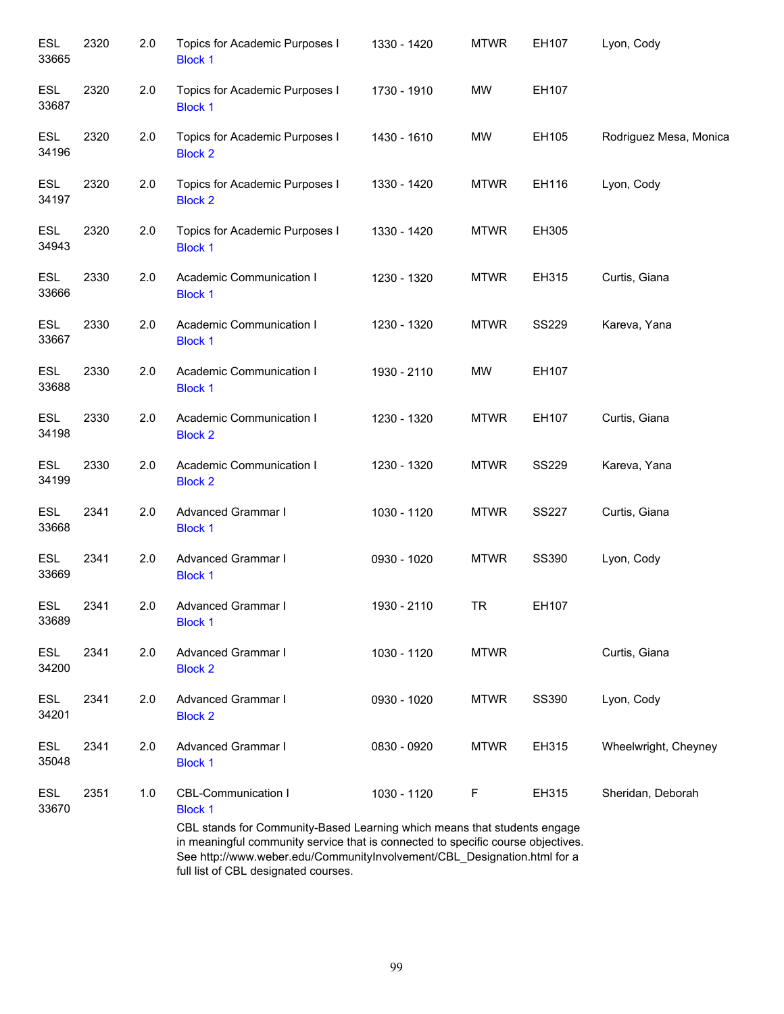| <b>ESL</b><br>33665 | 2320 | 2.0 | Topics for Academic Purposes I<br><b>Block 1</b>                                                                                                             | 1330 - 1420 | <b>MTWR</b> | EH107        | Lyon, Cody             |
|---------------------|------|-----|--------------------------------------------------------------------------------------------------------------------------------------------------------------|-------------|-------------|--------------|------------------------|
| <b>ESL</b><br>33687 | 2320 | 2.0 | Topics for Academic Purposes I<br><b>Block 1</b>                                                                                                             | 1730 - 1910 | MW          | EH107        |                        |
| <b>ESL</b><br>34196 | 2320 | 2.0 | Topics for Academic Purposes I<br><b>Block 2</b>                                                                                                             | 1430 - 1610 | MW          | EH105        | Rodriguez Mesa, Monica |
| <b>ESL</b><br>34197 | 2320 | 2.0 | Topics for Academic Purposes I<br><b>Block 2</b>                                                                                                             | 1330 - 1420 | <b>MTWR</b> | EH116        | Lyon, Cody             |
| <b>ESL</b><br>34943 | 2320 | 2.0 | Topics for Academic Purposes I<br><b>Block 1</b>                                                                                                             | 1330 - 1420 | <b>MTWR</b> | EH305        |                        |
| <b>ESL</b><br>33666 | 2330 | 2.0 | Academic Communication I<br><b>Block 1</b>                                                                                                                   | 1230 - 1320 | <b>MTWR</b> | EH315        | Curtis, Giana          |
| ESL<br>33667        | 2330 | 2.0 | Academic Communication I<br><b>Block 1</b>                                                                                                                   | 1230 - 1320 | <b>MTWR</b> | <b>SS229</b> | Kareva, Yana           |
| <b>ESL</b><br>33688 | 2330 | 2.0 | Academic Communication I<br><b>Block 1</b>                                                                                                                   | 1930 - 2110 | <b>MW</b>   | EH107        |                        |
| <b>ESL</b><br>34198 | 2330 | 2.0 | Academic Communication I<br><b>Block 2</b>                                                                                                                   | 1230 - 1320 | <b>MTWR</b> | EH107        | Curtis, Giana          |
| <b>ESL</b><br>34199 | 2330 | 2.0 | Academic Communication I<br><b>Block 2</b>                                                                                                                   | 1230 - 1320 | <b>MTWR</b> | <b>SS229</b> | Kareva, Yana           |
| <b>ESL</b><br>33668 | 2341 | 2.0 | Advanced Grammar I<br><b>Block 1</b>                                                                                                                         | 1030 - 1120 | <b>MTWR</b> | <b>SS227</b> | Curtis, Giana          |
| ESL<br>33669        | 2341 | 2.0 | Advanced Grammar I<br><b>Block 1</b>                                                                                                                         | 0930 - 1020 | <b>MTWR</b> | <b>SS390</b> | Lyon, Cody             |
| <b>ESL</b><br>33689 | 2341 | 2.0 | Advanced Grammar I<br><b>Block 1</b>                                                                                                                         | 1930 - 2110 | <b>TR</b>   | EH107        |                        |
| ESL<br>34200        | 2341 | 2.0 | Advanced Grammar I<br><b>Block 2</b>                                                                                                                         | 1030 - 1120 | <b>MTWR</b> |              | Curtis, Giana          |
| ESL<br>34201        | 2341 | 2.0 | <b>Advanced Grammar I</b><br><b>Block 2</b>                                                                                                                  | 0930 - 1020 | <b>MTWR</b> | SS390        | Lyon, Cody             |
| <b>ESL</b><br>35048 | 2341 | 2.0 | <b>Advanced Grammar I</b><br><b>Block 1</b>                                                                                                                  | 0830 - 0920 | <b>MTWR</b> | EH315        | Wheelwright, Cheyney   |
| <b>ESL</b><br>33670 | 2351 | 1.0 | <b>CBL-Communication I</b><br><b>Block 1</b><br>CBL stands for Community-Based Learning which means that students engage                                     | 1030 - 1120 | F           | EH315        | Sheridan, Deborah      |
|                     |      |     | in meaningful community service that is connected to specific course objectives.<br>See http://www.weber.edu/CommunityInvolvement/CBL_Designation.html for a |             |             |              |                        |

full list of CBL designated courses.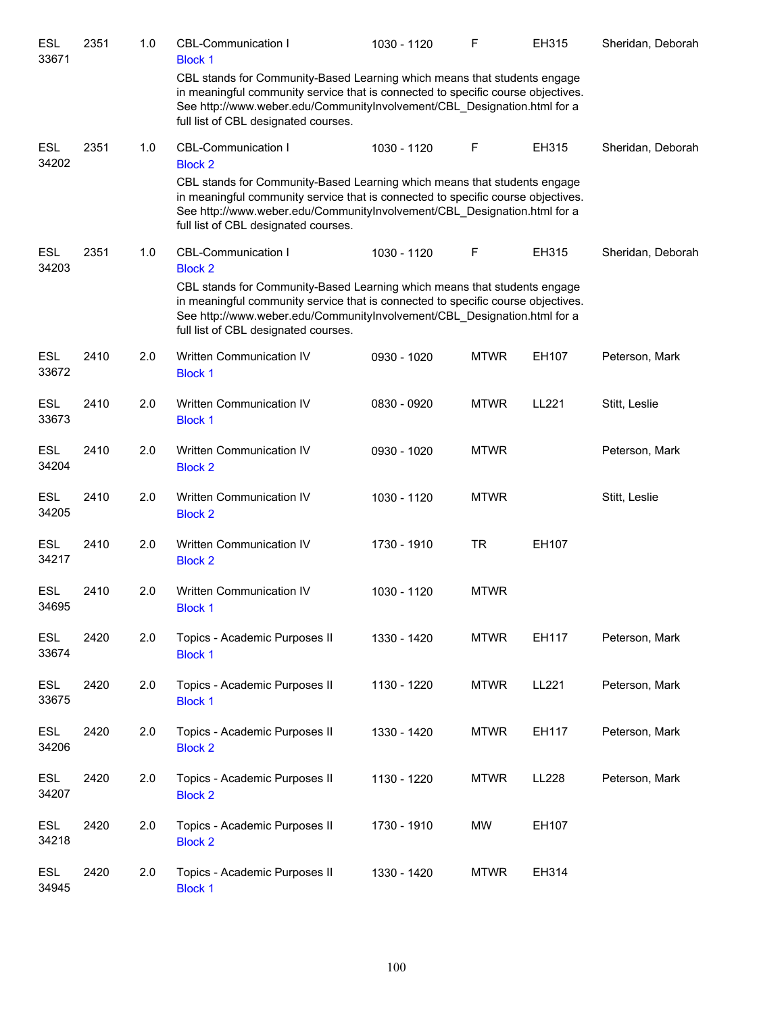| <b>ESL</b><br>33671 | 2351 | 1.0 | <b>CBL-Communication I</b><br><b>Block 1</b>                                                                                                                                                                                                                                     | 1030 - 1120 | $\mathsf F$ | EH315 | Sheridan, Deborah |
|---------------------|------|-----|----------------------------------------------------------------------------------------------------------------------------------------------------------------------------------------------------------------------------------------------------------------------------------|-------------|-------------|-------|-------------------|
|                     |      |     | CBL stands for Community-Based Learning which means that students engage<br>in meaningful community service that is connected to specific course objectives.<br>See http://www.weber.edu/CommunityInvolvement/CBL_Designation.html for a<br>full list of CBL designated courses. |             |             |       |                   |
| <b>ESL</b><br>34202 | 2351 | 1.0 | <b>CBL-Communication I</b><br><b>Block 2</b>                                                                                                                                                                                                                                     | 1030 - 1120 | F           | EH315 | Sheridan, Deborah |
|                     |      |     | CBL stands for Community-Based Learning which means that students engage<br>in meaningful community service that is connected to specific course objectives.<br>See http://www.weber.edu/CommunityInvolvement/CBL Designation.html for a<br>full list of CBL designated courses. |             |             |       |                   |
| <b>ESL</b><br>34203 | 2351 | 1.0 | <b>CBL-Communication I</b><br><b>Block 2</b>                                                                                                                                                                                                                                     | 1030 - 1120 | F           | EH315 | Sheridan, Deborah |
|                     |      |     | CBL stands for Community-Based Learning which means that students engage<br>in meaningful community service that is connected to specific course objectives.<br>See http://www.weber.edu/CommunityInvolvement/CBL_Designation.html for a<br>full list of CBL designated courses. |             |             |       |                   |
| <b>ESL</b><br>33672 | 2410 | 2.0 | Written Communication IV<br><b>Block 1</b>                                                                                                                                                                                                                                       | 0930 - 1020 | <b>MTWR</b> | EH107 | Peterson, Mark    |
| <b>ESL</b><br>33673 | 2410 | 2.0 | Written Communication IV<br><b>Block 1</b>                                                                                                                                                                                                                                       | 0830 - 0920 | <b>MTWR</b> | LL221 | Stitt, Leslie     |
| <b>ESL</b><br>34204 | 2410 | 2.0 | Written Communication IV<br><b>Block 2</b>                                                                                                                                                                                                                                       | 0930 - 1020 | <b>MTWR</b> |       | Peterson, Mark    |
| <b>ESL</b><br>34205 | 2410 | 2.0 | Written Communication IV<br><b>Block 2</b>                                                                                                                                                                                                                                       | 1030 - 1120 | <b>MTWR</b> |       | Stitt, Leslie     |
| <b>ESL</b><br>34217 | 2410 | 2.0 | Written Communication IV<br><b>Block 2</b>                                                                                                                                                                                                                                       | 1730 - 1910 | <b>TR</b>   | EH107 |                   |
| <b>ESL</b><br>34695 | 2410 | 2.0 | Written Communication IV<br><b>Block 1</b>                                                                                                                                                                                                                                       | 1030 - 1120 | <b>MTWR</b> |       |                   |
| <b>ESL</b><br>33674 | 2420 | 2.0 | Topics - Academic Purposes II<br><b>Block 1</b>                                                                                                                                                                                                                                  | 1330 - 1420 | <b>MTWR</b> | EH117 | Peterson, Mark    |
| <b>ESL</b><br>33675 | 2420 | 2.0 | Topics - Academic Purposes II<br><b>Block 1</b>                                                                                                                                                                                                                                  | 1130 - 1220 | <b>MTWR</b> | LL221 | Peterson, Mark    |
| <b>ESL</b><br>34206 | 2420 | 2.0 | Topics - Academic Purposes II<br><b>Block 2</b>                                                                                                                                                                                                                                  | 1330 - 1420 | <b>MTWR</b> | EH117 | Peterson, Mark    |
| <b>ESL</b><br>34207 | 2420 | 2.0 | Topics - Academic Purposes II<br><b>Block 2</b>                                                                                                                                                                                                                                  | 1130 - 1220 | <b>MTWR</b> | LL228 | Peterson, Mark    |
| <b>ESL</b><br>34218 | 2420 | 2.0 | Topics - Academic Purposes II<br><b>Block 2</b>                                                                                                                                                                                                                                  | 1730 - 1910 | MW          | EH107 |                   |
| <b>ESL</b><br>34945 | 2420 | 2.0 | Topics - Academic Purposes II<br><b>Block 1</b>                                                                                                                                                                                                                                  | 1330 - 1420 | <b>MTWR</b> | EH314 |                   |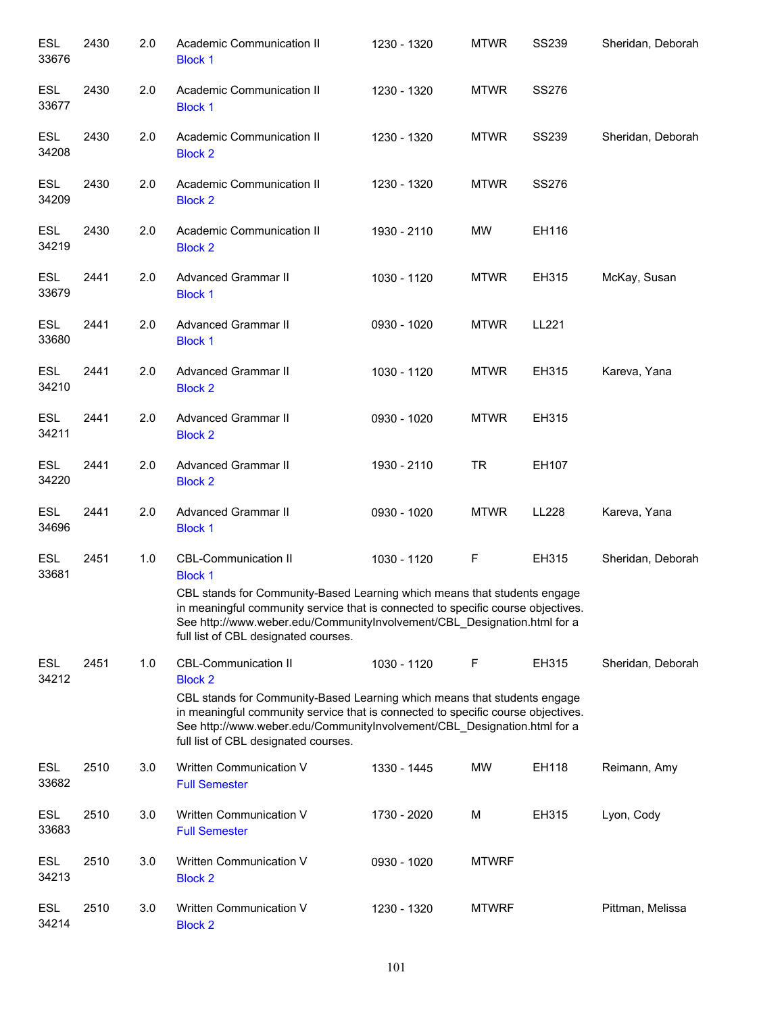| <b>ESL</b><br>33676 | 2430 | 2.0 | Academic Communication II<br><b>Block 1</b>                                                                                                                                                                                                                                                                                       | 1230 - 1320 | <b>MTWR</b>  | <b>SS239</b> | Sheridan, Deborah |
|---------------------|------|-----|-----------------------------------------------------------------------------------------------------------------------------------------------------------------------------------------------------------------------------------------------------------------------------------------------------------------------------------|-------------|--------------|--------------|-------------------|
| <b>ESL</b><br>33677 | 2430 | 2.0 | Academic Communication II<br><b>Block 1</b>                                                                                                                                                                                                                                                                                       | 1230 - 1320 | <b>MTWR</b>  | SS276        |                   |
| <b>ESL</b><br>34208 | 2430 | 2.0 | Academic Communication II<br><b>Block 2</b>                                                                                                                                                                                                                                                                                       | 1230 - 1320 | <b>MTWR</b>  | <b>SS239</b> | Sheridan, Deborah |
| ESL<br>34209        | 2430 | 2.0 | Academic Communication II<br><b>Block 2</b>                                                                                                                                                                                                                                                                                       | 1230 - 1320 | <b>MTWR</b>  | <b>SS276</b> |                   |
| <b>ESL</b><br>34219 | 2430 | 2.0 | Academic Communication II<br><b>Block 2</b>                                                                                                                                                                                                                                                                                       | 1930 - 2110 | <b>MW</b>    | EH116        |                   |
| <b>ESL</b><br>33679 | 2441 | 2.0 | <b>Advanced Grammar II</b><br><b>Block 1</b>                                                                                                                                                                                                                                                                                      | 1030 - 1120 | <b>MTWR</b>  | EH315        | McKay, Susan      |
| <b>ESL</b><br>33680 | 2441 | 2.0 | <b>Advanced Grammar II</b><br><b>Block 1</b>                                                                                                                                                                                                                                                                                      | 0930 - 1020 | <b>MTWR</b>  | LL221        |                   |
| <b>ESL</b><br>34210 | 2441 | 2.0 | <b>Advanced Grammar II</b><br><b>Block 2</b>                                                                                                                                                                                                                                                                                      | 1030 - 1120 | <b>MTWR</b>  | EH315        | Kareva, Yana      |
| <b>ESL</b><br>34211 | 2441 | 2.0 | <b>Advanced Grammar II</b><br><b>Block 2</b>                                                                                                                                                                                                                                                                                      | 0930 - 1020 | <b>MTWR</b>  | EH315        |                   |
| <b>ESL</b><br>34220 | 2441 | 2.0 | <b>Advanced Grammar II</b><br><b>Block 2</b>                                                                                                                                                                                                                                                                                      | 1930 - 2110 | <b>TR</b>    | EH107        |                   |
| <b>ESL</b><br>34696 | 2441 | 2.0 | <b>Advanced Grammar II</b><br><b>Block 1</b>                                                                                                                                                                                                                                                                                      | 0930 - 1020 | <b>MTWR</b>  | <b>LL228</b> | Kareva, Yana      |
| <b>ESL</b><br>33681 | 2451 | 1.0 | <b>CBL-Communication II</b><br><b>Block 1</b><br>CBL stands for Community-Based Learning which means that students engage<br>in meaningful community service that is connected to specific course objectives.<br>See http://www.weber.edu/CommunityInvolvement/CBL_Designation.html for a<br>full list of CBL designated courses. | 1030 - 1120 | F            | EH315        | Sheridan, Deborah |
| <b>ESL</b><br>34212 | 2451 | 1.0 | <b>CBL-Communication II</b><br><b>Block 2</b><br>CBL stands for Community-Based Learning which means that students engage<br>in meaningful community service that is connected to specific course objectives.<br>See http://www.weber.edu/CommunityInvolvement/CBL_Designation.html for a<br>full list of CBL designated courses. | 1030 - 1120 | F            | EH315        | Sheridan, Deborah |
| ESL<br>33682        | 2510 | 3.0 | Written Communication V<br><b>Full Semester</b>                                                                                                                                                                                                                                                                                   | 1330 - 1445 | <b>MW</b>    | EH118        | Reimann, Amy      |
| <b>ESL</b><br>33683 | 2510 | 3.0 | Written Communication V<br><b>Full Semester</b>                                                                                                                                                                                                                                                                                   | 1730 - 2020 | M            | EH315        | Lyon, Cody        |
| <b>ESL</b><br>34213 | 2510 | 3.0 | Written Communication V<br><b>Block 2</b>                                                                                                                                                                                                                                                                                         | 0930 - 1020 | <b>MTWRF</b> |              |                   |
| <b>ESL</b><br>34214 | 2510 | 3.0 | Written Communication V<br><b>Block 2</b>                                                                                                                                                                                                                                                                                         | 1230 - 1320 | <b>MTWRF</b> |              | Pittman, Melissa  |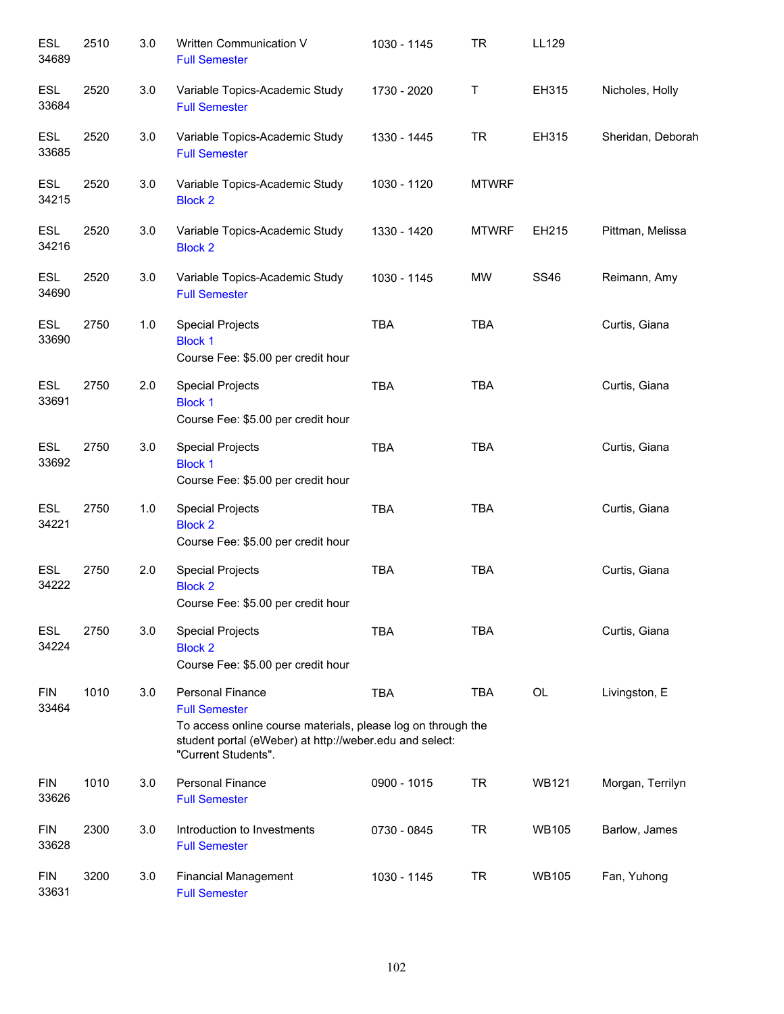| <b>ESL</b><br>34689 | 2510 | 3.0   | Written Communication V<br><b>Full Semester</b>                                                                                                                                                   | 1030 - 1145 | <b>TR</b>    | LL129        |                   |
|---------------------|------|-------|---------------------------------------------------------------------------------------------------------------------------------------------------------------------------------------------------|-------------|--------------|--------------|-------------------|
| <b>ESL</b><br>33684 | 2520 | 3.0   | Variable Topics-Academic Study<br><b>Full Semester</b>                                                                                                                                            | 1730 - 2020 | T            | EH315        | Nicholes, Holly   |
| <b>ESL</b><br>33685 | 2520 | 3.0   | Variable Topics-Academic Study<br><b>Full Semester</b>                                                                                                                                            | 1330 - 1445 | <b>TR</b>    | EH315        | Sheridan, Deborah |
| <b>ESL</b><br>34215 | 2520 | 3.0   | Variable Topics-Academic Study<br><b>Block 2</b>                                                                                                                                                  | 1030 - 1120 | <b>MTWRF</b> |              |                   |
| <b>ESL</b><br>34216 | 2520 | 3.0   | Variable Topics-Academic Study<br><b>Block 2</b>                                                                                                                                                  | 1330 - 1420 | <b>MTWRF</b> | EH215        | Pittman, Melissa  |
| <b>ESL</b><br>34690 | 2520 | 3.0   | Variable Topics-Academic Study<br><b>Full Semester</b>                                                                                                                                            | 1030 - 1145 | MW           | <b>SS46</b>  | Reimann, Amy      |
| <b>ESL</b><br>33690 | 2750 | $1.0$ | <b>Special Projects</b><br><b>Block 1</b><br>Course Fee: \$5.00 per credit hour                                                                                                                   | <b>TBA</b>  | <b>TBA</b>   |              | Curtis, Giana     |
| ESL<br>33691        | 2750 | 2.0   | <b>Special Projects</b><br><b>Block 1</b><br>Course Fee: \$5.00 per credit hour                                                                                                                   | <b>TBA</b>  | <b>TBA</b>   |              | Curtis, Giana     |
| ESL<br>33692        | 2750 | 3.0   | <b>Special Projects</b><br><b>Block 1</b><br>Course Fee: \$5.00 per credit hour                                                                                                                   | <b>TBA</b>  | <b>TBA</b>   |              | Curtis, Giana     |
| ESL<br>34221        | 2750 | $1.0$ | <b>Special Projects</b><br><b>Block 2</b><br>Course Fee: \$5.00 per credit hour                                                                                                                   | <b>TBA</b>  | <b>TBA</b>   |              | Curtis, Giana     |
| <b>ESL</b><br>34222 | 2750 | 2.0   | <b>Special Projects</b><br><b>Block 2</b><br>Course Fee: \$5.00 per credit hour                                                                                                                   | <b>TBA</b>  | <b>TBA</b>   |              | Curtis, Giana     |
| <b>ESL</b><br>34224 | 2750 | 3.0   | <b>Special Projects</b><br><b>Block 2</b><br>Course Fee: \$5.00 per credit hour                                                                                                                   | <b>TBA</b>  | <b>TBA</b>   |              | Curtis, Giana     |
| <b>FIN</b><br>33464 | 1010 | 3.0   | <b>Personal Finance</b><br><b>Full Semester</b><br>To access online course materials, please log on through the<br>student portal (eWeber) at http://weber.edu and select:<br>"Current Students". | <b>TBA</b>  | <b>TBA</b>   | <b>OL</b>    | Livingston, E     |
| <b>FIN</b><br>33626 | 1010 | 3.0   | <b>Personal Finance</b><br><b>Full Semester</b>                                                                                                                                                   | 0900 - 1015 | <b>TR</b>    | <b>WB121</b> | Morgan, Terrilyn  |
| <b>FIN</b><br>33628 | 2300 | 3.0   | Introduction to Investments<br><b>Full Semester</b>                                                                                                                                               | 0730 - 0845 | <b>TR</b>    | <b>WB105</b> | Barlow, James     |
| <b>FIN</b><br>33631 | 3200 | 3.0   | <b>Financial Management</b><br><b>Full Semester</b>                                                                                                                                               | 1030 - 1145 | <b>TR</b>    | <b>WB105</b> | Fan, Yuhong       |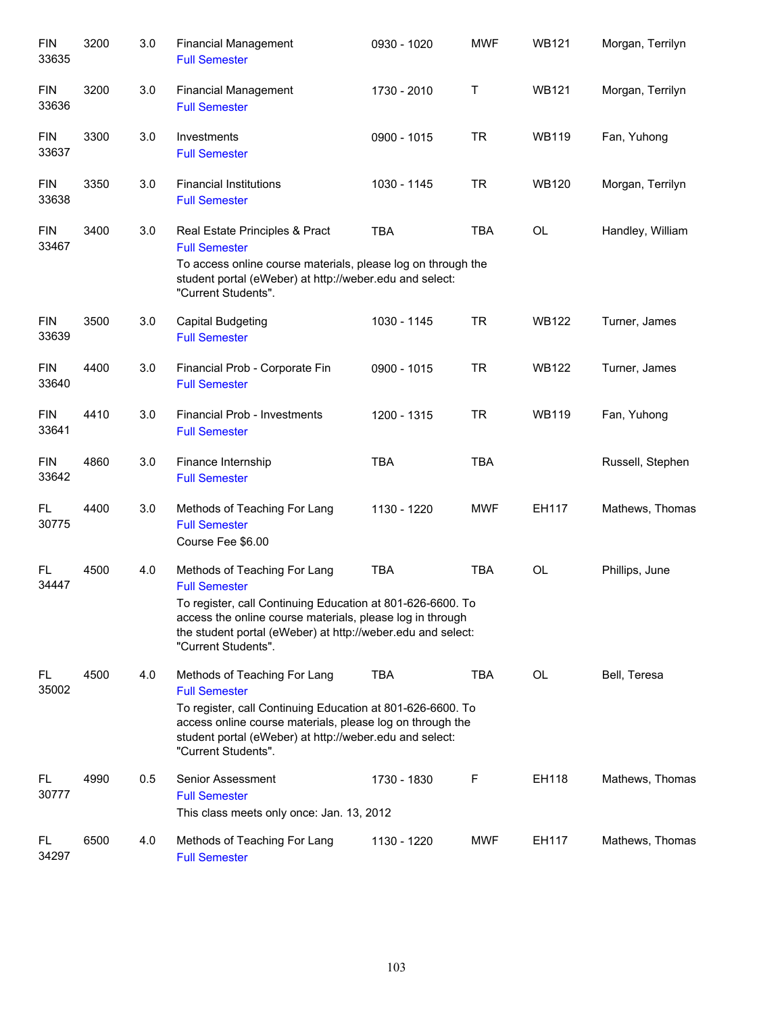| <b>FIN</b><br>33635 | 3200 | 3.0 | <b>Financial Management</b><br><b>Full Semester</b>                                                                                                                                                           | 0930 - 1020 | <b>MWF</b> | <b>WB121</b> | Morgan, Terrilyn |
|---------------------|------|-----|---------------------------------------------------------------------------------------------------------------------------------------------------------------------------------------------------------------|-------------|------------|--------------|------------------|
| <b>FIN</b><br>33636 | 3200 | 3.0 | <b>Financial Management</b><br><b>Full Semester</b>                                                                                                                                                           | 1730 - 2010 | Τ          | <b>WB121</b> | Morgan, Terrilyn |
| <b>FIN</b><br>33637 | 3300 | 3.0 | Investments<br><b>Full Semester</b>                                                                                                                                                                           | 0900 - 1015 | <b>TR</b>  | <b>WB119</b> | Fan, Yuhong      |
| <b>FIN</b><br>33638 | 3350 | 3.0 | <b>Financial Institutions</b><br><b>Full Semester</b>                                                                                                                                                         | 1030 - 1145 | <b>TR</b>  | <b>WB120</b> | Morgan, Terrilyn |
| <b>FIN</b><br>33467 | 3400 | 3.0 | Real Estate Principles & Pract<br><b>Full Semester</b>                                                                                                                                                        | <b>TBA</b>  | <b>TBA</b> | OL           | Handley, William |
|                     |      |     | To access online course materials, please log on through the<br>student portal (eWeber) at http://weber.edu and select:<br>"Current Students".                                                                |             |            |              |                  |
| <b>FIN</b><br>33639 | 3500 | 3.0 | <b>Capital Budgeting</b><br><b>Full Semester</b>                                                                                                                                                              | 1030 - 1145 | <b>TR</b>  | <b>WB122</b> | Turner, James    |
| <b>FIN</b><br>33640 | 4400 | 3.0 | Financial Prob - Corporate Fin<br><b>Full Semester</b>                                                                                                                                                        | 0900 - 1015 | <b>TR</b>  | <b>WB122</b> | Turner, James    |
| <b>FIN</b><br>33641 | 4410 | 3.0 | Financial Prob - Investments<br><b>Full Semester</b>                                                                                                                                                          | 1200 - 1315 | <b>TR</b>  | <b>WB119</b> | Fan, Yuhong      |
| <b>FIN</b><br>33642 | 4860 | 3.0 | Finance Internship<br><b>Full Semester</b>                                                                                                                                                                    | <b>TBA</b>  | <b>TBA</b> |              | Russell, Stephen |
| FL<br>30775         | 4400 | 3.0 | Methods of Teaching For Lang<br><b>Full Semester</b><br>Course Fee \$6.00                                                                                                                                     | 1130 - 1220 | <b>MWF</b> | EH117        | Mathews, Thomas  |
| FL<br>34447         | 4500 | 4.0 | Methods of Teaching For Lang<br><b>Full Semester</b>                                                                                                                                                          | <b>TBA</b>  | <b>TBA</b> | OL           | Phillips, June   |
|                     |      |     | To register, call Continuing Education at 801-626-6600. To<br>access the online course materials, please log in through<br>the student portal (eWeber) at http://weber.edu and select:<br>"Current Students". |             |            |              |                  |
| FL<br>35002         | 4500 | 4.0 | Methods of Teaching For Lang<br><b>Full Semester</b>                                                                                                                                                          | <b>TBA</b>  | <b>TBA</b> | <b>OL</b>    | Bell, Teresa     |
|                     |      |     | To register, call Continuing Education at 801-626-6600. To<br>access online course materials, please log on through the<br>student portal (eWeber) at http://weber.edu and select:<br>"Current Students".     |             |            |              |                  |
| FL.<br>30777        | 4990 | 0.5 | Senior Assessment<br><b>Full Semester</b><br>This class meets only once: Jan. 13, 2012                                                                                                                        | 1730 - 1830 | F          | EH118        | Mathews, Thomas  |
| FL.<br>34297        | 6500 | 4.0 | Methods of Teaching For Lang<br><b>Full Semester</b>                                                                                                                                                          | 1130 - 1220 | MWF        | EH117        | Mathews, Thomas  |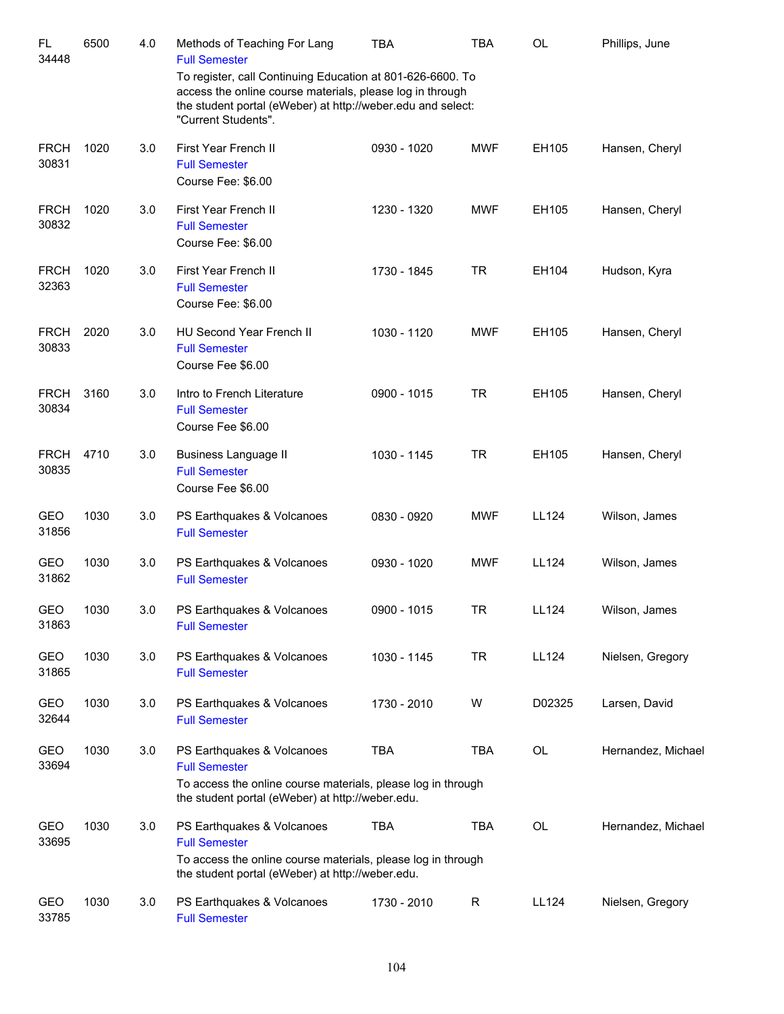| <b>FL</b><br>34448   | 6500 | 4.0 | Methods of Teaching For Lang<br><b>Full Semester</b>                                                                                                                                                          | <b>TBA</b>  | <b>TBA</b> | <b>OL</b>    | Phillips, June     |
|----------------------|------|-----|---------------------------------------------------------------------------------------------------------------------------------------------------------------------------------------------------------------|-------------|------------|--------------|--------------------|
|                      |      |     | To register, call Continuing Education at 801-626-6600. To<br>access the online course materials, please log in through<br>the student portal (eWeber) at http://weber.edu and select:<br>"Current Students". |             |            |              |                    |
| <b>FRCH</b><br>30831 | 1020 | 3.0 | First Year French II<br><b>Full Semester</b><br>Course Fee: \$6.00                                                                                                                                            | 0930 - 1020 | <b>MWF</b> | EH105        | Hansen, Cheryl     |
| <b>FRCH</b><br>30832 | 1020 | 3.0 | First Year French II<br><b>Full Semester</b><br>Course Fee: \$6.00                                                                                                                                            | 1230 - 1320 | <b>MWF</b> | EH105        | Hansen, Cheryl     |
| <b>FRCH</b><br>32363 | 1020 | 3.0 | First Year French II<br><b>Full Semester</b><br>Course Fee: \$6.00                                                                                                                                            | 1730 - 1845 | <b>TR</b>  | EH104        | Hudson, Kyra       |
| <b>FRCH</b><br>30833 | 2020 | 3.0 | HU Second Year French II<br><b>Full Semester</b><br>Course Fee \$6.00                                                                                                                                         | 1030 - 1120 | <b>MWF</b> | EH105        | Hansen, Cheryl     |
| <b>FRCH</b><br>30834 | 3160 | 3.0 | Intro to French Literature<br><b>Full Semester</b><br>Course Fee \$6.00                                                                                                                                       | 0900 - 1015 | <b>TR</b>  | EH105        | Hansen, Cheryl     |
| <b>FRCH</b><br>30835 | 4710 | 3.0 | <b>Business Language II</b><br><b>Full Semester</b><br>Course Fee \$6.00                                                                                                                                      | 1030 - 1145 | <b>TR</b>  | EH105        | Hansen, Cheryl     |
| <b>GEO</b><br>31856  | 1030 | 3.0 | PS Earthquakes & Volcanoes<br><b>Full Semester</b>                                                                                                                                                            | 0830 - 0920 | <b>MWF</b> | LL124        | Wilson, James      |
| GEO<br>31862         | 1030 | 3.0 | PS Earthquakes & Volcanoes<br><b>Full Semester</b>                                                                                                                                                            | 0930 - 1020 | <b>MWF</b> | <b>LL124</b> | Wilson, James      |
| GEO<br>31863         | 1030 | 3.0 | PS Earthquakes & Volcanoes<br><b>Full Semester</b>                                                                                                                                                            | 0900 - 1015 | <b>TR</b>  | LL124        | Wilson, James      |
| GEO<br>31865         | 1030 | 3.0 | PS Earthquakes & Volcanoes<br><b>Full Semester</b>                                                                                                                                                            | 1030 - 1145 | <b>TR</b>  | <b>LL124</b> | Nielsen, Gregory   |
| GEO<br>32644         | 1030 | 3.0 | PS Earthquakes & Volcanoes<br><b>Full Semester</b>                                                                                                                                                            | 1730 - 2010 | W          | D02325       | Larsen, David      |
| GEO<br>33694         | 1030 | 3.0 | PS Earthquakes & Volcanoes<br><b>Full Semester</b><br>To access the online course materials, please log in through<br>the student portal (eWeber) at http://weber.edu.                                        | <b>TBA</b>  | TBA        | OL           | Hernandez, Michael |
| GEO<br>33695         | 1030 | 3.0 | PS Earthquakes & Volcanoes<br><b>Full Semester</b><br>To access the online course materials, please log in through<br>the student portal (eWeber) at http://weber.edu.                                        | <b>TBA</b>  | TBA        | <b>OL</b>    | Hernandez, Michael |
| GEO<br>33785         | 1030 | 3.0 | PS Earthquakes & Volcanoes<br><b>Full Semester</b>                                                                                                                                                            | 1730 - 2010 | R          | <b>LL124</b> | Nielsen, Gregory   |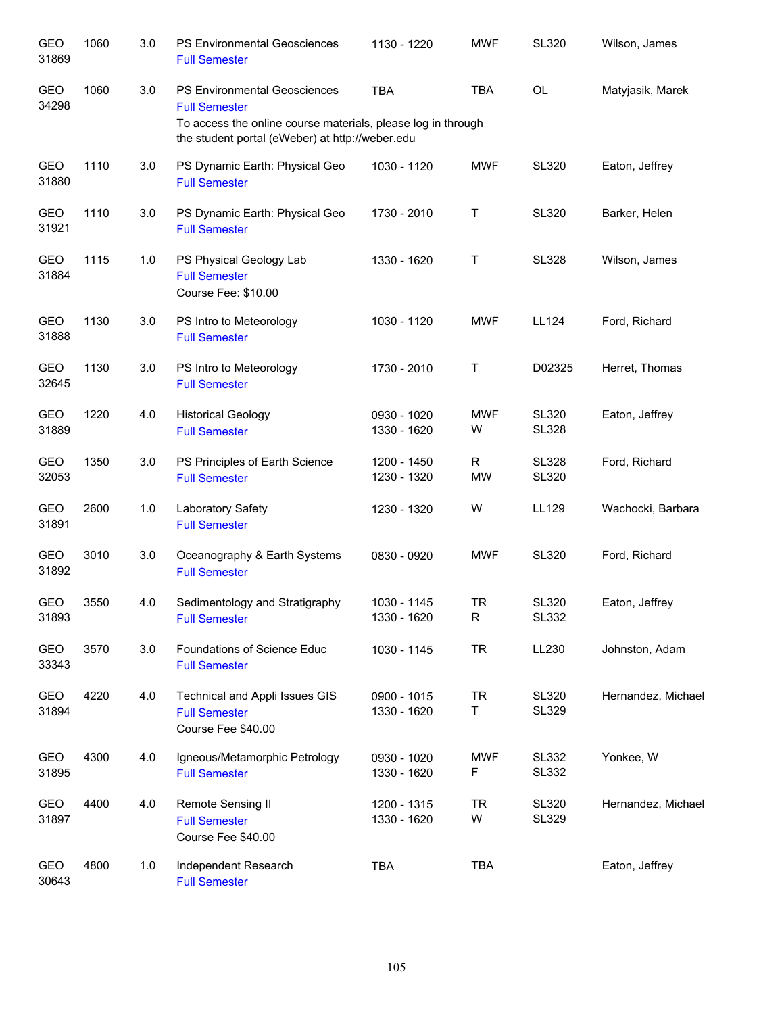| <b>GEO</b><br>31869 | 1060 | 3.0 | PS Environmental Geosciences<br><b>Full Semester</b>                                                                        | 1130 - 1220                | <b>MWF</b>      | <b>SL320</b>                 | Wilson, James      |
|---------------------|------|-----|-----------------------------------------------------------------------------------------------------------------------------|----------------------------|-----------------|------------------------------|--------------------|
| <b>GEO</b><br>34298 | 1060 | 3.0 | <b>PS Environmental Geosciences</b><br><b>Full Semester</b><br>To access the online course materials, please log in through | <b>TBA</b>                 | <b>TBA</b>      | <b>OL</b>                    | Matyjasik, Marek   |
|                     |      |     | the student portal (eWeber) at http://weber.edu                                                                             |                            |                 |                              |                    |
| GEO<br>31880        | 1110 | 3.0 | PS Dynamic Earth: Physical Geo<br><b>Full Semester</b>                                                                      | 1030 - 1120                | <b>MWF</b>      | <b>SL320</b>                 | Eaton, Jeffrey     |
| GEO<br>31921        | 1110 | 3.0 | PS Dynamic Earth: Physical Geo<br><b>Full Semester</b>                                                                      | 1730 - 2010                | Τ               | <b>SL320</b>                 | Barker, Helen      |
| <b>GEO</b><br>31884 | 1115 | 1.0 | PS Physical Geology Lab<br><b>Full Semester</b><br>Course Fee: \$10.00                                                      | 1330 - 1620                | $\sf T$         | <b>SL328</b>                 | Wilson, James      |
| <b>GEO</b><br>31888 | 1130 | 3.0 | PS Intro to Meteorology<br><b>Full Semester</b>                                                                             | 1030 - 1120                | <b>MWF</b>      | LL124                        | Ford, Richard      |
| <b>GEO</b><br>32645 | 1130 | 3.0 | PS Intro to Meteorology<br><b>Full Semester</b>                                                                             | 1730 - 2010                | Τ               | D02325                       | Herret, Thomas     |
| <b>GEO</b><br>31889 | 1220 | 4.0 | <b>Historical Geology</b><br><b>Full Semester</b>                                                                           | 0930 - 1020<br>1330 - 1620 | <b>MWF</b><br>W | <b>SL320</b><br><b>SL328</b> | Eaton, Jeffrey     |
| <b>GEO</b><br>32053 | 1350 | 3.0 | PS Principles of Earth Science<br><b>Full Semester</b>                                                                      | 1200 - 1450<br>1230 - 1320 | R<br><b>MW</b>  | <b>SL328</b><br><b>SL320</b> | Ford, Richard      |
| GEO<br>31891        | 2600 | 1.0 | Laboratory Safety<br><b>Full Semester</b>                                                                                   | 1230 - 1320                | W               | LL129                        | Wachocki, Barbara  |
| <b>GEO</b><br>31892 | 3010 | 3.0 | Oceanography & Earth Systems<br><b>Full Semester</b>                                                                        | 0830 - 0920                | <b>MWF</b>      | <b>SL320</b>                 | Ford, Richard      |
| GEO<br>31893        | 3550 | 4.0 | Sedimentology and Stratigraphy<br><b>Full Semester</b>                                                                      | 1030 - 1145<br>1330 - 1620 | <b>TR</b><br>R  | <b>SL320</b><br><b>SL332</b> | Eaton, Jeffrey     |
| GEO<br>33343        | 3570 | 3.0 | Foundations of Science Educ<br><b>Full Semester</b>                                                                         | 1030 - 1145                | <b>TR</b>       | LL230                        | Johnston, Adam     |
| GEO<br>31894        | 4220 | 4.0 | Technical and Appli Issues GIS<br><b>Full Semester</b><br>Course Fee \$40.00                                                | 0900 - 1015<br>1330 - 1620 | <b>TR</b><br>T  | <b>SL320</b><br><b>SL329</b> | Hernandez, Michael |
| GEO<br>31895        | 4300 | 4.0 | Igneous/Metamorphic Petrology<br><b>Full Semester</b>                                                                       | 0930 - 1020<br>1330 - 1620 | <b>MWF</b><br>F | <b>SL332</b><br><b>SL332</b> | Yonkee, W          |
| GEO<br>31897        | 4400 | 4.0 | Remote Sensing II<br><b>Full Semester</b><br>Course Fee \$40.00                                                             | 1200 - 1315<br>1330 - 1620 | <b>TR</b><br>W  | <b>SL320</b><br><b>SL329</b> | Hernandez, Michael |
| GEO<br>30643        | 4800 | 1.0 | Independent Research<br><b>Full Semester</b>                                                                                | <b>TBA</b>                 | <b>TBA</b>      |                              | Eaton, Jeffrey     |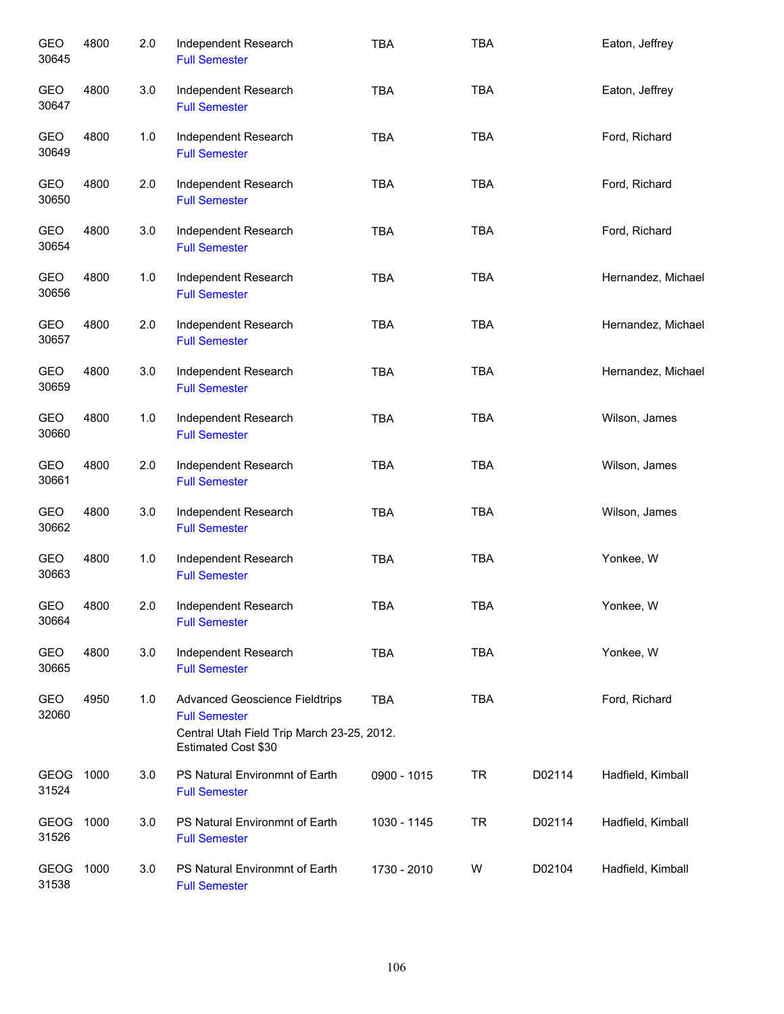| <b>GEO</b><br>30645  | 4800 | 2.0 | Independent Research<br><b>Full Semester</b>                                                                                       | <b>TBA</b>  | <b>TBA</b> |        | Eaton, Jeffrey     |
|----------------------|------|-----|------------------------------------------------------------------------------------------------------------------------------------|-------------|------------|--------|--------------------|
| <b>GEO</b><br>30647  | 4800 | 3.0 | Independent Research<br><b>Full Semester</b>                                                                                       | <b>TBA</b>  | <b>TBA</b> |        | Eaton, Jeffrey     |
| GEO<br>30649         | 4800 | 1.0 | Independent Research<br><b>Full Semester</b>                                                                                       | <b>TBA</b>  | <b>TBA</b> |        | Ford, Richard      |
| GEO<br>30650         | 4800 | 2.0 | Independent Research<br><b>Full Semester</b>                                                                                       | <b>TBA</b>  | <b>TBA</b> |        | Ford, Richard      |
| GEO<br>30654         | 4800 | 3.0 | Independent Research<br><b>Full Semester</b>                                                                                       | <b>TBA</b>  | <b>TBA</b> |        | Ford, Richard      |
| GEO<br>30656         | 4800 | 1.0 | Independent Research<br><b>Full Semester</b>                                                                                       | <b>TBA</b>  | <b>TBA</b> |        | Hernandez, Michael |
| GEO<br>30657         | 4800 | 2.0 | Independent Research<br><b>Full Semester</b>                                                                                       | <b>TBA</b>  | <b>TBA</b> |        | Hernandez, Michael |
| GEO<br>30659         | 4800 | 3.0 | Independent Research<br><b>Full Semester</b>                                                                                       | <b>TBA</b>  | <b>TBA</b> |        | Hernandez, Michael |
| GEO<br>30660         | 4800 | 1.0 | Independent Research<br><b>Full Semester</b>                                                                                       | <b>TBA</b>  | <b>TBA</b> |        | Wilson, James      |
| GEO<br>30661         | 4800 | 2.0 | Independent Research<br><b>Full Semester</b>                                                                                       | <b>TBA</b>  | <b>TBA</b> |        | Wilson, James      |
| GEO<br>30662         | 4800 | 3.0 | Independent Research<br><b>Full Semester</b>                                                                                       | <b>TBA</b>  | <b>TBA</b> |        | Wilson, James      |
| GEO<br>30663         | 4800 | 1.0 | Independent Research<br><b>Full Semester</b>                                                                                       | <b>TBA</b>  | <b>TBA</b> |        | Yonkee, W          |
| GEO<br>30664         | 4800 | 2.0 | Independent Research<br><b>Full Semester</b>                                                                                       | <b>TBA</b>  | TBA        |        | Yonkee, W          |
| GEO<br>30665         | 4800 | 3.0 | Independent Research<br><b>Full Semester</b>                                                                                       | <b>TBA</b>  | <b>TBA</b> |        | Yonkee, W          |
| GEO<br>32060         | 4950 | 1.0 | <b>Advanced Geoscience Fieldtrips</b><br><b>Full Semester</b><br>Central Utah Field Trip March 23-25, 2012.<br>Estimated Cost \$30 | <b>TBA</b>  | <b>TBA</b> |        | Ford, Richard      |
| GEOG<br>31524        | 1000 | 3.0 | PS Natural Environmnt of Earth<br><b>Full Semester</b>                                                                             | 0900 - 1015 | <b>TR</b>  | D02114 | Hadfield, Kimball  |
| GEOG<br>31526        | 1000 | 3.0 | PS Natural Environmnt of Earth<br><b>Full Semester</b>                                                                             | 1030 - 1145 | <b>TR</b>  | D02114 | Hadfield, Kimball  |
| <b>GEOG</b><br>31538 | 1000 | 3.0 | PS Natural Environmnt of Earth<br><b>Full Semester</b>                                                                             | 1730 - 2010 | W          | D02104 | Hadfield, Kimball  |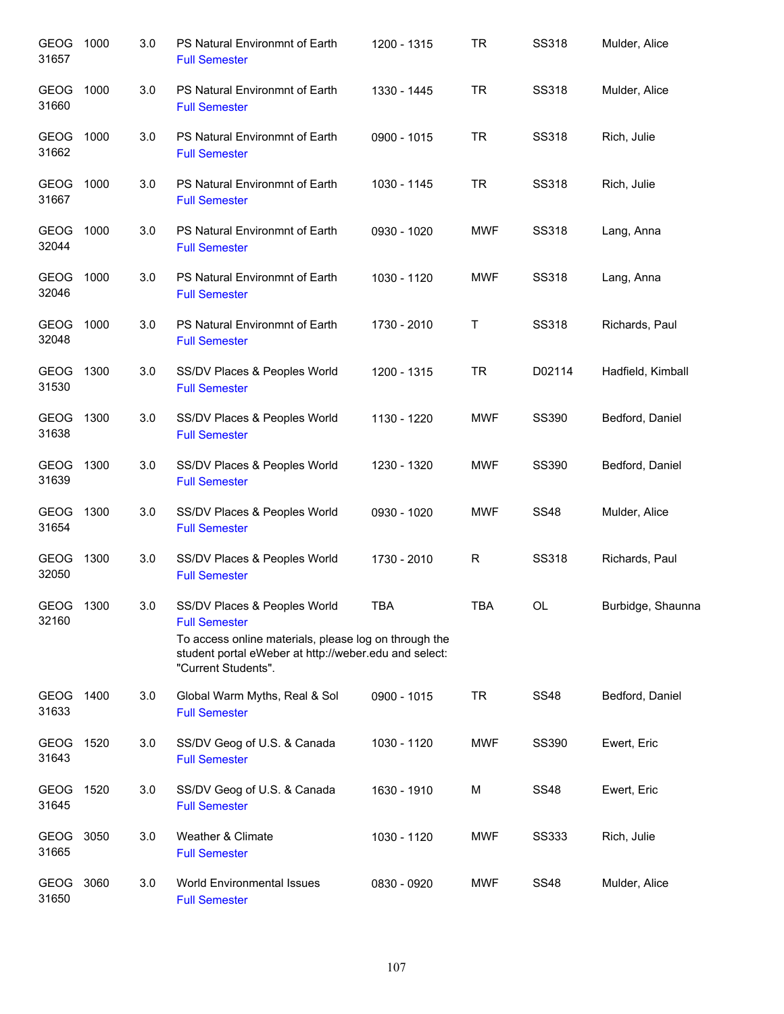| GEOG 1000<br>31657   |      | 3.0 | PS Natural Environmnt of Earth<br><b>Full Semester</b>                                                                                                                                        | 1200 - 1315 | <b>TR</b>    | <b>SS318</b> | Mulder, Alice     |
|----------------------|------|-----|-----------------------------------------------------------------------------------------------------------------------------------------------------------------------------------------------|-------------|--------------|--------------|-------------------|
| GEOG 1000<br>31660   |      | 3.0 | PS Natural Environmnt of Earth<br><b>Full Semester</b>                                                                                                                                        | 1330 - 1445 | <b>TR</b>    | <b>SS318</b> | Mulder, Alice     |
| GEOG 1000<br>31662   |      | 3.0 | PS Natural Environmnt of Earth<br><b>Full Semester</b>                                                                                                                                        | 0900 - 1015 | <b>TR</b>    | <b>SS318</b> | Rich, Julie       |
| GEOG 1000<br>31667   |      | 3.0 | PS Natural Environmnt of Earth<br><b>Full Semester</b>                                                                                                                                        | 1030 - 1145 | <b>TR</b>    | <b>SS318</b> | Rich, Julie       |
| GEOG 1000<br>32044   |      | 3.0 | PS Natural Environmnt of Earth<br><b>Full Semester</b>                                                                                                                                        | 0930 - 1020 | <b>MWF</b>   | SS318        | Lang, Anna        |
| GEOG 1000<br>32046   |      | 3.0 | PS Natural Environmnt of Earth<br><b>Full Semester</b>                                                                                                                                        | 1030 - 1120 | <b>MWF</b>   | <b>SS318</b> | Lang, Anna        |
| GEOG 1000<br>32048   |      | 3.0 | PS Natural Environmnt of Earth<br><b>Full Semester</b>                                                                                                                                        | 1730 - 2010 | Τ            | SS318        | Richards, Paul    |
| GEOG<br>31530        | 1300 | 3.0 | SS/DV Places & Peoples World<br><b>Full Semester</b>                                                                                                                                          | 1200 - 1315 | <b>TR</b>    | D02114       | Hadfield, Kimball |
| GEOG 1300<br>31638   |      | 3.0 | SS/DV Places & Peoples World<br><b>Full Semester</b>                                                                                                                                          | 1130 - 1220 | <b>MWF</b>   | SS390        | Bedford, Daniel   |
| GEOG 1300<br>31639   |      | 3.0 | SS/DV Places & Peoples World<br><b>Full Semester</b>                                                                                                                                          | 1230 - 1320 | <b>MWF</b>   | SS390        | Bedford, Daniel   |
| <b>GEOG</b><br>31654 | 1300 | 3.0 | SS/DV Places & Peoples World<br><b>Full Semester</b>                                                                                                                                          | 0930 - 1020 | <b>MWF</b>   | <b>SS48</b>  | Mulder, Alice     |
| GEOG 1300<br>32050   |      | 3.0 | SS/DV Places & Peoples World<br><b>Full Semester</b>                                                                                                                                          | 1730 - 2010 | $\mathsf{R}$ | <b>SS318</b> | Richards, Paul    |
| GEOG 1300<br>32160   |      | 3.0 | SS/DV Places & Peoples World<br><b>Full Semester</b><br>To access online materials, please log on through the<br>student portal eWeber at http://weber.edu and select:<br>"Current Students". | TBA         | <b>TBA</b>   | OL           | Burbidge, Shaunna |
| GEOG 1400<br>31633   |      | 3.0 | Global Warm Myths, Real & Sol<br><b>Full Semester</b>                                                                                                                                         | 0900 - 1015 | <b>TR</b>    | <b>SS48</b>  | Bedford, Daniel   |
| GEOG<br>31643        | 1520 | 3.0 | SS/DV Geog of U.S. & Canada<br><b>Full Semester</b>                                                                                                                                           | 1030 - 1120 | <b>MWF</b>   | <b>SS390</b> | Ewert, Eric       |
| GEOG 1520<br>31645   |      | 3.0 | SS/DV Geog of U.S. & Canada<br><b>Full Semester</b>                                                                                                                                           | 1630 - 1910 | М            | <b>SS48</b>  | Ewert, Eric       |
| GEOG 3050<br>31665   |      | 3.0 | Weather & Climate<br><b>Full Semester</b>                                                                                                                                                     | 1030 - 1120 | <b>MWF</b>   | <b>SS333</b> | Rich, Julie       |
| GEOG 3060<br>31650   |      | 3.0 | World Environmental Issues<br><b>Full Semester</b>                                                                                                                                            | 0830 - 0920 | <b>MWF</b>   | <b>SS48</b>  | Mulder, Alice     |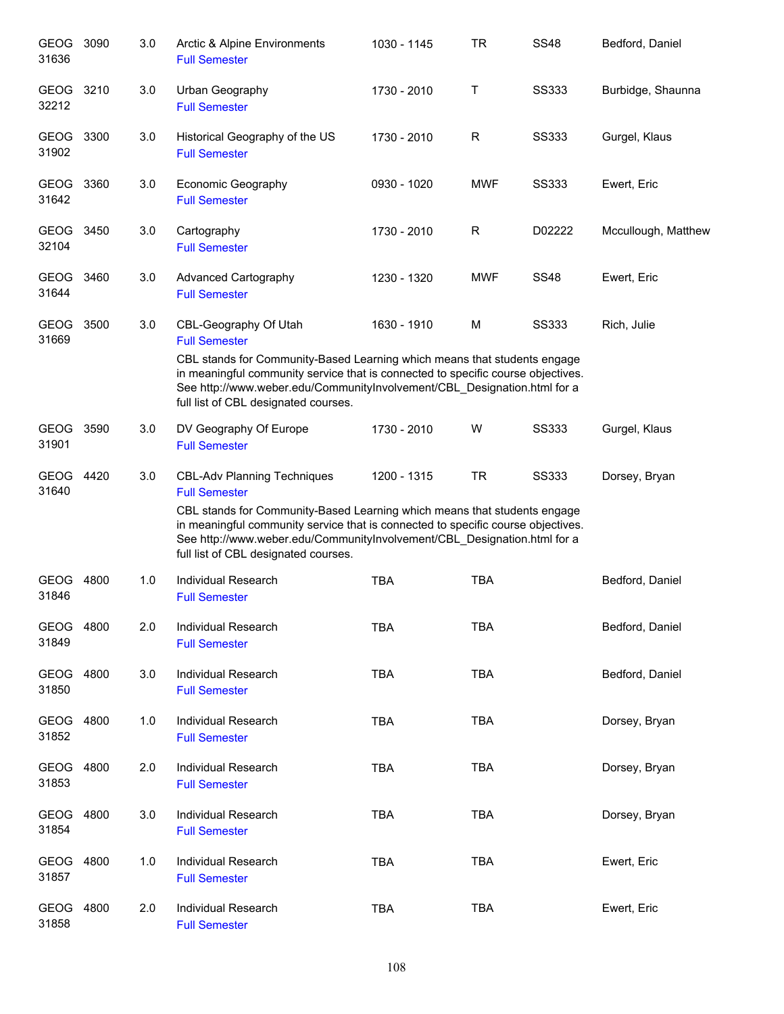| GEOG 3090<br>31636   |      | 3.0 | Arctic & Alpine Environments<br><b>Full Semester</b>                                                                                                                                                                                                                                                                                           | 1030 - 1145 | <b>TR</b>  | <b>SS48</b>  | Bedford, Daniel     |
|----------------------|------|-----|------------------------------------------------------------------------------------------------------------------------------------------------------------------------------------------------------------------------------------------------------------------------------------------------------------------------------------------------|-------------|------------|--------------|---------------------|
| <b>GEOG</b><br>32212 | 3210 | 3.0 | Urban Geography<br><b>Full Semester</b>                                                                                                                                                                                                                                                                                                        | 1730 - 2010 | Т          | <b>SS333</b> | Burbidge, Shaunna   |
| GEOG<br>31902        | 3300 | 3.0 | Historical Geography of the US<br><b>Full Semester</b>                                                                                                                                                                                                                                                                                         | 1730 - 2010 | R          | <b>SS333</b> | Gurgel, Klaus       |
| GEOG<br>31642        | 3360 | 3.0 | Economic Geography<br><b>Full Semester</b>                                                                                                                                                                                                                                                                                                     | 0930 - 1020 | <b>MWF</b> | <b>SS333</b> | Ewert, Eric         |
| GEOG 3450<br>32104   |      | 3.0 | Cartography<br><b>Full Semester</b>                                                                                                                                                                                                                                                                                                            | 1730 - 2010 | R          | D02222       | Mccullough, Matthew |
| GEOG<br>31644        | 3460 | 3.0 | <b>Advanced Cartography</b><br><b>Full Semester</b>                                                                                                                                                                                                                                                                                            | 1230 - 1320 | <b>MWF</b> | <b>SS48</b>  | Ewert, Eric         |
| <b>GEOG</b><br>31669 | 3500 | 3.0 | CBL-Geography Of Utah<br><b>Full Semester</b>                                                                                                                                                                                                                                                                                                  | 1630 - 1910 | М          | <b>SS333</b> | Rich, Julie         |
|                      |      |     | CBL stands for Community-Based Learning which means that students engage<br>in meaningful community service that is connected to specific course objectives.<br>See http://www.weber.edu/CommunityInvolvement/CBL_Designation.html for a<br>full list of CBL designated courses.                                                               |             |            |              |                     |
| GEOG<br>31901        | 3590 | 3.0 | DV Geography Of Europe<br><b>Full Semester</b>                                                                                                                                                                                                                                                                                                 | 1730 - 2010 | W          | <b>SS333</b> | Gurgel, Klaus       |
| <b>GEOG</b><br>31640 | 4420 | 3.0 | <b>CBL-Adv Planning Techniques</b><br><b>Full Semester</b><br>CBL stands for Community-Based Learning which means that students engage<br>in meaningful community service that is connected to specific course objectives.<br>See http://www.weber.edu/CommunityInvolvement/CBL_Designation.html for a<br>full list of CBL designated courses. | 1200 - 1315 | <b>TR</b>  | <b>SS333</b> | Dorsey, Bryan       |
| <b>GEOG</b><br>31846 | 4800 | 1.0 | <b>Individual Research</b><br><b>Full Semester</b>                                                                                                                                                                                                                                                                                             | <b>TBA</b>  | <b>TBA</b> |              | Bedford, Daniel     |
| GEOG<br>31849        | 4800 | 2.0 | <b>Individual Research</b><br><b>Full Semester</b>                                                                                                                                                                                                                                                                                             | <b>TBA</b>  | <b>TBA</b> |              | Bedford, Daniel     |
| <b>GEOG</b><br>31850 | 4800 | 3.0 | Individual Research<br><b>Full Semester</b>                                                                                                                                                                                                                                                                                                    | <b>TBA</b>  | <b>TBA</b> |              | Bedford, Daniel     |
| <b>GEOG</b><br>31852 | 4800 | 1.0 | Individual Research<br><b>Full Semester</b>                                                                                                                                                                                                                                                                                                    | <b>TBA</b>  | <b>TBA</b> |              | Dorsey, Bryan       |
| <b>GEOG</b><br>31853 | 4800 | 2.0 | <b>Individual Research</b><br><b>Full Semester</b>                                                                                                                                                                                                                                                                                             | <b>TBA</b>  | <b>TBA</b> |              | Dorsey, Bryan       |
| <b>GEOG</b><br>31854 | 4800 | 3.0 | Individual Research<br><b>Full Semester</b>                                                                                                                                                                                                                                                                                                    | <b>TBA</b>  | <b>TBA</b> |              | Dorsey, Bryan       |
| <b>GEOG</b><br>31857 | 4800 | 1.0 | <b>Individual Research</b><br><b>Full Semester</b>                                                                                                                                                                                                                                                                                             | <b>TBA</b>  | <b>TBA</b> |              | Ewert, Eric         |
| <b>GEOG</b><br>31858 | 4800 | 2.0 | Individual Research<br><b>Full Semester</b>                                                                                                                                                                                                                                                                                                    | <b>TBA</b>  | <b>TBA</b> |              | Ewert, Eric         |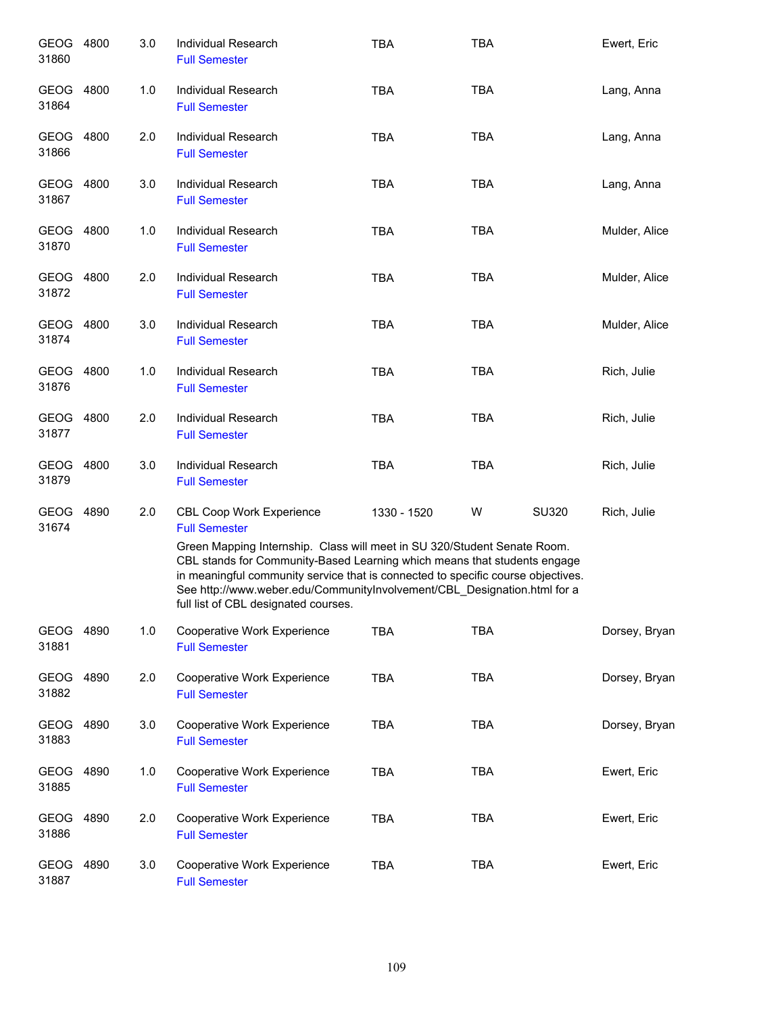| GEOG 4800<br>31860   |      | 3.0 | Individual Research<br><b>Full Semester</b>                                                                                                                                                                                                                                                                                                                  | <b>TBA</b>  | <b>TBA</b> |       | Ewert, Eric   |
|----------------------|------|-----|--------------------------------------------------------------------------------------------------------------------------------------------------------------------------------------------------------------------------------------------------------------------------------------------------------------------------------------------------------------|-------------|------------|-------|---------------|
| GEOG 4800<br>31864   |      | 1.0 | Individual Research<br><b>Full Semester</b>                                                                                                                                                                                                                                                                                                                  | <b>TBA</b>  | <b>TBA</b> |       | Lang, Anna    |
| GEOG 4800<br>31866   |      | 2.0 | Individual Research<br><b>Full Semester</b>                                                                                                                                                                                                                                                                                                                  | <b>TBA</b>  | <b>TBA</b> |       | Lang, Anna    |
| GEOG 4800<br>31867   |      | 3.0 | <b>Individual Research</b><br><b>Full Semester</b>                                                                                                                                                                                                                                                                                                           | <b>TBA</b>  | <b>TBA</b> |       | Lang, Anna    |
| GEOG 4800<br>31870   |      | 1.0 | Individual Research<br><b>Full Semester</b>                                                                                                                                                                                                                                                                                                                  | <b>TBA</b>  | <b>TBA</b> |       | Mulder, Alice |
| GEOG 4800<br>31872   |      | 2.0 | Individual Research<br><b>Full Semester</b>                                                                                                                                                                                                                                                                                                                  | <b>TBA</b>  | <b>TBA</b> |       | Mulder, Alice |
| GEOG 4800<br>31874   |      | 3.0 | Individual Research<br><b>Full Semester</b>                                                                                                                                                                                                                                                                                                                  | <b>TBA</b>  | <b>TBA</b> |       | Mulder, Alice |
| GEOG 4800<br>31876   |      | 1.0 | Individual Research<br><b>Full Semester</b>                                                                                                                                                                                                                                                                                                                  | <b>TBA</b>  | <b>TBA</b> |       | Rich, Julie   |
| GEOG 4800<br>31877   |      | 2.0 | Individual Research<br><b>Full Semester</b>                                                                                                                                                                                                                                                                                                                  | <b>TBA</b>  | <b>TBA</b> |       | Rich, Julie   |
| GEOG 4800<br>31879   |      | 3.0 | Individual Research<br><b>Full Semester</b>                                                                                                                                                                                                                                                                                                                  | <b>TBA</b>  | <b>TBA</b> |       | Rich, Julie   |
| GEOG 4890<br>31674   |      | 2.0 | <b>CBL Coop Work Experience</b><br><b>Full Semester</b>                                                                                                                                                                                                                                                                                                      | 1330 - 1520 | W          | SU320 | Rich, Julie   |
|                      |      |     | Green Mapping Internship. Class will meet in SU 320/Student Senate Room.<br>CBL stands for Community-Based Learning which means that students engage<br>in meaningful community service that is connected to specific course objectives.<br>See http://www.weber.edu/CommunityInvolvement/CBL_Designation.html for a<br>full list of CBL designated courses. |             |            |       |               |
| GEOG 4890<br>31881   |      | 1.0 | Cooperative Work Experience<br><b>Full Semester</b>                                                                                                                                                                                                                                                                                                          | <b>TBA</b>  | <b>TBA</b> |       | Dorsey, Bryan |
| <b>GEOG</b><br>31882 | 4890 | 2.0 | Cooperative Work Experience<br><b>Full Semester</b>                                                                                                                                                                                                                                                                                                          | <b>TBA</b>  | <b>TBA</b> |       | Dorsey, Bryan |
| GEOG<br>31883        | 4890 | 3.0 | Cooperative Work Experience<br><b>Full Semester</b>                                                                                                                                                                                                                                                                                                          | <b>TBA</b>  | <b>TBA</b> |       | Dorsey, Bryan |
| GEOG 4890<br>31885   |      | 1.0 | Cooperative Work Experience<br><b>Full Semester</b>                                                                                                                                                                                                                                                                                                          | <b>TBA</b>  | <b>TBA</b> |       | Ewert, Eric   |
| GEOG 4890<br>31886   |      | 2.0 | Cooperative Work Experience<br><b>Full Semester</b>                                                                                                                                                                                                                                                                                                          | <b>TBA</b>  | <b>TBA</b> |       | Ewert, Eric   |
| GEOG<br>31887        | 4890 | 3.0 | Cooperative Work Experience<br><b>Full Semester</b>                                                                                                                                                                                                                                                                                                          | <b>TBA</b>  | <b>TBA</b> |       | Ewert, Eric   |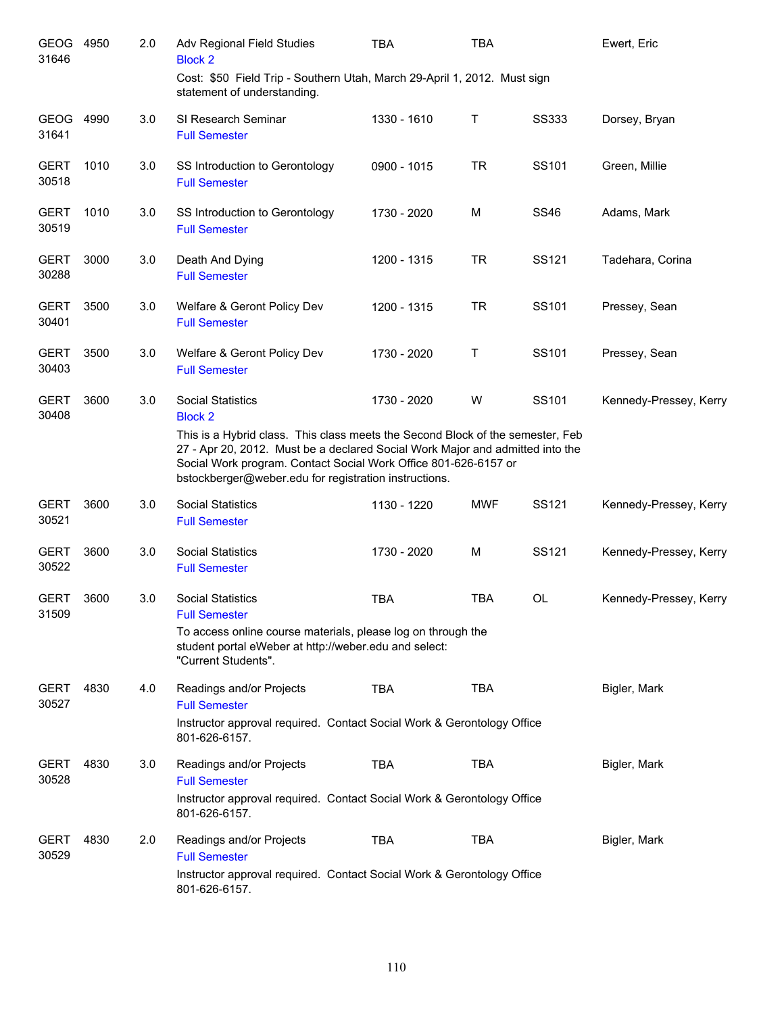| GEOG<br>31646        | 4950 | 2.0 | Adv Regional Field Studies<br><b>Block 2</b>                                                                                                                                                                  | <b>TBA</b>  | <b>TBA</b> |              | Ewert, Eric            |
|----------------------|------|-----|---------------------------------------------------------------------------------------------------------------------------------------------------------------------------------------------------------------|-------------|------------|--------------|------------------------|
|                      |      |     | Cost: \$50 Field Trip - Southern Utah, March 29-April 1, 2012. Must sign<br>statement of understanding.                                                                                                       |             |            |              |                        |
| <b>GEOG</b><br>31641 | 4990 | 3.0 | SI Research Seminar<br><b>Full Semester</b>                                                                                                                                                                   | 1330 - 1610 | Τ          | <b>SS333</b> | Dorsey, Bryan          |
| <b>GERT</b><br>30518 | 1010 | 3.0 | SS Introduction to Gerontology<br><b>Full Semester</b>                                                                                                                                                        | 0900 - 1015 | <b>TR</b>  | SS101        | Green, Millie          |
| <b>GERT</b><br>30519 | 1010 | 3.0 | SS Introduction to Gerontology<br><b>Full Semester</b>                                                                                                                                                        | 1730 - 2020 | M          | <b>SS46</b>  | Adams, Mark            |
| <b>GERT</b><br>30288 | 3000 | 3.0 | Death And Dying<br><b>Full Semester</b>                                                                                                                                                                       | 1200 - 1315 | <b>TR</b>  | SS121        | Tadehara, Corina       |
| <b>GERT</b><br>30401 | 3500 | 3.0 | Welfare & Geront Policy Dev<br><b>Full Semester</b>                                                                                                                                                           | 1200 - 1315 | <b>TR</b>  | SS101        | Pressey, Sean          |
| <b>GERT</b><br>30403 | 3500 | 3.0 | Welfare & Geront Policy Dev<br><b>Full Semester</b>                                                                                                                                                           | 1730 - 2020 | Τ          | SS101        | Pressey, Sean          |
| <b>GERT</b><br>30408 | 3600 | 3.0 | <b>Social Statistics</b><br><b>Block 2</b><br>This is a Hybrid class. This class meets the Second Block of the semester, Feb<br>27 - Apr 20, 2012. Must be a declared Social Work Major and admitted into the | 1730 - 2020 | W          | SS101        | Kennedy-Pressey, Kerry |
|                      |      |     | Social Work program. Contact Social Work Office 801-626-6157 or<br>bstockberger@weber.edu for registration instructions.                                                                                      |             |            |              |                        |
| <b>GERT</b><br>30521 | 3600 | 3.0 | <b>Social Statistics</b><br><b>Full Semester</b>                                                                                                                                                              | 1130 - 1220 | <b>MWF</b> | SS121        | Kennedy-Pressey, Kerry |
| <b>GERT</b><br>30522 | 3600 | 3.0 | <b>Social Statistics</b><br><b>Full Semester</b>                                                                                                                                                              | 1730 - 2020 | M          | SS121        | Kennedy-Pressey, Kerry |
| <b>GERT</b><br>31509 | 3600 | 3.0 | <b>Social Statistics</b><br><b>Full Semester</b>                                                                                                                                                              | <b>TBA</b>  | <b>TBA</b> | OL           | Kennedy-Pressey, Kerry |
|                      |      |     | To access online course materials, please log on through the<br>student portal eWeber at http://weber.edu and select:<br>"Current Students".                                                                  |             |            |              |                        |
| GERT<br>30527        | 4830 | 4.0 | Readings and/or Projects<br><b>Full Semester</b>                                                                                                                                                              | TBA         | <b>TBA</b> |              | Bigler, Mark           |
|                      |      |     | Instructor approval required. Contact Social Work & Gerontology Office<br>801-626-6157.                                                                                                                       |             |            |              |                        |
| <b>GERT</b><br>30528 | 4830 | 3.0 | Readings and/or Projects<br><b>Full Semester</b>                                                                                                                                                              | TBA         | <b>TBA</b> |              | Bigler, Mark           |
|                      |      |     | Instructor approval required. Contact Social Work & Gerontology Office<br>801-626-6157.                                                                                                                       |             |            |              |                        |
| <b>GERT</b><br>30529 | 4830 | 2.0 | Readings and/or Projects<br><b>Full Semester</b>                                                                                                                                                              | TBA         | TBA        |              | Bigler, Mark           |
|                      |      |     | Instructor approval required. Contact Social Work & Gerontology Office<br>801-626-6157.                                                                                                                       |             |            |              |                        |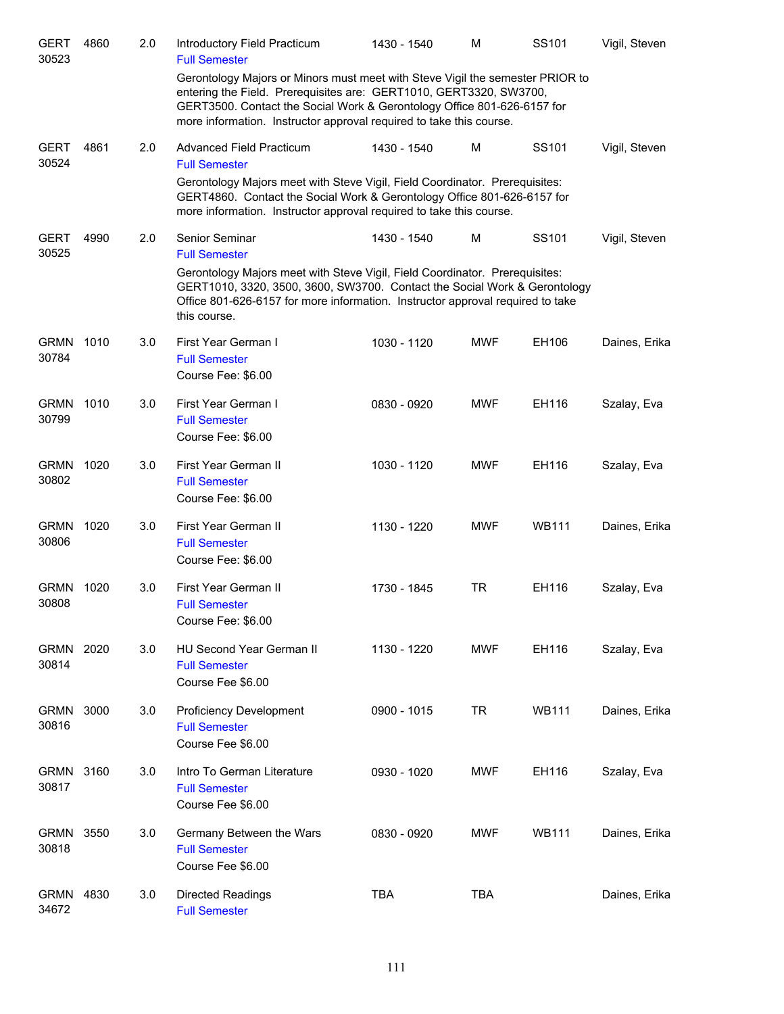| <b>GERT</b><br>30523 | 4860 | 2.0 | Introductory Field Practicum<br><b>Full Semester</b>                                                                                                                                                                                                                                                  | 1430 - 1540 | м          | SS101        | Vigil, Steven |
|----------------------|------|-----|-------------------------------------------------------------------------------------------------------------------------------------------------------------------------------------------------------------------------------------------------------------------------------------------------------|-------------|------------|--------------|---------------|
|                      |      |     | Gerontology Majors or Minors must meet with Steve Vigil the semester PRIOR to<br>entering the Field. Prerequisites are: GERT1010, GERT3320, SW3700,<br>GERT3500. Contact the Social Work & Gerontology Office 801-626-6157 for<br>more information. Instructor approval required to take this course. |             |            |              |               |
| <b>GERT</b><br>30524 | 4861 | 2.0 | Advanced Field Practicum<br><b>Full Semester</b>                                                                                                                                                                                                                                                      | 1430 - 1540 | M          | SS101        | Vigil, Steven |
|                      |      |     | Gerontology Majors meet with Steve Vigil, Field Coordinator. Prerequisites:<br>GERT4860. Contact the Social Work & Gerontology Office 801-626-6157 for<br>more information. Instructor approval required to take this course.                                                                         |             |            |              |               |
| <b>GERT</b><br>30525 | 4990 | 2.0 | Senior Seminar<br><b>Full Semester</b>                                                                                                                                                                                                                                                                | 1430 - 1540 | M          | SS101        | Vigil, Steven |
|                      |      |     | Gerontology Majors meet with Steve Vigil, Field Coordinator. Prerequisites:<br>GERT1010, 3320, 3500, 3600, SW3700. Contact the Social Work & Gerontology<br>Office 801-626-6157 for more information. Instructor approval required to take<br>this course.                                            |             |            |              |               |
| <b>GRMN</b><br>30784 | 1010 | 3.0 | First Year German I<br><b>Full Semester</b><br>Course Fee: \$6.00                                                                                                                                                                                                                                     | 1030 - 1120 | <b>MWF</b> | EH106        | Daines, Erika |
| <b>GRMN</b><br>30799 | 1010 | 3.0 | First Year German I<br><b>Full Semester</b><br>Course Fee: \$6.00                                                                                                                                                                                                                                     | 0830 - 0920 | <b>MWF</b> | EH116        | Szalay, Eva   |
| <b>GRMN</b><br>30802 | 1020 | 3.0 | First Year German II<br><b>Full Semester</b><br>Course Fee: \$6.00                                                                                                                                                                                                                                    | 1030 - 1120 | <b>MWF</b> | EH116        | Szalay, Eva   |
| <b>GRMN</b><br>30806 | 1020 | 3.0 | First Year German II<br><b>Full Semester</b><br>Course Fee: \$6.00                                                                                                                                                                                                                                    | 1130 - 1220 | <b>MWF</b> | <b>WB111</b> | Daines, Erika |
| <b>GRMN</b><br>30808 | 1020 | 3.0 | First Year German II<br><b>Full Semester</b><br>Course Fee: \$6.00                                                                                                                                                                                                                                    | 1730 - 1845 | TR         | EH116        | Szalay, Eva   |
| <b>GRMN</b><br>30814 | 2020 | 3.0 | HU Second Year German II<br><b>Full Semester</b><br>Course Fee \$6.00                                                                                                                                                                                                                                 | 1130 - 1220 | <b>MWF</b> | EH116        | Szalay, Eva   |
| <b>GRMN</b><br>30816 | 3000 | 3.0 | <b>Proficiency Development</b><br><b>Full Semester</b><br>Course Fee \$6.00                                                                                                                                                                                                                           | 0900 - 1015 | <b>TR</b>  | <b>WB111</b> | Daines, Erika |
| <b>GRMN</b><br>30817 | 3160 | 3.0 | Intro To German Literature<br><b>Full Semester</b><br>Course Fee \$6.00                                                                                                                                                                                                                               | 0930 - 1020 | MWF        | EH116        | Szalay, Eva   |
| <b>GRMN</b><br>30818 | 3550 | 3.0 | Germany Between the Wars<br><b>Full Semester</b><br>Course Fee \$6.00                                                                                                                                                                                                                                 | 0830 - 0920 | MWF        | <b>WB111</b> | Daines, Erika |
| <b>GRMN</b><br>34672 | 4830 | 3.0 | <b>Directed Readings</b><br><b>Full Semester</b>                                                                                                                                                                                                                                                      | <b>TBA</b>  | <b>TBA</b> |              | Daines, Erika |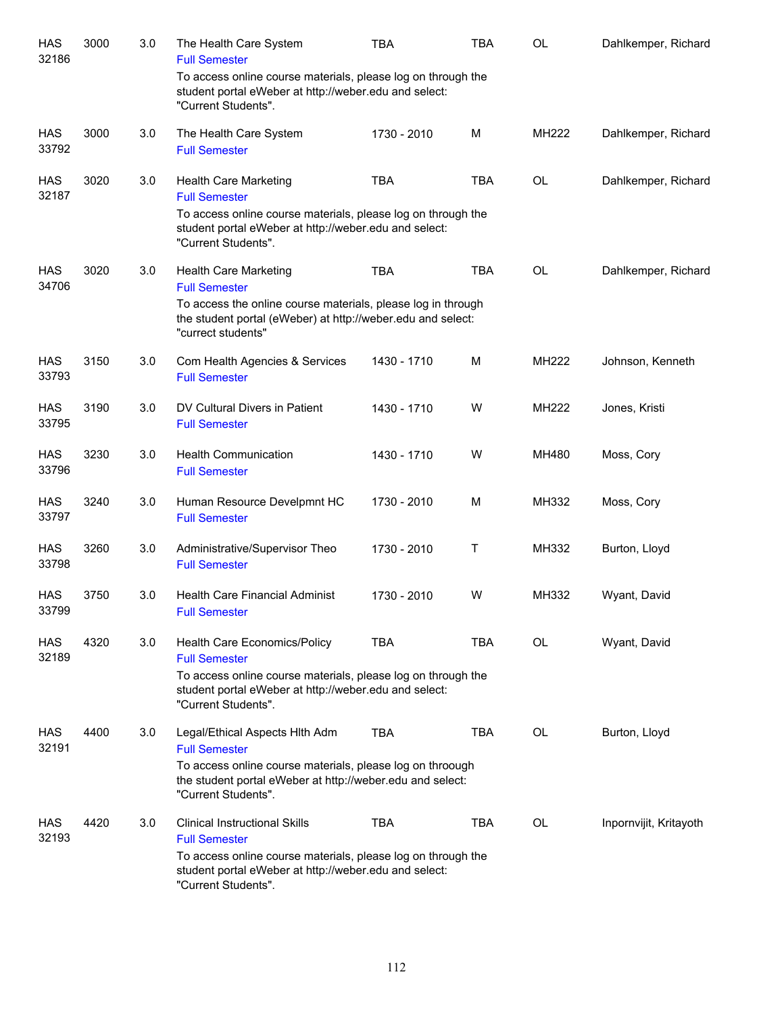| <b>HAS</b><br>32186 | 3000 | 3.0 | The Health Care System<br><b>Full Semester</b>                                                                                                    | <b>TBA</b>  | <b>TBA</b> | <b>OL</b>    | Dahlkemper, Richard    |
|---------------------|------|-----|---------------------------------------------------------------------------------------------------------------------------------------------------|-------------|------------|--------------|------------------------|
|                     |      |     | To access online course materials, please log on through the<br>student portal eWeber at http://weber.edu and select:<br>"Current Students".      |             |            |              |                        |
| <b>HAS</b><br>33792 | 3000 | 3.0 | The Health Care System<br><b>Full Semester</b>                                                                                                    | 1730 - 2010 | M          | MH222        | Dahlkemper, Richard    |
| <b>HAS</b><br>32187 | 3020 | 3.0 | <b>Health Care Marketing</b><br><b>Full Semester</b>                                                                                              | <b>TBA</b>  | <b>TBA</b> | <b>OL</b>    | Dahlkemper, Richard    |
|                     |      |     | To access online course materials, please log on through the<br>student portal eWeber at http://weber.edu and select:<br>"Current Students".      |             |            |              |                        |
| <b>HAS</b><br>34706 | 3020 | 3.0 | Health Care Marketing<br><b>Full Semester</b>                                                                                                     | <b>TBA</b>  | <b>TBA</b> | <b>OL</b>    | Dahlkemper, Richard    |
|                     |      |     | To access the online course materials, please log in through<br>the student portal (eWeber) at http://weber.edu and select:<br>"currect students" |             |            |              |                        |
| <b>HAS</b><br>33793 | 3150 | 3.0 | Com Health Agencies & Services<br><b>Full Semester</b>                                                                                            | 1430 - 1710 | M          | MH222        | Johnson, Kenneth       |
| <b>HAS</b><br>33795 | 3190 | 3.0 | DV Cultural Divers in Patient<br><b>Full Semester</b>                                                                                             | 1430 - 1710 | W          | <b>MH222</b> | Jones, Kristi          |
| <b>HAS</b><br>33796 | 3230 | 3.0 | <b>Health Communication</b><br><b>Full Semester</b>                                                                                               | 1430 - 1710 | W          | MH480        | Moss, Cory             |
| <b>HAS</b><br>33797 | 3240 | 3.0 | Human Resource Develpmnt HC<br><b>Full Semester</b>                                                                                               | 1730 - 2010 | M          | MH332        | Moss, Cory             |
| <b>HAS</b><br>33798 | 3260 | 3.0 | Administrative/Supervisor Theo<br><b>Full Semester</b>                                                                                            | 1730 - 2010 | Т          | MH332        | Burton, Lloyd          |
| <b>HAS</b><br>33799 | 3750 | 3.0 | Health Care Financial Administ<br><b>Full Semester</b>                                                                                            | 1730 - 2010 | w          | MH332        | Wyant, David           |
| HAS<br>32189        | 4320 | 3.0 | Health Care Economics/Policy<br><b>Full Semester</b><br>To access online course materials, please log on through the                              | <b>TBA</b>  | TBA        | OL           | Wyant, David           |
|                     |      |     | student portal eWeber at http://weber.edu and select:<br>"Current Students".                                                                      |             |            |              |                        |
| <b>HAS</b><br>32191 | 4400 | 3.0 | Legal/Ethical Aspects Hith Adm<br><b>Full Semester</b>                                                                                            | <b>TBA</b>  | TBA        | OL           | Burton, Lloyd          |
|                     |      |     | To access online course materials, please log on throough<br>the student portal eWeber at http://weber.edu and select:<br>"Current Students".     |             |            |              |                        |
| HAS<br>32193        | 4420 | 3.0 | <b>Clinical Instructional Skills</b><br><b>Full Semester</b>                                                                                      | <b>TBA</b>  | TBA        | OL           | Inpornvijit, Kritayoth |
|                     |      |     | To access online course materials, please log on through the<br>student portal eWeber at http://weber.edu and select:<br>"Current Students".      |             |            |              |                        |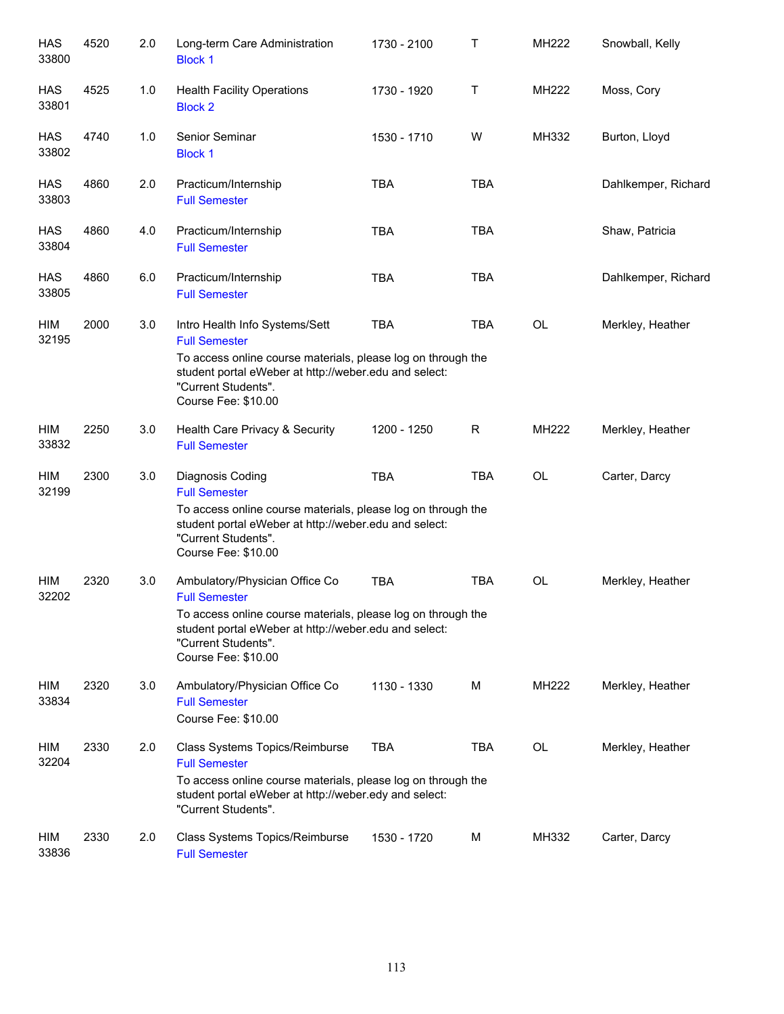| <b>HAS</b><br>33800 | 4520 | 2.0 | Long-term Care Administration<br><b>Block 1</b>                                                                                                                                                                               | 1730 - 2100 | Τ          | MH222     | Snowball, Kelly     |
|---------------------|------|-----|-------------------------------------------------------------------------------------------------------------------------------------------------------------------------------------------------------------------------------|-------------|------------|-----------|---------------------|
| <b>HAS</b><br>33801 | 4525 | 1.0 | <b>Health Facility Operations</b><br><b>Block 2</b>                                                                                                                                                                           | 1730 - 1920 | Т          | MH222     | Moss, Cory          |
| <b>HAS</b><br>33802 | 4740 | 1.0 | Senior Seminar<br><b>Block 1</b>                                                                                                                                                                                              | 1530 - 1710 | W          | MH332     | Burton, Lloyd       |
| <b>HAS</b><br>33803 | 4860 | 2.0 | Practicum/Internship<br><b>Full Semester</b>                                                                                                                                                                                  | <b>TBA</b>  | <b>TBA</b> |           | Dahlkemper, Richard |
| <b>HAS</b><br>33804 | 4860 | 4.0 | Practicum/Internship<br><b>Full Semester</b>                                                                                                                                                                                  | <b>TBA</b>  | <b>TBA</b> |           | Shaw, Patricia      |
| <b>HAS</b><br>33805 | 4860 | 6.0 | Practicum/Internship<br><b>Full Semester</b>                                                                                                                                                                                  | <b>TBA</b>  | <b>TBA</b> |           | Dahlkemper, Richard |
| HIM<br>32195        | 2000 | 3.0 | Intro Health Info Systems/Sett<br><b>Full Semester</b><br>To access online course materials, please log on through the<br>student portal eWeber at http://weber.edu and select:<br>"Current Students".<br>Course Fee: \$10.00 | <b>TBA</b>  | <b>TBA</b> | OL        | Merkley, Heather    |
| HIM<br>33832        | 2250 | 3.0 | Health Care Privacy & Security<br><b>Full Semester</b>                                                                                                                                                                        | 1200 - 1250 | R          | MH222     | Merkley, Heather    |
| HIM<br>32199        | 2300 | 3.0 | Diagnosis Coding<br><b>Full Semester</b><br>To access online course materials, please log on through the<br>student portal eWeber at http://weber.edu and select:<br>"Current Students".<br>Course Fee: \$10.00               | <b>TBA</b>  | <b>TBA</b> | <b>OL</b> | Carter, Darcy       |
| HIM<br>32202        | 2320 | 3.0 | Ambulatory/Physician Office Co<br><b>Full Semester</b><br>To access online course materials, please log on through the<br>student portal eWeber at http://weber.edu and select:<br>"Current Students".<br>Course Fee: \$10.00 | <b>TBA</b>  | <b>TBA</b> | OL        | Merkley, Heather    |
| HIM<br>33834        | 2320 | 3.0 | Ambulatory/Physician Office Co<br><b>Full Semester</b><br>Course Fee: \$10.00                                                                                                                                                 | 1130 - 1330 | м          | MH222     | Merkley, Heather    |
| HIM<br>32204        | 2330 | 2.0 | Class Systems Topics/Reimburse<br><b>Full Semester</b><br>To access online course materials, please log on through the<br>student portal eWeber at http://weber.edy and select:<br>"Current Students".                        | <b>TBA</b>  | <b>TBA</b> | OL        | Merkley, Heather    |
| HIM<br>33836        | 2330 | 2.0 | Class Systems Topics/Reimburse<br><b>Full Semester</b>                                                                                                                                                                        | 1530 - 1720 | M          | MH332     | Carter, Darcy       |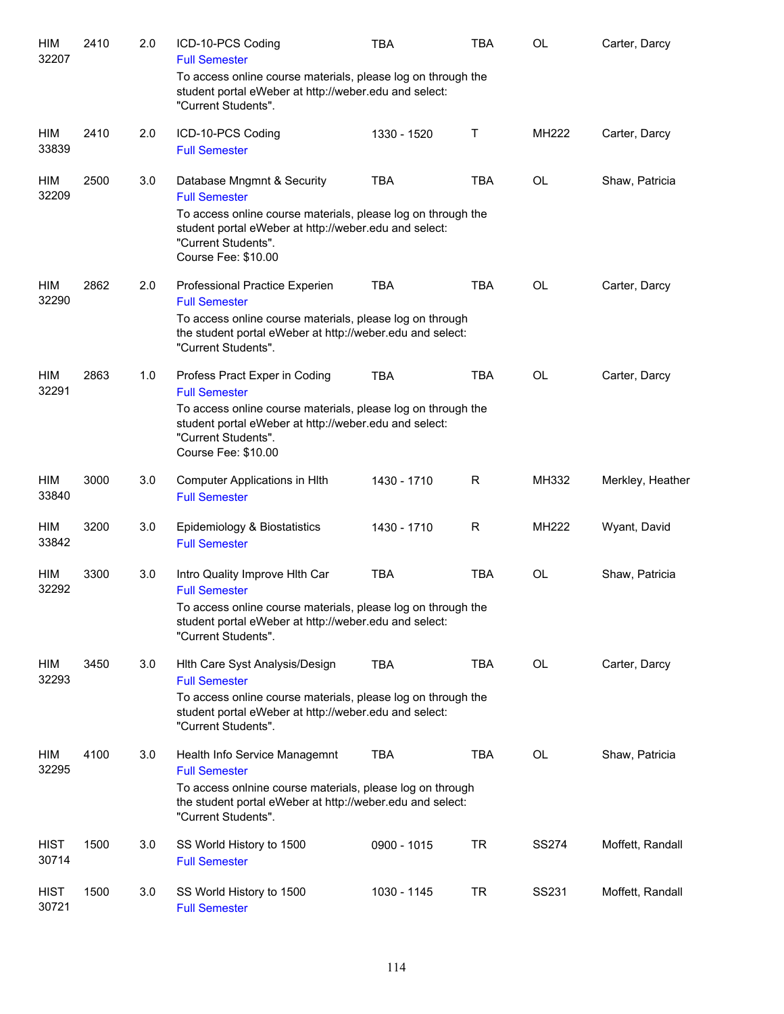| HIM<br>32207         | 2410 | 2.0 | ICD-10-PCS Coding<br><b>Full Semester</b>                                                                                                                           | <b>TBA</b>  | <b>TBA</b> | OL           | Carter, Darcy    |
|----------------------|------|-----|---------------------------------------------------------------------------------------------------------------------------------------------------------------------|-------------|------------|--------------|------------------|
|                      |      |     | To access online course materials, please log on through the<br>student portal eWeber at http://weber.edu and select:<br>"Current Students".                        |             |            |              |                  |
| HIM<br>33839         | 2410 | 2.0 | ICD-10-PCS Coding<br><b>Full Semester</b>                                                                                                                           | 1330 - 1520 | Τ          | <b>MH222</b> | Carter, Darcy    |
| HIM<br>32209         | 2500 | 3.0 | Database Mngmnt & Security<br><b>Full Semester</b><br>To access online course materials, please log on through the                                                  | <b>TBA</b>  | <b>TBA</b> | <b>OL</b>    | Shaw, Patricia   |
|                      |      |     | student portal eWeber at http://weber.edu and select:<br>"Current Students".<br>Course Fee: \$10.00                                                                 |             |            |              |                  |
| HIM<br>32290         | 2862 | 2.0 | Professional Practice Experien<br><b>Full Semester</b>                                                                                                              | <b>TBA</b>  | <b>TBA</b> | <b>OL</b>    | Carter, Darcy    |
|                      |      |     | To access online course materials, please log on through<br>the student portal eWeber at http://weber.edu and select:<br>"Current Students".                        |             |            |              |                  |
| HIM<br>32291         | 2863 | 1.0 | Profess Pract Exper in Coding<br><b>Full Semester</b>                                                                                                               | <b>TBA</b>  | <b>TBA</b> | <b>OL</b>    | Carter, Darcy    |
|                      |      |     | To access online course materials, please log on through the<br>student portal eWeber at http://weber.edu and select:<br>"Current Students".<br>Course Fee: \$10.00 |             |            |              |                  |
| HIM<br>33840         | 3000 | 3.0 | Computer Applications in HIth<br><b>Full Semester</b>                                                                                                               | 1430 - 1710 | R          | MH332        | Merkley, Heather |
| <b>HIM</b><br>33842  | 3200 | 3.0 | Epidemiology & Biostatistics<br><b>Full Semester</b>                                                                                                                | 1430 - 1710 | R          | MH222        | Wyant, David     |
| <b>HIM</b><br>32292  | 3300 | 3.0 | Intro Quality Improve Hith Car<br><b>Full Semester</b>                                                                                                              | <b>TBA</b>  | <b>TBA</b> | OL           | Shaw, Patricia   |
|                      |      |     | To access online course materials, please log on through the<br>student portal eWeber at http://weber.edu and select:<br>"Current Students".                        |             |            |              |                  |
| HIM<br>32293         | 3450 | 3.0 | Hith Care Syst Analysis/Design<br><b>Full Semester</b>                                                                                                              | <b>TBA</b>  | <b>TBA</b> | OL           | Carter, Darcy    |
|                      |      |     | To access online course materials, please log on through the<br>student portal eWeber at http://weber.edu and select:<br>"Current Students".                        |             |            |              |                  |
| HIM<br>32295         | 4100 | 3.0 | Health Info Service Managemnt<br><b>Full Semester</b>                                                                                                               | <b>TBA</b>  | <b>TBA</b> | OL           | Shaw, Patricia   |
|                      |      |     | To access onlnine course materials, please log on through<br>the student portal eWeber at http://weber.edu and select:<br>"Current Students".                       |             |            |              |                  |
| <b>HIST</b><br>30714 | 1500 | 3.0 | SS World History to 1500<br><b>Full Semester</b>                                                                                                                    | 0900 - 1015 | <b>TR</b>  | SS274        | Moffett, Randall |
| <b>HIST</b><br>30721 | 1500 | 3.0 | SS World History to 1500<br><b>Full Semester</b>                                                                                                                    | 1030 - 1145 | TR         | SS231        | Moffett, Randall |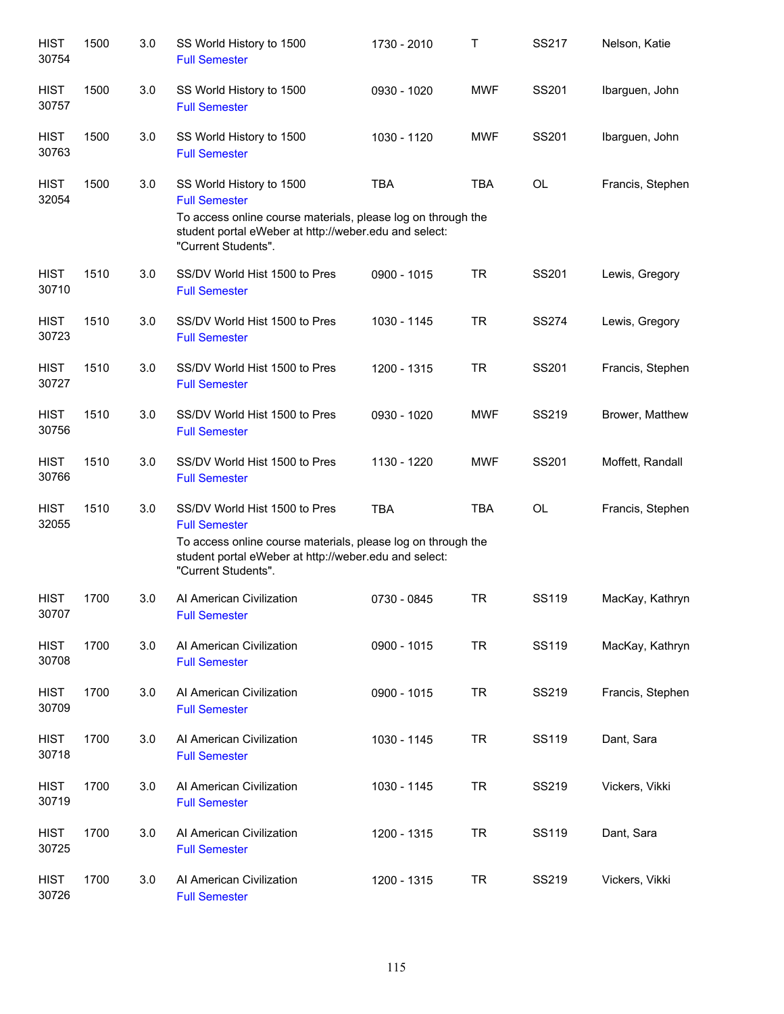| <b>HIST</b><br>30754 | 1500 | 3.0 | SS World History to 1500<br><b>Full Semester</b>                                                                                                                                                      | 1730 - 2010 | Τ          | SS217        | Nelson, Katie    |
|----------------------|------|-----|-------------------------------------------------------------------------------------------------------------------------------------------------------------------------------------------------------|-------------|------------|--------------|------------------|
| <b>HIST</b><br>30757 | 1500 | 3.0 | SS World History to 1500<br><b>Full Semester</b>                                                                                                                                                      | 0930 - 1020 | <b>MWF</b> | SS201        | Ibarguen, John   |
| <b>HIST</b><br>30763 | 1500 | 3.0 | SS World History to 1500<br><b>Full Semester</b>                                                                                                                                                      | 1030 - 1120 | <b>MWF</b> | SS201        | Ibarguen, John   |
| <b>HIST</b><br>32054 | 1500 | 3.0 | SS World History to 1500<br><b>Full Semester</b><br>To access online course materials, please log on through the<br>student portal eWeber at http://weber.edu and select:<br>"Current Students".      | <b>TBA</b>  | <b>TBA</b> | OL           | Francis, Stephen |
| <b>HIST</b><br>30710 | 1510 | 3.0 | SS/DV World Hist 1500 to Pres<br><b>Full Semester</b>                                                                                                                                                 | 0900 - 1015 | <b>TR</b>  | SS201        | Lewis, Gregory   |
| <b>HIST</b><br>30723 | 1510 | 3.0 | SS/DV World Hist 1500 to Pres<br><b>Full Semester</b>                                                                                                                                                 | 1030 - 1145 | <b>TR</b>  | <b>SS274</b> | Lewis, Gregory   |
| <b>HIST</b><br>30727 | 1510 | 3.0 | SS/DV World Hist 1500 to Pres<br><b>Full Semester</b>                                                                                                                                                 | 1200 - 1315 | <b>TR</b>  | SS201        | Francis, Stephen |
| <b>HIST</b><br>30756 | 1510 | 3.0 | SS/DV World Hist 1500 to Pres<br><b>Full Semester</b>                                                                                                                                                 | 0930 - 1020 | <b>MWF</b> | SS219        | Brower, Matthew  |
| <b>HIST</b><br>30766 | 1510 | 3.0 | SS/DV World Hist 1500 to Pres<br><b>Full Semester</b>                                                                                                                                                 | 1130 - 1220 | <b>MWF</b> | SS201        | Moffett, Randall |
| <b>HIST</b><br>32055 | 1510 | 3.0 | SS/DV World Hist 1500 to Pres<br><b>Full Semester</b><br>To access online course materials, please log on through the<br>student portal eWeber at http://weber.edu and select:<br>"Current Students". | <b>TBA</b>  | <b>TBA</b> | <b>OL</b>    | Francis, Stephen |
| <b>HIST</b><br>30707 | 1700 | 3.0 | Al American Civilization<br><b>Full Semester</b>                                                                                                                                                      | 0730 - 0845 | <b>TR</b>  | <b>SS119</b> | MacKay, Kathryn  |
| <b>HIST</b><br>30708 | 1700 | 3.0 | Al American Civilization<br><b>Full Semester</b>                                                                                                                                                      | 0900 - 1015 | <b>TR</b>  | <b>SS119</b> | MacKay, Kathryn  |
| <b>HIST</b><br>30709 | 1700 | 3.0 | Al American Civilization<br><b>Full Semester</b>                                                                                                                                                      | 0900 - 1015 | <b>TR</b>  | SS219        | Francis, Stephen |
| <b>HIST</b><br>30718 | 1700 | 3.0 | Al American Civilization<br><b>Full Semester</b>                                                                                                                                                      | 1030 - 1145 | <b>TR</b>  | SS119        | Dant, Sara       |
| <b>HIST</b><br>30719 | 1700 | 3.0 | Al American Civilization<br><b>Full Semester</b>                                                                                                                                                      | 1030 - 1145 | <b>TR</b>  | SS219        | Vickers, Vikki   |
| <b>HIST</b><br>30725 | 1700 | 3.0 | Al American Civilization<br><b>Full Semester</b>                                                                                                                                                      | 1200 - 1315 | <b>TR</b>  | SS119        | Dant, Sara       |
| <b>HIST</b><br>30726 | 1700 | 3.0 | Al American Civilization<br><b>Full Semester</b>                                                                                                                                                      | 1200 - 1315 | <b>TR</b>  | SS219        | Vickers, Vikki   |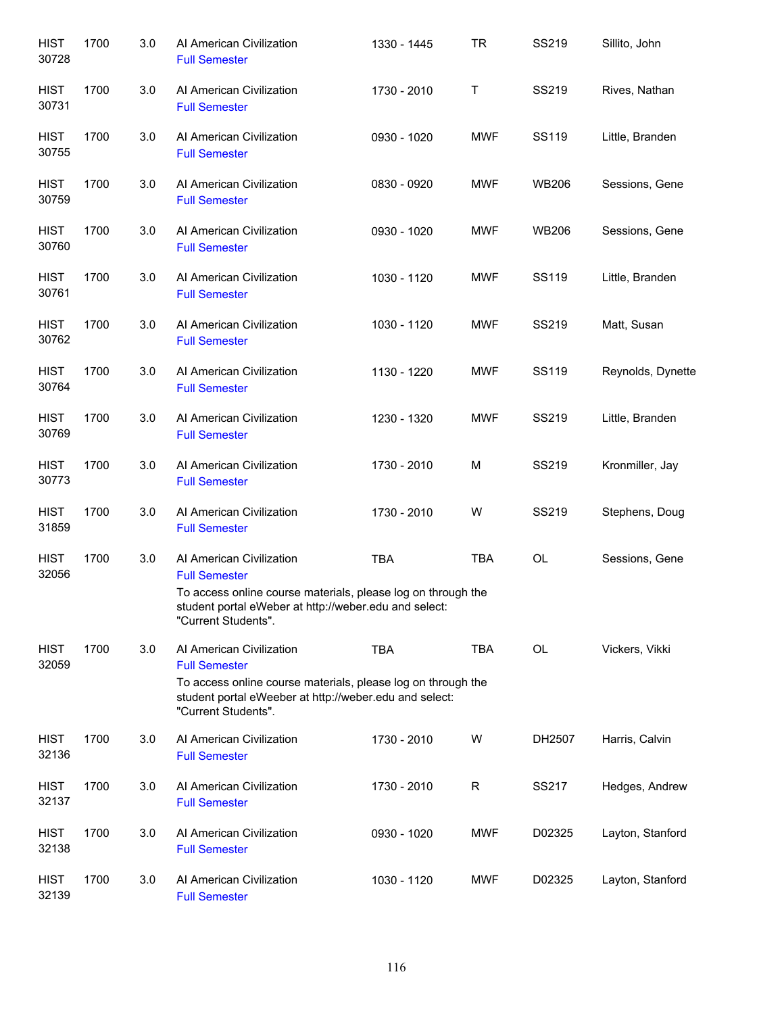| <b>HIST</b><br>30728 | 1700 | 3.0 | Al American Civilization<br><b>Full Semester</b>                                                                                                                           | 1330 - 1445 | <b>TR</b>  | SS219        | Sillito, John     |
|----------------------|------|-----|----------------------------------------------------------------------------------------------------------------------------------------------------------------------------|-------------|------------|--------------|-------------------|
| <b>HIST</b><br>30731 | 1700 | 3.0 | Al American Civilization<br><b>Full Semester</b>                                                                                                                           | 1730 - 2010 | Τ          | SS219        | Rives, Nathan     |
| <b>HIST</b><br>30755 | 1700 | 3.0 | Al American Civilization<br><b>Full Semester</b>                                                                                                                           | 0930 - 1020 | <b>MWF</b> | SS119        | Little, Branden   |
| <b>HIST</b><br>30759 | 1700 | 3.0 | Al American Civilization<br><b>Full Semester</b>                                                                                                                           | 0830 - 0920 | <b>MWF</b> | <b>WB206</b> | Sessions, Gene    |
| <b>HIST</b><br>30760 | 1700 | 3.0 | Al American Civilization<br><b>Full Semester</b>                                                                                                                           | 0930 - 1020 | MWF        | <b>WB206</b> | Sessions, Gene    |
| <b>HIST</b><br>30761 | 1700 | 3.0 | Al American Civilization<br><b>Full Semester</b>                                                                                                                           | 1030 - 1120 | <b>MWF</b> | SS119        | Little, Branden   |
| <b>HIST</b><br>30762 | 1700 | 3.0 | Al American Civilization<br><b>Full Semester</b>                                                                                                                           | 1030 - 1120 | <b>MWF</b> | SS219        | Matt, Susan       |
| <b>HIST</b><br>30764 | 1700 | 3.0 | Al American Civilization<br><b>Full Semester</b>                                                                                                                           | 1130 - 1220 | <b>MWF</b> | SS119        | Reynolds, Dynette |
| <b>HIST</b><br>30769 | 1700 | 3.0 | Al American Civilization<br><b>Full Semester</b>                                                                                                                           | 1230 - 1320 | <b>MWF</b> | SS219        | Little, Branden   |
| <b>HIST</b><br>30773 | 1700 | 3.0 | Al American Civilization<br><b>Full Semester</b>                                                                                                                           | 1730 - 2010 | M          | SS219        | Kronmiller, Jay   |
| <b>HIST</b><br>31859 | 1700 | 3.0 | Al American Civilization<br><b>Full Semester</b>                                                                                                                           | 1730 - 2010 | W          | SS219        | Stephens, Doug    |
| <b>HIST</b><br>32056 | 1700 | 3.0 | Al American Civilization<br><b>Full Semester</b>                                                                                                                           | <b>TBA</b>  | <b>TBA</b> | OL           | Sessions, Gene    |
|                      |      |     | To access online course materials, please log on through the<br>student portal eWeber at http://weber.edu and select:<br>"Current Students".                               |             |            |              |                   |
| <b>HIST</b><br>32059 | 1700 | 3.0 | Al American Civilization<br><b>Full Semester</b><br>To access online course materials, please log on through the<br>student portal eWeeber at http://weber.edu and select: | <b>TBA</b>  | <b>TBA</b> | <b>OL</b>    | Vickers, Vikki    |
| <b>HIST</b><br>32136 | 1700 | 3.0 | "Current Students".<br>Al American Civilization<br><b>Full Semester</b>                                                                                                    | 1730 - 2010 | W          | DH2507       | Harris, Calvin    |
| <b>HIST</b><br>32137 | 1700 | 3.0 | Al American Civilization<br><b>Full Semester</b>                                                                                                                           | 1730 - 2010 | R          | SS217        | Hedges, Andrew    |
| <b>HIST</b><br>32138 | 1700 | 3.0 | Al American Civilization<br><b>Full Semester</b>                                                                                                                           | 0930 - 1020 | <b>MWF</b> | D02325       | Layton, Stanford  |
| <b>HIST</b><br>32139 | 1700 | 3.0 | Al American Civilization<br><b>Full Semester</b>                                                                                                                           | 1030 - 1120 | <b>MWF</b> | D02325       | Layton, Stanford  |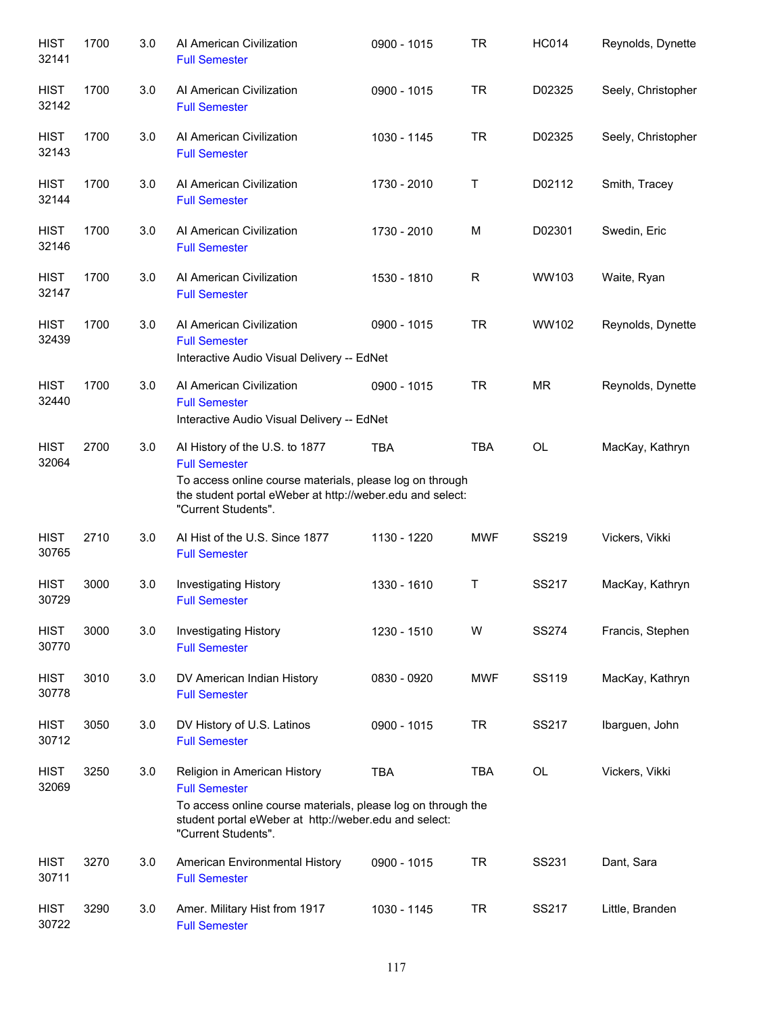| <b>HIST</b><br>32141 | 1700 | 3.0 | Al American Civilization<br><b>Full Semester</b>                                                                                                                                                       | 0900 - 1015   | <b>TR</b>    | <b>HC014</b> | Reynolds, Dynette  |
|----------------------|------|-----|--------------------------------------------------------------------------------------------------------------------------------------------------------------------------------------------------------|---------------|--------------|--------------|--------------------|
| <b>HIST</b><br>32142 | 1700 | 3.0 | Al American Civilization<br><b>Full Semester</b>                                                                                                                                                       | 0900 - 1015   | <b>TR</b>    | D02325       | Seely, Christopher |
| <b>HIST</b><br>32143 | 1700 | 3.0 | Al American Civilization<br><b>Full Semester</b>                                                                                                                                                       | 1030 - 1145   | <b>TR</b>    | D02325       | Seely, Christopher |
| <b>HIST</b><br>32144 | 1700 | 3.0 | Al American Civilization<br><b>Full Semester</b>                                                                                                                                                       | 1730 - 2010   | Τ            | D02112       | Smith, Tracey      |
| <b>HIST</b><br>32146 | 1700 | 3.0 | Al American Civilization<br><b>Full Semester</b>                                                                                                                                                       | 1730 - 2010   | M            | D02301       | Swedin, Eric       |
| <b>HIST</b><br>32147 | 1700 | 3.0 | Al American Civilization<br><b>Full Semester</b>                                                                                                                                                       | 1530 - 1810   | $\mathsf{R}$ | WW103        | Waite, Ryan        |
| <b>HIST</b><br>32439 | 1700 | 3.0 | Al American Civilization<br><b>Full Semester</b><br>Interactive Audio Visual Delivery -- EdNet                                                                                                         | $0900 - 1015$ | <b>TR</b>    | WW102        | Reynolds, Dynette  |
| <b>HIST</b><br>32440 | 1700 | 3.0 | Al American Civilization<br><b>Full Semester</b><br>Interactive Audio Visual Delivery -- EdNet                                                                                                         | 0900 - 1015   | <b>TR</b>    | <b>MR</b>    | Reynolds, Dynette  |
| <b>HIST</b><br>32064 | 2700 | 3.0 | Al History of the U.S. to 1877<br><b>Full Semester</b><br>To access online course materials, please log on through<br>the student portal eWeber at http://weber.edu and select:<br>"Current Students". | <b>TBA</b>    | <b>TBA</b>   | OL           | MacKay, Kathryn    |
| <b>HIST</b><br>30765 | 2710 | 3.0 | Al Hist of the U.S. Since 1877<br><b>Full Semester</b>                                                                                                                                                 | 1130 - 1220   | <b>MWF</b>   | SS219        | Vickers, Vikki     |
| <b>HIST</b><br>30729 | 3000 | 3.0 | Investigating History<br><b>Full Semester</b>                                                                                                                                                          | 1330 - 1610   | Τ            | SS217        | MacKay, Kathryn    |
| <b>HIST</b><br>30770 | 3000 | 3.0 | <b>Investigating History</b><br><b>Full Semester</b>                                                                                                                                                   | 1230 - 1510   | W            | <b>SS274</b> | Francis, Stephen   |
| <b>HIST</b><br>30778 | 3010 | 3.0 | DV American Indian History<br><b>Full Semester</b>                                                                                                                                                     | 0830 - 0920   | <b>MWF</b>   | <b>SS119</b> | MacKay, Kathryn    |
| <b>HIST</b><br>30712 | 3050 | 3.0 | DV History of U.S. Latinos<br><b>Full Semester</b>                                                                                                                                                     | 0900 - 1015   | <b>TR</b>    | SS217        | Ibarguen, John     |
| <b>HIST</b><br>32069 | 3250 | 3.0 | Religion in American History<br><b>Full Semester</b><br>To access online course materials, please log on through the<br>student portal eWeber at http://weber.edu and select:<br>"Current Students".   | <b>TBA</b>    | <b>TBA</b>   | <b>OL</b>    | Vickers, Vikki     |
| <b>HIST</b><br>30711 | 3270 | 3.0 | American Environmental History<br><b>Full Semester</b>                                                                                                                                                 | 0900 - 1015   | <b>TR</b>    | SS231        | Dant, Sara         |
| <b>HIST</b><br>30722 | 3290 | 3.0 | Amer. Military Hist from 1917<br><b>Full Semester</b>                                                                                                                                                  | 1030 - 1145   | TR           | SS217        | Little, Branden    |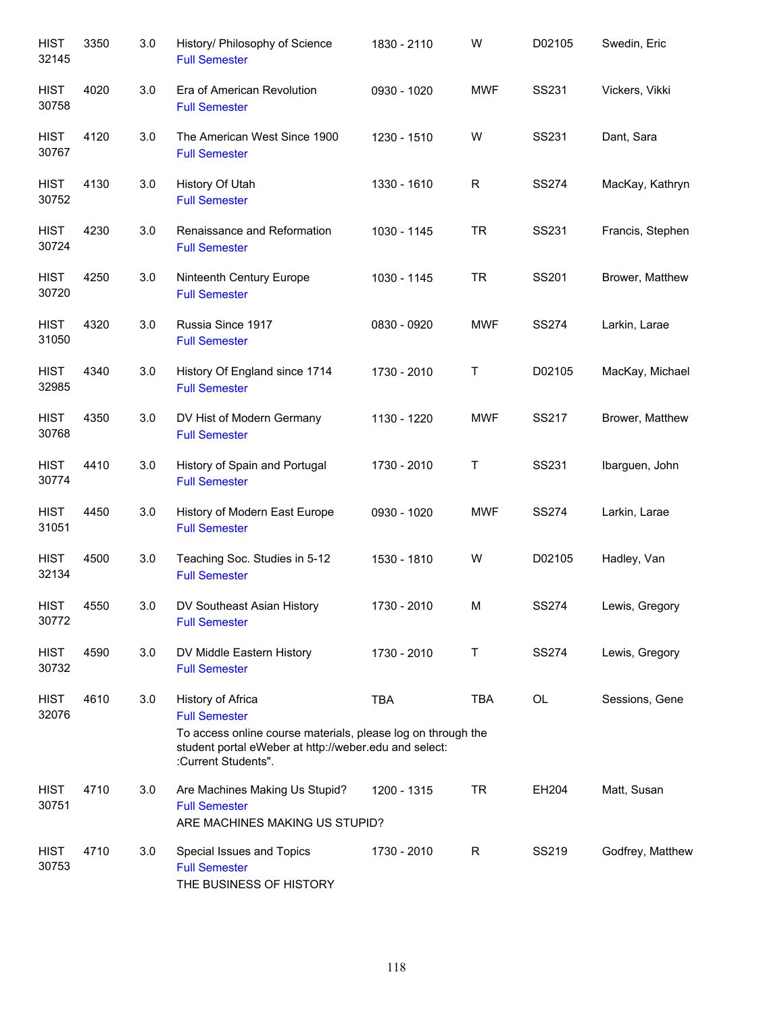| <b>HIST</b><br>32145 | 3350 | 3.0 | History/ Philosophy of Science<br><b>Full Semester</b>                                                                                                                                    | 1830 - 2110 | W          | D02105       | Swedin, Eric     |
|----------------------|------|-----|-------------------------------------------------------------------------------------------------------------------------------------------------------------------------------------------|-------------|------------|--------------|------------------|
| <b>HIST</b><br>30758 | 4020 | 3.0 | Era of American Revolution<br><b>Full Semester</b>                                                                                                                                        | 0930 - 1020 | <b>MWF</b> | SS231        | Vickers, Vikki   |
| <b>HIST</b><br>30767 | 4120 | 3.0 | The American West Since 1900<br><b>Full Semester</b>                                                                                                                                      | 1230 - 1510 | W          | SS231        | Dant, Sara       |
| <b>HIST</b><br>30752 | 4130 | 3.0 | History Of Utah<br><b>Full Semester</b>                                                                                                                                                   | 1330 - 1610 | R          | <b>SS274</b> | MacKay, Kathryn  |
| <b>HIST</b><br>30724 | 4230 | 3.0 | Renaissance and Reformation<br><b>Full Semester</b>                                                                                                                                       | 1030 - 1145 | <b>TR</b>  | SS231        | Francis, Stephen |
| <b>HIST</b><br>30720 | 4250 | 3.0 | Ninteenth Century Europe<br><b>Full Semester</b>                                                                                                                                          | 1030 - 1145 | <b>TR</b>  | SS201        | Brower, Matthew  |
| <b>HIST</b><br>31050 | 4320 | 3.0 | Russia Since 1917<br><b>Full Semester</b>                                                                                                                                                 | 0830 - 0920 | <b>MWF</b> | <b>SS274</b> | Larkin, Larae    |
| <b>HIST</b><br>32985 | 4340 | 3.0 | History Of England since 1714<br><b>Full Semester</b>                                                                                                                                     | 1730 - 2010 | Τ          | D02105       | MacKay, Michael  |
| <b>HIST</b><br>30768 | 4350 | 3.0 | DV Hist of Modern Germany<br><b>Full Semester</b>                                                                                                                                         | 1130 - 1220 | <b>MWF</b> | SS217        | Brower, Matthew  |
| <b>HIST</b><br>30774 | 4410 | 3.0 | History of Spain and Portugal<br><b>Full Semester</b>                                                                                                                                     | 1730 - 2010 | Τ          | SS231        | Ibarguen, John   |
| <b>HIST</b><br>31051 | 4450 | 3.0 | History of Modern East Europe<br><b>Full Semester</b>                                                                                                                                     | 0930 - 1020 | <b>MWF</b> | <b>SS274</b> | Larkin, Larae    |
| <b>HIST</b><br>32134 | 4500 | 3.0 | Teaching Soc. Studies in 5-12<br><b>Full Semester</b>                                                                                                                                     | 1530 - 1810 | W          | D02105       | Hadley, Van      |
| <b>HIST</b><br>30772 | 4550 | 3.0 | DV Southeast Asian History<br><b>Full Semester</b>                                                                                                                                        | 1730 - 2010 | М          | SS274        | Lewis, Gregory   |
| <b>HIST</b><br>30732 | 4590 | 3.0 | DV Middle Eastern History<br><b>Full Semester</b>                                                                                                                                         | 1730 - 2010 | т          | <b>SS274</b> | Lewis, Gregory   |
| <b>HIST</b><br>32076 | 4610 | 3.0 | History of Africa<br><b>Full Semester</b><br>To access online course materials, please log on through the<br>student portal eWeber at http://weber.edu and select:<br>:Current Students". | <b>TBA</b>  | <b>TBA</b> | OL           | Sessions, Gene   |
| HIST<br>30751        | 4710 | 3.0 | Are Machines Making Us Stupid?<br><b>Full Semester</b><br>ARE MACHINES MAKING US STUPID?                                                                                                  | 1200 - 1315 | <b>TR</b>  | EH204        | Matt, Susan      |
| <b>HIST</b><br>30753 | 4710 | 3.0 | Special Issues and Topics<br><b>Full Semester</b><br>THE BUSINESS OF HISTORY                                                                                                              | 1730 - 2010 | R          | SS219        | Godfrey, Matthew |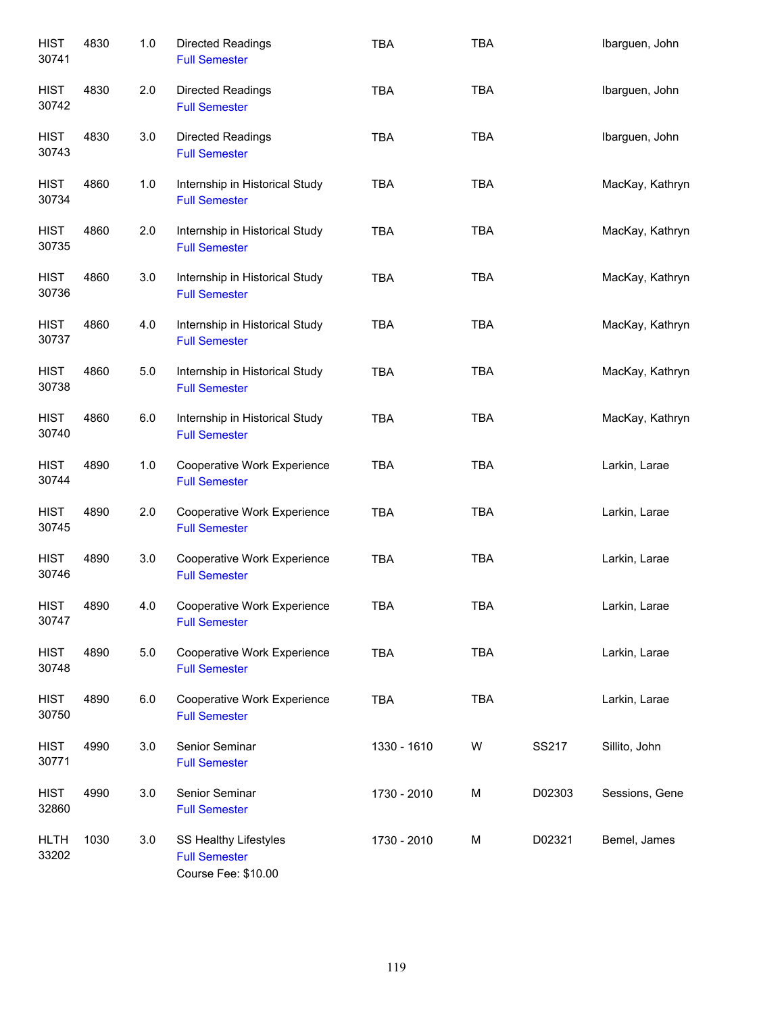| <b>HIST</b><br>30741 | 4830 | 1.0 | <b>Directed Readings</b><br><b>Full Semester</b>                     | <b>TBA</b>  | <b>TBA</b> |        | Ibarguen, John  |
|----------------------|------|-----|----------------------------------------------------------------------|-------------|------------|--------|-----------------|
| <b>HIST</b><br>30742 | 4830 | 2.0 | Directed Readings<br><b>Full Semester</b>                            | <b>TBA</b>  | <b>TBA</b> |        | Ibarguen, John  |
| <b>HIST</b><br>30743 | 4830 | 3.0 | <b>Directed Readings</b><br><b>Full Semester</b>                     | <b>TBA</b>  | <b>TBA</b> |        | Ibarguen, John  |
| <b>HIST</b><br>30734 | 4860 | 1.0 | Internship in Historical Study<br><b>Full Semester</b>               | <b>TBA</b>  | <b>TBA</b> |        | MacKay, Kathryn |
| <b>HIST</b><br>30735 | 4860 | 2.0 | Internship in Historical Study<br><b>Full Semester</b>               | <b>TBA</b>  | <b>TBA</b> |        | MacKay, Kathryn |
| <b>HIST</b><br>30736 | 4860 | 3.0 | Internship in Historical Study<br><b>Full Semester</b>               | <b>TBA</b>  | <b>TBA</b> |        | MacKay, Kathryn |
| <b>HIST</b><br>30737 | 4860 | 4.0 | Internship in Historical Study<br><b>Full Semester</b>               | <b>TBA</b>  | <b>TBA</b> |        | MacKay, Kathryn |
| <b>HIST</b><br>30738 | 4860 | 5.0 | Internship in Historical Study<br><b>Full Semester</b>               | <b>TBA</b>  | <b>TBA</b> |        | MacKay, Kathryn |
| <b>HIST</b><br>30740 | 4860 | 6.0 | Internship in Historical Study<br><b>Full Semester</b>               | <b>TBA</b>  | <b>TBA</b> |        | MacKay, Kathryn |
| <b>HIST</b><br>30744 | 4890 | 1.0 | Cooperative Work Experience<br><b>Full Semester</b>                  | <b>TBA</b>  | <b>TBA</b> |        | Larkin, Larae   |
| <b>HIST</b><br>30745 | 4890 | 2.0 | Cooperative Work Experience<br><b>Full Semester</b>                  | <b>TBA</b>  | <b>TBA</b> |        | Larkin, Larae   |
| <b>HIST</b><br>30746 | 4890 | 3.0 | Cooperative Work Experience<br><b>Full Semester</b>                  | <b>TBA</b>  | <b>TBA</b> |        | Larkin, Larae   |
| <b>HIST</b><br>30747 | 4890 | 4.0 | Cooperative Work Experience<br><b>Full Semester</b>                  | <b>TBA</b>  | <b>TBA</b> |        | Larkin, Larae   |
| <b>HIST</b><br>30748 | 4890 | 5.0 | Cooperative Work Experience<br><b>Full Semester</b>                  | <b>TBA</b>  | TBA        |        | Larkin, Larae   |
| <b>HIST</b><br>30750 | 4890 | 6.0 | Cooperative Work Experience<br><b>Full Semester</b>                  | <b>TBA</b>  | <b>TBA</b> |        | Larkin, Larae   |
| <b>HIST</b><br>30771 | 4990 | 3.0 | Senior Seminar<br><b>Full Semester</b>                               | 1330 - 1610 | W          | SS217  | Sillito, John   |
| <b>HIST</b><br>32860 | 4990 | 3.0 | Senior Seminar<br><b>Full Semester</b>                               | 1730 - 2010 | М          | D02303 | Sessions, Gene  |
| <b>HLTH</b><br>33202 | 1030 | 3.0 | SS Healthy Lifestyles<br><b>Full Semester</b><br>Course Fee: \$10.00 | 1730 - 2010 | М          | D02321 | Bemel, James    |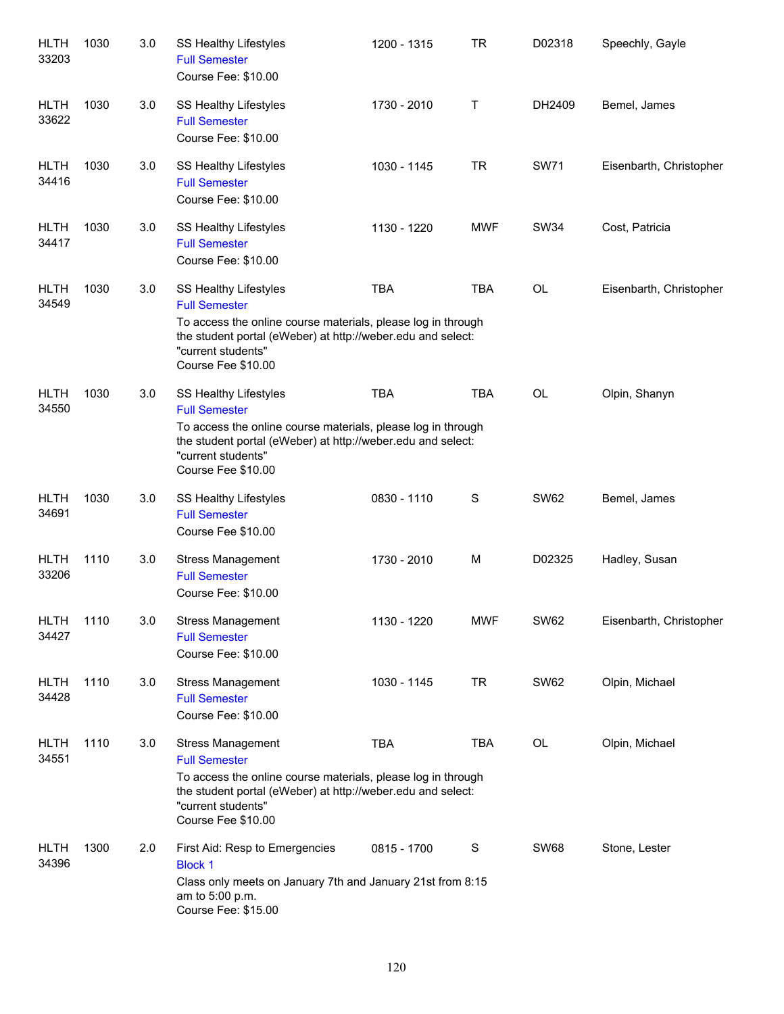| <b>HLTH</b><br>33203 | 1030 | 3.0     | SS Healthy Lifestyles<br><b>Full Semester</b><br>Course Fee: \$10.00                                                                                                                                                        | 1200 - 1315 | <b>TR</b>     | D02318      | Speechly, Gayle         |
|----------------------|------|---------|-----------------------------------------------------------------------------------------------------------------------------------------------------------------------------------------------------------------------------|-------------|---------------|-------------|-------------------------|
| <b>HLTH</b><br>33622 | 1030 | 3.0     | SS Healthy Lifestyles<br><b>Full Semester</b><br>Course Fee: \$10.00                                                                                                                                                        | 1730 - 2010 | т             | DH2409      | Bemel, James            |
| <b>HLTH</b><br>34416 | 1030 | 3.0     | SS Healthy Lifestyles<br><b>Full Semester</b><br>Course Fee: \$10.00                                                                                                                                                        | 1030 - 1145 | <b>TR</b>     | <b>SW71</b> | Eisenbarth, Christopher |
| <b>HLTH</b><br>34417 | 1030 | 3.0     | SS Healthy Lifestyles<br><b>Full Semester</b><br>Course Fee: \$10.00                                                                                                                                                        | 1130 - 1220 | <b>MWF</b>    | <b>SW34</b> | Cost, Patricia          |
| <b>HLTH</b><br>34549 | 1030 | 3.0     | SS Healthy Lifestyles<br><b>Full Semester</b><br>To access the online course materials, please log in through<br>the student portal (eWeber) at http://weber.edu and select:<br>"current students"<br>Course Fee \$10.00    | <b>TBA</b>  | <b>TBA</b>    | OL          | Eisenbarth, Christopher |
| <b>HLTH</b><br>34550 | 1030 | 3.0     | SS Healthy Lifestyles<br><b>Full Semester</b><br>To access the online course materials, please log in through<br>the student portal (eWeber) at http://weber.edu and select:<br>"current students"<br>Course Fee \$10.00    | <b>TBA</b>  | <b>TBA</b>    | OL          | Olpin, Shanyn           |
| <b>HLTH</b><br>34691 | 1030 | $3.0\,$ | SS Healthy Lifestyles<br><b>Full Semester</b><br>Course Fee \$10.00                                                                                                                                                         | 0830 - 1110 | ${\mathsf S}$ | <b>SW62</b> | Bemel, James            |
| <b>HLTH</b><br>33206 | 1110 | $3.0\,$ | <b>Stress Management</b><br><b>Full Semester</b><br>Course Fee: \$10.00                                                                                                                                                     | 1730 - 2010 | M             | D02325      | Hadley, Susan           |
| HLTH<br>34427        | 1110 | 3.0     | <b>Stress Management</b><br><b>Full Semester</b><br>Course Fee: \$10.00                                                                                                                                                     | 1130 - 1220 | <b>MWF</b>    | <b>SW62</b> | Eisenbarth, Christopher |
| <b>HLTH</b><br>34428 | 1110 | 3.0     | <b>Stress Management</b><br><b>Full Semester</b><br>Course Fee: \$10.00                                                                                                                                                     | 1030 - 1145 | <b>TR</b>     | <b>SW62</b> | Olpin, Michael          |
| <b>HLTH</b><br>34551 | 1110 | 3.0     | <b>Stress Management</b><br><b>Full Semester</b><br>To access the online course materials, please log in through<br>the student portal (eWeber) at http://weber.edu and select:<br>"current students"<br>Course Fee \$10.00 | <b>TBA</b>  | <b>TBA</b>    | OL          | Olpin, Michael          |
| <b>HLTH</b><br>34396 | 1300 | 2.0     | First Aid: Resp to Emergencies<br><b>Block 1</b><br>Class only meets on January 7th and January 21st from 8:15<br>am to 5:00 p.m.<br>Course Fee: \$15.00                                                                    | 0815 - 1700 | $\mathbf S$   | <b>SW68</b> | Stone, Lester           |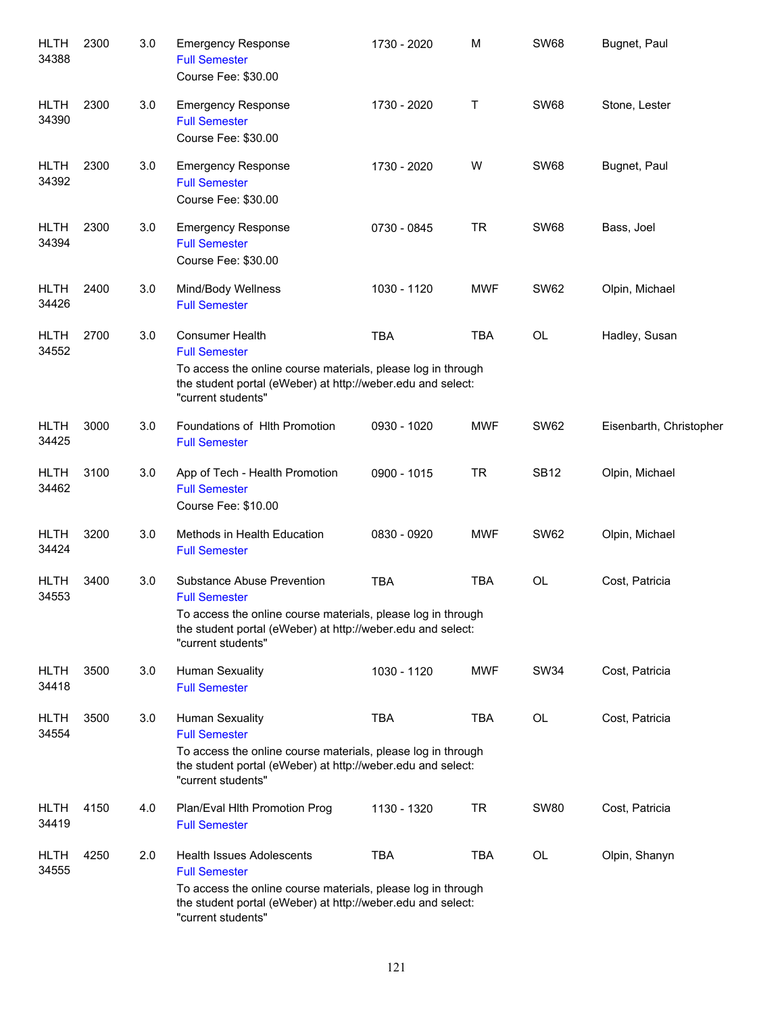| <b>HLTH</b><br>34388 | 2300 | 3.0 | <b>Emergency Response</b><br><b>Full Semester</b><br>Course Fee: \$30.00                                                                                                                                | 1730 - 2020 | M          | <b>SW68</b> | Bugnet, Paul            |
|----------------------|------|-----|---------------------------------------------------------------------------------------------------------------------------------------------------------------------------------------------------------|-------------|------------|-------------|-------------------------|
| <b>HLTH</b><br>34390 | 2300 | 3.0 | <b>Emergency Response</b><br><b>Full Semester</b><br>Course Fee: \$30.00                                                                                                                                | 1730 - 2020 | т          | <b>SW68</b> | Stone, Lester           |
| <b>HLTH</b><br>34392 | 2300 | 3.0 | <b>Emergency Response</b><br><b>Full Semester</b><br>Course Fee: \$30.00                                                                                                                                | 1730 - 2020 | W          | <b>SW68</b> | Bugnet, Paul            |
| <b>HLTH</b><br>34394 | 2300 | 3.0 | <b>Emergency Response</b><br><b>Full Semester</b><br>Course Fee: \$30.00                                                                                                                                | 0730 - 0845 | <b>TR</b>  | <b>SW68</b> | Bass, Joel              |
| <b>HLTH</b><br>34426 | 2400 | 3.0 | Mind/Body Wellness<br><b>Full Semester</b>                                                                                                                                                              | 1030 - 1120 | <b>MWF</b> | <b>SW62</b> | Olpin, Michael          |
| <b>HLTH</b><br>34552 | 2700 | 3.0 | <b>Consumer Health</b><br><b>Full Semester</b><br>To access the online course materials, please log in through<br>the student portal (eWeber) at http://weber.edu and select:<br>"current students"     | <b>TBA</b>  | <b>TBA</b> | OL          | Hadley, Susan           |
| <b>HLTH</b><br>34425 | 3000 | 3.0 | Foundations of Hith Promotion<br><b>Full Semester</b>                                                                                                                                                   | 0930 - 1020 | <b>MWF</b> | <b>SW62</b> | Eisenbarth, Christopher |
| <b>HLTH</b><br>34462 | 3100 | 3.0 | App of Tech - Health Promotion<br><b>Full Semester</b><br>Course Fee: \$10.00                                                                                                                           | 0900 - 1015 | <b>TR</b>  | <b>SB12</b> | Olpin, Michael          |
| <b>HLTH</b><br>34424 | 3200 | 3.0 | Methods in Health Education<br><b>Full Semester</b>                                                                                                                                                     | 0830 - 0920 | <b>MWF</b> | <b>SW62</b> | Olpin, Michael          |
| <b>HLTH</b><br>34553 | 3400 | 3.0 | Substance Abuse Prevention<br><b>Full Semester</b><br>To access the online course materials, please log in through<br>the student portal (eWeber) at http://weber.edu and select:<br>"current students" | <b>TBA</b>  | <b>TBA</b> | OL          | Cost, Patricia          |
| <b>HLTH</b><br>34418 | 3500 | 3.0 | <b>Human Sexuality</b><br><b>Full Semester</b>                                                                                                                                                          | 1030 - 1120 | <b>MWF</b> | <b>SW34</b> | Cost, Patricia          |
| <b>HLTH</b><br>34554 | 3500 | 3.0 | <b>Human Sexuality</b><br><b>Full Semester</b><br>To access the online course materials, please log in through<br>the student portal (eWeber) at http://weber.edu and select:<br>"current students"     | <b>TBA</b>  | <b>TBA</b> | OL          | Cost, Patricia          |
| <b>HLTH</b><br>34419 | 4150 | 4.0 | Plan/Eval Hith Promotion Prog<br><b>Full Semester</b>                                                                                                                                                   | 1130 - 1320 | <b>TR</b>  | <b>SW80</b> | Cost, Patricia          |
| <b>HLTH</b><br>34555 | 4250 | 2.0 | Health Issues Adolescents<br><b>Full Semester</b><br>To access the online course materials, please log in through<br>the student portal (eWeber) at http://weber.edu and select:<br>"current students"  | <b>TBA</b>  | <b>TBA</b> | OL          | Olpin, Shanyn           |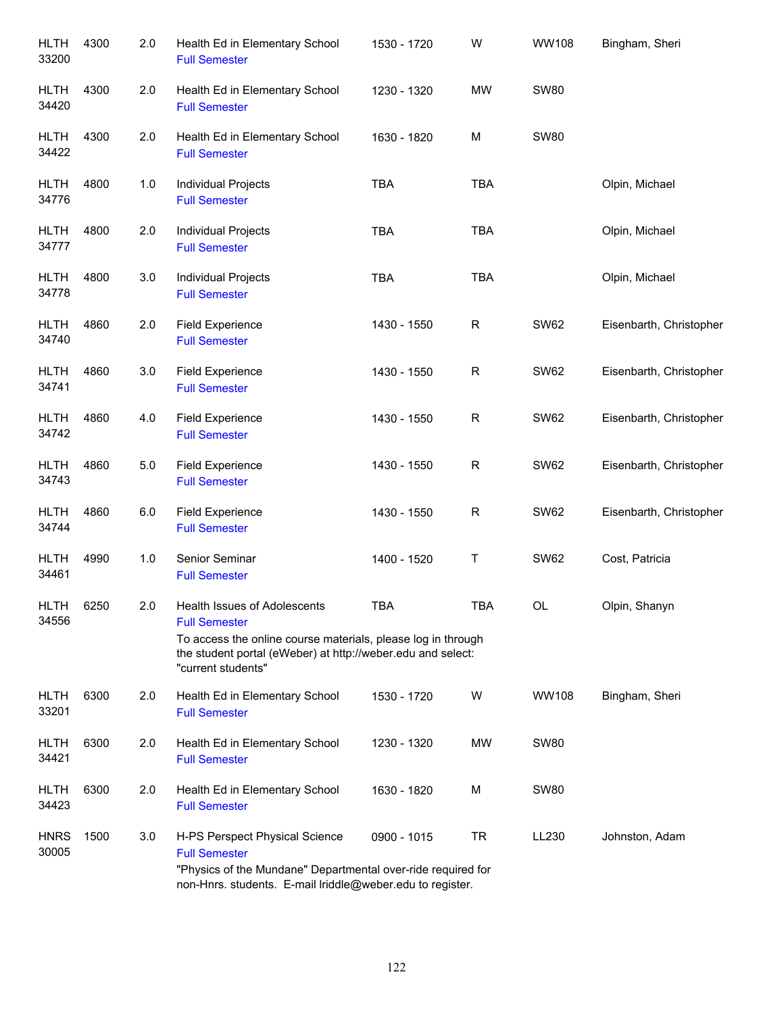| <b>HLTH</b><br>33200 | 4300 | 2.0   | Health Ed in Elementary School<br><b>Full Semester</b>                                                                                                                                                    | 1530 - 1720 | W            | <b>WW108</b> | Bingham, Sheri          |
|----------------------|------|-------|-----------------------------------------------------------------------------------------------------------------------------------------------------------------------------------------------------------|-------------|--------------|--------------|-------------------------|
| HLTH<br>34420        | 4300 | 2.0   | Health Ed in Elementary School<br><b>Full Semester</b>                                                                                                                                                    | 1230 - 1320 | <b>MW</b>    | <b>SW80</b>  |                         |
| HLTH<br>34422        | 4300 | 2.0   | Health Ed in Elementary School<br><b>Full Semester</b>                                                                                                                                                    | 1630 - 1820 | M            | <b>SW80</b>  |                         |
| <b>HLTH</b><br>34776 | 4800 | $1.0$ | Individual Projects<br><b>Full Semester</b>                                                                                                                                                               | <b>TBA</b>  | <b>TBA</b>   |              | Olpin, Michael          |
| HLTH<br>34777        | 4800 | 2.0   | Individual Projects<br><b>Full Semester</b>                                                                                                                                                               | <b>TBA</b>  | <b>TBA</b>   |              | Olpin, Michael          |
| <b>HLTH</b><br>34778 | 4800 | 3.0   | Individual Projects<br><b>Full Semester</b>                                                                                                                                                               | <b>TBA</b>  | <b>TBA</b>   |              | Olpin, Michael          |
| <b>HLTH</b><br>34740 | 4860 | 2.0   | <b>Field Experience</b><br><b>Full Semester</b>                                                                                                                                                           | 1430 - 1550 | $\mathsf R$  | <b>SW62</b>  | Eisenbarth, Christopher |
| <b>HLTH</b><br>34741 | 4860 | 3.0   | <b>Field Experience</b><br><b>Full Semester</b>                                                                                                                                                           | 1430 - 1550 | $\mathsf R$  | <b>SW62</b>  | Eisenbarth, Christopher |
| <b>HLTH</b><br>34742 | 4860 | 4.0   | <b>Field Experience</b><br><b>Full Semester</b>                                                                                                                                                           | 1430 - 1550 | $\mathsf R$  | <b>SW62</b>  | Eisenbarth, Christopher |
| <b>HLTH</b><br>34743 | 4860 | $5.0$ | <b>Field Experience</b><br><b>Full Semester</b>                                                                                                                                                           | 1430 - 1550 | $\mathsf R$  | <b>SW62</b>  | Eisenbarth, Christopher |
| <b>HLTH</b><br>34744 | 4860 | 6.0   | <b>Field Experience</b><br><b>Full Semester</b>                                                                                                                                                           | 1430 - 1550 | $\mathsf{R}$ | <b>SW62</b>  | Eisenbarth, Christopher |
| <b>HLTH</b><br>34461 | 4990 | 1.0   | Senior Seminar<br><b>Full Semester</b>                                                                                                                                                                    | 1400 - 1520 | T            | <b>SW62</b>  | Cost, Patricia          |
| <b>HLTH</b><br>34556 | 6250 | 2.0   | Health Issues of Adolescents<br><b>Full Semester</b><br>To access the online course materials, please log in through<br>the student portal (eWeber) at http://weber.edu and select:<br>"current students" | <b>TBA</b>  | <b>TBA</b>   | OL           | Olpin, Shanyn           |
| HLTH<br>33201        | 6300 | 2.0   | Health Ed in Elementary School<br><b>Full Semester</b>                                                                                                                                                    | 1530 - 1720 | W            | WW108        | Bingham, Sheri          |
| <b>HLTH</b><br>34421 | 6300 | 2.0   | Health Ed in Elementary School<br><b>Full Semester</b>                                                                                                                                                    | 1230 - 1320 | MW           | <b>SW80</b>  |                         |
| <b>HLTH</b><br>34423 | 6300 | 2.0   | Health Ed in Elementary School<br><b>Full Semester</b>                                                                                                                                                    | 1630 - 1820 | м            | <b>SW80</b>  |                         |
| <b>HNRS</b><br>30005 | 1500 | 3.0   | H-PS Perspect Physical Science<br><b>Full Semester</b><br>"Physics of the Mundane" Departmental over-ride required for<br>non-Hnrs. students. E-mail lriddle@weber.edu to register.                       | 0900 - 1015 | <b>TR</b>    | LL230        | Johnston, Adam          |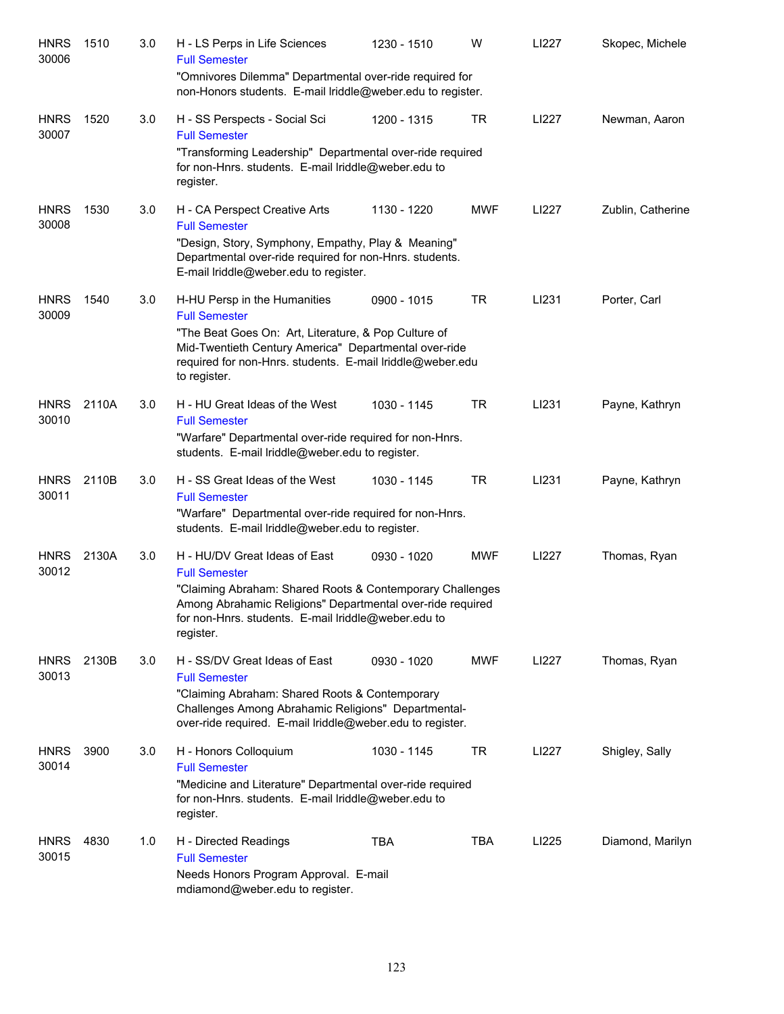| <b>HNRS</b><br>30006 | 1510  | 3.0 | H - LS Perps in Life Sciences<br><b>Full Semester</b><br>"Omnivores Dilemma" Departmental over-ride required for                                                                            | 1230 - 1510 | W          | LI227 | Skopec, Michele   |
|----------------------|-------|-----|---------------------------------------------------------------------------------------------------------------------------------------------------------------------------------------------|-------------|------------|-------|-------------------|
|                      |       |     | non-Honors students. E-mail Iriddle@weber.edu to register.                                                                                                                                  |             |            |       |                   |
| <b>HNRS</b><br>30007 | 1520  | 3.0 | H - SS Perspects - Social Sci<br><b>Full Semester</b><br>"Transforming Leadership" Departmental over-ride required                                                                          | 1200 - 1315 | TR         | LI227 | Newman, Aaron     |
|                      |       |     | for non-Hnrs. students. E-mail lriddle@weber.edu to<br>register.                                                                                                                            |             |            |       |                   |
| <b>HNRS</b><br>30008 | 1530  | 3.0 | H - CA Perspect Creative Arts<br><b>Full Semester</b><br>"Design, Story, Symphony, Empathy, Play & Meaning"<br>Departmental over-ride required for non-Hnrs. students.                      | 1130 - 1220 | <b>MWF</b> | LI227 | Zublin, Catherine |
|                      |       |     | E-mail Iriddle@weber.edu to register.                                                                                                                                                       |             |            |       |                   |
| <b>HNRS</b><br>30009 | 1540  | 3.0 | H-HU Persp in the Humanities<br><b>Full Semester</b>                                                                                                                                        | 0900 - 1015 | TR         | LI231 | Porter, Carl      |
|                      |       |     | "The Beat Goes On: Art, Literature, & Pop Culture of<br>Mid-Twentieth Century America" Departmental over-ride<br>required for non-Hnrs. students. E-mail lriddle@weber.edu<br>to register.  |             |            |       |                   |
| <b>HNRS</b><br>30010 | 2110A | 3.0 | H - HU Great Ideas of the West<br><b>Full Semester</b>                                                                                                                                      | 1030 - 1145 | TR         | LI231 | Payne, Kathryn    |
|                      |       |     | "Warfare" Departmental over-ride required for non-Hnrs.<br>students. E-mail lriddle@weber.edu to register.                                                                                  |             |            |       |                   |
| <b>HNRS</b><br>30011 | 2110B | 3.0 | H - SS Great Ideas of the West<br><b>Full Semester</b><br>"Warfare" Departmental over-ride required for non-Hnrs.                                                                           | 1030 - 1145 | <b>TR</b>  | LI231 | Payne, Kathryn    |
|                      |       |     | students. E-mail lriddle@weber.edu to register.                                                                                                                                             |             |            |       |                   |
| <b>HNRS</b><br>30012 | 2130A | 3.0 | H - HU/DV Great Ideas of East<br><b>Full Semester</b>                                                                                                                                       | 0930 - 1020 | <b>MWF</b> | LI227 | Thomas, Ryan      |
|                      |       |     | "Claiming Abraham: Shared Roots & Contemporary Challenges<br>Among Abrahamic Religions" Departmental over-ride required<br>for non-Hnrs. students. E-mail lriddle@weber.edu to<br>register. |             |            |       |                   |
| <b>HNRS</b><br>30013 | 2130B | 3.0 | H - SS/DV Great Ideas of East<br><b>Full Semester</b>                                                                                                                                       | 0930 - 1020 | <b>MWF</b> | LI227 | Thomas, Ryan      |
|                      |       |     | "Claiming Abraham: Shared Roots & Contemporary<br>Challenges Among Abrahamic Religions" Departmental-<br>over-ride required. E-mail Iriddle@weber.edu to register.                          |             |            |       |                   |
| <b>HNRS</b><br>30014 | 3900  | 3.0 | H - Honors Colloquium<br><b>Full Semester</b>                                                                                                                                               | 1030 - 1145 | TR         | LI227 | Shigley, Sally    |
|                      |       |     | "Medicine and Literature" Departmental over-ride required<br>for non-Hnrs. students. E-mail lriddle@weber.edu to<br>register.                                                               |             |            |       |                   |
| <b>HNRS</b><br>30015 | 4830  | 1.0 | H - Directed Readings<br><b>Full Semester</b>                                                                                                                                               | <b>TBA</b>  | TBA        | LI225 | Diamond, Marilyn  |
|                      |       |     | Needs Honors Program Approval. E-mail<br>mdiamond@weber.edu to register.                                                                                                                    |             |            |       |                   |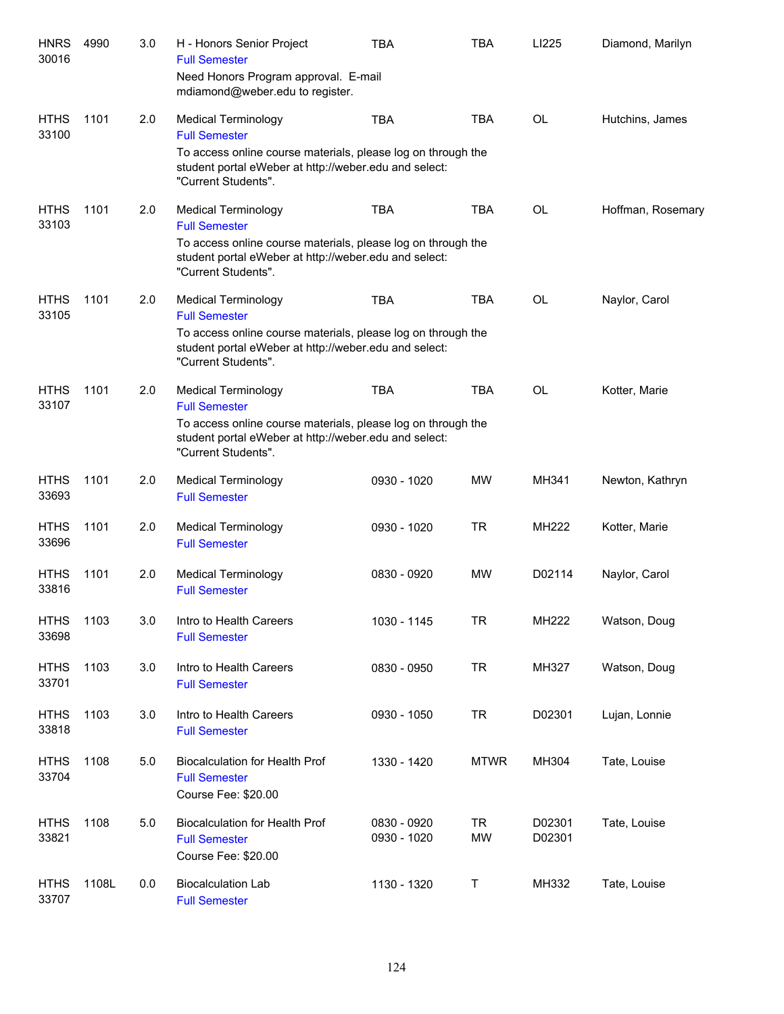| <b>HNRS</b><br>30016 | 4990  | 3.0 | H - Honors Senior Project<br><b>Full Semester</b><br>Need Honors Program approval. E-mail<br>mdiamond@weber.edu to register.                                                                       | <b>TBA</b>                 | <b>TBA</b>             | LI225            | Diamond, Marilyn  |
|----------------------|-------|-----|----------------------------------------------------------------------------------------------------------------------------------------------------------------------------------------------------|----------------------------|------------------------|------------------|-------------------|
| <b>HTHS</b><br>33100 | 1101  | 2.0 | <b>Medical Terminology</b><br><b>Full Semester</b><br>To access online course materials, please log on through the<br>student portal eWeber at http://weber.edu and select:<br>"Current Students". | <b>TBA</b>                 | <b>TBA</b>             | <b>OL</b>        | Hutchins, James   |
| <b>HTHS</b><br>33103 | 1101  | 2.0 | <b>Medical Terminology</b><br><b>Full Semester</b><br>To access online course materials, please log on through the<br>student portal eWeber at http://weber.edu and select:<br>"Current Students". | <b>TBA</b>                 | <b>TBA</b>             | <b>OL</b>        | Hoffman, Rosemary |
| <b>HTHS</b><br>33105 | 1101  | 2.0 | <b>Medical Terminology</b><br><b>Full Semester</b><br>To access online course materials, please log on through the<br>student portal eWeber at http://weber.edu and select:<br>"Current Students". | <b>TBA</b>                 | <b>TBA</b>             | <b>OL</b>        | Naylor, Carol     |
| <b>HTHS</b><br>33107 | 1101  | 2.0 | <b>Medical Terminology</b><br><b>Full Semester</b><br>To access online course materials, please log on through the<br>student portal eWeber at http://weber.edu and select:<br>"Current Students". | <b>TBA</b>                 | <b>TBA</b>             | <b>OL</b>        | Kotter, Marie     |
| <b>HTHS</b><br>33693 | 1101  | 2.0 | <b>Medical Terminology</b><br><b>Full Semester</b>                                                                                                                                                 | 0930 - 1020                | <b>MW</b>              | MH341            | Newton, Kathryn   |
| <b>HTHS</b><br>33696 | 1101  | 2.0 | <b>Medical Terminology</b><br><b>Full Semester</b>                                                                                                                                                 | 0930 - 1020                | <b>TR</b>              | MH222            | Kotter, Marie     |
| <b>HTHS</b><br>33816 | 1101  | 2.0 | <b>Medical Terminology</b><br><b>Full Semester</b>                                                                                                                                                 | 0830 - 0920                | <b>MW</b>              | D02114           | Naylor, Carol     |
| <b>HTHS</b><br>33698 | 1103  | 3.0 | Intro to Health Careers<br><b>Full Semester</b>                                                                                                                                                    | 1030 - 1145                | <b>TR</b>              | MH222            | Watson, Doug      |
| <b>HTHS</b><br>33701 | 1103  | 3.0 | Intro to Health Careers<br><b>Full Semester</b>                                                                                                                                                    | 0830 - 0950                | <b>TR</b>              | MH327            | Watson, Doug      |
| <b>HTHS</b><br>33818 | 1103  | 3.0 | Intro to Health Careers<br><b>Full Semester</b>                                                                                                                                                    | 0930 - 1050                | <b>TR</b>              | D02301           | Lujan, Lonnie     |
| <b>HTHS</b><br>33704 | 1108  | 5.0 | <b>Biocalculation for Health Prof</b><br><b>Full Semester</b><br>Course Fee: \$20.00                                                                                                               | 1330 - 1420                | <b>MTWR</b>            | MH304            | Tate, Louise      |
| <b>HTHS</b><br>33821 | 1108  | 5.0 | <b>Biocalculation for Health Prof</b><br><b>Full Semester</b><br>Course Fee: \$20.00                                                                                                               | 0830 - 0920<br>0930 - 1020 | <b>TR</b><br><b>MW</b> | D02301<br>D02301 | Tate, Louise      |
| <b>HTHS</b><br>33707 | 1108L | 0.0 | <b>Biocalculation Lab</b><br><b>Full Semester</b>                                                                                                                                                  | 1130 - 1320                | Τ                      | MH332            | Tate, Louise      |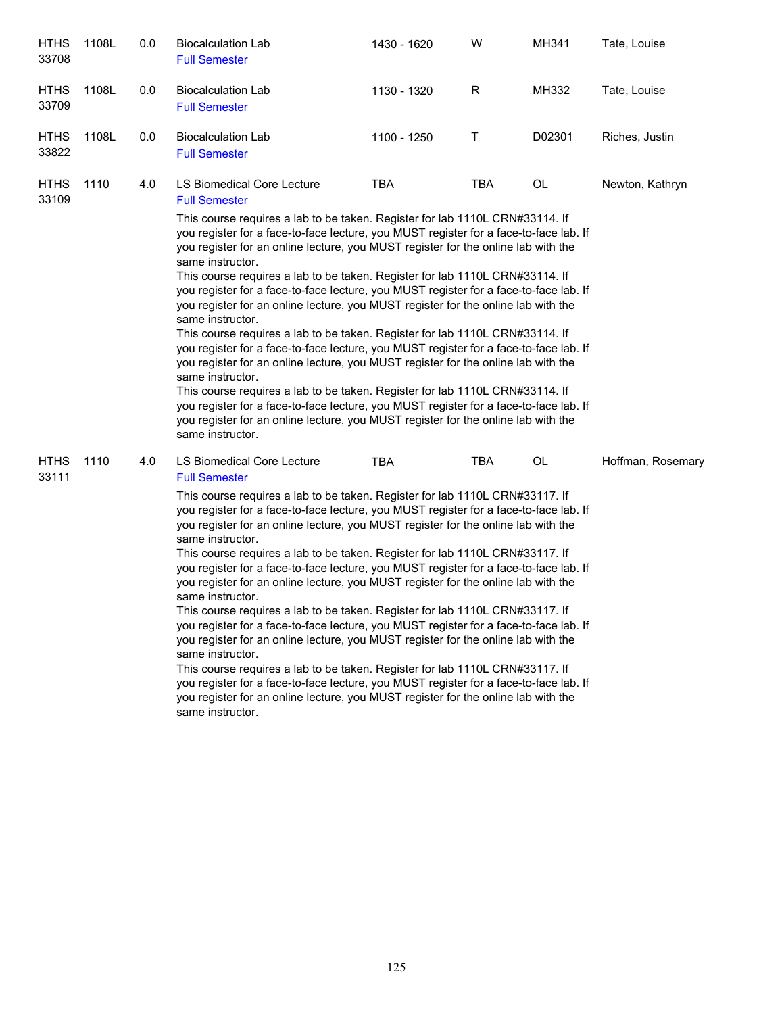| <b>HTHS</b><br>33708 | 1108L | 0.0 | <b>Biocalculation Lab</b><br><b>Full Semester</b>                                                                                                                                                                                                                                                                                                                                                                                                                                                                                                                                                                                                                                                                                                                                                                                                                                                                                                                                                                                                                                                                                                                                          | 1430 - 1620 | W   | MH341  | Tate, Louise      |
|----------------------|-------|-----|--------------------------------------------------------------------------------------------------------------------------------------------------------------------------------------------------------------------------------------------------------------------------------------------------------------------------------------------------------------------------------------------------------------------------------------------------------------------------------------------------------------------------------------------------------------------------------------------------------------------------------------------------------------------------------------------------------------------------------------------------------------------------------------------------------------------------------------------------------------------------------------------------------------------------------------------------------------------------------------------------------------------------------------------------------------------------------------------------------------------------------------------------------------------------------------------|-------------|-----|--------|-------------------|
| <b>HTHS</b><br>33709 | 1108L | 0.0 | <b>Biocalculation Lab</b><br><b>Full Semester</b>                                                                                                                                                                                                                                                                                                                                                                                                                                                                                                                                                                                                                                                                                                                                                                                                                                                                                                                                                                                                                                                                                                                                          | 1130 - 1320 | R   | MH332  | Tate, Louise      |
| <b>HTHS</b><br>33822 | 1108L | 0.0 | <b>Biocalculation Lab</b><br><b>Full Semester</b>                                                                                                                                                                                                                                                                                                                                                                                                                                                                                                                                                                                                                                                                                                                                                                                                                                                                                                                                                                                                                                                                                                                                          | 1100 - 1250 | Т   | D02301 | Riches, Justin    |
| <b>HTHS</b><br>33109 | 1110  | 4.0 | LS Biomedical Core Lecture<br><b>Full Semester</b><br>This course requires a lab to be taken. Register for lab 1110L CRN#33114. If<br>you register for a face-to-face lecture, you MUST register for a face-to-face lab. If<br>you register for an online lecture, you MUST register for the online lab with the<br>same instructor.<br>This course requires a lab to be taken. Register for lab 1110L CRN#33114. If<br>you register for a face-to-face lecture, you MUST register for a face-to-face lab. If<br>you register for an online lecture, you MUST register for the online lab with the<br>same instructor.<br>This course requires a lab to be taken. Register for lab 1110L CRN#33114. If<br>you register for a face-to-face lecture, you MUST register for a face-to-face lab. If<br>you register for an online lecture, you MUST register for the online lab with the<br>same instructor.<br>This course requires a lab to be taken. Register for lab 1110L CRN#33114. If<br>you register for a face-to-face lecture, you MUST register for a face-to-face lab. If<br>you register for an online lecture, you MUST register for the online lab with the<br>same instructor. | <b>TBA</b>  | TBA | OL     | Newton, Kathryn   |
| <b>HTHS</b><br>33111 | 1110  | 4.0 | LS Biomedical Core Lecture<br><b>Full Semester</b><br>This course requires a lab to be taken. Register for lab 1110L CRN#33117. If<br>you register for a face-to-face lecture, you MUST register for a face-to-face lab. If<br>you register for an online lecture, you MUST register for the online lab with the<br>same instructor.<br>This course requires a lab to be taken. Register for lab 1110L CRN#33117. If<br>you register for a face-to-face lecture, you MUST register for a face-to-face lab. If<br>you register for an online lecture, you MUST register for the online lab with the<br>same instructor.<br>This course requires a lab to be taken. Register for lab 1110L CRN#33117. If<br>you register for a face-to-face lecture, you MUST register for a face-to-face lab. If<br>you register for an online lecture, you MUST register for the online lab with the<br>same instructor.<br>This course requires a lab to be taken. Register for lab 1110L CRN#33117. If<br>you register for a face-to-face lecture, you MUST register for a face-to-face lab. If<br>you register for an online lecture, you MUST register for the online lab with the<br>same instructor. | <b>TBA</b>  | TBA | OL     | Hoffman, Rosemary |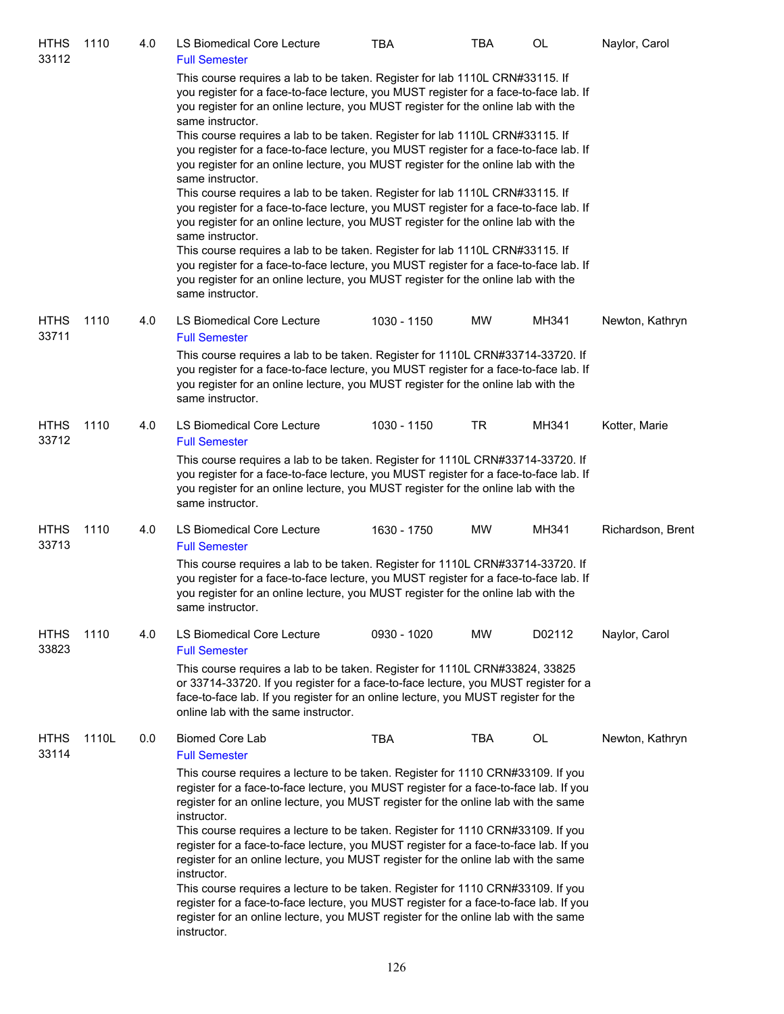| <b>HTHS</b><br>33112 | 1110  | 4.0 | LS Biomedical Core Lecture<br><b>Full Semester</b>                                                                                                                                                                                                                                                                                                                                                                                                                                                                                                                                                                                                                                                                                                                                                                                                                                                                                 | TBA         | TBA        | OL     | Naylor, Carol     |
|----------------------|-------|-----|------------------------------------------------------------------------------------------------------------------------------------------------------------------------------------------------------------------------------------------------------------------------------------------------------------------------------------------------------------------------------------------------------------------------------------------------------------------------------------------------------------------------------------------------------------------------------------------------------------------------------------------------------------------------------------------------------------------------------------------------------------------------------------------------------------------------------------------------------------------------------------------------------------------------------------|-------------|------------|--------|-------------------|
|                      |       |     | This course requires a lab to be taken. Register for lab 1110L CRN#33115. If<br>you register for a face-to-face lecture, you MUST register for a face-to-face lab. If<br>you register for an online lecture, you MUST register for the online lab with the<br>same instructor.<br>This course requires a lab to be taken. Register for lab 1110L CRN#33115. If<br>you register for a face-to-face lecture, you MUST register for a face-to-face lab. If<br>you register for an online lecture, you MUST register for the online lab with the<br>same instructor.<br>This course requires a lab to be taken. Register for lab 1110L CRN#33115. If<br>you register for a face-to-face lecture, you MUST register for a face-to-face lab. If<br>you register for an online lecture, you MUST register for the online lab with the<br>same instructor.<br>This course requires a lab to be taken. Register for lab 1110L CRN#33115. If |             |            |        |                   |
|                      |       |     | you register for a face-to-face lecture, you MUST register for a face-to-face lab. If<br>you register for an online lecture, you MUST register for the online lab with the<br>same instructor.                                                                                                                                                                                                                                                                                                                                                                                                                                                                                                                                                                                                                                                                                                                                     |             |            |        |                   |
| <b>HTHS</b><br>33711 | 1110  | 4.0 | LS Biomedical Core Lecture<br><b>Full Semester</b>                                                                                                                                                                                                                                                                                                                                                                                                                                                                                                                                                                                                                                                                                                                                                                                                                                                                                 | 1030 - 1150 | MW         | MH341  | Newton, Kathryn   |
|                      |       |     | This course requires a lab to be taken. Register for 1110L CRN#33714-33720. If<br>you register for a face-to-face lecture, you MUST register for a face-to-face lab. If<br>you register for an online lecture, you MUST register for the online lab with the<br>same instructor.                                                                                                                                                                                                                                                                                                                                                                                                                                                                                                                                                                                                                                                   |             |            |        |                   |
| <b>HTHS</b><br>33712 | 1110  | 4.0 | LS Biomedical Core Lecture<br><b>Full Semester</b>                                                                                                                                                                                                                                                                                                                                                                                                                                                                                                                                                                                                                                                                                                                                                                                                                                                                                 | 1030 - 1150 | TR         | MH341  | Kotter, Marie     |
|                      |       |     | This course requires a lab to be taken. Register for 1110L CRN#33714-33720. If<br>you register for a face-to-face lecture, you MUST register for a face-to-face lab. If<br>you register for an online lecture, you MUST register for the online lab with the<br>same instructor.                                                                                                                                                                                                                                                                                                                                                                                                                                                                                                                                                                                                                                                   |             |            |        |                   |
| <b>HTHS</b><br>33713 | 1110  | 4.0 | LS Biomedical Core Lecture<br><b>Full Semester</b>                                                                                                                                                                                                                                                                                                                                                                                                                                                                                                                                                                                                                                                                                                                                                                                                                                                                                 | 1630 - 1750 | MW         | MH341  | Richardson, Brent |
|                      |       |     | This course requires a lab to be taken. Register for 1110L CRN#33714-33720. If<br>you register for a face-to-face lecture, you MUST register for a face-to-face lab. If<br>you register for an online lecture, you MUST register for the online lab with the<br>same instructor.                                                                                                                                                                                                                                                                                                                                                                                                                                                                                                                                                                                                                                                   |             |            |        |                   |
| <b>HTHS</b><br>33823 | 1110  | 4.0 | <b>LS Biomedical Core Lecture</b><br><b>Full Semester</b>                                                                                                                                                                                                                                                                                                                                                                                                                                                                                                                                                                                                                                                                                                                                                                                                                                                                          | 0930 - 1020 | MW         | D02112 | Naylor, Carol     |
|                      |       |     | This course requires a lab to be taken. Register for 1110L CRN#33824, 33825<br>or 33714-33720. If you register for a face-to-face lecture, you MUST register for a<br>face-to-face lab. If you register for an online lecture, you MUST register for the<br>online lab with the same instructor.                                                                                                                                                                                                                                                                                                                                                                                                                                                                                                                                                                                                                                   |             |            |        |                   |
| <b>HTHS</b><br>33114 | 1110L | 0.0 | <b>Biomed Core Lab</b><br><b>Full Semester</b>                                                                                                                                                                                                                                                                                                                                                                                                                                                                                                                                                                                                                                                                                                                                                                                                                                                                                     | <b>TBA</b>  | <b>TBA</b> | OL     | Newton, Kathryn   |
|                      |       |     | This course requires a lecture to be taken. Register for 1110 CRN#33109. If you<br>register for a face-to-face lecture, you MUST register for a face-to-face lab. If you<br>register for an online lecture, you MUST register for the online lab with the same<br>instructor.<br>This course requires a lecture to be taken. Register for 1110 CRN#33109. If you<br>register for a face-to-face lecture, you MUST register for a face-to-face lab. If you<br>register for an online lecture, you MUST register for the online lab with the same<br>instructor.<br>This course requires a lecture to be taken. Register for 1110 CRN#33109. If you<br>register for a face-to-face lecture, you MUST register for a face-to-face lab. If you<br>register for an online lecture, you MUST register for the online lab with the same<br>instructor.                                                                                    |             |            |        |                   |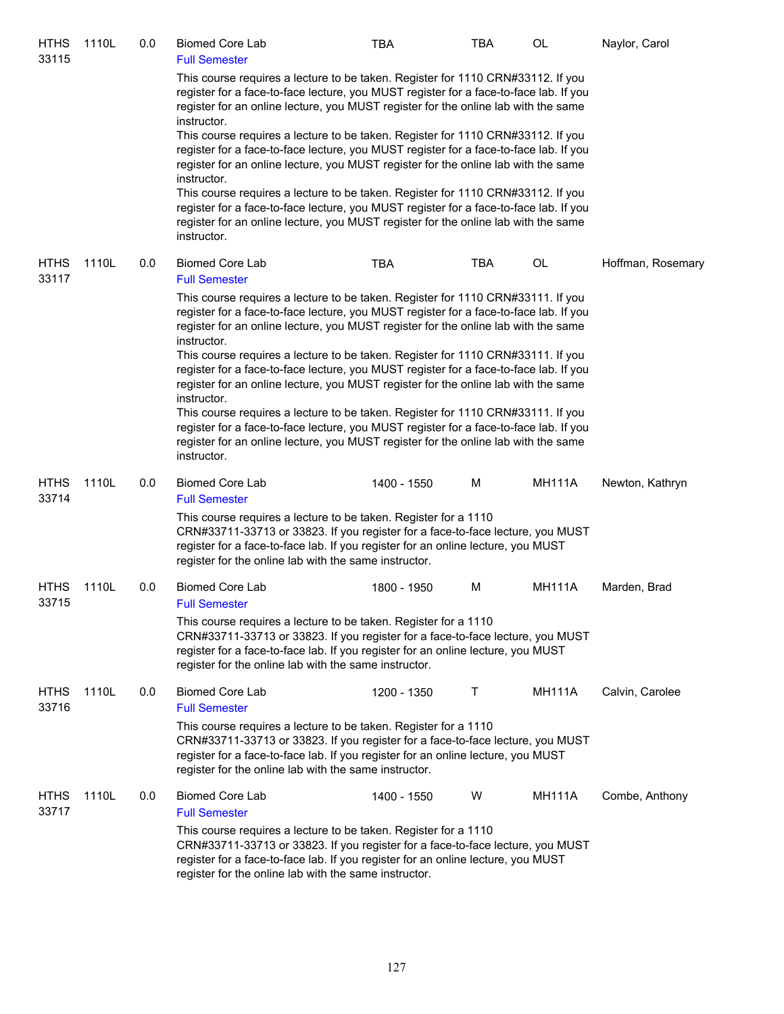| <b>HTHS</b><br>33115 | 1110L | 0.0 | <b>Biomed Core Lab</b><br><b>Full Semester</b>                                                                                                                                                                                                                                                 | <b>TBA</b>  | TBA | OL            | Naylor, Carol     |
|----------------------|-------|-----|------------------------------------------------------------------------------------------------------------------------------------------------------------------------------------------------------------------------------------------------------------------------------------------------|-------------|-----|---------------|-------------------|
|                      |       |     | This course requires a lecture to be taken. Register for 1110 CRN#33112. If you<br>register for a face-to-face lecture, you MUST register for a face-to-face lab. If you<br>register for an online lecture, you MUST register for the online lab with the same<br>instructor.                  |             |     |               |                   |
|                      |       |     | This course requires a lecture to be taken. Register for 1110 CRN#33112. If you<br>register for a face-to-face lecture, you MUST register for a face-to-face lab. If you<br>register for an online lecture, you MUST register for the online lab with the same<br>instructor.                  |             |     |               |                   |
|                      |       |     | This course requires a lecture to be taken. Register for 1110 CRN#33112. If you<br>register for a face-to-face lecture, you MUST register for a face-to-face lab. If you<br>register for an online lecture, you MUST register for the online lab with the same<br>instructor.                  |             |     |               |                   |
| <b>HTHS</b><br>33117 | 1110L | 0.0 | <b>Biomed Core Lab</b><br><b>Full Semester</b>                                                                                                                                                                                                                                                 | <b>TBA</b>  | TBA | OL            | Hoffman, Rosemary |
|                      |       |     | This course requires a lecture to be taken. Register for 1110 CRN#33111. If you<br>register for a face-to-face lecture, you MUST register for a face-to-face lab. If you<br>register for an online lecture, you MUST register for the online lab with the same<br>instructor.                  |             |     |               |                   |
|                      |       |     | This course requires a lecture to be taken. Register for 1110 CRN#33111. If you<br>register for a face-to-face lecture, you MUST register for a face-to-face lab. If you<br>register for an online lecture, you MUST register for the online lab with the same<br>instructor.                  |             |     |               |                   |
|                      |       |     | This course requires a lecture to be taken. Register for 1110 CRN#33111. If you<br>register for a face-to-face lecture, you MUST register for a face-to-face lab. If you<br>register for an online lecture, you MUST register for the online lab with the same<br>instructor.                  |             |     |               |                   |
| <b>HTHS</b><br>33714 | 1110L | 0.0 | <b>Biomed Core Lab</b><br><b>Full Semester</b>                                                                                                                                                                                                                                                 | 1400 - 1550 | M   | <b>MH111A</b> | Newton, Kathryn   |
|                      |       |     | This course requires a lecture to be taken. Register for a 1110<br>CRN#33711-33713 or 33823. If you register for a face-to-face lecture, you MUST<br>register for a face-to-face lab. If you register for an online lecture, you MUST<br>register for the online lab with the same instructor. |             |     |               |                   |
| <b>HTHS</b><br>33715 | 1110L | 0.0 | <b>Biomed Core Lab</b><br><b>Full Semester</b>                                                                                                                                                                                                                                                 | 1800 - 1950 | M   | <b>MH111A</b> | Marden, Brad      |
|                      |       |     | This course requires a lecture to be taken. Register for a 1110<br>CRN#33711-33713 or 33823. If you register for a face-to-face lecture, you MUST<br>register for a face-to-face lab. If you register for an online lecture, you MUST<br>register for the online lab with the same instructor. |             |     |               |                   |
| <b>HTHS</b><br>33716 | 1110L | 0.0 | <b>Biomed Core Lab</b><br><b>Full Semester</b>                                                                                                                                                                                                                                                 | 1200 - 1350 | Τ   | <b>MH111A</b> | Calvin, Carolee   |
|                      |       |     | This course requires a lecture to be taken. Register for a 1110<br>CRN#33711-33713 or 33823. If you register for a face-to-face lecture, you MUST<br>register for a face-to-face lab. If you register for an online lecture, you MUST<br>register for the online lab with the same instructor. |             |     |               |                   |
| <b>HTHS</b><br>33717 | 1110L | 0.0 | <b>Biomed Core Lab</b><br><b>Full Semester</b>                                                                                                                                                                                                                                                 | 1400 - 1550 | W   | <b>MH111A</b> | Combe, Anthony    |
|                      |       |     | This course requires a lecture to be taken. Register for a 1110<br>CRN#33711-33713 or 33823. If you register for a face-to-face lecture, you MUST<br>register for a face-to-face lab. If you register for an online lecture, you MUST<br>register for the online lab with the same instructor. |             |     |               |                   |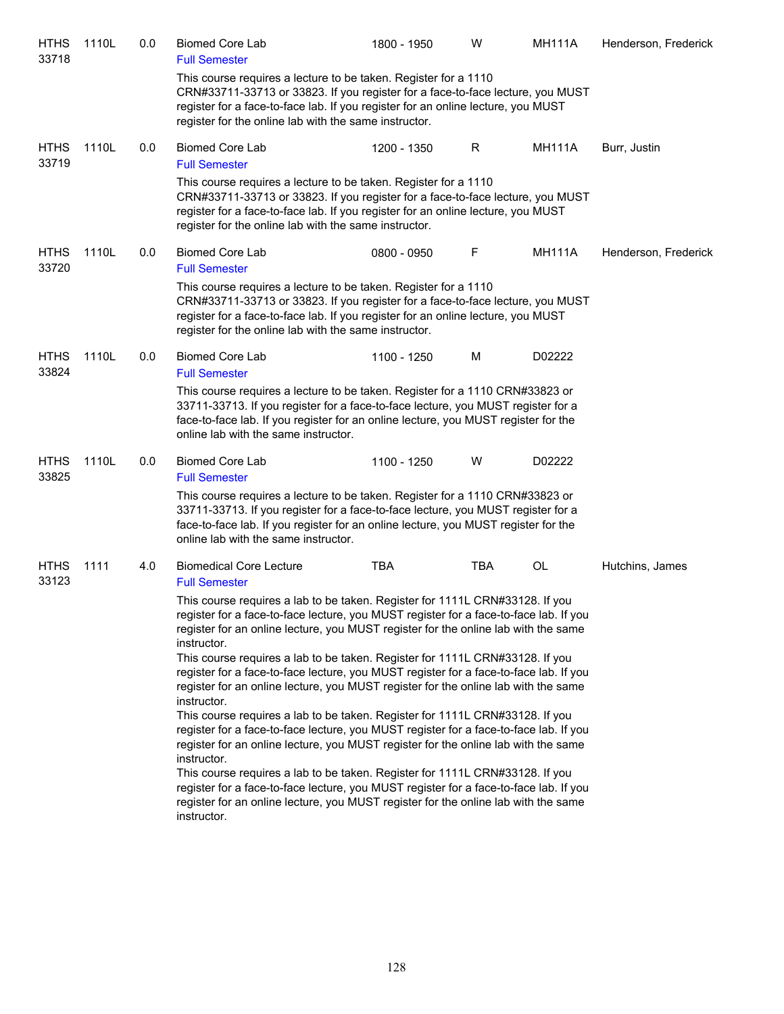| HTHS<br>33718        | 1110L | 0.0 | <b>Biomed Core Lab</b><br><b>Full Semester</b>                                                                                                                                                                                                                                                                                                                                                                                                                                                                                            | 1800 - 1950 | W   | <b>MH111A</b> | Henderson, Frederick |
|----------------------|-------|-----|-------------------------------------------------------------------------------------------------------------------------------------------------------------------------------------------------------------------------------------------------------------------------------------------------------------------------------------------------------------------------------------------------------------------------------------------------------------------------------------------------------------------------------------------|-------------|-----|---------------|----------------------|
|                      |       |     | This course requires a lecture to be taken. Register for a 1110<br>CRN#33711-33713 or 33823. If you register for a face-to-face lecture, you MUST<br>register for a face-to-face lab. If you register for an online lecture, you MUST<br>register for the online lab with the same instructor.                                                                                                                                                                                                                                            |             |     |               |                      |
| <b>HTHS</b><br>33719 | 1110L | 0.0 | <b>Biomed Core Lab</b><br><b>Full Semester</b>                                                                                                                                                                                                                                                                                                                                                                                                                                                                                            | 1200 - 1350 | R   | MH111A        | Burr, Justin         |
|                      |       |     | This course requires a lecture to be taken. Register for a 1110<br>CRN#33711-33713 or 33823. If you register for a face-to-face lecture, you MUST<br>register for a face-to-face lab. If you register for an online lecture, you MUST<br>register for the online lab with the same instructor.                                                                                                                                                                                                                                            |             |     |               |                      |
| <b>HTHS</b><br>33720 | 1110L | 0.0 | <b>Biomed Core Lab</b><br><b>Full Semester</b>                                                                                                                                                                                                                                                                                                                                                                                                                                                                                            | 0800 - 0950 | F   | <b>MH111A</b> | Henderson, Frederick |
|                      |       |     | This course requires a lecture to be taken. Register for a 1110<br>CRN#33711-33713 or 33823. If you register for a face-to-face lecture, you MUST<br>register for a face-to-face lab. If you register for an online lecture, you MUST<br>register for the online lab with the same instructor.                                                                                                                                                                                                                                            |             |     |               |                      |
| <b>HTHS</b><br>33824 | 1110L | 0.0 | <b>Biomed Core Lab</b><br><b>Full Semester</b>                                                                                                                                                                                                                                                                                                                                                                                                                                                                                            | 1100 - 1250 | M   | D02222        |                      |
|                      |       |     | This course requires a lecture to be taken. Register for a 1110 CRN#33823 or<br>33711-33713. If you register for a face-to-face lecture, you MUST register for a<br>face-to-face lab. If you register for an online lecture, you MUST register for the<br>online lab with the same instructor.                                                                                                                                                                                                                                            |             |     |               |                      |
| <b>HTHS</b><br>33825 | 1110L | 0.0 | <b>Biomed Core Lab</b>                                                                                                                                                                                                                                                                                                                                                                                                                                                                                                                    | 1100 - 1250 | W   | D02222        |                      |
|                      |       |     | <b>Full Semester</b><br>This course requires a lecture to be taken. Register for a 1110 CRN#33823 or<br>33711-33713. If you register for a face-to-face lecture, you MUST register for a<br>face-to-face lab. If you register for an online lecture, you MUST register for the<br>online lab with the same instructor.                                                                                                                                                                                                                    |             |     |               |                      |
| <b>HTHS</b><br>33123 | 1111  | 4.0 | <b>Biomedical Core Lecture</b><br><b>Full Semester</b>                                                                                                                                                                                                                                                                                                                                                                                                                                                                                    | <b>TBA</b>  | TBA | OL            | Hutchins, James      |
|                      |       |     | This course requires a lab to be taken. Register for 1111L CRN#33128. If you<br>register for a face-to-face lecture, you MUST register for a face-to-face lab. If you<br>register for an online lecture, you MUST register for the online lab with the same<br>instructor.<br>This course requires a lab to be taken. Register for 1111L CRN#33128. If you<br>register for a face-to-face lecture, you MUST register for a face-to-face lab. If you<br>register for an online lecture, you MUST register for the online lab with the same |             |     |               |                      |
|                      |       |     | instructor.<br>This course requires a lab to be taken. Register for 1111L CRN#33128. If you<br>register for a face-to-face lecture, you MUST register for a face-to-face lab. If you<br>register for an online lecture, you MUST register for the online lab with the same<br>instructor.                                                                                                                                                                                                                                                 |             |     |               |                      |
|                      |       |     | This course requires a lab to be taken. Register for 1111L CRN#33128. If you<br>register for a face-to-face lecture, you MUST register for a face-to-face lab. If you<br>register for an online lecture, you MUST register for the online lab with the same<br>instructor.                                                                                                                                                                                                                                                                |             |     |               |                      |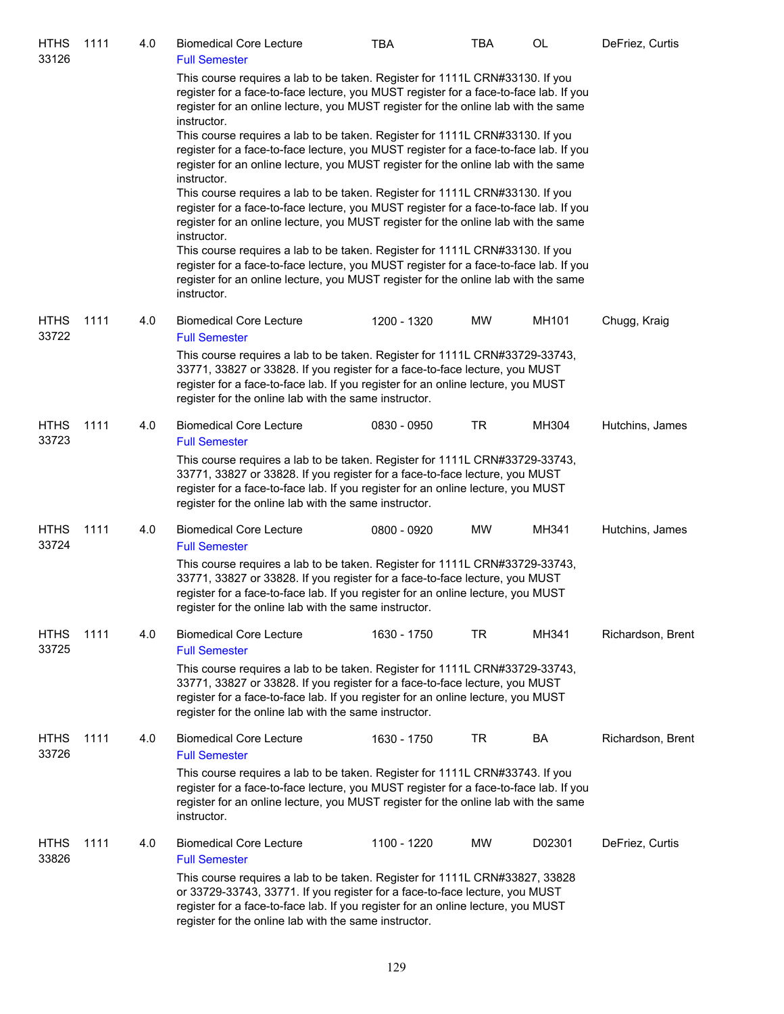| <b>HTHS</b><br>33126 | 1111 | 4.0 | <b>Biomedical Core Lecture</b><br><b>Full Semester</b>                                                                                                                                                                                                                                                  | TBA         | <b>TBA</b> | OL     | DeFriez, Curtis   |
|----------------------|------|-----|---------------------------------------------------------------------------------------------------------------------------------------------------------------------------------------------------------------------------------------------------------------------------------------------------------|-------------|------------|--------|-------------------|
|                      |      |     | This course requires a lab to be taken. Register for 1111L CRN#33130. If you<br>register for a face-to-face lecture, you MUST register for a face-to-face lab. If you<br>register for an online lecture, you MUST register for the online lab with the same<br>instructor.                              |             |            |        |                   |
|                      |      |     | This course requires a lab to be taken. Register for 1111L CRN#33130. If you<br>register for a face-to-face lecture, you MUST register for a face-to-face lab. If you<br>register for an online lecture, you MUST register for the online lab with the same<br>instructor.                              |             |            |        |                   |
|                      |      |     | This course requires a lab to be taken. Register for 1111L CRN#33130. If you<br>register for a face-to-face lecture, you MUST register for a face-to-face lab. If you<br>register for an online lecture, you MUST register for the online lab with the same<br>instructor.                              |             |            |        |                   |
|                      |      |     | This course requires a lab to be taken. Register for 1111L CRN#33130. If you<br>register for a face-to-face lecture, you MUST register for a face-to-face lab. If you<br>register for an online lecture, you MUST register for the online lab with the same<br>instructor.                              |             |            |        |                   |
| <b>HTHS</b><br>33722 | 1111 | 4.0 | <b>Biomedical Core Lecture</b><br><b>Full Semester</b>                                                                                                                                                                                                                                                  | 1200 - 1320 | MW         | MH101  | Chugg, Kraig      |
|                      |      |     | This course requires a lab to be taken. Register for 1111L CRN#33729-33743,<br>33771, 33827 or 33828. If you register for a face-to-face lecture, you MUST<br>register for a face-to-face lab. If you register for an online lecture, you MUST<br>register for the online lab with the same instructor. |             |            |        |                   |
| <b>HTHS</b><br>33723 | 1111 | 4.0 | <b>Biomedical Core Lecture</b><br><b>Full Semester</b>                                                                                                                                                                                                                                                  | 0830 - 0950 | <b>TR</b>  | MH304  | Hutchins, James   |
|                      |      |     | This course requires a lab to be taken. Register for 1111L CRN#33729-33743,<br>33771, 33827 or 33828. If you register for a face-to-face lecture, you MUST<br>register for a face-to-face lab. If you register for an online lecture, you MUST<br>register for the online lab with the same instructor. |             |            |        |                   |
| <b>HTHS</b><br>33724 | 1111 | 4.0 | <b>Biomedical Core Lecture</b><br><b>Full Semester</b>                                                                                                                                                                                                                                                  | 0800 - 0920 | MW         | MH341  | Hutchins, James   |
|                      |      |     | This course requires a lab to be taken. Register for 1111L CRN#33729-33743,<br>33771, 33827 or 33828. If you register for a face-to-face lecture, you MUST<br>register for a face-to-face lab. If you register for an online lecture, you MUST<br>register for the online lab with the same instructor. |             |            |        |                   |
| <b>HTHS</b><br>33725 | 1111 | 4.0 | <b>Biomedical Core Lecture</b><br><b>Full Semester</b>                                                                                                                                                                                                                                                  | 1630 - 1750 | <b>TR</b>  | MH341  | Richardson, Brent |
|                      |      |     | This course requires a lab to be taken. Register for 1111L CRN#33729-33743,<br>33771, 33827 or 33828. If you register for a face-to-face lecture, you MUST<br>register for a face-to-face lab. If you register for an online lecture, you MUST<br>register for the online lab with the same instructor. |             |            |        |                   |
| <b>HTHS</b><br>33726 | 1111 | 4.0 | <b>Biomedical Core Lecture</b><br><b>Full Semester</b>                                                                                                                                                                                                                                                  | 1630 - 1750 | TR         | BA     | Richardson, Brent |
|                      |      |     | This course requires a lab to be taken. Register for 1111L CRN#33743. If you<br>register for a face-to-face lecture, you MUST register for a face-to-face lab. If you<br>register for an online lecture, you MUST register for the online lab with the same<br>instructor.                              |             |            |        |                   |
| <b>HTHS</b><br>33826 | 1111 | 4.0 | <b>Biomedical Core Lecture</b><br><b>Full Semester</b>                                                                                                                                                                                                                                                  | 1100 - 1220 | MW         | D02301 | DeFriez, Curtis   |
|                      |      |     | This course requires a lab to be taken. Register for 1111L CRN#33827, 33828<br>or 33729-33743, 33771. If you register for a face-to-face lecture, you MUST<br>register for a face-to-face lab. If you register for an online lecture, you MUST<br>register for the online lab with the same instructor. |             |            |        |                   |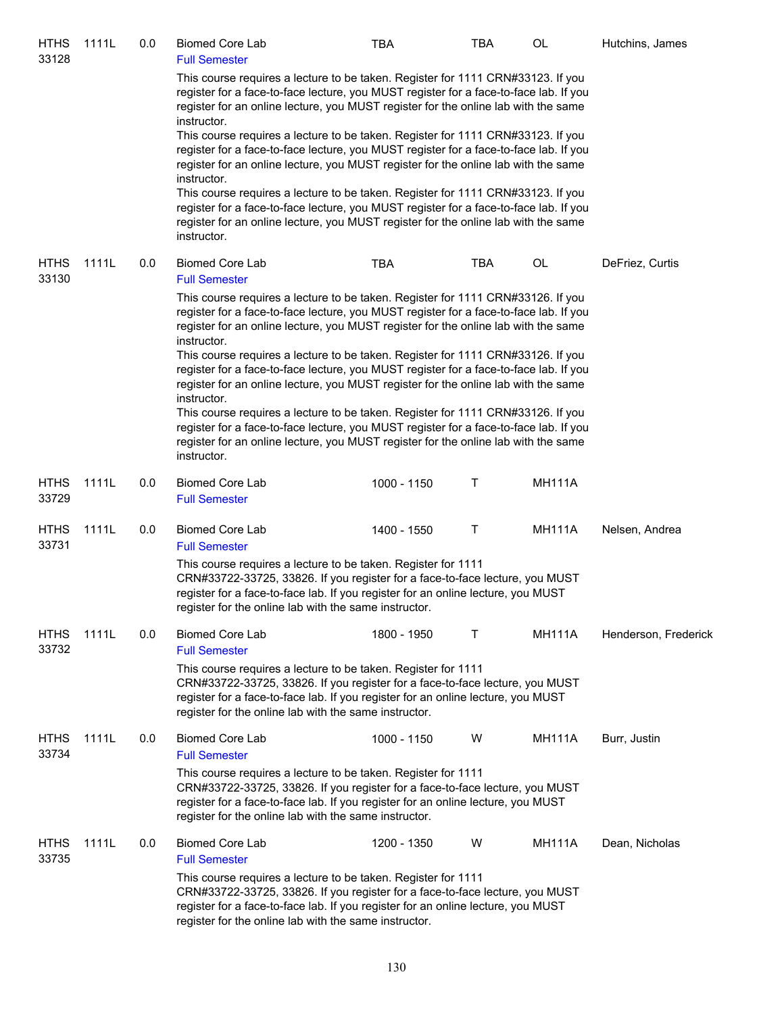| <b>HTHS</b><br>33128 | 1111L | 0.0 | <b>Biomed Core Lab</b><br><b>Full Semester</b>        | <b>TBA</b>                                                                                                                                                                                                                                                                                                                                                                                                                                    | TBA | OL            | Hutchins, James      |
|----------------------|-------|-----|-------------------------------------------------------|-----------------------------------------------------------------------------------------------------------------------------------------------------------------------------------------------------------------------------------------------------------------------------------------------------------------------------------------------------------------------------------------------------------------------------------------------|-----|---------------|----------------------|
|                      |       |     | instructor.                                           | This course requires a lecture to be taken. Register for 1111 CRN#33123. If you<br>register for a face-to-face lecture, you MUST register for a face-to-face lab. If you<br>register for an online lecture, you MUST register for the online lab with the same                                                                                                                                                                                |     |               |                      |
|                      |       |     | instructor.                                           | This course requires a lecture to be taken. Register for 1111 CRN#33123. If you<br>register for a face-to-face lecture, you MUST register for a face-to-face lab. If you<br>register for an online lecture, you MUST register for the online lab with the same                                                                                                                                                                                |     |               |                      |
|                      |       |     | instructor.                                           | This course requires a lecture to be taken. Register for 1111 CRN#33123. If you<br>register for a face-to-face lecture, you MUST register for a face-to-face lab. If you<br>register for an online lecture, you MUST register for the online lab with the same                                                                                                                                                                                |     |               |                      |
| <b>HTHS</b><br>33130 | 1111L | 0.0 | <b>Biomed Core Lab</b><br><b>Full Semester</b>        | <b>TBA</b>                                                                                                                                                                                                                                                                                                                                                                                                                                    | TBA | OL            | DeFriez, Curtis      |
|                      |       |     | instructor.                                           | This course requires a lecture to be taken. Register for 1111 CRN#33126. If you<br>register for a face-to-face lecture, you MUST register for a face-to-face lab. If you<br>register for an online lecture, you MUST register for the online lab with the same<br>This course requires a lecture to be taken. Register for 1111 CRN#33126. If you                                                                                             |     |               |                      |
|                      |       |     | instructor.<br>instructor.                            | register for a face-to-face lecture, you MUST register for a face-to-face lab. If you<br>register for an online lecture, you MUST register for the online lab with the same<br>This course requires a lecture to be taken. Register for 1111 CRN#33126. If you<br>register for a face-to-face lecture, you MUST register for a face-to-face lab. If you<br>register for an online lecture, you MUST register for the online lab with the same |     |               |                      |
| <b>HTHS</b><br>33729 | 1111L | 0.0 | <b>Biomed Core Lab</b><br><b>Full Semester</b>        | 1000 - 1150                                                                                                                                                                                                                                                                                                                                                                                                                                   | Τ   | <b>MH111A</b> |                      |
| <b>HTHS</b><br>33731 | 1111L | 0.0 | <b>Biomed Core Lab</b><br><b>Full Semester</b>        | 1400 - 1550                                                                                                                                                                                                                                                                                                                                                                                                                                   | Τ   | <b>MH111A</b> | Nelsen, Andrea       |
|                      |       |     | register for the online lab with the same instructor. | This course requires a lecture to be taken. Register for 1111<br>CRN#33722-33725, 33826. If you register for a face-to-face lecture, you MUST<br>register for a face-to-face lab. If you register for an online lecture, you MUST                                                                                                                                                                                                             |     |               |                      |
| <b>HTHS</b><br>33732 | 1111L | 0.0 | <b>Biomed Core Lab</b><br><b>Full Semester</b>        | 1800 - 1950                                                                                                                                                                                                                                                                                                                                                                                                                                   | т   | <b>MH111A</b> | Henderson, Frederick |
|                      |       |     | register for the online lab with the same instructor. | This course requires a lecture to be taken. Register for 1111<br>CRN#33722-33725, 33826. If you register for a face-to-face lecture, you MUST<br>register for a face-to-face lab. If you register for an online lecture, you MUST                                                                                                                                                                                                             |     |               |                      |
| <b>HTHS</b><br>33734 | 1111L | 0.0 | <b>Biomed Core Lab</b><br><b>Full Semester</b>        | 1000 - 1150                                                                                                                                                                                                                                                                                                                                                                                                                                   | W   | <b>MH111A</b> | Burr, Justin         |
|                      |       |     | register for the online lab with the same instructor. | This course requires a lecture to be taken. Register for 1111<br>CRN#33722-33725, 33826. If you register for a face-to-face lecture, you MUST<br>register for a face-to-face lab. If you register for an online lecture, you MUST                                                                                                                                                                                                             |     |               |                      |
| <b>HTHS</b><br>33735 | 1111L | 0.0 | <b>Biomed Core Lab</b><br><b>Full Semester</b>        | 1200 - 1350                                                                                                                                                                                                                                                                                                                                                                                                                                   | W   | <b>MH111A</b> | Dean, Nicholas       |
|                      |       |     | register for the online lab with the same instructor. | This course requires a lecture to be taken. Register for 1111<br>CRN#33722-33725, 33826. If you register for a face-to-face lecture, you MUST<br>register for a face-to-face lab. If you register for an online lecture, you MUST                                                                                                                                                                                                             |     |               |                      |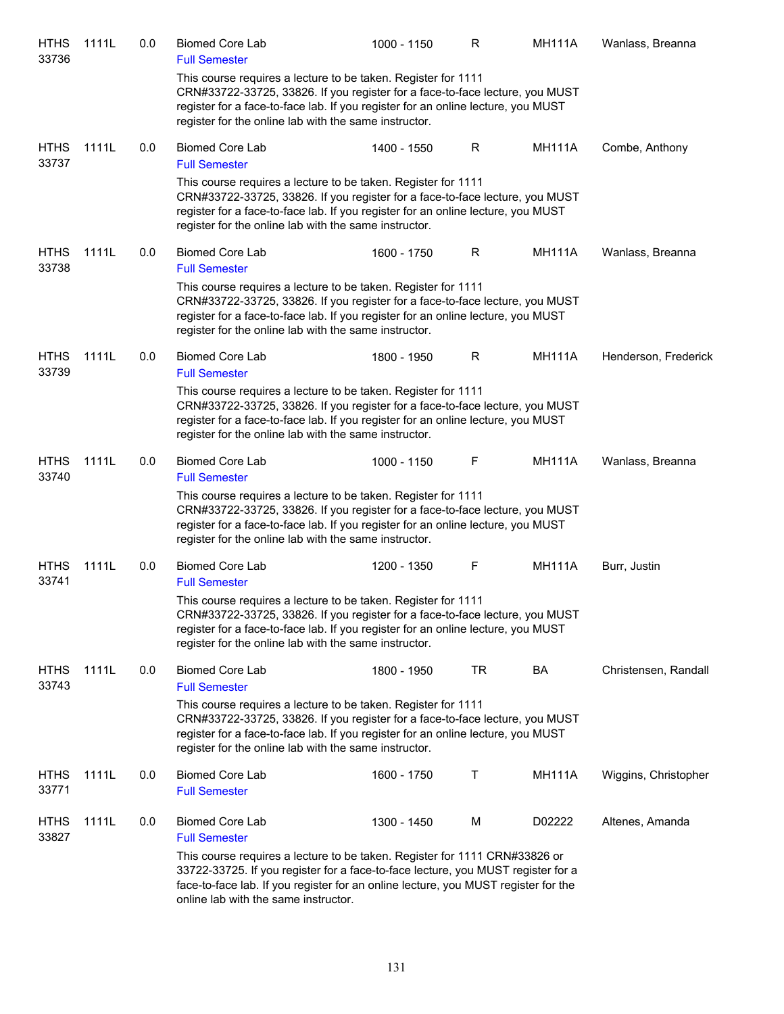| <b>HTHS</b><br>33736 | 1111L | 0.0 | <b>Biomed Core Lab</b><br><b>Full Semester</b>        | 1000 - 1150                                                                                                                                                                                                                                          | R  | <b>MH111A</b> | Wanlass, Breanna     |
|----------------------|-------|-----|-------------------------------------------------------|------------------------------------------------------------------------------------------------------------------------------------------------------------------------------------------------------------------------------------------------------|----|---------------|----------------------|
|                      |       |     | register for the online lab with the same instructor. | This course requires a lecture to be taken. Register for 1111<br>CRN#33722-33725, 33826. If you register for a face-to-face lecture, you MUST<br>register for a face-to-face lab. If you register for an online lecture, you MUST                    |    |               |                      |
| <b>HTHS</b><br>33737 | 1111L | 0.0 | <b>Biomed Core Lab</b><br><b>Full Semester</b>        | 1400 - 1550                                                                                                                                                                                                                                          | R  | <b>MH111A</b> | Combe, Anthony       |
|                      |       |     | register for the online lab with the same instructor. | This course requires a lecture to be taken. Register for 1111<br>CRN#33722-33725, 33826. If you register for a face-to-face lecture, you MUST<br>register for a face-to-face lab. If you register for an online lecture, you MUST                    |    |               |                      |
| <b>HTHS</b><br>33738 | 1111L | 0.0 | <b>Biomed Core Lab</b><br><b>Full Semester</b>        | 1600 - 1750                                                                                                                                                                                                                                          | R  | <b>MH111A</b> | Wanlass, Breanna     |
|                      |       |     | register for the online lab with the same instructor. | This course requires a lecture to be taken. Register for 1111<br>CRN#33722-33725, 33826. If you register for a face-to-face lecture, you MUST<br>register for a face-to-face lab. If you register for an online lecture, you MUST                    |    |               |                      |
| <b>HTHS</b><br>33739 | 1111L | 0.0 | <b>Biomed Core Lab</b><br><b>Full Semester</b>        | 1800 - 1950                                                                                                                                                                                                                                          | R  | <b>MH111A</b> | Henderson, Frederick |
|                      |       |     | register for the online lab with the same instructor. | This course requires a lecture to be taken. Register for 1111<br>CRN#33722-33725, 33826. If you register for a face-to-face lecture, you MUST<br>register for a face-to-face lab. If you register for an online lecture, you MUST                    |    |               |                      |
| <b>HTHS</b><br>33740 | 1111L | 0.0 | <b>Biomed Core Lab</b><br><b>Full Semester</b>        | 1000 - 1150                                                                                                                                                                                                                                          | F  | <b>MH111A</b> | Wanlass, Breanna     |
|                      |       |     | register for the online lab with the same instructor. | This course requires a lecture to be taken. Register for 1111<br>CRN#33722-33725, 33826. If you register for a face-to-face lecture, you MUST<br>register for a face-to-face lab. If you register for an online lecture, you MUST                    |    |               |                      |
| <b>HTHS</b><br>33741 | 1111L | 0.0 | <b>Biomed Core Lab</b><br><b>Full Semester</b>        | 1200 - 1350                                                                                                                                                                                                                                          | F  | <b>MH111A</b> | Burr, Justin         |
|                      |       |     | register for the online lab with the same instructor. | This course requires a lecture to be taken. Register for 1111<br>CRN#33722-33725, 33826. If you register for a face-to-face lecture, you MUST<br>register for a face-to-face lab. If you register for an online lecture, you MUST                    |    |               |                      |
| <b>HTHS</b><br>33743 | 1111L | 0.0 | <b>Biomed Core Lab</b><br><b>Full Semester</b>        | 1800 - 1950                                                                                                                                                                                                                                          | TR | BA            | Christensen, Randall |
|                      |       |     | register for the online lab with the same instructor. | This course requires a lecture to be taken. Register for 1111<br>CRN#33722-33725, 33826. If you register for a face-to-face lecture, you MUST<br>register for a face-to-face lab. If you register for an online lecture, you MUST                    |    |               |                      |
| <b>HTHS</b><br>33771 | 1111L | 0.0 | <b>Biomed Core Lab</b><br><b>Full Semester</b>        | 1600 - 1750                                                                                                                                                                                                                                          | Τ  | <b>MH111A</b> | Wiggins, Christopher |
| <b>HTHS</b><br>33827 | 1111L | 0.0 | <b>Biomed Core Lab</b><br><b>Full Semester</b>        | 1300 - 1450                                                                                                                                                                                                                                          | M  | D02222        | Altenes, Amanda      |
|                      |       |     | online lab with the same instructor.                  | This course requires a lecture to be taken. Register for 1111 CRN#33826 or<br>33722-33725. If you register for a face-to-face lecture, you MUST register for a<br>face-to-face lab. If you register for an online lecture, you MUST register for the |    |               |                      |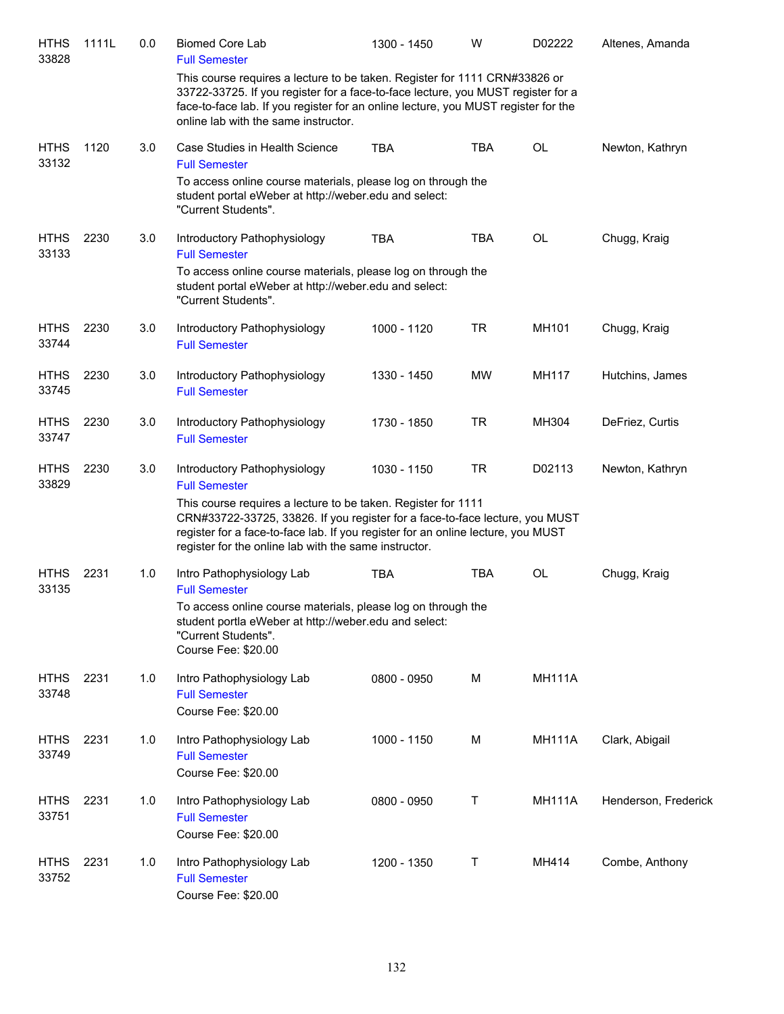| <b>HTHS</b><br>33828 | 1111L | 0.0 | <b>Biomed Core Lab</b><br><b>Full Semester</b>                                                                                                                                                                                                                                               | 1300 - 1450 | w          | D02222        | Altenes, Amanda      |
|----------------------|-------|-----|----------------------------------------------------------------------------------------------------------------------------------------------------------------------------------------------------------------------------------------------------------------------------------------------|-------------|------------|---------------|----------------------|
|                      |       |     | This course requires a lecture to be taken. Register for 1111 CRN#33826 or<br>33722-33725. If you register for a face-to-face lecture, you MUST register for a<br>face-to-face lab. If you register for an online lecture, you MUST register for the<br>online lab with the same instructor. |             |            |               |                      |
| <b>HTHS</b><br>33132 | 1120  | 3.0 | Case Studies in Health Science<br><b>Full Semester</b>                                                                                                                                                                                                                                       | <b>TBA</b>  | <b>TBA</b> | OL            | Newton, Kathryn      |
|                      |       |     | To access online course materials, please log on through the<br>student portal eWeber at http://weber.edu and select:<br>"Current Students".                                                                                                                                                 |             |            |               |                      |
| <b>HTHS</b><br>33133 | 2230  | 3.0 | Introductory Pathophysiology<br><b>Full Semester</b>                                                                                                                                                                                                                                         | <b>TBA</b>  | <b>TBA</b> | OL            | Chugg, Kraig         |
|                      |       |     | To access online course materials, please log on through the<br>student portal eWeber at http://weber.edu and select:<br>"Current Students".                                                                                                                                                 |             |            |               |                      |
| <b>HTHS</b><br>33744 | 2230  | 3.0 | Introductory Pathophysiology<br><b>Full Semester</b>                                                                                                                                                                                                                                         | 1000 - 1120 | <b>TR</b>  | MH101         | Chugg, Kraig         |
| <b>HTHS</b><br>33745 | 2230  | 3.0 | Introductory Pathophysiology<br><b>Full Semester</b>                                                                                                                                                                                                                                         | 1330 - 1450 | MW         | MH117         | Hutchins, James      |
| <b>HTHS</b><br>33747 | 2230  | 3.0 | Introductory Pathophysiology<br><b>Full Semester</b>                                                                                                                                                                                                                                         | 1730 - 1850 | <b>TR</b>  | MH304         | DeFriez, Curtis      |
| <b>HTHS</b><br>33829 | 2230  | 3.0 | Introductory Pathophysiology<br><b>Full Semester</b>                                                                                                                                                                                                                                         | 1030 - 1150 | <b>TR</b>  | D02113        | Newton, Kathryn      |
|                      |       |     | This course requires a lecture to be taken. Register for 1111<br>CRN#33722-33725, 33826. If you register for a face-to-face lecture, you MUST<br>register for a face-to-face lab. If you register for an online lecture, you MUST<br>register for the online lab with the same instructor.   |             |            |               |                      |
| <b>HTHS</b><br>33135 | 2231  | 1.0 | Intro Pathophysiology Lab<br><b>Full Semester</b>                                                                                                                                                                                                                                            | <b>TBA</b>  | <b>TBA</b> | OL            | Chugg, Kraig         |
|                      |       |     | To access online course materials, please log on through the<br>student portla eWeber at http://weber.edu and select:<br>"Current Students".<br>Course Fee: \$20.00                                                                                                                          |             |            |               |                      |
| <b>HTHS</b><br>33748 | 2231  | 1.0 | Intro Pathophysiology Lab<br><b>Full Semester</b><br>Course Fee: \$20.00                                                                                                                                                                                                                     | 0800 - 0950 | M          | <b>MH111A</b> |                      |
| <b>HTHS</b><br>33749 | 2231  | 1.0 | Intro Pathophysiology Lab<br><b>Full Semester</b><br>Course Fee: \$20.00                                                                                                                                                                                                                     | 1000 - 1150 | M          | <b>MH111A</b> | Clark, Abigail       |
| <b>HTHS</b><br>33751 | 2231  | 1.0 | Intro Pathophysiology Lab<br><b>Full Semester</b><br>Course Fee: \$20.00                                                                                                                                                                                                                     | 0800 - 0950 | Т          | <b>MH111A</b> | Henderson, Frederick |
| <b>HTHS</b><br>33752 | 2231  | 1.0 | Intro Pathophysiology Lab<br><b>Full Semester</b><br>Course Fee: \$20.00                                                                                                                                                                                                                     | 1200 - 1350 | Τ          | MH414         | Combe, Anthony       |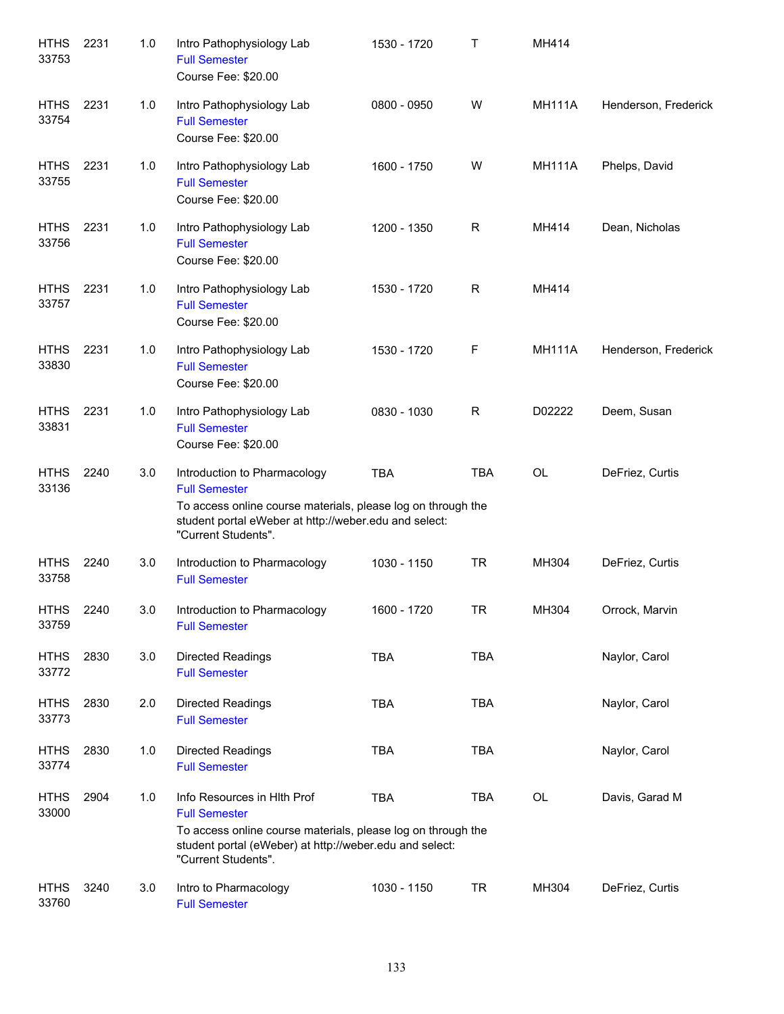| <b>HTHS</b><br>33753 | 2231 | 1.0 | Intro Pathophysiology Lab<br><b>Full Semester</b><br>Course Fee: \$20.00                                                                                                                              | 1530 - 1720 | Τ          | MH414         |                      |
|----------------------|------|-----|-------------------------------------------------------------------------------------------------------------------------------------------------------------------------------------------------------|-------------|------------|---------------|----------------------|
| <b>HTHS</b><br>33754 | 2231 | 1.0 | Intro Pathophysiology Lab<br><b>Full Semester</b><br>Course Fee: \$20.00                                                                                                                              | 0800 - 0950 | W          | <b>MH111A</b> | Henderson, Frederick |
| <b>HTHS</b><br>33755 | 2231 | 1.0 | Intro Pathophysiology Lab<br><b>Full Semester</b><br>Course Fee: \$20.00                                                                                                                              | 1600 - 1750 | W          | <b>MH111A</b> | Phelps, David        |
| <b>HTHS</b><br>33756 | 2231 | 1.0 | Intro Pathophysiology Lab<br><b>Full Semester</b><br>Course Fee: \$20.00                                                                                                                              | 1200 - 1350 | R          | MH414         | Dean, Nicholas       |
| <b>HTHS</b><br>33757 | 2231 | 1.0 | Intro Pathophysiology Lab<br><b>Full Semester</b><br>Course Fee: \$20.00                                                                                                                              | 1530 - 1720 | R          | MH414         |                      |
| <b>HTHS</b><br>33830 | 2231 | 1.0 | Intro Pathophysiology Lab<br><b>Full Semester</b><br>Course Fee: \$20.00                                                                                                                              | 1530 - 1720 | F          | <b>MH111A</b> | Henderson, Frederick |
| <b>HTHS</b><br>33831 | 2231 | 1.0 | Intro Pathophysiology Lab<br><b>Full Semester</b><br>Course Fee: \$20.00                                                                                                                              | 0830 - 1030 | R          | D02222        | Deem, Susan          |
| <b>HTHS</b><br>33136 | 2240 | 3.0 | Introduction to Pharmacology<br><b>Full Semester</b><br>To access online course materials, please log on through the<br>student portal eWeber at http://weber.edu and select:<br>"Current Students".  | <b>TBA</b>  | <b>TBA</b> | <b>OL</b>     | DeFriez, Curtis      |
| <b>HTHS</b><br>33758 | 2240 | 3.0 | Introduction to Pharmacology<br><b>Full Semester</b>                                                                                                                                                  | 1030 - 1150 | <b>TR</b>  | MH304         | DeFriez, Curtis      |
| <b>HTHS</b><br>33759 | 2240 | 3.0 | Introduction to Pharmacology<br><b>Full Semester</b>                                                                                                                                                  | 1600 - 1720 | <b>TR</b>  | MH304         | Orrock, Marvin       |
| <b>HTHS</b><br>33772 | 2830 | 3.0 | <b>Directed Readings</b><br><b>Full Semester</b>                                                                                                                                                      | <b>TBA</b>  | <b>TBA</b> |               | Naylor, Carol        |
| <b>HTHS</b><br>33773 | 2830 | 2.0 | <b>Directed Readings</b><br><b>Full Semester</b>                                                                                                                                                      | <b>TBA</b>  | <b>TBA</b> |               | Naylor, Carol        |
| <b>HTHS</b><br>33774 | 2830 | 1.0 | Directed Readings<br><b>Full Semester</b>                                                                                                                                                             | <b>TBA</b>  | <b>TBA</b> |               | Naylor, Carol        |
| <b>HTHS</b><br>33000 | 2904 | 1.0 | Info Resources in HIth Prof<br><b>Full Semester</b><br>To access online course materials, please log on through the<br>student portal (eWeber) at http://weber.edu and select:<br>"Current Students". | <b>TBA</b>  | TBA        | OL            | Davis, Garad M       |
| <b>HTHS</b><br>33760 | 3240 | 3.0 | Intro to Pharmacology<br><b>Full Semester</b>                                                                                                                                                         | 1030 - 1150 | <b>TR</b>  | MH304         | DeFriez, Curtis      |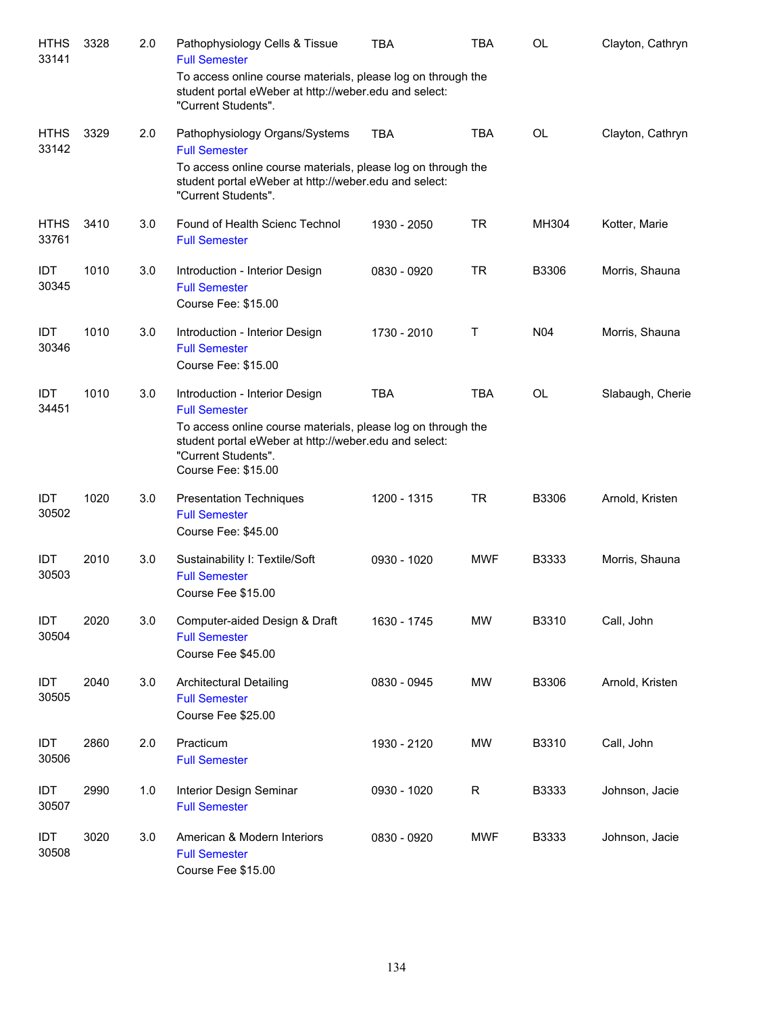| <b>HTHS</b><br>33141 | 3328 | 2.0 | Pathophysiology Cells & Tissue<br><b>Full Semester</b>                                                                                                                                                                        | <b>TBA</b>  | <b>TBA</b> | <b>OL</b>       | Clayton, Cathryn |
|----------------------|------|-----|-------------------------------------------------------------------------------------------------------------------------------------------------------------------------------------------------------------------------------|-------------|------------|-----------------|------------------|
|                      |      |     | To access online course materials, please log on through the<br>student portal eWeber at http://weber.edu and select:<br>"Current Students".                                                                                  |             |            |                 |                  |
| <b>HTHS</b><br>33142 | 3329 | 2.0 | Pathophysiology Organs/Systems<br><b>Full Semester</b>                                                                                                                                                                        | <b>TBA</b>  | <b>TBA</b> | <b>OL</b>       | Clayton, Cathryn |
|                      |      |     | To access online course materials, please log on through the<br>student portal eWeber at http://weber.edu and select:<br>"Current Students".                                                                                  |             |            |                 |                  |
| <b>HTHS</b><br>33761 | 3410 | 3.0 | Found of Health Scienc Technol<br><b>Full Semester</b>                                                                                                                                                                        | 1930 - 2050 | <b>TR</b>  | MH304           | Kotter, Marie    |
| IDT<br>30345         | 1010 | 3.0 | Introduction - Interior Design<br><b>Full Semester</b><br>Course Fee: \$15.00                                                                                                                                                 | 0830 - 0920 | <b>TR</b>  | B3306           | Morris, Shauna   |
| IDT<br>30346         | 1010 | 3.0 | Introduction - Interior Design<br><b>Full Semester</b><br>Course Fee: \$15.00                                                                                                                                                 | 1730 - 2010 | Т          | N <sub>04</sub> | Morris, Shauna   |
| <b>IDT</b><br>34451  | 1010 | 3.0 | Introduction - Interior Design<br><b>Full Semester</b><br>To access online course materials, please log on through the<br>student portal eWeber at http://weber.edu and select:<br>"Current Students".<br>Course Fee: \$15.00 | <b>TBA</b>  | <b>TBA</b> | <b>OL</b>       | Slabaugh, Cherie |
| IDT<br>30502         | 1020 | 3.0 | <b>Presentation Techniques</b><br><b>Full Semester</b><br>Course Fee: \$45.00                                                                                                                                                 | 1200 - 1315 | <b>TR</b>  | B3306           | Arnold, Kristen  |
| IDT<br>30503         | 2010 | 3.0 | Sustainability I: Textile/Soft<br><b>Full Semester</b><br>Course Fee \$15.00                                                                                                                                                  | 0930 - 1020 | <b>MWF</b> | B3333           | Morris, Shauna   |
| IDT<br>30504         | 2020 | 3.0 | Computer-aided Design & Draft<br><b>Full Semester</b><br>Course Fee \$45.00                                                                                                                                                   | 1630 - 1745 | <b>MW</b>  | B3310           | Call, John       |
| IDT<br>30505         | 2040 | 3.0 | <b>Architectural Detailing</b><br><b>Full Semester</b><br>Course Fee \$25.00                                                                                                                                                  | 0830 - 0945 | MW         | B3306           | Arnold, Kristen  |
| IDT<br>30506         | 2860 | 2.0 | Practicum<br><b>Full Semester</b>                                                                                                                                                                                             | 1930 - 2120 | MW         | B3310           | Call, John       |
| IDT<br>30507         | 2990 | 1.0 | Interior Design Seminar<br><b>Full Semester</b>                                                                                                                                                                               | 0930 - 1020 | R          | B3333           | Johnson, Jacie   |
| IDT<br>30508         | 3020 | 3.0 | American & Modern Interiors<br><b>Full Semester</b><br>Course Fee \$15.00                                                                                                                                                     | 0830 - 0920 | <b>MWF</b> | B3333           | Johnson, Jacie   |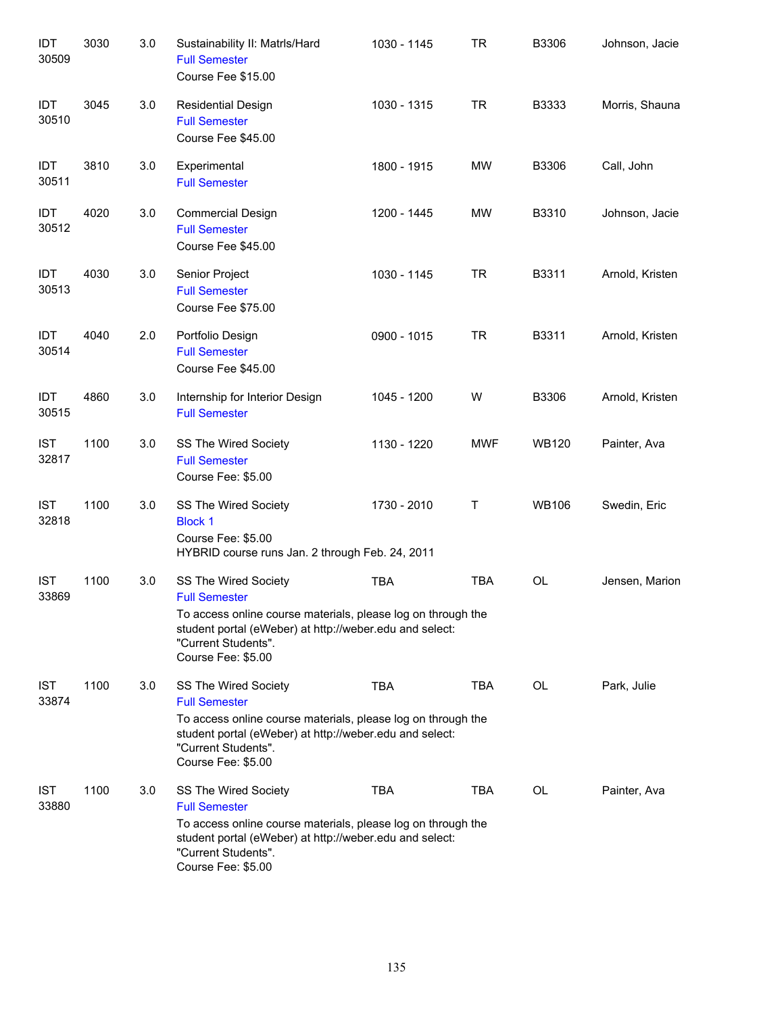| IDT<br>30509        | 3030 | 3.0 | Sustainability II: Matrls/Hard<br><b>Full Semester</b><br>Course Fee \$15.00                                                                                                                                         | 1030 - 1145 | <b>TR</b>  | B3306        | Johnson, Jacie  |
|---------------------|------|-----|----------------------------------------------------------------------------------------------------------------------------------------------------------------------------------------------------------------------|-------------|------------|--------------|-----------------|
| IDT<br>30510        | 3045 | 3.0 | <b>Residential Design</b><br><b>Full Semester</b><br>Course Fee \$45.00                                                                                                                                              | 1030 - 1315 | <b>TR</b>  | B3333        | Morris, Shauna  |
| IDT<br>30511        | 3810 | 3.0 | Experimental<br><b>Full Semester</b>                                                                                                                                                                                 | 1800 - 1915 | MW         | B3306        | Call, John      |
| IDT<br>30512        | 4020 | 3.0 | <b>Commercial Design</b><br><b>Full Semester</b><br>Course Fee \$45.00                                                                                                                                               | 1200 - 1445 | <b>MW</b>  | B3310        | Johnson, Jacie  |
| IDT<br>30513        | 4030 | 3.0 | Senior Project<br><b>Full Semester</b><br>Course Fee \$75.00                                                                                                                                                         | 1030 - 1145 | <b>TR</b>  | B3311        | Arnold, Kristen |
| IDT<br>30514        | 4040 | 2.0 | Portfolio Design<br><b>Full Semester</b><br>Course Fee \$45.00                                                                                                                                                       | 0900 - 1015 | <b>TR</b>  | B3311        | Arnold, Kristen |
| IDT<br>30515        | 4860 | 3.0 | Internship for Interior Design<br><b>Full Semester</b>                                                                                                                                                               | 1045 - 1200 | W          | B3306        | Arnold, Kristen |
| <b>IST</b><br>32817 | 1100 | 3.0 | SS The Wired Society<br><b>Full Semester</b><br>Course Fee: \$5.00                                                                                                                                                   | 1130 - 1220 | <b>MWF</b> | <b>WB120</b> | Painter, Ava    |
| <b>IST</b><br>32818 | 1100 | 3.0 | SS The Wired Society<br><b>Block 1</b><br>Course Fee: \$5.00<br>HYBRID course runs Jan. 2 through Feb. 24, 2011                                                                                                      | 1730 - 2010 | Т          | <b>WB106</b> | Swedin, Eric    |
| <b>IST</b><br>33869 | 1100 | 3.0 | SS The Wired Society<br><b>Full Semester</b><br>To access online course materials, please log on through the<br>student portal (eWeber) at http://weber.edu and select:<br>"Current Students".<br>Course Fee: \$5.00 | <b>TBA</b>  | <b>TBA</b> | OL           | Jensen, Marion  |
| <b>IST</b><br>33874 | 1100 | 3.0 | SS The Wired Society<br><b>Full Semester</b><br>To access online course materials, please log on through the<br>student portal (eWeber) at http://weber.edu and select:<br>"Current Students".<br>Course Fee: \$5.00 | <b>TBA</b>  | TBA        | OL           | Park, Julie     |
| <b>IST</b><br>33880 | 1100 | 3.0 | SS The Wired Society<br><b>Full Semester</b><br>To access online course materials, please log on through the<br>student portal (eWeber) at http://weber.edu and select:<br>"Current Students".<br>Course Fee: \$5.00 | <b>TBA</b>  | <b>TBA</b> | OL           | Painter, Ava    |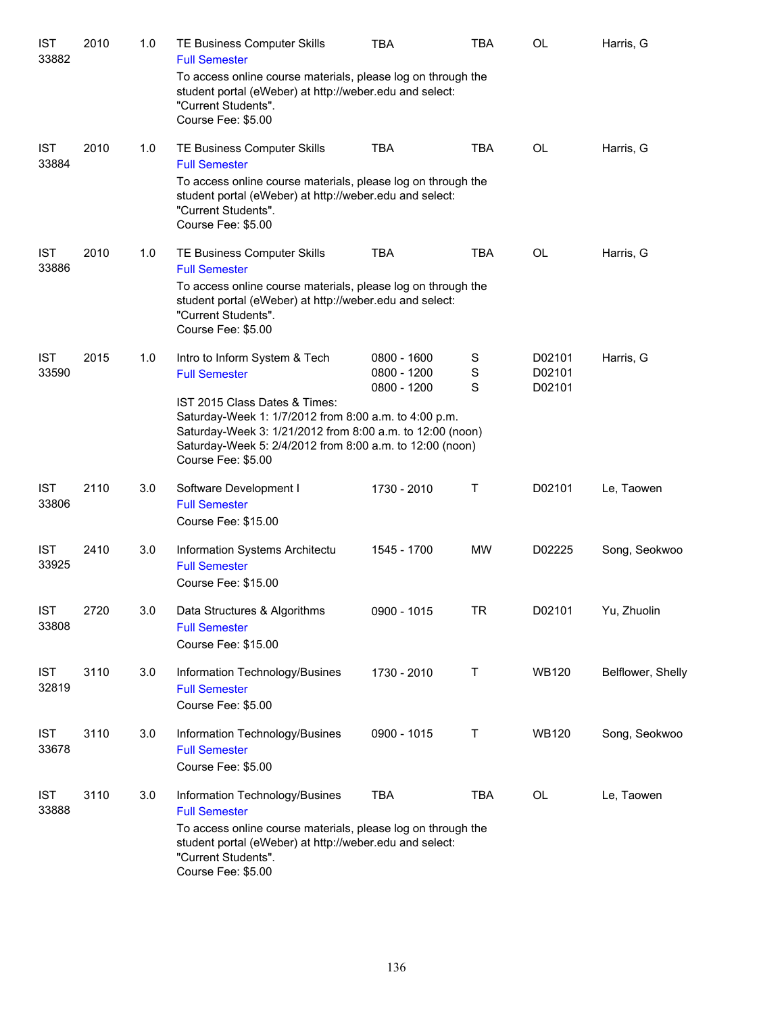| <b>IST</b><br>33882 | 2010 | 1.0 | TE Business Computer Skills<br><b>Full Semester</b>                                                                                                                                                                                   | <b>TBA</b>                 | <b>TBA</b>  | <b>OL</b>        | Harris, G         |
|---------------------|------|-----|---------------------------------------------------------------------------------------------------------------------------------------------------------------------------------------------------------------------------------------|----------------------------|-------------|------------------|-------------------|
|                     |      |     | To access online course materials, please log on through the<br>student portal (eWeber) at http://weber.edu and select:<br>"Current Students".<br>Course Fee: \$5.00                                                                  |                            |             |                  |                   |
| <b>IST</b><br>33884 | 2010 | 1.0 | TE Business Computer Skills<br><b>Full Semester</b>                                                                                                                                                                                   | <b>TBA</b>                 | <b>TBA</b>  | <b>OL</b>        | Harris, G         |
|                     |      |     | To access online course materials, please log on through the<br>student portal (eWeber) at http://weber.edu and select:<br>"Current Students".<br>Course Fee: \$5.00                                                                  |                            |             |                  |                   |
| <b>IST</b><br>33886 | 2010 | 1.0 | TE Business Computer Skills<br><b>Full Semester</b>                                                                                                                                                                                   | <b>TBA</b>                 | <b>TBA</b>  | <b>OL</b>        | Harris, G         |
|                     |      |     | To access online course materials, please log on through the<br>student portal (eWeber) at http://weber.edu and select:<br>"Current Students".<br>Course Fee: \$5.00                                                                  |                            |             |                  |                   |
| <b>IST</b><br>33590 | 2015 | 1.0 | Intro to Inform System & Tech<br><b>Full Semester</b>                                                                                                                                                                                 | 0800 - 1600<br>0800 - 1200 | S<br>S      | D02101<br>D02101 | Harris, G         |
|                     |      |     | IST 2015 Class Dates & Times:<br>Saturday-Week 1: 1/7/2012 from 8:00 a.m. to 4:00 p.m.<br>Saturday-Week 3: 1/21/2012 from 8:00 a.m. to 12:00 (noon)<br>Saturday-Week 5: 2/4/2012 from 8:00 a.m. to 12:00 (noon)<br>Course Fee: \$5.00 | 0800 - 1200                | S           | D02101           |                   |
| <b>IST</b><br>33806 | 2110 | 3.0 | Software Development I<br><b>Full Semester</b><br>Course Fee: \$15.00                                                                                                                                                                 | 1730 - 2010                | $\mathsf T$ | D02101           | Le, Taowen        |
| <b>IST</b><br>33925 | 2410 | 3.0 | Information Systems Architectu<br><b>Full Semester</b><br>Course Fee: \$15.00                                                                                                                                                         | 1545 - 1700                | <b>MW</b>   | D02225           | Song, Seokwoo     |
| <b>IST</b><br>33808 | 2720 | 3.0 | Data Structures & Algorithms<br><b>Full Semester</b><br>Course Fee: \$15.00                                                                                                                                                           | 0900 - 1015                | <b>TR</b>   | D02101           | Yu, Zhuolin       |
| <b>IST</b><br>32819 | 3110 | 3.0 | Information Technology/Busines<br><b>Full Semester</b><br>Course Fee: \$5.00                                                                                                                                                          | 1730 - 2010                | Т           | <b>WB120</b>     | Belflower, Shelly |
| <b>IST</b><br>33678 | 3110 | 3.0 | Information Technology/Busines<br><b>Full Semester</b><br>Course Fee: \$5.00                                                                                                                                                          | 0900 - 1015                | Τ           | <b>WB120</b>     | Song, Seokwoo     |
| <b>IST</b><br>33888 | 3110 | 3.0 | Information Technology/Busines<br><b>Full Semester</b>                                                                                                                                                                                | <b>TBA</b>                 | <b>TBA</b>  | OL               | Le, Taowen        |
|                     |      |     | To access online course materials, please log on through the<br>student portal (eWeber) at http://weber.edu and select:<br>"Current Students".<br>Course Fee: \$5.00                                                                  |                            |             |                  |                   |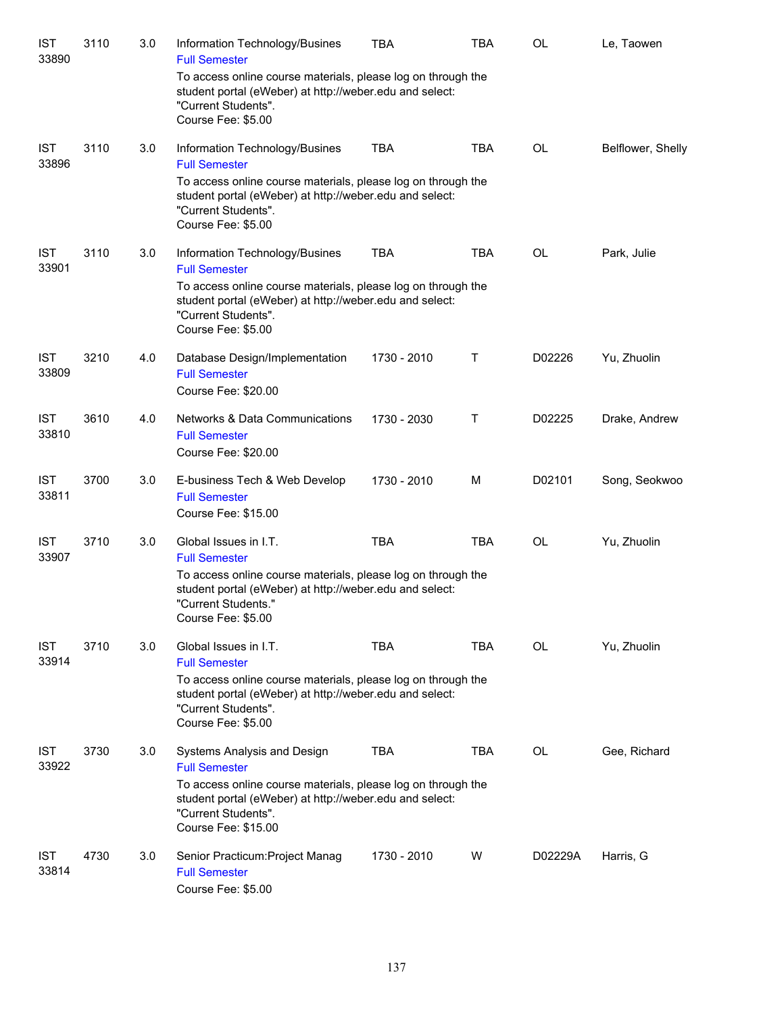| <b>IST</b><br>33890 | 3110 | 3.0 | Information Technology/Busines<br><b>Full Semester</b>                                                                                                                                                | TBA         | TBA        | OL                                       | Le, Taowen        |
|---------------------|------|-----|-------------------------------------------------------------------------------------------------------------------------------------------------------------------------------------------------------|-------------|------------|------------------------------------------|-------------------|
|                     |      |     | To access online course materials, please log on through the<br>student portal (eWeber) at http://weber.edu and select:<br>"Current Students".<br>Course Fee: \$5.00                                  |             |            |                                          |                   |
| <b>IST</b><br>33896 | 3110 | 3.0 | Information Technology/Busines<br><b>Full Semester</b>                                                                                                                                                | <b>TBA</b>  | <b>TBA</b> | OL                                       | Belflower, Shelly |
|                     |      |     | To access online course materials, please log on through the<br>student portal (eWeber) at http://weber.edu and select:<br>"Current Students".<br>Course Fee: \$5.00                                  |             |            |                                          |                   |
| <b>IST</b><br>33901 | 3110 | 3.0 | Information Technology/Busines<br><b>Full Semester</b>                                                                                                                                                | <b>TBA</b>  | <b>TBA</b> | $\mathsf{OL}% \left( \mathcal{M}\right)$ | Park, Julie       |
|                     |      |     | To access online course materials, please log on through the<br>student portal (eWeber) at http://weber.edu and select:<br>"Current Students".<br>Course Fee: \$5.00                                  |             |            |                                          |                   |
| <b>IST</b><br>33809 | 3210 | 4.0 | Database Design/Implementation<br><b>Full Semester</b><br>Course Fee: \$20.00                                                                                                                         | 1730 - 2010 | Τ          | D02226                                   | Yu, Zhuolin       |
| <b>IST</b><br>33810 | 3610 | 4.0 | <b>Networks &amp; Data Communications</b><br><b>Full Semester</b><br>Course Fee: \$20.00                                                                                                              | 1730 - 2030 | Τ          | D02225                                   | Drake, Andrew     |
| <b>IST</b><br>33811 | 3700 | 3.0 | E-business Tech & Web Develop<br><b>Full Semester</b><br>Course Fee: \$15.00                                                                                                                          | 1730 - 2010 | M          | D02101                                   | Song, Seokwoo     |
| <b>IST</b><br>33907 | 3710 | 3.0 | Global Issues in I.T.<br><b>Full Semester</b>                                                                                                                                                         | <b>TBA</b>  | <b>TBA</b> | <b>OL</b>                                | Yu, Zhuolin       |
|                     |      |     | To access online course materials, please log on through the<br>student portal (eWeber) at http://weber.edu and select:<br>"Current Students."<br>Course Fee: \$5.00                                  |             |            |                                          |                   |
| <b>IST</b><br>33914 | 3710 | 3.0 | Global Issues in I.T.<br><b>Full Semester</b>                                                                                                                                                         | <b>TBA</b>  | <b>TBA</b> | <b>OL</b>                                | Yu, Zhuolin       |
|                     |      |     | To access online course materials, please log on through the<br>student portal (eWeber) at http://weber.edu and select:<br>"Current Students".<br>Course Fee: \$5.00                                  |             |            |                                          |                   |
| <b>IST</b><br>33922 | 3730 | 3.0 | Systems Analysis and Design<br><b>Full Semester</b><br>To access online course materials, please log on through the<br>student portal (eWeber) at http://weber.edu and select:<br>"Current Students". | <b>TBA</b>  | <b>TBA</b> | OL                                       | Gee, Richard      |
| <b>IST</b><br>33814 | 4730 | 3.0 | Course Fee: \$15.00<br>Senior Practicum: Project Manag<br><b>Full Semester</b><br>Course Fee: \$5.00                                                                                                  | 1730 - 2010 | W          | D02229A                                  | Harris, G         |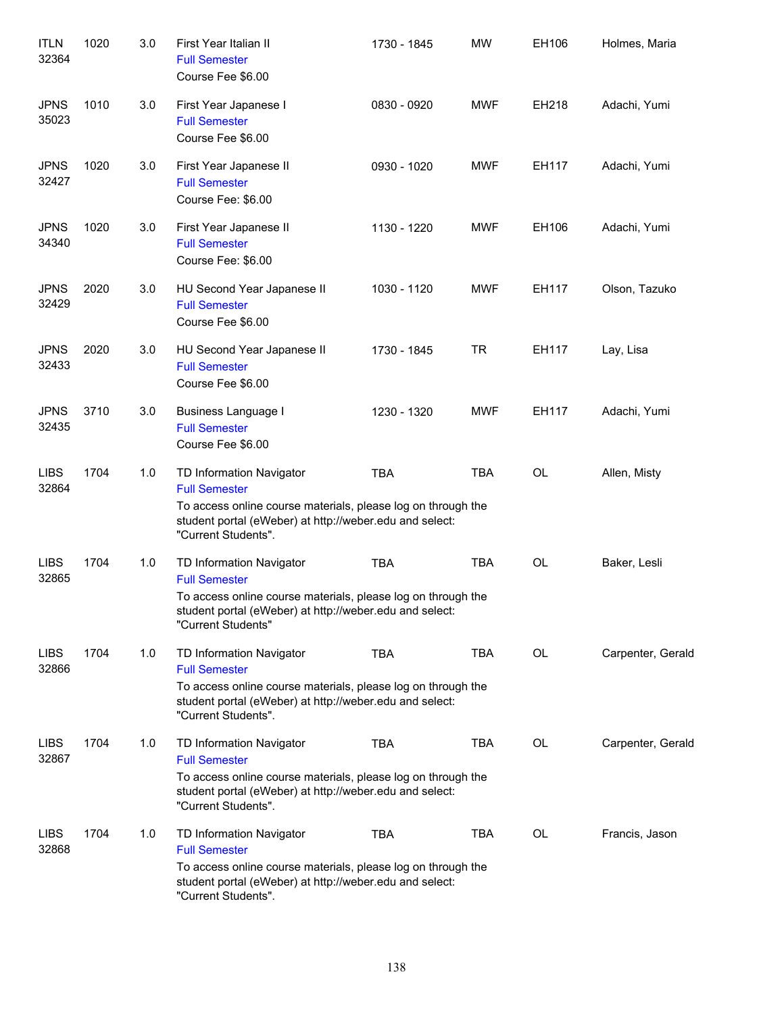| <b>ITLN</b><br>32364 | 1020 | 3.0 | First Year Italian II<br><b>Full Semester</b><br>Course Fee \$6.00                                                                                                                                 | 1730 - 1845 | <b>MW</b>  | EH106     | Holmes, Maria     |
|----------------------|------|-----|----------------------------------------------------------------------------------------------------------------------------------------------------------------------------------------------------|-------------|------------|-----------|-------------------|
| <b>JPNS</b><br>35023 | 1010 | 3.0 | First Year Japanese I<br><b>Full Semester</b><br>Course Fee \$6.00                                                                                                                                 | 0830 - 0920 | <b>MWF</b> | EH218     | Adachi, Yumi      |
| <b>JPNS</b><br>32427 | 1020 | 3.0 | First Year Japanese II<br><b>Full Semester</b><br>Course Fee: \$6.00                                                                                                                               | 0930 - 1020 | <b>MWF</b> | EH117     | Adachi, Yumi      |
| <b>JPNS</b><br>34340 | 1020 | 3.0 | First Year Japanese II<br><b>Full Semester</b><br>Course Fee: \$6.00                                                                                                                               | 1130 - 1220 | <b>MWF</b> | EH106     | Adachi, Yumi      |
| <b>JPNS</b><br>32429 | 2020 | 3.0 | HU Second Year Japanese II<br><b>Full Semester</b><br>Course Fee \$6.00                                                                                                                            | 1030 - 1120 | <b>MWF</b> | EH117     | Olson, Tazuko     |
| <b>JPNS</b><br>32433 | 2020 | 3.0 | HU Second Year Japanese II<br><b>Full Semester</b><br>Course Fee \$6.00                                                                                                                            | 1730 - 1845 | <b>TR</b>  | EH117     | Lay, Lisa         |
| <b>JPNS</b><br>32435 | 3710 | 3.0 | <b>Business Language I</b><br><b>Full Semester</b><br>Course Fee \$6.00                                                                                                                            | 1230 - 1320 | <b>MWF</b> | EH117     | Adachi, Yumi      |
| <b>LIBS</b><br>32864 | 1704 | 1.0 | TD Information Navigator<br><b>Full Semester</b><br>To access online course materials, please log on through the<br>student portal (eWeber) at http://weber.edu and select:<br>"Current Students". | <b>TBA</b>  | <b>TBA</b> | <b>OL</b> | Allen, Misty      |
| <b>LIBS</b><br>32865 | 1704 | 1.0 | TD Information Navigator<br><b>Full Semester</b><br>To access online course materials, please log on through the<br>student portal (eWeber) at http://weber.edu and select:<br>"Current Students"  | <b>TBA</b>  | <b>TBA</b> | <b>OL</b> | Baker, Lesli      |
| <b>LIBS</b><br>32866 | 1704 | 1.0 | TD Information Navigator<br><b>Full Semester</b><br>To access online course materials, please log on through the<br>student portal (eWeber) at http://weber.edu and select:<br>"Current Students". | <b>TBA</b>  | TBA        | OL        | Carpenter, Gerald |
| <b>LIBS</b><br>32867 | 1704 | 1.0 | TD Information Navigator<br><b>Full Semester</b><br>To access online course materials, please log on through the<br>student portal (eWeber) at http://weber.edu and select:<br>"Current Students". | <b>TBA</b>  | <b>TBA</b> | OL        | Carpenter, Gerald |
| <b>LIBS</b><br>32868 | 1704 | 1.0 | TD Information Navigator<br><b>Full Semester</b><br>To access online course materials, please log on through the<br>student portal (eWeber) at http://weber.edu and select:<br>"Current Students". | <b>TBA</b>  | <b>TBA</b> | OL        | Francis, Jason    |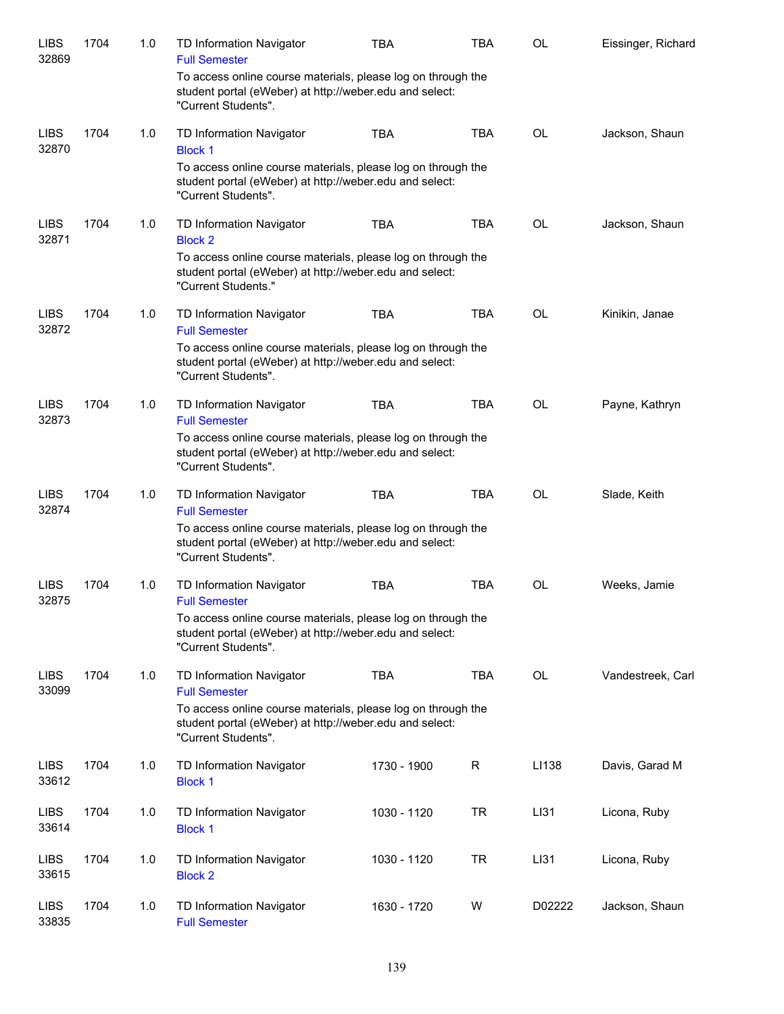| <b>LIBS</b><br>32869 | 1704 | 1.0 | <b>TD Information Navigator</b><br><b>Full Semester</b>                                                                                        | <b>TBA</b>  | <b>TBA</b>  | OL        | Eissinger, Richard |
|----------------------|------|-----|------------------------------------------------------------------------------------------------------------------------------------------------|-------------|-------------|-----------|--------------------|
|                      |      |     | To access online course materials, please log on through the<br>student portal (eWeber) at http://weber.edu and select:<br>"Current Students". |             |             |           |                    |
| <b>LIBS</b><br>32870 | 1704 | 1.0 | TD Information Navigator<br><b>Block 1</b>                                                                                                     | <b>TBA</b>  | <b>TBA</b>  | <b>OL</b> | Jackson, Shaun     |
|                      |      |     | To access online course materials, please log on through the<br>student portal (eWeber) at http://weber.edu and select:<br>"Current Students". |             |             |           |                    |
| <b>LIBS</b><br>32871 | 1704 | 1.0 | TD Information Navigator<br><b>Block 2</b>                                                                                                     | <b>TBA</b>  | <b>TBA</b>  | OL        | Jackson, Shaun     |
|                      |      |     | To access online course materials, please log on through the<br>student portal (eWeber) at http://weber.edu and select:<br>"Current Students." |             |             |           |                    |
| <b>LIBS</b><br>32872 | 1704 | 1.0 | TD Information Navigator<br><b>Full Semester</b>                                                                                               | <b>TBA</b>  | <b>TBA</b>  | OL        | Kinikin, Janae     |
|                      |      |     | To access online course materials, please log on through the<br>student portal (eWeber) at http://weber.edu and select:<br>"Current Students". |             |             |           |                    |
| <b>LIBS</b><br>32873 | 1704 | 1.0 | TD Information Navigator<br><b>Full Semester</b>                                                                                               | <b>TBA</b>  | <b>TBA</b>  | <b>OL</b> | Payne, Kathryn     |
|                      |      |     | To access online course materials, please log on through the<br>student portal (eWeber) at http://weber.edu and select:<br>"Current Students". |             |             |           |                    |
| <b>LIBS</b><br>32874 | 1704 | 1.0 | TD Information Navigator<br><b>Full Semester</b>                                                                                               | <b>TBA</b>  | <b>TBA</b>  | <b>OL</b> | Slade, Keith       |
|                      |      |     | To access online course materials, please log on through the<br>student portal (eWeber) at http://weber.edu and select:<br>"Current Students". |             |             |           |                    |
| <b>LIBS</b><br>32875 | 1704 | 1.0 | TD Information Navigator<br><b>Full Semester</b>                                                                                               | <b>TBA</b>  | <b>TBA</b>  | OL        | Weeks, Jamie       |
|                      |      |     | To access online course materials, please log on through the<br>student portal (eWeber) at http://weber.edu and select:<br>"Current Students". |             |             |           |                    |
| <b>LIBS</b><br>33099 | 1704 | 1.0 | TD Information Navigator<br><b>Full Semester</b>                                                                                               | <b>TBA</b>  | <b>TBA</b>  | OL        | Vandestreek, Carl  |
|                      |      |     | To access online course materials, please log on through the<br>student portal (eWeber) at http://weber.edu and select:<br>"Current Students". |             |             |           |                    |
| <b>LIBS</b><br>33612 | 1704 | 1.0 | TD Information Navigator<br><b>Block 1</b>                                                                                                     | 1730 - 1900 | $\mathsf R$ | LI138     | Davis, Garad M     |
| <b>LIBS</b><br>33614 | 1704 | 1.0 | TD Information Navigator<br><b>Block 1</b>                                                                                                     | 1030 - 1120 | <b>TR</b>   | LI31      | Licona, Ruby       |
| <b>LIBS</b><br>33615 | 1704 | 1.0 | TD Information Navigator<br><b>Block 2</b>                                                                                                     | 1030 - 1120 | <b>TR</b>   | LI31      | Licona, Ruby       |
| <b>LIBS</b><br>33835 | 1704 | 1.0 | TD Information Navigator<br><b>Full Semester</b>                                                                                               | 1630 - 1720 | W           | D02222    | Jackson, Shaun     |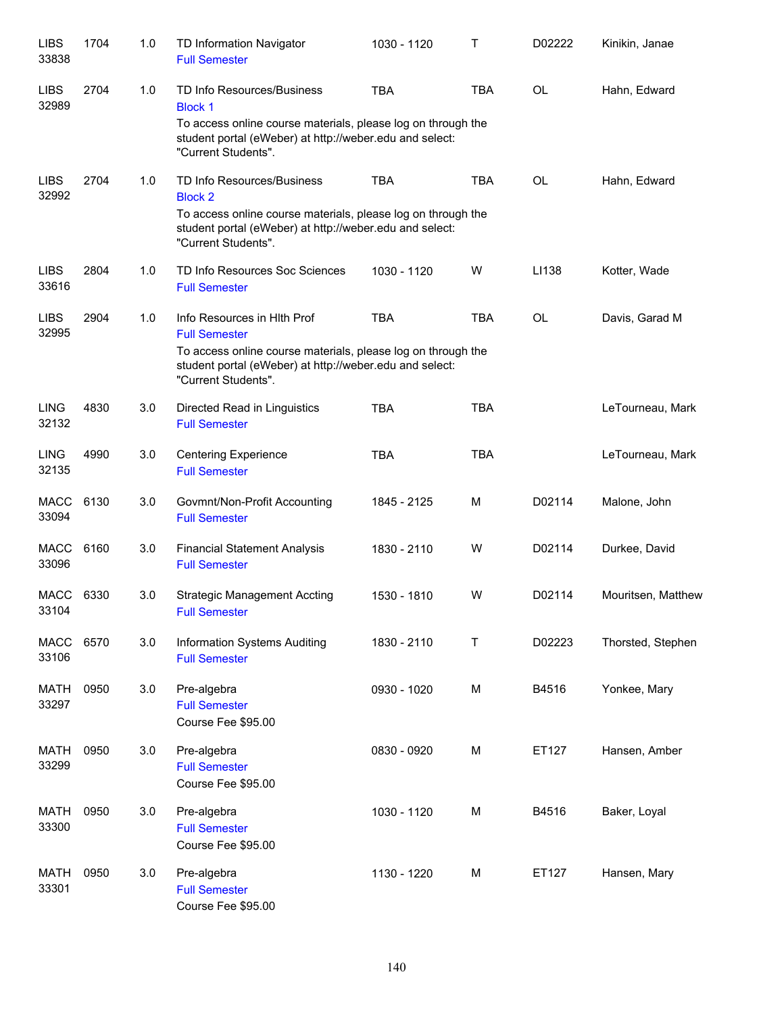| <b>LIBS</b><br>33838 | 1704 | 1.0 | TD Information Navigator<br><b>Full Semester</b>                                                                                               | 1030 - 1120 | Τ          | D02222    | Kinikin, Janae     |
|----------------------|------|-----|------------------------------------------------------------------------------------------------------------------------------------------------|-------------|------------|-----------|--------------------|
| <b>LIBS</b><br>32989 | 2704 | 1.0 | TD Info Resources/Business<br><b>Block 1</b>                                                                                                   | <b>TBA</b>  | <b>TBA</b> | <b>OL</b> | Hahn, Edward       |
|                      |      |     | To access online course materials, please log on through the<br>student portal (eWeber) at http://weber.edu and select:<br>"Current Students". |             |            |           |                    |
| <b>LIBS</b><br>32992 | 2704 | 1.0 | TD Info Resources/Business<br><b>Block 2</b>                                                                                                   | <b>TBA</b>  | <b>TBA</b> | <b>OL</b> | Hahn, Edward       |
|                      |      |     | To access online course materials, please log on through the<br>student portal (eWeber) at http://weber.edu and select:<br>"Current Students". |             |            |           |                    |
| <b>LIBS</b><br>33616 | 2804 | 1.0 | TD Info Resources Soc Sciences<br><b>Full Semester</b>                                                                                         | 1030 - 1120 | W          | LI138     | Kotter, Wade       |
| <b>LIBS</b><br>32995 | 2904 | 1.0 | Info Resources in Hith Prof<br><b>Full Semester</b>                                                                                            | <b>TBA</b>  | <b>TBA</b> | <b>OL</b> | Davis, Garad M     |
|                      |      |     | To access online course materials, please log on through the<br>student portal (eWeber) at http://weber.edu and select:<br>"Current Students". |             |            |           |                    |
| <b>LING</b><br>32132 | 4830 | 3.0 | Directed Read in Linguistics<br><b>Full Semester</b>                                                                                           | <b>TBA</b>  | <b>TBA</b> |           | LeTourneau, Mark   |
| <b>LING</b><br>32135 | 4990 | 3.0 | <b>Centering Experience</b><br><b>Full Semester</b>                                                                                            | <b>TBA</b>  | <b>TBA</b> |           | LeTourneau, Mark   |
| <b>MACC</b><br>33094 | 6130 | 3.0 | Govmnt/Non-Profit Accounting<br><b>Full Semester</b>                                                                                           | 1845 - 2125 | M          | D02114    | Malone, John       |
| <b>MACC</b><br>33096 | 6160 | 3.0 | <b>Financial Statement Analysis</b><br><b>Full Semester</b>                                                                                    | 1830 - 2110 | W          | D02114    | Durkee, David      |
| MACC<br>33104        | 6330 | 3.0 | <b>Strategic Management Accting</b><br><b>Full Semester</b>                                                                                    | 1530 - 1810 | W          | D02114    | Mouritsen, Matthew |
| <b>MACC</b><br>33106 | 6570 | 3.0 | Information Systems Auditing<br><b>Full Semester</b>                                                                                           | 1830 - 2110 | Τ          | D02223    | Thorsted, Stephen  |
| <b>MATH</b><br>33297 | 0950 | 3.0 | Pre-algebra<br><b>Full Semester</b><br>Course Fee \$95.00                                                                                      | 0930 - 1020 | M          | B4516     | Yonkee, Mary       |
| <b>MATH</b><br>33299 | 0950 | 3.0 | Pre-algebra<br><b>Full Semester</b><br>Course Fee \$95.00                                                                                      | 0830 - 0920 | M          | ET127     | Hansen, Amber      |
| MATH<br>33300        | 0950 | 3.0 | Pre-algebra<br><b>Full Semester</b><br>Course Fee \$95.00                                                                                      | 1030 - 1120 | M          | B4516     | Baker, Loyal       |
| <b>MATH</b><br>33301 | 0950 | 3.0 | Pre-algebra<br><b>Full Semester</b><br>Course Fee \$95.00                                                                                      | 1130 - 1220 | M          | ET127     | Hansen, Mary       |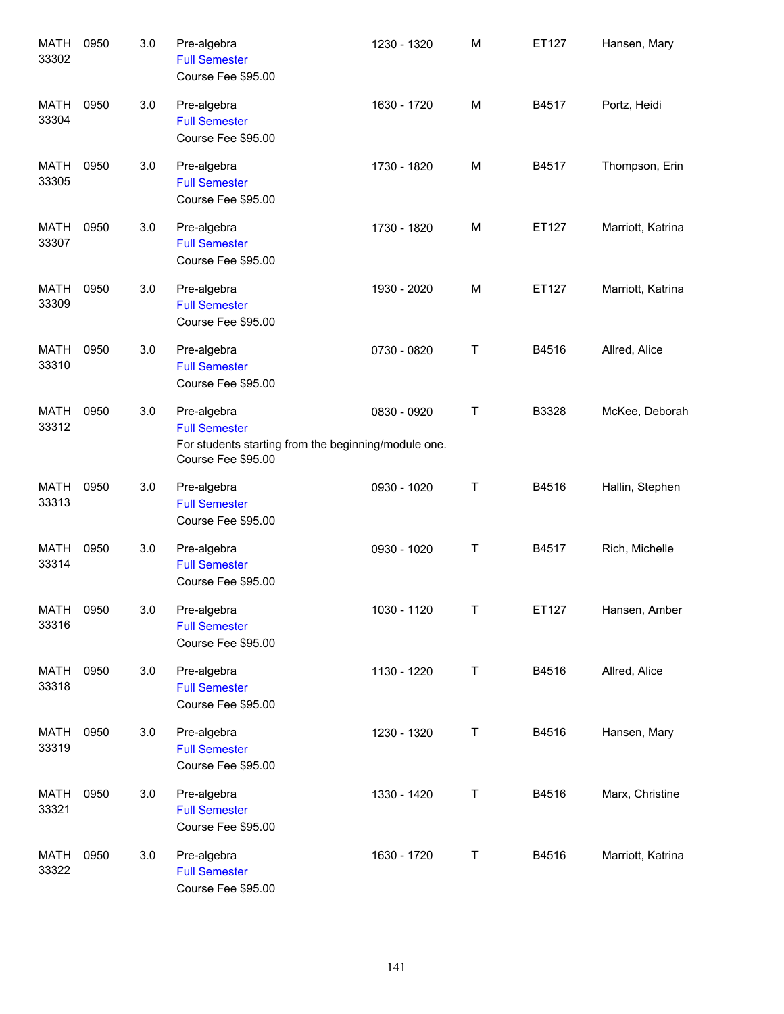| <b>MATH</b><br>33302 | 0950 | 3.0 | Pre-algebra<br><b>Full Semester</b><br>Course Fee \$95.00                                                         | 1230 - 1320 | M | ET127 | Hansen, Mary      |
|----------------------|------|-----|-------------------------------------------------------------------------------------------------------------------|-------------|---|-------|-------------------|
| <b>MATH</b><br>33304 | 0950 | 3.0 | Pre-algebra<br><b>Full Semester</b><br>Course Fee \$95.00                                                         | 1630 - 1720 | M | B4517 | Portz, Heidi      |
| <b>MATH</b><br>33305 | 0950 | 3.0 | Pre-algebra<br><b>Full Semester</b><br>Course Fee \$95.00                                                         | 1730 - 1820 | M | B4517 | Thompson, Erin    |
| MATH<br>33307        | 0950 | 3.0 | Pre-algebra<br><b>Full Semester</b><br>Course Fee \$95.00                                                         | 1730 - 1820 | M | ET127 | Marriott, Katrina |
| <b>MATH</b><br>33309 | 0950 | 3.0 | Pre-algebra<br><b>Full Semester</b><br>Course Fee \$95.00                                                         | 1930 - 2020 | M | ET127 | Marriott, Katrina |
| <b>MATH</b><br>33310 | 0950 | 3.0 | Pre-algebra<br><b>Full Semester</b><br>Course Fee \$95.00                                                         | 0730 - 0820 | Τ | B4516 | Allred, Alice     |
| MATH<br>33312        | 0950 | 3.0 | Pre-algebra<br><b>Full Semester</b><br>For students starting from the beginning/module one.<br>Course Fee \$95.00 | 0830 - 0920 | Τ | B3328 | McKee, Deborah    |
| <b>MATH</b><br>33313 | 0950 | 3.0 | Pre-algebra<br><b>Full Semester</b><br>Course Fee \$95.00                                                         | 0930 - 1020 | Τ | B4516 | Hallin, Stephen   |
| <b>MATH</b><br>33314 | 0950 | 3.0 | Pre-algebra<br><b>Full Semester</b><br>Course Fee \$95.00                                                         | 0930 - 1020 | Τ | B4517 | Rich, Michelle    |
| MATH 0950<br>33316   |      | 3.0 | Pre-algebra<br><b>Full Semester</b><br>Course Fee \$95.00                                                         | 1030 - 1120 | Τ | ET127 | Hansen, Amber     |
| MATH<br>33318        | 0950 | 3.0 | Pre-algebra<br><b>Full Semester</b><br>Course Fee \$95.00                                                         | 1130 - 1220 | T | B4516 | Allred, Alice     |
| MATH<br>33319        | 0950 | 3.0 | Pre-algebra<br><b>Full Semester</b><br>Course Fee \$95.00                                                         | 1230 - 1320 | T | B4516 | Hansen, Mary      |
| MATH<br>33321        | 0950 | 3.0 | Pre-algebra<br><b>Full Semester</b><br>Course Fee \$95.00                                                         | 1330 - 1420 | T | B4516 | Marx, Christine   |
| MATH<br>33322        | 0950 | 3.0 | Pre-algebra<br><b>Full Semester</b><br>Course Fee \$95.00                                                         | 1630 - 1720 | T | B4516 | Marriott, Katrina |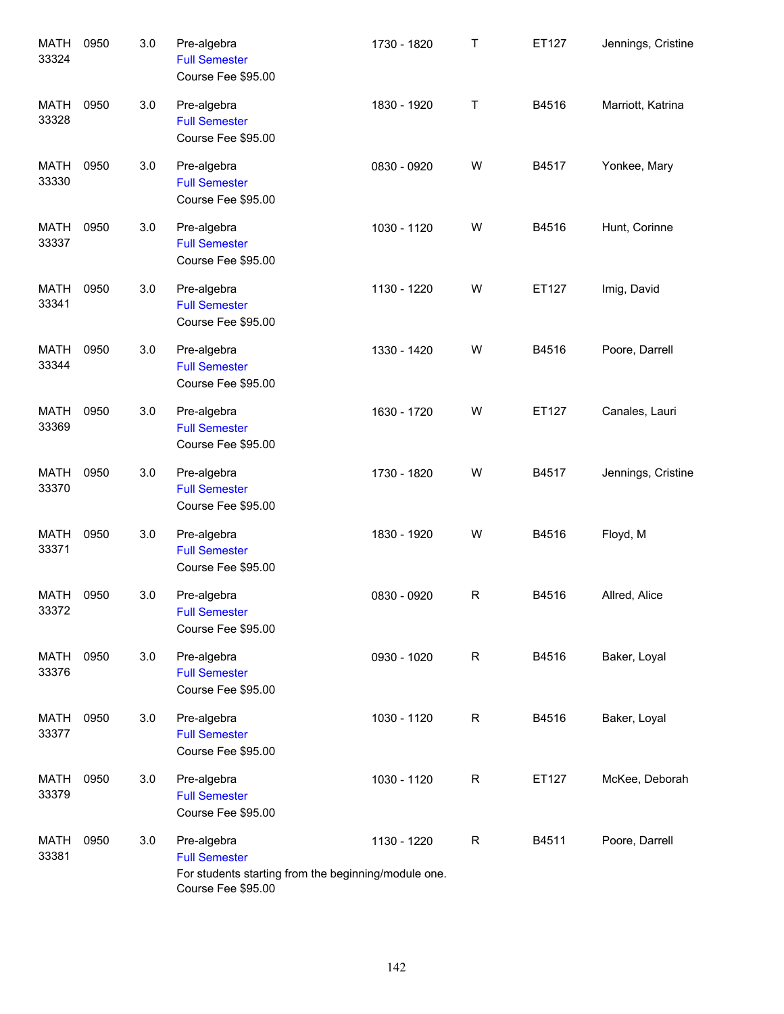| <b>MATH</b><br>33324 | 0950 | 3.0 | Pre-algebra<br><b>Full Semester</b><br>Course Fee \$95.00                                                         | 1730 - 1820 | Τ           | ET127 | Jennings, Cristine |
|----------------------|------|-----|-------------------------------------------------------------------------------------------------------------------|-------------|-------------|-------|--------------------|
| <b>MATH</b><br>33328 | 0950 | 3.0 | Pre-algebra<br><b>Full Semester</b><br>Course Fee \$95.00                                                         | 1830 - 1920 | Τ           | B4516 | Marriott, Katrina  |
| <b>MATH</b><br>33330 | 0950 | 3.0 | Pre-algebra<br><b>Full Semester</b><br>Course Fee \$95.00                                                         | 0830 - 0920 | W           | B4517 | Yonkee, Mary       |
| <b>MATH</b><br>33337 | 0950 | 3.0 | Pre-algebra<br><b>Full Semester</b><br>Course Fee \$95.00                                                         | 1030 - 1120 | W           | B4516 | Hunt, Corinne      |
| <b>MATH</b><br>33341 | 0950 | 3.0 | Pre-algebra<br><b>Full Semester</b><br>Course Fee \$95.00                                                         | 1130 - 1220 | W           | ET127 | Imig, David        |
| <b>MATH</b><br>33344 | 0950 | 3.0 | Pre-algebra<br><b>Full Semester</b><br>Course Fee \$95.00                                                         | 1330 - 1420 | W           | B4516 | Poore, Darrell     |
| <b>MATH</b><br>33369 | 0950 | 3.0 | Pre-algebra<br><b>Full Semester</b><br>Course Fee \$95.00                                                         | 1630 - 1720 | W           | ET127 | Canales, Lauri     |
| <b>MATH</b><br>33370 | 0950 | 3.0 | Pre-algebra<br><b>Full Semester</b><br>Course Fee \$95.00                                                         | 1730 - 1820 | W           | B4517 | Jennings, Cristine |
| <b>MATH</b><br>33371 | 0950 | 3.0 | Pre-algebra<br><b>Full Semester</b><br>Course Fee \$95.00                                                         | 1830 - 1920 | W           | B4516 | Floyd, M           |
| MATH<br>33372        | 0950 | 3.0 | Pre-algebra<br><b>Full Semester</b><br>Course Fee \$95.00                                                         | 0830 - 0920 | R           | B4516 | Allred, Alice      |
| <b>MATH</b><br>33376 | 0950 | 3.0 | Pre-algebra<br><b>Full Semester</b><br>Course Fee \$95.00                                                         | 0930 - 1020 | R           | B4516 | Baker, Loyal       |
| <b>MATH</b><br>33377 | 0950 | 3.0 | Pre-algebra<br><b>Full Semester</b><br>Course Fee \$95.00                                                         | 1030 - 1120 | R           | B4516 | Baker, Loyal       |
| <b>MATH</b><br>33379 | 0950 | 3.0 | Pre-algebra<br><b>Full Semester</b><br>Course Fee \$95.00                                                         | 1030 - 1120 | R           | ET127 | McKee, Deborah     |
| <b>MATH</b><br>33381 | 0950 | 3.0 | Pre-algebra<br><b>Full Semester</b><br>For students starting from the beginning/module one.<br>Course Fee \$95.00 | 1130 - 1220 | $\mathsf R$ | B4511 | Poore, Darrell     |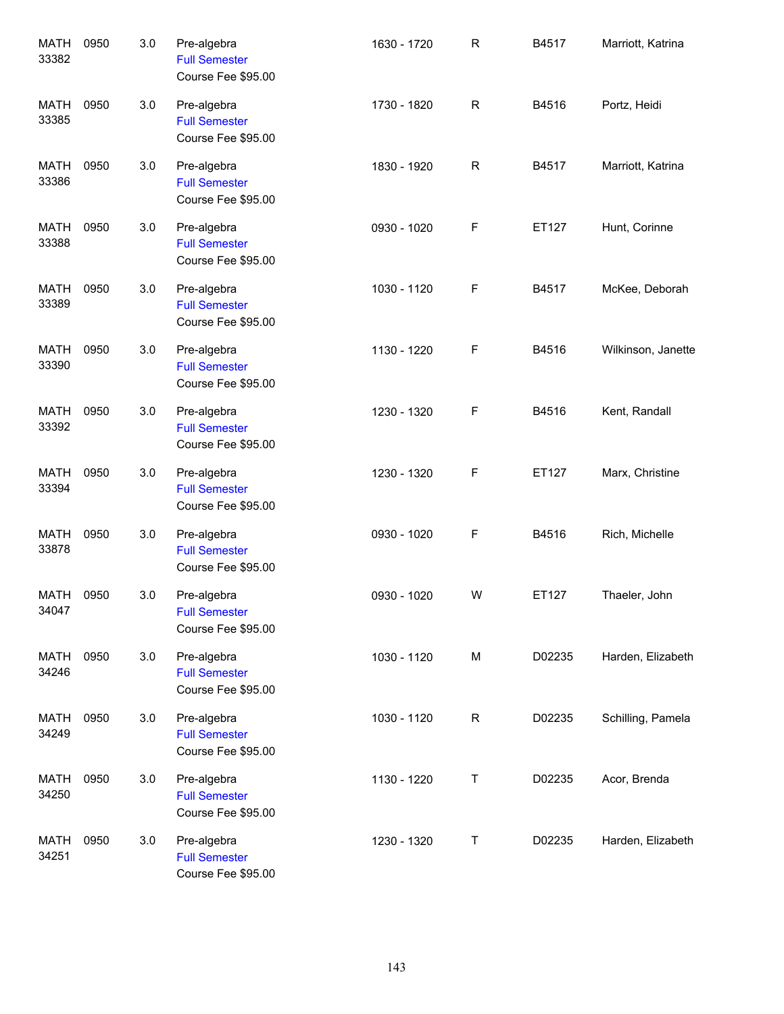| <b>MATH</b><br>33382 | 0950 | 3.0 | Pre-algebra<br><b>Full Semester</b><br>Course Fee \$95.00 | 1630 - 1720 | $\mathsf{R}$ | B4517  | Marriott, Katrina  |
|----------------------|------|-----|-----------------------------------------------------------|-------------|--------------|--------|--------------------|
| <b>MATH</b><br>33385 | 0950 | 3.0 | Pre-algebra<br><b>Full Semester</b><br>Course Fee \$95.00 | 1730 - 1820 | $\mathsf{R}$ | B4516  | Portz, Heidi       |
| <b>MATH</b><br>33386 | 0950 | 3.0 | Pre-algebra<br><b>Full Semester</b><br>Course Fee \$95.00 | 1830 - 1920 | $\mathsf{R}$ | B4517  | Marriott, Katrina  |
| <b>MATH</b><br>33388 | 0950 | 3.0 | Pre-algebra<br><b>Full Semester</b><br>Course Fee \$95.00 | 0930 - 1020 | F            | ET127  | Hunt, Corinne      |
| <b>MATH</b><br>33389 | 0950 | 3.0 | Pre-algebra<br><b>Full Semester</b><br>Course Fee \$95.00 | 1030 - 1120 | F            | B4517  | McKee, Deborah     |
| <b>MATH</b><br>33390 | 0950 | 3.0 | Pre-algebra<br><b>Full Semester</b><br>Course Fee \$95.00 | 1130 - 1220 | F            | B4516  | Wilkinson, Janette |
| MATH<br>33392        | 0950 | 3.0 | Pre-algebra<br><b>Full Semester</b><br>Course Fee \$95.00 | 1230 - 1320 | F            | B4516  | Kent, Randall      |
| MATH<br>33394        | 0950 | 3.0 | Pre-algebra<br><b>Full Semester</b><br>Course Fee \$95.00 | 1230 - 1320 | F            | ET127  | Marx, Christine    |
| <b>MATH</b><br>33878 | 0950 | 3.0 | Pre-algebra<br><b>Full Semester</b><br>Course Fee \$95.00 | 0930 - 1020 | F            | B4516  | Rich, Michelle     |
| MATH<br>34047        | 0950 | 3.0 | Pre-algebra<br><b>Full Semester</b><br>Course Fee \$95.00 | 0930 - 1020 | W            | ET127  | Thaeler, John      |
| <b>MATH</b><br>34246 | 0950 | 3.0 | Pre-algebra<br><b>Full Semester</b><br>Course Fee \$95.00 | 1030 - 1120 | M            | D02235 | Harden, Elizabeth  |
| MATH<br>34249        | 0950 | 3.0 | Pre-algebra<br><b>Full Semester</b><br>Course Fee \$95.00 | 1030 - 1120 | R            | D02235 | Schilling, Pamela  |
| MATH<br>34250        | 0950 | 3.0 | Pre-algebra<br><b>Full Semester</b><br>Course Fee \$95.00 | 1130 - 1220 | Т            | D02235 | Acor, Brenda       |
| MATH<br>34251        | 0950 | 3.0 | Pre-algebra<br><b>Full Semester</b><br>Course Fee \$95.00 | 1230 - 1320 | Т            | D02235 | Harden, Elizabeth  |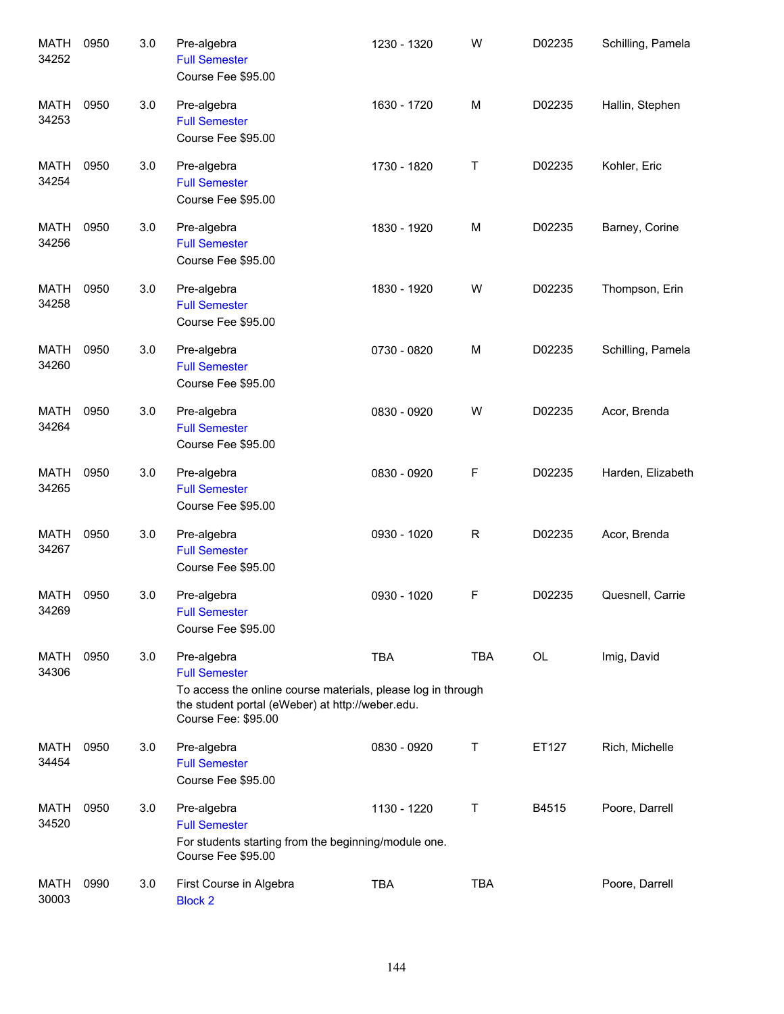| <b>MATH</b><br>34252 | 0950 | 3.0 | Pre-algebra<br><b>Full Semester</b><br>Course Fee \$95.00                                                                                                                      | 1230 - 1320 | W          | D02235 | Schilling, Pamela |
|----------------------|------|-----|--------------------------------------------------------------------------------------------------------------------------------------------------------------------------------|-------------|------------|--------|-------------------|
| <b>MATH</b><br>34253 | 0950 | 3.0 | Pre-algebra<br><b>Full Semester</b><br>Course Fee \$95.00                                                                                                                      | 1630 - 1720 | M          | D02235 | Hallin, Stephen   |
| <b>MATH</b><br>34254 | 0950 | 3.0 | Pre-algebra<br><b>Full Semester</b><br>Course Fee \$95.00                                                                                                                      | 1730 - 1820 | Τ          | D02235 | Kohler, Eric      |
| MATH<br>34256        | 0950 | 3.0 | Pre-algebra<br><b>Full Semester</b><br>Course Fee \$95.00                                                                                                                      | 1830 - 1920 | M          | D02235 | Barney, Corine    |
| MATH<br>34258        | 0950 | 3.0 | Pre-algebra<br><b>Full Semester</b><br>Course Fee \$95.00                                                                                                                      | 1830 - 1920 | W          | D02235 | Thompson, Erin    |
| <b>MATH</b><br>34260 | 0950 | 3.0 | Pre-algebra<br><b>Full Semester</b><br>Course Fee \$95.00                                                                                                                      | 0730 - 0820 | M          | D02235 | Schilling, Pamela |
| MATH<br>34264        | 0950 | 3.0 | Pre-algebra<br><b>Full Semester</b><br>Course Fee \$95.00                                                                                                                      | 0830 - 0920 | W          | D02235 | Acor, Brenda      |
| MATH<br>34265        | 0950 | 3.0 | Pre-algebra<br><b>Full Semester</b><br>Course Fee \$95.00                                                                                                                      | 0830 - 0920 | F          | D02235 | Harden, Elizabeth |
| MATH<br>34267        | 0950 | 3.0 | Pre-algebra<br><b>Full Semester</b><br>Course Fee \$95.00                                                                                                                      | 0930 - 1020 | R          | D02235 | Acor, Brenda      |
| MATH<br>34269        | 0950 | 3.0 | Pre-algebra<br><b>Full Semester</b><br>Course Fee \$95.00                                                                                                                      | 0930 - 1020 | F          | D02235 | Quesnell, Carrie  |
| MATH<br>34306        | 0950 | 3.0 | Pre-algebra<br><b>Full Semester</b><br>To access the online course materials, please log in through<br>the student portal (eWeber) at http://weber.edu.<br>Course Fee: \$95.00 | <b>TBA</b>  | TBA        | OL     | Imig, David       |
| MATH<br>34454        | 0950 | 3.0 | Pre-algebra<br><b>Full Semester</b><br>Course Fee \$95.00                                                                                                                      | 0830 - 0920 | T          | ET127  | Rich, Michelle    |
| MATH<br>34520        | 0950 | 3.0 | Pre-algebra<br><b>Full Semester</b><br>For students starting from the beginning/module one.<br>Course Fee \$95.00                                                              | 1130 - 1220 | Τ          | B4515  | Poore, Darrell    |
| <b>MATH</b><br>30003 | 0990 | 3.0 | First Course in Algebra<br><b>Block 2</b>                                                                                                                                      | <b>TBA</b>  | <b>TBA</b> |        | Poore, Darrell    |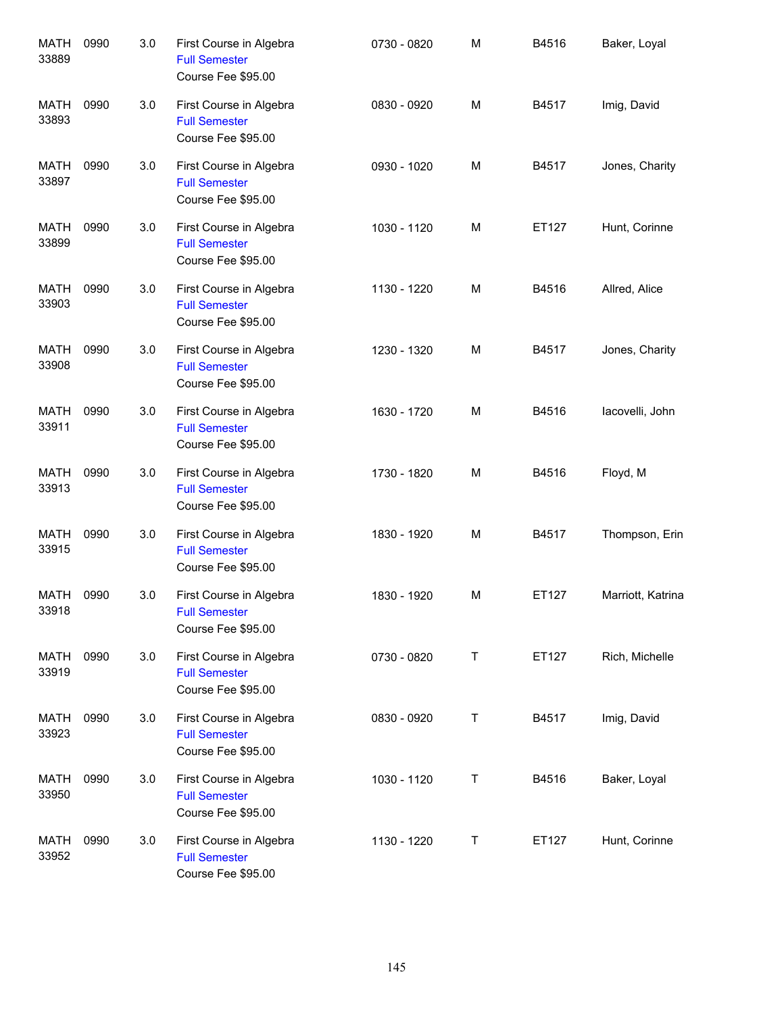| <b>MATH</b><br>33889 | 0990 | 3.0 | First Course in Algebra<br><b>Full Semester</b><br>Course Fee \$95.00 | 0730 - 0820 | M | B4516 | Baker, Loyal      |
|----------------------|------|-----|-----------------------------------------------------------------------|-------------|---|-------|-------------------|
| MATH<br>33893        | 0990 | 3.0 | First Course in Algebra<br><b>Full Semester</b><br>Course Fee \$95.00 | 0830 - 0920 | M | B4517 | Imig, David       |
| MATH<br>33897        | 0990 | 3.0 | First Course in Algebra<br><b>Full Semester</b><br>Course Fee \$95.00 | 0930 - 1020 | M | B4517 | Jones, Charity    |
| MATH<br>33899        | 0990 | 3.0 | First Course in Algebra<br><b>Full Semester</b><br>Course Fee \$95.00 | 1030 - 1120 | M | ET127 | Hunt, Corinne     |
| <b>MATH</b><br>33903 | 0990 | 3.0 | First Course in Algebra<br><b>Full Semester</b><br>Course Fee \$95.00 | 1130 - 1220 | M | B4516 | Allred, Alice     |
| MATH<br>33908        | 0990 | 3.0 | First Course in Algebra<br><b>Full Semester</b><br>Course Fee \$95.00 | 1230 - 1320 | M | B4517 | Jones, Charity    |
| MATH<br>33911        | 0990 | 3.0 | First Course in Algebra<br><b>Full Semester</b><br>Course Fee \$95.00 | 1630 - 1720 | M | B4516 | lacovelli, John   |
| MATH<br>33913        | 0990 | 3.0 | First Course in Algebra<br><b>Full Semester</b><br>Course Fee \$95.00 | 1730 - 1820 | M | B4516 | Floyd, M          |
| MATH<br>33915        | 0990 | 3.0 | First Course in Algebra<br><b>Full Semester</b><br>Course Fee \$95.00 | 1830 - 1920 | M | B4517 | Thompson, Erin    |
| <b>MATH</b><br>33918 | 0990 | 3.0 | First Course in Algebra<br><b>Full Semester</b><br>Course Fee \$95.00 | 1830 - 1920 | M | ET127 | Marriott, Katrina |
| MATH<br>33919        | 0990 | 3.0 | First Course in Algebra<br><b>Full Semester</b><br>Course Fee \$95.00 | 0730 - 0820 | Τ | ET127 | Rich, Michelle    |
| MATH<br>33923        | 0990 | 3.0 | First Course in Algebra<br><b>Full Semester</b><br>Course Fee \$95.00 | 0830 - 0920 | Τ | B4517 | Imig, David       |
| MATH<br>33950        | 0990 | 3.0 | First Course in Algebra<br><b>Full Semester</b><br>Course Fee \$95.00 | 1030 - 1120 | Τ | B4516 | Baker, Loyal      |
| MATH<br>33952        | 0990 | 3.0 | First Course in Algebra<br><b>Full Semester</b><br>Course Fee \$95.00 | 1130 - 1220 | Τ | ET127 | Hunt, Corinne     |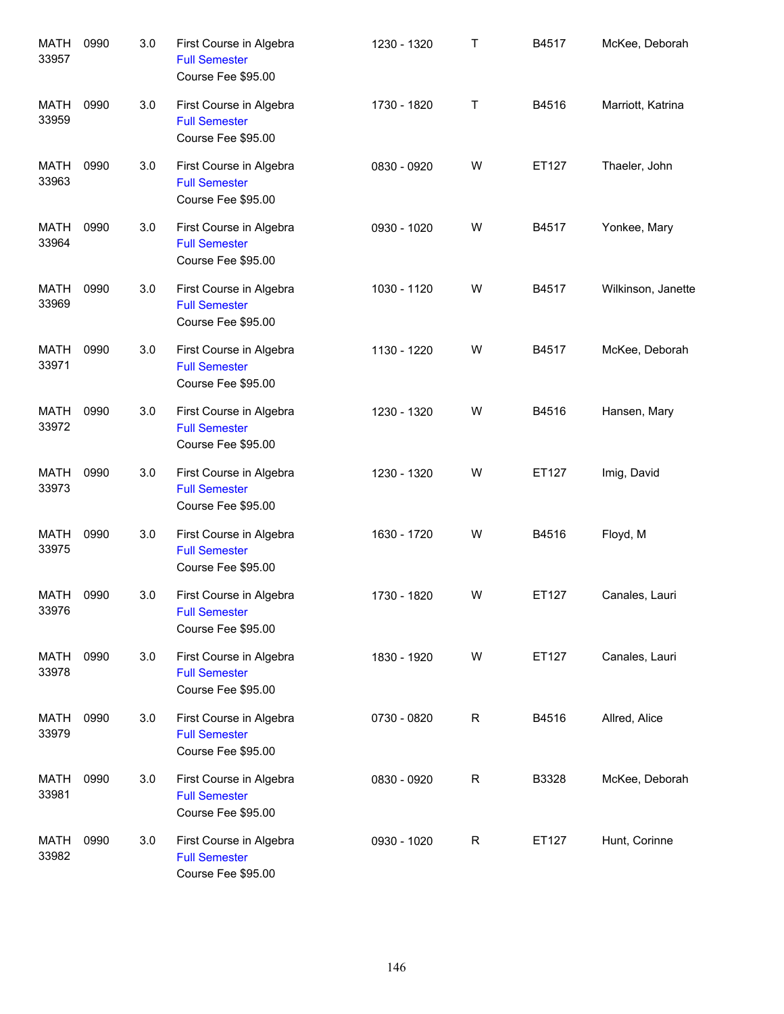| <b>MATH</b><br>33957 | 0990 | 3.0 | First Course in Algebra<br><b>Full Semester</b><br>Course Fee \$95.00 | 1230 - 1320 | Τ | B4517 | McKee, Deborah     |
|----------------------|------|-----|-----------------------------------------------------------------------|-------------|---|-------|--------------------|
| <b>MATH</b><br>33959 | 0990 | 3.0 | First Course in Algebra<br><b>Full Semester</b><br>Course Fee \$95.00 | 1730 - 1820 | Τ | B4516 | Marriott, Katrina  |
| <b>MATH</b><br>33963 | 0990 | 3.0 | First Course in Algebra<br><b>Full Semester</b><br>Course Fee \$95.00 | 0830 - 0920 | W | ET127 | Thaeler, John      |
| MATH<br>33964        | 0990 | 3.0 | First Course in Algebra<br><b>Full Semester</b><br>Course Fee \$95.00 | 0930 - 1020 | W | B4517 | Yonkee, Mary       |
| <b>MATH</b><br>33969 | 0990 | 3.0 | First Course in Algebra<br><b>Full Semester</b><br>Course Fee \$95.00 | 1030 - 1120 | W | B4517 | Wilkinson, Janette |
| MATH<br>33971        | 0990 | 3.0 | First Course in Algebra<br><b>Full Semester</b><br>Course Fee \$95.00 | 1130 - 1220 | W | B4517 | McKee, Deborah     |
| MATH<br>33972        | 0990 | 3.0 | First Course in Algebra<br><b>Full Semester</b><br>Course Fee \$95.00 | 1230 - 1320 | W | B4516 | Hansen, Mary       |
| MATH<br>33973        | 0990 | 3.0 | First Course in Algebra<br><b>Full Semester</b><br>Course Fee \$95.00 | 1230 - 1320 | W | ET127 | Imig, David        |
| MATH<br>33975        | 0990 | 3.0 | First Course in Algebra<br><b>Full Semester</b><br>Course Fee \$95.00 | 1630 - 1720 | W | B4516 | Floyd, M           |
| MATH<br>33976        | 0990 | 3.0 | First Course in Algebra<br><b>Full Semester</b><br>Course Fee \$95.00 | 1730 - 1820 | W | ET127 | Canales, Lauri     |
| <b>MATH</b><br>33978 | 0990 | 3.0 | First Course in Algebra<br><b>Full Semester</b><br>Course Fee \$95.00 | 1830 - 1920 | W | ET127 | Canales, Lauri     |
| MATH<br>33979        | 0990 | 3.0 | First Course in Algebra<br><b>Full Semester</b><br>Course Fee \$95.00 | 0730 - 0820 | R | B4516 | Allred, Alice      |
| MATH<br>33981        | 0990 | 3.0 | First Course in Algebra<br><b>Full Semester</b><br>Course Fee \$95.00 | 0830 - 0920 | R | B3328 | McKee, Deborah     |
| MATH<br>33982        | 0990 | 3.0 | First Course in Algebra<br><b>Full Semester</b><br>Course Fee \$95.00 | 0930 - 1020 | R | ET127 | Hunt, Corinne      |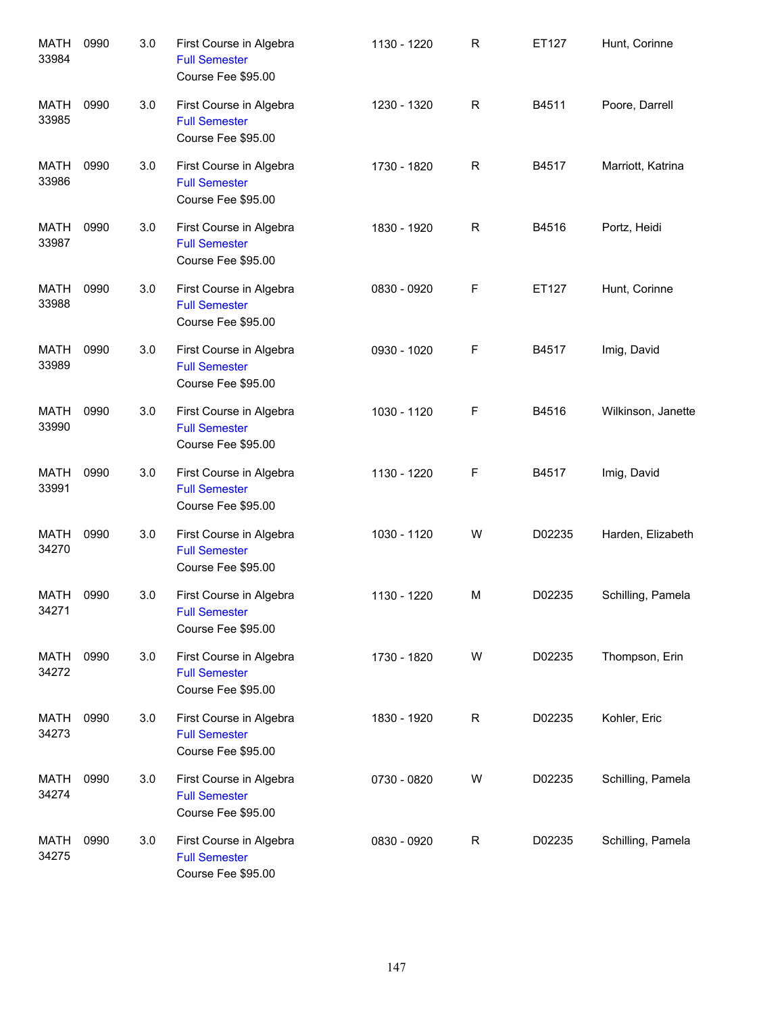| <b>MATH</b><br>33984 | 0990 | 3.0 | First Course in Algebra<br><b>Full Semester</b><br>Course Fee \$95.00 | 1130 - 1220 | $\mathsf{R}$ | ET127  | Hunt, Corinne      |
|----------------------|------|-----|-----------------------------------------------------------------------|-------------|--------------|--------|--------------------|
| <b>MATH</b><br>33985 | 0990 | 3.0 | First Course in Algebra<br><b>Full Semester</b><br>Course Fee \$95.00 | 1230 - 1320 | R            | B4511  | Poore, Darrell     |
| MATH<br>33986        | 0990 | 3.0 | First Course in Algebra<br><b>Full Semester</b><br>Course Fee \$95.00 | 1730 - 1820 | R            | B4517  | Marriott, Katrina  |
| MATH<br>33987        | 0990 | 3.0 | First Course in Algebra<br><b>Full Semester</b><br>Course Fee \$95.00 | 1830 - 1920 | R            | B4516  | Portz, Heidi       |
| MATH<br>33988        | 0990 | 3.0 | First Course in Algebra<br><b>Full Semester</b><br>Course Fee \$95.00 | 0830 - 0920 | F            | ET127  | Hunt, Corinne      |
| MATH<br>33989        | 0990 | 3.0 | First Course in Algebra<br><b>Full Semester</b><br>Course Fee \$95.00 | 0930 - 1020 | F            | B4517  | Imig, David        |
| MATH<br>33990        | 0990 | 3.0 | First Course in Algebra<br><b>Full Semester</b><br>Course Fee \$95.00 | 1030 - 1120 | F            | B4516  | Wilkinson, Janette |
| MATH<br>33991        | 0990 | 3.0 | First Course in Algebra<br><b>Full Semester</b><br>Course Fee \$95.00 | 1130 - 1220 | F            | B4517  | Imig, David        |
| MATH<br>34270        | 0990 | 3.0 | First Course in Algebra<br><b>Full Semester</b><br>Course Fee \$95.00 | 1030 - 1120 | W            | D02235 | Harden, Elizabeth  |
| MATH<br>34271        | 0990 | 3.0 | First Course in Algebra<br><b>Full Semester</b><br>Course Fee \$95.00 | 1130 - 1220 | M            | D02235 | Schilling, Pamela  |
| MATH<br>34272        | 0990 | 3.0 | First Course in Algebra<br><b>Full Semester</b><br>Course Fee \$95.00 | 1730 - 1820 | W            | D02235 | Thompson, Erin     |
| MATH<br>34273        | 0990 | 3.0 | First Course in Algebra<br><b>Full Semester</b><br>Course Fee \$95.00 | 1830 - 1920 | R            | D02235 | Kohler, Eric       |
| MATH<br>34274        | 0990 | 3.0 | First Course in Algebra<br><b>Full Semester</b><br>Course Fee \$95.00 | 0730 - 0820 | W            | D02235 | Schilling, Pamela  |
| MATH<br>34275        | 0990 | 3.0 | First Course in Algebra<br><b>Full Semester</b><br>Course Fee \$95.00 | 0830 - 0920 | R            | D02235 | Schilling, Pamela  |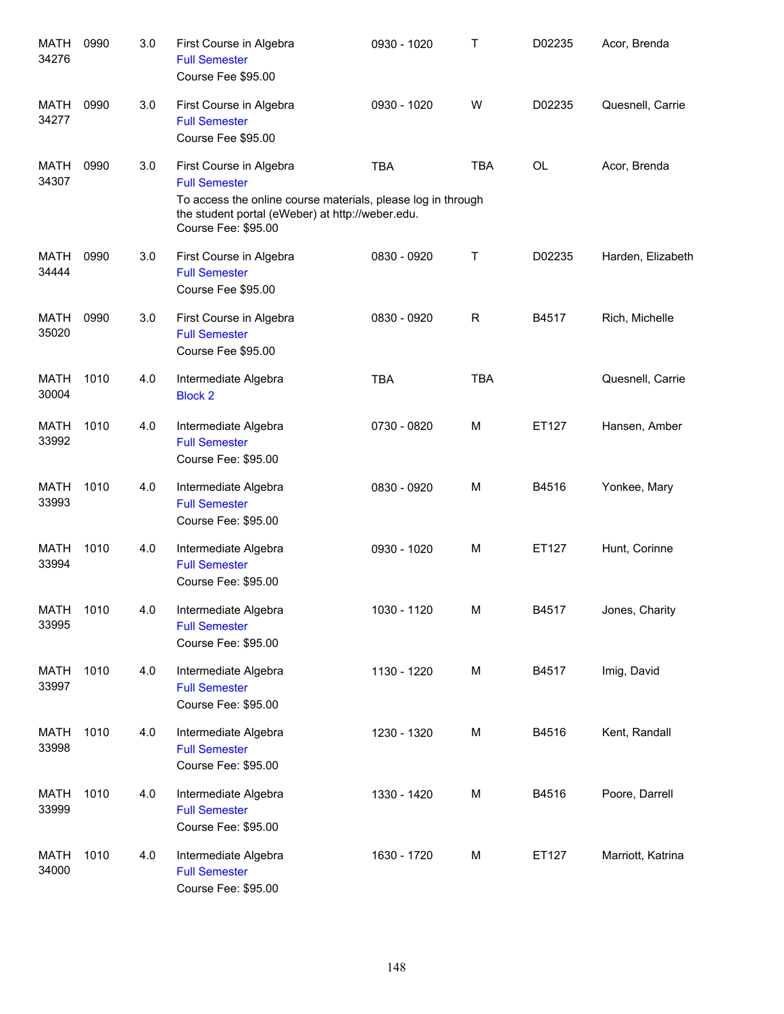| <b>MATH</b><br>34276 | 0990 | 3.0 | First Course in Algebra<br><b>Full Semester</b><br>Course Fee \$95.00                                                                                                                      | 0930 - 1020 | т           | D02235    | Acor, Brenda      |
|----------------------|------|-----|--------------------------------------------------------------------------------------------------------------------------------------------------------------------------------------------|-------------|-------------|-----------|-------------------|
| <b>MATH</b><br>34277 | 0990 | 3.0 | First Course in Algebra<br><b>Full Semester</b><br>Course Fee \$95.00                                                                                                                      | 0930 - 1020 | W           | D02235    | Quesnell, Carrie  |
| <b>MATH</b><br>34307 | 0990 | 3.0 | First Course in Algebra<br><b>Full Semester</b><br>To access the online course materials, please log in through<br>the student portal (eWeber) at http://weber.edu.<br>Course Fee: \$95.00 | <b>TBA</b>  | <b>TBA</b>  | <b>OL</b> | Acor, Brenda      |
| <b>MATH</b><br>34444 | 0990 | 3.0 | First Course in Algebra<br><b>Full Semester</b><br>Course Fee \$95.00                                                                                                                      | 0830 - 0920 | Т           | D02235    | Harden, Elizabeth |
| <b>MATH</b><br>35020 | 0990 | 3.0 | First Course in Algebra<br><b>Full Semester</b><br>Course Fee \$95.00                                                                                                                      | 0830 - 0920 | $\mathsf R$ | B4517     | Rich, Michelle    |
| <b>MATH</b><br>30004 | 1010 | 4.0 | Intermediate Algebra<br><b>Block 2</b>                                                                                                                                                     | <b>TBA</b>  | <b>TBA</b>  |           | Quesnell, Carrie  |
| <b>MATH</b><br>33992 | 1010 | 4.0 | Intermediate Algebra<br><b>Full Semester</b><br>Course Fee: \$95.00                                                                                                                        | 0730 - 0820 | M           | ET127     | Hansen, Amber     |
| <b>MATH</b><br>33993 | 1010 | 4.0 | Intermediate Algebra<br><b>Full Semester</b><br>Course Fee: \$95.00                                                                                                                        | 0830 - 0920 | M           | B4516     | Yonkee, Mary      |
| <b>MATH</b><br>33994 | 1010 | 4.0 | Intermediate Algebra<br><b>Full Semester</b><br>Course Fee: \$95.00                                                                                                                        | 0930 - 1020 | M           | ET127     | Hunt, Corinne     |
| <b>MATH</b><br>33995 | 1010 | 4.0 | Intermediate Algebra<br><b>Full Semester</b><br>Course Fee: \$95.00                                                                                                                        | 1030 - 1120 | M           | B4517     | Jones, Charity    |
| <b>MATH</b><br>33997 | 1010 | 4.0 | Intermediate Algebra<br><b>Full Semester</b><br>Course Fee: \$95.00                                                                                                                        | 1130 - 1220 | М           | B4517     | Imig, David       |
| MATH<br>33998        | 1010 | 4.0 | Intermediate Algebra<br><b>Full Semester</b><br>Course Fee: \$95.00                                                                                                                        | 1230 - 1320 | M           | B4516     | Kent, Randall     |
| MATH<br>33999        | 1010 | 4.0 | Intermediate Algebra<br><b>Full Semester</b><br>Course Fee: \$95.00                                                                                                                        | 1330 - 1420 | M           | B4516     | Poore, Darrell    |
| <b>MATH</b><br>34000 | 1010 | 4.0 | Intermediate Algebra<br><b>Full Semester</b><br>Course Fee: \$95.00                                                                                                                        | 1630 - 1720 | М           | ET127     | Marriott, Katrina |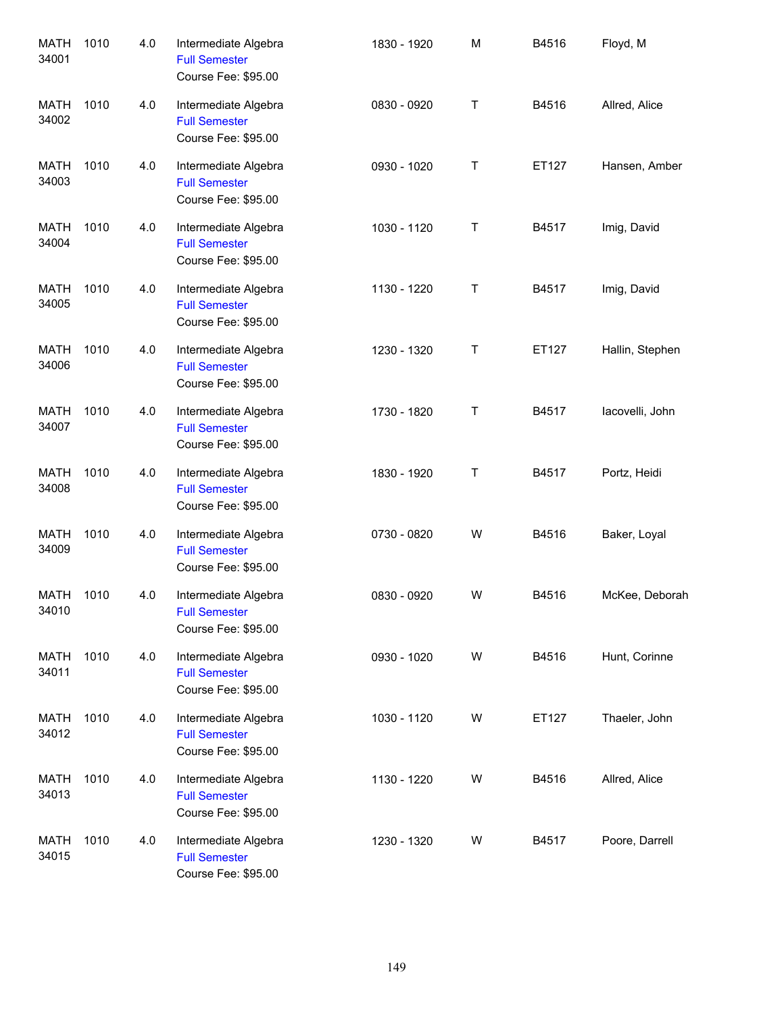| <b>MATH</b><br>34001 | 1010 | 4.0 | Intermediate Algebra<br><b>Full Semester</b><br>Course Fee: \$95.00 | 1830 - 1920 | M | B4516 | Floyd, M        |
|----------------------|------|-----|---------------------------------------------------------------------|-------------|---|-------|-----------------|
| MATH<br>34002        | 1010 | 4.0 | Intermediate Algebra<br><b>Full Semester</b><br>Course Fee: \$95.00 | 0830 - 0920 | T | B4516 | Allred, Alice   |
| <b>MATH</b><br>34003 | 1010 | 4.0 | Intermediate Algebra<br><b>Full Semester</b><br>Course Fee: \$95.00 | 0930 - 1020 | T | ET127 | Hansen, Amber   |
| MATH<br>34004        | 1010 | 4.0 | Intermediate Algebra<br><b>Full Semester</b><br>Course Fee: \$95.00 | 1030 - 1120 | T | B4517 | Imig, David     |
| MATH<br>34005        | 1010 | 4.0 | Intermediate Algebra<br><b>Full Semester</b><br>Course Fee: \$95.00 | 1130 - 1220 | T | B4517 | Imig, David     |
| MATH<br>34006        | 1010 | 4.0 | Intermediate Algebra<br><b>Full Semester</b><br>Course Fee: \$95.00 | 1230 - 1320 | T | ET127 | Hallin, Stephen |
| MATH<br>34007        | 1010 | 4.0 | Intermediate Algebra<br><b>Full Semester</b><br>Course Fee: \$95.00 | 1730 - 1820 | T | B4517 | lacovelli, John |
| MATH<br>34008        | 1010 | 4.0 | Intermediate Algebra<br><b>Full Semester</b><br>Course Fee: \$95.00 | 1830 - 1920 | T | B4517 | Portz, Heidi    |
| MATH<br>34009        | 1010 | 4.0 | Intermediate Algebra<br><b>Full Semester</b><br>Course Fee: \$95.00 | 0730 - 0820 | W | B4516 | Baker, Loyal    |
| MATH<br>34010        | 1010 | 4.0 | Intermediate Algebra<br><b>Full Semester</b><br>Course Fee: \$95.00 | 0830 - 0920 | W | B4516 | McKee, Deborah  |
| <b>MATH</b><br>34011 | 1010 | 4.0 | Intermediate Algebra<br><b>Full Semester</b><br>Course Fee: \$95.00 | 0930 - 1020 | W | B4516 | Hunt, Corinne   |
| <b>MATH</b><br>34012 | 1010 | 4.0 | Intermediate Algebra<br><b>Full Semester</b><br>Course Fee: \$95.00 | 1030 - 1120 | W | ET127 | Thaeler, John   |
| <b>MATH</b><br>34013 | 1010 | 4.0 | Intermediate Algebra<br><b>Full Semester</b><br>Course Fee: \$95.00 | 1130 - 1220 | W | B4516 | Allred, Alice   |
| <b>MATH</b><br>34015 | 1010 | 4.0 | Intermediate Algebra<br><b>Full Semester</b><br>Course Fee: \$95.00 | 1230 - 1320 | W | B4517 | Poore, Darrell  |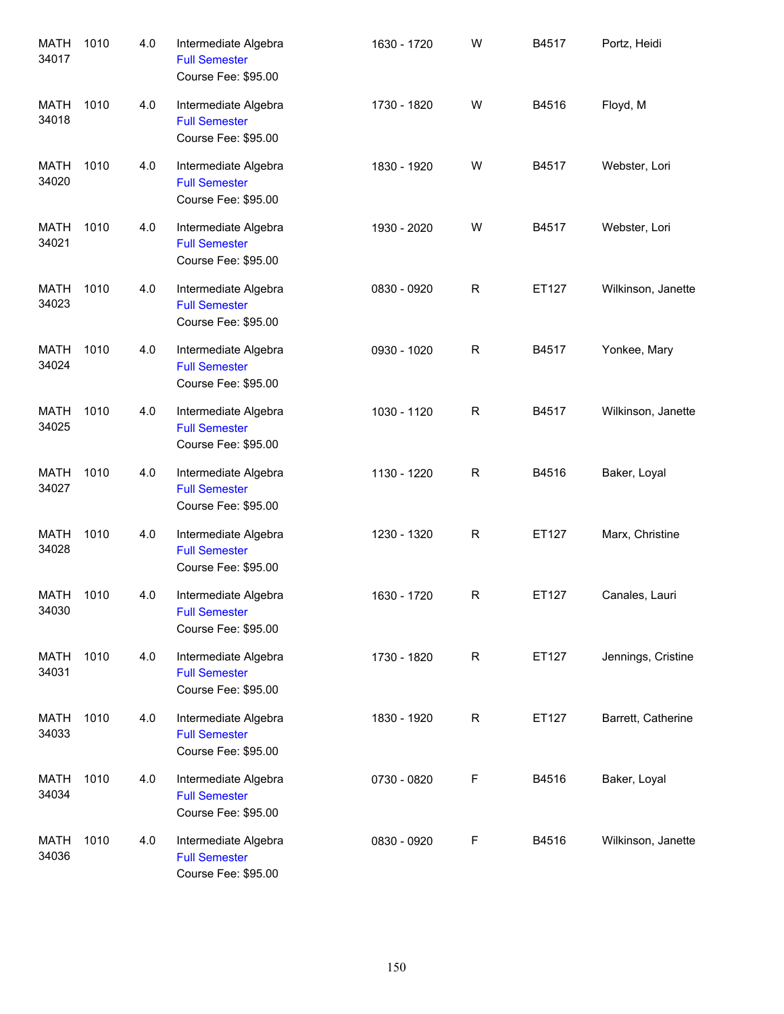| <b>MATH</b><br>34017 | 1010 | 4.0 | Intermediate Algebra<br><b>Full Semester</b><br>Course Fee: \$95.00 | 1630 - 1720 | W           | B4517 | Portz, Heidi       |
|----------------------|------|-----|---------------------------------------------------------------------|-------------|-------------|-------|--------------------|
| <b>MATH</b><br>34018 | 1010 | 4.0 | Intermediate Algebra<br><b>Full Semester</b><br>Course Fee: \$95.00 | 1730 - 1820 | W           | B4516 | Floyd, M           |
| <b>MATH</b><br>34020 | 1010 | 4.0 | Intermediate Algebra<br><b>Full Semester</b><br>Course Fee: \$95.00 | 1830 - 1920 | W           | B4517 | Webster, Lori      |
| MATH<br>34021        | 1010 | 4.0 | Intermediate Algebra<br><b>Full Semester</b><br>Course Fee: \$95.00 | 1930 - 2020 | W           | B4517 | Webster, Lori      |
| MATH<br>34023        | 1010 | 4.0 | Intermediate Algebra<br><b>Full Semester</b><br>Course Fee: \$95.00 | 0830 - 0920 | R           | ET127 | Wilkinson, Janette |
| MATH<br>34024        | 1010 | 4.0 | Intermediate Algebra<br><b>Full Semester</b><br>Course Fee: \$95.00 | 0930 - 1020 | $\mathsf R$ | B4517 | Yonkee, Mary       |
| MATH<br>34025        | 1010 | 4.0 | Intermediate Algebra<br><b>Full Semester</b><br>Course Fee: \$95.00 | 1030 - 1120 | $\mathsf R$ | B4517 | Wilkinson, Janette |
| MATH<br>34027        | 1010 | 4.0 | Intermediate Algebra<br><b>Full Semester</b><br>Course Fee: \$95.00 | 1130 - 1220 | $\mathsf R$ | B4516 | Baker, Loyal       |
| MATH<br>34028        | 1010 | 4.0 | Intermediate Algebra<br><b>Full Semester</b><br>Course Fee: \$95.00 | 1230 - 1320 | $\mathsf R$ | ET127 | Marx, Christine    |
| MATH<br>34030        | 1010 | 4.0 | Intermediate Algebra<br><b>Full Semester</b><br>Course Fee: \$95.00 | 1630 - 1720 | R           | ET127 | Canales, Lauri     |
| MATH<br>34031        | 1010 | 4.0 | Intermediate Algebra<br><b>Full Semester</b><br>Course Fee: \$95.00 | 1730 - 1820 | $\mathsf R$ | ET127 | Jennings, Cristine |
| <b>MATH</b><br>34033 | 1010 | 4.0 | Intermediate Algebra<br><b>Full Semester</b><br>Course Fee: \$95.00 | 1830 - 1920 | $\mathsf R$ | ET127 | Barrett, Catherine |
| MATH<br>34034        | 1010 | 4.0 | Intermediate Algebra<br><b>Full Semester</b><br>Course Fee: \$95.00 | 0730 - 0820 | F           | B4516 | Baker, Loyal       |
| MATH<br>34036        | 1010 | 4.0 | Intermediate Algebra<br><b>Full Semester</b><br>Course Fee: \$95.00 | 0830 - 0920 | F           | B4516 | Wilkinson, Janette |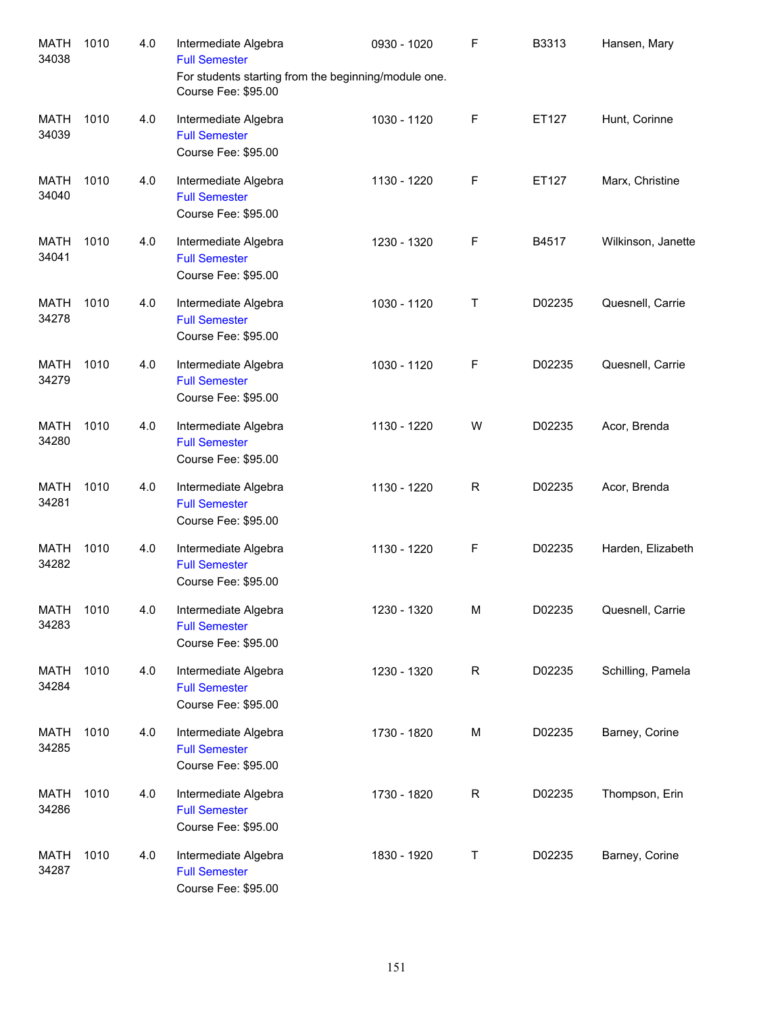| <b>MATH</b><br>34038 | 1010 | 4.0 | Intermediate Algebra<br><b>Full Semester</b><br>For students starting from the beginning/module one.<br>Course Fee: \$95.00 | 0930 - 1020 | F | B3313  | Hansen, Mary       |
|----------------------|------|-----|-----------------------------------------------------------------------------------------------------------------------------|-------------|---|--------|--------------------|
| <b>MATH</b><br>34039 | 1010 | 4.0 | Intermediate Algebra<br><b>Full Semester</b><br>Course Fee: \$95.00                                                         | 1030 - 1120 | F | ET127  | Hunt, Corinne      |
| <b>MATH</b><br>34040 | 1010 | 4.0 | Intermediate Algebra<br><b>Full Semester</b><br>Course Fee: \$95.00                                                         | 1130 - 1220 | F | ET127  | Marx, Christine    |
| <b>MATH</b><br>34041 | 1010 | 4.0 | Intermediate Algebra<br><b>Full Semester</b><br>Course Fee: \$95.00                                                         | 1230 - 1320 | F | B4517  | Wilkinson, Janette |
| <b>MATH</b><br>34278 | 1010 | 4.0 | Intermediate Algebra<br><b>Full Semester</b><br>Course Fee: \$95.00                                                         | 1030 - 1120 | Τ | D02235 | Quesnell, Carrie   |
| <b>MATH</b><br>34279 | 1010 | 4.0 | Intermediate Algebra<br><b>Full Semester</b><br>Course Fee: \$95.00                                                         | 1030 - 1120 | F | D02235 | Quesnell, Carrie   |
| <b>MATH</b><br>34280 | 1010 | 4.0 | Intermediate Algebra<br><b>Full Semester</b><br>Course Fee: \$95.00                                                         | 1130 - 1220 | W | D02235 | Acor, Brenda       |
| <b>MATH</b><br>34281 | 1010 | 4.0 | Intermediate Algebra<br><b>Full Semester</b><br>Course Fee: \$95.00                                                         | 1130 - 1220 | R | D02235 | Acor, Brenda       |
| <b>MATH</b><br>34282 | 1010 | 4.0 | Intermediate Algebra<br><b>Full Semester</b><br>Course Fee: \$95.00                                                         | 1130 - 1220 | F | D02235 | Harden, Elizabeth  |
| <b>MATH</b><br>34283 | 1010 | 4.0 | Intermediate Algebra<br><b>Full Semester</b><br>Course Fee: \$95.00                                                         | 1230 - 1320 | M | D02235 | Quesnell, Carrie   |
| <b>MATH</b><br>34284 | 1010 | 4.0 | Intermediate Algebra<br><b>Full Semester</b><br>Course Fee: \$95.00                                                         | 1230 - 1320 | R | D02235 | Schilling, Pamela  |
| MATH<br>34285        | 1010 | 4.0 | Intermediate Algebra<br><b>Full Semester</b><br>Course Fee: \$95.00                                                         | 1730 - 1820 | M | D02235 | Barney, Corine     |
| <b>MATH</b><br>34286 | 1010 | 4.0 | Intermediate Algebra<br><b>Full Semester</b><br>Course Fee: \$95.00                                                         | 1730 - 1820 | R | D02235 | Thompson, Erin     |
| MATH<br>34287        | 1010 | 4.0 | Intermediate Algebra<br><b>Full Semester</b><br>Course Fee: \$95.00                                                         | 1830 - 1920 | Т | D02235 | Barney, Corine     |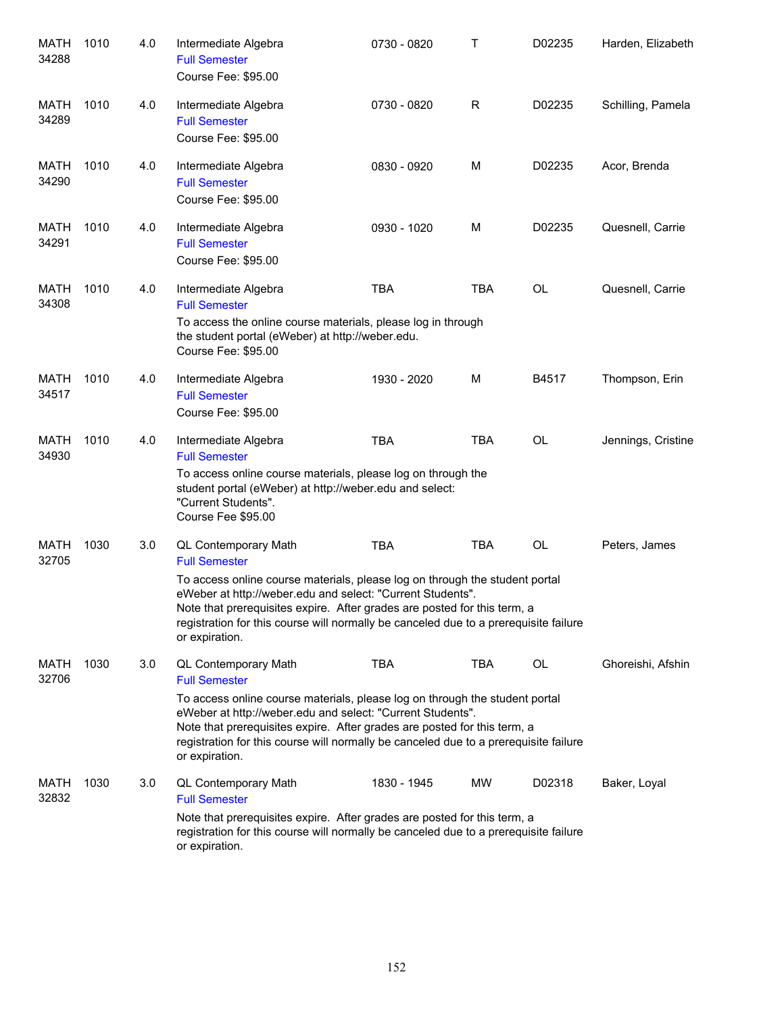| MATH<br>34288        | 1010 | 4.0 | Intermediate Algebra<br><b>Full Semester</b><br>Course Fee: \$95.00                                                                                                                                                                                                                                                                                                             | 0730 - 0820 | т          | D02235    | Harden, Elizabeth  |
|----------------------|------|-----|---------------------------------------------------------------------------------------------------------------------------------------------------------------------------------------------------------------------------------------------------------------------------------------------------------------------------------------------------------------------------------|-------------|------------|-----------|--------------------|
| MATH<br>34289        | 1010 | 4.0 | Intermediate Algebra<br><b>Full Semester</b><br>Course Fee: \$95.00                                                                                                                                                                                                                                                                                                             | 0730 - 0820 | R          | D02235    | Schilling, Pamela  |
| MATH<br>34290        | 1010 | 4.0 | Intermediate Algebra<br><b>Full Semester</b><br>Course Fee: \$95.00                                                                                                                                                                                                                                                                                                             | 0830 - 0920 | M          | D02235    | Acor, Brenda       |
| MATH<br>34291        | 1010 | 4.0 | Intermediate Algebra<br><b>Full Semester</b><br>Course Fee: \$95.00                                                                                                                                                                                                                                                                                                             | 0930 - 1020 | M          | D02235    | Quesnell, Carrie   |
| MATH<br>34308        | 1010 | 4.0 | Intermediate Algebra<br><b>Full Semester</b><br>To access the online course materials, please log in through<br>the student portal (eWeber) at http://weber.edu.<br>Course Fee: \$95.00                                                                                                                                                                                         | <b>TBA</b>  | <b>TBA</b> | <b>OL</b> | Quesnell, Carrie   |
| <b>MATH</b><br>34517 | 1010 | 4.0 | Intermediate Algebra<br><b>Full Semester</b><br>Course Fee: \$95.00                                                                                                                                                                                                                                                                                                             | 1930 - 2020 | M          | B4517     | Thompson, Erin     |
| <b>MATH</b><br>34930 | 1010 | 4.0 | Intermediate Algebra<br><b>Full Semester</b><br>To access online course materials, please log on through the<br>student portal (eWeber) at http://weber.edu and select:<br>"Current Students".<br>Course Fee \$95.00                                                                                                                                                            | <b>TBA</b>  | <b>TBA</b> | <b>OL</b> | Jennings, Cristine |
| <b>MATH</b><br>32705 | 1030 | 3.0 | QL Contemporary Math<br><b>Full Semester</b><br>To access online course materials, please log on through the student portal<br>eWeber at http://weber.edu and select: "Current Students".<br>Note that prerequisites expire. After grades are posted for this term, a<br>registration for this course will normally be canceled due to a prerequisite failure<br>or expiration. | <b>TBA</b>  | <b>TBA</b> | OL        | Peters, James      |
| MATH<br>32706        | 1030 | 3.0 | QL Contemporary Math<br><b>Full Semester</b><br>To access online course materials, please log on through the student portal<br>eWeber at http://weber.edu and select: "Current Students".<br>Note that prerequisites expire. After grades are posted for this term, a<br>registration for this course will normally be canceled due to a prerequisite failure<br>or expiration. | <b>TBA</b>  | <b>TBA</b> | OL        | Ghoreishi, Afshin  |
| MATH<br>32832        | 1030 | 3.0 | QL Contemporary Math<br><b>Full Semester</b><br>Note that prerequisites expire. After grades are posted for this term, a<br>registration for this course will normally be canceled due to a prerequisite failure<br>or expiration.                                                                                                                                              | 1830 - 1945 | MW         | D02318    | Baker, Loyal       |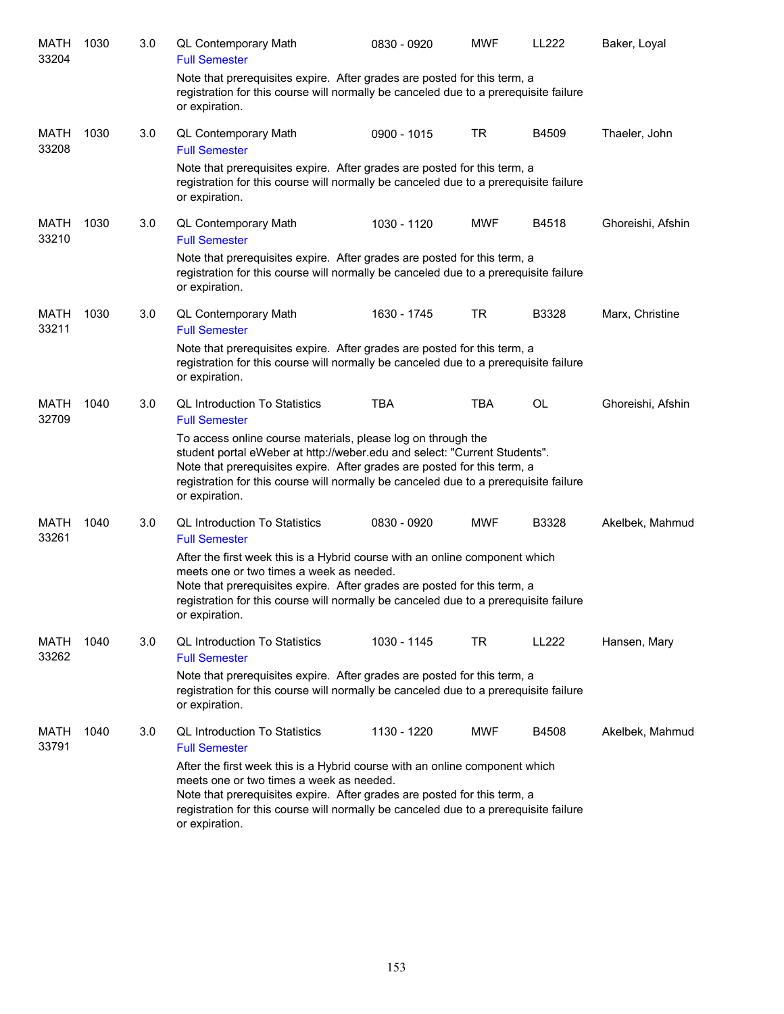| MATH<br>33204 | 1030 | 3.0 | QL Contemporary Math<br><b>Full Semester</b>                                                                                                                                                                                                                                                                                    | 0830 - 0920 | <b>MWF</b> | LL222 | Baker, Loyal      |
|---------------|------|-----|---------------------------------------------------------------------------------------------------------------------------------------------------------------------------------------------------------------------------------------------------------------------------------------------------------------------------------|-------------|------------|-------|-------------------|
|               |      |     | Note that prerequisites expire. After grades are posted for this term, a<br>registration for this course will normally be canceled due to a prerequisite failure<br>or expiration.                                                                                                                                              |             |            |       |                   |
| MATH<br>33208 | 1030 | 3.0 | QL Contemporary Math<br><b>Full Semester</b>                                                                                                                                                                                                                                                                                    | 0900 - 1015 | <b>TR</b>  | B4509 | Thaeler, John     |
|               |      |     | Note that prerequisites expire. After grades are posted for this term, a<br>registration for this course will normally be canceled due to a prerequisite failure<br>or expiration.                                                                                                                                              |             |            |       |                   |
| MATH<br>33210 | 1030 | 3.0 | QL Contemporary Math<br><b>Full Semester</b>                                                                                                                                                                                                                                                                                    | 1030 - 1120 | <b>MWF</b> | B4518 | Ghoreishi, Afshin |
|               |      |     | Note that prerequisites expire. After grades are posted for this term, a<br>registration for this course will normally be canceled due to a prerequisite failure<br>or expiration.                                                                                                                                              |             |            |       |                   |
| MATH<br>33211 | 1030 | 3.0 | <b>QL Contemporary Math</b><br><b>Full Semester</b>                                                                                                                                                                                                                                                                             | 1630 - 1745 | <b>TR</b>  | B3328 | Marx, Christine   |
|               |      |     | Note that prerequisites expire. After grades are posted for this term, a<br>registration for this course will normally be canceled due to a prerequisite failure<br>or expiration.                                                                                                                                              |             |            |       |                   |
| MATH<br>32709 | 1040 | 3.0 | <b>QL Introduction To Statistics</b><br><b>Full Semester</b>                                                                                                                                                                                                                                                                    | <b>TBA</b>  | <b>TBA</b> | OL    | Ghoreishi, Afshin |
|               |      |     | To access online course materials, please log on through the<br>student portal eWeber at http://weber.edu and select: "Current Students".<br>Note that prerequisites expire. After grades are posted for this term, a<br>registration for this course will normally be canceled due to a prerequisite failure<br>or expiration. |             |            |       |                   |
| MATH<br>33261 | 1040 | 3.0 | <b>QL Introduction To Statistics</b><br><b>Full Semester</b>                                                                                                                                                                                                                                                                    | 0830 - 0920 | <b>MWF</b> | B3328 | Akelbek, Mahmud   |
|               |      |     | After the first week this is a Hybrid course with an online component which<br>meets one or two times a week as needed.<br>Note that prerequisites expire. After grades are posted for this term, a<br>registration for this course will normally be canceled due to a prerequisite failure<br>or expiration.                   |             |            |       |                   |
| MATH<br>33262 | 1040 | 3.0 | <b>QL Introduction To Statistics</b><br><b>Full Semester</b>                                                                                                                                                                                                                                                                    | 1030 - 1145 | TR         | LL222 | Hansen, Mary      |
|               |      |     | Note that prerequisites expire. After grades are posted for this term, a<br>registration for this course will normally be canceled due to a prerequisite failure<br>or expiration.                                                                                                                                              |             |            |       |                   |
| MATH<br>33791 | 1040 | 3.0 | <b>QL Introduction To Statistics</b><br><b>Full Semester</b>                                                                                                                                                                                                                                                                    | 1130 - 1220 | <b>MWF</b> | B4508 | Akelbek, Mahmud   |
|               |      |     | After the first week this is a Hybrid course with an online component which<br>meets one or two times a week as needed.<br>Note that prerequisites expire. After grades are posted for this term, a<br>registration for this course will normally be canceled due to a prerequisite failure<br>or expiration.                   |             |            |       |                   |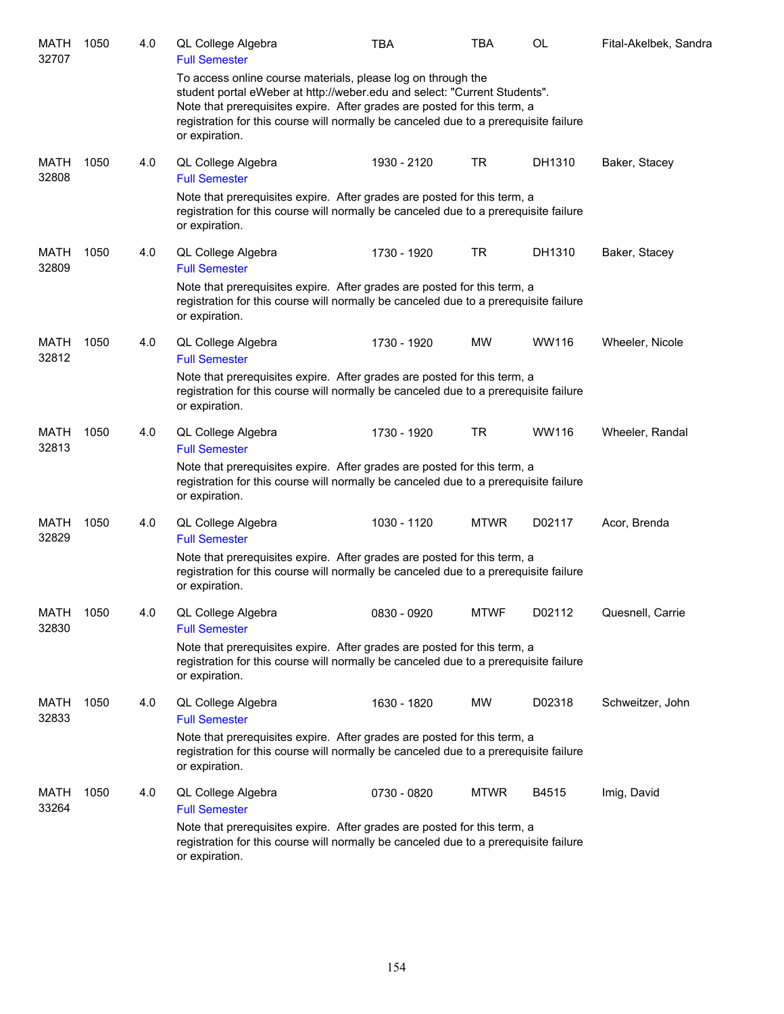| MATH<br>32707        | 1050 | 4.0 | QL College Algebra<br><b>Full Semester</b>                                                                                                                                                                                                                                                                                      | <b>TBA</b>  | TBA         | OL     | Fital-Akelbek, Sandra |
|----------------------|------|-----|---------------------------------------------------------------------------------------------------------------------------------------------------------------------------------------------------------------------------------------------------------------------------------------------------------------------------------|-------------|-------------|--------|-----------------------|
|                      |      |     | To access online course materials, please log on through the<br>student portal eWeber at http://weber.edu and select: "Current Students".<br>Note that prerequisites expire. After grades are posted for this term, a<br>registration for this course will normally be canceled due to a prerequisite failure<br>or expiration. |             |             |        |                       |
| MATH<br>32808        | 1050 | 4.0 | QL College Algebra<br><b>Full Semester</b>                                                                                                                                                                                                                                                                                      | 1930 - 2120 | TR          | DH1310 | Baker, Stacey         |
|                      |      |     | Note that prerequisites expire. After grades are posted for this term, a<br>registration for this course will normally be canceled due to a prerequisite failure<br>or expiration.                                                                                                                                              |             |             |        |                       |
| <b>MATH</b><br>32809 | 1050 | 4.0 | QL College Algebra<br><b>Full Semester</b>                                                                                                                                                                                                                                                                                      | 1730 - 1920 | TR          | DH1310 | Baker, Stacey         |
|                      |      |     | Note that prerequisites expire. After grades are posted for this term, a<br>registration for this course will normally be canceled due to a prerequisite failure<br>or expiration.                                                                                                                                              |             |             |        |                       |
| MATH<br>32812        | 1050 | 4.0 | QL College Algebra<br><b>Full Semester</b>                                                                                                                                                                                                                                                                                      | 1730 - 1920 | <b>MW</b>   | WW116  | Wheeler, Nicole       |
|                      |      |     | Note that prerequisites expire. After grades are posted for this term, a<br>registration for this course will normally be canceled due to a prerequisite failure<br>or expiration.                                                                                                                                              |             |             |        |                       |
| <b>MATH</b><br>32813 | 1050 | 4.0 | QL College Algebra<br><b>Full Semester</b>                                                                                                                                                                                                                                                                                      | 1730 - 1920 | TR          | WW116  | Wheeler, Randal       |
|                      |      |     | Note that prerequisites expire. After grades are posted for this term, a<br>registration for this course will normally be canceled due to a prerequisite failure<br>or expiration.                                                                                                                                              |             |             |        |                       |
| MATH<br>32829        | 1050 | 4.0 | QL College Algebra<br><b>Full Semester</b>                                                                                                                                                                                                                                                                                      | 1030 - 1120 | <b>MTWR</b> | D02117 | Acor, Brenda          |
|                      |      |     | Note that prerequisites expire. After grades are posted for this term, a<br>registration for this course will normally be canceled due to a prerequisite failure<br>or expiration.                                                                                                                                              |             |             |        |                       |
| <b>MATH</b><br>32830 | 1050 | 4.0 | QL College Algebra<br><b>Full Semester</b>                                                                                                                                                                                                                                                                                      | 0830 - 0920 | <b>MTWF</b> | D02112 | Quesnell, Carrie      |
|                      |      |     | Note that prerequisites expire. After grades are posted for this term, a<br>registration for this course will normally be canceled due to a prerequisite failure<br>or expiration.                                                                                                                                              |             |             |        |                       |
| MATH<br>32833        | 1050 | 4.0 | QL College Algebra<br><b>Full Semester</b>                                                                                                                                                                                                                                                                                      | 1630 - 1820 | MW          | D02318 | Schweitzer, John      |
|                      |      |     | Note that prerequisites expire. After grades are posted for this term, a<br>registration for this course will normally be canceled due to a prerequisite failure<br>or expiration.                                                                                                                                              |             |             |        |                       |
| MATH<br>33264        | 1050 | 4.0 | QL College Algebra<br><b>Full Semester</b>                                                                                                                                                                                                                                                                                      | 0730 - 0820 | <b>MTWR</b> | B4515  | Imig, David           |
|                      |      |     | Note that prerequisites expire. After grades are posted for this term, a<br>registration for this course will normally be canceled due to a prerequisite failure<br>or expiration.                                                                                                                                              |             |             |        |                       |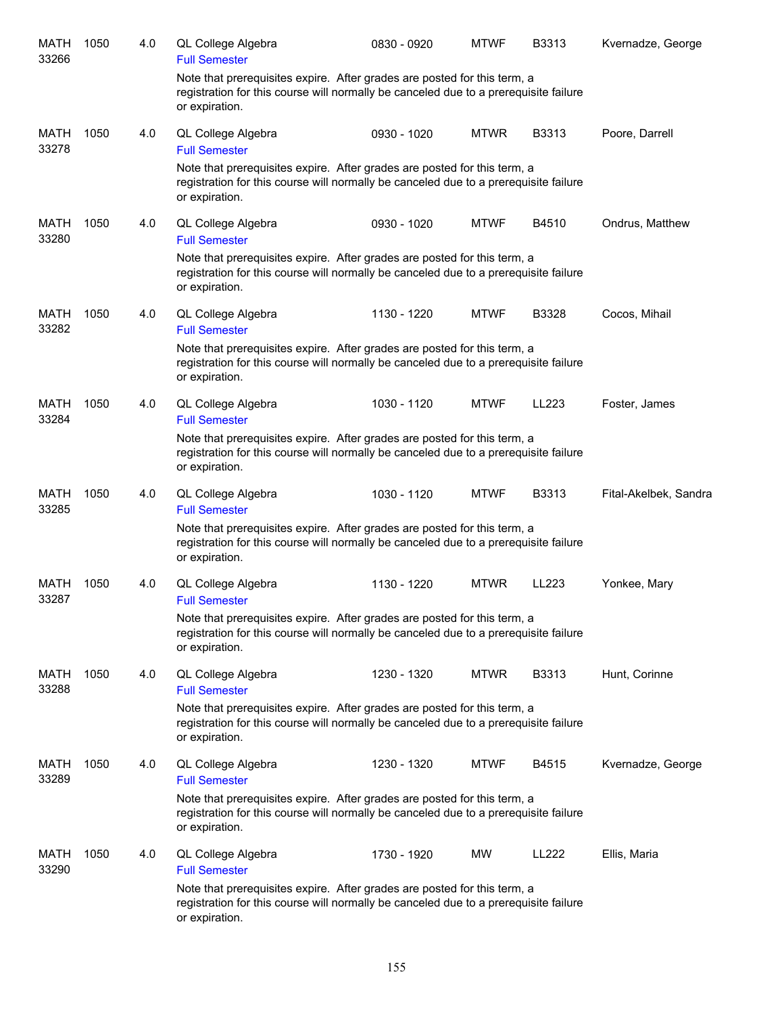| <b>MATH</b><br>33266 | 1050 | 4.0 | QL College Algebra<br><b>Full Semester</b> | 0830 - 0920                                                                                                                                                      | <b>MTWF</b> | B3313 | Kvernadze, George     |
|----------------------|------|-----|--------------------------------------------|------------------------------------------------------------------------------------------------------------------------------------------------------------------|-------------|-------|-----------------------|
|                      |      |     | or expiration.                             | Note that prerequisites expire. After grades are posted for this term, a<br>registration for this course will normally be canceled due to a prerequisite failure |             |       |                       |
| <b>MATH</b><br>33278 | 1050 | 4.0 | QL College Algebra<br><b>Full Semester</b> | 0930 - 1020                                                                                                                                                      | <b>MTWR</b> | B3313 | Poore, Darrell        |
|                      |      |     | or expiration.                             | Note that prerequisites expire. After grades are posted for this term, a<br>registration for this course will normally be canceled due to a prerequisite failure |             |       |                       |
| <b>MATH</b><br>33280 | 1050 | 4.0 | QL College Algebra<br><b>Full Semester</b> | 0930 - 1020                                                                                                                                                      | <b>MTWF</b> | B4510 | Ondrus, Matthew       |
|                      |      |     | or expiration.                             | Note that prerequisites expire. After grades are posted for this term, a<br>registration for this course will normally be canceled due to a prerequisite failure |             |       |                       |
| MATH<br>33282        | 1050 | 4.0 | QL College Algebra<br><b>Full Semester</b> | 1130 - 1220                                                                                                                                                      | <b>MTWF</b> | B3328 | Cocos, Mihail         |
|                      |      |     | or expiration.                             | Note that prerequisites expire. After grades are posted for this term, a<br>registration for this course will normally be canceled due to a prerequisite failure |             |       |                       |
| <b>MATH</b><br>33284 | 1050 | 4.0 | QL College Algebra<br><b>Full Semester</b> | 1030 - 1120                                                                                                                                                      | <b>MTWF</b> | LL223 | Foster, James         |
|                      |      |     | or expiration.                             | Note that prerequisites expire. After grades are posted for this term, a<br>registration for this course will normally be canceled due to a prerequisite failure |             |       |                       |
| MATH<br>33285        | 1050 | 4.0 | QL College Algebra<br><b>Full Semester</b> | 1030 - 1120                                                                                                                                                      | <b>MTWF</b> | B3313 | Fital-Akelbek, Sandra |
|                      |      |     | or expiration.                             | Note that prerequisites expire. After grades are posted for this term, a<br>registration for this course will normally be canceled due to a prerequisite failure |             |       |                       |
| MATH<br>33287        | 1050 | 4.0 | QL College Algebra<br><b>Full Semester</b> | 1130 - 1220                                                                                                                                                      | <b>MTWR</b> | LL223 | Yonkee, Mary          |
|                      |      |     | or expiration.                             | Note that prerequisites expire. After grades are posted for this term, a<br>registration for this course will normally be canceled due to a prerequisite failure |             |       |                       |
| MATH<br>33288        | 1050 | 4.0 | QL College Algebra<br><b>Full Semester</b> | 1230 - 1320                                                                                                                                                      | <b>MTWR</b> | B3313 | Hunt, Corinne         |
|                      |      |     | or expiration.                             | Note that prerequisites expire. After grades are posted for this term, a<br>registration for this course will normally be canceled due to a prerequisite failure |             |       |                       |
| MATH<br>33289        | 1050 | 4.0 | QL College Algebra<br><b>Full Semester</b> | 1230 - 1320                                                                                                                                                      | <b>MTWF</b> | B4515 | Kvernadze, George     |
|                      |      |     | or expiration.                             | Note that prerequisites expire. After grades are posted for this term, a<br>registration for this course will normally be canceled due to a prerequisite failure |             |       |                       |
| MATH<br>33290        | 1050 | 4.0 | QL College Algebra<br><b>Full Semester</b> | 1730 - 1920                                                                                                                                                      | MW          | LL222 | Ellis, Maria          |
|                      |      |     | or expiration.                             | Note that prerequisites expire. After grades are posted for this term, a<br>registration for this course will normally be canceled due to a prerequisite failure |             |       |                       |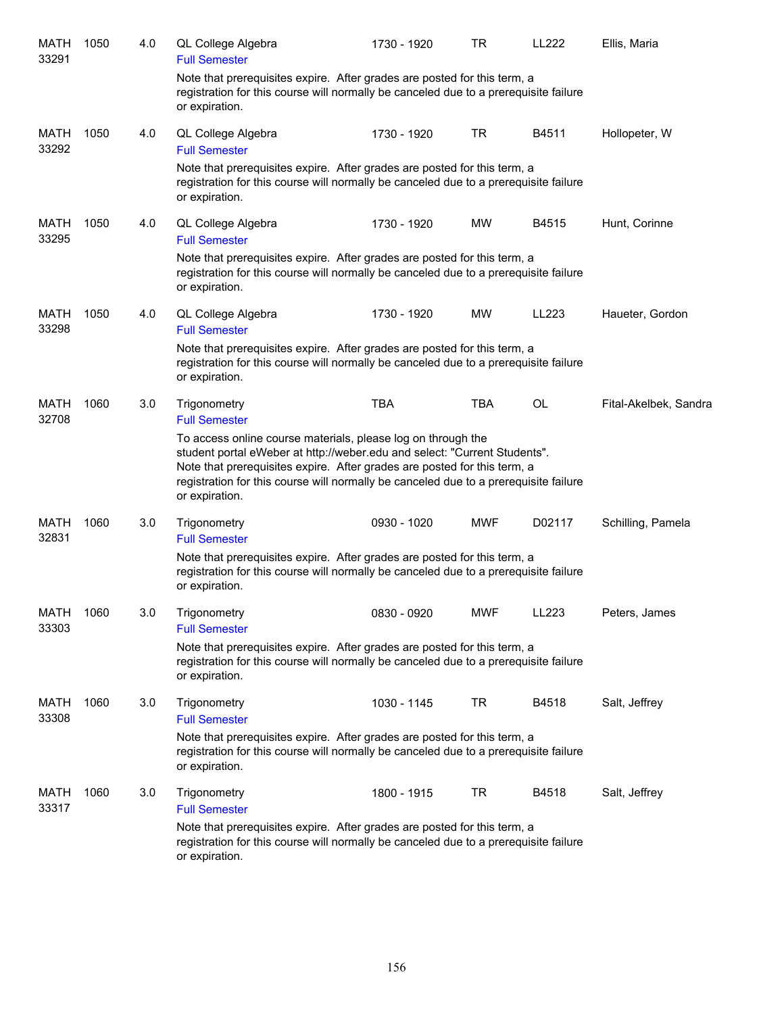| MATH<br>33291        | 1050 | 4.0 | QL College Algebra<br><b>Full Semester</b>                                                                                                                                                                                                                                                                                      | 1730 - 1920 | TR         | LL222  | Ellis, Maria          |
|----------------------|------|-----|---------------------------------------------------------------------------------------------------------------------------------------------------------------------------------------------------------------------------------------------------------------------------------------------------------------------------------|-------------|------------|--------|-----------------------|
|                      |      |     | Note that prerequisites expire. After grades are posted for this term, a<br>registration for this course will normally be canceled due to a prerequisite failure<br>or expiration.                                                                                                                                              |             |            |        |                       |
| <b>MATH</b><br>33292 | 1050 | 4.0 | QL College Algebra<br><b>Full Semester</b>                                                                                                                                                                                                                                                                                      | 1730 - 1920 | <b>TR</b>  | B4511  | Hollopeter, W         |
|                      |      |     | Note that prerequisites expire. After grades are posted for this term, a<br>registration for this course will normally be canceled due to a prerequisite failure<br>or expiration.                                                                                                                                              |             |            |        |                       |
| <b>MATH</b><br>33295 | 1050 | 4.0 | QL College Algebra<br><b>Full Semester</b>                                                                                                                                                                                                                                                                                      | 1730 - 1920 | <b>MW</b>  | B4515  | Hunt, Corinne         |
|                      |      |     | Note that prerequisites expire. After grades are posted for this term, a<br>registration for this course will normally be canceled due to a prerequisite failure<br>or expiration.                                                                                                                                              |             |            |        |                       |
| <b>MATH</b><br>33298 | 1050 | 4.0 | QL College Algebra<br><b>Full Semester</b>                                                                                                                                                                                                                                                                                      | 1730 - 1920 | MW         | LL223  | Haueter, Gordon       |
|                      |      |     | Note that prerequisites expire. After grades are posted for this term, a<br>registration for this course will normally be canceled due to a prerequisite failure<br>or expiration.                                                                                                                                              |             |            |        |                       |
| MATH<br>32708        | 1060 | 3.0 | Trigonometry<br><b>Full Semester</b>                                                                                                                                                                                                                                                                                            | <b>TBA</b>  | TBA        | OL     | Fital-Akelbek, Sandra |
|                      |      |     | To access online course materials, please log on through the<br>student portal eWeber at http://weber.edu and select: "Current Students".<br>Note that prerequisites expire. After grades are posted for this term, a<br>registration for this course will normally be canceled due to a prerequisite failure<br>or expiration. |             |            |        |                       |
| MATH<br>32831        | 1060 | 3.0 | Trigonometry<br><b>Full Semester</b>                                                                                                                                                                                                                                                                                            | 0930 - 1020 | <b>MWF</b> | D02117 | Schilling, Pamela     |
|                      |      |     | Note that prerequisites expire. After grades are posted for this term, a<br>registration for this course will normally be canceled due to a prerequisite failure<br>or expiration.                                                                                                                                              |             |            |        |                       |
| <b>MATH</b><br>33303 | 1060 | 3.0 | Trigonometry<br><b>Full Semester</b>                                                                                                                                                                                                                                                                                            | 0830 - 0920 | <b>MWF</b> | LL223  | Peters, James         |
|                      |      |     | Note that prerequisites expire. After grades are posted for this term, a<br>registration for this course will normally be canceled due to a prerequisite failure<br>or expiration.                                                                                                                                              |             |            |        |                       |
| MATH<br>33308        | 1060 | 3.0 | Trigonometry<br><b>Full Semester</b>                                                                                                                                                                                                                                                                                            | 1030 - 1145 | TR         | B4518  | Salt, Jeffrey         |
|                      |      |     | Note that prerequisites expire. After grades are posted for this term, a<br>registration for this course will normally be canceled due to a prerequisite failure<br>or expiration.                                                                                                                                              |             |            |        |                       |
| MATH<br>33317        | 1060 | 3.0 | Trigonometry<br><b>Full Semester</b>                                                                                                                                                                                                                                                                                            | 1800 - 1915 | TR         | B4518  | Salt, Jeffrey         |
|                      |      |     | Note that prerequisites expire. After grades are posted for this term, a<br>registration for this course will normally be canceled due to a prerequisite failure<br>or expiration.                                                                                                                                              |             |            |        |                       |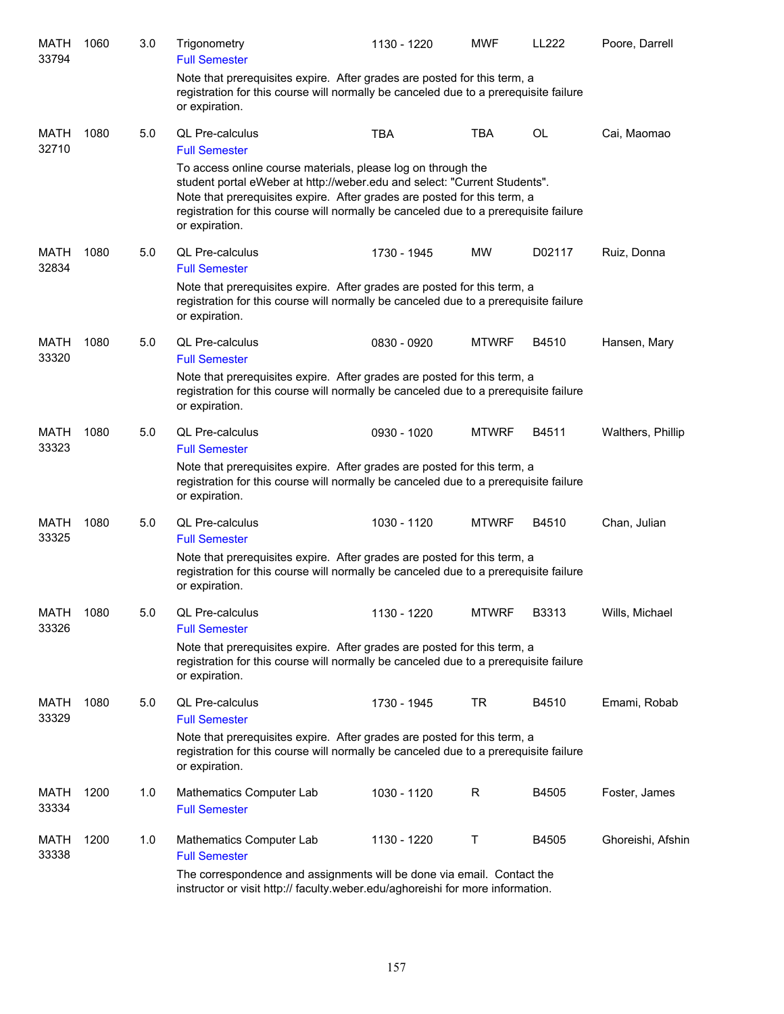| <b>MATH</b><br>33794 | 1060 | 3.0 | Trigonometry<br><b>Full Semester</b>                                                                                                                                                                                                                                                                                            | 1130 - 1220 | <b>MWF</b>   | LL222  | Poore, Darrell    |
|----------------------|------|-----|---------------------------------------------------------------------------------------------------------------------------------------------------------------------------------------------------------------------------------------------------------------------------------------------------------------------------------|-------------|--------------|--------|-------------------|
|                      |      |     | Note that prerequisites expire. After grades are posted for this term, a<br>registration for this course will normally be canceled due to a prerequisite failure<br>or expiration.                                                                                                                                              |             |              |        |                   |
| MATH<br>32710        | 1080 | 5.0 | <b>QL Pre-calculus</b><br><b>Full Semester</b>                                                                                                                                                                                                                                                                                  | <b>TBA</b>  | <b>TBA</b>   | OL     | Cai, Maomao       |
|                      |      |     | To access online course materials, please log on through the<br>student portal eWeber at http://weber.edu and select: "Current Students".<br>Note that prerequisites expire. After grades are posted for this term, a<br>registration for this course will normally be canceled due to a prerequisite failure<br>or expiration. |             |              |        |                   |
| MATH                 | 1080 | 5.0 | <b>QL Pre-calculus</b>                                                                                                                                                                                                                                                                                                          | 1730 - 1945 | МW           | D02117 | Ruiz, Donna       |
| 32834                |      |     | <b>Full Semester</b>                                                                                                                                                                                                                                                                                                            |             |              |        |                   |
|                      |      |     | Note that prerequisites expire. After grades are posted for this term, a<br>registration for this course will normally be canceled due to a prerequisite failure<br>or expiration.                                                                                                                                              |             |              |        |                   |
| MATH<br>33320        | 1080 | 5.0 | <b>QL Pre-calculus</b><br><b>Full Semester</b>                                                                                                                                                                                                                                                                                  | 0830 - 0920 | <b>MTWRF</b> | B4510  | Hansen, Mary      |
|                      |      |     | Note that prerequisites expire. After grades are posted for this term, a<br>registration for this course will normally be canceled due to a prerequisite failure<br>or expiration.                                                                                                                                              |             |              |        |                   |
| <b>MATH</b>          | 1080 | 5.0 | QL Pre-calculus                                                                                                                                                                                                                                                                                                                 | 0930 - 1020 | <b>MTWRF</b> | B4511  | Walthers, Phillip |
| 33323                |      |     | <b>Full Semester</b>                                                                                                                                                                                                                                                                                                            |             |              |        |                   |
|                      |      |     | Note that prerequisites expire. After grades are posted for this term, a<br>registration for this course will normally be canceled due to a prerequisite failure<br>or expiration.                                                                                                                                              |             |              |        |                   |
| MATH<br>33325        | 1080 | 5.0 | <b>QL Pre-calculus</b><br><b>Full Semester</b>                                                                                                                                                                                                                                                                                  | 1030 - 1120 | <b>MTWRF</b> | B4510  | Chan, Julian      |
|                      |      |     | Note that prerequisites expire. After grades are posted for this term, a<br>registration for this course will normally be canceled due to a prerequisite failure<br>or expiration.                                                                                                                                              |             |              |        |                   |
| <b>MATH</b><br>33326 | 1080 | 5.0 | QL Pre-calculus<br><b>Full Semester</b>                                                                                                                                                                                                                                                                                         | 1130 - 1220 | <b>MTWRF</b> | B3313  | Wills, Michael    |
|                      |      |     | Note that prerequisites expire. After grades are posted for this term, a<br>registration for this course will normally be canceled due to a prerequisite failure<br>or expiration.                                                                                                                                              |             |              |        |                   |
| <b>MATH</b><br>33329 | 1080 | 5.0 | QL Pre-calculus<br><b>Full Semester</b>                                                                                                                                                                                                                                                                                         | 1730 - 1945 | TR           | B4510  | Emami, Robab      |
|                      |      |     | Note that prerequisites expire. After grades are posted for this term, a<br>registration for this course will normally be canceled due to a prerequisite failure<br>or expiration.                                                                                                                                              |             |              |        |                   |
| MATH<br>33334        | 1200 | 1.0 | Mathematics Computer Lab<br><b>Full Semester</b>                                                                                                                                                                                                                                                                                | 1030 - 1120 | R            | B4505  | Foster, James     |
| MATH<br>33338        | 1200 | 1.0 | Mathematics Computer Lab<br><b>Full Semester</b>                                                                                                                                                                                                                                                                                | 1130 - 1220 | Т            | B4505  | Ghoreishi, Afshin |
|                      |      |     | The correspondence and assignments will be done via email. Contact the<br>instructor or visit http:// faculty.weber.edu/aghoreishi for more information.                                                                                                                                                                        |             |              |        |                   |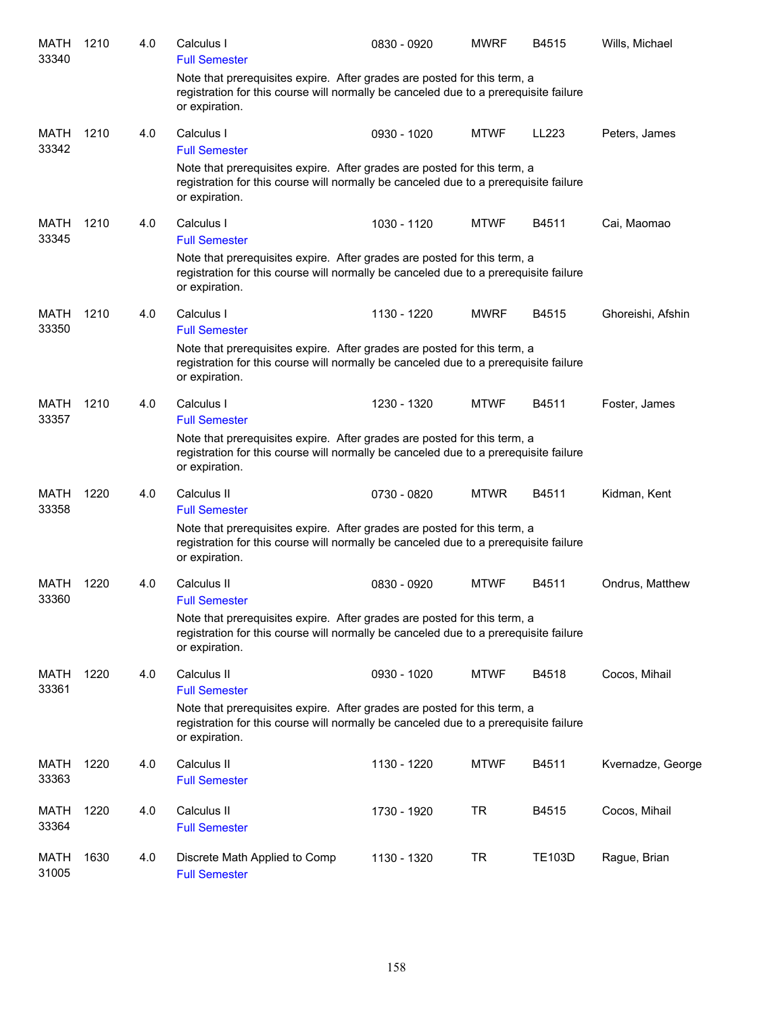| <b>MATH</b><br>33340 | 1210 | 4.0 | Calculus I<br><b>Full Semester</b>                                                                                                                                                                         | 0830 - 0920 | <b>MWRF</b> | B4515         | Wills, Michael    |
|----------------------|------|-----|------------------------------------------------------------------------------------------------------------------------------------------------------------------------------------------------------------|-------------|-------------|---------------|-------------------|
|                      |      |     | Note that prerequisites expire. After grades are posted for this term, a<br>registration for this course will normally be canceled due to a prerequisite failure<br>or expiration.                         |             |             |               |                   |
| <b>MATH</b><br>33342 | 1210 | 4.0 | Calculus I<br><b>Full Semester</b>                                                                                                                                                                         | 0930 - 1020 | <b>MTWF</b> | LL223         | Peters, James     |
|                      |      |     | Note that prerequisites expire. After grades are posted for this term, a<br>registration for this course will normally be canceled due to a prerequisite failure<br>or expiration.                         |             |             |               |                   |
| MATH<br>33345        | 1210 | 4.0 | Calculus I<br><b>Full Semester</b>                                                                                                                                                                         | 1030 - 1120 | <b>MTWF</b> | B4511         | Cai, Maomao       |
|                      |      |     | Note that prerequisites expire. After grades are posted for this term, a<br>registration for this course will normally be canceled due to a prerequisite failure<br>or expiration.                         |             |             |               |                   |
| MATH<br>33350        | 1210 | 4.0 | Calculus I<br><b>Full Semester</b>                                                                                                                                                                         | 1130 - 1220 | <b>MWRF</b> | B4515         | Ghoreishi, Afshin |
|                      |      |     | Note that prerequisites expire. After grades are posted for this term, a<br>registration for this course will normally be canceled due to a prerequisite failure<br>or expiration.                         |             |             |               |                   |
| MATH<br>33357        | 1210 | 4.0 | Calculus I<br><b>Full Semester</b>                                                                                                                                                                         | 1230 - 1320 | <b>MTWF</b> | B4511         | Foster, James     |
|                      |      |     | Note that prerequisites expire. After grades are posted for this term, a<br>registration for this course will normally be canceled due to a prerequisite failure<br>or expiration.                         |             |             |               |                   |
| MATH<br>33358        | 1220 | 4.0 | Calculus II                                                                                                                                                                                                | 0730 - 0820 | <b>MTWR</b> | B4511         | Kidman, Kent      |
|                      |      |     | <b>Full Semester</b><br>Note that prerequisites expire. After grades are posted for this term, a<br>registration for this course will normally be canceled due to a prerequisite failure<br>or expiration. |             |             |               |                   |
| MATH<br>33360        | 1220 | 4.0 | Calculus II<br><b>Full Semester</b>                                                                                                                                                                        | 0830 - 0920 | <b>MTWF</b> | B4511         | Ondrus, Matthew   |
|                      |      |     | Note that prerequisites expire. After grades are posted for this term, a<br>registration for this course will normally be canceled due to a prerequisite failure<br>or expiration.                         |             |             |               |                   |
| <b>MATH</b><br>33361 | 1220 | 4.0 | Calculus II<br><b>Full Semester</b>                                                                                                                                                                        | 0930 - 1020 | <b>MTWF</b> | B4518         | Cocos, Mihail     |
|                      |      |     | Note that prerequisites expire. After grades are posted for this term, a<br>registration for this course will normally be canceled due to a prerequisite failure<br>or expiration.                         |             |             |               |                   |
| MATH<br>33363        | 1220 | 4.0 | Calculus II<br><b>Full Semester</b>                                                                                                                                                                        | 1130 - 1220 | <b>MTWF</b> | B4511         | Kvernadze, George |
| <b>MATH</b><br>33364 | 1220 | 4.0 | Calculus II<br><b>Full Semester</b>                                                                                                                                                                        | 1730 - 1920 | <b>TR</b>   | B4515         | Cocos, Mihail     |
| <b>MATH</b><br>31005 | 1630 | 4.0 | Discrete Math Applied to Comp<br><b>Full Semester</b>                                                                                                                                                      | 1130 - 1320 | <b>TR</b>   | <b>TE103D</b> | Rague, Brian      |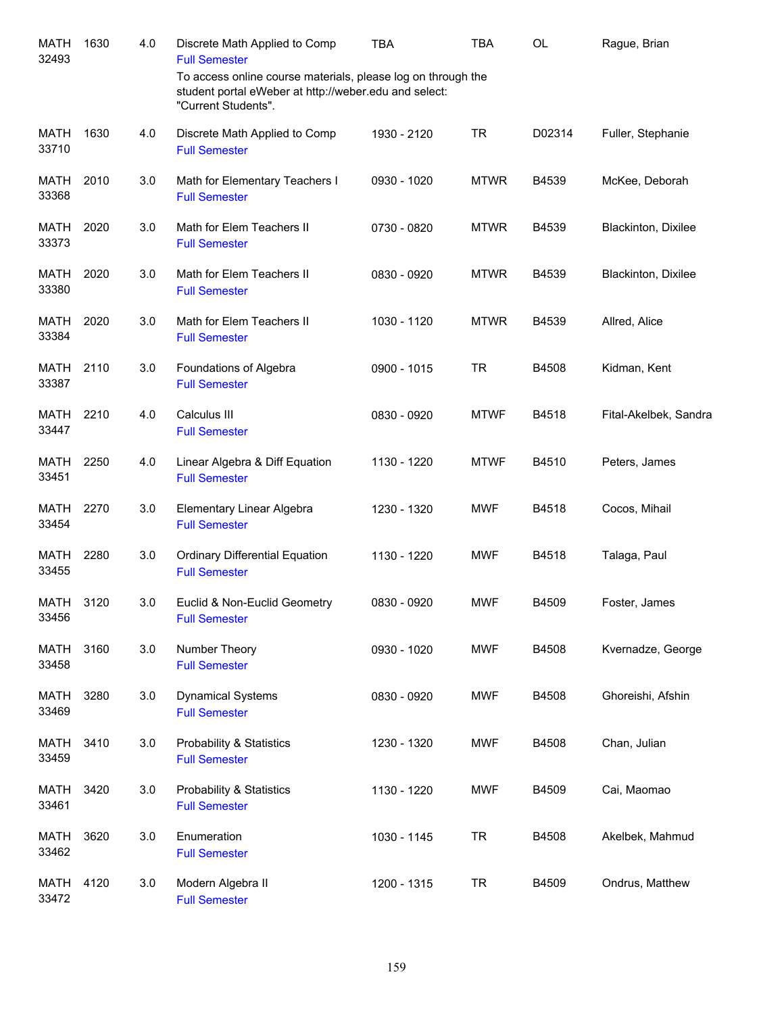| MATH<br>32493        | 1630 | 4.0 | Discrete Math Applied to Comp<br><b>Full Semester</b>                                                                                        | <b>TBA</b>  | TBA         | <b>OL</b> | Rague, Brian          |
|----------------------|------|-----|----------------------------------------------------------------------------------------------------------------------------------------------|-------------|-------------|-----------|-----------------------|
|                      |      |     | To access online course materials, please log on through the<br>student portal eWeber at http://weber.edu and select:<br>"Current Students". |             |             |           |                       |
| <b>MATH</b><br>33710 | 1630 | 4.0 | Discrete Math Applied to Comp<br><b>Full Semester</b>                                                                                        | 1930 - 2120 | <b>TR</b>   | D02314    | Fuller, Stephanie     |
| <b>MATH</b><br>33368 | 2010 | 3.0 | Math for Elementary Teachers I<br><b>Full Semester</b>                                                                                       | 0930 - 1020 | <b>MTWR</b> | B4539     | McKee, Deborah        |
| <b>MATH</b><br>33373 | 2020 | 3.0 | Math for Elem Teachers II<br><b>Full Semester</b>                                                                                            | 0730 - 0820 | <b>MTWR</b> | B4539     | Blackinton, Dixilee   |
| MATH<br>33380        | 2020 | 3.0 | Math for Elem Teachers II<br><b>Full Semester</b>                                                                                            | 0830 - 0920 | <b>MTWR</b> | B4539     | Blackinton, Dixilee   |
| <b>MATH</b><br>33384 | 2020 | 3.0 | Math for Elem Teachers II<br><b>Full Semester</b>                                                                                            | 1030 - 1120 | <b>MTWR</b> | B4539     | Allred, Alice         |
| MATH<br>33387        | 2110 | 3.0 | Foundations of Algebra<br><b>Full Semester</b>                                                                                               | 0900 - 1015 | <b>TR</b>   | B4508     | Kidman, Kent          |
| MATH<br>33447        | 2210 | 4.0 | Calculus III<br><b>Full Semester</b>                                                                                                         | 0830 - 0920 | <b>MTWF</b> | B4518     | Fital-Akelbek, Sandra |
| MATH<br>33451        | 2250 | 4.0 | Linear Algebra & Diff Equation<br><b>Full Semester</b>                                                                                       | 1130 - 1220 | <b>MTWF</b> | B4510     | Peters, James         |
| MATH<br>33454        | 2270 | 3.0 | Elementary Linear Algebra<br><b>Full Semester</b>                                                                                            | 1230 - 1320 | <b>MWF</b>  | B4518     | Cocos, Mihail         |
| MATH<br>33455        | 2280 | 3.0 | <b>Ordinary Differential Equation</b><br><b>Full Semester</b>                                                                                | 1130 - 1220 | <b>MWF</b>  | B4518     | Talaga, Paul          |
| MATH<br>33456        | 3120 | 3.0 | Euclid & Non-Euclid Geometry<br><b>Full Semester</b>                                                                                         | 0830 - 0920 | <b>MWF</b>  | B4509     | Foster, James         |
| <b>MATH</b><br>33458 | 3160 | 3.0 | Number Theory<br><b>Full Semester</b>                                                                                                        | 0930 - 1020 | <b>MWF</b>  | B4508     | Kvernadze, George     |
| <b>MATH</b><br>33469 | 3280 | 3.0 | <b>Dynamical Systems</b><br><b>Full Semester</b>                                                                                             | 0830 - 0920 | <b>MWF</b>  | B4508     | Ghoreishi, Afshin     |
| <b>MATH</b><br>33459 | 3410 | 3.0 | <b>Probability &amp; Statistics</b><br><b>Full Semester</b>                                                                                  | 1230 - 1320 | <b>MWF</b>  | B4508     | Chan, Julian          |
| MATH<br>33461        | 3420 | 3.0 | <b>Probability &amp; Statistics</b><br><b>Full Semester</b>                                                                                  | 1130 - 1220 | <b>MWF</b>  | B4509     | Cai, Maomao           |
| MATH<br>33462        | 3620 | 3.0 | Enumeration<br><b>Full Semester</b>                                                                                                          | 1030 - 1145 | <b>TR</b>   | B4508     | Akelbek, Mahmud       |
| MATH<br>33472        | 4120 | 3.0 | Modern Algebra II<br><b>Full Semester</b>                                                                                                    | 1200 - 1315 | <b>TR</b>   | B4509     | Ondrus, Matthew       |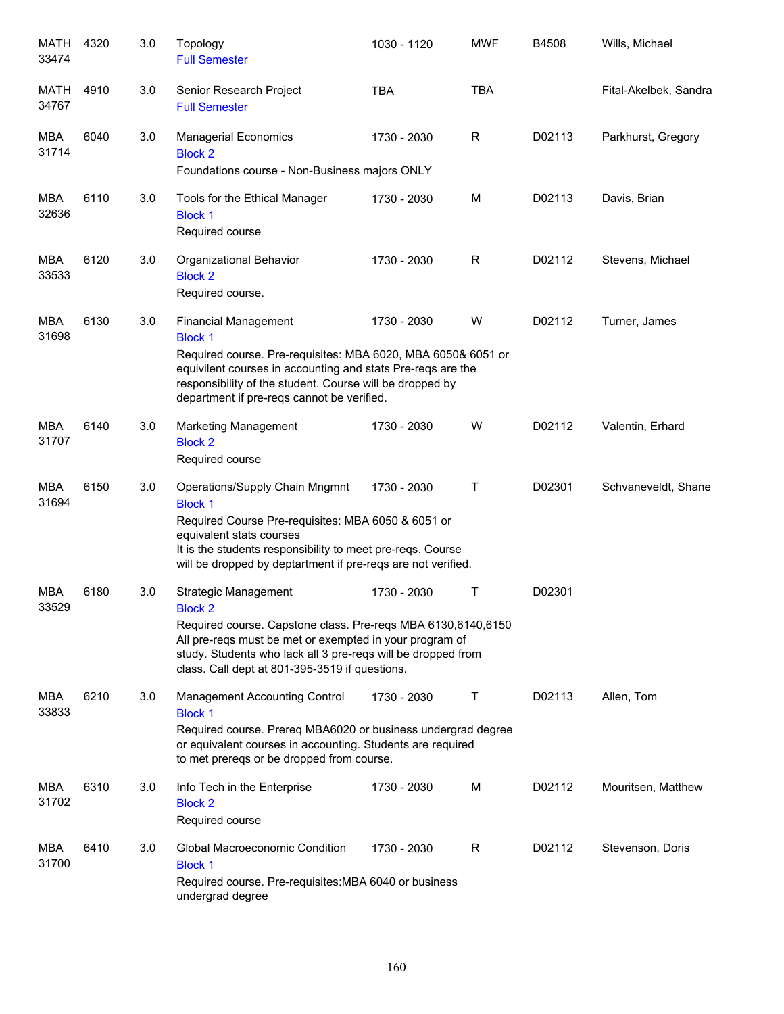| MATH<br>33474       | 4320 | 3.0 | Topology<br><b>Full Semester</b>                                                                                                                                                                                                                                                           | 1030 - 1120 | <b>MWF</b> | B4508  | Wills, Michael        |
|---------------------|------|-----|--------------------------------------------------------------------------------------------------------------------------------------------------------------------------------------------------------------------------------------------------------------------------------------------|-------------|------------|--------|-----------------------|
| MATH<br>34767       | 4910 | 3.0 | Senior Research Project<br><b>Full Semester</b>                                                                                                                                                                                                                                            | <b>TBA</b>  | <b>TBA</b> |        | Fital-Akelbek, Sandra |
| MBA<br>31714        | 6040 | 3.0 | <b>Managerial Economics</b><br><b>Block 2</b><br>Foundations course - Non-Business majors ONLY                                                                                                                                                                                             | 1730 - 2030 | R          | D02113 | Parkhurst, Gregory    |
| MBA<br>32636        | 6110 | 3.0 | Tools for the Ethical Manager<br><b>Block 1</b><br>Required course                                                                                                                                                                                                                         | 1730 - 2030 | M          | D02113 | Davis, Brian          |
| MBA<br>33533        | 6120 | 3.0 | Organizational Behavior<br><b>Block 2</b><br>Required course.                                                                                                                                                                                                                              | 1730 - 2030 | R          | D02112 | Stevens, Michael      |
| <b>MBA</b><br>31698 | 6130 | 3.0 | <b>Financial Management</b><br><b>Block 1</b><br>Required course. Pre-requisites: MBA 6020, MBA 6050& 6051 or<br>equivilent courses in accounting and stats Pre-reqs are the<br>responsibility of the student. Course will be dropped by<br>department if pre-reqs cannot be verified.     | 1730 - 2030 | W          | D02112 | Turner, James         |
| <b>MBA</b><br>31707 | 6140 | 3.0 | <b>Marketing Management</b><br><b>Block 2</b><br>Required course                                                                                                                                                                                                                           | 1730 - 2030 | W          | D02112 | Valentin, Erhard      |
| <b>MBA</b><br>31694 | 6150 | 3.0 | Operations/Supply Chain Mngmnt<br><b>Block 1</b><br>Required Course Pre-requisites: MBA 6050 & 6051 or<br>equivalent stats courses<br>It is the students responsibility to meet pre-reqs. Course<br>will be dropped by deptartment if pre-reqs are not verified.                           | 1730 - 2030 | Т          | D02301 | Schvaneveldt, Shane   |
| <b>MBA</b><br>33529 | 6180 | 3.0 | <b>Strategic Management</b><br><b>Block 2</b><br>Required course. Capstone class. Pre-reqs MBA 6130,6140,6150<br>All pre-reqs must be met or exempted in your program of<br>study. Students who lack all 3 pre-reqs will be dropped from<br>class. Call dept at 801-395-3519 if questions. | 1730 - 2030 | Τ          | D02301 |                       |
| MBA<br>33833        | 6210 | 3.0 | <b>Management Accounting Control</b><br><b>Block 1</b><br>Required course. Prereq MBA6020 or business undergrad degree<br>or equivalent courses in accounting. Students are required<br>to met prereqs or be dropped from course.                                                          | 1730 - 2030 | Τ          | D02113 | Allen, Tom            |
| MBA<br>31702        | 6310 | 3.0 | Info Tech in the Enterprise<br><b>Block 2</b><br>Required course                                                                                                                                                                                                                           | 1730 - 2030 | M          | D02112 | Mouritsen, Matthew    |
| MBA<br>31700        | 6410 | 3.0 | Global Macroeconomic Condition<br><b>Block 1</b><br>Required course. Pre-requisites: MBA 6040 or business<br>undergrad degree                                                                                                                                                              | 1730 - 2030 | R          | D02112 | Stevenson, Doris      |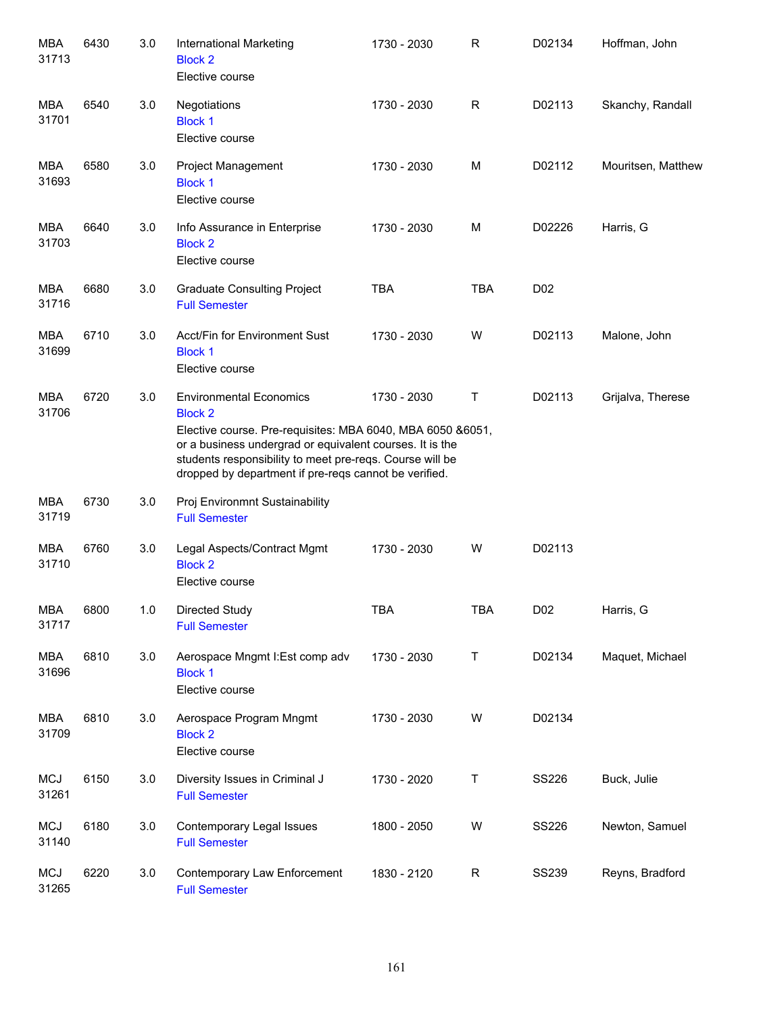| MBA<br>31713        | 6430 | 3.0 | <b>International Marketing</b><br><b>Block 2</b><br>Elective course                                                                                                                                                                                                                             | 1730 - 2030 | R           | D02134           | Hoffman, John      |
|---------------------|------|-----|-------------------------------------------------------------------------------------------------------------------------------------------------------------------------------------------------------------------------------------------------------------------------------------------------|-------------|-------------|------------------|--------------------|
| MBA<br>31701        | 6540 | 3.0 | Negotiations<br><b>Block 1</b><br>Elective course                                                                                                                                                                                                                                               | 1730 - 2030 | $\mathsf R$ | D02113           | Skanchy, Randall   |
| MBA<br>31693        | 6580 | 3.0 | Project Management<br><b>Block 1</b><br>Elective course                                                                                                                                                                                                                                         | 1730 - 2030 | M           | D02112           | Mouritsen, Matthew |
| MBA<br>31703        | 6640 | 3.0 | Info Assurance in Enterprise<br><b>Block 2</b><br>Elective course                                                                                                                                                                                                                               | 1730 - 2030 | M           | D02226           | Harris, G          |
| MBA<br>31716        | 6680 | 3.0 | <b>Graduate Consulting Project</b><br><b>Full Semester</b>                                                                                                                                                                                                                                      | <b>TBA</b>  | <b>TBA</b>  | D <sub>0</sub> 2 |                    |
| <b>MBA</b><br>31699 | 6710 | 3.0 | Acct/Fin for Environment Sust<br><b>Block 1</b><br>Elective course                                                                                                                                                                                                                              | 1730 - 2030 | W           | D02113           | Malone, John       |
| MBA<br>31706        | 6720 | 3.0 | <b>Environmental Economics</b><br><b>Block 2</b><br>Elective course. Pre-requisites: MBA 6040, MBA 6050 &6051,<br>or a business undergrad or equivalent courses. It is the<br>students responsibility to meet pre-reqs. Course will be<br>dropped by department if pre-reqs cannot be verified. | 1730 - 2030 | Τ           | D02113           | Grijalva, Therese  |
| <b>MBA</b><br>31719 | 6730 | 3.0 | Proj Environmnt Sustainability<br><b>Full Semester</b>                                                                                                                                                                                                                                          |             |             |                  |                    |
| MBA<br>31710        | 6760 | 3.0 | Legal Aspects/Contract Mgmt<br><b>Block 2</b><br>Elective course                                                                                                                                                                                                                                | 1730 - 2030 | W           | D02113           |                    |
| MBA<br>31717        | 6800 | 1.0 | Directed Study<br><b>Full Semester</b>                                                                                                                                                                                                                                                          | <b>TBA</b>  | <b>TBA</b>  | D <sub>0</sub> 2 | Harris, G          |
| <b>MBA</b><br>31696 | 6810 | 3.0 | Aerospace Mngmt I:Est comp adv<br><b>Block 1</b><br>Elective course                                                                                                                                                                                                                             | 1730 - 2030 | Τ           | D02134           | Maquet, Michael    |
| MBA<br>31709        | 6810 | 3.0 | Aerospace Program Mngmt<br><b>Block 2</b><br>Elective course                                                                                                                                                                                                                                    | 1730 - 2030 | W           | D02134           |                    |
| <b>MCJ</b><br>31261 | 6150 | 3.0 | Diversity Issues in Criminal J<br><b>Full Semester</b>                                                                                                                                                                                                                                          | 1730 - 2020 | Τ           | SS226            | Buck, Julie        |
| <b>MCJ</b><br>31140 | 6180 | 3.0 | Contemporary Legal Issues<br><b>Full Semester</b>                                                                                                                                                                                                                                               | 1800 - 2050 | W           | <b>SS226</b>     | Newton, Samuel     |
| <b>MCJ</b><br>31265 | 6220 | 3.0 | Contemporary Law Enforcement<br><b>Full Semester</b>                                                                                                                                                                                                                                            | 1830 - 2120 | $\mathsf R$ | <b>SS239</b>     | Reyns, Bradford    |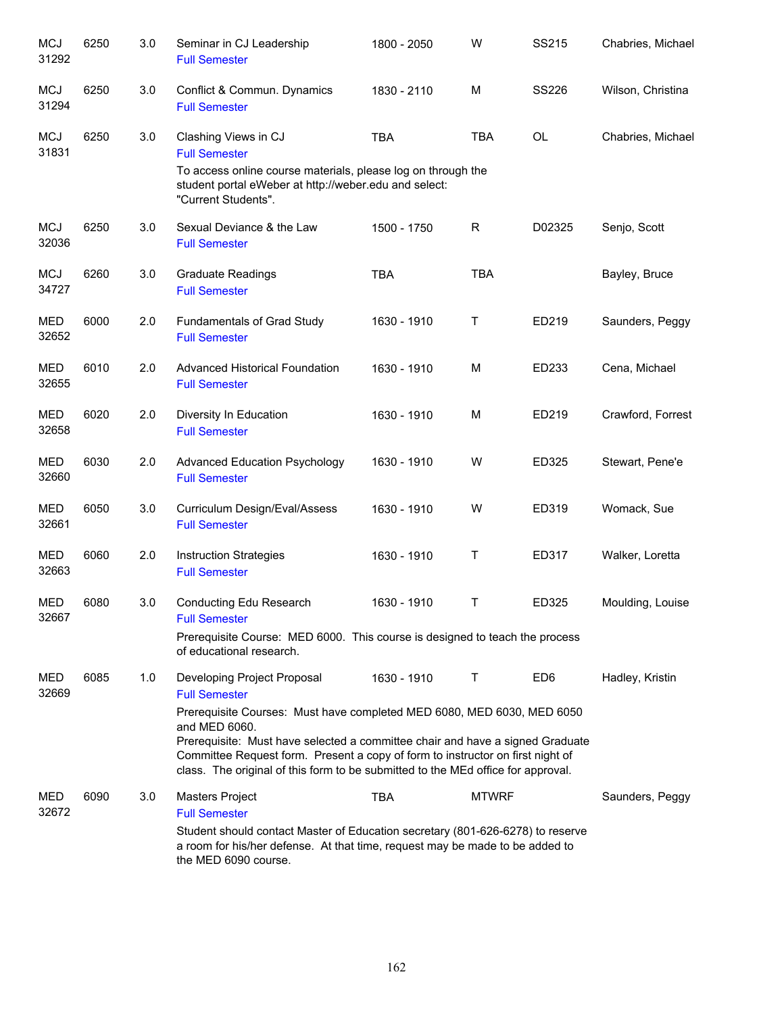| <b>MCJ</b><br>31292 | 6250 | 3.0 | Seminar in CJ Leadership<br><b>Full Semester</b>                                                                                                                                                                                                                                                                                               | 1800 - 2050 | W            | <b>SS215</b>    | Chabries, Michael |
|---------------------|------|-----|------------------------------------------------------------------------------------------------------------------------------------------------------------------------------------------------------------------------------------------------------------------------------------------------------------------------------------------------|-------------|--------------|-----------------|-------------------|
| <b>MCJ</b><br>31294 | 6250 | 3.0 | Conflict & Commun. Dynamics<br><b>Full Semester</b>                                                                                                                                                                                                                                                                                            | 1830 - 2110 | M            | <b>SS226</b>    | Wilson, Christina |
| <b>MCJ</b><br>31831 | 6250 | 3.0 | Clashing Views in CJ<br><b>Full Semester</b><br>To access online course materials, please log on through the<br>student portal eWeber at http://weber.edu and select:                                                                                                                                                                          | <b>TBA</b>  | <b>TBA</b>   | <b>OL</b>       | Chabries, Michael |
|                     |      |     | "Current Students".                                                                                                                                                                                                                                                                                                                            |             |              |                 |                   |
| <b>MCJ</b><br>32036 | 6250 | 3.0 | Sexual Deviance & the Law<br><b>Full Semester</b>                                                                                                                                                                                                                                                                                              | 1500 - 1750 | R            | D02325          | Senjo, Scott      |
| <b>MCJ</b><br>34727 | 6260 | 3.0 | <b>Graduate Readings</b><br><b>Full Semester</b>                                                                                                                                                                                                                                                                                               | <b>TBA</b>  | <b>TBA</b>   |                 | Bayley, Bruce     |
| MED<br>32652        | 6000 | 2.0 | Fundamentals of Grad Study<br><b>Full Semester</b>                                                                                                                                                                                                                                                                                             | 1630 - 1910 | Τ            | ED219           | Saunders, Peggy   |
| MED<br>32655        | 6010 | 2.0 | <b>Advanced Historical Foundation</b><br><b>Full Semester</b>                                                                                                                                                                                                                                                                                  | 1630 - 1910 | M            | ED233           | Cena, Michael     |
| MED<br>32658        | 6020 | 2.0 | Diversity In Education<br><b>Full Semester</b>                                                                                                                                                                                                                                                                                                 | 1630 - 1910 | M            | ED219           | Crawford, Forrest |
| <b>MED</b><br>32660 | 6030 | 2.0 | <b>Advanced Education Psychology</b><br><b>Full Semester</b>                                                                                                                                                                                                                                                                                   | 1630 - 1910 | W            | ED325           | Stewart, Pene'e   |
| <b>MED</b><br>32661 | 6050 | 3.0 | Curriculum Design/Eval/Assess<br><b>Full Semester</b>                                                                                                                                                                                                                                                                                          | 1630 - 1910 | W            | ED319           | Womack, Sue       |
| <b>MED</b><br>32663 | 6060 | 2.0 | <b>Instruction Strategies</b><br><b>Full Semester</b>                                                                                                                                                                                                                                                                                          | 1630 - 1910 | Τ            | ED317           | Walker, Loretta   |
| MED<br>32667        | 6080 | 3.0 | Conducting Edu Research<br><b>Full Semester</b>                                                                                                                                                                                                                                                                                                | 1630 - 1910 | Τ            | ED325           | Moulding, Louise  |
|                     |      |     | Prerequisite Course: MED 6000. This course is designed to teach the process<br>of educational research.                                                                                                                                                                                                                                        |             |              |                 |                   |
| MED<br>32669        | 6085 | 1.0 | Developing Project Proposal<br><b>Full Semester</b>                                                                                                                                                                                                                                                                                            | 1630 - 1910 | Τ            | ED <sub>6</sub> | Hadley, Kristin   |
|                     |      |     | Prerequisite Courses: Must have completed MED 6080, MED 6030, MED 6050<br>and MED 6060.<br>Prerequisite: Must have selected a committee chair and have a signed Graduate<br>Committee Request form. Present a copy of form to instructor on first night of<br>class. The original of this form to be submitted to the MEd office for approval. |             |              |                 |                   |
| MED<br>32672        | 6090 | 3.0 | <b>Masters Project</b><br><b>Full Semester</b><br>Student should contact Master of Education secretary (801-626-6278) to reserve<br>a room for his/her defense. At that time, request may be made to be added to<br>the MED 6090 course.                                                                                                       | <b>TBA</b>  | <b>MTWRF</b> |                 | Saunders, Peggy   |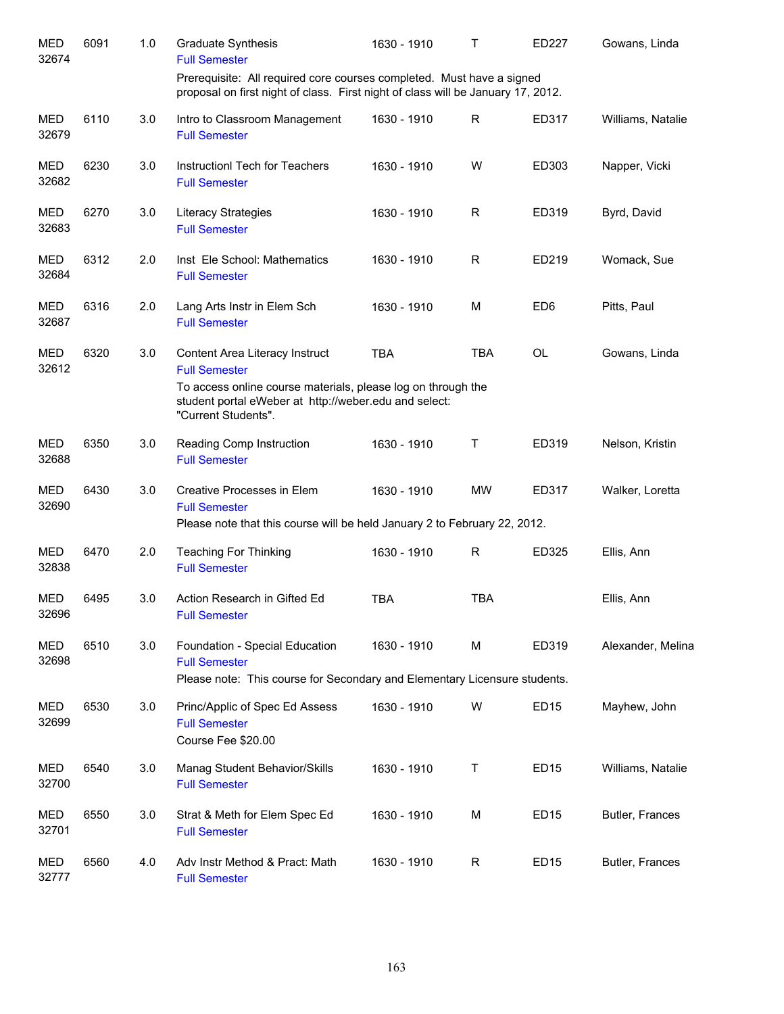| <b>MED</b><br>32674 | 6091 | 1.0 | <b>Graduate Synthesis</b><br><b>Full Semester</b>                                                                                                         | 1630 - 1910 | Т            | ED227            | Gowans, Linda     |
|---------------------|------|-----|-----------------------------------------------------------------------------------------------------------------------------------------------------------|-------------|--------------|------------------|-------------------|
|                     |      |     | Prerequisite: All required core courses completed. Must have a signed<br>proposal on first night of class. First night of class will be January 17, 2012. |             |              |                  |                   |
| <b>MED</b><br>32679 | 6110 | 3.0 | Intro to Classroom Management<br><b>Full Semester</b>                                                                                                     | 1630 - 1910 | R            | ED317            | Williams, Natalie |
| <b>MED</b><br>32682 | 6230 | 3.0 | Instruction Tech for Teachers<br><b>Full Semester</b>                                                                                                     | 1630 - 1910 | W            | ED303            | Napper, Vicki     |
| MED<br>32683        | 6270 | 3.0 | <b>Literacy Strategies</b><br><b>Full Semester</b>                                                                                                        | 1630 - 1910 | $\mathsf R$  | ED319            | Byrd, David       |
| MED<br>32684        | 6312 | 2.0 | Inst Ele School: Mathematics<br><b>Full Semester</b>                                                                                                      | 1630 - 1910 | $\mathsf R$  | ED219            | Womack, Sue       |
| <b>MED</b><br>32687 | 6316 | 2.0 | Lang Arts Instr in Elem Sch<br><b>Full Semester</b>                                                                                                       | 1630 - 1910 | M            | ED <sub>6</sub>  | Pitts, Paul       |
| <b>MED</b><br>32612 | 6320 | 3.0 | Content Area Literacy Instruct<br><b>Full Semester</b>                                                                                                    | <b>TBA</b>  | <b>TBA</b>   | <b>OL</b>        | Gowans, Linda     |
|                     |      |     | To access online course materials, please log on through the<br>student portal eWeber at http://weber.edu and select:<br>"Current Students".              |             |              |                  |                   |
| MED<br>32688        | 6350 | 3.0 | Reading Comp Instruction<br><b>Full Semester</b>                                                                                                          | 1630 - 1910 | Τ            | ED319            | Nelson, Kristin   |
| MED<br>32690        | 6430 | 3.0 | Creative Processes in Elem<br><b>Full Semester</b><br>Please note that this course will be held January 2 to February 22, 2012.                           | 1630 - 1910 | MW           | ED317            | Walker, Loretta   |
| MED<br>32838        | 6470 | 2.0 | <b>Teaching For Thinking</b><br><b>Full Semester</b>                                                                                                      | 1630 - 1910 | R            | ED325            | Ellis, Ann        |
| MED<br>32696        | 6495 | 3.0 | Action Research in Gifted Ed<br><b>Full Semester</b>                                                                                                      | <b>TBA</b>  | <b>TBA</b>   |                  | Ellis, Ann        |
| <b>MED</b><br>32698 | 6510 | 3.0 | Foundation - Special Education<br><b>Full Semester</b>                                                                                                    | 1630 - 1910 | M            | ED319            | Alexander, Melina |
|                     |      |     | Please note: This course for Secondary and Elementary Licensure students.                                                                                 |             |              |                  |                   |
| <b>MED</b><br>32699 | 6530 | 3.0 | Princ/Applic of Spec Ed Assess<br><b>Full Semester</b><br>Course Fee \$20.00                                                                              | 1630 - 1910 | W            | <b>ED15</b>      | Mayhew, John      |
| <b>MED</b><br>32700 | 6540 | 3.0 | Manag Student Behavior/Skills<br><b>Full Semester</b>                                                                                                     | 1630 - 1910 | $\mathsf T$  | <b>ED15</b>      | Williams, Natalie |
| <b>MED</b><br>32701 | 6550 | 3.0 | Strat & Meth for Elem Spec Ed<br><b>Full Semester</b>                                                                                                     | 1630 - 1910 | M            | ED <sub>15</sub> | Butler, Frances   |
| <b>MED</b><br>32777 | 6560 | 4.0 | Adv Instr Method & Pract: Math<br><b>Full Semester</b>                                                                                                    | 1630 - 1910 | $\mathsf{R}$ | ED <sub>15</sub> | Butler, Frances   |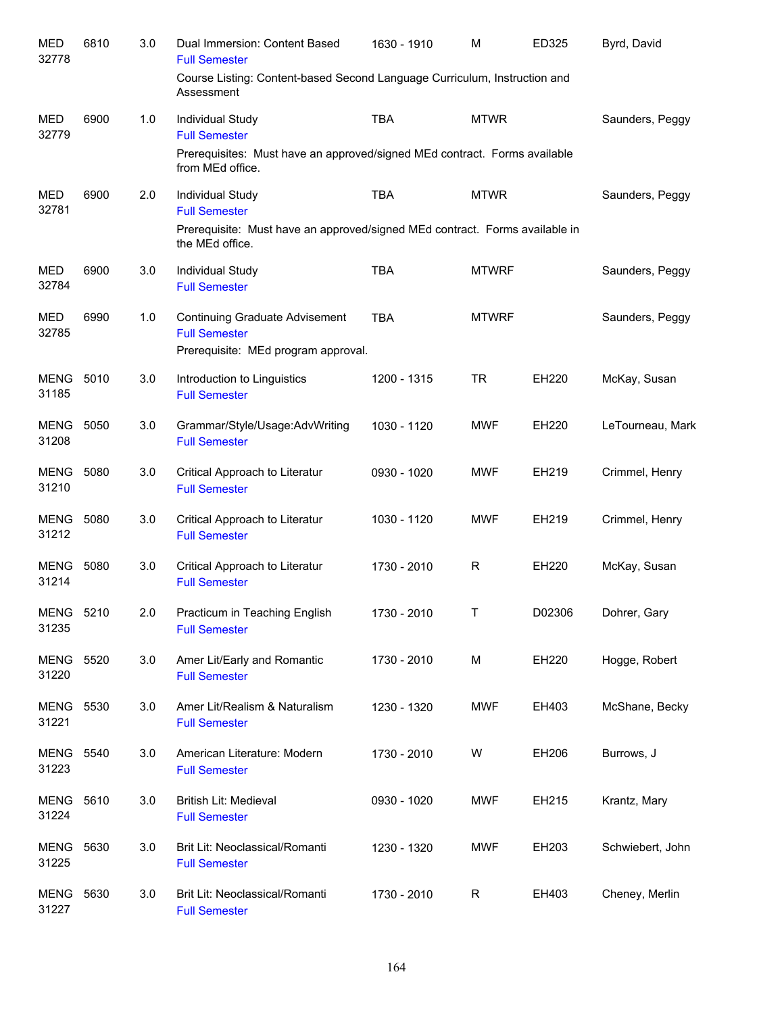| <b>MED</b><br>32778       | 6810 | 3.0 | Dual Immersion: Content Based<br><b>Full Semester</b>                                                | 1630 - 1910 | M            | ED325  | Byrd, David      |
|---------------------------|------|-----|------------------------------------------------------------------------------------------------------|-------------|--------------|--------|------------------|
|                           |      |     | Course Listing: Content-based Second Language Curriculum, Instruction and<br>Assessment              |             |              |        |                  |
| MED<br>32779              | 6900 | 1.0 | Individual Study<br><b>Full Semester</b>                                                             | <b>TBA</b>  | <b>MTWR</b>  |        | Saunders, Peggy  |
|                           |      |     | Prerequisites: Must have an approved/signed MEd contract. Forms available<br>from MEd office.        |             |              |        |                  |
| MED<br>32781              | 6900 | 2.0 | Individual Study<br><b>Full Semester</b>                                                             | <b>TBA</b>  | <b>MTWR</b>  |        | Saunders, Peggy  |
|                           |      |     | Prerequisite: Must have an approved/signed MEd contract. Forms available in<br>the MEd office.       |             |              |        |                  |
| MED<br>32784              | 6900 | 3.0 | Individual Study<br><b>Full Semester</b>                                                             | <b>TBA</b>  | <b>MTWRF</b> |        | Saunders, Peggy  |
| <b>MED</b><br>32785       | 6990 | 1.0 | <b>Continuing Graduate Advisement</b><br><b>Full Semester</b><br>Prerequisite: MEd program approval. | <b>TBA</b>  | <b>MTWRF</b> |        | Saunders, Peggy  |
| <b>MENG 5010</b><br>31185 |      | 3.0 | Introduction to Linguistics<br><b>Full Semester</b>                                                  | 1200 - 1315 | <b>TR</b>    | EH220  | McKay, Susan     |
| MENG<br>31208             | 5050 | 3.0 | Grammar/Style/Usage:AdvWriting<br><b>Full Semester</b>                                               | 1030 - 1120 | <b>MWF</b>   | EH220  | LeTourneau, Mark |
| <b>MENG 5080</b><br>31210 |      | 3.0 | Critical Approach to Literatur<br><b>Full Semester</b>                                               | 0930 - 1020 | <b>MWF</b>   | EH219  | Crimmel, Henry   |
| MENG<br>31212             | 5080 | 3.0 | Critical Approach to Literatur<br><b>Full Semester</b>                                               | 1030 - 1120 | <b>MWF</b>   | EH219  | Crimmel, Henry   |
| <b>MENG 5080</b><br>31214 |      | 3.0 | Critical Approach to Literatur<br><b>Full Semester</b>                                               | 1730 - 2010 | R            | EH220  | McKay, Susan     |
| MENG 5210<br>31235        |      | 2.0 | Practicum in Teaching English<br><b>Full Semester</b>                                                | 1730 - 2010 | Τ            | D02306 | Dohrer, Gary     |
| MENG 5520<br>31220        |      | 3.0 | Amer Lit/Early and Romantic<br><b>Full Semester</b>                                                  | 1730 - 2010 | M            | EH220  | Hogge, Robert    |
| <b>MENG 5530</b><br>31221 |      | 3.0 | Amer Lit/Realism & Naturalism<br><b>Full Semester</b>                                                | 1230 - 1320 | <b>MWF</b>   | EH403  | McShane, Becky   |
| <b>MENG</b><br>31223      | 5540 | 3.0 | American Literature: Modern<br><b>Full Semester</b>                                                  | 1730 - 2010 | W            | EH206  | Burrows, J       |
| MENG<br>31224             | 5610 | 3.0 | British Lit: Medieval<br><b>Full Semester</b>                                                        | 0930 - 1020 | <b>MWF</b>   | EH215  | Krantz, Mary     |
| <b>MENG</b><br>31225      | 5630 | 3.0 | Brit Lit: Neoclassical/Romanti<br><b>Full Semester</b>                                               | 1230 - 1320 | <b>MWF</b>   | EH203  | Schwiebert, John |
| <b>MENG</b><br>31227      | 5630 | 3.0 | Brit Lit: Neoclassical/Romanti<br><b>Full Semester</b>                                               | 1730 - 2010 | $\mathsf{R}$ | EH403  | Cheney, Merlin   |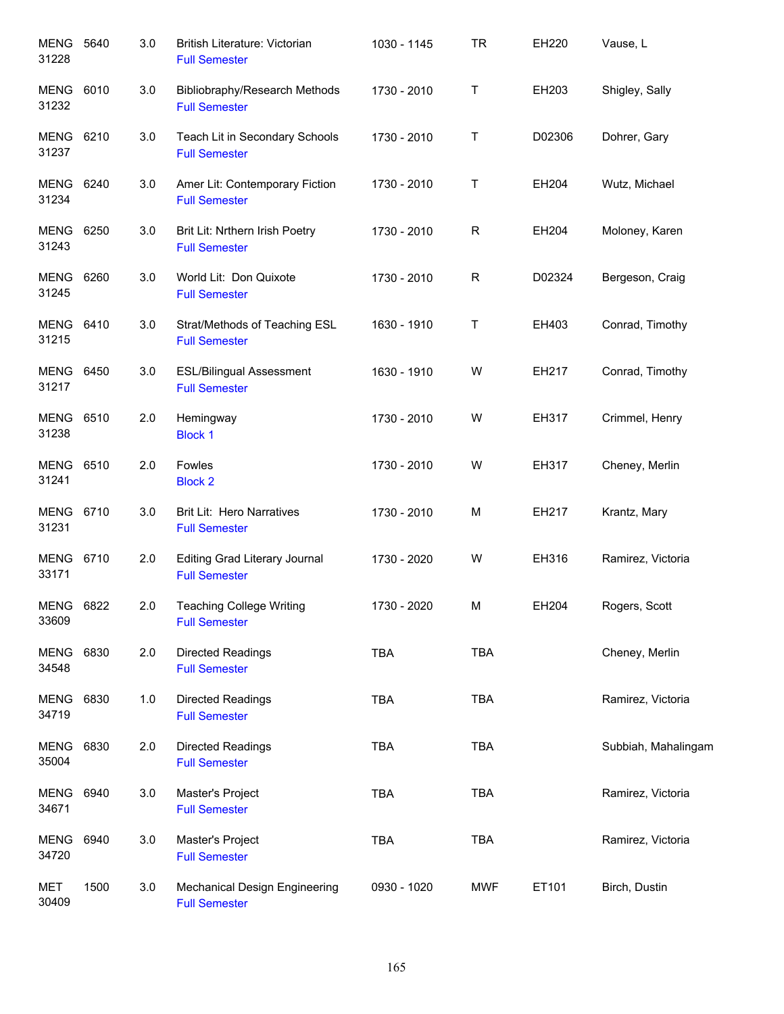| MENG<br>31228             | 5640 | 3.0 | British Literature: Victorian<br><b>Full Semester</b>        | 1030 - 1145 | <b>TR</b>   | EH220  | Vause, L            |
|---------------------------|------|-----|--------------------------------------------------------------|-------------|-------------|--------|---------------------|
| <b>MENG 6010</b><br>31232 |      | 3.0 | Bibliobraphy/Research Methods<br><b>Full Semester</b>        | 1730 - 2010 | $\mathsf T$ | EH203  | Shigley, Sally      |
| MENG 6210<br>31237        |      | 3.0 | Teach Lit in Secondary Schools<br><b>Full Semester</b>       | 1730 - 2010 | Т           | D02306 | Dohrer, Gary        |
| MENG 6240<br>31234        |      | 3.0 | Amer Lit: Contemporary Fiction<br><b>Full Semester</b>       | 1730 - 2010 | Τ           | EH204  | Wutz, Michael       |
| <b>MENG 6250</b><br>31243 |      | 3.0 | Brit Lit: Nrthern Irish Poetry<br><b>Full Semester</b>       | 1730 - 2010 | R           | EH204  | Moloney, Karen      |
| MENG 6260<br>31245        |      | 3.0 | World Lit: Don Quixote<br><b>Full Semester</b>               | 1730 - 2010 | $\mathsf R$ | D02324 | Bergeson, Craig     |
| MENG 6410<br>31215        |      | 3.0 | Strat/Methods of Teaching ESL<br><b>Full Semester</b>        | 1630 - 1910 | $\mathsf T$ | EH403  | Conrad, Timothy     |
| <b>MENG 6450</b><br>31217 |      | 3.0 | <b>ESL/Bilingual Assessment</b><br><b>Full Semester</b>      | 1630 - 1910 | W           | EH217  | Conrad, Timothy     |
| <b>MENG 6510</b><br>31238 |      | 2.0 | Hemingway<br><b>Block 1</b>                                  | 1730 - 2010 | W           | EH317  | Crimmel, Henry      |
| MENG 6510<br>31241        |      | 2.0 | Fowles<br><b>Block 2</b>                                     | 1730 - 2010 | W           | EH317  | Cheney, Merlin      |
| <b>MENG</b><br>31231      | 6710 | 3.0 | <b>Brit Lit: Hero Narratives</b><br><b>Full Semester</b>     | 1730 - 2010 | M           | EH217  | Krantz, Mary        |
| MENG 6710<br>33171        |      | 2.0 | Editing Grad Literary Journal<br><b>Full Semester</b>        | 1730 - 2020 | W           | EH316  | Ramirez, Victoria   |
| <b>MENG 6822</b><br>33609 |      | 2.0 | <b>Teaching College Writing</b><br><b>Full Semester</b>      | 1730 - 2020 | М           | EH204  | Rogers, Scott       |
| MENG 6830<br>34548        |      | 2.0 | Directed Readings<br><b>Full Semester</b>                    | <b>TBA</b>  | <b>TBA</b>  |        | Cheney, Merlin      |
| MENG 6830<br>34719        |      | 1.0 | <b>Directed Readings</b><br><b>Full Semester</b>             | <b>TBA</b>  | <b>TBA</b>  |        | Ramirez, Victoria   |
| <b>MENG</b><br>35004      | 6830 | 2.0 | Directed Readings<br><b>Full Semester</b>                    | <b>TBA</b>  | <b>TBA</b>  |        | Subbiah, Mahalingam |
| MENG 6940<br>34671        |      | 3.0 | Master's Project<br><b>Full Semester</b>                     | <b>TBA</b>  | <b>TBA</b>  |        | Ramirez, Victoria   |
| <b>MENG</b><br>34720      | 6940 | 3.0 | Master's Project<br><b>Full Semester</b>                     | <b>TBA</b>  | <b>TBA</b>  |        | Ramirez, Victoria   |
| <b>MET</b><br>30409       | 1500 | 3.0 | <b>Mechanical Design Engineering</b><br><b>Full Semester</b> | 0930 - 1020 | MWF         | ET101  | Birch, Dustin       |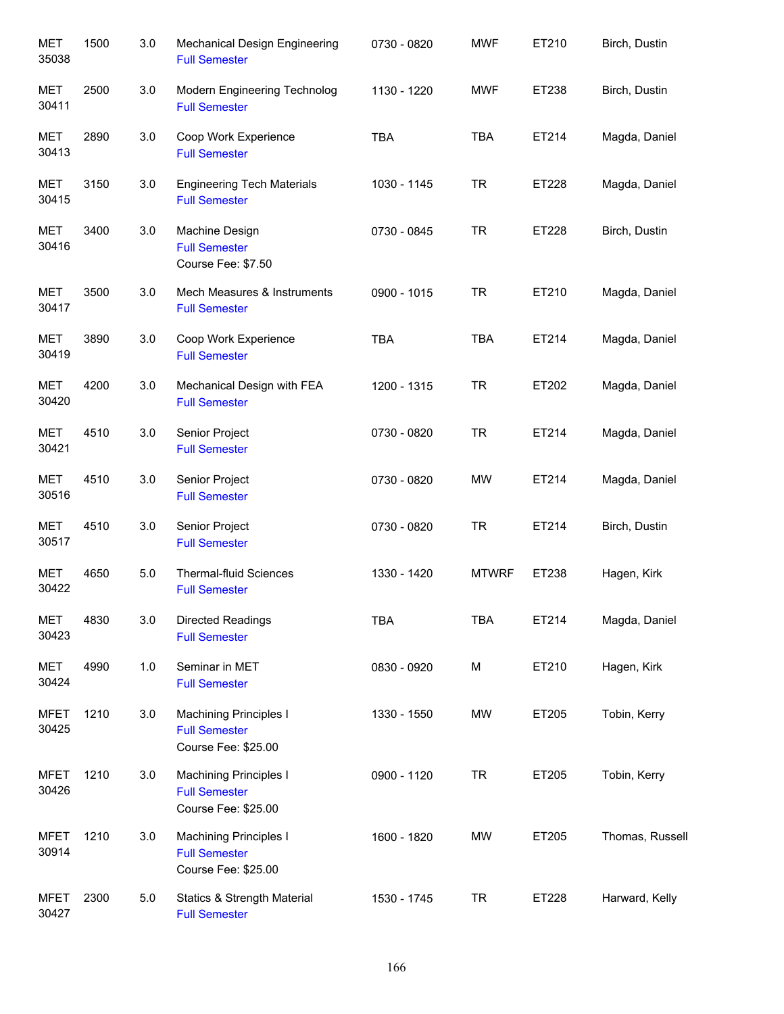| <b>MET</b><br>35038  | 1500 | 3.0 | <b>Mechanical Design Engineering</b><br><b>Full Semester</b>                 | 0730 - 0820 | <b>MWF</b>   | ET210 | Birch, Dustin   |
|----------------------|------|-----|------------------------------------------------------------------------------|-------------|--------------|-------|-----------------|
| <b>MET</b><br>30411  | 2500 | 3.0 | Modern Engineering Technolog<br><b>Full Semester</b>                         | 1130 - 1220 | <b>MWF</b>   | ET238 | Birch, Dustin   |
| <b>MET</b><br>30413  | 2890 | 3.0 | Coop Work Experience<br><b>Full Semester</b>                                 | <b>TBA</b>  | <b>TBA</b>   | ET214 | Magda, Daniel   |
| MET<br>30415         | 3150 | 3.0 | <b>Engineering Tech Materials</b><br><b>Full Semester</b>                    | 1030 - 1145 | <b>TR</b>    | ET228 | Magda, Daniel   |
| MET<br>30416         | 3400 | 3.0 | Machine Design<br><b>Full Semester</b><br>Course Fee: \$7.50                 | 0730 - 0845 | <b>TR</b>    | ET228 | Birch, Dustin   |
| MET<br>30417         | 3500 | 3.0 | Mech Measures & Instruments<br><b>Full Semester</b>                          | 0900 - 1015 | <b>TR</b>    | ET210 | Magda, Daniel   |
| MET<br>30419         | 3890 | 3.0 | Coop Work Experience<br><b>Full Semester</b>                                 | <b>TBA</b>  | <b>TBA</b>   | ET214 | Magda, Daniel   |
| MET<br>30420         | 4200 | 3.0 | Mechanical Design with FEA<br><b>Full Semester</b>                           | 1200 - 1315 | <b>TR</b>    | ET202 | Magda, Daniel   |
| <b>MET</b><br>30421  | 4510 | 3.0 | Senior Project<br><b>Full Semester</b>                                       | 0730 - 0820 | <b>TR</b>    | ET214 | Magda, Daniel   |
| <b>MET</b><br>30516  | 4510 | 3.0 | Senior Project<br><b>Full Semester</b>                                       | 0730 - 0820 | <b>MW</b>    | ET214 | Magda, Daniel   |
| <b>MET</b><br>30517  | 4510 | 3.0 | Senior Project<br><b>Full Semester</b>                                       | 0730 - 0820 | <b>TR</b>    | ET214 | Birch, Dustin   |
| <b>MET</b><br>30422  | 4650 | 5.0 | Thermal-fluid Sciences<br><b>Full Semester</b>                               | 1330 - 1420 | <b>MTWRF</b> | ET238 | Hagen, Kirk     |
| <b>MET</b><br>30423  | 4830 | 3.0 | Directed Readings<br><b>Full Semester</b>                                    | <b>TBA</b>  | <b>TBA</b>   | ET214 | Magda, Daniel   |
| MET<br>30424         | 4990 | 1.0 | Seminar in MET<br><b>Full Semester</b>                                       | 0830 - 0920 | M            | ET210 | Hagen, Kirk     |
| <b>MFET</b><br>30425 | 1210 | 3.0 | <b>Machining Principles I</b><br><b>Full Semester</b><br>Course Fee: \$25.00 | 1330 - 1550 | MW           | ET205 | Tobin, Kerry    |
| <b>MFET</b><br>30426 | 1210 | 3.0 | <b>Machining Principles I</b><br><b>Full Semester</b><br>Course Fee: \$25.00 | 0900 - 1120 | <b>TR</b>    | ET205 | Tobin, Kerry    |
| <b>MFET</b><br>30914 | 1210 | 3.0 | <b>Machining Principles I</b><br><b>Full Semester</b><br>Course Fee: \$25.00 | 1600 - 1820 | <b>MW</b>    | ET205 | Thomas, Russell |
| <b>MFET</b><br>30427 | 2300 | 5.0 | Statics & Strength Material<br><b>Full Semester</b>                          | 1530 - 1745 | <b>TR</b>    | ET228 | Harward, Kelly  |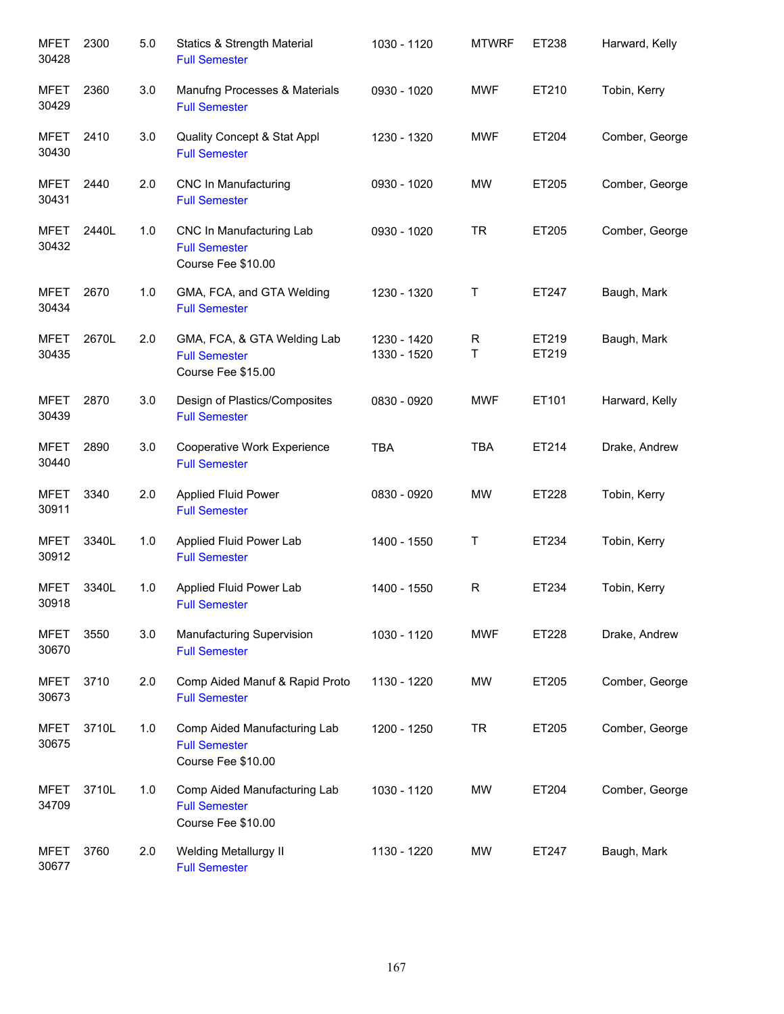| <b>MFET</b><br>30428 | 2300  | 5.0 | <b>Statics &amp; Strength Material</b><br><b>Full Semester</b>             | 1030 - 1120                | <b>MTWRF</b> | ET238          | Harward, Kelly |
|----------------------|-------|-----|----------------------------------------------------------------------------|----------------------------|--------------|----------------|----------------|
| <b>MFET</b><br>30429 | 2360  | 3.0 | Manufng Processes & Materials<br><b>Full Semester</b>                      | 0930 - 1020                | <b>MWF</b>   | ET210          | Tobin, Kerry   |
| <b>MFET</b><br>30430 | 2410  | 3.0 | Quality Concept & Stat Appl<br><b>Full Semester</b>                        | 1230 - 1320                | <b>MWF</b>   | ET204          | Comber, George |
| <b>MFET</b><br>30431 | 2440  | 2.0 | <b>CNC In Manufacturing</b><br><b>Full Semester</b>                        | 0930 - 1020                | MW           | ET205          | Comber, George |
| <b>MFET</b><br>30432 | 2440L | 1.0 | CNC In Manufacturing Lab<br><b>Full Semester</b><br>Course Fee \$10.00     | 0930 - 1020                | <b>TR</b>    | ET205          | Comber, George |
| <b>MFET</b><br>30434 | 2670  | 1.0 | GMA, FCA, and GTA Welding<br><b>Full Semester</b>                          | 1230 - 1320                | T            | ET247          | Baugh, Mark    |
| <b>MFET</b><br>30435 | 2670L | 2.0 | GMA, FCA, & GTA Welding Lab<br><b>Full Semester</b><br>Course Fee \$15.00  | 1230 - 1420<br>1330 - 1520 | R<br>T       | ET219<br>ET219 | Baugh, Mark    |
| <b>MFET</b><br>30439 | 2870  | 3.0 | Design of Plastics/Composites<br><b>Full Semester</b>                      | 0830 - 0920                | <b>MWF</b>   | ET101          | Harward, Kelly |
| <b>MFET</b><br>30440 | 2890  | 3.0 | Cooperative Work Experience<br><b>Full Semester</b>                        | <b>TBA</b>                 | <b>TBA</b>   | ET214          | Drake, Andrew  |
| <b>MFET</b><br>30911 | 3340  | 2.0 | <b>Applied Fluid Power</b><br><b>Full Semester</b>                         | 0830 - 0920                | MW           | ET228          | Tobin, Kerry   |
| <b>MFET</b><br>30912 | 3340L | 1.0 | Applied Fluid Power Lab<br><b>Full Semester</b>                            | 1400 - 1550                | Τ            | ET234          | Tobin, Kerry   |
| <b>MFET</b><br>30918 | 3340L | 1.0 | Applied Fluid Power Lab<br><b>Full Semester</b>                            | 1400 - 1550                | $\mathsf{R}$ | ET234          | Tobin, Kerry   |
| <b>MFET</b><br>30670 | 3550  | 3.0 | Manufacturing Supervision<br><b>Full Semester</b>                          | 1030 - 1120                | <b>MWF</b>   | ET228          | Drake, Andrew  |
| <b>MFET</b><br>30673 | 3710  | 2.0 | Comp Aided Manuf & Rapid Proto<br><b>Full Semester</b>                     | 1130 - 1220                | MW           | ET205          | Comber, George |
| <b>MFET</b><br>30675 | 3710L | 1.0 | Comp Aided Manufacturing Lab<br><b>Full Semester</b><br>Course Fee \$10.00 | 1200 - 1250                | <b>TR</b>    | ET205          | Comber, George |
| <b>MFET</b><br>34709 | 3710L | 1.0 | Comp Aided Manufacturing Lab<br><b>Full Semester</b><br>Course Fee \$10.00 | 1030 - 1120                | MW           | ET204          | Comber, George |
| <b>MFET</b><br>30677 | 3760  | 2.0 | <b>Welding Metallurgy II</b><br><b>Full Semester</b>                       | 1130 - 1220                | MW           | ET247          | Baugh, Mark    |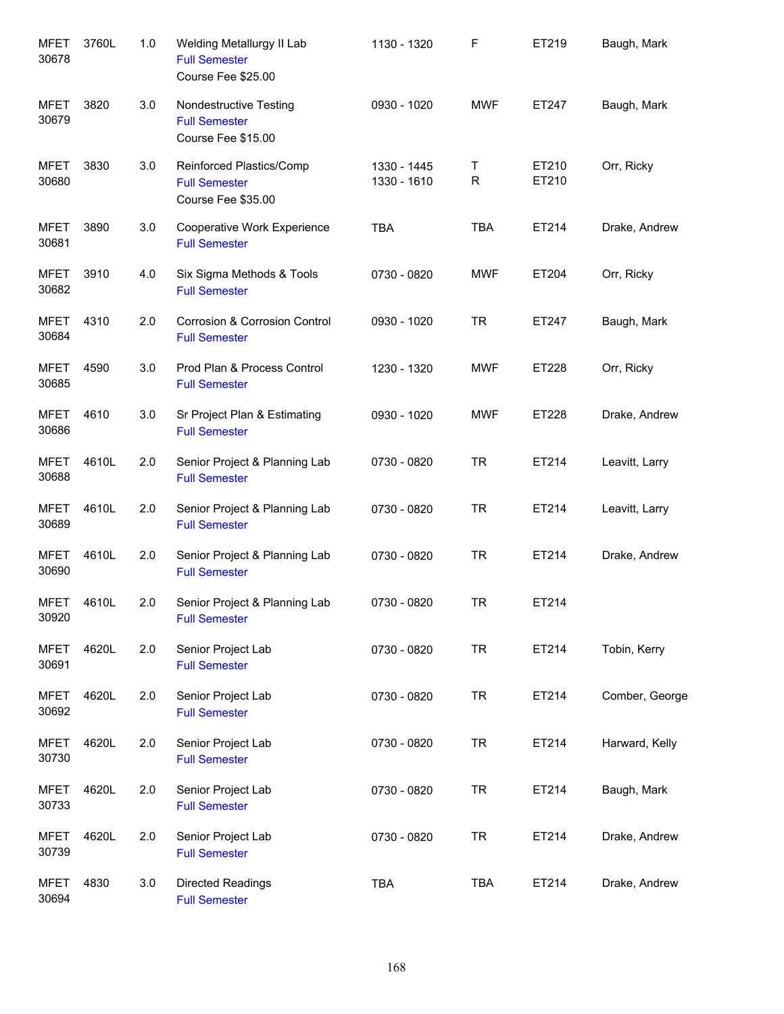| <b>MFET</b><br>30678 | 3760L | 1.0 | Welding Metallurgy II Lab<br><b>Full Semester</b><br>Course Fee \$25.00 | 1130 - 1320                | F          | ET219          | Baugh, Mark    |
|----------------------|-------|-----|-------------------------------------------------------------------------|----------------------------|------------|----------------|----------------|
| <b>MFET</b><br>30679 | 3820  | 3.0 | Nondestructive Testing<br><b>Full Semester</b><br>Course Fee \$15.00    | 0930 - 1020                | <b>MWF</b> | ET247          | Baugh, Mark    |
| <b>MFET</b><br>30680 | 3830  | 3.0 | Reinforced Plastics/Comp<br><b>Full Semester</b><br>Course Fee \$35.00  | 1330 - 1445<br>1330 - 1610 | Т<br>R     | ET210<br>ET210 | Orr, Ricky     |
| <b>MFET</b><br>30681 | 3890  | 3.0 | Cooperative Work Experience<br><b>Full Semester</b>                     | <b>TBA</b>                 | <b>TBA</b> | ET214          | Drake, Andrew  |
| <b>MFET</b><br>30682 | 3910  | 4.0 | Six Sigma Methods & Tools<br><b>Full Semester</b>                       | 0730 - 0820                | <b>MWF</b> | ET204          | Orr, Ricky     |
| <b>MFET</b><br>30684 | 4310  | 2.0 | Corrosion & Corrosion Control<br><b>Full Semester</b>                   | 0930 - 1020                | <b>TR</b>  | ET247          | Baugh, Mark    |
| <b>MFET</b><br>30685 | 4590  | 3.0 | Prod Plan & Process Control<br><b>Full Semester</b>                     | 1230 - 1320                | <b>MWF</b> | ET228          | Orr, Ricky     |
| <b>MFET</b><br>30686 | 4610  | 3.0 | Sr Project Plan & Estimating<br><b>Full Semester</b>                    | 0930 - 1020                | <b>MWF</b> | ET228          | Drake, Andrew  |
| <b>MFET</b><br>30688 | 4610L | 2.0 | Senior Project & Planning Lab<br><b>Full Semester</b>                   | 0730 - 0820                | <b>TR</b>  | ET214          | Leavitt, Larry |
| <b>MFET</b><br>30689 | 4610L | 2.0 | Senior Project & Planning Lab<br><b>Full Semester</b>                   | 0730 - 0820                | <b>TR</b>  | ET214          | Leavitt, Larry |
| <b>MFET</b><br>30690 | 4610L | 2.0 | Senior Project & Planning Lab<br><b>Full Semester</b>                   | 0730 - 0820                | <b>TR</b>  | ET214          | Drake, Andrew  |
| MFET<br>30920        | 4610L | 2.0 | Senior Project & Planning Lab<br><b>Full Semester</b>                   | 0730 - 0820                | <b>TR</b>  | ET214          |                |
| <b>MFET</b><br>30691 | 4620L | 2.0 | Senior Project Lab<br><b>Full Semester</b>                              | 0730 - 0820                | <b>TR</b>  | ET214          | Tobin, Kerry   |
| <b>MFET</b><br>30692 | 4620L | 2.0 | Senior Project Lab<br><b>Full Semester</b>                              | 0730 - 0820                | <b>TR</b>  | ET214          | Comber, George |
| <b>MFET</b><br>30730 | 4620L | 2.0 | Senior Project Lab<br><b>Full Semester</b>                              | 0730 - 0820                | <b>TR</b>  | ET214          | Harward, Kelly |
| <b>MFET</b><br>30733 | 4620L | 2.0 | Senior Project Lab<br><b>Full Semester</b>                              | 0730 - 0820                | <b>TR</b>  | ET214          | Baugh, Mark    |
| <b>MFET</b><br>30739 | 4620L | 2.0 | Senior Project Lab<br><b>Full Semester</b>                              | 0730 - 0820                | <b>TR</b>  | ET214          | Drake, Andrew  |
| <b>MFET</b><br>30694 | 4830  | 3.0 | Directed Readings<br><b>Full Semester</b>                               | <b>TBA</b>                 | <b>TBA</b> | ET214          | Drake, Andrew  |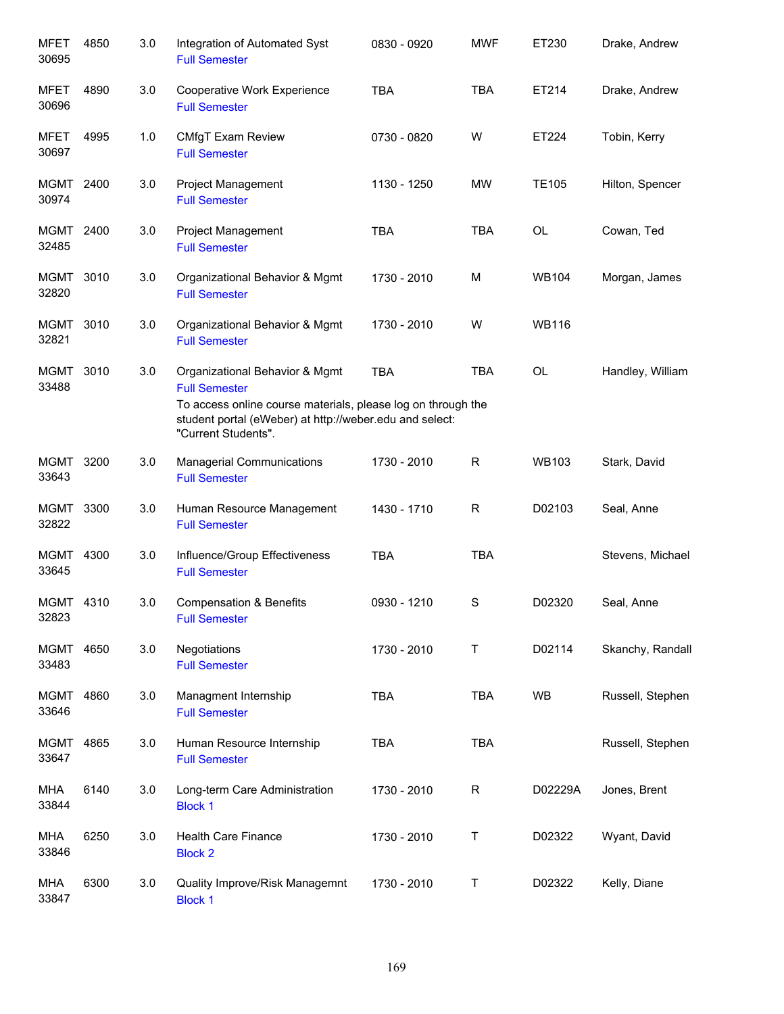| <b>MFET</b><br>30695 | 4850 | 3.0 | Integration of Automated Syst<br><b>Full Semester</b>                                                                                                                                                    | 0830 - 0920 | <b>MWF</b> | ET230        | Drake, Andrew    |
|----------------------|------|-----|----------------------------------------------------------------------------------------------------------------------------------------------------------------------------------------------------------|-------------|------------|--------------|------------------|
| <b>MFET</b><br>30696 | 4890 | 3.0 | Cooperative Work Experience<br><b>Full Semester</b>                                                                                                                                                      | <b>TBA</b>  | <b>TBA</b> | ET214        | Drake, Andrew    |
| <b>MFET</b><br>30697 | 4995 | 1.0 | CMfgT Exam Review<br><b>Full Semester</b>                                                                                                                                                                | 0730 - 0820 | W          | ET224        | Tobin, Kerry     |
| MGMT 2400<br>30974   |      | 3.0 | Project Management<br><b>Full Semester</b>                                                                                                                                                               | 1130 - 1250 | <b>MW</b>  | <b>TE105</b> | Hilton, Spencer  |
| MGMT 2400<br>32485   |      | 3.0 | <b>Project Management</b><br><b>Full Semester</b>                                                                                                                                                        | <b>TBA</b>  | <b>TBA</b> | <b>OL</b>    | Cowan, Ted       |
| MGMT 3010<br>32820   |      | 3.0 | Organizational Behavior & Mgmt<br><b>Full Semester</b>                                                                                                                                                   | 1730 - 2010 | M          | <b>WB104</b> | Morgan, James    |
| <b>MGMT</b><br>32821 | 3010 | 3.0 | Organizational Behavior & Mgmt<br><b>Full Semester</b>                                                                                                                                                   | 1730 - 2010 | W          | <b>WB116</b> |                  |
| <b>MGMT</b><br>33488 | 3010 | 3.0 | Organizational Behavior & Mgmt<br><b>Full Semester</b><br>To access online course materials, please log on through the<br>student portal (eWeber) at http://weber.edu and select:<br>"Current Students". | <b>TBA</b>  | <b>TBA</b> | OL           | Handley, William |
| MGMT 3200<br>33643   |      | 3.0 | <b>Managerial Communications</b><br><b>Full Semester</b>                                                                                                                                                 | 1730 - 2010 | R          | <b>WB103</b> | Stark, David     |
| MGMT<br>32822        | 3300 | 3.0 | Human Resource Management<br><b>Full Semester</b>                                                                                                                                                        | 1430 - 1710 | R          | D02103       | Seal, Anne       |
| MGMT 4300<br>33645   |      | 3.0 | Influence/Group Effectiveness<br><b>Full Semester</b>                                                                                                                                                    | <b>TBA</b>  | <b>TBA</b> |              | Stevens, Michael |
| MGMT 4310<br>32823   |      | 3.0 | <b>Compensation &amp; Benefits</b><br><b>Full Semester</b>                                                                                                                                               | 0930 - 1210 | S          | D02320       | Seal, Anne       |
| MGMT<br>33483        | 4650 | 3.0 | Negotiations<br><b>Full Semester</b>                                                                                                                                                                     | 1730 - 2010 | Τ          | D02114       | Skanchy, Randall |
| MGMT<br>33646        | 4860 | 3.0 | Managment Internship<br><b>Full Semester</b>                                                                                                                                                             | <b>TBA</b>  | <b>TBA</b> | <b>WB</b>    | Russell, Stephen |
| MGMT<br>33647        | 4865 | 3.0 | Human Resource Internship<br><b>Full Semester</b>                                                                                                                                                        | <b>TBA</b>  | <b>TBA</b> |              | Russell, Stephen |
| <b>MHA</b><br>33844  | 6140 | 3.0 | Long-term Care Administration<br><b>Block 1</b>                                                                                                                                                          | 1730 - 2010 | R          | D02229A      | Jones, Brent     |
| <b>MHA</b><br>33846  | 6250 | 3.0 | <b>Health Care Finance</b><br><b>Block 2</b>                                                                                                                                                             | 1730 - 2010 | Т          | D02322       | Wyant, David     |
| <b>MHA</b><br>33847  | 6300 | 3.0 | Quality Improve/Risk Managemnt<br><b>Block 1</b>                                                                                                                                                         | 1730 - 2010 | Τ          | D02322       | Kelly, Diane     |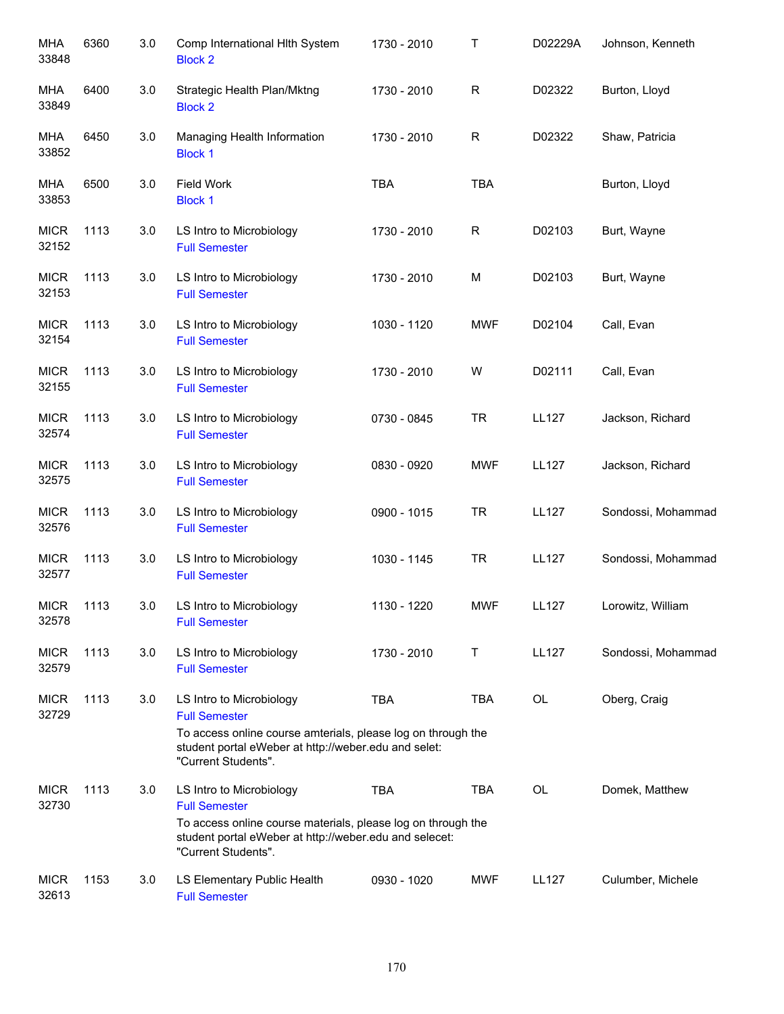| <b>MHA</b><br>33848  | 6360 | 3.0 | Comp International Hlth System<br><b>Block 2</b>                                                                                                                                                  | 1730 - 2010 | Т           | D02229A      | Johnson, Kenneth   |
|----------------------|------|-----|---------------------------------------------------------------------------------------------------------------------------------------------------------------------------------------------------|-------------|-------------|--------------|--------------------|
| MHA<br>33849         | 6400 | 3.0 | Strategic Health Plan/Mktng<br><b>Block 2</b>                                                                                                                                                     | 1730 - 2010 | $\mathsf R$ | D02322       | Burton, Lloyd      |
| MHA<br>33852         | 6450 | 3.0 | Managing Health Information<br><b>Block 1</b>                                                                                                                                                     | 1730 - 2010 | $\mathsf R$ | D02322       | Shaw, Patricia     |
| <b>MHA</b><br>33853  | 6500 | 3.0 | Field Work<br><b>Block 1</b>                                                                                                                                                                      | <b>TBA</b>  | <b>TBA</b>  |              | Burton, Lloyd      |
| <b>MICR</b><br>32152 | 1113 | 3.0 | LS Intro to Microbiology<br><b>Full Semester</b>                                                                                                                                                  | 1730 - 2010 | R           | D02103       | Burt, Wayne        |
| <b>MICR</b><br>32153 | 1113 | 3.0 | LS Intro to Microbiology<br><b>Full Semester</b>                                                                                                                                                  | 1730 - 2010 | M           | D02103       | Burt, Wayne        |
| <b>MICR</b><br>32154 | 1113 | 3.0 | LS Intro to Microbiology<br><b>Full Semester</b>                                                                                                                                                  | 1030 - 1120 | <b>MWF</b>  | D02104       | Call, Evan         |
| <b>MICR</b><br>32155 | 1113 | 3.0 | LS Intro to Microbiology<br><b>Full Semester</b>                                                                                                                                                  | 1730 - 2010 | W           | D02111       | Call, Evan         |
| <b>MICR</b><br>32574 | 1113 | 3.0 | LS Intro to Microbiology<br><b>Full Semester</b>                                                                                                                                                  | 0730 - 0845 | <b>TR</b>   | <b>LL127</b> | Jackson, Richard   |
| <b>MICR</b><br>32575 | 1113 | 3.0 | LS Intro to Microbiology<br><b>Full Semester</b>                                                                                                                                                  | 0830 - 0920 | <b>MWF</b>  | <b>LL127</b> | Jackson, Richard   |
| <b>MICR</b><br>32576 | 1113 | 3.0 | LS Intro to Microbiology<br><b>Full Semester</b>                                                                                                                                                  | 0900 - 1015 | <b>TR</b>   | <b>LL127</b> | Sondossi, Mohammad |
| <b>MICR</b><br>32577 | 1113 | 3.0 | LS Intro to Microbiology<br><b>Full Semester</b>                                                                                                                                                  | 1030 - 1145 | <b>TR</b>   | <b>LL127</b> | Sondossi, Mohammad |
| <b>MICR</b><br>32578 | 1113 | 3.0 | LS Intro to Microbiology<br><b>Full Semester</b>                                                                                                                                                  | 1130 - 1220 | <b>MWF</b>  | LL127        | Lorowitz, William  |
| <b>MICR</b><br>32579 | 1113 | 3.0 | LS Intro to Microbiology<br><b>Full Semester</b>                                                                                                                                                  | 1730 - 2010 | Т           | <b>LL127</b> | Sondossi, Mohammad |
| <b>MICR</b><br>32729 | 1113 | 3.0 | LS Intro to Microbiology<br><b>Full Semester</b><br>To access online course amterials, please log on through the<br>student portal eWeber at http://weber.edu and selet:<br>"Current Students".   | <b>TBA</b>  | TBA         | OL           | Oberg, Craig       |
| <b>MICR</b><br>32730 | 1113 | 3.0 | LS Intro to Microbiology<br><b>Full Semester</b><br>To access online course materials, please log on through the<br>student portal eWeber at http://weber.edu and selecet:<br>"Current Students". | <b>TBA</b>  | TBA         | OL           | Domek, Matthew     |
| <b>MICR</b><br>32613 | 1153 | 3.0 | LS Elementary Public Health<br><b>Full Semester</b>                                                                                                                                               | 0930 - 1020 | <b>MWF</b>  | LL127        | Culumber, Michele  |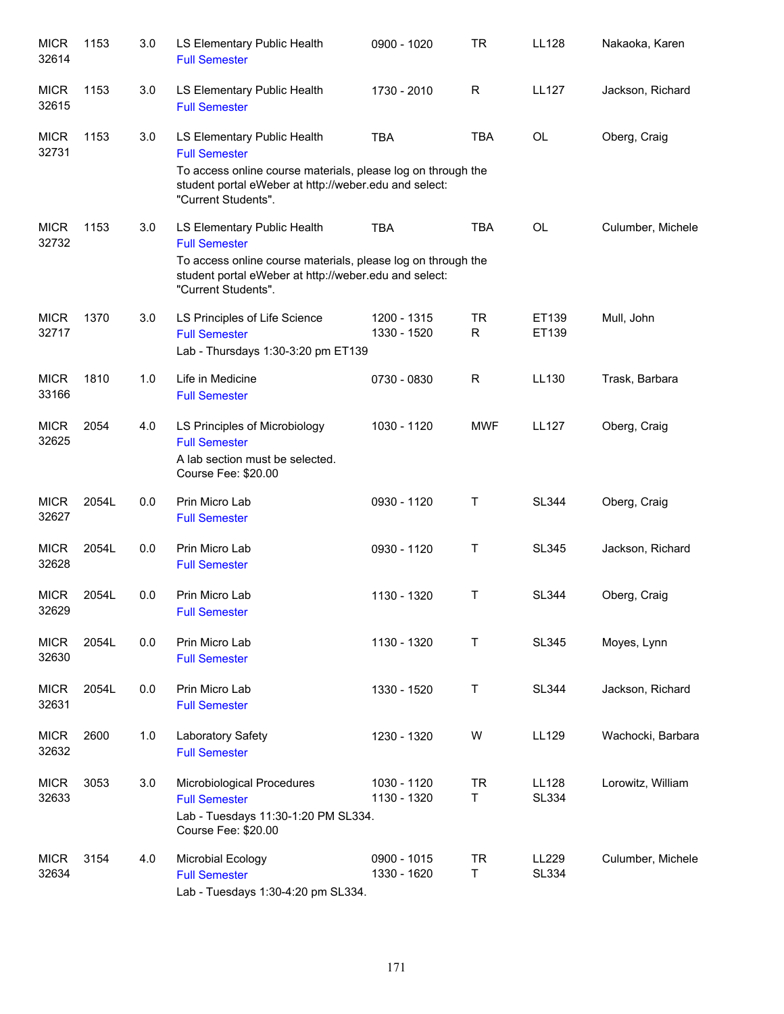| <b>MICR</b><br>32614 | 1153  | 3.0 | LS Elementary Public Health<br><b>Full Semester</b>                                                                                                                                                 | 0900 - 1020                | TR             | LL128                        | Nakaoka, Karen    |
|----------------------|-------|-----|-----------------------------------------------------------------------------------------------------------------------------------------------------------------------------------------------------|----------------------------|----------------|------------------------------|-------------------|
| <b>MICR</b><br>32615 | 1153  | 3.0 | LS Elementary Public Health<br><b>Full Semester</b>                                                                                                                                                 | 1730 - 2010                | R              | <b>LL127</b>                 | Jackson, Richard  |
| <b>MICR</b><br>32731 | 1153  | 3.0 | LS Elementary Public Health<br><b>Full Semester</b><br>To access online course materials, please log on through the<br>student portal eWeber at http://weber.edu and select:<br>"Current Students". | <b>TBA</b>                 | <b>TBA</b>     | OL                           | Oberg, Craig      |
| <b>MICR</b><br>32732 | 1153  | 3.0 | LS Elementary Public Health<br><b>Full Semester</b><br>To access online course materials, please log on through the<br>student portal eWeber at http://weber.edu and select:<br>"Current Students". | <b>TBA</b>                 | <b>TBA</b>     | <b>OL</b>                    | Culumber, Michele |
| <b>MICR</b><br>32717 | 1370  | 3.0 | LS Principles of Life Science<br><b>Full Semester</b><br>Lab - Thursdays 1:30-3:20 pm ET139                                                                                                         | 1200 - 1315<br>1330 - 1520 | <b>TR</b><br>R | ET139<br>ET139               | Mull, John        |
| <b>MICR</b><br>33166 | 1810  | 1.0 | Life in Medicine<br><b>Full Semester</b>                                                                                                                                                            | 0730 - 0830                | R              | LL130                        | Trask, Barbara    |
| <b>MICR</b><br>32625 | 2054  | 4.0 | LS Principles of Microbiology<br><b>Full Semester</b><br>A lab section must be selected.<br>Course Fee: \$20.00                                                                                     | 1030 - 1120                | <b>MWF</b>     | <b>LL127</b>                 | Oberg, Craig      |
| <b>MICR</b><br>32627 | 2054L | 0.0 | Prin Micro Lab<br><b>Full Semester</b>                                                                                                                                                              | 0930 - 1120                | Τ              | <b>SL344</b>                 | Oberg, Craig      |
| <b>MICR</b><br>32628 | 2054L | 0.0 | Prin Micro Lab<br><b>Full Semester</b>                                                                                                                                                              | 0930 - 1120                | Τ              | <b>SL345</b>                 | Jackson, Richard  |
| <b>MICR</b><br>32629 | 2054L | 0.0 | Prin Micro Lab<br><b>Full Semester</b>                                                                                                                                                              | 1130 - 1320                | Т              | <b>SL344</b>                 | Oberg, Craig      |
| <b>MICR</b><br>32630 | 2054L | 0.0 | Prin Micro Lab<br><b>Full Semester</b>                                                                                                                                                              | 1130 - 1320                | T              | <b>SL345</b>                 | Moyes, Lynn       |
| <b>MICR</b><br>32631 | 2054L | 0.0 | Prin Micro Lab<br><b>Full Semester</b>                                                                                                                                                              | 1330 - 1520                | T              | <b>SL344</b>                 | Jackson, Richard  |
| <b>MICR</b><br>32632 | 2600  | 1.0 | Laboratory Safety<br><b>Full Semester</b>                                                                                                                                                           | 1230 - 1320                | W              | LL129                        | Wachocki, Barbara |
| <b>MICR</b><br>32633 | 3053  | 3.0 | Microbiological Procedures<br><b>Full Semester</b><br>Lab - Tuesdays 11:30-1:20 PM SL334.<br>Course Fee: \$20.00                                                                                    | 1030 - 1120<br>1130 - 1320 | <b>TR</b><br>T | <b>LL128</b><br><b>SL334</b> | Lorowitz, William |
| <b>MICR</b><br>32634 | 3154  | 4.0 | Microbial Ecology<br><b>Full Semester</b><br>Lab - Tuesdays 1:30-4:20 pm SL334.                                                                                                                     | 0900 - 1015<br>1330 - 1620 | <b>TR</b><br>Τ | LL229<br><b>SL334</b>        | Culumber, Michele |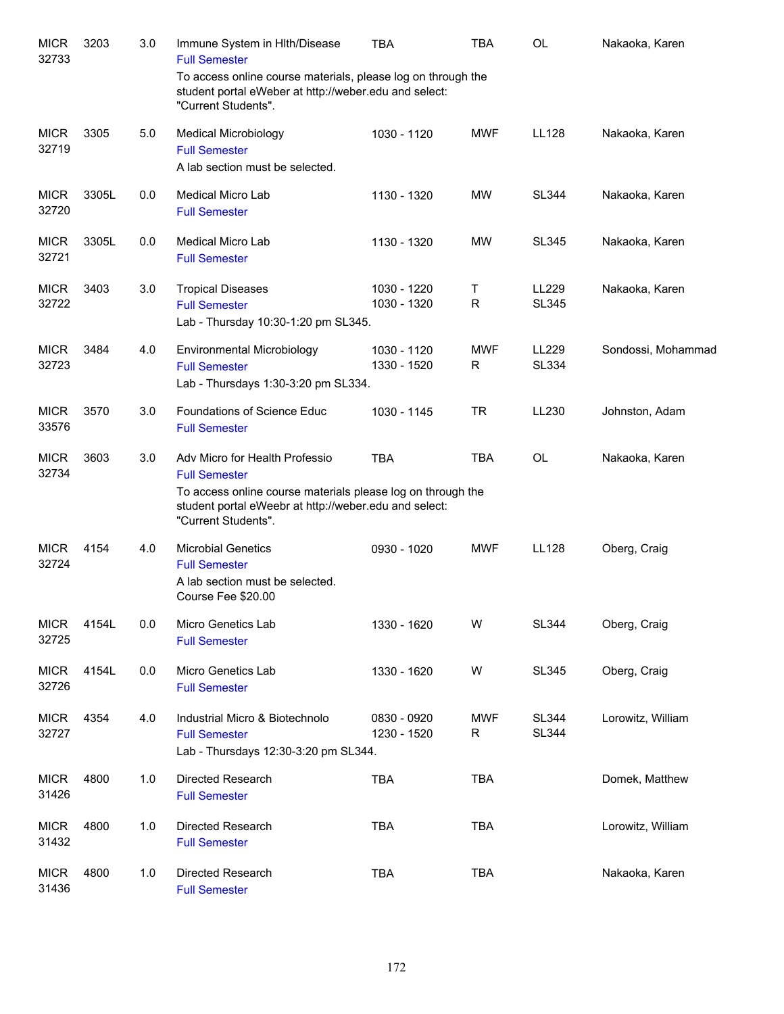| <b>MICR</b><br>32733 | 3203  | 3.0 | Immune System in Hlth/Disease<br><b>Full Semester</b>                                                                                                                                                 | <b>TBA</b>                 | <b>TBA</b>       | <b>OL</b>                    | Nakaoka, Karen     |
|----------------------|-------|-----|-------------------------------------------------------------------------------------------------------------------------------------------------------------------------------------------------------|----------------------------|------------------|------------------------------|--------------------|
|                      |       |     | To access online course materials, please log on through the<br>student portal eWeber at http://weber.edu and select:<br>"Current Students".                                                          |                            |                  |                              |                    |
| <b>MICR</b><br>32719 | 3305  | 5.0 | <b>Medical Microbiology</b><br><b>Full Semester</b><br>A lab section must be selected.                                                                                                                | 1030 - 1120                | <b>MWF</b>       | <b>LL128</b>                 | Nakaoka, Karen     |
| <b>MICR</b><br>32720 | 3305L | 0.0 | Medical Micro Lab<br><b>Full Semester</b>                                                                                                                                                             | 1130 - 1320                | MW               | <b>SL344</b>                 | Nakaoka, Karen     |
| <b>MICR</b><br>32721 | 3305L | 0.0 | Medical Micro Lab<br><b>Full Semester</b>                                                                                                                                                             | 1130 - 1320                | <b>MW</b>        | <b>SL345</b>                 | Nakaoka, Karen     |
| <b>MICR</b><br>32722 | 3403  | 3.0 | <b>Tropical Diseases</b><br><b>Full Semester</b><br>Lab - Thursday 10:30-1:20 pm SL345.                                                                                                               | 1030 - 1220<br>1030 - 1320 | Τ<br>$\mathsf R$ | LL229<br><b>SL345</b>        | Nakaoka, Karen     |
| <b>MICR</b><br>32723 | 3484  | 4.0 | Environmental Microbiology<br><b>Full Semester</b><br>Lab - Thursdays 1:30-3:20 pm SL334.                                                                                                             | 1030 - 1120<br>1330 - 1520 | <b>MWF</b><br>R  | LL229<br><b>SL334</b>        | Sondossi, Mohammad |
| <b>MICR</b><br>33576 | 3570  | 3.0 | Foundations of Science Educ<br><b>Full Semester</b>                                                                                                                                                   | 1030 - 1145                | <b>TR</b>        | LL230                        | Johnston, Adam     |
| <b>MICR</b><br>32734 | 3603  | 3.0 | Adv Micro for Health Professio<br><b>Full Semester</b><br>To access online course materials please log on through the<br>student portal eWeebr at http://weber.edu and select:<br>"Current Students". | <b>TBA</b>                 | <b>TBA</b>       | <b>OL</b>                    | Nakaoka, Karen     |
| <b>MICR</b><br>32724 | 4154  | 4.0 | <b>Microbial Genetics</b><br><b>Full Semester</b><br>A lab section must be selected.<br>Course Fee \$20.00                                                                                            | 0930 - 1020                | <b>MWF</b>       | <b>LL128</b>                 | Oberg, Craig       |
| <b>MICR</b><br>32725 | 4154L | 0.0 | Micro Genetics Lab<br><b>Full Semester</b>                                                                                                                                                            | 1330 - 1620                | W                | <b>SL344</b>                 | Oberg, Craig       |
| <b>MICR</b><br>32726 | 4154L | 0.0 | Micro Genetics Lab<br><b>Full Semester</b>                                                                                                                                                            | 1330 - 1620                | W                | <b>SL345</b>                 | Oberg, Craig       |
| <b>MICR</b><br>32727 | 4354  | 4.0 | Industrial Micro & Biotechnolo<br><b>Full Semester</b><br>Lab - Thursdays 12:30-3:20 pm SL344.                                                                                                        | 0830 - 0920<br>1230 - 1520 | <b>MWF</b><br>R  | <b>SL344</b><br><b>SL344</b> | Lorowitz, William  |
| <b>MICR</b><br>31426 | 4800  | 1.0 | Directed Research<br><b>Full Semester</b>                                                                                                                                                             | <b>TBA</b>                 | <b>TBA</b>       |                              | Domek, Matthew     |
| <b>MICR</b><br>31432 | 4800  | 1.0 | Directed Research<br><b>Full Semester</b>                                                                                                                                                             | <b>TBA</b>                 | <b>TBA</b>       |                              | Lorowitz, William  |
| <b>MICR</b><br>31436 | 4800  | 1.0 | Directed Research<br><b>Full Semester</b>                                                                                                                                                             | <b>TBA</b>                 | <b>TBA</b>       |                              | Nakaoka, Karen     |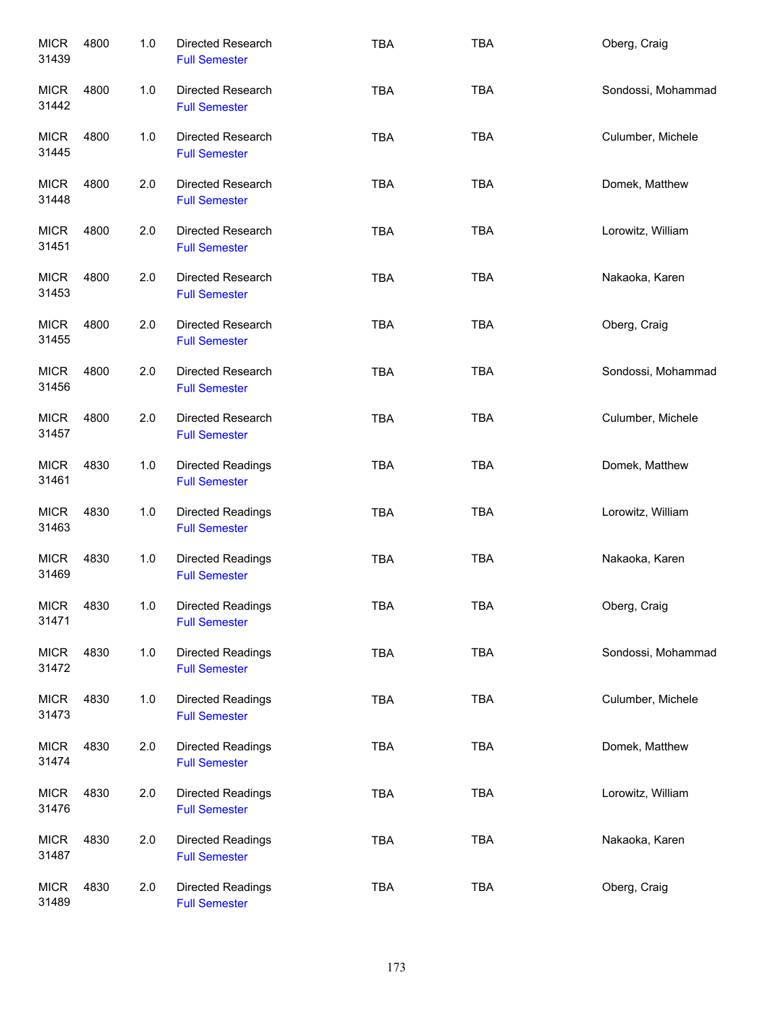| <b>MICR</b><br>31439 | 4800 | 1.0 | Directed Research<br><b>Full Semester</b>        | <b>TBA</b> | <b>TBA</b> | Oberg, Craig       |
|----------------------|------|-----|--------------------------------------------------|------------|------------|--------------------|
| <b>MICR</b><br>31442 | 4800 | 1.0 | Directed Research<br><b>Full Semester</b>        | <b>TBA</b> | <b>TBA</b> | Sondossi, Mohammad |
| <b>MICR</b><br>31445 | 4800 | 1.0 | Directed Research<br><b>Full Semester</b>        | <b>TBA</b> | <b>TBA</b> | Culumber, Michele  |
| <b>MICR</b><br>31448 | 4800 | 2.0 | Directed Research<br><b>Full Semester</b>        | <b>TBA</b> | <b>TBA</b> | Domek, Matthew     |
| <b>MICR</b><br>31451 | 4800 | 2.0 | Directed Research<br><b>Full Semester</b>        | <b>TBA</b> | <b>TBA</b> | Lorowitz, William  |
| <b>MICR</b><br>31453 | 4800 | 2.0 | Directed Research<br><b>Full Semester</b>        | <b>TBA</b> | <b>TBA</b> | Nakaoka, Karen     |
| <b>MICR</b><br>31455 | 4800 | 2.0 | Directed Research<br><b>Full Semester</b>        | <b>TBA</b> | <b>TBA</b> | Oberg, Craig       |
| <b>MICR</b><br>31456 | 4800 | 2.0 | Directed Research<br><b>Full Semester</b>        | <b>TBA</b> | <b>TBA</b> | Sondossi, Mohammad |
| <b>MICR</b><br>31457 | 4800 | 2.0 | Directed Research<br><b>Full Semester</b>        | <b>TBA</b> | <b>TBA</b> | Culumber, Michele  |
| <b>MICR</b><br>31461 | 4830 | 1.0 | Directed Readings<br><b>Full Semester</b>        | <b>TBA</b> | <b>TBA</b> | Domek, Matthew     |
| <b>MICR</b><br>31463 | 4830 | 1.0 | Directed Readings<br><b>Full Semester</b>        | <b>TBA</b> | <b>TBA</b> | Lorowitz, William  |
| <b>MICR</b><br>31469 | 4830 | 1.0 | Directed Readings<br><b>Full Semester</b>        | <b>TBA</b> | <b>TBA</b> | Nakaoka, Karen     |
| <b>MICR</b><br>31471 | 4830 | 1.0 | <b>Directed Readings</b><br><b>Full Semester</b> | TBA        | TBA        | Oberg, Craig       |
| <b>MICR</b><br>31472 | 4830 | 1.0 | Directed Readings<br><b>Full Semester</b>        | <b>TBA</b> | TBA        | Sondossi, Mohammad |
| <b>MICR</b><br>31473 | 4830 | 1.0 | Directed Readings<br><b>Full Semester</b>        | <b>TBA</b> | TBA        | Culumber, Michele  |
| <b>MICR</b><br>31474 | 4830 | 2.0 | Directed Readings<br><b>Full Semester</b>        | TBA        | <b>TBA</b> | Domek, Matthew     |
| <b>MICR</b><br>31476 | 4830 | 2.0 | Directed Readings<br><b>Full Semester</b>        | TBA        | <b>TBA</b> | Lorowitz, William  |
| <b>MICR</b><br>31487 | 4830 | 2.0 | Directed Readings<br><b>Full Semester</b>        | <b>TBA</b> | TBA        | Nakaoka, Karen     |
| <b>MICR</b><br>31489 | 4830 | 2.0 | Directed Readings<br><b>Full Semester</b>        | <b>TBA</b> | TBA        | Oberg, Craig       |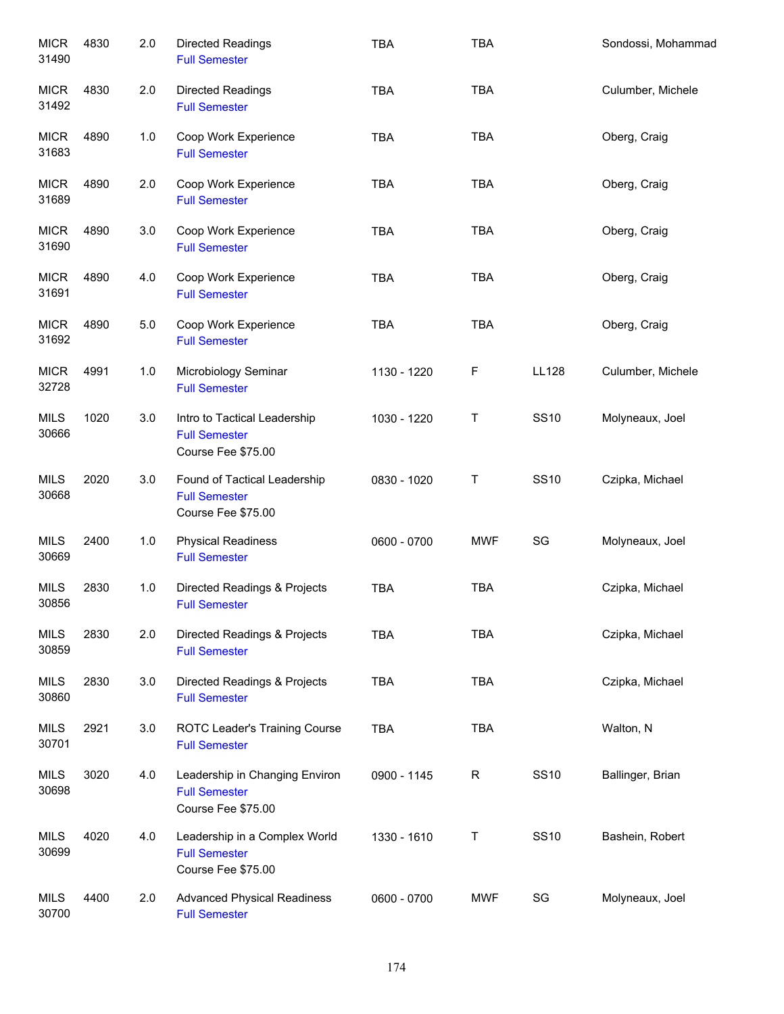| <b>MICR</b><br>31490 | 4830 | 2.0   | Directed Readings<br><b>Full Semester</b>                                    | <b>TBA</b>  | <b>TBA</b>   |              | Sondossi, Mohammad |
|----------------------|------|-------|------------------------------------------------------------------------------|-------------|--------------|--------------|--------------------|
| <b>MICR</b><br>31492 | 4830 | 2.0   | Directed Readings<br><b>Full Semester</b>                                    | <b>TBA</b>  | <b>TBA</b>   |              | Culumber, Michele  |
| <b>MICR</b><br>31683 | 4890 | 1.0   | Coop Work Experience<br><b>Full Semester</b>                                 | <b>TBA</b>  | <b>TBA</b>   |              | Oberg, Craig       |
| <b>MICR</b><br>31689 | 4890 | 2.0   | Coop Work Experience<br><b>Full Semester</b>                                 | <b>TBA</b>  | <b>TBA</b>   |              | Oberg, Craig       |
| <b>MICR</b><br>31690 | 4890 | 3.0   | Coop Work Experience<br><b>Full Semester</b>                                 | <b>TBA</b>  | <b>TBA</b>   |              | Oberg, Craig       |
| <b>MICR</b><br>31691 | 4890 | 4.0   | Coop Work Experience<br><b>Full Semester</b>                                 | <b>TBA</b>  | <b>TBA</b>   |              | Oberg, Craig       |
| <b>MICR</b><br>31692 | 4890 | $5.0$ | Coop Work Experience<br><b>Full Semester</b>                                 | <b>TBA</b>  | <b>TBA</b>   |              | Oberg, Craig       |
| <b>MICR</b><br>32728 | 4991 | 1.0   | Microbiology Seminar<br><b>Full Semester</b>                                 | 1130 - 1220 | $\mathsf F$  | <b>LL128</b> | Culumber, Michele  |
| <b>MILS</b><br>30666 | 1020 | 3.0   | Intro to Tactical Leadership<br><b>Full Semester</b><br>Course Fee \$75.00   | 1030 - 1220 | T            | <b>SS10</b>  | Molyneaux, Joel    |
| <b>MILS</b><br>30668 | 2020 | 3.0   | Found of Tactical Leadership<br><b>Full Semester</b><br>Course Fee \$75.00   | 0830 - 1020 | T            | <b>SS10</b>  | Czipka, Michael    |
| <b>MILS</b><br>30669 | 2400 | 1.0   | <b>Physical Readiness</b><br><b>Full Semester</b>                            | 0600 - 0700 | <b>MWF</b>   | SG           | Molyneaux, Joel    |
| <b>MILS</b><br>30856 | 2830 | $1.0$ | Directed Readings & Projects<br><b>Full Semester</b>                         | <b>TBA</b>  | <b>TBA</b>   |              | Czipka, Michael    |
| <b>MILS</b><br>30859 | 2830 | 2.0   | Directed Readings & Projects<br><b>Full Semester</b>                         | <b>TBA</b>  | <b>TBA</b>   |              | Czipka, Michael    |
| <b>MILS</b><br>30860 | 2830 | 3.0   | Directed Readings & Projects<br><b>Full Semester</b>                         | <b>TBA</b>  | <b>TBA</b>   |              | Czipka, Michael    |
| <b>MILS</b><br>30701 | 2921 | 3.0   | ROTC Leader's Training Course<br><b>Full Semester</b>                        | TBA         | <b>TBA</b>   |              | Walton, N          |
| <b>MILS</b><br>30698 | 3020 | 4.0   | Leadership in Changing Environ<br><b>Full Semester</b><br>Course Fee \$75.00 | 0900 - 1145 | $\mathsf{R}$ | <b>SS10</b>  | Ballinger, Brian   |
| <b>MILS</b><br>30699 | 4020 | 4.0   | Leadership in a Complex World<br><b>Full Semester</b><br>Course Fee \$75.00  | 1330 - 1610 | Τ            | <b>SS10</b>  | Bashein, Robert    |
| <b>MILS</b><br>30700 | 4400 | 2.0   | <b>Advanced Physical Readiness</b><br><b>Full Semester</b>                   | 0600 - 0700 | <b>MWF</b>   | SG           | Molyneaux, Joel    |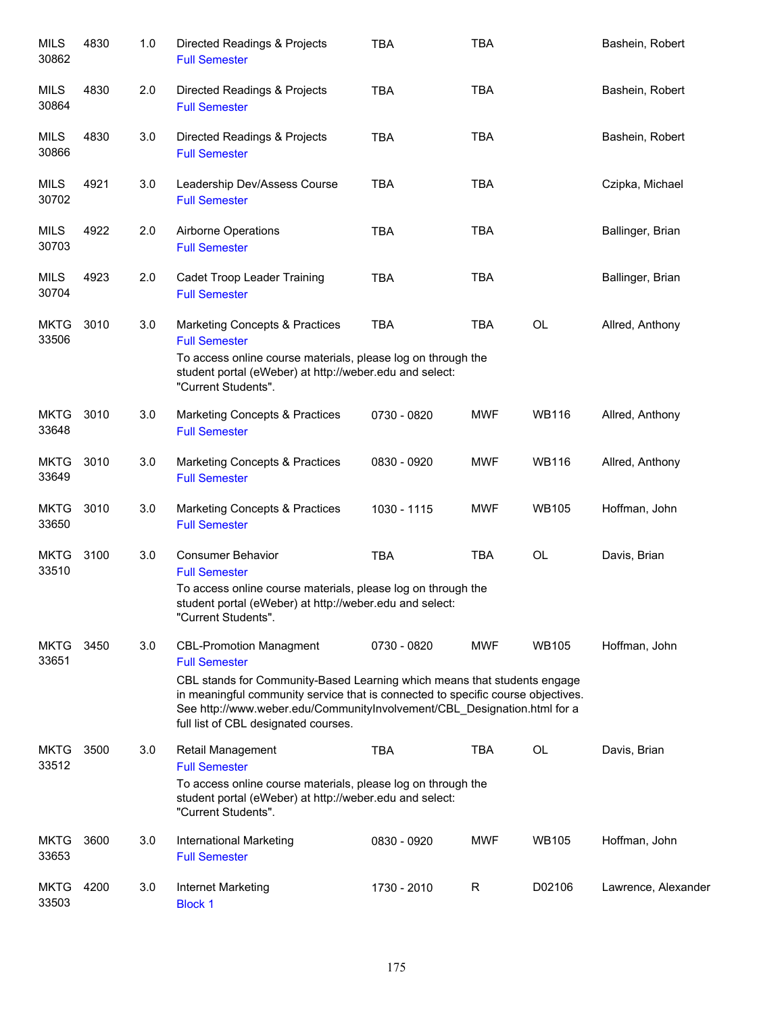| <b>MILS</b><br>30862 | 4830 | 1.0 | Directed Readings & Projects<br><b>Full Semester</b>                                                                                                                                                                                                                             | <b>TBA</b>  | <b>TBA</b> |              | Bashein, Robert     |
|----------------------|------|-----|----------------------------------------------------------------------------------------------------------------------------------------------------------------------------------------------------------------------------------------------------------------------------------|-------------|------------|--------------|---------------------|
| <b>MILS</b><br>30864 | 4830 | 2.0 | Directed Readings & Projects<br><b>Full Semester</b>                                                                                                                                                                                                                             | <b>TBA</b>  | <b>TBA</b> |              | Bashein, Robert     |
| MILS<br>30866        | 4830 | 3.0 | Directed Readings & Projects<br><b>Full Semester</b>                                                                                                                                                                                                                             | <b>TBA</b>  | <b>TBA</b> |              | Bashein, Robert     |
| MILS<br>30702        | 4921 | 3.0 | Leadership Dev/Assess Course<br><b>Full Semester</b>                                                                                                                                                                                                                             | <b>TBA</b>  | <b>TBA</b> |              | Czipka, Michael     |
| <b>MILS</b><br>30703 | 4922 | 2.0 | Airborne Operations<br><b>Full Semester</b>                                                                                                                                                                                                                                      | <b>TBA</b>  | <b>TBA</b> |              | Ballinger, Brian    |
| MILS<br>30704        | 4923 | 2.0 | Cadet Troop Leader Training<br><b>Full Semester</b>                                                                                                                                                                                                                              | <b>TBA</b>  | <b>TBA</b> |              | Ballinger, Brian    |
| <b>MKTG</b><br>33506 | 3010 | 3.0 | <b>Marketing Concepts &amp; Practices</b><br><b>Full Semester</b>                                                                                                                                                                                                                | <b>TBA</b>  | <b>TBA</b> | OL           | Allred, Anthony     |
|                      |      |     | To access online course materials, please log on through the<br>student portal (eWeber) at http://weber.edu and select:<br>"Current Students".                                                                                                                                   |             |            |              |                     |
| <b>MKTG</b><br>33648 | 3010 | 3.0 | Marketing Concepts & Practices<br><b>Full Semester</b>                                                                                                                                                                                                                           | 0730 - 0820 | <b>MWF</b> | <b>WB116</b> | Allred, Anthony     |
| <b>MKTG</b><br>33649 | 3010 | 3.0 | <b>Marketing Concepts &amp; Practices</b><br><b>Full Semester</b>                                                                                                                                                                                                                | 0830 - 0920 | <b>MWF</b> | <b>WB116</b> | Allred, Anthony     |
| <b>MKTG</b><br>33650 | 3010 | 3.0 | <b>Marketing Concepts &amp; Practices</b><br><b>Full Semester</b>                                                                                                                                                                                                                | 1030 - 1115 | <b>MWF</b> | <b>WB105</b> | Hoffman, John       |
| <b>MKTG</b><br>33510 | 3100 | 3.0 | <b>Consumer Behavior</b><br><b>Full Semester</b>                                                                                                                                                                                                                                 | <b>TBA</b>  | <b>TBA</b> | OL           | Davis, Brian        |
|                      |      |     | To access online course materials, please log on through the<br>student portal (eWeber) at http://weber.edu and select:<br>"Current Students".                                                                                                                                   |             |            |              |                     |
| <b>MKTG</b><br>33651 | 3450 | 3.0 | <b>CBL-Promotion Managment</b><br><b>Full Semester</b>                                                                                                                                                                                                                           | 0730 - 0820 | <b>MWF</b> | <b>WB105</b> | Hoffman, John       |
|                      |      |     | CBL stands for Community-Based Learning which means that students engage<br>in meaningful community service that is connected to specific course objectives.<br>See http://www.weber.edu/CommunityInvolvement/CBL_Designation.html for a<br>full list of CBL designated courses. |             |            |              |                     |
| <b>MKTG</b><br>33512 | 3500 | 3.0 | Retail Management<br><b>Full Semester</b>                                                                                                                                                                                                                                        | <b>TBA</b>  | <b>TBA</b> | OL           | Davis, Brian        |
|                      |      |     | To access online course materials, please log on through the<br>student portal (eWeber) at http://weber.edu and select:<br>"Current Students".                                                                                                                                   |             |            |              |                     |
| <b>MKTG</b><br>33653 | 3600 | 3.0 | International Marketing<br><b>Full Semester</b>                                                                                                                                                                                                                                  | 0830 - 0920 | <b>MWF</b> | <b>WB105</b> | Hoffman, John       |
| <b>MKTG</b><br>33503 | 4200 | 3.0 | <b>Internet Marketing</b><br><b>Block 1</b>                                                                                                                                                                                                                                      | 1730 - 2010 | R          | D02106       | Lawrence, Alexander |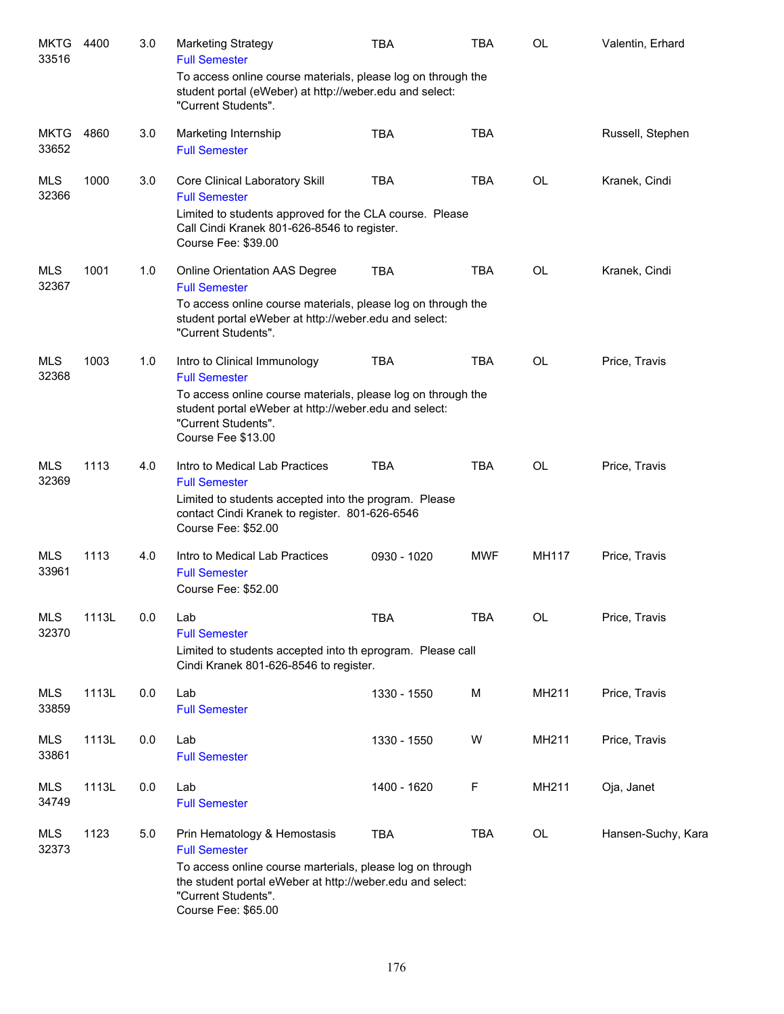| <b>MKTG</b><br>33516 | 4400  | 3.0 | <b>Marketing Strategy</b><br><b>Full Semester</b>                                                                                                                                                                            | <b>TBA</b>  | <b>TBA</b> | OL           | Valentin, Erhard   |
|----------------------|-------|-----|------------------------------------------------------------------------------------------------------------------------------------------------------------------------------------------------------------------------------|-------------|------------|--------------|--------------------|
|                      |       |     | To access online course materials, please log on through the<br>student portal (eWeber) at http://weber.edu and select:<br>"Current Students".                                                                               |             |            |              |                    |
| <b>MKTG</b><br>33652 | 4860  | 3.0 | Marketing Internship<br><b>Full Semester</b>                                                                                                                                                                                 | <b>TBA</b>  | <b>TBA</b> |              | Russell, Stephen   |
| MLS<br>32366         | 1000  | 3.0 | Core Clinical Laboratory Skill<br><b>Full Semester</b><br>Limited to students approved for the CLA course. Please<br>Call Cindi Kranek 801-626-8546 to register.<br>Course Fee: \$39.00                                      | <b>TBA</b>  | <b>TBA</b> | <b>OL</b>    | Kranek, Cindi      |
| MLS<br>32367         | 1001  | 1.0 | Online Orientation AAS Degree<br><b>Full Semester</b><br>To access online course materials, please log on through the<br>student portal eWeber at http://weber.edu and select:<br>"Current Students".                        | <b>TBA</b>  | <b>TBA</b> | <b>OL</b>    | Kranek, Cindi      |
| <b>MLS</b><br>32368  | 1003  | 1.0 | Intro to Clinical Immunology<br><b>Full Semester</b><br>To access online course materials, please log on through the<br>student portal eWeber at http://weber.edu and select:<br>"Current Students".<br>Course Fee \$13.00   | <b>TBA</b>  | <b>TBA</b> | <b>OL</b>    | Price, Travis      |
| <b>MLS</b><br>32369  | 1113  | 4.0 | Intro to Medical Lab Practices<br><b>Full Semester</b><br>Limited to students accepted into the program. Please<br>contact Cindi Kranek to register. 801-626-6546<br>Course Fee: \$52.00                                     | <b>TBA</b>  | <b>TBA</b> | <b>OL</b>    | Price, Travis      |
| <b>MLS</b><br>33961  | 1113  | 4.0 | Intro to Medical Lab Practices<br><b>Full Semester</b><br>Course Fee: \$52.00                                                                                                                                                | 0930 - 1020 | <b>MWF</b> | <b>MH117</b> | Price, Travis      |
| <b>MLS</b><br>32370  | 1113L | 0.0 | Lab<br><b>Full Semester</b><br>Limited to students accepted into th eprogram. Please call<br>Cindi Kranek 801-626-8546 to register.                                                                                          | TBA         | TBA        | OL           | Price, Travis      |
| <b>MLS</b><br>33859  | 1113L | 0.0 | Lab<br><b>Full Semester</b>                                                                                                                                                                                                  | 1330 - 1550 | М          | MH211        | Price, Travis      |
| <b>MLS</b><br>33861  | 1113L | 0.0 | Lab<br><b>Full Semester</b>                                                                                                                                                                                                  | 1330 - 1550 | W          | MH211        | Price, Travis      |
| <b>MLS</b><br>34749  | 1113L | 0.0 | Lab<br><b>Full Semester</b>                                                                                                                                                                                                  | 1400 - 1620 | F          | MH211        | Oja, Janet         |
| <b>MLS</b><br>32373  | 1123  | 5.0 | Prin Hematology & Hemostasis<br><b>Full Semester</b><br>To access online course marterials, please log on through<br>the student portal eWeber at http://weber.edu and select:<br>"Current Students".<br>Course Fee: \$65.00 | <b>TBA</b>  | <b>TBA</b> | OL           | Hansen-Suchy, Kara |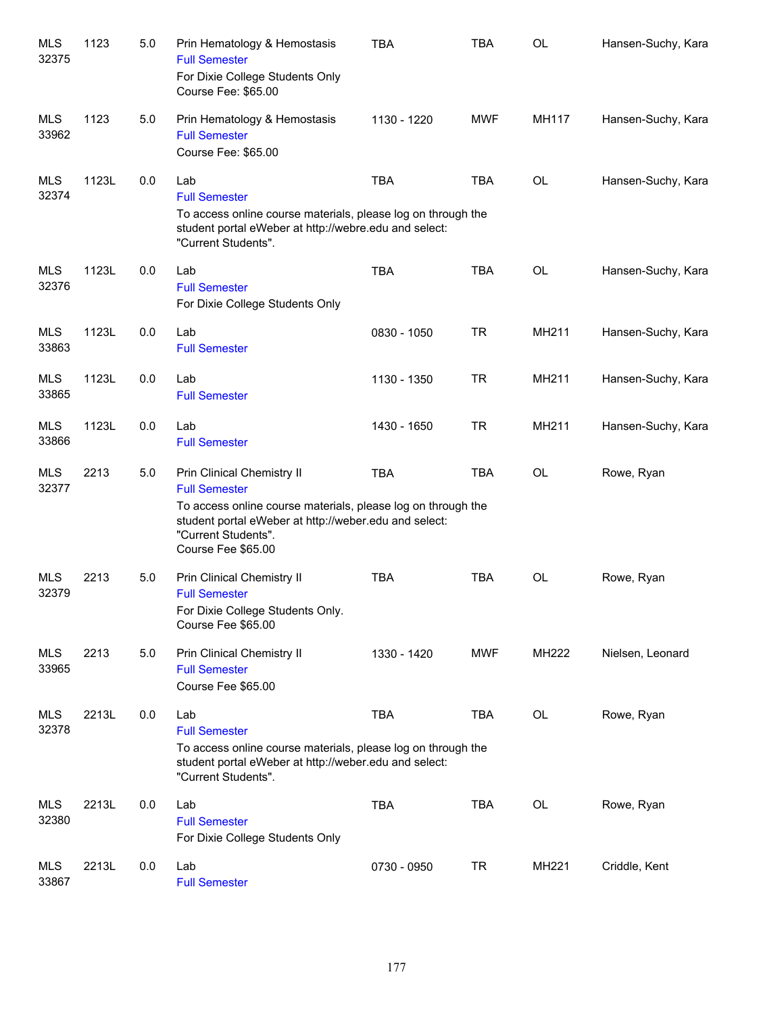| <b>MLS</b><br>32375 | 1123  | $5.0\,$ | Prin Hematology & Hemostasis<br><b>Full Semester</b><br>For Dixie College Students Only<br>Course Fee: \$65.00                                                                                                           | <b>TBA</b>  | <b>TBA</b> | <b>OL</b>    | Hansen-Suchy, Kara |
|---------------------|-------|---------|--------------------------------------------------------------------------------------------------------------------------------------------------------------------------------------------------------------------------|-------------|------------|--------------|--------------------|
| <b>MLS</b><br>33962 | 1123  | 5.0     | Prin Hematology & Hemostasis<br><b>Full Semester</b><br>Course Fee: \$65.00                                                                                                                                              | 1130 - 1220 | <b>MWF</b> | <b>MH117</b> | Hansen-Suchy, Kara |
| <b>MLS</b><br>32374 | 1123L | 0.0     | Lab<br><b>Full Semester</b><br>To access online course materials, please log on through the<br>student portal eWeber at http://webre.edu and select:<br>"Current Students".                                              | <b>TBA</b>  | <b>TBA</b> | <b>OL</b>    | Hansen-Suchy, Kara |
| <b>MLS</b><br>32376 | 1123L | 0.0     | Lab<br><b>Full Semester</b><br>For Dixie College Students Only                                                                                                                                                           | <b>TBA</b>  | <b>TBA</b> | OL           | Hansen-Suchy, Kara |
| <b>MLS</b><br>33863 | 1123L | 0.0     | Lab<br><b>Full Semester</b>                                                                                                                                                                                              | 0830 - 1050 | <b>TR</b>  | MH211        | Hansen-Suchy, Kara |
| <b>MLS</b><br>33865 | 1123L | 0.0     | Lab<br><b>Full Semester</b>                                                                                                                                                                                              | 1130 - 1350 | <b>TR</b>  | MH211        | Hansen-Suchy, Kara |
| <b>MLS</b><br>33866 | 1123L | 0.0     | Lab<br><b>Full Semester</b>                                                                                                                                                                                              | 1430 - 1650 | <b>TR</b>  | MH211        | Hansen-Suchy, Kara |
| <b>MLS</b><br>32377 | 2213  | 5.0     | Prin Clinical Chemistry II<br><b>Full Semester</b><br>To access online course materials, please log on through the<br>student portal eWeber at http://weber.edu and select:<br>"Current Students".<br>Course Fee \$65.00 | <b>TBA</b>  | <b>TBA</b> | OL           | Rowe, Ryan         |
| <b>MLS</b><br>32379 | 2213  | 5.0     | Prin Clinical Chemistry II<br><b>Full Semester</b><br>For Dixie College Students Only.<br>Course Fee \$65.00                                                                                                             | <b>TBA</b>  | <b>TBA</b> | <b>OL</b>    | Rowe, Ryan         |
| <b>MLS</b><br>33965 | 2213  | 5.0     | Prin Clinical Chemistry II<br><b>Full Semester</b><br>Course Fee \$65.00                                                                                                                                                 | 1330 - 1420 | <b>MWF</b> | MH222        | Nielsen, Leonard   |
| <b>MLS</b><br>32378 | 2213L | 0.0     | Lab<br><b>Full Semester</b><br>To access online course materials, please log on through the<br>student portal eWeber at http://weber.edu and select:<br>"Current Students".                                              | <b>TBA</b>  | <b>TBA</b> | OL           | Rowe, Ryan         |
| <b>MLS</b><br>32380 | 2213L | 0.0     | Lab<br><b>Full Semester</b><br>For Dixie College Students Only                                                                                                                                                           | <b>TBA</b>  | <b>TBA</b> | OL           | Rowe, Ryan         |
| <b>MLS</b><br>33867 | 2213L | 0.0     | Lab<br><b>Full Semester</b>                                                                                                                                                                                              | 0730 - 0950 | <b>TR</b>  | MH221        | Criddle, Kent      |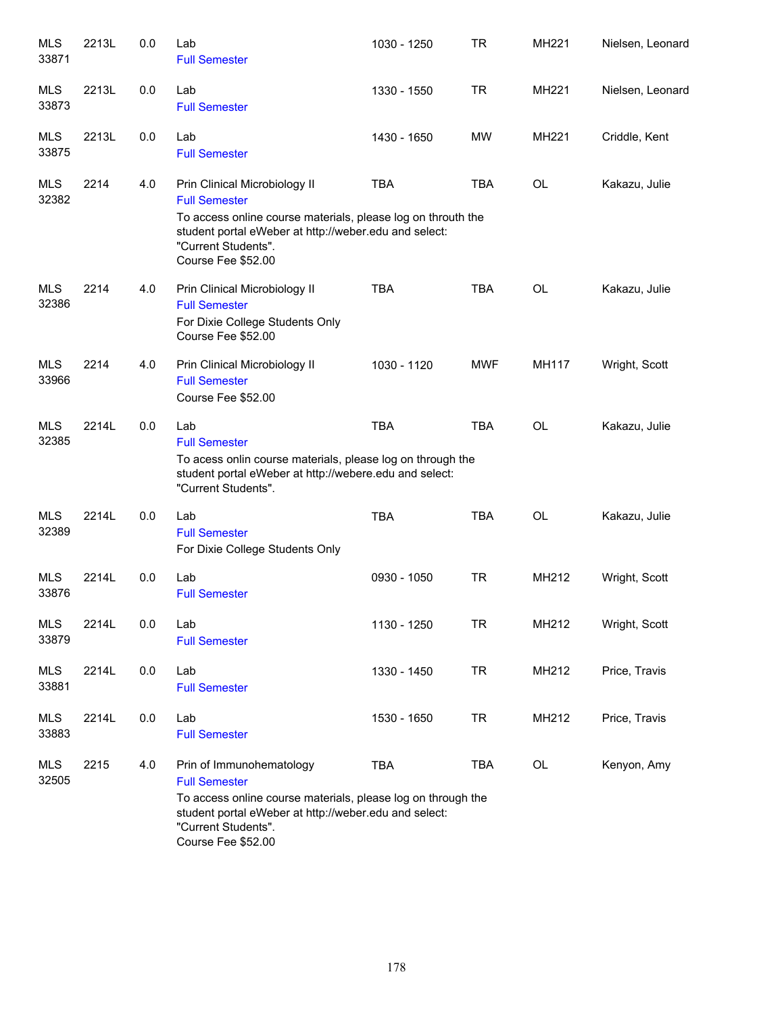| <b>MLS</b><br>33871 | 2213L | 0.0 | Lab<br><b>Full Semester</b>                                                                                                                                                                                                 | 1030 - 1250 | <b>TR</b>  | MH221     | Nielsen, Leonard |
|---------------------|-------|-----|-----------------------------------------------------------------------------------------------------------------------------------------------------------------------------------------------------------------------------|-------------|------------|-----------|------------------|
| <b>MLS</b><br>33873 | 2213L | 0.0 | Lab<br><b>Full Semester</b>                                                                                                                                                                                                 | 1330 - 1550 | <b>TR</b>  | MH221     | Nielsen, Leonard |
| <b>MLS</b><br>33875 | 2213L | 0.0 | Lab<br><b>Full Semester</b>                                                                                                                                                                                                 | 1430 - 1650 | MW         | MH221     | Criddle, Kent    |
| <b>MLS</b><br>32382 | 2214  | 4.0 | Prin Clinical Microbiology II<br><b>Full Semester</b><br>To access online course materials, please log on throuth the<br>student portal eWeber at http://weber.edu and select:<br>"Current Students".<br>Course Fee \$52.00 | <b>TBA</b>  | <b>TBA</b> | <b>OL</b> | Kakazu, Julie    |
| <b>MLS</b><br>32386 | 2214  | 4.0 | Prin Clinical Microbiology II<br><b>Full Semester</b><br>For Dixie College Students Only<br>Course Fee \$52.00                                                                                                              | <b>TBA</b>  | <b>TBA</b> | <b>OL</b> | Kakazu, Julie    |
| <b>MLS</b><br>33966 | 2214  | 4.0 | Prin Clinical Microbiology II<br><b>Full Semester</b><br>Course Fee \$52.00                                                                                                                                                 | 1030 - 1120 | <b>MWF</b> | MH117     | Wright, Scott    |
| <b>MLS</b><br>32385 | 2214L | 0.0 | Lab<br><b>Full Semester</b><br>To acess onlin course materials, please log on through the<br>student portal eWeber at http://webere.edu and select:<br>"Current Students".                                                  | <b>TBA</b>  | <b>TBA</b> | <b>OL</b> | Kakazu, Julie    |
| <b>MLS</b><br>32389 | 2214L | 0.0 | Lab<br><b>Full Semester</b><br>For Dixie College Students Only                                                                                                                                                              | <b>TBA</b>  | <b>TBA</b> | OL        | Kakazu, Julie    |
| <b>MLS</b><br>33876 | 2214L | 0.0 | Lab<br><b>Full Semester</b>                                                                                                                                                                                                 | 0930 - 1050 | <b>TR</b>  | MH212     | Wright, Scott    |
| <b>MLS</b><br>33879 | 2214L | 0.0 | Lab<br><b>Full Semester</b>                                                                                                                                                                                                 | 1130 - 1250 | <b>TR</b>  | MH212     | Wright, Scott    |
| <b>MLS</b><br>33881 | 2214L | 0.0 | Lab<br><b>Full Semester</b>                                                                                                                                                                                                 | 1330 - 1450 | <b>TR</b>  | MH212     | Price, Travis    |
| MLS<br>33883        | 2214L | 0.0 | Lab<br><b>Full Semester</b>                                                                                                                                                                                                 | 1530 - 1650 | <b>TR</b>  | MH212     | Price, Travis    |
| <b>MLS</b><br>32505 | 2215  | 4.0 | Prin of Immunohematology<br><b>Full Semester</b><br>To access online course materials, please log on through the<br>student portal eWeber at http://weber.edu and select:<br>"Current Students".<br>Course Fee \$52.00      | <b>TBA</b>  | TBA        | OL        | Kenyon, Amy      |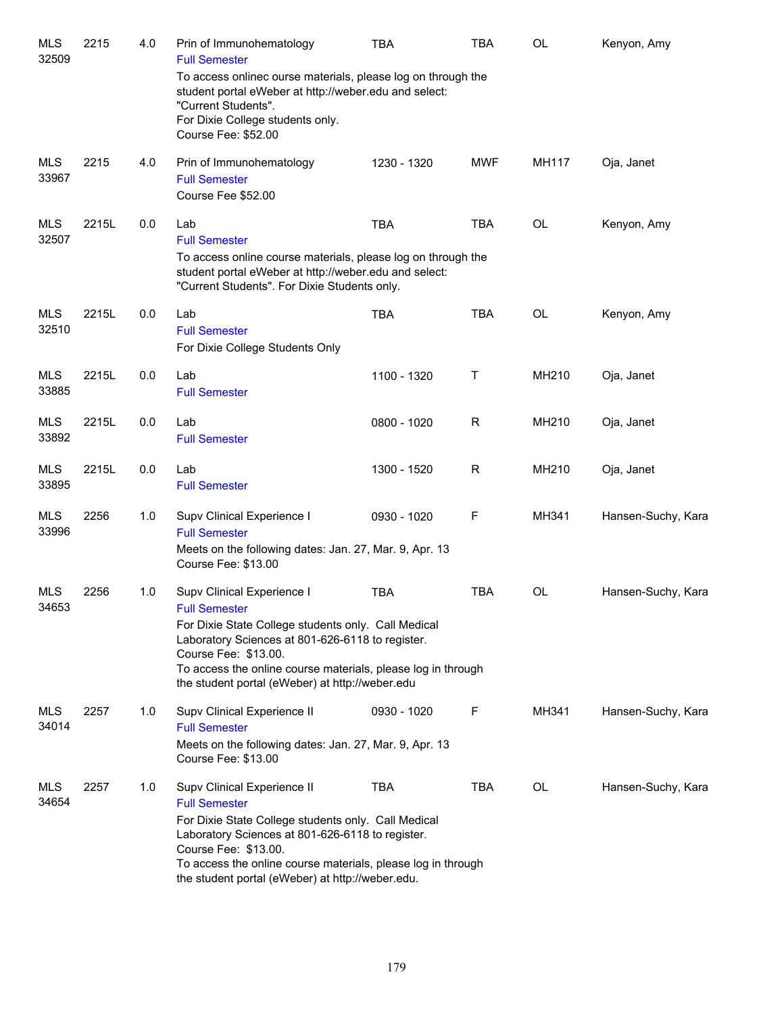| <b>MLS</b><br>32509 | 2215  | 4.0 | Prin of Immunohematology<br><b>Full Semester</b><br>To access onlinec ourse materials, please log on through the<br>student portal eWeber at http://weber.edu and select:<br>"Current Students".<br>For Dixie College students only.<br>Course Fee: \$52.00                                                | <b>TBA</b>  | <b>TBA</b> | OL        | Kenyon, Amy        |
|---------------------|-------|-----|------------------------------------------------------------------------------------------------------------------------------------------------------------------------------------------------------------------------------------------------------------------------------------------------------------|-------------|------------|-----------|--------------------|
| <b>MLS</b><br>33967 | 2215  | 4.0 | Prin of Immunohematology<br><b>Full Semester</b><br>Course Fee \$52.00                                                                                                                                                                                                                                     | 1230 - 1320 | <b>MWF</b> | MH117     | Oja, Janet         |
| <b>MLS</b><br>32507 | 2215L | 0.0 | Lab<br><b>Full Semester</b><br>To access online course materials, please log on through the<br>student portal eWeber at http://weber.edu and select:<br>"Current Students". For Dixie Students only.                                                                                                       | <b>TBA</b>  | <b>TBA</b> | OL        | Kenyon, Amy        |
| <b>MLS</b><br>32510 | 2215L | 0.0 | Lab<br><b>Full Semester</b><br>For Dixie College Students Only                                                                                                                                                                                                                                             | <b>TBA</b>  | <b>TBA</b> | OL        | Kenyon, Amy        |
| <b>MLS</b><br>33885 | 2215L | 0.0 | Lab<br><b>Full Semester</b>                                                                                                                                                                                                                                                                                | 1100 - 1320 | Т          | MH210     | Oja, Janet         |
| <b>MLS</b><br>33892 | 2215L | 0.0 | Lab<br><b>Full Semester</b>                                                                                                                                                                                                                                                                                | 0800 - 1020 | R          | MH210     | Oja, Janet         |
| <b>MLS</b><br>33895 | 2215L | 0.0 | Lab<br><b>Full Semester</b>                                                                                                                                                                                                                                                                                | 1300 - 1520 | R          | MH210     | Oja, Janet         |
| <b>MLS</b><br>33996 | 2256  | 1.0 | Supv Clinical Experience I<br><b>Full Semester</b><br>Meets on the following dates: Jan. 27, Mar. 9, Apr. 13<br>Course Fee: \$13.00                                                                                                                                                                        | 0930 - 1020 | F          | MH341     | Hansen-Suchy, Kara |
| <b>MLS</b><br>34653 | 2256  | 1.0 | Supv Clinical Experience I<br><b>Full Semester</b><br>For Dixie State College students only. Call Medical<br>Laboratory Sciences at 801-626-6118 to register.<br>Course Fee: \$13.00.<br>To access the online course materials, please log in through<br>the student portal (eWeber) at http://weber.edu   | <b>TBA</b>  | <b>TBA</b> | OL        | Hansen-Suchy, Kara |
| MLS<br>34014        | 2257  | 1.0 | Supv Clinical Experience II<br><b>Full Semester</b><br>Meets on the following dates: Jan. 27, Mar. 9, Apr. 13<br>Course Fee: \$13.00                                                                                                                                                                       | 0930 - 1020 | F          | MH341     | Hansen-Suchy, Kara |
| MLS<br>34654        | 2257  | 1.0 | Supv Clinical Experience II<br><b>Full Semester</b><br>For Dixie State College students only. Call Medical<br>Laboratory Sciences at 801-626-6118 to register.<br>Course Fee: \$13.00.<br>To access the online course materials, please log in through<br>the student portal (eWeber) at http://weber.edu. | <b>TBA</b>  | <b>TBA</b> | <b>OL</b> | Hansen-Suchy, Kara |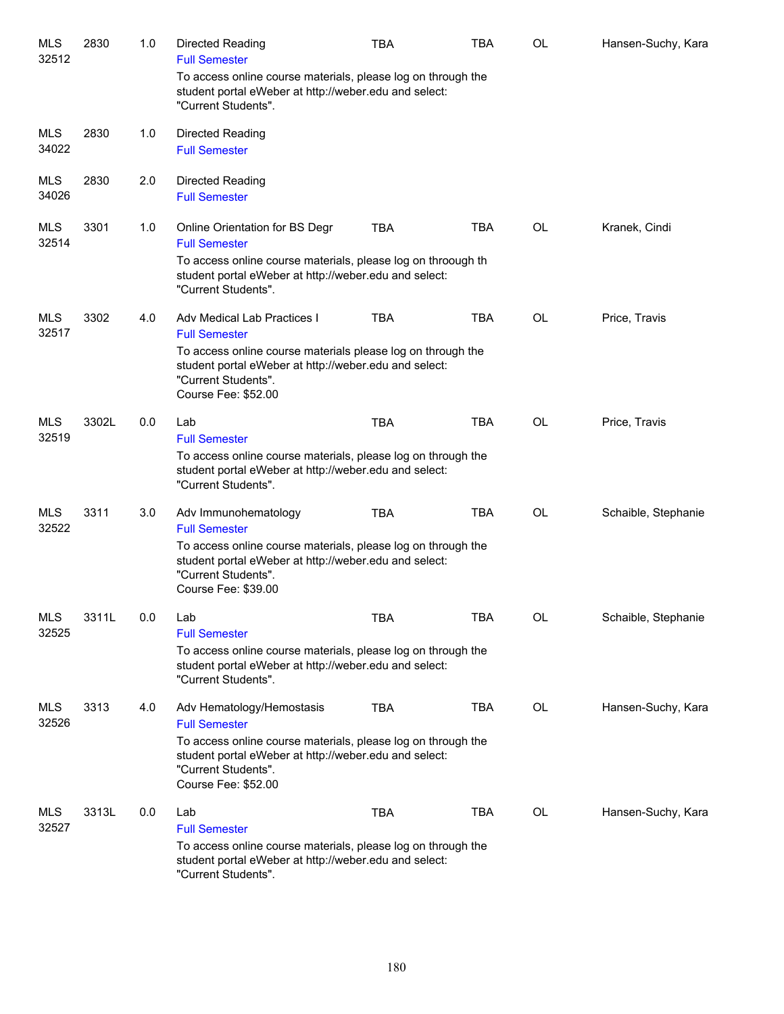| <b>MLS</b><br>32512 | 2830  | 1.0 | Directed Reading<br><b>Full Semester</b>                                                                                                                             | <b>TBA</b> | <b>TBA</b> | <b>OL</b> | Hansen-Suchy, Kara  |
|---------------------|-------|-----|----------------------------------------------------------------------------------------------------------------------------------------------------------------------|------------|------------|-----------|---------------------|
|                     |       |     | To access online course materials, please log on through the<br>student portal eWeber at http://weber.edu and select:<br>"Current Students".                         |            |            |           |                     |
| <b>MLS</b><br>34022 | 2830  | 1.0 | Directed Reading<br><b>Full Semester</b>                                                                                                                             |            |            |           |                     |
| <b>MLS</b><br>34026 | 2830  | 2.0 | Directed Reading<br><b>Full Semester</b>                                                                                                                             |            |            |           |                     |
| <b>MLS</b><br>32514 | 3301  | 1.0 | Online Orientation for BS Degr<br><b>Full Semester</b>                                                                                                               | <b>TBA</b> | <b>TBA</b> | <b>OL</b> | Kranek, Cindi       |
|                     |       |     | To access online course materials, please log on throough th<br>student portal eWeber at http://weber.edu and select:<br>"Current Students".                         |            |            |           |                     |
| <b>MLS</b><br>32517 | 3302  | 4.0 | <b>Adv Medical Lab Practices I</b><br><b>Full Semester</b>                                                                                                           | <b>TBA</b> | <b>TBA</b> | <b>OL</b> | Price, Travis       |
|                     |       |     | To access online course materials please log on through the<br>student portal eWeber at http://weber.edu and select:<br>"Current Students".<br>Course Fee: \$52.00   |            |            |           |                     |
| <b>MLS</b>          | 3302L | 0.0 | Lab                                                                                                                                                                  | <b>TBA</b> | <b>TBA</b> | <b>OL</b> | Price, Travis       |
| 32519               |       |     | <b>Full Semester</b><br>To access online course materials, please log on through the<br>student portal eWeber at http://weber.edu and select:<br>"Current Students". |            |            |           |                     |
| <b>MLS</b><br>32522 | 3311  | 3.0 | Adv Immunohematology<br><b>Full Semester</b>                                                                                                                         | <b>TBA</b> | TBA        | <b>OL</b> | Schaible, Stephanie |
|                     |       |     | To access online course materials, please log on through the<br>student portal eWeber at http://weber.edu and select:<br>"Current Students".<br>Course Fee: \$39.00  |            |            |           |                     |
| <b>MLS</b><br>32525 | 3311L | 0.0 | Lab<br><b>Full Semester</b>                                                                                                                                          | TBA        | TBA        | OL        | Schaible, Stephanie |
|                     |       |     | To access online course materials, please log on through the<br>student portal eWeber at http://weber.edu and select:<br>"Current Students".                         |            |            |           |                     |
| <b>MLS</b><br>32526 | 3313  | 4.0 | Adv Hematology/Hemostasis<br><b>Full Semester</b>                                                                                                                    | <b>TBA</b> | TBA        | OL        | Hansen-Suchy, Kara  |
|                     |       |     | To access online course materials, please log on through the<br>student portal eWeber at http://weber.edu and select:<br>"Current Students".<br>Course Fee: \$52.00  |            |            |           |                     |
| <b>MLS</b><br>32527 | 3313L | 0.0 | Lab                                                                                                                                                                  | <b>TBA</b> | TBA        | OL        | Hansen-Suchy, Kara  |
|                     |       |     | <b>Full Semester</b><br>To access online course materials, please log on through the<br>student portal eWeber at http://weber.edu and select:<br>"Current Students". |            |            |           |                     |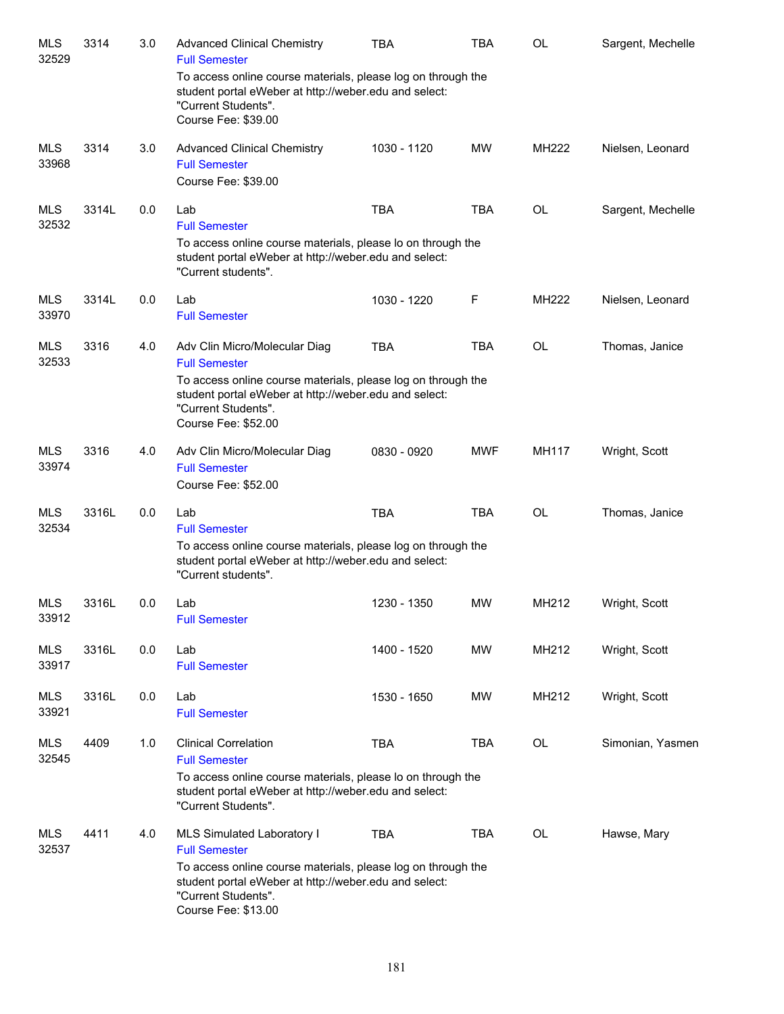| <b>MLS</b><br>32529 | 3314  | 3.0 | <b>Advanced Clinical Chemistry</b><br><b>Full Semester</b>                                                                                                                                                                   | TBA         | <b>TBA</b> | <b>OL</b> | Sargent, Mechelle |
|---------------------|-------|-----|------------------------------------------------------------------------------------------------------------------------------------------------------------------------------------------------------------------------------|-------------|------------|-----------|-------------------|
|                     |       |     | To access online course materials, please log on through the<br>student portal eWeber at http://weber.edu and select:<br>"Current Students".<br>Course Fee: \$39.00                                                          |             |            |           |                   |
| <b>MLS</b><br>33968 | 3314  | 3.0 | <b>Advanced Clinical Chemistry</b><br><b>Full Semester</b><br>Course Fee: \$39.00                                                                                                                                            | 1030 - 1120 | <b>MW</b>  | MH222     | Nielsen, Leonard  |
| <b>MLS</b><br>32532 | 3314L | 0.0 | Lab<br><b>Full Semester</b><br>To access online course materials, please lo on through the<br>student portal eWeber at http://weber.edu and select:<br>"Current students".                                                   | <b>TBA</b>  | <b>TBA</b> | OL        | Sargent, Mechelle |
| MLS<br>33970        | 3314L | 0.0 | Lab<br><b>Full Semester</b>                                                                                                                                                                                                  | 1030 - 1220 | F          | MH222     | Nielsen, Leonard  |
| <b>MLS</b><br>32533 | 3316  | 4.0 | Adv Clin Micro/Molecular Diag<br><b>Full Semester</b><br>To access online course materials, please log on through the<br>student portal eWeber at http://weber.edu and select:<br>"Current Students".<br>Course Fee: \$52.00 | <b>TBA</b>  | <b>TBA</b> | <b>OL</b> | Thomas, Janice    |
| <b>MLS</b><br>33974 | 3316  | 4.0 | Adv Clin Micro/Molecular Diag<br><b>Full Semester</b><br>Course Fee: \$52.00                                                                                                                                                 | 0830 - 0920 | <b>MWF</b> | MH117     | Wright, Scott     |
| <b>MLS</b><br>32534 | 3316L | 0.0 | Lab<br><b>Full Semester</b><br>To access online course materials, please log on through the<br>student portal eWeber at http://weber.edu and select:<br>"Current students".                                                  | <b>TBA</b>  | <b>TBA</b> | <b>OL</b> | Thomas, Janice    |
| <b>MLS</b><br>33912 | 3316L | 0.0 | Lab<br><b>Full Semester</b>                                                                                                                                                                                                  | 1230 - 1350 | MW         | MH212     | Wright, Scott     |
| <b>MLS</b><br>33917 | 3316L | 0.0 | Lab<br><b>Full Semester</b>                                                                                                                                                                                                  | 1400 - 1520 | <b>MW</b>  | MH212     | Wright, Scott     |
| <b>MLS</b><br>33921 | 3316L | 0.0 | Lab<br><b>Full Semester</b>                                                                                                                                                                                                  | 1530 - 1650 | MW         | MH212     | Wright, Scott     |
| <b>MLS</b><br>32545 | 4409  | 1.0 | <b>Clinical Correlation</b><br><b>Full Semester</b><br>To access online course materials, please lo on through the<br>student portal eWeber at http://weber.edu and select:<br>"Current Students".                           | <b>TBA</b>  | <b>TBA</b> | <b>OL</b> | Simonian, Yasmen  |
| <b>MLS</b><br>32537 | 4411  | 4.0 | MLS Simulated Laboratory I<br><b>Full Semester</b><br>To access online course materials, please log on through the<br>student portal eWeber at http://weber.edu and select:<br>"Current Students".<br>Course Fee: \$13.00    | <b>TBA</b>  | <b>TBA</b> | <b>OL</b> | Hawse, Mary       |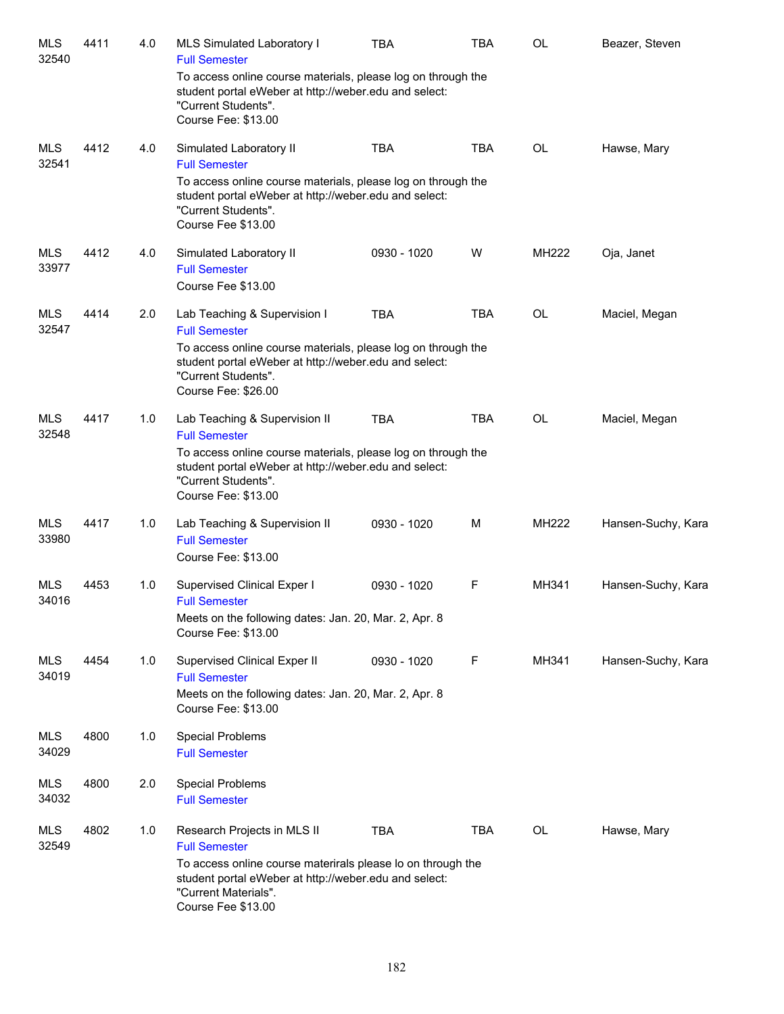| <b>MLS</b><br>32540 | 4411 | 4.0 | MLS Simulated Laboratory I<br><b>Full Semester</b>                                                                                                                  | <b>TBA</b>  | <b>TBA</b> | OL           | Beazer, Steven     |
|---------------------|------|-----|---------------------------------------------------------------------------------------------------------------------------------------------------------------------|-------------|------------|--------------|--------------------|
|                     |      |     | To access online course materials, please log on through the<br>student portal eWeber at http://weber.edu and select:<br>"Current Students".<br>Course Fee: \$13.00 |             |            |              |                    |
| <b>MLS</b><br>32541 | 4412 | 4.0 | Simulated Laboratory II<br><b>Full Semester</b>                                                                                                                     | <b>TBA</b>  | <b>TBA</b> | OL           | Hawse, Mary        |
|                     |      |     | To access online course materials, please log on through the<br>student portal eWeber at http://weber.edu and select:<br>"Current Students".<br>Course Fee \$13.00  |             |            |              |                    |
| MLS<br>33977        | 4412 | 4.0 | Simulated Laboratory II<br><b>Full Semester</b><br>Course Fee \$13.00                                                                                               | 0930 - 1020 | W          | <b>MH222</b> | Oja, Janet         |
| MLS<br>32547        | 4414 | 2.0 | Lab Teaching & Supervision I<br><b>Full Semester</b>                                                                                                                | <b>TBA</b>  | <b>TBA</b> | OL           | Maciel, Megan      |
|                     |      |     | To access online course materials, please log on through the<br>student portal eWeber at http://weber.edu and select:<br>"Current Students".<br>Course Fee: \$26.00 |             |            |              |                    |
| <b>MLS</b><br>32548 | 4417 | 1.0 | Lab Teaching & Supervision II<br><b>Full Semester</b>                                                                                                               | <b>TBA</b>  | <b>TBA</b> | <b>OL</b>    | Maciel, Megan      |
|                     |      |     | To access online course materials, please log on through the<br>student portal eWeber at http://weber.edu and select:<br>"Current Students".<br>Course Fee: \$13.00 |             |            |              |                    |
| <b>MLS</b><br>33980 | 4417 | 1.0 | Lab Teaching & Supervision II<br><b>Full Semester</b><br>Course Fee: \$13.00                                                                                        | 0930 - 1020 | М          | <b>MH222</b> | Hansen-Suchy, Kara |
| <b>MLS</b><br>34016 | 4453 | 1.0 | Supervised Clinical Exper I<br><b>Full Semester</b><br>Meets on the following dates: Jan. 20, Mar. 2, Apr. 8                                                        | 0930 - 1020 | F          | MH341        | Hansen-Suchy, Kara |
|                     |      |     | Course Fee: \$13.00                                                                                                                                                 |             |            |              |                    |
| MLS<br>34019        | 4454 | 1.0 | Supervised Clinical Exper II<br><b>Full Semester</b><br>Meets on the following dates: Jan. 20, Mar. 2, Apr. 8<br>Course Fee: \$13.00                                | 0930 - 1020 | F          | MH341        | Hansen-Suchy, Kara |
| MLS<br>34029        | 4800 | 1.0 | <b>Special Problems</b><br><b>Full Semester</b>                                                                                                                     |             |            |              |                    |
| <b>MLS</b><br>34032 | 4800 | 2.0 | <b>Special Problems</b><br><b>Full Semester</b>                                                                                                                     |             |            |              |                    |
| MLS<br>32549        | 4802 | 1.0 | Research Projects in MLS II<br><b>Full Semester</b>                                                                                                                 | <b>TBA</b>  | <b>TBA</b> | OL           | Hawse, Mary        |
|                     |      |     | To access online course materirals please lo on through the<br>student portal eWeber at http://weber.edu and select:<br>"Current Materials".<br>Course Fee \$13.00  |             |            |              |                    |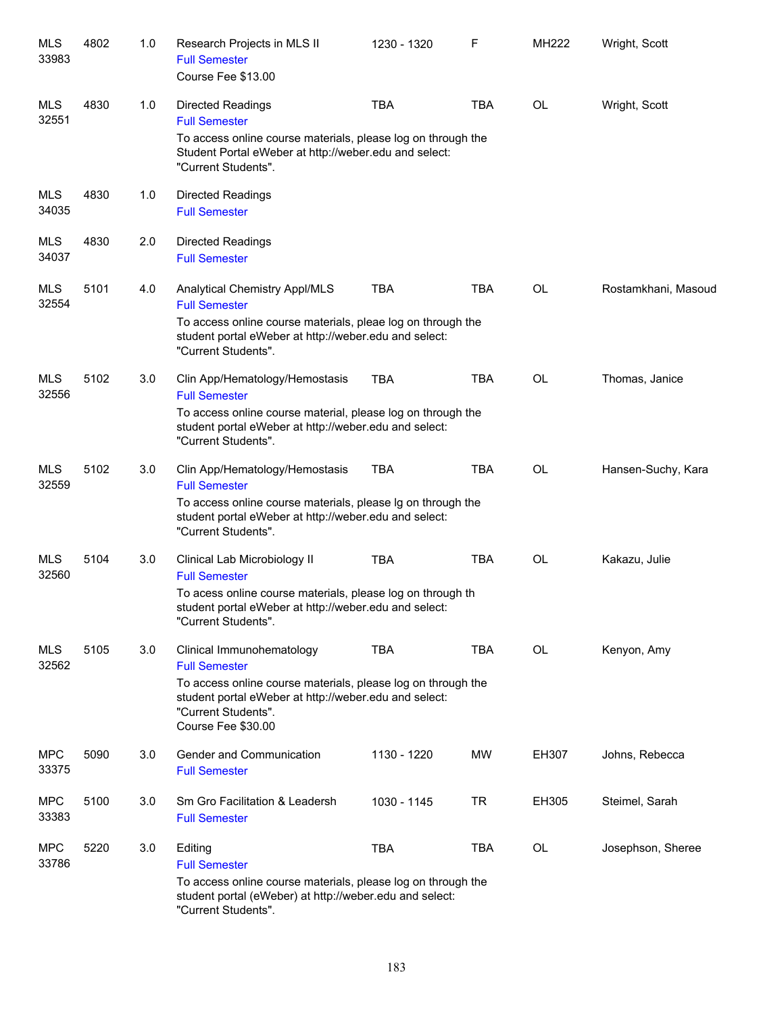| MLS<br>33983        | 4802 | 1.0 | Research Projects in MLS II<br><b>Full Semester</b><br>Course Fee \$13.00                                                                                                                                               | 1230 - 1320 | F          | MH222 | Wright, Scott       |
|---------------------|------|-----|-------------------------------------------------------------------------------------------------------------------------------------------------------------------------------------------------------------------------|-------------|------------|-------|---------------------|
| <b>MLS</b><br>32551 | 4830 | 1.0 | <b>Directed Readings</b><br><b>Full Semester</b><br>To access online course materials, please log on through the<br>Student Portal eWeber at http://weber.edu and select:<br>"Current Students".                        | <b>TBA</b>  | <b>TBA</b> | OL    | Wright, Scott       |
| MLS<br>34035        | 4830 | 1.0 | <b>Directed Readings</b><br><b>Full Semester</b>                                                                                                                                                                        |             |            |       |                     |
| MLS<br>34037        | 4830 | 2.0 | <b>Directed Readings</b><br><b>Full Semester</b>                                                                                                                                                                        |             |            |       |                     |
| <b>MLS</b><br>32554 | 5101 | 4.0 | Analytical Chemistry Appl/MLS<br><b>Full Semester</b><br>To access online course materials, pleae log on through the<br>student portal eWeber at http://weber.edu and select:<br>"Current Students".                    | <b>TBA</b>  | <b>TBA</b> | OL    | Rostamkhani, Masoud |
| <b>MLS</b><br>32556 | 5102 | 3.0 | Clin App/Hematology/Hemostasis<br><b>Full Semester</b><br>To access online course material, please log on through the<br>student portal eWeber at http://weber.edu and select:<br>"Current Students".                   | <b>TBA</b>  | <b>TBA</b> | OL    | Thomas, Janice      |
| <b>MLS</b><br>32559 | 5102 | 3.0 | Clin App/Hematology/Hemostasis<br><b>Full Semester</b><br>To access online course materials, please Ig on through the<br>student portal eWeber at http://weber.edu and select:<br>"Current Students".                   | <b>TBA</b>  | <b>TBA</b> | OL    | Hansen-Suchy, Kara  |
| MLS<br>32560        | 5104 | 3.0 | Clinical Lab Microbiology II<br><b>Full Semester</b><br>To acess online course materials, please log on through th<br>student portal eWeber at http://weber.edu and select:<br>"Current Students".                      | <b>TBA</b>  | <b>TBA</b> | OL    | Kakazu, Julie       |
| <b>MLS</b><br>32562 | 5105 | 3.0 | Clinical Immunohematology<br><b>Full Semester</b><br>To access online course materials, please log on through the<br>student portal eWeber at http://weber.edu and select:<br>"Current Students".<br>Course Fee \$30.00 | <b>TBA</b>  | <b>TBA</b> | OL    | Kenyon, Amy         |
| <b>MPC</b><br>33375 | 5090 | 3.0 | Gender and Communication<br><b>Full Semester</b>                                                                                                                                                                        | 1130 - 1220 | MW         | EH307 | Johns, Rebecca      |
| <b>MPC</b><br>33383 | 5100 | 3.0 | Sm Gro Facilitation & Leadersh<br><b>Full Semester</b>                                                                                                                                                                  | 1030 - 1145 | <b>TR</b>  | EH305 | Steimel, Sarah      |
| <b>MPC</b><br>33786 | 5220 | 3.0 | Editing<br><b>Full Semester</b><br>To access online course materials, please log on through the<br>student portal (eWeber) at http://weber.edu and select:<br>"Current Students".                                       | <b>TBA</b>  | <b>TBA</b> | OL    | Josephson, Sheree   |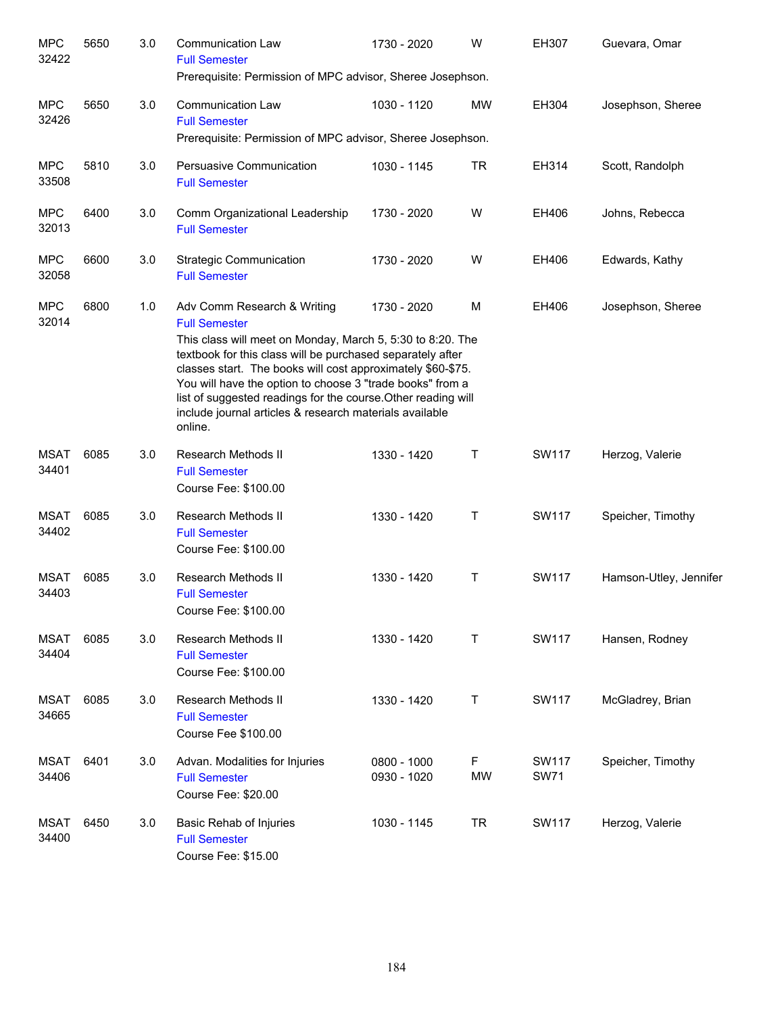| <b>MPC</b><br>32422  | 5650 | 3.0 | <b>Communication Law</b><br><b>Full Semester</b><br>Prerequisite: Permission of MPC advisor, Sheree Josephson.                                                                                                                                                                                                                                                                                                                                     | 1730 - 2020                | W              | EH307                | Guevara, Omar          |
|----------------------|------|-----|----------------------------------------------------------------------------------------------------------------------------------------------------------------------------------------------------------------------------------------------------------------------------------------------------------------------------------------------------------------------------------------------------------------------------------------------------|----------------------------|----------------|----------------------|------------------------|
| <b>MPC</b><br>32426  | 5650 | 3.0 | <b>Communication Law</b><br><b>Full Semester</b><br>Prerequisite: Permission of MPC advisor, Sheree Josephson.                                                                                                                                                                                                                                                                                                                                     | 1030 - 1120                | <b>MW</b>      | EH304                | Josephson, Sheree      |
| <b>MPC</b><br>33508  | 5810 | 3.0 | Persuasive Communication<br><b>Full Semester</b>                                                                                                                                                                                                                                                                                                                                                                                                   | 1030 - 1145                | <b>TR</b>      | EH314                | Scott, Randolph        |
| <b>MPC</b><br>32013  | 6400 | 3.0 | Comm Organizational Leadership<br><b>Full Semester</b>                                                                                                                                                                                                                                                                                                                                                                                             | 1730 - 2020                | W              | EH406                | Johns, Rebecca         |
| <b>MPC</b><br>32058  | 6600 | 3.0 | <b>Strategic Communication</b><br><b>Full Semester</b>                                                                                                                                                                                                                                                                                                                                                                                             | 1730 - 2020                | W              | EH406                | Edwards, Kathy         |
| <b>MPC</b><br>32014  | 6800 | 1.0 | Adv Comm Research & Writing<br><b>Full Semester</b><br>This class will meet on Monday, March 5, 5:30 to 8:20. The<br>textbook for this class will be purchased separately after<br>classes start. The books will cost approximately \$60-\$75.<br>You will have the option to choose 3 "trade books" from a<br>list of suggested readings for the course. Other reading will<br>include journal articles & research materials available<br>online. | 1730 - 2020                | м              | EH406                | Josephson, Sheree      |
| <b>MSAT</b><br>34401 | 6085 | 3.0 | Research Methods II<br><b>Full Semester</b><br>Course Fee: \$100.00                                                                                                                                                                                                                                                                                                                                                                                | 1330 - 1420                | Τ              | <b>SW117</b>         | Herzog, Valerie        |
| <b>MSAT</b><br>34402 | 6085 | 3.0 | Research Methods II<br><b>Full Semester</b><br>Course Fee: \$100.00                                                                                                                                                                                                                                                                                                                                                                                | 1330 - 1420                | Τ              | <b>SW117</b>         | Speicher, Timothy      |
| <b>MSAT</b><br>34403 | 6085 | 3.0 | Research Methods II<br><b>Full Semester</b><br>Course Fee: \$100.00                                                                                                                                                                                                                                                                                                                                                                                | 1330 - 1420                | Τ              | SW117                | Hamson-Utley, Jennifer |
| <b>MSAT</b><br>34404 | 6085 | 3.0 | <b>Research Methods II</b><br><b>Full Semester</b><br>Course Fee: \$100.00                                                                                                                                                                                                                                                                                                                                                                         | 1330 - 1420                | Τ              | <b>SW117</b>         | Hansen, Rodney         |
| <b>MSAT</b><br>34665 | 6085 | 3.0 | Research Methods II<br><b>Full Semester</b><br>Course Fee \$100.00                                                                                                                                                                                                                                                                                                                                                                                 | 1330 - 1420                | Т              | <b>SW117</b>         | McGladrey, Brian       |
| <b>MSAT</b><br>34406 | 6401 | 3.0 | Advan. Modalities for Injuries<br><b>Full Semester</b><br>Course Fee: \$20.00                                                                                                                                                                                                                                                                                                                                                                      | 0800 - 1000<br>0930 - 1020 | F<br><b>MW</b> | SW117<br><b>SW71</b> | Speicher, Timothy      |
| <b>MSAT</b><br>34400 | 6450 | 3.0 | Basic Rehab of Injuries<br><b>Full Semester</b><br>Course Fee: \$15.00                                                                                                                                                                                                                                                                                                                                                                             | 1030 - 1145                | TR             | <b>SW117</b>         | Herzog, Valerie        |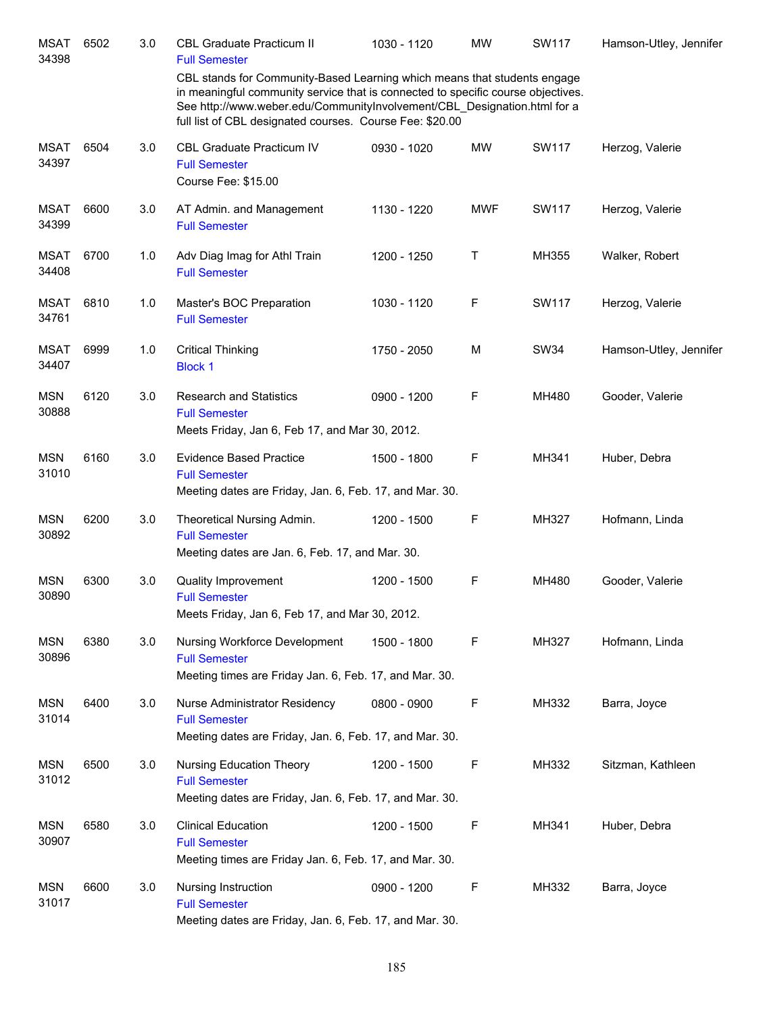| <b>MSAT</b><br>34398 | 6502 | 3.0 | <b>CBL Graduate Practicum II</b><br><b>Full Semester</b>                                                                                                                                                                                                                                             | 1030 - 1120 | <b>MW</b>  | SW117        | Hamson-Utley, Jennifer |
|----------------------|------|-----|------------------------------------------------------------------------------------------------------------------------------------------------------------------------------------------------------------------------------------------------------------------------------------------------------|-------------|------------|--------------|------------------------|
|                      |      |     | CBL stands for Community-Based Learning which means that students engage<br>in meaningful community service that is connected to specific course objectives.<br>See http://www.weber.edu/CommunityInvolvement/CBL Designation.html for a<br>full list of CBL designated courses. Course Fee: \$20.00 |             |            |              |                        |
| <b>MSAT</b><br>34397 | 6504 | 3.0 | CBL Graduate Practicum IV<br><b>Full Semester</b><br>Course Fee: \$15.00                                                                                                                                                                                                                             | 0930 - 1020 | <b>MW</b>  | SW117        | Herzog, Valerie        |
| <b>MSAT</b><br>34399 | 6600 | 3.0 | AT Admin. and Management<br><b>Full Semester</b>                                                                                                                                                                                                                                                     | 1130 - 1220 | <b>MWF</b> | <b>SW117</b> | Herzog, Valerie        |
| <b>MSAT</b><br>34408 | 6700 | 1.0 | Adv Diag Imag for Athl Train<br><b>Full Semester</b>                                                                                                                                                                                                                                                 | 1200 - 1250 | Т          | MH355        | Walker, Robert         |
| <b>MSAT</b><br>34761 | 6810 | 1.0 | Master's BOC Preparation<br><b>Full Semester</b>                                                                                                                                                                                                                                                     | 1030 - 1120 | F          | <b>SW117</b> | Herzog, Valerie        |
| <b>MSAT</b><br>34407 | 6999 | 1.0 | <b>Critical Thinking</b><br><b>Block 1</b>                                                                                                                                                                                                                                                           | 1750 - 2050 | M          | <b>SW34</b>  | Hamson-Utley, Jennifer |
| <b>MSN</b><br>30888  | 6120 | 3.0 | <b>Research and Statistics</b><br><b>Full Semester</b><br>Meets Friday, Jan 6, Feb 17, and Mar 30, 2012.                                                                                                                                                                                             | 0900 - 1200 | F          | MH480        | Gooder, Valerie        |
| <b>MSN</b><br>31010  | 6160 | 3.0 | <b>Evidence Based Practice</b><br><b>Full Semester</b><br>Meeting dates are Friday, Jan. 6, Feb. 17, and Mar. 30.                                                                                                                                                                                    | 1500 - 1800 | F          | MH341        | Huber, Debra           |
| <b>MSN</b><br>30892  | 6200 | 3.0 | Theoretical Nursing Admin.<br><b>Full Semester</b><br>Meeting dates are Jan. 6, Feb. 17, and Mar. 30.                                                                                                                                                                                                | 1200 - 1500 | F          | MH327        | Hofmann, Linda         |
| <b>MSN</b><br>30890  | 6300 | 3.0 | <b>Quality Improvement</b><br><b>Full Semester</b><br>Meets Friday, Jan 6, Feb 17, and Mar 30, 2012.                                                                                                                                                                                                 | 1200 - 1500 | F          | MH480        | Gooder, Valerie        |
| <b>MSN</b><br>30896  | 6380 | 3.0 | Nursing Workforce Development<br><b>Full Semester</b><br>Meeting times are Friday Jan. 6, Feb. 17, and Mar. 30.                                                                                                                                                                                      | 1500 - 1800 | F          | MH327        | Hofmann, Linda         |
| <b>MSN</b><br>31014  | 6400 | 3.0 | Nurse Administrator Residency<br><b>Full Semester</b><br>Meeting dates are Friday, Jan. 6, Feb. 17, and Mar. 30.                                                                                                                                                                                     | 0800 - 0900 | F          | MH332        | Barra, Joyce           |
| <b>MSN</b><br>31012  | 6500 | 3.0 | Nursing Education Theory<br><b>Full Semester</b><br>Meeting dates are Friday, Jan. 6, Feb. 17, and Mar. 30.                                                                                                                                                                                          | 1200 - 1500 | F          | MH332        | Sitzman, Kathleen      |
| <b>MSN</b><br>30907  | 6580 | 3.0 | <b>Clinical Education</b><br><b>Full Semester</b><br>Meeting times are Friday Jan. 6, Feb. 17, and Mar. 30.                                                                                                                                                                                          | 1200 - 1500 | F          | MH341        | Huber, Debra           |
| <b>MSN</b><br>31017  | 6600 | 3.0 | Nursing Instruction<br><b>Full Semester</b><br>Meeting dates are Friday, Jan. 6, Feb. 17, and Mar. 30.                                                                                                                                                                                               | 0900 - 1200 | F          | MH332        | Barra, Joyce           |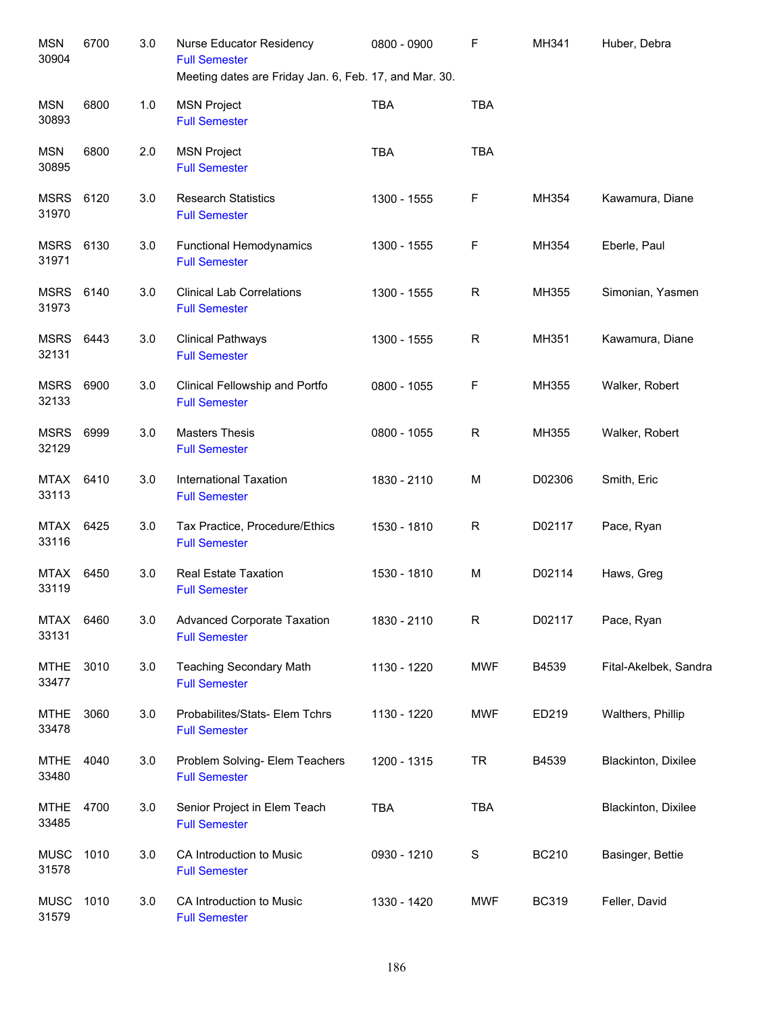| <b>MSN</b><br>30904  | 6700 | 3.0 | Nurse Educator Residency<br><b>Full Semester</b><br>Meeting dates are Friday Jan. 6, Feb. 17, and Mar. 30. | 0800 - 0900 | F           | MH341        | Huber, Debra          |
|----------------------|------|-----|------------------------------------------------------------------------------------------------------------|-------------|-------------|--------------|-----------------------|
| <b>MSN</b><br>30893  | 6800 | 1.0 | <b>MSN Project</b><br><b>Full Semester</b>                                                                 | <b>TBA</b>  | <b>TBA</b>  |              |                       |
| <b>MSN</b><br>30895  | 6800 | 2.0 | <b>MSN Project</b><br><b>Full Semester</b>                                                                 | <b>TBA</b>  | <b>TBA</b>  |              |                       |
| <b>MSRS</b><br>31970 | 6120 | 3.0 | <b>Research Statistics</b><br><b>Full Semester</b>                                                         | 1300 - 1555 | F           | MH354        | Kawamura, Diane       |
| MSRS<br>31971        | 6130 | 3.0 | <b>Functional Hemodynamics</b><br><b>Full Semester</b>                                                     | 1300 - 1555 | F           | MH354        | Eberle, Paul          |
| <b>MSRS</b><br>31973 | 6140 | 3.0 | <b>Clinical Lab Correlations</b><br><b>Full Semester</b>                                                   | 1300 - 1555 | $\mathsf R$ | MH355        | Simonian, Yasmen      |
| <b>MSRS</b><br>32131 | 6443 | 3.0 | <b>Clinical Pathways</b><br><b>Full Semester</b>                                                           | 1300 - 1555 | $\mathsf R$ | MH351        | Kawamura, Diane       |
| <b>MSRS</b><br>32133 | 6900 | 3.0 | Clinical Fellowship and Portfo<br><b>Full Semester</b>                                                     | 0800 - 1055 | F           | MH355        | Walker, Robert        |
| <b>MSRS</b><br>32129 | 6999 | 3.0 | <b>Masters Thesis</b><br><b>Full Semester</b>                                                              | 0800 - 1055 | $\mathsf R$ | MH355        | Walker, Robert        |
| <b>MTAX</b><br>33113 | 6410 | 3.0 | <b>International Taxation</b><br><b>Full Semester</b>                                                      | 1830 - 2110 | M           | D02306       | Smith, Eric           |
| <b>MTAX</b><br>33116 | 6425 | 3.0 | Tax Practice, Procedure/Ethics<br><b>Full Semester</b>                                                     | 1530 - 1810 | R           | D02117       | Pace, Ryan            |
| <b>MTAX</b><br>33119 | 6450 | 3.0 | <b>Real Estate Taxation</b><br><b>Full Semester</b>                                                        | 1530 - 1810 | M           | D02114       | Haws, Greg            |
| <b>MTAX</b><br>33131 | 6460 | 3.0 | <b>Advanced Corporate Taxation</b><br><b>Full Semester</b>                                                 | 1830 - 2110 | $\mathsf R$ | D02117       | Pace, Ryan            |
| <b>MTHE</b><br>33477 | 3010 | 3.0 | <b>Teaching Secondary Math</b><br><b>Full Semester</b>                                                     | 1130 - 1220 | <b>MWF</b>  | B4539        | Fital-Akelbek, Sandra |
| <b>MTHE</b><br>33478 | 3060 | 3.0 | Probabilites/Stats- Elem Tchrs<br><b>Full Semester</b>                                                     | 1130 - 1220 | <b>MWF</b>  | ED219        | Walthers, Phillip     |
| <b>MTHE</b><br>33480 | 4040 | 3.0 | Problem Solving- Elem Teachers<br><b>Full Semester</b>                                                     | 1200 - 1315 | <b>TR</b>   | B4539        | Blackinton, Dixilee   |
| <b>MTHE</b><br>33485 | 4700 | 3.0 | Senior Project in Elem Teach<br><b>Full Semester</b>                                                       | <b>TBA</b>  | <b>TBA</b>  |              | Blackinton, Dixilee   |
| <b>MUSC</b><br>31578 | 1010 | 3.0 | CA Introduction to Music<br><b>Full Semester</b>                                                           | 0930 - 1210 | $\mathbf S$ | <b>BC210</b> | Basinger, Bettie      |
| <b>MUSC</b><br>31579 | 1010 | 3.0 | CA Introduction to Music<br><b>Full Semester</b>                                                           | 1330 - 1420 | <b>MWF</b>  | <b>BC319</b> | Feller, David         |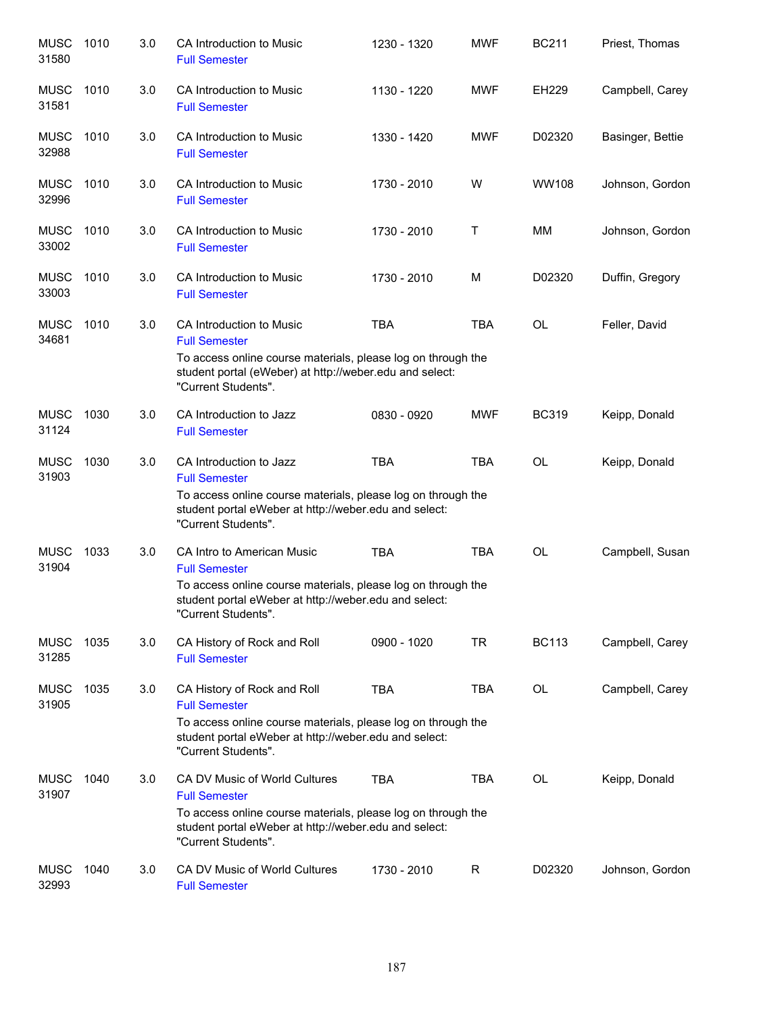| <b>MUSC</b><br>31580 | 1010 | 3.0 | CA Introduction to Music<br><b>Full Semester</b>                                                                                                                                                      | 1230 - 1320 | <b>MWF</b> | <b>BC211</b> | Priest, Thomas   |
|----------------------|------|-----|-------------------------------------------------------------------------------------------------------------------------------------------------------------------------------------------------------|-------------|------------|--------------|------------------|
| <b>MUSC</b><br>31581 | 1010 | 3.0 | CA Introduction to Music<br><b>Full Semester</b>                                                                                                                                                      | 1130 - 1220 | <b>MWF</b> | EH229        | Campbell, Carey  |
| <b>MUSC</b><br>32988 | 1010 | 3.0 | CA Introduction to Music<br><b>Full Semester</b>                                                                                                                                                      | 1330 - 1420 | <b>MWF</b> | D02320       | Basinger, Bettie |
| <b>MUSC</b><br>32996 | 1010 | 3.0 | CA Introduction to Music<br><b>Full Semester</b>                                                                                                                                                      | 1730 - 2010 | W          | <b>WW108</b> | Johnson, Gordon  |
| <b>MUSC</b><br>33002 | 1010 | 3.0 | CA Introduction to Music<br><b>Full Semester</b>                                                                                                                                                      | 1730 - 2010 | Т          | МM           | Johnson, Gordon  |
| <b>MUSC</b><br>33003 | 1010 | 3.0 | CA Introduction to Music<br><b>Full Semester</b>                                                                                                                                                      | 1730 - 2010 | M          | D02320       | Duffin, Gregory  |
| <b>MUSC</b><br>34681 | 1010 | 3.0 | CA Introduction to Music<br><b>Full Semester</b><br>To access online course materials, please log on through the<br>student portal (eWeber) at http://weber.edu and select:<br>"Current Students".    | <b>TBA</b>  | <b>TBA</b> | <b>OL</b>    | Feller, David    |
| <b>MUSC</b><br>31124 | 1030 | 3.0 | CA Introduction to Jazz<br><b>Full Semester</b>                                                                                                                                                       | 0830 - 0920 | <b>MWF</b> | <b>BC319</b> | Keipp, Donald    |
| <b>MUSC</b><br>31903 | 1030 | 3.0 | CA Introduction to Jazz<br><b>Full Semester</b><br>To access online course materials, please log on through the<br>student portal eWeber at http://weber.edu and select:<br>"Current Students".       | <b>TBA</b>  | <b>TBA</b> | <b>OL</b>    | Keipp, Donald    |
| <b>MUSC</b><br>31904 | 1033 | 3.0 | CA Intro to American Music<br><b>Full Semester</b><br>To access online course materials, please log on through the<br>student portal eWeber at http://weber.edu and select:<br>"Current Students".    | <b>TBA</b>  | <b>TBA</b> | <b>OL</b>    | Campbell, Susan  |
| <b>MUSC</b><br>31285 | 1035 | 3.0 | CA History of Rock and Roll<br><b>Full Semester</b>                                                                                                                                                   | 0900 - 1020 | TR         | <b>BC113</b> | Campbell, Carey  |
| <b>MUSC</b><br>31905 | 1035 | 3.0 | CA History of Rock and Roll<br><b>Full Semester</b><br>To access online course materials, please log on through the<br>student portal eWeber at http://weber.edu and select:<br>"Current Students".   | <b>TBA</b>  | TBA        | OL           | Campbell, Carey  |
| <b>MUSC</b><br>31907 | 1040 | 3.0 | CA DV Music of World Cultures<br><b>Full Semester</b><br>To access online course materials, please log on through the<br>student portal eWeber at http://weber.edu and select:<br>"Current Students". | <b>TBA</b>  | TBA        | OL           | Keipp, Donald    |
| <b>MUSC</b><br>32993 | 1040 | 3.0 | CA DV Music of World Cultures<br><b>Full Semester</b>                                                                                                                                                 | 1730 - 2010 | R          | D02320       | Johnson, Gordon  |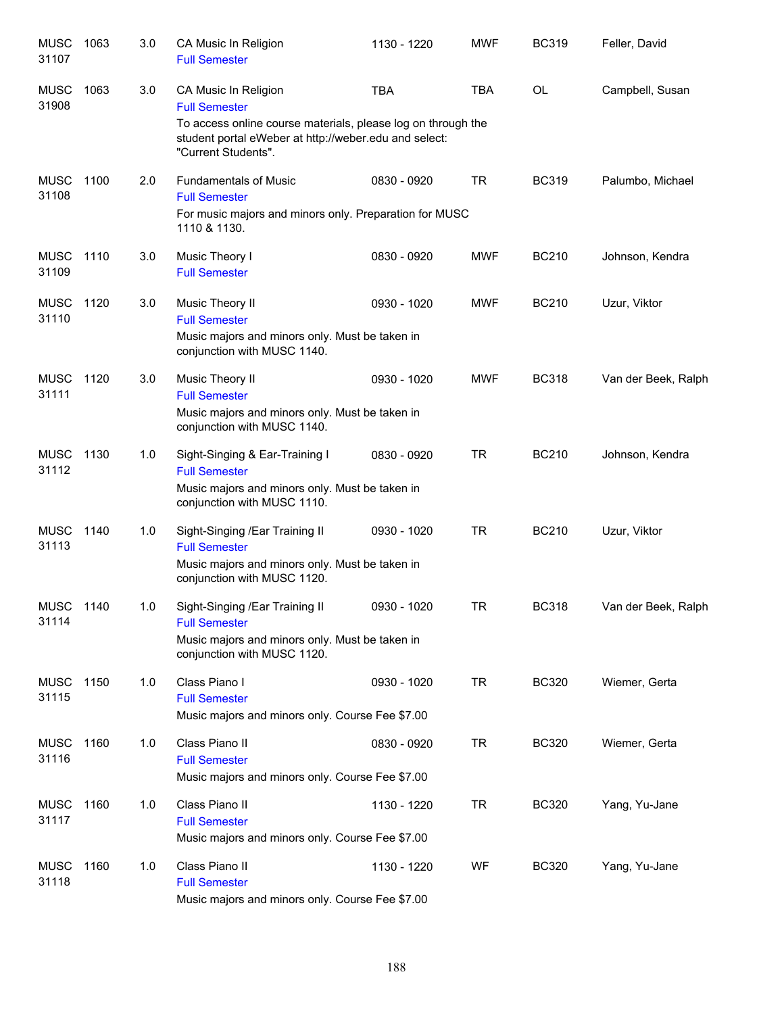| <b>MUSC</b><br>31107 | 1063 | 3.0 | CA Music In Religion<br><b>Full Semester</b>                                                                                                 | 1130 - 1220 | <b>MWF</b> | <b>BC319</b> | Feller, David       |
|----------------------|------|-----|----------------------------------------------------------------------------------------------------------------------------------------------|-------------|------------|--------------|---------------------|
| <b>MUSC</b><br>31908 | 1063 | 3.0 | CA Music In Religion<br><b>Full Semester</b>                                                                                                 | <b>TBA</b>  | <b>TBA</b> | <b>OL</b>    | Campbell, Susan     |
|                      |      |     | To access online course materials, please log on through the<br>student portal eWeber at http://weber.edu and select:<br>"Current Students". |             |            |              |                     |
| <b>MUSC</b><br>31108 | 1100 | 2.0 | <b>Fundamentals of Music</b><br><b>Full Semester</b><br>For music majors and minors only. Preparation for MUSC<br>1110 & 1130.               | 0830 - 0920 | <b>TR</b>  | <b>BC319</b> | Palumbo, Michael    |
| <b>MUSC</b><br>31109 | 1110 | 3.0 | Music Theory I<br><b>Full Semester</b>                                                                                                       | 0830 - 0920 | <b>MWF</b> | <b>BC210</b> | Johnson, Kendra     |
| <b>MUSC</b><br>31110 | 1120 | 3.0 | Music Theory II<br><b>Full Semester</b><br>Music majors and minors only. Must be taken in<br>conjunction with MUSC 1140.                     | 0930 - 1020 | <b>MWF</b> | <b>BC210</b> | Uzur, Viktor        |
| <b>MUSC</b><br>31111 | 1120 | 3.0 | Music Theory II<br><b>Full Semester</b><br>Music majors and minors only. Must be taken in<br>conjunction with MUSC 1140.                     | 0930 - 1020 | <b>MWF</b> | <b>BC318</b> | Van der Beek, Ralph |
| <b>MUSC</b><br>31112 | 1130 | 1.0 | Sight-Singing & Ear-Training I<br><b>Full Semester</b><br>Music majors and minors only. Must be taken in<br>conjunction with MUSC 1110.      | 0830 - 0920 | <b>TR</b>  | <b>BC210</b> | Johnson, Kendra     |
| <b>MUSC</b><br>31113 | 1140 | 1.0 | Sight-Singing /Ear Training II<br><b>Full Semester</b><br>Music majors and minors only. Must be taken in<br>conjunction with MUSC 1120.      | 0930 - 1020 | <b>TR</b>  | <b>BC210</b> | Uzur, Viktor        |
| MUSC<br>31114        | 1140 | 1.0 | Sight-Singing /Ear Training II<br><b>Full Semester</b><br>Music majors and minors only. Must be taken in<br>conjunction with MUSC 1120.      | 0930 - 1020 | TR         | <b>BC318</b> | Van der Beek, Ralph |
| <b>MUSC</b><br>31115 | 1150 | 1.0 | Class Piano I<br><b>Full Semester</b><br>Music majors and minors only. Course Fee \$7.00                                                     | 0930 - 1020 | <b>TR</b>  | <b>BC320</b> | Wiemer, Gerta       |
| <b>MUSC</b><br>31116 | 1160 | 1.0 | Class Piano II<br><b>Full Semester</b><br>Music majors and minors only. Course Fee \$7.00                                                    | 0830 - 0920 | <b>TR</b>  | <b>BC320</b> | Wiemer, Gerta       |
| <b>MUSC</b><br>31117 | 1160 | 1.0 | Class Piano II<br><b>Full Semester</b><br>Music majors and minors only. Course Fee \$7.00                                                    | 1130 - 1220 | <b>TR</b>  | <b>BC320</b> | Yang, Yu-Jane       |
| <b>MUSC</b><br>31118 | 1160 | 1.0 | Class Piano II<br><b>Full Semester</b><br>Music majors and minors only. Course Fee \$7.00                                                    | 1130 - 1220 | WF         | <b>BC320</b> | Yang, Yu-Jane       |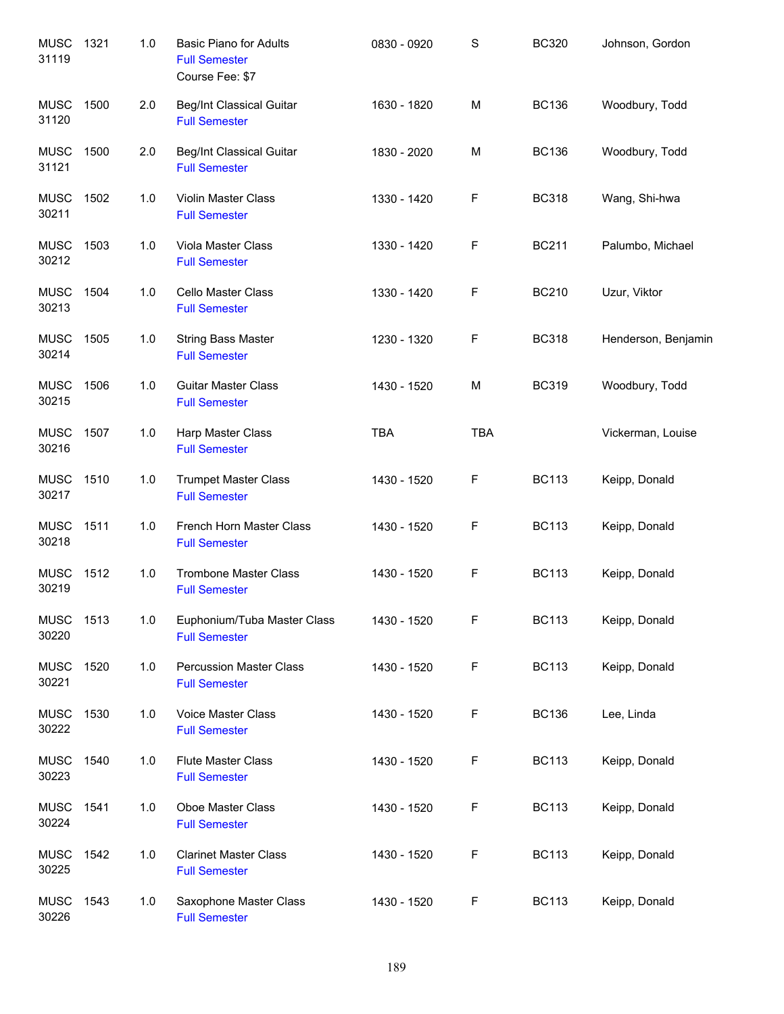| <b>MUSC</b><br>31119 | 1321 | 1.0 | <b>Basic Piano for Adults</b><br><b>Full Semester</b><br>Course Fee: \$7 | 0830 - 0920 | $\mathbf S$ | <b>BC320</b> | Johnson, Gordon     |
|----------------------|------|-----|--------------------------------------------------------------------------|-------------|-------------|--------------|---------------------|
| <b>MUSC</b><br>31120 | 1500 | 2.0 | <b>Beg/Int Classical Guitar</b><br><b>Full Semester</b>                  | 1630 - 1820 | M           | <b>BC136</b> | Woodbury, Todd      |
| <b>MUSC</b><br>31121 | 1500 | 2.0 | Beg/Int Classical Guitar<br><b>Full Semester</b>                         | 1830 - 2020 | M           | <b>BC136</b> | Woodbury, Todd      |
| <b>MUSC</b><br>30211 | 1502 | 1.0 | Violin Master Class<br><b>Full Semester</b>                              | 1330 - 1420 | F           | <b>BC318</b> | Wang, Shi-hwa       |
| <b>MUSC</b><br>30212 | 1503 | 1.0 | Viola Master Class<br><b>Full Semester</b>                               | 1330 - 1420 | F           | <b>BC211</b> | Palumbo, Michael    |
| <b>MUSC</b><br>30213 | 1504 | 1.0 | Cello Master Class<br><b>Full Semester</b>                               | 1330 - 1420 | F           | <b>BC210</b> | Uzur, Viktor        |
| <b>MUSC</b><br>30214 | 1505 | 1.0 | <b>String Bass Master</b><br><b>Full Semester</b>                        | 1230 - 1320 | F           | <b>BC318</b> | Henderson, Benjamin |
| <b>MUSC</b><br>30215 | 1506 | 1.0 | <b>Guitar Master Class</b><br><b>Full Semester</b>                       | 1430 - 1520 | M           | <b>BC319</b> | Woodbury, Todd      |
| <b>MUSC</b><br>30216 | 1507 | 1.0 | Harp Master Class<br><b>Full Semester</b>                                | <b>TBA</b>  | <b>TBA</b>  |              | Vickerman, Louise   |
| <b>MUSC</b><br>30217 | 1510 | 1.0 | <b>Trumpet Master Class</b><br><b>Full Semester</b>                      | 1430 - 1520 | F           | <b>BC113</b> | Keipp, Donald       |
| <b>MUSC</b><br>30218 | 1511 | 1.0 | French Horn Master Class<br><b>Full Semester</b>                         | 1430 - 1520 | F           | <b>BC113</b> | Keipp, Donald       |
| <b>MUSC</b><br>30219 | 1512 | 1.0 | <b>Trombone Master Class</b><br><b>Full Semester</b>                     | 1430 - 1520 | F           | <b>BC113</b> | Keipp, Donald       |
| <b>MUSC</b><br>30220 | 1513 | 1.0 | Euphonium/Tuba Master Class<br><b>Full Semester</b>                      | 1430 - 1520 | F           | <b>BC113</b> | Keipp, Donald       |
| <b>MUSC</b><br>30221 | 1520 | 1.0 | <b>Percussion Master Class</b><br><b>Full Semester</b>                   | 1430 - 1520 | F           | <b>BC113</b> | Keipp, Donald       |
| <b>MUSC</b><br>30222 | 1530 | 1.0 | Voice Master Class<br><b>Full Semester</b>                               | 1430 - 1520 | F           | <b>BC136</b> | Lee, Linda          |
| <b>MUSC</b><br>30223 | 1540 | 1.0 | <b>Flute Master Class</b><br><b>Full Semester</b>                        | 1430 - 1520 | F           | <b>BC113</b> | Keipp, Donald       |
| <b>MUSC</b><br>30224 | 1541 | 1.0 | Oboe Master Class<br><b>Full Semester</b>                                | 1430 - 1520 | F           | <b>BC113</b> | Keipp, Donald       |
| <b>MUSC</b><br>30225 | 1542 | 1.0 | <b>Clarinet Master Class</b><br><b>Full Semester</b>                     | 1430 - 1520 | F           | <b>BC113</b> | Keipp, Donald       |
| <b>MUSC</b><br>30226 | 1543 | 1.0 | Saxophone Master Class<br><b>Full Semester</b>                           | 1430 - 1520 | F           | <b>BC113</b> | Keipp, Donald       |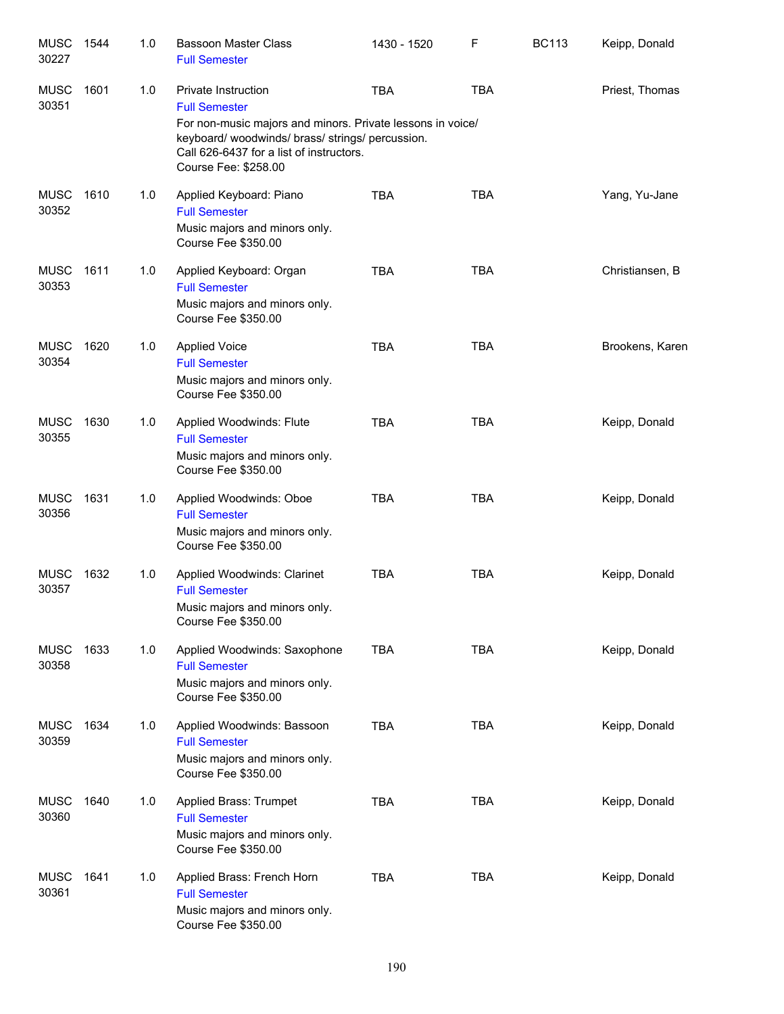| <b>MUSC</b><br>30227 | 1544 | 1.0 | <b>Bassoon Master Class</b><br><b>Full Semester</b>                                                                                                                                                                           | 1430 - 1520 | F          | <b>BC113</b> | Keipp, Donald   |
|----------------------|------|-----|-------------------------------------------------------------------------------------------------------------------------------------------------------------------------------------------------------------------------------|-------------|------------|--------------|-----------------|
| <b>MUSC</b><br>30351 | 1601 | 1.0 | Private Instruction<br><b>Full Semester</b><br>For non-music majors and minors. Private lessons in voice/<br>keyboard/woodwinds/brass/strings/percussion.<br>Call 626-6437 for a list of instructors.<br>Course Fee: \$258.00 | <b>TBA</b>  | <b>TBA</b> |              | Priest, Thomas  |
| <b>MUSC</b><br>30352 | 1610 | 1.0 | Applied Keyboard: Piano<br><b>Full Semester</b><br>Music majors and minors only.<br>Course Fee \$350.00                                                                                                                       | <b>TBA</b>  | <b>TBA</b> |              | Yang, Yu-Jane   |
| <b>MUSC</b><br>30353 | 1611 | 1.0 | Applied Keyboard: Organ<br><b>Full Semester</b><br>Music majors and minors only.<br>Course Fee \$350.00                                                                                                                       | <b>TBA</b>  | <b>TBA</b> |              | Christiansen, B |
| <b>MUSC</b><br>30354 | 1620 | 1.0 | <b>Applied Voice</b><br><b>Full Semester</b><br>Music majors and minors only.<br>Course Fee \$350.00                                                                                                                          | <b>TBA</b>  | <b>TBA</b> |              | Brookens, Karen |
| <b>MUSC</b><br>30355 | 1630 | 1.0 | Applied Woodwinds: Flute<br><b>Full Semester</b><br>Music majors and minors only.<br>Course Fee \$350.00                                                                                                                      | <b>TBA</b>  | <b>TBA</b> |              | Keipp, Donald   |
| <b>MUSC</b><br>30356 | 1631 | 1.0 | Applied Woodwinds: Oboe<br><b>Full Semester</b><br>Music majors and minors only.<br>Course Fee \$350.00                                                                                                                       | <b>TBA</b>  | <b>TBA</b> |              | Keipp, Donald   |
| <b>MUSC</b><br>30357 | 1632 | 1.0 | Applied Woodwinds: Clarinet<br><b>Full Semester</b><br>Music majors and minors only.<br>Course Fee \$350.00                                                                                                                   | <b>TBA</b>  | <b>TBA</b> |              | Keipp, Donald   |
| <b>MUSC</b><br>30358 | 1633 | 1.0 | Applied Woodwinds: Saxophone<br><b>Full Semester</b><br>Music majors and minors only.<br>Course Fee \$350.00                                                                                                                  | <b>TBA</b>  | <b>TBA</b> |              | Keipp, Donald   |
| <b>MUSC</b><br>30359 | 1634 | 1.0 | Applied Woodwinds: Bassoon<br><b>Full Semester</b><br>Music majors and minors only.<br>Course Fee \$350.00                                                                                                                    | <b>TBA</b>  | <b>TBA</b> |              | Keipp, Donald   |
| <b>MUSC</b><br>30360 | 1640 | 1.0 | Applied Brass: Trumpet<br><b>Full Semester</b><br>Music majors and minors only.<br>Course Fee \$350.00                                                                                                                        | <b>TBA</b>  | <b>TBA</b> |              | Keipp, Donald   |
| <b>MUSC</b><br>30361 | 1641 | 1.0 | Applied Brass: French Horn<br><b>Full Semester</b><br>Music majors and minors only.<br>Course Fee \$350.00                                                                                                                    | <b>TBA</b>  | <b>TBA</b> |              | Keipp, Donald   |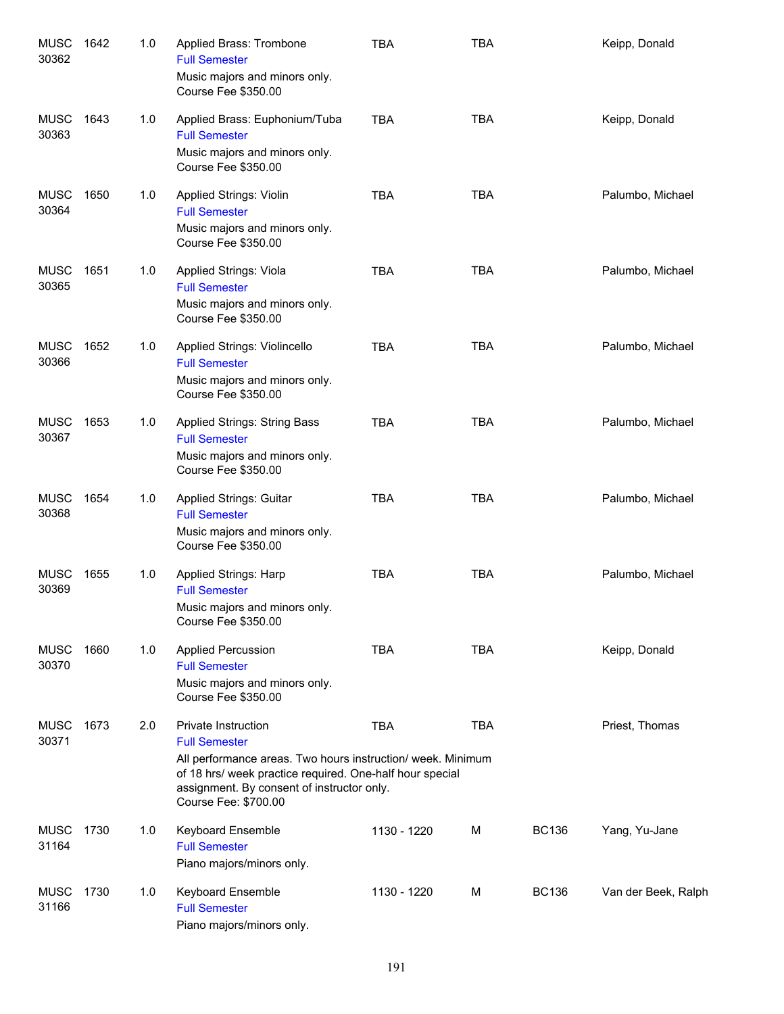| <b>MUSC</b><br>30362 | 1642 | 1.0 | Applied Brass: Trombone<br><b>Full Semester</b><br>Music majors and minors only.<br>Course Fee \$350.00                                                                                                                                      | <b>TBA</b>  | <b>TBA</b> |              | Keipp, Donald       |
|----------------------|------|-----|----------------------------------------------------------------------------------------------------------------------------------------------------------------------------------------------------------------------------------------------|-------------|------------|--------------|---------------------|
| <b>MUSC</b><br>30363 | 1643 | 1.0 | Applied Brass: Euphonium/Tuba<br><b>Full Semester</b><br>Music majors and minors only.<br>Course Fee \$350.00                                                                                                                                | <b>TBA</b>  | <b>TBA</b> |              | Keipp, Donald       |
| <b>MUSC</b><br>30364 | 1650 | 1.0 | Applied Strings: Violin<br><b>Full Semester</b><br>Music majors and minors only.<br>Course Fee \$350.00                                                                                                                                      | <b>TBA</b>  | <b>TBA</b> |              | Palumbo, Michael    |
| <b>MUSC</b><br>30365 | 1651 | 1.0 | Applied Strings: Viola<br><b>Full Semester</b><br>Music majors and minors only.<br>Course Fee \$350.00                                                                                                                                       | <b>TBA</b>  | <b>TBA</b> |              | Palumbo, Michael    |
| <b>MUSC</b><br>30366 | 1652 | 1.0 | Applied Strings: Violincello<br><b>Full Semester</b><br>Music majors and minors only.<br>Course Fee \$350.00                                                                                                                                 | <b>TBA</b>  | <b>TBA</b> |              | Palumbo, Michael    |
| <b>MUSC</b><br>30367 | 1653 | 1.0 | <b>Applied Strings: String Bass</b><br><b>Full Semester</b><br>Music majors and minors only.<br>Course Fee \$350.00                                                                                                                          | <b>TBA</b>  | <b>TBA</b> |              | Palumbo, Michael    |
| <b>MUSC</b><br>30368 | 1654 | 1.0 | <b>Applied Strings: Guitar</b><br><b>Full Semester</b><br>Music majors and minors only.<br>Course Fee \$350.00                                                                                                                               | <b>TBA</b>  | <b>TBA</b> |              | Palumbo, Michael    |
| <b>MUSC</b><br>30369 | 1655 | 1.0 | Applied Strings: Harp<br><b>Full Semester</b><br>Music majors and minors only.<br>Course Fee \$350.00                                                                                                                                        | <b>TBA</b>  | <b>TBA</b> |              | Palumbo, Michael    |
| <b>MUSC</b><br>30370 | 1660 | 1.0 | <b>Applied Percussion</b><br><b>Full Semester</b><br>Music majors and minors only.<br>Course Fee \$350.00                                                                                                                                    | <b>TBA</b>  | <b>TBA</b> |              | Keipp, Donald       |
| <b>MUSC</b><br>30371 | 1673 | 2.0 | Private Instruction<br><b>Full Semester</b><br>All performance areas. Two hours instruction/ week. Minimum<br>of 18 hrs/ week practice required. One-half hour special<br>assignment. By consent of instructor only.<br>Course Fee: \$700.00 | <b>TBA</b>  | <b>TBA</b> |              | Priest, Thomas      |
| <b>MUSC</b><br>31164 | 1730 | 1.0 | Keyboard Ensemble<br><b>Full Semester</b><br>Piano majors/minors only.                                                                                                                                                                       | 1130 - 1220 | М          | <b>BC136</b> | Yang, Yu-Jane       |
| <b>MUSC</b><br>31166 | 1730 | 1.0 | Keyboard Ensemble<br><b>Full Semester</b><br>Piano majors/minors only.                                                                                                                                                                       | 1130 - 1220 | М          | <b>BC136</b> | Van der Beek, Ralph |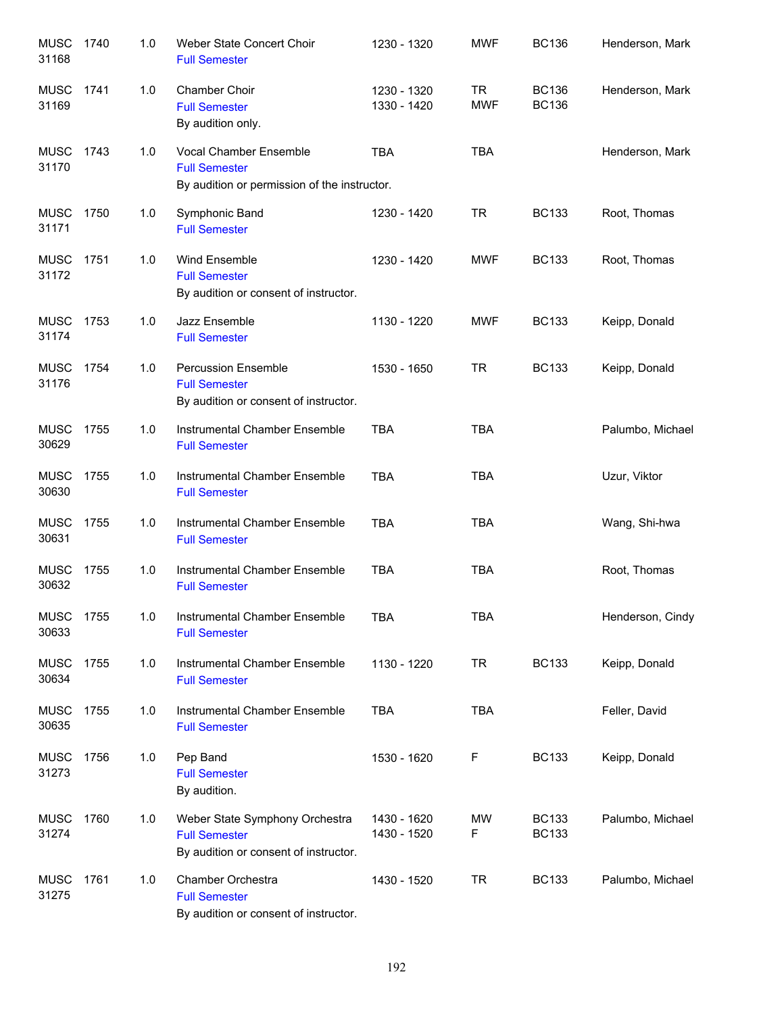| <b>MUSC</b><br>31168 | 1740 | 1.0 | Weber State Concert Choir<br><b>Full Semester</b>                                               | 1230 - 1320                | <b>MWF</b>              | <b>BC136</b>                 | Henderson, Mark  |
|----------------------|------|-----|-------------------------------------------------------------------------------------------------|----------------------------|-------------------------|------------------------------|------------------|
| <b>MUSC</b><br>31169 | 1741 | 1.0 | Chamber Choir<br><b>Full Semester</b><br>By audition only.                                      | 1230 - 1320<br>1330 - 1420 | <b>TR</b><br><b>MWF</b> | <b>BC136</b><br><b>BC136</b> | Henderson, Mark  |
| <b>MUSC</b><br>31170 | 1743 | 1.0 | Vocal Chamber Ensemble<br><b>Full Semester</b><br>By audition or permission of the instructor.  | <b>TBA</b>                 | <b>TBA</b>              |                              | Henderson, Mark  |
| <b>MUSC</b><br>31171 | 1750 | 1.0 | Symphonic Band<br><b>Full Semester</b>                                                          | 1230 - 1420                | <b>TR</b>               | <b>BC133</b>                 | Root, Thomas     |
| <b>MUSC</b><br>31172 | 1751 | 1.0 | Wind Ensemble<br><b>Full Semester</b><br>By audition or consent of instructor.                  | 1230 - 1420                | <b>MWF</b>              | <b>BC133</b>                 | Root, Thomas     |
| <b>MUSC</b><br>31174 | 1753 | 1.0 | Jazz Ensemble<br><b>Full Semester</b>                                                           | 1130 - 1220                | <b>MWF</b>              | <b>BC133</b>                 | Keipp, Donald    |
| <b>MUSC</b><br>31176 | 1754 | 1.0 | <b>Percussion Ensemble</b><br><b>Full Semester</b><br>By audition or consent of instructor.     | 1530 - 1650                | <b>TR</b>               | <b>BC133</b>                 | Keipp, Donald    |
| <b>MUSC</b><br>30629 | 1755 | 1.0 | Instrumental Chamber Ensemble<br><b>Full Semester</b>                                           | <b>TBA</b>                 | <b>TBA</b>              |                              | Palumbo, Michael |
| <b>MUSC</b><br>30630 | 1755 | 1.0 | Instrumental Chamber Ensemble<br><b>Full Semester</b>                                           | <b>TBA</b>                 | <b>TBA</b>              |                              | Uzur, Viktor     |
| <b>MUSC</b><br>30631 | 1755 | 1.0 | Instrumental Chamber Ensemble<br><b>Full Semester</b>                                           | <b>TBA</b>                 | <b>TBA</b>              |                              | Wang, Shi-hwa    |
| <b>MUSC</b><br>30632 | 1755 | 1.0 | Instrumental Chamber Ensemble<br><b>Full Semester</b>                                           | <b>TBA</b>                 | <b>TBA</b>              |                              | Root, Thomas     |
| <b>MUSC</b><br>30633 | 1755 | 1.0 | Instrumental Chamber Ensemble<br><b>Full Semester</b>                                           | <b>TBA</b>                 | <b>TBA</b>              |                              | Henderson, Cindy |
| <b>MUSC</b><br>30634 | 1755 | 1.0 | Instrumental Chamber Ensemble<br><b>Full Semester</b>                                           | 1130 - 1220                | <b>TR</b>               | <b>BC133</b>                 | Keipp, Donald    |
| <b>MUSC</b><br>30635 | 1755 | 1.0 | Instrumental Chamber Ensemble<br><b>Full Semester</b>                                           | <b>TBA</b>                 | <b>TBA</b>              |                              | Feller, David    |
| <b>MUSC</b><br>31273 | 1756 | 1.0 | Pep Band<br><b>Full Semester</b><br>By audition.                                                | 1530 - 1620                | F                       | <b>BC133</b>                 | Keipp, Donald    |
| <b>MUSC</b><br>31274 | 1760 | 1.0 | Weber State Symphony Orchestra<br><b>Full Semester</b><br>By audition or consent of instructor. | 1430 - 1620<br>1430 - 1520 | MW<br>F                 | <b>BC133</b><br><b>BC133</b> | Palumbo, Michael |
| MUSC<br>31275        | 1761 | 1.0 | Chamber Orchestra<br><b>Full Semester</b><br>By audition or consent of instructor.              | 1430 - 1520                | <b>TR</b>               | <b>BC133</b>                 | Palumbo, Michael |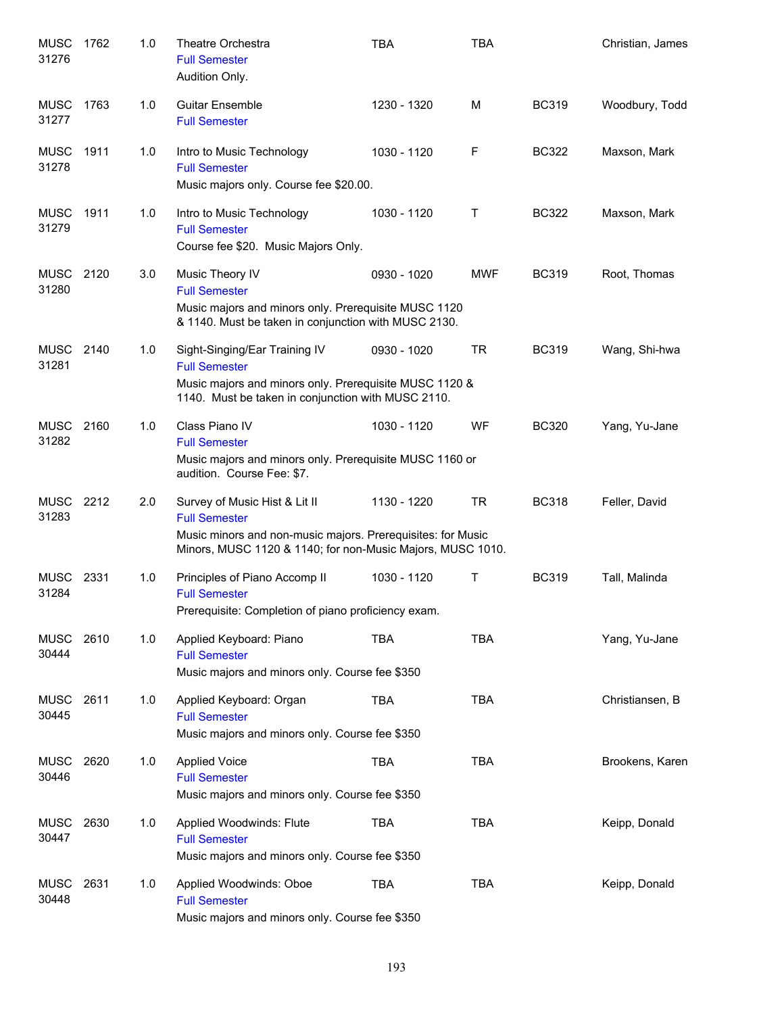| <b>MUSC</b><br>31276 | 1762 | 1.0 | Theatre Orchestra<br><b>Full Semester</b><br>Audition Only.                                                                                                                        | <b>TBA</b>  | <b>TBA</b> |              | Christian, James |
|----------------------|------|-----|------------------------------------------------------------------------------------------------------------------------------------------------------------------------------------|-------------|------------|--------------|------------------|
| <b>MUSC</b><br>31277 | 1763 | 1.0 | <b>Guitar Ensemble</b><br><b>Full Semester</b>                                                                                                                                     | 1230 - 1320 | M          | <b>BC319</b> | Woodbury, Todd   |
| <b>MUSC</b><br>31278 | 1911 | 1.0 | Intro to Music Technology<br><b>Full Semester</b><br>Music majors only. Course fee \$20.00.                                                                                        | 1030 - 1120 | F          | <b>BC322</b> | Maxson, Mark     |
| <b>MUSC</b><br>31279 | 1911 | 1.0 | Intro to Music Technology<br><b>Full Semester</b><br>Course fee \$20. Music Majors Only.                                                                                           | 1030 - 1120 | Τ          | <b>BC322</b> | Maxson, Mark     |
| <b>MUSC</b><br>31280 | 2120 | 3.0 | Music Theory IV<br><b>Full Semester</b><br>Music majors and minors only. Prerequisite MUSC 1120<br>& 1140. Must be taken in conjunction with MUSC 2130.                            | 0930 - 1020 | MWF        | <b>BC319</b> | Root, Thomas     |
| <b>MUSC</b><br>31281 | 2140 | 1.0 | Sight-Singing/Ear Training IV<br><b>Full Semester</b><br>Music majors and minors only. Prerequisite MUSC 1120 &<br>1140. Must be taken in conjunction with MUSC 2110.              | 0930 - 1020 | <b>TR</b>  | <b>BC319</b> | Wang, Shi-hwa    |
| <b>MUSC</b><br>31282 | 2160 | 1.0 | Class Piano IV<br><b>Full Semester</b><br>Music majors and minors only. Prerequisite MUSC 1160 or<br>audition. Course Fee: \$7.                                                    | 1030 - 1120 | <b>WF</b>  | <b>BC320</b> | Yang, Yu-Jane    |
| <b>MUSC</b><br>31283 | 2212 | 2.0 | Survey of Music Hist & Lit II<br><b>Full Semester</b><br>Music minors and non-music majors. Prerequisites: for Music<br>Minors, MUSC 1120 & 1140; for non-Music Majors, MUSC 1010. | 1130 - 1220 | <b>TR</b>  | <b>BC318</b> | Feller, David    |
| <b>MUSC</b><br>31284 | 2331 | 1.0 | Principles of Piano Accomp II<br><b>Full Semester</b><br>Prerequisite: Completion of piano proficiency exam.                                                                       | 1030 - 1120 | Τ          | <b>BC319</b> | Tall, Malinda    |
| <b>MUSC</b><br>30444 | 2610 | 1.0 | Applied Keyboard: Piano<br><b>Full Semester</b><br>Music majors and minors only. Course fee \$350                                                                                  | <b>TBA</b>  | <b>TBA</b> |              | Yang, Yu-Jane    |
| <b>MUSC</b><br>30445 | 2611 | 1.0 | Applied Keyboard: Organ<br><b>Full Semester</b><br>Music majors and minors only. Course fee \$350                                                                                  | <b>TBA</b>  | <b>TBA</b> |              | Christiansen, B  |
| <b>MUSC</b><br>30446 | 2620 | 1.0 | <b>Applied Voice</b><br><b>Full Semester</b><br>Music majors and minors only. Course fee \$350                                                                                     | <b>TBA</b>  | <b>TBA</b> |              | Brookens, Karen  |
| <b>MUSC</b><br>30447 | 2630 | 1.0 | Applied Woodwinds: Flute<br><b>Full Semester</b><br>Music majors and minors only. Course fee \$350                                                                                 | <b>TBA</b>  | <b>TBA</b> |              | Keipp, Donald    |
| <b>MUSC</b><br>30448 | 2631 | 1.0 | Applied Woodwinds: Oboe<br><b>Full Semester</b><br>Music majors and minors only. Course fee \$350                                                                                  | <b>TBA</b>  | <b>TBA</b> |              | Keipp, Donald    |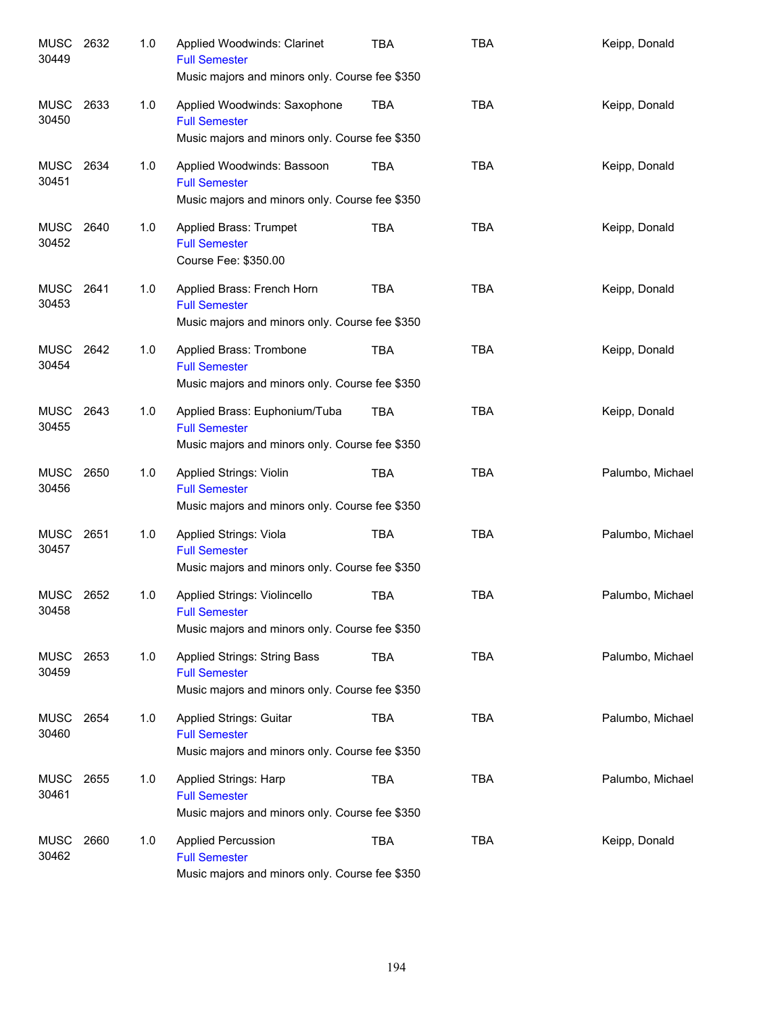| MUSC<br>30449      | 2632 | 1.0 | Applied Woodwinds: Clarinet<br><b>Full Semester</b><br>Music majors and minors only. Course fee \$350    | <b>TBA</b> | <b>TBA</b> | Keipp, Donald    |
|--------------------|------|-----|----------------------------------------------------------------------------------------------------------|------------|------------|------------------|
| MUSC<br>30450      | 2633 | 1.0 | Applied Woodwinds: Saxophone<br><b>Full Semester</b><br>Music majors and minors only. Course fee \$350   | TBA        | <b>TBA</b> | Keipp, Donald    |
| MUSC<br>30451      | 2634 | 1.0 | Applied Woodwinds: Bassoon<br><b>Full Semester</b><br>Music majors and minors only. Course fee \$350     | TBA        | <b>TBA</b> | Keipp, Donald    |
| MUSC 2640<br>30452 |      | 1.0 | Applied Brass: Trumpet<br><b>Full Semester</b><br>Course Fee: \$350.00                                   | <b>TBA</b> | <b>TBA</b> | Keipp, Donald    |
| MUSC 2641<br>30453 |      | 1.0 | Applied Brass: French Horn<br><b>Full Semester</b><br>Music majors and minors only. Course fee \$350     | <b>TBA</b> | <b>TBA</b> | Keipp, Donald    |
| MUSC 2642<br>30454 |      | 1.0 | Applied Brass: Trombone<br><b>Full Semester</b><br>Music majors and minors only. Course fee \$350        | TBA        | <b>TBA</b> | Keipp, Donald    |
| MUSC 2643<br>30455 |      | 1.0 | Applied Brass: Euphonium/Tuba<br><b>Full Semester</b><br>Music majors and minors only. Course fee \$350  | TBA        | <b>TBA</b> | Keipp, Donald    |
| MUSC<br>30456      | 2650 | 1.0 | <b>Applied Strings: Violin</b><br><b>Full Semester</b><br>Music majors and minors only. Course fee \$350 | TBA        | <b>TBA</b> | Palumbo, Michael |
| MUSC<br>30457      | 2651 | 1.0 | Applied Strings: Viola<br><b>Full Semester</b><br>Music majors and minors only. Course fee \$350         | TBA        | <b>TBA</b> | Palumbo, Michael |
| MUSC<br>30458      | 2652 | 1.0 | Applied Strings: Violincello<br><b>Full Semester</b><br>Music majors and minors only. Course fee \$350   | <b>TBA</b> | TBA        | Palumbo, Michael |
| MUSC 2653<br>30459 |      | 1.0 | Applied Strings: String Bass<br><b>Full Semester</b><br>Music majors and minors only. Course fee \$350   | <b>TBA</b> | <b>TBA</b> | Palumbo, Michael |
| MUSC<br>30460      | 2654 | 1.0 | <b>Applied Strings: Guitar</b><br><b>Full Semester</b><br>Music majors and minors only. Course fee \$350 | TBA        | <b>TBA</b> | Palumbo, Michael |
| MUSC<br>30461      | 2655 | 1.0 | Applied Strings: Harp<br><b>Full Semester</b><br>Music majors and minors only. Course fee \$350          | TBA        | <b>TBA</b> | Palumbo, Michael |
| MUSC<br>30462      | 2660 | 1.0 | <b>Applied Percussion</b><br><b>Full Semester</b><br>Music majors and minors only. Course fee \$350      | TBA        | <b>TBA</b> | Keipp, Donald    |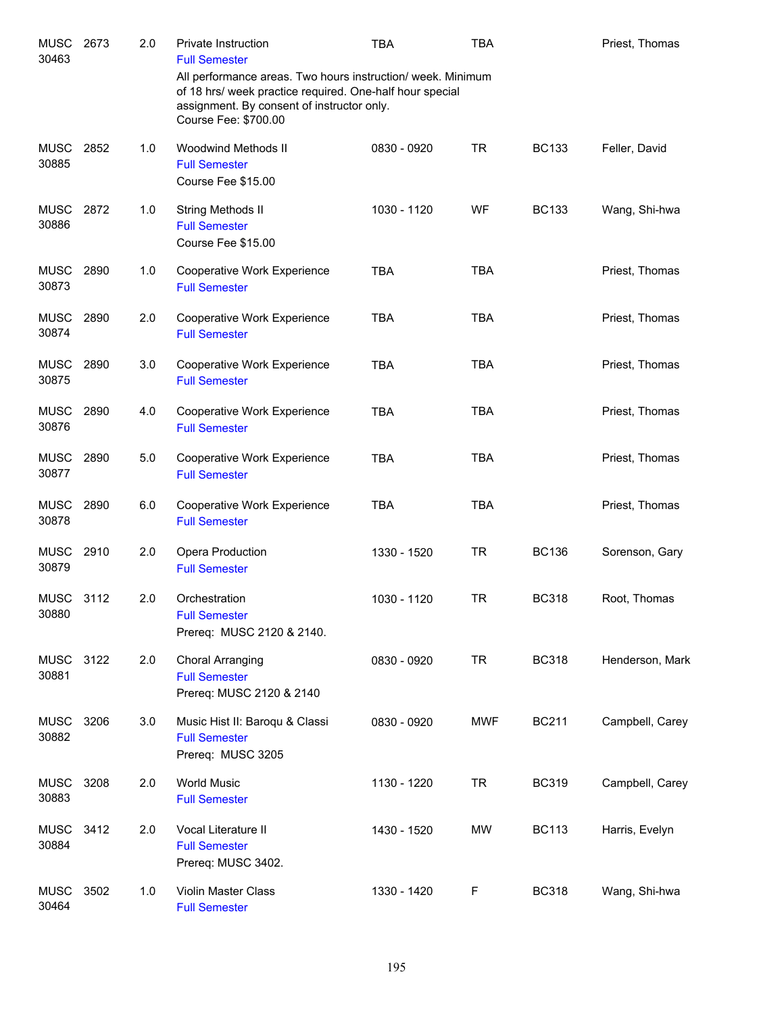| <b>MUSC</b><br>30463      | 2673 | 2.0 | Private Instruction<br><b>Full Semester</b>                                                                                                                                                   | <b>TBA</b>  | <b>TBA</b> |              | Priest, Thomas  |
|---------------------------|------|-----|-----------------------------------------------------------------------------------------------------------------------------------------------------------------------------------------------|-------------|------------|--------------|-----------------|
|                           |      |     | All performance areas. Two hours instruction/ week. Minimum<br>of 18 hrs/ week practice required. One-half hour special<br>assignment. By consent of instructor only.<br>Course Fee: \$700.00 |             |            |              |                 |
| <b>MUSC</b><br>30885      | 2852 | 1.0 | Woodwind Methods II<br><b>Full Semester</b><br>Course Fee \$15.00                                                                                                                             | 0830 - 0920 | <b>TR</b>  | <b>BC133</b> | Feller, David   |
| <b>MUSC</b><br>30886      | 2872 | 1.0 | String Methods II<br><b>Full Semester</b><br>Course Fee \$15.00                                                                                                                               | 1030 - 1120 | WF         | <b>BC133</b> | Wang, Shi-hwa   |
| <b>MUSC</b><br>30873      | 2890 | 1.0 | Cooperative Work Experience<br><b>Full Semester</b>                                                                                                                                           | <b>TBA</b>  | <b>TBA</b> |              | Priest, Thomas  |
| <b>MUSC</b><br>30874      | 2890 | 2.0 | Cooperative Work Experience<br><b>Full Semester</b>                                                                                                                                           | <b>TBA</b>  | <b>TBA</b> |              | Priest, Thomas  |
| <b>MUSC</b><br>30875      | 2890 | 3.0 | Cooperative Work Experience<br><b>Full Semester</b>                                                                                                                                           | <b>TBA</b>  | <b>TBA</b> |              | Priest, Thomas  |
| <b>MUSC</b><br>30876      | 2890 | 4.0 | Cooperative Work Experience<br><b>Full Semester</b>                                                                                                                                           | <b>TBA</b>  | <b>TBA</b> |              | Priest, Thomas  |
| MUSC<br>30877             | 2890 | 5.0 | Cooperative Work Experience<br><b>Full Semester</b>                                                                                                                                           | <b>TBA</b>  | <b>TBA</b> |              | Priest, Thomas  |
| MUSC<br>30878             | 2890 | 6.0 | Cooperative Work Experience<br><b>Full Semester</b>                                                                                                                                           | <b>TBA</b>  | <b>TBA</b> |              | Priest, Thomas  |
| <b>MUSC</b><br>30879      | 2910 | 2.0 | Opera Production<br><b>Full Semester</b>                                                                                                                                                      | 1330 - 1520 | <b>TR</b>  | <b>BC136</b> | Sorenson, Gary  |
| <b>MUSC 3112</b><br>30880 |      | 2.0 | Orchestration<br><b>Full Semester</b><br>Prereq: MUSC 2120 & 2140.                                                                                                                            | 1030 - 1120 | <b>TR</b>  | <b>BC318</b> | Root, Thomas    |
| <b>MUSC</b><br>30881      | 3122 | 2.0 | Choral Arranging<br><b>Full Semester</b><br>Prereq: MUSC 2120 & 2140                                                                                                                          | 0830 - 0920 | <b>TR</b>  | <b>BC318</b> | Henderson, Mark |
| <b>MUSC</b><br>30882      | 3206 | 3.0 | Music Hist II: Baroqu & Classi<br><b>Full Semester</b><br>Prereq: MUSC 3205                                                                                                                   | 0830 - 0920 | MWF        | <b>BC211</b> | Campbell, Carey |
| <b>MUSC</b><br>30883      | 3208 | 2.0 | <b>World Music</b><br><b>Full Semester</b>                                                                                                                                                    | 1130 - 1220 | <b>TR</b>  | <b>BC319</b> | Campbell, Carey |
| <b>MUSC</b><br>30884      | 3412 | 2.0 | Vocal Literature II<br><b>Full Semester</b><br>Prereq: MUSC 3402.                                                                                                                             | 1430 - 1520 | MW         | <b>BC113</b> | Harris, Evelyn  |
| <b>MUSC</b><br>30464      | 3502 | 1.0 | Violin Master Class<br><b>Full Semester</b>                                                                                                                                                   | 1330 - 1420 | F          | <b>BC318</b> | Wang, Shi-hwa   |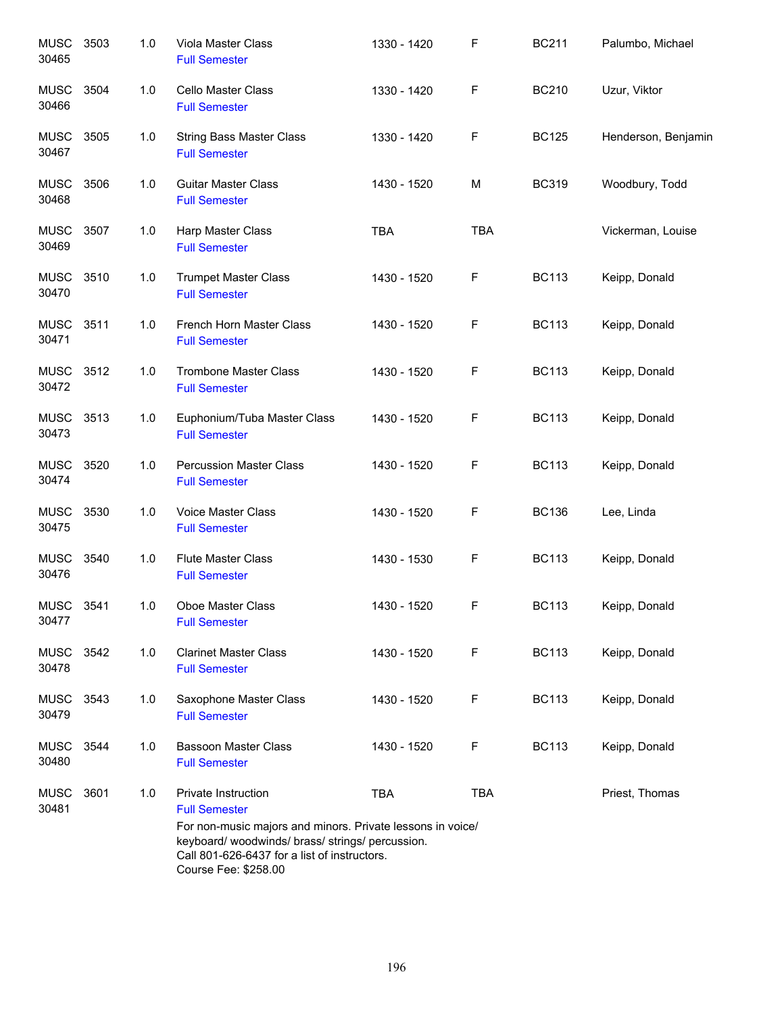| <b>MUSC</b><br>30465 | 3503 | 1.0 | Viola Master Class<br><b>Full Semester</b>                                                                           | 1330 - 1420 | F          | <b>BC211</b> | Palumbo, Michael    |
|----------------------|------|-----|----------------------------------------------------------------------------------------------------------------------|-------------|------------|--------------|---------------------|
| <b>MUSC</b><br>30466 | 3504 | 1.0 | Cello Master Class<br><b>Full Semester</b>                                                                           | 1330 - 1420 | F          | <b>BC210</b> | Uzur, Viktor        |
| <b>MUSC</b><br>30467 | 3505 | 1.0 | <b>String Bass Master Class</b><br><b>Full Semester</b>                                                              | 1330 - 1420 | F          | <b>BC125</b> | Henderson, Benjamin |
| <b>MUSC</b><br>30468 | 3506 | 1.0 | <b>Guitar Master Class</b><br><b>Full Semester</b>                                                                   | 1430 - 1520 | M          | <b>BC319</b> | Woodbury, Todd      |
| <b>MUSC</b><br>30469 | 3507 | 1.0 | Harp Master Class<br><b>Full Semester</b>                                                                            | <b>TBA</b>  | <b>TBA</b> |              | Vickerman, Louise   |
| <b>MUSC</b><br>30470 | 3510 | 1.0 | <b>Trumpet Master Class</b><br><b>Full Semester</b>                                                                  | 1430 - 1520 | F          | <b>BC113</b> | Keipp, Donald       |
| <b>MUSC</b><br>30471 | 3511 | 1.0 | French Horn Master Class<br><b>Full Semester</b>                                                                     | 1430 - 1520 | F          | <b>BC113</b> | Keipp, Donald       |
| <b>MUSC</b><br>30472 | 3512 | 1.0 | <b>Trombone Master Class</b><br><b>Full Semester</b>                                                                 | 1430 - 1520 | F          | <b>BC113</b> | Keipp, Donald       |
| <b>MUSC</b><br>30473 | 3513 | 1.0 | Euphonium/Tuba Master Class<br><b>Full Semester</b>                                                                  | 1430 - 1520 | F          | <b>BC113</b> | Keipp, Donald       |
| <b>MUSC</b><br>30474 | 3520 | 1.0 | <b>Percussion Master Class</b><br><b>Full Semester</b>                                                               | 1430 - 1520 | F          | <b>BC113</b> | Keipp, Donald       |
| <b>MUSC</b><br>30475 | 3530 | 1.0 | Voice Master Class<br><b>Full Semester</b>                                                                           | 1430 - 1520 | F          | <b>BC136</b> | Lee, Linda          |
| <b>MUSC</b><br>30476 | 3540 | 1.0 | <b>Flute Master Class</b><br><b>Full Semester</b>                                                                    | 1430 - 1530 | F          | <b>BC113</b> | Keipp, Donald       |
| MUSC<br>30477        | 3541 | 1.0 | Oboe Master Class<br><b>Full Semester</b>                                                                            | 1430 - 1520 | F          | <b>BC113</b> | Keipp, Donald       |
| <b>MUSC</b><br>30478 | 3542 | 1.0 | <b>Clarinet Master Class</b><br><b>Full Semester</b>                                                                 | 1430 - 1520 | F          | <b>BC113</b> | Keipp, Donald       |
| <b>MUSC</b><br>30479 | 3543 | 1.0 | Saxophone Master Class<br><b>Full Semester</b>                                                                       | 1430 - 1520 | F          | <b>BC113</b> | Keipp, Donald       |
| <b>MUSC</b><br>30480 | 3544 | 1.0 | <b>Bassoon Master Class</b><br><b>Full Semester</b>                                                                  | 1430 - 1520 | F          | <b>BC113</b> | Keipp, Donald       |
| <b>MUSC</b><br>30481 | 3601 | 1.0 | Private Instruction<br><b>Full Semester</b><br>For non-music majors and minors. Private lessons in voice/            | <b>TBA</b>  | <b>TBA</b> |              | Priest, Thomas      |
|                      |      |     | keyboard/woodwinds/brass/strings/percussion.<br>Call 801-626-6437 for a list of instructors.<br>Course Fee: \$258.00 |             |            |              |                     |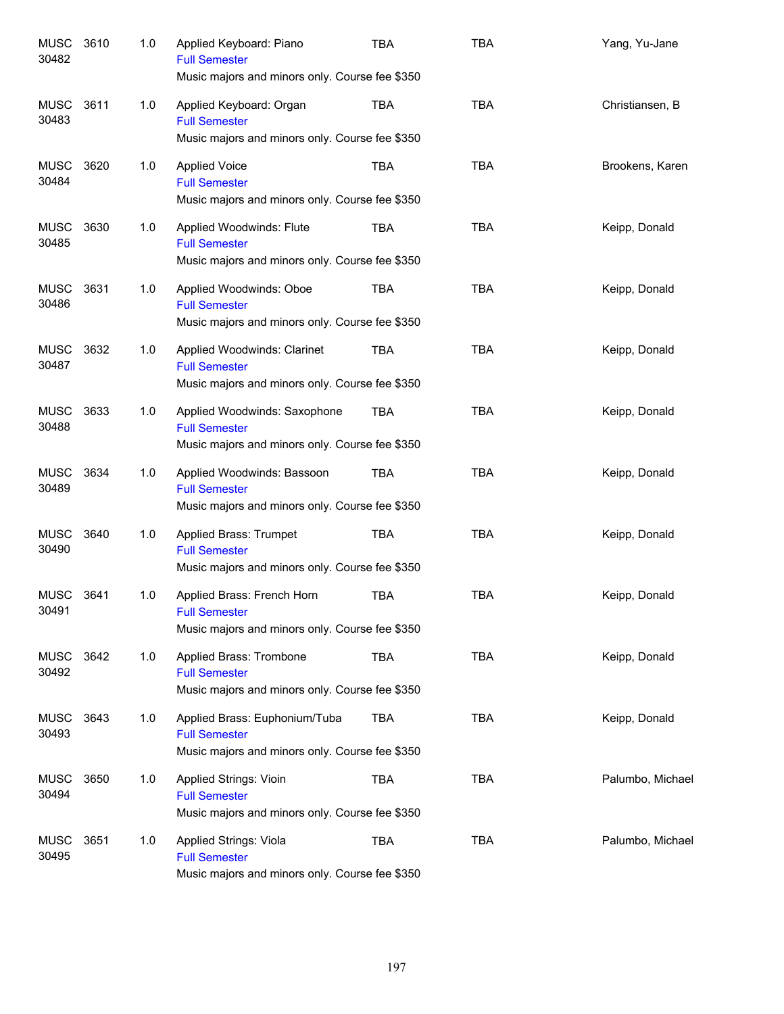| <b>MUSC</b><br>30482 | 3610 | 1.0 | Applied Keyboard: Piano<br><b>Full Semester</b><br>Music majors and minors only. Course fee \$350       | TBA        | <b>TBA</b> | Yang, Yu-Jane    |
|----------------------|------|-----|---------------------------------------------------------------------------------------------------------|------------|------------|------------------|
| MUSC<br>30483        | 3611 | 1.0 | Applied Keyboard: Organ<br><b>Full Semester</b><br>Music majors and minors only. Course fee \$350       | TBA        | <b>TBA</b> | Christiansen, B  |
| MUSC<br>30484        | 3620 | 1.0 | <b>Applied Voice</b><br><b>Full Semester</b><br>Music majors and minors only. Course fee \$350          | <b>TBA</b> | <b>TBA</b> | Brookens, Karen  |
| MUSC<br>30485        | 3630 | 1.0 | Applied Woodwinds: Flute<br><b>Full Semester</b><br>Music majors and minors only. Course fee \$350      | <b>TBA</b> | <b>TBA</b> | Keipp, Donald    |
| MUSC<br>30486        | 3631 | 1.0 | Applied Woodwinds: Oboe<br><b>Full Semester</b><br>Music majors and minors only. Course fee \$350       | <b>TBA</b> | <b>TBA</b> | Keipp, Donald    |
| MUSC<br>30487        | 3632 | 1.0 | Applied Woodwinds: Clarinet<br><b>Full Semester</b><br>Music majors and minors only. Course fee \$350   | <b>TBA</b> | <b>TBA</b> | Keipp, Donald    |
| <b>MUSC</b><br>30488 | 3633 | 1.0 | Applied Woodwinds: Saxophone<br><b>Full Semester</b><br>Music majors and minors only. Course fee \$350  | <b>TBA</b> | <b>TBA</b> | Keipp, Donald    |
| <b>MUSC</b><br>30489 | 3634 | 1.0 | Applied Woodwinds: Bassoon<br><b>Full Semester</b><br>Music majors and minors only. Course fee \$350    | <b>TBA</b> | <b>TBA</b> | Keipp, Donald    |
| <b>MUSC</b><br>30490 | 3640 | 1.0 | Applied Brass: Trumpet<br><b>Full Semester</b><br>Music majors and minors only. Course fee \$350        | <b>TBA</b> | <b>TBA</b> | Keipp, Donald    |
| <b>MUSC</b><br>30491 | 3641 | 1.0 | Applied Brass: French Horn<br><b>Full Semester</b><br>Music majors and minors only. Course fee \$350    | <b>TBA</b> | <b>TBA</b> | Keipp, Donald    |
| MUSC<br>30492        | 3642 | 1.0 | Applied Brass: Trombone<br><b>Full Semester</b><br>Music majors and minors only. Course fee \$350       | TBA        | <b>TBA</b> | Keipp, Donald    |
| MUSC<br>30493        | 3643 | 1.0 | Applied Brass: Euphonium/Tuba<br><b>Full Semester</b><br>Music majors and minors only. Course fee \$350 | TBA        | <b>TBA</b> | Keipp, Donald    |
| <b>MUSC</b><br>30494 | 3650 | 1.0 | Applied Strings: Vioin<br><b>Full Semester</b><br>Music majors and minors only. Course fee \$350        | <b>TBA</b> | <b>TBA</b> | Palumbo, Michael |
| <b>MUSC</b><br>30495 | 3651 | 1.0 | Applied Strings: Viola<br><b>Full Semester</b><br>Music majors and minors only. Course fee \$350        | <b>TBA</b> | <b>TBA</b> | Palumbo, Michael |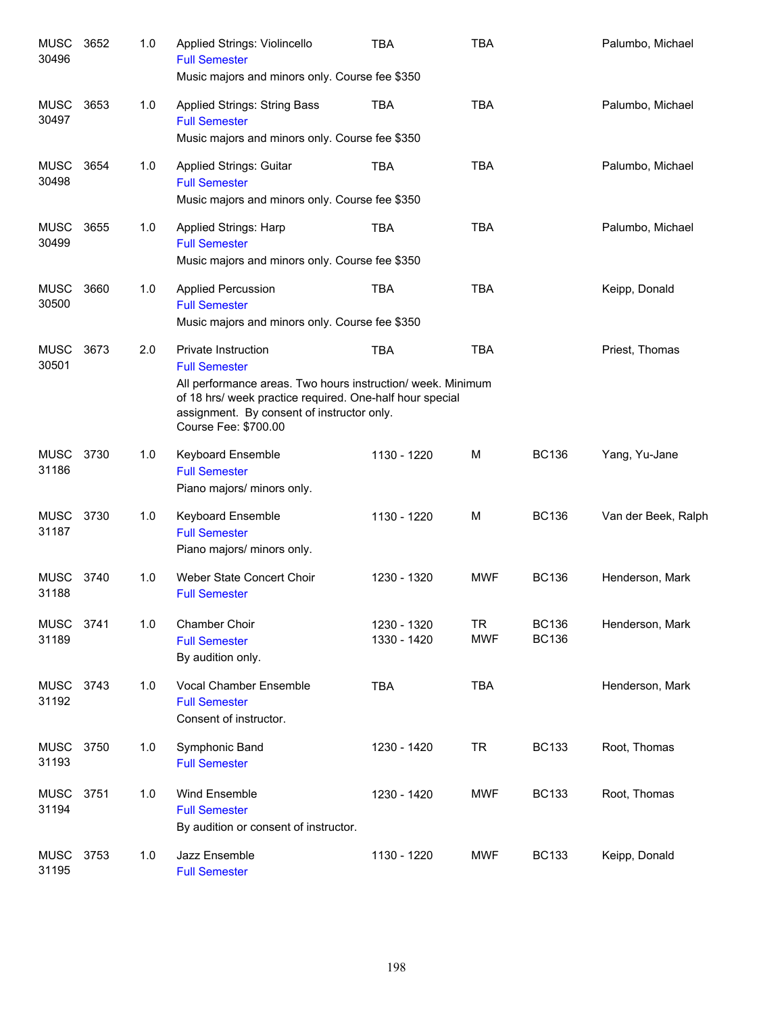| <b>MUSC</b><br>30496 | 3652 | 1.0 | Applied Strings: Violincello<br><b>Full Semester</b><br>Music majors and minors only. Course fee \$350                                                                                                                                             | <b>TBA</b>                 | <b>TBA</b>              |                              | Palumbo, Michael    |
|----------------------|------|-----|----------------------------------------------------------------------------------------------------------------------------------------------------------------------------------------------------------------------------------------------------|----------------------------|-------------------------|------------------------------|---------------------|
| <b>MUSC</b><br>30497 | 3653 | 1.0 | <b>Applied Strings: String Bass</b><br><b>Full Semester</b><br>Music majors and minors only. Course fee \$350                                                                                                                                      | <b>TBA</b>                 | <b>TBA</b>              |                              | Palumbo, Michael    |
| MUSC<br>30498        | 3654 | 1.0 | <b>Applied Strings: Guitar</b><br><b>Full Semester</b><br>Music majors and minors only. Course fee \$350                                                                                                                                           | <b>TBA</b>                 | <b>TBA</b>              |                              | Palumbo, Michael    |
| <b>MUSC</b><br>30499 | 3655 | 1.0 | Applied Strings: Harp<br><b>Full Semester</b><br>Music majors and minors only. Course fee \$350                                                                                                                                                    | <b>TBA</b>                 | <b>TBA</b>              |                              | Palumbo, Michael    |
| <b>MUSC</b><br>30500 | 3660 | 1.0 | <b>Applied Percussion</b><br><b>Full Semester</b><br>Music majors and minors only. Course fee \$350                                                                                                                                                | <b>TBA</b>                 | <b>TBA</b>              |                              | Keipp, Donald       |
| <b>MUSC</b><br>30501 | 3673 | 2.0 | <b>Private Instruction</b><br><b>Full Semester</b><br>All performance areas. Two hours instruction/week. Minimum<br>of 18 hrs/ week practice required. One-half hour special<br>assignment. By consent of instructor only.<br>Course Fee: \$700.00 | <b>TBA</b>                 | <b>TBA</b>              |                              | Priest, Thomas      |
| <b>MUSC</b><br>31186 | 3730 | 1.0 | <b>Keyboard Ensemble</b><br><b>Full Semester</b><br>Piano majors/ minors only.                                                                                                                                                                     | 1130 - 1220                | M                       | <b>BC136</b>                 | Yang, Yu-Jane       |
| <b>MUSC</b><br>31187 | 3730 | 1.0 | <b>Keyboard Ensemble</b><br><b>Full Semester</b><br>Piano majors/ minors only.                                                                                                                                                                     | 1130 - 1220                | M                       | <b>BC136</b>                 | Van der Beek, Ralph |
| <b>MUSC</b><br>31188 | 3740 | 1.0 | Weber State Concert Choir<br><b>Full Semester</b>                                                                                                                                                                                                  | 1230 - 1320                | <b>MWF</b>              | <b>BC136</b>                 | Henderson, Mark     |
| <b>MUSC</b><br>31189 | 3741 | 1.0 | <b>Chamber Choir</b><br><b>Full Semester</b><br>By audition only.                                                                                                                                                                                  | 1230 - 1320<br>1330 - 1420 | <b>TR</b><br><b>MWF</b> | <b>BC136</b><br><b>BC136</b> | Henderson, Mark     |
| MUSC<br>31192        | 3743 | 1.0 | Vocal Chamber Ensemble<br><b>Full Semester</b><br>Consent of instructor.                                                                                                                                                                           | <b>TBA</b>                 | <b>TBA</b>              |                              | Henderson, Mark     |
| <b>MUSC</b><br>31193 | 3750 | 1.0 | Symphonic Band<br><b>Full Semester</b>                                                                                                                                                                                                             | 1230 - 1420                | <b>TR</b>               | <b>BC133</b>                 | Root, Thomas        |
| <b>MUSC</b><br>31194 | 3751 | 1.0 | Wind Ensemble<br><b>Full Semester</b><br>By audition or consent of instructor.                                                                                                                                                                     | 1230 - 1420                | <b>MWF</b>              | <b>BC133</b>                 | Root, Thomas        |
| <b>MUSC</b><br>31195 | 3753 | 1.0 | Jazz Ensemble<br><b>Full Semester</b>                                                                                                                                                                                                              | 1130 - 1220                | <b>MWF</b>              | <b>BC133</b>                 | Keipp, Donald       |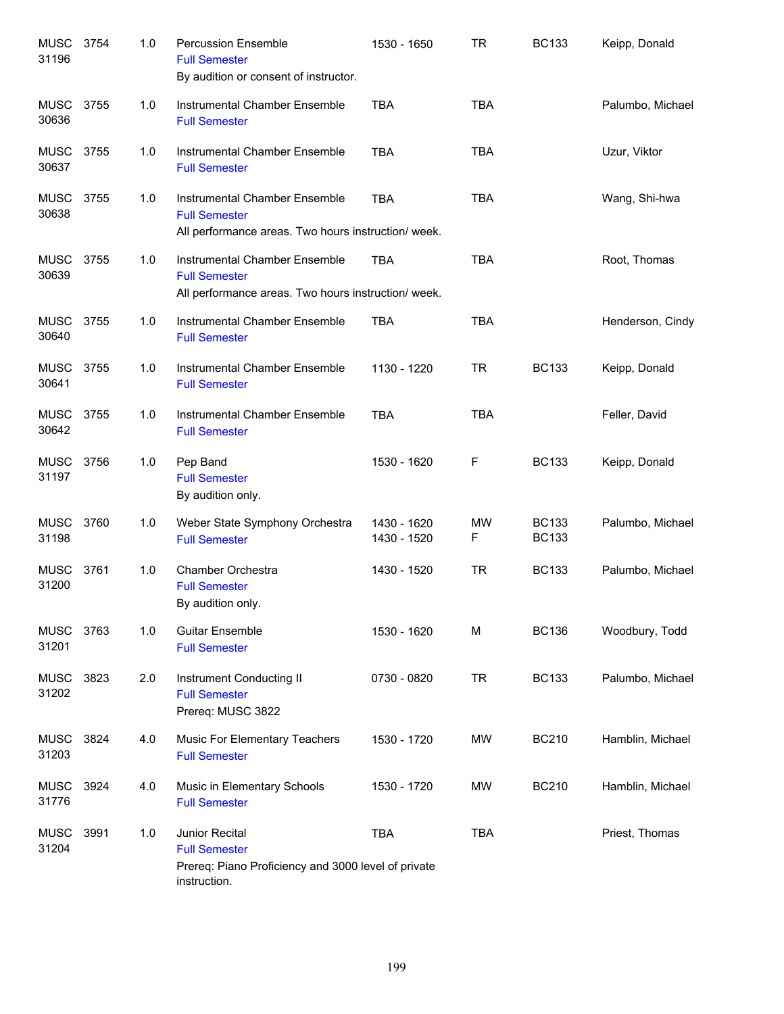| <b>MUSC</b><br>31196 | 3754 | 1.0 | <b>Percussion Ensemble</b><br><b>Full Semester</b><br>By audition or consent of instructor.                   | 1530 - 1650                | TR         | <b>BC133</b>                 | Keipp, Donald    |
|----------------------|------|-----|---------------------------------------------------------------------------------------------------------------|----------------------------|------------|------------------------------|------------------|
| MUSC<br>30636        | 3755 | 1.0 | Instrumental Chamber Ensemble<br><b>Full Semester</b>                                                         | <b>TBA</b>                 | <b>TBA</b> |                              | Palumbo, Michael |
| MUSC<br>30637        | 3755 | 1.0 | Instrumental Chamber Ensemble<br><b>Full Semester</b>                                                         | <b>TBA</b>                 | <b>TBA</b> |                              | Uzur, Viktor     |
| <b>MUSC</b><br>30638 | 3755 | 1.0 | Instrumental Chamber Ensemble<br><b>Full Semester</b><br>All performance areas. Two hours instruction/ week.  | <b>TBA</b>                 | <b>TBA</b> |                              | Wang, Shi-hwa    |
| <b>MUSC</b><br>30639 | 3755 | 1.0 | Instrumental Chamber Ensemble<br><b>Full Semester</b><br>All performance areas. Two hours instruction/ week.  | <b>TBA</b>                 | <b>TBA</b> |                              | Root, Thomas     |
| <b>MUSC</b><br>30640 | 3755 | 1.0 | Instrumental Chamber Ensemble<br><b>Full Semester</b>                                                         | <b>TBA</b>                 | <b>TBA</b> |                              | Henderson, Cindy |
| MUSC<br>30641        | 3755 | 1.0 | Instrumental Chamber Ensemble<br><b>Full Semester</b>                                                         | 1130 - 1220                | <b>TR</b>  | <b>BC133</b>                 | Keipp, Donald    |
| MUSC 3755<br>30642   |      | 1.0 | Instrumental Chamber Ensemble<br><b>Full Semester</b>                                                         | <b>TBA</b>                 | <b>TBA</b> |                              | Feller, David    |
| MUSC<br>31197        | 3756 | 1.0 | Pep Band<br><b>Full Semester</b><br>By audition only.                                                         | 1530 - 1620                | F          | <b>BC133</b>                 | Keipp, Donald    |
| MUSC<br>31198        | 3760 | 1.0 | Weber State Symphony Orchestra<br><b>Full Semester</b>                                                        | 1430 - 1620<br>1430 - 1520 | MW<br>F    | <b>BC133</b><br><b>BC133</b> | Palumbo, Michael |
| <b>MUSC</b><br>31200 | 3761 | 1.0 | Chamber Orchestra<br><b>Full Semester</b><br>By audition only.                                                | 1430 - 1520                | <b>TR</b>  | <b>BC133</b>                 | Palumbo, Michael |
| <b>MUSC</b><br>31201 | 3763 | 1.0 | <b>Guitar Ensemble</b><br><b>Full Semester</b>                                                                | 1530 - 1620                | М          | <b>BC136</b>                 | Woodbury, Todd   |
| <b>MUSC</b><br>31202 | 3823 | 2.0 | Instrument Conducting II<br><b>Full Semester</b><br>Prereq: MUSC 3822                                         | 0730 - 0820                | <b>TR</b>  | <b>BC133</b>                 | Palumbo, Michael |
| <b>MUSC</b><br>31203 | 3824 | 4.0 | Music For Elementary Teachers<br><b>Full Semester</b>                                                         | 1530 - 1720                | MW         | <b>BC210</b>                 | Hamblin, Michael |
| MUSC<br>31776        | 3924 | 4.0 | Music in Elementary Schools<br><b>Full Semester</b>                                                           | 1530 - 1720                | MW         | <b>BC210</b>                 | Hamblin, Michael |
| <b>MUSC</b><br>31204 | 3991 | 1.0 | Junior Recital<br><b>Full Semester</b><br>Prereq: Piano Proficiency and 3000 level of private<br>instruction. | <b>TBA</b>                 | <b>TBA</b> |                              | Priest, Thomas   |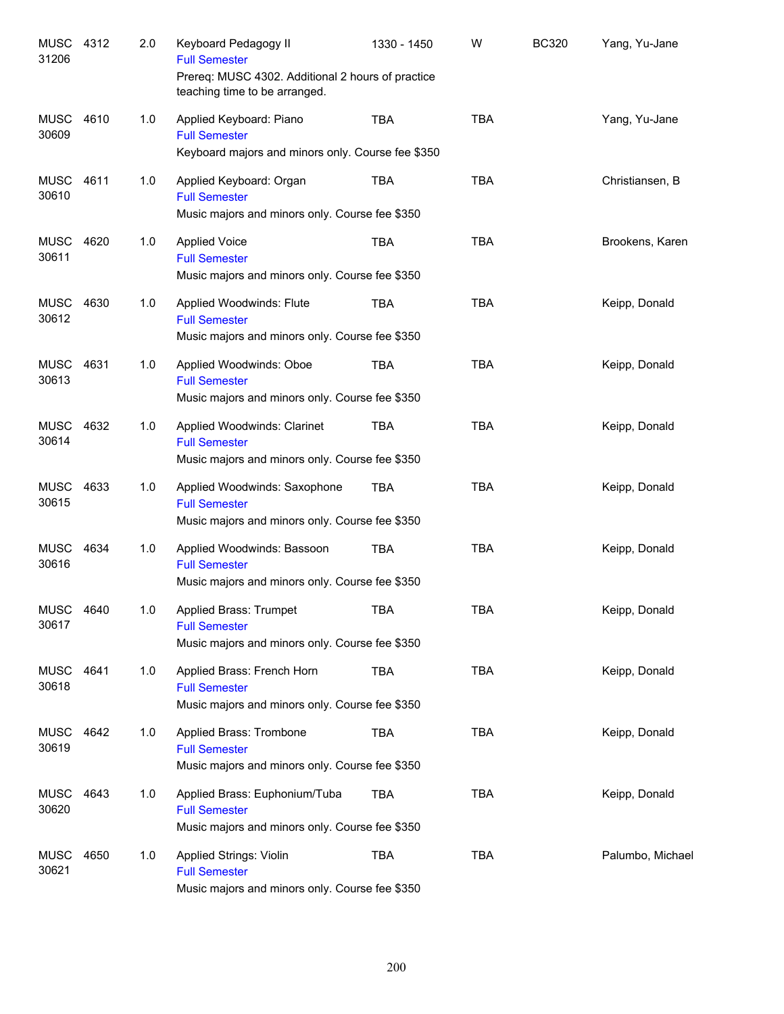| MUSC 4312<br>31206   |      | 2.0 | Keyboard Pedagogy II<br><b>Full Semester</b><br>Prereq: MUSC 4302. Additional 2 hours of practice<br>teaching time to be arranged. | 1330 - 1450 | W          | <b>BC320</b> | Yang, Yu-Jane    |
|----------------------|------|-----|------------------------------------------------------------------------------------------------------------------------------------|-------------|------------|--------------|------------------|
| <b>MUSC</b><br>30609 | 4610 | 1.0 | Applied Keyboard: Piano<br><b>Full Semester</b><br>Keyboard majors and minors only. Course fee \$350                               | <b>TBA</b>  | <b>TBA</b> |              | Yang, Yu-Jane    |
| MUSC<br>30610        | 4611 | 1.0 | Applied Keyboard: Organ<br><b>Full Semester</b><br>Music majors and minors only. Course fee \$350                                  | <b>TBA</b>  | <b>TBA</b> |              | Christiansen, B  |
| <b>MUSC</b><br>30611 | 4620 | 1.0 | <b>Applied Voice</b><br><b>Full Semester</b><br>Music majors and minors only. Course fee \$350                                     | <b>TBA</b>  | <b>TBA</b> |              | Brookens, Karen  |
| MUSC<br>30612        | 4630 | 1.0 | Applied Woodwinds: Flute<br><b>Full Semester</b><br>Music majors and minors only. Course fee \$350                                 | <b>TBA</b>  | <b>TBA</b> |              | Keipp, Donald    |
| <b>MUSC</b><br>30613 | 4631 | 1.0 | Applied Woodwinds: Oboe<br><b>Full Semester</b><br>Music majors and minors only. Course fee \$350                                  | <b>TBA</b>  | <b>TBA</b> |              | Keipp, Donald    |
| <b>MUSC</b><br>30614 | 4632 | 1.0 | Applied Woodwinds: Clarinet<br><b>Full Semester</b><br>Music majors and minors only. Course fee \$350                              | <b>TBA</b>  | <b>TBA</b> |              | Keipp, Donald    |
| <b>MUSC</b><br>30615 | 4633 | 1.0 | Applied Woodwinds: Saxophone<br><b>Full Semester</b><br>Music majors and minors only. Course fee \$350                             | <b>TBA</b>  | <b>TBA</b> |              | Keipp, Donald    |
| <b>MUSC</b><br>30616 | 4634 | 1.0 | Applied Woodwinds: Bassoon<br><b>Full Semester</b><br>Music majors and minors only. Course fee \$350                               | <b>TBA</b>  | <b>TBA</b> |              | Keipp, Donald    |
| <b>MUSC</b><br>30617 | 4640 | 1.0 | Applied Brass: Trumpet<br><b>Full Semester</b><br>Music majors and minors only. Course fee \$350                                   | <b>TBA</b>  | <b>TBA</b> |              | Keipp, Donald    |
| MUSC 4641<br>30618   |      | 1.0 | Applied Brass: French Horn<br><b>Full Semester</b><br>Music majors and minors only. Course fee \$350                               | TBA         | <b>TBA</b> |              | Keipp, Donald    |
| <b>MUSC</b><br>30619 | 4642 | 1.0 | Applied Brass: Trombone<br><b>Full Semester</b><br>Music majors and minors only. Course fee \$350                                  | TBA         | <b>TBA</b> |              | Keipp, Donald    |
| MUSC<br>30620        | 4643 | 1.0 | Applied Brass: Euphonium/Tuba<br><b>Full Semester</b><br>Music majors and minors only. Course fee \$350                            | TBA         | <b>TBA</b> |              | Keipp, Donald    |
| <b>MUSC</b><br>30621 | 4650 | 1.0 | Applied Strings: Violin<br><b>Full Semester</b><br>Music majors and minors only. Course fee \$350                                  | <b>TBA</b>  | <b>TBA</b> |              | Palumbo, Michael |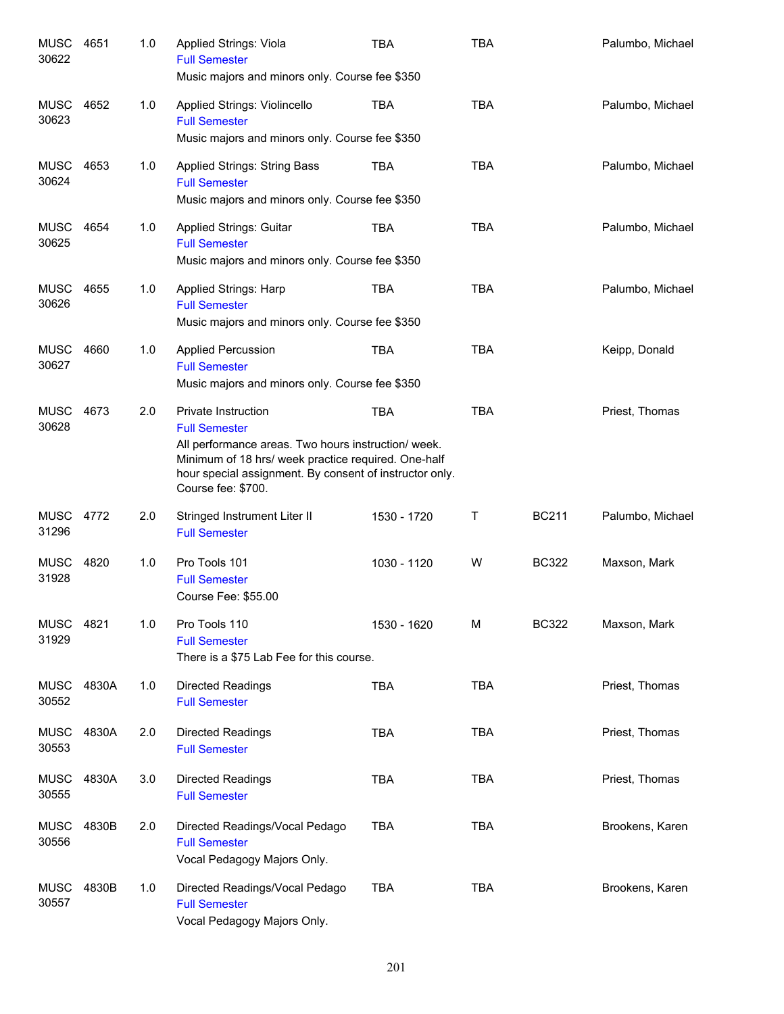| <b>MUSC</b><br>30622 | 4651  | 1.0 | Applied Strings: Viola<br><b>Full Semester</b><br>Music majors and minors only. Course fee \$350                                                                                                                                                  | <b>TBA</b>  | <b>TBA</b> |              | Palumbo, Michael |
|----------------------|-------|-----|---------------------------------------------------------------------------------------------------------------------------------------------------------------------------------------------------------------------------------------------------|-------------|------------|--------------|------------------|
| <b>MUSC</b><br>30623 | 4652  | 1.0 | Applied Strings: Violincello<br><b>Full Semester</b><br>Music majors and minors only. Course fee \$350                                                                                                                                            | <b>TBA</b>  | <b>TBA</b> |              | Palumbo, Michael |
| MUSC<br>30624        | 4653  | 1.0 | <b>Applied Strings: String Bass</b><br><b>Full Semester</b><br>Music majors and minors only. Course fee \$350                                                                                                                                     | TBA         | <b>TBA</b> |              | Palumbo, Michael |
| MUSC<br>30625        | 4654  | 1.0 | <b>Applied Strings: Guitar</b><br><b>Full Semester</b><br>Music majors and minors only. Course fee \$350                                                                                                                                          | <b>TBA</b>  | <b>TBA</b> |              | Palumbo, Michael |
| <b>MUSC</b><br>30626 | 4655  | 1.0 | <b>Applied Strings: Harp</b><br><b>Full Semester</b><br>Music majors and minors only. Course fee \$350                                                                                                                                            | <b>TBA</b>  | <b>TBA</b> |              | Palumbo, Michael |
| <b>MUSC</b><br>30627 | 4660  | 1.0 | <b>Applied Percussion</b><br><b>Full Semester</b><br>Music majors and minors only. Course fee \$350                                                                                                                                               | <b>TBA</b>  | <b>TBA</b> |              | Keipp, Donald    |
| <b>MUSC</b><br>30628 | 4673  | 2.0 | <b>Private Instruction</b><br><b>Full Semester</b><br>All performance areas. Two hours instruction/ week.<br>Minimum of 18 hrs/ week practice required. One-half<br>hour special assignment. By consent of instructor only.<br>Course fee: \$700. | <b>TBA</b>  | <b>TBA</b> |              | Priest, Thomas   |
| <b>MUSC</b><br>31296 | 4772  | 2.0 | Stringed Instrument Liter II<br><b>Full Semester</b>                                                                                                                                                                                              | 1530 - 1720 | т          | <b>BC211</b> | Palumbo, Michael |
| <b>MUSC</b><br>31928 | 4820  | 1.0 | Pro Tools 101<br><b>Full Semester</b><br>Course Fee: \$55.00                                                                                                                                                                                      | 1030 - 1120 | W          | <b>BC322</b> | Maxson, Mark     |
| <b>MUSC</b><br>31929 | 4821  | 1.0 | Pro Tools 110<br><b>Full Semester</b><br>There is a \$75 Lab Fee for this course.                                                                                                                                                                 | 1530 - 1620 | М          | <b>BC322</b> | Maxson, Mark     |
| MUSC<br>30552        | 4830A | 1.0 | <b>Directed Readings</b><br><b>Full Semester</b>                                                                                                                                                                                                  | <b>TBA</b>  | <b>TBA</b> |              | Priest, Thomas   |
| MUSC<br>30553        | 4830A | 2.0 | <b>Directed Readings</b><br><b>Full Semester</b>                                                                                                                                                                                                  | <b>TBA</b>  | <b>TBA</b> |              | Priest, Thomas   |
| <b>MUSC</b><br>30555 | 4830A | 3.0 | Directed Readings<br><b>Full Semester</b>                                                                                                                                                                                                         | <b>TBA</b>  | <b>TBA</b> |              | Priest, Thomas   |
| <b>MUSC</b><br>30556 | 4830B | 2.0 | Directed Readings/Vocal Pedago<br><b>Full Semester</b><br>Vocal Pedagogy Majors Only.                                                                                                                                                             | <b>TBA</b>  | <b>TBA</b> |              | Brookens, Karen  |
| <b>MUSC</b><br>30557 | 4830B | 1.0 | Directed Readings/Vocal Pedago<br><b>Full Semester</b><br>Vocal Pedagogy Majors Only.                                                                                                                                                             | <b>TBA</b>  | <b>TBA</b> |              | Brookens, Karen  |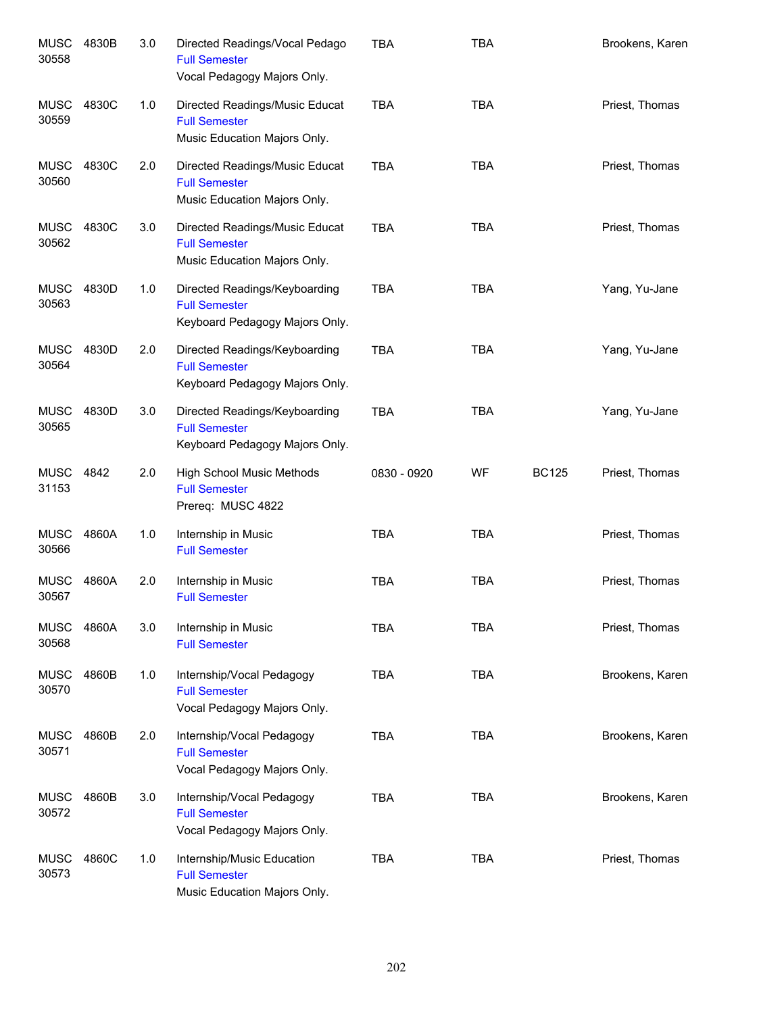| <b>MUSC</b><br>30558 | 4830B | 3.0 | Directed Readings/Vocal Pedago<br><b>Full Semester</b><br>Vocal Pedagogy Majors Only.   | <b>TBA</b>  | <b>TBA</b> |              | Brookens, Karen |
|----------------------|-------|-----|-----------------------------------------------------------------------------------------|-------------|------------|--------------|-----------------|
| <b>MUSC</b><br>30559 | 4830C | 1.0 | Directed Readings/Music Educat<br><b>Full Semester</b><br>Music Education Majors Only.  | <b>TBA</b>  | <b>TBA</b> |              | Priest, Thomas  |
| <b>MUSC</b><br>30560 | 4830C | 2.0 | Directed Readings/Music Educat<br><b>Full Semester</b><br>Music Education Majors Only.  | <b>TBA</b>  | <b>TBA</b> |              | Priest, Thomas  |
| MUSC<br>30562        | 4830C | 3.0 | Directed Readings/Music Educat<br><b>Full Semester</b><br>Music Education Majors Only.  | <b>TBA</b>  | <b>TBA</b> |              | Priest, Thomas  |
| MUSC<br>30563        | 4830D | 1.0 | Directed Readings/Keyboarding<br><b>Full Semester</b><br>Keyboard Pedagogy Majors Only. | <b>TBA</b>  | <b>TBA</b> |              | Yang, Yu-Jane   |
| MUSC<br>30564        | 4830D | 2.0 | Directed Readings/Keyboarding<br><b>Full Semester</b><br>Keyboard Pedagogy Majors Only. | <b>TBA</b>  | <b>TBA</b> |              | Yang, Yu-Jane   |
| MUSC<br>30565        | 4830D | 3.0 | Directed Readings/Keyboarding<br><b>Full Semester</b><br>Keyboard Pedagogy Majors Only. | <b>TBA</b>  | <b>TBA</b> |              | Yang, Yu-Jane   |
| MUSC<br>31153        | 4842  | 2.0 | <b>High School Music Methods</b><br><b>Full Semester</b><br>Prereq: MUSC 4822           | 0830 - 0920 | WF         | <b>BC125</b> | Priest, Thomas  |
| MUSC<br>30566        | 4860A | 1.0 | Internship in Music<br><b>Full Semester</b>                                             | <b>TBA</b>  | <b>TBA</b> |              | Priest, Thomas  |
| <b>MUSC</b><br>30567 | 4860A | 2.0 | Internship in Music<br><b>Full Semester</b>                                             | <b>TBA</b>  | <b>TBA</b> |              | Priest, Thomas  |
| <b>MUSC</b><br>30568 | 4860A | 3.0 | Internship in Music<br><b>Full Semester</b>                                             | <b>TBA</b>  | <b>TBA</b> |              | Priest, Thomas  |
| <b>MUSC</b><br>30570 | 4860B | 1.0 | Internship/Vocal Pedagogy<br><b>Full Semester</b><br>Vocal Pedagogy Majors Only.        | <b>TBA</b>  | <b>TBA</b> |              | Brookens, Karen |
| <b>MUSC</b><br>30571 | 4860B | 2.0 | Internship/Vocal Pedagogy<br><b>Full Semester</b><br>Vocal Pedagogy Majors Only.        | <b>TBA</b>  | <b>TBA</b> |              | Brookens, Karen |
| <b>MUSC</b><br>30572 | 4860B | 3.0 | Internship/Vocal Pedagogy<br><b>Full Semester</b><br>Vocal Pedagogy Majors Only.        | <b>TBA</b>  | <b>TBA</b> |              | Brookens, Karen |
| <b>MUSC</b><br>30573 | 4860C | 1.0 | Internship/Music Education<br><b>Full Semester</b><br>Music Education Majors Only.      | <b>TBA</b>  | <b>TBA</b> |              | Priest, Thomas  |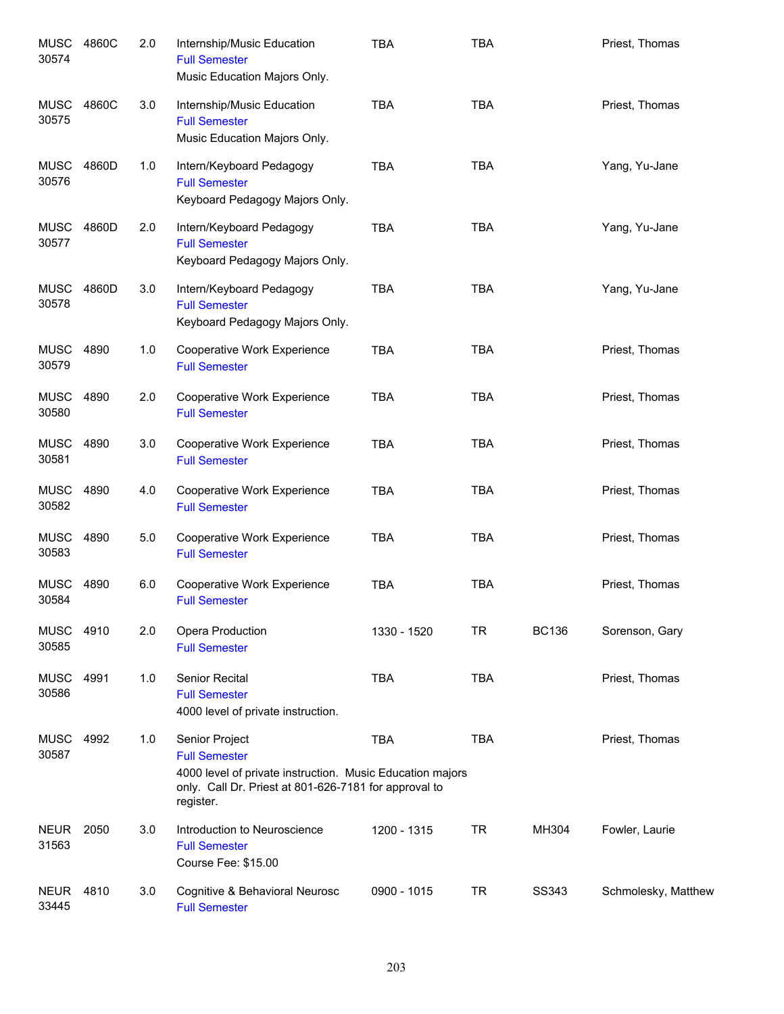| <b>MUSC</b><br>30574 | 4860C | 2.0 | Internship/Music Education<br><b>Full Semester</b><br>Music Education Majors Only.                                                                                        | <b>TBA</b>  | <b>TBA</b> |              | Priest, Thomas      |
|----------------------|-------|-----|---------------------------------------------------------------------------------------------------------------------------------------------------------------------------|-------------|------------|--------------|---------------------|
| <b>MUSC</b><br>30575 | 4860C | 3.0 | Internship/Music Education<br><b>Full Semester</b><br>Music Education Majors Only.                                                                                        | <b>TBA</b>  | <b>TBA</b> |              | Priest, Thomas      |
| <b>MUSC</b><br>30576 | 4860D | 1.0 | Intern/Keyboard Pedagogy<br><b>Full Semester</b><br>Keyboard Pedagogy Majors Only.                                                                                        | <b>TBA</b>  | <b>TBA</b> |              | Yang, Yu-Jane       |
| <b>MUSC</b><br>30577 | 4860D | 2.0 | Intern/Keyboard Pedagogy<br><b>Full Semester</b><br>Keyboard Pedagogy Majors Only.                                                                                        | <b>TBA</b>  | <b>TBA</b> |              | Yang, Yu-Jane       |
| <b>MUSC</b><br>30578 | 4860D | 3.0 | Intern/Keyboard Pedagogy<br><b>Full Semester</b><br>Keyboard Pedagogy Majors Only.                                                                                        | <b>TBA</b>  | <b>TBA</b> |              | Yang, Yu-Jane       |
| <b>MUSC</b><br>30579 | 4890  | 1.0 | Cooperative Work Experience<br><b>Full Semester</b>                                                                                                                       | <b>TBA</b>  | <b>TBA</b> |              | Priest, Thomas      |
| <b>MUSC</b><br>30580 | 4890  | 2.0 | Cooperative Work Experience<br><b>Full Semester</b>                                                                                                                       | <b>TBA</b>  | <b>TBA</b> |              | Priest, Thomas      |
| <b>MUSC</b><br>30581 | 4890  | 3.0 | Cooperative Work Experience<br><b>Full Semester</b>                                                                                                                       | <b>TBA</b>  | <b>TBA</b> |              | Priest, Thomas      |
| <b>MUSC</b><br>30582 | 4890  | 4.0 | Cooperative Work Experience<br><b>Full Semester</b>                                                                                                                       | <b>TBA</b>  | <b>TBA</b> |              | Priest, Thomas      |
| <b>MUSC</b><br>30583 | 4890  | 5.0 | Cooperative Work Experience<br><b>Full Semester</b>                                                                                                                       | <b>TBA</b>  | <b>TBA</b> |              | Priest, Thomas      |
| <b>MUSC</b><br>30584 | 4890  | 6.0 | Cooperative Work Experience<br><b>Full Semester</b>                                                                                                                       | <b>TBA</b>  | <b>TBA</b> |              | Priest, Thomas      |
| <b>MUSC</b><br>30585 | 4910  | 2.0 | Opera Production<br><b>Full Semester</b>                                                                                                                                  | 1330 - 1520 | <b>TR</b>  | <b>BC136</b> | Sorenson, Gary      |
| <b>MUSC</b><br>30586 | 4991  | 1.0 | Senior Recital<br><b>Full Semester</b><br>4000 level of private instruction.                                                                                              | <b>TBA</b>  | <b>TBA</b> |              | Priest, Thomas      |
| <b>MUSC</b><br>30587 | 4992  | 1.0 | Senior Project<br><b>Full Semester</b><br>4000 level of private instruction. Music Education majors<br>only. Call Dr. Priest at 801-626-7181 for approval to<br>register. | <b>TBA</b>  | <b>TBA</b> |              | Priest, Thomas      |
| <b>NEUR</b><br>31563 | 2050  | 3.0 | Introduction to Neuroscience<br><b>Full Semester</b><br>Course Fee: \$15.00                                                                                               | 1200 - 1315 | <b>TR</b>  | MH304        | Fowler, Laurie      |
| <b>NEUR</b><br>33445 | 4810  | 3.0 | Cognitive & Behavioral Neurosc<br><b>Full Semester</b>                                                                                                                    | 0900 - 1015 | <b>TR</b>  | SS343        | Schmolesky, Matthew |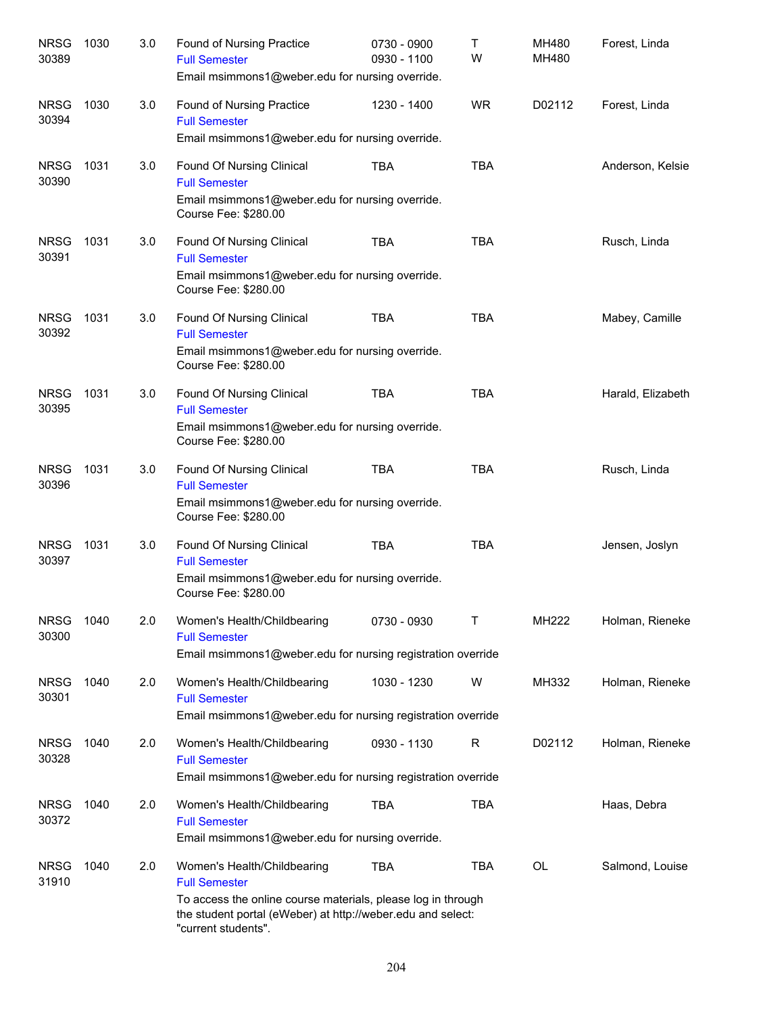| <b>NRSG</b><br>30389 | 1030 | 3.0 | Found of Nursing Practice<br><b>Full Semester</b><br>Email msimmons1@weber.edu for nursing override.                                                                                                      | 0730 - 0900<br>0930 - 1100 | Τ<br>W     | MH480<br>MH480 | Forest, Linda     |
|----------------------|------|-----|-----------------------------------------------------------------------------------------------------------------------------------------------------------------------------------------------------------|----------------------------|------------|----------------|-------------------|
| <b>NRSG</b><br>30394 | 1030 | 3.0 | Found of Nursing Practice<br><b>Full Semester</b><br>Email msimmons1@weber.edu for nursing override.                                                                                                      | 1230 - 1400                | <b>WR</b>  | D02112         | Forest, Linda     |
| <b>NRSG</b><br>30390 | 1031 | 3.0 | Found Of Nursing Clinical<br><b>Full Semester</b><br>Email msimmons1@weber.edu for nursing override.<br>Course Fee: \$280.00                                                                              | <b>TBA</b>                 | <b>TBA</b> |                | Anderson, Kelsie  |
| <b>NRSG</b><br>30391 | 1031 | 3.0 | Found Of Nursing Clinical<br><b>Full Semester</b><br>Email msimmons1@weber.edu for nursing override.<br>Course Fee: \$280.00                                                                              | <b>TBA</b>                 | <b>TBA</b> |                | Rusch, Linda      |
| <b>NRSG</b><br>30392 | 1031 | 3.0 | Found Of Nursing Clinical<br><b>Full Semester</b><br>Email msimmons1@weber.edu for nursing override.<br>Course Fee: \$280.00                                                                              | <b>TBA</b>                 | <b>TBA</b> |                | Mabey, Camille    |
| <b>NRSG</b><br>30395 | 1031 | 3.0 | Found Of Nursing Clinical<br><b>Full Semester</b><br>Email msimmons1@weber.edu for nursing override.<br>Course Fee: \$280.00                                                                              | <b>TBA</b>                 | <b>TBA</b> |                | Harald, Elizabeth |
| <b>NRSG</b><br>30396 | 1031 | 3.0 | Found Of Nursing Clinical<br><b>Full Semester</b><br>Email msimmons1@weber.edu for nursing override.<br>Course Fee: \$280.00                                                                              | <b>TBA</b>                 | <b>TBA</b> |                | Rusch, Linda      |
| <b>NRSG</b><br>30397 | 1031 | 3.0 | Found Of Nursing Clinical<br><b>Full Semester</b><br>Email msimmons1@weber.edu for nursing override.<br>Course Fee: \$280.00                                                                              | <b>TBA</b>                 | <b>TBA</b> |                | Jensen, Joslyn    |
| <b>NRSG</b><br>30300 | 1040 | 2.0 | Women's Health/Childbearing<br><b>Full Semester</b><br>Email msimmons1@weber.edu for nursing registration override                                                                                        | 0730 - 0930                | Т          | MH222          | Holman, Rieneke   |
| <b>NRSG</b><br>30301 | 1040 | 2.0 | Women's Health/Childbearing<br><b>Full Semester</b><br>Email msimmons1@weber.edu for nursing registration override                                                                                        | 1030 - 1230                | W          | MH332          | Holman, Rieneke   |
| <b>NRSG</b><br>30328 | 1040 | 2.0 | Women's Health/Childbearing<br><b>Full Semester</b><br>Email msimmons1@weber.edu for nursing registration override                                                                                        | 0930 - 1130                | R          | D02112         | Holman, Rieneke   |
| <b>NRSG</b><br>30372 | 1040 | 2.0 | Women's Health/Childbearing<br><b>Full Semester</b><br>Email msimmons1@weber.edu for nursing override.                                                                                                    | <b>TBA</b>                 | <b>TBA</b> |                | Haas, Debra       |
| <b>NRSG</b><br>31910 | 1040 | 2.0 | Women's Health/Childbearing<br><b>Full Semester</b><br>To access the online course materials, please log in through<br>the student portal (eWeber) at http://weber.edu and select:<br>"current students". | <b>TBA</b>                 | <b>TBA</b> | OL             | Salmond, Louise   |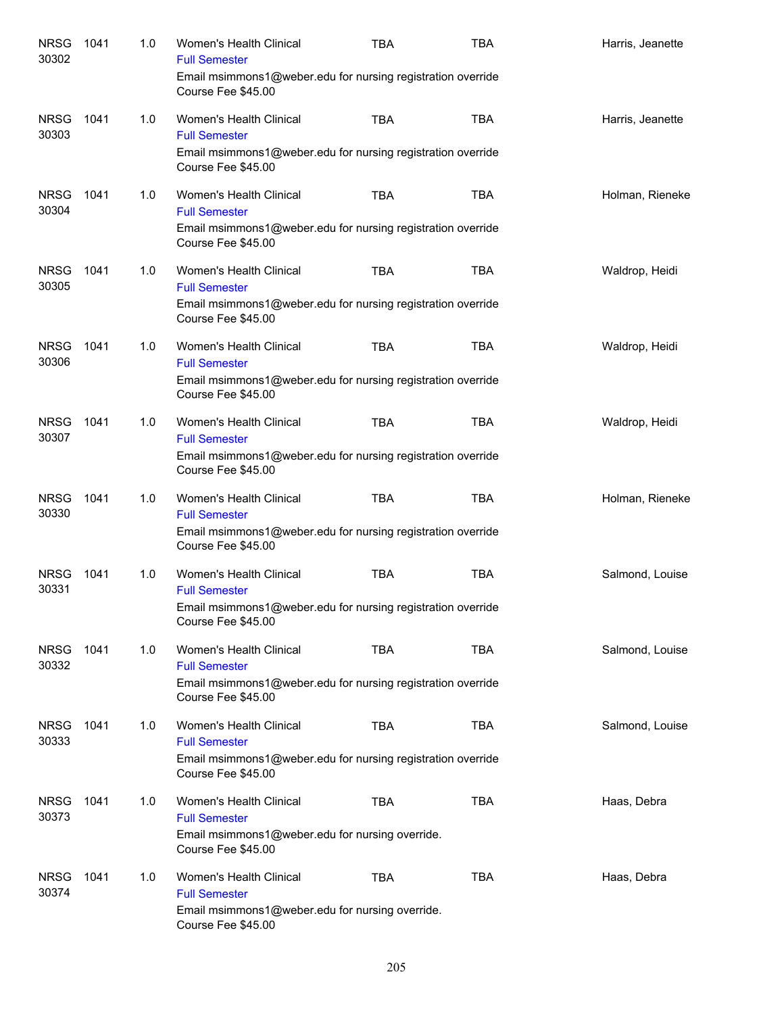| <b>NRSG</b><br>30302 | 1041 | 1.0 | <b>Women's Health Clinical</b><br><b>Full Semester</b>                            | <b>TBA</b> | <b>TBA</b> | Harris, Jeanette |
|----------------------|------|-----|-----------------------------------------------------------------------------------|------------|------------|------------------|
|                      |      |     | Email msimmons1@weber.edu for nursing registration override<br>Course Fee \$45.00 |            |            |                  |
| <b>NRSG</b><br>30303 | 1041 | 1.0 | Women's Health Clinical<br><b>Full Semester</b>                                   | <b>TBA</b> | <b>TBA</b> | Harris, Jeanette |
|                      |      |     | Email msimmons1@weber.edu for nursing registration override<br>Course Fee \$45.00 |            |            |                  |
| <b>NRSG</b><br>30304 | 1041 | 1.0 | <b>Women's Health Clinical</b><br><b>Full Semester</b>                            | <b>TBA</b> | <b>TBA</b> | Holman, Rieneke  |
|                      |      |     | Email msimmons1@weber.edu for nursing registration override<br>Course Fee \$45.00 |            |            |                  |
| <b>NRSG</b><br>30305 | 1041 | 1.0 | Women's Health Clinical<br><b>Full Semester</b>                                   | <b>TBA</b> | <b>TBA</b> | Waldrop, Heidi   |
|                      |      |     | Email msimmons1@weber.edu for nursing registration override<br>Course Fee \$45.00 |            |            |                  |
| <b>NRSG</b><br>30306 | 1041 | 1.0 | Women's Health Clinical<br><b>Full Semester</b>                                   | <b>TBA</b> | <b>TBA</b> | Waldrop, Heidi   |
|                      |      |     | Email msimmons1@weber.edu for nursing registration override<br>Course Fee \$45.00 |            |            |                  |
| <b>NRSG</b><br>30307 | 1041 | 1.0 | Women's Health Clinical<br><b>Full Semester</b>                                   | <b>TBA</b> | <b>TBA</b> | Waldrop, Heidi   |
|                      |      |     | Email msimmons1@weber.edu for nursing registration override<br>Course Fee \$45.00 |            |            |                  |
| <b>NRSG</b><br>30330 | 1041 | 1.0 | Women's Health Clinical<br><b>Full Semester</b>                                   | <b>TBA</b> | <b>TBA</b> | Holman, Rieneke  |
|                      |      |     | Email msimmons1@weber.edu for nursing registration override<br>Course Fee \$45.00 |            |            |                  |
| <b>NRSG</b><br>30331 | 1041 | 1.0 | Women's Health Clinical<br><b>Full Semester</b>                                   | <b>TBA</b> | <b>TBA</b> | Salmond, Louise  |
|                      |      |     | Email msimmons1@weber.edu for nursing registration override<br>Course Fee \$45.00 |            |            |                  |
| <b>NRSG</b><br>30332 | 1041 | 1.0 | Women's Health Clinical<br><b>Full Semester</b>                                   | <b>TBA</b> | <b>TBA</b> | Salmond, Louise  |
|                      |      |     | Email msimmons1@weber.edu for nursing registration override<br>Course Fee \$45.00 |            |            |                  |
| <b>NRSG</b><br>30333 | 1041 | 1.0 | Women's Health Clinical<br><b>Full Semester</b>                                   | <b>TBA</b> | <b>TBA</b> | Salmond, Louise  |
|                      |      |     | Email msimmons1@weber.edu for nursing registration override<br>Course Fee \$45.00 |            |            |                  |
| <b>NRSG</b><br>30373 | 1041 | 1.0 | Women's Health Clinical<br><b>Full Semester</b>                                   | <b>TBA</b> | <b>TBA</b> | Haas, Debra      |
|                      |      |     | Email msimmons1@weber.edu for nursing override.<br>Course Fee \$45.00             |            |            |                  |
| <b>NRSG</b><br>30374 | 1041 | 1.0 | Women's Health Clinical<br><b>Full Semester</b>                                   | <b>TBA</b> | <b>TBA</b> | Haas, Debra      |
|                      |      |     | Email msimmons1@weber.edu for nursing override.<br>Course Fee \$45.00             |            |            |                  |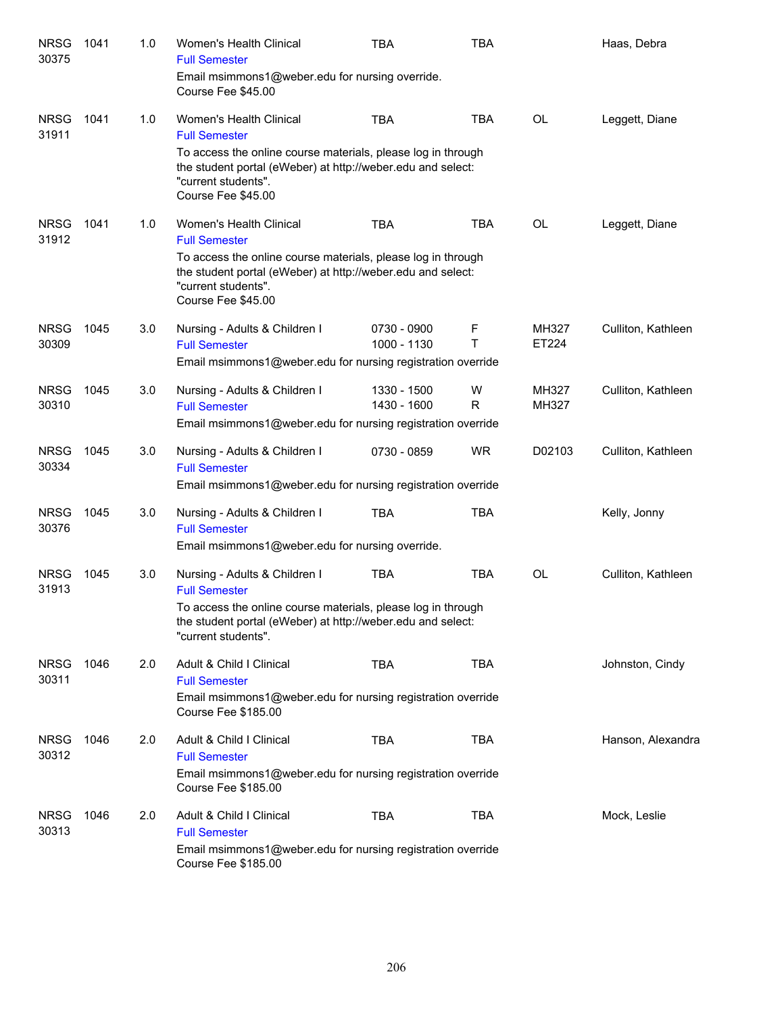| <b>NRSG</b><br>30375 | 1041 | 1.0 | Women's Health Clinical<br><b>Full Semester</b><br>Email msimmons1@weber.edu for nursing override.<br>Course Fee \$45.00                                                                                                    | <b>TBA</b>                 | <b>TBA</b> |                | Haas, Debra        |
|----------------------|------|-----|-----------------------------------------------------------------------------------------------------------------------------------------------------------------------------------------------------------------------------|----------------------------|------------|----------------|--------------------|
| <b>NRSG</b><br>31911 | 1041 | 1.0 | Women's Health Clinical<br><b>Full Semester</b><br>To access the online course materials, please log in through<br>the student portal (eWeber) at http://weber.edu and select:<br>"current students".<br>Course Fee \$45.00 | <b>TBA</b>                 | <b>TBA</b> | <b>OL</b>      | Leggett, Diane     |
| <b>NRSG</b><br>31912 | 1041 | 1.0 | Women's Health Clinical<br><b>Full Semester</b><br>To access the online course materials, please log in through<br>the student portal (eWeber) at http://weber.edu and select:<br>"current students".<br>Course Fee \$45.00 | <b>TBA</b>                 | <b>TBA</b> | <b>OL</b>      | Leggett, Diane     |
| <b>NRSG</b><br>30309 | 1045 | 3.0 | Nursing - Adults & Children I<br><b>Full Semester</b><br>Email msimmons1@weber.edu for nursing registration override                                                                                                        | 0730 - 0900<br>1000 - 1130 | F<br>Τ     | MH327<br>ET224 | Culliton, Kathleen |
| <b>NRSG</b><br>30310 | 1045 | 3.0 | Nursing - Adults & Children I<br><b>Full Semester</b><br>Email msimmons1@weber.edu for nursing registration override                                                                                                        | 1330 - 1500<br>1430 - 1600 | W<br>R     | MH327<br>MH327 | Culliton, Kathleen |
| <b>NRSG</b><br>30334 | 1045 | 3.0 | Nursing - Adults & Children I<br><b>Full Semester</b><br>Email msimmons1@weber.edu for nursing registration override                                                                                                        | 0730 - 0859                | <b>WR</b>  | D02103         | Culliton, Kathleen |
| <b>NRSG</b><br>30376 | 1045 | 3.0 | Nursing - Adults & Children I<br><b>Full Semester</b><br>Email msimmons1@weber.edu for nursing override.                                                                                                                    | <b>TBA</b>                 | <b>TBA</b> |                | Kelly, Jonny       |
| <b>NRSG</b><br>31913 | 1045 | 3.0 | Nursing - Adults & Children I<br><b>Full Semester</b><br>To access the online course materials, please log in through<br>the student portal (eWeber) at http://weber.edu and select:<br>"current students".                 | <b>TBA</b>                 | <b>TBA</b> | <b>OL</b>      | Culliton, Kathleen |
| <b>NRSG</b><br>30311 | 1046 | 2.0 | Adult & Child I Clinical<br><b>Full Semester</b><br>Email msimmons1@weber.edu for nursing registration override<br>Course Fee \$185.00                                                                                      | <b>TBA</b>                 | <b>TBA</b> |                | Johnston, Cindy    |
| <b>NRSG</b><br>30312 | 1046 | 2.0 | Adult & Child I Clinical<br><b>Full Semester</b><br>Email msimmons1@weber.edu for nursing registration override<br><b>Course Fee \$185.00</b>                                                                               | <b>TBA</b>                 | <b>TBA</b> |                | Hanson, Alexandra  |
| <b>NRSG</b><br>30313 | 1046 | 2.0 | Adult & Child I Clinical<br><b>Full Semester</b><br>Email msimmons1@weber.edu for nursing registration override<br><b>Course Fee \$185.00</b>                                                                               | <b>TBA</b>                 | <b>TBA</b> |                | Mock, Leslie       |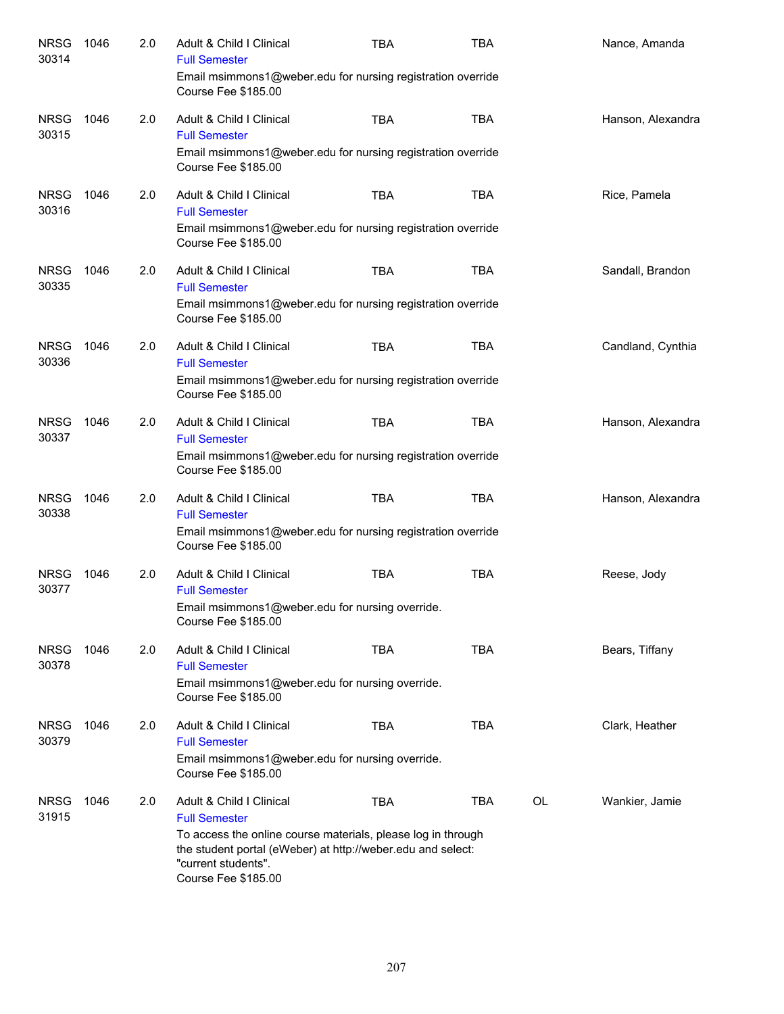| <b>NRSG</b><br>30314 | 1046 | 2.0 | Adult & Child   Clinical<br><b>Full Semester</b><br>Email msimmons1@weber.edu for nursing registration override<br>Course Fee \$185.00                                                                                        | <b>TBA</b> | <b>TBA</b> |    | Nance, Amanda     |
|----------------------|------|-----|-------------------------------------------------------------------------------------------------------------------------------------------------------------------------------------------------------------------------------|------------|------------|----|-------------------|
| <b>NRSG</b><br>30315 | 1046 | 2.0 | Adult & Child I Clinical<br><b>Full Semester</b><br>Email msimmons1@weber.edu for nursing registration override<br>Course Fee \$185.00                                                                                        | <b>TBA</b> | <b>TBA</b> |    | Hanson, Alexandra |
| <b>NRSG</b><br>30316 | 1046 | 2.0 | Adult & Child I Clinical<br><b>Full Semester</b><br>Email msimmons1@weber.edu for nursing registration override<br>Course Fee \$185.00                                                                                        | <b>TBA</b> | <b>TBA</b> |    | Rice, Pamela      |
| <b>NRSG</b><br>30335 | 1046 | 2.0 | Adult & Child I Clinical<br><b>Full Semester</b><br>Email msimmons1@weber.edu for nursing registration override<br>Course Fee \$185.00                                                                                        | <b>TBA</b> | <b>TBA</b> |    | Sandall, Brandon  |
| <b>NRSG</b><br>30336 | 1046 | 2.0 | Adult & Child I Clinical<br><b>Full Semester</b><br>Email msimmons1@weber.edu for nursing registration override<br>Course Fee \$185.00                                                                                        | <b>TBA</b> | <b>TBA</b> |    | Candland, Cynthia |
| <b>NRSG</b><br>30337 | 1046 | 2.0 | Adult & Child I Clinical<br><b>Full Semester</b><br>Email msimmons1@weber.edu for nursing registration override<br>Course Fee \$185.00                                                                                        | <b>TBA</b> | <b>TBA</b> |    | Hanson, Alexandra |
| <b>NRSG</b><br>30338 | 1046 | 2.0 | Adult & Child I Clinical<br><b>Full Semester</b><br>Email msimmons1@weber.edu for nursing registration override<br>Course Fee \$185.00                                                                                        | <b>TBA</b> | <b>TBA</b> |    | Hanson, Alexandra |
| <b>NRSG</b><br>30377 | 1046 | 2.0 | Adult & Child I Clinical<br><b>Full Semester</b><br>Email msimmons1@weber.edu for nursing override.<br>Course Fee \$185.00                                                                                                    | <b>TBA</b> | <b>TBA</b> |    | Reese, Jody       |
| <b>NRSG</b><br>30378 | 1046 | 2.0 | Adult & Child I Clinical<br><b>Full Semester</b><br>Email msimmons1@weber.edu for nursing override.<br>Course Fee \$185.00                                                                                                    | <b>TBA</b> | <b>TBA</b> |    | Bears, Tiffany    |
| <b>NRSG</b><br>30379 | 1046 | 2.0 | Adult & Child I Clinical<br><b>Full Semester</b><br>Email msimmons1@weber.edu for nursing override.<br>Course Fee \$185.00                                                                                                    | <b>TBA</b> | <b>TBA</b> |    | Clark, Heather    |
| <b>NRSG</b><br>31915 | 1046 | 2.0 | Adult & Child I Clinical<br><b>Full Semester</b><br>To access the online course materials, please log in through<br>the student portal (eWeber) at http://weber.edu and select:<br>"current students".<br>Course Fee \$185.00 | <b>TBA</b> | <b>TBA</b> | OL | Wankier, Jamie    |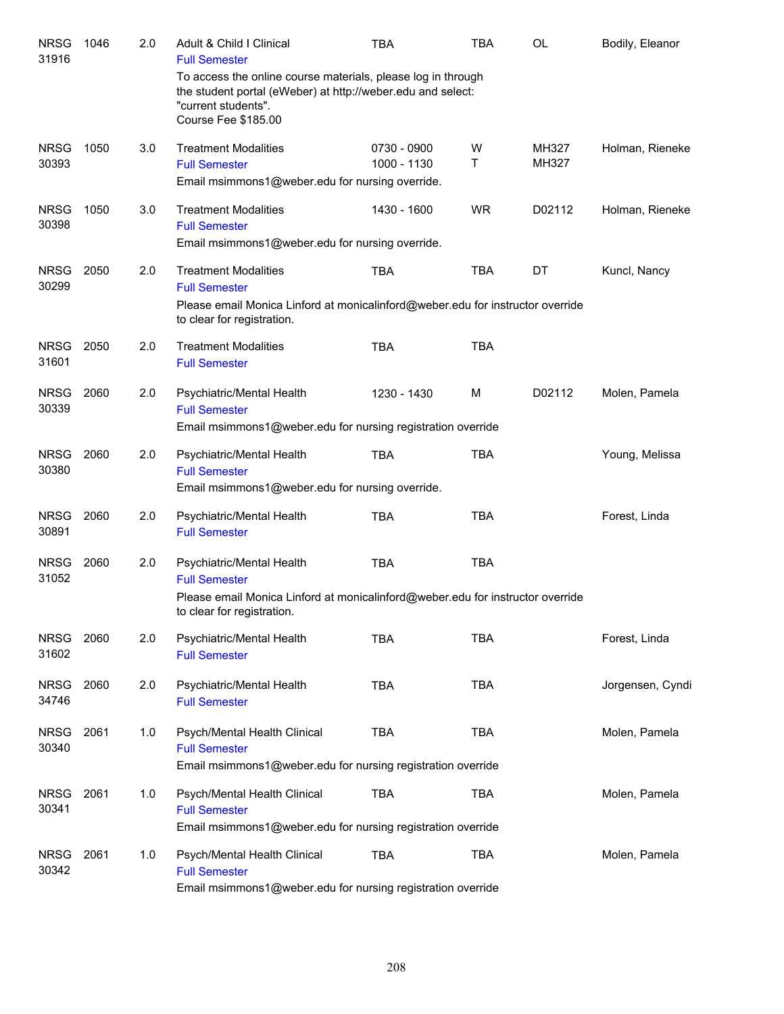| <b>NRSG</b><br>31916 | 1046 | 2.0 | Adult & Child   Clinical<br><b>Full Semester</b>                                                                                                                                 | TBA                        | <b>TBA</b> | OL             | Bodily, Eleanor  |
|----------------------|------|-----|----------------------------------------------------------------------------------------------------------------------------------------------------------------------------------|----------------------------|------------|----------------|------------------|
|                      |      |     | To access the online course materials, please log in through<br>the student portal (eWeber) at http://weber.edu and select:<br>"current students".<br><b>Course Fee \$185.00</b> |                            |            |                |                  |
| <b>NRSG</b><br>30393 | 1050 | 3.0 | <b>Treatment Modalities</b><br><b>Full Semester</b>                                                                                                                              | 0730 - 0900<br>1000 - 1130 | W<br>T.    | MH327<br>MH327 | Holman, Rieneke  |
|                      |      |     | Email msimmons1@weber.edu for nursing override.                                                                                                                                  |                            |            |                |                  |
| <b>NRSG</b><br>30398 | 1050 | 3.0 | <b>Treatment Modalities</b><br><b>Full Semester</b><br>Email msimmons1@weber.edu for nursing override.                                                                           | 1430 - 1600                | <b>WR</b>  | D02112         | Holman, Rieneke  |
| <b>NRSG</b><br>30299 | 2050 | 2.0 | <b>Treatment Modalities</b><br><b>Full Semester</b><br>Please email Monica Linford at monicalinford@weber.edu for instructor override                                            | <b>TBA</b>                 | <b>TBA</b> | DT             | Kuncl, Nancy     |
|                      |      |     | to clear for registration.                                                                                                                                                       |                            |            |                |                  |
| <b>NRSG</b><br>31601 | 2050 | 2.0 | <b>Treatment Modalities</b><br><b>Full Semester</b>                                                                                                                              | <b>TBA</b>                 | <b>TBA</b> |                |                  |
| <b>NRSG</b><br>30339 | 2060 | 2.0 | Psychiatric/Mental Health<br><b>Full Semester</b><br>Email msimmons1@weber.edu for nursing registration override                                                                 | 1230 - 1430                | M          | D02112         | Molen, Pamela    |
| <b>NRSG</b><br>30380 | 2060 | 2.0 | Psychiatric/Mental Health<br><b>Full Semester</b><br>Email msimmons1@weber.edu for nursing override.                                                                             | <b>TBA</b>                 | <b>TBA</b> |                | Young, Melissa   |
| <b>NRSG</b><br>30891 | 2060 | 2.0 | Psychiatric/Mental Health<br><b>Full Semester</b>                                                                                                                                | <b>TBA</b>                 | <b>TBA</b> |                | Forest, Linda    |
| <b>NRSG</b><br>31052 | 2060 | 2.0 | Psychiatric/Mental Health<br><b>Full Semester</b>                                                                                                                                | <b>TBA</b>                 | <b>TBA</b> |                |                  |
|                      |      |     | Please email Monica Linford at monicalinford@weber.edu for instructor override<br>to clear for registration.                                                                     |                            |            |                |                  |
| <b>NRSG</b><br>31602 | 2060 | 2.0 | Psychiatric/Mental Health<br><b>Full Semester</b>                                                                                                                                | <b>TBA</b>                 | <b>TBA</b> |                | Forest, Linda    |
| <b>NRSG</b><br>34746 | 2060 | 2.0 | Psychiatric/Mental Health<br><b>Full Semester</b>                                                                                                                                | <b>TBA</b>                 | <b>TBA</b> |                | Jorgensen, Cyndi |
| <b>NRSG</b><br>30340 | 2061 | 1.0 | Psych/Mental Health Clinical<br><b>Full Semester</b><br>Email msimmons1@weber.edu for nursing registration override                                                              | <b>TBA</b>                 | <b>TBA</b> |                | Molen, Pamela    |
| <b>NRSG</b><br>30341 | 2061 | 1.0 | Psych/Mental Health Clinical<br><b>Full Semester</b><br>Email msimmons1@weber.edu for nursing registration override                                                              | <b>TBA</b>                 | <b>TBA</b> |                | Molen, Pamela    |
| <b>NRSG</b><br>30342 | 2061 | 1.0 | Psych/Mental Health Clinical<br><b>Full Semester</b><br>Email msimmons1@weber.edu for nursing registration override                                                              | <b>TBA</b>                 | <b>TBA</b> |                | Molen, Pamela    |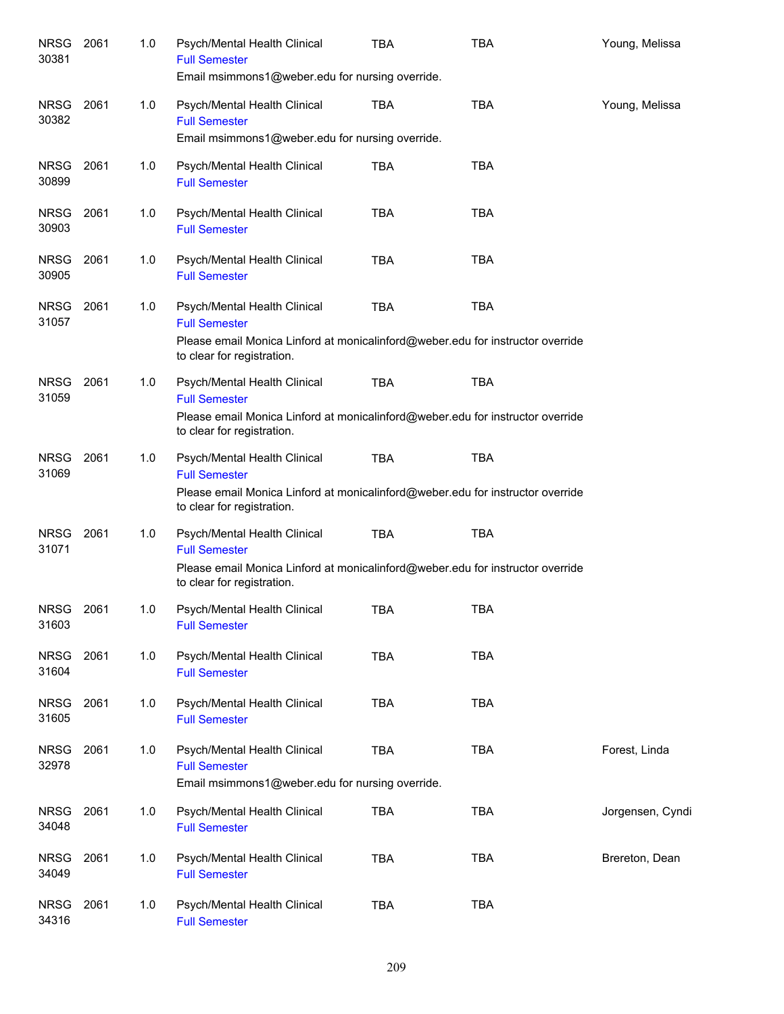| <b>NRSG</b><br>30381 | 2061 | 1.0 | Psych/Mental Health Clinical<br><b>Full Semester</b><br>Email msimmons1@weber.edu for nursing override.                                                              | <b>TBA</b> | TBA        | Young, Melissa   |
|----------------------|------|-----|----------------------------------------------------------------------------------------------------------------------------------------------------------------------|------------|------------|------------------|
| <b>NRSG</b><br>30382 | 2061 | 1.0 | Psych/Mental Health Clinical<br><b>Full Semester</b><br>Email msimmons1@weber.edu for nursing override.                                                              | <b>TBA</b> | <b>TBA</b> | Young, Melissa   |
| <b>NRSG</b><br>30899 | 2061 | 1.0 | Psych/Mental Health Clinical<br><b>Full Semester</b>                                                                                                                 | <b>TBA</b> | <b>TBA</b> |                  |
| <b>NRSG</b><br>30903 | 2061 | 1.0 | Psych/Mental Health Clinical<br><b>Full Semester</b>                                                                                                                 | <b>TBA</b> | <b>TBA</b> |                  |
| NRSG<br>30905        | 2061 | 1.0 | Psych/Mental Health Clinical<br><b>Full Semester</b>                                                                                                                 | <b>TBA</b> | <b>TBA</b> |                  |
| NRSG<br>31057        | 2061 | 1.0 | Psych/Mental Health Clinical<br><b>Full Semester</b><br>Please email Monica Linford at monicalinford@weber.edu for instructor override<br>to clear for registration. | <b>TBA</b> | <b>TBA</b> |                  |
| NRSG<br>31059        | 2061 | 1.0 | Psych/Mental Health Clinical<br><b>Full Semester</b><br>Please email Monica Linford at monicalinford@weber.edu for instructor override<br>to clear for registration. | <b>TBA</b> | <b>TBA</b> |                  |
| <b>NRSG</b><br>31069 | 2061 | 1.0 | Psych/Mental Health Clinical<br><b>Full Semester</b><br>Please email Monica Linford at monicalinford@weber.edu for instructor override<br>to clear for registration. | <b>TBA</b> | <b>TBA</b> |                  |
| <b>NRSG</b><br>31071 | 2061 | 1.0 | Psych/Mental Health Clinical<br><b>Full Semester</b><br>Please email Monica Linford at monicalinford@weber.edu for instructor override<br>to clear for registration. | <b>TBA</b> | <b>TBA</b> |                  |
| <b>NRSG</b><br>31603 | 2061 | 1.0 | Psych/Mental Health Clinical<br><b>Full Semester</b>                                                                                                                 | TBA        | TBA        |                  |
| <b>NRSG</b><br>31604 | 2061 | 1.0 | Psych/Mental Health Clinical<br><b>Full Semester</b>                                                                                                                 | <b>TBA</b> | <b>TBA</b> |                  |
| <b>NRSG</b><br>31605 | 2061 | 1.0 | Psych/Mental Health Clinical<br><b>Full Semester</b>                                                                                                                 | TBA        | <b>TBA</b> |                  |
| <b>NRSG</b><br>32978 | 2061 | 1.0 | Psych/Mental Health Clinical<br><b>Full Semester</b><br>Email msimmons1@weber.edu for nursing override.                                                              | <b>TBA</b> | <b>TBA</b> | Forest, Linda    |
| <b>NRSG</b><br>34048 | 2061 | 1.0 | Psych/Mental Health Clinical<br><b>Full Semester</b>                                                                                                                 | <b>TBA</b> | <b>TBA</b> | Jorgensen, Cyndi |
| <b>NRSG</b><br>34049 | 2061 | 1.0 | Psych/Mental Health Clinical<br><b>Full Semester</b>                                                                                                                 | <b>TBA</b> | <b>TBA</b> | Brereton, Dean   |
| <b>NRSG</b><br>34316 | 2061 | 1.0 | Psych/Mental Health Clinical<br><b>Full Semester</b>                                                                                                                 | <b>TBA</b> | <b>TBA</b> |                  |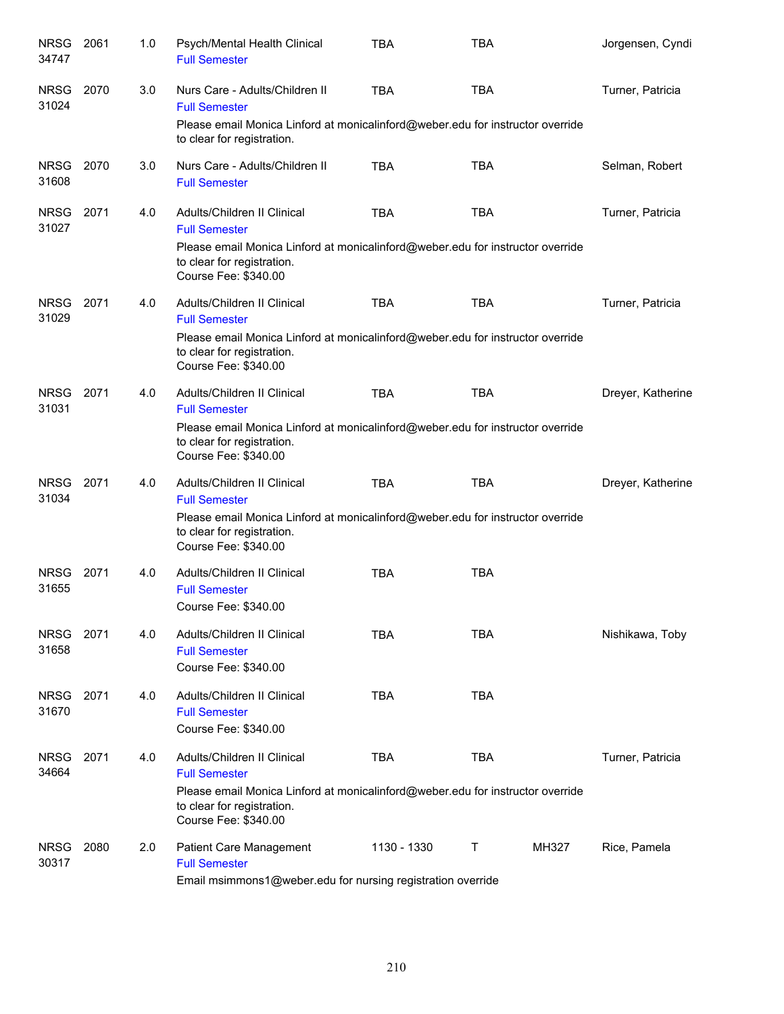| <b>NRSG</b><br>34747 | 2061 | 1.0 | Psych/Mental Health Clinical<br><b>Full Semester</b>                                                                                 | <b>TBA</b>  | <b>TBA</b> |       | Jorgensen, Cyndi  |
|----------------------|------|-----|--------------------------------------------------------------------------------------------------------------------------------------|-------------|------------|-------|-------------------|
| <b>NRSG</b><br>31024 | 2070 | 3.0 | Nurs Care - Adults/Children II<br><b>Full Semester</b>                                                                               | <b>TBA</b>  | <b>TBA</b> |       | Turner, Patricia  |
|                      |      |     | Please email Monica Linford at monicalinford@weber.edu for instructor override<br>to clear for registration.                         |             |            |       |                   |
| NRSG<br>31608        | 2070 | 3.0 | Nurs Care - Adults/Children II<br><b>Full Semester</b>                                                                               | <b>TBA</b>  | <b>TBA</b> |       | Selman, Robert    |
| <b>NRSG</b><br>31027 | 2071 | 4.0 | Adults/Children II Clinical<br><b>Full Semester</b>                                                                                  | <b>TBA</b>  | <b>TBA</b> |       | Turner, Patricia  |
|                      |      |     | Please email Monica Linford at monicalinford@weber.edu for instructor override<br>to clear for registration.<br>Course Fee: \$340.00 |             |            |       |                   |
| <b>NRSG</b><br>31029 | 2071 | 4.0 | Adults/Children II Clinical<br><b>Full Semester</b>                                                                                  | <b>TBA</b>  | <b>TBA</b> |       | Turner, Patricia  |
|                      |      |     | Please email Monica Linford at monicalinford@weber.edu for instructor override<br>to clear for registration.<br>Course Fee: \$340.00 |             |            |       |                   |
| <b>NRSG</b><br>31031 | 2071 | 4.0 | Adults/Children II Clinical<br><b>Full Semester</b>                                                                                  | <b>TBA</b>  | <b>TBA</b> |       | Dreyer, Katherine |
|                      |      |     | Please email Monica Linford at monicalinford@weber.edu for instructor override<br>to clear for registration.<br>Course Fee: \$340.00 |             |            |       |                   |
| <b>NRSG</b><br>31034 | 2071 | 4.0 | Adults/Children II Clinical<br><b>Full Semester</b>                                                                                  | <b>TBA</b>  | <b>TBA</b> |       | Dreyer, Katherine |
|                      |      |     | Please email Monica Linford at monicalinford@weber.edu for instructor override<br>to clear for registration.<br>Course Fee: \$340.00 |             |            |       |                   |
| <b>NRSG</b><br>31655 | 2071 | 4.0 | Adults/Children II Clinical<br><b>Full Semester</b><br>Course Fee: \$340.00                                                          | <b>TBA</b>  | <b>TBA</b> |       |                   |
| <b>NRSG</b><br>31658 | 2071 | 4.0 | Adults/Children II Clinical<br><b>Full Semester</b><br>Course Fee: \$340.00                                                          | <b>TBA</b>  | <b>TBA</b> |       | Nishikawa, Toby   |
| <b>NRSG</b><br>31670 | 2071 | 4.0 | Adults/Children II Clinical<br><b>Full Semester</b><br>Course Fee: \$340.00                                                          | <b>TBA</b>  | <b>TBA</b> |       |                   |
| <b>NRSG</b><br>34664 | 2071 | 4.0 | Adults/Children II Clinical<br><b>Full Semester</b>                                                                                  | TBA         | <b>TBA</b> |       | Turner, Patricia  |
|                      |      |     | Please email Monica Linford at monicalinford@weber.edu for instructor override<br>to clear for registration.<br>Course Fee: \$340.00 |             |            |       |                   |
| <b>NRSG</b><br>30317 | 2080 | 2.0 | Patient Care Management<br><b>Full Semester</b><br>Email msimmons1@weber.edu for nursing registration override                       | 1130 - 1330 | Τ          | MH327 | Rice, Pamela      |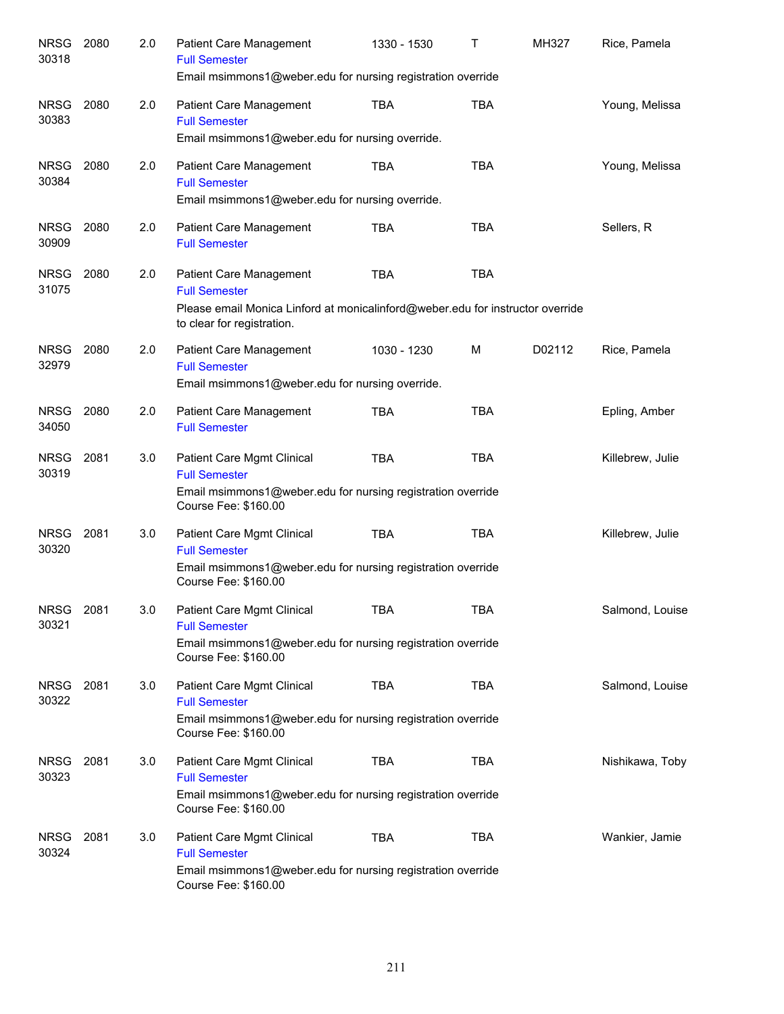| <b>NRSG</b><br>30318 | 2080 | 2.0 | Patient Care Management<br><b>Full Semester</b><br>Email msimmons1@weber.edu for nursing registration override                                                  | 1330 - 1530 | Τ          | MH327  | Rice, Pamela     |
|----------------------|------|-----|-----------------------------------------------------------------------------------------------------------------------------------------------------------------|-------------|------------|--------|------------------|
| <b>NRSG</b><br>30383 | 2080 | 2.0 | Patient Care Management<br><b>Full Semester</b><br>Email msimmons1@weber.edu for nursing override.                                                              | <b>TBA</b>  | <b>TBA</b> |        | Young, Melissa   |
| <b>NRSG</b><br>30384 | 2080 | 2.0 | Patient Care Management<br><b>Full Semester</b><br>Email msimmons1@weber.edu for nursing override.                                                              | TBA         | <b>TBA</b> |        | Young, Melissa   |
| <b>NRSG</b><br>30909 | 2080 | 2.0 | Patient Care Management<br><b>Full Semester</b>                                                                                                                 | <b>TBA</b>  | <b>TBA</b> |        | Sellers, R       |
| <b>NRSG</b><br>31075 | 2080 | 2.0 | Patient Care Management<br><b>Full Semester</b><br>Please email Monica Linford at monicalinford@weber.edu for instructor override<br>to clear for registration. | TBA         | <b>TBA</b> |        |                  |
| <b>NRSG</b><br>32979 | 2080 | 2.0 | Patient Care Management<br><b>Full Semester</b><br>Email msimmons1@weber.edu for nursing override.                                                              | 1030 - 1230 | M          | D02112 | Rice, Pamela     |
| <b>NRSG</b><br>34050 | 2080 | 2.0 | Patient Care Management<br><b>Full Semester</b>                                                                                                                 | <b>TBA</b>  | <b>TBA</b> |        | Epling, Amber    |
| <b>NRSG</b><br>30319 | 2081 | 3.0 | Patient Care Mgmt Clinical<br><b>Full Semester</b><br>Email msimmons1@weber.edu for nursing registration override<br>Course Fee: \$160.00                       | <b>TBA</b>  | <b>TBA</b> |        | Killebrew, Julie |
| <b>NRSG</b><br>30320 | 2081 | 3.0 | Patient Care Mgmt Clinical<br><b>Full Semester</b><br>Email msimmons1@weber.edu for nursing registration override<br>Course Fee: \$160.00                       | <b>TBA</b>  | <b>TBA</b> |        | Killebrew, Julie |
| <b>NRSG</b><br>30321 | 2081 | 3.0 | Patient Care Mgmt Clinical<br><b>Full Semester</b><br>Email msimmons1@weber.edu for nursing registration override<br>Course Fee: \$160.00                       | <b>TBA</b>  | <b>TBA</b> |        | Salmond, Louise  |
| NRSG 2081<br>30322   |      | 3.0 | Patient Care Mgmt Clinical<br><b>Full Semester</b><br>Email msimmons1@weber.edu for nursing registration override<br>Course Fee: \$160.00                       | TBA         | TBA        |        | Salmond, Louise  |
| <b>NRSG</b><br>30323 | 2081 | 3.0 | Patient Care Mgmt Clinical<br><b>Full Semester</b><br>Email msimmons1@weber.edu for nursing registration override<br>Course Fee: \$160.00                       | <b>TBA</b>  | <b>TBA</b> |        | Nishikawa, Toby  |
| <b>NRSG</b><br>30324 | 2081 | 3.0 | Patient Care Mgmt Clinical<br><b>Full Semester</b><br>Email msimmons1@weber.edu for nursing registration override<br>Course Fee: \$160.00                       | <b>TBA</b>  | <b>TBA</b> |        | Wankier, Jamie   |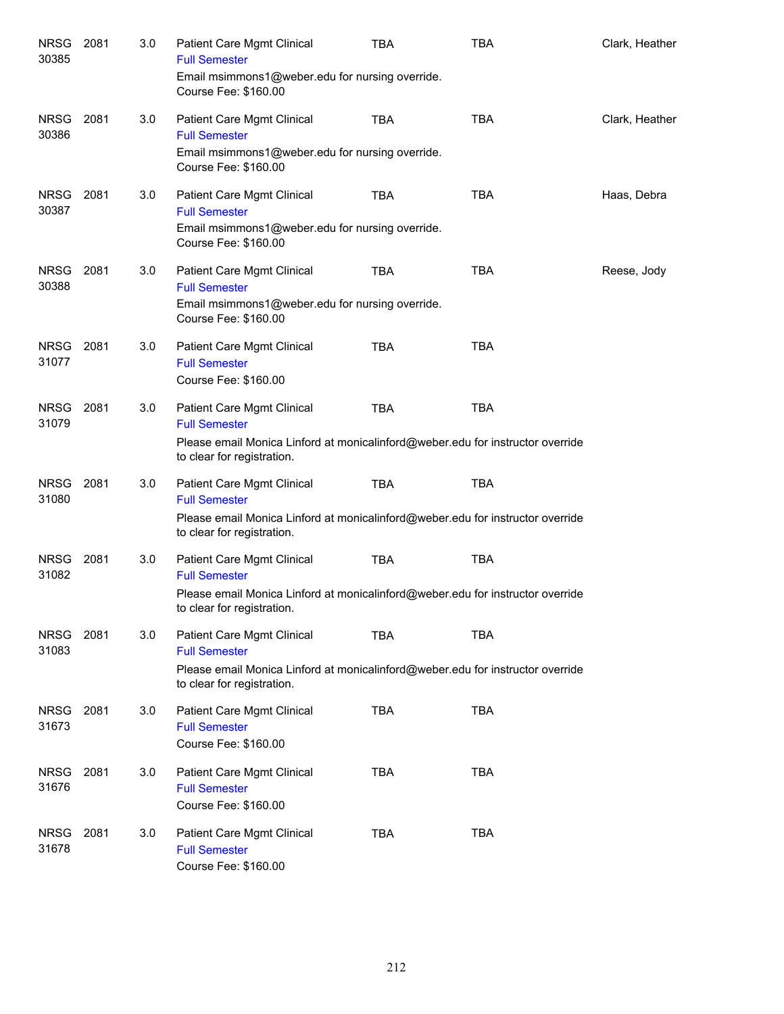| <b>NRSG</b><br>30385 | 2081 | 3.0 | Patient Care Mgmt Clinical<br><b>Full Semester</b><br>Email msimmons1@weber.edu for nursing override.<br>Course Fee: \$160.00                                      | <b>TBA</b> | <b>TBA</b> | Clark, Heather |
|----------------------|------|-----|--------------------------------------------------------------------------------------------------------------------------------------------------------------------|------------|------------|----------------|
| <b>NRSG</b><br>30386 | 2081 | 3.0 | Patient Care Mgmt Clinical<br><b>Full Semester</b><br>Email msimmons1@weber.edu for nursing override.<br>Course Fee: \$160.00                                      | <b>TBA</b> | <b>TBA</b> | Clark, Heather |
| <b>NRSG</b><br>30387 | 2081 | 3.0 | Patient Care Mgmt Clinical<br><b>Full Semester</b><br>Email msimmons1@weber.edu for nursing override.<br>Course Fee: \$160.00                                      | <b>TBA</b> | TBA        | Haas, Debra    |
| <b>NRSG</b><br>30388 | 2081 | 3.0 | Patient Care Mgmt Clinical<br><b>Full Semester</b><br>Email msimmons1@weber.edu for nursing override.<br>Course Fee: \$160.00                                      | <b>TBA</b> | <b>TBA</b> | Reese, Jody    |
| <b>NRSG</b><br>31077 | 2081 | 3.0 | Patient Care Mgmt Clinical<br><b>Full Semester</b><br>Course Fee: \$160.00                                                                                         | <b>TBA</b> | <b>TBA</b> |                |
| <b>NRSG</b><br>31079 | 2081 | 3.0 | Patient Care Mgmt Clinical<br><b>Full Semester</b><br>Please email Monica Linford at monicalinford@weber.edu for instructor override<br>to clear for registration. | <b>TBA</b> | <b>TBA</b> |                |
| <b>NRSG</b><br>31080 | 2081 | 3.0 | Patient Care Mgmt Clinical<br><b>Full Semester</b><br>Please email Monica Linford at monicalinford@weber.edu for instructor override<br>to clear for registration. | <b>TBA</b> | TBA        |                |
| <b>NRSG</b><br>31082 | 2081 | 3.0 | Patient Care Mgmt Clinical<br><b>Full Semester</b><br>Please email Monica Linford at monicalinford@weber.edu for instructor override<br>to clear for registration. | <b>TBA</b> | <b>TBA</b> |                |
| <b>NRSG</b><br>31083 | 2081 | 3.0 | Patient Care Mgmt Clinical<br><b>Full Semester</b><br>Please email Monica Linford at monicalinford@weber.edu for instructor override<br>to clear for registration. | <b>TBA</b> | <b>TBA</b> |                |
| <b>NRSG</b><br>31673 | 2081 | 3.0 | Patient Care Mgmt Clinical<br><b>Full Semester</b><br>Course Fee: \$160.00                                                                                         | <b>TBA</b> | <b>TBA</b> |                |
| <b>NRSG</b><br>31676 | 2081 | 3.0 | Patient Care Mgmt Clinical<br><b>Full Semester</b><br>Course Fee: \$160.00                                                                                         | <b>TBA</b> | <b>TBA</b> |                |
| <b>NRSG</b><br>31678 | 2081 | 3.0 | Patient Care Mgmt Clinical<br><b>Full Semester</b><br>Course Fee: \$160.00                                                                                         | <b>TBA</b> | <b>TBA</b> |                |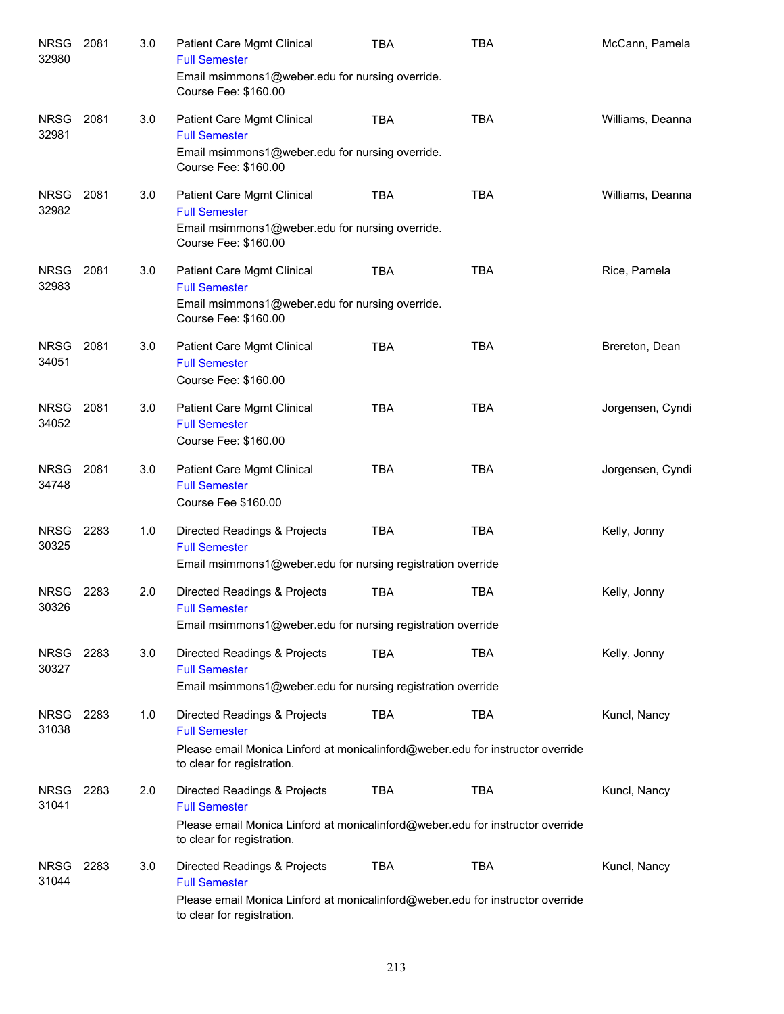| <b>NRSG</b><br>32980 | 2081 | 3.0 | <b>Patient Care Mgmt Clinical</b><br><b>Full Semester</b><br>Email msimmons1@weber.edu for nursing override.                                                         | TBA        | <b>TBA</b> | McCann, Pamela   |
|----------------------|------|-----|----------------------------------------------------------------------------------------------------------------------------------------------------------------------|------------|------------|------------------|
|                      |      |     | Course Fee: \$160.00                                                                                                                                                 |            |            |                  |
| <b>NRSG</b><br>32981 | 2081 | 3.0 | Patient Care Mgmt Clinical<br><b>Full Semester</b><br>Email msimmons1@weber.edu for nursing override.<br>Course Fee: \$160.00                                        | <b>TBA</b> | <b>TBA</b> | Williams, Deanna |
| <b>NRSG</b><br>32982 | 2081 | 3.0 | Patient Care Mgmt Clinical<br><b>Full Semester</b><br>Email msimmons1@weber.edu for nursing override.<br>Course Fee: \$160.00                                        | <b>TBA</b> | <b>TBA</b> | Williams, Deanna |
| <b>NRSG</b><br>32983 | 2081 | 3.0 | Patient Care Mgmt Clinical<br><b>Full Semester</b><br>Email msimmons1@weber.edu for nursing override.<br>Course Fee: \$160.00                                        | <b>TBA</b> | <b>TBA</b> | Rice, Pamela     |
| <b>NRSG</b><br>34051 | 2081 | 3.0 | Patient Care Mgmt Clinical<br><b>Full Semester</b><br>Course Fee: \$160.00                                                                                           | <b>TBA</b> | <b>TBA</b> | Brereton, Dean   |
| <b>NRSG</b><br>34052 | 2081 | 3.0 | Patient Care Mgmt Clinical<br><b>Full Semester</b><br>Course Fee: \$160.00                                                                                           | <b>TBA</b> | <b>TBA</b> | Jorgensen, Cyndi |
| <b>NRSG</b><br>34748 | 2081 | 3.0 | Patient Care Mgmt Clinical<br><b>Full Semester</b><br>Course Fee \$160.00                                                                                            | <b>TBA</b> | <b>TBA</b> | Jorgensen, Cyndi |
| <b>NRSG</b><br>30325 | 2283 | 1.0 | Directed Readings & Projects<br><b>Full Semester</b><br>Email msimmons1@weber.edu for nursing registration override                                                  | <b>TBA</b> | <b>TBA</b> | Kelly, Jonny     |
| <b>NRSG</b><br>30326 | 2283 | 2.0 | Directed Readings & Projects<br><b>Full Semester</b><br>Email msimmons1@weber.edu for nursing registration override                                                  | <b>TBA</b> | <b>TBA</b> | Kelly, Jonny     |
| <b>NRSG</b><br>30327 | 2283 | 3.0 | Directed Readings & Projects<br><b>Full Semester</b><br>Email msimmons1@weber.edu for nursing registration override                                                  | <b>TBA</b> | <b>TBA</b> | Kelly, Jonny     |
| <b>NRSG</b><br>31038 | 2283 | 1.0 | Directed Readings & Projects<br><b>Full Semester</b><br>Please email Monica Linford at monicalinford@weber.edu for instructor override<br>to clear for registration. | <b>TBA</b> | <b>TBA</b> | Kuncl, Nancy     |
| <b>NRSG</b><br>31041 | 2283 | 2.0 | Directed Readings & Projects<br><b>Full Semester</b><br>Please email Monica Linford at monicalinford@weber.edu for instructor override<br>to clear for registration. | <b>TBA</b> | <b>TBA</b> | Kuncl, Nancy     |
| <b>NRSG</b><br>31044 | 2283 | 3.0 | Directed Readings & Projects<br><b>Full Semester</b><br>Please email Monica Linford at monicalinford@weber.edu for instructor override<br>to clear for registration. | <b>TBA</b> | <b>TBA</b> | Kuncl, Nancy     |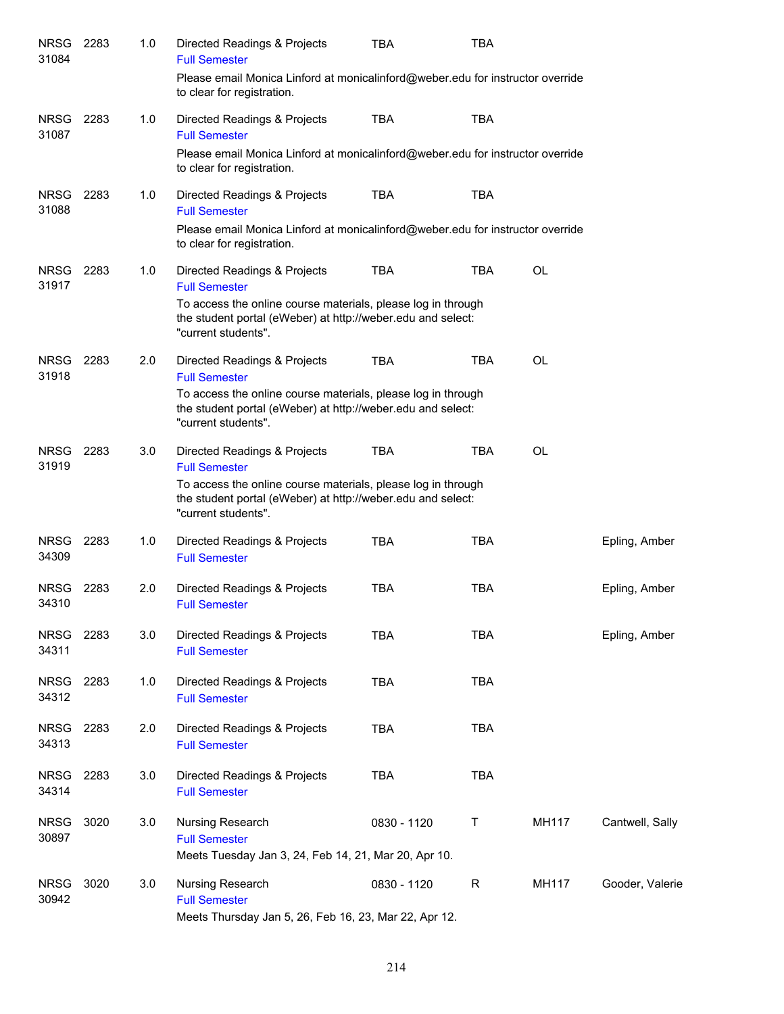| Directed Readings & Projects<br><b>Full Semester</b> | TBA         | TBA        |                                                                                                                                                                                                                                                                                                                                                                                                                                                                                                            |                                                                                                                                                                                                                                                    |
|------------------------------------------------------|-------------|------------|------------------------------------------------------------------------------------------------------------------------------------------------------------------------------------------------------------------------------------------------------------------------------------------------------------------------------------------------------------------------------------------------------------------------------------------------------------------------------------------------------------|----------------------------------------------------------------------------------------------------------------------------------------------------------------------------------------------------------------------------------------------------|
| to clear for registration.                           |             |            |                                                                                                                                                                                                                                                                                                                                                                                                                                                                                                            |                                                                                                                                                                                                                                                    |
| Directed Readings & Projects<br><b>Full Semester</b> | <b>TBA</b>  | <b>TBA</b> |                                                                                                                                                                                                                                                                                                                                                                                                                                                                                                            |                                                                                                                                                                                                                                                    |
| to clear for registration.                           |             |            |                                                                                                                                                                                                                                                                                                                                                                                                                                                                                                            |                                                                                                                                                                                                                                                    |
| Directed Readings & Projects<br><b>Full Semester</b> | <b>TBA</b>  | <b>TBA</b> |                                                                                                                                                                                                                                                                                                                                                                                                                                                                                                            |                                                                                                                                                                                                                                                    |
| to clear for registration.                           |             |            |                                                                                                                                                                                                                                                                                                                                                                                                                                                                                                            |                                                                                                                                                                                                                                                    |
| Directed Readings & Projects<br><b>Full Semester</b> | <b>TBA</b>  | <b>TBA</b> | <b>OL</b>                                                                                                                                                                                                                                                                                                                                                                                                                                                                                                  |                                                                                                                                                                                                                                                    |
| "current students".                                  |             |            |                                                                                                                                                                                                                                                                                                                                                                                                                                                                                                            |                                                                                                                                                                                                                                                    |
| Directed Readings & Projects<br><b>Full Semester</b> | <b>TBA</b>  | <b>TBA</b> | <b>OL</b>                                                                                                                                                                                                                                                                                                                                                                                                                                                                                                  |                                                                                                                                                                                                                                                    |
| "current students".                                  |             |            |                                                                                                                                                                                                                                                                                                                                                                                                                                                                                                            |                                                                                                                                                                                                                                                    |
| Directed Readings & Projects<br><b>Full Semester</b> | <b>TBA</b>  | <b>TBA</b> | <b>OL</b>                                                                                                                                                                                                                                                                                                                                                                                                                                                                                                  |                                                                                                                                                                                                                                                    |
| "current students".                                  |             |            |                                                                                                                                                                                                                                                                                                                                                                                                                                                                                                            |                                                                                                                                                                                                                                                    |
| Directed Readings & Projects<br><b>Full Semester</b> | <b>TBA</b>  | <b>TBA</b> |                                                                                                                                                                                                                                                                                                                                                                                                                                                                                                            | Epling, Amber                                                                                                                                                                                                                                      |
| Directed Readings & Projects<br><b>Full Semester</b> | <b>TBA</b>  | <b>TBA</b> |                                                                                                                                                                                                                                                                                                                                                                                                                                                                                                            | Epling, Amber                                                                                                                                                                                                                                      |
| Directed Readings & Projects<br><b>Full Semester</b> | <b>TBA</b>  | <b>TBA</b> |                                                                                                                                                                                                                                                                                                                                                                                                                                                                                                            | Epling, Amber                                                                                                                                                                                                                                      |
| Directed Readings & Projects<br><b>Full Semester</b> | <b>TBA</b>  | <b>TBA</b> |                                                                                                                                                                                                                                                                                                                                                                                                                                                                                                            |                                                                                                                                                                                                                                                    |
| Directed Readings & Projects<br><b>Full Semester</b> | <b>TBA</b>  | <b>TBA</b> |                                                                                                                                                                                                                                                                                                                                                                                                                                                                                                            |                                                                                                                                                                                                                                                    |
| Directed Readings & Projects<br><b>Full Semester</b> | <b>TBA</b>  | <b>TBA</b> |                                                                                                                                                                                                                                                                                                                                                                                                                                                                                                            |                                                                                                                                                                                                                                                    |
| Nursing Research<br><b>Full Semester</b>             | 0830 - 1120 | Τ          | MH117                                                                                                                                                                                                                                                                                                                                                                                                                                                                                                      | Cantwell, Sally                                                                                                                                                                                                                                    |
|                                                      |             |            |                                                                                                                                                                                                                                                                                                                                                                                                                                                                                                            |                                                                                                                                                                                                                                                    |
| Nursing Research<br><b>Full Semester</b>             | 0830 - 1120 | R          | MH117                                                                                                                                                                                                                                                                                                                                                                                                                                                                                                      | Gooder, Valerie                                                                                                                                                                                                                                    |
|                                                      |             |            | To access the online course materials, please log in through<br>the student portal (eWeber) at http://weber.edu and select:<br>To access the online course materials, please log in through<br>the student portal (eWeber) at http://weber.edu and select:<br>To access the online course materials, please log in through<br>the student portal (eWeber) at http://weber.edu and select:<br>Meets Tuesday Jan 3, 24, Feb 14, 21, Mar 20, Apr 10.<br>Meets Thursday Jan 5, 26, Feb 16, 23, Mar 22, Apr 12. | Please email Monica Linford at monicalinford@weber.edu for instructor override<br>Please email Monica Linford at monicalinford@weber.edu for instructor override<br>Please email Monica Linford at monicalinford@weber.edu for instructor override |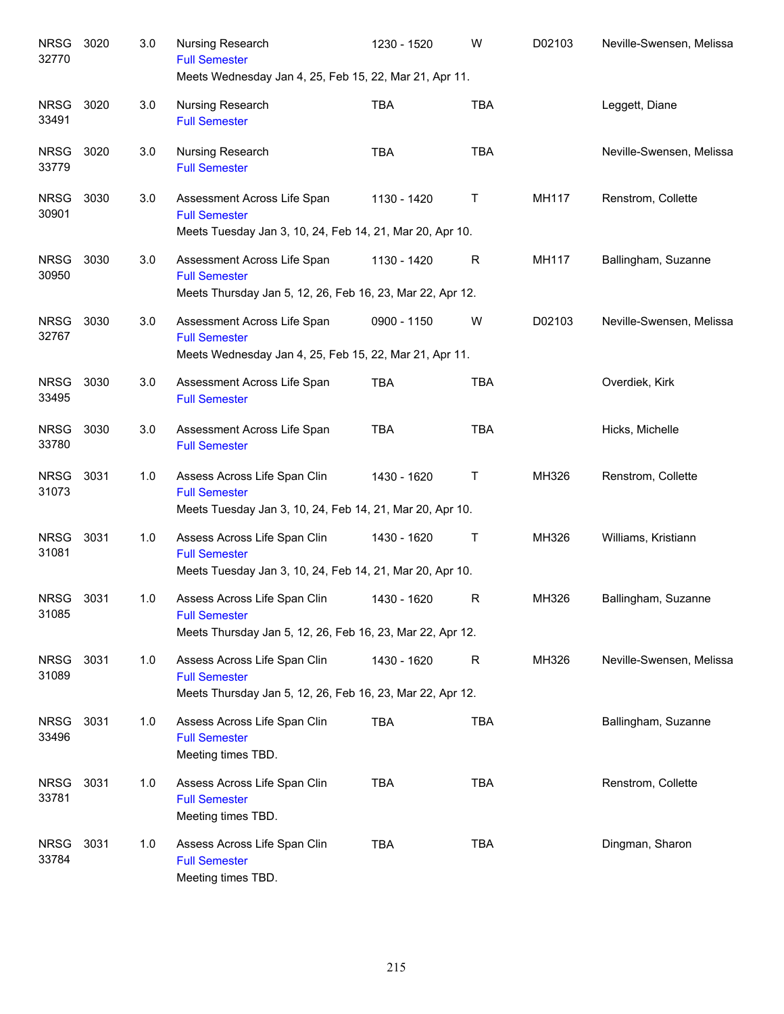| <b>NRSG</b><br>32770 | 3020 | 3.0 | Nursing Research<br><b>Full Semester</b><br>Meets Wednesday Jan 4, 25, Feb 15, 22, Mar 21, Apr 11.                | 1230 - 1520 | W            | D02103 | Neville-Swensen, Melissa |
|----------------------|------|-----|-------------------------------------------------------------------------------------------------------------------|-------------|--------------|--------|--------------------------|
| <b>NRSG</b><br>33491 | 3020 | 3.0 | Nursing Research<br><b>Full Semester</b>                                                                          | <b>TBA</b>  | <b>TBA</b>   |        | Leggett, Diane           |
| <b>NRSG</b><br>33779 | 3020 | 3.0 | Nursing Research<br><b>Full Semester</b>                                                                          | <b>TBA</b>  | <b>TBA</b>   |        | Neville-Swensen, Melissa |
| <b>NRSG</b><br>30901 | 3030 | 3.0 | Assessment Across Life Span<br><b>Full Semester</b><br>Meets Tuesday Jan 3, 10, 24, Feb 14, 21, Mar 20, Apr 10.   | 1130 - 1420 | Т            | MH117  | Renstrom, Collette       |
| <b>NRSG</b><br>30950 | 3030 | 3.0 | Assessment Across Life Span<br><b>Full Semester</b><br>Meets Thursday Jan 5, 12, 26, Feb 16, 23, Mar 22, Apr 12.  | 1130 - 1420 | R            | MH117  | Ballingham, Suzanne      |
| <b>NRSG</b><br>32767 | 3030 | 3.0 | Assessment Across Life Span<br><b>Full Semester</b><br>Meets Wednesday Jan 4, 25, Feb 15, 22, Mar 21, Apr 11.     | 0900 - 1150 | W            | D02103 | Neville-Swensen, Melissa |
| <b>NRSG</b><br>33495 | 3030 | 3.0 | Assessment Across Life Span<br><b>Full Semester</b>                                                               | <b>TBA</b>  | <b>TBA</b>   |        | Overdiek, Kirk           |
| <b>NRSG</b><br>33780 | 3030 | 3.0 | Assessment Across Life Span<br><b>Full Semester</b>                                                               | <b>TBA</b>  | <b>TBA</b>   |        | Hicks, Michelle          |
| <b>NRSG</b><br>31073 | 3031 | 1.0 | Assess Across Life Span Clin<br><b>Full Semester</b><br>Meets Tuesday Jan 3, 10, 24, Feb 14, 21, Mar 20, Apr 10.  | 1430 - 1620 | Т            | MH326  | Renstrom, Collette       |
| <b>NRSG</b><br>31081 | 3031 | 1.0 | Assess Across Life Span Clin<br><b>Full Semester</b><br>Meets Tuesday Jan 3, 10, 24, Feb 14, 21, Mar 20, Apr 10.  | 1430 - 1620 | Т            | MH326  | Williams, Kristiann      |
| <b>NRSG</b><br>31085 | 3031 | 1.0 | Assess Across Life Span Clin<br><b>Full Semester</b><br>Meets Thursday Jan 5, 12, 26, Feb 16, 23, Mar 22, Apr 12. | 1430 - 1620 | R            | MH326  | Ballingham, Suzanne      |
| <b>NRSG</b><br>31089 | 3031 | 1.0 | Assess Across Life Span Clin<br><b>Full Semester</b><br>Meets Thursday Jan 5, 12, 26, Feb 16, 23, Mar 22, Apr 12. | 1430 - 1620 | $\mathsf{R}$ | MH326  | Neville-Swensen, Melissa |
| <b>NRSG</b><br>33496 | 3031 | 1.0 | Assess Across Life Span Clin<br><b>Full Semester</b><br>Meeting times TBD.                                        | <b>TBA</b>  | <b>TBA</b>   |        | Ballingham, Suzanne      |
| <b>NRSG</b><br>33781 | 3031 | 1.0 | Assess Across Life Span Clin<br><b>Full Semester</b><br>Meeting times TBD.                                        | <b>TBA</b>  | <b>TBA</b>   |        | Renstrom, Collette       |
| <b>NRSG</b><br>33784 | 3031 | 1.0 | Assess Across Life Span Clin<br><b>Full Semester</b><br>Meeting times TBD.                                        | <b>TBA</b>  | <b>TBA</b>   |        | Dingman, Sharon          |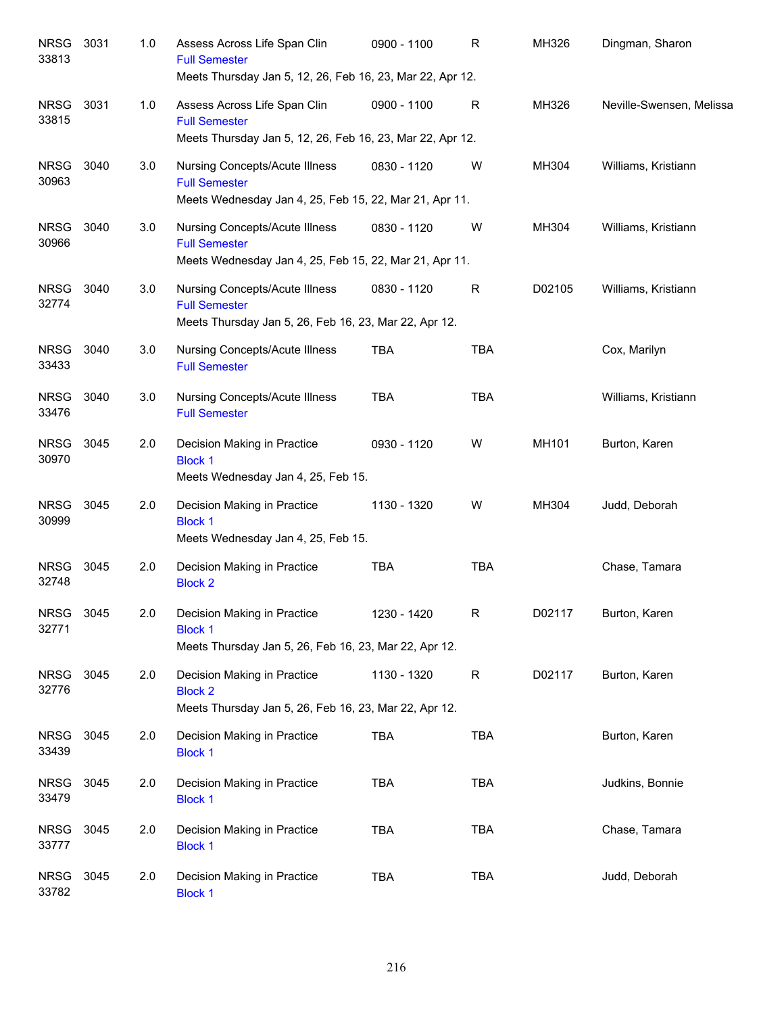| <b>NRSG</b><br>33813 | 3031 | 1.0 | Assess Across Life Span Clin<br><b>Full Semester</b><br>Meets Thursday Jan 5, 12, 26, Feb 16, 23, Mar 22, Apr 12.       | 0900 - 1100 | R          | MH326  | Dingman, Sharon          |
|----------------------|------|-----|-------------------------------------------------------------------------------------------------------------------------|-------------|------------|--------|--------------------------|
| <b>NRSG</b><br>33815 | 3031 | 1.0 | Assess Across Life Span Clin<br><b>Full Semester</b><br>Meets Thursday Jan 5, 12, 26, Feb 16, 23, Mar 22, Apr 12.       | 0900 - 1100 | R          | MH326  | Neville-Swensen, Melissa |
| <b>NRSG</b><br>30963 | 3040 | 3.0 | <b>Nursing Concepts/Acute Illness</b><br><b>Full Semester</b><br>Meets Wednesday Jan 4, 25, Feb 15, 22, Mar 21, Apr 11. | 0830 - 1120 | W          | MH304  | Williams, Kristiann      |
| <b>NRSG</b><br>30966 | 3040 | 3.0 | <b>Nursing Concepts/Acute Illness</b><br><b>Full Semester</b><br>Meets Wednesday Jan 4, 25, Feb 15, 22, Mar 21, Apr 11. | 0830 - 1120 | W          | MH304  | Williams, Kristiann      |
| <b>NRSG</b><br>32774 | 3040 | 3.0 | Nursing Concepts/Acute Illness<br><b>Full Semester</b><br>Meets Thursday Jan 5, 26, Feb 16, 23, Mar 22, Apr 12.         | 0830 - 1120 | R          | D02105 | Williams, Kristiann      |
| <b>NRSG</b><br>33433 | 3040 | 3.0 | Nursing Concepts/Acute Illness<br><b>Full Semester</b>                                                                  | <b>TBA</b>  | <b>TBA</b> |        | Cox, Marilyn             |
| <b>NRSG</b><br>33476 | 3040 | 3.0 | Nursing Concepts/Acute Illness<br><b>Full Semester</b>                                                                  | <b>TBA</b>  | <b>TBA</b> |        | Williams, Kristiann      |
| <b>NRSG</b><br>30970 | 3045 | 2.0 | Decision Making in Practice<br><b>Block 1</b><br>Meets Wednesday Jan 4, 25, Feb 15.                                     | 0930 - 1120 | W          | MH101  | Burton, Karen            |
| <b>NRSG</b><br>30999 | 3045 | 2.0 | Decision Making in Practice<br><b>Block 1</b><br>Meets Wednesday Jan 4, 25, Feb 15.                                     | 1130 - 1320 | W          | MH304  | Judd, Deborah            |
| <b>NRSG</b><br>32748 | 3045 | 2.0 | Decision Making in Practice<br><b>Block 2</b>                                                                           | <b>TBA</b>  | <b>TBA</b> |        | Chase, Tamara            |
| <b>NRSG</b><br>32771 | 3045 | 2.0 | Decision Making in Practice<br><b>Block 1</b><br>Meets Thursday Jan 5, 26, Feb 16, 23, Mar 22, Apr 12.                  | 1230 - 1420 | R          | D02117 | Burton, Karen            |
| <b>NRSG</b><br>32776 | 3045 | 2.0 | Decision Making in Practice<br><b>Block 2</b><br>Meets Thursday Jan 5, 26, Feb 16, 23, Mar 22, Apr 12.                  | 1130 - 1320 | R          | D02117 | Burton, Karen            |
| <b>NRSG</b><br>33439 | 3045 | 2.0 | Decision Making in Practice<br><b>Block 1</b>                                                                           | <b>TBA</b>  | TBA        |        | Burton, Karen            |
| <b>NRSG</b><br>33479 | 3045 | 2.0 | Decision Making in Practice<br><b>Block 1</b>                                                                           | <b>TBA</b>  | <b>TBA</b> |        | Judkins, Bonnie          |
| <b>NRSG</b><br>33777 | 3045 | 2.0 | Decision Making in Practice<br><b>Block 1</b>                                                                           | <b>TBA</b>  | <b>TBA</b> |        | Chase, Tamara            |
| <b>NRSG</b><br>33782 | 3045 | 2.0 | Decision Making in Practice<br><b>Block 1</b>                                                                           | <b>TBA</b>  | <b>TBA</b> |        | Judd, Deborah            |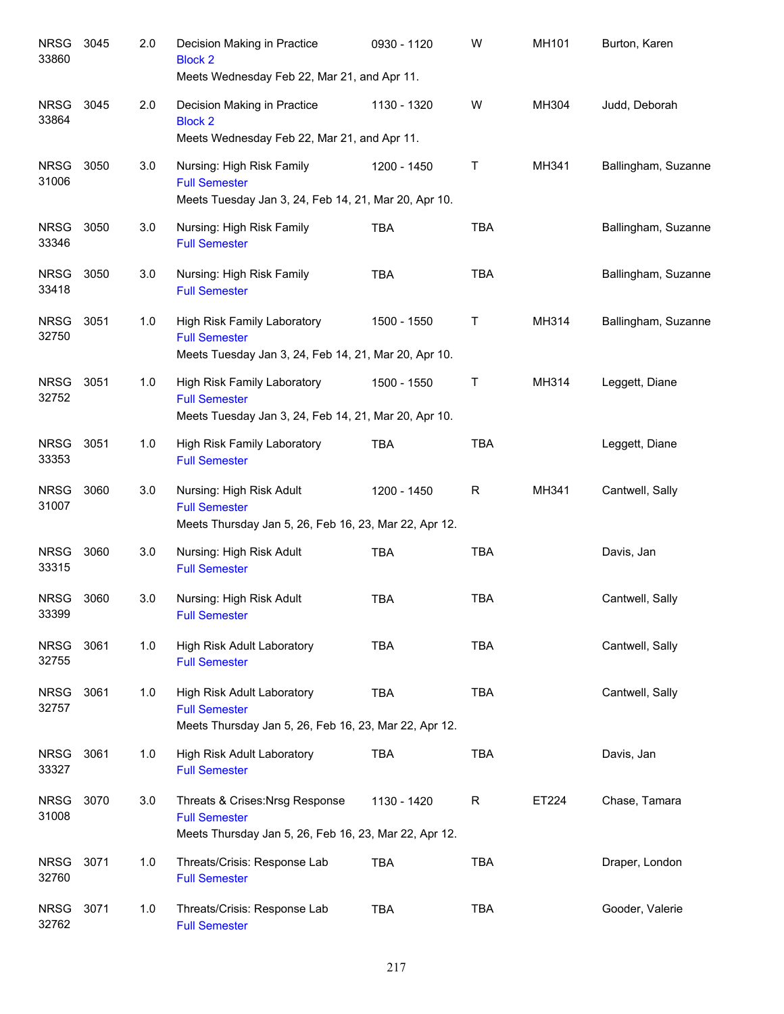| <b>NRSG</b><br>33860 | 3045 | 2.0 | Decision Making in Practice<br><b>Block 2</b><br>Meets Wednesday Feb 22, Mar 21, and Apr 11.                     | 0930 - 1120 | W            | MH101 | Burton, Karen       |
|----------------------|------|-----|------------------------------------------------------------------------------------------------------------------|-------------|--------------|-------|---------------------|
| <b>NRSG</b><br>33864 | 3045 | 2.0 | Decision Making in Practice<br><b>Block 2</b><br>Meets Wednesday Feb 22, Mar 21, and Apr 11.                     | 1130 - 1320 | W            | MH304 | Judd, Deborah       |
| <b>NRSG</b><br>31006 | 3050 | 3.0 | Nursing: High Risk Family<br><b>Full Semester</b><br>Meets Tuesday Jan 3, 24, Feb 14, 21, Mar 20, Apr 10.        | 1200 - 1450 | Τ            | MH341 | Ballingham, Suzanne |
| <b>NRSG</b><br>33346 | 3050 | 3.0 | Nursing: High Risk Family<br><b>Full Semester</b>                                                                | <b>TBA</b>  | <b>TBA</b>   |       | Ballingham, Suzanne |
| <b>NRSG</b><br>33418 | 3050 | 3.0 | Nursing: High Risk Family<br><b>Full Semester</b>                                                                | <b>TBA</b>  | <b>TBA</b>   |       | Ballingham, Suzanne |
| <b>NRSG</b><br>32750 | 3051 | 1.0 | High Risk Family Laboratory<br><b>Full Semester</b><br>Meets Tuesday Jan 3, 24, Feb 14, 21, Mar 20, Apr 10.      | 1500 - 1550 | Τ            | MH314 | Ballingham, Suzanne |
| <b>NRSG</b><br>32752 | 3051 | 1.0 | High Risk Family Laboratory<br><b>Full Semester</b><br>Meets Tuesday Jan 3, 24, Feb 14, 21, Mar 20, Apr 10.      | 1500 - 1550 | Τ            | MH314 | Leggett, Diane      |
| <b>NRSG</b><br>33353 | 3051 | 1.0 | High Risk Family Laboratory<br><b>Full Semester</b>                                                              | <b>TBA</b>  | <b>TBA</b>   |       | Leggett, Diane      |
| <b>NRSG</b><br>31007 | 3060 | 3.0 | Nursing: High Risk Adult<br><b>Full Semester</b><br>Meets Thursday Jan 5, 26, Feb 16, 23, Mar 22, Apr 12.        | 1200 - 1450 | R            | MH341 | Cantwell, Sally     |
| <b>NRSG</b><br>33315 | 3060 | 3.0 | Nursing: High Risk Adult<br><b>Full Semester</b>                                                                 | <b>TBA</b>  | <b>TBA</b>   |       | Davis, Jan          |
| <b>NRSG</b><br>33399 | 3060 | 3.0 | Nursing: High Risk Adult<br><b>Full Semester</b>                                                                 | <b>TBA</b>  | <b>TBA</b>   |       | Cantwell, Sally     |
| <b>NRSG</b><br>32755 | 3061 | 1.0 | <b>High Risk Adult Laboratory</b><br><b>Full Semester</b>                                                        | <b>TBA</b>  | <b>TBA</b>   |       | Cantwell, Sally     |
| <b>NRSG</b><br>32757 | 3061 | 1.0 | High Risk Adult Laboratory<br><b>Full Semester</b><br>Meets Thursday Jan 5, 26, Feb 16, 23, Mar 22, Apr 12.      | <b>TBA</b>  | <b>TBA</b>   |       | Cantwell, Sally     |
| <b>NRSG</b><br>33327 | 3061 | 1.0 | High Risk Adult Laboratory<br><b>Full Semester</b>                                                               | <b>TBA</b>  | <b>TBA</b>   |       | Davis, Jan          |
| <b>NRSG</b><br>31008 | 3070 | 3.0 | Threats & Crises: Nrsg Response<br><b>Full Semester</b><br>Meets Thursday Jan 5, 26, Feb 16, 23, Mar 22, Apr 12. | 1130 - 1420 | $\mathsf{R}$ | ET224 | Chase, Tamara       |
| <b>NRSG</b><br>32760 | 3071 | 1.0 | Threats/Crisis: Response Lab<br><b>Full Semester</b>                                                             | <b>TBA</b>  | <b>TBA</b>   |       | Draper, London      |
| <b>NRSG</b><br>32762 | 3071 | 1.0 | Threats/Crisis: Response Lab<br><b>Full Semester</b>                                                             | <b>TBA</b>  | <b>TBA</b>   |       | Gooder, Valerie     |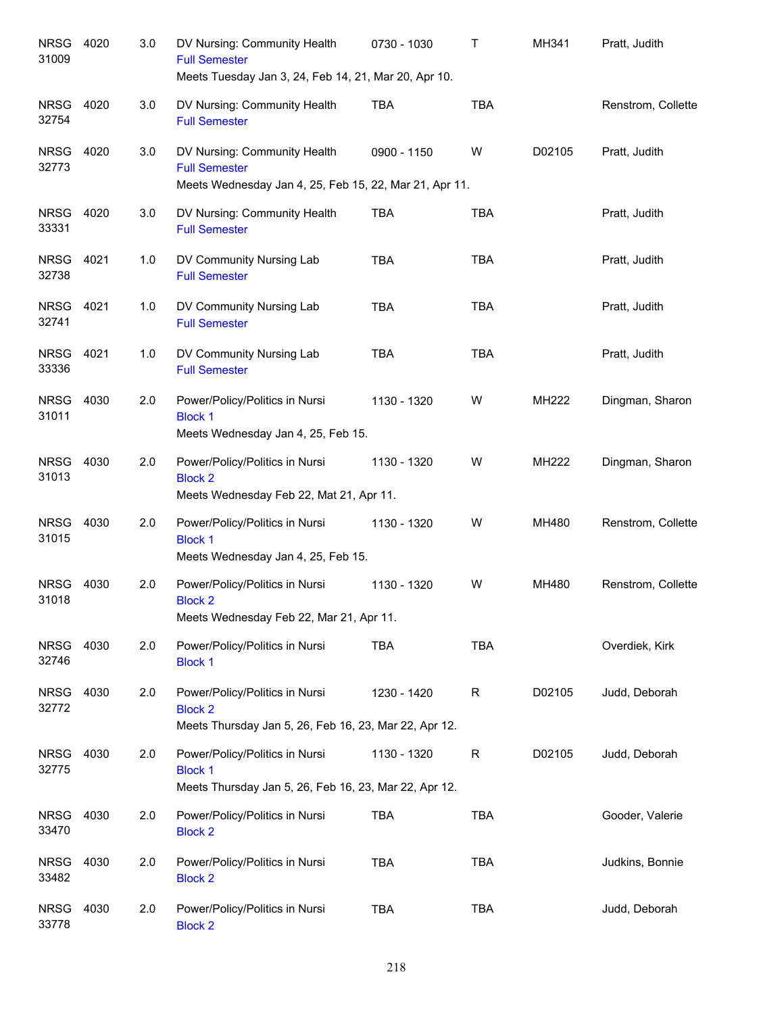| <b>NRSG</b><br>31009 | 4020 | 3.0 | DV Nursing: Community Health<br><b>Full Semester</b><br>Meets Tuesday Jan 3, 24, Feb 14, 21, Mar 20, Apr 10.   | 0730 - 1030 | Т           | MH341  | Pratt, Judith      |
|----------------------|------|-----|----------------------------------------------------------------------------------------------------------------|-------------|-------------|--------|--------------------|
| <b>NRSG</b><br>32754 | 4020 | 3.0 | DV Nursing: Community Health<br><b>Full Semester</b>                                                           | <b>TBA</b>  | <b>TBA</b>  |        | Renstrom, Collette |
| <b>NRSG</b><br>32773 | 4020 | 3.0 | DV Nursing: Community Health<br><b>Full Semester</b><br>Meets Wednesday Jan 4, 25, Feb 15, 22, Mar 21, Apr 11. | 0900 - 1150 | W           | D02105 | Pratt, Judith      |
| <b>NRSG</b><br>33331 | 4020 | 3.0 | DV Nursing: Community Health<br><b>Full Semester</b>                                                           | <b>TBA</b>  | <b>TBA</b>  |        | Pratt, Judith      |
| <b>NRSG</b><br>32738 | 4021 | 1.0 | DV Community Nursing Lab<br><b>Full Semester</b>                                                               | <b>TBA</b>  | <b>TBA</b>  |        | Pratt, Judith      |
| <b>NRSG</b><br>32741 | 4021 | 1.0 | DV Community Nursing Lab<br><b>Full Semester</b>                                                               | <b>TBA</b>  | <b>TBA</b>  |        | Pratt, Judith      |
| <b>NRSG</b><br>33336 | 4021 | 1.0 | DV Community Nursing Lab<br><b>Full Semester</b>                                                               | <b>TBA</b>  | <b>TBA</b>  |        | Pratt, Judith      |
| <b>NRSG</b><br>31011 | 4030 | 2.0 | Power/Policy/Politics in Nursi<br><b>Block 1</b><br>Meets Wednesday Jan 4, 25, Feb 15.                         | 1130 - 1320 | W           | MH222  | Dingman, Sharon    |
| <b>NRSG</b><br>31013 | 4030 | 2.0 | Power/Policy/Politics in Nursi<br><b>Block 2</b><br>Meets Wednesday Feb 22, Mat 21, Apr 11.                    | 1130 - 1320 | W           | MH222  | Dingman, Sharon    |
| <b>NRSG</b><br>31015 | 4030 | 2.0 | Power/Policy/Politics in Nursi<br><b>Block 1</b><br>Meets Wednesday Jan 4, 25, Feb 15.                         | 1130 - 1320 | W           | MH480  | Renstrom, Collette |
| <b>NRSG</b><br>31018 | 4030 | 2.0 | Power/Policy/Politics in Nursi<br><b>Block 2</b><br>Meets Wednesday Feb 22, Mar 21, Apr 11.                    | 1130 - 1320 | W           | MH480  | Renstrom, Collette |
| <b>NRSG</b><br>32746 | 4030 | 2.0 | Power/Policy/Politics in Nursi<br><b>Block 1</b>                                                               | <b>TBA</b>  | <b>TBA</b>  |        | Overdiek, Kirk     |
| <b>NRSG</b><br>32772 | 4030 | 2.0 | Power/Policy/Politics in Nursi<br><b>Block 2</b><br>Meets Thursday Jan 5, 26, Feb 16, 23, Mar 22, Apr 12.      | 1230 - 1420 | $\mathsf R$ | D02105 | Judd, Deborah      |
| <b>NRSG</b><br>32775 | 4030 | 2.0 | Power/Policy/Politics in Nursi<br><b>Block 1</b><br>Meets Thursday Jan 5, 26, Feb 16, 23, Mar 22, Apr 12.      | 1130 - 1320 | $\mathsf R$ | D02105 | Judd, Deborah      |
| <b>NRSG</b><br>33470 | 4030 | 2.0 | Power/Policy/Politics in Nursi<br><b>Block 2</b>                                                               | <b>TBA</b>  | <b>TBA</b>  |        | Gooder, Valerie    |
| <b>NRSG</b><br>33482 | 4030 | 2.0 | Power/Policy/Politics in Nursi<br><b>Block 2</b>                                                               | <b>TBA</b>  | <b>TBA</b>  |        | Judkins, Bonnie    |
| <b>NRSG</b><br>33778 | 4030 | 2.0 | Power/Policy/Politics in Nursi<br><b>Block 2</b>                                                               | <b>TBA</b>  | <b>TBA</b>  |        | Judd, Deborah      |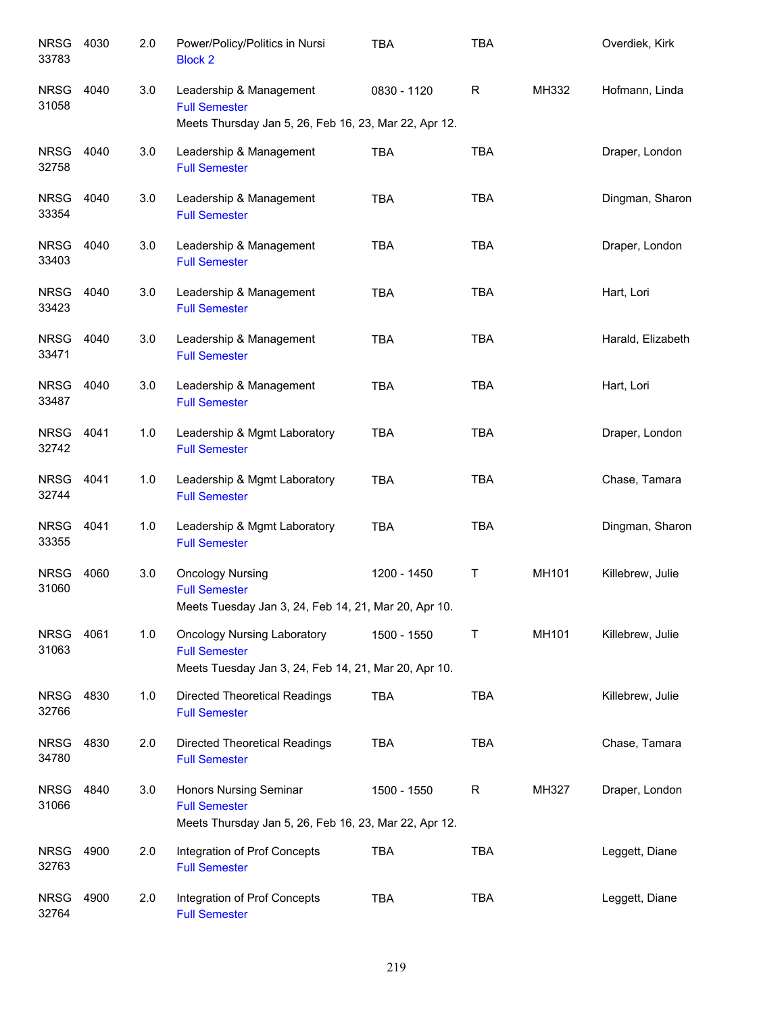| <b>NRSG</b><br>33783 | 4030 | 2.0 | Power/Policy/Politics in Nursi<br><b>Block 2</b>                                                                   | <b>TBA</b>  | <b>TBA</b> |       | Overdiek, Kirk    |
|----------------------|------|-----|--------------------------------------------------------------------------------------------------------------------|-------------|------------|-------|-------------------|
| <b>NRSG</b><br>31058 | 4040 | 3.0 | Leadership & Management<br><b>Full Semester</b><br>Meets Thursday Jan 5, 26, Feb 16, 23, Mar 22, Apr 12.           | 0830 - 1120 | R          | MH332 | Hofmann, Linda    |
| <b>NRSG</b><br>32758 | 4040 | 3.0 | Leadership & Management<br><b>Full Semester</b>                                                                    | TBA         | <b>TBA</b> |       | Draper, London    |
| <b>NRSG</b><br>33354 | 4040 | 3.0 | Leadership & Management<br><b>Full Semester</b>                                                                    | <b>TBA</b>  | <b>TBA</b> |       | Dingman, Sharon   |
| NRSG<br>33403        | 4040 | 3.0 | Leadership & Management<br><b>Full Semester</b>                                                                    | <b>TBA</b>  | <b>TBA</b> |       | Draper, London    |
| <b>NRSG</b><br>33423 | 4040 | 3.0 | Leadership & Management<br><b>Full Semester</b>                                                                    | <b>TBA</b>  | <b>TBA</b> |       | Hart, Lori        |
| <b>NRSG</b><br>33471 | 4040 | 3.0 | Leadership & Management<br><b>Full Semester</b>                                                                    | <b>TBA</b>  | <b>TBA</b> |       | Harald, Elizabeth |
| NRSG 4040<br>33487   |      | 3.0 | Leadership & Management<br><b>Full Semester</b>                                                                    | <b>TBA</b>  | <b>TBA</b> |       | Hart, Lori        |
| NRSG 4041<br>32742   |      | 1.0 | Leadership & Mgmt Laboratory<br><b>Full Semester</b>                                                               | <b>TBA</b>  | <b>TBA</b> |       | Draper, London    |
| <b>NRSG</b><br>32744 | 4041 | 1.0 | Leadership & Mgmt Laboratory<br><b>Full Semester</b>                                                               | <b>TBA</b>  | <b>TBA</b> |       | Chase, Tamara     |
| <b>NRSG</b><br>33355 | 4041 | 1.0 | Leadership & Mgmt Laboratory<br><b>Full Semester</b>                                                               | <b>TBA</b>  | TBA        |       | Dingman, Sharon   |
| <b>NRSG</b><br>31060 | 4060 | 3.0 | <b>Oncology Nursing</b><br><b>Full Semester</b><br>Meets Tuesday Jan 3, 24, Feb 14, 21, Mar 20, Apr 10.            | 1200 - 1450 | Τ          | MH101 | Killebrew, Julie  |
| <b>NRSG</b><br>31063 | 4061 | 1.0 | <b>Oncology Nursing Laboratory</b><br><b>Full Semester</b><br>Meets Tuesday Jan 3, 24, Feb 14, 21, Mar 20, Apr 10. | 1500 - 1550 | Τ          | MH101 | Killebrew, Julie  |
| <b>NRSG</b><br>32766 | 4830 | 1.0 | <b>Directed Theoretical Readings</b><br><b>Full Semester</b>                                                       | <b>TBA</b>  | <b>TBA</b> |       | Killebrew, Julie  |
| <b>NRSG</b><br>34780 | 4830 | 2.0 | <b>Directed Theoretical Readings</b><br><b>Full Semester</b>                                                       | <b>TBA</b>  | <b>TBA</b> |       | Chase, Tamara     |
| <b>NRSG</b><br>31066 | 4840 | 3.0 | Honors Nursing Seminar<br><b>Full Semester</b><br>Meets Thursday Jan 5, 26, Feb 16, 23, Mar 22, Apr 12.            | 1500 - 1550 | R          | MH327 | Draper, London    |
| <b>NRSG</b><br>32763 | 4900 | 2.0 | Integration of Prof Concepts<br><b>Full Semester</b>                                                               | <b>TBA</b>  | <b>TBA</b> |       | Leggett, Diane    |
| <b>NRSG</b><br>32764 | 4900 | 2.0 | Integration of Prof Concepts<br><b>Full Semester</b>                                                               | <b>TBA</b>  | <b>TBA</b> |       | Leggett, Diane    |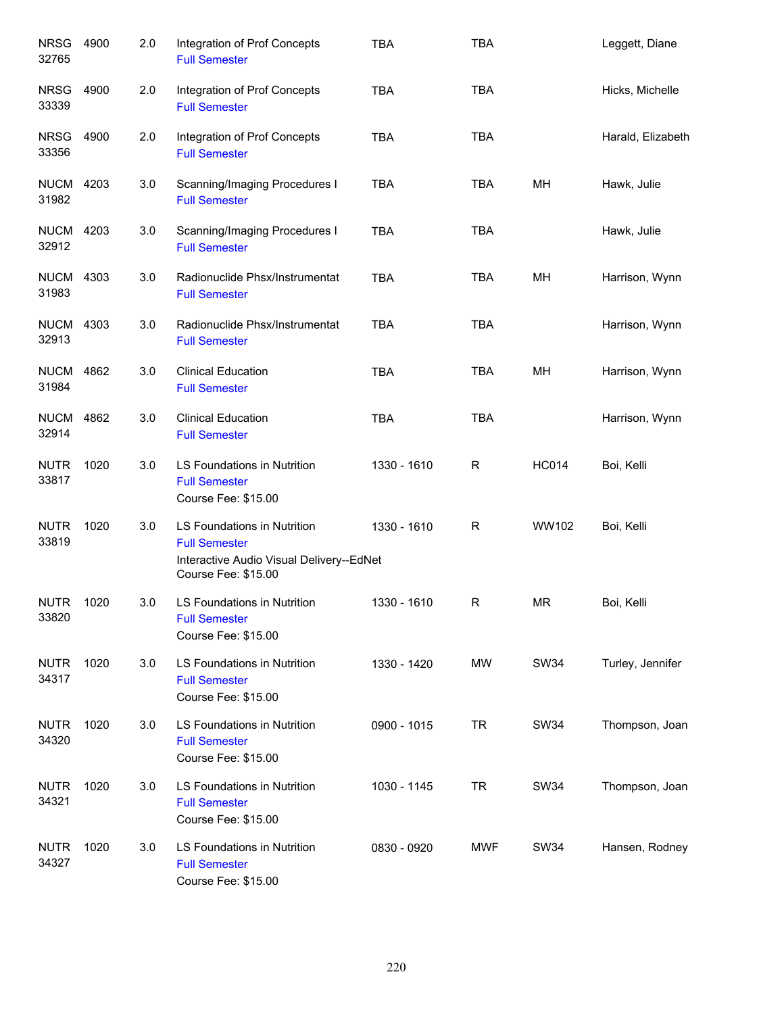| <b>NRSG</b><br>32765      | 4900 | 2.0 | Integration of Prof Concepts<br><b>Full Semester</b>                                                                   | <b>TBA</b>  | <b>TBA</b>   |              | Leggett, Diane    |
|---------------------------|------|-----|------------------------------------------------------------------------------------------------------------------------|-------------|--------------|--------------|-------------------|
| <b>NRSG</b><br>33339      | 4900 | 2.0 | Integration of Prof Concepts<br><b>Full Semester</b>                                                                   | <b>TBA</b>  | <b>TBA</b>   |              | Hicks, Michelle   |
| <b>NRSG</b><br>33356      | 4900 | 2.0 | Integration of Prof Concepts<br><b>Full Semester</b>                                                                   | <b>TBA</b>  | <b>TBA</b>   |              | Harald, Elizabeth |
| <b>NUCM 4203</b><br>31982 |      | 3.0 | Scanning/Imaging Procedures I<br><b>Full Semester</b>                                                                  | <b>TBA</b>  | TBA          | MН           | Hawk, Julie       |
| <b>NUCM 4203</b><br>32912 |      | 3.0 | Scanning/Imaging Procedures I<br><b>Full Semester</b>                                                                  | <b>TBA</b>  | <b>TBA</b>   |              | Hawk, Julie       |
| <b>NUCM 4303</b><br>31983 |      | 3.0 | Radionuclide Phsx/Instrumentat<br><b>Full Semester</b>                                                                 | <b>TBA</b>  | <b>TBA</b>   | MН           | Harrison, Wynn    |
| <b>NUCM 4303</b><br>32913 |      | 3.0 | Radionuclide Phsx/Instrumentat<br><b>Full Semester</b>                                                                 | <b>TBA</b>  | <b>TBA</b>   |              | Harrison, Wynn    |
| <b>NUCM</b><br>31984      | 4862 | 3.0 | <b>Clinical Education</b><br><b>Full Semester</b>                                                                      | <b>TBA</b>  | <b>TBA</b>   | MH           | Harrison, Wynn    |
| <b>NUCM</b><br>32914      | 4862 | 3.0 | <b>Clinical Education</b><br><b>Full Semester</b>                                                                      | <b>TBA</b>  | <b>TBA</b>   |              | Harrison, Wynn    |
| <b>NUTR</b><br>33817      | 1020 | 3.0 | LS Foundations in Nutrition<br><b>Full Semester</b><br>Course Fee: \$15.00                                             | 1330 - 1610 | $\mathsf R$  | <b>HC014</b> | Boi, Kelli        |
| <b>NUTR</b><br>33819      | 1020 | 3.0 | LS Foundations in Nutrition<br><b>Full Semester</b><br>Interactive Audio Visual Delivery--EdNet<br>Course Fee: \$15.00 | 1330 - 1610 | $\mathsf R$  | WW102        | Boi, Kelli        |
| <b>NUTR</b><br>33820      | 1020 | 3.0 | <b>LS Foundations in Nutrition</b><br><b>Full Semester</b><br>Course Fee: \$15.00                                      | 1330 - 1610 | $\mathsf{R}$ | <b>MR</b>    | Boi, Kelli        |
| <b>NUTR</b><br>34317      | 1020 | 3.0 | LS Foundations in Nutrition<br><b>Full Semester</b><br>Course Fee: \$15.00                                             | 1330 - 1420 | MW           | <b>SW34</b>  | Turley, Jennifer  |
| <b>NUTR</b><br>34320      | 1020 | 3.0 | LS Foundations in Nutrition<br><b>Full Semester</b><br>Course Fee: \$15.00                                             | 0900 - 1015 | <b>TR</b>    | <b>SW34</b>  | Thompson, Joan    |
| <b>NUTR</b><br>34321      | 1020 | 3.0 | LS Foundations in Nutrition<br><b>Full Semester</b><br>Course Fee: \$15.00                                             | 1030 - 1145 | <b>TR</b>    | <b>SW34</b>  | Thompson, Joan    |
| <b>NUTR</b><br>34327      | 1020 | 3.0 | LS Foundations in Nutrition<br><b>Full Semester</b><br>Course Fee: \$15.00                                             | 0830 - 0920 | <b>MWF</b>   | <b>SW34</b>  | Hansen, Rodney    |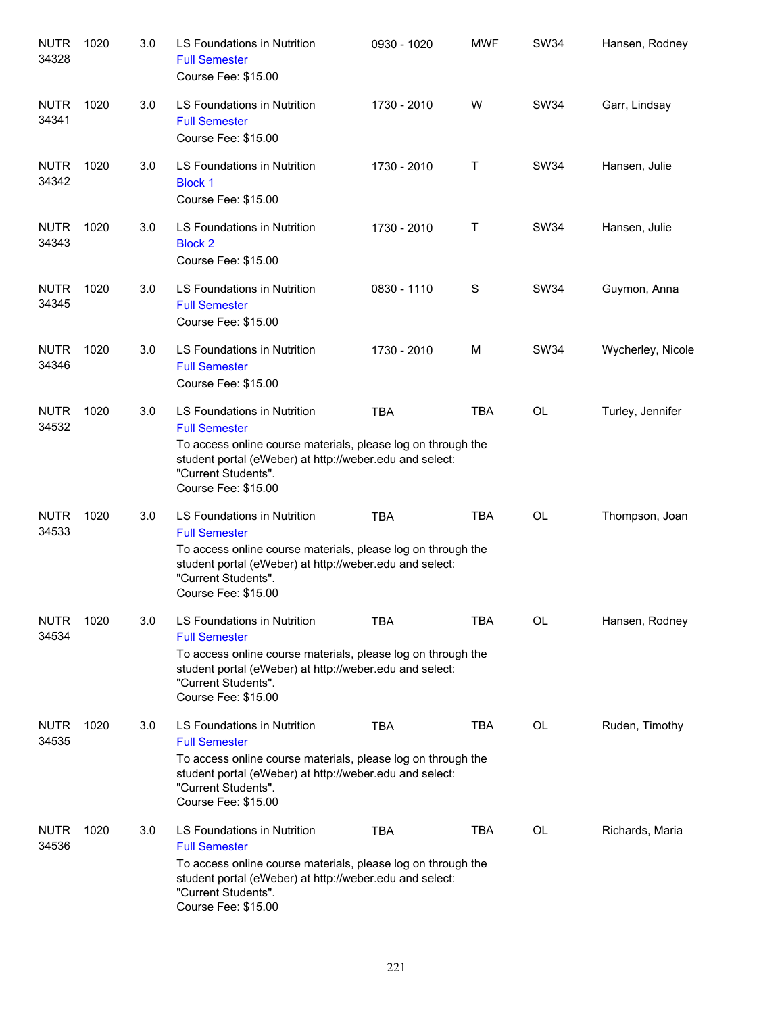| <b>NUTR</b><br>34328 | 1020 | 3.0 | LS Foundations in Nutrition<br><b>Full Semester</b><br>Course Fee: \$15.00                                                                                                                                                   | 0930 - 1020 | <b>MWF</b> | <b>SW34</b> | Hansen, Rodney    |
|----------------------|------|-----|------------------------------------------------------------------------------------------------------------------------------------------------------------------------------------------------------------------------------|-------------|------------|-------------|-------------------|
| <b>NUTR</b><br>34341 | 1020 | 3.0 | LS Foundations in Nutrition<br><b>Full Semester</b><br>Course Fee: \$15.00                                                                                                                                                   | 1730 - 2010 | W          | SW34        | Garr, Lindsay     |
| <b>NUTR</b><br>34342 | 1020 | 3.0 | <b>LS Foundations in Nutrition</b><br><b>Block 1</b><br>Course Fee: \$15.00                                                                                                                                                  | 1730 - 2010 | т          | <b>SW34</b> | Hansen, Julie     |
| <b>NUTR</b><br>34343 | 1020 | 3.0 | LS Foundations in Nutrition<br><b>Block 2</b><br>Course Fee: \$15.00                                                                                                                                                         | 1730 - 2010 | $\top$     | SW34        | Hansen, Julie     |
| <b>NUTR</b><br>34345 | 1020 | 3.0 | LS Foundations in Nutrition<br><b>Full Semester</b><br>Course Fee: \$15.00                                                                                                                                                   | 0830 - 1110 | S          | SW34        | Guymon, Anna      |
| <b>NUTR</b><br>34346 | 1020 | 3.0 | LS Foundations in Nutrition<br><b>Full Semester</b><br>Course Fee: \$15.00                                                                                                                                                   | 1730 - 2010 | M          | SW34        | Wycherley, Nicole |
| <b>NUTR</b><br>34532 | 1020 | 3.0 | LS Foundations in Nutrition<br><b>Full Semester</b><br>To access online course materials, please log on through the<br>student portal (eWeber) at http://weber.edu and select:<br>"Current Students".<br>Course Fee: \$15.00 | <b>TBA</b>  | <b>TBA</b> | <b>OL</b>   | Turley, Jennifer  |
| <b>NUTR</b><br>34533 | 1020 | 3.0 | LS Foundations in Nutrition<br><b>Full Semester</b><br>To access online course materials, please log on through the<br>student portal (eWeber) at http://weber.edu and select:<br>"Current Students".<br>Course Fee: \$15.00 | <b>TBA</b>  | <b>TBA</b> | OL          | Thompson, Joan    |
| <b>NUTR</b><br>34534 | 1020 | 3.0 | LS Foundations in Nutrition<br><b>Full Semester</b><br>To access online course materials, please log on through the<br>student portal (eWeber) at http://weber.edu and select:<br>"Current Students".<br>Course Fee: \$15.00 | TBA         | <b>TBA</b> | OL          | Hansen, Rodney    |
| <b>NUTR</b><br>34535 | 1020 | 3.0 | LS Foundations in Nutrition<br><b>Full Semester</b><br>To access online course materials, please log on through the<br>student portal (eWeber) at http://weber.edu and select:<br>"Current Students".<br>Course Fee: \$15.00 | TBA         | <b>TBA</b> | OL          | Ruden, Timothy    |
| <b>NUTR</b><br>34536 | 1020 | 3.0 | LS Foundations in Nutrition<br><b>Full Semester</b><br>To access online course materials, please log on through the<br>student portal (eWeber) at http://weber.edu and select:<br>"Current Students".<br>Course Fee: \$15.00 | <b>TBA</b>  | <b>TBA</b> | <b>OL</b>   | Richards, Maria   |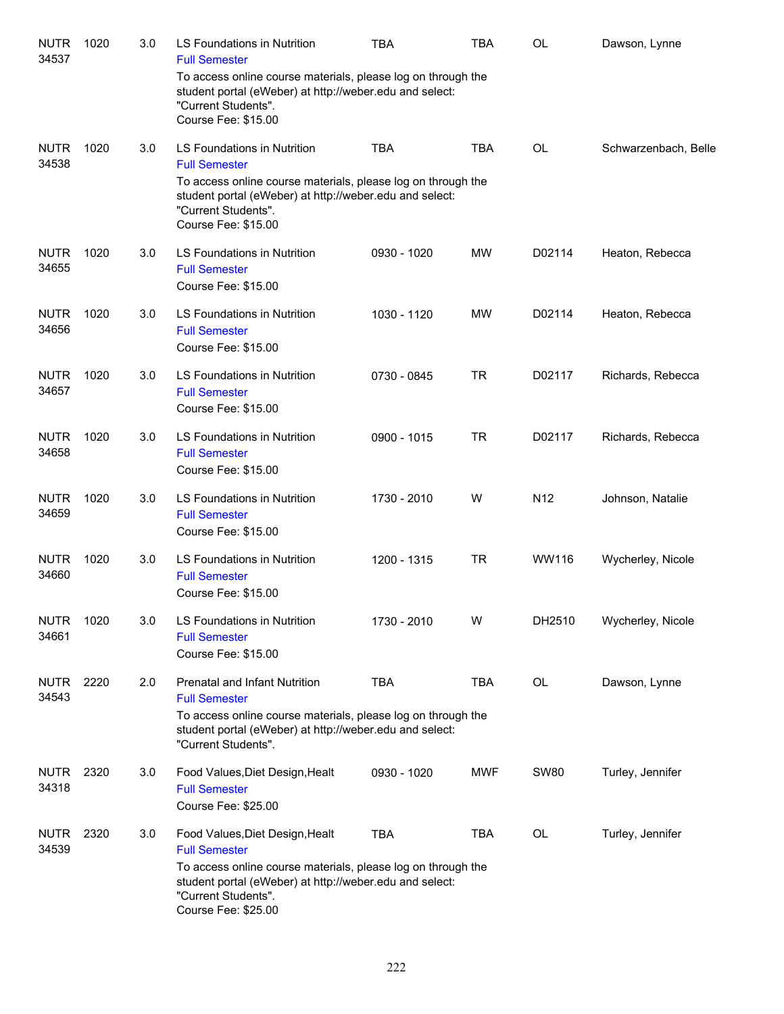| <b>NUTR</b><br>34537 | 1020 | 3.0 | LS Foundations in Nutrition<br><b>Full Semester</b>                                                                                                                   | <b>TBA</b>  | TBA        | OL              | Dawson, Lynne        |
|----------------------|------|-----|-----------------------------------------------------------------------------------------------------------------------------------------------------------------------|-------------|------------|-----------------|----------------------|
|                      |      |     | To access online course materials, please log on through the<br>student portal (eWeber) at http://weber.edu and select:<br>"Current Students".<br>Course Fee: \$15.00 |             |            |                 |                      |
| <b>NUTR</b><br>34538 | 1020 | 3.0 | LS Foundations in Nutrition<br><b>Full Semester</b>                                                                                                                   | <b>TBA</b>  | <b>TBA</b> | <b>OL</b>       | Schwarzenbach, Belle |
|                      |      |     | To access online course materials, please log on through the<br>student portal (eWeber) at http://weber.edu and select:<br>"Current Students".<br>Course Fee: \$15.00 |             |            |                 |                      |
| <b>NUTR</b><br>34655 | 1020 | 3.0 | LS Foundations in Nutrition<br><b>Full Semester</b><br>Course Fee: \$15.00                                                                                            | 0930 - 1020 | MW         | D02114          | Heaton, Rebecca      |
| <b>NUTR</b><br>34656 | 1020 | 3.0 | LS Foundations in Nutrition<br><b>Full Semester</b><br>Course Fee: \$15.00                                                                                            | 1030 - 1120 | MW         | D02114          | Heaton, Rebecca      |
| <b>NUTR</b><br>34657 | 1020 | 3.0 | LS Foundations in Nutrition<br><b>Full Semester</b><br>Course Fee: \$15.00                                                                                            | 0730 - 0845 | <b>TR</b>  | D02117          | Richards, Rebecca    |
| <b>NUTR</b><br>34658 | 1020 | 3.0 | LS Foundations in Nutrition<br><b>Full Semester</b><br>Course Fee: \$15.00                                                                                            | 0900 - 1015 | <b>TR</b>  | D02117          | Richards, Rebecca    |
| <b>NUTR</b><br>34659 | 1020 | 3.0 | LS Foundations in Nutrition<br><b>Full Semester</b><br>Course Fee: \$15.00                                                                                            | 1730 - 2010 | W          | N <sub>12</sub> | Johnson, Natalie     |
| <b>NUTR</b><br>34660 | 1020 | 3.0 | LS Foundations in Nutrition<br><b>Full Semester</b><br>Course Fee: \$15.00                                                                                            | 1200 - 1315 | <b>TR</b>  | WW116           | Wycherley, Nicole    |
| <b>NUTR</b><br>34661 | 1020 | 3.0 | LS Foundations in Nutrition<br><b>Full Semester</b><br>Course Fee: \$15.00                                                                                            | 1730 - 2010 | W          | DH2510          | Wycherley, Nicole    |
| <b>NUTR</b><br>34543 | 2220 | 2.0 | Prenatal and Infant Nutrition<br><b>Full Semester</b>                                                                                                                 | <b>TBA</b>  | <b>TBA</b> | OL              | Dawson, Lynne        |
|                      |      |     | To access online course materials, please log on through the<br>student portal (eWeber) at http://weber.edu and select:<br>"Current Students".                        |             |            |                 |                      |
| <b>NUTR</b><br>34318 | 2320 | 3.0 | Food Values, Diet Design, Healt<br><b>Full Semester</b><br>Course Fee: \$25.00                                                                                        | 0930 - 1020 | <b>MWF</b> | <b>SW80</b>     | Turley, Jennifer     |
| <b>NUTR</b><br>34539 | 2320 | 3.0 | Food Values, Diet Design, Healt<br><b>Full Semester</b>                                                                                                               | <b>TBA</b>  | <b>TBA</b> | OL              | Turley, Jennifer     |
|                      |      |     | To access online course materials, please log on through the<br>student portal (eWeber) at http://weber.edu and select:<br>"Current Students".<br>Course Fee: \$25.00 |             |            |                 |                      |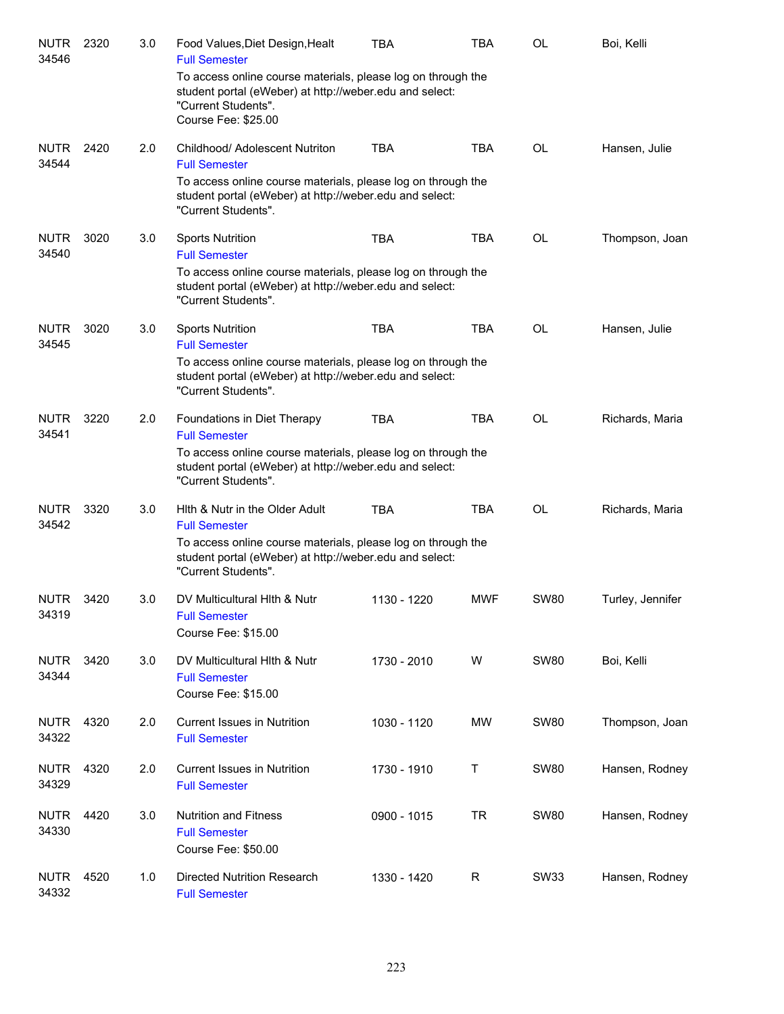| <b>NUTR</b><br>34546 | 2320 | 3.0 | Food Values, Diet Design, Healt<br><b>Full Semester</b>                                                                                                               | TBA         | TBA        | <b>OL</b>   | Boi, Kelli       |
|----------------------|------|-----|-----------------------------------------------------------------------------------------------------------------------------------------------------------------------|-------------|------------|-------------|------------------|
|                      |      |     | To access online course materials, please log on through the<br>student portal (eWeber) at http://weber.edu and select:<br>"Current Students".<br>Course Fee: \$25.00 |             |            |             |                  |
| <b>NUTR</b><br>34544 | 2420 | 2.0 | Childhood/ Adolescent Nutriton<br><b>Full Semester</b>                                                                                                                | <b>TBA</b>  | <b>TBA</b> | <b>OL</b>   | Hansen, Julie    |
|                      |      |     | To access online course materials, please log on through the<br>student portal (eWeber) at http://weber.edu and select:<br>"Current Students".                        |             |            |             |                  |
| <b>NUTR</b><br>34540 | 3020 | 3.0 | <b>Sports Nutrition</b><br><b>Full Semester</b>                                                                                                                       | <b>TBA</b>  | <b>TBA</b> | <b>OL</b>   | Thompson, Joan   |
|                      |      |     | To access online course materials, please log on through the<br>student portal (eWeber) at http://weber.edu and select:<br>"Current Students".                        |             |            |             |                  |
| <b>NUTR</b><br>34545 | 3020 | 3.0 | <b>Sports Nutrition</b><br><b>Full Semester</b>                                                                                                                       | <b>TBA</b>  | <b>TBA</b> | <b>OL</b>   | Hansen, Julie    |
|                      |      |     | To access online course materials, please log on through the<br>student portal (eWeber) at http://weber.edu and select:<br>"Current Students".                        |             |            |             |                  |
| <b>NUTR</b><br>34541 | 3220 | 2.0 | Foundations in Diet Therapy<br><b>Full Semester</b>                                                                                                                   | <b>TBA</b>  | <b>TBA</b> | <b>OL</b>   | Richards, Maria  |
|                      |      |     | To access online course materials, please log on through the<br>student portal (eWeber) at http://weber.edu and select:<br>"Current Students".                        |             |            |             |                  |
| <b>NUTR</b><br>34542 | 3320 | 3.0 | Hith & Nutr in the Older Adult<br><b>Full Semester</b>                                                                                                                | <b>TBA</b>  | <b>TBA</b> | <b>OL</b>   | Richards, Maria  |
|                      |      |     | To access online course materials, please log on through the<br>student portal (eWeber) at http://weber.edu and select:<br>"Current Students".                        |             |            |             |                  |
| <b>NUTR</b><br>34319 | 3420 | 3.0 | DV Multicultural Hith & Nutr<br><b>Full Semester</b><br>Course Fee: \$15.00                                                                                           | 1130 - 1220 | <b>MWF</b> | SW80        | Turley, Jennifer |
| <b>NUTR</b><br>34344 | 3420 | 3.0 | DV Multicultural Hith & Nutr<br><b>Full Semester</b><br>Course Fee: \$15.00                                                                                           | 1730 - 2010 | W          | <b>SW80</b> | Boi, Kelli       |
| <b>NUTR</b><br>34322 | 4320 | 2.0 | <b>Current Issues in Nutrition</b><br><b>Full Semester</b>                                                                                                            | 1030 - 1120 | МW         | <b>SW80</b> | Thompson, Joan   |
| <b>NUTR</b><br>34329 | 4320 | 2.0 | <b>Current Issues in Nutrition</b><br><b>Full Semester</b>                                                                                                            | 1730 - 1910 | т          | <b>SW80</b> | Hansen, Rodney   |
| <b>NUTR</b><br>34330 | 4420 | 3.0 | <b>Nutrition and Fitness</b><br><b>Full Semester</b><br>Course Fee: \$50.00                                                                                           | 0900 - 1015 | <b>TR</b>  | <b>SW80</b> | Hansen, Rodney   |
| <b>NUTR</b><br>34332 | 4520 | 1.0 | <b>Directed Nutrition Research</b><br><b>Full Semester</b>                                                                                                            | 1330 - 1420 | R          | <b>SW33</b> | Hansen, Rodney   |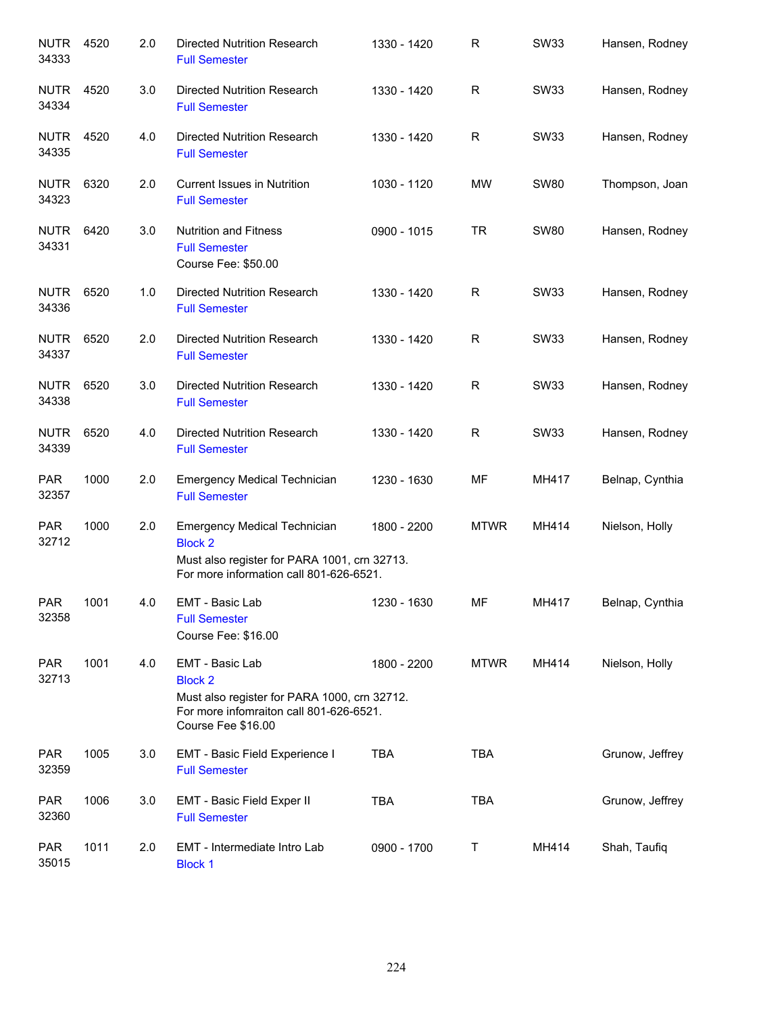| <b>NUTR</b><br>34333 | 4520 | 2.0 | <b>Directed Nutrition Research</b><br><b>Full Semester</b>                                                                                         | 1330 - 1420 | R           | <b>SW33</b> | Hansen, Rodney  |
|----------------------|------|-----|----------------------------------------------------------------------------------------------------------------------------------------------------|-------------|-------------|-------------|-----------------|
| <b>NUTR</b><br>34334 | 4520 | 3.0 | Directed Nutrition Research<br><b>Full Semester</b>                                                                                                | 1330 - 1420 | R           | SW33        | Hansen, Rodney  |
| <b>NUTR</b><br>34335 | 4520 | 4.0 | Directed Nutrition Research<br><b>Full Semester</b>                                                                                                | 1330 - 1420 | R           | <b>SW33</b> | Hansen, Rodney  |
| <b>NUTR</b><br>34323 | 6320 | 2.0 | <b>Current Issues in Nutrition</b><br><b>Full Semester</b>                                                                                         | 1030 - 1120 | <b>MW</b>   | <b>SW80</b> | Thompson, Joan  |
| <b>NUTR</b><br>34331 | 6420 | 3.0 | <b>Nutrition and Fitness</b><br><b>Full Semester</b><br>Course Fee: \$50.00                                                                        | 0900 - 1015 | <b>TR</b>   | <b>SW80</b> | Hansen, Rodney  |
| <b>NUTR</b><br>34336 | 6520 | 1.0 | <b>Directed Nutrition Research</b><br><b>Full Semester</b>                                                                                         | 1330 - 1420 | R           | <b>SW33</b> | Hansen, Rodney  |
| <b>NUTR</b><br>34337 | 6520 | 2.0 | Directed Nutrition Research<br><b>Full Semester</b>                                                                                                | 1330 - 1420 | R           | <b>SW33</b> | Hansen, Rodney  |
| <b>NUTR</b><br>34338 | 6520 | 3.0 | <b>Directed Nutrition Research</b><br><b>Full Semester</b>                                                                                         | 1330 - 1420 | R           | <b>SW33</b> | Hansen, Rodney  |
| <b>NUTR</b><br>34339 | 6520 | 4.0 | <b>Directed Nutrition Research</b><br><b>Full Semester</b>                                                                                         | 1330 - 1420 | R           | <b>SW33</b> | Hansen, Rodney  |
| <b>PAR</b><br>32357  | 1000 | 2.0 | <b>Emergency Medical Technician</b><br><b>Full Semester</b>                                                                                        | 1230 - 1630 | MF          | MH417       | Belnap, Cynthia |
| <b>PAR</b><br>32712  | 1000 | 2.0 | <b>Emergency Medical Technician</b><br><b>Block 2</b><br>Must also register for PARA 1001, crn 32713.<br>For more information call 801-626-6521.   | 1800 - 2200 | <b>MTWR</b> | MH414       | Nielson, Holly  |
| <b>PAR</b><br>32358  | 1001 | 4.0 | <b>EMT - Basic Lab</b><br><b>Full Semester</b><br>Course Fee: \$16.00                                                                              | 1230 - 1630 | MF          | MH417       | Belnap, Cynthia |
| <b>PAR</b><br>32713  | 1001 | 4.0 | EMT - Basic Lab<br><b>Block 2</b><br>Must also register for PARA 1000, crn 32712.<br>For more infomraiton call 801-626-6521.<br>Course Fee \$16.00 | 1800 - 2200 | <b>MTWR</b> | MH414       | Nielson, Holly  |
| <b>PAR</b><br>32359  | 1005 | 3.0 | EMT - Basic Field Experience I<br><b>Full Semester</b>                                                                                             | <b>TBA</b>  | <b>TBA</b>  |             | Grunow, Jeffrey |
| <b>PAR</b><br>32360  | 1006 | 3.0 | EMT - Basic Field Exper II<br><b>Full Semester</b>                                                                                                 | <b>TBA</b>  | <b>TBA</b>  |             | Grunow, Jeffrey |
| <b>PAR</b><br>35015  | 1011 | 2.0 | EMT - Intermediate Intro Lab<br><b>Block 1</b>                                                                                                     | 0900 - 1700 | Τ           | MH414       | Shah, Taufiq    |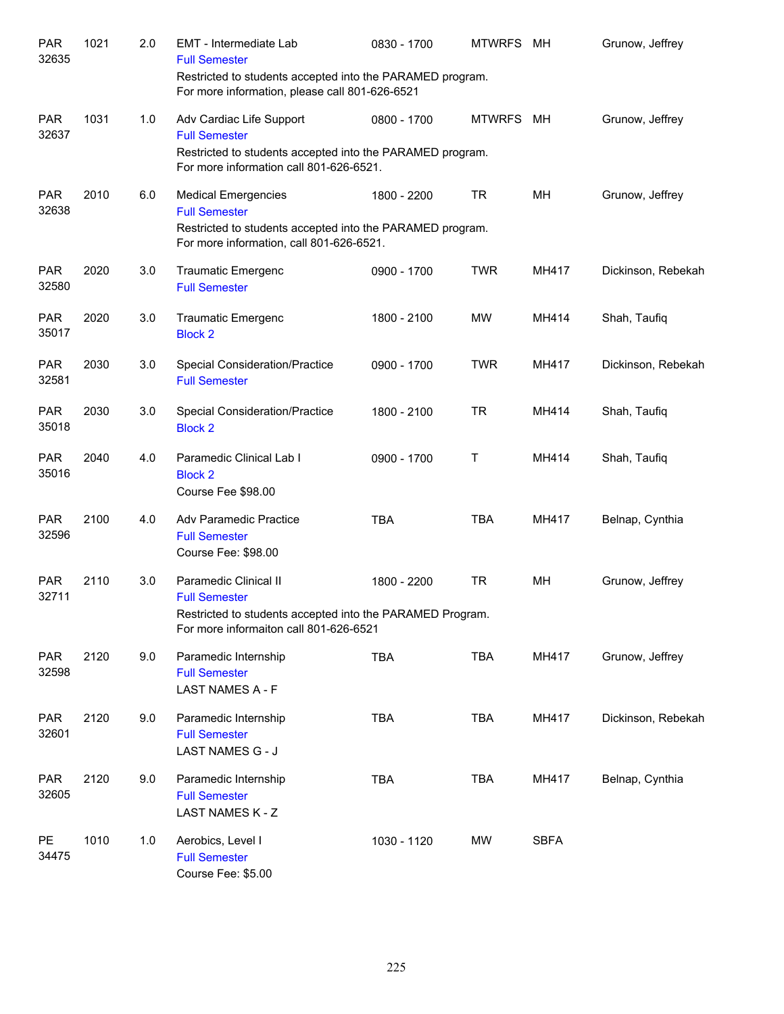| <b>PAR</b><br>32635 | 1021 | 2.0 | EMT - Intermediate Lab<br><b>Full Semester</b><br>Restricted to students accepted into the PARAMED program.<br>For more information, please call 801-626-6521 | 0830 - 1700 | <b>MTWRFS</b> | MН          | Grunow, Jeffrey    |
|---------------------|------|-----|---------------------------------------------------------------------------------------------------------------------------------------------------------------|-------------|---------------|-------------|--------------------|
| <b>PAR</b><br>32637 | 1031 | 1.0 | Adv Cardiac Life Support<br><b>Full Semester</b><br>Restricted to students accepted into the PARAMED program.<br>For more information call 801-626-6521.      | 0800 - 1700 | <b>MTWRFS</b> | MН          | Grunow, Jeffrey    |
| <b>PAR</b><br>32638 | 2010 | 6.0 | <b>Medical Emergencies</b><br><b>Full Semester</b><br>Restricted to students accepted into the PARAMED program.<br>For more information, call 801-626-6521.   | 1800 - 2200 | <b>TR</b>     | MH          | Grunow, Jeffrey    |
| <b>PAR</b><br>32580 | 2020 | 3.0 | <b>Traumatic Emergenc</b><br><b>Full Semester</b>                                                                                                             | 0900 - 1700 | <b>TWR</b>    | MH417       | Dickinson, Rebekah |
| <b>PAR</b><br>35017 | 2020 | 3.0 | <b>Traumatic Emergenc</b><br><b>Block 2</b>                                                                                                                   | 1800 - 2100 | MW            | MH414       | Shah, Taufiq       |
| <b>PAR</b><br>32581 | 2030 | 3.0 | <b>Special Consideration/Practice</b><br><b>Full Semester</b>                                                                                                 | 0900 - 1700 | <b>TWR</b>    | MH417       | Dickinson, Rebekah |
| <b>PAR</b><br>35018 | 2030 | 3.0 | <b>Special Consideration/Practice</b><br><b>Block 2</b>                                                                                                       | 1800 - 2100 | <b>TR</b>     | MH414       | Shah, Taufiq       |
| <b>PAR</b><br>35016 | 2040 | 4.0 | Paramedic Clinical Lab I<br><b>Block 2</b><br>Course Fee \$98.00                                                                                              | 0900 - 1700 | T             | MH414       | Shah, Taufiq       |
| <b>PAR</b><br>32596 | 2100 | 4.0 | Adv Paramedic Practice<br><b>Full Semester</b><br>Course Fee: \$98.00                                                                                         | <b>TBA</b>  | <b>TBA</b>    | MH417       | Belnap, Cynthia    |
| <b>PAR</b><br>32711 | 2110 | 3.0 | Paramedic Clinical II<br><b>Full Semester</b><br>Restricted to students accepted into the PARAMED Program.<br>For more informaiton call 801-626-6521          | 1800 - 2200 | <b>TR</b>     | MН          | Grunow, Jeffrey    |
| <b>PAR</b><br>32598 | 2120 | 9.0 | Paramedic Internship<br><b>Full Semester</b><br>LAST NAMES A - F                                                                                              | <b>TBA</b>  | <b>TBA</b>    | MH417       | Grunow, Jeffrey    |
| <b>PAR</b><br>32601 | 2120 | 9.0 | Paramedic Internship<br><b>Full Semester</b><br>LAST NAMES G - J                                                                                              | <b>TBA</b>  | <b>TBA</b>    | MH417       | Dickinson, Rebekah |
| <b>PAR</b><br>32605 | 2120 | 9.0 | Paramedic Internship<br><b>Full Semester</b><br>LAST NAMES K - Z                                                                                              | <b>TBA</b>  | <b>TBA</b>    | MH417       | Belnap, Cynthia    |
| <b>PE</b><br>34475  | 1010 | 1.0 | Aerobics, Level I<br><b>Full Semester</b><br>Course Fee: \$5.00                                                                                               | 1030 - 1120 | MW            | <b>SBFA</b> |                    |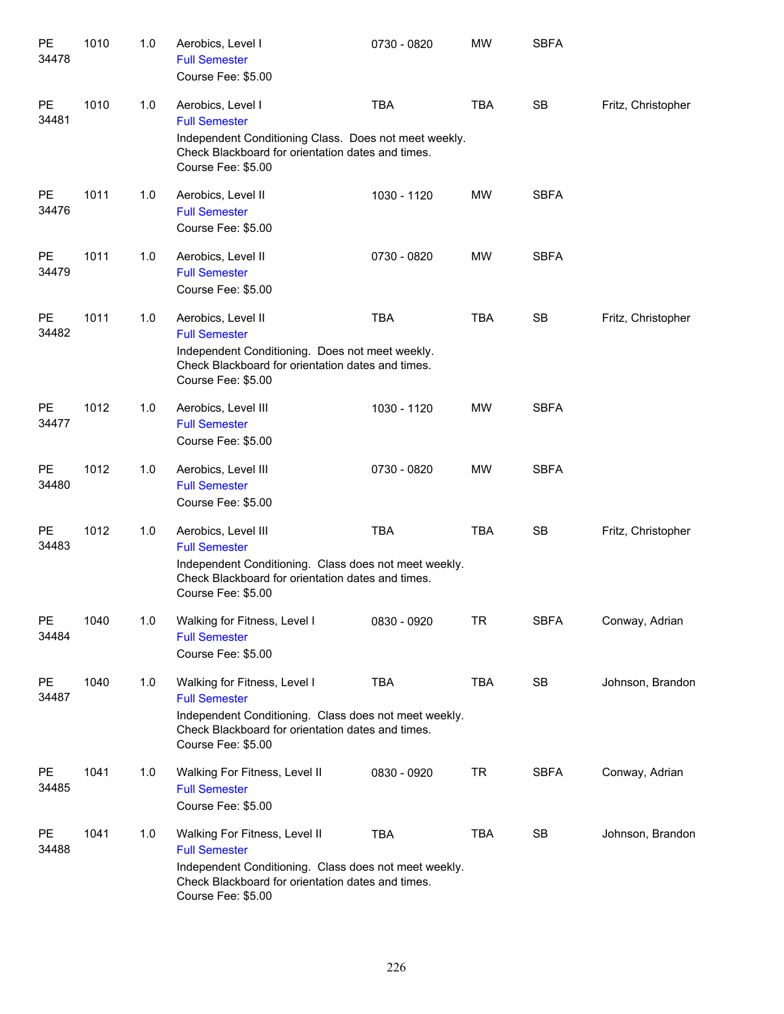| PE<br>34478            | 1010 | 1.0 | Aerobics, Level I<br><b>Full Semester</b><br>Course Fee: \$5.00                                                                                                                           | 0730 - 0820 | <b>MW</b>  | <b>SBFA</b> |                    |
|------------------------|------|-----|-------------------------------------------------------------------------------------------------------------------------------------------------------------------------------------------|-------------|------------|-------------|--------------------|
| <b>PE</b><br>34481     | 1010 | 1.0 | Aerobics, Level I<br><b>Full Semester</b><br>Independent Conditioning Class. Does not meet weekly.<br>Check Blackboard for orientation dates and times.<br>Course Fee: \$5.00             | <b>TBA</b>  | <b>TBA</b> | <b>SB</b>   | Fritz, Christopher |
| <b>PE</b><br>34476     | 1011 | 1.0 | Aerobics, Level II<br><b>Full Semester</b><br>Course Fee: \$5.00                                                                                                                          | 1030 - 1120 | <b>MW</b>  | <b>SBFA</b> |                    |
| <b>PE</b><br>34479     | 1011 | 1.0 | Aerobics, Level II<br><b>Full Semester</b><br>Course Fee: \$5.00                                                                                                                          | 0730 - 0820 | <b>MW</b>  | <b>SBFA</b> |                    |
| <b>PE</b><br>34482     | 1011 | 1.0 | Aerobics, Level II<br><b>Full Semester</b><br>Independent Conditioning. Does not meet weekly.<br>Check Blackboard for orientation dates and times.<br>Course Fee: \$5.00                  | <b>TBA</b>  | <b>TBA</b> | <b>SB</b>   | Fritz, Christopher |
| PE<br>34477            | 1012 | 1.0 | Aerobics, Level III<br><b>Full Semester</b><br>Course Fee: \$5.00                                                                                                                         | 1030 - 1120 | <b>MW</b>  | <b>SBFA</b> |                    |
| PE<br>34480            | 1012 | 1.0 | Aerobics, Level III<br><b>Full Semester</b><br>Course Fee: \$5.00                                                                                                                         | 0730 - 0820 | <b>MW</b>  | <b>SBFA</b> |                    |
| $\mathsf{PE}$<br>34483 | 1012 | 1.0 | Aerobics, Level III<br><b>Full Semester</b><br>Independent Conditioning. Class does not meet weekly.<br>Check Blackboard for orientation dates and times.<br>Course Fee: \$5.00           | <b>TBA</b>  | <b>TBA</b> | <b>SB</b>   | Fritz, Christopher |
| PE<br>34484            | 1040 | 1.0 | Walking for Fitness, Level I<br><b>Full Semester</b><br>Course Fee: \$5.00                                                                                                                | 0830 - 0920 | <b>TR</b>  | <b>SBFA</b> | Conway, Adrian     |
| PE<br>34487            | 1040 | 1.0 | Walking for Fitness, Level I<br><b>Full Semester</b><br>Independent Conditioning. Class does not meet weekly.<br>Check Blackboard for orientation dates and times.<br>Course Fee: \$5.00  | <b>TBA</b>  | <b>TBA</b> | SB          | Johnson, Brandon   |
| PE<br>34485            | 1041 | 1.0 | Walking For Fitness, Level II<br><b>Full Semester</b><br>Course Fee: \$5.00                                                                                                               | 0830 - 0920 | TR         | <b>SBFA</b> | Conway, Adrian     |
| PE<br>34488            | 1041 | 1.0 | Walking For Fitness, Level II<br><b>Full Semester</b><br>Independent Conditioning. Class does not meet weekly.<br>Check Blackboard for orientation dates and times.<br>Course Fee: \$5.00 | <b>TBA</b>  | <b>TBA</b> | SB          | Johnson, Brandon   |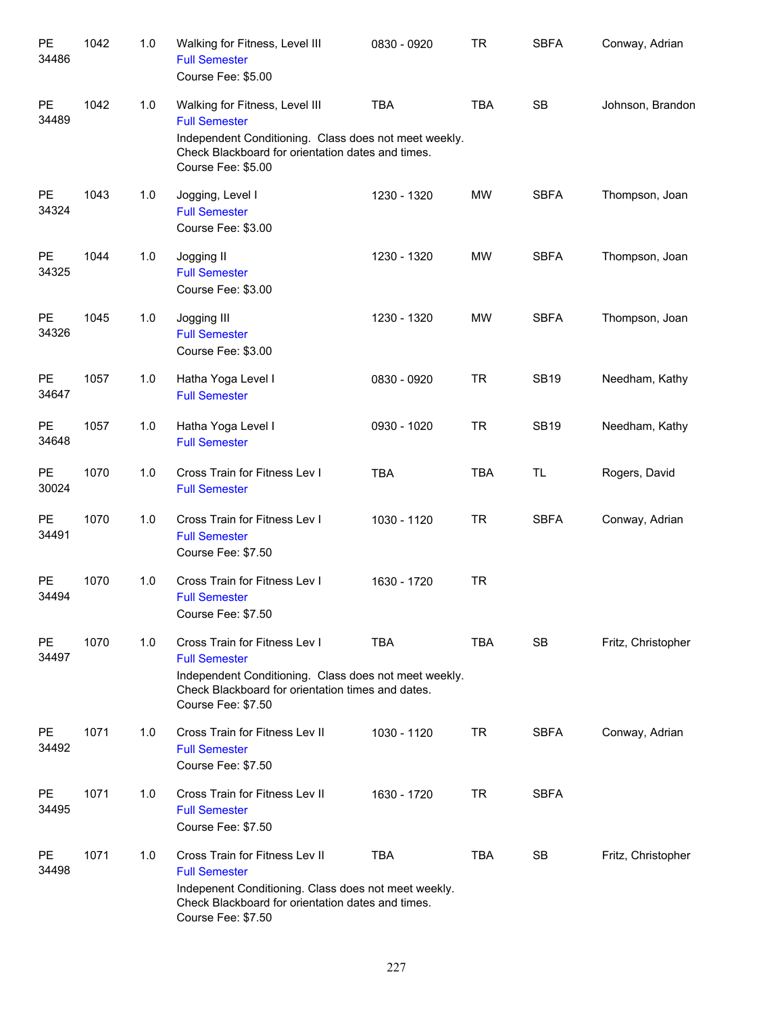| PE<br>34486        | 1042 | 1.0 | Walking for Fitness, Level III<br><b>Full Semester</b><br>Course Fee: \$5.00                                                                                                               | 0830 - 0920 | <b>TR</b>  | <b>SBFA</b> | Conway, Adrian     |
|--------------------|------|-----|--------------------------------------------------------------------------------------------------------------------------------------------------------------------------------------------|-------------|------------|-------------|--------------------|
| PE<br>34489        | 1042 | 1.0 | Walking for Fitness, Level III<br><b>Full Semester</b><br>Independent Conditioning. Class does not meet weekly.<br>Check Blackboard for orientation dates and times.<br>Course Fee: \$5.00 | <b>TBA</b>  | <b>TBA</b> | <b>SB</b>   | Johnson, Brandon   |
| <b>PE</b><br>34324 | 1043 | 1.0 | Jogging, Level I<br><b>Full Semester</b><br>Course Fee: \$3.00                                                                                                                             | 1230 - 1320 | <b>MW</b>  | <b>SBFA</b> | Thompson, Joan     |
| <b>PE</b><br>34325 | 1044 | 1.0 | Jogging II<br><b>Full Semester</b><br>Course Fee: \$3.00                                                                                                                                   | 1230 - 1320 | <b>MW</b>  | <b>SBFA</b> | Thompson, Joan     |
| <b>PE</b><br>34326 | 1045 | 1.0 | Jogging III<br><b>Full Semester</b><br>Course Fee: \$3.00                                                                                                                                  | 1230 - 1320 | <b>MW</b>  | <b>SBFA</b> | Thompson, Joan     |
| <b>PE</b><br>34647 | 1057 | 1.0 | Hatha Yoga Level I<br><b>Full Semester</b>                                                                                                                                                 | 0830 - 0920 | <b>TR</b>  | <b>SB19</b> | Needham, Kathy     |
| <b>PE</b><br>34648 | 1057 | 1.0 | Hatha Yoga Level I<br><b>Full Semester</b>                                                                                                                                                 | 0930 - 1020 | <b>TR</b>  | <b>SB19</b> | Needham, Kathy     |
| <b>PE</b><br>30024 | 1070 | 1.0 | Cross Train for Fitness Lev I<br><b>Full Semester</b>                                                                                                                                      | <b>TBA</b>  | <b>TBA</b> | <b>TL</b>   | Rogers, David      |
| PE<br>34491        | 1070 | 1.0 | Cross Train for Fitness Lev I<br><b>Full Semester</b><br>Course Fee: \$7.50                                                                                                                | 1030 - 1120 | <b>TR</b>  | <b>SBFA</b> | Conway, Adrian     |
| PE<br>34494        | 1070 | 1.0 | Cross Train for Fitness Lev I<br><b>Full Semester</b><br>Course Fee: \$7.50                                                                                                                | 1630 - 1720 | <b>TR</b>  |             |                    |
| PE<br>34497        | 1070 | 1.0 | Cross Train for Fitness Lev I<br><b>Full Semester</b><br>Independent Conditioning. Class does not meet weekly.<br>Check Blackboard for orientation times and dates.<br>Course Fee: \$7.50  | <b>TBA</b>  | TBA        | <b>SB</b>   | Fritz, Christopher |
| <b>PE</b><br>34492 | 1071 | 1.0 | Cross Train for Fitness Lev II<br><b>Full Semester</b><br>Course Fee: \$7.50                                                                                                               | 1030 - 1120 | <b>TR</b>  | <b>SBFA</b> | Conway, Adrian     |
| <b>PE</b><br>34495 | 1071 | 1.0 | Cross Train for Fitness Lev II<br><b>Full Semester</b><br>Course Fee: \$7.50                                                                                                               | 1630 - 1720 | <b>TR</b>  | <b>SBFA</b> |                    |
| <b>PE</b><br>34498 | 1071 | 1.0 | Cross Train for Fitness Lev II<br><b>Full Semester</b><br>Indepenent Conditioning. Class does not meet weekly.<br>Check Blackboard for orientation dates and times.<br>Course Fee: \$7.50  | TBA         | <b>TBA</b> | <b>SB</b>   | Fritz, Christopher |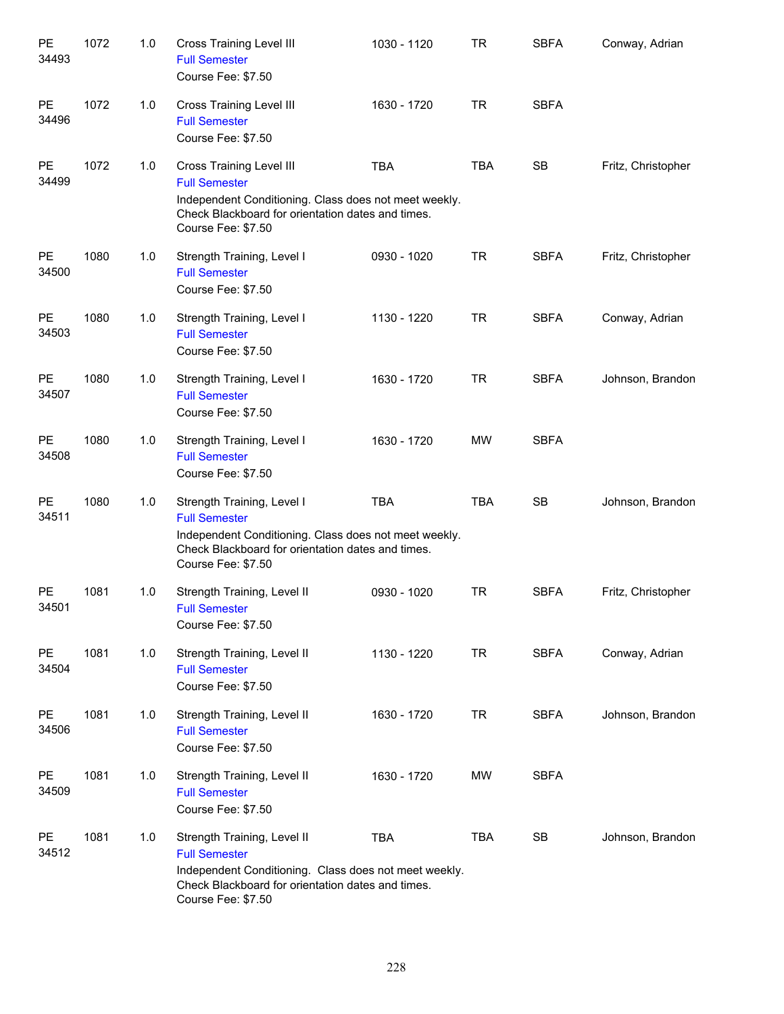| PE<br>34493        | 1072 | 1.0 | <b>Cross Training Level III</b><br><b>Full Semester</b><br>Course Fee: \$7.50                                                                                                               | 1030 - 1120 | <b>TR</b>  | <b>SBFA</b> | Conway, Adrian     |
|--------------------|------|-----|---------------------------------------------------------------------------------------------------------------------------------------------------------------------------------------------|-------------|------------|-------------|--------------------|
| PE<br>34496        | 1072 | 1.0 | <b>Cross Training Level III</b><br><b>Full Semester</b><br>Course Fee: \$7.50                                                                                                               | 1630 - 1720 | <b>TR</b>  | <b>SBFA</b> |                    |
| PE<br>34499        | 1072 | 1.0 | <b>Cross Training Level III</b><br><b>Full Semester</b><br>Independent Conditioning. Class does not meet weekly.<br>Check Blackboard for orientation dates and times.<br>Course Fee: \$7.50 | <b>TBA</b>  | <b>TBA</b> | <b>SB</b>   | Fritz, Christopher |
| PE<br>34500        | 1080 | 1.0 | Strength Training, Level I<br><b>Full Semester</b><br>Course Fee: \$7.50                                                                                                                    | 0930 - 1020 | <b>TR</b>  | <b>SBFA</b> | Fritz, Christopher |
| <b>PE</b><br>34503 | 1080 | 1.0 | Strength Training, Level I<br><b>Full Semester</b><br>Course Fee: \$7.50                                                                                                                    | 1130 - 1220 | <b>TR</b>  | <b>SBFA</b> | Conway, Adrian     |
| <b>PE</b><br>34507 | 1080 | 1.0 | Strength Training, Level I<br><b>Full Semester</b><br>Course Fee: \$7.50                                                                                                                    | 1630 - 1720 | <b>TR</b>  | <b>SBFA</b> | Johnson, Brandon   |
| PE<br>34508        | 1080 | 1.0 | Strength Training, Level I<br><b>Full Semester</b><br>Course Fee: \$7.50                                                                                                                    | 1630 - 1720 | <b>MW</b>  | <b>SBFA</b> |                    |
| <b>PE</b><br>34511 | 1080 | 1.0 | Strength Training, Level I<br><b>Full Semester</b><br>Independent Conditioning. Class does not meet weekly.<br>Check Blackboard for orientation dates and times.<br>Course Fee: \$7.50      | <b>TBA</b>  | <b>TBA</b> | <b>SB</b>   | Johnson, Brandon   |
| PE<br>34501        | 1081 | 1.0 | Strength Training, Level II<br><b>Full Semester</b><br>Course Fee: \$7.50                                                                                                                   | 0930 - 1020 | <b>TR</b>  | <b>SBFA</b> | Fritz, Christopher |
| <b>PE</b><br>34504 | 1081 | 1.0 | Strength Training, Level II<br><b>Full Semester</b><br>Course Fee: \$7.50                                                                                                                   | 1130 - 1220 | <b>TR</b>  | <b>SBFA</b> | Conway, Adrian     |
| <b>PE</b><br>34506 | 1081 | 1.0 | Strength Training, Level II<br><b>Full Semester</b><br>Course Fee: \$7.50                                                                                                                   | 1630 - 1720 | <b>TR</b>  | <b>SBFA</b> | Johnson, Brandon   |
| <b>PE</b><br>34509 | 1081 | 1.0 | Strength Training, Level II<br><b>Full Semester</b><br>Course Fee: \$7.50                                                                                                                   | 1630 - 1720 | <b>MW</b>  | <b>SBFA</b> |                    |
| <b>PE</b><br>34512 | 1081 | 1.0 | Strength Training, Level II<br><b>Full Semester</b><br>Independent Conditioning. Class does not meet weekly.<br>Check Blackboard for orientation dates and times.<br>Course Fee: \$7.50     | <b>TBA</b>  | <b>TBA</b> | SB          | Johnson, Brandon   |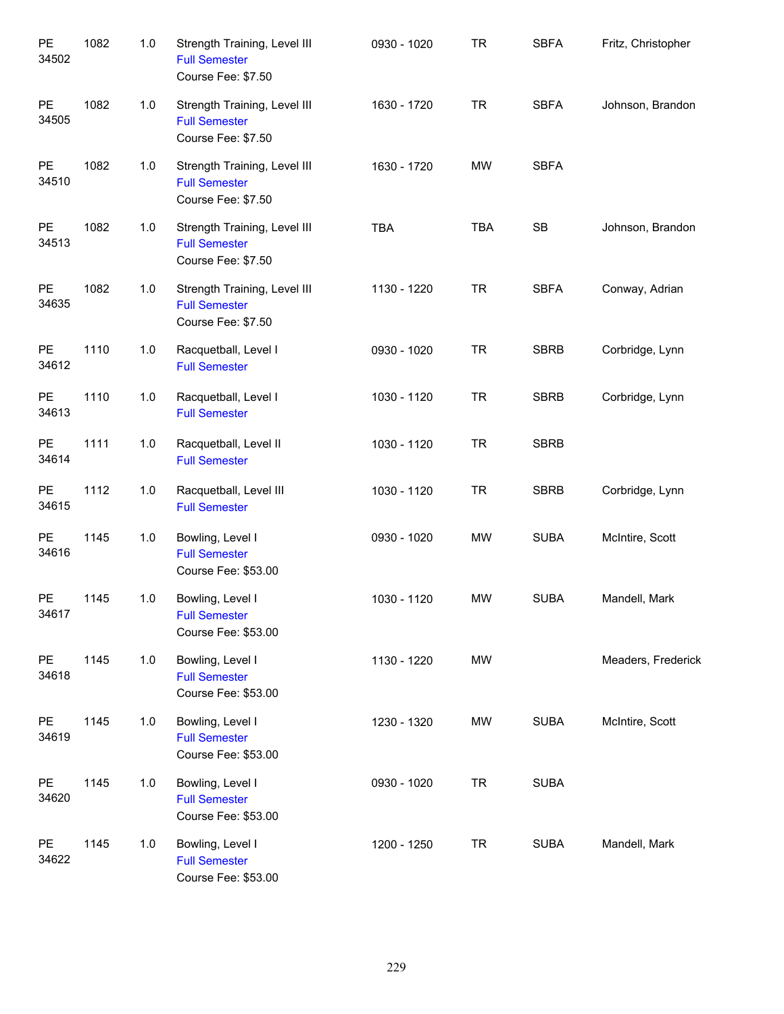| PE<br>34502 | 1082 | 1.0 | Strength Training, Level III<br><b>Full Semester</b><br>Course Fee: \$7.50 | 0930 - 1020 | <b>TR</b>  | <b>SBFA</b> | Fritz, Christopher |
|-------------|------|-----|----------------------------------------------------------------------------|-------------|------------|-------------|--------------------|
| PE<br>34505 | 1082 | 1.0 | Strength Training, Level III<br><b>Full Semester</b><br>Course Fee: \$7.50 | 1630 - 1720 | <b>TR</b>  | <b>SBFA</b> | Johnson, Brandon   |
| PE<br>34510 | 1082 | 1.0 | Strength Training, Level III<br><b>Full Semester</b><br>Course Fee: \$7.50 | 1630 - 1720 | MW         | <b>SBFA</b> |                    |
| PE<br>34513 | 1082 | 1.0 | Strength Training, Level III<br><b>Full Semester</b><br>Course Fee: \$7.50 | <b>TBA</b>  | <b>TBA</b> | SB          | Johnson, Brandon   |
| PE<br>34635 | 1082 | 1.0 | Strength Training, Level III<br><b>Full Semester</b><br>Course Fee: \$7.50 | 1130 - 1220 | <b>TR</b>  | <b>SBFA</b> | Conway, Adrian     |
| PE<br>34612 | 1110 | 1.0 | Racquetball, Level I<br><b>Full Semester</b>                               | 0930 - 1020 | <b>TR</b>  | <b>SBRB</b> | Corbridge, Lynn    |
| PE<br>34613 | 1110 | 1.0 | Racquetball, Level I<br><b>Full Semester</b>                               | 1030 - 1120 | <b>TR</b>  | <b>SBRB</b> | Corbridge, Lynn    |
| PE<br>34614 | 1111 | 1.0 | Racquetball, Level II<br><b>Full Semester</b>                              | 1030 - 1120 | <b>TR</b>  | <b>SBRB</b> |                    |
| PE<br>34615 | 1112 | 1.0 | Racquetball, Level III<br><b>Full Semester</b>                             | 1030 - 1120 | <b>TR</b>  | <b>SBRB</b> | Corbridge, Lynn    |
| PE<br>34616 | 1145 | 1.0 | Bowling, Level I<br><b>Full Semester</b><br>Course Fee: \$53.00            | 0930 - 1020 | MW         | <b>SUBA</b> | McIntire, Scott    |
| PE<br>34617 | 1145 | 1.0 | Bowling, Level I<br><b>Full Semester</b><br>Course Fee: \$53.00            | 1030 - 1120 | <b>MW</b>  | <b>SUBA</b> | Mandell, Mark      |
| PE<br>34618 | 1145 | 1.0 | Bowling, Level I<br><b>Full Semester</b><br>Course Fee: \$53.00            | 1130 - 1220 | MW         |             | Meaders, Frederick |
| PE<br>34619 | 1145 | 1.0 | Bowling, Level I<br><b>Full Semester</b><br>Course Fee: \$53.00            | 1230 - 1320 | MW         | <b>SUBA</b> | McIntire, Scott    |
| PE<br>34620 | 1145 | 1.0 | Bowling, Level I<br><b>Full Semester</b><br>Course Fee: \$53.00            | 0930 - 1020 | <b>TR</b>  | <b>SUBA</b> |                    |
| PE<br>34622 | 1145 | 1.0 | Bowling, Level I<br><b>Full Semester</b><br>Course Fee: \$53.00            | 1200 - 1250 | <b>TR</b>  | <b>SUBA</b> | Mandell, Mark      |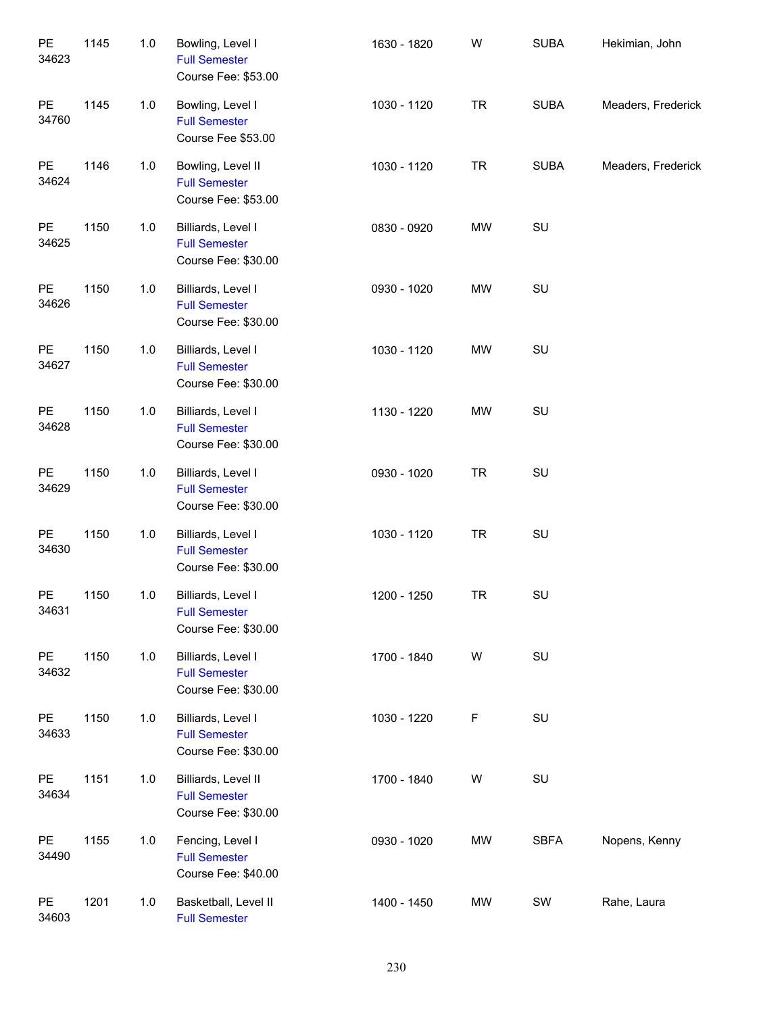| PE<br>34623 | 1145 | $1.0$ | Bowling, Level I<br><b>Full Semester</b><br>Course Fee: \$53.00    | 1630 - 1820 | W         | <b>SUBA</b> | Hekimian, John     |
|-------------|------|-------|--------------------------------------------------------------------|-------------|-----------|-------------|--------------------|
| PE<br>34760 | 1145 | 1.0   | Bowling, Level I<br><b>Full Semester</b><br>Course Fee \$53.00     | 1030 - 1120 | <b>TR</b> | <b>SUBA</b> | Meaders, Frederick |
| PE<br>34624 | 1146 | 1.0   | Bowling, Level II<br><b>Full Semester</b><br>Course Fee: \$53.00   | 1030 - 1120 | <b>TR</b> | <b>SUBA</b> | Meaders, Frederick |
| PE<br>34625 | 1150 | 1.0   | Billiards, Level I<br><b>Full Semester</b><br>Course Fee: \$30.00  | 0830 - 0920 | <b>MW</b> | SU          |                    |
| PE<br>34626 | 1150 | 1.0   | Billiards, Level I<br><b>Full Semester</b><br>Course Fee: \$30.00  | 0930 - 1020 | MW        | SU          |                    |
| PE<br>34627 | 1150 | 1.0   | Billiards, Level I<br><b>Full Semester</b><br>Course Fee: \$30.00  | 1030 - 1120 | MW        | SU          |                    |
| PE<br>34628 | 1150 | 1.0   | Billiards, Level I<br><b>Full Semester</b><br>Course Fee: \$30.00  | 1130 - 1220 | <b>MW</b> | SU          |                    |
| PE<br>34629 | 1150 | 1.0   | Billiards, Level I<br><b>Full Semester</b><br>Course Fee: \$30.00  | 0930 - 1020 | <b>TR</b> | SU          |                    |
| PE<br>34630 | 1150 | 1.0   | Billiards, Level I<br><b>Full Semester</b><br>Course Fee: \$30.00  | 1030 - 1120 | <b>TR</b> | SU          |                    |
| PE<br>34631 | 1150 | 1.0   | Billiards, Level I<br><b>Full Semester</b><br>Course Fee: \$30.00  | 1200 - 1250 | <b>TR</b> | SU          |                    |
| PE<br>34632 | 1150 | $1.0$ | Billiards, Level I<br><b>Full Semester</b><br>Course Fee: \$30.00  | 1700 - 1840 | W         | SU          |                    |
| PE<br>34633 | 1150 | $1.0$ | Billiards, Level I<br><b>Full Semester</b><br>Course Fee: \$30.00  | 1030 - 1220 | F         | SU          |                    |
| PE<br>34634 | 1151 | $1.0$ | Billiards, Level II<br><b>Full Semester</b><br>Course Fee: \$30.00 | 1700 - 1840 | W         | SU          |                    |
| PE<br>34490 | 1155 | $1.0$ | Fencing, Level I<br><b>Full Semester</b><br>Course Fee: \$40.00    | 0930 - 1020 | MW        | <b>SBFA</b> | Nopens, Kenny      |
| PE<br>34603 | 1201 | 1.0   | Basketball, Level II<br><b>Full Semester</b>                       | 1400 - 1450 | MW        | SW          | Rahe, Laura        |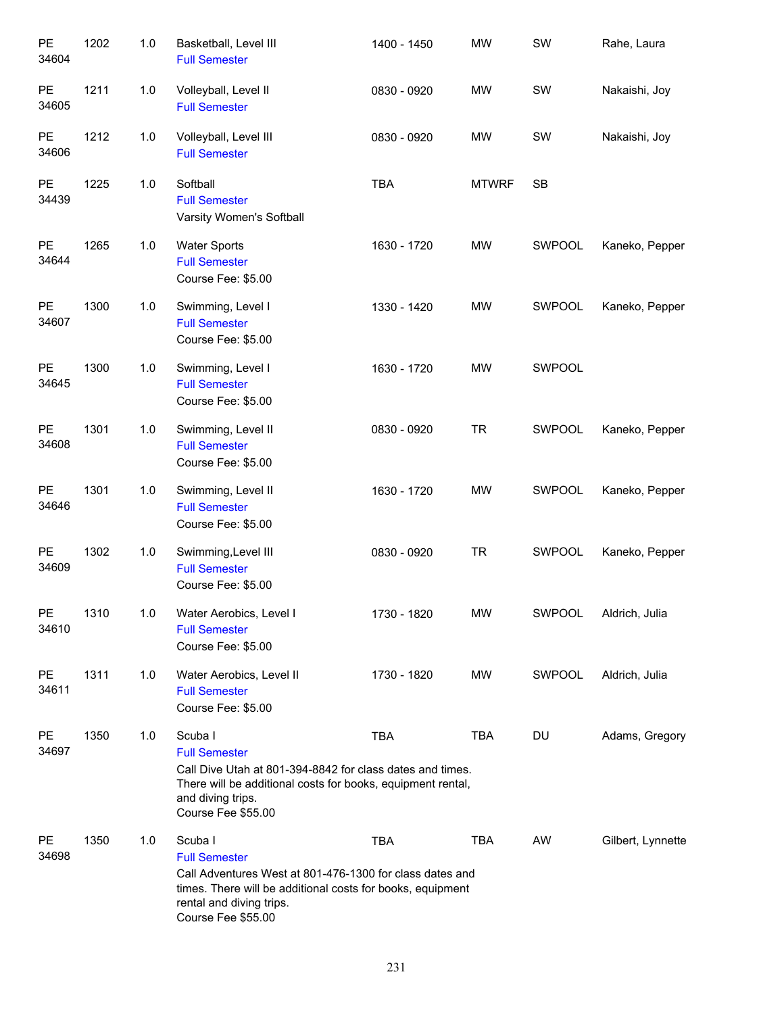| PE<br>34604            | 1202 | 1.0 | Basketball, Level III<br><b>Full Semester</b>                                                                                                                                                               | 1400 - 1450 | <b>MW</b>    | SW            | Rahe, Laura       |
|------------------------|------|-----|-------------------------------------------------------------------------------------------------------------------------------------------------------------------------------------------------------------|-------------|--------------|---------------|-------------------|
| $\mathsf{PE}$<br>34605 | 1211 | 1.0 | Volleyball, Level II<br><b>Full Semester</b>                                                                                                                                                                | 0830 - 0920 | MW           | SW            | Nakaishi, Joy     |
| <b>PE</b><br>34606     | 1212 | 1.0 | Volleyball, Level III<br><b>Full Semester</b>                                                                                                                                                               | 0830 - 0920 | MW           | SW            | Nakaishi, Joy     |
| PE<br>34439            | 1225 | 1.0 | Softball<br><b>Full Semester</b><br>Varsity Women's Softball                                                                                                                                                | <b>TBA</b>  | <b>MTWRF</b> | <b>SB</b>     |                   |
| PE<br>34644            | 1265 | 1.0 | <b>Water Sports</b><br><b>Full Semester</b><br>Course Fee: \$5.00                                                                                                                                           | 1630 - 1720 | MW           | SWPOOL        | Kaneko, Pepper    |
| <b>PE</b><br>34607     | 1300 | 1.0 | Swimming, Level I<br><b>Full Semester</b><br>Course Fee: \$5.00                                                                                                                                             | 1330 - 1420 | MW           | SWPOOL        | Kaneko, Pepper    |
| <b>PE</b><br>34645     | 1300 | 1.0 | Swimming, Level I<br><b>Full Semester</b><br>Course Fee: \$5.00                                                                                                                                             | 1630 - 1720 | MW           | SWPOOL        |                   |
| <b>PE</b><br>34608     | 1301 | 1.0 | Swimming, Level II<br><b>Full Semester</b><br>Course Fee: \$5.00                                                                                                                                            | 0830 - 0920 | <b>TR</b>    | SWPOOL        | Kaneko, Pepper    |
| <b>PE</b><br>34646     | 1301 | 1.0 | Swimming, Level II<br><b>Full Semester</b><br>Course Fee: \$5.00                                                                                                                                            | 1630 - 1720 | MW           | SWPOOL        | Kaneko, Pepper    |
| <b>PE</b><br>34609     | 1302 | 1.0 | Swimming, Level III<br><b>Full Semester</b><br>Course Fee: \$5.00                                                                                                                                           | 0830 - 0920 | <b>TR</b>    | SWPOOL        | Kaneko, Pepper    |
| PE<br>34610            | 1310 | 1.0 | Water Aerobics, Level I<br><b>Full Semester</b><br>Course Fee: \$5.00                                                                                                                                       | 1730 - 1820 | MW           | <b>SWPOOL</b> | Aldrich, Julia    |
| PE<br>34611            | 1311 | 1.0 | Water Aerobics, Level II<br><b>Full Semester</b><br>Course Fee: \$5.00                                                                                                                                      | 1730 - 1820 | <b>MW</b>    | <b>SWPOOL</b> | Aldrich, Julia    |
| <b>PE</b><br>34697     | 1350 | 1.0 | Scuba I<br><b>Full Semester</b><br>Call Dive Utah at 801-394-8842 for class dates and times.<br>There will be additional costs for books, equipment rental,<br>and diving trips.<br>Course Fee \$55.00      | <b>TBA</b>  | TBA          | DU            | Adams, Gregory    |
| <b>PE</b><br>34698     | 1350 | 1.0 | Scuba I<br><b>Full Semester</b><br>Call Adventures West at 801-476-1300 for class dates and<br>times. There will be additional costs for books, equipment<br>rental and diving trips.<br>Course Fee \$55.00 | <b>TBA</b>  | <b>TBA</b>   | AW            | Gilbert, Lynnette |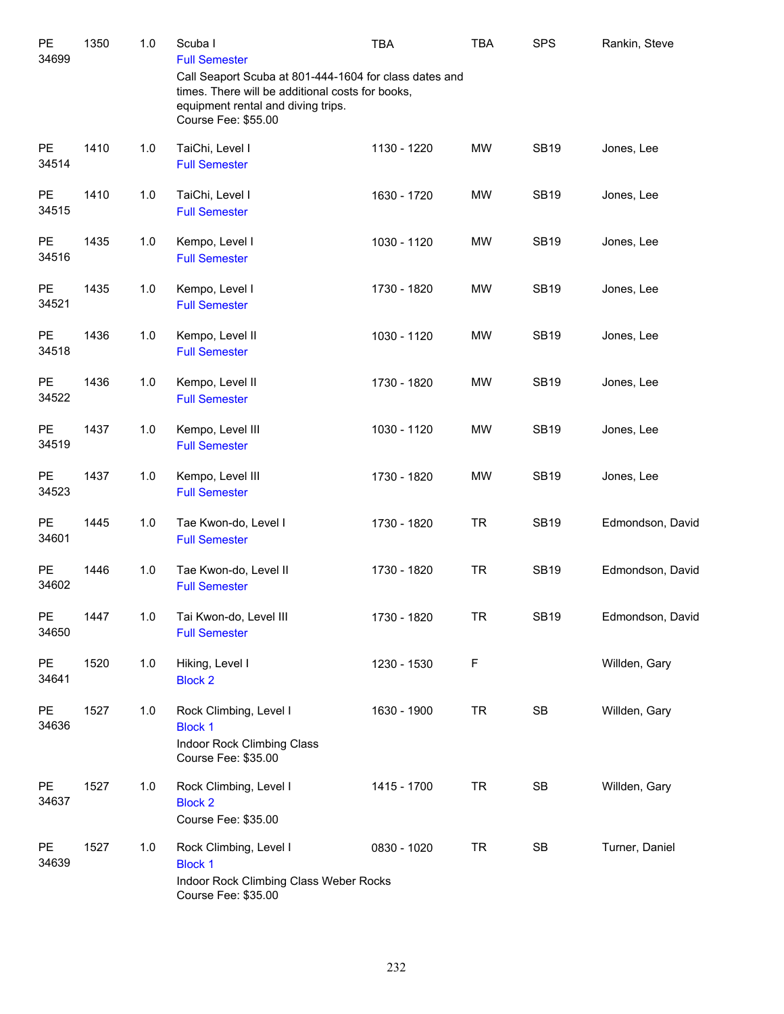| PE<br>34699        | 1350 | 1.0   | Scuba I<br><b>Full Semester</b>                                                                                                                                         | <b>TBA</b>  | TBA       | <b>SPS</b>  | Rankin, Steve    |
|--------------------|------|-------|-------------------------------------------------------------------------------------------------------------------------------------------------------------------------|-------------|-----------|-------------|------------------|
|                    |      |       | Call Seaport Scuba at 801-444-1604 for class dates and<br>times. There will be additional costs for books,<br>equipment rental and diving trips.<br>Course Fee: \$55.00 |             |           |             |                  |
| PE<br>34514        | 1410 | 1.0   | TaiChi, Level I<br><b>Full Semester</b>                                                                                                                                 | 1130 - 1220 | MW        | <b>SB19</b> | Jones, Lee       |
| <b>PE</b><br>34515 | 1410 | $1.0$ | TaiChi, Level I<br><b>Full Semester</b>                                                                                                                                 | 1630 - 1720 | MW        | <b>SB19</b> | Jones, Lee       |
| PE<br>34516        | 1435 | $1.0$ | Kempo, Level I<br><b>Full Semester</b>                                                                                                                                  | 1030 - 1120 | MW        | <b>SB19</b> | Jones, Lee       |
| PE<br>34521        | 1435 | 1.0   | Kempo, Level I<br><b>Full Semester</b>                                                                                                                                  | 1730 - 1820 | MW        | <b>SB19</b> | Jones, Lee       |
| PE<br>34518        | 1436 | 1.0   | Kempo, Level II<br><b>Full Semester</b>                                                                                                                                 | 1030 - 1120 | MW        | <b>SB19</b> | Jones, Lee       |
| PE<br>34522        | 1436 | 1.0   | Kempo, Level II<br><b>Full Semester</b>                                                                                                                                 | 1730 - 1820 | MW        | <b>SB19</b> | Jones, Lee       |
| PE<br>34519        | 1437 | 1.0   | Kempo, Level III<br><b>Full Semester</b>                                                                                                                                | 1030 - 1120 | MW        | <b>SB19</b> | Jones, Lee       |
| PE<br>34523        | 1437 | 1.0   | Kempo, Level III<br><b>Full Semester</b>                                                                                                                                | 1730 - 1820 | MW        | <b>SB19</b> | Jones, Lee       |
| PE<br>34601        | 1445 | 1.0   | Tae Kwon-do, Level I<br><b>Full Semester</b>                                                                                                                            | 1730 - 1820 | <b>TR</b> | <b>SB19</b> | Edmondson, David |
| PE<br>34602        | 1446 | 1.0   | Tae Kwon-do, Level II<br><b>Full Semester</b>                                                                                                                           | 1730 - 1820 | <b>TR</b> | <b>SB19</b> | Edmondson, David |
| PE<br>34650        | 1447 | 1.0   | Tai Kwon-do, Level III<br><b>Full Semester</b>                                                                                                                          | 1730 - 1820 | TR        | <b>SB19</b> | Edmondson, David |
| PE<br>34641        | 1520 | 1.0   | Hiking, Level I<br><b>Block 2</b>                                                                                                                                       | 1230 - 1530 | F         |             | Willden, Gary    |
| PE<br>34636        | 1527 | 1.0   | Rock Climbing, Level I<br><b>Block 1</b><br>Indoor Rock Climbing Class<br>Course Fee: \$35.00                                                                           | 1630 - 1900 | <b>TR</b> | SB          | Willden, Gary    |
| PE<br>34637        | 1527 | 1.0   | Rock Climbing, Level I<br><b>Block 2</b><br>Course Fee: \$35.00                                                                                                         | 1415 - 1700 | <b>TR</b> | SB          | Willden, Gary    |
| <b>PE</b><br>34639 | 1527 | 1.0   | Rock Climbing, Level I<br><b>Block 1</b><br>Indoor Rock Climbing Class Weber Rocks<br>Course Fee: \$35.00                                                               | 0830 - 1020 | <b>TR</b> | SB          | Turner, Daniel   |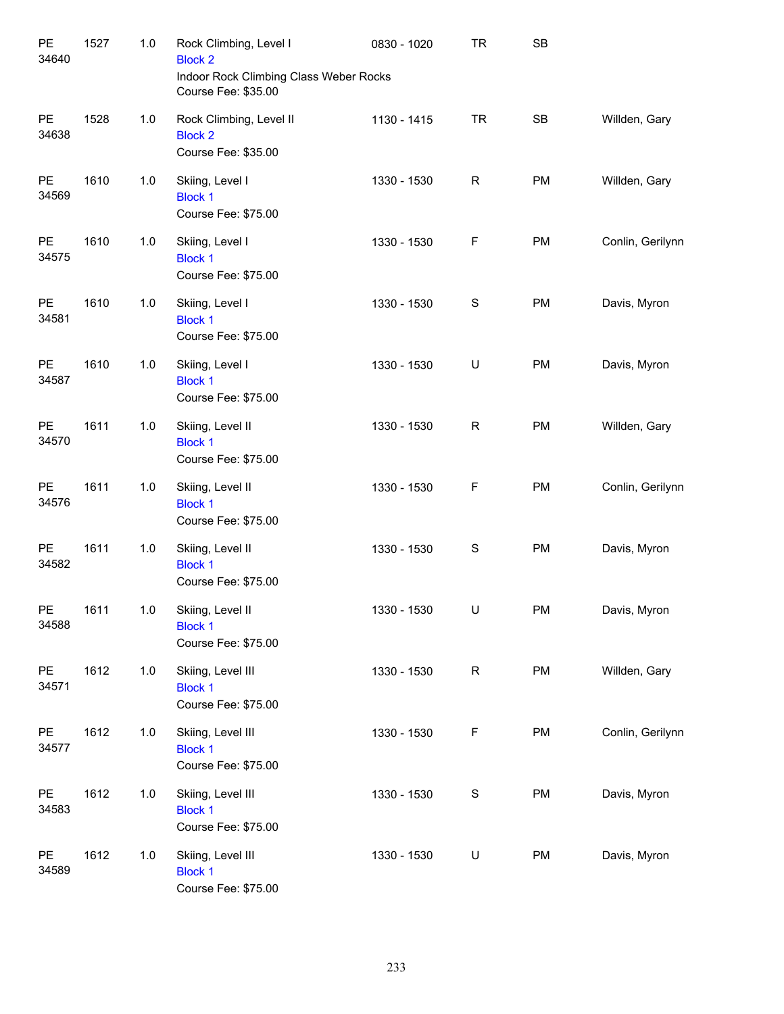| PE<br>34640        | 1527 | $1.0$ | Rock Climbing, Level I<br><b>Block 2</b><br>Indoor Rock Climbing Class Weber Rocks<br>Course Fee: \$35.00 | 0830 - 1020 | <b>TR</b>    | SB        |                  |
|--------------------|------|-------|-----------------------------------------------------------------------------------------------------------|-------------|--------------|-----------|------------------|
| PE<br>34638        | 1528 | 1.0   | Rock Climbing, Level II<br><b>Block 2</b><br>Course Fee: \$35.00                                          | 1130 - 1415 | <b>TR</b>    | <b>SB</b> | Willden, Gary    |
| PE<br>34569        | 1610 | 1.0   | Skiing, Level I<br><b>Block 1</b><br>Course Fee: \$75.00                                                  | 1330 - 1530 | $\mathsf{R}$ | PM        | Willden, Gary    |
| PE<br>34575        | 1610 | 1.0   | Skiing, Level I<br><b>Block 1</b><br>Course Fee: \$75.00                                                  | 1330 - 1530 | F            | <b>PM</b> | Conlin, Gerilynn |
| PE<br>34581        | 1610 | 1.0   | Skiing, Level I<br><b>Block 1</b><br>Course Fee: \$75.00                                                  | 1330 - 1530 | S            | <b>PM</b> | Davis, Myron     |
| PE<br>34587        | 1610 | 1.0   | Skiing, Level I<br><b>Block 1</b><br>Course Fee: \$75.00                                                  | 1330 - 1530 | U            | <b>PM</b> | Davis, Myron     |
| PE<br>34570        | 1611 | 1.0   | Skiing, Level II<br><b>Block 1</b><br>Course Fee: \$75.00                                                 | 1330 - 1530 | $\mathsf R$  | <b>PM</b> | Willden, Gary    |
| PE<br>34576        | 1611 | 1.0   | Skiing, Level II<br><b>Block 1</b><br>Course Fee: \$75.00                                                 | 1330 - 1530 | F            | <b>PM</b> | Conlin, Gerilynn |
| PE<br>34582        | 1611 | 1.0   | Skiing, Level II<br><b>Block 1</b><br>Course Fee: \$75.00                                                 | 1330 - 1530 | S            | <b>PM</b> | Davis, Myron     |
| PE<br>34588        | 1611 | 1.0   | Skiing, Level II<br><b>Block 1</b><br>Course Fee: \$75.00                                                 | 1330 - 1530 | U            | PM        | Davis, Myron     |
| PE<br>34571        | 1612 | 1.0   | Skiing, Level III<br><b>Block 1</b><br>Course Fee: \$75.00                                                | 1330 - 1530 | R            | PM        | Willden, Gary    |
| <b>PE</b><br>34577 | 1612 | 1.0   | Skiing, Level III<br><b>Block 1</b><br>Course Fee: \$75.00                                                | 1330 - 1530 | F            | PM        | Conlin, Gerilynn |
| <b>PE</b><br>34583 | 1612 | 1.0   | Skiing, Level III<br><b>Block 1</b><br>Course Fee: \$75.00                                                | 1330 - 1530 | S            | PM        | Davis, Myron     |
| <b>PE</b><br>34589 | 1612 | 1.0   | Skiing, Level III<br><b>Block 1</b><br>Course Fee: \$75.00                                                | 1330 - 1530 | U            | PM        | Davis, Myron     |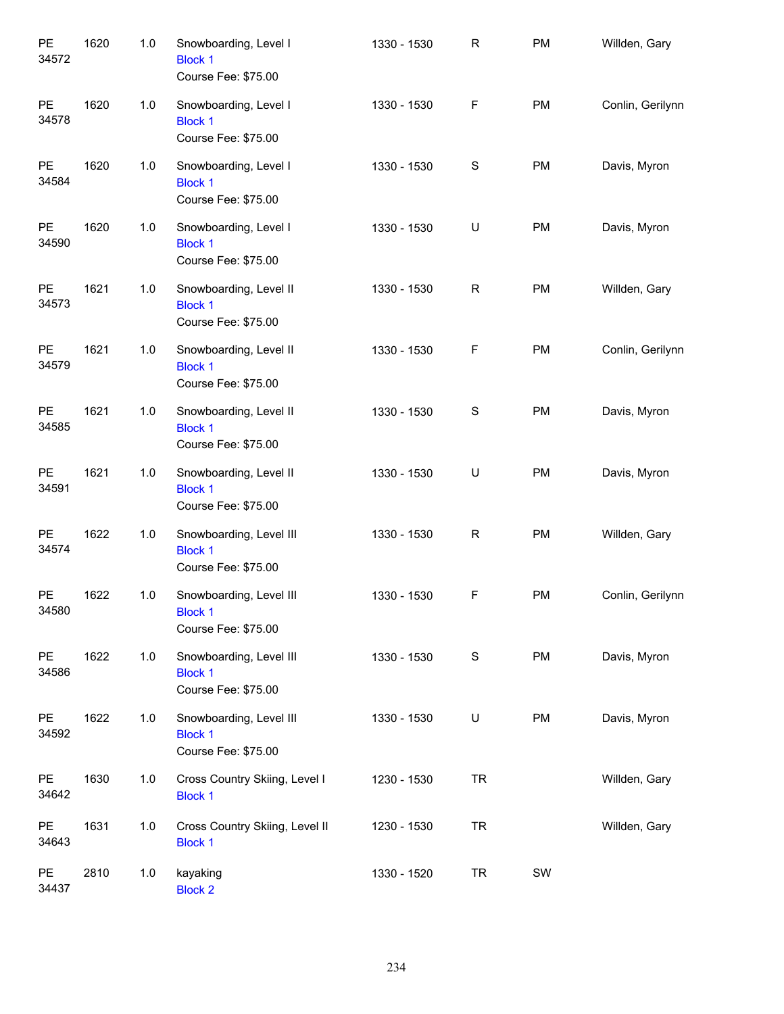| PE<br>34572 | 1620 | 1.0 | Snowboarding, Level I<br><b>Block 1</b><br>Course Fee: \$75.00   | 1330 - 1530 | R             | PM        | Willden, Gary    |
|-------------|------|-----|------------------------------------------------------------------|-------------|---------------|-----------|------------------|
| PE<br>34578 | 1620 | 1.0 | Snowboarding, Level I<br><b>Block 1</b><br>Course Fee: \$75.00   | 1330 - 1530 | F             | <b>PM</b> | Conlin, Gerilynn |
| PE<br>34584 | 1620 | 1.0 | Snowboarding, Level I<br><b>Block 1</b><br>Course Fee: \$75.00   | 1330 - 1530 | S             | <b>PM</b> | Davis, Myron     |
| PE<br>34590 | 1620 | 1.0 | Snowboarding, Level I<br><b>Block 1</b><br>Course Fee: \$75.00   | 1330 - 1530 | U             | <b>PM</b> | Davis, Myron     |
| PE<br>34573 | 1621 | 1.0 | Snowboarding, Level II<br><b>Block 1</b><br>Course Fee: \$75.00  | 1330 - 1530 | R             | <b>PM</b> | Willden, Gary    |
| PE<br>34579 | 1621 | 1.0 | Snowboarding, Level II<br><b>Block 1</b><br>Course Fee: \$75.00  | 1330 - 1530 | F             | <b>PM</b> | Conlin, Gerilynn |
| PE<br>34585 | 1621 | 1.0 | Snowboarding, Level II<br><b>Block 1</b><br>Course Fee: \$75.00  | 1330 - 1530 | ${\mathsf S}$ | <b>PM</b> | Davis, Myron     |
| PE<br>34591 | 1621 | 1.0 | Snowboarding, Level II<br><b>Block 1</b><br>Course Fee: \$75.00  | 1330 - 1530 | U             | <b>PM</b> | Davis, Myron     |
| PE<br>34574 | 1622 | 1.0 | Snowboarding, Level III<br><b>Block 1</b><br>Course Fee: \$75.00 | 1330 - 1530 | R             | <b>PM</b> | Willden, Gary    |
| PE<br>34580 | 1622 | 1.0 | Snowboarding, Level III<br><b>Block 1</b><br>Course Fee: \$75.00 | 1330 - 1530 | F             | <b>PM</b> | Conlin, Gerilynn |
| PE<br>34586 | 1622 | 1.0 | Snowboarding, Level III<br><b>Block 1</b><br>Course Fee: \$75.00 | 1330 - 1530 | S             | PM        | Davis, Myron     |
| PE<br>34592 | 1622 | 1.0 | Snowboarding, Level III<br><b>Block 1</b><br>Course Fee: \$75.00 | 1330 - 1530 | U             | PM        | Davis, Myron     |
| PE<br>34642 | 1630 | 1.0 | Cross Country Skiing, Level I<br><b>Block 1</b>                  | 1230 - 1530 | <b>TR</b>     |           | Willden, Gary    |
| PE<br>34643 | 1631 | 1.0 | Cross Country Skiing, Level II<br><b>Block 1</b>                 | 1230 - 1530 | <b>TR</b>     |           | Willden, Gary    |
| PE<br>34437 | 2810 | 1.0 | kayaking<br><b>Block 2</b>                                       | 1330 - 1520 | <b>TR</b>     | SW        |                  |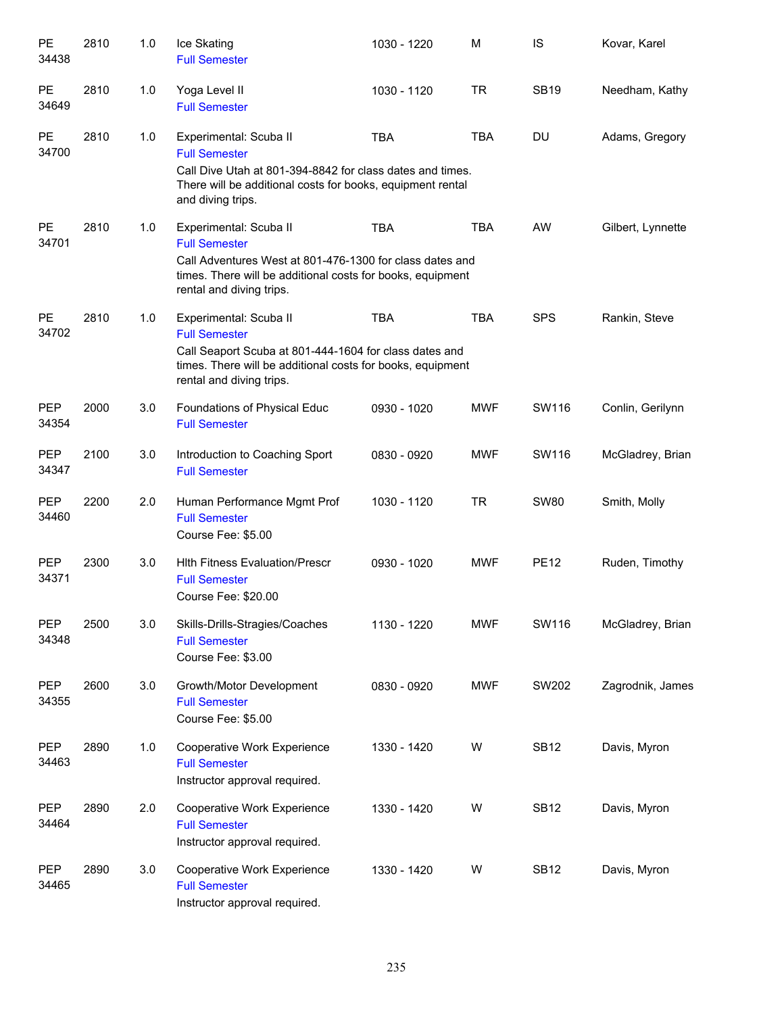| PE<br>34438         | 2810 | 1.0 | Ice Skating<br><b>Full Semester</b>                                                                                                                                                                  | 1030 - 1220 | M          | IS          | Kovar, Karel      |
|---------------------|------|-----|------------------------------------------------------------------------------------------------------------------------------------------------------------------------------------------------------|-------------|------------|-------------|-------------------|
| PE<br>34649         | 2810 | 1.0 | Yoga Level II<br><b>Full Semester</b>                                                                                                                                                                | 1030 - 1120 | <b>TR</b>  | <b>SB19</b> | Needham, Kathy    |
| PE<br>34700         | 2810 | 1.0 | Experimental: Scuba II<br><b>Full Semester</b><br>Call Dive Utah at 801-394-8842 for class dates and times.<br>There will be additional costs for books, equipment rental<br>and diving trips.       | <b>TBA</b>  | <b>TBA</b> | DU          | Adams, Gregory    |
| PE<br>34701         | 2810 | 1.0 | Experimental: Scuba II<br><b>Full Semester</b><br>Call Adventures West at 801-476-1300 for class dates and<br>times. There will be additional costs for books, equipment<br>rental and diving trips. | <b>TBA</b>  | <b>TBA</b> | AW          | Gilbert, Lynnette |
| <b>PE</b><br>34702  | 2810 | 1.0 | Experimental: Scuba II<br><b>Full Semester</b><br>Call Seaport Scuba at 801-444-1604 for class dates and<br>times. There will be additional costs for books, equipment<br>rental and diving trips.   | <b>TBA</b>  | <b>TBA</b> | <b>SPS</b>  | Rankin, Steve     |
| <b>PEP</b><br>34354 | 2000 | 3.0 | Foundations of Physical Educ<br><b>Full Semester</b>                                                                                                                                                 | 0930 - 1020 | <b>MWF</b> | SW116       | Conlin, Gerilynn  |
| <b>PEP</b><br>34347 | 2100 | 3.0 | Introduction to Coaching Sport<br><b>Full Semester</b>                                                                                                                                               | 0830 - 0920 | <b>MWF</b> | SW116       | McGladrey, Brian  |
| PEP<br>34460        | 2200 | 2.0 | Human Performance Mgmt Prof<br><b>Full Semester</b><br>Course Fee: \$5.00                                                                                                                            | 1030 - 1120 | <b>TR</b>  | <b>SW80</b> | Smith, Molly      |
| <b>PEP</b><br>34371 | 2300 | 3.0 | <b>Hith Fitness Evaluation/Prescr</b><br><b>Full Semester</b><br>Course Fee: \$20.00                                                                                                                 | 0930 - 1020 | <b>MWF</b> | <b>PE12</b> | Ruden, Timothy    |
| <b>PEP</b><br>34348 | 2500 | 3.0 | Skills-Drills-Stragies/Coaches<br><b>Full Semester</b><br>Course Fee: \$3.00                                                                                                                         | 1130 - 1220 | <b>MWF</b> | SW116       | McGladrey, Brian  |
| <b>PEP</b><br>34355 | 2600 | 3.0 | Growth/Motor Development<br><b>Full Semester</b><br>Course Fee: \$5.00                                                                                                                               | 0830 - 0920 | <b>MWF</b> | SW202       | Zagrodnik, James  |
| <b>PEP</b><br>34463 | 2890 | 1.0 | Cooperative Work Experience<br><b>Full Semester</b><br>Instructor approval required.                                                                                                                 | 1330 - 1420 | W          | <b>SB12</b> | Davis, Myron      |
| <b>PEP</b><br>34464 | 2890 | 2.0 | Cooperative Work Experience<br><b>Full Semester</b><br>Instructor approval required.                                                                                                                 | 1330 - 1420 | W          | <b>SB12</b> | Davis, Myron      |
| <b>PEP</b><br>34465 | 2890 | 3.0 | Cooperative Work Experience<br><b>Full Semester</b><br>Instructor approval required.                                                                                                                 | 1330 - 1420 | W          | <b>SB12</b> | Davis, Myron      |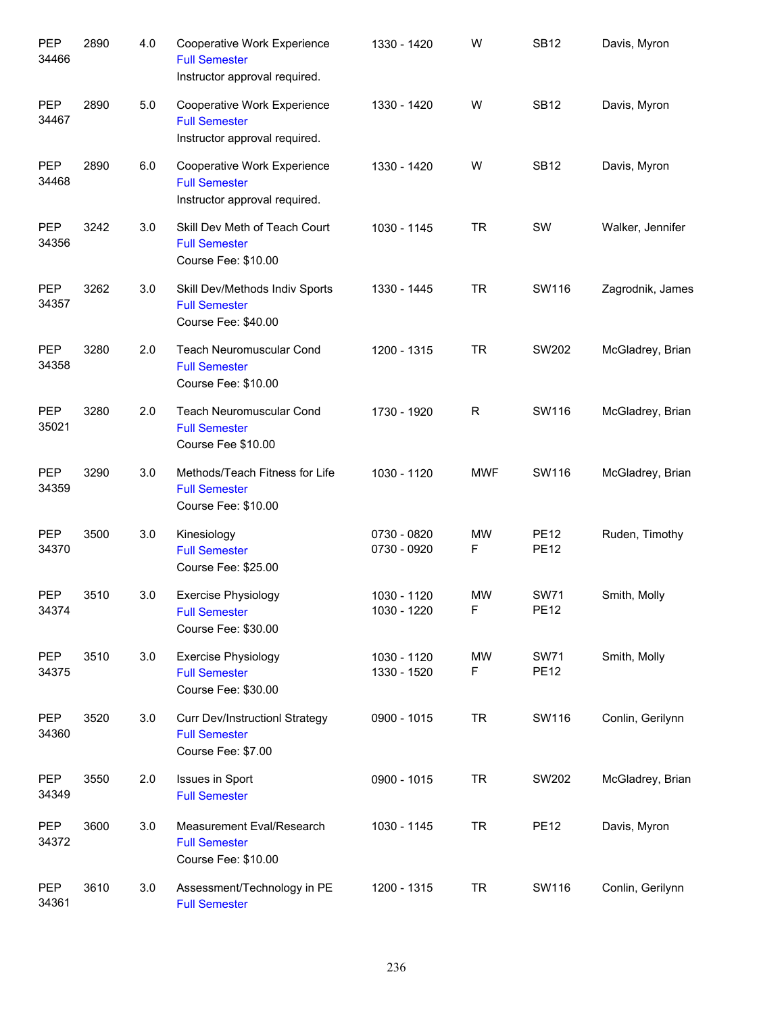| <b>PEP</b><br>34466 | 2890 | 4.0 | <b>Cooperative Work Experience</b><br><b>Full Semester</b><br>Instructor approval required. | 1330 - 1420                | W                        | <b>SB12</b>                | Davis, Myron     |
|---------------------|------|-----|---------------------------------------------------------------------------------------------|----------------------------|--------------------------|----------------------------|------------------|
| PEP<br>34467        | 2890 | 5.0 | Cooperative Work Experience<br><b>Full Semester</b><br>Instructor approval required.        | 1330 - 1420                | W                        | <b>SB12</b>                | Davis, Myron     |
| <b>PEP</b><br>34468 | 2890 | 6.0 | Cooperative Work Experience<br><b>Full Semester</b><br>Instructor approval required.        | 1330 - 1420                | W                        | <b>SB12</b>                | Davis, Myron     |
| <b>PEP</b><br>34356 | 3242 | 3.0 | Skill Dev Meth of Teach Court<br><b>Full Semester</b><br>Course Fee: \$10.00                | 1030 - 1145                | <b>TR</b>                | SW                         | Walker, Jennifer |
| PEP<br>34357        | 3262 | 3.0 | Skill Dev/Methods Indiv Sports<br><b>Full Semester</b><br>Course Fee: \$40.00               | 1330 - 1445                | <b>TR</b>                | SW116                      | Zagrodnik, James |
| PEP<br>34358        | 3280 | 2.0 | Teach Neuromuscular Cond<br><b>Full Semester</b><br>Course Fee: \$10.00                     | 1200 - 1315                | <b>TR</b>                | SW202                      | McGladrey, Brian |
| PEP<br>35021        | 3280 | 2.0 | <b>Teach Neuromuscular Cond</b><br><b>Full Semester</b><br>Course Fee \$10.00               | 1730 - 1920                | R                        | SW116                      | McGladrey, Brian |
| <b>PEP</b><br>34359 | 3290 | 3.0 | Methods/Teach Fitness for Life<br><b>Full Semester</b><br>Course Fee: \$10.00               | 1030 - 1120                | <b>MWF</b>               | SW116                      | McGladrey, Brian |
| <b>PEP</b><br>34370 | 3500 | 3.0 | Kinesiology<br><b>Full Semester</b><br>Course Fee: \$25.00                                  | 0730 - 0820<br>0730 - 0920 | <b>MW</b><br>F           | <b>PE12</b><br><b>PE12</b> | Ruden, Timothy   |
| <b>PEP</b><br>34374 | 3510 | 3.0 | <b>Exercise Physiology</b><br><b>Full Semester</b><br>Course Fee: \$30.00                   | 1030 - 1120<br>1030 - 1220 | <b>MW</b><br>$\mathsf F$ | <b>SW71</b><br><b>PE12</b> | Smith, Molly     |
| PEP<br>34375        | 3510 | 3.0 | <b>Exercise Physiology</b><br><b>Full Semester</b><br>Course Fee: \$30.00                   | 1030 - 1120<br>1330 - 1520 | MW<br>F                  | <b>SW71</b><br><b>PE12</b> | Smith, Molly     |
| PEP<br>34360        | 3520 | 3.0 | <b>Curr Dev/InstructionI Strategy</b><br><b>Full Semester</b><br>Course Fee: \$7.00         | 0900 - 1015                | <b>TR</b>                | SW116                      | Conlin, Gerilynn |
| PEP<br>34349        | 3550 | 2.0 | Issues in Sport<br><b>Full Semester</b>                                                     | 0900 - 1015                | <b>TR</b>                | SW202                      | McGladrey, Brian |
| PEP<br>34372        | 3600 | 3.0 | Measurement Eval/Research<br><b>Full Semester</b><br>Course Fee: \$10.00                    | 1030 - 1145                | <b>TR</b>                | <b>PE12</b>                | Davis, Myron     |
| PEP<br>34361        | 3610 | 3.0 | Assessment/Technology in PE<br><b>Full Semester</b>                                         | 1200 - 1315                | <b>TR</b>                | SW116                      | Conlin, Gerilynn |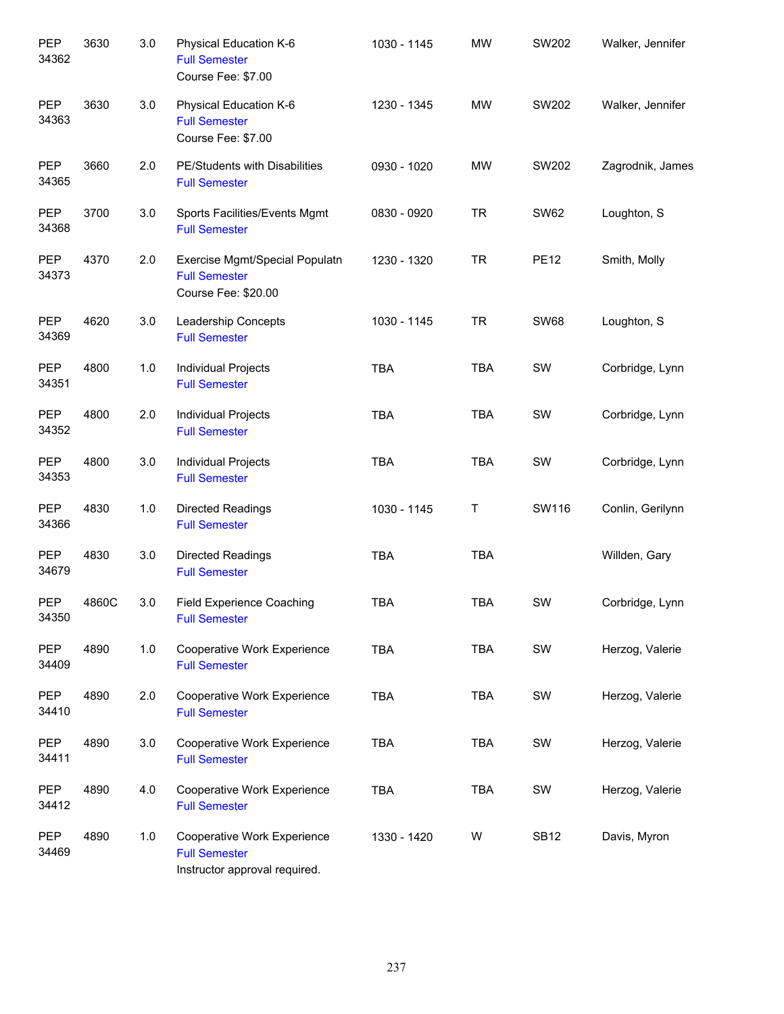| PEP<br>34362        | 3630  | 3.0 | Physical Education K-6<br><b>Full Semester</b><br>Course Fee: \$7.00                 | 1030 - 1145 | <b>MW</b>  | SW202       | Walker, Jennifer |
|---------------------|-------|-----|--------------------------------------------------------------------------------------|-------------|------------|-------------|------------------|
| PEP<br>34363        | 3630  | 3.0 | Physical Education K-6<br><b>Full Semester</b><br>Course Fee: \$7.00                 | 1230 - 1345 | <b>MW</b>  | SW202       | Walker, Jennifer |
| PEP<br>34365        | 3660  | 2.0 | PE/Students with Disabilities<br><b>Full Semester</b>                                | 0930 - 1020 | <b>MW</b>  | SW202       | Zagrodnik, James |
| <b>PEP</b><br>34368 | 3700  | 3.0 | Sports Facilities/Events Mgmt<br><b>Full Semester</b>                                | 0830 - 0920 | <b>TR</b>  | <b>SW62</b> | Loughton, S      |
| <b>PEP</b><br>34373 | 4370  | 2.0 | Exercise Mgmt/Special Populatn<br><b>Full Semester</b><br>Course Fee: \$20.00        | 1230 - 1320 | <b>TR</b>  | <b>PE12</b> | Smith, Molly     |
| <b>PEP</b><br>34369 | 4620  | 3.0 | Leadership Concepts<br><b>Full Semester</b>                                          | 1030 - 1145 | <b>TR</b>  | <b>SW68</b> | Loughton, S      |
| <b>PEP</b><br>34351 | 4800  | 1.0 | Individual Projects<br><b>Full Semester</b>                                          | <b>TBA</b>  | <b>TBA</b> | SW          | Corbridge, Lynn  |
| <b>PEP</b><br>34352 | 4800  | 2.0 | Individual Projects<br><b>Full Semester</b>                                          | <b>TBA</b>  | <b>TBA</b> | SW          | Corbridge, Lynn  |
| <b>PEP</b><br>34353 | 4800  | 3.0 | Individual Projects<br><b>Full Semester</b>                                          | <b>TBA</b>  | <b>TBA</b> | SW          | Corbridge, Lynn  |
| <b>PEP</b><br>34366 | 4830  | 1.0 | Directed Readings<br><b>Full Semester</b>                                            | 1030 - 1145 | T          | SW116       | Conlin, Gerilynn |
| <b>PEP</b><br>34679 | 4830  | 3.0 | Directed Readings<br><b>Full Semester</b>                                            | <b>TBA</b>  | <b>TBA</b> |             | Willden, Gary    |
| <b>PEP</b><br>34350 | 4860C | 3.0 | Field Experience Coaching<br><b>Full Semester</b>                                    | <b>TBA</b>  | <b>TBA</b> | SW          | Corbridge, Lynn  |
| PEP<br>34409        | 4890  | 1.0 | Cooperative Work Experience<br><b>Full Semester</b>                                  | <b>TBA</b>  | <b>TBA</b> | SW          | Herzog, Valerie  |
| <b>PEP</b><br>34410 | 4890  | 2.0 | Cooperative Work Experience<br><b>Full Semester</b>                                  | <b>TBA</b>  | TBA        | SW          | Herzog, Valerie  |
| PEP<br>34411        | 4890  | 3.0 | Cooperative Work Experience<br><b>Full Semester</b>                                  | TBA         | <b>TBA</b> | SW          | Herzog, Valerie  |
| PEP<br>34412        | 4890  | 4.0 | Cooperative Work Experience<br><b>Full Semester</b>                                  | <b>TBA</b>  | <b>TBA</b> | SW          | Herzog, Valerie  |
| <b>PEP</b><br>34469 | 4890  | 1.0 | Cooperative Work Experience<br><b>Full Semester</b><br>Instructor approval required. | 1330 - 1420 | W          | <b>SB12</b> | Davis, Myron     |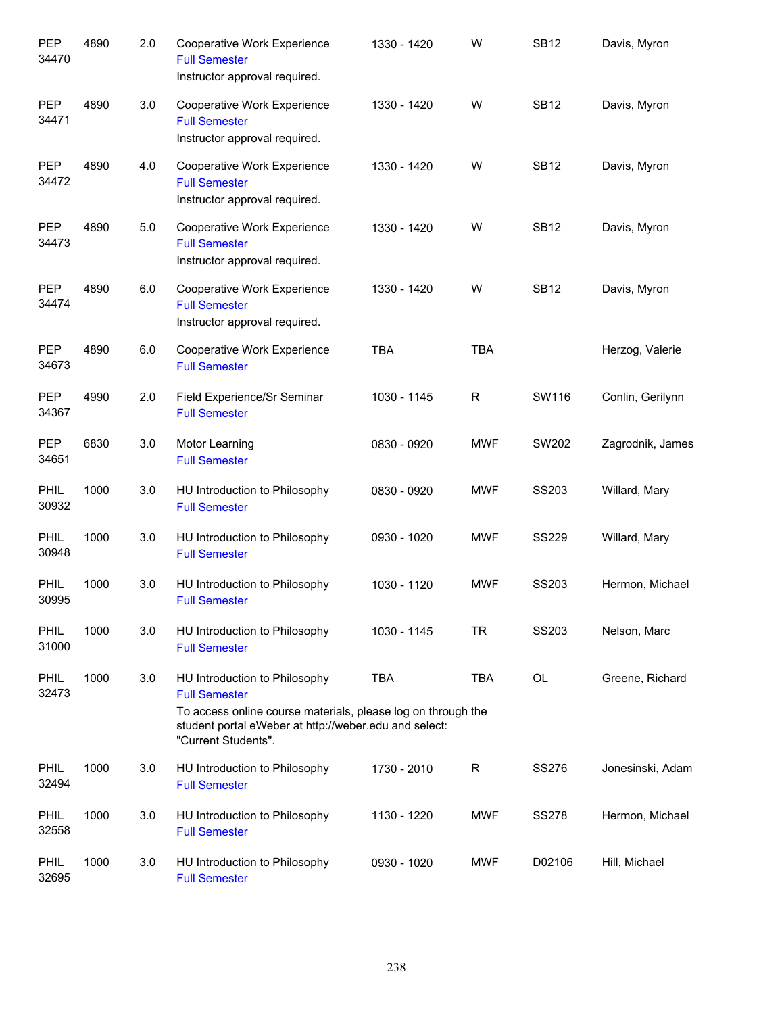| <b>PEP</b><br>34470 | 4890 | 2.0 | Cooperative Work Experience<br><b>Full Semester</b><br>Instructor approval required.                                                                                                                  | 1330 - 1420 | W          | <b>SB12</b>  | Davis, Myron     |
|---------------------|------|-----|-------------------------------------------------------------------------------------------------------------------------------------------------------------------------------------------------------|-------------|------------|--------------|------------------|
| <b>PEP</b><br>34471 | 4890 | 3.0 | Cooperative Work Experience<br><b>Full Semester</b><br>Instructor approval required.                                                                                                                  | 1330 - 1420 | W          | <b>SB12</b>  | Davis, Myron     |
| <b>PEP</b><br>34472 | 4890 | 4.0 | Cooperative Work Experience<br><b>Full Semester</b><br>Instructor approval required.                                                                                                                  | 1330 - 1420 | W          | <b>SB12</b>  | Davis, Myron     |
| <b>PEP</b><br>34473 | 4890 | 5.0 | Cooperative Work Experience<br><b>Full Semester</b><br>Instructor approval required.                                                                                                                  | 1330 - 1420 | W          | <b>SB12</b>  | Davis, Myron     |
| <b>PEP</b><br>34474 | 4890 | 6.0 | Cooperative Work Experience<br><b>Full Semester</b><br>Instructor approval required.                                                                                                                  | 1330 - 1420 | W          | <b>SB12</b>  | Davis, Myron     |
| <b>PEP</b><br>34673 | 4890 | 6.0 | Cooperative Work Experience<br><b>Full Semester</b>                                                                                                                                                   | <b>TBA</b>  | <b>TBA</b> |              | Herzog, Valerie  |
| <b>PEP</b><br>34367 | 4990 | 2.0 | Field Experience/Sr Seminar<br><b>Full Semester</b>                                                                                                                                                   | 1030 - 1145 | R          | SW116        | Conlin, Gerilynn |
| <b>PEP</b><br>34651 | 6830 | 3.0 | Motor Learning<br><b>Full Semester</b>                                                                                                                                                                | 0830 - 0920 | <b>MWF</b> | SW202        | Zagrodnik, James |
| PHIL<br>30932       | 1000 | 3.0 | HU Introduction to Philosophy<br><b>Full Semester</b>                                                                                                                                                 | 0830 - 0920 | <b>MWF</b> | SS203        | Willard, Mary    |
| PHIL<br>30948       | 1000 | 3.0 | HU Introduction to Philosophy<br><b>Full Semester</b>                                                                                                                                                 | 0930 - 1020 | <b>MWF</b> | <b>SS229</b> | Willard, Mary    |
| PHIL<br>30995       | 1000 | 3.0 | HU Introduction to Philosophy<br><b>Full Semester</b>                                                                                                                                                 | 1030 - 1120 | <b>MWF</b> | SS203        | Hermon, Michael  |
| PHIL<br>31000       | 1000 | 3.0 | HU Introduction to Philosophy<br><b>Full Semester</b>                                                                                                                                                 | 1030 - 1145 | <b>TR</b>  | SS203        | Nelson, Marc     |
| PHIL<br>32473       | 1000 | 3.0 | HU Introduction to Philosophy<br><b>Full Semester</b><br>To access online course materials, please log on through the<br>student portal eWeber at http://weber.edu and select:<br>"Current Students". | <b>TBA</b>  | <b>TBA</b> | OL           | Greene, Richard  |
| PHIL<br>32494       | 1000 | 3.0 | HU Introduction to Philosophy<br><b>Full Semester</b>                                                                                                                                                 | 1730 - 2010 | R          | <b>SS276</b> | Jonesinski, Adam |
| PHIL<br>32558       | 1000 | 3.0 | HU Introduction to Philosophy<br><b>Full Semester</b>                                                                                                                                                 | 1130 - 1220 | <b>MWF</b> | <b>SS278</b> | Hermon, Michael  |
| PHIL<br>32695       | 1000 | 3.0 | HU Introduction to Philosophy<br><b>Full Semester</b>                                                                                                                                                 | 0930 - 1020 | <b>MWF</b> | D02106       | Hill, Michael    |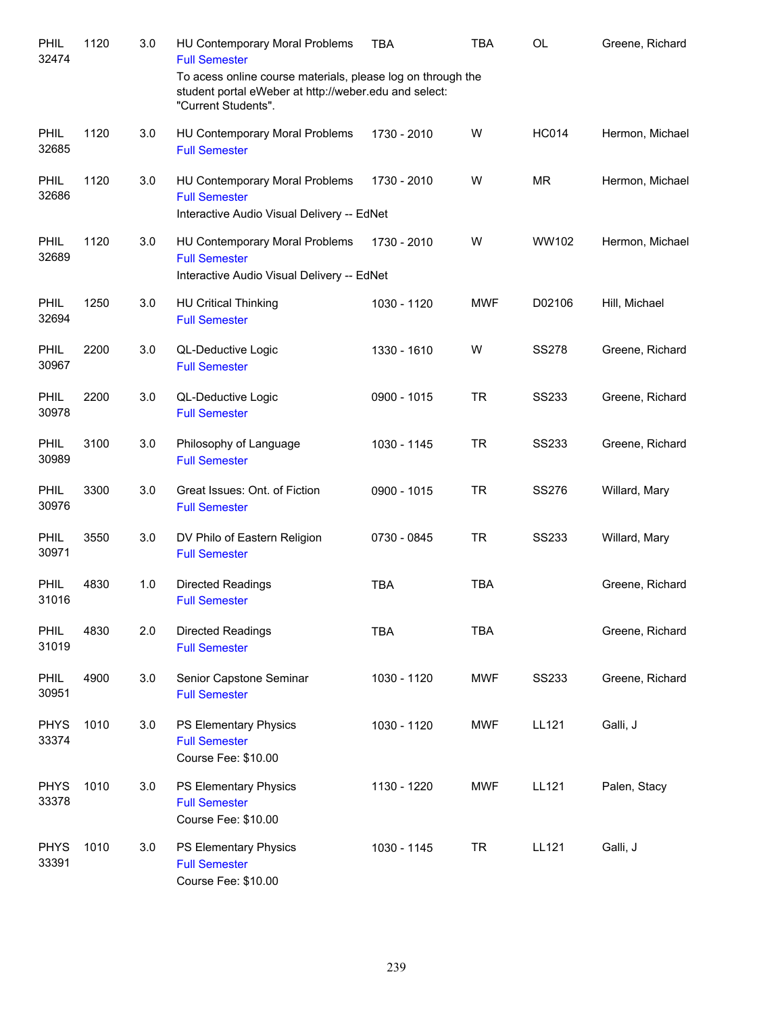| PHIL<br>32474        | 1120 | 3.0 | HU Contemporary Moral Problems<br><b>Full Semester</b>                                                                                      | <b>TBA</b>  | <b>TBA</b> | <b>OL</b>    | Greene, Richard |
|----------------------|------|-----|---------------------------------------------------------------------------------------------------------------------------------------------|-------------|------------|--------------|-----------------|
|                      |      |     | To acess online course materials, please log on through the<br>student portal eWeber at http://weber.edu and select:<br>"Current Students". |             |            |              |                 |
| PHIL<br>32685        | 1120 | 3.0 | HU Contemporary Moral Problems<br><b>Full Semester</b>                                                                                      | 1730 - 2010 | W          | <b>HC014</b> | Hermon, Michael |
| PHIL<br>32686        | 1120 | 3.0 | HU Contemporary Moral Problems<br><b>Full Semester</b><br>Interactive Audio Visual Delivery -- EdNet                                        | 1730 - 2010 | W          | <b>MR</b>    | Hermon, Michael |
| PHIL<br>32689        | 1120 | 3.0 | HU Contemporary Moral Problems<br><b>Full Semester</b><br>Interactive Audio Visual Delivery -- EdNet                                        | 1730 - 2010 | W          | WW102        | Hermon, Michael |
| PHIL<br>32694        | 1250 | 3.0 | <b>HU Critical Thinking</b><br><b>Full Semester</b>                                                                                         | 1030 - 1120 | <b>MWF</b> | D02106       | Hill, Michael   |
| PHIL<br>30967        | 2200 | 3.0 | QL-Deductive Logic<br><b>Full Semester</b>                                                                                                  | 1330 - 1610 | W          | <b>SS278</b> | Greene, Richard |
| <b>PHIL</b><br>30978 | 2200 | 3.0 | QL-Deductive Logic<br><b>Full Semester</b>                                                                                                  | 0900 - 1015 | <b>TR</b>  | <b>SS233</b> | Greene, Richard |
| PHIL<br>30989        | 3100 | 3.0 | Philosophy of Language<br><b>Full Semester</b>                                                                                              | 1030 - 1145 | <b>TR</b>  | SS233        | Greene, Richard |
| PHIL<br>30976        | 3300 | 3.0 | Great Issues: Ont. of Fiction<br><b>Full Semester</b>                                                                                       | 0900 - 1015 | <b>TR</b>  | <b>SS276</b> | Willard, Mary   |
| PHIL<br>30971        | 3550 | 3.0 | DV Philo of Eastern Religion<br><b>Full Semester</b>                                                                                        | 0730 - 0845 | <b>TR</b>  | <b>SS233</b> | Willard, Mary   |
| <b>PHIL</b><br>31016 | 4830 | 1.0 | <b>Directed Readings</b><br><b>Full Semester</b>                                                                                            | <b>TBA</b>  | <b>TBA</b> |              | Greene, Richard |
| PHIL<br>31019        | 4830 | 2.0 | <b>Directed Readings</b><br><b>Full Semester</b>                                                                                            | <b>TBA</b>  | <b>TBA</b> |              | Greene, Richard |
| PHIL<br>30951        | 4900 | 3.0 | Senior Capstone Seminar<br><b>Full Semester</b>                                                                                             | 1030 - 1120 | <b>MWF</b> | <b>SS233</b> | Greene, Richard |
| <b>PHYS</b><br>33374 | 1010 | 3.0 | PS Elementary Physics<br><b>Full Semester</b><br>Course Fee: \$10.00                                                                        | 1030 - 1120 | <b>MWF</b> | LL121        | Galli, J        |
| <b>PHYS</b><br>33378 | 1010 | 3.0 | PS Elementary Physics<br><b>Full Semester</b><br>Course Fee: \$10.00                                                                        | 1130 - 1220 | <b>MWF</b> | LL121        | Palen, Stacy    |
| <b>PHYS</b><br>33391 | 1010 | 3.0 | PS Elementary Physics<br><b>Full Semester</b><br>Course Fee: \$10.00                                                                        | 1030 - 1145 | <b>TR</b>  | LL121        | Galli, J        |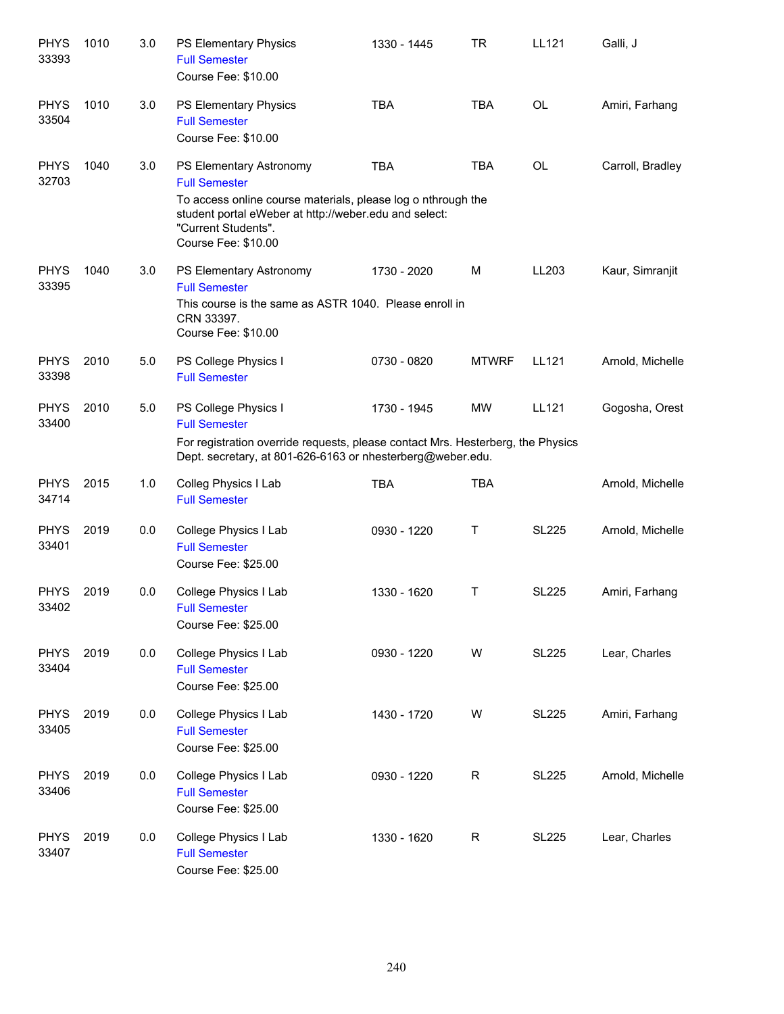| <b>PHYS</b><br>33393 | 1010 | 3.0 | PS Elementary Physics<br><b>Full Semester</b><br>Course Fee: \$10.00                                                                                                                                                   | 1330 - 1445 | <b>TR</b>    | LL121        | Galli, J         |
|----------------------|------|-----|------------------------------------------------------------------------------------------------------------------------------------------------------------------------------------------------------------------------|-------------|--------------|--------------|------------------|
| <b>PHYS</b><br>33504 | 1010 | 3.0 | PS Elementary Physics<br><b>Full Semester</b><br>Course Fee: \$10.00                                                                                                                                                   | <b>TBA</b>  | <b>TBA</b>   | <b>OL</b>    | Amiri, Farhang   |
| <b>PHYS</b><br>32703 | 1040 | 3.0 | PS Elementary Astronomy<br><b>Full Semester</b><br>To access online course materials, please log o nthrough the<br>student portal eWeber at http://weber.edu and select:<br>"Current Students".<br>Course Fee: \$10.00 | <b>TBA</b>  | <b>TBA</b>   | OL           | Carroll, Bradley |
| <b>PHYS</b><br>33395 | 1040 | 3.0 | PS Elementary Astronomy<br><b>Full Semester</b><br>This course is the same as ASTR 1040. Please enroll in<br>CRN 33397.<br>Course Fee: \$10.00                                                                         | 1730 - 2020 | M            | LL203        | Kaur, Simranjit  |
| <b>PHYS</b><br>33398 | 2010 | 5.0 | PS College Physics I<br><b>Full Semester</b>                                                                                                                                                                           | 0730 - 0820 | <b>MTWRF</b> | LL121        | Arnold, Michelle |
| <b>PHYS</b><br>33400 | 2010 | 5.0 | PS College Physics I<br><b>Full Semester</b><br>For registration override requests, please contact Mrs. Hesterberg, the Physics<br>Dept. secretary, at 801-626-6163 or nhesterberg@weber.edu.                          | 1730 - 1945 | <b>MW</b>    | LL121        | Gogosha, Orest   |
| <b>PHYS</b><br>34714 | 2015 | 1.0 | Colleg Physics I Lab<br><b>Full Semester</b>                                                                                                                                                                           | <b>TBA</b>  | <b>TBA</b>   |              | Arnold, Michelle |
| <b>PHYS</b><br>33401 | 2019 | 0.0 | College Physics I Lab<br><b>Full Semester</b><br>Course Fee: \$25.00                                                                                                                                                   | 0930 - 1220 | Т            | <b>SL225</b> | Arnold, Michelle |
| <b>PHYS</b><br>33402 | 2019 | 0.0 | College Physics I Lab<br><b>Full Semester</b><br>Course Fee: \$25.00                                                                                                                                                   | 1330 - 1620 | Τ            | <b>SL225</b> | Amiri, Farhang   |
| <b>PHYS</b><br>33404 | 2019 | 0.0 | College Physics I Lab<br><b>Full Semester</b><br>Course Fee: \$25.00                                                                                                                                                   | 0930 - 1220 | W            | <b>SL225</b> | Lear, Charles    |
| <b>PHYS</b><br>33405 | 2019 | 0.0 | College Physics I Lab<br><b>Full Semester</b><br>Course Fee: \$25.00                                                                                                                                                   | 1430 - 1720 | W            | <b>SL225</b> | Amiri, Farhang   |
| <b>PHYS</b><br>33406 | 2019 | 0.0 | College Physics I Lab<br><b>Full Semester</b><br>Course Fee: \$25.00                                                                                                                                                   | 0930 - 1220 | $\mathsf R$  | <b>SL225</b> | Arnold, Michelle |
| <b>PHYS</b><br>33407 | 2019 | 0.0 | College Physics I Lab<br><b>Full Semester</b><br>Course Fee: \$25.00                                                                                                                                                   | 1330 - 1620 | $\mathsf R$  | <b>SL225</b> | Lear, Charles    |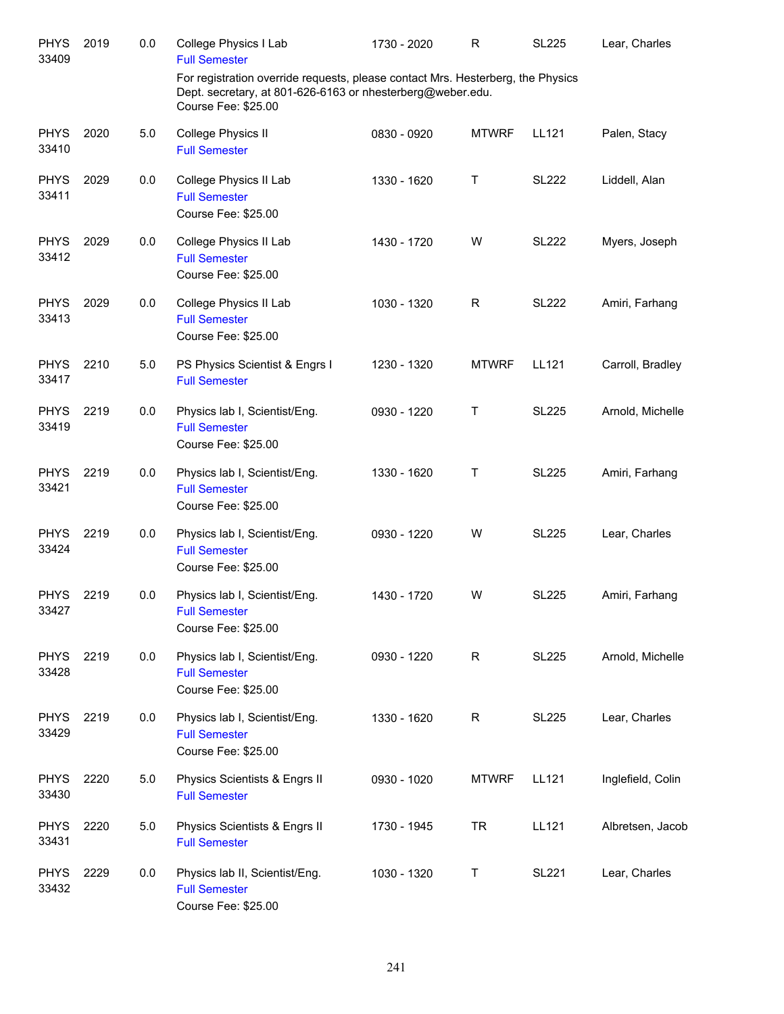| <b>PHYS</b><br>33409 | 2019 | 0.0 | College Physics I Lab<br><b>Full Semester</b>                                                                                                                        | 1730 - 2020 | $\mathsf{R}$ | <b>SL225</b> | Lear, Charles     |
|----------------------|------|-----|----------------------------------------------------------------------------------------------------------------------------------------------------------------------|-------------|--------------|--------------|-------------------|
|                      |      |     | For registration override requests, please contact Mrs. Hesterberg, the Physics<br>Dept. secretary, at 801-626-6163 or nhesterberg@weber.edu.<br>Course Fee: \$25.00 |             |              |              |                   |
| <b>PHYS</b><br>33410 | 2020 | 5.0 | College Physics II<br><b>Full Semester</b>                                                                                                                           | 0830 - 0920 | <b>MTWRF</b> | LL121        | Palen, Stacy      |
| <b>PHYS</b><br>33411 | 2029 | 0.0 | College Physics II Lab<br><b>Full Semester</b><br>Course Fee: \$25.00                                                                                                | 1330 - 1620 | Τ            | <b>SL222</b> | Liddell, Alan     |
| <b>PHYS</b><br>33412 | 2029 | 0.0 | College Physics II Lab<br><b>Full Semester</b><br>Course Fee: \$25.00                                                                                                | 1430 - 1720 | W            | <b>SL222</b> | Myers, Joseph     |
| <b>PHYS</b><br>33413 | 2029 | 0.0 | College Physics II Lab<br><b>Full Semester</b><br>Course Fee: \$25.00                                                                                                | 1030 - 1320 | $\mathsf{R}$ | <b>SL222</b> | Amiri, Farhang    |
| <b>PHYS</b><br>33417 | 2210 | 5.0 | PS Physics Scientist & Engrs I<br><b>Full Semester</b>                                                                                                               | 1230 - 1320 | <b>MTWRF</b> | LL121        | Carroll, Bradley  |
| <b>PHYS</b><br>33419 | 2219 | 0.0 | Physics lab I, Scientist/Eng.<br><b>Full Semester</b><br>Course Fee: \$25.00                                                                                         | 0930 - 1220 | Τ            | <b>SL225</b> | Arnold, Michelle  |
| <b>PHYS</b><br>33421 | 2219 | 0.0 | Physics lab I, Scientist/Eng.<br><b>Full Semester</b><br>Course Fee: \$25.00                                                                                         | 1330 - 1620 | Τ            | <b>SL225</b> | Amiri, Farhang    |
| <b>PHYS</b><br>33424 | 2219 | 0.0 | Physics lab I, Scientist/Eng.<br><b>Full Semester</b><br>Course Fee: \$25.00                                                                                         | 0930 - 1220 | W            | <b>SL225</b> | Lear, Charles     |
| <b>PHYS</b><br>33427 | 2219 | 0.0 | Physics lab I, Scientist/Eng.<br><b>Full Semester</b><br>Course Fee: \$25.00                                                                                         | 1430 - 1720 | W            | <b>SL225</b> | Amiri, Farhang    |
| <b>PHYS</b><br>33428 | 2219 | 0.0 | Physics lab I, Scientist/Eng.<br><b>Full Semester</b><br>Course Fee: \$25.00                                                                                         | 0930 - 1220 | R            | <b>SL225</b> | Arnold, Michelle  |
| <b>PHYS</b><br>33429 | 2219 | 0.0 | Physics lab I, Scientist/Eng.<br><b>Full Semester</b><br>Course Fee: \$25.00                                                                                         | 1330 - 1620 | R            | SL225        | Lear, Charles     |
| <b>PHYS</b><br>33430 | 2220 | 5.0 | Physics Scientists & Engrs II<br><b>Full Semester</b>                                                                                                                | 0930 - 1020 | <b>MTWRF</b> | LL121        | Inglefield, Colin |
| <b>PHYS</b><br>33431 | 2220 | 5.0 | Physics Scientists & Engrs II<br><b>Full Semester</b>                                                                                                                | 1730 - 1945 | TR           | LL121        | Albretsen, Jacob  |
| <b>PHYS</b><br>33432 | 2229 | 0.0 | Physics lab II, Scientist/Eng.<br><b>Full Semester</b><br>Course Fee: \$25.00                                                                                        | 1030 - 1320 | Τ            | <b>SL221</b> | Lear, Charles     |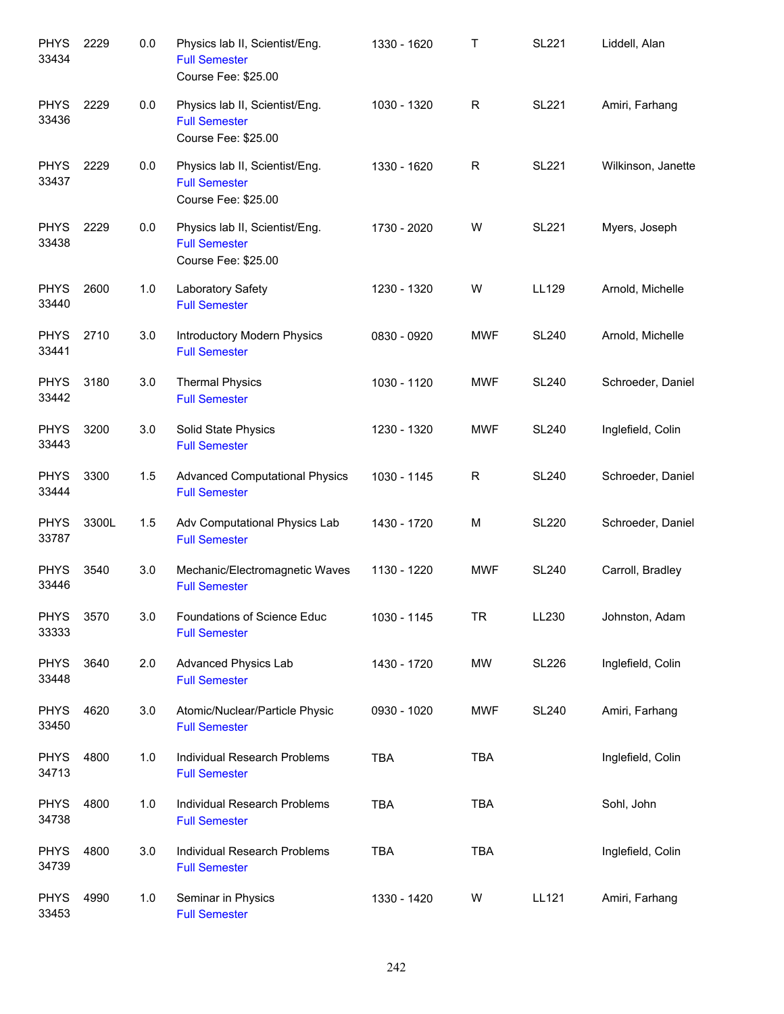| <b>PHYS</b><br>33434 | 2229  | 0.0 | Physics lab II, Scientist/Eng.<br><b>Full Semester</b><br>Course Fee: \$25.00 | 1330 - 1620 | Т          | <b>SL221</b> | Liddell, Alan      |
|----------------------|-------|-----|-------------------------------------------------------------------------------|-------------|------------|--------------|--------------------|
| <b>PHYS</b><br>33436 | 2229  | 0.0 | Physics lab II, Scientist/Eng.<br><b>Full Semester</b><br>Course Fee: \$25.00 | 1030 - 1320 | R          | <b>SL221</b> | Amiri, Farhang     |
| <b>PHYS</b><br>33437 | 2229  | 0.0 | Physics lab II, Scientist/Eng.<br><b>Full Semester</b><br>Course Fee: \$25.00 | 1330 - 1620 | R          | <b>SL221</b> | Wilkinson, Janette |
| <b>PHYS</b><br>33438 | 2229  | 0.0 | Physics lab II, Scientist/Eng.<br><b>Full Semester</b><br>Course Fee: \$25.00 | 1730 - 2020 | W          | <b>SL221</b> | Myers, Joseph      |
| <b>PHYS</b><br>33440 | 2600  | 1.0 | Laboratory Safety<br><b>Full Semester</b>                                     | 1230 - 1320 | W          | LL129        | Arnold, Michelle   |
| <b>PHYS</b><br>33441 | 2710  | 3.0 | Introductory Modern Physics<br><b>Full Semester</b>                           | 0830 - 0920 | <b>MWF</b> | <b>SL240</b> | Arnold, Michelle   |
| <b>PHYS</b><br>33442 | 3180  | 3.0 | <b>Thermal Physics</b><br><b>Full Semester</b>                                | 1030 - 1120 | <b>MWF</b> | <b>SL240</b> | Schroeder, Daniel  |
| <b>PHYS</b><br>33443 | 3200  | 3.0 | Solid State Physics<br><b>Full Semester</b>                                   | 1230 - 1320 | <b>MWF</b> | <b>SL240</b> | Inglefield, Colin  |
| <b>PHYS</b><br>33444 | 3300  | 1.5 | <b>Advanced Computational Physics</b><br><b>Full Semester</b>                 | 1030 - 1145 | R          | <b>SL240</b> | Schroeder, Daniel  |
| <b>PHYS</b><br>33787 | 3300L | 1.5 | Adv Computational Physics Lab<br><b>Full Semester</b>                         | 1430 - 1720 | M          | <b>SL220</b> | Schroeder, Daniel  |
| <b>PHYS</b><br>33446 | 3540  | 3.0 | Mechanic/Electromagnetic Waves<br><b>Full Semester</b>                        | 1130 - 1220 | <b>MWF</b> | <b>SL240</b> | Carroll, Bradley   |
| <b>PHYS</b><br>33333 | 3570  | 3.0 | Foundations of Science Educ<br><b>Full Semester</b>                           | 1030 - 1145 | <b>TR</b>  | LL230        | Johnston, Adam     |
| <b>PHYS</b><br>33448 | 3640  | 2.0 | Advanced Physics Lab<br><b>Full Semester</b>                                  | 1430 - 1720 | MW         | <b>SL226</b> | Inglefield, Colin  |
| <b>PHYS</b><br>33450 | 4620  | 3.0 | Atomic/Nuclear/Particle Physic<br><b>Full Semester</b>                        | 0930 - 1020 | <b>MWF</b> | <b>SL240</b> | Amiri, Farhang     |
| <b>PHYS</b><br>34713 | 4800  | 1.0 | Individual Research Problems<br><b>Full Semester</b>                          | <b>TBA</b>  | <b>TBA</b> |              | Inglefield, Colin  |
| <b>PHYS</b><br>34738 | 4800  | 1.0 | Individual Research Problems<br><b>Full Semester</b>                          | TBA         | <b>TBA</b> |              | Sohl, John         |
| <b>PHYS</b><br>34739 | 4800  | 3.0 | Individual Research Problems<br><b>Full Semester</b>                          | <b>TBA</b>  | <b>TBA</b> |              | Inglefield, Colin  |
| <b>PHYS</b><br>33453 | 4990  | 1.0 | Seminar in Physics<br><b>Full Semester</b>                                    | 1330 - 1420 | W          | LL121        | Amiri, Farhang     |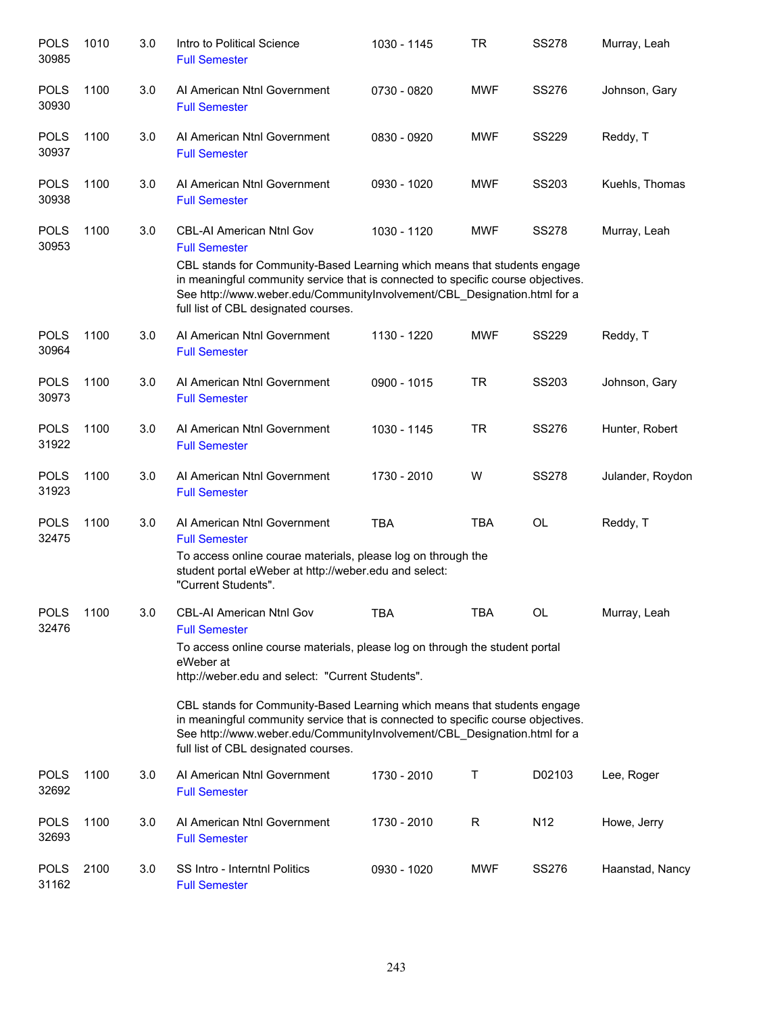| <b>POLS</b><br>30985 | 1010 | 3.0 | Intro to Political Science<br><b>Full Semester</b>                                                                                                                                                                                                                                                                                                                                                                                                                                   | 1030 - 1145 | TR         | <b>SS278</b>    | Murray, Leah     |
|----------------------|------|-----|--------------------------------------------------------------------------------------------------------------------------------------------------------------------------------------------------------------------------------------------------------------------------------------------------------------------------------------------------------------------------------------------------------------------------------------------------------------------------------------|-------------|------------|-----------------|------------------|
| <b>POLS</b><br>30930 | 1100 | 3.0 | Al American Ntnl Government<br><b>Full Semester</b>                                                                                                                                                                                                                                                                                                                                                                                                                                  | 0730 - 0820 | <b>MWF</b> | <b>SS276</b>    | Johnson, Gary    |
| <b>POLS</b><br>30937 | 1100 | 3.0 | AI American Ntnl Government<br><b>Full Semester</b>                                                                                                                                                                                                                                                                                                                                                                                                                                  | 0830 - 0920 | <b>MWF</b> | <b>SS229</b>    | Reddy, T         |
| <b>POLS</b><br>30938 | 1100 | 3.0 | Al American Ntnl Government<br><b>Full Semester</b>                                                                                                                                                                                                                                                                                                                                                                                                                                  | 0930 - 1020 | <b>MWF</b> | SS203           | Kuehls, Thomas   |
| <b>POLS</b><br>30953 | 1100 | 3.0 | <b>CBL-AI American Ntnl Gov</b><br><b>Full Semester</b><br>CBL stands for Community-Based Learning which means that students engage<br>in meaningful community service that is connected to specific course objectives.<br>See http://www.weber.edu/CommunityInvolvement/CBL_Designation.html for a<br>full list of CBL designated courses.                                                                                                                                          | 1030 - 1120 | <b>MWF</b> | <b>SS278</b>    | Murray, Leah     |
| <b>POLS</b><br>30964 | 1100 | 3.0 | Al American Ntnl Government<br><b>Full Semester</b>                                                                                                                                                                                                                                                                                                                                                                                                                                  | 1130 - 1220 | <b>MWF</b> | <b>SS229</b>    | Reddy, T         |
| <b>POLS</b><br>30973 | 1100 | 3.0 | Al American Ntnl Government<br><b>Full Semester</b>                                                                                                                                                                                                                                                                                                                                                                                                                                  | 0900 - 1015 | <b>TR</b>  | SS203           | Johnson, Gary    |
| <b>POLS</b><br>31922 | 1100 | 3.0 | AI American Ntnl Government<br><b>Full Semester</b>                                                                                                                                                                                                                                                                                                                                                                                                                                  | 1030 - 1145 | <b>TR</b>  | <b>SS276</b>    | Hunter, Robert   |
| <b>POLS</b><br>31923 | 1100 | 3.0 | Al American Ntnl Government<br><b>Full Semester</b>                                                                                                                                                                                                                                                                                                                                                                                                                                  | 1730 - 2010 | W          | <b>SS278</b>    | Julander, Roydon |
| <b>POLS</b><br>32475 | 1100 | 3.0 | Al American Ntnl Government<br><b>Full Semester</b><br>To access online courae materials, please log on through the<br>student portal eWeber at http://weber.edu and select:<br>"Current Students".                                                                                                                                                                                                                                                                                  | <b>TBA</b>  | <b>TBA</b> | <b>OL</b>       | Reddy, T         |
| <b>POLS</b><br>32476 | 1100 | 3.0 | CBL-AI American Ntnl Gov<br><b>Full Semester</b><br>To access online course materials, please log on through the student portal<br>eWeber at<br>http://weber.edu and select: "Current Students".<br>CBL stands for Community-Based Learning which means that students engage<br>in meaningful community service that is connected to specific course objectives.<br>See http://www.weber.edu/CommunityInvolvement/CBL_Designation.html for a<br>full list of CBL designated courses. | <b>TBA</b>  | <b>TBA</b> | OL              | Murray, Leah     |
| <b>POLS</b><br>32692 | 1100 | 3.0 | Al American Ntnl Government<br><b>Full Semester</b>                                                                                                                                                                                                                                                                                                                                                                                                                                  | 1730 - 2010 | Т          | D02103          | Lee, Roger       |
| <b>POLS</b><br>32693 | 1100 | 3.0 | Al American Ntnl Government<br><b>Full Semester</b>                                                                                                                                                                                                                                                                                                                                                                                                                                  | 1730 - 2010 | R          | N <sub>12</sub> | Howe, Jerry      |
| <b>POLS</b><br>31162 | 2100 | 3.0 | SS Intro - Interntnl Politics<br><b>Full Semester</b>                                                                                                                                                                                                                                                                                                                                                                                                                                | 0930 - 1020 | <b>MWF</b> | <b>SS276</b>    | Haanstad, Nancy  |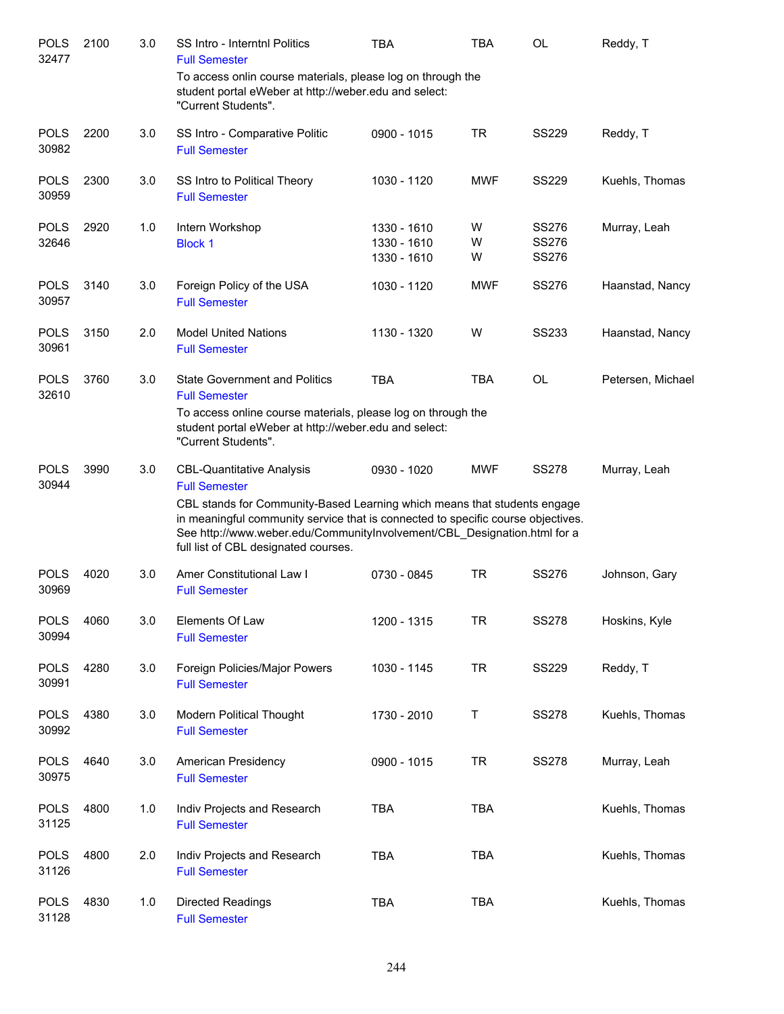| <b>POLS</b><br>32477 | 2100 | 3.0 | SS Intro - Interntnl Politics<br><b>Full Semester</b>                                                                                                                                                                                                                                                                                        | <b>TBA</b>                                | <b>TBA</b>  | OL                                    | Reddy, T          |
|----------------------|------|-----|----------------------------------------------------------------------------------------------------------------------------------------------------------------------------------------------------------------------------------------------------------------------------------------------------------------------------------------------|-------------------------------------------|-------------|---------------------------------------|-------------------|
|                      |      |     | To access onlin course materials, please log on through the<br>student portal eWeber at http://weber.edu and select:<br>"Current Students".                                                                                                                                                                                                  |                                           |             |                                       |                   |
| <b>POLS</b><br>30982 | 2200 | 3.0 | SS Intro - Comparative Politic<br><b>Full Semester</b>                                                                                                                                                                                                                                                                                       | 0900 - 1015                               | <b>TR</b>   | <b>SS229</b>                          | Reddy, T          |
| <b>POLS</b><br>30959 | 2300 | 3.0 | SS Intro to Political Theory<br><b>Full Semester</b>                                                                                                                                                                                                                                                                                         | 1030 - 1120                               | <b>MWF</b>  | <b>SS229</b>                          | Kuehls, Thomas    |
| <b>POLS</b><br>32646 | 2920 | 1.0 | Intern Workshop<br><b>Block 1</b>                                                                                                                                                                                                                                                                                                            | 1330 - 1610<br>1330 - 1610<br>1330 - 1610 | W<br>W<br>W | SS276<br><b>SS276</b><br><b>SS276</b> | Murray, Leah      |
| <b>POLS</b><br>30957 | 3140 | 3.0 | Foreign Policy of the USA<br><b>Full Semester</b>                                                                                                                                                                                                                                                                                            | 1030 - 1120                               | <b>MWF</b>  | <b>SS276</b>                          | Haanstad, Nancy   |
| <b>POLS</b><br>30961 | 3150 | 2.0 | <b>Model United Nations</b><br><b>Full Semester</b>                                                                                                                                                                                                                                                                                          | 1130 - 1320                               | W           | <b>SS233</b>                          | Haanstad, Nancy   |
| <b>POLS</b><br>32610 | 3760 | 3.0 | <b>State Government and Politics</b><br><b>Full Semester</b><br>To access online course materials, please log on through the<br>student portal eWeber at http://weber.edu and select:<br>"Current Students".                                                                                                                                 | <b>TBA</b>                                | <b>TBA</b>  | OL                                    | Petersen, Michael |
| <b>POLS</b><br>30944 | 3990 | 3.0 | <b>CBL-Quantitative Analysis</b><br><b>Full Semester</b><br>CBL stands for Community-Based Learning which means that students engage<br>in meaningful community service that is connected to specific course objectives.<br>See http://www.weber.edu/CommunityInvolvement/CBL_Designation.html for a<br>full list of CBL designated courses. | 0930 - 1020                               | <b>MWF</b>  | <b>SS278</b>                          | Murray, Leah      |
| <b>POLS</b><br>30969 | 4020 | 3.0 | Amer Constitutional Law I<br><b>Full Semester</b>                                                                                                                                                                                                                                                                                            | 0730 - 0845                               | <b>TR</b>   | <b>SS276</b>                          | Johnson, Gary     |
| <b>POLS</b><br>30994 | 4060 | 3.0 | Elements Of Law<br><b>Full Semester</b>                                                                                                                                                                                                                                                                                                      | 1200 - 1315                               | <b>TR</b>   | <b>SS278</b>                          | Hoskins, Kyle     |
| <b>POLS</b><br>30991 | 4280 | 3.0 | Foreign Policies/Major Powers<br><b>Full Semester</b>                                                                                                                                                                                                                                                                                        | 1030 - 1145                               | <b>TR</b>   | <b>SS229</b>                          | Reddy, T          |
| <b>POLS</b><br>30992 | 4380 | 3.0 | Modern Political Thought<br><b>Full Semester</b>                                                                                                                                                                                                                                                                                             | 1730 - 2010                               | Т           | <b>SS278</b>                          | Kuehls, Thomas    |
| <b>POLS</b><br>30975 | 4640 | 3.0 | American Presidency<br><b>Full Semester</b>                                                                                                                                                                                                                                                                                                  | 0900 - 1015                               | <b>TR</b>   | <b>SS278</b>                          | Murray, Leah      |
| <b>POLS</b><br>31125 | 4800 | 1.0 | Indiv Projects and Research<br><b>Full Semester</b>                                                                                                                                                                                                                                                                                          | <b>TBA</b>                                | <b>TBA</b>  |                                       | Kuehls, Thomas    |
| <b>POLS</b><br>31126 | 4800 | 2.0 | Indiv Projects and Research<br><b>Full Semester</b>                                                                                                                                                                                                                                                                                          | <b>TBA</b>                                | <b>TBA</b>  |                                       | Kuehls, Thomas    |
| <b>POLS</b><br>31128 | 4830 | 1.0 | Directed Readings<br><b>Full Semester</b>                                                                                                                                                                                                                                                                                                    | TBA                                       | <b>TBA</b>  |                                       | Kuehls, Thomas    |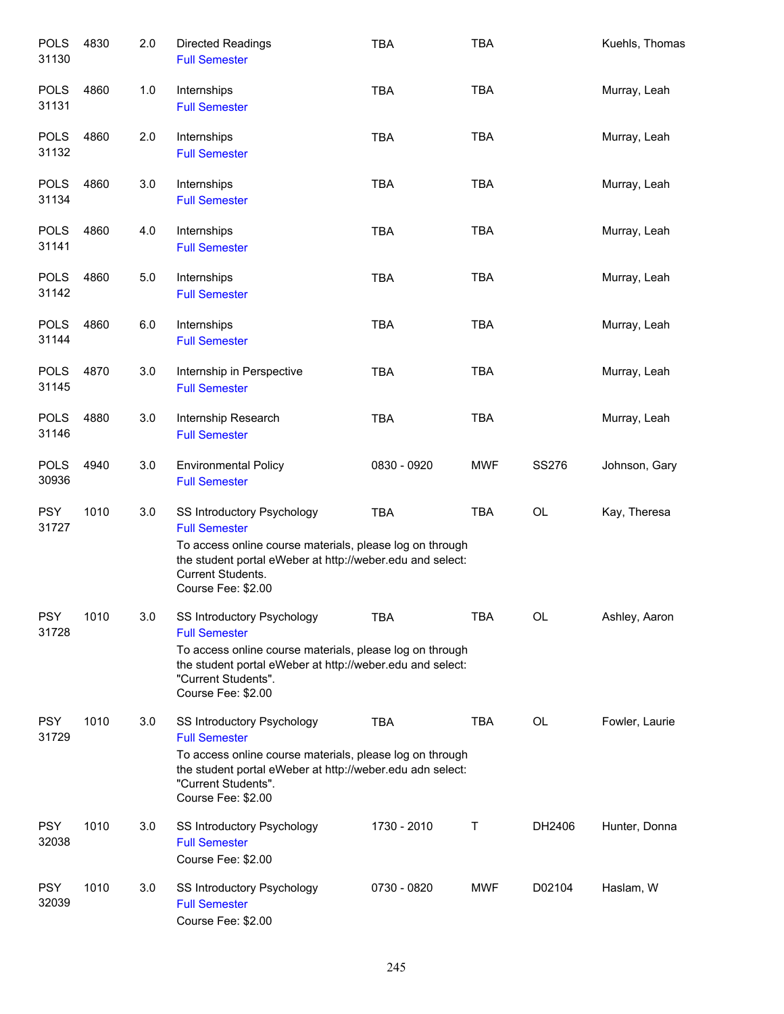| <b>POLS</b><br>31130 | 4830 | 2.0 | <b>Directed Readings</b><br><b>Full Semester</b>                                                                                                                                                                         | <b>TBA</b>  | <b>TBA</b> |              | Kuehls, Thomas |
|----------------------|------|-----|--------------------------------------------------------------------------------------------------------------------------------------------------------------------------------------------------------------------------|-------------|------------|--------------|----------------|
| <b>POLS</b><br>31131 | 4860 | 1.0 | Internships<br><b>Full Semester</b>                                                                                                                                                                                      | <b>TBA</b>  | <b>TBA</b> |              | Murray, Leah   |
| <b>POLS</b><br>31132 | 4860 | 2.0 | Internships<br><b>Full Semester</b>                                                                                                                                                                                      | <b>TBA</b>  | <b>TBA</b> |              | Murray, Leah   |
| <b>POLS</b><br>31134 | 4860 | 3.0 | Internships<br><b>Full Semester</b>                                                                                                                                                                                      | <b>TBA</b>  | <b>TBA</b> |              | Murray, Leah   |
| <b>POLS</b><br>31141 | 4860 | 4.0 | Internships<br><b>Full Semester</b>                                                                                                                                                                                      | <b>TBA</b>  | <b>TBA</b> |              | Murray, Leah   |
| <b>POLS</b><br>31142 | 4860 | 5.0 | Internships<br><b>Full Semester</b>                                                                                                                                                                                      | <b>TBA</b>  | <b>TBA</b> |              | Murray, Leah   |
| <b>POLS</b><br>31144 | 4860 | 6.0 | Internships<br><b>Full Semester</b>                                                                                                                                                                                      | <b>TBA</b>  | <b>TBA</b> |              | Murray, Leah   |
| <b>POLS</b><br>31145 | 4870 | 3.0 | Internship in Perspective<br><b>Full Semester</b>                                                                                                                                                                        | <b>TBA</b>  | <b>TBA</b> |              | Murray, Leah   |
| <b>POLS</b><br>31146 | 4880 | 3.0 | Internship Research<br><b>Full Semester</b>                                                                                                                                                                              | <b>TBA</b>  | <b>TBA</b> |              | Murray, Leah   |
| <b>POLS</b><br>30936 | 4940 | 3.0 | <b>Environmental Policy</b><br><b>Full Semester</b>                                                                                                                                                                      | 0830 - 0920 | <b>MWF</b> | <b>SS276</b> | Johnson, Gary  |
| <b>PSY</b><br>31727  | 1010 | 3.0 | SS Introductory Psychology<br><b>Full Semester</b><br>To access online course materials, please log on through<br>the student portal eWeber at http://weber.edu and select:<br>Current Students.<br>Course Fee: \$2.00   | <b>TBA</b>  | <b>TBA</b> | OL           | Kay, Theresa   |
| <b>PSY</b><br>31728  | 1010 | 3.0 | SS Introductory Psychology<br><b>Full Semester</b><br>To access online course materials, please log on through<br>the student portal eWeber at http://weber.edu and select:<br>"Current Students".<br>Course Fee: \$2.00 | TBA         | TBA        | OL           | Ashley, Aaron  |
| <b>PSY</b><br>31729  | 1010 | 3.0 | SS Introductory Psychology<br><b>Full Semester</b><br>To access online course materials, please log on through<br>the student portal eWeber at http://weber.edu adn select:<br>"Current Students".<br>Course Fee: \$2.00 | <b>TBA</b>  | TBA        | <b>OL</b>    | Fowler, Laurie |
| <b>PSY</b><br>32038  | 1010 | 3.0 | SS Introductory Psychology<br><b>Full Semester</b><br>Course Fee: \$2.00                                                                                                                                                 | 1730 - 2010 | Τ          | DH2406       | Hunter, Donna  |
| <b>PSY</b><br>32039  | 1010 | 3.0 | SS Introductory Psychology<br><b>Full Semester</b><br>Course Fee: \$2.00                                                                                                                                                 | 0730 - 0820 | <b>MWF</b> | D02104       | Haslam, W      |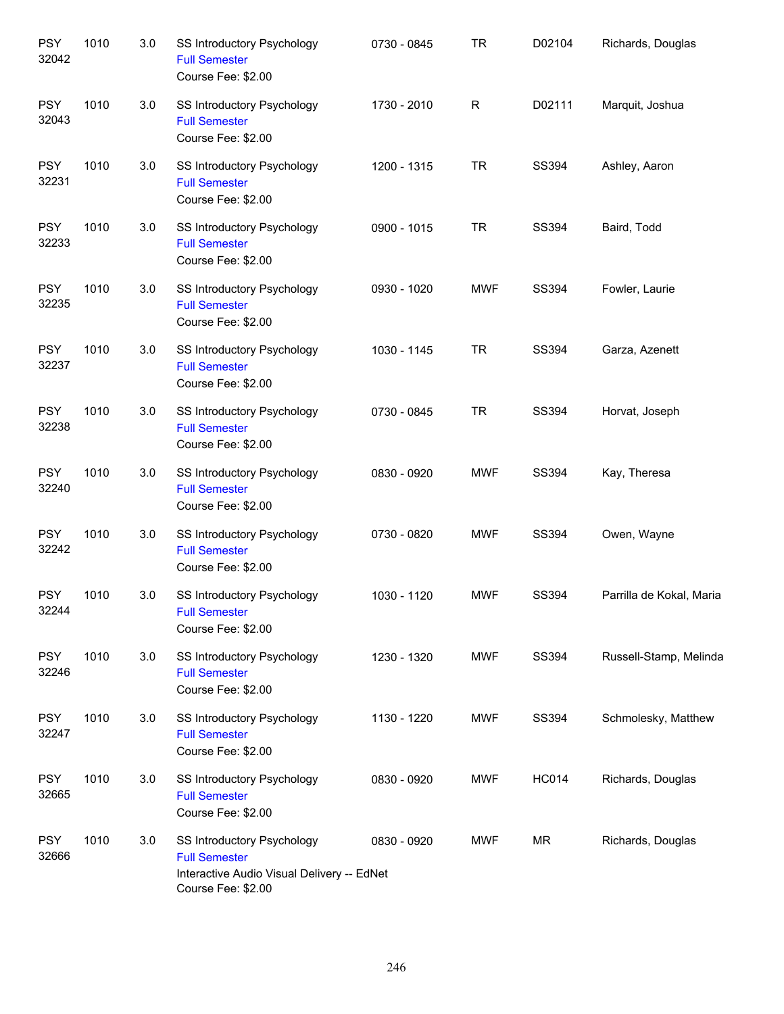| <b>PSY</b><br>32042 | 1010 | 3.0 | SS Introductory Psychology<br><b>Full Semester</b><br>Course Fee: \$2.00                                               | 0730 - 0845 | <b>TR</b>   | D02104       | Richards, Douglas        |
|---------------------|------|-----|------------------------------------------------------------------------------------------------------------------------|-------------|-------------|--------------|--------------------------|
| <b>PSY</b><br>32043 | 1010 | 3.0 | SS Introductory Psychology<br><b>Full Semester</b><br>Course Fee: \$2.00                                               | 1730 - 2010 | $\mathsf R$ | D02111       | Marquit, Joshua          |
| <b>PSY</b><br>32231 | 1010 | 3.0 | SS Introductory Psychology<br><b>Full Semester</b><br>Course Fee: \$2.00                                               | 1200 - 1315 | <b>TR</b>   | SS394        | Ashley, Aaron            |
| <b>PSY</b><br>32233 | 1010 | 3.0 | SS Introductory Psychology<br><b>Full Semester</b><br>Course Fee: \$2.00                                               | 0900 - 1015 | <b>TR</b>   | SS394        | Baird, Todd              |
| <b>PSY</b><br>32235 | 1010 | 3.0 | SS Introductory Psychology<br><b>Full Semester</b><br>Course Fee: \$2.00                                               | 0930 - 1020 | <b>MWF</b>  | SS394        | Fowler, Laurie           |
| <b>PSY</b><br>32237 | 1010 | 3.0 | SS Introductory Psychology<br><b>Full Semester</b><br>Course Fee: \$2.00                                               | 1030 - 1145 | <b>TR</b>   | SS394        | Garza, Azenett           |
| <b>PSY</b><br>32238 | 1010 | 3.0 | SS Introductory Psychology<br><b>Full Semester</b><br>Course Fee: \$2.00                                               | 0730 - 0845 | <b>TR</b>   | <b>SS394</b> | Horvat, Joseph           |
| <b>PSY</b><br>32240 | 1010 | 3.0 | SS Introductory Psychology<br><b>Full Semester</b><br>Course Fee: \$2.00                                               | 0830 - 0920 | <b>MWF</b>  | <b>SS394</b> | Kay, Theresa             |
| <b>PSY</b><br>32242 | 1010 | 3.0 | SS Introductory Psychology<br><b>Full Semester</b><br>Course Fee: \$2.00                                               | 0730 - 0820 | <b>MWF</b>  | <b>SS394</b> | Owen, Wayne              |
| <b>PSY</b><br>32244 | 1010 | 3.0 | SS Introductory Psychology<br><b>Full Semester</b><br>Course Fee: \$2.00                                               | 1030 - 1120 | <b>MWF</b>  | <b>SS394</b> | Parrilla de Kokal, Maria |
| <b>PSY</b><br>32246 | 1010 | 3.0 | <b>SS Introductory Psychology</b><br><b>Full Semester</b><br>Course Fee: \$2.00                                        | 1230 - 1320 | <b>MWF</b>  | SS394        | Russell-Stamp, Melinda   |
| <b>PSY</b><br>32247 | 1010 | 3.0 | SS Introductory Psychology<br><b>Full Semester</b><br>Course Fee: \$2.00                                               | 1130 - 1220 | <b>MWF</b>  | SS394        | Schmolesky, Matthew      |
| <b>PSY</b><br>32665 | 1010 | 3.0 | SS Introductory Psychology<br><b>Full Semester</b><br>Course Fee: \$2.00                                               | 0830 - 0920 | <b>MWF</b>  | <b>HC014</b> | Richards, Douglas        |
| <b>PSY</b><br>32666 | 1010 | 3.0 | SS Introductory Psychology<br><b>Full Semester</b><br>Interactive Audio Visual Delivery -- EdNet<br>Course Fee: \$2.00 | 0830 - 0920 | <b>MWF</b>  | ΜR           | Richards, Douglas        |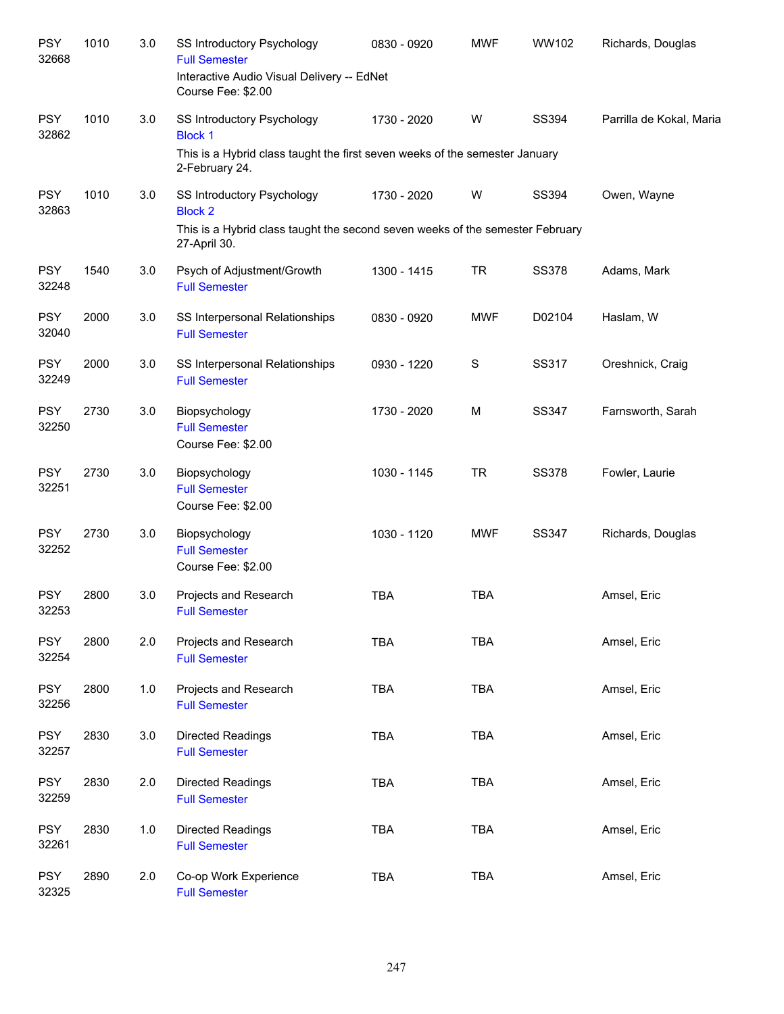| <b>PSY</b><br>32668 | 1010 | 3.0 | SS Introductory Psychology<br><b>Full Semester</b><br>Interactive Audio Visual Delivery -- EdNet<br>Course Fee: \$2.00                               | 0830 - 0920 | <b>MWF</b>    | WW102        | Richards, Douglas        |
|---------------------|------|-----|------------------------------------------------------------------------------------------------------------------------------------------------------|-------------|---------------|--------------|--------------------------|
| <b>PSY</b><br>32862 | 1010 | 3.0 | SS Introductory Psychology<br><b>Block 1</b>                                                                                                         | 1730 - 2020 | W             | SS394        | Parrilla de Kokal, Maria |
|                     |      |     | This is a Hybrid class taught the first seven weeks of the semester January<br>2-February 24.                                                        |             |               |              |                          |
| <b>PSY</b><br>32863 | 1010 | 3.0 | <b>SS Introductory Psychology</b><br><b>Block 2</b><br>This is a Hybrid class taught the second seven weeks of the semester February<br>27-April 30. | 1730 - 2020 | W             | SS394        | Owen, Wayne              |
| <b>PSY</b><br>32248 | 1540 | 3.0 | Psych of Adjustment/Growth<br><b>Full Semester</b>                                                                                                   | 1300 - 1415 | <b>TR</b>     | <b>SS378</b> | Adams, Mark              |
| <b>PSY</b><br>32040 | 2000 | 3.0 | SS Interpersonal Relationships<br><b>Full Semester</b>                                                                                               | 0830 - 0920 | <b>MWF</b>    | D02104       | Haslam, W                |
| <b>PSY</b><br>32249 | 2000 | 3.0 | SS Interpersonal Relationships<br><b>Full Semester</b>                                                                                               | 0930 - 1220 | ${\mathsf S}$ | SS317        | Oreshnick, Craig         |
| <b>PSY</b><br>32250 | 2730 | 3.0 | Biopsychology<br><b>Full Semester</b><br>Course Fee: \$2.00                                                                                          | 1730 - 2020 | M             | <b>SS347</b> | Farnsworth, Sarah        |
| <b>PSY</b><br>32251 | 2730 | 3.0 | Biopsychology<br><b>Full Semester</b><br>Course Fee: \$2.00                                                                                          | 1030 - 1145 | <b>TR</b>     | <b>SS378</b> | Fowler, Laurie           |
| <b>PSY</b><br>32252 | 2730 | 3.0 | Biopsychology<br><b>Full Semester</b><br>Course Fee: \$2.00                                                                                          | 1030 - 1120 | <b>MWF</b>    | SS347        | Richards, Douglas        |
| <b>PSY</b><br>32253 | 2800 | 3.0 | Projects and Research<br><b>Full Semester</b>                                                                                                        | <b>TBA</b>  | <b>TBA</b>    |              | Amsel, Eric              |
| <b>PSY</b><br>32254 | 2800 | 2.0 | Projects and Research<br><b>Full Semester</b>                                                                                                        | <b>TBA</b>  | <b>TBA</b>    |              | Amsel, Eric              |
| <b>PSY</b><br>32256 | 2800 | 1.0 | Projects and Research<br><b>Full Semester</b>                                                                                                        | <b>TBA</b>  | TBA           |              | Amsel, Eric              |
| <b>PSY</b><br>32257 | 2830 | 3.0 | <b>Directed Readings</b><br><b>Full Semester</b>                                                                                                     | <b>TBA</b>  | <b>TBA</b>    |              | Amsel, Eric              |
| <b>PSY</b><br>32259 | 2830 | 2.0 | Directed Readings<br><b>Full Semester</b>                                                                                                            | <b>TBA</b>  | <b>TBA</b>    |              | Amsel, Eric              |
| <b>PSY</b><br>32261 | 2830 | 1.0 | Directed Readings<br><b>Full Semester</b>                                                                                                            | TBA         | <b>TBA</b>    |              | Amsel, Eric              |
| <b>PSY</b><br>32325 | 2890 | 2.0 | Co-op Work Experience<br><b>Full Semester</b>                                                                                                        | TBA         | TBA           |              | Amsel, Eric              |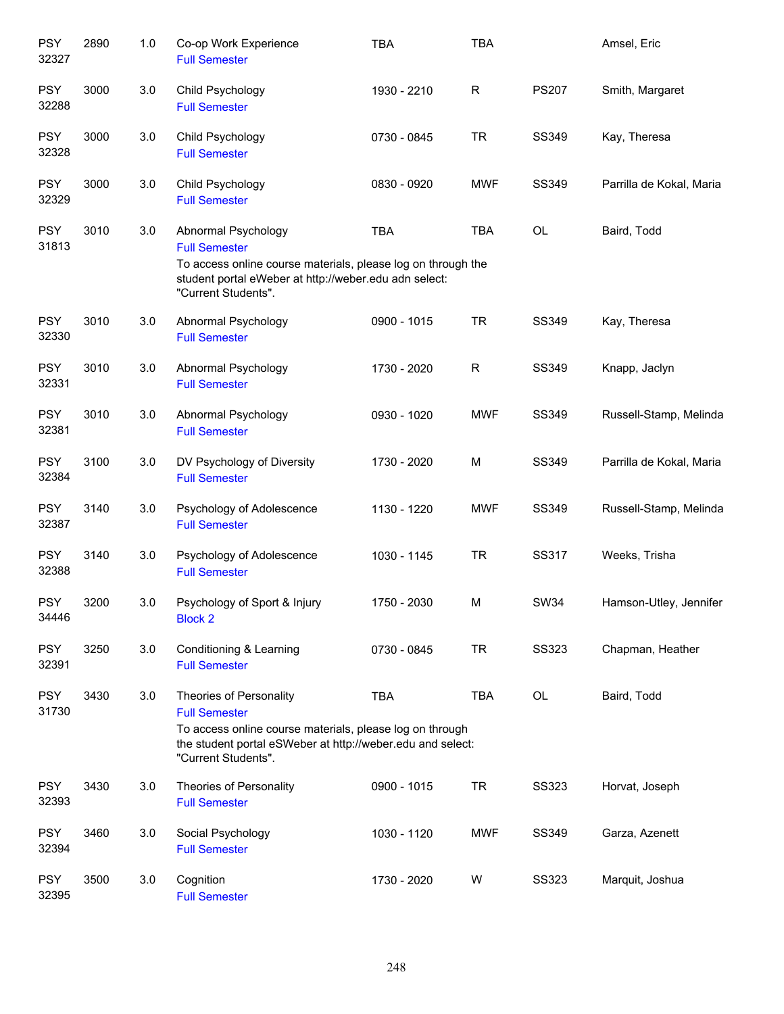| <b>PSY</b><br>32327 | 2890 | 1.0 | Co-op Work Experience<br><b>Full Semester</b>                                                                                                                                                    | <b>TBA</b>  | <b>TBA</b> |              | Amsel, Eric              |
|---------------------|------|-----|--------------------------------------------------------------------------------------------------------------------------------------------------------------------------------------------------|-------------|------------|--------------|--------------------------|
| <b>PSY</b><br>32288 | 3000 | 3.0 | Child Psychology<br><b>Full Semester</b>                                                                                                                                                         | 1930 - 2210 | R          | <b>PS207</b> | Smith, Margaret          |
| <b>PSY</b><br>32328 | 3000 | 3.0 | Child Psychology<br><b>Full Semester</b>                                                                                                                                                         | 0730 - 0845 | <b>TR</b>  | SS349        | Kay, Theresa             |
| <b>PSY</b><br>32329 | 3000 | 3.0 | Child Psychology<br><b>Full Semester</b>                                                                                                                                                         | 0830 - 0920 | <b>MWF</b> | SS349        | Parrilla de Kokal, Maria |
| <b>PSY</b><br>31813 | 3010 | 3.0 | Abnormal Psychology<br><b>Full Semester</b><br>To access online course materials, please log on through the<br>student portal eWeber at http://weber.edu adn select:<br>"Current Students".      | <b>TBA</b>  | <b>TBA</b> | OL           | Baird, Todd              |
| <b>PSY</b><br>32330 | 3010 | 3.0 | Abnormal Psychology<br><b>Full Semester</b>                                                                                                                                                      | 0900 - 1015 | <b>TR</b>  | SS349        | Kay, Theresa             |
| <b>PSY</b><br>32331 | 3010 | 3.0 | Abnormal Psychology<br><b>Full Semester</b>                                                                                                                                                      | 1730 - 2020 | R          | SS349        | Knapp, Jaclyn            |
| <b>PSY</b><br>32381 | 3010 | 3.0 | Abnormal Psychology<br><b>Full Semester</b>                                                                                                                                                      | 0930 - 1020 | <b>MWF</b> | <b>SS349</b> | Russell-Stamp, Melinda   |
| <b>PSY</b><br>32384 | 3100 | 3.0 | DV Psychology of Diversity<br><b>Full Semester</b>                                                                                                                                               | 1730 - 2020 | M          | SS349        | Parrilla de Kokal, Maria |
| <b>PSY</b><br>32387 | 3140 | 3.0 | Psychology of Adolescence<br><b>Full Semester</b>                                                                                                                                                | 1130 - 1220 | <b>MWF</b> | SS349        | Russell-Stamp, Melinda   |
| <b>PSY</b><br>32388 | 3140 | 3.0 | Psychology of Adolescence<br><b>Full Semester</b>                                                                                                                                                | 1030 - 1145 | <b>TR</b>  | SS317        | Weeks, Trisha            |
| <b>PSY</b><br>34446 | 3200 | 3.0 | Psychology of Sport & Injury<br><b>Block 2</b>                                                                                                                                                   | 1750 - 2030 | M          | <b>SW34</b>  | Hamson-Utley, Jennifer   |
| <b>PSY</b><br>32391 | 3250 | 3.0 | Conditioning & Learning<br><b>Full Semester</b>                                                                                                                                                  | 0730 - 0845 | <b>TR</b>  | <b>SS323</b> | Chapman, Heather         |
| <b>PSY</b><br>31730 | 3430 | 3.0 | Theories of Personality<br><b>Full Semester</b><br>To access online course materials, please log on through<br>the student portal eSWeber at http://weber.edu and select:<br>"Current Students". | <b>TBA</b>  | <b>TBA</b> | OL           | Baird, Todd              |
| <b>PSY</b><br>32393 | 3430 | 3.0 | Theories of Personality<br><b>Full Semester</b>                                                                                                                                                  | 0900 - 1015 | <b>TR</b>  | <b>SS323</b> | Horvat, Joseph           |
| <b>PSY</b><br>32394 | 3460 | 3.0 | Social Psychology<br><b>Full Semester</b>                                                                                                                                                        | 1030 - 1120 | <b>MWF</b> | SS349        | Garza, Azenett           |
| <b>PSY</b><br>32395 | 3500 | 3.0 | Cognition<br><b>Full Semester</b>                                                                                                                                                                | 1730 - 2020 | W          | <b>SS323</b> | Marquit, Joshua          |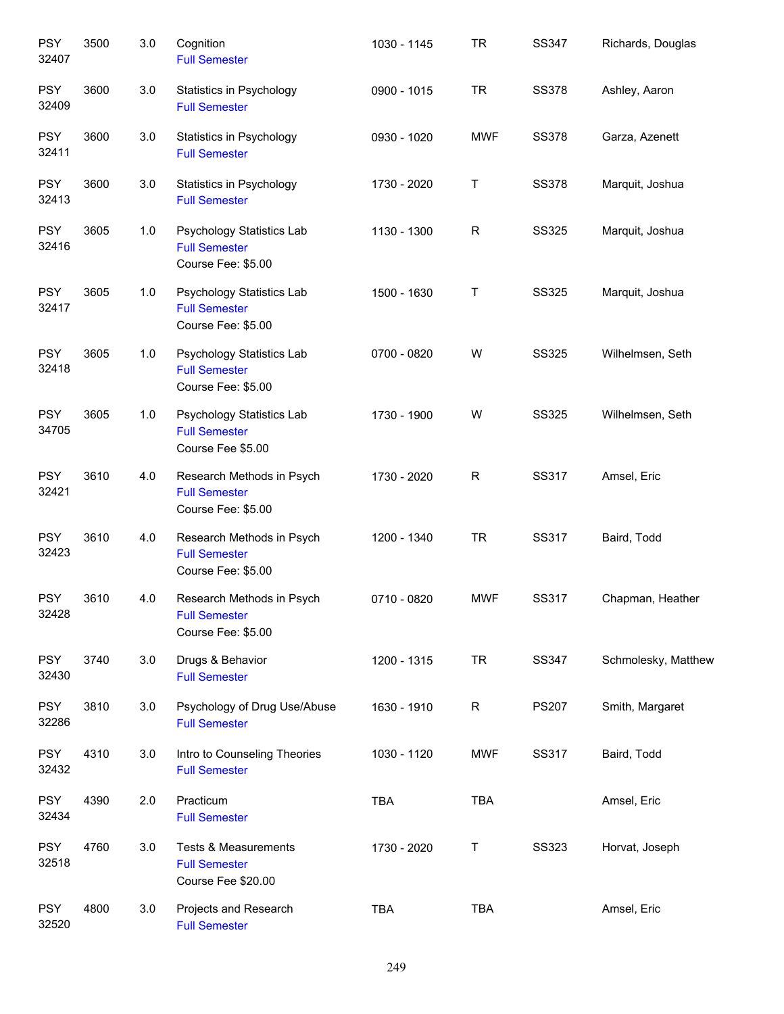| <b>PSY</b><br>32407 | 3500 | 3.0   | Cognition<br><b>Full Semester</b>                                             | 1030 - 1145 | <b>TR</b>    | SS347        | Richards, Douglas   |
|---------------------|------|-------|-------------------------------------------------------------------------------|-------------|--------------|--------------|---------------------|
| <b>PSY</b><br>32409 | 3600 | 3.0   | Statistics in Psychology<br><b>Full Semester</b>                              | 0900 - 1015 | <b>TR</b>    | <b>SS378</b> | Ashley, Aaron       |
| <b>PSY</b><br>32411 | 3600 | 3.0   | Statistics in Psychology<br><b>Full Semester</b>                              | 0930 - 1020 | <b>MWF</b>   | <b>SS378</b> | Garza, Azenett      |
| <b>PSY</b><br>32413 | 3600 | 3.0   | Statistics in Psychology<br><b>Full Semester</b>                              | 1730 - 2020 | T            | <b>SS378</b> | Marquit, Joshua     |
| <b>PSY</b><br>32416 | 3605 | 1.0   | Psychology Statistics Lab<br><b>Full Semester</b><br>Course Fee: \$5.00       | 1130 - 1300 | $\mathsf{R}$ | <b>SS325</b> | Marquit, Joshua     |
| <b>PSY</b><br>32417 | 3605 | 1.0   | Psychology Statistics Lab<br><b>Full Semester</b><br>Course Fee: \$5.00       | 1500 - 1630 | $\sf T$      | <b>SS325</b> | Marquit, Joshua     |
| <b>PSY</b><br>32418 | 3605 | $1.0$ | Psychology Statistics Lab<br><b>Full Semester</b><br>Course Fee: \$5.00       | 0700 - 0820 | W            | <b>SS325</b> | Wilhelmsen, Seth    |
| <b>PSY</b><br>34705 | 3605 | $1.0$ | Psychology Statistics Lab<br><b>Full Semester</b><br>Course Fee \$5.00        | 1730 - 1900 | W            | <b>SS325</b> | Wilhelmsen, Seth    |
| <b>PSY</b><br>32421 | 3610 | 4.0   | Research Methods in Psych<br><b>Full Semester</b><br>Course Fee: \$5.00       | 1730 - 2020 | ${\sf R}$    | SS317        | Amsel, Eric         |
| <b>PSY</b><br>32423 | 3610 | 4.0   | Research Methods in Psych<br><b>Full Semester</b><br>Course Fee: \$5.00       | 1200 - 1340 | <b>TR</b>    | SS317        | Baird, Todd         |
| <b>PSY</b><br>32428 | 3610 | 4.0   | Research Methods in Psych<br><b>Full Semester</b><br>Course Fee: \$5.00       | 0710 - 0820 | <b>MWF</b>   | <b>SS317</b> | Chapman, Heather    |
| <b>PSY</b><br>32430 | 3740 | 3.0   | Drugs & Behavior<br><b>Full Semester</b>                                      | 1200 - 1315 | <b>TR</b>    | <b>SS347</b> | Schmolesky, Matthew |
| <b>PSY</b><br>32286 | 3810 | 3.0   | Psychology of Drug Use/Abuse<br><b>Full Semester</b>                          | 1630 - 1910 | $\mathsf{R}$ | <b>PS207</b> | Smith, Margaret     |
| <b>PSY</b><br>32432 | 4310 | 3.0   | Intro to Counseling Theories<br><b>Full Semester</b>                          | 1030 - 1120 | <b>MWF</b>   | SS317        | Baird, Todd         |
| <b>PSY</b><br>32434 | 4390 | 2.0   | Practicum<br><b>Full Semester</b>                                             | TBA         | TBA          |              | Amsel, Eric         |
| <b>PSY</b><br>32518 | 4760 | 3.0   | <b>Tests &amp; Measurements</b><br><b>Full Semester</b><br>Course Fee \$20.00 | 1730 - 2020 | T            | <b>SS323</b> | Horvat, Joseph      |
| <b>PSY</b><br>32520 | 4800 | 3.0   | Projects and Research<br><b>Full Semester</b>                                 | TBA         | TBA          |              | Amsel, Eric         |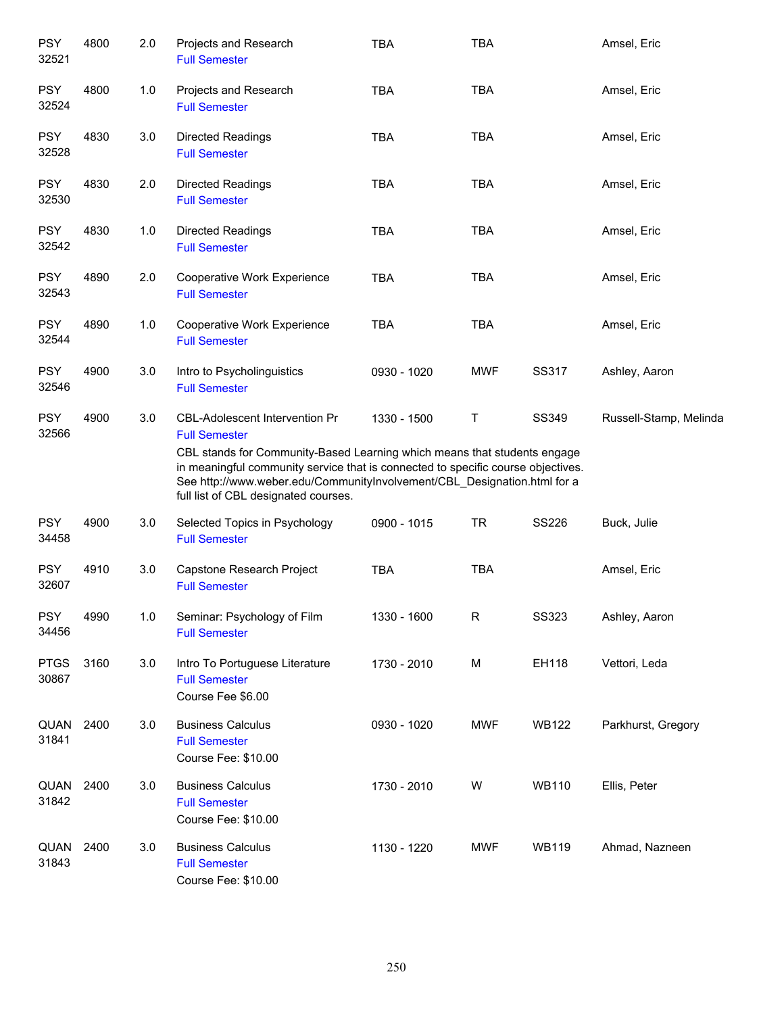| <b>PSY</b><br>32521  | 4800 | 2.0 | Projects and Research<br><b>Full Semester</b>                                                                                                                                                                                                                                                                                              | <b>TBA</b>  | <b>TBA</b>  |              | Amsel, Eric            |
|----------------------|------|-----|--------------------------------------------------------------------------------------------------------------------------------------------------------------------------------------------------------------------------------------------------------------------------------------------------------------------------------------------|-------------|-------------|--------------|------------------------|
| <b>PSY</b><br>32524  | 4800 | 1.0 | Projects and Research<br><b>Full Semester</b>                                                                                                                                                                                                                                                                                              | <b>TBA</b>  | <b>TBA</b>  |              | Amsel, Eric            |
| <b>PSY</b><br>32528  | 4830 | 3.0 | <b>Directed Readings</b><br><b>Full Semester</b>                                                                                                                                                                                                                                                                                           | <b>TBA</b>  | <b>TBA</b>  |              | Amsel, Eric            |
| <b>PSY</b><br>32530  | 4830 | 2.0 | <b>Directed Readings</b><br><b>Full Semester</b>                                                                                                                                                                                                                                                                                           | <b>TBA</b>  | <b>TBA</b>  |              | Amsel, Eric            |
| <b>PSY</b><br>32542  | 4830 | 1.0 | <b>Directed Readings</b><br><b>Full Semester</b>                                                                                                                                                                                                                                                                                           | <b>TBA</b>  | <b>TBA</b>  |              | Amsel, Eric            |
| <b>PSY</b><br>32543  | 4890 | 2.0 | Cooperative Work Experience<br><b>Full Semester</b>                                                                                                                                                                                                                                                                                        | <b>TBA</b>  | <b>TBA</b>  |              | Amsel, Eric            |
| <b>PSY</b><br>32544  | 4890 | 1.0 | Cooperative Work Experience<br><b>Full Semester</b>                                                                                                                                                                                                                                                                                        | <b>TBA</b>  | <b>TBA</b>  |              | Amsel, Eric            |
| <b>PSY</b><br>32546  | 4900 | 3.0 | Intro to Psycholinguistics<br><b>Full Semester</b>                                                                                                                                                                                                                                                                                         | 0930 - 1020 | <b>MWF</b>  | SS317        | Ashley, Aaron          |
| <b>PSY</b><br>32566  | 4900 | 3.0 | CBL-Adolescent Intervention Pr<br><b>Full Semester</b><br>CBL stands for Community-Based Learning which means that students engage<br>in meaningful community service that is connected to specific course objectives.<br>See http://www.weber.edu/CommunityInvolvement/CBL_Designation.html for a<br>full list of CBL designated courses. | 1330 - 1500 | Τ           | SS349        | Russell-Stamp, Melinda |
| <b>PSY</b><br>34458  | 4900 | 3.0 | Selected Topics in Psychology<br><b>Full Semester</b>                                                                                                                                                                                                                                                                                      | 0900 - 1015 | <b>TR</b>   | <b>SS226</b> | Buck, Julie            |
| <b>PSY</b><br>32607  | 4910 | 3.0 | Capstone Research Project<br><b>Full Semester</b>                                                                                                                                                                                                                                                                                          | <b>TBA</b>  | <b>TBA</b>  |              | Amsel, Eric            |
| <b>PSY</b><br>34456  | 4990 | 1.0 | Seminar: Psychology of Film<br><b>Full Semester</b>                                                                                                                                                                                                                                                                                        | 1330 - 1600 | $\mathsf R$ | <b>SS323</b> | Ashley, Aaron          |
| <b>PTGS</b><br>30867 | 3160 | 3.0 | Intro To Portuguese Literature<br><b>Full Semester</b><br>Course Fee \$6.00                                                                                                                                                                                                                                                                | 1730 - 2010 | M           | EH118        | Vettori, Leda          |
| QUAN<br>31841        | 2400 | 3.0 | <b>Business Calculus</b><br><b>Full Semester</b><br>Course Fee: \$10.00                                                                                                                                                                                                                                                                    | 0930 - 1020 | <b>MWF</b>  | <b>WB122</b> | Parkhurst, Gregory     |
| QUAN<br>31842        | 2400 | 3.0 | <b>Business Calculus</b><br><b>Full Semester</b><br>Course Fee: \$10.00                                                                                                                                                                                                                                                                    | 1730 - 2010 | W           | <b>WB110</b> | Ellis, Peter           |
| QUAN<br>31843        | 2400 | 3.0 | <b>Business Calculus</b><br><b>Full Semester</b><br>Course Fee: \$10.00                                                                                                                                                                                                                                                                    | 1130 - 1220 | <b>MWF</b>  | <b>WB119</b> | Ahmad, Nazneen         |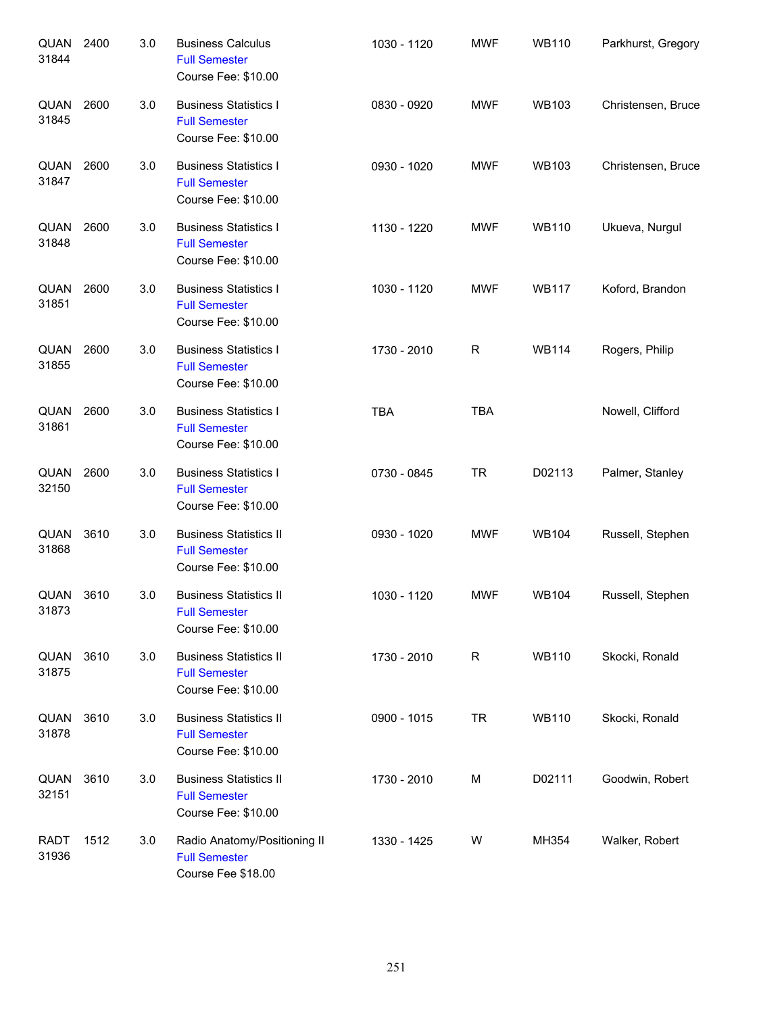| QUAN<br>31844        | 2400 | 3.0 | <b>Business Calculus</b><br><b>Full Semester</b><br>Course Fee: \$10.00      | 1030 - 1120 | <b>MWF</b> | <b>WB110</b> | Parkhurst, Gregory |
|----------------------|------|-----|------------------------------------------------------------------------------|-------------|------------|--------------|--------------------|
| QUAN<br>31845        | 2600 | 3.0 | <b>Business Statistics I</b><br><b>Full Semester</b><br>Course Fee: \$10.00  | 0830 - 0920 | <b>MWF</b> | <b>WB103</b> | Christensen, Bruce |
| QUAN<br>31847        | 2600 | 3.0 | <b>Business Statistics I</b><br><b>Full Semester</b><br>Course Fee: \$10.00  | 0930 - 1020 | <b>MWF</b> | <b>WB103</b> | Christensen, Bruce |
| QUAN<br>31848        | 2600 | 3.0 | <b>Business Statistics I</b><br><b>Full Semester</b><br>Course Fee: \$10.00  | 1130 - 1220 | <b>MWF</b> | <b>WB110</b> | Ukueva, Nurgul     |
| QUAN<br>31851        | 2600 | 3.0 | <b>Business Statistics I</b><br><b>Full Semester</b><br>Course Fee: \$10.00  | 1030 - 1120 | <b>MWF</b> | <b>WB117</b> | Koford, Brandon    |
| QUAN<br>31855        | 2600 | 3.0 | <b>Business Statistics I</b><br><b>Full Semester</b><br>Course Fee: \$10.00  | 1730 - 2010 | R          | <b>WB114</b> | Rogers, Philip     |
| QUAN<br>31861        | 2600 | 3.0 | <b>Business Statistics I</b><br><b>Full Semester</b><br>Course Fee: \$10.00  | <b>TBA</b>  | <b>TBA</b> |              | Nowell, Clifford   |
| QUAN<br>32150        | 2600 | 3.0 | <b>Business Statistics I</b><br><b>Full Semester</b><br>Course Fee: \$10.00  | 0730 - 0845 | <b>TR</b>  | D02113       | Palmer, Stanley    |
| QUAN<br>31868        | 3610 | 3.0 | <b>Business Statistics II</b><br><b>Full Semester</b><br>Course Fee: \$10.00 | 0930 - 1020 | <b>MWF</b> | <b>WB104</b> | Russell, Stephen   |
| QUAN<br>31873        | 3610 | 3.0 | <b>Business Statistics II</b><br><b>Full Semester</b><br>Course Fee: \$10.00 | 1030 - 1120 | <b>MWF</b> | <b>WB104</b> | Russell, Stephen   |
| QUAN<br>31875        | 3610 | 3.0 | <b>Business Statistics II</b><br><b>Full Semester</b><br>Course Fee: \$10.00 | 1730 - 2010 | R          | <b>WB110</b> | Skocki, Ronald     |
| QUAN<br>31878        | 3610 | 3.0 | <b>Business Statistics II</b><br><b>Full Semester</b><br>Course Fee: \$10.00 | 0900 - 1015 | <b>TR</b>  | <b>WB110</b> | Skocki, Ronald     |
| QUAN<br>32151        | 3610 | 3.0 | <b>Business Statistics II</b><br><b>Full Semester</b><br>Course Fee: \$10.00 | 1730 - 2010 | M          | D02111       | Goodwin, Robert    |
| <b>RADT</b><br>31936 | 1512 | 3.0 | Radio Anatomy/Positioning II<br><b>Full Semester</b><br>Course Fee \$18.00   | 1330 - 1425 | W          | MH354        | Walker, Robert     |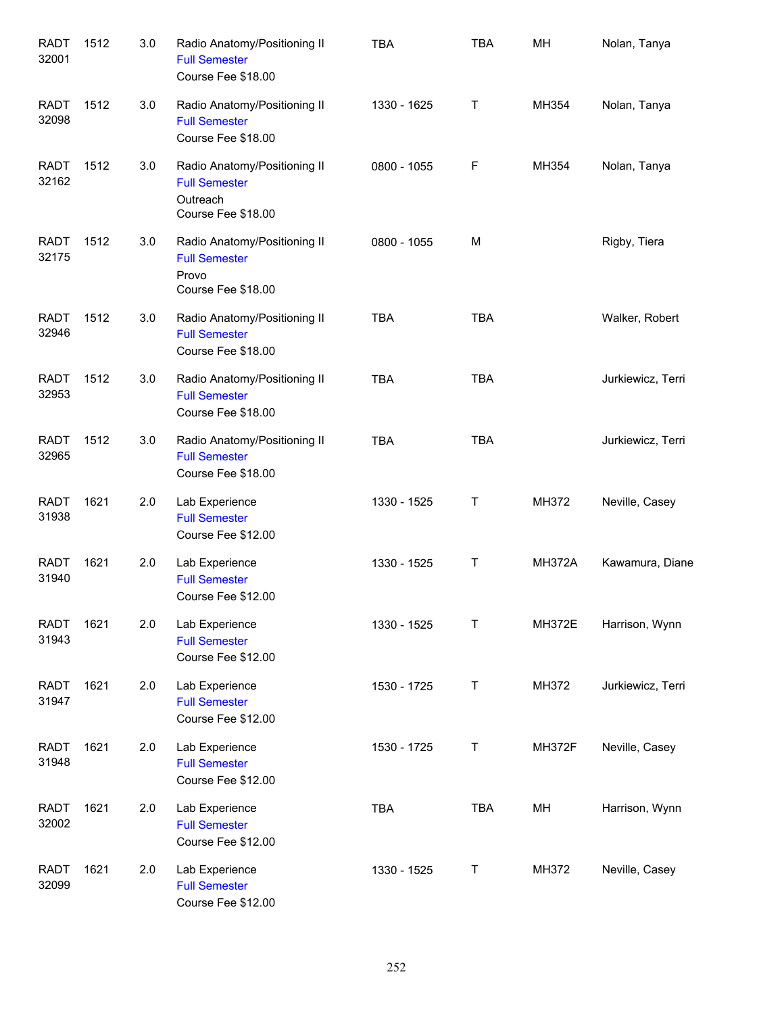| <b>RADT</b><br>32001 | 1512 | 3.0 | Radio Anatomy/Positioning II<br><b>Full Semester</b><br>Course Fee \$18.00             | <b>TBA</b>  | <b>TBA</b> | MH            | Nolan, Tanya      |
|----------------------|------|-----|----------------------------------------------------------------------------------------|-------------|------------|---------------|-------------------|
| <b>RADT</b><br>32098 | 1512 | 3.0 | Radio Anatomy/Positioning II<br><b>Full Semester</b><br>Course Fee \$18.00             | 1330 - 1625 | Т          | MH354         | Nolan, Tanya      |
| <b>RADT</b><br>32162 | 1512 | 3.0 | Radio Anatomy/Positioning II<br><b>Full Semester</b><br>Outreach<br>Course Fee \$18.00 | 0800 - 1055 | F          | MH354         | Nolan, Tanya      |
| <b>RADT</b><br>32175 | 1512 | 3.0 | Radio Anatomy/Positioning II<br><b>Full Semester</b><br>Provo<br>Course Fee \$18.00    | 0800 - 1055 | м          |               | Rigby, Tiera      |
| <b>RADT</b><br>32946 | 1512 | 3.0 | Radio Anatomy/Positioning II<br><b>Full Semester</b><br>Course Fee \$18.00             | <b>TBA</b>  | <b>TBA</b> |               | Walker, Robert    |
| <b>RADT</b><br>32953 | 1512 | 3.0 | Radio Anatomy/Positioning II<br><b>Full Semester</b><br>Course Fee \$18.00             | <b>TBA</b>  | <b>TBA</b> |               | Jurkiewicz, Terri |
| <b>RADT</b><br>32965 | 1512 | 3.0 | Radio Anatomy/Positioning II<br><b>Full Semester</b><br>Course Fee \$18.00             | <b>TBA</b>  | <b>TBA</b> |               | Jurkiewicz, Terri |
| <b>RADT</b><br>31938 | 1621 | 2.0 | Lab Experience<br><b>Full Semester</b><br>Course Fee \$12.00                           | 1330 - 1525 | Τ          | MH372         | Neville, Casey    |
| <b>RADT</b><br>31940 | 1621 | 2.0 | Lab Experience<br><b>Full Semester</b><br>Course Fee \$12.00                           | 1330 - 1525 | Τ          | <b>MH372A</b> | Kawamura, Diane   |
| <b>RADT</b><br>31943 | 1621 | 2.0 | Lab Experience<br><b>Full Semester</b><br>Course Fee \$12.00                           | 1330 - 1525 | T          | <b>MH372E</b> | Harrison, Wynn    |
| <b>RADT</b><br>31947 | 1621 | 2.0 | Lab Experience<br><b>Full Semester</b><br>Course Fee \$12.00                           | 1530 - 1725 | $\top$     | MH372         | Jurkiewicz, Terri |
| <b>RADT</b><br>31948 | 1621 | 2.0 | Lab Experience<br><b>Full Semester</b><br>Course Fee \$12.00                           | 1530 - 1725 | T          | <b>MH372F</b> | Neville, Casey    |
| <b>RADT</b><br>32002 | 1621 | 2.0 | Lab Experience<br><b>Full Semester</b><br>Course Fee \$12.00                           | TBA         | <b>TBA</b> | MH            | Harrison, Wynn    |
| <b>RADT</b><br>32099 | 1621 | 2.0 | Lab Experience<br><b>Full Semester</b><br>Course Fee \$12.00                           | 1330 - 1525 | T          | MH372         | Neville, Casey    |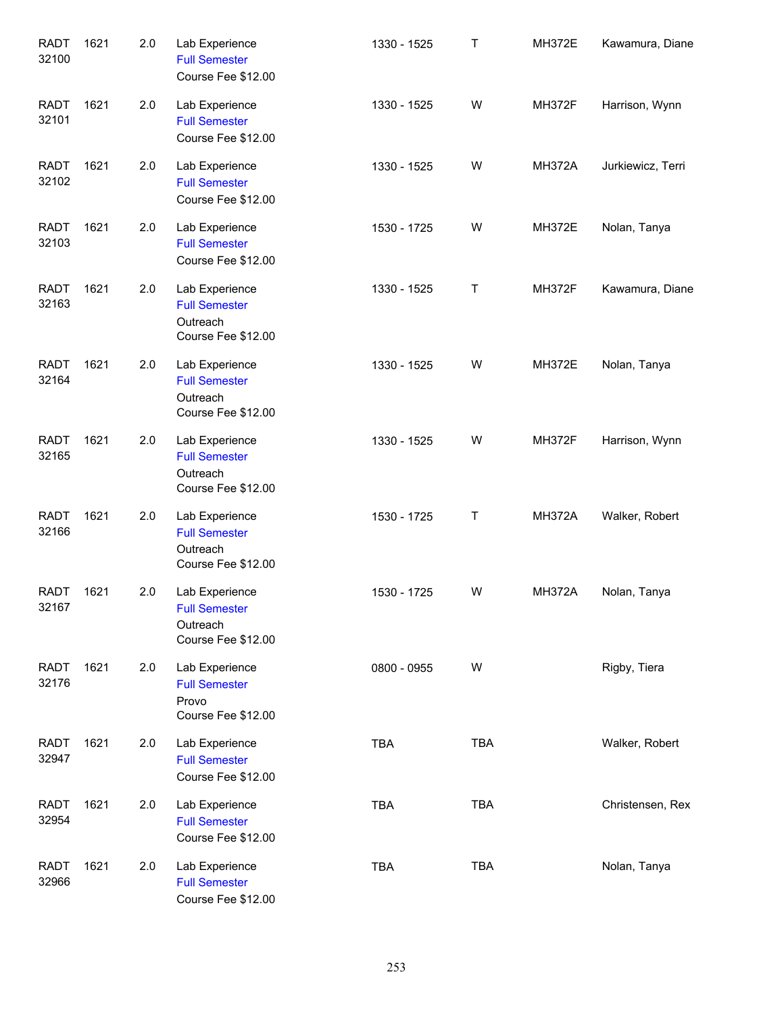| <b>RADT</b><br>32100 | 1621 | 2.0 | Lab Experience<br><b>Full Semester</b><br>Course Fee \$12.00             | 1330 - 1525 | Τ          | <b>MH372E</b> | Kawamura, Diane   |
|----------------------|------|-----|--------------------------------------------------------------------------|-------------|------------|---------------|-------------------|
| <b>RADT</b><br>32101 | 1621 | 2.0 | Lab Experience<br><b>Full Semester</b><br>Course Fee \$12.00             | 1330 - 1525 | W          | <b>MH372F</b> | Harrison, Wynn    |
| <b>RADT</b><br>32102 | 1621 | 2.0 | Lab Experience<br><b>Full Semester</b><br>Course Fee \$12.00             | 1330 - 1525 | W          | <b>MH372A</b> | Jurkiewicz, Terri |
| <b>RADT</b><br>32103 | 1621 | 2.0 | Lab Experience<br><b>Full Semester</b><br>Course Fee \$12.00             | 1530 - 1725 | W          | <b>MH372E</b> | Nolan, Tanya      |
| <b>RADT</b><br>32163 | 1621 | 2.0 | Lab Experience<br><b>Full Semester</b><br>Outreach<br>Course Fee \$12.00 | 1330 - 1525 | T          | <b>MH372F</b> | Kawamura, Diane   |
| <b>RADT</b><br>32164 | 1621 | 2.0 | Lab Experience<br><b>Full Semester</b><br>Outreach<br>Course Fee \$12.00 | 1330 - 1525 | W          | <b>MH372E</b> | Nolan, Tanya      |
| <b>RADT</b><br>32165 | 1621 | 2.0 | Lab Experience<br><b>Full Semester</b><br>Outreach<br>Course Fee \$12.00 | 1330 - 1525 | W          | <b>MH372F</b> | Harrison, Wynn    |
| <b>RADT</b><br>32166 | 1621 | 2.0 | Lab Experience<br><b>Full Semester</b><br>Outreach<br>Course Fee \$12.00 | 1530 - 1725 | Τ          | <b>MH372A</b> | Walker, Robert    |
| <b>RADT</b><br>32167 | 1621 | 2.0 | Lab Experience<br><b>Full Semester</b><br>Outreach<br>Course Fee \$12.00 | 1530 - 1725 | W          | <b>MH372A</b> | Nolan, Tanya      |
| <b>RADT</b><br>32176 | 1621 | 2.0 | Lab Experience<br><b>Full Semester</b><br>Provo<br>Course Fee \$12.00    | 0800 - 0955 | W          |               | Rigby, Tiera      |
| <b>RADT</b><br>32947 | 1621 | 2.0 | Lab Experience<br><b>Full Semester</b><br>Course Fee \$12.00             | <b>TBA</b>  | <b>TBA</b> |               | Walker, Robert    |
| <b>RADT</b><br>32954 | 1621 | 2.0 | Lab Experience<br><b>Full Semester</b><br>Course Fee \$12.00             | <b>TBA</b>  | <b>TBA</b> |               | Christensen, Rex  |
| <b>RADT</b><br>32966 | 1621 | 2.0 | Lab Experience<br><b>Full Semester</b><br>Course Fee \$12.00             | <b>TBA</b>  | <b>TBA</b> |               | Nolan, Tanya      |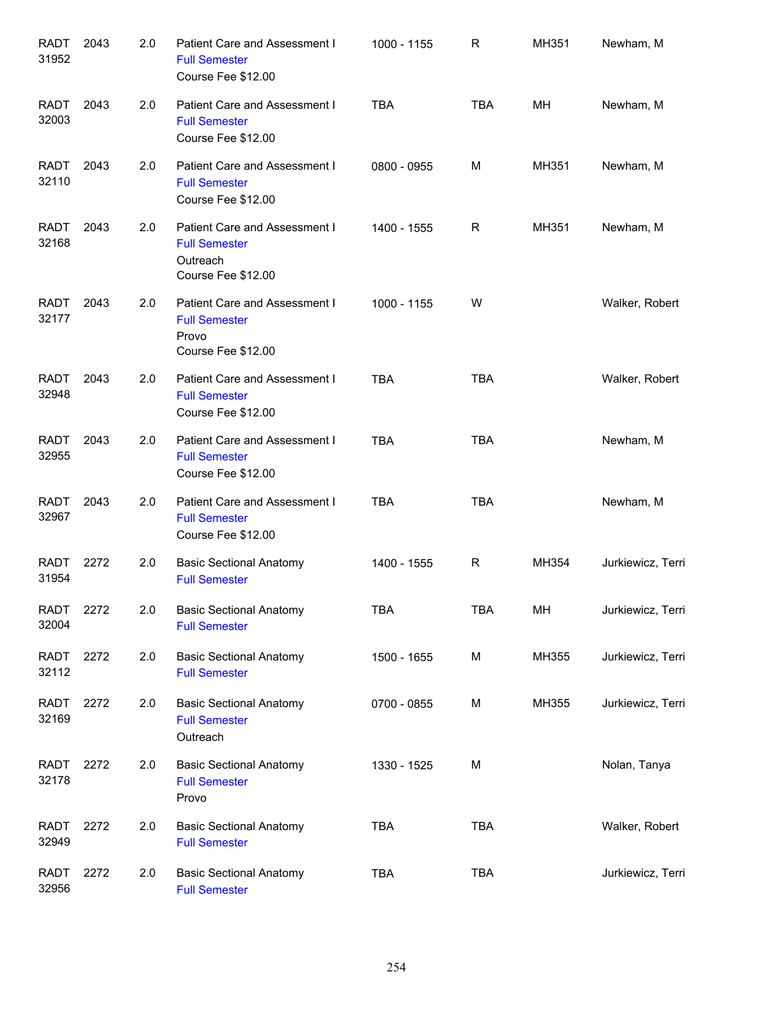| <b>RADT</b><br>31952 | 2043 | 2.0 | Patient Care and Assessment I<br><b>Full Semester</b><br>Course Fee \$12.00             | 1000 - 1155 | R          | MH351 | Newham, M         |
|----------------------|------|-----|-----------------------------------------------------------------------------------------|-------------|------------|-------|-------------------|
| <b>RADT</b><br>32003 | 2043 | 2.0 | Patient Care and Assessment I<br><b>Full Semester</b><br>Course Fee \$12.00             | <b>TBA</b>  | <b>TBA</b> | MН    | Newham, M         |
| <b>RADT</b><br>32110 | 2043 | 2.0 | Patient Care and Assessment I<br><b>Full Semester</b><br>Course Fee \$12.00             | 0800 - 0955 | M          | MH351 | Newham, M         |
| <b>RADT</b><br>32168 | 2043 | 2.0 | Patient Care and Assessment I<br><b>Full Semester</b><br>Outreach<br>Course Fee \$12.00 | 1400 - 1555 | R          | MH351 | Newham, M         |
| <b>RADT</b><br>32177 | 2043 | 2.0 | Patient Care and Assessment I<br><b>Full Semester</b><br>Provo<br>Course Fee \$12.00    | 1000 - 1155 | W          |       | Walker, Robert    |
| <b>RADT</b><br>32948 | 2043 | 2.0 | Patient Care and Assessment I<br><b>Full Semester</b><br>Course Fee \$12.00             | <b>TBA</b>  | <b>TBA</b> |       | Walker, Robert    |
| <b>RADT</b><br>32955 | 2043 | 2.0 | Patient Care and Assessment I<br><b>Full Semester</b><br>Course Fee \$12.00             | <b>TBA</b>  | <b>TBA</b> |       | Newham, M         |
| <b>RADT</b><br>32967 | 2043 | 2.0 | Patient Care and Assessment I<br><b>Full Semester</b><br>Course Fee \$12.00             | <b>TBA</b>  | <b>TBA</b> |       | Newham, M         |
| RADT<br>31954        | 2272 | 2.0 | <b>Basic Sectional Anatomy</b><br><b>Full Semester</b>                                  | 1400 - 1555 | R          | MH354 | Jurkiewicz, Terri |
| RADT<br>32004        | 2272 | 2.0 | <b>Basic Sectional Anatomy</b><br><b>Full Semester</b>                                  | <b>TBA</b>  | <b>TBA</b> | MH    | Jurkiewicz, Terri |
| RADT<br>32112        | 2272 | 2.0 | <b>Basic Sectional Anatomy</b><br><b>Full Semester</b>                                  | 1500 - 1655 | М          | MH355 | Jurkiewicz, Terri |
| <b>RADT</b><br>32169 | 2272 | 2.0 | <b>Basic Sectional Anatomy</b><br><b>Full Semester</b><br>Outreach                      | 0700 - 0855 | M          | MH355 | Jurkiewicz, Terri |
| <b>RADT</b><br>32178 | 2272 | 2.0 | <b>Basic Sectional Anatomy</b><br><b>Full Semester</b><br>Provo                         | 1330 - 1525 | M          |       | Nolan, Tanya      |
| <b>RADT</b><br>32949 | 2272 | 2.0 | <b>Basic Sectional Anatomy</b><br><b>Full Semester</b>                                  | <b>TBA</b>  | <b>TBA</b> |       | Walker, Robert    |
| <b>RADT</b><br>32956 | 2272 | 2.0 | <b>Basic Sectional Anatomy</b><br><b>Full Semester</b>                                  | <b>TBA</b>  | <b>TBA</b> |       | Jurkiewicz, Terri |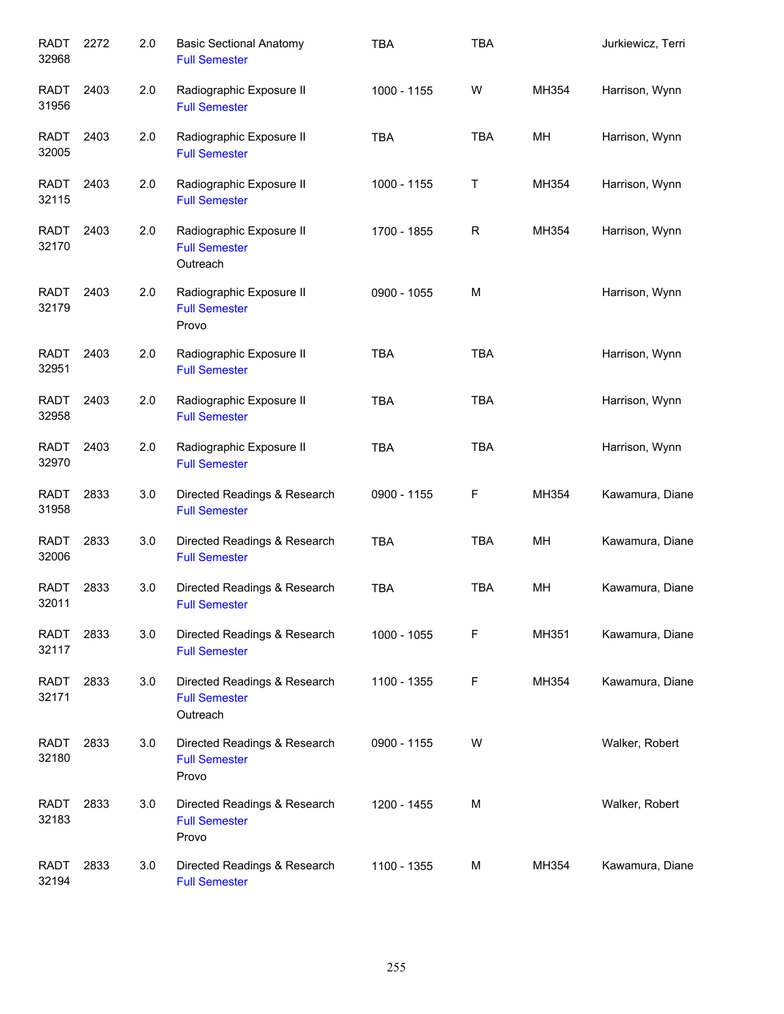| <b>RADT</b><br>32968 | 2272 | 2.0 | <b>Basic Sectional Anatomy</b><br><b>Full Semester</b>           | <b>TBA</b>  | <b>TBA</b>  |       | Jurkiewicz, Terri |
|----------------------|------|-----|------------------------------------------------------------------|-------------|-------------|-------|-------------------|
| <b>RADT</b><br>31956 | 2403 | 2.0 | Radiographic Exposure II<br><b>Full Semester</b>                 | 1000 - 1155 | W           | MH354 | Harrison, Wynn    |
| <b>RADT</b><br>32005 | 2403 | 2.0 | Radiographic Exposure II<br><b>Full Semester</b>                 | <b>TBA</b>  | <b>TBA</b>  | MН    | Harrison, Wynn    |
| RADT<br>32115        | 2403 | 2.0 | Radiographic Exposure II<br><b>Full Semester</b>                 | 1000 - 1155 | T           | MH354 | Harrison, Wynn    |
| RADT<br>32170        | 2403 | 2.0 | Radiographic Exposure II<br><b>Full Semester</b><br>Outreach     | 1700 - 1855 | $\mathsf R$ | MH354 | Harrison, Wynn    |
| <b>RADT</b><br>32179 | 2403 | 2.0 | Radiographic Exposure II<br><b>Full Semester</b><br>Provo        | 0900 - 1055 | M           |       | Harrison, Wynn    |
| RADT<br>32951        | 2403 | 2.0 | Radiographic Exposure II<br><b>Full Semester</b>                 | <b>TBA</b>  | <b>TBA</b>  |       | Harrison, Wynn    |
| <b>RADT</b><br>32958 | 2403 | 2.0 | Radiographic Exposure II<br><b>Full Semester</b>                 | <b>TBA</b>  | <b>TBA</b>  |       | Harrison, Wynn    |
| <b>RADT</b><br>32970 | 2403 | 2.0 | Radiographic Exposure II<br><b>Full Semester</b>                 | <b>TBA</b>  | <b>TBA</b>  |       | Harrison, Wynn    |
| <b>RADT</b><br>31958 | 2833 | 3.0 | Directed Readings & Research<br><b>Full Semester</b>             | 0900 - 1155 | F           | MH354 | Kawamura, Diane   |
| <b>RADT</b><br>32006 | 2833 | 3.0 | Directed Readings & Research<br><b>Full Semester</b>             | <b>TBA</b>  | <b>TBA</b>  | MН    | Kawamura, Diane   |
| <b>RADT</b><br>32011 | 2833 | 3.0 | Directed Readings & Research<br><b>Full Semester</b>             | <b>TBA</b>  | <b>TBA</b>  | MН    | Kawamura, Diane   |
| <b>RADT</b><br>32117 | 2833 | 3.0 | Directed Readings & Research<br><b>Full Semester</b>             | 1000 - 1055 | F           | MH351 | Kawamura, Diane   |
| <b>RADT</b><br>32171 | 2833 | 3.0 | Directed Readings & Research<br><b>Full Semester</b><br>Outreach | 1100 - 1355 | F           | MH354 | Kawamura, Diane   |
| <b>RADT</b><br>32180 | 2833 | 3.0 | Directed Readings & Research<br><b>Full Semester</b><br>Provo    | 0900 - 1155 | W           |       | Walker, Robert    |
| <b>RADT</b><br>32183 | 2833 | 3.0 | Directed Readings & Research<br><b>Full Semester</b><br>Provo    | 1200 - 1455 | м           |       | Walker, Robert    |
| <b>RADT</b><br>32194 | 2833 | 3.0 | Directed Readings & Research<br><b>Full Semester</b>             | 1100 - 1355 | М           | MH354 | Kawamura, Diane   |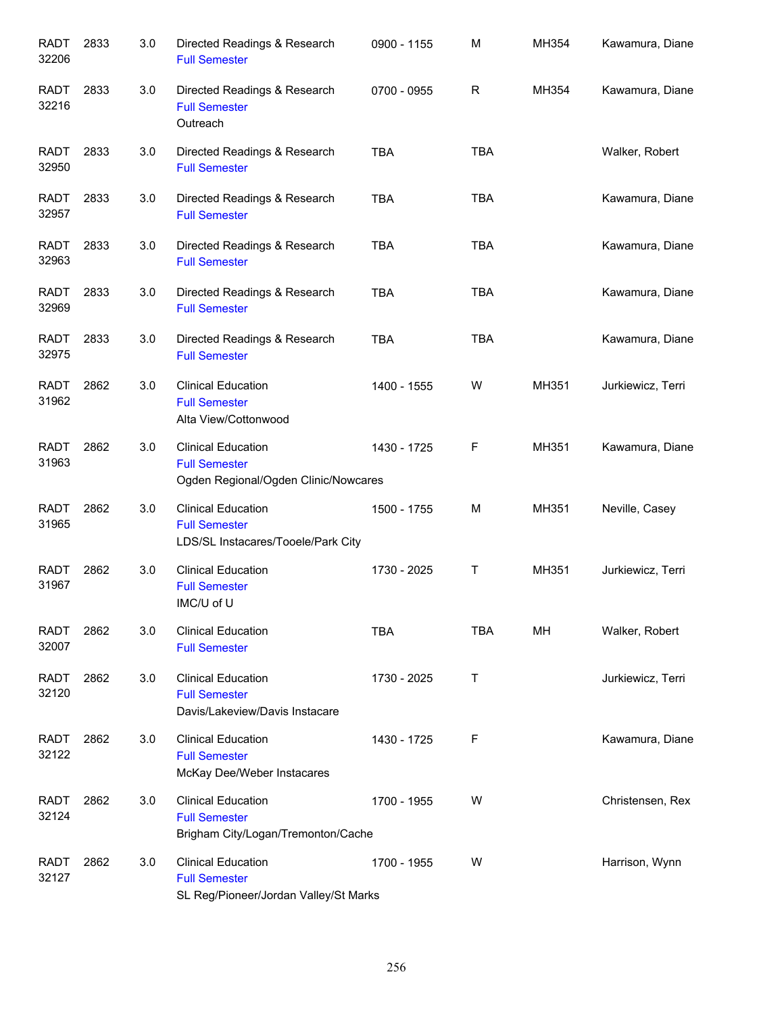| <b>RADT</b><br>32206 | 2833 | 3.0 | Directed Readings & Research<br><b>Full Semester</b>                                       | 0900 - 1155 | M          | MH354 | Kawamura, Diane   |
|----------------------|------|-----|--------------------------------------------------------------------------------------------|-------------|------------|-------|-------------------|
| <b>RADT</b><br>32216 | 2833 | 3.0 | Directed Readings & Research<br><b>Full Semester</b><br>Outreach                           | 0700 - 0955 | R          | MH354 | Kawamura, Diane   |
| <b>RADT</b><br>32950 | 2833 | 3.0 | Directed Readings & Research<br><b>Full Semester</b>                                       | <b>TBA</b>  | <b>TBA</b> |       | Walker, Robert    |
| <b>RADT</b><br>32957 | 2833 | 3.0 | Directed Readings & Research<br><b>Full Semester</b>                                       | <b>TBA</b>  | <b>TBA</b> |       | Kawamura, Diane   |
| <b>RADT</b><br>32963 | 2833 | 3.0 | Directed Readings & Research<br><b>Full Semester</b>                                       | <b>TBA</b>  | <b>TBA</b> |       | Kawamura, Diane   |
| <b>RADT</b><br>32969 | 2833 | 3.0 | Directed Readings & Research<br><b>Full Semester</b>                                       | <b>TBA</b>  | <b>TBA</b> |       | Kawamura, Diane   |
| <b>RADT</b><br>32975 | 2833 | 3.0 | Directed Readings & Research<br><b>Full Semester</b>                                       | <b>TBA</b>  | <b>TBA</b> |       | Kawamura, Diane   |
| <b>RADT</b><br>31962 | 2862 | 3.0 | <b>Clinical Education</b><br><b>Full Semester</b><br>Alta View/Cottonwood                  | 1400 - 1555 | W          | MH351 | Jurkiewicz, Terri |
| <b>RADT</b><br>31963 | 2862 | 3.0 | <b>Clinical Education</b><br><b>Full Semester</b><br>Ogden Regional/Ogden Clinic/Nowcares  | 1430 - 1725 | F          | MH351 | Kawamura, Diane   |
| <b>RADT</b><br>31965 | 2862 | 3.0 | <b>Clinical Education</b><br><b>Full Semester</b><br>LDS/SL Instacares/Tooele/Park City    | 1500 - 1755 | M          | MH351 | Neville, Casey    |
| <b>RADT</b><br>31967 | 2862 | 3.0 | <b>Clinical Education</b><br><b>Full Semester</b><br>IMC/U of U                            | 1730 - 2025 | Τ          | MH351 | Jurkiewicz, Terri |
| <b>RADT</b><br>32007 | 2862 | 3.0 | <b>Clinical Education</b><br><b>Full Semester</b>                                          | <b>TBA</b>  | <b>TBA</b> | MH    | Walker, Robert    |
| <b>RADT</b><br>32120 | 2862 | 3.0 | <b>Clinical Education</b><br><b>Full Semester</b><br>Davis/Lakeview/Davis Instacare        | 1730 - 2025 | Τ          |       | Jurkiewicz, Terri |
| <b>RADT</b><br>32122 | 2862 | 3.0 | <b>Clinical Education</b><br><b>Full Semester</b><br>McKay Dee/Weber Instacares            | 1430 - 1725 | F          |       | Kawamura, Diane   |
| <b>RADT</b><br>32124 | 2862 | 3.0 | <b>Clinical Education</b><br><b>Full Semester</b><br>Brigham City/Logan/Tremonton/Cache    | 1700 - 1955 | W          |       | Christensen, Rex  |
| <b>RADT</b><br>32127 | 2862 | 3.0 | <b>Clinical Education</b><br><b>Full Semester</b><br>SL Reg/Pioneer/Jordan Valley/St Marks | 1700 - 1955 | W          |       | Harrison, Wynn    |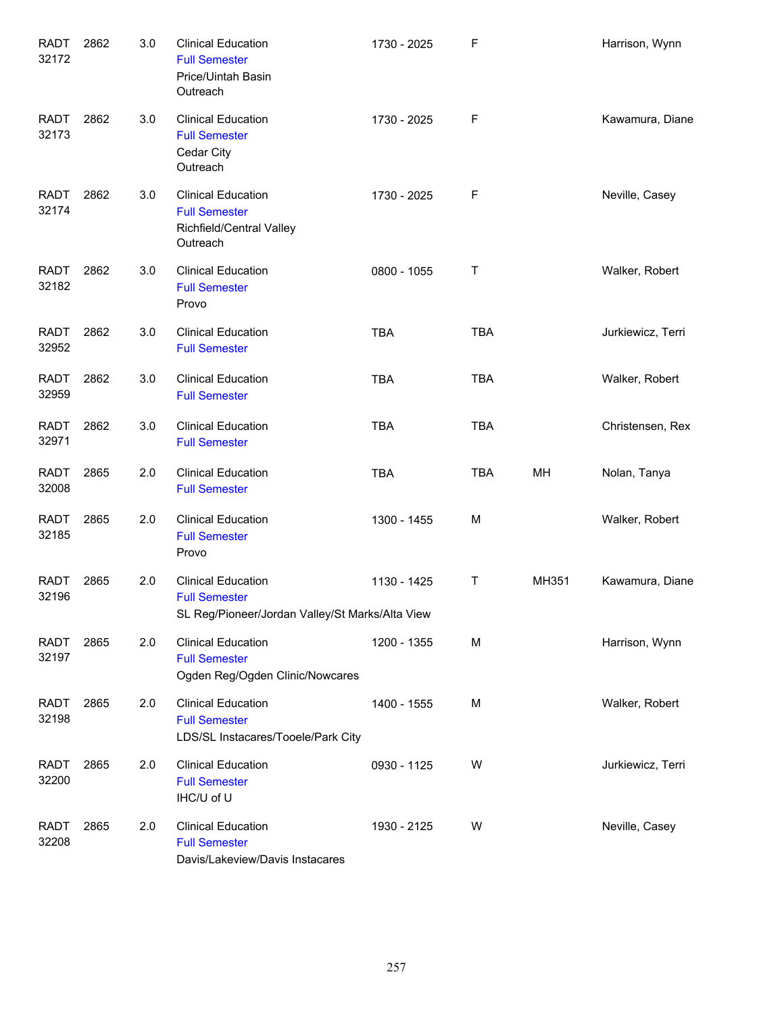| <b>RADT</b><br>32172 | 2862 | 3.0 | <b>Clinical Education</b><br><b>Full Semester</b><br>Price/Uintah Basin<br>Outreach                  | 1730 - 2025 | F          |       | Harrison, Wynn    |
|----------------------|------|-----|------------------------------------------------------------------------------------------------------|-------------|------------|-------|-------------------|
| <b>RADT</b><br>32173 | 2862 | 3.0 | <b>Clinical Education</b><br><b>Full Semester</b><br>Cedar City<br>Outreach                          | 1730 - 2025 | F          |       | Kawamura, Diane   |
| <b>RADT</b><br>32174 | 2862 | 3.0 | <b>Clinical Education</b><br><b>Full Semester</b><br>Richfield/Central Valley<br>Outreach            | 1730 - 2025 | F          |       | Neville, Casey    |
| <b>RADT</b><br>32182 | 2862 | 3.0 | <b>Clinical Education</b><br><b>Full Semester</b><br>Provo                                           | 0800 - 1055 | Τ          |       | Walker, Robert    |
| <b>RADT</b><br>32952 | 2862 | 3.0 | <b>Clinical Education</b><br><b>Full Semester</b>                                                    | <b>TBA</b>  | <b>TBA</b> |       | Jurkiewicz, Terri |
| <b>RADT</b><br>32959 | 2862 | 3.0 | <b>Clinical Education</b><br><b>Full Semester</b>                                                    | <b>TBA</b>  | <b>TBA</b> |       | Walker, Robert    |
| <b>RADT</b><br>32971 | 2862 | 3.0 | <b>Clinical Education</b><br><b>Full Semester</b>                                                    | <b>TBA</b>  | <b>TBA</b> |       | Christensen, Rex  |
| <b>RADT</b><br>32008 | 2865 | 2.0 | <b>Clinical Education</b><br><b>Full Semester</b>                                                    | <b>TBA</b>  | <b>TBA</b> | MН    | Nolan, Tanya      |
| <b>RADT</b><br>32185 | 2865 | 2.0 | <b>Clinical Education</b><br><b>Full Semester</b><br>Provo                                           | 1300 - 1455 | М          |       | Walker, Robert    |
| <b>RADT</b><br>32196 | 2865 | 2.0 | <b>Clinical Education</b><br><b>Full Semester</b><br>SL Reg/Pioneer/Jordan Valley/St Marks/Alta View | 1130 - 1425 | Τ          | MH351 | Kawamura, Diane   |
| RADT<br>32197        | 2865 | 2.0 | <b>Clinical Education</b><br><b>Full Semester</b><br>Ogden Reg/Ogden Clinic/Nowcares                 | 1200 - 1355 | M          |       | Harrison, Wynn    |
| <b>RADT</b><br>32198 | 2865 | 2.0 | <b>Clinical Education</b><br><b>Full Semester</b><br>LDS/SL Instacares/Tooele/Park City              | 1400 - 1555 | М          |       | Walker, Robert    |
| RADT<br>32200        | 2865 | 2.0 | <b>Clinical Education</b><br><b>Full Semester</b><br>IHC/U of U                                      | 0930 - 1125 | W          |       | Jurkiewicz, Terri |
| RADT<br>32208        | 2865 | 2.0 | <b>Clinical Education</b><br><b>Full Semester</b><br>Davis/Lakeview/Davis Instacares                 | 1930 - 2125 | W          |       | Neville, Casey    |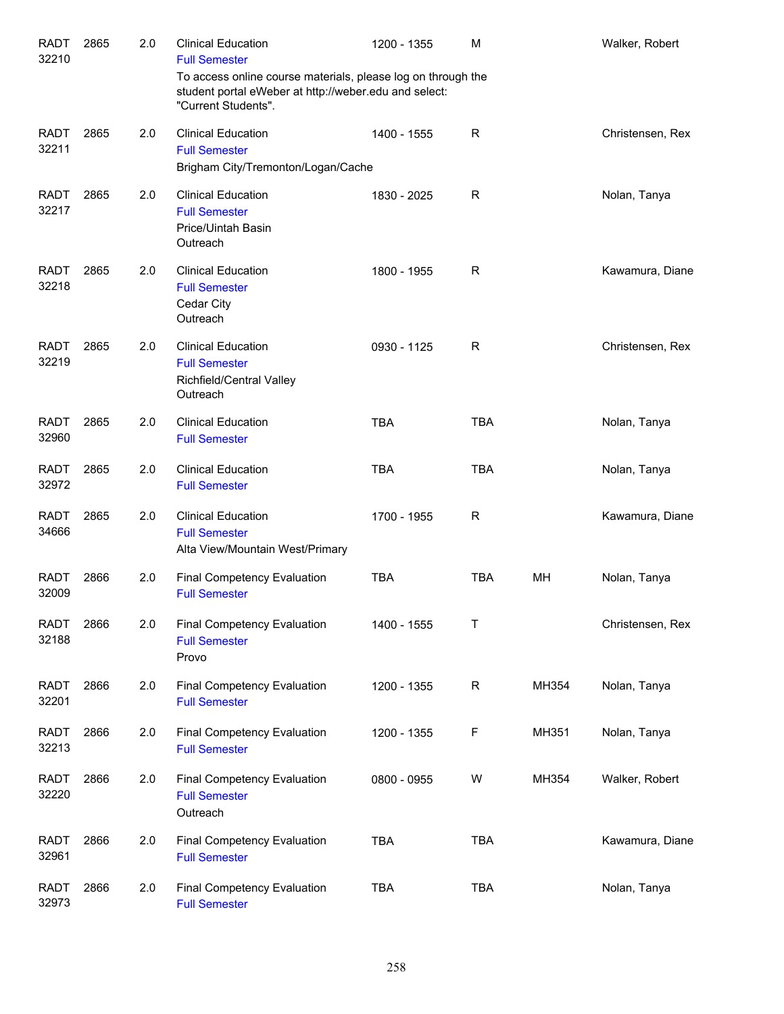| <b>RADT</b><br>32210 | 2865 | 2.0 | <b>Clinical Education</b><br><b>Full Semester</b>                                                                                            | 1200 - 1355 | M           |           | Walker, Robert   |
|----------------------|------|-----|----------------------------------------------------------------------------------------------------------------------------------------------|-------------|-------------|-----------|------------------|
|                      |      |     | To access online course materials, please log on through the<br>student portal eWeber at http://weber.edu and select:<br>"Current Students". |             |             |           |                  |
| <b>RADT</b><br>32211 | 2865 | 2.0 | <b>Clinical Education</b><br><b>Full Semester</b><br>Brigham City/Tremonton/Logan/Cache                                                      | 1400 - 1555 | R           |           | Christensen, Rex |
| <b>RADT</b><br>32217 | 2865 | 2.0 | <b>Clinical Education</b><br><b>Full Semester</b><br>Price/Uintah Basin<br>Outreach                                                          | 1830 - 2025 | R           |           | Nolan, Tanya     |
| <b>RADT</b><br>32218 | 2865 | 2.0 | <b>Clinical Education</b><br><b>Full Semester</b><br>Cedar City<br>Outreach                                                                  | 1800 - 1955 | R           |           | Kawamura, Diane  |
| <b>RADT</b><br>32219 | 2865 | 2.0 | <b>Clinical Education</b><br><b>Full Semester</b><br>Richfield/Central Valley<br>Outreach                                                    | 0930 - 1125 | R           |           | Christensen, Rex |
| <b>RADT</b><br>32960 | 2865 | 2.0 | <b>Clinical Education</b><br><b>Full Semester</b>                                                                                            | <b>TBA</b>  | <b>TBA</b>  |           | Nolan, Tanya     |
| <b>RADT</b><br>32972 | 2865 | 2.0 | <b>Clinical Education</b><br><b>Full Semester</b>                                                                                            | <b>TBA</b>  | <b>TBA</b>  |           | Nolan, Tanya     |
| <b>RADT</b><br>34666 | 2865 | 2.0 | <b>Clinical Education</b><br><b>Full Semester</b><br>Alta View/Mountain West/Primary                                                         | 1700 - 1955 | R           |           | Kawamura, Diane  |
| <b>RADT</b><br>32009 | 2866 | 2.0 | Final Competency Evaluation<br><b>Full Semester</b>                                                                                          | <b>TBA</b>  | <b>TBA</b>  | <b>MH</b> | Nolan, Tanya     |
| <b>RADT</b><br>32188 | 2866 | 2.0 | <b>Final Competency Evaluation</b><br><b>Full Semester</b><br>Provo                                                                          | 1400 - 1555 | Т           |           | Christensen, Rex |
| <b>RADT</b><br>32201 | 2866 | 2.0 | Final Competency Evaluation<br><b>Full Semester</b>                                                                                          | 1200 - 1355 | $\mathsf R$ | MH354     | Nolan, Tanya     |
| <b>RADT</b><br>32213 | 2866 | 2.0 | Final Competency Evaluation<br><b>Full Semester</b>                                                                                          | 1200 - 1355 | F           | MH351     | Nolan, Tanya     |
| <b>RADT</b><br>32220 | 2866 | 2.0 | Final Competency Evaluation<br><b>Full Semester</b><br>Outreach                                                                              | 0800 - 0955 | W           | MH354     | Walker, Robert   |
| <b>RADT</b><br>32961 | 2866 | 2.0 | Final Competency Evaluation<br><b>Full Semester</b>                                                                                          | <b>TBA</b>  | <b>TBA</b>  |           | Kawamura, Diane  |
| <b>RADT</b><br>32973 | 2866 | 2.0 | Final Competency Evaluation<br><b>Full Semester</b>                                                                                          | <b>TBA</b>  | <b>TBA</b>  |           | Nolan, Tanya     |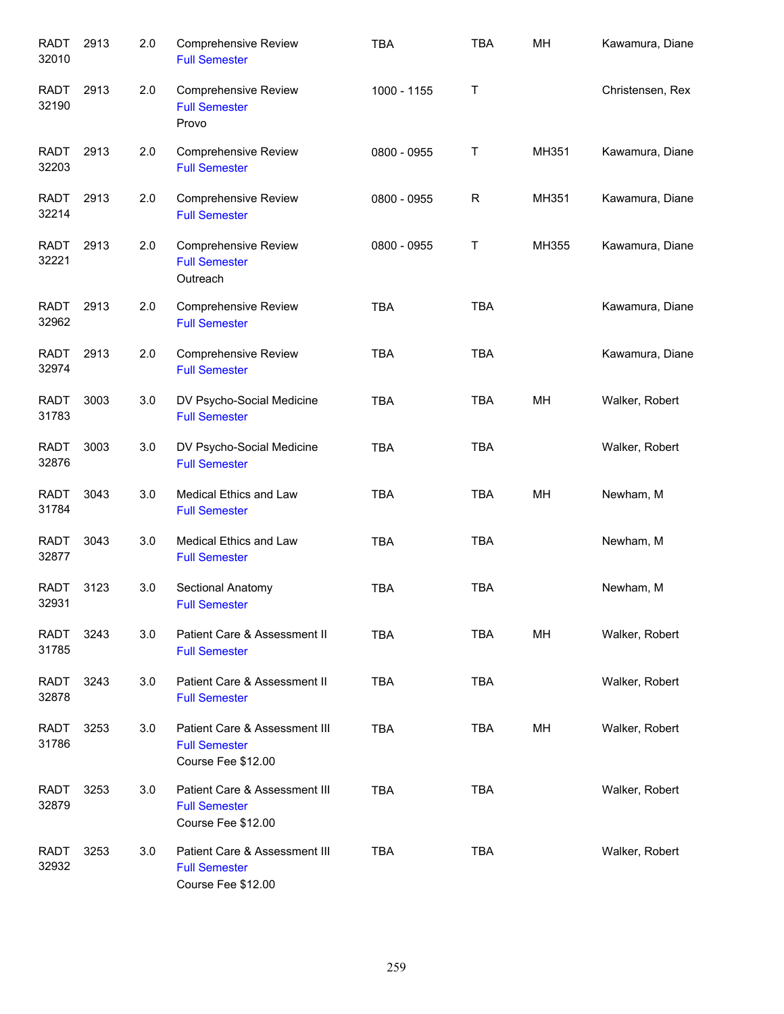| <b>RADT</b><br>32010 | 2913 | 2.0 | <b>Comprehensive Review</b><br><b>Full Semester</b>                         | <b>TBA</b>  | <b>TBA</b> | MH    | Kawamura, Diane  |
|----------------------|------|-----|-----------------------------------------------------------------------------|-------------|------------|-------|------------------|
| <b>RADT</b><br>32190 | 2913 | 2.0 | Comprehensive Review<br><b>Full Semester</b><br>Provo                       | 1000 - 1155 | T          |       | Christensen, Rex |
| <b>RADT</b><br>32203 | 2913 | 2.0 | <b>Comprehensive Review</b><br><b>Full Semester</b>                         | 0800 - 0955 | T          | MH351 | Kawamura, Diane  |
| <b>RADT</b><br>32214 | 2913 | 2.0 | <b>Comprehensive Review</b><br><b>Full Semester</b>                         | 0800 - 0955 | R          | MH351 | Kawamura, Diane  |
| <b>RADT</b><br>32221 | 2913 | 2.0 | Comprehensive Review<br><b>Full Semester</b><br>Outreach                    | 0800 - 0955 | T          | MH355 | Kawamura, Diane  |
| <b>RADT</b><br>32962 | 2913 | 2.0 | <b>Comprehensive Review</b><br><b>Full Semester</b>                         | <b>TBA</b>  | <b>TBA</b> |       | Kawamura, Diane  |
| <b>RADT</b><br>32974 | 2913 | 2.0 | Comprehensive Review<br><b>Full Semester</b>                                | <b>TBA</b>  | <b>TBA</b> |       | Kawamura, Diane  |
| <b>RADT</b><br>31783 | 3003 | 3.0 | DV Psycho-Social Medicine<br><b>Full Semester</b>                           | <b>TBA</b>  | <b>TBA</b> | MH    | Walker, Robert   |
| <b>RADT</b><br>32876 | 3003 | 3.0 | DV Psycho-Social Medicine<br><b>Full Semester</b>                           | <b>TBA</b>  | <b>TBA</b> |       | Walker, Robert   |
| <b>RADT</b><br>31784 | 3043 | 3.0 | Medical Ethics and Law<br><b>Full Semester</b>                              | <b>TBA</b>  | <b>TBA</b> | MH    | Newham, M        |
| <b>RADT</b><br>32877 | 3043 | 3.0 | Medical Ethics and Law<br><b>Full Semester</b>                              | <b>TBA</b>  | <b>TBA</b> |       | Newham, M        |
| <b>RADT</b><br>32931 | 3123 | 3.0 | Sectional Anatomy<br><b>Full Semester</b>                                   | <b>TBA</b>  | <b>TBA</b> |       | Newham, M        |
| <b>RADT</b><br>31785 | 3243 | 3.0 | Patient Care & Assessment II<br><b>Full Semester</b>                        | TBA         | TBA        | MН    | Walker, Robert   |
| <b>RADT</b><br>32878 | 3243 | 3.0 | Patient Care & Assessment II<br><b>Full Semester</b>                        | <b>TBA</b>  | <b>TBA</b> |       | Walker, Robert   |
| <b>RADT</b><br>31786 | 3253 | 3.0 | Patient Care & Assessment III<br><b>Full Semester</b><br>Course Fee \$12.00 | <b>TBA</b>  | <b>TBA</b> | MН    | Walker, Robert   |
| <b>RADT</b><br>32879 | 3253 | 3.0 | Patient Care & Assessment III<br><b>Full Semester</b><br>Course Fee \$12.00 | <b>TBA</b>  | <b>TBA</b> |       | Walker, Robert   |
| <b>RADT</b><br>32932 | 3253 | 3.0 | Patient Care & Assessment III<br><b>Full Semester</b><br>Course Fee \$12.00 | <b>TBA</b>  | <b>TBA</b> |       | Walker, Robert   |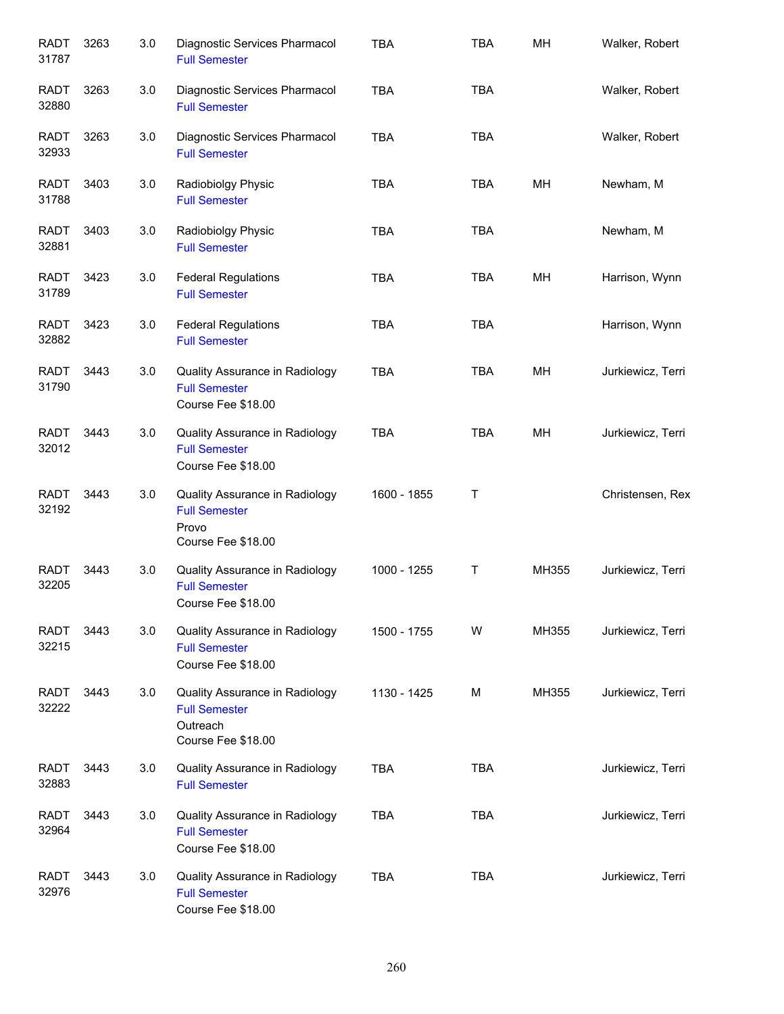| <b>RADT</b><br>31787 | 3263 | 3.0 | Diagnostic Services Pharmacol<br><b>Full Semester</b>                                    | <b>TBA</b>  | <b>TBA</b> | MH    | Walker, Robert    |
|----------------------|------|-----|------------------------------------------------------------------------------------------|-------------|------------|-------|-------------------|
| RADT<br>32880        | 3263 | 3.0 | Diagnostic Services Pharmacol<br><b>Full Semester</b>                                    | <b>TBA</b>  | <b>TBA</b> |       | Walker, Robert    |
| RADT<br>32933        | 3263 | 3.0 | Diagnostic Services Pharmacol<br><b>Full Semester</b>                                    | <b>TBA</b>  | <b>TBA</b> |       | Walker, Robert    |
| <b>RADT</b><br>31788 | 3403 | 3.0 | Radiobiolgy Physic<br><b>Full Semester</b>                                               | <b>TBA</b>  | <b>TBA</b> | MH    | Newham, M         |
| RADT<br>32881        | 3403 | 3.0 | Radiobiolgy Physic<br><b>Full Semester</b>                                               | <b>TBA</b>  | <b>TBA</b> |       | Newham, M         |
| <b>RADT</b><br>31789 | 3423 | 3.0 | <b>Federal Regulations</b><br><b>Full Semester</b>                                       | <b>TBA</b>  | <b>TBA</b> | MH    | Harrison, Wynn    |
| <b>RADT</b><br>32882 | 3423 | 3.0 | <b>Federal Regulations</b><br><b>Full Semester</b>                                       | <b>TBA</b>  | <b>TBA</b> |       | Harrison, Wynn    |
| <b>RADT</b><br>31790 | 3443 | 3.0 | Quality Assurance in Radiology<br><b>Full Semester</b><br>Course Fee \$18.00             | <b>TBA</b>  | <b>TBA</b> | MH    | Jurkiewicz, Terri |
| <b>RADT</b><br>32012 | 3443 | 3.0 | Quality Assurance in Radiology<br><b>Full Semester</b><br>Course Fee \$18.00             | <b>TBA</b>  | <b>TBA</b> | MH    | Jurkiewicz, Terri |
| <b>RADT</b><br>32192 | 3443 | 3.0 | Quality Assurance in Radiology<br><b>Full Semester</b><br>Provo<br>Course Fee \$18.00    | 1600 - 1855 | Τ          |       | Christensen, Rex  |
| <b>RADT</b><br>32205 | 3443 | 3.0 | Quality Assurance in Radiology<br><b>Full Semester</b><br>Course Fee \$18.00             | 1000 - 1255 | Τ          | MH355 | Jurkiewicz, Terri |
| RADT<br>32215        | 3443 | 3.0 | Quality Assurance in Radiology<br><b>Full Semester</b><br>Course Fee \$18.00             | 1500 - 1755 | W          | MH355 | Jurkiewicz, Terri |
| <b>RADT</b><br>32222 | 3443 | 3.0 | Quality Assurance in Radiology<br><b>Full Semester</b><br>Outreach<br>Course Fee \$18.00 | 1130 - 1425 | M          | MH355 | Jurkiewicz, Terri |
| <b>RADT</b><br>32883 | 3443 | 3.0 | Quality Assurance in Radiology<br><b>Full Semester</b>                                   | <b>TBA</b>  | <b>TBA</b> |       | Jurkiewicz, Terri |
| <b>RADT</b><br>32964 | 3443 | 3.0 | Quality Assurance in Radiology<br><b>Full Semester</b><br>Course Fee \$18.00             | <b>TBA</b>  | <b>TBA</b> |       | Jurkiewicz, Terri |
| <b>RADT</b><br>32976 | 3443 | 3.0 | Quality Assurance in Radiology<br><b>Full Semester</b><br>Course Fee \$18.00             | <b>TBA</b>  | <b>TBA</b> |       | Jurkiewicz, Terri |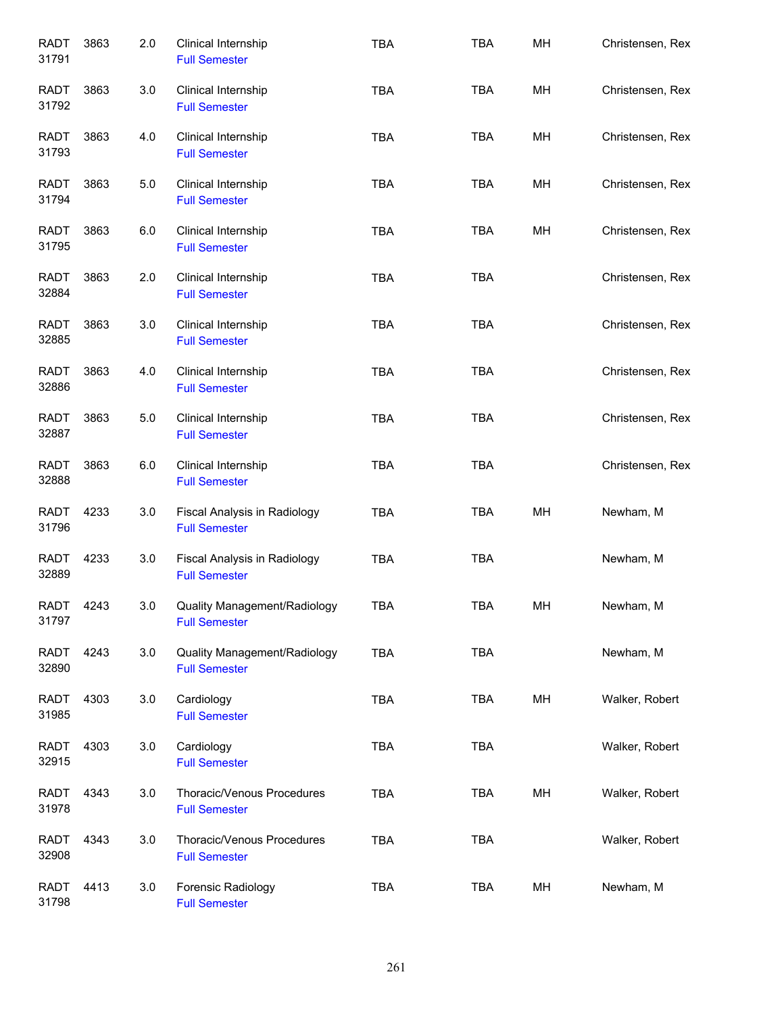| <b>RADT</b><br>31791 | 3863 | 2.0 | Clinical Internship<br><b>Full Semester</b>          | <b>TBA</b> | <b>TBA</b> | MH | Christensen, Rex |
|----------------------|------|-----|------------------------------------------------------|------------|------------|----|------------------|
| RADT<br>31792        | 3863 | 3.0 | Clinical Internship<br><b>Full Semester</b>          | <b>TBA</b> | <b>TBA</b> | MH | Christensen, Rex |
| <b>RADT</b><br>31793 | 3863 | 4.0 | Clinical Internship<br><b>Full Semester</b>          | <b>TBA</b> | <b>TBA</b> | MH | Christensen, Rex |
| <b>RADT</b><br>31794 | 3863 | 5.0 | Clinical Internship<br><b>Full Semester</b>          | <b>TBA</b> | TBA        | MH | Christensen, Rex |
| <b>RADT</b><br>31795 | 3863 | 6.0 | Clinical Internship<br><b>Full Semester</b>          | <b>TBA</b> | TBA        | MH | Christensen, Rex |
| <b>RADT</b><br>32884 | 3863 | 2.0 | Clinical Internship<br><b>Full Semester</b>          | <b>TBA</b> | <b>TBA</b> |    | Christensen, Rex |
| <b>RADT</b><br>32885 | 3863 | 3.0 | Clinical Internship<br><b>Full Semester</b>          | <b>TBA</b> | <b>TBA</b> |    | Christensen, Rex |
| <b>RADT</b><br>32886 | 3863 | 4.0 | Clinical Internship<br><b>Full Semester</b>          | <b>TBA</b> | <b>TBA</b> |    | Christensen, Rex |
| <b>RADT</b><br>32887 | 3863 | 5.0 | Clinical Internship<br><b>Full Semester</b>          | <b>TBA</b> | <b>TBA</b> |    | Christensen, Rex |
| <b>RADT</b><br>32888 | 3863 | 6.0 | Clinical Internship<br><b>Full Semester</b>          | <b>TBA</b> | <b>TBA</b> |    | Christensen, Rex |
| <b>RADT</b><br>31796 | 4233 | 3.0 | Fiscal Analysis in Radiology<br><b>Full Semester</b> | <b>TBA</b> | <b>TBA</b> | MH | Newham, M        |
| <b>RADT</b><br>32889 | 4233 | 3.0 | Fiscal Analysis in Radiology<br><b>Full Semester</b> | <b>TBA</b> | <b>TBA</b> |    | Newham, M        |
| RADT<br>31797        | 4243 | 3.0 | Quality Management/Radiology<br><b>Full Semester</b> | <b>TBA</b> | TBA        | MН | Newham, M        |
| RADT<br>32890        | 4243 | 3.0 | Quality Management/Radiology<br><b>Full Semester</b> | <b>TBA</b> | <b>TBA</b> |    | Newham, M        |
| <b>RADT</b><br>31985 | 4303 | 3.0 | Cardiology<br><b>Full Semester</b>                   | TBA        | TBA        | MH | Walker, Robert   |
| <b>RADT</b><br>32915 | 4303 | 3.0 | Cardiology<br><b>Full Semester</b>                   | TBA        | <b>TBA</b> |    | Walker, Robert   |
| <b>RADT</b><br>31978 | 4343 | 3.0 | Thoracic/Venous Procedures<br><b>Full Semester</b>   | <b>TBA</b> | TBA        | MH | Walker, Robert   |
| <b>RADT</b><br>32908 | 4343 | 3.0 | Thoracic/Venous Procedures<br><b>Full Semester</b>   | <b>TBA</b> | <b>TBA</b> |    | Walker, Robert   |
| <b>RADT</b><br>31798 | 4413 | 3.0 | Forensic Radiology<br><b>Full Semester</b>           | <b>TBA</b> | TBA        | MH | Newham, M        |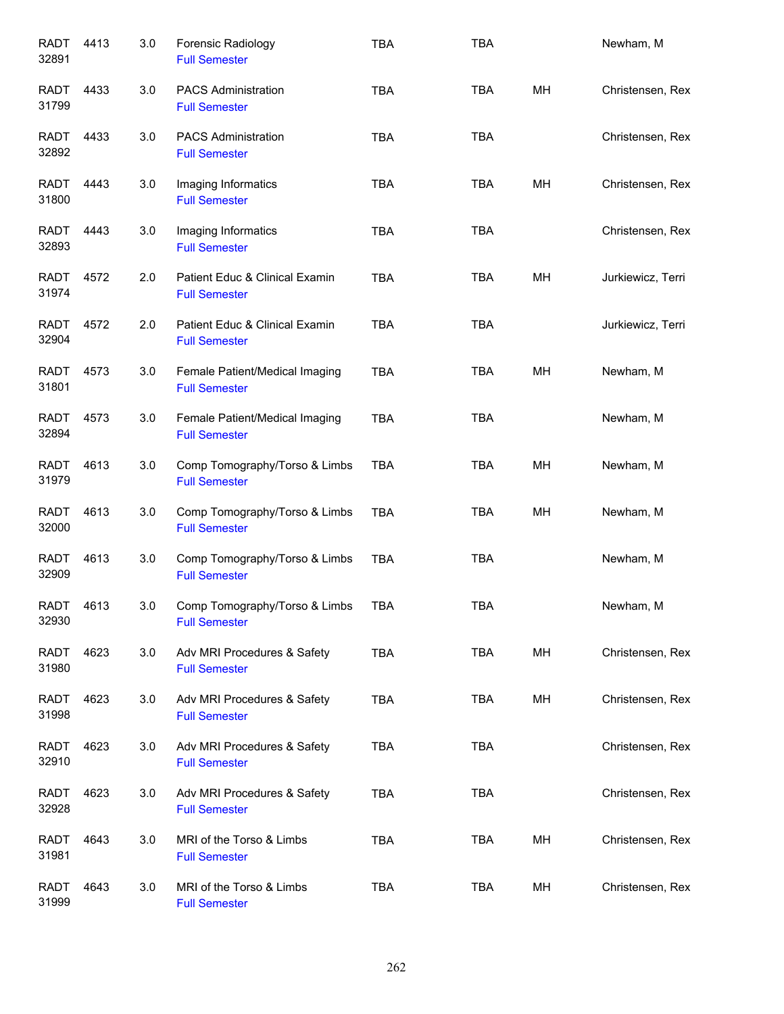| <b>RADT</b><br>32891 | 4413 | 3.0 | Forensic Radiology<br><b>Full Semester</b>             | <b>TBA</b> | <b>TBA</b> |    | Newham, M         |
|----------------------|------|-----|--------------------------------------------------------|------------|------------|----|-------------------|
| <b>RADT</b><br>31799 | 4433 | 3.0 | <b>PACS Administration</b><br><b>Full Semester</b>     | <b>TBA</b> | <b>TBA</b> | MH | Christensen, Rex  |
| RADT<br>32892        | 4433 | 3.0 | <b>PACS Administration</b><br><b>Full Semester</b>     | <b>TBA</b> | <b>TBA</b> |    | Christensen, Rex  |
| RADT<br>31800        | 4443 | 3.0 | Imaging Informatics<br><b>Full Semester</b>            | <b>TBA</b> | <b>TBA</b> | MH | Christensen, Rex  |
| RADT<br>32893        | 4443 | 3.0 | Imaging Informatics<br><b>Full Semester</b>            | <b>TBA</b> | <b>TBA</b> |    | Christensen, Rex  |
| <b>RADT</b><br>31974 | 4572 | 2.0 | Patient Educ & Clinical Examin<br><b>Full Semester</b> | <b>TBA</b> | <b>TBA</b> | MН | Jurkiewicz, Terri |
| RADT<br>32904        | 4572 | 2.0 | Patient Educ & Clinical Examin<br><b>Full Semester</b> | <b>TBA</b> | <b>TBA</b> |    | Jurkiewicz, Terri |
| <b>RADT</b><br>31801 | 4573 | 3.0 | Female Patient/Medical Imaging<br><b>Full Semester</b> | <b>TBA</b> | <b>TBA</b> | MH | Newham, M         |
| <b>RADT</b><br>32894 | 4573 | 3.0 | Female Patient/Medical Imaging<br><b>Full Semester</b> | <b>TBA</b> | <b>TBA</b> |    | Newham, M         |
| <b>RADT</b><br>31979 | 4613 | 3.0 | Comp Tomography/Torso & Limbs<br><b>Full Semester</b>  | <b>TBA</b> | <b>TBA</b> | MH | Newham, M         |
| <b>RADT</b><br>32000 | 4613 | 3.0 | Comp Tomography/Torso & Limbs<br><b>Full Semester</b>  | <b>TBA</b> | <b>TBA</b> | MH | Newham, M         |
| <b>RADT</b><br>32909 | 4613 | 3.0 | Comp Tomography/Torso & Limbs<br><b>Full Semester</b>  | <b>TBA</b> | <b>TBA</b> |    | Newham, M         |
| <b>RADT</b><br>32930 | 4613 | 3.0 | Comp Tomography/Torso & Limbs<br><b>Full Semester</b>  | TBA        | <b>TBA</b> |    | Newham, M         |
| <b>RADT</b><br>31980 | 4623 | 3.0 | Adv MRI Procedures & Safety<br><b>Full Semester</b>    | <b>TBA</b> | <b>TBA</b> | MH | Christensen, Rex  |
| <b>RADT</b><br>31998 | 4623 | 3.0 | Adv MRI Procedures & Safety<br><b>Full Semester</b>    | <b>TBA</b> | TBA        | MH | Christensen, Rex  |
| <b>RADT</b><br>32910 | 4623 | 3.0 | Adv MRI Procedures & Safety<br><b>Full Semester</b>    | <b>TBA</b> | <b>TBA</b> |    | Christensen, Rex  |
| <b>RADT</b><br>32928 | 4623 | 3.0 | Adv MRI Procedures & Safety<br><b>Full Semester</b>    | <b>TBA</b> | <b>TBA</b> |    | Christensen, Rex  |
| <b>RADT</b><br>31981 | 4643 | 3.0 | MRI of the Torso & Limbs<br><b>Full Semester</b>       | <b>TBA</b> | <b>TBA</b> | MH | Christensen, Rex  |
| <b>RADT</b><br>31999 | 4643 | 3.0 | MRI of the Torso & Limbs<br><b>Full Semester</b>       | <b>TBA</b> | <b>TBA</b> | MH | Christensen, Rex  |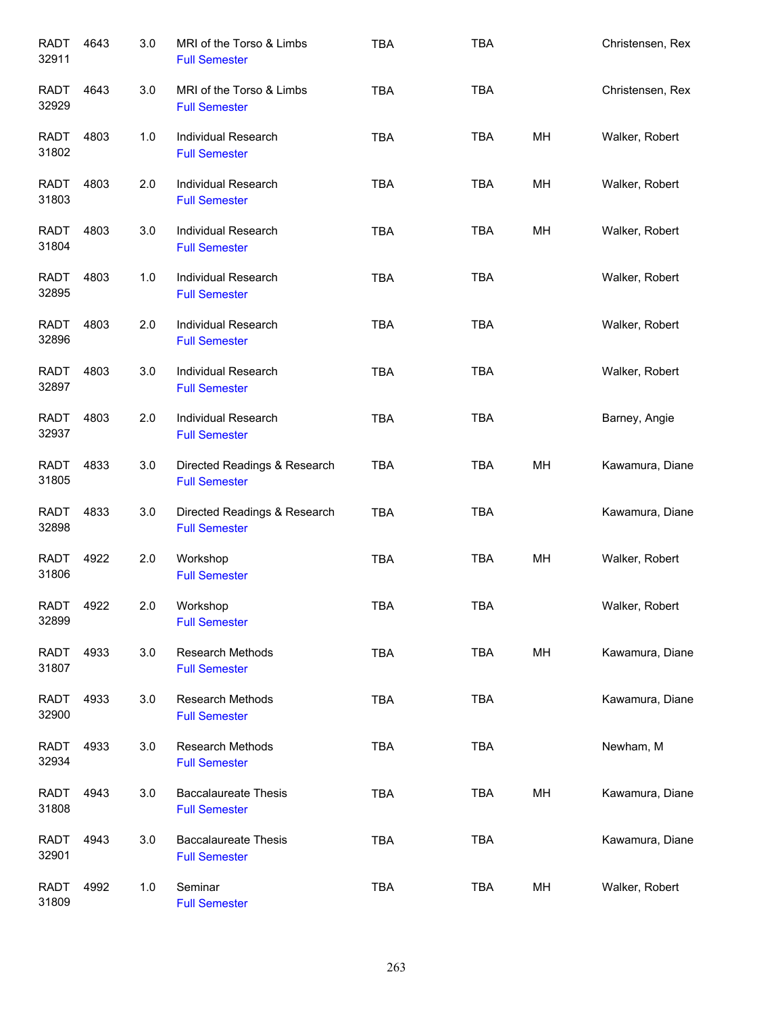| <b>RADT</b><br>32911 | 4643 | 3.0 | MRI of the Torso & Limbs<br><b>Full Semester</b>     | TBA        | <b>TBA</b> |    | Christensen, Rex |
|----------------------|------|-----|------------------------------------------------------|------------|------------|----|------------------|
| <b>RADT</b><br>32929 | 4643 | 3.0 | MRI of the Torso & Limbs<br><b>Full Semester</b>     | <b>TBA</b> | <b>TBA</b> |    | Christensen, Rex |
| RADT<br>31802        | 4803 | 1.0 | Individual Research<br><b>Full Semester</b>          | <b>TBA</b> | <b>TBA</b> | MН | Walker, Robert   |
| RADT<br>31803        | 4803 | 2.0 | Individual Research<br><b>Full Semester</b>          | <b>TBA</b> | <b>TBA</b> | MH | Walker, Robert   |
| <b>RADT</b><br>31804 | 4803 | 3.0 | Individual Research<br><b>Full Semester</b>          | <b>TBA</b> | <b>TBA</b> | MН | Walker, Robert   |
| <b>RADT</b><br>32895 | 4803 | 1.0 | Individual Research<br><b>Full Semester</b>          | <b>TBA</b> | <b>TBA</b> |    | Walker, Robert   |
| <b>RADT</b><br>32896 | 4803 | 2.0 | Individual Research<br><b>Full Semester</b>          | <b>TBA</b> | <b>TBA</b> |    | Walker, Robert   |
| <b>RADT</b><br>32897 | 4803 | 3.0 | Individual Research<br><b>Full Semester</b>          | <b>TBA</b> | <b>TBA</b> |    | Walker, Robert   |
| <b>RADT</b><br>32937 | 4803 | 2.0 | Individual Research<br><b>Full Semester</b>          | <b>TBA</b> | <b>TBA</b> |    | Barney, Angie    |
| <b>RADT</b><br>31805 | 4833 | 3.0 | Directed Readings & Research<br><b>Full Semester</b> | <b>TBA</b> | <b>TBA</b> | MH | Kawamura, Diane  |
| <b>RADT</b><br>32898 | 4833 | 3.0 | Directed Readings & Research<br><b>Full Semester</b> | <b>TBA</b> | <b>TBA</b> |    | Kawamura, Diane  |
| <b>RADT</b><br>31806 | 4922 | 2.0 | Workshop<br><b>Full Semester</b>                     | <b>TBA</b> | <b>TBA</b> | MH | Walker, Robert   |
| <b>RADT</b><br>32899 | 4922 | 2.0 | Workshop<br><b>Full Semester</b>                     | <b>TBA</b> | <b>TBA</b> |    | Walker, Robert   |
| RADT<br>31807        | 4933 | 3.0 | Research Methods<br><b>Full Semester</b>             | <b>TBA</b> | <b>TBA</b> | MH | Kawamura, Diane  |
| <b>RADT</b><br>32900 | 4933 | 3.0 | Research Methods<br><b>Full Semester</b>             | <b>TBA</b> | <b>TBA</b> |    | Kawamura, Diane  |
| <b>RADT</b><br>32934 | 4933 | 3.0 | <b>Research Methods</b><br><b>Full Semester</b>      | <b>TBA</b> | <b>TBA</b> |    | Newham, M        |
| <b>RADT</b><br>31808 | 4943 | 3.0 | <b>Baccalaureate Thesis</b><br><b>Full Semester</b>  | <b>TBA</b> | <b>TBA</b> | МH | Kawamura, Diane  |
| <b>RADT</b><br>32901 | 4943 | 3.0 | <b>Baccalaureate Thesis</b><br><b>Full Semester</b>  | <b>TBA</b> | <b>TBA</b> |    | Kawamura, Diane  |
| <b>RADT</b><br>31809 | 4992 | 1.0 | Seminar<br><b>Full Semester</b>                      | <b>TBA</b> | <b>TBA</b> | MH | Walker, Robert   |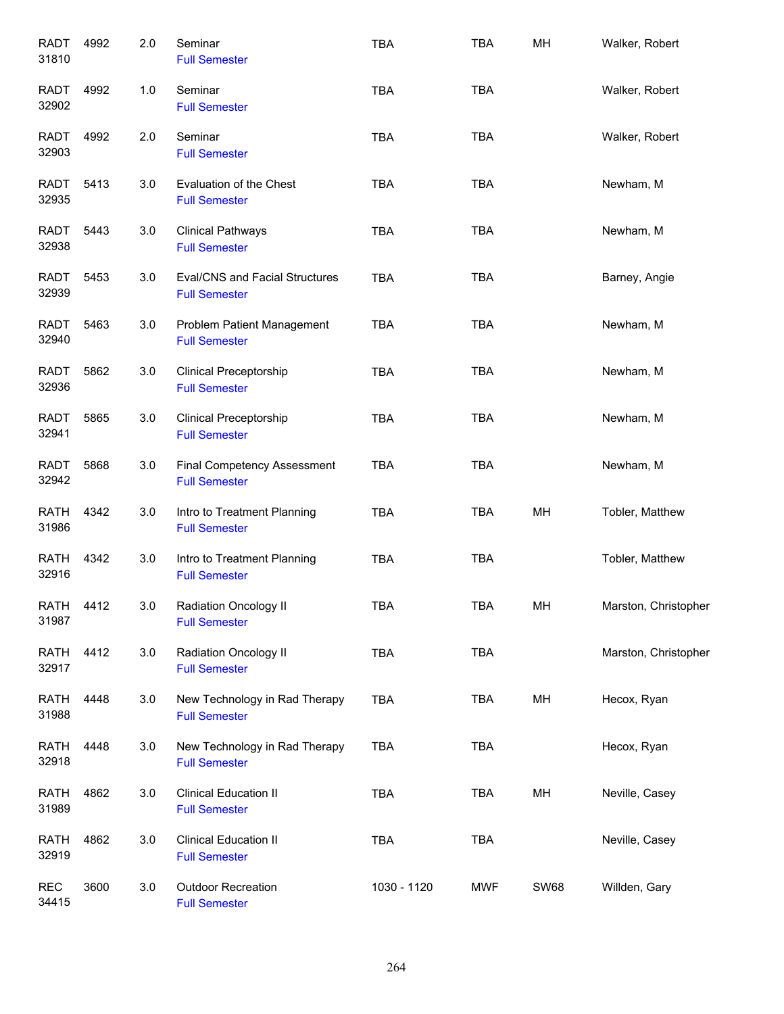| <b>RADT</b><br>31810 | 4992 | 2.0   | Seminar<br><b>Full Semester</b>                               | <b>TBA</b>  | <b>TBA</b> | MH          | Walker, Robert       |
|----------------------|------|-------|---------------------------------------------------------------|-------------|------------|-------------|----------------------|
| RADT<br>32902        | 4992 | $1.0$ | Seminar<br><b>Full Semester</b>                               | <b>TBA</b>  | <b>TBA</b> |             | Walker, Robert       |
| <b>RADT</b><br>32903 | 4992 | 2.0   | Seminar<br><b>Full Semester</b>                               | <b>TBA</b>  | <b>TBA</b> |             | Walker, Robert       |
| RADT<br>32935        | 5413 | 3.0   | Evaluation of the Chest<br><b>Full Semester</b>               | <b>TBA</b>  | <b>TBA</b> |             | Newham, M            |
| RADT<br>32938        | 5443 | 3.0   | <b>Clinical Pathways</b><br><b>Full Semester</b>              | <b>TBA</b>  | <b>TBA</b> |             | Newham, M            |
| RADT<br>32939        | 5453 | 3.0   | <b>Eval/CNS and Facial Structures</b><br><b>Full Semester</b> | <b>TBA</b>  | <b>TBA</b> |             | Barney, Angie        |
| <b>RADT</b><br>32940 | 5463 | 3.0   | Problem Patient Management<br><b>Full Semester</b>            | <b>TBA</b>  | <b>TBA</b> |             | Newham, M            |
| <b>RADT</b><br>32936 | 5862 | 3.0   | <b>Clinical Preceptorship</b><br><b>Full Semester</b>         | <b>TBA</b>  | <b>TBA</b> |             | Newham, M            |
| <b>RADT</b><br>32941 | 5865 | 3.0   | <b>Clinical Preceptorship</b><br><b>Full Semester</b>         | <b>TBA</b>  | <b>TBA</b> |             | Newham, M            |
| <b>RADT</b><br>32942 | 5868 | 3.0   | <b>Final Competency Assessment</b><br><b>Full Semester</b>    | <b>TBA</b>  | <b>TBA</b> |             | Newham, M            |
| <b>RATH</b><br>31986 | 4342 | 3.0   | Intro to Treatment Planning<br><b>Full Semester</b>           | <b>TBA</b>  | <b>TBA</b> | MH          | Tobler, Matthew      |
| <b>RATH</b><br>32916 | 4342 | 3.0   | Intro to Treatment Planning<br><b>Full Semester</b>           | <b>TBA</b>  | <b>TBA</b> |             | Tobler, Matthew      |
| RATH<br>31987        | 4412 | 3.0   | Radiation Oncology II<br><b>Full Semester</b>                 | <b>TBA</b>  | <b>TBA</b> | MH          | Marston, Christopher |
| <b>RATH</b><br>32917 | 4412 | 3.0   | Radiation Oncology II<br><b>Full Semester</b>                 | <b>TBA</b>  | <b>TBA</b> |             | Marston, Christopher |
| <b>RATH</b><br>31988 | 4448 | 3.0   | New Technology in Rad Therapy<br><b>Full Semester</b>         | TBA         | <b>TBA</b> | MH          | Hecox, Ryan          |
| <b>RATH</b><br>32918 | 4448 | 3.0   | New Technology in Rad Therapy<br><b>Full Semester</b>         | TBA         | <b>TBA</b> |             | Hecox, Ryan          |
| <b>RATH</b><br>31989 | 4862 | 3.0   | <b>Clinical Education II</b><br><b>Full Semester</b>          | <b>TBA</b>  | TBA        | MH          | Neville, Casey       |
| <b>RATH</b><br>32919 | 4862 | 3.0   | <b>Clinical Education II</b><br><b>Full Semester</b>          | <b>TBA</b>  | <b>TBA</b> |             | Neville, Casey       |
| <b>REC</b><br>34415  | 3600 | 3.0   | Outdoor Recreation<br><b>Full Semester</b>                    | 1030 - 1120 | <b>MWF</b> | <b>SW68</b> | Willden, Gary        |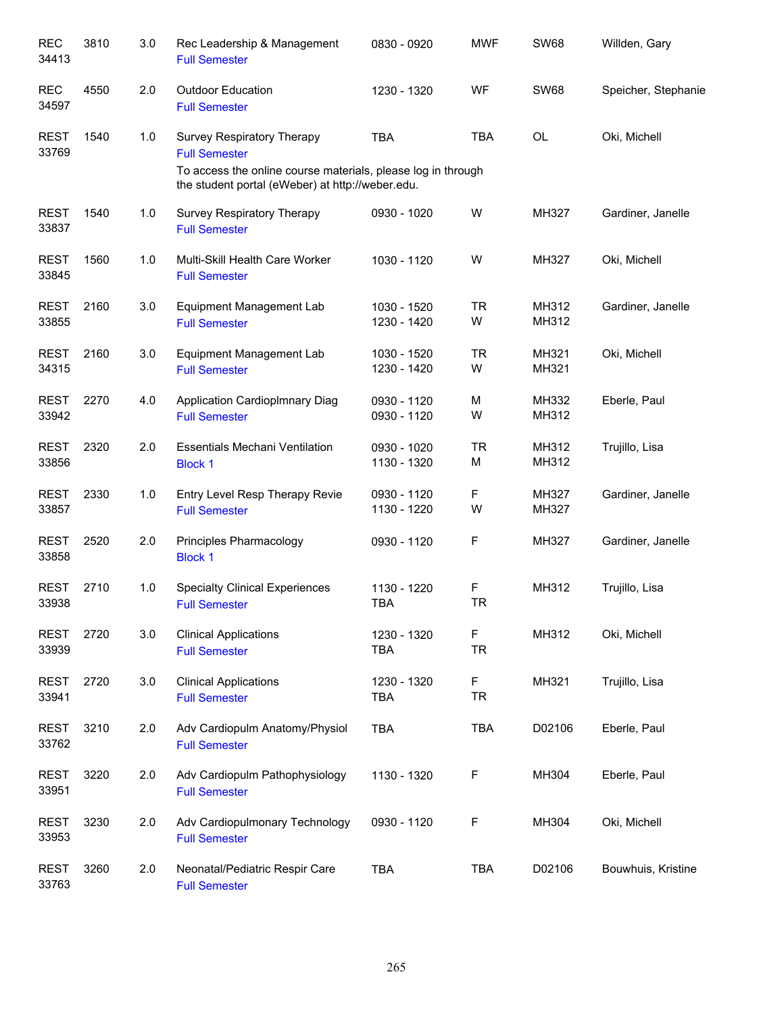| <b>REC</b><br>34413  | 3810 | 3.0 | Rec Leadership & Management<br><b>Full Semester</b>                                                                                                                           | 0830 - 0920                | <b>MWF</b>     | <b>SW68</b>    | Willden, Gary       |
|----------------------|------|-----|-------------------------------------------------------------------------------------------------------------------------------------------------------------------------------|----------------------------|----------------|----------------|---------------------|
| <b>REC</b><br>34597  | 4550 | 2.0 | <b>Outdoor Education</b><br><b>Full Semester</b>                                                                                                                              | 1230 - 1320                | WF             | <b>SW68</b>    | Speicher, Stephanie |
| <b>REST</b><br>33769 | 1540 | 1.0 | <b>Survey Respiratory Therapy</b><br><b>Full Semester</b><br>To access the online course materials, please log in through<br>the student portal (eWeber) at http://weber.edu. | <b>TBA</b>                 | <b>TBA</b>     | OL             | Oki, Michell        |
| <b>REST</b><br>33837 | 1540 | 1.0 | Survey Respiratory Therapy<br><b>Full Semester</b>                                                                                                                            | 0930 - 1020                | W              | MH327          | Gardiner, Janelle   |
| <b>REST</b><br>33845 | 1560 | 1.0 | Multi-Skill Health Care Worker<br><b>Full Semester</b>                                                                                                                        | 1030 - 1120                | W              | MH327          | Oki, Michell        |
| <b>REST</b><br>33855 | 2160 | 3.0 | Equipment Management Lab<br><b>Full Semester</b>                                                                                                                              | 1030 - 1520<br>1230 - 1420 | <b>TR</b><br>W | MH312<br>MH312 | Gardiner, Janelle   |
| <b>REST</b><br>34315 | 2160 | 3.0 | Equipment Management Lab<br><b>Full Semester</b>                                                                                                                              | 1030 - 1520<br>1230 - 1420 | <b>TR</b><br>W | MH321<br>MH321 | Oki, Michell        |
| <b>REST</b><br>33942 | 2270 | 4.0 | Application CardiopImnary Diag<br><b>Full Semester</b>                                                                                                                        | 0930 - 1120<br>0930 - 1120 | М<br>W         | MH332<br>MH312 | Eberle, Paul        |
| <b>REST</b><br>33856 | 2320 | 2.0 | <b>Essentials Mechani Ventilation</b><br><b>Block 1</b>                                                                                                                       | 0930 - 1020<br>1130 - 1320 | <b>TR</b><br>М | MH312<br>MH312 | Trujillo, Lisa      |
| <b>REST</b><br>33857 | 2330 | 1.0 | Entry Level Resp Therapy Revie<br><b>Full Semester</b>                                                                                                                        | 0930 - 1120<br>1130 - 1220 | F<br>W         | MH327<br>MH327 | Gardiner, Janelle   |
| <b>REST</b><br>33858 | 2520 | 2.0 | Principles Pharmacology<br><b>Block 1</b>                                                                                                                                     | 0930 - 1120                | F              | MH327          | Gardiner, Janelle   |
| <b>REST</b><br>33938 | 2710 | 1.0 | <b>Specialty Clinical Experiences</b><br><b>Full Semester</b>                                                                                                                 | 1130 - 1220<br><b>TBA</b>  | F<br><b>TR</b> | MH312          | Trujillo, Lisa      |
| <b>REST</b><br>33939 | 2720 | 3.0 | <b>Clinical Applications</b><br><b>Full Semester</b>                                                                                                                          | 1230 - 1320<br><b>TBA</b>  | F<br><b>TR</b> | MH312          | Oki, Michell        |
| <b>REST</b><br>33941 | 2720 | 3.0 | <b>Clinical Applications</b><br><b>Full Semester</b>                                                                                                                          | 1230 - 1320<br><b>TBA</b>  | F<br><b>TR</b> | MH321          | Trujillo, Lisa      |
| <b>REST</b><br>33762 | 3210 | 2.0 | Adv Cardiopulm Anatomy/Physiol<br><b>Full Semester</b>                                                                                                                        | <b>TBA</b>                 | <b>TBA</b>     | D02106         | Eberle, Paul        |
| <b>REST</b><br>33951 | 3220 | 2.0 | Adv Cardiopulm Pathophysiology<br><b>Full Semester</b>                                                                                                                        | 1130 - 1320                | F              | MH304          | Eberle, Paul        |
| <b>REST</b><br>33953 | 3230 | 2.0 | Adv Cardiopulmonary Technology<br><b>Full Semester</b>                                                                                                                        | 0930 - 1120                | F              | MH304          | Oki, Michell        |
| <b>REST</b><br>33763 | 3260 | 2.0 | Neonatal/Pediatric Respir Care<br><b>Full Semester</b>                                                                                                                        | <b>TBA</b>                 | <b>TBA</b>     | D02106         | Bouwhuis, Kristine  |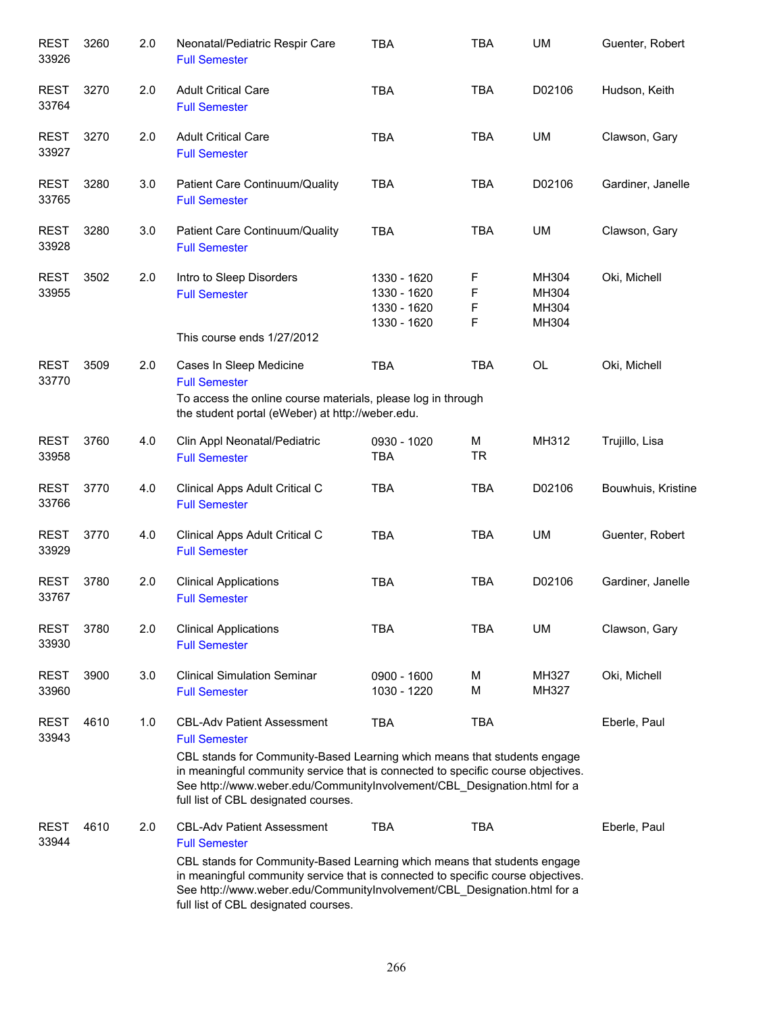| <b>REST</b><br>33926 | 3260 | 2.0 | Neonatal/Pediatric Respir Care<br><b>Full Semester</b>                                                                                                                                                                                                                                                                                        | <b>TBA</b>                                               | <b>TBA</b>       | <b>UM</b>                        | Guenter, Robert    |
|----------------------|------|-----|-----------------------------------------------------------------------------------------------------------------------------------------------------------------------------------------------------------------------------------------------------------------------------------------------------------------------------------------------|----------------------------------------------------------|------------------|----------------------------------|--------------------|
| <b>REST</b><br>33764 | 3270 | 2.0 | <b>Adult Critical Care</b><br><b>Full Semester</b>                                                                                                                                                                                                                                                                                            | <b>TBA</b>                                               | <b>TBA</b>       | D02106                           | Hudson, Keith      |
| <b>REST</b><br>33927 | 3270 | 2.0 | <b>Adult Critical Care</b><br><b>Full Semester</b>                                                                                                                                                                                                                                                                                            | <b>TBA</b>                                               | <b>TBA</b>       | UM                               | Clawson, Gary      |
| <b>REST</b><br>33765 | 3280 | 3.0 | Patient Care Continuum/Quality<br><b>Full Semester</b>                                                                                                                                                                                                                                                                                        | <b>TBA</b>                                               | <b>TBA</b>       | D02106                           | Gardiner, Janelle  |
| <b>REST</b><br>33928 | 3280 | 3.0 | Patient Care Continuum/Quality<br><b>Full Semester</b>                                                                                                                                                                                                                                                                                        | <b>TBA</b>                                               | <b>TBA</b>       | UM                               | Clawson, Gary      |
| <b>REST</b><br>33955 | 3502 | 2.0 | Intro to Sleep Disorders<br><b>Full Semester</b><br>This course ends 1/27/2012                                                                                                                                                                                                                                                                | 1330 - 1620<br>1330 - 1620<br>1330 - 1620<br>1330 - 1620 | F<br>F<br>F<br>F | MH304<br>MH304<br>MH304<br>MH304 | Oki, Michell       |
| <b>REST</b><br>33770 | 3509 | 2.0 | Cases In Sleep Medicine<br><b>Full Semester</b><br>To access the online course materials, please log in through<br>the student portal (eWeber) at http://weber.edu.                                                                                                                                                                           | <b>TBA</b>                                               | <b>TBA</b>       | <b>OL</b>                        | Oki, Michell       |
| <b>REST</b><br>33958 | 3760 | 4.0 | Clin Appl Neonatal/Pediatric<br><b>Full Semester</b>                                                                                                                                                                                                                                                                                          | 0930 - 1020<br><b>TBA</b>                                | M<br><b>TR</b>   | MH312                            | Trujillo, Lisa     |
| <b>REST</b><br>33766 | 3770 | 4.0 | Clinical Apps Adult Critical C<br><b>Full Semester</b>                                                                                                                                                                                                                                                                                        | <b>TBA</b>                                               | <b>TBA</b>       | D02106                           | Bouwhuis, Kristine |
| <b>REST</b><br>33929 | 3770 | 4.0 | Clinical Apps Adult Critical C<br><b>Full Semester</b>                                                                                                                                                                                                                                                                                        | <b>TBA</b>                                               | <b>TBA</b>       | UM                               | Guenter, Robert    |
| <b>REST</b><br>33767 | 3780 | 2.0 | <b>Clinical Applications</b><br><b>Full Semester</b>                                                                                                                                                                                                                                                                                          | <b>TBA</b>                                               | <b>TBA</b>       | D02106                           | Gardiner, Janelle  |
| <b>REST</b><br>33930 | 3780 | 2.0 | <b>Clinical Applications</b><br><b>Full Semester</b>                                                                                                                                                                                                                                                                                          | <b>TBA</b>                                               | <b>TBA</b>       | UM                               | Clawson, Gary      |
| <b>REST</b><br>33960 | 3900 | 3.0 | <b>Clinical Simulation Seminar</b><br><b>Full Semester</b>                                                                                                                                                                                                                                                                                    | 0900 - 1600<br>1030 - 1220                               | М<br>M           | MH327<br>MH327                   | Oki, Michell       |
| <b>REST</b><br>33943 | 4610 | 1.0 | <b>CBL-Adv Patient Assessment</b><br><b>Full Semester</b><br>CBL stands for Community-Based Learning which means that students engage<br>in meaningful community service that is connected to specific course objectives.<br>See http://www.weber.edu/CommunityInvolvement/CBL_Designation.html for a<br>full list of CBL designated courses. | <b>TBA</b>                                               | <b>TBA</b>       |                                  | Eberle, Paul       |
| <b>REST</b><br>33944 | 4610 | 2.0 | <b>CBL-Adv Patient Assessment</b><br><b>Full Semester</b><br>CBL stands for Community-Based Learning which means that students engage<br>in meaningful community service that is connected to specific course objectives.<br>See http://www.weber.edu/CommunityInvolvement/CBL_Designation.html for a<br>full list of CBL designated courses. | <b>TBA</b>                                               | <b>TBA</b>       |                                  | Eberle, Paul       |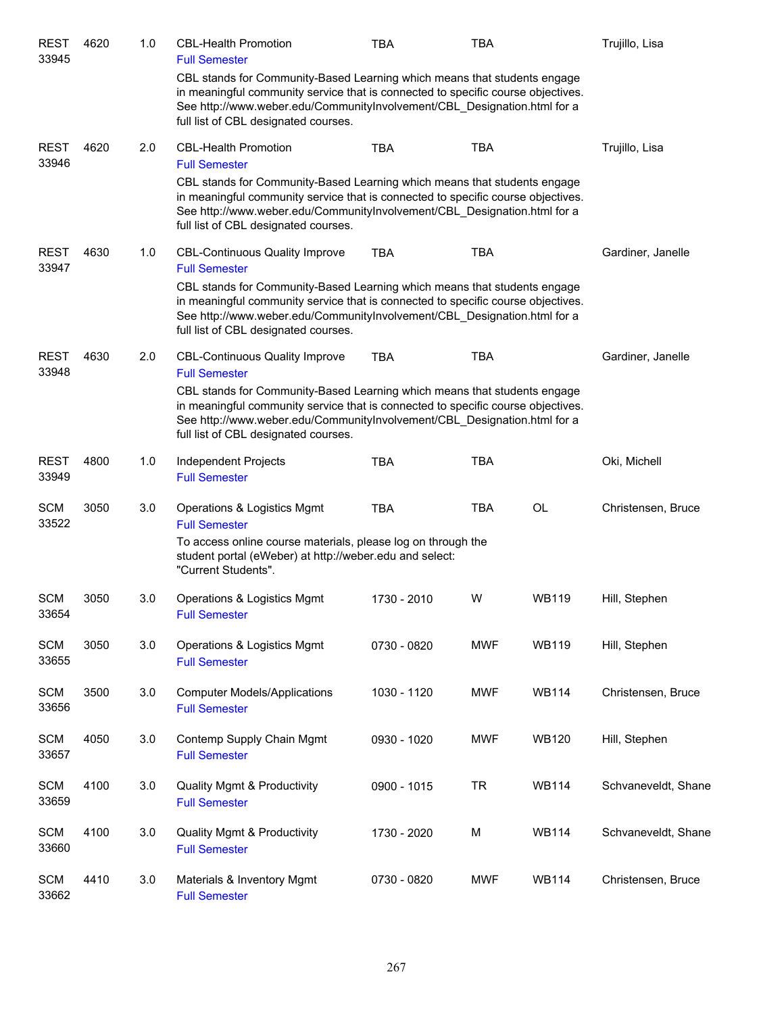| <b>REST</b><br>33945 | 4620 | 1.0 | <b>CBL-Health Promotion</b><br><b>Full Semester</b>                                                                                                                                                                                                                              | <b>TBA</b>  | TBA        |              | Trujillo, Lisa      |
|----------------------|------|-----|----------------------------------------------------------------------------------------------------------------------------------------------------------------------------------------------------------------------------------------------------------------------------------|-------------|------------|--------------|---------------------|
|                      |      |     | CBL stands for Community-Based Learning which means that students engage<br>in meaningful community service that is connected to specific course objectives.<br>See http://www.weber.edu/CommunityInvolvement/CBL_Designation.html for a<br>full list of CBL designated courses. |             |            |              |                     |
| <b>REST</b><br>33946 | 4620 | 2.0 | <b>CBL-Health Promotion</b><br><b>Full Semester</b>                                                                                                                                                                                                                              | <b>TBA</b>  | <b>TBA</b> |              | Trujillo, Lisa      |
|                      |      |     | CBL stands for Community-Based Learning which means that students engage<br>in meaningful community service that is connected to specific course objectives.<br>See http://www.weber.edu/CommunityInvolvement/CBL_Designation.html for a<br>full list of CBL designated courses. |             |            |              |                     |
| <b>REST</b><br>33947 | 4630 | 1.0 | <b>CBL-Continuous Quality Improve</b><br><b>Full Semester</b>                                                                                                                                                                                                                    | <b>TBA</b>  | <b>TBA</b> |              | Gardiner, Janelle   |
|                      |      |     | CBL stands for Community-Based Learning which means that students engage<br>in meaningful community service that is connected to specific course objectives.<br>See http://www.weber.edu/CommunityInvolvement/CBL_Designation.html for a<br>full list of CBL designated courses. |             |            |              |                     |
| <b>REST</b><br>33948 | 4630 | 2.0 | <b>CBL-Continuous Quality Improve</b><br><b>Full Semester</b>                                                                                                                                                                                                                    | <b>TBA</b>  | <b>TBA</b> |              | Gardiner, Janelle   |
|                      |      |     | CBL stands for Community-Based Learning which means that students engage<br>in meaningful community service that is connected to specific course objectives.<br>See http://www.weber.edu/CommunityInvolvement/CBL_Designation.html for a<br>full list of CBL designated courses. |             |            |              |                     |
| <b>REST</b><br>33949 | 4800 | 1.0 | Independent Projects<br><b>Full Semester</b>                                                                                                                                                                                                                                     | <b>TBA</b>  | <b>TBA</b> |              | Oki, Michell        |
| <b>SCM</b><br>33522  | 3050 | 3.0 | Operations & Logistics Mgmt<br><b>Full Semester</b>                                                                                                                                                                                                                              | <b>TBA</b>  | <b>TBA</b> | OL           | Christensen, Bruce  |
|                      |      |     | To access online course materials, please log on through the<br>student portal (eWeber) at http://weber.edu and select:<br>"Current Students".                                                                                                                                   |             |            |              |                     |
| <b>SCM</b><br>33654  | 3050 | 3.0 | Operations & Logistics Mgmt<br><b>Full Semester</b>                                                                                                                                                                                                                              | 1730 - 2010 | W          | <b>WB119</b> | Hill, Stephen       |
| <b>SCM</b><br>33655  | 3050 | 3.0 | Operations & Logistics Mgmt<br><b>Full Semester</b>                                                                                                                                                                                                                              | 0730 - 0820 | <b>MWF</b> | <b>WB119</b> | Hill, Stephen       |
| <b>SCM</b><br>33656  | 3500 | 3.0 | <b>Computer Models/Applications</b><br><b>Full Semester</b>                                                                                                                                                                                                                      | 1030 - 1120 | <b>MWF</b> | <b>WB114</b> | Christensen, Bruce  |
| <b>SCM</b><br>33657  | 4050 | 3.0 | Contemp Supply Chain Mgmt<br><b>Full Semester</b>                                                                                                                                                                                                                                | 0930 - 1020 | <b>MWF</b> | <b>WB120</b> | Hill, Stephen       |
| <b>SCM</b><br>33659  | 4100 | 3.0 | <b>Quality Mgmt &amp; Productivity</b><br><b>Full Semester</b>                                                                                                                                                                                                                   | 0900 - 1015 | <b>TR</b>  | <b>WB114</b> | Schvaneveldt, Shane |
| <b>SCM</b><br>33660  | 4100 | 3.0 | <b>Quality Mgmt &amp; Productivity</b><br><b>Full Semester</b>                                                                                                                                                                                                                   | 1730 - 2020 | M          | <b>WB114</b> | Schvaneveldt, Shane |
| <b>SCM</b><br>33662  | 4410 | 3.0 | Materials & Inventory Mgmt<br><b>Full Semester</b>                                                                                                                                                                                                                               | 0730 - 0820 | <b>MWF</b> | <b>WB114</b> | Christensen, Bruce  |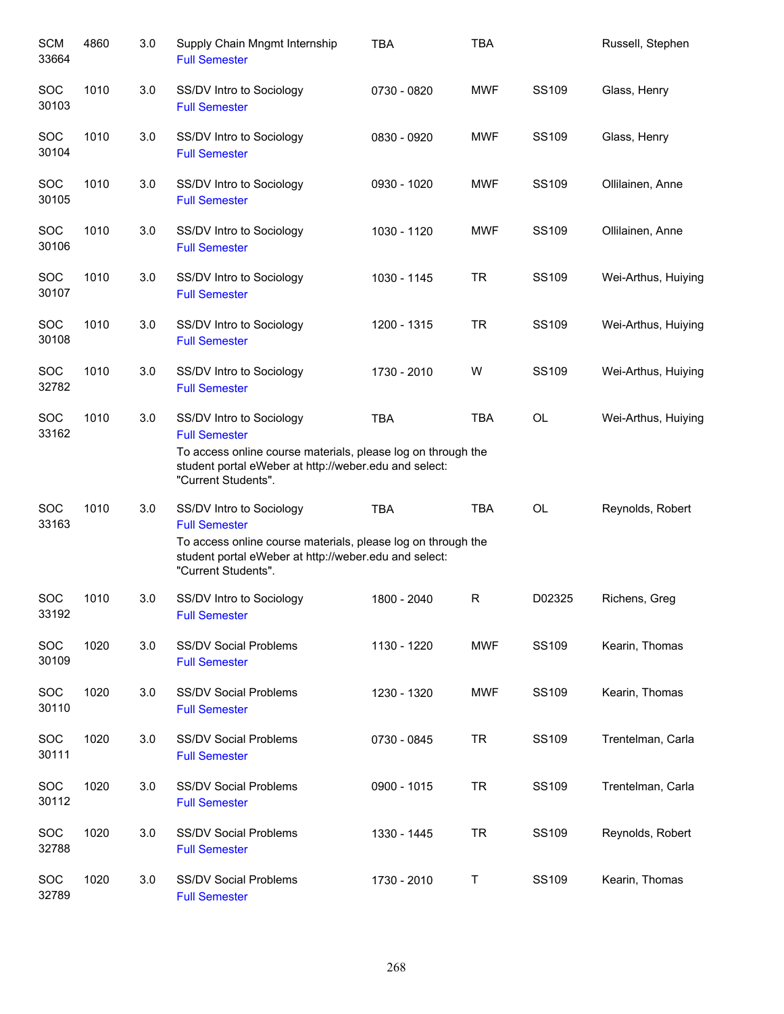| <b>SCM</b><br>33664 | 4860 | 3.0 | Supply Chain Mngmt Internship<br><b>Full Semester</b>                                                                                                                                            | <b>TBA</b>  | <b>TBA</b> |              | Russell, Stephen    |
|---------------------|------|-----|--------------------------------------------------------------------------------------------------------------------------------------------------------------------------------------------------|-------------|------------|--------------|---------------------|
| <b>SOC</b><br>30103 | 1010 | 3.0 | SS/DV Intro to Sociology<br><b>Full Semester</b>                                                                                                                                                 | 0730 - 0820 | <b>MWF</b> | SS109        | Glass, Henry        |
| <b>SOC</b><br>30104 | 1010 | 3.0 | SS/DV Intro to Sociology<br><b>Full Semester</b>                                                                                                                                                 | 0830 - 0920 | <b>MWF</b> | SS109        | Glass, Henry        |
| <b>SOC</b><br>30105 | 1010 | 3.0 | SS/DV Intro to Sociology<br><b>Full Semester</b>                                                                                                                                                 | 0930 - 1020 | <b>MWF</b> | <b>SS109</b> | Ollilainen, Anne    |
| <b>SOC</b><br>30106 | 1010 | 3.0 | SS/DV Intro to Sociology<br><b>Full Semester</b>                                                                                                                                                 | 1030 - 1120 | <b>MWF</b> | SS109        | Ollilainen, Anne    |
| <b>SOC</b><br>30107 | 1010 | 3.0 | SS/DV Intro to Sociology<br><b>Full Semester</b>                                                                                                                                                 | 1030 - 1145 | <b>TR</b>  | SS109        | Wei-Arthus, Huiying |
| <b>SOC</b><br>30108 | 1010 | 3.0 | SS/DV Intro to Sociology<br><b>Full Semester</b>                                                                                                                                                 | 1200 - 1315 | <b>TR</b>  | <b>SS109</b> | Wei-Arthus, Huiying |
| SOC<br>32782        | 1010 | 3.0 | SS/DV Intro to Sociology<br><b>Full Semester</b>                                                                                                                                                 | 1730 - 2010 | W          | SS109        | Wei-Arthus, Huiying |
| <b>SOC</b><br>33162 | 1010 | 3.0 | SS/DV Intro to Sociology<br><b>Full Semester</b><br>To access online course materials, please log on through the<br>student portal eWeber at http://weber.edu and select:<br>"Current Students". | <b>TBA</b>  | <b>TBA</b> | <b>OL</b>    | Wei-Arthus, Huiying |
| <b>SOC</b><br>33163 | 1010 | 3.0 | SS/DV Intro to Sociology<br><b>Full Semester</b><br>To access online course materials, please log on through the<br>student portal eWeber at http://weber.edu and select:<br>"Current Students". | <b>TBA</b>  | <b>TBA</b> | OL           | Reynolds, Robert    |
| SOC<br>33192        | 1010 | 3.0 | SS/DV Intro to Sociology<br><b>Full Semester</b>                                                                                                                                                 | 1800 - 2040 | R          | D02325       | Richens, Greg       |
| SOC<br>30109        | 1020 | 3.0 | <b>SS/DV Social Problems</b><br><b>Full Semester</b>                                                                                                                                             | 1130 - 1220 | <b>MWF</b> | <b>SS109</b> | Kearin, Thomas      |
| SOC<br>30110        | 1020 | 3.0 | <b>SS/DV Social Problems</b><br><b>Full Semester</b>                                                                                                                                             | 1230 - 1320 | <b>MWF</b> | SS109        | Kearin, Thomas      |
| SOC<br>30111        | 1020 | 3.0 | <b>SS/DV Social Problems</b><br><b>Full Semester</b>                                                                                                                                             | 0730 - 0845 | <b>TR</b>  | SS109        | Trentelman, Carla   |
| SOC<br>30112        | 1020 | 3.0 | <b>SS/DV Social Problems</b><br><b>Full Semester</b>                                                                                                                                             | 0900 - 1015 | <b>TR</b>  | SS109        | Trentelman, Carla   |
| SOC<br>32788        | 1020 | 3.0 | <b>SS/DV Social Problems</b><br><b>Full Semester</b>                                                                                                                                             | 1330 - 1445 | <b>TR</b>  | SS109        | Reynolds, Robert    |
| SOC<br>32789        | 1020 | 3.0 | <b>SS/DV Social Problems</b><br><b>Full Semester</b>                                                                                                                                             | 1730 - 2010 | T          | SS109        | Kearin, Thomas      |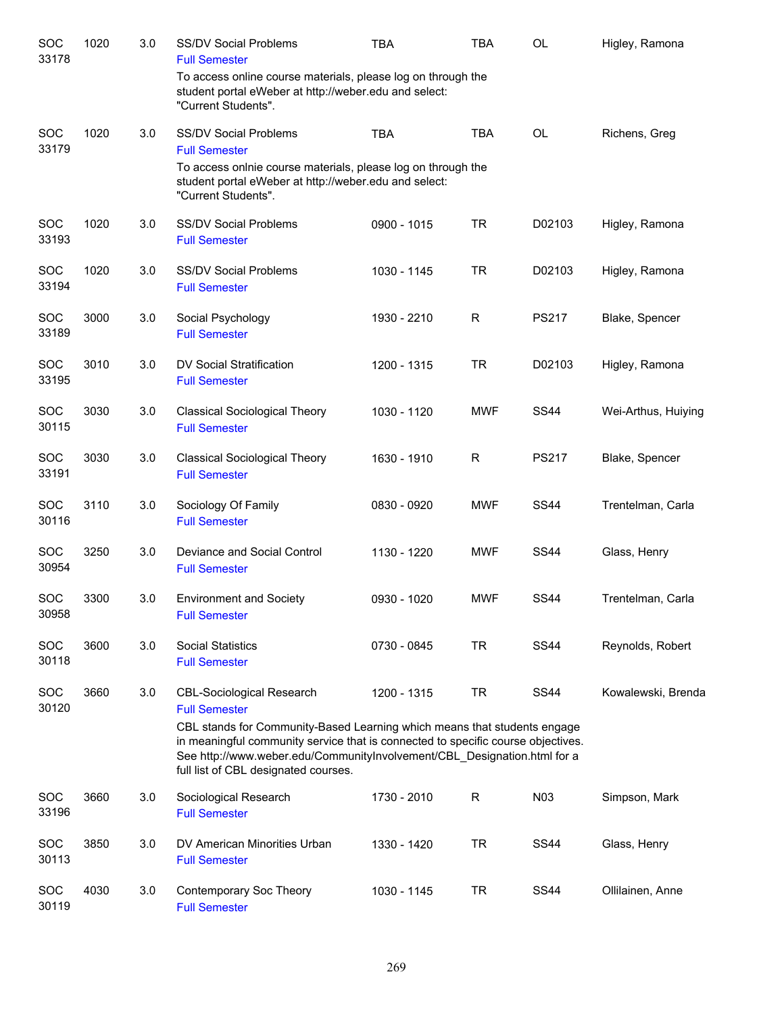| SOC<br>33178        | 1020 | 3.0 | <b>SS/DV Social Problems</b><br><b>Full Semester</b>                                                                                                                                                                                                                             | <b>TBA</b>  | <b>TBA</b> | OL           | Higley, Ramona      |
|---------------------|------|-----|----------------------------------------------------------------------------------------------------------------------------------------------------------------------------------------------------------------------------------------------------------------------------------|-------------|------------|--------------|---------------------|
|                     |      |     | To access online course materials, please log on through the<br>student portal eWeber at http://weber.edu and select:<br>"Current Students".                                                                                                                                     |             |            |              |                     |
| <b>SOC</b><br>33179 | 1020 | 3.0 | <b>SS/DV Social Problems</b><br><b>Full Semester</b>                                                                                                                                                                                                                             | <b>TBA</b>  | <b>TBA</b> | <b>OL</b>    | Richens, Greg       |
|                     |      |     | To access onlnie course materials, please log on through the<br>student portal eWeber at http://weber.edu and select:<br>"Current Students".                                                                                                                                     |             |            |              |                     |
| SOC<br>33193        | 1020 | 3.0 | <b>SS/DV Social Problems</b><br><b>Full Semester</b>                                                                                                                                                                                                                             | 0900 - 1015 | <b>TR</b>  | D02103       | Higley, Ramona      |
| SOC<br>33194        | 1020 | 3.0 | <b>SS/DV Social Problems</b><br><b>Full Semester</b>                                                                                                                                                                                                                             | 1030 - 1145 | <b>TR</b>  | D02103       | Higley, Ramona      |
| SOC<br>33189        | 3000 | 3.0 | Social Psychology<br><b>Full Semester</b>                                                                                                                                                                                                                                        | 1930 - 2210 | R          | <b>PS217</b> | Blake, Spencer      |
| SOC<br>33195        | 3010 | 3.0 | DV Social Stratification<br><b>Full Semester</b>                                                                                                                                                                                                                                 | 1200 - 1315 | <b>TR</b>  | D02103       | Higley, Ramona      |
| SOC<br>30115        | 3030 | 3.0 | <b>Classical Sociological Theory</b><br><b>Full Semester</b>                                                                                                                                                                                                                     | 1030 - 1120 | <b>MWF</b> | <b>SS44</b>  | Wei-Arthus, Huiying |
| <b>SOC</b><br>33191 | 3030 | 3.0 | <b>Classical Sociological Theory</b><br><b>Full Semester</b>                                                                                                                                                                                                                     | 1630 - 1910 | R          | <b>PS217</b> | Blake, Spencer      |
| SOC<br>30116        | 3110 | 3.0 | Sociology Of Family<br><b>Full Semester</b>                                                                                                                                                                                                                                      | 0830 - 0920 | <b>MWF</b> | <b>SS44</b>  | Trentelman, Carla   |
| <b>SOC</b><br>30954 | 3250 | 3.0 | Deviance and Social Control<br><b>Full Semester</b>                                                                                                                                                                                                                              | 1130 - 1220 | <b>MWF</b> | <b>SS44</b>  | Glass, Henry        |
| SOC<br>30958        | 3300 | 3.0 | <b>Environment and Society</b><br><b>Full Semester</b>                                                                                                                                                                                                                           | 0930 - 1020 | <b>MWF</b> | <b>SS44</b>  | Trentelman, Carla   |
| SOC<br>30118        | 3600 | 3.0 | <b>Social Statistics</b><br><b>Full Semester</b>                                                                                                                                                                                                                                 | 0730 - 0845 | <b>TR</b>  | <b>SS44</b>  | Reynolds, Robert    |
| SOC<br>30120        | 3660 | 3.0 | <b>CBL-Sociological Research</b><br><b>Full Semester</b>                                                                                                                                                                                                                         | 1200 - 1315 | <b>TR</b>  | <b>SS44</b>  | Kowalewski, Brenda  |
|                     |      |     | CBL stands for Community-Based Learning which means that students engage<br>in meaningful community service that is connected to specific course objectives.<br>See http://www.weber.edu/CommunityInvolvement/CBL_Designation.html for a<br>full list of CBL designated courses. |             |            |              |                     |
| SOC<br>33196        | 3660 | 3.0 | Sociological Research<br><b>Full Semester</b>                                                                                                                                                                                                                                    | 1730 - 2010 | R          | N03          | Simpson, Mark       |
| SOC<br>30113        | 3850 | 3.0 | DV American Minorities Urban<br><b>Full Semester</b>                                                                                                                                                                                                                             | 1330 - 1420 | <b>TR</b>  | <b>SS44</b>  | Glass, Henry        |
| SOC<br>30119        | 4030 | 3.0 | Contemporary Soc Theory<br><b>Full Semester</b>                                                                                                                                                                                                                                  | 1030 - 1145 | <b>TR</b>  | <b>SS44</b>  | Ollilainen, Anne    |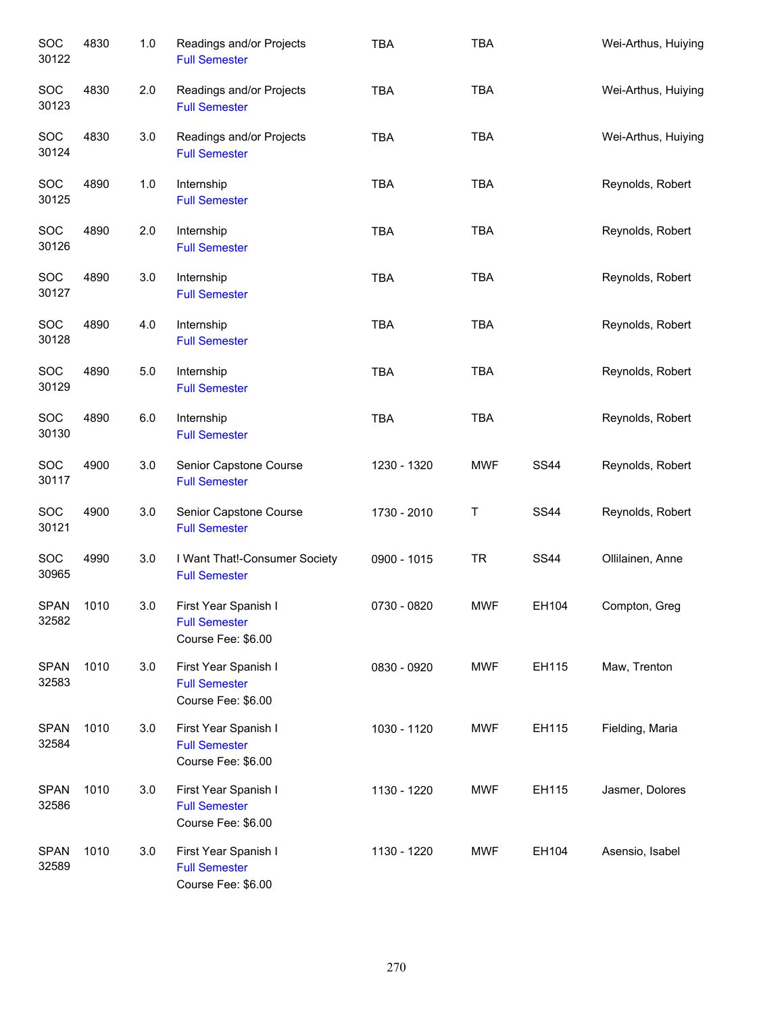| SOC<br>30122         | 4830 | $1.0$ | Readings and/or Projects<br><b>Full Semester</b>                   | <b>TBA</b>  | <b>TBA</b> |             | Wei-Arthus, Huiying |
|----------------------|------|-------|--------------------------------------------------------------------|-------------|------------|-------------|---------------------|
| SOC<br>30123         | 4830 | 2.0   | Readings and/or Projects<br><b>Full Semester</b>                   | <b>TBA</b>  | <b>TBA</b> |             | Wei-Arthus, Huiying |
| SOC<br>30124         | 4830 | 3.0   | Readings and/or Projects<br><b>Full Semester</b>                   | <b>TBA</b>  | <b>TBA</b> |             | Wei-Arthus, Huiying |
| SOC<br>30125         | 4890 | $1.0$ | Internship<br><b>Full Semester</b>                                 | <b>TBA</b>  | <b>TBA</b> |             | Reynolds, Robert    |
| <b>SOC</b><br>30126  | 4890 | 2.0   | Internship<br><b>Full Semester</b>                                 | <b>TBA</b>  | <b>TBA</b> |             | Reynolds, Robert    |
| <b>SOC</b><br>30127  | 4890 | 3.0   | Internship<br><b>Full Semester</b>                                 | <b>TBA</b>  | <b>TBA</b> |             | Reynolds, Robert    |
| <b>SOC</b><br>30128  | 4890 | 4.0   | Internship<br><b>Full Semester</b>                                 | <b>TBA</b>  | <b>TBA</b> |             | Reynolds, Robert    |
| <b>SOC</b><br>30129  | 4890 | $5.0$ | Internship<br><b>Full Semester</b>                                 | <b>TBA</b>  | <b>TBA</b> |             | Reynolds, Robert    |
| <b>SOC</b><br>30130  | 4890 | 6.0   | Internship<br><b>Full Semester</b>                                 | <b>TBA</b>  | <b>TBA</b> |             | Reynolds, Robert    |
| <b>SOC</b><br>30117  | 4900 | 3.0   | Senior Capstone Course<br><b>Full Semester</b>                     | 1230 - 1320 | <b>MWF</b> | <b>SS44</b> | Reynolds, Robert    |
| <b>SOC</b><br>30121  | 4900 | 3.0   | Senior Capstone Course<br><b>Full Semester</b>                     | 1730 - 2010 | Τ          | <b>SS44</b> | Reynolds, Robert    |
| <b>SOC</b><br>30965  | 4990 | 3.0   | I Want That!-Consumer Society<br><b>Full Semester</b>              | 0900 - 1015 | <b>TR</b>  | <b>SS44</b> | Ollilainen, Anne    |
| <b>SPAN</b><br>32582 | 1010 | 3.0   | First Year Spanish I<br><b>Full Semester</b><br>Course Fee: \$6.00 | 0730 - 0820 | <b>MWF</b> | EH104       | Compton, Greg       |
| <b>SPAN</b><br>32583 | 1010 | 3.0   | First Year Spanish I<br><b>Full Semester</b><br>Course Fee: \$6.00 | 0830 - 0920 | <b>MWF</b> | EH115       | Maw, Trenton        |
| <b>SPAN</b><br>32584 | 1010 | 3.0   | First Year Spanish I<br><b>Full Semester</b><br>Course Fee: \$6.00 | 1030 - 1120 | <b>MWF</b> | EH115       | Fielding, Maria     |
| <b>SPAN</b><br>32586 | 1010 | 3.0   | First Year Spanish I<br><b>Full Semester</b><br>Course Fee: \$6.00 | 1130 - 1220 | <b>MWF</b> | EH115       | Jasmer, Dolores     |
| <b>SPAN</b><br>32589 | 1010 | 3.0   | First Year Spanish I<br><b>Full Semester</b><br>Course Fee: \$6.00 | 1130 - 1220 | <b>MWF</b> | EH104       | Asensio, Isabel     |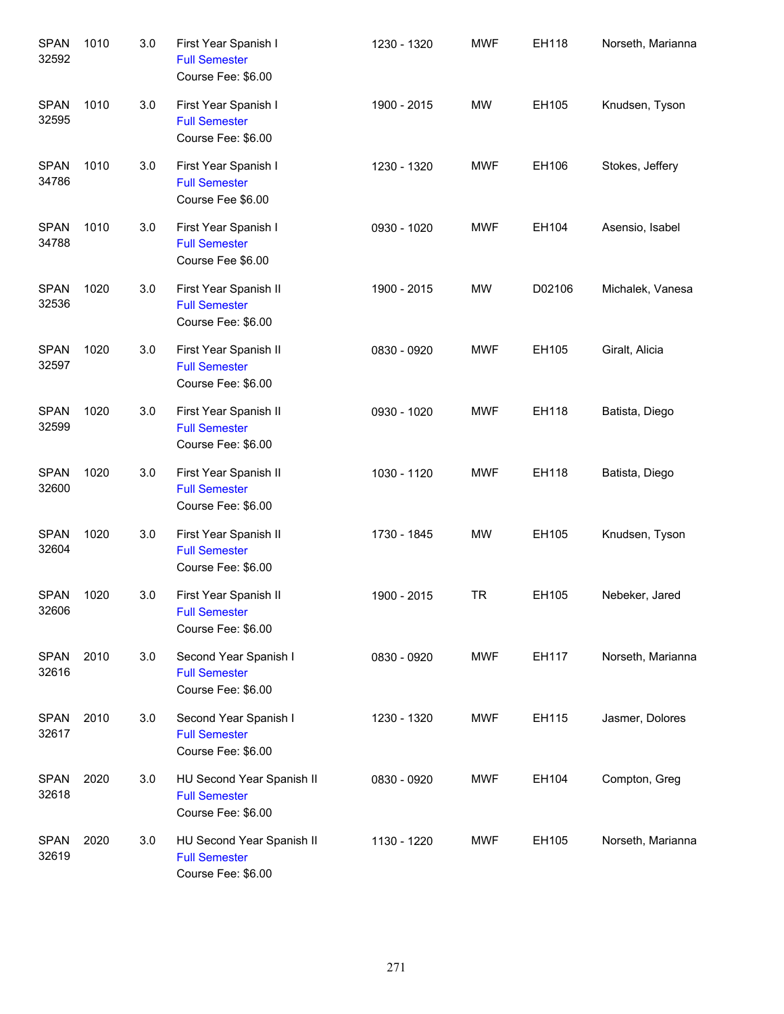| <b>SPAN</b><br>32592 | 1010 | 3.0 | First Year Spanish I<br><b>Full Semester</b><br>Course Fee: \$6.00      | 1230 - 1320 | <b>MWF</b> | EH118  | Norseth, Marianna |
|----------------------|------|-----|-------------------------------------------------------------------------|-------------|------------|--------|-------------------|
| <b>SPAN</b><br>32595 | 1010 | 3.0 | First Year Spanish I<br><b>Full Semester</b><br>Course Fee: \$6.00      | 1900 - 2015 | MW         | EH105  | Knudsen, Tyson    |
| <b>SPAN</b><br>34786 | 1010 | 3.0 | First Year Spanish I<br><b>Full Semester</b><br>Course Fee \$6.00       | 1230 - 1320 | MWF        | EH106  | Stokes, Jeffery   |
| <b>SPAN</b><br>34788 | 1010 | 3.0 | First Year Spanish I<br><b>Full Semester</b><br>Course Fee \$6.00       | 0930 - 1020 | MWF        | EH104  | Asensio, Isabel   |
| <b>SPAN</b><br>32536 | 1020 | 3.0 | First Year Spanish II<br><b>Full Semester</b><br>Course Fee: \$6.00     | 1900 - 2015 | MW         | D02106 | Michalek, Vanesa  |
| <b>SPAN</b><br>32597 | 1020 | 3.0 | First Year Spanish II<br><b>Full Semester</b><br>Course Fee: \$6.00     | 0830 - 0920 | MWF        | EH105  | Giralt, Alicia    |
| <b>SPAN</b><br>32599 | 1020 | 3.0 | First Year Spanish II<br><b>Full Semester</b><br>Course Fee: \$6.00     | 0930 - 1020 | MWF        | EH118  | Batista, Diego    |
| <b>SPAN</b><br>32600 | 1020 | 3.0 | First Year Spanish II<br><b>Full Semester</b><br>Course Fee: \$6.00     | 1030 - 1120 | MWF        | EH118  | Batista, Diego    |
| <b>SPAN</b><br>32604 | 1020 | 3.0 | First Year Spanish II<br><b>Full Semester</b><br>Course Fee: \$6.00     | 1730 - 1845 | MW         | EH105  | Knudsen, Tyson    |
| <b>SPAN</b><br>32606 | 1020 | 3.0 | First Year Spanish II<br><b>Full Semester</b><br>Course Fee: \$6.00     | 1900 - 2015 | <b>TR</b>  | EH105  | Nebeker, Jared    |
| <b>SPAN</b><br>32616 | 2010 | 3.0 | Second Year Spanish I<br><b>Full Semester</b><br>Course Fee: \$6.00     | 0830 - 0920 | <b>MWF</b> | EH117  | Norseth, Marianna |
| <b>SPAN</b><br>32617 | 2010 | 3.0 | Second Year Spanish I<br><b>Full Semester</b><br>Course Fee: \$6.00     | 1230 - 1320 | MWF        | EH115  | Jasmer, Dolores   |
| <b>SPAN</b><br>32618 | 2020 | 3.0 | HU Second Year Spanish II<br><b>Full Semester</b><br>Course Fee: \$6.00 | 0830 - 0920 | MWF        | EH104  | Compton, Greg     |
| <b>SPAN</b><br>32619 | 2020 | 3.0 | HU Second Year Spanish II<br><b>Full Semester</b><br>Course Fee: \$6.00 | 1130 - 1220 | MWF        | EH105  | Norseth, Marianna |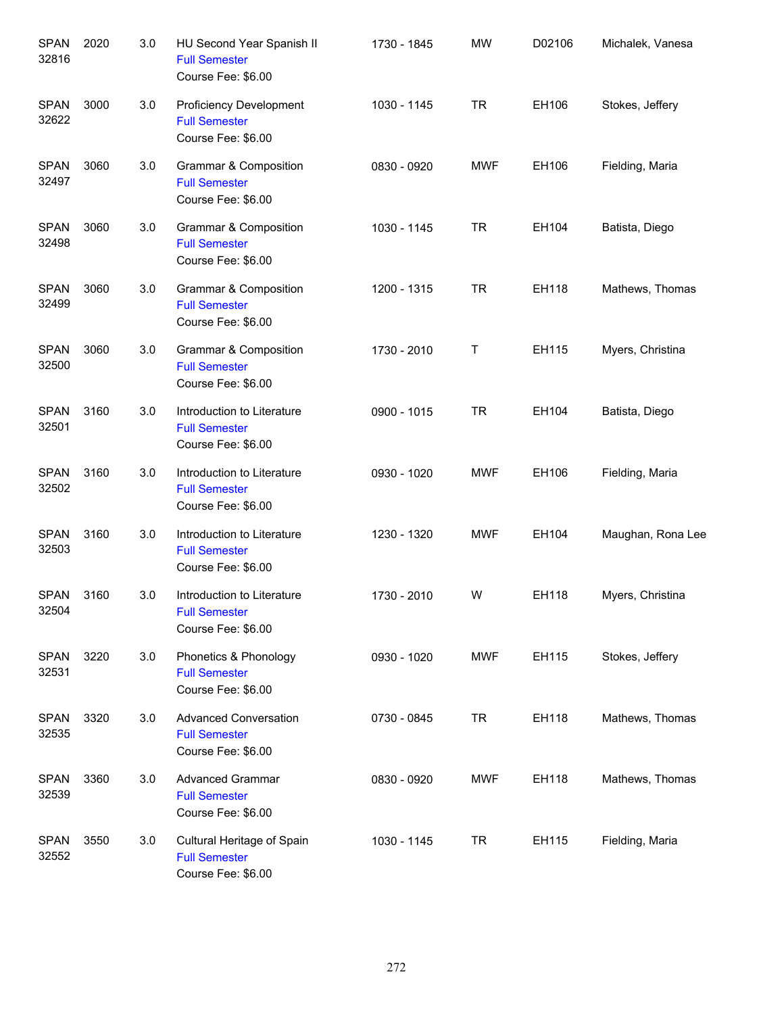| <b>SPAN</b><br>32816 | 2020 | 3.0 | HU Second Year Spanish II<br><b>Full Semester</b><br>Course Fee: \$6.00        | 1730 - 1845 | <b>MW</b>  | D02106 | Michalek, Vanesa  |
|----------------------|------|-----|--------------------------------------------------------------------------------|-------------|------------|--------|-------------------|
| <b>SPAN</b><br>32622 | 3000 | 3.0 | <b>Proficiency Development</b><br><b>Full Semester</b><br>Course Fee: \$6.00   | 1030 - 1145 | <b>TR</b>  | EH106  | Stokes, Jeffery   |
| <b>SPAN</b><br>32497 | 3060 | 3.0 | Grammar & Composition<br><b>Full Semester</b><br>Course Fee: \$6.00            | 0830 - 0920 | <b>MWF</b> | EH106  | Fielding, Maria   |
| <b>SPAN</b><br>32498 | 3060 | 3.0 | Grammar & Composition<br><b>Full Semester</b><br>Course Fee: \$6.00            | 1030 - 1145 | <b>TR</b>  | EH104  | Batista, Diego    |
| <b>SPAN</b><br>32499 | 3060 | 3.0 | <b>Grammar &amp; Composition</b><br><b>Full Semester</b><br>Course Fee: \$6.00 | 1200 - 1315 | <b>TR</b>  | EH118  | Mathews, Thomas   |
| <b>SPAN</b><br>32500 | 3060 | 3.0 | <b>Grammar &amp; Composition</b><br><b>Full Semester</b><br>Course Fee: \$6.00 | 1730 - 2010 | Τ          | EH115  | Myers, Christina  |
| <b>SPAN</b><br>32501 | 3160 | 3.0 | Introduction to Literature<br><b>Full Semester</b><br>Course Fee: \$6.00       | 0900 - 1015 | <b>TR</b>  | EH104  | Batista, Diego    |
| <b>SPAN</b><br>32502 | 3160 | 3.0 | Introduction to Literature<br><b>Full Semester</b><br>Course Fee: \$6.00       | 0930 - 1020 | <b>MWF</b> | EH106  | Fielding, Maria   |
| <b>SPAN</b><br>32503 | 3160 | 3.0 | Introduction to Literature<br><b>Full Semester</b><br>Course Fee: \$6.00       | 1230 - 1320 | <b>MWF</b> | EH104  | Maughan, Rona Lee |
| <b>SPAN</b><br>32504 | 3160 | 3.0 | Introduction to Literature<br><b>Full Semester</b><br>Course Fee: \$6.00       | 1730 - 2010 | W          | EH118  | Myers, Christina  |
| <b>SPAN</b><br>32531 | 3220 | 3.0 | Phonetics & Phonology<br><b>Full Semester</b><br>Course Fee: \$6.00            | 0930 - 1020 | <b>MWF</b> | EH115  | Stokes, Jeffery   |
| <b>SPAN</b><br>32535 | 3320 | 3.0 | <b>Advanced Conversation</b><br><b>Full Semester</b><br>Course Fee: \$6.00     | 0730 - 0845 | <b>TR</b>  | EH118  | Mathews, Thomas   |
| <b>SPAN</b><br>32539 | 3360 | 3.0 | <b>Advanced Grammar</b><br><b>Full Semester</b><br>Course Fee: \$6.00          | 0830 - 0920 | <b>MWF</b> | EH118  | Mathews, Thomas   |
| <b>SPAN</b><br>32552 | 3550 | 3.0 | Cultural Heritage of Spain<br><b>Full Semester</b><br>Course Fee: \$6.00       | 1030 - 1145 | <b>TR</b>  | EH115  | Fielding, Maria   |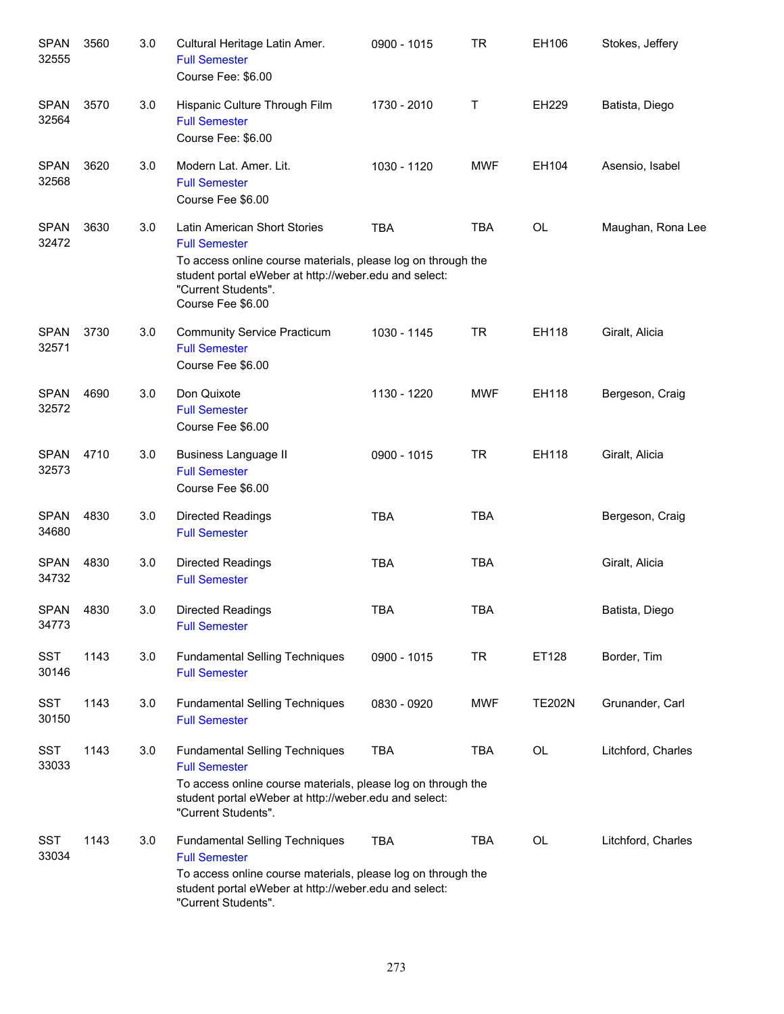| <b>SPAN</b><br>32555 | 3560 | 3.0 | Cultural Heritage Latin Amer.<br><b>Full Semester</b><br>Course Fee: \$6.00                                                                                                                                               | 0900 - 1015 | <b>TR</b>  | EH106         | Stokes, Jeffery    |
|----------------------|------|-----|---------------------------------------------------------------------------------------------------------------------------------------------------------------------------------------------------------------------------|-------------|------------|---------------|--------------------|
| <b>SPAN</b><br>32564 | 3570 | 3.0 | Hispanic Culture Through Film<br><b>Full Semester</b><br>Course Fee: \$6.00                                                                                                                                               | 1730 - 2010 | Τ          | EH229         | Batista, Diego     |
| <b>SPAN</b><br>32568 | 3620 | 3.0 | Modern Lat. Amer. Lit.<br><b>Full Semester</b><br>Course Fee \$6.00                                                                                                                                                       | 1030 - 1120 | <b>MWF</b> | EH104         | Asensio, Isabel    |
| <b>SPAN</b><br>32472 | 3630 | 3.0 | Latin American Short Stories<br><b>Full Semester</b><br>To access online course materials, please log on through the<br>student portal eWeber at http://weber.edu and select:<br>"Current Students".<br>Course Fee \$6.00 | <b>TBA</b>  | <b>TBA</b> | <b>OL</b>     | Maughan, Rona Lee  |
| <b>SPAN</b><br>32571 | 3730 | 3.0 | <b>Community Service Practicum</b><br><b>Full Semester</b><br>Course Fee \$6.00                                                                                                                                           | 1030 - 1145 | <b>TR</b>  | EH118         | Giralt, Alicia     |
| <b>SPAN</b><br>32572 | 4690 | 3.0 | Don Quixote<br><b>Full Semester</b><br>Course Fee \$6.00                                                                                                                                                                  | 1130 - 1220 | <b>MWF</b> | EH118         | Bergeson, Craig    |
| <b>SPAN</b><br>32573 | 4710 | 3.0 | <b>Business Language II</b><br><b>Full Semester</b><br>Course Fee \$6.00                                                                                                                                                  | 0900 - 1015 | <b>TR</b>  | EH118         | Giralt, Alicia     |
| <b>SPAN</b><br>34680 | 4830 | 3.0 | Directed Readings<br><b>Full Semester</b>                                                                                                                                                                                 | <b>TBA</b>  | <b>TBA</b> |               | Bergeson, Craig    |
| <b>SPAN</b><br>34732 | 4830 | 3.0 | Directed Readings<br><b>Full Semester</b>                                                                                                                                                                                 | <b>TBA</b>  | <b>TBA</b> |               | Giralt, Alicia     |
| SPAN<br>34773        | 4830 | 3.0 | Directed Readings<br><b>Full Semester</b>                                                                                                                                                                                 | <b>TBA</b>  | <b>TBA</b> |               | Batista, Diego     |
| <b>SST</b><br>30146  | 1143 | 3.0 | <b>Fundamental Selling Techniques</b><br><b>Full Semester</b>                                                                                                                                                             | 0900 - 1015 | <b>TR</b>  | ET128         | Border, Tim        |
| SST<br>30150         | 1143 | 3.0 | <b>Fundamental Selling Techniques</b><br><b>Full Semester</b>                                                                                                                                                             | 0830 - 0920 | <b>MWF</b> | <b>TE202N</b> | Grunander, Carl    |
| <b>SST</b><br>33033  | 1143 | 3.0 | <b>Fundamental Selling Techniques</b><br><b>Full Semester</b><br>To access online course materials, please log on through the<br>student portal eWeber at http://weber.edu and select:<br>"Current Students".             | <b>TBA</b>  | TBA        | OL            | Litchford, Charles |
| <b>SST</b><br>33034  | 1143 | 3.0 | <b>Fundamental Selling Techniques</b><br><b>Full Semester</b><br>To access online course materials, please log on through the<br>student portal eWeber at http://weber.edu and select:<br>"Current Students".             | <b>TBA</b>  | <b>TBA</b> | OL            | Litchford, Charles |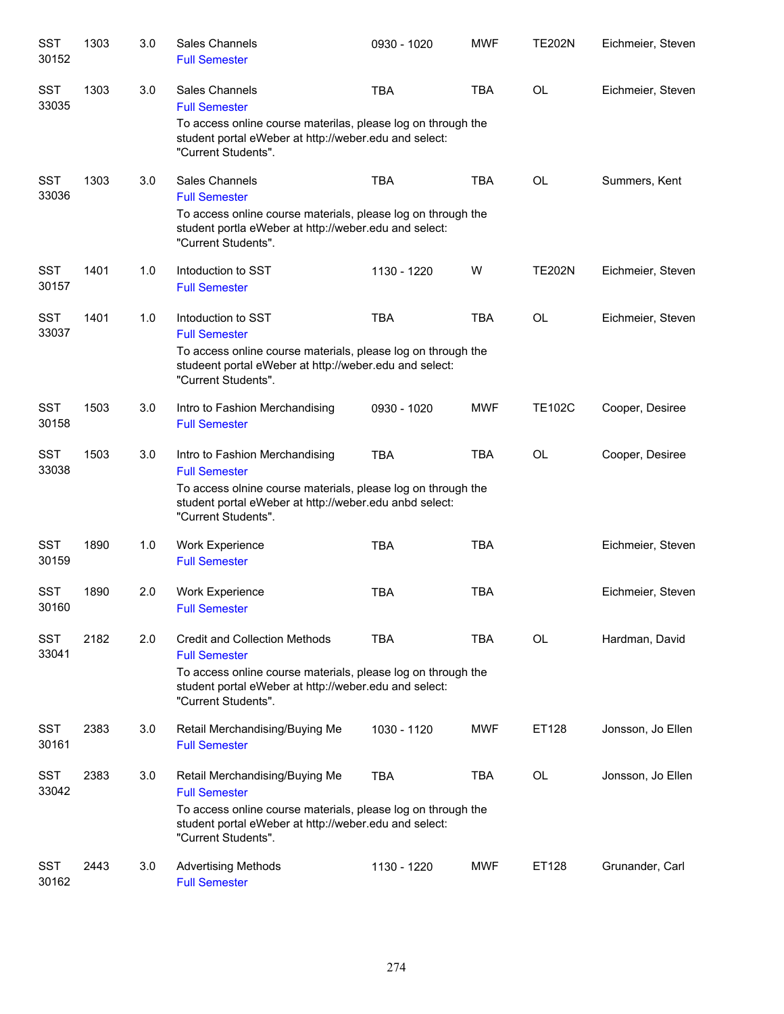| <b>SST</b><br>30152 | 1303 | 3.0 | Sales Channels<br><b>Full Semester</b>                                                                                                        | 0930 - 1020 | <b>MWF</b> | <b>TE202N</b> | Eichmeier, Steven |
|---------------------|------|-----|-----------------------------------------------------------------------------------------------------------------------------------------------|-------------|------------|---------------|-------------------|
| <b>SST</b><br>33035 | 1303 | 3.0 | Sales Channels<br><b>Full Semester</b>                                                                                                        | <b>TBA</b>  | <b>TBA</b> | <b>OL</b>     | Eichmeier, Steven |
|                     |      |     | To access online course materilas, please log on through the<br>student portal eWeber at http://weber.edu and select:<br>"Current Students".  |             |            |               |                   |
| <b>SST</b><br>33036 | 1303 | 3.0 | Sales Channels<br><b>Full Semester</b>                                                                                                        | <b>TBA</b>  | <b>TBA</b> | <b>OL</b>     | Summers, Kent     |
|                     |      |     | To access online course materials, please log on through the<br>student portla eWeber at http://weber.edu and select:<br>"Current Students".  |             |            |               |                   |
| <b>SST</b><br>30157 | 1401 | 1.0 | Intoduction to SST<br><b>Full Semester</b>                                                                                                    | 1130 - 1220 | W          | <b>TE202N</b> | Eichmeier, Steven |
| <b>SST</b><br>33037 | 1401 | 1.0 | Intoduction to SST<br><b>Full Semester</b>                                                                                                    | <b>TBA</b>  | <b>TBA</b> | <b>OL</b>     | Eichmeier, Steven |
|                     |      |     | To access online course materials, please log on through the<br>studeent portal eWeber at http://weber.edu and select:<br>"Current Students". |             |            |               |                   |
| <b>SST</b><br>30158 | 1503 | 3.0 | Intro to Fashion Merchandising<br><b>Full Semester</b>                                                                                        | 0930 - 1020 | <b>MWF</b> | <b>TE102C</b> | Cooper, Desiree   |
| <b>SST</b><br>33038 | 1503 | 3.0 | Intro to Fashion Merchandising<br><b>Full Semester</b>                                                                                        | <b>TBA</b>  | <b>TBA</b> | <b>OL</b>     | Cooper, Desiree   |
|                     |      |     | To access olnine course materials, please log on through the<br>student portal eWeber at http://weber.edu anbd select:<br>"Current Students". |             |            |               |                   |
| <b>SST</b><br>30159 | 1890 | 1.0 | <b>Work Experience</b><br><b>Full Semester</b>                                                                                                | <b>TBA</b>  | <b>TBA</b> |               | Eichmeier, Steven |
| <b>SST</b><br>30160 | 1890 | 2.0 | <b>Work Experience</b><br><b>Full Semester</b>                                                                                                | <b>TBA</b>  | <b>TBA</b> |               | Eichmeier, Steven |
| <b>SST</b><br>33041 | 2182 | 2.0 | <b>Credit and Collection Methods</b><br><b>Full Semester</b>                                                                                  | <b>TBA</b>  | TBA        | OL            | Hardman, David    |
|                     |      |     | To access online course materials, please log on through the<br>student portal eWeber at http://weber.edu and select:<br>"Current Students".  |             |            |               |                   |
| <b>SST</b><br>30161 | 2383 | 3.0 | Retail Merchandising/Buying Me<br><b>Full Semester</b>                                                                                        | 1030 - 1120 | <b>MWF</b> | ET128         | Jonsson, Jo Ellen |
| <b>SST</b><br>33042 | 2383 | 3.0 | Retail Merchandising/Buying Me<br><b>Full Semester</b>                                                                                        | <b>TBA</b>  | TBA        | OL            | Jonsson, Jo Ellen |
|                     |      |     | To access online course materials, please log on through the<br>student portal eWeber at http://weber.edu and select:<br>"Current Students".  |             |            |               |                   |
| <b>SST</b><br>30162 | 2443 | 3.0 | <b>Advertising Methods</b><br><b>Full Semester</b>                                                                                            | 1130 - 1220 | <b>MWF</b> | ET128         | Grunander, Carl   |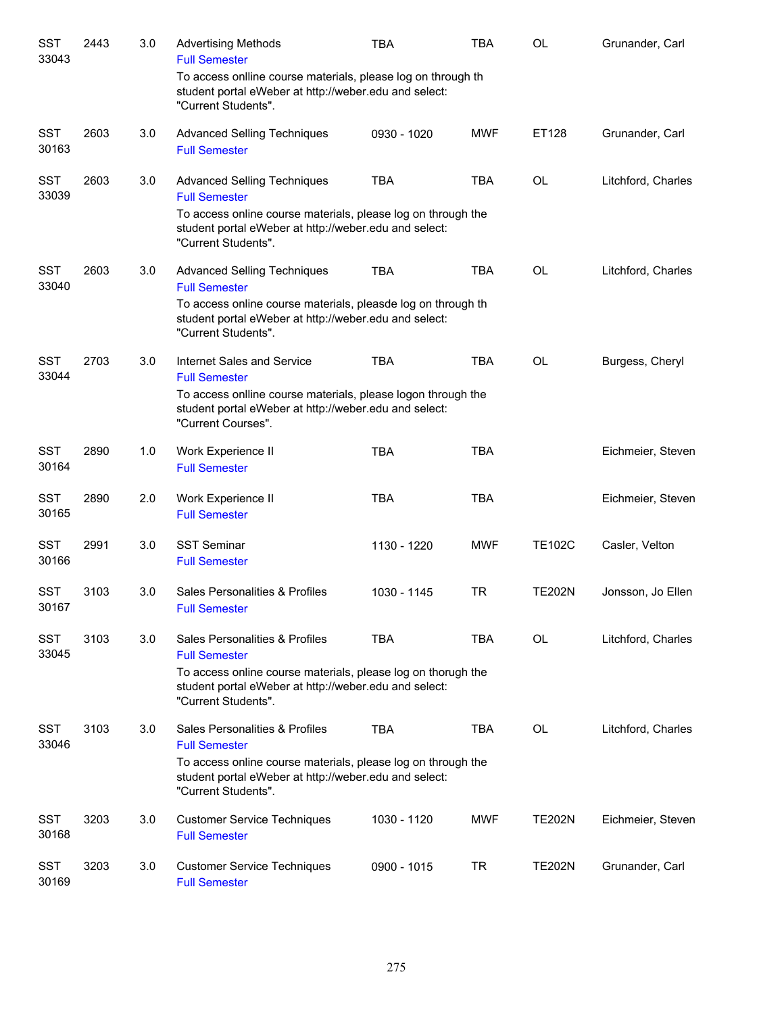| <b>SST</b><br>33043 | 2443 | 3.0 | <b>Advertising Methods</b><br><b>Full Semester</b>                                                                                           | <b>TBA</b>  | <b>TBA</b> | OL            | Grunander, Carl    |
|---------------------|------|-----|----------------------------------------------------------------------------------------------------------------------------------------------|-------------|------------|---------------|--------------------|
|                     |      |     | To access onlline course materials, please log on through th<br>student portal eWeber at http://weber.edu and select:<br>"Current Students". |             |            |               |                    |
| <b>SST</b><br>30163 | 2603 | 3.0 | <b>Advanced Selling Techniques</b><br><b>Full Semester</b>                                                                                   | 0930 - 1020 | <b>MWF</b> | ET128         | Grunander, Carl    |
| <b>SST</b><br>33039 | 2603 | 3.0 | <b>Advanced Selling Techniques</b><br><b>Full Semester</b>                                                                                   | <b>TBA</b>  | <b>TBA</b> | OL            | Litchford, Charles |
|                     |      |     | To access online course materials, please log on through the<br>student portal eWeber at http://weber.edu and select:<br>"Current Students". |             |            |               |                    |
| <b>SST</b><br>33040 | 2603 | 3.0 | <b>Advanced Selling Techniques</b><br><b>Full Semester</b>                                                                                   | <b>TBA</b>  | <b>TBA</b> | <b>OL</b>     | Litchford, Charles |
|                     |      |     | To access online course materials, pleasde log on through th<br>student portal eWeber at http://weber.edu and select:<br>"Current Students". |             |            |               |                    |
| <b>SST</b><br>33044 | 2703 | 3.0 | Internet Sales and Service<br><b>Full Semester</b>                                                                                           | <b>TBA</b>  | <b>TBA</b> | <b>OL</b>     | Burgess, Cheryl    |
|                     |      |     | To access onlline course materials, please logon through the<br>student portal eWeber at http://weber.edu and select:<br>"Current Courses".  |             |            |               |                    |
| <b>SST</b><br>30164 | 2890 | 1.0 | Work Experience II<br><b>Full Semester</b>                                                                                                   | <b>TBA</b>  | <b>TBA</b> |               | Eichmeier, Steven  |
| <b>SST</b><br>30165 | 2890 | 2.0 | Work Experience II<br><b>Full Semester</b>                                                                                                   | <b>TBA</b>  | <b>TBA</b> |               | Eichmeier, Steven  |
| <b>SST</b><br>30166 | 2991 | 3.0 | <b>SST Seminar</b><br><b>Full Semester</b>                                                                                                   | 1130 - 1220 | <b>MWF</b> | <b>TE102C</b> | Casler, Velton     |
| <b>SST</b><br>30167 | 3103 | 3.0 | Sales Personalities & Profiles<br><b>Full Semester</b>                                                                                       | 1030 - 1145 | <b>TR</b>  | <b>TE202N</b> | Jonsson, Jo Ellen  |
| <b>SST</b><br>33045 | 3103 | 3.0 | Sales Personalities & Profiles<br><b>Full Semester</b>                                                                                       | TBA         | <b>TBA</b> | OL            | Litchford, Charles |
|                     |      |     | To access online course materials, please log on thorugh the<br>student portal eWeber at http://weber.edu and select:<br>"Current Students". |             |            |               |                    |
| <b>SST</b><br>33046 | 3103 | 3.0 | Sales Personalities & Profiles<br><b>Full Semester</b>                                                                                       | <b>TBA</b>  | <b>TBA</b> | OL            | Litchford, Charles |
|                     |      |     | To access online course materials, please log on through the<br>student portal eWeber at http://weber.edu and select:<br>"Current Students". |             |            |               |                    |
| <b>SST</b><br>30168 | 3203 | 3.0 | <b>Customer Service Techniques</b><br><b>Full Semester</b>                                                                                   | 1030 - 1120 | <b>MWF</b> | <b>TE202N</b> | Eichmeier, Steven  |
| <b>SST</b><br>30169 | 3203 | 3.0 | <b>Customer Service Techniques</b><br><b>Full Semester</b>                                                                                   | 0900 - 1015 | TR         | <b>TE202N</b> | Grunander, Carl    |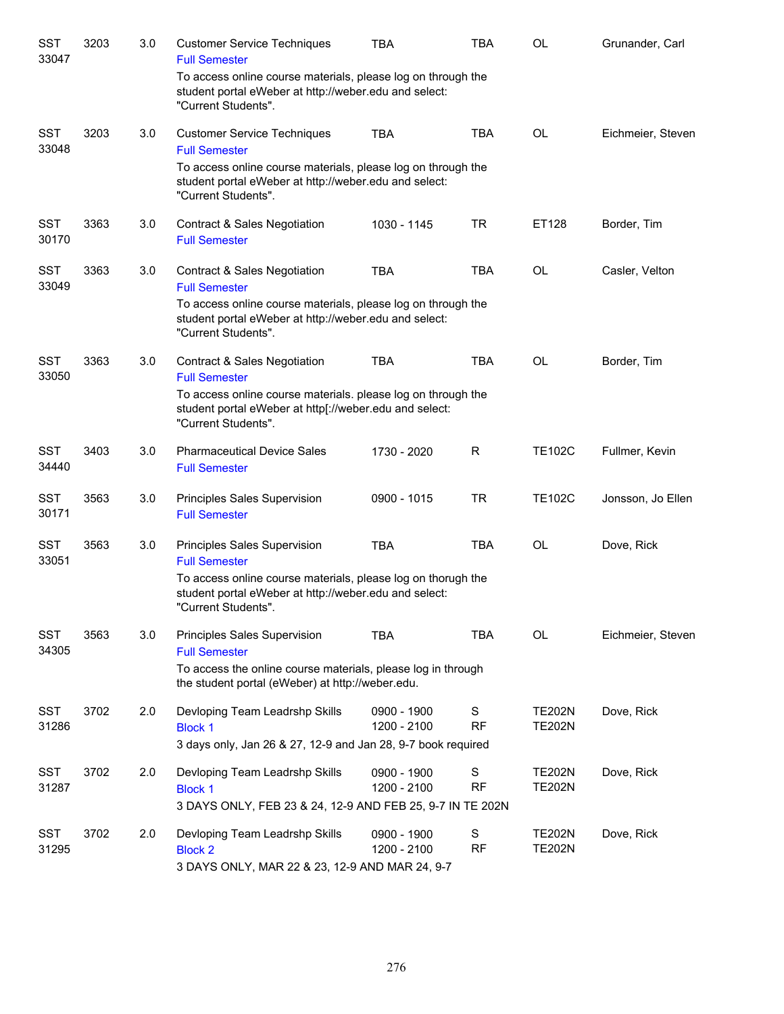| <b>SST</b><br>33047 | 3203 | 3.0 | <b>Customer Service Techniques</b><br><b>Full Semester</b>                                                                                    | <b>TBA</b>                 | <b>TBA</b>     | <b>OL</b>                      | Grunander, Carl   |
|---------------------|------|-----|-----------------------------------------------------------------------------------------------------------------------------------------------|----------------------------|----------------|--------------------------------|-------------------|
|                     |      |     | To access online course materials, please log on through the<br>student portal eWeber at http://weber.edu and select:<br>"Current Students".  |                            |                |                                |                   |
| <b>SST</b><br>33048 | 3203 | 3.0 | <b>Customer Service Techniques</b><br><b>Full Semester</b>                                                                                    | <b>TBA</b>                 | <b>TBA</b>     | <b>OL</b>                      | Eichmeier, Steven |
|                     |      |     | To access online course materials, please log on through the<br>student portal eWeber at http://weber.edu and select:<br>"Current Students".  |                            |                |                                |                   |
| <b>SST</b><br>30170 | 3363 | 3.0 | <b>Contract &amp; Sales Negotiation</b><br><b>Full Semester</b>                                                                               | 1030 - 1145                | <b>TR</b>      | ET128                          | Border, Tim       |
| <b>SST</b><br>33049 | 3363 | 3.0 | <b>Contract &amp; Sales Negotiation</b><br><b>Full Semester</b>                                                                               | <b>TBA</b>                 | <b>TBA</b>     | <b>OL</b>                      | Casler, Velton    |
|                     |      |     | To access online course materials, please log on through the<br>student portal eWeber at http://weber.edu and select:<br>"Current Students".  |                            |                |                                |                   |
| <b>SST</b><br>33050 | 3363 | 3.0 | <b>Contract &amp; Sales Negotiation</b><br><b>Full Semester</b>                                                                               | <b>TBA</b>                 | <b>TBA</b>     | OL                             | Border, Tim       |
|                     |      |     | To access online course materials. please log on through the<br>student portal eWeber at http[://weber.edu and select:<br>"Current Students". |                            |                |                                |                   |
| <b>SST</b><br>34440 | 3403 | 3.0 | <b>Pharmaceutical Device Sales</b><br><b>Full Semester</b>                                                                                    | 1730 - 2020                | R              | <b>TE102C</b>                  | Fullmer, Kevin    |
| <b>SST</b><br>30171 | 3563 | 3.0 | Principles Sales Supervision<br><b>Full Semester</b>                                                                                          | 0900 - 1015                | <b>TR</b>      | <b>TE102C</b>                  | Jonsson, Jo Ellen |
| <b>SST</b><br>33051 | 3563 | 3.0 | Principles Sales Supervision<br><b>Full Semester</b>                                                                                          | <b>TBA</b>                 | <b>TBA</b>     | <b>OL</b>                      | Dove, Rick        |
|                     |      |     | To access online course materials, please log on thorugh the<br>student portal eWeber at http://weber.edu and select:<br>"Current Students".  |                            |                |                                |                   |
| <b>SST</b><br>34305 | 3563 | 3.0 | Principles Sales Supervision<br><b>Full Semester</b>                                                                                          | <b>TBA</b>                 | <b>TBA</b>     | <b>OL</b>                      | Eichmeier, Steven |
|                     |      |     | To access the online course materials, please log in through<br>the student portal (eWeber) at http://weber.edu.                              |                            |                |                                |                   |
| <b>SST</b><br>31286 | 3702 | 2.0 | Devloping Team Leadrshp Skills<br><b>Block 1</b><br>3 days only, Jan 26 & 27, 12-9 and Jan 28, 9-7 book required                              | 0900 - 1900<br>1200 - 2100 | S<br><b>RF</b> | <b>TE202N</b><br><b>TE202N</b> | Dove, Rick        |
| <b>SST</b><br>31287 | 3702 | 2.0 | Devloping Team Leadrshp Skills<br><b>Block 1</b><br>3 DAYS ONLY, FEB 23 & 24, 12-9 AND FEB 25, 9-7 IN TE 202N                                 | 0900 - 1900<br>1200 - 2100 | S<br><b>RF</b> | <b>TE202N</b><br><b>TE202N</b> | Dove, Rick        |
|                     |      |     |                                                                                                                                               |                            |                |                                |                   |
| <b>SST</b><br>31295 | 3702 | 2.0 | Devloping Team Leadrshp Skills<br><b>Block 2</b><br>3 DAYS ONLY, MAR 22 & 23, 12-9 AND MAR 24, 9-7                                            | 0900 - 1900<br>1200 - 2100 | S<br><b>RF</b> | <b>TE202N</b><br><b>TE202N</b> | Dove, Rick        |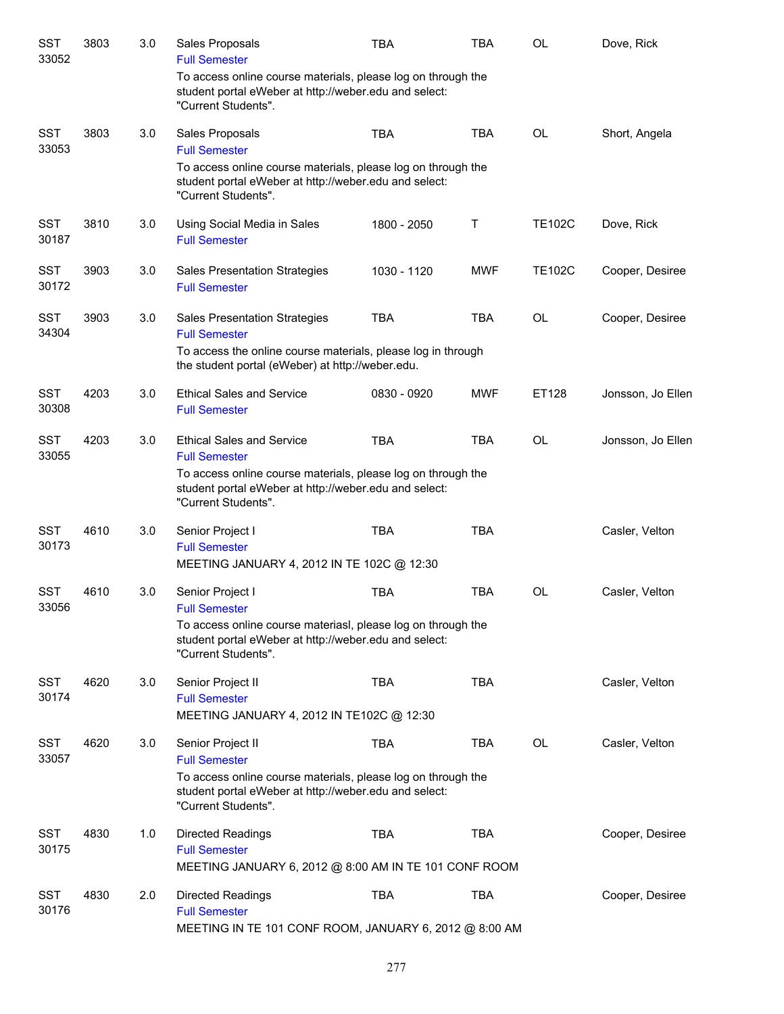| SST<br>33052        | 3803 | 3.0 | Sales Proposals<br><b>Full Semester</b>                                                                                                      | <b>TBA</b>  | <b>TBA</b> | <b>OL</b>     | Dove, Rick        |
|---------------------|------|-----|----------------------------------------------------------------------------------------------------------------------------------------------|-------------|------------|---------------|-------------------|
|                     |      |     | To access online course materials, please log on through the<br>student portal eWeber at http://weber.edu and select:<br>"Current Students". |             |            |               |                   |
| <b>SST</b><br>33053 | 3803 | 3.0 | Sales Proposals<br><b>Full Semester</b>                                                                                                      | <b>TBA</b>  | <b>TBA</b> | OL            | Short, Angela     |
|                     |      |     | To access online course materials, please log on through the<br>student portal eWeber at http://weber.edu and select:<br>"Current Students". |             |            |               |                   |
| <b>SST</b><br>30187 | 3810 | 3.0 | Using Social Media in Sales<br><b>Full Semester</b>                                                                                          | 1800 - 2050 | Τ          | <b>TE102C</b> | Dove, Rick        |
| <b>SST</b><br>30172 | 3903 | 3.0 | <b>Sales Presentation Strategies</b><br><b>Full Semester</b>                                                                                 | 1030 - 1120 | <b>MWF</b> | <b>TE102C</b> | Cooper, Desiree   |
| <b>SST</b><br>34304 | 3903 | 3.0 | <b>Sales Presentation Strategies</b><br><b>Full Semester</b>                                                                                 | <b>TBA</b>  | <b>TBA</b> | <b>OL</b>     | Cooper, Desiree   |
|                     |      |     | To access the online course materials, please log in through<br>the student portal (eWeber) at http://weber.edu.                             |             |            |               |                   |
| <b>SST</b><br>30308 | 4203 | 3.0 | <b>Ethical Sales and Service</b><br><b>Full Semester</b>                                                                                     | 0830 - 0920 | <b>MWF</b> | ET128         | Jonsson, Jo Ellen |
| <b>SST</b><br>33055 | 4203 | 3.0 | <b>Ethical Sales and Service</b><br><b>Full Semester</b>                                                                                     | <b>TBA</b>  | <b>TBA</b> | <b>OL</b>     | Jonsson, Jo Ellen |
|                     |      |     | To access online course materials, please log on through the<br>student portal eWeber at http://weber.edu and select:<br>"Current Students". |             |            |               |                   |
| <b>SST</b><br>30173 | 4610 | 3.0 | Senior Project I<br><b>Full Semester</b>                                                                                                     | <b>TBA</b>  | <b>TBA</b> |               | Casler, Velton    |
|                     |      |     | MEETING JANUARY 4, 2012 IN TE 102C @ 12:30                                                                                                   |             |            |               |                   |
| <b>SST</b><br>33056 | 4610 | 3.0 | Senior Project I<br><b>Full Semester</b>                                                                                                     | <b>TBA</b>  | <b>TBA</b> | <b>OL</b>     | Casler, Velton    |
|                     |      |     | To access online course materiasl, please log on through the<br>student portal eWeber at http://weber.edu and select:<br>"Current Students". |             |            |               |                   |
| <b>SST</b><br>30174 | 4620 | 3.0 | Senior Project II<br><b>Full Semester</b>                                                                                                    | <b>TBA</b>  | <b>TBA</b> |               | Casler, Velton    |
|                     |      |     | MEETING JANUARY 4, 2012 IN TE102C @ 12:30                                                                                                    |             |            |               |                   |
| <b>SST</b><br>33057 | 4620 | 3.0 | Senior Project II<br><b>Full Semester</b>                                                                                                    | TBA         | <b>TBA</b> | <b>OL</b>     | Casler, Velton    |
|                     |      |     | To access online course materials, please log on through the<br>student portal eWeber at http://weber.edu and select:<br>"Current Students". |             |            |               |                   |
| <b>SST</b><br>30175 | 4830 | 1.0 | <b>Directed Readings</b><br><b>Full Semester</b>                                                                                             | <b>TBA</b>  | <b>TBA</b> |               | Cooper, Desiree   |
|                     |      |     | MEETING JANUARY 6, 2012 @ 8:00 AM IN TE 101 CONF ROOM                                                                                        |             |            |               |                   |
| <b>SST</b><br>30176 | 4830 | 2.0 | Directed Readings<br><b>Full Semester</b><br>MEETING IN TE 101 CONF ROOM, JANUARY 6, 2012 @ 8:00 AM                                          | <b>TBA</b>  | <b>TBA</b> |               | Cooper, Desiree   |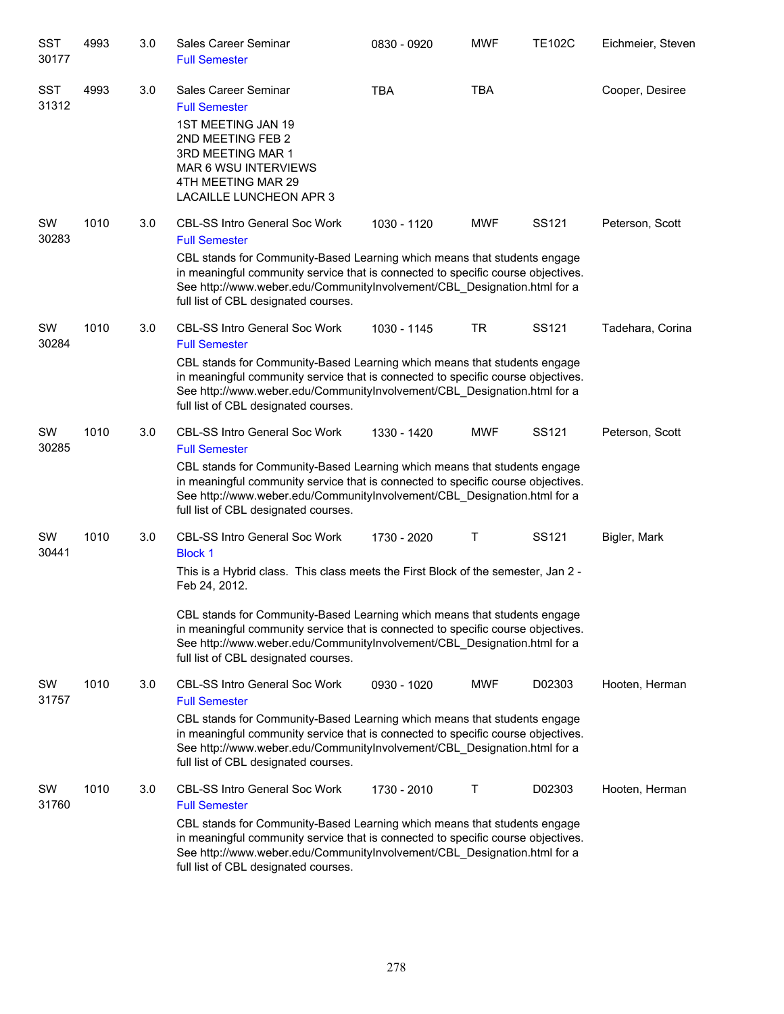| SST<br>30177        | 4993 | 3.0 | Sales Career Seminar<br><b>Full Semester</b>                                                                                                                                                                                                                                                                                                                                                                                                     | 0830 - 0920 | <b>MWF</b> | <b>TE102C</b> | Eichmeier, Steven |
|---------------------|------|-----|--------------------------------------------------------------------------------------------------------------------------------------------------------------------------------------------------------------------------------------------------------------------------------------------------------------------------------------------------------------------------------------------------------------------------------------------------|-------------|------------|---------------|-------------------|
| <b>SST</b><br>31312 | 4993 | 3.0 | Sales Career Seminar<br><b>Full Semester</b><br>1ST MEETING JAN 19<br>2ND MEETING FEB 2<br>3RD MEETING MAR 1<br><b>MAR 6 WSU INTERVIEWS</b><br>4TH MEETING MAR 29<br>LACAILLE LUNCHEON APR 3                                                                                                                                                                                                                                                     | <b>TBA</b>  | <b>TBA</b> |               | Cooper, Desiree   |
| SW<br>30283         | 1010 | 3.0 | <b>CBL-SS Intro General Soc Work</b><br><b>Full Semester</b><br>CBL stands for Community-Based Learning which means that students engage<br>in meaningful community service that is connected to specific course objectives.<br>See http://www.weber.edu/CommunityInvolvement/CBL_Designation.html for a<br>full list of CBL designated courses.                                                                                                 | 1030 - 1120 | <b>MWF</b> | SS121         | Peterson, Scott   |
| SW<br>30284         | 1010 | 3.0 | <b>CBL-SS Intro General Soc Work</b><br><b>Full Semester</b><br>CBL stands for Community-Based Learning which means that students engage<br>in meaningful community service that is connected to specific course objectives.<br>See http://www.weber.edu/CommunityInvolvement/CBL Designation.html for a<br>full list of CBL designated courses.                                                                                                 | 1030 - 1145 | TR         | SS121         | Tadehara, Corina  |
| SW<br>30285         | 1010 | 3.0 | CBL-SS Intro General Soc Work<br><b>Full Semester</b><br>CBL stands for Community-Based Learning which means that students engage<br>in meaningful community service that is connected to specific course objectives.<br>See http://www.weber.edu/CommunityInvolvement/CBL_Designation.html for a<br>full list of CBL designated courses.                                                                                                        | 1330 - 1420 | <b>MWF</b> | SS121         | Peterson, Scott   |
| SW<br>30441         | 1010 | 3.0 | <b>CBL-SS Intro General Soc Work</b><br><b>Block 1</b><br>This is a Hybrid class. This class meets the First Block of the semester, Jan 2 -<br>Feb 24, 2012.<br>CBL stands for Community-Based Learning which means that students engage<br>in meaningful community service that is connected to specific course objectives.<br>See http://www.weber.edu/CommunityInvolvement/CBL_Designation.html for a<br>full list of CBL designated courses. | 1730 - 2020 | Т          | SS121         | Bigler, Mark      |
| SW<br>31757         | 1010 | 3.0 | <b>CBL-SS Intro General Soc Work</b><br><b>Full Semester</b><br>CBL stands for Community-Based Learning which means that students engage<br>in meaningful community service that is connected to specific course objectives.<br>See http://www.weber.edu/CommunityInvolvement/CBL Designation.html for a<br>full list of CBL designated courses.                                                                                                 | 0930 - 1020 | <b>MWF</b> | D02303        | Hooten, Herman    |
| SW<br>31760         | 1010 | 3.0 | <b>CBL-SS Intro General Soc Work</b><br><b>Full Semester</b><br>CBL stands for Community-Based Learning which means that students engage<br>in meaningful community service that is connected to specific course objectives.<br>See http://www.weber.edu/CommunityInvolvement/CBL_Designation.html for a<br>full list of CBL designated courses.                                                                                                 | 1730 - 2010 | Т          | D02303        | Hooten, Herman    |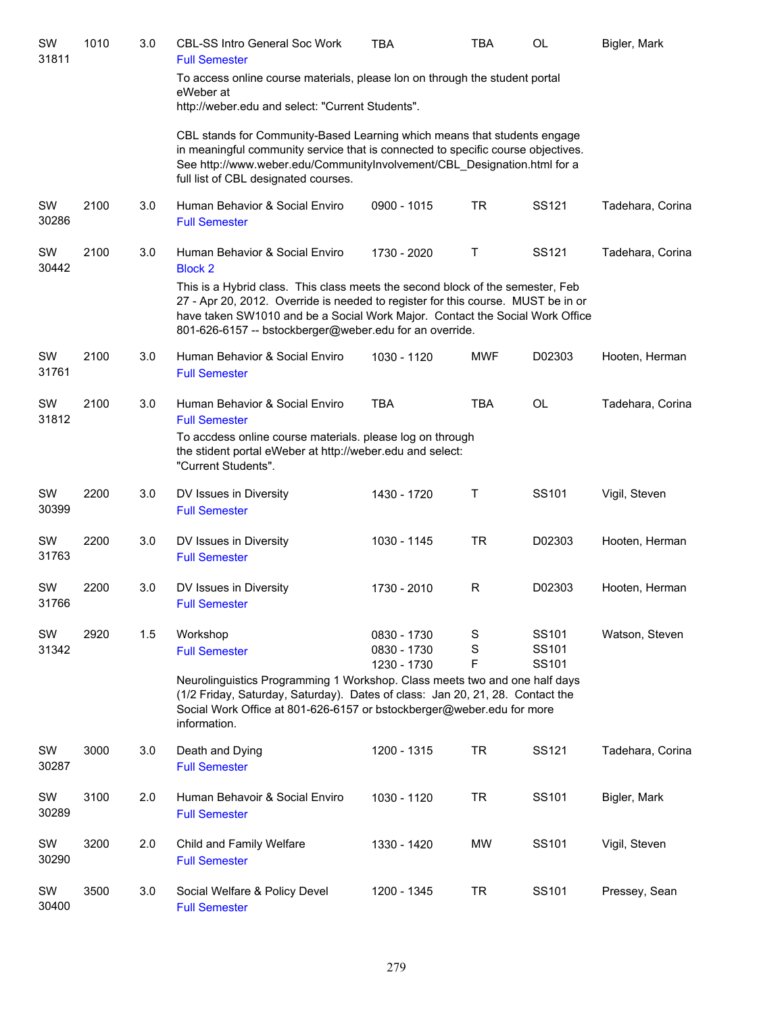| SW<br>31811 | 1010 | 3.0 | <b>CBL-SS Intro General Soc Work</b><br><b>Full Semester</b>                                                                                                                                                                                                                                                  | <b>TBA</b>                                | <b>TBA</b>  | OL                      | Bigler, Mark     |
|-------------|------|-----|---------------------------------------------------------------------------------------------------------------------------------------------------------------------------------------------------------------------------------------------------------------------------------------------------------------|-------------------------------------------|-------------|-------------------------|------------------|
|             |      |     | To access online course materials, please lon on through the student portal<br>eWeber at<br>http://weber.edu and select: "Current Students".                                                                                                                                                                  |                                           |             |                         |                  |
|             |      |     | CBL stands for Community-Based Learning which means that students engage<br>in meaningful community service that is connected to specific course objectives.<br>See http://www.weber.edu/CommunityInvolvement/CBL Designation.html for a<br>full list of CBL designated courses.                              |                                           |             |                         |                  |
| SW<br>30286 | 2100 | 3.0 | Human Behavior & Social Enviro<br><b>Full Semester</b>                                                                                                                                                                                                                                                        | 0900 - 1015                               | <b>TR</b>   | SS121                   | Tadehara, Corina |
| SW<br>30442 | 2100 | 3.0 | Human Behavior & Social Enviro<br><b>Block 2</b>                                                                                                                                                                                                                                                              | 1730 - 2020                               | Τ           | SS121                   | Tadehara, Corina |
|             |      |     | This is a Hybrid class. This class meets the second block of the semester, Feb<br>27 - Apr 20, 2012. Override is needed to register for this course. MUST be in or<br>have taken SW1010 and be a Social Work Major. Contact the Social Work Office<br>801-626-6157 -- bstockberger@weber.edu for an override. |                                           |             |                         |                  |
| SW<br>31761 | 2100 | 3.0 | Human Behavior & Social Enviro<br><b>Full Semester</b>                                                                                                                                                                                                                                                        | 1030 - 1120                               | <b>MWF</b>  | D02303                  | Hooten, Herman   |
| SW<br>31812 | 2100 | 3.0 | Human Behavior & Social Enviro<br><b>Full Semester</b>                                                                                                                                                                                                                                                        | <b>TBA</b>                                | <b>TBA</b>  | <b>OL</b>               | Tadehara, Corina |
|             |      |     | To accdess online course materials. please log on through<br>the stident portal eWeber at http://weber.edu and select:<br>"Current Students".                                                                                                                                                                 |                                           |             |                         |                  |
| SW<br>30399 | 2200 | 3.0 | DV Issues in Diversity<br><b>Full Semester</b>                                                                                                                                                                                                                                                                | 1430 - 1720                               | Τ           | SS101                   | Vigil, Steven    |
| SW<br>31763 | 2200 | 3.0 | DV Issues in Diversity<br><b>Full Semester</b>                                                                                                                                                                                                                                                                | 1030 - 1145                               | <b>TR</b>   | D02303                  | Hooten, Herman   |
| SW<br>31766 | 2200 | 3.0 | DV Issues in Diversity<br><b>Full Semester</b>                                                                                                                                                                                                                                                                | 1730 - 2010                               | R           | D02303                  | Hooten, Herman   |
| SW<br>31342 | 2920 | 1.5 | Workshop<br><b>Full Semester</b>                                                                                                                                                                                                                                                                              | 0830 - 1730<br>0830 - 1730<br>1230 - 1730 | S<br>S<br>F | SS101<br>SS101<br>SS101 | Watson, Steven   |
|             |      |     | Neurolinguistics Programming 1 Workshop. Class meets two and one half days<br>(1/2 Friday, Saturday, Saturday). Dates of class: Jan 20, 21, 28. Contact the<br>Social Work Office at 801-626-6157 or bstockberger@weber.edu for more<br>information.                                                          |                                           |             |                         |                  |
| SW<br>30287 | 3000 | 3.0 | Death and Dying<br><b>Full Semester</b>                                                                                                                                                                                                                                                                       | 1200 - 1315                               | <b>TR</b>   | SS121                   | Tadehara, Corina |
| SW<br>30289 | 3100 | 2.0 | Human Behavoir & Social Enviro<br><b>Full Semester</b>                                                                                                                                                                                                                                                        | 1030 - 1120                               | <b>TR</b>   | SS101                   | Bigler, Mark     |
| SW<br>30290 | 3200 | 2.0 | Child and Family Welfare<br><b>Full Semester</b>                                                                                                                                                                                                                                                              | 1330 - 1420                               | MW          | SS101                   | Vigil, Steven    |
| SW<br>30400 | 3500 | 3.0 | Social Welfare & Policy Devel<br><b>Full Semester</b>                                                                                                                                                                                                                                                         | 1200 - 1345                               | <b>TR</b>   | SS101                   | Pressey, Sean    |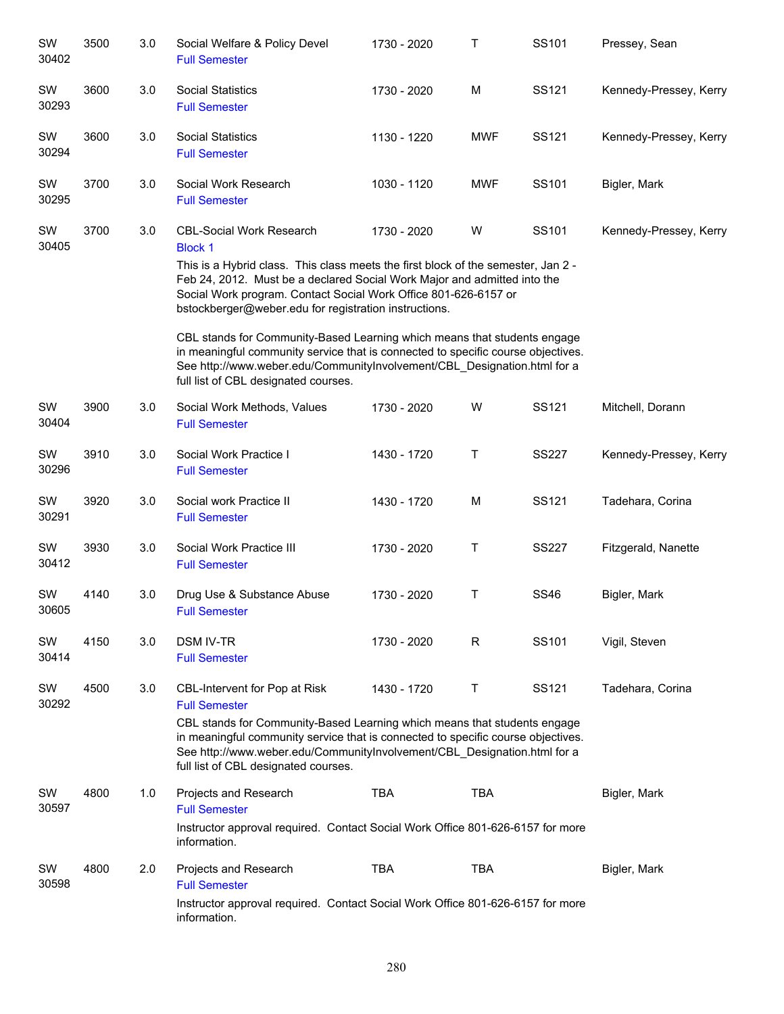| SW<br>30402 | 3500 | 3.0 | Social Welfare & Policy Devel<br><b>Full Semester</b>                                                                                                                                                                                                                                                                                          | 1730 - 2020 | Т          | SS101        | Pressey, Sean          |
|-------------|------|-----|------------------------------------------------------------------------------------------------------------------------------------------------------------------------------------------------------------------------------------------------------------------------------------------------------------------------------------------------|-------------|------------|--------------|------------------------|
| SW<br>30293 | 3600 | 3.0 | <b>Social Statistics</b><br><b>Full Semester</b>                                                                                                                                                                                                                                                                                               | 1730 - 2020 | M          | SS121        | Kennedy-Pressey, Kerry |
| SW<br>30294 | 3600 | 3.0 | <b>Social Statistics</b><br><b>Full Semester</b>                                                                                                                                                                                                                                                                                               | 1130 - 1220 | <b>MWF</b> | SS121        | Kennedy-Pressey, Kerry |
| SW<br>30295 | 3700 | 3.0 | Social Work Research<br><b>Full Semester</b>                                                                                                                                                                                                                                                                                                   | 1030 - 1120 | <b>MWF</b> | SS101        | Bigler, Mark           |
| SW<br>30405 | 3700 | 3.0 | <b>CBL-Social Work Research</b><br><b>Block 1</b><br>This is a Hybrid class. This class meets the first block of the semester, Jan 2 -<br>Feb 24, 2012. Must be a declared Social Work Major and admitted into the<br>Social Work program. Contact Social Work Office 801-626-6157 or<br>bstockberger@weber.edu for registration instructions. | 1730 - 2020 | W          | SS101        | Kennedy-Pressey, Kerry |
|             |      |     | CBL stands for Community-Based Learning which means that students engage<br>in meaningful community service that is connected to specific course objectives.<br>See http://www.weber.edu/CommunityInvolvement/CBL_Designation.html for a<br>full list of CBL designated courses.                                                               |             |            |              |                        |
| SW<br>30404 | 3900 | 3.0 | Social Work Methods, Values<br><b>Full Semester</b>                                                                                                                                                                                                                                                                                            | 1730 - 2020 | W          | SS121        | Mitchell, Dorann       |
| SW<br>30296 | 3910 | 3.0 | Social Work Practice I<br><b>Full Semester</b>                                                                                                                                                                                                                                                                                                 | 1430 - 1720 | Τ          | <b>SS227</b> | Kennedy-Pressey, Kerry |
| SW<br>30291 | 3920 | 3.0 | Social work Practice II<br><b>Full Semester</b>                                                                                                                                                                                                                                                                                                | 1430 - 1720 | M          | SS121        | Tadehara, Corina       |
| SW<br>30412 | 3930 | 3.0 | Social Work Practice III<br><b>Full Semester</b>                                                                                                                                                                                                                                                                                               | 1730 - 2020 | T          | <b>SS227</b> | Fitzgerald, Nanette    |
| SW<br>30605 | 4140 | 3.0 | Drug Use & Substance Abuse<br><b>Full Semester</b>                                                                                                                                                                                                                                                                                             | 1730 - 2020 | T          | <b>SS46</b>  | Bigler, Mark           |
| SW<br>30414 | 4150 | 3.0 | <b>DSM IV-TR</b><br><b>Full Semester</b>                                                                                                                                                                                                                                                                                                       | 1730 - 2020 | R          | SS101        | Vigil, Steven          |
| SW<br>30292 | 4500 | 3.0 | CBL-Intervent for Pop at Risk<br><b>Full Semester</b><br>CBL stands for Community-Based Learning which means that students engage<br>in meaningful community service that is connected to specific course objectives.<br>See http://www.weber.edu/CommunityInvolvement/CBL_Designation.html for a<br>full list of CBL designated courses.      | 1430 - 1720 | T          | SS121        | Tadehara, Corina       |
| SW<br>30597 | 4800 | 1.0 | Projects and Research<br><b>Full Semester</b><br>Instructor approval required. Contact Social Work Office 801-626-6157 for more<br>information.                                                                                                                                                                                                | <b>TBA</b>  | TBA        |              | Bigler, Mark           |
| SW<br>30598 | 4800 | 2.0 | Projects and Research<br><b>Full Semester</b><br>Instructor approval required. Contact Social Work Office 801-626-6157 for more<br>information.                                                                                                                                                                                                | <b>TBA</b>  | TBA        |              | Bigler, Mark           |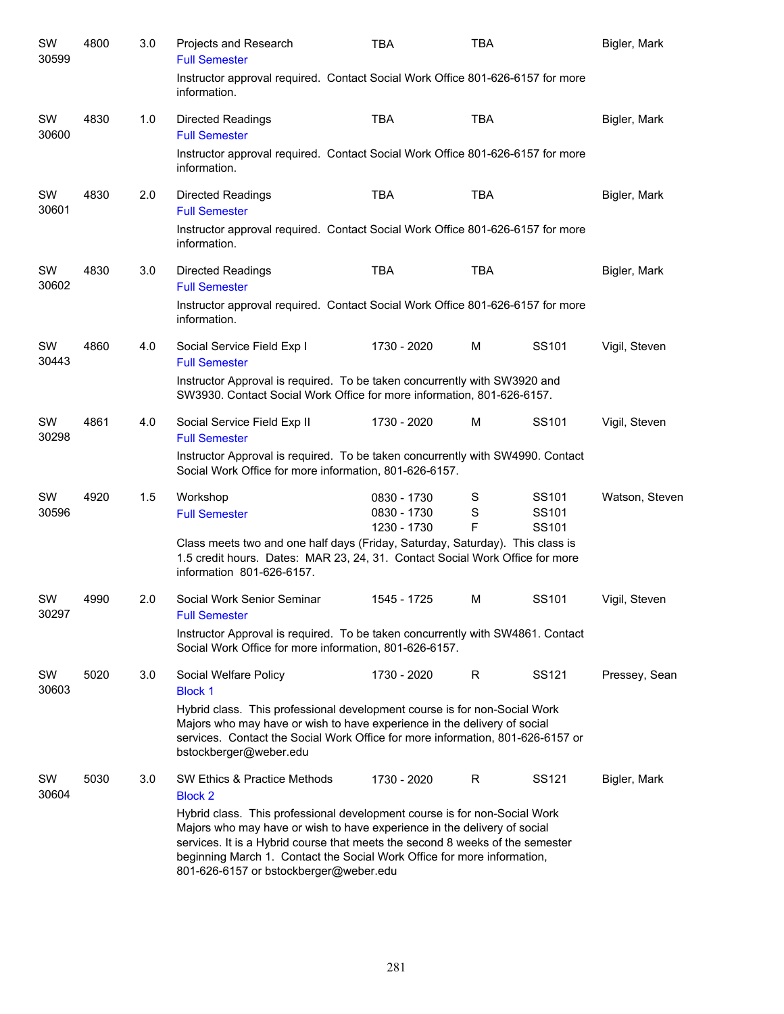| SW<br>30599 | 4800 | 3.0 | Projects and Research<br><b>Full Semester</b>                                                                                                                                                                                                                                                                                                               | TBA                                       | TBA                   |                                                 | Bigler, Mark   |
|-------------|------|-----|-------------------------------------------------------------------------------------------------------------------------------------------------------------------------------------------------------------------------------------------------------------------------------------------------------------------------------------------------------------|-------------------------------------------|-----------------------|-------------------------------------------------|----------------|
|             |      |     | Instructor approval required. Contact Social Work Office 801-626-6157 for more<br>information.                                                                                                                                                                                                                                                              |                                           |                       |                                                 |                |
| SW<br>30600 | 4830 | 1.0 | <b>Directed Readings</b><br><b>Full Semester</b>                                                                                                                                                                                                                                                                                                            | <b>TBA</b>                                | <b>TBA</b>            |                                                 | Bigler, Mark   |
|             |      |     | Instructor approval required. Contact Social Work Office 801-626-6157 for more<br>information.                                                                                                                                                                                                                                                              |                                           |                       |                                                 |                |
| SW<br>30601 | 4830 | 2.0 | <b>Directed Readings</b><br><b>Full Semester</b>                                                                                                                                                                                                                                                                                                            | <b>TBA</b>                                | <b>TBA</b>            |                                                 | Bigler, Mark   |
|             |      |     | Instructor approval required. Contact Social Work Office 801-626-6157 for more<br>information.                                                                                                                                                                                                                                                              |                                           |                       |                                                 |                |
| SW<br>30602 | 4830 | 3.0 | <b>Directed Readings</b><br><b>Full Semester</b>                                                                                                                                                                                                                                                                                                            | <b>TBA</b>                                | <b>TBA</b>            |                                                 | Bigler, Mark   |
|             |      |     | Instructor approval required. Contact Social Work Office 801-626-6157 for more<br>information.                                                                                                                                                                                                                                                              |                                           |                       |                                                 |                |
| SW<br>30443 | 4860 | 4.0 | Social Service Field Exp I<br><b>Full Semester</b>                                                                                                                                                                                                                                                                                                          | 1730 - 2020                               | M                     | SS <sub>101</sub>                               | Vigil, Steven  |
|             |      |     | Instructor Approval is required. To be taken concurrently with SW3920 and<br>SW3930. Contact Social Work Office for more information, 801-626-6157.                                                                                                                                                                                                         |                                           |                       |                                                 |                |
| SW<br>30298 | 4861 | 4.0 | Social Service Field Exp II<br><b>Full Semester</b>                                                                                                                                                                                                                                                                                                         | 1730 - 2020                               | M                     | SS <sub>101</sub>                               | Vigil, Steven  |
|             |      |     | Instructor Approval is required. To be taken concurrently with SW4990. Contact<br>Social Work Office for more information, 801-626-6157.                                                                                                                                                                                                                    |                                           |                       |                                                 |                |
| SW<br>30596 | 4920 | 1.5 | Workshop<br><b>Full Semester</b>                                                                                                                                                                                                                                                                                                                            | 0830 - 1730<br>0830 - 1730<br>1230 - 1730 | S<br>$\mathbf S$<br>F | SS <sub>101</sub><br>SS <sub>101</sub><br>SS101 | Watson, Steven |
|             |      |     | Class meets two and one half days (Friday, Saturday, Saturday). This class is<br>1.5 credit hours. Dates: MAR 23, 24, 31. Contact Social Work Office for more<br>information 801-626-6157.                                                                                                                                                                  |                                           |                       |                                                 |                |
| SW<br>30297 | 4990 | 2.0 | Social Work Senior Seminar<br><b>Full Semester</b>                                                                                                                                                                                                                                                                                                          | 1545 - 1725                               | м                     | SS <sub>101</sub>                               | Vigil, Steven  |
|             |      |     | Instructor Approval is required. To be taken concurrently with SW4861. Contact<br>Social Work Office for more information, 801-626-6157.                                                                                                                                                                                                                    |                                           |                       |                                                 |                |
| SW<br>30603 | 5020 | 3.0 | Social Welfare Policy<br><b>Block 1</b>                                                                                                                                                                                                                                                                                                                     | 1730 - 2020                               | R                     | SS <sub>121</sub>                               | Pressey, Sean  |
|             |      |     | Hybrid class. This professional development course is for non-Social Work<br>Majors who may have or wish to have experience in the delivery of social<br>services. Contact the Social Work Office for more information, 801-626-6157 or<br>bstockberger@weber.edu                                                                                           |                                           |                       |                                                 |                |
| SW<br>30604 | 5030 | 3.0 | SW Ethics & Practice Methods<br><b>Block 2</b>                                                                                                                                                                                                                                                                                                              | 1730 - 2020                               | R                     | SS121                                           | Bigler, Mark   |
|             |      |     | Hybrid class. This professional development course is for non-Social Work<br>Majors who may have or wish to have experience in the delivery of social<br>services. It is a Hybrid course that meets the second 8 weeks of the semester<br>beginning March 1. Contact the Social Work Office for more information,<br>801-626-6157 or bstockberger@weber.edu |                                           |                       |                                                 |                |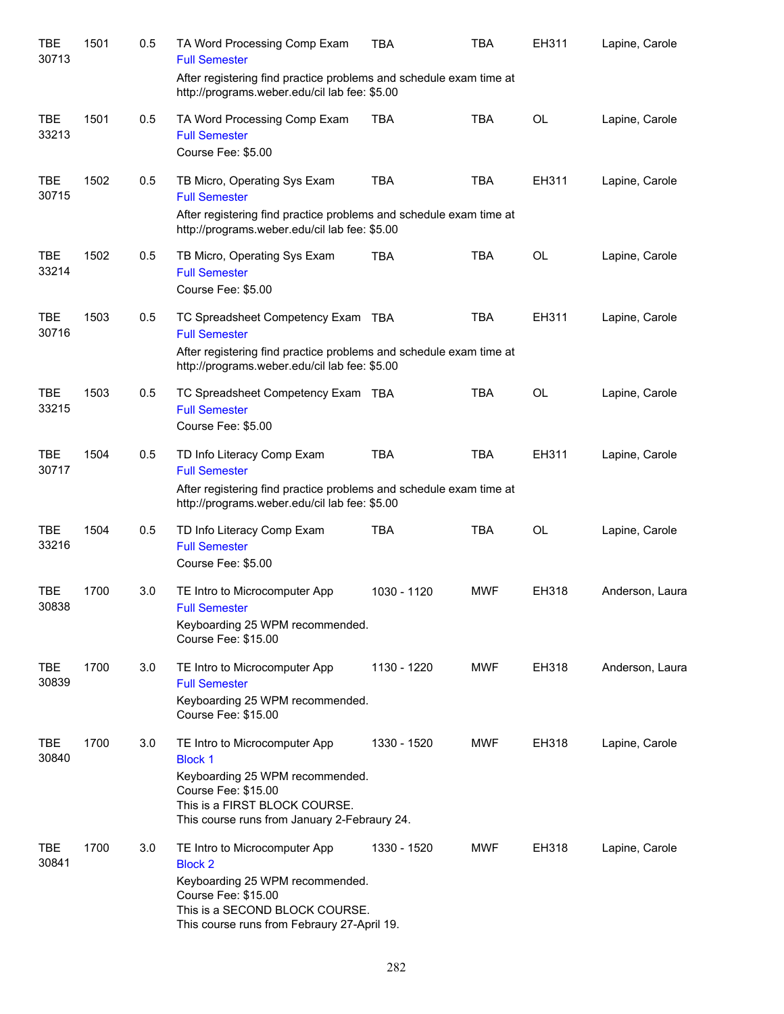| <b>TBE</b><br>30713 | 1501 | 0.5 | TA Word Processing Comp Exam<br><b>Full Semester</b>                                                                                                                                       | TBA         | TBA        | EH311     | Lapine, Carole  |
|---------------------|------|-----|--------------------------------------------------------------------------------------------------------------------------------------------------------------------------------------------|-------------|------------|-----------|-----------------|
|                     |      |     | After registering find practice problems and schedule exam time at<br>http://programs.weber.edu/cil lab fee: \$5.00                                                                        |             |            |           |                 |
| <b>TBE</b><br>33213 | 1501 | 0.5 | TA Word Processing Comp Exam<br><b>Full Semester</b><br>Course Fee: \$5.00                                                                                                                 | <b>TBA</b>  | <b>TBA</b> | <b>OL</b> | Lapine, Carole  |
| <b>TBE</b><br>30715 | 1502 | 0.5 | TB Micro, Operating Sys Exam<br><b>Full Semester</b><br>After registering find practice problems and schedule exam time at<br>http://programs.weber.edu/cil lab fee: \$5.00                | <b>TBA</b>  | <b>TBA</b> | EH311     | Lapine, Carole  |
| <b>TBE</b><br>33214 | 1502 | 0.5 | TB Micro, Operating Sys Exam<br><b>Full Semester</b><br>Course Fee: \$5.00                                                                                                                 | <b>TBA</b>  | <b>TBA</b> | <b>OL</b> | Lapine, Carole  |
| <b>TBE</b><br>30716 | 1503 | 0.5 | TC Spreadsheet Competency Exam TBA<br><b>Full Semester</b><br>After registering find practice problems and schedule exam time at                                                           |             | <b>TBA</b> | EH311     | Lapine, Carole  |
| <b>TBE</b><br>33215 | 1503 | 0.5 | http://programs.weber.edu/cil lab fee: \$5.00<br>TC Spreadsheet Competency Exam TBA<br><b>Full Semester</b><br>Course Fee: \$5.00                                                          |             | <b>TBA</b> | <b>OL</b> | Lapine, Carole  |
| <b>TBE</b><br>30717 | 1504 | 0.5 | TD Info Literacy Comp Exam<br><b>Full Semester</b><br>After registering find practice problems and schedule exam time at<br>http://programs.weber.edu/cil lab fee: \$5.00                  | <b>TBA</b>  | <b>TBA</b> | EH311     | Lapine, Carole  |
| <b>TBE</b><br>33216 | 1504 | 0.5 | TD Info Literacy Comp Exam<br><b>Full Semester</b><br>Course Fee: \$5.00                                                                                                                   | <b>TBA</b>  | <b>TBA</b> | <b>OL</b> | Lapine, Carole  |
| <b>TBE</b><br>30838 | 1700 | 3.0 | TE Intro to Microcomputer App<br><b>Full Semester</b><br>Keyboarding 25 WPM recommended.<br>Course Fee: \$15.00                                                                            | 1030 - 1120 | <b>MWF</b> | EH318     | Anderson, Laura |
| TBE<br>30839        | 1700 | 3.0 | TE Intro to Microcomputer App<br><b>Full Semester</b><br>Keyboarding 25 WPM recommended.<br>Course Fee: \$15.00                                                                            | 1130 - 1220 | <b>MWF</b> | EH318     | Anderson, Laura |
| <b>TBE</b><br>30840 | 1700 | 3.0 | TE Intro to Microcomputer App<br><b>Block 1</b><br>Keyboarding 25 WPM recommended.<br>Course Fee: \$15.00<br>This is a FIRST BLOCK COURSE.<br>This course runs from January 2-Febraury 24. | 1330 - 1520 | <b>MWF</b> | EH318     | Lapine, Carole  |
| <b>TBE</b><br>30841 | 1700 | 3.0 | TE Intro to Microcomputer App<br><b>Block 2</b><br>Keyboarding 25 WPM recommended.<br>Course Fee: \$15.00<br>This is a SECOND BLOCK COURSE.<br>This course runs from Febraury 27-April 19. | 1330 - 1520 | <b>MWF</b> | EH318     | Lapine, Carole  |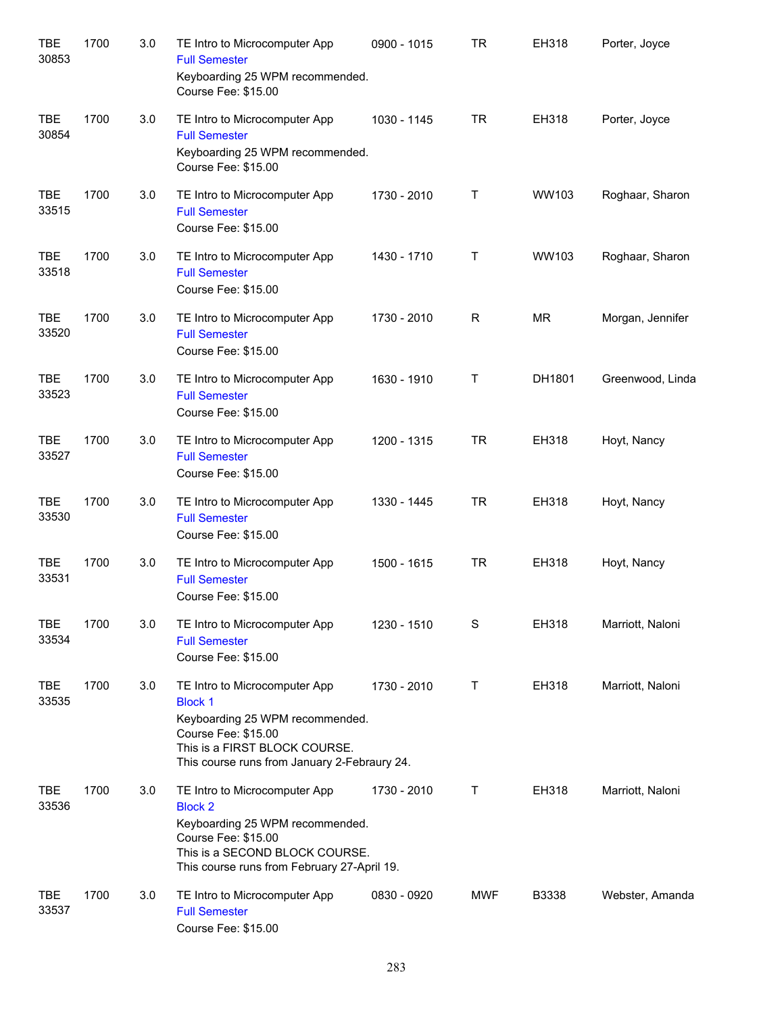| <b>TBE</b><br>30853 | 1700 | 3.0 | TE Intro to Microcomputer App<br><b>Full Semester</b><br>Keyboarding 25 WPM recommended.<br>Course Fee: \$15.00                                                                            | 0900 - 1015 | TR         | EH318        | Porter, Joyce    |
|---------------------|------|-----|--------------------------------------------------------------------------------------------------------------------------------------------------------------------------------------------|-------------|------------|--------------|------------------|
| <b>TBE</b><br>30854 | 1700 | 3.0 | TE Intro to Microcomputer App<br><b>Full Semester</b><br>Keyboarding 25 WPM recommended.<br>Course Fee: \$15.00                                                                            | 1030 - 1145 | TR         | EH318        | Porter, Joyce    |
| <b>TBE</b><br>33515 | 1700 | 3.0 | TE Intro to Microcomputer App<br><b>Full Semester</b><br>Course Fee: \$15.00                                                                                                               | 1730 - 2010 | T          | <b>WW103</b> | Roghaar, Sharon  |
| <b>TBE</b><br>33518 | 1700 | 3.0 | TE Intro to Microcomputer App<br><b>Full Semester</b><br>Course Fee: \$15.00                                                                                                               | 1430 - 1710 | Τ          | WW103        | Roghaar, Sharon  |
| <b>TBE</b><br>33520 | 1700 | 3.0 | TE Intro to Microcomputer App<br><b>Full Semester</b><br>Course Fee: \$15.00                                                                                                               | 1730 - 2010 | R          | <b>MR</b>    | Morgan, Jennifer |
| <b>TBE</b><br>33523 | 1700 | 3.0 | TE Intro to Microcomputer App<br><b>Full Semester</b><br>Course Fee: \$15.00                                                                                                               | 1630 - 1910 | Τ          | DH1801       | Greenwood, Linda |
| <b>TBE</b><br>33527 | 1700 | 3.0 | TE Intro to Microcomputer App<br><b>Full Semester</b><br>Course Fee: \$15.00                                                                                                               | 1200 - 1315 | <b>TR</b>  | EH318        | Hoyt, Nancy      |
| <b>TBE</b><br>33530 | 1700 | 3.0 | TE Intro to Microcomputer App<br><b>Full Semester</b><br>Course Fee: \$15.00                                                                                                               | 1330 - 1445 | <b>TR</b>  | EH318        | Hoyt, Nancy      |
| <b>TBE</b><br>33531 | 1700 | 3.0 | TE Intro to Microcomputer App<br><b>Full Semester</b><br>Course Fee: \$15.00                                                                                                               | 1500 - 1615 | <b>TR</b>  | EH318        | Hoyt, Nancy      |
| <b>TBE</b><br>33534 | 1700 | 3.0 | TE Intro to Microcomputer App<br><b>Full Semester</b><br>Course Fee: \$15.00                                                                                                               | 1230 - 1510 | S          | EH318        | Marriott, Naloni |
| <b>TBE</b><br>33535 | 1700 | 3.0 | TE Intro to Microcomputer App<br><b>Block 1</b><br>Keyboarding 25 WPM recommended.<br>Course Fee: \$15.00<br>This is a FIRST BLOCK COURSE.<br>This course runs from January 2-Febraury 24. | 1730 - 2010 | T          | EH318        | Marriott, Naloni |
| TBE<br>33536        | 1700 | 3.0 | TE Intro to Microcomputer App<br><b>Block 2</b><br>Keyboarding 25 WPM recommended.<br>Course Fee: \$15.00<br>This is a SECOND BLOCK COURSE.<br>This course runs from February 27-April 19. | 1730 - 2010 | Τ          | EH318        | Marriott, Naloni |
| <b>TBE</b><br>33537 | 1700 | 3.0 | TE Intro to Microcomputer App<br><b>Full Semester</b><br>Course Fee: \$15.00                                                                                                               | 0830 - 0920 | <b>MWF</b> | B3338        | Webster, Amanda  |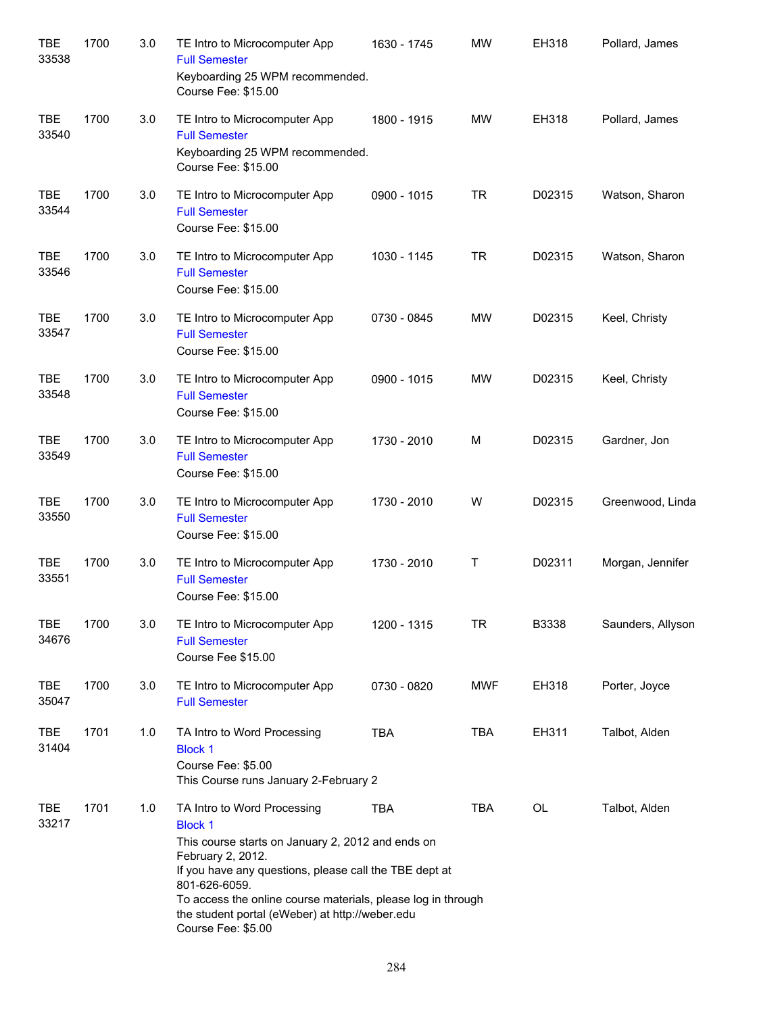| <b>TBE</b><br>33538 | 1700 | 3.0 | TE Intro to Microcomputer App<br><b>Full Semester</b><br>Keyboarding 25 WPM recommended.<br>Course Fee: \$15.00                                                                                                                                                                                                                             | 1630 - 1745 | <b>MW</b>  | EH318  | Pollard, James    |
|---------------------|------|-----|---------------------------------------------------------------------------------------------------------------------------------------------------------------------------------------------------------------------------------------------------------------------------------------------------------------------------------------------|-------------|------------|--------|-------------------|
| <b>TBE</b><br>33540 | 1700 | 3.0 | TE Intro to Microcomputer App<br><b>Full Semester</b><br>Keyboarding 25 WPM recommended.<br>Course Fee: \$15.00                                                                                                                                                                                                                             | 1800 - 1915 | <b>MW</b>  | EH318  | Pollard, James    |
| <b>TBE</b><br>33544 | 1700 | 3.0 | TE Intro to Microcomputer App<br><b>Full Semester</b><br>Course Fee: \$15.00                                                                                                                                                                                                                                                                | 0900 - 1015 | TR         | D02315 | Watson, Sharon    |
| <b>TBE</b><br>33546 | 1700 | 3.0 | TE Intro to Microcomputer App<br><b>Full Semester</b><br>Course Fee: \$15.00                                                                                                                                                                                                                                                                | 1030 - 1145 | TR         | D02315 | Watson, Sharon    |
| <b>TBE</b><br>33547 | 1700 | 3.0 | TE Intro to Microcomputer App<br><b>Full Semester</b><br>Course Fee: \$15.00                                                                                                                                                                                                                                                                | 0730 - 0845 | <b>MW</b>  | D02315 | Keel, Christy     |
| <b>TBE</b><br>33548 | 1700 | 3.0 | TE Intro to Microcomputer App<br><b>Full Semester</b><br>Course Fee: \$15.00                                                                                                                                                                                                                                                                | 0900 - 1015 | <b>MW</b>  | D02315 | Keel, Christy     |
| <b>TBE</b><br>33549 | 1700 | 3.0 | TE Intro to Microcomputer App<br><b>Full Semester</b><br>Course Fee: \$15.00                                                                                                                                                                                                                                                                | 1730 - 2010 | М          | D02315 | Gardner, Jon      |
| <b>TBE</b><br>33550 | 1700 | 3.0 | TE Intro to Microcomputer App<br><b>Full Semester</b><br>Course Fee: \$15.00                                                                                                                                                                                                                                                                | 1730 - 2010 | W          | D02315 | Greenwood, Linda  |
| <b>TBE</b><br>33551 | 1700 | 3.0 | TE Intro to Microcomputer App<br><b>Full Semester</b><br>Course Fee: \$15.00                                                                                                                                                                                                                                                                | 1730 - 2010 | Т          | D02311 | Morgan, Jennifer  |
| <b>TBE</b><br>34676 | 1700 | 3.0 | TE Intro to Microcomputer App<br><b>Full Semester</b><br>Course Fee \$15.00                                                                                                                                                                                                                                                                 | 1200 - 1315 | <b>TR</b>  | B3338  | Saunders, Allyson |
| <b>TBE</b><br>35047 | 1700 | 3.0 | TE Intro to Microcomputer App<br><b>Full Semester</b>                                                                                                                                                                                                                                                                                       | 0730 - 0820 | <b>MWF</b> | EH318  | Porter, Joyce     |
| <b>TBE</b><br>31404 | 1701 | 1.0 | TA Intro to Word Processing<br><b>Block 1</b><br>Course Fee: \$5.00<br>This Course runs January 2-February 2                                                                                                                                                                                                                                | <b>TBA</b>  | <b>TBA</b> | EH311  | Talbot, Alden     |
| <b>TBE</b><br>33217 | 1701 | 1.0 | TA Intro to Word Processing<br><b>Block 1</b><br>This course starts on January 2, 2012 and ends on<br>February 2, 2012.<br>If you have any questions, please call the TBE dept at<br>801-626-6059.<br>To access the online course materials, please log in through<br>the student portal (eWeber) at http://weber.edu<br>Course Fee: \$5.00 | TBA         | TBA        | OL     | Talbot, Alden     |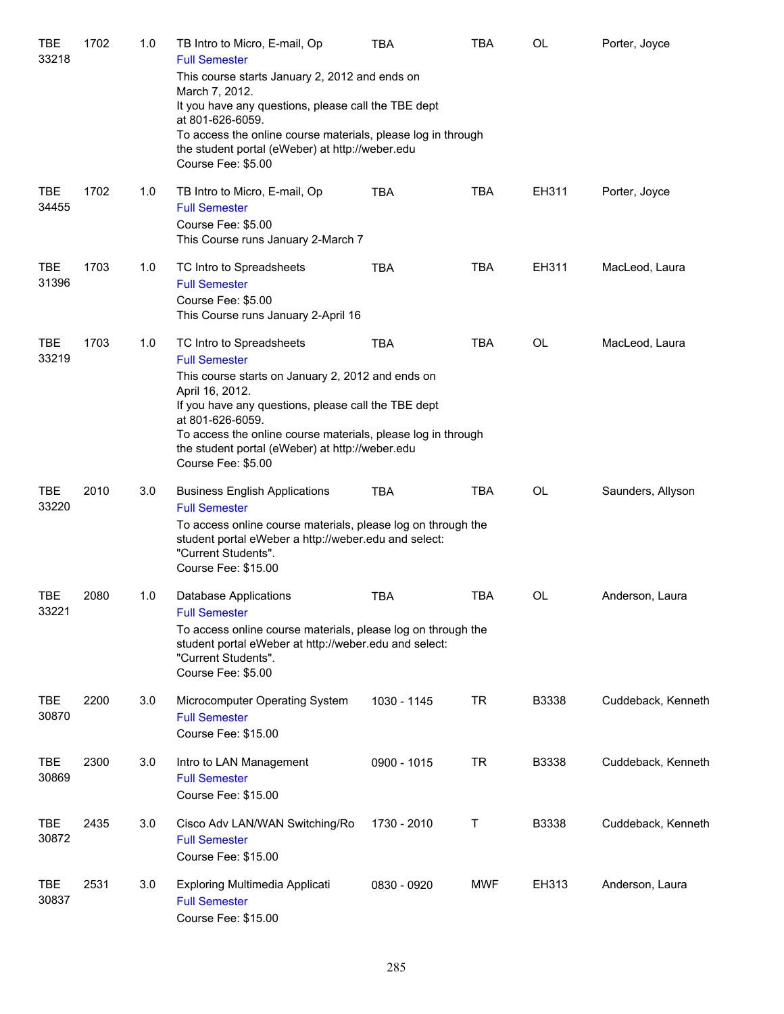| TBE<br>33218        | 1702 | 1.0 | TB Intro to Micro, E-mail, Op<br><b>Full Semester</b><br>This course starts January 2, 2012 and ends on<br>March 7, 2012.<br>It you have any questions, please call the TBE dept<br>at 801-626-6059.<br>To access the online course materials, please log in through<br>the student portal (eWeber) at http://weber.edu<br>Course Fee: \$5.00 | <b>TBA</b>  | <b>TBA</b> | OL           | Porter, Joyce      |
|---------------------|------|-----|-----------------------------------------------------------------------------------------------------------------------------------------------------------------------------------------------------------------------------------------------------------------------------------------------------------------------------------------------|-------------|------------|--------------|--------------------|
| <b>TBE</b><br>34455 | 1702 | 1.0 | TB Intro to Micro, E-mail, Op<br><b>Full Semester</b><br>Course Fee: \$5.00<br>This Course runs January 2-March 7                                                                                                                                                                                                                             | <b>TBA</b>  | <b>TBA</b> | EH311        | Porter, Joyce      |
| <b>TBE</b><br>31396 | 1703 | 1.0 | TC Intro to Spreadsheets<br><b>Full Semester</b><br>Course Fee: \$5.00<br>This Course runs January 2-April 16                                                                                                                                                                                                                                 | <b>TBA</b>  | <b>TBA</b> | EH311        | MacLeod, Laura     |
| <b>TBE</b><br>33219 | 1703 | 1.0 | TC Intro to Spreadsheets<br><b>Full Semester</b><br>This course starts on January 2, 2012 and ends on<br>April 16, 2012.<br>If you have any questions, please call the TBE dept<br>at 801-626-6059.<br>To access the online course materials, please log in through<br>the student portal (eWeber) at http://weber.edu<br>Course Fee: \$5.00  | <b>TBA</b>  | <b>TBA</b> | <b>OL</b>    | MacLeod, Laura     |
| <b>TBE</b><br>33220 | 2010 | 3.0 | <b>Business English Applications</b><br><b>Full Semester</b><br>To access online course materials, please log on through the<br>student portal eWeber a http://weber.edu and select:<br>"Current Students".<br>Course Fee: \$15.00                                                                                                            | <b>TBA</b>  | <b>TBA</b> | OL           | Saunders, Allyson  |
| <b>TBE</b><br>33221 | 2080 | 1.0 | Database Applications<br><b>Full Semester</b><br>To access online course materials, please log on through the<br>student portal eWeber at http://weber.edu and select:<br>"Current Students".<br>Course Fee: \$5.00                                                                                                                           | <b>TBA</b>  | <b>TBA</b> | OL           | Anderson, Laura    |
| TBE<br>30870        | 2200 | 3.0 | Microcomputer Operating System<br><b>Full Semester</b><br>Course Fee: \$15.00                                                                                                                                                                                                                                                                 | 1030 - 1145 | <b>TR</b>  | <b>B3338</b> | Cuddeback, Kenneth |
| TBE<br>30869        | 2300 | 3.0 | Intro to LAN Management<br><b>Full Semester</b><br>Course Fee: \$15.00                                                                                                                                                                                                                                                                        | 0900 - 1015 | <b>TR</b>  | <b>B3338</b> | Cuddeback, Kenneth |
| TBE<br>30872        | 2435 | 3.0 | Cisco Adv LAN/WAN Switching/Ro<br><b>Full Semester</b><br>Course Fee: \$15.00                                                                                                                                                                                                                                                                 | 1730 - 2010 | Т          | <b>B3338</b> | Cuddeback, Kenneth |
| <b>TBE</b><br>30837 | 2531 | 3.0 | Exploring Multimedia Applicati<br><b>Full Semester</b><br>Course Fee: \$15.00                                                                                                                                                                                                                                                                 | 0830 - 0920 | <b>MWF</b> | EH313        | Anderson, Laura    |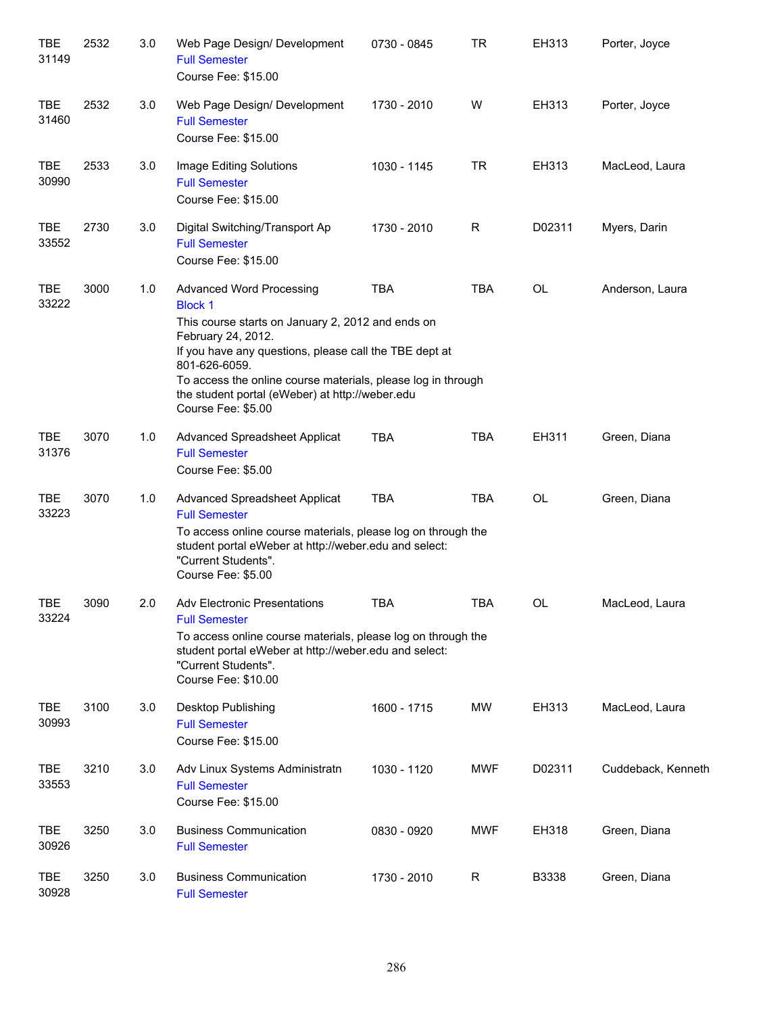| <b>TBE</b><br>31149 | 2532 | 3.0 | Web Page Design/ Development<br><b>Full Semester</b><br>Course Fee: \$15.00                                                                                                                                                                                                                                                                      | 0730 - 0845 | <b>TR</b>  | EH313     | Porter, Joyce      |
|---------------------|------|-----|--------------------------------------------------------------------------------------------------------------------------------------------------------------------------------------------------------------------------------------------------------------------------------------------------------------------------------------------------|-------------|------------|-----------|--------------------|
| <b>TBE</b><br>31460 | 2532 | 3.0 | Web Page Design/ Development<br><b>Full Semester</b><br>Course Fee: \$15.00                                                                                                                                                                                                                                                                      | 1730 - 2010 | W          | EH313     | Porter, Joyce      |
| TBE<br>30990        | 2533 | 3.0 | Image Editing Solutions<br><b>Full Semester</b><br>Course Fee: \$15.00                                                                                                                                                                                                                                                                           | 1030 - 1145 | <b>TR</b>  | EH313     | MacLeod, Laura     |
| TBE<br>33552        | 2730 | 3.0 | Digital Switching/Transport Ap<br><b>Full Semester</b><br>Course Fee: \$15.00                                                                                                                                                                                                                                                                    | 1730 - 2010 | R          | D02311    | Myers, Darin       |
| TBE<br>33222        | 3000 | 1.0 | <b>Advanced Word Processing</b><br><b>Block 1</b><br>This course starts on January 2, 2012 and ends on<br>February 24, 2012.<br>If you have any questions, please call the TBE dept at<br>801-626-6059.<br>To access the online course materials, please log in through<br>the student portal (eWeber) at http://weber.edu<br>Course Fee: \$5.00 | <b>TBA</b>  | <b>TBA</b> | OL        | Anderson, Laura    |
| <b>TBE</b><br>31376 | 3070 | 1.0 | Advanced Spreadsheet Applicat<br><b>Full Semester</b><br>Course Fee: \$5.00                                                                                                                                                                                                                                                                      | <b>TBA</b>  | <b>TBA</b> | EH311     | Green, Diana       |
| <b>TBE</b><br>33223 | 3070 | 1.0 | Advanced Spreadsheet Applicat<br><b>Full Semester</b><br>To access online course materials, please log on through the<br>student portal eWeber at http://weber.edu and select:<br>"Current Students".<br>Course Fee: \$5.00                                                                                                                      | <b>TBA</b>  | <b>TBA</b> | <b>OL</b> | Green, Diana       |
| TBE<br>33224        | 3090 | 2.0 | <b>Adv Electronic Presentations</b><br><b>Full Semester</b><br>To access online course materials, please log on through the<br>student portal eWeber at http://weber.edu and select:<br>"Current Students".<br>Course Fee: \$10.00                                                                                                               | <b>TBA</b>  | <b>TBA</b> | <b>OL</b> | MacLeod, Laura     |
| <b>TBE</b><br>30993 | 3100 | 3.0 | Desktop Publishing<br><b>Full Semester</b><br>Course Fee: \$15.00                                                                                                                                                                                                                                                                                | 1600 - 1715 | MW         | EH313     | MacLeod, Laura     |
| <b>TBE</b><br>33553 | 3210 | 3.0 | Adv Linux Systems Administratn<br><b>Full Semester</b><br>Course Fee: \$15.00                                                                                                                                                                                                                                                                    | 1030 - 1120 | <b>MWF</b> | D02311    | Cuddeback, Kenneth |
| <b>TBE</b><br>30926 | 3250 | 3.0 | <b>Business Communication</b><br><b>Full Semester</b>                                                                                                                                                                                                                                                                                            | 0830 - 0920 | <b>MWF</b> | EH318     | Green, Diana       |
| <b>TBE</b><br>30928 | 3250 | 3.0 | <b>Business Communication</b><br><b>Full Semester</b>                                                                                                                                                                                                                                                                                            | 1730 - 2010 | R          | B3338     | Green, Diana       |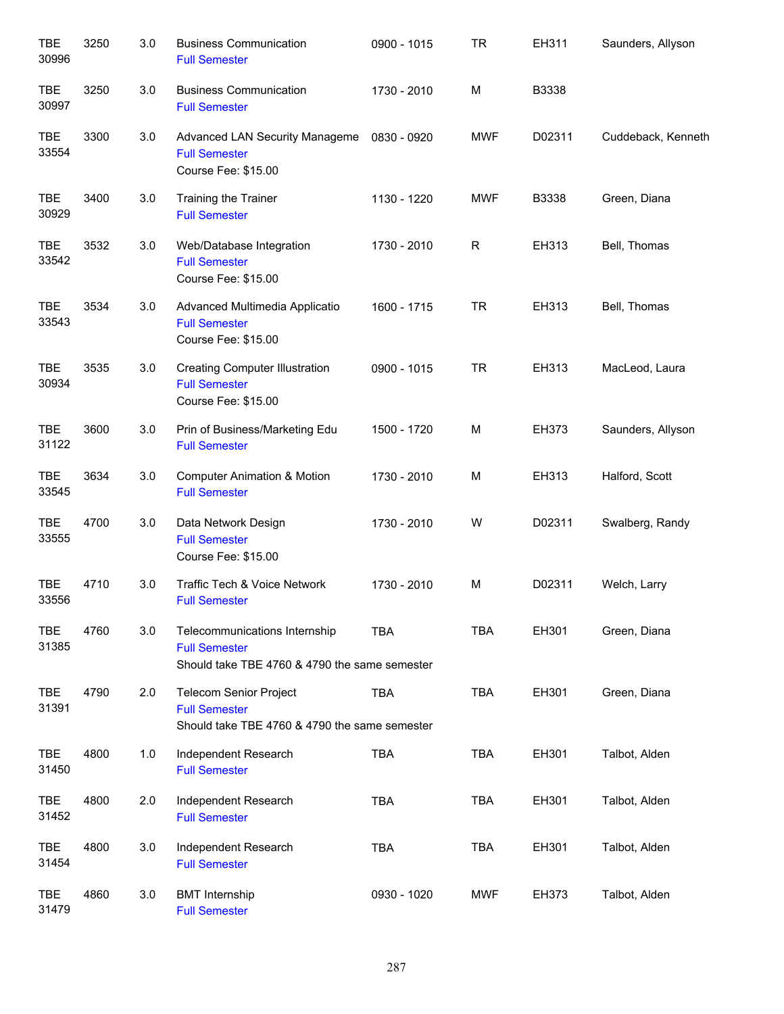| <b>TBE</b><br>30996 | 3250 | 3.0 | <b>Business Communication</b><br><b>Full Semester</b>                                                  | 0900 - 1015 | <b>TR</b>  | EH311  | Saunders, Allyson  |
|---------------------|------|-----|--------------------------------------------------------------------------------------------------------|-------------|------------|--------|--------------------|
| <b>TBE</b><br>30997 | 3250 | 3.0 | <b>Business Communication</b><br><b>Full Semester</b>                                                  | 1730 - 2010 | M          | B3338  |                    |
| TBE<br>33554        | 3300 | 3.0 | Advanced LAN Security Manageme<br><b>Full Semester</b><br>Course Fee: \$15.00                          | 0830 - 0920 | <b>MWF</b> | D02311 | Cuddeback, Kenneth |
| TBE<br>30929        | 3400 | 3.0 | Training the Trainer<br><b>Full Semester</b>                                                           | 1130 - 1220 | <b>MWF</b> | B3338  | Green, Diana       |
| <b>TBE</b><br>33542 | 3532 | 3.0 | Web/Database Integration<br><b>Full Semester</b><br>Course Fee: \$15.00                                | 1730 - 2010 | R          | EH313  | Bell, Thomas       |
| <b>TBE</b><br>33543 | 3534 | 3.0 | Advanced Multimedia Applicatio<br><b>Full Semester</b><br>Course Fee: \$15.00                          | 1600 - 1715 | <b>TR</b>  | EH313  | Bell, Thomas       |
| <b>TBE</b><br>30934 | 3535 | 3.0 | <b>Creating Computer Illustration</b><br><b>Full Semester</b><br>Course Fee: \$15.00                   | 0900 - 1015 | <b>TR</b>  | EH313  | MacLeod, Laura     |
| <b>TBE</b><br>31122 | 3600 | 3.0 | Prin of Business/Marketing Edu<br><b>Full Semester</b>                                                 | 1500 - 1720 | M          | EH373  | Saunders, Allyson  |
| <b>TBE</b><br>33545 | 3634 | 3.0 | <b>Computer Animation &amp; Motion</b><br><b>Full Semester</b>                                         | 1730 - 2010 | M          | EH313  | Halford, Scott     |
| <b>TBE</b><br>33555 | 4700 | 3.0 | Data Network Design<br><b>Full Semester</b><br>Course Fee: \$15.00                                     | 1730 - 2010 | W          | D02311 | Swalberg, Randy    |
| <b>TBE</b><br>33556 | 4710 | 3.0 | Traffic Tech & Voice Network<br><b>Full Semester</b>                                                   | 1730 - 2010 | M          | D02311 | Welch, Larry       |
| <b>TBE</b><br>31385 | 4760 | 3.0 | Telecommunications Internship<br><b>Full Semester</b><br>Should take TBE 4760 & 4790 the same semester | <b>TBA</b>  | <b>TBA</b> | EH301  | Green, Diana       |
| <b>TBE</b><br>31391 | 4790 | 2.0 | <b>Telecom Senior Project</b><br><b>Full Semester</b><br>Should take TBE 4760 & 4790 the same semester | <b>TBA</b>  | <b>TBA</b> | EH301  | Green, Diana       |
| <b>TBE</b><br>31450 | 4800 | 1.0 | Independent Research<br><b>Full Semester</b>                                                           | <b>TBA</b>  | <b>TBA</b> | EH301  | Talbot, Alden      |
| <b>TBE</b><br>31452 | 4800 | 2.0 | Independent Research<br><b>Full Semester</b>                                                           | <b>TBA</b>  | <b>TBA</b> | EH301  | Talbot, Alden      |
| <b>TBE</b><br>31454 | 4800 | 3.0 | Independent Research<br><b>Full Semester</b>                                                           | <b>TBA</b>  | <b>TBA</b> | EH301  | Talbot, Alden      |
| <b>TBE</b><br>31479 | 4860 | 3.0 | <b>BMT</b> Internship<br><b>Full Semester</b>                                                          | 0930 - 1020 | <b>MWF</b> | EH373  | Talbot, Alden      |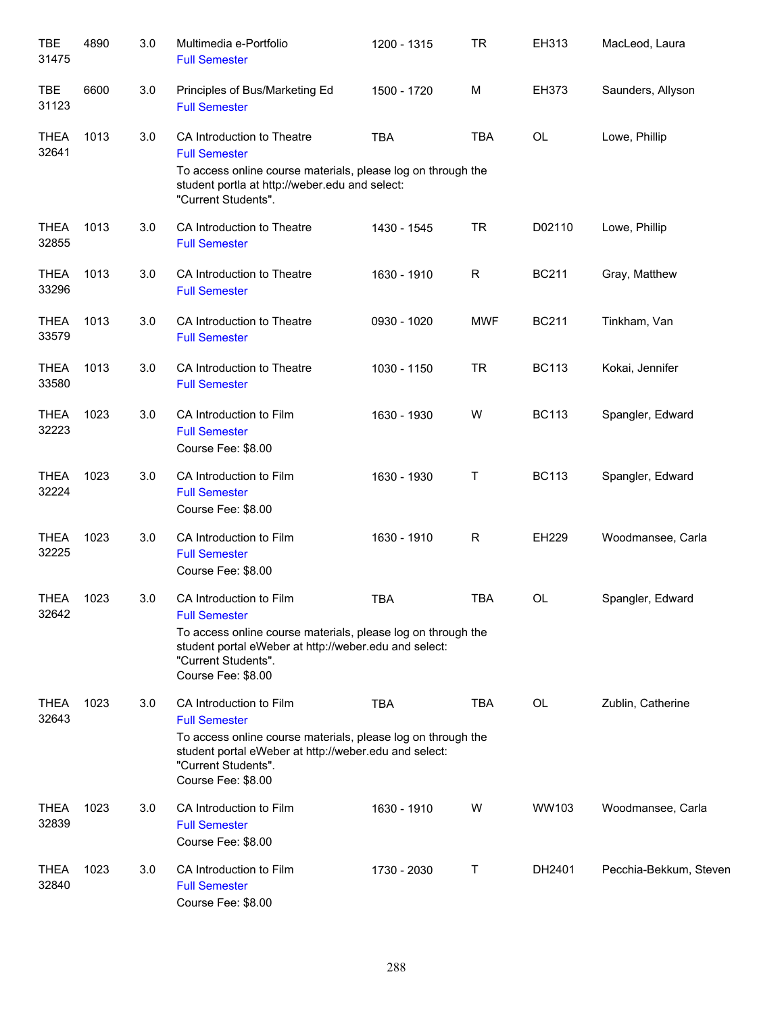| <b>TBE</b><br>31475  | 4890 | 3.0 | Multimedia e-Portfolio<br><b>Full Semester</b>                                                                                                                                                                        | 1200 - 1315 | <b>TR</b>  | EH313        | MacLeod, Laura         |
|----------------------|------|-----|-----------------------------------------------------------------------------------------------------------------------------------------------------------------------------------------------------------------------|-------------|------------|--------------|------------------------|
| <b>TBE</b><br>31123  | 6600 | 3.0 | Principles of Bus/Marketing Ed<br><b>Full Semester</b>                                                                                                                                                                | 1500 - 1720 | M          | <b>EH373</b> | Saunders, Allyson      |
| <b>THEA</b><br>32641 | 1013 | 3.0 | CA Introduction to Theatre<br><b>Full Semester</b><br>To access online course materials, please log on through the<br>student portla at http://weber.edu and select:<br>"Current Students".                           | <b>TBA</b>  | <b>TBA</b> | OL           | Lowe, Phillip          |
| <b>THEA</b><br>32855 | 1013 | 3.0 | CA Introduction to Theatre<br><b>Full Semester</b>                                                                                                                                                                    | 1430 - 1545 | <b>TR</b>  | D02110       | Lowe, Phillip          |
| <b>THEA</b><br>33296 | 1013 | 3.0 | CA Introduction to Theatre<br><b>Full Semester</b>                                                                                                                                                                    | 1630 - 1910 | R          | <b>BC211</b> | Gray, Matthew          |
| <b>THEA</b><br>33579 | 1013 | 3.0 | CA Introduction to Theatre<br><b>Full Semester</b>                                                                                                                                                                    | 0930 - 1020 | <b>MWF</b> | <b>BC211</b> | Tinkham, Van           |
| <b>THEA</b><br>33580 | 1013 | 3.0 | CA Introduction to Theatre<br><b>Full Semester</b>                                                                                                                                                                    | 1030 - 1150 | <b>TR</b>  | <b>BC113</b> | Kokai, Jennifer        |
| THEA<br>32223        | 1023 | 3.0 | CA Introduction to Film<br><b>Full Semester</b><br>Course Fee: \$8.00                                                                                                                                                 | 1630 - 1930 | W          | <b>BC113</b> | Spangler, Edward       |
| <b>THEA</b><br>32224 | 1023 | 3.0 | CA Introduction to Film<br><b>Full Semester</b><br>Course Fee: \$8.00                                                                                                                                                 | 1630 - 1930 | Τ          | <b>BC113</b> | Spangler, Edward       |
| <b>THEA</b><br>32225 | 1023 | 3.0 | CA Introduction to Film<br><b>Full Semester</b><br>Course Fee: \$8.00                                                                                                                                                 | 1630 - 1910 | R          | EH229        | Woodmansee, Carla      |
| <b>THEA</b><br>32642 | 1023 | 3.0 | CA Introduction to Film<br><b>Full Semester</b><br>To access online course materials, please log on through the<br>student portal eWeber at http://weber.edu and select:<br>"Current Students".<br>Course Fee: \$8.00 | <b>TBA</b>  | <b>TBA</b> | <b>OL</b>    | Spangler, Edward       |
| <b>THEA</b><br>32643 | 1023 | 3.0 | CA Introduction to Film<br><b>Full Semester</b><br>To access online course materials, please log on through the<br>student portal eWeber at http://weber.edu and select:<br>"Current Students".<br>Course Fee: \$8.00 | <b>TBA</b>  | TBA        | OL           | Zublin, Catherine      |
| <b>THEA</b><br>32839 | 1023 | 3.0 | CA Introduction to Film<br><b>Full Semester</b><br>Course Fee: \$8.00                                                                                                                                                 | 1630 - 1910 | W          | WW103        | Woodmansee, Carla      |
| <b>THEA</b><br>32840 | 1023 | 3.0 | CA Introduction to Film<br><b>Full Semester</b><br>Course Fee: \$8.00                                                                                                                                                 | 1730 - 2030 | Т          | DH2401       | Pecchia-Bekkum, Steven |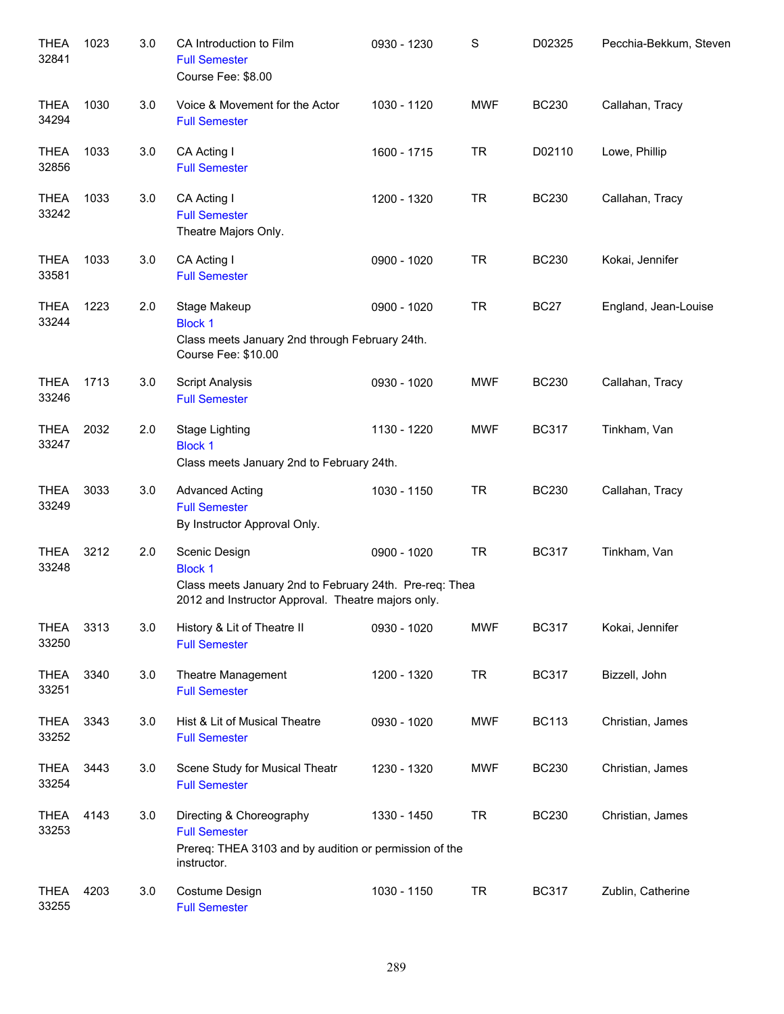| <b>THEA</b><br>32841 | 1023 | 3.0 | CA Introduction to Film<br><b>Full Semester</b><br>Course Fee: \$8.00                                                                            | 0930 - 1230 | S          | D02325       | Pecchia-Bekkum, Steven |
|----------------------|------|-----|--------------------------------------------------------------------------------------------------------------------------------------------------|-------------|------------|--------------|------------------------|
| <b>THEA</b><br>34294 | 1030 | 3.0 | Voice & Movement for the Actor<br><b>Full Semester</b>                                                                                           | 1030 - 1120 | <b>MWF</b> | <b>BC230</b> | Callahan, Tracy        |
| <b>THEA</b><br>32856 | 1033 | 3.0 | CA Acting I<br><b>Full Semester</b>                                                                                                              | 1600 - 1715 | <b>TR</b>  | D02110       | Lowe, Phillip          |
| <b>THEA</b><br>33242 | 1033 | 3.0 | CA Acting I<br><b>Full Semester</b><br>Theatre Majors Only.                                                                                      | 1200 - 1320 | <b>TR</b>  | <b>BC230</b> | Callahan, Tracy        |
| <b>THEA</b><br>33581 | 1033 | 3.0 | CA Acting I<br><b>Full Semester</b>                                                                                                              | 0900 - 1020 | <b>TR</b>  | <b>BC230</b> | Kokai, Jennifer        |
| <b>THEA</b><br>33244 | 1223 | 2.0 | Stage Makeup<br><b>Block 1</b><br>Class meets January 2nd through February 24th.<br>Course Fee: \$10.00                                          | 0900 - 1020 | <b>TR</b>  | <b>BC27</b>  | England, Jean-Louise   |
| <b>THEA</b><br>33246 | 1713 | 3.0 | <b>Script Analysis</b><br><b>Full Semester</b>                                                                                                   | 0930 - 1020 | <b>MWF</b> | <b>BC230</b> | Callahan, Tracy        |
| <b>THEA</b><br>33247 | 2032 | 2.0 | <b>Stage Lighting</b><br><b>Block 1</b><br>Class meets January 2nd to February 24th.                                                             | 1130 - 1220 | <b>MWF</b> | <b>BC317</b> | Tinkham, Van           |
| <b>THEA</b><br>33249 | 3033 | 3.0 | <b>Advanced Acting</b><br><b>Full Semester</b><br>By Instructor Approval Only.                                                                   | 1030 - 1150 | <b>TR</b>  | <b>BC230</b> | Callahan, Tracy        |
| <b>THEA</b><br>33248 | 3212 | 2.0 | Scenic Design<br><b>Block 1</b><br>Class meets January 2nd to February 24th. Pre-req: Thea<br>2012 and Instructor Approval. Theatre majors only. | 0900 - 1020 | <b>TR</b>  | <b>BC317</b> | Tinkham, Van           |
| <b>THEA</b><br>33250 | 3313 | 3.0 | History & Lit of Theatre II<br><b>Full Semester</b>                                                                                              | 0930 - 1020 | <b>MWF</b> | <b>BC317</b> | Kokai, Jennifer        |
| <b>THEA</b><br>33251 | 3340 | 3.0 | Theatre Management<br><b>Full Semester</b>                                                                                                       | 1200 - 1320 | <b>TR</b>  | <b>BC317</b> | Bizzell, John          |
| <b>THEA</b><br>33252 | 3343 | 3.0 | Hist & Lit of Musical Theatre<br><b>Full Semester</b>                                                                                            | 0930 - 1020 | <b>MWF</b> | <b>BC113</b> | Christian, James       |
| <b>THEA</b><br>33254 | 3443 | 3.0 | Scene Study for Musical Theatr<br><b>Full Semester</b>                                                                                           | 1230 - 1320 | <b>MWF</b> | <b>BC230</b> | Christian, James       |
| <b>THEA</b><br>33253 | 4143 | 3.0 | Directing & Choreography<br><b>Full Semester</b><br>Prereq: THEA 3103 and by audition or permission of the<br>instructor.                        | 1330 - 1450 | <b>TR</b>  | <b>BC230</b> | Christian, James       |
| <b>THEA</b><br>33255 | 4203 | 3.0 | Costume Design<br><b>Full Semester</b>                                                                                                           | 1030 - 1150 | <b>TR</b>  | <b>BC317</b> | Zublin, Catherine      |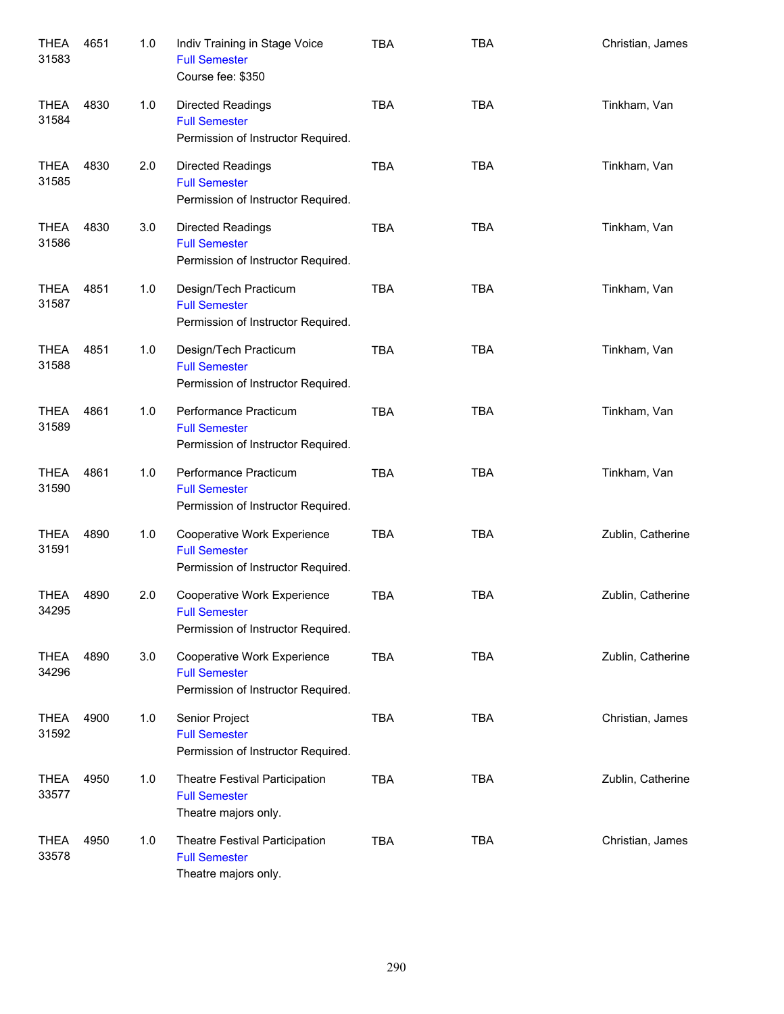| <b>THEA</b><br>31583 | 4651 | 1.0 | Indiv Training in Stage Voice<br><b>Full Semester</b><br>Course fee: \$350                | <b>TBA</b> | <b>TBA</b> | Christian, James  |
|----------------------|------|-----|-------------------------------------------------------------------------------------------|------------|------------|-------------------|
| <b>THEA</b><br>31584 | 4830 | 1.0 | <b>Directed Readings</b><br><b>Full Semester</b><br>Permission of Instructor Required.    | <b>TBA</b> | <b>TBA</b> | Tinkham, Van      |
| <b>THEA</b><br>31585 | 4830 | 2.0 | <b>Directed Readings</b><br><b>Full Semester</b><br>Permission of Instructor Required.    | <b>TBA</b> | <b>TBA</b> | Tinkham, Van      |
| <b>THEA</b><br>31586 | 4830 | 3.0 | <b>Directed Readings</b><br><b>Full Semester</b><br>Permission of Instructor Required.    | <b>TBA</b> | <b>TBA</b> | Tinkham, Van      |
| <b>THEA</b><br>31587 | 4851 | 1.0 | Design/Tech Practicum<br><b>Full Semester</b><br>Permission of Instructor Required.       | <b>TBA</b> | <b>TBA</b> | Tinkham, Van      |
| <b>THEA</b><br>31588 | 4851 | 1.0 | Design/Tech Practicum<br><b>Full Semester</b><br>Permission of Instructor Required.       | <b>TBA</b> | <b>TBA</b> | Tinkham, Van      |
| <b>THEA</b><br>31589 | 4861 | 1.0 | Performance Practicum<br><b>Full Semester</b><br>Permission of Instructor Required.       | <b>TBA</b> | <b>TBA</b> | Tinkham, Van      |
| <b>THEA</b><br>31590 | 4861 | 1.0 | Performance Practicum<br><b>Full Semester</b><br>Permission of Instructor Required.       | <b>TBA</b> | <b>TBA</b> | Tinkham, Van      |
| <b>THEA</b><br>31591 | 4890 | 1.0 | Cooperative Work Experience<br><b>Full Semester</b><br>Permission of Instructor Required. | <b>TBA</b> | <b>TBA</b> | Zublin, Catherine |
| THEA<br>34295        | 4890 | 2.0 | Cooperative Work Experience<br><b>Full Semester</b><br>Permission of Instructor Required. | <b>TBA</b> | <b>TBA</b> | Zublin, Catherine |
| <b>THEA</b><br>34296 | 4890 | 3.0 | Cooperative Work Experience<br><b>Full Semester</b><br>Permission of Instructor Required. | <b>TBA</b> | <b>TBA</b> | Zublin, Catherine |
| <b>THEA</b><br>31592 | 4900 | 1.0 | Senior Project<br><b>Full Semester</b><br>Permission of Instructor Required.              | <b>TBA</b> | <b>TBA</b> | Christian, James  |
| <b>THEA</b><br>33577 | 4950 | 1.0 | Theatre Festival Participation<br><b>Full Semester</b><br>Theatre majors only.            | <b>TBA</b> | <b>TBA</b> | Zublin, Catherine |
| <b>THEA</b><br>33578 | 4950 | 1.0 | Theatre Festival Participation<br><b>Full Semester</b><br>Theatre majors only.            | <b>TBA</b> | <b>TBA</b> | Christian, James  |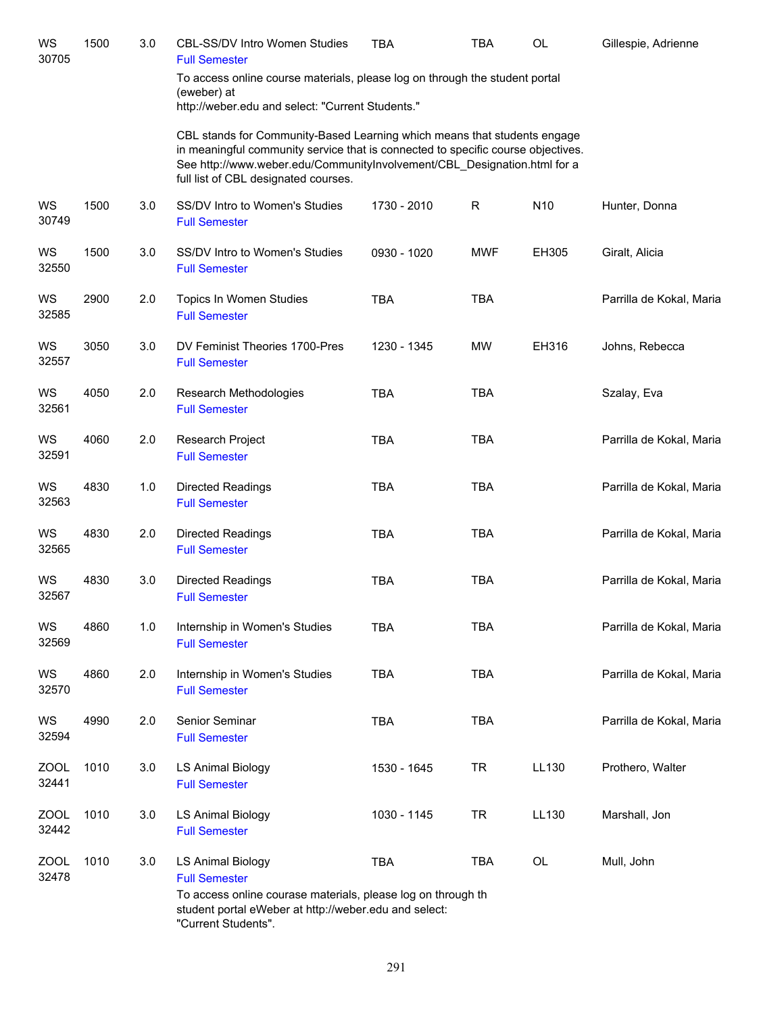| WS<br>30705          | 1500 | 3.0 | <b>CBL-SS/DV Intro Women Studies</b><br><b>Full Semester</b>                                                                                                                                                                                                                     | <b>TBA</b>  | TBA        | OL              | Gillespie, Adrienne      |
|----------------------|------|-----|----------------------------------------------------------------------------------------------------------------------------------------------------------------------------------------------------------------------------------------------------------------------------------|-------------|------------|-----------------|--------------------------|
|                      |      |     | To access online course materials, please log on through the student portal<br>(eweber) at<br>http://weber.edu and select: "Current Students."                                                                                                                                   |             |            |                 |                          |
|                      |      |     | CBL stands for Community-Based Learning which means that students engage<br>in meaningful community service that is connected to specific course objectives.<br>See http://www.weber.edu/CommunityInvolvement/CBL_Designation.html for a<br>full list of CBL designated courses. |             |            |                 |                          |
| WS<br>30749          | 1500 | 3.0 | SS/DV Intro to Women's Studies<br><b>Full Semester</b>                                                                                                                                                                                                                           | 1730 - 2010 | R          | N <sub>10</sub> | Hunter, Donna            |
| WS<br>32550          | 1500 | 3.0 | SS/DV Intro to Women's Studies<br><b>Full Semester</b>                                                                                                                                                                                                                           | 0930 - 1020 | <b>MWF</b> | EH305           | Giralt, Alicia           |
| WS<br>32585          | 2900 | 2.0 | Topics In Women Studies<br><b>Full Semester</b>                                                                                                                                                                                                                                  | <b>TBA</b>  | <b>TBA</b> |                 | Parrilla de Kokal, Maria |
| WS<br>32557          | 3050 | 3.0 | DV Feminist Theories 1700-Pres<br><b>Full Semester</b>                                                                                                                                                                                                                           | 1230 - 1345 | <b>MW</b>  | EH316           | Johns, Rebecca           |
| WS<br>32561          | 4050 | 2.0 | Research Methodologies<br><b>Full Semester</b>                                                                                                                                                                                                                                   | <b>TBA</b>  | <b>TBA</b> |                 | Szalay, Eva              |
| WS<br>32591          | 4060 | 2.0 | Research Project<br><b>Full Semester</b>                                                                                                                                                                                                                                         | <b>TBA</b>  | <b>TBA</b> |                 | Parrilla de Kokal, Maria |
| WS<br>32563          | 4830 | 1.0 | <b>Directed Readings</b><br><b>Full Semester</b>                                                                                                                                                                                                                                 | <b>TBA</b>  | <b>TBA</b> |                 | Parrilla de Kokal, Maria |
| WS<br>32565          | 4830 | 2.0 | <b>Directed Readings</b><br><b>Full Semester</b>                                                                                                                                                                                                                                 | <b>TBA</b>  | <b>TBA</b> |                 | Parrilla de Kokal, Maria |
| WS<br>32567          | 4830 | 3.0 | <b>Directed Readings</b><br><b>Full Semester</b>                                                                                                                                                                                                                                 | <b>TBA</b>  | <b>TBA</b> |                 | Parrilla de Kokal, Maria |
| WS<br>32569          | 4860 | 1.0 | Internship in Women's Studies<br><b>Full Semester</b>                                                                                                                                                                                                                            | <b>TBA</b>  | <b>TBA</b> |                 | Parrilla de Kokal, Maria |
| WS<br>32570          | 4860 | 2.0 | Internship in Women's Studies<br><b>Full Semester</b>                                                                                                                                                                                                                            | <b>TBA</b>  | <b>TBA</b> |                 | Parrilla de Kokal, Maria |
| WS<br>32594          | 4990 | 2.0 | Senior Seminar<br><b>Full Semester</b>                                                                                                                                                                                                                                           | <b>TBA</b>  | <b>TBA</b> |                 | Parrilla de Kokal, Maria |
| <b>ZOOL</b><br>32441 | 1010 | 3.0 | LS Animal Biology<br><b>Full Semester</b>                                                                                                                                                                                                                                        | 1530 - 1645 | <b>TR</b>  | LL130           | Prothero, Walter         |
| <b>ZOOL</b><br>32442 | 1010 | 3.0 | <b>LS Animal Biology</b><br><b>Full Semester</b>                                                                                                                                                                                                                                 | 1030 - 1145 | <b>TR</b>  | LL130           | Marshall, Jon            |
| ZOOL<br>32478        | 1010 | 3.0 | <b>LS Animal Biology</b><br><b>Full Semester</b>                                                                                                                                                                                                                                 | <b>TBA</b>  | <b>TBA</b> | OL              | Mull, John               |
|                      |      |     | To access online courase materials, please log on through th<br>student portal eWeber at http://weber.edu and select:<br>"Current Students".                                                                                                                                     |             |            |                 |                          |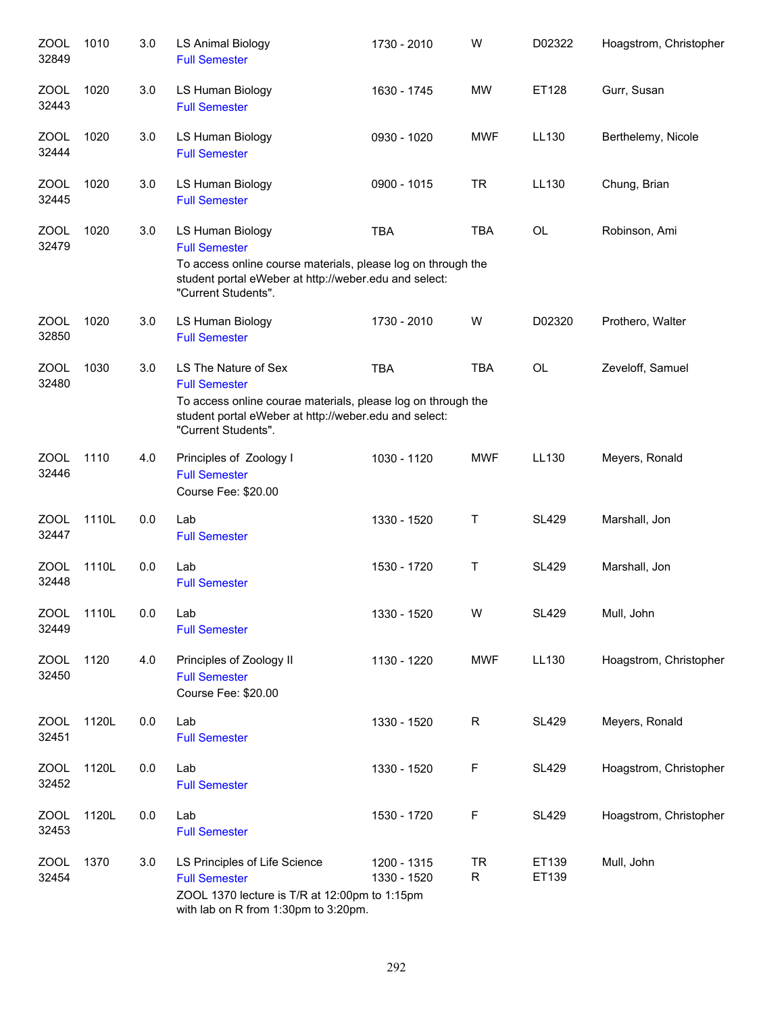| <b>ZOOL</b><br>32849 | 1010  | 3.0 | <b>LS Animal Biology</b><br><b>Full Semester</b>                                                                                                                                             | 1730 - 2010                | W              | D02322         | Hoagstrom, Christopher |
|----------------------|-------|-----|----------------------------------------------------------------------------------------------------------------------------------------------------------------------------------------------|----------------------------|----------------|----------------|------------------------|
| <b>ZOOL</b><br>32443 | 1020  | 3.0 | LS Human Biology<br><b>Full Semester</b>                                                                                                                                                     | 1630 - 1745                | <b>MW</b>      | ET128          | Gurr, Susan            |
| <b>ZOOL</b><br>32444 | 1020  | 3.0 | LS Human Biology<br><b>Full Semester</b>                                                                                                                                                     | 0930 - 1020                | <b>MWF</b>     | LL130          | Berthelemy, Nicole     |
| ZOOL<br>32445        | 1020  | 3.0 | LS Human Biology<br><b>Full Semester</b>                                                                                                                                                     | 0900 - 1015                | <b>TR</b>      | LL130          | Chung, Brian           |
| ZOOL<br>32479        | 1020  | 3.0 | LS Human Biology<br><b>Full Semester</b><br>To access online course materials, please log on through the<br>student portal eWeber at http://weber.edu and select:<br>"Current Students".     | <b>TBA</b>                 | <b>TBA</b>     | OL             | Robinson, Ami          |
| <b>ZOOL</b><br>32850 | 1020  | 3.0 | LS Human Biology<br><b>Full Semester</b>                                                                                                                                                     | 1730 - 2010                | W              | D02320         | Prothero, Walter       |
| <b>ZOOL</b><br>32480 | 1030  | 3.0 | LS The Nature of Sex<br><b>Full Semester</b><br>To access online courae materials, please log on through the<br>student portal eWeber at http://weber.edu and select:<br>"Current Students". | <b>TBA</b>                 | <b>TBA</b>     | OL             | Zeveloff, Samuel       |
| <b>ZOOL</b><br>32446 | 1110  | 4.0 | Principles of Zoology I<br><b>Full Semester</b><br>Course Fee: \$20.00                                                                                                                       | 1030 - 1120                | <b>MWF</b>     | LL130          | Meyers, Ronald         |
| ZOOL<br>32447        | 1110L | 0.0 | Lab<br><b>Full Semester</b>                                                                                                                                                                  | 1330 - 1520                | Т              | <b>SL429</b>   | Marshall, Jon          |
| <b>ZOOL</b><br>32448 | 1110L | 0.0 | Lab<br><b>Full Semester</b>                                                                                                                                                                  | 1530 - 1720                | Т              | <b>SL429</b>   | Marshall, Jon          |
| <b>ZOOL</b><br>32449 | 1110L | 0.0 | Lab<br><b>Full Semester</b>                                                                                                                                                                  | 1330 - 1520                | W              | <b>SL429</b>   | Mull, John             |
| <b>ZOOL</b><br>32450 | 1120  | 4.0 | Principles of Zoology II<br><b>Full Semester</b><br>Course Fee: \$20.00                                                                                                                      | 1130 - 1220                | <b>MWF</b>     | LL130          | Hoagstrom, Christopher |
| <b>ZOOL</b><br>32451 | 1120L | 0.0 | Lab<br><b>Full Semester</b>                                                                                                                                                                  | 1330 - 1520                | $\mathsf{R}$   | <b>SL429</b>   | Meyers, Ronald         |
| ZOOL<br>32452        | 1120L | 0.0 | Lab<br><b>Full Semester</b>                                                                                                                                                                  | 1330 - 1520                | F              | <b>SL429</b>   | Hoagstrom, Christopher |
| ZOOL<br>32453        | 1120L | 0.0 | Lab<br><b>Full Semester</b>                                                                                                                                                                  | 1530 - 1720                | F              | <b>SL429</b>   | Hoagstrom, Christopher |
| <b>ZOOL</b><br>32454 | 1370  | 3.0 | LS Principles of Life Science<br><b>Full Semester</b><br>ZOOL 1370 lecture is T/R at 12:00pm to 1:15pm<br>with lab on R from 1:30pm to 3:20pm.                                               | 1200 - 1315<br>1330 - 1520 | <b>TR</b><br>R | ET139<br>ET139 | Mull, John             |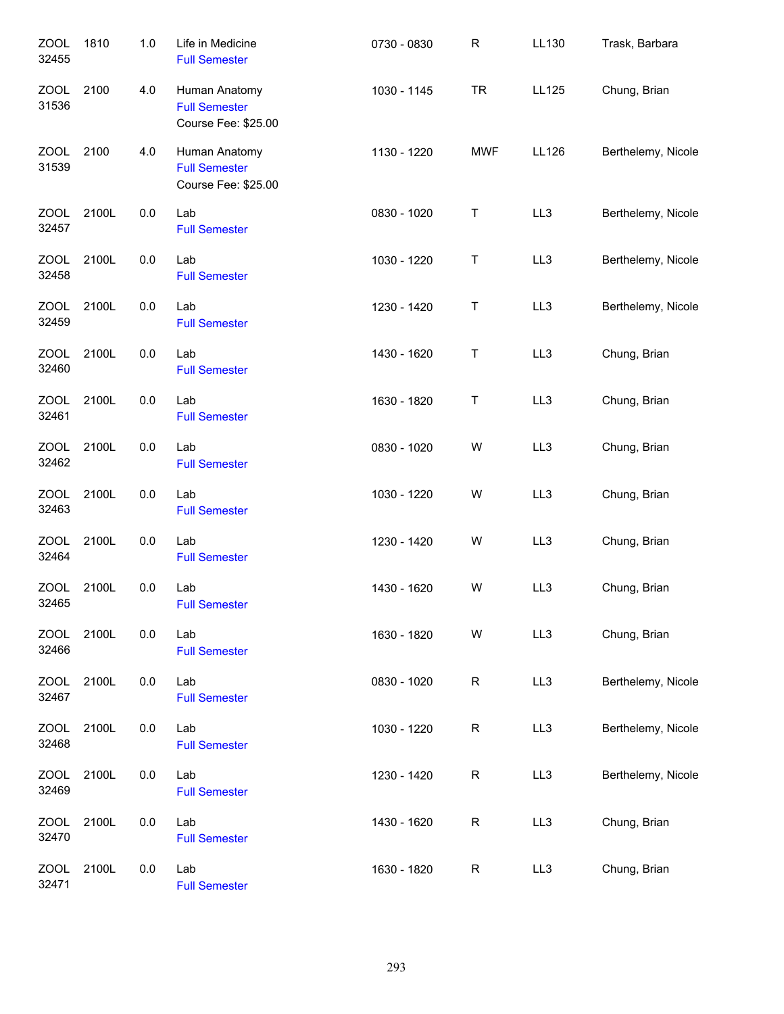| <b>ZOOL</b><br>32455 | 1810  | 1.0 | Life in Medicine<br><b>Full Semester</b>                     | 0730 - 0830 | R          | LL130 | Trask, Barbara     |
|----------------------|-------|-----|--------------------------------------------------------------|-------------|------------|-------|--------------------|
| ZOOL<br>31536        | 2100  | 4.0 | Human Anatomy<br><b>Full Semester</b><br>Course Fee: \$25.00 | 1030 - 1145 | <b>TR</b>  | LL125 | Chung, Brian       |
| <b>ZOOL</b><br>31539 | 2100  | 4.0 | Human Anatomy<br><b>Full Semester</b><br>Course Fee: \$25.00 | 1130 - 1220 | <b>MWF</b> | LL126 | Berthelemy, Nicole |
| <b>ZOOL</b><br>32457 | 2100L | 0.0 | Lab<br><b>Full Semester</b>                                  | 0830 - 1020 | Т          | LL3   | Berthelemy, Nicole |
| ZOOL<br>32458        | 2100L | 0.0 | Lab<br><b>Full Semester</b>                                  | 1030 - 1220 | Τ          | LL3   | Berthelemy, Nicole |
| <b>ZOOL</b><br>32459 | 2100L | 0.0 | Lab<br><b>Full Semester</b>                                  | 1230 - 1420 | Τ          | LL3   | Berthelemy, Nicole |
| ZOOL<br>32460        | 2100L | 0.0 | Lab<br><b>Full Semester</b>                                  | 1430 - 1620 | Τ          | LL3   | Chung, Brian       |
| <b>ZOOL</b><br>32461 | 2100L | 0.0 | Lab<br><b>Full Semester</b>                                  | 1630 - 1820 | Τ          | LL3   | Chung, Brian       |
| <b>ZOOL</b><br>32462 | 2100L | 0.0 | Lab<br><b>Full Semester</b>                                  | 0830 - 1020 | W          | LL3   | Chung, Brian       |
| <b>ZOOL</b><br>32463 | 2100L | 0.0 | Lab<br><b>Full Semester</b>                                  | 1030 - 1220 | W          | LL3   | Chung, Brian       |
| <b>ZOOL</b><br>32464 | 2100L | 0.0 | Lab<br><b>Full Semester</b>                                  | 1230 - 1420 | W          | LL3   | Chung, Brian       |
| <b>ZOOL</b><br>32465 | 2100L | 0.0 | Lab<br><b>Full Semester</b>                                  | 1430 - 1620 | W          | LL3   | Chung, Brian       |
| <b>ZOOL</b><br>32466 | 2100L | 0.0 | Lab<br><b>Full Semester</b>                                  | 1630 - 1820 | W          | LL3   | Chung, Brian       |
| <b>ZOOL</b><br>32467 | 2100L | 0.0 | Lab<br><b>Full Semester</b>                                  | 0830 - 1020 | R          | LL3   | Berthelemy, Nicole |
| ZOOL<br>32468        | 2100L | 0.0 | Lab<br><b>Full Semester</b>                                  | 1030 - 1220 | R          | LL3   | Berthelemy, Nicole |
| <b>ZOOL</b><br>32469 | 2100L | 0.0 | Lab<br><b>Full Semester</b>                                  | 1230 - 1420 | R          | LL3   | Berthelemy, Nicole |
| <b>ZOOL</b><br>32470 | 2100L | 0.0 | Lab<br><b>Full Semester</b>                                  | 1430 - 1620 | R          | LL3   | Chung, Brian       |
| <b>ZOOL</b><br>32471 | 2100L | 0.0 | Lab<br><b>Full Semester</b>                                  | 1630 - 1820 | R          | LL3   | Chung, Brian       |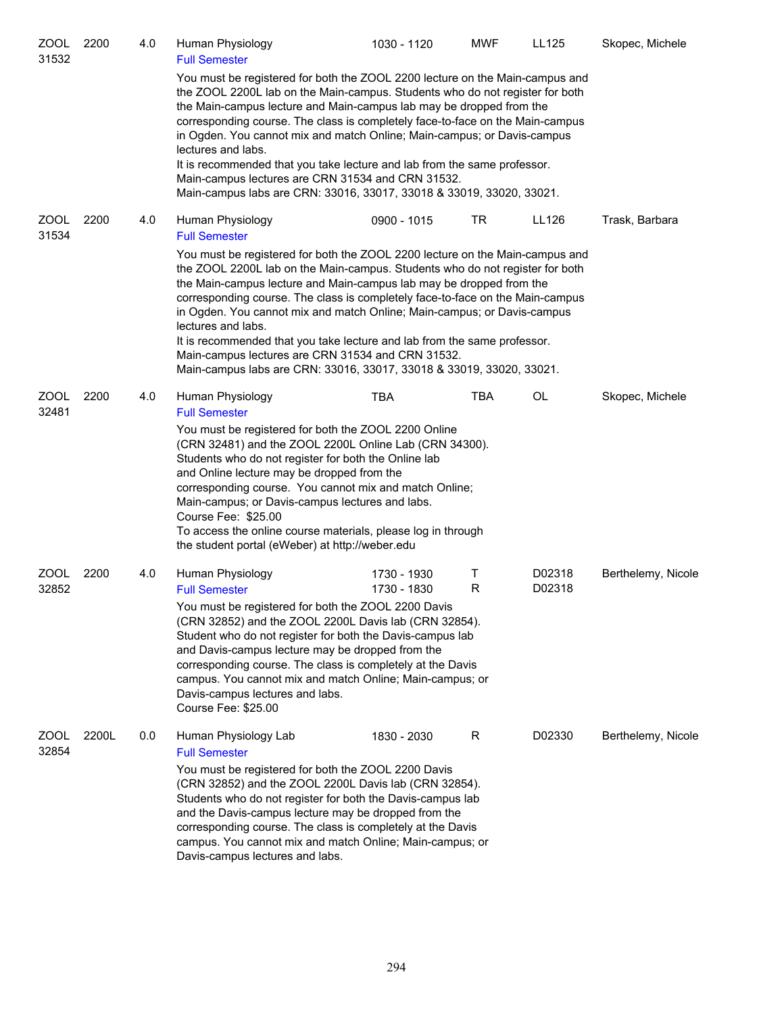| <b>ZOOL</b><br>31532 | 2200  | 4.0 | Human Physiology<br><b>Full Semester</b>                                                                                                                                                                                                                                                                                                                                                                                                                                                                                                                                                                                       | 1030 - 1120                | <b>MWF</b> | <b>LL125</b>     | Skopec, Michele    |
|----------------------|-------|-----|--------------------------------------------------------------------------------------------------------------------------------------------------------------------------------------------------------------------------------------------------------------------------------------------------------------------------------------------------------------------------------------------------------------------------------------------------------------------------------------------------------------------------------------------------------------------------------------------------------------------------------|----------------------------|------------|------------------|--------------------|
|                      |       |     | You must be registered for both the ZOOL 2200 lecture on the Main-campus and<br>the ZOOL 2200L lab on the Main-campus. Students who do not register for both<br>the Main-campus lecture and Main-campus lab may be dropped from the<br>corresponding course. The class is completely face-to-face on the Main-campus<br>in Ogden. You cannot mix and match Online; Main-campus; or Davis-campus<br>lectures and labs.<br>It is recommended that you take lecture and lab from the same professor.<br>Main-campus lectures are CRN 31534 and CRN 31532.<br>Main-campus labs are CRN: 33016, 33017, 33018 & 33019, 33020, 33021. |                            |            |                  |                    |
| <b>ZOOL</b><br>31534 | 2200  | 4.0 | Human Physiology<br><b>Full Semester</b>                                                                                                                                                                                                                                                                                                                                                                                                                                                                                                                                                                                       | 0900 - 1015                | <b>TR</b>  | LL126            | Trask, Barbara     |
|                      |       |     | You must be registered for both the ZOOL 2200 lecture on the Main-campus and<br>the ZOOL 2200L lab on the Main-campus. Students who do not register for both<br>the Main-campus lecture and Main-campus lab may be dropped from the<br>corresponding course. The class is completely face-to-face on the Main-campus<br>in Ogden. You cannot mix and match Online; Main-campus; or Davis-campus<br>lectures and labs.<br>It is recommended that you take lecture and lab from the same professor.<br>Main-campus lectures are CRN 31534 and CRN 31532.<br>Main-campus labs are CRN: 33016, 33017, 33018 & 33019, 33020, 33021. |                            |            |                  |                    |
| <b>ZOOL</b><br>32481 | 2200  | 4.0 | Human Physiology<br><b>Full Semester</b>                                                                                                                                                                                                                                                                                                                                                                                                                                                                                                                                                                                       | <b>TBA</b>                 | <b>TBA</b> | OL               | Skopec, Michele    |
|                      |       |     | You must be registered for both the ZOOL 2200 Online<br>(CRN 32481) and the ZOOL 2200L Online Lab (CRN 34300).<br>Students who do not register for both the Online lab<br>and Online lecture may be dropped from the<br>corresponding course. You cannot mix and match Online;<br>Main-campus; or Davis-campus lectures and labs.<br>Course Fee: \$25.00<br>To access the online course materials, please log in through<br>the student portal (eWeber) at http://weber.edu                                                                                                                                                    |                            |            |                  |                    |
| <b>ZOOL</b><br>32852 | 2200  | 4.0 | Human Physiology<br><b>Full Semester</b>                                                                                                                                                                                                                                                                                                                                                                                                                                                                                                                                                                                       | 1730 - 1930<br>1730 - 1830 | т<br>R     | D02318<br>D02318 | Berthelemy, Nicole |
|                      |       |     | You must be registered for both the ZOOL 2200 Davis<br>(CRN 32852) and the ZOOL 2200L Davis lab (CRN 32854).<br>Student who do not register for both the Davis-campus lab<br>and Davis-campus lecture may be dropped from the<br>corresponding course. The class is completely at the Davis<br>campus. You cannot mix and match Online; Main-campus; or<br>Davis-campus lectures and labs.<br>Course Fee: \$25.00                                                                                                                                                                                                              |                            |            |                  |                    |
| ZOOL<br>32854        | 2200L | 0.0 | Human Physiology Lab<br><b>Full Semester</b><br>You must be registered for both the ZOOL 2200 Davis<br>(CRN 32852) and the ZOOL 2200L Davis lab (CRN 32854).<br>Students who do not register for both the Davis-campus lab<br>and the Davis-campus lecture may be dropped from the<br>corresponding course. The class is completely at the Davis<br>campus. You cannot mix and match Online; Main-campus; or<br>Davis-campus lectures and labs.                                                                                                                                                                                | 1830 - 2030                | R          | D02330           | Berthelemy, Nicole |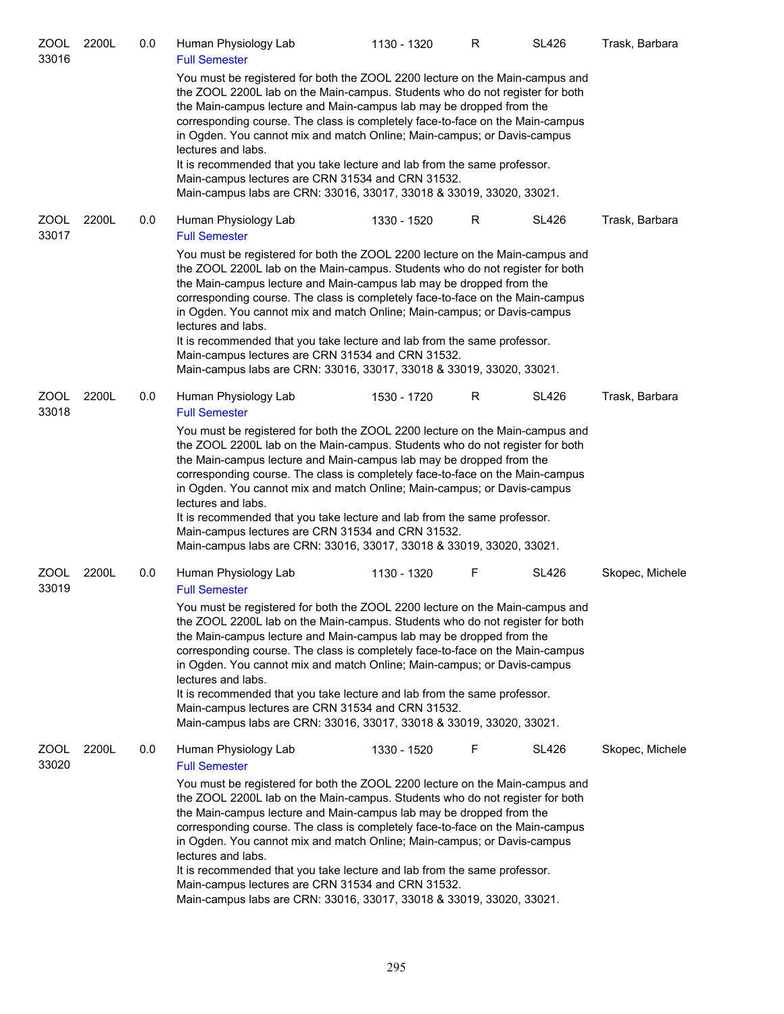| ZOOL<br>33016        | 2200L | 0.0 | Human Physiology Lab<br><b>Full Semester</b>                                                                                                                                                                                                                                                                                                                                                                                                                                                                                                                                                                                   | 1130 - 1320 | R | <b>SL426</b> | Trask, Barbara  |
|----------------------|-------|-----|--------------------------------------------------------------------------------------------------------------------------------------------------------------------------------------------------------------------------------------------------------------------------------------------------------------------------------------------------------------------------------------------------------------------------------------------------------------------------------------------------------------------------------------------------------------------------------------------------------------------------------|-------------|---|--------------|-----------------|
|                      |       |     | You must be registered for both the ZOOL 2200 lecture on the Main-campus and<br>the ZOOL 2200L lab on the Main-campus. Students who do not register for both<br>the Main-campus lecture and Main-campus lab may be dropped from the<br>corresponding course. The class is completely face-to-face on the Main-campus<br>in Ogden. You cannot mix and match Online; Main-campus; or Davis-campus<br>lectures and labs.<br>It is recommended that you take lecture and lab from the same professor.<br>Main-campus lectures are CRN 31534 and CRN 31532.<br>Main-campus labs are CRN: 33016, 33017, 33018 & 33019, 33020, 33021. |             |   |              |                 |
| ZOOL<br>33017        | 2200L | 0.0 | Human Physiology Lab<br><b>Full Semester</b>                                                                                                                                                                                                                                                                                                                                                                                                                                                                                                                                                                                   | 1330 - 1520 | R | <b>SL426</b> | Trask, Barbara  |
|                      |       |     | You must be registered for both the ZOOL 2200 lecture on the Main-campus and<br>the ZOOL 2200L lab on the Main-campus. Students who do not register for both<br>the Main-campus lecture and Main-campus lab may be dropped from the<br>corresponding course. The class is completely face-to-face on the Main-campus<br>in Ogden. You cannot mix and match Online; Main-campus; or Davis-campus<br>lectures and labs.<br>It is recommended that you take lecture and lab from the same professor.<br>Main-campus lectures are CRN 31534 and CRN 31532.<br>Main-campus labs are CRN: 33016, 33017, 33018 & 33019, 33020, 33021. |             |   |              |                 |
| <b>ZOOL</b><br>33018 | 2200L | 0.0 | Human Physiology Lab<br><b>Full Semester</b>                                                                                                                                                                                                                                                                                                                                                                                                                                                                                                                                                                                   | 1530 - 1720 | R | <b>SL426</b> | Trask, Barbara  |
|                      |       |     | You must be registered for both the ZOOL 2200 lecture on the Main-campus and<br>the ZOOL 2200L lab on the Main-campus. Students who do not register for both<br>the Main-campus lecture and Main-campus lab may be dropped from the<br>corresponding course. The class is completely face-to-face on the Main-campus<br>in Ogden. You cannot mix and match Online; Main-campus; or Davis-campus<br>lectures and labs.<br>It is recommended that you take lecture and lab from the same professor.<br>Main-campus lectures are CRN 31534 and CRN 31532.<br>Main-campus labs are CRN: 33016, 33017, 33018 & 33019, 33020, 33021. |             |   |              |                 |
| ZOOL<br>33019        | 2200L | 0.0 | Human Physiology Lab<br><b>Full Semester</b>                                                                                                                                                                                                                                                                                                                                                                                                                                                                                                                                                                                   | 1130 - 1320 | F | <b>SL426</b> | Skopec, Michele |
|                      |       |     | You must be registered for both the ZOOL 2200 lecture on the Main-campus and<br>the ZOOL 2200L lab on the Main-campus. Students who do not register for both<br>the Main-campus lecture and Main-campus lab may be dropped from the<br>corresponding course. The class is completely face-to-face on the Main-campus<br>in Ogden. You cannot mix and match Online; Main-campus; or Davis-campus<br>lectures and labs.<br>It is recommended that you take lecture and lab from the same professor.<br>Main-campus lectures are CRN 31534 and CRN 31532.<br>Main-campus labs are CRN: 33016, 33017, 33018 & 33019, 33020, 33021. |             |   |              |                 |
| ZOOL<br>33020        | 2200L | 0.0 | Human Physiology Lab<br><b>Full Semester</b>                                                                                                                                                                                                                                                                                                                                                                                                                                                                                                                                                                                   | 1330 - 1520 | F | SL426        | Skopec, Michele |
|                      |       |     | You must be registered for both the ZOOL 2200 lecture on the Main-campus and<br>the ZOOL 2200L lab on the Main-campus. Students who do not register for both<br>the Main-campus lecture and Main-campus lab may be dropped from the<br>corresponding course. The class is completely face-to-face on the Main-campus<br>in Ogden. You cannot mix and match Online; Main-campus; or Davis-campus<br>lectures and labs.<br>It is recommended that you take lecture and lab from the same professor.<br>Main-campus lectures are CRN 31534 and CRN 31532.<br>Main-campus labs are CRN: 33016, 33017, 33018 & 33019, 33020, 33021. |             |   |              |                 |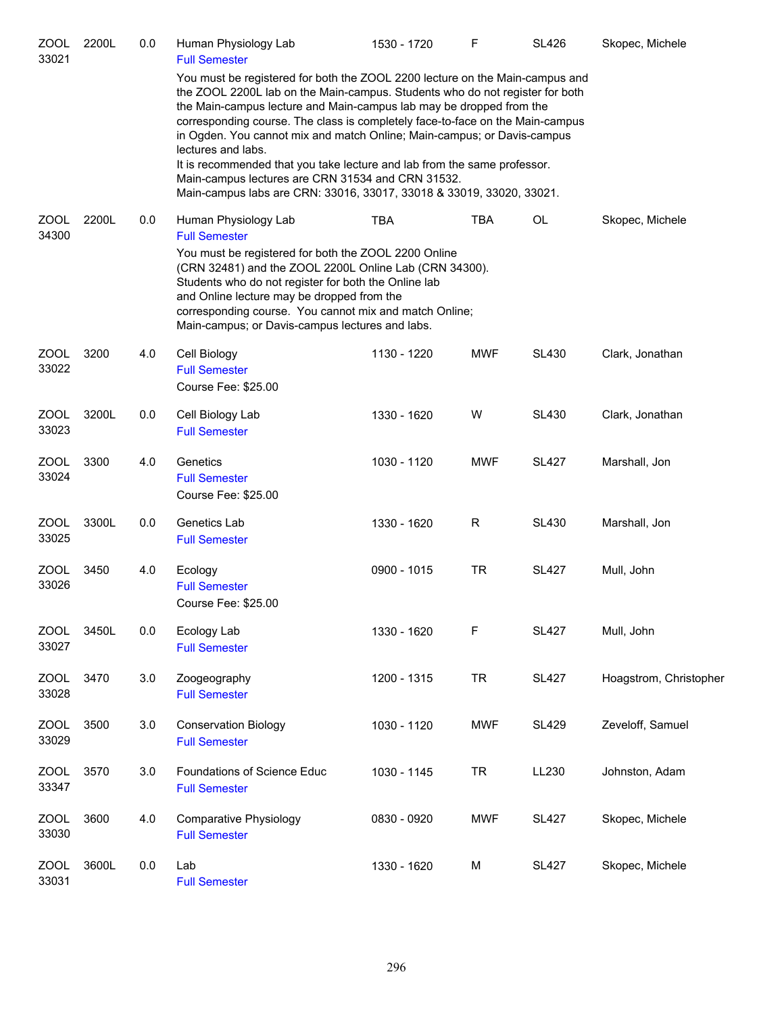| ZOOL<br>33021        | 2200L | 0.0 | Human Physiology Lab<br><b>Full Semester</b>                                                                                                                                                                                                                                                                                                                                                                                                                                                                                                                                                                                   | 1530 - 1720 | F          | <b>SL426</b> | Skopec, Michele        |
|----------------------|-------|-----|--------------------------------------------------------------------------------------------------------------------------------------------------------------------------------------------------------------------------------------------------------------------------------------------------------------------------------------------------------------------------------------------------------------------------------------------------------------------------------------------------------------------------------------------------------------------------------------------------------------------------------|-------------|------------|--------------|------------------------|
|                      |       |     | You must be registered for both the ZOOL 2200 lecture on the Main-campus and<br>the ZOOL 2200L lab on the Main-campus. Students who do not register for both<br>the Main-campus lecture and Main-campus lab may be dropped from the<br>corresponding course. The class is completely face-to-face on the Main-campus<br>in Ogden. You cannot mix and match Online; Main-campus; or Davis-campus<br>lectures and labs.<br>It is recommended that you take lecture and lab from the same professor.<br>Main-campus lectures are CRN 31534 and CRN 31532.<br>Main-campus labs are CRN: 33016, 33017, 33018 & 33019, 33020, 33021. |             |            |              |                        |
| ZOOL<br>34300        | 2200L | 0.0 | Human Physiology Lab<br><b>Full Semester</b><br>You must be registered for both the ZOOL 2200 Online<br>(CRN 32481) and the ZOOL 2200L Online Lab (CRN 34300).<br>Students who do not register for both the Online lab<br>and Online lecture may be dropped from the<br>corresponding course. You cannot mix and match Online;<br>Main-campus; or Davis-campus lectures and labs.                                                                                                                                                                                                                                              | <b>TBA</b>  | <b>TBA</b> | OL           | Skopec, Michele        |
| <b>ZOOL</b><br>33022 | 3200  | 4.0 | Cell Biology<br><b>Full Semester</b><br>Course Fee: \$25.00                                                                                                                                                                                                                                                                                                                                                                                                                                                                                                                                                                    | 1130 - 1220 | <b>MWF</b> | <b>SL430</b> | Clark, Jonathan        |
| ZOOL<br>33023        | 3200L | 0.0 | Cell Biology Lab<br><b>Full Semester</b>                                                                                                                                                                                                                                                                                                                                                                                                                                                                                                                                                                                       | 1330 - 1620 | W          | <b>SL430</b> | Clark, Jonathan        |
| ZOOL<br>33024        | 3300  | 4.0 | Genetics<br><b>Full Semester</b><br>Course Fee: \$25.00                                                                                                                                                                                                                                                                                                                                                                                                                                                                                                                                                                        | 1030 - 1120 | <b>MWF</b> | <b>SL427</b> | Marshall, Jon          |
| <b>ZOOL</b><br>33025 | 3300L | 0.0 | Genetics Lab<br><b>Full Semester</b>                                                                                                                                                                                                                                                                                                                                                                                                                                                                                                                                                                                           | 1330 - 1620 | R          | <b>SL430</b> | Marshall, Jon          |
| ZOOL<br>33026        | 3450  | 4.0 | Ecology<br><b>Full Semester</b><br>Course Fee: \$25.00                                                                                                                                                                                                                                                                                                                                                                                                                                                                                                                                                                         | 0900 - 1015 | <b>TR</b>  | <b>SL427</b> | Mull, John             |
| <b>ZOOL</b><br>33027 | 3450L | 0.0 | Ecology Lab<br><b>Full Semester</b>                                                                                                                                                                                                                                                                                                                                                                                                                                                                                                                                                                                            | 1330 - 1620 | F          | <b>SL427</b> | Mull, John             |
| <b>ZOOL</b><br>33028 | 3470  | 3.0 | Zoogeography<br><b>Full Semester</b>                                                                                                                                                                                                                                                                                                                                                                                                                                                                                                                                                                                           | 1200 - 1315 | <b>TR</b>  | <b>SL427</b> | Hoagstrom, Christopher |
| <b>ZOOL</b><br>33029 | 3500  | 3.0 | <b>Conservation Biology</b><br><b>Full Semester</b>                                                                                                                                                                                                                                                                                                                                                                                                                                                                                                                                                                            | 1030 - 1120 | <b>MWF</b> | <b>SL429</b> | Zeveloff, Samuel       |
| ZOOL<br>33347        | 3570  | 3.0 | Foundations of Science Educ<br><b>Full Semester</b>                                                                                                                                                                                                                                                                                                                                                                                                                                                                                                                                                                            | 1030 - 1145 | <b>TR</b>  | LL230        | Johnston, Adam         |
| <b>ZOOL</b><br>33030 | 3600  | 4.0 | <b>Comparative Physiology</b><br><b>Full Semester</b>                                                                                                                                                                                                                                                                                                                                                                                                                                                                                                                                                                          | 0830 - 0920 | <b>MWF</b> | <b>SL427</b> | Skopec, Michele        |
| <b>ZOOL</b><br>33031 | 3600L | 0.0 | Lab<br><b>Full Semester</b>                                                                                                                                                                                                                                                                                                                                                                                                                                                                                                                                                                                                    | 1330 - 1620 | M          | <b>SL427</b> | Skopec, Michele        |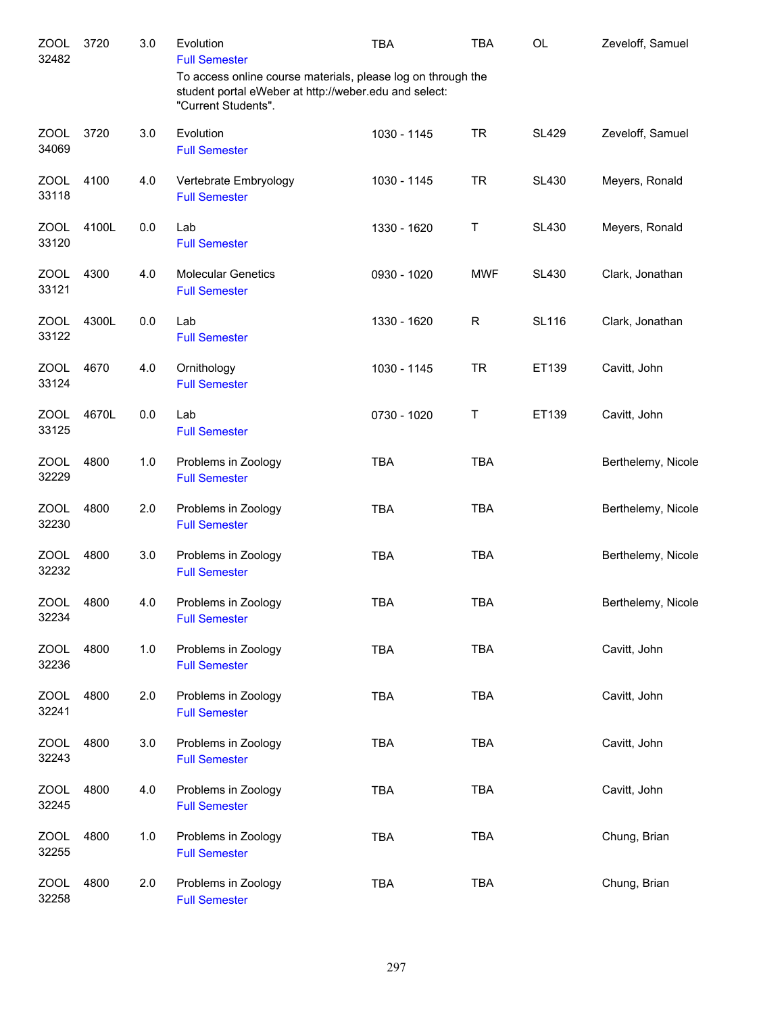| <b>ZOOL</b><br>32482 | 3720  | 3.0   | Evolution<br><b>Full Semester</b>                                                                                                            | <b>TBA</b>  | <b>TBA</b> | <b>OL</b>    | Zeveloff, Samuel   |
|----------------------|-------|-------|----------------------------------------------------------------------------------------------------------------------------------------------|-------------|------------|--------------|--------------------|
|                      |       |       | To access online course materials, please log on through the<br>student portal eWeber at http://weber.edu and select:<br>"Current Students". |             |            |              |                    |
| <b>ZOOL</b><br>34069 | 3720  | 3.0   | Evolution<br><b>Full Semester</b>                                                                                                            | 1030 - 1145 | <b>TR</b>  | <b>SL429</b> | Zeveloff, Samuel   |
| <b>ZOOL</b><br>33118 | 4100  | 4.0   | Vertebrate Embryology<br><b>Full Semester</b>                                                                                                | 1030 - 1145 | <b>TR</b>  | <b>SL430</b> | Meyers, Ronald     |
| <b>ZOOL</b><br>33120 | 4100L | 0.0   | Lab<br><b>Full Semester</b>                                                                                                                  | 1330 - 1620 | Τ          | <b>SL430</b> | Meyers, Ronald     |
| <b>ZOOL</b><br>33121 | 4300  | 4.0   | <b>Molecular Genetics</b><br><b>Full Semester</b>                                                                                            | 0930 - 1020 | <b>MWF</b> | <b>SL430</b> | Clark, Jonathan    |
| ZOOL<br>33122        | 4300L | 0.0   | Lab<br><b>Full Semester</b>                                                                                                                  | 1330 - 1620 | R          | <b>SL116</b> | Clark, Jonathan    |
| ZOOL<br>33124        | 4670  | 4.0   | Ornithology<br><b>Full Semester</b>                                                                                                          | 1030 - 1145 | <b>TR</b>  | ET139        | Cavitt, John       |
| ZOOL<br>33125        | 4670L | 0.0   | Lab<br><b>Full Semester</b>                                                                                                                  | 0730 - 1020 | Τ          | ET139        | Cavitt, John       |
| ZOOL<br>32229        | 4800  | 1.0   | Problems in Zoology<br><b>Full Semester</b>                                                                                                  | <b>TBA</b>  | <b>TBA</b> |              | Berthelemy, Nicole |
| ZOOL<br>32230        | 4800  | 2.0   | Problems in Zoology<br><b>Full Semester</b>                                                                                                  | <b>TBA</b>  | <b>TBA</b> |              | Berthelemy, Nicole |
| ZOOL<br>32232        | 4800  | 3.0   | Problems in Zoology<br><b>Full Semester</b>                                                                                                  | <b>TBA</b>  | <b>TBA</b> |              | Berthelemy, Nicole |
| <b>ZOOL</b><br>32234 | 4800  | 4.0   | Problems in Zoology<br><b>Full Semester</b>                                                                                                  | <b>TBA</b>  | <b>TBA</b> |              | Berthelemy, Nicole |
| <b>ZOOL</b><br>32236 | 4800  | $1.0$ | Problems in Zoology<br><b>Full Semester</b>                                                                                                  | <b>TBA</b>  | <b>TBA</b> |              | Cavitt, John       |
| <b>ZOOL</b><br>32241 | 4800  | 2.0   | Problems in Zoology<br><b>Full Semester</b>                                                                                                  | <b>TBA</b>  | <b>TBA</b> |              | Cavitt, John       |
| <b>ZOOL</b><br>32243 | 4800  | 3.0   | Problems in Zoology<br><b>Full Semester</b>                                                                                                  | <b>TBA</b>  | <b>TBA</b> |              | Cavitt, John       |
| ZOOL<br>32245        | 4800  | 4.0   | Problems in Zoology<br><b>Full Semester</b>                                                                                                  | <b>TBA</b>  | <b>TBA</b> |              | Cavitt, John       |
| <b>ZOOL</b><br>32255 | 4800  | 1.0   | Problems in Zoology<br><b>Full Semester</b>                                                                                                  | <b>TBA</b>  | <b>TBA</b> |              | Chung, Brian       |
| <b>ZOOL</b><br>32258 | 4800  | 2.0   | Problems in Zoology<br><b>Full Semester</b>                                                                                                  | <b>TBA</b>  | <b>TBA</b> |              | Chung, Brian       |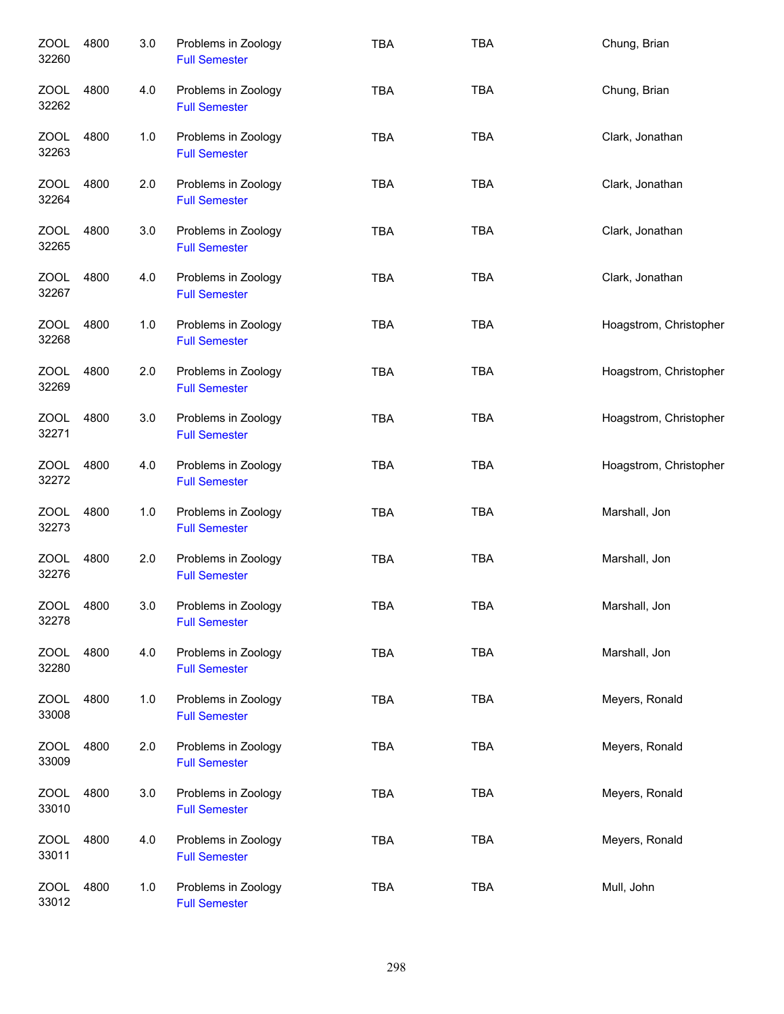| <b>ZOOL</b><br>32260 | 4800 | 3.0 | Problems in Zoology<br><b>Full Semester</b> | <b>TBA</b> | <b>TBA</b> | Chung, Brian           |
|----------------------|------|-----|---------------------------------------------|------------|------------|------------------------|
| ZOOL<br>32262        | 4800 | 4.0 | Problems in Zoology<br><b>Full Semester</b> | <b>TBA</b> | <b>TBA</b> | Chung, Brian           |
| ZOOL<br>32263        | 4800 | 1.0 | Problems in Zoology<br><b>Full Semester</b> | <b>TBA</b> | <b>TBA</b> | Clark, Jonathan        |
| ZOOL<br>32264        | 4800 | 2.0 | Problems in Zoology<br><b>Full Semester</b> | <b>TBA</b> | <b>TBA</b> | Clark, Jonathan        |
| ZOOL<br>32265        | 4800 | 3.0 | Problems in Zoology<br><b>Full Semester</b> | <b>TBA</b> | <b>TBA</b> | Clark, Jonathan        |
| ZOOL<br>32267        | 4800 | 4.0 | Problems in Zoology<br><b>Full Semester</b> | <b>TBA</b> | <b>TBA</b> | Clark, Jonathan        |
| <b>ZOOL</b><br>32268 | 4800 | 1.0 | Problems in Zoology<br><b>Full Semester</b> | <b>TBA</b> | <b>TBA</b> | Hoagstrom, Christopher |
| <b>ZOOL</b><br>32269 | 4800 | 2.0 | Problems in Zoology<br><b>Full Semester</b> | <b>TBA</b> | <b>TBA</b> | Hoagstrom, Christopher |
| <b>ZOOL</b><br>32271 | 4800 | 3.0 | Problems in Zoology<br><b>Full Semester</b> | <b>TBA</b> | <b>TBA</b> | Hoagstrom, Christopher |
| <b>ZOOL</b><br>32272 | 4800 | 4.0 | Problems in Zoology<br><b>Full Semester</b> | <b>TBA</b> | <b>TBA</b> | Hoagstrom, Christopher |
| <b>ZOOL</b><br>32273 | 4800 | 1.0 | Problems in Zoology<br><b>Full Semester</b> | <b>TBA</b> | <b>TBA</b> | Marshall, Jon          |
| <b>ZOOL</b><br>32276 | 4800 | 2.0 | Problems in Zoology<br><b>Full Semester</b> | <b>TBA</b> | <b>TBA</b> | Marshall, Jon          |
| ZOOL<br>32278        | 4800 | 3.0 | Problems in Zoology<br><b>Full Semester</b> | TBA        | <b>TBA</b> | Marshall, Jon          |
| <b>ZOOL</b><br>32280 | 4800 | 4.0 | Problems in Zoology<br><b>Full Semester</b> | <b>TBA</b> | <b>TBA</b> | Marshall, Jon          |
| <b>ZOOL</b><br>33008 | 4800 | 1.0 | Problems in Zoology<br><b>Full Semester</b> | <b>TBA</b> | <b>TBA</b> | Meyers, Ronald         |
| <b>ZOOL</b><br>33009 | 4800 | 2.0 | Problems in Zoology<br><b>Full Semester</b> | <b>TBA</b> | <b>TBA</b> | Meyers, Ronald         |
| <b>ZOOL</b><br>33010 | 4800 | 3.0 | Problems in Zoology<br><b>Full Semester</b> | <b>TBA</b> | <b>TBA</b> | Meyers, Ronald         |
| <b>ZOOL</b><br>33011 | 4800 | 4.0 | Problems in Zoology<br><b>Full Semester</b> | <b>TBA</b> | <b>TBA</b> | Meyers, Ronald         |
| <b>ZOOL</b><br>33012 | 4800 | 1.0 | Problems in Zoology<br><b>Full Semester</b> | <b>TBA</b> | <b>TBA</b> | Mull, John             |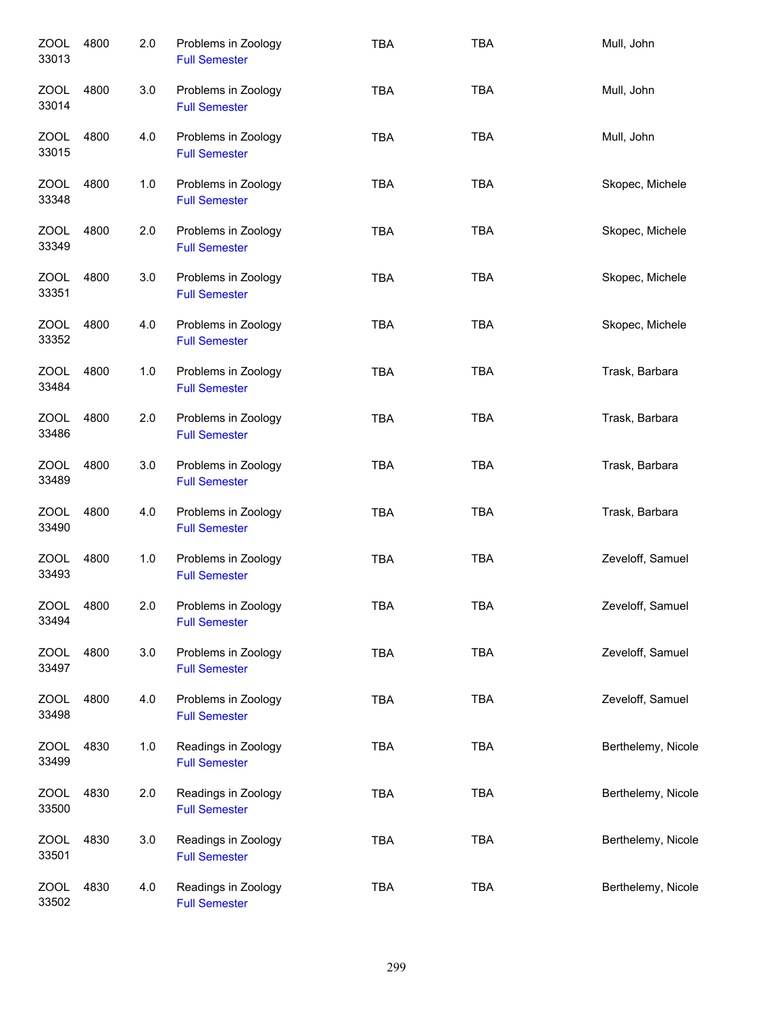| <b>ZOOL</b><br>33013 | 4800 | 2.0 | Problems in Zoology<br><b>Full Semester</b> | <b>TBA</b> | <b>TBA</b> | Mull, John         |
|----------------------|------|-----|---------------------------------------------|------------|------------|--------------------|
| <b>ZOOL</b><br>33014 | 4800 | 3.0 | Problems in Zoology<br><b>Full Semester</b> | <b>TBA</b> | <b>TBA</b> | Mull, John         |
| ZOOL<br>33015        | 4800 | 4.0 | Problems in Zoology<br><b>Full Semester</b> | <b>TBA</b> | <b>TBA</b> | Mull, John         |
| ZOOL<br>33348        | 4800 | 1.0 | Problems in Zoology<br><b>Full Semester</b> | <b>TBA</b> | <b>TBA</b> | Skopec, Michele    |
| ZOOL<br>33349        | 4800 | 2.0 | Problems in Zoology<br><b>Full Semester</b> | <b>TBA</b> | <b>TBA</b> | Skopec, Michele    |
| <b>ZOOL</b><br>33351 | 4800 | 3.0 | Problems in Zoology<br><b>Full Semester</b> | <b>TBA</b> | <b>TBA</b> | Skopec, Michele    |
| <b>ZOOL</b><br>33352 | 4800 | 4.0 | Problems in Zoology<br><b>Full Semester</b> | <b>TBA</b> | <b>TBA</b> | Skopec, Michele    |
| <b>ZOOL</b><br>33484 | 4800 | 1.0 | Problems in Zoology<br><b>Full Semester</b> | <b>TBA</b> | <b>TBA</b> | Trask, Barbara     |
| <b>ZOOL</b><br>33486 | 4800 | 2.0 | Problems in Zoology<br><b>Full Semester</b> | <b>TBA</b> | <b>TBA</b> | Trask, Barbara     |
| <b>ZOOL</b><br>33489 | 4800 | 3.0 | Problems in Zoology<br><b>Full Semester</b> | <b>TBA</b> | <b>TBA</b> | Trask, Barbara     |
| <b>ZOOL</b><br>33490 | 4800 | 4.0 | Problems in Zoology<br><b>Full Semester</b> | <b>TBA</b> | <b>TBA</b> | Trask, Barbara     |
| <b>ZOOL</b><br>33493 | 4800 | 1.0 | Problems in Zoology<br><b>Full Semester</b> | <b>TBA</b> | <b>TBA</b> | Zeveloff, Samuel   |
| <b>ZOOL</b><br>33494 | 4800 | 2.0 | Problems in Zoology<br><b>Full Semester</b> | <b>TBA</b> | <b>TBA</b> | Zeveloff, Samuel   |
| ZOOL<br>33497        | 4800 | 3.0 | Problems in Zoology<br><b>Full Semester</b> | <b>TBA</b> | <b>TBA</b> | Zeveloff, Samuel   |
| <b>ZOOL</b><br>33498 | 4800 | 4.0 | Problems in Zoology<br><b>Full Semester</b> | <b>TBA</b> | <b>TBA</b> | Zeveloff, Samuel   |
| <b>ZOOL</b><br>33499 | 4830 | 1.0 | Readings in Zoology<br><b>Full Semester</b> | <b>TBA</b> | <b>TBA</b> | Berthelemy, Nicole |
| <b>ZOOL</b><br>33500 | 4830 | 2.0 | Readings in Zoology<br><b>Full Semester</b> | <b>TBA</b> | <b>TBA</b> | Berthelemy, Nicole |
| <b>ZOOL</b><br>33501 | 4830 | 3.0 | Readings in Zoology<br><b>Full Semester</b> | <b>TBA</b> | <b>TBA</b> | Berthelemy, Nicole |
| <b>ZOOL</b><br>33502 | 4830 | 4.0 | Readings in Zoology<br><b>Full Semester</b> | <b>TBA</b> | <b>TBA</b> | Berthelemy, Nicole |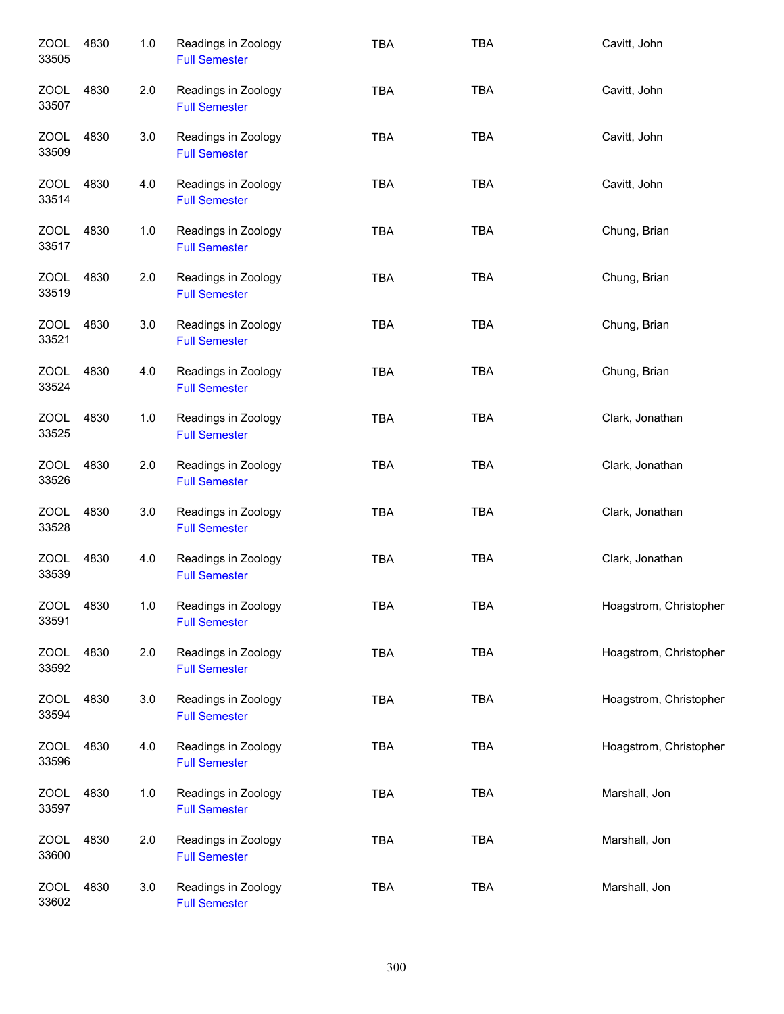| <b>ZOOL</b><br>33505 | 4830 | 1.0 | Readings in Zoology<br><b>Full Semester</b> | <b>TBA</b> | <b>TBA</b> | Cavitt, John           |
|----------------------|------|-----|---------------------------------------------|------------|------------|------------------------|
| ZOOL<br>33507        | 4830 | 2.0 | Readings in Zoology<br><b>Full Semester</b> | <b>TBA</b> | <b>TBA</b> | Cavitt, John           |
| ZOOL<br>33509        | 4830 | 3.0 | Readings in Zoology<br><b>Full Semester</b> | <b>TBA</b> | <b>TBA</b> | Cavitt, John           |
| <b>ZOOL</b><br>33514 | 4830 | 4.0 | Readings in Zoology<br><b>Full Semester</b> | <b>TBA</b> | <b>TBA</b> | Cavitt, John           |
| <b>ZOOL</b><br>33517 | 4830 | 1.0 | Readings in Zoology<br><b>Full Semester</b> | <b>TBA</b> | <b>TBA</b> | Chung, Brian           |
| <b>ZOOL</b><br>33519 | 4830 | 2.0 | Readings in Zoology<br><b>Full Semester</b> | <b>TBA</b> | <b>TBA</b> | Chung, Brian           |
| <b>ZOOL</b><br>33521 | 4830 | 3.0 | Readings in Zoology<br><b>Full Semester</b> | <b>TBA</b> | <b>TBA</b> | Chung, Brian           |
| ZOOL<br>33524        | 4830 | 4.0 | Readings in Zoology<br><b>Full Semester</b> | <b>TBA</b> | <b>TBA</b> | Chung, Brian           |
| <b>ZOOL</b><br>33525 | 4830 | 1.0 | Readings in Zoology<br><b>Full Semester</b> | <b>TBA</b> | <b>TBA</b> | Clark, Jonathan        |
| <b>ZOOL</b><br>33526 | 4830 | 2.0 | Readings in Zoology<br><b>Full Semester</b> | <b>TBA</b> | <b>TBA</b> | Clark, Jonathan        |
| <b>ZOOL</b><br>33528 | 4830 | 3.0 | Readings in Zoology<br><b>Full Semester</b> | <b>TBA</b> | <b>TBA</b> | Clark, Jonathan        |
| <b>ZOOL</b><br>33539 | 4830 | 4.0 | Readings in Zoology<br><b>Full Semester</b> | <b>TBA</b> | TBA        | Clark, Jonathan        |
| ZOOL<br>33591        | 4830 | 1.0 | Readings in Zoology<br><b>Full Semester</b> | <b>TBA</b> | <b>TBA</b> | Hoagstrom, Christopher |
| <b>ZOOL</b><br>33592 | 4830 | 2.0 | Readings in Zoology<br><b>Full Semester</b> | <b>TBA</b> | <b>TBA</b> | Hoagstrom, Christopher |
| <b>ZOOL</b><br>33594 | 4830 | 3.0 | Readings in Zoology<br><b>Full Semester</b> | <b>TBA</b> | <b>TBA</b> | Hoagstrom, Christopher |
| <b>ZOOL</b><br>33596 | 4830 | 4.0 | Readings in Zoology<br><b>Full Semester</b> | <b>TBA</b> | <b>TBA</b> | Hoagstrom, Christopher |
| <b>ZOOL</b><br>33597 | 4830 | 1.0 | Readings in Zoology<br><b>Full Semester</b> | <b>TBA</b> | <b>TBA</b> | Marshall, Jon          |
| <b>ZOOL</b><br>33600 | 4830 | 2.0 | Readings in Zoology<br><b>Full Semester</b> | <b>TBA</b> | <b>TBA</b> | Marshall, Jon          |
| <b>ZOOL</b><br>33602 | 4830 | 3.0 | Readings in Zoology<br><b>Full Semester</b> | <b>TBA</b> | <b>TBA</b> | Marshall, Jon          |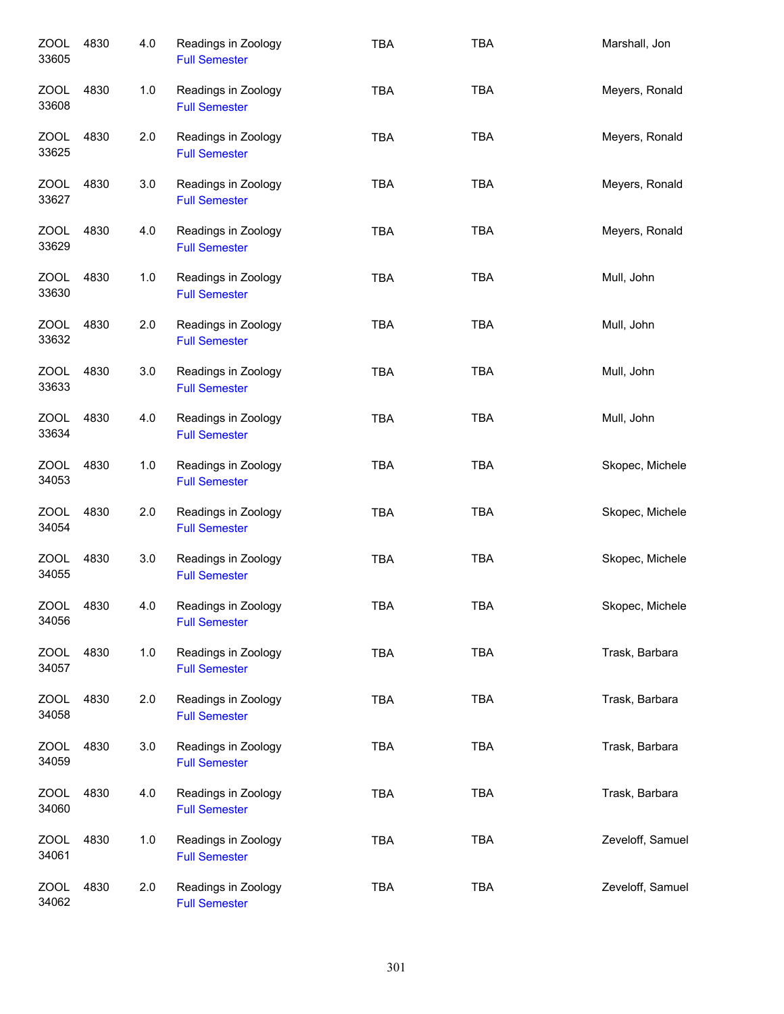| ZOOL<br>33605        | 4830 | 4.0 | Readings in Zoology<br><b>Full Semester</b> | <b>TBA</b> | <b>TBA</b> | Marshall, Jon    |
|----------------------|------|-----|---------------------------------------------|------------|------------|------------------|
| <b>ZOOL</b><br>33608 | 4830 | 1.0 | Readings in Zoology<br><b>Full Semester</b> | <b>TBA</b> | <b>TBA</b> | Meyers, Ronald   |
| ZOOL<br>33625        | 4830 | 2.0 | Readings in Zoology<br><b>Full Semester</b> | <b>TBA</b> | <b>TBA</b> | Meyers, Ronald   |
| ZOOL<br>33627        | 4830 | 3.0 | Readings in Zoology<br><b>Full Semester</b> | <b>TBA</b> | <b>TBA</b> | Meyers, Ronald   |
| ZOOL<br>33629        | 4830 | 4.0 | Readings in Zoology<br><b>Full Semester</b> | <b>TBA</b> | <b>TBA</b> | Meyers, Ronald   |
| ZOOL<br>33630        | 4830 | 1.0 | Readings in Zoology<br><b>Full Semester</b> | <b>TBA</b> | <b>TBA</b> | Mull, John       |
| <b>ZOOL</b><br>33632 | 4830 | 2.0 | Readings in Zoology<br><b>Full Semester</b> | <b>TBA</b> | <b>TBA</b> | Mull, John       |
| <b>ZOOL</b><br>33633 | 4830 | 3.0 | Readings in Zoology<br><b>Full Semester</b> | <b>TBA</b> | <b>TBA</b> | Mull, John       |
| <b>ZOOL</b><br>33634 | 4830 | 4.0 | Readings in Zoology<br><b>Full Semester</b> | <b>TBA</b> | <b>TBA</b> | Mull, John       |
| <b>ZOOL</b><br>34053 | 4830 | 1.0 | Readings in Zoology<br><b>Full Semester</b> | <b>TBA</b> | <b>TBA</b> | Skopec, Michele  |
| ZOOL<br>34054        | 4830 | 2.0 | Readings in Zoology<br><b>Full Semester</b> | <b>TBA</b> | <b>TBA</b> | Skopec, Michele  |
| <b>ZOOL</b><br>34055 | 4830 | 3.0 | Readings in Zoology<br><b>Full Semester</b> | <b>TBA</b> | <b>TBA</b> | Skopec, Michele  |
| <b>ZOOL</b><br>34056 | 4830 | 4.0 | Readings in Zoology<br><b>Full Semester</b> | TBA        | TBA        | Skopec, Michele  |
| <b>ZOOL</b><br>34057 | 4830 | 1.0 | Readings in Zoology<br><b>Full Semester</b> | <b>TBA</b> | <b>TBA</b> | Trask, Barbara   |
| <b>ZOOL</b><br>34058 | 4830 | 2.0 | Readings in Zoology<br><b>Full Semester</b> | <b>TBA</b> | <b>TBA</b> | Trask, Barbara   |
| <b>ZOOL</b><br>34059 | 4830 | 3.0 | Readings in Zoology<br><b>Full Semester</b> | <b>TBA</b> | <b>TBA</b> | Trask, Barbara   |
| ZOOL<br>34060        | 4830 | 4.0 | Readings in Zoology<br><b>Full Semester</b> | <b>TBA</b> | <b>TBA</b> | Trask, Barbara   |
| <b>ZOOL</b><br>34061 | 4830 | 1.0 | Readings in Zoology<br><b>Full Semester</b> | <b>TBA</b> | <b>TBA</b> | Zeveloff, Samuel |
| <b>ZOOL</b><br>34062 | 4830 | 2.0 | Readings in Zoology<br><b>Full Semester</b> | <b>TBA</b> | <b>TBA</b> | Zeveloff, Samuel |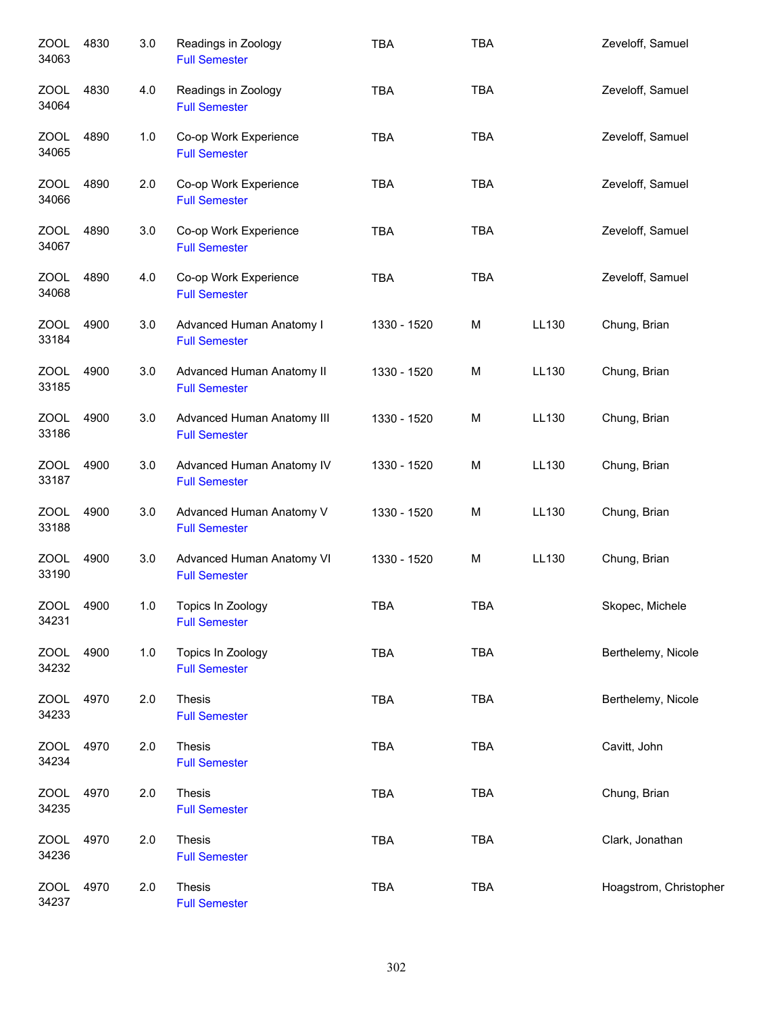| <b>ZOOL</b><br>34063 | 4830 | 3.0 | Readings in Zoology<br><b>Full Semester</b>        | <b>TBA</b>  | <b>TBA</b> |       | Zeveloff, Samuel       |
|----------------------|------|-----|----------------------------------------------------|-------------|------------|-------|------------------------|
| ZOOL<br>34064        | 4830 | 4.0 | Readings in Zoology<br><b>Full Semester</b>        | <b>TBA</b>  | <b>TBA</b> |       | Zeveloff, Samuel       |
| ZOOL<br>34065        | 4890 | 1.0 | Co-op Work Experience<br><b>Full Semester</b>      | <b>TBA</b>  | <b>TBA</b> |       | Zeveloff, Samuel       |
| ZOOL<br>34066        | 4890 | 2.0 | Co-op Work Experience<br><b>Full Semester</b>      | <b>TBA</b>  | <b>TBA</b> |       | Zeveloff, Samuel       |
| ZOOL<br>34067        | 4890 | 3.0 | Co-op Work Experience<br><b>Full Semester</b>      | <b>TBA</b>  | <b>TBA</b> |       | Zeveloff, Samuel       |
| <b>ZOOL</b><br>34068 | 4890 | 4.0 | Co-op Work Experience<br><b>Full Semester</b>      | <b>TBA</b>  | <b>TBA</b> |       | Zeveloff, Samuel       |
| <b>ZOOL</b><br>33184 | 4900 | 3.0 | Advanced Human Anatomy I<br><b>Full Semester</b>   | 1330 - 1520 | М          | LL130 | Chung, Brian           |
| <b>ZOOL</b><br>33185 | 4900 | 3.0 | Advanced Human Anatomy II<br><b>Full Semester</b>  | 1330 - 1520 | M          | LL130 | Chung, Brian           |
| <b>ZOOL</b><br>33186 | 4900 | 3.0 | Advanced Human Anatomy III<br><b>Full Semester</b> | 1330 - 1520 | M          | LL130 | Chung, Brian           |
| <b>ZOOL</b><br>33187 | 4900 | 3.0 | Advanced Human Anatomy IV<br><b>Full Semester</b>  | 1330 - 1520 | M          | LL130 | Chung, Brian           |
| <b>ZOOL</b><br>33188 | 4900 | 3.0 | Advanced Human Anatomy V<br><b>Full Semester</b>   | 1330 - 1520 | M          | LL130 | Chung, Brian           |
| <b>ZOOL</b><br>33190 | 4900 | 3.0 | Advanced Human Anatomy VI<br><b>Full Semester</b>  | 1330 - 1520 | M          | LL130 | Chung, Brian           |
| <b>ZOOL</b><br>34231 | 4900 | 1.0 | Topics In Zoology<br><b>Full Semester</b>          | <b>TBA</b>  | <b>TBA</b> |       | Skopec, Michele        |
| ZOOL<br>34232        | 4900 | 1.0 | Topics In Zoology<br><b>Full Semester</b>          | <b>TBA</b>  | <b>TBA</b> |       | Berthelemy, Nicole     |
| ZOOL<br>34233        | 4970 | 2.0 | Thesis<br><b>Full Semester</b>                     | <b>TBA</b>  | <b>TBA</b> |       | Berthelemy, Nicole     |
| ZOOL<br>34234        | 4970 | 2.0 | Thesis<br><b>Full Semester</b>                     | TBA         | <b>TBA</b> |       | Cavitt, John           |
| ZOOL<br>34235        | 4970 | 2.0 | Thesis<br><b>Full Semester</b>                     | <b>TBA</b>  | <b>TBA</b> |       | Chung, Brian           |
| ZOOL<br>34236        | 4970 | 2.0 | Thesis<br><b>Full Semester</b>                     | TBA         | <b>TBA</b> |       | Clark, Jonathan        |
| <b>ZOOL</b><br>34237 | 4970 | 2.0 | Thesis<br><b>Full Semester</b>                     | <b>TBA</b>  | <b>TBA</b> |       | Hoagstrom, Christopher |